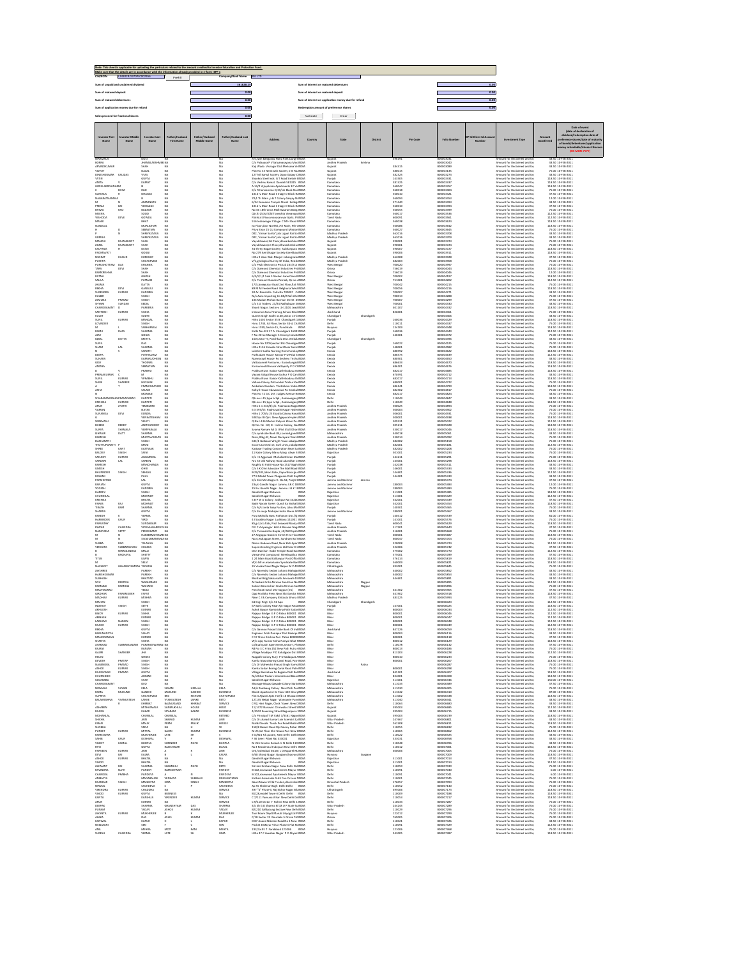|                                                     |                                 |                                              |                                                |                         | pte: This sheet is applicable for uploading the particulars related to the amount credited to Investor Education and Protection Fund. |                                                                                                                                                                                                                                               |              |                                                                                 |            |                            |                                                   |              |                                                                                                                                                                    |                                                                                                        |
|-----------------------------------------------------|---------------------------------|----------------------------------------------|------------------------------------------------|-------------------------|---------------------------------------------------------------------------------------------------------------------------------------|-----------------------------------------------------------------------------------------------------------------------------------------------------------------------------------------------------------------------------------------------|--------------|---------------------------------------------------------------------------------|------------|----------------------------|---------------------------------------------------|--------------|--------------------------------------------------------------------------------------------------------------------------------------------------------------------|--------------------------------------------------------------------------------------------------------|
| Make sure that                                      | letails are in acc              |                                              | Prefill                                        | d in e-form IEPF-1      | Company/Bank Name                                                                                                                     |                                                                                                                                                                                                                                               |              |                                                                                 |            |                            |                                                   |              |                                                                                                                                                                    |                                                                                                        |
|                                                     |                                 |                                              |                                                |                         | 361828.25                                                                                                                             |                                                                                                                                                                                                                                               |              |                                                                                 |            |                            |                                                   | 0.00         |                                                                                                                                                                    |                                                                                                        |
| Sum of matured deposit<br>Sum of matured debentures |                                 |                                              |                                                |                         | 0.05                                                                                                                                  |                                                                                                                                                                                                                                               |              | rrest on matured deposit<br>Sum of interest on application money due for refund |            |                            |                                                   | 0.00         |                                                                                                                                                                    |                                                                                                        |
|                                                     | lication money due for refs     |                                              |                                                |                         | 0.00<br>$\overline{5}$                                                                                                                |                                                                                                                                                                                                                                               |              | int of preference share                                                         |            |                            |                                                   | 0.00<br>1.00 |                                                                                                                                                                    |                                                                                                        |
| Sales proceed for fractic                           | nal shares                      |                                              |                                                |                         | 0.00                                                                                                                                  |                                                                                                                                                                                                                                               | Validate     | Clear                                                                           |            |                            |                                                   |              |                                                                                                                                                                    |                                                                                                        |
|                                                     |                                 |                                              |                                                |                         |                                                                                                                                       |                                                                                                                                                                                                                                               |              |                                                                                 |            |                            |                                                   |              |                                                                                                                                                                    | Date of event<br>date of declaratio                                                                    |
|                                                     |                                 |                                              | First Na                                       |                         |                                                                                                                                       |                                                                                                                                                                                                                                               | Country      |                                                                                 |            | Pin Code                   |                                                   |              | nt Type                                                                                                                                                            | end/redempoon aase<br>ice shares/date of ma<br>refundable/interes                                      |
| BORRA<br><b>ARVINDKUR</b>                           |                                 | <b>HANSE</b><br>SHAH                         | 8/NA<br>NA                                     |                         | NA<br>NA                                                                                                                              | A-5,twin Bangalow Hana Park DungrelNDIA<br>C/o Polauara P V Satyanarayana ModNDIA<br>Kaji Wado Visnagar Dist Mehsana VisNDIA<br>Plot No 33 Neminath Society S M RoaNDIA                                                                       |              | Gujarat<br>Andhra Pradesh<br>Gujara                                             | Krishna    | 384315                     | 800003040<br>800003089                            |              | Amount for Unclaimed and Un<br>Amount for Unclaimed and Un<br>Amount for Unclaimed and Un                                                                          | 43.50 10-FEB-2011<br>43.50 10-FEB-2011                                                                 |
| VIDYUT<br>DINFORMALE KALIDAS<br>YATIN               |                                 | DALAL<br><b>VYAS</b><br><b>GUPTA</b>         | NA<br>NA<br>NA                                 |                         | NA<br>NA<br>NA                                                                                                                        | 127 Nil Kamal Society Oppo Galaxy CINDIA<br>Shankra Steel Inds G T Road Simble BNDIA                                                                                                                                                          |              | Gujarat                                                                         |            | 380015<br>382325<br>143505 | 800003135<br>800003273<br>000003331               |              | Amount for Unclaimed and Un<br>.<br>Amount for Unclaimed and Un<br>Amount for Unclaimed and Un                                                                     | 75.00 10 FEB-2011<br>43.50 10 FEB-2011<br>118.50 10 FEB-2011                                           |
| ANITA<br>GOPAL                                      |                                 | KAMAT                                        | NA<br>NA<br>NA                                 |                         | NA<br>NA<br>NA                                                                                                                        | C/o Veshnu Kamat Dandeli 581325 INDIA<br>A 14/2 Vijayakiran Apartments 32 VidNDIA                                                                                                                                                             |              | --serin<br>Gujarat<br>Punjab<br>Kamataka                                        |            | 581325<br>560047           | 800003337<br>800003357                            |              | Amount for Unclaimed and University<br>For Unclaimed and University<br>For Unclaimed and University                                                                | 118.50 10-FEB-2011<br>118.50 10-FEB-2011<br>75.00 10-FEB-2011                                          |
| <b>UJJWALA</b><br>NAGARATNAMMA                      | BHIM                            | <b>NAC</b><br>DHAGGE                         | NA<br>NA<br>NA                                 |                         | $\frac{NA}{NA}$                                                                                                                       | C/o R Honnamma Q 19/vii Block NurINDIA<br>1016 Iv Main Road Ii Stage D Block RaNDIA<br>70,4 Th Main .p & T Colony Sanjay NaNDIA                                                                                                               |              | Kamataki<br>Kamataka<br>Kamataka                                                |            | 560018<br>560010<br>560094 | 800003404<br>800003421<br>800003453               |              | Amount for Unclaimed and Un<br>Amount for Unclaimed and Un<br>Amount for Unclaimed and Un                                                                          | 37.50 10-FEB-2011<br>12.00 10 FEB 2011                                                                 |
| -<br>HIMA                                           | BAI<br>RAO                      | AMARNATH<br>VDHAGGE<br>BADAMI                |                                                |                         | NA                                                                                                                                    | 6/24 Easwaran Temple Street KolleeaNDIA                                                                                                                                                                                                       |              | Kamataka                                                                        |            | 571440<br>560010<br>560055 | 800003493<br>BDDLu.>++.<br>BDDDD3494<br>BDDDD3495 |              | Amount for Unclaimed and Un                                                                                                                                        | 43.50 10 FEB-2011                                                                                      |
| MEENA<br>YESHODA                                    | DEVE                            | 5000<br>GOWDA                                | NA<br>NA<br>NA                                 |                         | NA<br>NA<br>NA                                                                                                                        | 1016 Iv Main Road II Stage D Block RaWDIA<br>No 46 18th Cross Malleswaram Bang/NDIA<br>Qtr.fc-25,hal Old Township VimanapulNDIA<br>Flat-6.ist Floor.manasarovar.Aptts, PleNDIA                                                                |              | Kamataka<br>Kamataka<br>Kamataka<br><b>Tamil Nadu</b>                           |            | 560017<br>600091           | 800003536<br>800003561                            |              | Amount for Unclaimed and University<br>Amount for Unclaimed and University<br>Amount for Unclaimed and University<br>Amount for Unclaimed and Un                   | 37.50 10-FEB-2011<br>75.00 10-FEB-2011<br>112.50 10-FEB-2011<br>112.50 10 FEB-2011                     |
| MANIK<br>NANDLAL                                    |                                 | BHAT<br>MURLIDHAR                            | $_{\rm NA}^{\rm NA}$<br>NA<br>NA               |                         | $\frac{NA}{NA}$                                                                                                                       | 516 Indiranagar I Stage C M H Road BNDIA<br>lst Floor.door No.956.7th Main, 9th ONDIA                                                                                                                                                         |              | Kamataka<br>Kamataka                                                            |            | 560038<br>560086           | 800003624<br>800003642                            |              | Amount for Unclaimed and Un<br>Amount for Unclaimed and Un                                                                                                         | 118.50 10-FEB-2011<br>118.50 10 FEB-2011                                                               |
|                                                     | $\mathbf{D}$                    | SEBASTIAN<br>SHRIVASTAVI                     | NA<br>NA<br>NA                                 |                         | NA<br>NA<br>NA<br>NA<br>NA                                                                                                            | Priva Kiran 25 Csi Compound MissionINDIA                                                                                                                                                                                                      |              | Kamataka<br>Madhya Pra                                                          |            | 560027<br>462016           | 800003645<br>000003708                            |              | Amount for Unclaimed and Un<br>Amount for Unclaimed and Un                                                                                                         | 75.00 10 FEB-2013<br>43.50 10-FEB-2011                                                                 |
| URMILA<br>MANISH<br><b>JIGNA</b>                    | RAJANIKAN<br>RAJANIKANT         | SHRIVASTAVA<br>SHAH<br>SHAH                  | NA                                             |                         | NA                                                                                                                                    | Vayubhavani, 1st Floor, dhwarkeshkunINDM<br>Vayubhavani,ist Floor,dhwsarkeshkurINDIA                                                                                                                                                          |              | Madhya Pradesh<br>Gujarat<br>Gujarat                                            |            | 462016<br>390001<br>390001 | 80000370<br>800003723<br>800003724                |              | Amount for Unclaimed and Un<br>Amount for Unclaimed and Un<br>Amount for Unclaimed and Un                                                                          | 43.50 10-FEB-2011<br>75.00 10-FEB-2011<br>75.00 10 FEB-2011                                            |
| KALPANA<br>PADMAVATI<br>NUSRAT                      |                                 | DESAI<br>doggi<br><b>QUREISH</b>             | NA<br>NA                                       |                         |                                                                                                                                       | 34 Shrey Nagar Society Subhanpura INDIA<br>No 279 Amit Nagar Society Karelibau/NDIA                                                                                                                                                           |              | Gujarat<br>Gujarat                                                              |            | 390007<br>390006<br>462008 | 800003727<br>800003911<br>000003928               |              | Amount for Unclaimed and Un<br><b>Amount for Unclaimed and Un</b>                                                                                                  | 118.50 10 FEB-2011<br>118.50 10 FEB-2013                                                               |
| PUSHPA<br>PURLISHOTTAM                              | KHALID<br>DAS                   | CHATURVED<br>KHANNA                          | NA<br>NA<br>NA                                 |                         | NA<br>NA<br>NA<br>NA<br>NA                                                                                                            | Ho 9 Ann Wall Masjd JahangrabaNDIA<br>V/1, geological Survey Of India, ResideNDIA<br>C/o Peak Electronics Pvt Ltd 233/5 A JNDIA                                                                                                               |              | Madhya Prades<br>Madhya Pradesh<br>West Bengal                                  |            | 482003<br>700020           | B00003968<br>B00003997                            |              | Amount for Unclaimed and University<br>Amount for Unclaimed and University<br>Amount for Unclaimed and University                                                  | 37.50 10-FEB-2011<br>75.00 10-FEB-2011<br>75.00 10-FEB-2011                                            |
| TARA<br>RAMKRISHNA                                  | pevi                            | SHAH<br>SHAH                                 | NA<br>NA<br>NA                                 |                         | NA<br>NA<br>NA                                                                                                                        | C/o Diamond Chemical Industries PvtINDIA<br>C/o Diamond Chemical Industries Pvt INDIA                                                                                                                                                         |              | Orissa<br>Orissa                                                                |            | 756019<br>756019           | 800004044<br>800004046                            |              | Amount for Unclaimed and Un<br>.<br>Amount for Unclaimed and Un<br>Amount for Unclaimed and Un                                                                     | 118.50 10-FEB-2011<br>12.00 10 FEB-2011                                                                |
| RATNA<br>SALILA<br>JHUMA<br>REKHA                   |                                 | GHOSH<br>PATNAR<br>DATTA                     | NA<br>NA<br>NA                                 |                         | NA<br>NA<br>NA                                                                                                                        | 6/4/1/1/1 Seal S Garden Lane CalcuttINDIA<br>6/4/2/27 Sears Garden Lane Cancrewows<br>C/o Pramod Chandra Patraik, Qr.no.vINDIA<br>17/5,bosepakur Road 2nd Floor, flat NNDIA<br>89 M M Feeder Road Belghoria WestINDIA                         |              | West Bengal<br>.<br>Orissa<br>West Bengal                                       |            | 700002<br>751001<br>700042 | 800004197<br>sonno ezos<br>stonne215              |              | Amount for Unclaimed and Ur<br>Amount for Unclaimed and Ur                                                                                                         | 118.50 10 FEB-2011<br>11850 10768-2011<br>75.00 10768-2011<br>118.50 10768-2011                        |
| SURENDRA                                            | DEVI<br>KUMAR                   | GANGUL<br>KANORIA                            |                                                |                         |                                                                                                                                       | 30 Ari Banstolla Calcutta 700007 CaNDIA                                                                                                                                                                                                       |              | West Bengal<br>West Bengal                                                      |            | 700056<br>700007           | 800004216<br>800004271                            |              | Amount for Unclaimed and Un<br>Amount for Unclaimed and Un                                                                                                         | 43.50 10-FEB-2011                                                                                      |
| KULBIR<br>JAMUNA                                    | PRASAD<br>SUNDAR                | SINGH<br>SINGH                               | $_{\rm NA}^{\rm NA}$<br>NA                     |                         | $\frac{NA}{NA}$<br>NA                                                                                                                 | M/s Auto Importing Co 88/2 Rafi Ahr(NDIA)<br>104 Madan Mohan Burman Street 41NDIA                                                                                                                                                             |              | West Bengal<br>West Benga                                                       |            | 700013<br>700007           | 800004288<br>800004299<br><b>Innocess</b>         |              | Amount for Unclaimed and Un<br>Amount for Unclaimed and Un                                                                                                         | 75.00 10 FEB 2011<br>37.50 10 FEB-2011                                                                 |
| SHYAM<br>CHANDRA<br>SANTOSH                         | KUMAI                           | KÉDIA<br>PARKÉRIA<br>SINHA                   | NA<br>NA<br>NA                                 |                         | NA<br>NA<br>NA                                                                                                                        | Co S G Traders 23/24 Radhabazar SUNDIA<br>Sharti Nagar, Sector-x ,b-1/103, (eastNDIA<br>Instructor Zonal Training School BhuliNDIA                                                                                                            |              | West Bergal<br>Maharashtri<br>Jharkhand                                         |            | 700001<br>401107<br>826001 | 00004332<br>800004361                             |              | Amount for Unclaimed and Un<br>Amount for Unclaimed and Un<br>Amount for Unclaimed and Un                                                                          | 37.50 10-FEB-2011<br>43.50 10-FEB-2011<br>118.50 10-FEB-2011<br>75.00 10-FEB-2011                      |
| KULIIT<br><b>SUNIL</b><br>LOVINDER                  | KUMAR                           | SODHI<br>MANGAL<br>SINGH                     | $_{\rm NA}^{\rm NA}$                           |                         | NA<br>NA                                                                                                                              | Gurmit Singh Sodhi 1160,sector 15-b INDIA<br>H No 1430 Sector 35 B Chandisarh 1/NDIA                                                                                                                                                          |              | Chandigarh<br>Punjab<br>Delhi                                                   | Chandigart | 160036<br>110011           | 800004406<br>800004429<br>800004437               |              | Amount for Unclaimed and Un<br>Amount for Unclaimed and Un<br>Amount for Unclaimed and Un                                                                          | 43.50 10-FEB-2011<br>118.50 10-FEB-2011<br>75.00 10 FEB-2011                                           |
| iwu                                                 | DASS                            | SABHARWAI<br><b>AMANH2</b>                   | NA<br>NA<br>NA<br>NA<br>NA                     |                         | NA<br>NA<br>NA<br>NA<br>NA                                                                                                            | H.no. 1744, ht Floor, Sector 34-d, ChiNDIA<br>H.no.1599, Sector-15, Panchkula NDIA                                                                                                                                                            |              | Haryana<br>Punjab                                                               |            | 134109                     | 800004448<br>mmnsss                               |              | Amount for Unclaimed and Un<br>Amount for Unclaimed and Un                                                                                                         | 118.50.10.FFR.2011                                                                                     |
| AJAY<br>IQBAI                                       | <b>DUTTA</b>                    | GOGIA<br>MÉHTA                               |                                                |                         |                                                                                                                                       | Kothi No 422 37 A Chandigarh 16003NDIA<br>F No 20 Icc Manager S Colory IndustriNDIA<br>160,sector- 9, Panchkula Dist. AmbalaNDIA                                                                                                              |              | Punjab<br>Chandigart                                                            | Chandigart | 160036<br>140401           | B00004472<br>B00004496                            |              | Amount for Unclaimed and Un<br>Amount for Unclaimed and Un                                                                                                         | 112.50 10-FEB-2011<br>75.00 10-FEB-2011<br>43.50 10-FEB-2011                                           |
| <b>SUNII</b><br>SHAM                                | LAL<br>S                        | DAS<br>SHARMA<br>SARATH                      | NA<br>NA<br>NA                                 |                         | NA<br>NA<br>NA                                                                                                                        | House No 1205/sector 34c ChandigarINDIA<br>H No 2136 Shiwala Street Near SantolNDIA                                                                                                                                                           |              | Punjab<br>Punjab<br>Kerala                                                      |            | 160022<br>148001<br>680592 | 800004525<br>800004582<br>800004622               |              | Amount for Unclaimed and Un<br>Amount for Unclaimed and Un<br><b>Amount for Unclaimed and Un</b>                                                                   | 75.00 10 FEB-2011<br>75.00 10 FEB-2011<br>118.50.10.FFR.2011                                           |
| DEEPA<br>SUMARA<br>GIGY                             |                                 | PUTHIANAM<br>KAMARUDHEEI<br>THOMAS           | NA<br>NA<br>NA                                 |                         | NA<br>NA<br>NA                                                                                                                        | Takshmi Sudha Nursing Home UrakayiNDIA<br>Puthiadam House: Keroor P.O Palai 63NDIA<br>Mannarayil House: Po Kechery TrichutNDIA<br>Vattakunnel Ponkunnu: Kuravilangad INDIA                                                                    |              | Kerala<br>Kerala<br>Kerala                                                      |            | 686575<br>680501<br>686633 | 00004639<br>B00004650<br>B00004670                |              | Amount for Unclaimed and University<br>Amount for Unclaimed and University<br>Amount for Unclaimed and University                                                  | 118.50 10-FEB-2011<br>112.50 10-FEB-2011<br>43.50 10-FEB-2011<br>118.50 10-FEB-2011                    |
| <b>ANITHA</b>                                       |                                 | SEBASTIAN<br>UHBARN                          | NA                                             |                         | NA                                                                                                                                    | Kurisumpotil House Vattapally P.O.CHNDIA                                                                                                                                                                                                      |              | Kerala                                                                          |            | 686101<br>682017           | 800004676<br>800004685                            |              | Amount for Unclaimed and Un                                                                                                                                        | 118.50 10-FEB-2011<br>11850 10/FR2011                                                                  |
| PREMAKUMAR<br>SUNII<br>Sheik                        | KUMAN                           | /PRABHU<br>IUSSAIN                           | NA<br>NA                                       |                         | NA<br>NA                                                                                                                              | Prabhu Nivas Kaloor Kathrikadavu RdNDIA<br>Vayara Valapil House Eachur P O CandNDIA                                                                                                                                                           |              | Kerala<br>Kerala                                                                |            | 670591<br>682017<br>680001 | 800004712<br>100004719                            |              | .<br>Amount for Unclaimed and Un<br>Amount for Unclaimed and Un<br>Amount for Unclaimed and Un<br>Amount for Unclaimed and Un<br>Amount for Unclaimed and Un       | 43.50 10 FEB-2011                                                                                      |
| ASHA                                                |                                 | FRANCISX<br>SALAM                            | $\begin{array}{c}\nN\\NA\\NA\\NA\n\end{array}$ |                         | NA<br>NA<br>NA                                                                                                                        | Prahhu Nivas Kaloor Kathrikadaw RdNDIA<br>Vellore Colony Patturaikal Trichur KerNDIA<br>Ambalam Kandam Thottakom VaikodNDIA<br>Kolliyil House Edavanakad Po EmakultNDIA                                                                       |              | Kerala<br>Kerala<br>Kerala<br>Kerala                                            |            | 686141<br>682502           | 00004722<br>800004790<br>800004817                |              | Amount for Unclaimed and Un<br>Amount for Unclaimed and Un                                                                                                         | 18.50 10-FEB-2011<br>75.00 10-FEB-2011<br>118.50 10-FEB-2011<br>75.00 10-FEB-2011                      |
| SIVARAMA                                            | N PRASADAI                      | MONIAN<br>KANTETI                            | $_{\rm NA}^{\rm NA}$<br>NA                     |                         | $\frac{NA}{NA}$<br>NA                                                                                                                 | Plot No 72 G CD A Judges Avenue RdNDIA                                                                                                                                                                                                        |              | Kerala<br>Delhi                                                                 |            | 682017<br>110049           | 800004824<br>800004847                            |              | Amount for Unclaimed and Un<br>Amount for Unclaimed and Un                                                                                                         | 43.50 10-FEB-2011<br>43.50 10 FEB-2011                                                                 |
| KRISHNA<br>ARUN<br>VAMAN                            | KIMAR                           | .<br>Ganteti<br>Tembur                       | NA<br>NA<br>NA                                 |                         | NA<br>NA<br>NA                                                                                                                        | Qtr.no.c-15,type Iv Spl., Andrewsganj INDIA<br>Qtr.no.c-15,type Iv Spl., Andrewsganj INDIA<br>H No 6 1 344/8/1/a Padmarao NagariNDIA<br>6 3 595/55 Padmarathi Nagar HyderINDIA                                                                |              | Delhi<br>Andhra Pradesh<br>Andhra Pradesh                                       |            | 10049<br>500004            | mmass<br>mmass<br>800004902                       |              | Amount for Unclaimed and Un<br>Amount for Unclaimed and Un<br>Amount for Unclaimed and Un                                                                          | 18.50 10-FEB-2011<br>75.00 10-FEB-2011<br>75.00 10-FEB-2011                                            |
| <b>SUNANDA</b>                                      | DEVI                            | NAYAK<br>KONDA<br>VENKATESHAM                | $_{\rm NA}^{\rm NA}$                           |                         | $\frac{NA}{NA}$                                                                                                                       | H No 1 705/a 25 Ekasila Colony HanalNDIA<br>508 Spcl B Qtrs New Agapura HyderalNDIA                                                                                                                                                           |              | Andhra Pradesh<br>Andhra Pradesh                                                |            | 506001<br>500001           | 800004931<br>800004938                            |              | Amount for Unclaimed and Un<br>Amount for Unclaimed and Un                                                                                                         | 75.00 10 FEB-2011<br>118.50 10-FEB-2011                                                                |
| SRINIVASU<br><b>BHEEM</b>                           | REDDY<br>SYAMAL                 | VELETI<br>ANITHAREDDY<br>VEMPARALA           | NA<br>NA<br>NA                                 |                         | NA<br>NA                                                                                                                              | Q No.1-136 Market Kalyani Khani Po.JNDIA<br>Qr No. Nc - 69, 8 - Incline Colony, GosNDIA<br>Syama Ramam Mi G I Plot 45/3 DhardNDIA                                                                                                             |              | Andhra Pradesh<br>Andhra Pradesh<br>Andhra Pradesh                              |            | 509231<br>505211<br>530017 | 800005022<br>800005028<br>monsour                 |              | Amount for Unclaimed and Un<br>Amount for Unclaimed and Un<br>Amount for Unclaimed and Un                                                                          | 112.50 10 FEB-2011<br>118.50 10 FEB-2011                                                               |
| SURYA<br>ISHWAR<br>RAMESH                           | DATE                            | sharma<br>Muppavarapl                        | $_{\rm NA}^{\rm NA}$                           |                         | NA<br>NA<br>NA                                                                                                                        | C/o.syndicate Bank 84,c.a.road,gandHNDIA<br>Msss, Bldg 42, Naval Dockyard VisakHNDIA                                                                                                                                                          |              | Maharashtra<br>Andhra Pradesh                                                   |            | 440018<br>530014           | 800005061<br>800005092                            |              | Amount for Unclaimed and Un<br>Amount for Unclaimed and Un                                                                                                         | 118.50 10-FEB-2011<br>43.50 10-FEB-2011<br>75.00 10-FEB-2011                                           |
| DASHARATH<br>THOTTUPURATI<br>SHREE                  | KANT                            | SINGH<br>MANI<br>KASTWAR                     | NA<br>NA<br>NA                                 |                         | NA<br>NA<br>NA                                                                                                                        | 634/1 Golbazar Wright Town Jabalpu/NDIA<br>Escorts Limited 15, Civil Lines, JabalouNDIA                                                                                                                                                       |              | Madhya Pradesh<br>Madhya Pradesh<br>Madhya Pradesh                              |            | 482002<br>482001<br>482002 | 800005158<br>800005181<br>800005200               |              | Amount for Unclaimed and Un<br>Amount for Unclaimed and Un<br><b>Amount for Unclaimed and Un</b>                                                                   | 75.00 10 FEB-2011<br>112.50 10 FEB-2011<br>75.00 10 FEB-2013                                           |
| BALDEV                                              | KUMAI                           | SAINI<br>AGGARWAL                            | NA<br>NA<br>NA                                 |                         | NA<br>NA<br>NA                                                                                                                        | Exatuar Trading Corporation Near SulNDIA<br>11 Kabir Colony Manu Marg, Alwar 38NDIA<br>20 1K Aggarwal, Mohalla Ohrian MulNDIA<br>N C 32 Old Railway Road Jalandhar CINDIA                                                                     |              | Rajasti                                                                         |            | 301001<br>144211           | 00005234<br>800005291                             |              | Amount for Unclaimed and University<br>Amount for Unclaimed and University<br>Amount for Unclaimed and University                                                  | 75.00 10-FEB-2011                                                                                      |
| SANJEEV<br>SARDARI<br>RAMESH                        | LAL                             | SAREEN<br>MANCHANDA                          | NA                                             |                         | NA                                                                                                                                    | Mughla Ki Patti House No 1517 Bagh/NDIA                                                                                                                                                                                                       |              | Punjab<br>Punjab<br>Punjab                                                      |            | 144001<br>142038           | 800005298<br>800005311                            |              | Amount for Unclaimed and Un                                                                                                                                        | 75.00 10-FEB-2011<br>118.50 10-FEB-2011<br>43.50 10 FEB-2011                                           |
| UMESH<br>BHUPINDER                                  | SINGH                           | OHU<br><b>SEHGAL</b>                         | NA<br>NA                                       |                         | NA<br>NA                                                                                                                              | C/o S K Ohri Advocate The Mall Road INDIA<br>8-29/103 lahori Gate, Kepurthala (pulNDIA                                                                                                                                                        |              | Punjab<br>Punjab                                                                |            | 146001<br>144601<br>144401 | 800005334<br>800005336<br>800005339<br>800005374  |              | .<br>Amount for Unclaimed and Un<br>Amount for Unclaimed and Un                                                                                                    | 43.50 10 FEB-2011<br>112.50 10 FEB-2011                                                                |
| .<br>RASHMI<br>PARSHOTAM<br>RANJAN                  |                                 | PAUL<br>LAL<br>GUPTA                         | NA<br>NA<br>NA                                 |                         | NA<br>NA<br>NA                                                                                                                        | orally aux, among supportional processors<br>T7 B Model Town Phagwara Distt KapINDIA<br>C/o Shri Mm Dogra H. No.52, PanjtirtINDIA<br>23a/c Gandhi Nagar Jammu J & K 18INDIA                                                                   |              | runjab<br>Punjab<br>Jammu and Kashr<br>Jammu and Kashmi                         |            | 180004                     | 800005383                                         |              | Amount for Unclaimed and Ur<br>Amount for Unclaimed and Ur<br>Amount for Unclaimed and Un                                                                          | 48.50 10-FEB-2011<br>37.50 10-FEB-2011<br>12.00 10-FEB-2011                                            |
| YOGESH<br>HARDEV<br>CHUNNILAI                       |                                 | KANORIA<br>SINGH<br><b>MOHNOT</b>            | $_{\rm NA}^{\rm NA}$<br>NA                     |                         | $\frac{NA}{NA}$<br>NA                                                                                                                 | Gandhi Nasar Bhilwara                                                                                                                                                                                                                         | INDIA        | Jammu and Kashmi<br>Rajasthan<br>Raiasthan                                      |            | 180004<br>311001<br>311001 | 800005384<br>800005385<br>800005429               |              | Amount for Unclaimed and Un<br>Amount for Unclaimed and Un<br>Amount for Unclaimed and Un                                                                          | 75.00 10-FEB-2011<br>118.50 10-FEB-2011<br>112.50 10 FEB-2011                                          |
| <b>KRISHNA</b><br>PARAS<br>TIRATH                   |                                 | IHATIA<br>MOHNOT                             | NA<br>NA<br>NA                                 |                         | NA<br>NA<br>NA                                                                                                                        | S B P W D Colony Jodhpur Raj 342000014<br>Badri Narain Street Gundi Ka MohallaNDIA<br>C/o M/s Janta Soap Factory Laku MarNDIA                                                                                                                 |              |                                                                                 |            | 342001<br>342001<br>140501 | 00005435<br>00005453                              |              | Amount for Unclaimed and Un<br>Amount for Unclaimed and Un<br>Amount for Unclaimed and Un                                                                          | 37.50 10-FEB-2011<br>118.50 10-FEB-2011<br>75.00 10-FEB-2011                                           |
| SHARDA<br>RAKESH                                    | <b>BAM</b>                      | SHARMA<br><b>GUPTA</b><br>VERMA              | $_{\rm NA}^{\rm NA}$                           |                         | NA<br>NA                                                                                                                              | C/o Sh.sanju Mahajan Indra Niwas WINDIA<br>Pura Mohalla Bassi Pathanan Dist f/a INDIA                                                                                                                                                         |              | Punjab<br>Jammu and Kashmi<br>Punjab                                            |            | 180001<br>140412           | 800005465<br>800005467<br>800005539               |              | Amount for Unclaimed and Un<br>Amount for Unclaimed and Un                                                                                                         | 43.50 10-FEB-2011<br>81.00 10 FEB-2011                                                                 |
| HARBINDER<br>PARVATH                                | KALIR                           | <b>IGRIV</b><br><b>SUNDARAM</b>              | NA<br>NA                                       |                         | NA<br>NA                                                                                                                              | 41 Sarabha Nagar Ludhiana 141001 INDIA<br>85,g-3,h.b.flats, First Seaward Road,v/NDIA                                                                                                                                                         |              | .<br>Tamil Nadu                                                                 |            | 141001<br>600041           | 800005576<br>800005629                            |              | Amount for Unclaimed and Un<br>Amount for Unclaimed and Un                                                                                                         | 75.00 10 FEB-2011<br>118.50 10 FEB-2011                                                                |
| ESWAN<br>NARAYANA                                   | SETTY                           | <b>VIDYASAGARE</b><br>PENDEKANTI<br>HABEEBMC | NA                                             |                         | NA<br>NA<br>NA                                                                                                                        | DE CVidyasagar 664 A Bhavari NagiNDIA<br>C/o P.viswantha Gupta ,10/569 UpstaNDIA<br>27 Angappa Naicken Street First FlootNDIA                                                                                                                 |              | Andhra Pradesh<br>Andhra Pradesh<br>Tamil Nadu                                  |            | 517501<br>516001<br>600001 | 100005640<br>B00005668<br>B00005687               |              | Amount for Unclaimed and Un<br>Amount for Unclaimed and Un<br>Amount for Unclaimed and Un                                                                          | 37.50 10-FEB-2011<br>75.00 10-FEB-2011<br>118.50 10-FEB-2011                                           |
| SUBBA                                               | <b>NAO</b>                      | SIVASUBRAMANIANA<br>TALASILA                 | NA                                             |                         | NA<br>NA<br>NA                                                                                                                        | No.4, evalappan Street, Sundram Bal RNDIA<br>Ninna Godown Road, Near Kirti ApartNDIA                                                                                                                                                          |              | <b>Tamil Nadu</b><br>Andhra Prades                                              |            | 600047<br>520008           | 800005704<br>800005724                            |              | Amount for Unclaimed and Un<br><b>Amount for Heriaimed and He</b>                                                                                                  | 75.00 10-FEB-2011<br>112.50.10.658.2011                                                                |
| VENKATA                                             | <b>GRAMAYUDU</b><br>NIRANJANDAS | CHAKKA<br>.<br>MALLI                         | NA <sup></sup>                                 |                         | NA<br>NA<br>NA                                                                                                                        | <b>Sunaristanding Fedinasy Ind Near KridNINA</b><br>Devi Darshan Kadri Temple Road KadINDIA                                                                                                                                                   |              | Andhra Pradesh<br>Kamataka                                                      |            | 522006<br>575002           | 800005742<br>00005770                             |              | <b>Amount for Unclaimed and Un</b><br>Amount for Unclaimed and Uni<br>Amount for Unclaimed and Uni<br>Amount for Unclaimed and Uni<br>Amount for Unclaimed and Uni | 37.50 10 FEB 2011<br>37.50 10-FEB-2011<br>37.50 10-FEB-2011<br>37.50 10-FEB-2011<br>118.50 10-FEB-2011 |
| <b>TITUS</b>                                        |                                 | SHETTY<br>LEWIS<br>SELVI                     | NA<br>NA<br>NA                                 |                         | NA                                                                                                                                    | Vaman Pai Compound Nireshwallya INDIA<br>124 Main Road Kallianpur Post OfficeNDIA<br>W/o Mr.m.mancharan Syndicate BanINDIA                                                                                                                    |              | Kamataka<br>Kamataka<br>Kamataka                                                |            | 575001<br>576114<br>560009 | 800005789<br>800005819<br>800005821               |              | Amount for Unclaimed and Un                                                                                                                                        | 118.50 10-FEB-2011                                                                                     |
| NACHIKET<br>JAYSHREE                                | CHANGHYAMI                      | TAPADIA<br>PAREION                           | NA<br>NA                                       |                         | NA<br>NA                                                                                                                              | 35 Viveka Nand Nagar Raipur M P 493NDIA<br>C/o Narendra Sedari Lohana MahajarINDIA                                                                                                                                                            |              | Chhattisgarh<br>Maharashtra                                                     |            | 492001<br>440002           | 800005845<br>800005852<br>00005853                |              | <b>Amount for Heriaimed and He</b><br>Amount for Unclaimed and Un                                                                                                  | 25.00.10.6FR.2011<br>43.50 10-FEB-2011                                                                 |
| JAYSTINA<br>HARISHKU<br>SUBHASH<br>sou              | DEEPIKA                         | PARÉICH<br>BHATTAD<br>WAGHMARE               | NA<br>NA<br>NA                                 |                         | NA<br>NA<br>NA                                                                                                                        | برت بمسيستانه عنصفات المتعدد المسيحين<br>C/o Narendra Sedari Lohana MahajadNDIA<br>Bhattad Bldg Sakkarsath Armavati 44(NDIA<br>At Sarkari Griha Nirman Sansthan NeJNDIA                                                                       |              | Maharashtra<br>Maharashtra<br>Maharashtra                                       | Nagpu      | 440002<br>444601           | 0000589<br>800005895                              |              | Amount for Unclaimed and Ur<br>Amount for Unclaimed and Ur<br>Amount for Unclaimed and Un                                                                          | 43.50 10-FEB-2011<br>43.50 10-FEB-2011<br>112.50 10-FEB-2011                                           |
| MADHADRAD<br>GIRDHAR                                | <b>PARAMETRY</b>                | YEOLE<br>FAFAT                               | NA<br>NA                                       |                         | NA<br>NA<br><b>NA</b>                                                                                                                 | Sarkari Karamchari Gruba Nirman SartNftld<br>Panchwati Katol Dist-naegur (ms) INDIA<br>Opp Pratiblya Press Near Sbi Gondia RNDIA                                                                                                              |              | Maharasht<br>Maharashtra<br>Maharashtra                                         |            | 441302<br>441902           | 800005905<br>800005918                            |              | Amount for Unclaimed and Un<br>Amount for Unclaimed and Un<br>Amount for Unclaimed and Un                                                                          | 75.00 10-FEB-201<br>37.50 10-FEB-2011<br>118.50 10 FEB-2011                                            |
| MADHAV<br>MAHAN<br>INDERIT                          | <b>KLIMAR</b>                   | MISHE<br>SINGH                               | NA<br>NA<br>NA                                 |                         | NA<br>NA<br>NA                                                                                                                        | Near C J & Company Khitacia Shora INDIA<br>64 Engr Regt C/o 56 Apo<br>67 Bank Colony Near Ajit Nagar PatiaiNDIA                                                                                                                               |              | Madhya Pra<br>Chandigarh                                                        |            | 483225                     | ennnnsos<br>monson                                |              | Amount for Unclaimed and Uni<br>Amount for Unclaimed and Uni<br>Amount for Unclaimed and Uni                                                                       | 37.50 10-FEB-2011<br>112.50 10-FEB-2011<br>118.50 10-FEB-2011                                          |
| <b>AIOHILESH</b><br><b>BINOY</b>                    | SINGH<br>KUMAR                  | senu<br>KUMAR<br>SINHA                       | $_{\rm NA}^{\rm NA}$                           |                         | $\frac{NA}{NA}$                                                                                                                       | Ashok Bawan Ramkrishna Path Kadar/NDIA<br>Rajapur Bridge G P O Patna 800001 INDIA                                                                                                                                                             |              | Punjab<br>Bihar<br><b>Bihar</b>                                                 |            | 147001<br>800003<br>800001 | 800006025<br>800006034<br>800006046               |              | Amount for Unclaimed and Un<br>Amount for Unclaimed and Un                                                                                                         | 112.50 10-FEB-2011<br>112.50 10 FEB-2011                                                               |
| ABINASH<br>LAKSHM                                   | NARAIN                          | KUMAF<br>SINGH                               | NA<br>NA                                       |                         | NA<br>NA                                                                                                                              | .<br>Rajapur Bridge G P O Patna 800001 INDIA<br>Rajapur Bridge G P O Patna 800001 INDIA                                                                                                                                                       |              | <b>Bihar</b><br><b>Sibar</b>                                                    |            | 800001<br>800001           | 800006047<br>800006048                            |              | Amount for Horlaimed and Un<br>Amount for Unclaimed and Un                                                                                                         | 112.50 10 FEB-2011<br>112.50 10 FEB-2011                                                               |
| RAJESH<br>REKHA<br>BARUNADITYA                      | KUMAR                           | SINGH<br>SAHAY                               | NA<br>NA<br>NA                                 |                         | NA<br>NA<br>NA                                                                                                                        | Rajapur Bridge G P O Patria 800001 INDIA<br>C/o Gannoo Prasad State Bank Of IndINDIA<br>Engineer Moh Dariapur Post Bankipu/NDIA                                                                                                               |              | anus<br>Bihar<br>Jharkhand<br>Bihar                                             |            | 80000<br>847226<br>800004  | mmnsnag<br>800006059<br>800006116                 |              | Amount for Unclaimed and Un<br>.<br>Amount for Unclaimed and Un<br>Amount for Unclaimed and Un                                                                     | 112.50 10-FEB-2011<br>118.50 10-FEB-2011<br>43.50 10-FEB-2011                                          |
| MANORANJAN<br>SHANTA                                |                                 | KUMAR<br>SINHA                               | NA<br>NA                                       |                         | NA<br>NA<br>NA                                                                                                                        | C 17 Shree Krishna Puri Patna 80000INDIA<br>W/o Ajay Kumar Sinha Nariyal Ghat PINDIA                                                                                                                                                          |              | Bihar<br><b>Bihan</b>                                                           |            | 800001<br>800012           | 800006118<br>800006129                            |              | Amount for Unclaimed and Un<br>Amount for Unclaimed and Un                                                                                                         | 37.50 10 FEB-2011<br>118.50 10 FEB-2011                                                                |
| AYAKKAD<br><b>BAIAN</b>                             | <b>SUBBAR</b>                   | PARAMI<br><b>BANJAN</b>                      | I NA<br>NA<br>NA<br>NA                         |                         | NA<br>NA<br>NA                                                                                                                        | Ci/8 sahvadri Apertments sector-i, PldNDIA<br>Rd No 3 C H No 252 New Patli Putra ONDIA                                                                                                                                                        |              | Delhi<br>Bihar<br>Bihar<br>Bihar                                                |            | 110078<br>800013<br>813203 | 800006132<br>800006186                            |              | <b>Amount for Unclaimed and Un</b><br>Amount for Unclaimed and Un                                                                                                  | 37.50.10 FFR.2011<br>75.00 10-FEB-2011                                                                 |
| gauri<br>Helen<br>DEVESH                            | PRATAP                          | JHA<br>GHOSE<br>SINGH                        | NA                                             |                         | NA                                                                                                                                    | Village Anadipur P O Kahalgaon Dist BNDIA<br>Magadh Colony Kurji P O Sadaquat ANDIA<br>Kamla Niwas Boring Canal Road, PatriNDIA                                                                                                               |              | Bihar                                                                           |            | 800010<br>800001           | B00006228<br>B00006233<br>800006267               |              | Amount for Unclaimed and Uni<br>Amount for Unclaimed and Uni<br>Amount for Unclaimed and Un                                                                        | 112.50 10-FEB-2011<br>75.00 10-FEB-2011<br>118.50 10-FEB-2011                                          |
| <b>NAGENORA</b><br><b>ASHOK</b>                     | PRASAD<br>KUMAR<br>PRASAD       | SINGH<br>SINGH                               | NA<br>NA                                       |                         | NA<br>NA                                                                                                                              | Anthu Nounai Sonny Carna House, Patrimonia<br>C/O Dr Mahendra Prasad Singh Kamul NDA<br>Kamia Sadan Boring Canal Road PatriNDIA<br>Village Barkatura Po Bagaha Dist BertiNDIA<br>M/S Bhar Traders International BazarINDIA<br>Gandhi Nagar Bh |              | Bihar<br>Bihar                                                                  | Patria     | 800001                     | 800006287<br>800006298<br>800006307               |              | Amount for Unclaimed and Un<br>Amount for Unclaimed and Un                                                                                                         | 75.00 10 FEB-2011<br>75.00 10 FEB 2011                                                                 |
| <b>RAJESHWAR</b><br><b>UDAYBABL</b>                 |                                 | <b>GUPTA</b><br>AHMAD<br>SHAH                | NA<br>NA<br>NA                                 |                         | NA<br>NA<br>NA                                                                                                                        |                                                                                                                                                                                                                                               |              | .<br>Jharkhand<br>Bihar<br>Rajasthar                                            |            | 845101<br>834001<br>311001 | sonnos son<br>800006346                           |              | Amount for Unclaimed and Un                                                                                                                                        | 118.50 10-FEB-2011<br>118.50 10-FEB-2011<br>150.00 10-FEB-2011                                         |
| CHANDRAKANT<br>NIRMALA<br><b>RAMA</b>               | SHYAM<br>MUKUND                 | DEO<br>KÉLA<br>GANDH                         | NA<br>SHYAM<br>MUKUND                          | <b>HIRALAL</b><br>GANDH | NA<br>KELA<br><b>BUSINESS</b>                                                                                                         | Bhanage Niwas Gawade Colony StatioNDIA<br>A1/6 Rambaug Colony Navi Peth PurINDIA<br>Bhakti Apartment Gr Floor 402 Ghord NDIA                                                                                                                  |              | Maharashtra<br>Maharashtra<br>Maharashtra                                       |            | 411033<br>411030<br>411042 | 800006389<br>800006405<br>800006410               |              | Amount for Unclaimed and Un<br>Amount for Unclaimed and Un<br>Amount for Unclaimed and Un                                                                          | 37.50 10-FEB-2011<br>75.00 10 FEB-2011<br>87.00 10-FEB-2011                                            |
| SUPRIYA<br>BALAKRIS                                 |                                 | .<br>CHATURVEDI<br>LANKE                     | BRU<br>VYANKATESH                              | osene                   | CHATURVED                                                                                                                             | Shakti Apartment or Hote 402 Gnorphism<br>Flat 4 Ajwani Apts 710/b 16 Bhawani INDIA<br>12/135 Netaji Nagar, Wanowrie PunelNDIA<br>C-92, Hari Nagar, Clock Tower, New DNDIA                                                                    |              | Maharashtri<br>Maharashtri<br>Delhi                                             |            | 411002<br>411040<br>110064 | mmsass<br>00006441                                |              | Amount for Unclaimed and Uni<br>Amount for Unclaimed and Uni<br>Amount for Unclaimed and Uni                                                                       | 118.50 10-FEB-2011<br>43.50 10-FEB-2011<br>43.50 10-FEB-2011                                           |
| ASHABEN<br>RAJESH                                   |                                 | KHRBAT<br>MITHAIWALA<br>KAKAR                | BALMUKAND<br>SANMUKHLAI<br>SITARAM             | KHRBA<br>HOUSE<br>KAKAR | service<br>HOLD<br><b>BUSINESS</b>                                                                                                    | 11/1472 Nanavat Chiriwalas Street SINDIA<br>4/4502 Kuversing Street Begumpura 5NDIA                                                                                                                                                           |              | Gujarat<br>Gujarat                                                              |            | 395003<br>395003           | 088800008<br>B00006685<br>800006715               |              | Amount for Unclaimed and Un<br>Amount for Unclaimed and Un                                                                                                         | 112.50 10-FEB-2011<br>43.50 10 FEB-2011                                                                |
| MOHANLAD<br>SHIKHA                                  |                                 | CHUNILAL<br><b>JAIN</b>                      | CHUNILAL<br>SHARAD                             | KUMAR                   | RETIRED<br><b>JAIN</b>                                                                                                                | C/o Principal T M Vakil 7/3361 NaecriNDIA<br>Cin Dr sharad Kumar Jain Sriannist F 4NDIA                                                                                                                                                       |              | Guiara<br>Utter Pradest                                                         |            | 395003<br>247667           | 800006739<br>800006801<br>000006811               |              | Amount for Unclaimed and Un<br>Amount for Unclaimed and Un                                                                                                         | 118.50 10 FEB-2011<br>43.50 10 FEB 2011                                                                |
| <b>CIRAN</b><br>SHOBHA<br>PUNEET                    | KUMAI                           | MALIK<br>SROA<br>MITTAL                      | PREM<br>GAUR                                   | MALIK<br>H<br>KUMAF     | HOUSE<br>W<br>BUSINESS                                                                                                                | Malik Diesels Tanak Pur Road KhatimINDIA<br>158/8 Basant Road Ry Colory Pahar (NDIA<br>M-25,1st Floor Shri Niwas Puri New DNDIA                                                                                                               |              | Uttar Pradesi<br>Delhi<br>Delhi                                                 |            | 262308<br>110055<br>110065 | 800006832<br>800006862                            |              | Amount for Unclaimed and Un<br>.<br>Amount for Unclaimed and Un<br>Amount for Unclaimed and Un                                                                     | 118.50 10-FEB-2011<br>75.00 10-FEB-2011<br>112.50 10-FEB-2013                                          |
| <b>RAMESWAR</b><br>SAHIB                            |                                 | MUKHERJEE<br><b>DESHWAL</b>                  | LATE                                           | <b>SH</b>               | DESHWAI                                                                                                                               | S-ky924 R.k.puram, New Delhi Delhi INDIA<br>5 36 Ceeri Pilani Rai 333031                                                                                                                                                                      | INDIA        | Delhi<br>Rajastha                                                               |            | 110022<br>333031           | 800006925<br>800006958                            |              | Amount for Unclaimed and Un<br>Amount for Unclaimed and Un                                                                                                         | 43.50 10-FEB-2011<br>43.50 10 FEB-2011                                                                 |
| VINEET<br>kmu<br>PARVEEN                            | KAMAL<br>KUMAR                  | <b>BHOPLA</b><br><b>GLIPTA</b>               | SURINDER<br>RAJESHWA                           | NATH                    | <b>BHOPLA</b><br>DAYAL                                                                                                                | M 265 Greater Kailash II N Delhi 110INDIA<br>ni 200 Greener Renault II Noem Zzorzowo<br>6 Abyderabad Estate, L. D. Ruparel MANDIA<br>6/68 Shiwaji Nagar, Gurgaon (haryanatNDIA                                                                |              | béhi<br>Delhi<br>Maharashtri                                                    |            | 110048<br>110012<br>400006 | 800006996<br>000007001                            |              | <b>Amount for Unclaimed and Un</b><br>Amount for Unclaimed and U                                                                                                   | 43.50 10 FEB-2011<br>118.50 10 FEB 2011                                                                |
| pevi<br><b>ASHOK</b>                                | KUMAR                           | jain<br>Kalila<br>BHATIA                     | NA                                             |                         | JAIN<br>KALRA<br>NA                                                                                                                   | Gandhi Nagar Bhilwara                                                                                                                                                                                                                         | <b>INDIA</b> | Haryana<br>Rajasthan                                                            | Gurgac     | 311001                     | 800007005<br>800007009<br>800007013               |              | Amount for Unclaimed and University<br>Amount for Unclaimed and University<br>Amount for Unclaimed and Un                                                          | 75.00 10-FEB-2011<br>118.50 10-FEB-2011<br>37.50 10 FEB-2011                                           |
| VINCO<br>JASWANT                                    | <b>BAL</b>                      | BHATIA<br>SHARMA                             | NA<br>SHAMBHU<br><b>BAMESHWAI</b>              | NATH                    | NA<br>RETD                                                                                                                            | Gandhi Nagar Bhilwara<br>56 Hari Krishan Nagar New Delhi DeliNDIA<br>8-102,rosewood Apartments Mayur VNDIA<br>8-102,rosewood Apartments Mayur VNDIA                                                                                           |              | .<br>Najasthan<br>Delhi                                                         |            | 311001<br>110059           | 800007014<br>800007039<br><b>ADDODDINA</b>        |              | Amount for Unclaimed and Un<br>Amount for Unclaimed and Un                                                                                                         | 112.50 10 FEB-2011<br>75.00 10 FEB 2011                                                                |
| RAVINDRA<br>CHANDRA<br>AMBAYYA                      | NATH<br>PRABHA                  | .<br>PANDEY<br>PANDEYA<br>MADABALIN          | VENKATA                                        | SUBBIALY                | PANDEY<br>PANDEYA<br>DRAUGHTMAN                                                                                                       | Kothari Associates G-65 Con Circuis MNDM                                                                                                                                                                                                      |              | Delhi<br>Delhi<br>Delhi                                                         |            | 110091<br>110091<br>110001 | months<br>800007045                               |              | Amount for Unclaimed and Ui<br>Amount for Unclaimed and Ui<br>Amount for Unclaimed and Un                                                                          | 6.00 10-FEB-2011<br>6.00 10-FEB-2011<br>75.00 10-FEB-2011                                              |
| RAINDAR<br>NIRMAL<br>VIRENDRA                       | SINGH<br>KUMAR                  | MANIOTIA<br>SACHDEVA<br><b>CHADDHA</b>       | HIRA<br>NA                                     | SINGH                   | MANKOTIA<br>SACHDEVA<br>SERVICE                                                                                                       | Gauri Niwas Vill & P.o.dari,dharmshallNDIA<br>Ap 55 Shalimar Bagh Delhi Delhi INDIA<br>397 "b" Phase-II, Rai Kishor Naear BilaNDIA                                                                                                            |              | <b>Himachal Pradest</b><br>Delhi<br>Chhatti                                     |            | 176057<br>110052<br>495006 | 800007093<br>800007140<br>800007173               |              | Amount for Unclaimed and Un<br>Amount for Unclaimed and Un<br>Amount for Unclaimed and Un                                                                          | 75.00 10 FEB-2011<br>75.00 10 FEB-2011<br>118.50 10-FEB-2011                                           |
| VINOD<br>KANTA                                      | KUMAI                           | GUPTA<br>KANJHLIA                            | BUSINESS<br>VIRENDER                           | KUMAF                   | SERVICE                                                                                                                               | 837 G 7188674, ng numa ngga umumo<br>81/28,model Town-ii Delhi Delhi - INDIA<br>C 7/111 Yamuna Vihar New Delhi DelNDIA<br>C 9/110 Sector 7 Rohini New Delhi 11NDIA                                                                            |              | Dehi<br>Dehi<br>Dehi                                                            |            | 110009<br>110053           | mmmms<br>00007217                                 |              | Amount for Unclaimed and Uni<br>Amount for Unclaimed and Uni<br>Amount for Unclaimed and Uni                                                                       | 118.50 10 FEB-2011<br>118.50 10-FEB-2011<br>75.00 10-FEB-2011                                          |
| ARUN<br>DEEPAN<br>PUNAM                             |                                 | KUMAR<br>SHARMA<br>YADAV                     | NA<br>GHANSHYAM<br>ASHOK                       | DAS<br>KUMAR            | SERVICE<br>SHARMA<br><b>VADAV</b>                                                                                                     | S/o Sh G D Sharma BI 18 U P State SulNDIA<br>82/210 Safdarjung Enclave New DelhiNDIA                                                                                                                                                          |              | <b>Uttar Pradesi</b><br>Delhi                                                   |            | 110034<br>244245<br>110029 | 800007287<br>800007289<br>800007296               |              | Amount for Unclaimed and Un<br>Amount for Unclaimed and Un                                                                                                         | 75.00 10 FEB-2011<br>75.00 10-FEB-2011                                                                 |
| JAYANTA<br><b>ALAKA</b>                             | KUMAR                           | MUKHERJEE<br>DAS                             | <b>ASHIS</b>                                   | KUMAR                   | MUKHERJEE<br>DAS                                                                                                                      | Tool Room Deptt Maruti Udyog Ltd P/NDIA<br>C/18 Sector 19 Rourkela 5 Orissa 769NDIA                                                                                                                                                           |              | Haryana<br>Orissa                                                               |            | 122012<br>769005           | 800007299<br>800007306                            |              | Amount for Unclaimed and Un<br>Amount for Unclaimed and Un                                                                                                         | 75.00 10 FEB-2011<br>75.00 10 FEB-2013                                                                 |
| KANWAL<br>NÉELMANI                                  |                                 | KAPUF<br>SEN<br>MÉHIN                        | MOTI                                           | <b>RAM</b>              | KAPLIR<br>SEN<br>MEHTA                                                                                                                | D B7 Anand Niketan Road No 1 New INDIA<br>Pocket B Mayur Vihar Phase Ii Flat NoNDIA<br>233/7a N I T Faridabad 121006 - INDIA                                                                                                                  |              | .<br>Delhi<br>Delhi                                                             |            | 110021<br>110091           | 800007326<br>800007329                            |              | Amount for Unclaimed and U<br>Amount for Unclaimed and Un<br>Amount for Unclaimed and Un                                                                           | 43.50 10-FEB-2011<br>112.50 10-FEB-2011                                                                |
| ANIL<br>SURESH                                      | CHANDRA                         | VERMA                                        | LATE                                           | <b>SH</b>               | <b>UMA</b>                                                                                                                            | H No 47 C Jawahar Nagar P O ShyamINDIA                                                                                                                                                                                                        |              | Haryana<br><b>Uttar Pradesi</b>                                                 |            | 121006<br>243005           | 800007368<br>800007387                            |              | Amount for Unclaimed and Un                                                                                                                                        | 75.00 10-FEB-2013<br>118.50 10-FEB-2011                                                                |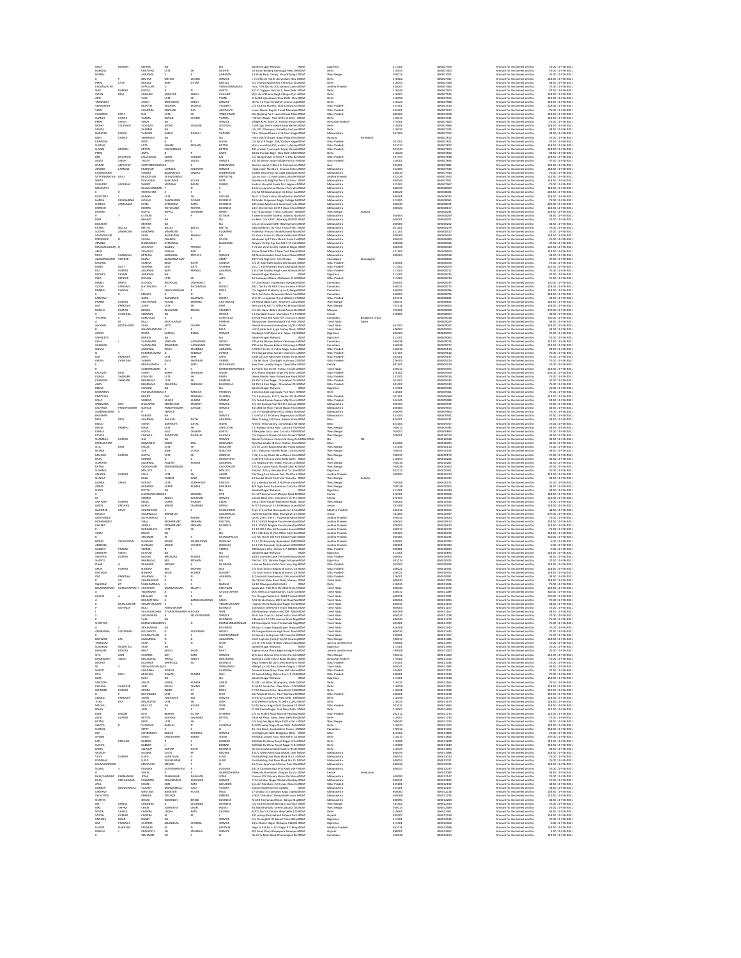| SS Saran Building Ramnagar New DelINDIA<br>14 State Bank Colony Munsif Marg CINDIA<br>11 C Officers Flat 8, Darya Ganj New DNDIA<br>110055<br>110055<br>700013<br>110002<br>800007404<br>800007405<br>Amount for Unclaimed and University<br>Amount for Unclaimed and University<br>Amount for Unclaimed and University<br>.<br>Delhi<br>West Bengi<br>sexvce<br>80000744<br>MAHNA<br>MEHA<br>CHAND<br>Delhi<br>PREM<br>LATA<br>BANSAL<br>RAM<br><b>AVTAR</b><br>BANSAL<br>G-1 Vishwa Apartment 3 Shankra ChaNDIA<br>Delhi<br>110054<br>80000746<br>H.no.7-93, flat No.105, yamuna SarasviNDIA<br>PADMAVATHY<br>UPPULLIR<br>VENKATARAMANA<br>Andhra Pradesh<br>520007<br>800007484<br>KUMAR<br><b>GUPTA</b><br><b>GUPTA</b><br>Delhi<br>110046<br>800007500<br>SHIV<br>.<br>PYARE<br>IATAN<br>ARTI<br>bEvi<br>CHHAJEF<br>VAID<br>CHHATAR<br>LATE<br>SINGH<br>SH<br>Delhi<br>Delhi<br>110007<br>110058<br>80000752<br>80000755<br>SERVICE<br>STUDENT<br>SINGH<br>MURTAY<br>110024<br>253502<br>B00007588<br>B00007610<br>TARANJEET<br>SINGH<br>MURTHY<br>MOHINDI<br>KRISHNA<br>Delhi<br>Uttar Pradesh<br>VENKATESH<br>VIPIN<br>CHANDRA<br>GIRDHAR<br>DAS<br>ADVOCATE<br>Laxmi Niwas Gujrati Street MoradabaNDIA<br>Uttar Pradesh<br>244001<br>800007627<br>CHANDRA<br>LATE<br>TRIBHUWAN<br>Das Building No 5 Liomi Niwas BillochNDIA<br>190 Kirti Nagar New Delhi 110015 0NDIA<br>Uttar Pradesh<br>282002<br>800007628<br>KANT<br>DAS<br>\$H<br>SURESH<br>CHAND<br>VARMA<br>DIWAN<br>CHAND<br>VARMA<br>Delhi<br>110015<br>80000764<br>NA<br>service<br>150 Ann Nagar New Denn 110015<br>Village & Po-bijni Dt.-mandi (himachiNDIA<br>5196 Opp Unchi Masjid Bazar BallimaNDIA<br>U/u 201 Pitampura Vishakha Enclave INDIA<br>175001<br>80000766<br>PREM<br>inde<br>/IMAL<br><b>Himachal Prad</b><br>MOHD<br>YAQOOE<br>siporqu<br>B00007686<br>B00007745<br>MOHD<br>SAVITA<br>SULEMAI<br>SIDDIQU<br>Delhi<br>Delhi<br>110006<br>110034<br>SHARMA<br>NA<br>NA.<br>VANJARI<br>NARAYAN<br>KARLIN<br>VANJARI<br>KARLII<br>DONUH<br>Pitru Chhava Bhavan At & Post AmgasNDIA<br>Maharashtra<br>441902<br>800007765<br>CHAND<br>SEHRAWAT<br>NA<br>H No 166/b Shyam Nagar Palwal DistINDIA<br>C/o Mr G P Singh 206/10 Arya NagariNDIA<br>W/o.s.m.mittal,401,urvashi 1, AmrapINDIA<br>Faridabad<br>800007819<br>GOP1<br>NA<br>Haryana<br>Uttar Pradesh<br>CHANDRA<br><b>WATI</b><br>SINGH<br>201001<br>80000782<br>LATA<br>MITTAL<br>Uttar Pradesh<br>80000782<br><b>SUMAN</b><br>Gevaal<br>MOHAZ<br>201010<br>MITTAL<br>MOHAN<br>MITTAL<br>CHATURE<br>401,urvashi 1,amrapali Royal, 2b,vaibINDIA<br>20/62 Punjabi Bagh New Delhi 1100JNDIA<br>201010<br>110026<br>B00007823<br>B00007832<br>SHYAM<br>PREM<br><b>Uttar Pradesh</b><br><b>JAWA</b><br>1AW A<br>LIRB<br>BHUSHAN<br>LALDUGGAL<br>SHAM<br>SUNDER<br>LAL<br>C/o Gangeshwar Limited P O Deo BanNDIA<br><b>Uttar Pradesh</b><br>247554<br>800007838<br>JAGAT<br>SINGH<br>YADAV<br>MNOO<br>YADAV<br>SERVICE<br>S/o Sh Minno Yaday Village Puthar PdNDIA<br>Uttar Pradesh<br>250001<br>800007846<br>OSCAR<br>ANTHONY<br><b>CUFFORDFER</b><br><b>FERNANDEZ</b><br>Martins Ares 6.1 North A. Carenzalem INDIA<br>403002<br>800007881<br>Goa<br>PRADHAN<br>SINGRU<br>SERVICE<br>FEDERATION<br>EMPLOYEE<br>Thiakumal" Flat No.5, D'soura Colony/NDIA<br>Surkha Nivas Post No 1203 GokulpetINDIA<br>Qtr.no. Lidc - 2, Paul Colony, MacherliNDIA<br>Maharashtri<br>LAXMAN<br>LAXMAN<br>BALKRISHN<br>CADASHO<br>422005<br>80000792<br>Amount for Unclaimed and Uni<br>Amount for Unclaimed and Uni<br>Amount for Unclaimed and Uni<br>HANDE<br>sonnova.<br>522426<br>VENKATARAJU<br>800007950<br>SATYANARAYAN<br>MUDUNUR<br>RAJU<br>Andhra Prades<br>SMITA<br>PAHLAJANI<br>RAIKUMAR<br>HOUSE<br>WIFE<br>Nav Ratna B Bldg Flat No 4 1st Floor 1NDIA<br>Maharashtra<br>400049<br>800007951<br>VASUDEO<br>JAYARAM<br>WARKE<br><b>JAYARAM</b><br>RAYAJI<br>WARKE<br>Sushrut Hospital Savda Dist Jalgaon 4INDIA<br>Maharashtra<br>425502<br>800007967<br>MANNATH<br>BALACHANDRAI<br>16 Drion Apartment Domer Park WarlNDIA<br>C/o Mr M Balachandran 16 Drion ApalNDIA<br>No S 14 Dalal Estate Bhadkankar MalNDIA<br>Maharashtra<br>400026<br>800008000<br>Amount for Unclaimed and Un<br>Maharashtri<br>Maharashtri<br>400026<br>400008<br><b>STATACHAR</b><br>80000800<br><br>RUSTOMI<br><b>JATEJAR</b><br>soonso k<br>LATE<br>422005<br>GOGAD<br>PATEL<br>48 Godal Shajeevan Nagar College RdINDIA<br>205 Vikas Apartment Janki Kutir JuhulNDIA<br>GOGAD<br>PATEL<br>Maharashtra<br>Maharashtra<br>80000806<br>PARASHRAM<br>ATMARAM<br>BUSINESS<br>BUSINESS<br>harish<br>Suresh<br>B0000807<br>ATMARAM<br>RAMESH<br>ROHIRA<br>HOTCHAND<br>ROHIN<br><b>BUSINESS</b><br>14/3 Shivniketan 14 M K Road ChurchNDIA<br>Maharashtra<br>400020<br>800008157<br>RASHMI<br><b>GUPTA</b><br>GOPAL<br>CHANDER<br>GRISH<br>1993 Stowards II Floor, Calcutta - 461NDIA<br>4 A, Tiljala Road I Floor, Calcutta - 461NDIA<br>4 Samnarauddhi Society Adamha NajNDIA<br>Ins Bela C/o R.M.O. Bombay 400001 INDIA<br>Cabrial Manor 1st Floor Tansace Fat 1NDIA<br>Gabrial Manor<br>West Bengal<br>Maharashtra<br>Kolkata<br>800008241<br>OLTIKAN<br>OLTIKAR<br>400603<br>80000824<br>Maharashtra<br>40000<br>80000825<br>kw<br>HARAT<br>DIWAKAR<br>PATRIC<br>B00008252<br>B00008276<br>MIŚMRA<br>BRITTO<br>NA<br>NILLAS<br>NA<br>BRITIO<br>Maharashtra<br>Maharashtra<br>400083<br>401201<br>BASTU<br>NICLAS<br>SUDHIN<br>JANARDAN<br>KULKARN<br><b>JANARDAN</b><br>KULKARNI<br>Prabhakar Prasad Shraddhanand RoadNDIA<br>Maharashtra<br>421201<br>800008317<br>SAVITAGAURI<br>SHAH<br>BALDEVOAS<br>KESHA)<br>61 Savita Sadan II FI Near Vaibhy Hot/NDIA<br>Brindavan A/17 Shiy Shrusti Kurla EasINDIA<br>Maharashtra<br>400059<br>800008345<br>LAL<br>SOUZA<br>FREDERICK<br>$\sim$<br>SOUZA<br>CHARLES<br>Maharashtra<br>400024<br>BOODDESE<br>NACKARA<br>ATMARAN<br>NADKARD<br>Mayoor Co Op Hig Soc, flat C-19 Collettible<br>E-72 Jay View Society Sahakar Nagar JNDIA<br>Khare Chawl R No 2 Near Dutt MandilNDIA<br>Maharashtra<br>400028<br>ROODDRA?<br>BALDEV<br>KUSHAL<br>PRASAD<br>80000844<br>MANGAL<br>ACHARYA<br>YAVAĞAL<br>Maharashtra<br>Maharashtra<br>400058<br>421503<br>ARUN<br>RAO<br>B00008505<br>MOI2<br>SHARAFAL<br>MITHIYA<br>SHARAFALI<br>MITHIYA<br>SERVICE<br>60 Mohammedali Road Akber ChambNDIA<br>Maharashtra<br>400003<br>B00008528<br>ALAGARSWAMY<br>SUNDER<br>RAJAN<br><b>ALAGARSWAM</b><br>ARMY<br>297 Field Regiment C/o 56 App<br>INDM<br>Chandigarh<br>Chandigarh<br>800008690<br>RACHNA<br>SAXENA<br><b>ALOK</b><br>NATH<br>SAXENA<br>C/o Dr Alok Nath Saxena Old Goods SINDIA<br>Uttar Pradesh<br>230001<br>800008700<br>DEVI<br>BANI<br>SHARMA<br>SHARMA<br>211002<br>211003<br>311001<br><b>RAMA</b><br>SHARMA<br>AGARWA<br>DATT<br>PRASAD<br>Uttar Pradesh<br>Uttar Pradesh<br><b>BOODDR20</b><br>Amount for Unclaimed and Uni<br>Amount for Unclaimed and Uni<br>Amount for Unclaimed and Uni<br>EATT<br>n00871<br>800008725<br>RADHEY<br>AGRAWA<br>NA<br>NA<br>Rajasthan<br>46 Sultanpur Bhava Allahabad 21100NDIA<br>SYED<br>IQTIDAR<br>HUSAIN<br>LATE<br>ŚH<br>ALEY<br>Uttar Pradesh<br>211003<br>800008734<br>37 Lloyd Road Cooketown BangaloreNDIA<br>MABEL<br>GRETA<br>DSOUZA<br>NICHOLAS<br>LAWRANCE<br>b<br>Kamataka<br>560005<br>B00008745<br>VUAYA<br>LAKSHM<br>NATARAJAN<br>NATARAJAN<br>HOUSE<br>90/1 Old No. 99 Fifth Cross Stirama Penthia<br>Kamataka<br>560021<br>800008774<br><b>BANK</b><br>suy 1 Dus No 39 Film Crois Strama ParalMDIA<br>C/o Jagadin Prakash, r.q.no.9, BargainDIA<br>No 6 Srd Crois Nuneiwara Block PalaMDIA<br>W/o Sh.r.n.agarwal R/o A-266,brij ViHNDIA<br>59 Khelat Babu Lane Tala Park CalcutNDIA<br>560056<br>560003<br>RODOS78<br>PRABHI<br><b>SWAM</b><br>Kamataka<br>Kamataka<br>MANOI<br><b>BOODDR25</b><br>201011<br>HOUSE<br>CHATTERJES<br>LAKSHN<br>B00008831<br>B00008852<br>GARS<br>CHATTERUEE<br>RAINARAIN<br>PATAKI<br>Uttar Prade<br>AGARWA<br>KUMAR<br>PRABIR<br>KRISHNA<br>West Bengal<br>70003<br>OM<br>PRAKASH<br>JOSHI<br>LATE<br>RAM<br>Birla Jute & Ind T U Office Po Birlapur INDIA<br>West Bengal<br>743318<br>800008905<br>\$H<br>DINESH<br>KUMAR<br><b>BOHRA</b><br>DEVKARAN<br>BOHRA<br>STUDENT<br>.<br>C/o Dev Karan Bohra Hotel Anand BldINDIA<br>S C Kandath House Mannapra P O PalNDIA<br>BOODDEROO<br>Manipu<br>795001<br>CHANDRA<br>SEKARAN<br>NA<br>DRIVER<br>Kerala<br>678685<br>BODDOBOS:<br>KURUVILLA<br>FARMER<br>479, ist Floor, 6th Main Sth Cross, h.m.: INDIA<br>Allalapuram Bommanpatti V G Patti SNDIA<br>Nirmal Aluminium Industries 34/25 CINDIA<br>80000901<br>Amount for Unclaimed and University<br>Amount for Unclaimed and University<br>Amount for Unclaimed and University<br>MONT<br><b>KURUVILLA</b><br>s<br>Kamataka<br>Tamil Nadu<br>Tamil Nadu<br>ingalore Lirbi<br>B00009029<br>B00009042<br><b>BAJU</b><br>MUTHUSAM<br><br>JAYABEN<br>641002<br>MOTICHAND<br>SHAH<br>CHAND<br>MOTI<br>SHAH<br>GHANDHIMATH<br>BALA<br>H-916,trihb Unit Ii,spb Colony Road, TINDIA<br><b>Tamil Nadu</b><br>638007<br>800009054<br>ALWIN<br>DESSA<br>SAMUEL<br>DESSA<br>SERVICE<br>Rambagh Staff Quarter 2 Jaipur 3020NDIA<br>Gandhi Nagar Bhilwara<br>705,nihal Bhavan,behind Chinmaya HINDIA<br>302004<br>800009059<br>Rajasthan<br>Rajasthan<br>SANGEETA<br>ROBOM<br><b>NA</b><br>311001<br>800009063<br>NA<br><b>USHA</b><br>VASSANANI<br><b>JAIKISHIN</b><br>VASSANAN<br>HOUSE<br>DOCTOR<br>AGRAWAL<br>Kamataka<br><b>BOODDINT</b><br>705, mihai Bhavan, behind Chinmaya HINDIA<br>A 961/2 Sector 4 Indira Nagar LuckneNDIA<br>A 961/2 Sector 4 Indira Nagar LuckneNDIA<br>VASSANANI<br>AGRAWAL<br>DINGOMAL<br>VASSANANI<br>CHANDRA<br>560038<br>226016<br>JAIKISHIP<br>SEEMA<br>Kamataka<br>Uttar Pradesi<br>B00003077<br>B00009134<br>VIKAS<br>PARAMASIVAM<br>SUBBIAH<br>KONAR<br>75 B Ganga Vihar Society Chainhat LuNDIA<br>Uttar Pradesh<br>227105<br>800009142<br>OM<br><b>PRAKASE</b><br>SAHU<br>LATE<br>SHRI<br>SAHU<br>Kothi Of Late Sahu Ram Kishan 26 SaltNDIA<br>Uttar Pradesh<br>262001<br>800009147<br>GIRISH<br>CHANDRA<br>VARMA<br>DAYA<br>SHANKAR<br>VARMA<br>Active United Charlogh Lucknow 22NUM<br>See Vihar ,ambly Nagar, TripunitharaNDIA<br>11 North Eda Steet: Puthur Tinuchina/NDIA<br>W/o Rama Shankar Singh Vill & Po LaNDIA<br>Uttar Pradesh<br>226005<br>800009224<br><b>APPU</b><br>NEDUNGADI<br>RAMAKRISHN<br>BHANUMATH<br>SUBRAMANIA<br>Kerala<br>Tamil Nadu<br>682301<br>620017<br>276202<br>BOODDR31<br>Amount for Unclaimed and University<br>Amount for Unclaimed and University<br>Amount for Unclaimed and University<br>0000935<br>800009405<br>RAMA<br>SHANKAR<br>KALAVATI<br>DEVI<br>SINGH<br>SINGH<br>Uttar Pradesh<br>DURGA<br>SHANKER<br><b>DWIVED</b><br>LATE<br>RAMA<br>Geeta Mandir Near Police Lane Road, INDIA<br>Uttar Pradesh<br>231001<br>800009416<br>SH<br>SH<br>CHANDRA<br>SHEKHAR<br>BHARGAVA<br>LATE<br>RAMESH<br>Kd 25/16 Kavi Nagar Ghaziabad 2010NDIA<br>Uttar Pradesh<br>201002<br>800009433<br><b>ALKA</b><br>BHARGAVA<br>CHANDRA<br>SHEKHAR<br>BHARGAVA<br>Kd 25/16 Kuvi Nagar Ghazakad 2010NDIA<br>Kd 25/16 Kuvi Nagar Ghazakad 2010NDIA<br>Gandhi Nagar Bhilwara<br>210,win Aptl, opp;jwala Puri No.5 NiNDIA<br>20 S.b.sharma, B.221, Sactor-19, NolNDIA<br>C/o Ashok Kumar Saxena Mfg CherrisINDIA<br>Uttar Pradesh<br>201002<br>800009434<br>Amount for Unclaimed and Un<br>.<br>PANCHAPAR<br>311001<br>110081<br>80000944<br>REENA<br>BASKARAN<br>NA<br>PAKESAN<br><b>BANCHA</b><br>PRATYUSH<br>PRAKASH<br>KUMAR<br>BHARTI<br>ON<br>SHARMA<br>SAXENA<br>Uttar Pradesh<br>201301<br>244245<br>80000946<br>ASHOK<br>USHA<br>SAXENA<br><b>Uttar Pradesh</b><br>80000948<br>SRINIVASA<br><b>NAO</b><br>NALLAPATI<br>SRKRISHNA<br>MURTHY<br>SERVICE<br>C/o G E Karanja Post N A D K Aranja DNDIA<br>Maharashtra<br>400704<br>800009535<br>KALPANA<br><b>PRADIPIO</b><br>GAVALE<br>PRADIPIOUMAE<br>GAVALE<br>SERVICE<br>45/1801 ht Floor Vartak Nagar ThandNDIA<br>C/o E V Ranganathan 8/32 Deepa ShitNDIA<br>Maharashtra<br>400606<br>BOODDISS:<br><b>SUBBAMANIAN</b><br>SERVICE<br><b>NA</b><br>Maharashtra<br>400095<br>80000356<br>KAKAD <sup>6</sup><br>SERVICE<br>1469 M S E B Colony Begampura AUNDIA<br>Bhar Trading, St Floor, Adamh MarketNDIA<br>N 65/1 Telco Colony, Jamshedpur 833NDIA<br>431004<br>ennness<br>Amount for Unclaimed and University<br>Amount for Unclaimed and University<br>Amount for Unclaimed and University<br>BHUSHAN<br>Maharashtra<br>KAILASH<br>NATH<br>DAYAL<br>AGARWAI<br>B00009731<br>B00009741<br>DEVI<br>AGARWA<br>Bihar<br>834001<br>831004<br>BINA<br>BINDU<br>SINHA<br>KANHAIYA<br>SINHA<br><b>Bihar</b><br>ASHUTOSH<br>MAHA<br>PRABHU<br>DHAR<br>LATE<br>ŚH<br>7 C Natabar Dutta Row Calcutta 7008NDIA<br>West Bengal<br>700012<br>800009785<br>KAMLA<br><b>GUPTA</b><br>KALI<br>CHARAN<br><b>GUPTA</b><br>4 Ramjidas Jatia Lane Calcutta 70000NDIA<br>C/o Kapoor S Chawla 54 Ezra Street CINDIA<br>West Bengal<br>West Bengal<br>West Bengal<br>700007<br>800009893<br>KAVITA<br><b>CHAWLA</b><br>DAMODAL<br>NANDLAI<br>CHAWLA<br>700001<br>800010019<br>NA<br>NA<br>SURAJ<br>LATE<br>service<br>summar - Sarawan - Sarawan - Sarawan - Sarawan<br>Bharat Petroleum Corps Ltd Hong KoelONG KONG<br>M/s Ramawatar & Sons Station RoadNDIA<br>C/o Sri Laomi Bastra Bhandar ParbatipNDIA<br>NÄ<br>ennonco<br>KUMAR<br>JHA<br>NA<br>812002<br>721636<br>MAL<br>DIDWANI<br>NABAYAN<br><b>RAMAWATAR</b><br>DIDWA<br>FALOR<br>Bihar<br>West Bengal<br>B00010093<br>B00010110<br>RAM<br><b>SITA</b><br>SH<br>NILIMA<br>suit<br>NANI<br><b>GOPAL</b><br>NARAYAN<br>13/1 Mahatma Gandhi Road CalcuttaNDIA<br>West Bengal<br>700041<br>800010145<br>Amount for Unclaimed and Un<br>MAHESH<br>KUMAR<br>GUPTA<br>LATE<br>\$H<br><b>JAGDISH</b><br>P-42, S.n.roy Road, New Alipore ExterINDIA<br>West Bengal<br>700039<br>800010179<br><b>RAJIV</b><br>KUMAR<br>UPADHYAYA<br>C 12/378 Yamuna Vihar Delhi Delhi INDIA<br>Delhi<br>110053<br>80001022<br>.<br>Againnal<br>Choudhuid<br>Callyder ramselle with Dent Dent Treaty<br>173/5,cm.guha Road, Masjid Gate, KolNDIA<br>Plot No. 225-a, Vasuder Puri "a", JhotNDIA<br>West Bengal<br>West Bengal<br>700016<br>700028<br>SUMITRA<br>RATNA<br>AGARWAL<br>CHOUDHUR<br>PAWAN<br>MANOE<br>KLIMAF<br>80001028<br>Amount for Unclaimed and Uni<br>Amount for Unclaimed and Uni<br>Amount for Unclaimed and Uni<br>monos<br>302012<br>800010301<br>SUSHMA<br>MALLICK<br>MALLICK<br>Rajasthar<br>LATE<br>ASHOKE<br>KUMAR<br>ŚH<br><b>ADHR</b><br>Flat No.g-2,sri Srinivas Apt. Plot No.63NDIA<br>Andhra Pradesh<br>500092<br>800010310<br><b>SAHA</b><br>15 Sandal Street 2nd Floor Calcutta -1NDIA<br>SHAHLA<br>RAZA<br>YASEEN<br>RAZA<br>TEACHER<br>West Bengal<br>Kolkata<br>800010335<br>GANGA<br>SAHAI<br>PANDEY<br>LATE<br>SURYAKANT<br>PANDEY<br>311 rabindra Sarani, li Nd Floor roomINDIA<br>West Beneal<br>700006<br>800010371<br><br>BANERJEI<br>SAMIR<br>NA<br>EANERJEE<br>BANERJEE<br>NA<br>West Bengi<br>Nest Bengi<br>ASIMA<br>SIMUL<br>KUMAR<br>700028<br>311001<br>BOOTLOAD<br>Amount for Unclaimed and Un<br>Amount for Unclaimed and Un<br><b>DUTTA</b><br>BOODLOAN<br>KRISHNA<br>Rahiman<br>iyer<br>Service<br>Kerala<br>Amount for Unclaimed and Un<br>Amount for Unclaimed and Un<br>676505<br>670703<br>B00010508<br>B00010534<br>ABDUL<br>AHMED<br>Kerala<br>SANTOSH<br>KUMAR<br>KEDIA<br>LAXMI<br>NARAIN<br>KEDIA<br>10413 Ram Narain Mukherjee Road, INDIA<br>West Bengal<br>700051<br>800010542<br><b>GOPAL</b><br>KRISHNA<br>BARLIA<br>MANK<br>CHANDRA<br>BARLIA<br>M R T Division A S E B Rehabari GuwalNDIA<br>781008<br>800010559<br>GAINDER<br>KALIR<br>CHANDHOKE<br>CHANDHOKE<br>Type V/1.central Goyt.quaters.e-8 ShaNDIA<br>Madhya Pradesh<br>462016<br>80001056<br>MANOJ<br>GARWALLA<br>AGARWALLA<br>-<br>Poemite Express Bldg. Bhangarah,g.s.INDIA<br>Qr No 298 C B H E L Township RamaciNDIA<br>23 1 1030/5 Moghal Pura HyderabadINDIA<br>781005<br>80001059<br>Amount for Unclaimed and University<br>Amount for Unclaimed and University<br>Amount for Unclaimed and University<br>MANGILA<br>Assam<br>Andhra Pradesh<br>Andhra Pradesh<br>KOTHAMASU<br>KRSHNA<br>DOCTOR<br>GEETHADEV<br>RADHA<br>IBRAHIM<br>B00010624<br>B00010672<br>500032<br>500002<br>MOHAMM<br>MOHAMMED<br>SIRAJ<br>KANEE2<br>AMINA<br>MOHAMMED<br>ISRAHIM<br><b>BUSINESS</b><br>23 1 1030/5 Moshal Pura HyderabadINDIA<br>Andhra Pradesh<br>500002<br>800010673<br><b>NANGANATH</b><br>LATE<br>\$H<br>12 13 205 St No 18 Taranaka SecundiNDIA<br>23 5 460 Near O Post Office Shali BariNDIA<br>Andhra Pradesh<br>500017<br>800010719<br>VINAY<br>BHAVE<br>NA<br>.<br>Na<br>Andhra Pradesh<br>500265<br>80001073<br>SESHADR<br>C/o Nitz Hotel Hill Fort Palace HyderaNDIA<br>500483<br>R00010741<br><b>RAIAGOPALAN</b><br>Andhra Prades<br>MOHD<br>ARZEENA<br>ANEESUDDI<br>500001<br>500001<br>MOHD<br>QURASHI<br>QURASHI<br><b>VIKARUDI</b><br>QUItASHI<br>11 2 225 Nampally Hyderabad 50000NDIA<br>11 2 225 Nampally Hyderabad 50000NDIA<br>Andhra Pradesh<br>Andhra Pradesh<br>B00010783<br>B00010784<br>MOHD<br>QUItASH<br>VIKUDDI<br>GANESH<br>PRASAD<br>VERMA<br>VERMA<br>908 Kalyani Devi Unnao U P 209801 INDIA<br>Uttar Pradesh<br>209801<br>800010834<br>B<br>NA<br>ANIMESE<br>SINGH<br>KATIYAR<br>NA.<br>Gandhi Nagar Bhilwara<br>Rajasthan<br>311001<br>800010853<br><b>SWAPAN</b><br>KUMAR<br>BAGCHI<br><b>BIRENDRA</b><br>KUMAF<br>BAGOHI<br>18/87 Kurswan Lane The Mall KanpuriNDIA<br>Uttar Pradesh<br>208001<br>800010905<br>Plot No. 121, Nirman Nagar A B,ajmelNDIA<br>5 Ameer Nishan Kothi Civil Lines AligaNDIA<br>C/o Arun Kumar Nagory & Sons C 28 INDIA<br>HANT<br><b>BHARDAV</b><br><mark>eru</mark><br>ANWAR<br>MOHAN<br>LAL<br>BEGRAMI<br>Jtu<br>Rajasthan<br>Uttar Pradesh<br>- <sup>n</sup> radesi<br>smons<br>BOOD1092<br><b>ZHAF</b><br><b>BITCHAM</b><br>0001002<br>208023<br>800010951<br>KUMAR<br>MOHAN<br>ARUN<br>NAGORY<br><b>BRU</b><br>DAS<br><b>Uttar Pradesh</b><br>RANJANA<br>NAGORY<br>ARUN<br>KUMAR<br>NAGORY<br>C/o Arun Kumar Nagory & Sons C 28 INDIA<br>3/2-b,shristi Apartments, 10-b,madarINDIA<br>Uttar Pradesh<br>208022<br>800010952<br><b>PRAKASE</b><br>OM<br><b>AGARWAL</b><br>AGARWAL<br>Uttar Pradesh<br>226001<br>800010991<br>CHANDARAM<br>No.18.first Main Road West, Shenoy INDIA<br><b>Tamil Nadu</b><br>600030<br>800011009<br>1AI<br>.<br>Hathoth<br>VARIEZ<br>.<br>Sd-12 Pitampura Delhi Delhi<br>Javaoraba  R 60 Plot No 3850 Ar<br>Delhi<br>Tamil Nad<br>800011026<br>800011072<br>W/o Seenuc.chidambaram, 4a/4-i ArINDIA<br>C/o Omega Cables Ltd. 16&17 IndustrINDIA<br>Tamil Nadu<br>Tamil Nadu<br>620017<br>600058<br>80001108<br>YÉGAMMAI<br>KBUHARI<br>AVUDAYAPPAP<br>KHALID<br>B0001109<br>BHARATHWAJ<br>BAMACHANDRAN<br>SALES<br>A 52 Hindu Colony 100 Feet Road NaINDIA<br><b>Tamil Nadu</b><br>600051<br>800011094<br><b>BAJALAKSHMI</b><br>VEDANTACHARY<br>VEDANTACHARY<br>"raghav"24.ist Road.jaya Nagar TambINDIA<br>256 Maint Street Park Town Madras INDIA<br>Tamil Nadu<br>600047<br>800011156<br>downing<br><b>BAJU</b><br><b>BUSINESS</b><br>Tamil Nadu<br>600003<br>800011157<br><b>FONNSWAM</b><br><b>VILAYAI AKSHMI</b><br>4b Roadway Madras 600108 MadriNDIA<br>600101<br>800011167<br><b>ITTAPARTHASA</b><br>wife<br><b>Famil Nadu</b><br>SERVICE<br>No 6 2nd Cross St United India Colom/NDIA<br>Y Block No 22 Fifth Avenue Anna NaghtDIA<br>Amount for Unclaimed and University<br>Amount for Unclaimed and University<br>SADAGOPAN<br>Tamil Nadu<br>Tamil Nadu<br>SELVAPERUMAL<br>600024<br>800011228<br>NA<br>ENGINEER<br>600040<br>VASU<br>80001127<br>SHANTHA<br><b>IMMASUBRAMANIC</b><br>G<br>RAMASUBRAMANIAN<br>10 Devarajanar Street Vedachala NagINDIA<br><b>Tamil Nadu</b><br>603001<br>800011337<br>ARJUNARAJA<br>ENGINEER<br>.<br>89-a.p.s.k.nagar Rajapalayam RajapalNDIA<br>36 Nungambakkam High Road MadrINDIA<br>Tamil Nadu<br>626108<br>800011340<br>N <sub>0</sub><br><b>ANURADHA</b><br><b>SUDARSAN</b><br>GOLLAPUDE<br>SUDARSAN<br>HOUSE<br>Tamil Nadu<br>600034<br>800011345<br>LOGANATHAN<br>KARUPPANNAP<br>Sri Renuka Enterprises 692 Jawahar BINDIA<br>80001135<br>Tamil Nadu<br>639001<br>LAL<br><b>AGGARWAL</b><br>AGGARWAL<br>SHAH<br>Chief Engineer (retd.) Heq-55 HousingNDIA<br>C/o Dr G N Shah Nrl Barc Zakura NaseNDIA<br>700013<br>West Bengal<br>B00011386<br>B00011393<br>SHAH<br>TABASUM<br>Jammu and Kashn<br>190006<br>NASEEMA<br>MUSHTAG<br>SHAH<br>NA<br>NA.<br>Gandhi Nagar Bhilwara<br>Rajasthan<br>311001<br>800011394<br>INDM<br>BHAT<br>GHULAM<br><b>RASOOL</b><br>BHAT<br>ABDUL<br>AHAD<br>Sagina House Wazir Bagh Srinagar KatNDIA<br>Jammu and Kashmi<br>190008<br>800011400<br>SITA<br><b>BAM</b><br>SHARMA<br><b>JEET</b><br>RAM<br>SERVICE<br>W/o tara Sharma Vinh Chhat Po.rishillNDIA<br>West Beneal<br>700013<br>800011409<br>MALHOTRA<br>BUSINESS<br>SRINIVASAN<br>Malhotra Cloth House Bazar Bhojpur SNDIA<br>Vega Textiles 88 Civil Lines Barelly U INDIA<br>H96/g4,t.n.h.b.flats, Valmiki Nagar, I SNDIA<br>Himachal Prade<br>Uttar Pradesh<br>Tamil Nadu<br>175002<br>175002<br>600041<br>800011412<br>)HANWANT<br>MIDHAT<br>since<br>MALHOTRA<br>KAUSHAR<br>KIRPAL<br>MAHFOOZ<br>SINGH<br>ALI<br>B00011412<br>B00011436<br>B00011483<br>VENKATACH<br>Mν<br>SHRVTI<br>CHADDHA<br>NIVESH<br>CHADDHA<br>Anarkali Saree Shop Town Hall MoradNDIA<br>Uttar Pradesh<br>244001<br>800011521<br>RITA<br>RANI<br>MUKHIA<br>PAWAN<br>KUMAI<br>SELF<br>35 Subash Mare Dehra Dun U P 2480NDIA<br>Uttar Pradesh<br>248001<br>800011546<br><b>UMA</b><br>NA.<br>NA<br>35 suomen Marg Dettis und D'Antonio<br>1821 - Salam Margaretti, politik politik<br>1827 - Salam Paris Paris, politik politik (k. 1824)<br>1847 - Salam Paris Margaretti, politik (k. 1820)<br>1848 - Margaretti Salam Dinastin (k. 1821)<br>1<br>Raiasthan<br>311001<br>800011548<br>RANI<br>SUSHIL<br>GOKAL<br>NA<br>ANÉJA<br>JAIN<br>BANK<br>SHRI<br>SANTOSI<br>KAILASH<br>ANEJA<br>JAIN<br>ARORA<br><b>KLIMAR</b><br>Delhi<br>Delhi<br>110034<br>110058<br>800011563<br>800011597<br>CHAND<br>CHANDEL<br>KUMAR<br>110028<br>INDER<br>LATE<br>JATINDE<br>лт<br>sн<br>Delhi<br>Uttar Pradesh<br>80001159<br>80001161<br>BAHUGUNA<br>246001<br>ANAND<br><b>PRAKASE</b><br>SARIN<br><b>YUDHSTER</b><br>RAJ<br>SERVICE<br>8-3-b/17-a janak Puri New Delhi DelhNDIA<br>Delhi<br>110058<br>800011673<br><b>TILAK</b><br><b>BAI</b><br>MALHOTRA<br>LATE<br>\$H<br>GIAN<br>B 16 Defence Colony N Delhi 110024NDIA<br>B 115 Surya Nagar Distt Gaziabad 201NDIA<br>Delhi<br>110024<br>800011679<br>Uttar Pradesh<br>800011683 |                                                                                     |                                                                                                                                                  |        |  | Gandhi Nagar Bhilwara<br>INDM | NA                |       | NA   | MEHRA               | MOHAN | MAN               |
|-----------------------------------------------------------------------------------------------------------------------------------------------------------------------------------------------------------------------------------------------------------------------------------------------------------------------------------------------------------------------------------------------------------------------------------------------------------------------------------------------------------------------------------------------------------------------------------------------------------------------------------------------------------------------------------------------------------------------------------------------------------------------------------------------------------------------------------------------------------------------------------------------------------------------------------------------------------------------------------------------------------------------------------------------------------------------------------------------------------------------------------------------------------------------------------------------------------------------------------------------------------------------------------------------------------------------------------------------------------------------------------------------------------------------------------------------------------------------------------------------------------------------------------------------------------------------------------------------------------------------------------------------------------------------------------------------------------------------------------------------------------------------------------------------------------------------------------------------------------------------------------------------------------------------------------------------------------------------------------------------------------------------------------------------------------------------------------------------------------------------------------------------------------------------------------------------------------------------------------------------------------------------------------------------------------------------------------------------------------------------------------------------------------------------------------------------------------------------------------------------------------------------------------------------------------------------------------------------------------------------------------------------------------------------------------------------------------------------------------------------------------------------------------------------------------------------------------------------------------------------------------------------------------------------------------------------------------------------------------------------------------------------------------------------------------------------------------------------------------------------------------------------------------------------------------------------------------------------------------------------------------------------------------------------------------------------------------------------------------------------------------------------------------------------------------------------------------------------------------------------------------------------------------------------------------------------------------------------------------------------------------------------------------------------------------------------------------------------------------------------------------------------------------------------------------------------------------------------------------------------------------------------------------------------------------------------------------------------------------------------------------------------------------------------------------------------------------------------------------------------------------------------------------------------------------------------------------------------------------------------------------------------------------------------------------------------------------------------------------------------------------------------------------------------------------------------------------------------------------------------------------------------------------------------------------------------------------------------------------------------------------------------------------------------------------------------------------------------------------------------------------------------------------------------------------------------------------------------------------------------------------------------------------------------------------------------------------------------------------------------------------------------------------------------------------------------------------------------------------------------------------------------------------------------------------------------------------------------------------------------------------------------------------------------------------------------------------------------------------------------------------------------------------------------------------------------------------------------------------------------------------------------------------------------------------------------------------------------------------------------------------------------------------------------------------------------------------------------------------------------------------------------------------------------------------------------------------------------------------------------------------------------------------------------------------------------------------------------------------------------------------------------------------------------------------------------------------------------------------------------------------------------------------------------------------------------------------------------------------------------------------------------------------------------------------------------------------------------------------------------------------------------------------------------------------------------------------------------------------------------------------------------------------------------------------------------------------------------------------------------------------------------------------------------------------------------------------------------------------------------------------------------------------------------------------------------------------------------------------------------------------------------------------------------------------------------------------------------------------------------------------------------------------------------------------------------------------------------------------------------------------------------------------------------------------------------------------------------------------------------------------------------------------------------------------------------------------------------------------------------------------------------------------------------------------------------------------------------------------------------------------------------------------------------------------------------------------------------------------------------------------------------------------------------------------------------------------------------------------------------------------------------------------------------------------------------------------------------------------------------------------------------------------------------------------------------------------------------------------------------------------------------------------------------------------------------------------------------------------------------------------------------------------------------------------------------------------------------------------------------------------------------------------------------------------------------------------------------------------------------------------------------------------------------------------------------------------------------------------------------------------------------------------------------------------------------------------------------------------------------------------------------------------------------------------------------------------------------------------------------------------------------------------------------------------------------------------------------------------------------------------------------------------------------------------------------------------------------------------------------------------------------------------------------------------------------------------------------------------------------------------------------------------------------------------------------------------------------------------------------------------------------------------------------------------------------------------------------------------------------------------------------------------------------------------------------------------------------------------------------------------------------------------------------------------------------------------------------------------------------------------------------------------------------------------------------------------------------------------------------------------------------------------------------------------------------------------------------------------------------------------------------------------------------------------------------------------------------------------------------------------------------------------------------------------------------------------------------------------------------------------------------------------------------------------------------------------------------------------------------------------------------------------------------------------------------------------------------------------------------------------------------------------------------------------------------------------------------------------------------------------------------------------------------------------------------------------------------------------------------------------------------------------------------------------------------------------------------------------------------------------------------------------------------------------------------------------------------------------------------------------------------------------------------------------------------------------------------------------------------------------------------------------------------------------------------------------------------------------------------------------------------------------------------------------------------------------------------------------------------------------------------------------------------------------------------------------------------------------------------------------------------------------------------------------------------------------------------------------------------------------------------------------------------------------------------------------------------------------------------------------------------------------------------------------------------------------------------------------------------------------------------------------------------------------------------------------------------------------------------------------------------------------------------------------------------------------------------------------------------------------------------------------------------------------------------------------------------------------------------------------------------------------------------------------------------------------------------------------------------------------------------------------------------------------------------------------------------------------------------------------------------------------------------------------------------------------------------------------------------------------------------------------------------------------------------------------------------------------------------------------------------------------------------------------------------------------------------------------------------------------------------------------------------------------------------------------------------------------------------------------------------------------------------------------------------------------------------------------------------------------------------------------------------------------------------------------------------------------------------------------------------------------------------------------------------------------------------------------------------------------------------------------------------------------------------------------------------------------------------------------------------------------------------------------------------------------------------------------------------------------------------------------------------------------------------------------------------------------------------------------------------------------------------------------------------------------------------------------------------------------------------------------------------------------------------------------------------------------------------------------------------------------------------------------------------------------------------------------------------------------------------------------------------------------------------------------------------------------------------------------------------------------------------------------------------------------------------------------------------------------------------------------------------------------------------------------------------------------------------------------------------------------------------------------------------------------------------------------------------------------------------------------------------------------------------------------------------------------------------------------------------------------------------------------------------------------------------------------------------------------------------------------------------------------------------------------------------------------------------------------------------------------------------------------------------------------------------------------------------------------------------------------------------------------------------------------------------------------------------------------------------------------------------------------------------------------------------------------------------------------------------------------------------------------------------------------------------------------------------------------------------------------------------------------------------------------------------------------------------------------------------------------------------------------------------------------------------------------------------------------------------------------------------------------------------------------------------------------------------------------------------------------------------------------------------------------------------------------------------------------------------------------------------------------------------------------------------------------------------------------------------------------------------------------------------------------------------------------------------------------------------------------------------------------------------------------------------------------------------------------------------------------------------------------------------------------------------------------------------------------------------------------------------------------------------------------------------------------------------------------------------------------------------------------------------------------------------------------------------------------------------------------------------------------------------------------------------------------------------------------------------------------------------------------------------------------------------------------------------------------------------------------------------------------------------------------------------------------------------------------------------------------------------------------------------------------------------------------------------------------------------------------------------------------------------------------------------------------------------------------------------------------------------------------------------------------------------------------------------------------------------------------------------------------------------------------------------------------------------------------------------------------------------------------------------------------------------------------------------------------------------------------------------------------------------------------------------------------------------------------------------------------------------------------------------------------------------------------------------------------------------------------------------------------------------------------------------------------------------------------------------------------------------------------------------------------------------------------------------------------------------------------------------------------------------------------------------------------------------------------------------------------------------------------------------------------------------------------------------------------------------------------------------------------------------------------------------------------------------------------------------------------------------------------------------------------------------------------------------------------------------------------------------------------------------------------------------------------------------------------------------------------------------------------------------------------------------------------------------------------------------------------------------------------------------------------------------------------------------------------------------------------------------------------------------------------------------------------------------------------------------------------------------------------------------------------------------------------------------------------------------------------------------------------------------------------------------------------------------------------------------------------------------------------------------------------------------------------------------------------------------------------------------------------------------------------------------------------------------------------------------------------------------------------------------------------------------------------------------------------------------------------------------------------------------------------------------------------------------------------------------------------------------------------------------------------------------------------------------------------------------------------------------------------------------------------------------------------------------------------------------------------------------------------------------------------------------------------------------------------------------------------------------------------------------------------------------------------------------------------------------------------------------------------------------------------------------------------------------------------------------------------------------------------------------------------------------------------------------------------------------------------------------------------------------------------------------------------------------------------------------------------------------------------------------------------------------------------------------------------------------------------------------------------------------------------------------------------------------------------------------------------------------------------------------------------------------------------------------------------------------------------------------------------------------------------------------------------------------------------------------------------------------------------------------------------------------------------------------------------------------------------------------------------------------------------------------------------------------------------------------------------------------------------------------------------------------------------------------------------------------------------------------------------------------------------------------------------------------------------------------------------------------------------------------------------------------------------------------------------------------------------------------------------------------------------------------------------------------------------------------------------------------------------------------------------------------------------------------------------------------------------------------------------------------------------------------------------------------------------------------------------------------------------------------------------------------------------------------------------------------------------------------------------------------------------------------------------------------------------------------------------------------------------------------------------------------------------------------------------------|-------------------------------------------------------------------------------------|--------------------------------------------------------------------------------------------------------------------------------------------------|--------|--|-------------------------------|-------------------|-------|------|---------------------|-------|-------------------|
|                                                                                                                                                                                                                                                                                                                                                                                                                                                                                                                                                                                                                                                                                                                                                                                                                                                                                                                                                                                                                                                                                                                                                                                                                                                                                                                                                                                                                                                                                                                                                                                                                                                                                                                                                                                                                                                                                                                                                                                                                                                                                                                                                                                                                                                                                                                                                                                                                                                                                                                                                                                                                                                                                                                                                                                                                                                                                                                                                                                                                                                                                                                                                                                                                                                                                                                                                                                                                                                                                                                                                                                                                                                                                                                                                                                                                                                                                                                                                                                                                                                                                                                                                                                                                                                                                                                                                                                                                                                                                                                                                                                                                                                                                                                                                                                                                                                                                                                                                                                                                                                                                                                                                                                                                                                                                                                                                                                                                                                                                                                                                                                                                                                                                                                                                                                                                                                                                                                                                                                                                                                                                                                                                                                                                                                                                                                                                                                                                                                                                                                                                                                                                                                                                                                                                                                                                                                                                                                                                                                                                                                                                                                                                                                                                                                                                                                                                                                                                                                                                                                                                                                                                                                                                                                                                                                                                                                                                                                                                                                                                                                                                                                                                                                                                                                                                                                                                                                                                                                                                                                                                                                                                                                                                                                                                                                                                                                                                                                                                                                                                                                                                                                                                                                                                                                                                                                                                                                                                                                                                                                                                                                                                                                                                                                                                                                                                                                                                                                                                                                                                                                                                                                                                                                                                                                                                                                                                                                                                                                                                                                                                                                                                                                                                                                                                                                                                                                                                                                                                                                                                                                                                                                                                                                                                                                                                                                                                                                                                                                                                                                                                                                                                                                                                                                                                                                                                                                                                                                                                                                                                                                                                                                                                                                                                                                                                                                                                                                                                                                                                                                                                                                                                                                                                                                                                                                                                                                                                                                                                                                                                                                                                                                                                                                                                                                                                                                                                                                                                                                                                                                                                                                                                                                                                                                                                                                                                                                                                                                                                                                                                                                                                                                                                                                                                                                                                                                                                                                                                                                                                                                                                                                                                                                                                                                                                                                                                                                                                                                                                                                                                                                                                                                                                                                                                                                                                                                                                                                                                                                                                                                                                                                                                                                                                                                                                                                                                                                                                                                                                                                                                                                                                                                                                                                                                                                                                                                                                                                                                                                                                                                                                                                                                                                                                                                                                                                                                                                                                                                                                                                                                                                                                                                                                                                                                                                                                                                                                                                                                                                                                                                                                                                                                                                                                                                                                                                                                                                                                                                                                                                                                                                                                                                                                                                                                                                                                                                                                                                                                                                                                                                                                                                                                                                                                                                                                                                                                                                                                                                                                                                                                                                                                                                                                                                                                                                                                                                                                                                                                                                                                                                                                                                                                                                                                                                                                                                                                                                                                                                                                                                                                                                                                                                                                                                                                                                                                                                                                                                                                                                                                                                                                                                                                                                                                                                                                                                                                                                                                                                                                                                                                                                                                                                                                                                                                                                                                                                                                                                                                                                                                                                                                                                                                                                                                                                                                                                                                                                                                                                                                                                                                                                                                                                                                                                                                                                                                                                                                                                                                                                                                                                                                                                                                                         | -<br>75.00 10-FEB-2011<br>75.00 10-FEB-2011<br>118.50 10-FEB-2011                   |                                                                                                                                                  |        |  |                               | MOHINI<br>AGRAWAI | ŚH    | LATE | CHATTERU<br>AGRAWAL |       | HARIDAS<br>NÉERAJ |
|                                                                                                                                                                                                                                                                                                                                                                                                                                                                                                                                                                                                                                                                                                                                                                                                                                                                                                                                                                                                                                                                                                                                                                                                                                                                                                                                                                                                                                                                                                                                                                                                                                                                                                                                                                                                                                                                                                                                                                                                                                                                                                                                                                                                                                                                                                                                                                                                                                                                                                                                                                                                                                                                                                                                                                                                                                                                                                                                                                                                                                                                                                                                                                                                                                                                                                                                                                                                                                                                                                                                                                                                                                                                                                                                                                                                                                                                                                                                                                                                                                                                                                                                                                                                                                                                                                                                                                                                                                                                                                                                                                                                                                                                                                                                                                                                                                                                                                                                                                                                                                                                                                                                                                                                                                                                                                                                                                                                                                                                                                                                                                                                                                                                                                                                                                                                                                                                                                                                                                                                                                                                                                                                                                                                                                                                                                                                                                                                                                                                                                                                                                                                                                                                                                                                                                                                                                                                                                                                                                                                                                                                                                                                                                                                                                                                                                                                                                                                                                                                                                                                                                                                                                                                                                                                                                                                                                                                                                                                                                                                                                                                                                                                                                                                                                                                                                                                                                                                                                                                                                                                                                                                                                                                                                                                                                                                                                                                                                                                                                                                                                                                                                                                                                                                                                                                                                                                                                                                                                                                                                                                                                                                                                                                                                                                                                                                                                                                                                                                                                                                                                                                                                                                                                                                                                                                                                                                                                                                                                                                                                                                                                                                                                                                                                                                                                                                                                                                                                                                                                                                                                                                                                                                                                                                                                                                                                                                                                                                                                                                                                                                                                                                                                                                                                                                                                                                                                                                                                                                                                                                                                                                                                                                                                                                                                                                                                                                                                                                                                                                                                                                                                                                                                                                                                                                                                                                                                                                                                                                                                                                                                                                                                                                                                                                                                                                                                                                                                                                                                                                                                                                                                                                                                                                                                                                                                                                                                                                                                                                                                                                                                                                                                                                                                                                                                                                                                                                                                                                                                                                                                                                                                                                                                                                                                                                                                                                                                                                                                                                                                                                                                                                                                                                                                                                                                                                                                                                                                                                                                                                                                                                                                                                                                                                                                                                                                                                                                                                                                                                                                                                                                                                                                                                                                                                                                                                                                                                                                                                                                                                                                                                                                                                                                                                                                                                                                                                                                                                                                                                                                                                                                                                                                                                                                                                                                                                                                                                                                                                                                                                                                                                                                                                                                                                                                                                                                                                                                                                                                                                                                                                                                                                                                                                                                                                                                                                                                                                                                                                                                                                                                                                                                                                                                                                                                                                                                                                                                                                                                                                                                                                                                                                                                                                                                                                                                                                                                                                                                                                                                                                                                                                                                                                                                                                                                                                                                                                                                                                                                                                                                                                                                                                                                                                                                                                                                                                                                                                                                                                                                                                                                                                                                                                                                                                                                                                                                                                                                                                                                                                                                                                                                                                                                                                                                                                                                                                                                                                                                                                                                                                                                                                                                                                                                                                                                                                                                                                                                                                                                                                                                                                                                                                                                                                                                                                                                                                                                                                                                                                                                                                                                                                                                                                                                         | 43.50 10-FEB-2011<br>75.00 10 FEB-2011                                              | Amount for Unclaimed and Un<br>Amount for Unclaimed and Un                                                                                       |        |  |                               |                   |       |      |                     |       |                   |
|                                                                                                                                                                                                                                                                                                                                                                                                                                                                                                                                                                                                                                                                                                                                                                                                                                                                                                                                                                                                                                                                                                                                                                                                                                                                                                                                                                                                                                                                                                                                                                                                                                                                                                                                                                                                                                                                                                                                                                                                                                                                                                                                                                                                                                                                                                                                                                                                                                                                                                                                                                                                                                                                                                                                                                                                                                                                                                                                                                                                                                                                                                                                                                                                                                                                                                                                                                                                                                                                                                                                                                                                                                                                                                                                                                                                                                                                                                                                                                                                                                                                                                                                                                                                                                                                                                                                                                                                                                                                                                                                                                                                                                                                                                                                                                                                                                                                                                                                                                                                                                                                                                                                                                                                                                                                                                                                                                                                                                                                                                                                                                                                                                                                                                                                                                                                                                                                                                                                                                                                                                                                                                                                                                                                                                                                                                                                                                                                                                                                                                                                                                                                                                                                                                                                                                                                                                                                                                                                                                                                                                                                                                                                                                                                                                                                                                                                                                                                                                                                                                                                                                                                                                                                                                                                                                                                                                                                                                                                                                                                                                                                                                                                                                                                                                                                                                                                                                                                                                                                                                                                                                                                                                                                                                                                                                                                                                                                                                                                                                                                                                                                                                                                                                                                                                                                                                                                                                                                                                                                                                                                                                                                                                                                                                                                                                                                                                                                                                                                                                                                                                                                                                                                                                                                                                                                                                                                                                                                                                                                                                                                                                                                                                                                                                                                                                                                                                                                                                                                                                                                                                                                                                                                                                                                                                                                                                                                                                                                                                                                                                                                                                                                                                                                                                                                                                                                                                                                                                                                                                                                                                                                                                                                                                                                                                                                                                                                                                                                                                                                                                                                                                                                                                                                                                                                                                                                                                                                                                                                                                                                                                                                                                                                                                                                                                                                                                                                                                                                                                                                                                                                                                                                                                                                                                                                                                                                                                                                                                                                                                                                                                                                                                                                                                                                                                                                                                                                                                                                                                                                                                                                                                                                                                                                                                                                                                                                                                                                                                                                                                                                                                                                                                                                                                                                                                                                                                                                                                                                                                                                                                                                                                                                                                                                                                                                                                                                                                                                                                                                                                                                                                                                                                                                                                                                                                                                                                                                                                                                                                                                                                                                                                                                                                                                                                                                                                                                                                                                                                                                                                                                                                                                                                                                                                                                                                                                                                                                                                                                                                                                                                                                                                                                                                                                                                                                                                                                                                                                                                                                                                                                                                                                                                                                                                                                                                                                                                                                                                                                                                                                                                                                                                                                                                                                                                                                                                                                                                                                                                                                                                                                                                                                                                                                                                                                                                                                                                                                                                                                                                                                                                                                                                                                                                                                                                                                                                                                                                                                                                                                                                                                                                                                                                                                                                                                                                                                                                                                                                                                                                                                                                                                                                                                                                                                                                                                                                                                                                                                                                                                                                                                                                                                                                                                                                                                                                                                                                                                                                                                                                                                                                                                                                                                                                                                                                                                                                                                                                                                                                                                                                                                                                                                                                                                                                                                                                                                                                                                                                                                                                                                                                                                                                                                                                         | 37.50 10-FEB-2011                                                                   | Amount for Unclaimed and Un                                                                                                                      |        |  |                               |                   |       |      |                     |       |                   |
|                                                                                                                                                                                                                                                                                                                                                                                                                                                                                                                                                                                                                                                                                                                                                                                                                                                                                                                                                                                                                                                                                                                                                                                                                                                                                                                                                                                                                                                                                                                                                                                                                                                                                                                                                                                                                                                                                                                                                                                                                                                                                                                                                                                                                                                                                                                                                                                                                                                                                                                                                                                                                                                                                                                                                                                                                                                                                                                                                                                                                                                                                                                                                                                                                                                                                                                                                                                                                                                                                                                                                                                                                                                                                                                                                                                                                                                                                                                                                                                                                                                                                                                                                                                                                                                                                                                                                                                                                                                                                                                                                                                                                                                                                                                                                                                                                                                                                                                                                                                                                                                                                                                                                                                                                                                                                                                                                                                                                                                                                                                                                                                                                                                                                                                                                                                                                                                                                                                                                                                                                                                                                                                                                                                                                                                                                                                                                                                                                                                                                                                                                                                                                                                                                                                                                                                                                                                                                                                                                                                                                                                                                                                                                                                                                                                                                                                                                                                                                                                                                                                                                                                                                                                                                                                                                                                                                                                                                                                                                                                                                                                                                                                                                                                                                                                                                                                                                                                                                                                                                                                                                                                                                                                                                                                                                                                                                                                                                                                                                                                                                                                                                                                                                                                                                                                                                                                                                                                                                                                                                                                                                                                                                                                                                                                                                                                                                                                                                                                                                                                                                                                                                                                                                                                                                                                                                                                                                                                                                                                                                                                                                                                                                                                                                                                                                                                                                                                                                                                                                                                                                                                                                                                                                                                                                                                                                                                                                                                                                                                                                                                                                                                                                                                                                                                                                                                                                                                                                                                                                                                                                                                                                                                                                                                                                                                                                                                                                                                                                                                                                                                                                                                                                                                                                                                                                                                                                                                                                                                                                                                                                                                                                                                                                                                                                                                                                                                                                                                                                                                                                                                                                                                                                                                                                                                                                                                                                                                                                                                                                                                                                                                                                                                                                                                                                                                                                                                                                                                                                                                                                                                                                                                                                                                                                                                                                                                                                                                                                                                                                                                                                                                                                                                                                                                                                                                                                                                                                                                                                                                                                                                                                                                                                                                                                                                                                                                                                                                                                                                                                                                                                                                                                                                                                                                                                                                                                                                                                                                                                                                                                                                                                                                                                                                                                                                                                                                                                                                                                                                                                                                                                                                                                                                                                                                                                                                                                                                                                                                                                                                                                                                                                                                                                                                                                                                                                                                                                                                                                                                                                                                                                                                                                                                                                                                                                                                                                                                                                                                                                                                                                                                                                                                                                                                                                                                                                                                                                                                                                                                                                                                                                                                                                                                                                                                                                                                                                                                                                                                                                                                                                                                                                                                                                                                                                                                                                                                                                                                                                                                                                                                                                                                                                                                                                                                                                                                                                                                                                                                                                                                                                                                                                                                                                                                                                                                                                                                                                                                                                                                                                                                                                                                                                                                                                                                                                                                                                                                                                                                                                                                                                                                                                                                                                                                                                                                                                                                                                                                                                                                                                                                                                                                                                                                                                                                                                                                                                                                                                                                                                                                                                                                                                                                                                                         | 118.50 10-FEB-2011<br>112.50 10-FEB-2011                                            | Amount for Unclaimed and Un<br>Amount for Unclaimed and Un                                                                                       |        |  |                               |                   |       |      |                     |       |                   |
|                                                                                                                                                                                                                                                                                                                                                                                                                                                                                                                                                                                                                                                                                                                                                                                                                                                                                                                                                                                                                                                                                                                                                                                                                                                                                                                                                                                                                                                                                                                                                                                                                                                                                                                                                                                                                                                                                                                                                                                                                                                                                                                                                                                                                                                                                                                                                                                                                                                                                                                                                                                                                                                                                                                                                                                                                                                                                                                                                                                                                                                                                                                                                                                                                                                                                                                                                                                                                                                                                                                                                                                                                                                                                                                                                                                                                                                                                                                                                                                                                                                                                                                                                                                                                                                                                                                                                                                                                                                                                                                                                                                                                                                                                                                                                                                                                                                                                                                                                                                                                                                                                                                                                                                                                                                                                                                                                                                                                                                                                                                                                                                                                                                                                                                                                                                                                                                                                                                                                                                                                                                                                                                                                                                                                                                                                                                                                                                                                                                                                                                                                                                                                                                                                                                                                                                                                                                                                                                                                                                                                                                                                                                                                                                                                                                                                                                                                                                                                                                                                                                                                                                                                                                                                                                                                                                                                                                                                                                                                                                                                                                                                                                                                                                                                                                                                                                                                                                                                                                                                                                                                                                                                                                                                                                                                                                                                                                                                                                                                                                                                                                                                                                                                                                                                                                                                                                                                                                                                                                                                                                                                                                                                                                                                                                                                                                                                                                                                                                                                                                                                                                                                                                                                                                                                                                                                                                                                                                                                                                                                                                                                                                                                                                                                                                                                                                                                                                                                                                                                                                                                                                                                                                                                                                                                                                                                                                                                                                                                                                                                                                                                                                                                                                                                                                                                                                                                                                                                                                                                                                                                                                                                                                                                                                                                                                                                                                                                                                                                                                                                                                                                                                                                                                                                                                                                                                                                                                                                                                                                                                                                                                                                                                                                                                                                                                                                                                                                                                                                                                                                                                                                                                                                                                                                                                                                                                                                                                                                                                                                                                                                                                                                                                                                                                                                                                                                                                                                                                                                                                                                                                                                                                                                                                                                                                                                                                                                                                                                                                                                                                                                                                                                                                                                                                                                                                                                                                                                                                                                                                                                                                                                                                                                                                                                                                                                                                                                                                                                                                                                                                                                                                                                                                                                                                                                                                                                                                                                                                                                                                                                                                                                                                                                                                                                                                                                                                                                                                                                                                                                                                                                                                                                                                                                                                                                                                                                                                                                                                                                                                                                                                                                                                                                                                                                                                                                                                                                                                                                                                                                                                                                                                                                                                                                                                                                                                                                                                                                                                                                                                                                                                                                                                                                                                                                                                                                                                                                                                                                                                                                                                                                                                                                                                                                                                                                                                                                                                                                                                                                                                                                                                                                                                                                                                                                                                                                                                                                                                                                                                                                                                                                                                                                                                                                                                                                                                                                                                                                                                                                                                                                                                                                                                                                                                                                                                                                                                                                                                                                                                                                                                                                                                                                                                                                                                                                                                                                                                                                                                                                                                                                                                                                                                                                                                                                                                                                                                                                                                                                                                                                                                                                                                                                                                                                                                                                                                                                                                                                                                                                                                                                                                                                                                                                                         | 118.50 10-FEB-2011<br>118.50 10-FEB-2011                                            | Amount for Unclaimed and Un<br>Amount for Unclaimed and Un                                                                                       |        |  |                               |                   |       |      |                     |       |                   |
|                                                                                                                                                                                                                                                                                                                                                                                                                                                                                                                                                                                                                                                                                                                                                                                                                                                                                                                                                                                                                                                                                                                                                                                                                                                                                                                                                                                                                                                                                                                                                                                                                                                                                                                                                                                                                                                                                                                                                                                                                                                                                                                                                                                                                                                                                                                                                                                                                                                                                                                                                                                                                                                                                                                                                                                                                                                                                                                                                                                                                                                                                                                                                                                                                                                                                                                                                                                                                                                                                                                                                                                                                                                                                                                                                                                                                                                                                                                                                                                                                                                                                                                                                                                                                                                                                                                                                                                                                                                                                                                                                                                                                                                                                                                                                                                                                                                                                                                                                                                                                                                                                                                                                                                                                                                                                                                                                                                                                                                                                                                                                                                                                                                                                                                                                                                                                                                                                                                                                                                                                                                                                                                                                                                                                                                                                                                                                                                                                                                                                                                                                                                                                                                                                                                                                                                                                                                                                                                                                                                                                                                                                                                                                                                                                                                                                                                                                                                                                                                                                                                                                                                                                                                                                                                                                                                                                                                                                                                                                                                                                                                                                                                                                                                                                                                                                                                                                                                                                                                                                                                                                                                                                                                                                                                                                                                                                                                                                                                                                                                                                                                                                                                                                                                                                                                                                                                                                                                                                                                                                                                                                                                                                                                                                                                                                                                                                                                                                                                                                                                                                                                                                                                                                                                                                                                                                                                                                                                                                                                                                                                                                                                                                                                                                                                                                                                                                                                                                                                                                                                                                                                                                                                                                                                                                                                                                                                                                                                                                                                                                                                                                                                                                                                                                                                                                                                                                                                                                                                                                                                                                                                                                                                                                                                                                                                                                                                                                                                                                                                                                                                                                                                                                                                                                                                                                                                                                                                                                                                                                                                                                                                                                                                                                                                                                                                                                                                                                                                                                                                                                                                                                                                                                                                                                                                                                                                                                                                                                                                                                                                                                                                                                                                                                                                                                                                                                                                                                                                                                                                                                                                                                                                                                                                                                                                                                                                                                                                                                                                                                                                                                                                                                                                                                                                                                                                                                                                                                                                                                                                                                                                                                                                                                                                                                                                                                                                                                                                                                                                                                                                                                                                                                                                                                                                                                                                                                                                                                                                                                                                                                                                                                                                                                                                                                                                                                                                                                                                                                                                                                                                                                                                                                                                                                                                                                                                                                                                                                                                                                                                                                                                                                                                                                                                                                                                                                                                                                                                                                                                                                                                                                                                                                                                                                                                                                                                                                                                                                                                                                                                                                                                                                                                                                                                                                                                                                                                                                                                                                                                                                                                                                                                                                                                                                                                                                                                                                                                                                                                                                                                                                                                                                                                                                                                                                                                                                                                                                                                                                                                                                                                                                                                                                                                                                                                                                                                                                                                                                                                                                                                                                                                                                                                                                                                                                                                                                                                                                                                                                                                                                                                                                                                                                                                                                                                                                                                                                                                                                                                                                                                                                                                                                                                                                                                                                                                                                                                                                                                                                                                                                                                                                                                                                                                                                                                                                                                                                                                                                                                                                                                                                                                                                                                                                                         | 75.00 10-FEB-2011<br>118.50 10 FEB-2011<br>118.50.10.FFR.2011                       | Amount for Unclaimed and Un<br>Amount for Unclaimed and Un<br>Amount for Unclaimed and Un                                                        |        |  |                               |                   |       |      |                     |       |                   |
|                                                                                                                                                                                                                                                                                                                                                                                                                                                                                                                                                                                                                                                                                                                                                                                                                                                                                                                                                                                                                                                                                                                                                                                                                                                                                                                                                                                                                                                                                                                                                                                                                                                                                                                                                                                                                                                                                                                                                                                                                                                                                                                                                                                                                                                                                                                                                                                                                                                                                                                                                                                                                                                                                                                                                                                                                                                                                                                                                                                                                                                                                                                                                                                                                                                                                                                                                                                                                                                                                                                                                                                                                                                                                                                                                                                                                                                                                                                                                                                                                                                                                                                                                                                                                                                                                                                                                                                                                                                                                                                                                                                                                                                                                                                                                                                                                                                                                                                                                                                                                                                                                                                                                                                                                                                                                                                                                                                                                                                                                                                                                                                                                                                                                                                                                                                                                                                                                                                                                                                                                                                                                                                                                                                                                                                                                                                                                                                                                                                                                                                                                                                                                                                                                                                                                                                                                                                                                                                                                                                                                                                                                                                                                                                                                                                                                                                                                                                                                                                                                                                                                                                                                                                                                                                                                                                                                                                                                                                                                                                                                                                                                                                                                                                                                                                                                                                                                                                                                                                                                                                                                                                                                                                                                                                                                                                                                                                                                                                                                                                                                                                                                                                                                                                                                                                                                                                                                                                                                                                                                                                                                                                                                                                                                                                                                                                                                                                                                                                                                                                                                                                                                                                                                                                                                                                                                                                                                                                                                                                                                                                                                                                                                                                                                                                                                                                                                                                                                                                                                                                                                                                                                                                                                                                                                                                                                                                                                                                                                                                                                                                                                                                                                                                                                                                                                                                                                                                                                                                                                                                                                                                                                                                                                                                                                                                                                                                                                                                                                                                                                                                                                                                                                                                                                                                                                                                                                                                                                                                                                                                                                                                                                                                                                                                                                                                                                                                                                                                                                                                                                                                                                                                                                                                                                                                                                                                                                                                                                                                                                                                                                                                                                                                                                                                                                                                                                                                                                                                                                                                                                                                                                                                                                                                                                                                                                                                                                                                                                                                                                                                                                                                                                                                                                                                                                                                                                                                                                                                                                                                                                                                                                                                                                                                                                                                                                                                                                                                                                                                                                                                                                                                                                                                                                                                                                                                                                                                                                                                                                                                                                                                                                                                                                                                                                                                                                                                                                                                                                                                                                                                                                                                                                                                                                                                                                                                                                                                                                                                                                                                                                                                                                                                                                                                                                                                                                                                                                                                                                                                                                                                                                                                                                                                                                                                                                                                                                                                                                                                                                                                                                                                                                                                                                                                                                                                                                                                                                                                                                                                                                                                                                                                                                                                                                                                                                                                                                                                                                                                                                                                                                                                                                                                                                                                                                                                                                                                                                                                                                                                                                                                                                                                                                                                                                                                                                                                                                                                                                                                                                                                                                                                                                                                                                                                                                                                                                                                                                                                                                                                                                                                                                                                                                                                                                                                                                                                                                                                                                                                                                                                                                                                                                                                                                                                                                                                                                                                                                                                                                                                                                                                                                                                                                                                                                                                                                                                                                                                                                                                                                                                                                                                                                                                                                                         | 75.00 10-FEB-2011                                                                   | Amount for Unclaimed and Un                                                                                                                      |        |  |                               |                   |       |      |                     |       |                   |
|                                                                                                                                                                                                                                                                                                                                                                                                                                                                                                                                                                                                                                                                                                                                                                                                                                                                                                                                                                                                                                                                                                                                                                                                                                                                                                                                                                                                                                                                                                                                                                                                                                                                                                                                                                                                                                                                                                                                                                                                                                                                                                                                                                                                                                                                                                                                                                                                                                                                                                                                                                                                                                                                                                                                                                                                                                                                                                                                                                                                                                                                                                                                                                                                                                                                                                                                                                                                                                                                                                                                                                                                                                                                                                                                                                                                                                                                                                                                                                                                                                                                                                                                                                                                                                                                                                                                                                                                                                                                                                                                                                                                                                                                                                                                                                                                                                                                                                                                                                                                                                                                                                                                                                                                                                                                                                                                                                                                                                                                                                                                                                                                                                                                                                                                                                                                                                                                                                                                                                                                                                                                                                                                                                                                                                                                                                                                                                                                                                                                                                                                                                                                                                                                                                                                                                                                                                                                                                                                                                                                                                                                                                                                                                                                                                                                                                                                                                                                                                                                                                                                                                                                                                                                                                                                                                                                                                                                                                                                                                                                                                                                                                                                                                                                                                                                                                                                                                                                                                                                                                                                                                                                                                                                                                                                                                                                                                                                                                                                                                                                                                                                                                                                                                                                                                                                                                                                                                                                                                                                                                                                                                                                                                                                                                                                                                                                                                                                                                                                                                                                                                                                                                                                                                                                                                                                                                                                                                                                                                                                                                                                                                                                                                                                                                                                                                                                                                                                                                                                                                                                                                                                                                                                                                                                                                                                                                                                                                                                                                                                                                                                                                                                                                                                                                                                                                                                                                                                                                                                                                                                                                                                                                                                                                                                                                                                                                                                                                                                                                                                                                                                                                                                                                                                                                                                                                                                                                                                                                                                                                                                                                                                                                                                                                                                                                                                                                                                                                                                                                                                                                                                                                                                                                                                                                                                                                                                                                                                                                                                                                                                                                                                                                                                                                                                                                                                                                                                                                                                                                                                                                                                                                                                                                                                                                                                                                                                                                                                                                                                                                                                                                                                                                                                                                                                                                                                                                                                                                                                                                                                                                                                                                                                                                                                                                                                                                                                                                                                                                                                                                                                                                                                                                                                                                                                                                                                                                                                                                                                                                                                                                                                                                                                                                                                                                                                                                                                                                                                                                                                                                                                                                                                                                                                                                                                                                                                                                                                                                                                                                                                                                                                                                                                                                                                                                                                                                                                                                                                                                                                                                                                                                                                                                                                                                                                                                                                                                                                                                                                                                                                                                                                                                                                                                                                                                                                                                                                                                                                                                                                                                                                                                                                                                                                                                                                                                                                                                                                                                                                                                                                                                                                                                                                                                                                                                                                                                                                                                                                                                                                                                                                                                                                                                                                                                                                                                                                                                                                                                                                                                                                                                                                                                                                                                                                                                                                                                                                                                                                                                                                                                                                                                                                                                                                                                                                                                                                                                                                                                                                                                                                                                                                                                                                                                                                                                                                                                                                                                                                                                                                                                                                                                                                                                                                                                                                                                                                                                                                                                                                                                                                                                                                                                                                                                         | 118.50 10-FEB-2011<br>43.50 10-FEB-2011                                             | Amount for Unclaimed and University<br>Amount for Unclaimed and University                                                                       |        |  |                               |                   |       |      |                     |       |                   |
|                                                                                                                                                                                                                                                                                                                                                                                                                                                                                                                                                                                                                                                                                                                                                                                                                                                                                                                                                                                                                                                                                                                                                                                                                                                                                                                                                                                                                                                                                                                                                                                                                                                                                                                                                                                                                                                                                                                                                                                                                                                                                                                                                                                                                                                                                                                                                                                                                                                                                                                                                                                                                                                                                                                                                                                                                                                                                                                                                                                                                                                                                                                                                                                                                                                                                                                                                                                                                                                                                                                                                                                                                                                                                                                                                                                                                                                                                                                                                                                                                                                                                                                                                                                                                                                                                                                                                                                                                                                                                                                                                                                                                                                                                                                                                                                                                                                                                                                                                                                                                                                                                                                                                                                                                                                                                                                                                                                                                                                                                                                                                                                                                                                                                                                                                                                                                                                                                                                                                                                                                                                                                                                                                                                                                                                                                                                                                                                                                                                                                                                                                                                                                                                                                                                                                                                                                                                                                                                                                                                                                                                                                                                                                                                                                                                                                                                                                                                                                                                                                                                                                                                                                                                                                                                                                                                                                                                                                                                                                                                                                                                                                                                                                                                                                                                                                                                                                                                                                                                                                                                                                                                                                                                                                                                                                                                                                                                                                                                                                                                                                                                                                                                                                                                                                                                                                                                                                                                                                                                                                                                                                                                                                                                                                                                                                                                                                                                                                                                                                                                                                                                                                                                                                                                                                                                                                                                                                                                                                                                                                                                                                                                                                                                                                                                                                                                                                                                                                                                                                                                                                                                                                                                                                                                                                                                                                                                                                                                                                                                                                                                                                                                                                                                                                                                                                                                                                                                                                                                                                                                                                                                                                                                                                                                                                                                                                                                                                                                                                                                                                                                                                                                                                                                                                                                                                                                                                                                                                                                                                                                                                                                                                                                                                                                                                                                                                                                                                                                                                                                                                                                                                                                                                                                                                                                                                                                                                                                                                                                                                                                                                                                                                                                                                                                                                                                                                                                                                                                                                                                                                                                                                                                                                                                                                                                                                                                                                                                                                                                                                                                                                                                                                                                                                                                                                                                                                                                                                                                                                                                                                                                                                                                                                                                                                                                                                                                                                                                                                                                                                                                                                                                                                                                                                                                                                                                                                                                                                                                                                                                                                                                                                                                                                                                                                                                                                                                                                                                                                                                                                                                                                                                                                                                                                                                                                                                                                                                                                                                                                                                                                                                                                                                                                                                                                                                                                                                                                                                                                                                                                                                                                                                                                                                                                                                                                                                                                                                                                                                                                                                                                                                                                                                                                                                                                                                                                                                                                                                                                                                                                                                                                                                                                                                                                                                                                                                                                                                                                                                                                                                                                                                                                                                                                                                                                                                                                                                                                                                                                                                                                                                                                                                                                                                                                                                                                                                                                                                                                                                                                                                                                                                                                                                                                                                                                                                                                                                                                                                                                                                                                                                                                                                                                                                                                                                                                                                                                                                                                                                                                                                                                                                                                                                                                                                                                                                                                                                                                                                                                                                                                                                                                                                                                                                                                                                                                                                                                                                                                                                                                                                                                                                                                                                                                                         | 43.50 10 FEB-2011<br>75.00 10 FEB-2011<br>37.50 10 FEB-2011                         | Amount for Unclaimed and Un<br>Amount for Unclaimed and Un<br>Amount for Unclaimed and Un                                                        |        |  |                               |                   |       |      |                     |       |                   |
|                                                                                                                                                                                                                                                                                                                                                                                                                                                                                                                                                                                                                                                                                                                                                                                                                                                                                                                                                                                                                                                                                                                                                                                                                                                                                                                                                                                                                                                                                                                                                                                                                                                                                                                                                                                                                                                                                                                                                                                                                                                                                                                                                                                                                                                                                                                                                                                                                                                                                                                                                                                                                                                                                                                                                                                                                                                                                                                                                                                                                                                                                                                                                                                                                                                                                                                                                                                                                                                                                                                                                                                                                                                                                                                                                                                                                                                                                                                                                                                                                                                                                                                                                                                                                                                                                                                                                                                                                                                                                                                                                                                                                                                                                                                                                                                                                                                                                                                                                                                                                                                                                                                                                                                                                                                                                                                                                                                                                                                                                                                                                                                                                                                                                                                                                                                                                                                                                                                                                                                                                                                                                                                                                                                                                                                                                                                                                                                                                                                                                                                                                                                                                                                                                                                                                                                                                                                                                                                                                                                                                                                                                                                                                                                                                                                                                                                                                                                                                                                                                                                                                                                                                                                                                                                                                                                                                                                                                                                                                                                                                                                                                                                                                                                                                                                                                                                                                                                                                                                                                                                                                                                                                                                                                                                                                                                                                                                                                                                                                                                                                                                                                                                                                                                                                                                                                                                                                                                                                                                                                                                                                                                                                                                                                                                                                                                                                                                                                                                                                                                                                                                                                                                                                                                                                                                                                                                                                                                                                                                                                                                                                                                                                                                                                                                                                                                                                                                                                                                                                                                                                                                                                                                                                                                                                                                                                                                                                                                                                                                                                                                                                                                                                                                                                                                                                                                                                                                                                                                                                                                                                                                                                                                                                                                                                                                                                                                                                                                                                                                                                                                                                                                                                                                                                                                                                                                                                                                                                                                                                                                                                                                                                                                                                                                                                                                                                                                                                                                                                                                                                                                                                                                                                                                                                                                                                                                                                                                                                                                                                                                                                                                                                                                                                                                                                                                                                                                                                                                                                                                                                                                                                                                                                                                                                                                                                                                                                                                                                                                                                                                                                                                                                                                                                                                                                                                                                                                                                                                                                                                                                                                                                                                                                                                                                                                                                                                                                                                                                                                                                                                                                                                                                                                                                                                                                                                                                                                                                                                                                                                                                                                                                                                                                                                                                                                                                                                                                                                                                                                                                                                                                                                                                                                                                                                                                                                                                                                                                                                                                                                                                                                                                                                                                                                                                                                                                                                                                                                                                                                                                                                                                                                                                                                                                                                                                                                                                                                                                                                                                                                                                                                                                                                                                                                                                                                                                                                                                                                                                                                                                                                                                                                                                                                                                                                                                                                                                                                                                                                                                                                                                                                                                                                                                                                                                                                                                                                                                                                                                                                                                                                                                                                                                                                                                                                                                                                                                                                                                                                                                                                                                                                                                                                                                                                                                                                                                                                                                                                                                                                                                                                                                                                                                                                                                                                                                                                                                                                                                                                                                                                                                                                                                                                                                                                                                                                                                                                                                                                                                                                                                                                                                                                                                                                                                                                                                                                                                                                                                                                                                                                                                                                                                                                                                                         |                                                                                     | Amount for Unclaimed and Un                                                                                                                      |        |  |                               |                   |       |      |                     |       |                   |
|                                                                                                                                                                                                                                                                                                                                                                                                                                                                                                                                                                                                                                                                                                                                                                                                                                                                                                                                                                                                                                                                                                                                                                                                                                                                                                                                                                                                                                                                                                                                                                                                                                                                                                                                                                                                                                                                                                                                                                                                                                                                                                                                                                                                                                                                                                                                                                                                                                                                                                                                                                                                                                                                                                                                                                                                                                                                                                                                                                                                                                                                                                                                                                                                                                                                                                                                                                                                                                                                                                                                                                                                                                                                                                                                                                                                                                                                                                                                                                                                                                                                                                                                                                                                                                                                                                                                                                                                                                                                                                                                                                                                                                                                                                                                                                                                                                                                                                                                                                                                                                                                                                                                                                                                                                                                                                                                                                                                                                                                                                                                                                                                                                                                                                                                                                                                                                                                                                                                                                                                                                                                                                                                                                                                                                                                                                                                                                                                                                                                                                                                                                                                                                                                                                                                                                                                                                                                                                                                                                                                                                                                                                                                                                                                                                                                                                                                                                                                                                                                                                                                                                                                                                                                                                                                                                                                                                                                                                                                                                                                                                                                                                                                                                                                                                                                                                                                                                                                                                                                                                                                                                                                                                                                                                                                                                                                                                                                                                                                                                                                                                                                                                                                                                                                                                                                                                                                                                                                                                                                                                                                                                                                                                                                                                                                                                                                                                                                                                                                                                                                                                                                                                                                                                                                                                                                                                                                                                                                                                                                                                                                                                                                                                                                                                                                                                                                                                                                                                                                                                                                                                                                                                                                                                                                                                                                                                                                                                                                                                                                                                                                                                                                                                                                                                                                                                                                                                                                                                                                                                                                                                                                                                                                                                                                                                                                                                                                                                                                                                                                                                                                                                                                                                                                                                                                                                                                                                                                                                                                                                                                                                                                                                                                                                                                                                                                                                                                                                                                                                                                                                                                                                                                                                                                                                                                                                                                                                                                                                                                                                                                                                                                                                                                                                                                                                                                                                                                                                                                                                                                                                                                                                                                                                                                                                                                                                                                                                                                                                                                                                                                                                                                                                                                                                                                                                                                                                                                                                                                                                                                                                                                                                                                                                                                                                                                                                                                                                                                                                                                                                                                                                                                                                                                                                                                                                                                                                                                                                                                                                                                                                                                                                                                                                                                                                                                                                                                                                                                                                                                                                                                                                                                                                                                                                                                                                                                                                                                                                                                                                                                                                                                                                                                                                                                                                                                                                                                                                                                                                                                                                                                                                                                                                                                                                                                                                                                                                                                                                                                                                                                                                                                                                                                                                                                                                                                                                                                                                                                                                                                                                                                                                                                                                                                                                                                                                                                                                                                                                                                                                                                                                                                                                                                                                                                                                                                                                                                                                                                                                                                                                                                                                                                                                                                                                                                                                                                                                                                                                                                                                                                                                                                                                                                                                                                                                                                                                                                                                                                                                                                                                                                                                                                                                                                                                                                                                                                                                                                                                                                                                                                                                                                                                                                                                                                                                                                                                                                                                                                                                                                                                                                                                                                                                                                                                                                                                                                                                                                                                                                                                                                                                                                                                                                                                         | 118.50 10-FEB-2011<br>118.50 10-FEB-2011<br>43.50 10-FEB-2011                       | Amount for Unclaimed and Un<br>Amount for Unclaimed and Un                                                                                       |        |  |                               |                   |       |      |                     |       |                   |
|                                                                                                                                                                                                                                                                                                                                                                                                                                                                                                                                                                                                                                                                                                                                                                                                                                                                                                                                                                                                                                                                                                                                                                                                                                                                                                                                                                                                                                                                                                                                                                                                                                                                                                                                                                                                                                                                                                                                                                                                                                                                                                                                                                                                                                                                                                                                                                                                                                                                                                                                                                                                                                                                                                                                                                                                                                                                                                                                                                                                                                                                                                                                                                                                                                                                                                                                                                                                                                                                                                                                                                                                                                                                                                                                                                                                                                                                                                                                                                                                                                                                                                                                                                                                                                                                                                                                                                                                                                                                                                                                                                                                                                                                                                                                                                                                                                                                                                                                                                                                                                                                                                                                                                                                                                                                                                                                                                                                                                                                                                                                                                                                                                                                                                                                                                                                                                                                                                                                                                                                                                                                                                                                                                                                                                                                                                                                                                                                                                                                                                                                                                                                                                                                                                                                                                                                                                                                                                                                                                                                                                                                                                                                                                                                                                                                                                                                                                                                                                                                                                                                                                                                                                                                                                                                                                                                                                                                                                                                                                                                                                                                                                                                                                                                                                                                                                                                                                                                                                                                                                                                                                                                                                                                                                                                                                                                                                                                                                                                                                                                                                                                                                                                                                                                                                                                                                                                                                                                                                                                                                                                                                                                                                                                                                                                                                                                                                                                                                                                                                                                                                                                                                                                                                                                                                                                                                                                                                                                                                                                                                                                                                                                                                                                                                                                                                                                                                                                                                                                                                                                                                                                                                                                                                                                                                                                                                                                                                                                                                                                                                                                                                                                                                                                                                                                                                                                                                                                                                                                                                                                                                                                                                                                                                                                                                                                                                                                                                                                                                                                                                                                                                                                                                                                                                                                                                                                                                                                                                                                                                                                                                                                                                                                                                                                                                                                                                                                                                                                                                                                                                                                                                                                                                                                                                                                                                                                                                                                                                                                                                                                                                                                                                                                                                                                                                                                                                                                                                                                                                                                                                                                                                                                                                                                                                                                                                                                                                                                                                                                                                                                                                                                                                                                                                                                                                                                                                                                                                                                                                                                                                                                                                                                                                                                                                                                                                                                                                                                                                                                                                                                                                                                                                                                                                                                                                                                                                                                                                                                                                                                                                                                                                                                                                                                                                                                                                                                                                                                                                                                                                                                                                                                                                                                                                                                                                                                                                                                                                                                                                                                                                                                                                                                                                                                                                                                                                                                                                                                                                                                                                                                                                                                                                                                                                                                                                                                                                                                                                                                                                                                                                                                                                                                                                                                                                                                                                                                                                                                                                                                                                                                                                                                                                                                                                                                                                                                                                                                                                                                                                                                                                                                                                                                                                                                                                                                                                                                                                                                                                                                                                                                                                                                                                                                                                                                                                                                                                                                                                                                                                                                                                                                                                                                                                                                                                                                                                                                                                                                                                                                                                                                                                                                                                                                                                                                                                                                                                                                                                                                                                                                                                                                                                                                                                                                                                                                                                                                                                                                                                                                                                                                                                                                                                                                                                                                                                                                                                                                                                                                                                                                                                                                                                                                                                         | 118.50 10-FEB-2011<br>37.50 10-FEB-2011                                             | Amount for Unclaimed and Un<br>Amount for Unclaimed and Un                                                                                       |        |  |                               |                   |       |      |                     |       |                   |
|                                                                                                                                                                                                                                                                                                                                                                                                                                                                                                                                                                                                                                                                                                                                                                                                                                                                                                                                                                                                                                                                                                                                                                                                                                                                                                                                                                                                                                                                                                                                                                                                                                                                                                                                                                                                                                                                                                                                                                                                                                                                                                                                                                                                                                                                                                                                                                                                                                                                                                                                                                                                                                                                                                                                                                                                                                                                                                                                                                                                                                                                                                                                                                                                                                                                                                                                                                                                                                                                                                                                                                                                                                                                                                                                                                                                                                                                                                                                                                                                                                                                                                                                                                                                                                                                                                                                                                                                                                                                                                                                                                                                                                                                                                                                                                                                                                                                                                                                                                                                                                                                                                                                                                                                                                                                                                                                                                                                                                                                                                                                                                                                                                                                                                                                                                                                                                                                                                                                                                                                                                                                                                                                                                                                                                                                                                                                                                                                                                                                                                                                                                                                                                                                                                                                                                                                                                                                                                                                                                                                                                                                                                                                                                                                                                                                                                                                                                                                                                                                                                                                                                                                                                                                                                                                                                                                                                                                                                                                                                                                                                                                                                                                                                                                                                                                                                                                                                                                                                                                                                                                                                                                                                                                                                                                                                                                                                                                                                                                                                                                                                                                                                                                                                                                                                                                                                                                                                                                                                                                                                                                                                                                                                                                                                                                                                                                                                                                                                                                                                                                                                                                                                                                                                                                                                                                                                                                                                                                                                                                                                                                                                                                                                                                                                                                                                                                                                                                                                                                                                                                                                                                                                                                                                                                                                                                                                                                                                                                                                                                                                                                                                                                                                                                                                                                                                                                                                                                                                                                                                                                                                                                                                                                                                                                                                                                                                                                                                                                                                                                                                                                                                                                                                                                                                                                                                                                                                                                                                                                                                                                                                                                                                                                                                                                                                                                                                                                                                                                                                                                                                                                                                                                                                                                                                                                                                                                                                                                                                                                                                                                                                                                                                                                                                                                                                                                                                                                                                                                                                                                                                                                                                                                                                                                                                                                                                                                                                                                                                                                                                                                                                                                                                                                                                                                                                                                                                                                                                                                                                                                                                                                                                                                                                                                                                                                                                                                                                                                                                                                                                                                                                                                                                                                                                                                                                                                                                                                                                                                                                                                                                                                                                                                                                                                                                                                                                                                                                                                                                                                                                                                                                                                                                                                                                                                                                                                                                                                                                                                                                                                                                                                                                                                                                                                                                                                                                                                                                                                                                                                                                                                                                                                                                                                                                                                                                                                                                                                                                                                                                                                                                                                                                                                                                                                                                                                                                                                                                                                                                                                                                                                                                                                                                                                                                                                                                                                                                                                                                                                                                                                                                                                                                                                                                                                                                                                                                                                                                                                                                                                                                                                                                                                                                                                                                                                                                                                                                                                                                                                                                                                                                                                                                                                                                                                                                                                                                                                                                                                                                                                                                                                                                                                                                                                                                                                                                                                                                                                                                                                                                                                                                                                                                                                                                                                                                                                                                                                                                                                                                                                                                                                                                                                                                                                                                                                                                                                                                                                                                                                                                                                                                                                                                                                                                         | 118.50 10 FEB-2011                                                                  | Amount for Unclaimed and Un                                                                                                                      |        |  |                               |                   |       |      |                     |       |                   |
|                                                                                                                                                                                                                                                                                                                                                                                                                                                                                                                                                                                                                                                                                                                                                                                                                                                                                                                                                                                                                                                                                                                                                                                                                                                                                                                                                                                                                                                                                                                                                                                                                                                                                                                                                                                                                                                                                                                                                                                                                                                                                                                                                                                                                                                                                                                                                                                                                                                                                                                                                                                                                                                                                                                                                                                                                                                                                                                                                                                                                                                                                                                                                                                                                                                                                                                                                                                                                                                                                                                                                                                                                                                                                                                                                                                                                                                                                                                                                                                                                                                                                                                                                                                                                                                                                                                                                                                                                                                                                                                                                                                                                                                                                                                                                                                                                                                                                                                                                                                                                                                                                                                                                                                                                                                                                                                                                                                                                                                                                                                                                                                                                                                                                                                                                                                                                                                                                                                                                                                                                                                                                                                                                                                                                                                                                                                                                                                                                                                                                                                                                                                                                                                                                                                                                                                                                                                                                                                                                                                                                                                                                                                                                                                                                                                                                                                                                                                                                                                                                                                                                                                                                                                                                                                                                                                                                                                                                                                                                                                                                                                                                                                                                                                                                                                                                                                                                                                                                                                                                                                                                                                                                                                                                                                                                                                                                                                                                                                                                                                                                                                                                                                                                                                                                                                                                                                                                                                                                                                                                                                                                                                                                                                                                                                                                                                                                                                                                                                                                                                                                                                                                                                                                                                                                                                                                                                                                                                                                                                                                                                                                                                                                                                                                                                                                                                                                                                                                                                                                                                                                                                                                                                                                                                                                                                                                                                                                                                                                                                                                                                                                                                                                                                                                                                                                                                                                                                                                                                                                                                                                                                                                                                                                                                                                                                                                                                                                                                                                                                                                                                                                                                                                                                                                                                                                                                                                                                                                                                                                                                                                                                                                                                                                                                                                                                                                                                                                                                                                                                                                                                                                                                                                                                                                                                                                                                                                                                                                                                                                                                                                                                                                                                                                                                                                                                                                                                                                                                                                                                                                                                                                                                                                                                                                                                                                                                                                                                                                                                                                                                                                                                                                                                                                                                                                                                                                                                                                                                                                                                                                                                                                                                                                                                                                                                                                                                                                                                                                                                                                                                                                                                                                                                                                                                                                                                                                                                                                                                                                                                                                                                                                                                                                                                                                                                                                                                                                                                                                                                                                                                                                                                                                                                                                                                                                                                                                                                                                                                                                                                                                                                                                                                                                                                                                                                                                                                                                                                                                                                                                                                                                                                                                                                                                                                                                                                                                                                                                                                                                                                                                                                                                                                                                                                                                                                                                                                                                                                                                                                                                                                                                                                                                                                                                                                                                                                                                                                                                                                                                                                                                                                                                                                                                                                                                                                                                                                                                                                                                                                                                                                                                                                                                                                                                                                                                                                                                                                                                                                                                                                                                                                                                                                                                                                                                                                                                                                                                                                                                                                                                                                                                                                                                                                                                                                                                                                                                                                                                                                                                                                                                                                                                                                                                                                                                                                                                                                                                                                                                                                                                                                                                                                                                                                                                                                                                                                                                                                                                                                                                                                                                                                                                                                                                                         | 118.50 10-FEB-2011<br>75.00 10-FEB-2011<br>112.50 10-FEB-2011                       |                                                                                                                                                  |        |  |                               |                   |       |      |                     |       |                   |
|                                                                                                                                                                                                                                                                                                                                                                                                                                                                                                                                                                                                                                                                                                                                                                                                                                                                                                                                                                                                                                                                                                                                                                                                                                                                                                                                                                                                                                                                                                                                                                                                                                                                                                                                                                                                                                                                                                                                                                                                                                                                                                                                                                                                                                                                                                                                                                                                                                                                                                                                                                                                                                                                                                                                                                                                                                                                                                                                                                                                                                                                                                                                                                                                                                                                                                                                                                                                                                                                                                                                                                                                                                                                                                                                                                                                                                                                                                                                                                                                                                                                                                                                                                                                                                                                                                                                                                                                                                                                                                                                                                                                                                                                                                                                                                                                                                                                                                                                                                                                                                                                                                                                                                                                                                                                                                                                                                                                                                                                                                                                                                                                                                                                                                                                                                                                                                                                                                                                                                                                                                                                                                                                                                                                                                                                                                                                                                                                                                                                                                                                                                                                                                                                                                                                                                                                                                                                                                                                                                                                                                                                                                                                                                                                                                                                                                                                                                                                                                                                                                                                                                                                                                                                                                                                                                                                                                                                                                                                                                                                                                                                                                                                                                                                                                                                                                                                                                                                                                                                                                                                                                                                                                                                                                                                                                                                                                                                                                                                                                                                                                                                                                                                                                                                                                                                                                                                                                                                                                                                                                                                                                                                                                                                                                                                                                                                                                                                                                                                                                                                                                                                                                                                                                                                                                                                                                                                                                                                                                                                                                                                                                                                                                                                                                                                                                                                                                                                                                                                                                                                                                                                                                                                                                                                                                                                                                                                                                                                                                                                                                                                                                                                                                                                                                                                                                                                                                                                                                                                                                                                                                                                                                                                                                                                                                                                                                                                                                                                                                                                                                                                                                                                                                                                                                                                                                                                                                                                                                                                                                                                                                                                                                                                                                                                                                                                                                                                                                                                                                                                                                                                                                                                                                                                                                                                                                                                                                                                                                                                                                                                                                                                                                                                                                                                                                                                                                                                                                                                                                                                                                                                                                                                                                                                                                                                                                                                                                                                                                                                                                                                                                                                                                                                                                                                                                                                                                                                                                                                                                                                                                                                                                                                                                                                                                                                                                                                                                                                                                                                                                                                                                                                                                                                                                                                                                                                                                                                                                                                                                                                                                                                                                                                                                                                                                                                                                                                                                                                                                                                                                                                                                                                                                                                                                                                                                                                                                                                                                                                                                                                                                                                                                                                                                                                                                                                                                                                                                                                                                                                                                                                                                                                                                                                                                                                                                                                                                                                                                                                                                                                                                                                                                                                                                                                                                                                                                                                                                                                                                                                                                                                                                                                                                                                                                                                                                                                                                                                                                                                                                                                                                                                                                                                                                                                                                                                                                                                                                                                                                                                                                                                                                                                                                                                                                                                                                                                                                                                                                                                                                                                                                                                                                                                                                                                                                                                                                                                                                                                                                                                                                                                                                                                                                                                                                                                                                                                                                                                                                                                                                                                                                                                                                                                                                                                                                                                                                                                                                                                                                                                                                                                                                                                                                                                                                                                                                                                                                                                                                                                                                                                                                                                                                                                                                         | 118.50 10-FEB-2011<br>75.00 10 FEB-2011<br>118.50.10/FR2011                         | Amount for Unclaimed and Un<br>Amount for Unclaimed and Un                                                                                       |        |  |                               |                   |       |      |                     |       |                   |
|                                                                                                                                                                                                                                                                                                                                                                                                                                                                                                                                                                                                                                                                                                                                                                                                                                                                                                                                                                                                                                                                                                                                                                                                                                                                                                                                                                                                                                                                                                                                                                                                                                                                                                                                                                                                                                                                                                                                                                                                                                                                                                                                                                                                                                                                                                                                                                                                                                                                                                                                                                                                                                                                                                                                                                                                                                                                                                                                                                                                                                                                                                                                                                                                                                                                                                                                                                                                                                                                                                                                                                                                                                                                                                                                                                                                                                                                                                                                                                                                                                                                                                                                                                                                                                                                                                                                                                                                                                                                                                                                                                                                                                                                                                                                                                                                                                                                                                                                                                                                                                                                                                                                                                                                                                                                                                                                                                                                                                                                                                                                                                                                                                                                                                                                                                                                                                                                                                                                                                                                                                                                                                                                                                                                                                                                                                                                                                                                                                                                                                                                                                                                                                                                                                                                                                                                                                                                                                                                                                                                                                                                                                                                                                                                                                                                                                                                                                                                                                                                                                                                                                                                                                                                                                                                                                                                                                                                                                                                                                                                                                                                                                                                                                                                                                                                                                                                                                                                                                                                                                                                                                                                                                                                                                                                                                                                                                                                                                                                                                                                                                                                                                                                                                                                                                                                                                                                                                                                                                                                                                                                                                                                                                                                                                                                                                                                                                                                                                                                                                                                                                                                                                                                                                                                                                                                                                                                                                                                                                                                                                                                                                                                                                                                                                                                                                                                                                                                                                                                                                                                                                                                                                                                                                                                                                                                                                                                                                                                                                                                                                                                                                                                                                                                                                                                                                                                                                                                                                                                                                                                                                                                                                                                                                                                                                                                                                                                                                                                                                                                                                                                                                                                                                                                                                                                                                                                                                                                                                                                                                                                                                                                                                                                                                                                                                                                                                                                                                                                                                                                                                                                                                                                                                                                                                                                                                                                                                                                                                                                                                                                                                                                                                                                                                                                                                                                                                                                                                                                                                                                                                                                                                                                                                                                                                                                                                                                                                                                                                                                                                                                                                                                                                                                                                                                                                                                                                                                                                                                                                                                                                                                                                                                                                                                                                                                                                                                                                                                                                                                                                                                                                                                                                                                                                                                                                                                                                                                                                                                                                                                                                                                                                                                                                                                                                                                                                                                                                                                                                                                                                                                                                                                                                                                                                                                                                                                                                                                                                                                                                                                                                                                                                                                                                                                                                                                                                                                                                                                                                                                                                                                                                                                                                                                                                                                                                                                                                                                                                                                                                                                                                                                                                                                                                                                                                                                                                                                                                                                                                                                                                                                                                                                                                                                                                                                                                                                                                                                                                                                                                                                                                                                                                                                                                                                                                                                                                                                                                                                                                                                                                                                                                                                                                                                                                                                                                                                                                                                                                                                                                                                                                                                                                                                                                                                                                                                                                                                                                                                                                                                                                                                                                                                                                                                                                                                                                                                                                                                                                                                                                                                                                                                                                                                                                                                                                                                                                                                                                                                                                                                                                                                                                                                                                                                                                                                                                                                                                                                                                                                                                                                                                                                                                                                                                         | 118.50 10-FEB-2011<br>118.50 10-FEB-2011                                            | Amount for Unclaimed and Un<br>Amount for Unclaimed and Un                                                                                       |        |  |                               |                   |       |      |                     |       |                   |
|                                                                                                                                                                                                                                                                                                                                                                                                                                                                                                                                                                                                                                                                                                                                                                                                                                                                                                                                                                                                                                                                                                                                                                                                                                                                                                                                                                                                                                                                                                                                                                                                                                                                                                                                                                                                                                                                                                                                                                                                                                                                                                                                                                                                                                                                                                                                                                                                                                                                                                                                                                                                                                                                                                                                                                                                                                                                                                                                                                                                                                                                                                                                                                                                                                                                                                                                                                                                                                                                                                                                                                                                                                                                                                                                                                                                                                                                                                                                                                                                                                                                                                                                                                                                                                                                                                                                                                                                                                                                                                                                                                                                                                                                                                                                                                                                                                                                                                                                                                                                                                                                                                                                                                                                                                                                                                                                                                                                                                                                                                                                                                                                                                                                                                                                                                                                                                                                                                                                                                                                                                                                                                                                                                                                                                                                                                                                                                                                                                                                                                                                                                                                                                                                                                                                                                                                                                                                                                                                                                                                                                                                                                                                                                                                                                                                                                                                                                                                                                                                                                                                                                                                                                                                                                                                                                                                                                                                                                                                                                                                                                                                                                                                                                                                                                                                                                                                                                                                                                                                                                                                                                                                                                                                                                                                                                                                                                                                                                                                                                                                                                                                                                                                                                                                                                                                                                                                                                                                                                                                                                                                                                                                                                                                                                                                                                                                                                                                                                                                                                                                                                                                                                                                                                                                                                                                                                                                                                                                                                                                                                                                                                                                                                                                                                                                                                                                                                                                                                                                                                                                                                                                                                                                                                                                                                                                                                                                                                                                                                                                                                                                                                                                                                                                                                                                                                                                                                                                                                                                                                                                                                                                                                                                                                                                                                                                                                                                                                                                                                                                                                                                                                                                                                                                                                                                                                                                                                                                                                                                                                                                                                                                                                                                                                                                                                                                                                                                                                                                                                                                                                                                                                                                                                                                                                                                                                                                                                                                                                                                                                                                                                                                                                                                                                                                                                                                                                                                                                                                                                                                                                                                                                                                                                                                                                                                                                                                                                                                                                                                                                                                                                                                                                                                                                                                                                                                                                                                                                                                                                                                                                                                                                                                                                                                                                                                                                                                                                                                                                                                                                                                                                                                                                                                                                                                                                                                                                                                                                                                                                                                                                                                                                                                                                                                                                                                                                                                                                                                                                                                                                                                                                                                                                                                                                                                                                                                                                                                                                                                                                                                                                                                                                                                                                                                                                                                                                                                                                                                                                                                                                                                                                                                                                                                                                                                                                                                                                                                                                                                                                                                                                                                                                                                                                                                                                                                                                                                                                                                                                                                                                                                                                                                                                                                                                                                                                                                                                                                                                                                                                                                                                                                                                                                                                                                                                                                                                                                                                                                                                                                                                                                                                                                                                                                                                                                                                                                                                                                                                                                                                                                                                                                                                                                                                                                                                                                                                                                                                                                                                                                                                                                                                                                                                                                                                                                                                                                                                                                                                                                                                                                                                                                                                                                                                                                                                                                                                                                                                                                                                                                                                                                                                                                                                                                                                                                                                                                                                                                                                                                                                                                                                                                                                                                                                         | 75.00 10-FEB-2011<br>225.00 10-FEB-2011                                             | Amount for Unclaimed and Un<br>Amount for Unclaimed and Un                                                                                       |        |  |                               |                   |       |      |                     |       |                   |
|                                                                                                                                                                                                                                                                                                                                                                                                                                                                                                                                                                                                                                                                                                                                                                                                                                                                                                                                                                                                                                                                                                                                                                                                                                                                                                                                                                                                                                                                                                                                                                                                                                                                                                                                                                                                                                                                                                                                                                                                                                                                                                                                                                                                                                                                                                                                                                                                                                                                                                                                                                                                                                                                                                                                                                                                                                                                                                                                                                                                                                                                                                                                                                                                                                                                                                                                                                                                                                                                                                                                                                                                                                                                                                                                                                                                                                                                                                                                                                                                                                                                                                                                                                                                                                                                                                                                                                                                                                                                                                                                                                                                                                                                                                                                                                                                                                                                                                                                                                                                                                                                                                                                                                                                                                                                                                                                                                                                                                                                                                                                                                                                                                                                                                                                                                                                                                                                                                                                                                                                                                                                                                                                                                                                                                                                                                                                                                                                                                                                                                                                                                                                                                                                                                                                                                                                                                                                                                                                                                                                                                                                                                                                                                                                                                                                                                                                                                                                                                                                                                                                                                                                                                                                                                                                                                                                                                                                                                                                                                                                                                                                                                                                                                                                                                                                                                                                                                                                                                                                                                                                                                                                                                                                                                                                                                                                                                                                                                                                                                                                                                                                                                                                                                                                                                                                                                                                                                                                                                                                                                                                                                                                                                                                                                                                                                                                                                                                                                                                                                                                                                                                                                                                                                                                                                                                                                                                                                                                                                                                                                                                                                                                                                                                                                                                                                                                                                                                                                                                                                                                                                                                                                                                                                                                                                                                                                                                                                                                                                                                                                                                                                                                                                                                                                                                                                                                                                                                                                                                                                                                                                                                                                                                                                                                                                                                                                                                                                                                                                                                                                                                                                                                                                                                                                                                                                                                                                                                                                                                                                                                                                                                                                                                                                                                                                                                                                                                                                                                                                                                                                                                                                                                                                                                                                                                                                                                                                                                                                                                                                                                                                                                                                                                                                                                                                                                                                                                                                                                                                                                                                                                                                                                                                                                                                                                                                                                                                                                                                                                                                                                                                                                                                                                                                                                                                                                                                                                                                                                                                                                                                                                                                                                                                                                                                                                                                                                                                                                                                                                                                                                                                                                                                                                                                                                                                                                                                                                                                                                                                                                                                                                                                                                                                                                                                                                                                                                                                                                                                                                                                                                                                                                                                                                                                                                                                                                                                                                                                                                                                                                                                                                                                                                                                                                                                                                                                                                                                                                                                                                                                                                                                                                                                                                                                                                                                                                                                                                                                                                                                                                                                                                                                                                                                                                                                                                                                                                                                                                                                                                                                                                                                                                                                                                                                                                                                                                                                                                                                                                                                                                                                                                                                                                                                                                                                                                                                                                                                                                                                                                                                                                                                                                                                                                                                                                                                                                                                                                                                                                                                                                                                                                                                                                                                                                                                                                                                                                                                                                                                                                                                                                                                                                                                                                                                                                                                                                                                                                                                                                                                                                                                                                                                                                                                                                                                                                                                                                                                                                                                                                                                                                                                                                                                                                                                                                                                                                                                                                                                                                                                                                                                                                                                                                                                         | 118.50 10-FEB-2011<br>11850 10/FR2011                                               | Amount for Unclaimed and Un                                                                                                                      |        |  |                               |                   |       |      |                     |       |                   |
|                                                                                                                                                                                                                                                                                                                                                                                                                                                                                                                                                                                                                                                                                                                                                                                                                                                                                                                                                                                                                                                                                                                                                                                                                                                                                                                                                                                                                                                                                                                                                                                                                                                                                                                                                                                                                                                                                                                                                                                                                                                                                                                                                                                                                                                                                                                                                                                                                                                                                                                                                                                                                                                                                                                                                                                                                                                                                                                                                                                                                                                                                                                                                                                                                                                                                                                                                                                                                                                                                                                                                                                                                                                                                                                                                                                                                                                                                                                                                                                                                                                                                                                                                                                                                                                                                                                                                                                                                                                                                                                                                                                                                                                                                                                                                                                                                                                                                                                                                                                                                                                                                                                                                                                                                                                                                                                                                                                                                                                                                                                                                                                                                                                                                                                                                                                                                                                                                                                                                                                                                                                                                                                                                                                                                                                                                                                                                                                                                                                                                                                                                                                                                                                                                                                                                                                                                                                                                                                                                                                                                                                                                                                                                                                                                                                                                                                                                                                                                                                                                                                                                                                                                                                                                                                                                                                                                                                                                                                                                                                                                                                                                                                                                                                                                                                                                                                                                                                                                                                                                                                                                                                                                                                                                                                                                                                                                                                                                                                                                                                                                                                                                                                                                                                                                                                                                                                                                                                                                                                                                                                                                                                                                                                                                                                                                                                                                                                                                                                                                                                                                                                                                                                                                                                                                                                                                                                                                                                                                                                                                                                                                                                                                                                                                                                                                                                                                                                                                                                                                                                                                                                                                                                                                                                                                                                                                                                                                                                                                                                                                                                                                                                                                                                                                                                                                                                                                                                                                                                                                                                                                                                                                                                                                                                                                                                                                                                                                                                                                                                                                                                                                                                                                                                                                                                                                                                                                                                                                                                                                                                                                                                                                                                                                                                                                                                                                                                                                                                                                                                                                                                                                                                                                                                                                                                                                                                                                                                                                                                                                                                                                                                                                                                                                                                                                                                                                                                                                                                                                                                                                                                                                                                                                                                                                                                                                                                                                                                                                                                                                                                                                                                                                                                                                                                                                                                                                                                                                                                                                                                                                                                                                                                                                                                                                                                                                                                                                                                                                                                                                                                                                                                                                                                                                                                                                                                                                                                                                                                                                                                                                                                                                                                                                                                                                                                                                                                                                                                                                                                                                                                                                                                                                                                                                                                                                                                                                                                                                                                                                                                                                                                                                                                                                                                                                                                                                                                                                                                                                                                                                                                                                                                                                                                                                                                                                                                                                                                                                                                                                                                                                                                                                                                                                                                                                                                                                                                                                                                                                                                                                                                                                                                                                                                                                                                                                                                                                                                                                                                                                                                                                                                                                                                                                                                                                                                                                                                                                                                                                                                                                                                                                                                                                                                                                                                                                                                                                                                                                                                                                                                                                                                                                                                                                                                                                                                                                                                                                                                                                                                                                                                                                                                                                                                                                                                                                                                                                                                                                                                                                                                                                                                                                                                                                                                                                                                                                                                                                                                                                                                                                                                                                                                                                                                                                                                                                                                                                                                                                                                                                                                                                                                                                                                                                                         | 4350 10-FFR-2011                                                                    | Amount for Unclaimed and Un<br>Amount for Unclaimed and Un                                                                                       |        |  |                               |                   |       |      |                     |       |                   |
|                                                                                                                                                                                                                                                                                                                                                                                                                                                                                                                                                                                                                                                                                                                                                                                                                                                                                                                                                                                                                                                                                                                                                                                                                                                                                                                                                                                                                                                                                                                                                                                                                                                                                                                                                                                                                                                                                                                                                                                                                                                                                                                                                                                                                                                                                                                                                                                                                                                                                                                                                                                                                                                                                                                                                                                                                                                                                                                                                                                                                                                                                                                                                                                                                                                                                                                                                                                                                                                                                                                                                                                                                                                                                                                                                                                                                                                                                                                                                                                                                                                                                                                                                                                                                                                                                                                                                                                                                                                                                                                                                                                                                                                                                                                                                                                                                                                                                                                                                                                                                                                                                                                                                                                                                                                                                                                                                                                                                                                                                                                                                                                                                                                                                                                                                                                                                                                                                                                                                                                                                                                                                                                                                                                                                                                                                                                                                                                                                                                                                                                                                                                                                                                                                                                                                                                                                                                                                                                                                                                                                                                                                                                                                                                                                                                                                                                                                                                                                                                                                                                                                                                                                                                                                                                                                                                                                                                                                                                                                                                                                                                                                                                                                                                                                                                                                                                                                                                                                                                                                                                                                                                                                                                                                                                                                                                                                                                                                                                                                                                                                                                                                                                                                                                                                                                                                                                                                                                                                                                                                                                                                                                                                                                                                                                                                                                                                                                                                                                                                                                                                                                                                                                                                                                                                                                                                                                                                                                                                                                                                                                                                                                                                                                                                                                                                                                                                                                                                                                                                                                                                                                                                                                                                                                                                                                                                                                                                                                                                                                                                                                                                                                                                                                                                                                                                                                                                                                                                                                                                                                                                                                                                                                                                                                                                                                                                                                                                                                                                                                                                                                                                                                                                                                                                                                                                                                                                                                                                                                                                                                                                                                                                                                                                                                                                                                                                                                                                                                                                                                                                                                                                                                                                                                                                                                                                                                                                                                                                                                                                                                                                                                                                                                                                                                                                                                                                                                                                                                                                                                                                                                                                                                                                                                                                                                                                                                                                                                                                                                                                                                                                                                                                                                                                                                                                                                                                                                                                                                                                                                                                                                                                                                                                                                                                                                                                                                                                                                                                                                                                                                                                                                                                                                                                                                                                                                                                                                                                                                                                                                                                                                                                                                                                                                                                                                                                                                                                                                                                                                                                                                                                                                                                                                                                                                                                                                                                                                                                                                                                                                                                                                                                                                                                                                                                                                                                                                                                                                                                                                                                                                                                                                                                                                                                                                                                                                                                                                                                                                                                                                                                                                                                                                                                                                                                                                                                                                                                                                                                                                                                                                                                                                                                                                                                                                                                                                                                                                                                                                                                                                                                                                                                                                                                                                                                                                                                                                                                                                                                                                                                                                                                                                                                                                                                                                                                                                                                                                                                                                                                                                                                                                                                                                                                                                                                                                                                                                                                                                                                                                                                                                                                                                                                                                                                                                                                                                                                                                                                                                                                                                                                                                                                                                                                                                                                                                                                                                                                                                                                                                                                                                                                                                                                                                                                                                                                                                                                                                                                                                                                                                                                                                                                                                                                                         | 75.00 10-FEB-2011<br>43.50 10-FEB-2011<br>75.00 10-FEB-2011                         | Amount for Unclaimed and Un<br>Amount for Unclaimed and University<br>Amount for Unclaimed and University<br>Amount for Unclaimed and University |        |  |                               |                   |       |      |                     |       |                   |
|                                                                                                                                                                                                                                                                                                                                                                                                                                                                                                                                                                                                                                                                                                                                                                                                                                                                                                                                                                                                                                                                                                                                                                                                                                                                                                                                                                                                                                                                                                                                                                                                                                                                                                                                                                                                                                                                                                                                                                                                                                                                                                                                                                                                                                                                                                                                                                                                                                                                                                                                                                                                                                                                                                                                                                                                                                                                                                                                                                                                                                                                                                                                                                                                                                                                                                                                                                                                                                                                                                                                                                                                                                                                                                                                                                                                                                                                                                                                                                                                                                                                                                                                                                                                                                                                                                                                                                                                                                                                                                                                                                                                                                                                                                                                                                                                                                                                                                                                                                                                                                                                                                                                                                                                                                                                                                                                                                                                                                                                                                                                                                                                                                                                                                                                                                                                                                                                                                                                                                                                                                                                                                                                                                                                                                                                                                                                                                                                                                                                                                                                                                                                                                                                                                                                                                                                                                                                                                                                                                                                                                                                                                                                                                                                                                                                                                                                                                                                                                                                                                                                                                                                                                                                                                                                                                                                                                                                                                                                                                                                                                                                                                                                                                                                                                                                                                                                                                                                                                                                                                                                                                                                                                                                                                                                                                                                                                                                                                                                                                                                                                                                                                                                                                                                                                                                                                                                                                                                                                                                                                                                                                                                                                                                                                                                                                                                                                                                                                                                                                                                                                                                                                                                                                                                                                                                                                                                                                                                                                                                                                                                                                                                                                                                                                                                                                                                                                                                                                                                                                                                                                                                                                                                                                                                                                                                                                                                                                                                                                                                                                                                                                                                                                                                                                                                                                                                                                                                                                                                                                                                                                                                                                                                                                                                                                                                                                                                                                                                                                                                                                                                                                                                                                                                                                                                                                                                                                                                                                                                                                                                                                                                                                                                                                                                                                                                                                                                                                                                                                                                                                                                                                                                                                                                                                                                                                                                                                                                                                                                                                                                                                                                                                                                                                                                                                                                                                                                                                                                                                                                                                                                                                                                                                                                                                                                                                                                                                                                                                                                                                                                                                                                                                                                                                                                                                                                                                                                                                                                                                                                                                                                                                                                                                                                                                                                                                                                                                                                                                                                                                                                                                                                                                                                                                                                                                                                                                                                                                                                                                                                                                                                                                                                                                                                                                                                                                                                                                                                                                                                                                                                                                                                                                                                                                                                                                                                                                                                                                                                                                                                                                                                                                                                                                                                                                                                                                                                                                                                                                                                                                                                                                                                                                                                                                                                                                                                                                                                                                                                                                                                                                                                                                                                                                                                                                                                                                                                                                                                                                                                                                                                                                                                                                                                                                                                                                                                                                                                                                                                                                                                                                                                                                                                                                                                                                                                                                                                                                                                                                                                                                                                                                                                                                                                                                                                                                                                                                                                                                                                                                                                                                                                                                                                                                                                                                                                                                                                                                                                                                                                                                                                                                                                                                                                                                                                                                                                                                                                                                                                                                                                                                                                                                                                                                                                                                                                                                                                                                                                                                                                                                                                                                                                                                                                                                                                                                                                                                                                                                                                                                                                                                                                                                                                                                         | 75.00 10 FEB-2011                                                                   | Amount for Unclaimed and Un                                                                                                                      |        |  |                               |                   |       |      |                     |       |                   |
|                                                                                                                                                                                                                                                                                                                                                                                                                                                                                                                                                                                                                                                                                                                                                                                                                                                                                                                                                                                                                                                                                                                                                                                                                                                                                                                                                                                                                                                                                                                                                                                                                                                                                                                                                                                                                                                                                                                                                                                                                                                                                                                                                                                                                                                                                                                                                                                                                                                                                                                                                                                                                                                                                                                                                                                                                                                                                                                                                                                                                                                                                                                                                                                                                                                                                                                                                                                                                                                                                                                                                                                                                                                                                                                                                                                                                                                                                                                                                                                                                                                                                                                                                                                                                                                                                                                                                                                                                                                                                                                                                                                                                                                                                                                                                                                                                                                                                                                                                                                                                                                                                                                                                                                                                                                                                                                                                                                                                                                                                                                                                                                                                                                                                                                                                                                                                                                                                                                                                                                                                                                                                                                                                                                                                                                                                                                                                                                                                                                                                                                                                                                                                                                                                                                                                                                                                                                                                                                                                                                                                                                                                                                                                                                                                                                                                                                                                                                                                                                                                                                                                                                                                                                                                                                                                                                                                                                                                                                                                                                                                                                                                                                                                                                                                                                                                                                                                                                                                                                                                                                                                                                                                                                                                                                                                                                                                                                                                                                                                                                                                                                                                                                                                                                                                                                                                                                                                                                                                                                                                                                                                                                                                                                                                                                                                                                                                                                                                                                                                                                                                                                                                                                                                                                                                                                                                                                                                                                                                                                                                                                                                                                                                                                                                                                                                                                                                                                                                                                                                                                                                                                                                                                                                                                                                                                                                                                                                                                                                                                                                                                                                                                                                                                                                                                                                                                                                                                                                                                                                                                                                                                                                                                                                                                                                                                                                                                                                                                                                                                                                                                                                                                                                                                                                                                                                                                                                                                                                                                                                                                                                                                                                                                                                                                                                                                                                                                                                                                                                                                                                                                                                                                                                                                                                                                                                                                                                                                                                                                                                                                                                                                                                                                                                                                                                                                                                                                                                                                                                                                                                                                                                                                                                                                                                                                                                                                                                                                                                                                                                                                                                                                                                                                                                                                                                                                                                                                                                                                                                                                                                                                                                                                                                                                                                                                                                                                                                                                                                                                                                                                                                                                                                                                                                                                                                                                                                                                                                                                                                                                                                                                                                                                                                                                                                                                                                                                                                                                                                                                                                                                                                                                                                                                                                                                                                                                                                                                                                                                                                                                                                                                                                                                                                                                                                                                                                                                                                                                                                                                                                                                                                                                                                                                                                                                                                                                                                                                                                                                                                                                                                                                                                                                                                                                                                                                                                                                                                                                                                                                                                                                                                                                                                                                                                                                                                                                                                                                                                                                                                                                                                                                                                                                                                                                                                                                                                                                                                                                                                                                                                                                                                                                                                                                                                                                                                                                                                                                                                                                                                                                                                                                                                                                                                                                                                                                                                                                                                                                                                                                                                                                                                                                                                                                                                                                                                                                                                                                                                                                                                                                                                                                                                                                                                                                                                                                                                                                                                                                                                                                                                                                                                                                                                                                                                                                                                                                                                                                                                                                                                                                                                                                                                                                                                                         | 118.50 10 FEB-2011<br>75.00 10 FEB 2011                                             | Amount for Unclaimed and Un<br>Amount for Unclaimed and Un                                                                                       |        |  |                               |                   |       |      |                     |       |                   |
|                                                                                                                                                                                                                                                                                                                                                                                                                                                                                                                                                                                                                                                                                                                                                                                                                                                                                                                                                                                                                                                                                                                                                                                                                                                                                                                                                                                                                                                                                                                                                                                                                                                                                                                                                                                                                                                                                                                                                                                                                                                                                                                                                                                                                                                                                                                                                                                                                                                                                                                                                                                                                                                                                                                                                                                                                                                                                                                                                                                                                                                                                                                                                                                                                                                                                                                                                                                                                                                                                                                                                                                                                                                                                                                                                                                                                                                                                                                                                                                                                                                                                                                                                                                                                                                                                                                                                                                                                                                                                                                                                                                                                                                                                                                                                                                                                                                                                                                                                                                                                                                                                                                                                                                                                                                                                                                                                                                                                                                                                                                                                                                                                                                                                                                                                                                                                                                                                                                                                                                                                                                                                                                                                                                                                                                                                                                                                                                                                                                                                                                                                                                                                                                                                                                                                                                                                                                                                                                                                                                                                                                                                                                                                                                                                                                                                                                                                                                                                                                                                                                                                                                                                                                                                                                                                                                                                                                                                                                                                                                                                                                                                                                                                                                                                                                                                                                                                                                                                                                                                                                                                                                                                                                                                                                                                                                                                                                                                                                                                                                                                                                                                                                                                                                                                                                                                                                                                                                                                                                                                                                                                                                                                                                                                                                                                                                                                                                                                                                                                                                                                                                                                                                                                                                                                                                                                                                                                                                                                                                                                                                                                                                                                                                                                                                                                                                                                                                                                                                                                                                                                                                                                                                                                                                                                                                                                                                                                                                                                                                                                                                                                                                                                                                                                                                                                                                                                                                                                                                                                                                                                                                                                                                                                                                                                                                                                                                                                                                                                                                                                                                                                                                                                                                                                                                                                                                                                                                                                                                                                                                                                                                                                                                                                                                                                                                                                                                                                                                                                                                                                                                                                                                                                                                                                                                                                                                                                                                                                                                                                                                                                                                                                                                                                                                                                                                                                                                                                                                                                                                                                                                                                                                                                                                                                                                                                                                                                                                                                                                                                                                                                                                                                                                                                                                                                                                                                                                                                                                                                                                                                                                                                                                                                                                                                                                                                                                                                                                                                                                                                                                                                                                                                                                                                                                                                                                                                                                                                                                                                                                                                                                                                                                                                                                                                                                                                                                                                                                                                                                                                                                                                                                                                                                                                                                                                                                                                                                                                                                                                                                                                                                                                                                                                                                                                                                                                                                                                                                                                                                                                                                                                                                                                                                                                                                                                                                                                                                                                                                                                                                                                                                                                                                                                                                                                                                                                                                                                                                                                                                                                                                                                                                                                                                                                                                                                                                                                                                                                                                                                                                                                                                                                                                                                                                                                                                                                                                                                                                                                                                                                                                                                                                                                                                                                                                                                                                                                                                                                                                                                                                                                                                                                                                                                                                                                                                                                                                                                                                                                                                                                                                                                                                                                                                                                                                                                                                                                                                                                                                                                                                                                                                                                                                                                                                                                                                                                                                                                                                                                                                                                                                                                                                                                                                                                                                                                                                                                                                                                                                                                                                                                                                                                                                                                                         | 37.50 10-FEB-2011                                                                   | Amount for Unclaimed and Un                                                                                                                      |        |  |                               |                   |       |      |                     |       |                   |
|                                                                                                                                                                                                                                                                                                                                                                                                                                                                                                                                                                                                                                                                                                                                                                                                                                                                                                                                                                                                                                                                                                                                                                                                                                                                                                                                                                                                                                                                                                                                                                                                                                                                                                                                                                                                                                                                                                                                                                                                                                                                                                                                                                                                                                                                                                                                                                                                                                                                                                                                                                                                                                                                                                                                                                                                                                                                                                                                                                                                                                                                                                                                                                                                                                                                                                                                                                                                                                                                                                                                                                                                                                                                                                                                                                                                                                                                                                                                                                                                                                                                                                                                                                                                                                                                                                                                                                                                                                                                                                                                                                                                                                                                                                                                                                                                                                                                                                                                                                                                                                                                                                                                                                                                                                                                                                                                                                                                                                                                                                                                                                                                                                                                                                                                                                                                                                                                                                                                                                                                                                                                                                                                                                                                                                                                                                                                                                                                                                                                                                                                                                                                                                                                                                                                                                                                                                                                                                                                                                                                                                                                                                                                                                                                                                                                                                                                                                                                                                                                                                                                                                                                                                                                                                                                                                                                                                                                                                                                                                                                                                                                                                                                                                                                                                                                                                                                                                                                                                                                                                                                                                                                                                                                                                                                                                                                                                                                                                                                                                                                                                                                                                                                                                                                                                                                                                                                                                                                                                                                                                                                                                                                                                                                                                                                                                                                                                                                                                                                                                                                                                                                                                                                                                                                                                                                                                                                                                                                                                                                                                                                                                                                                                                                                                                                                                                                                                                                                                                                                                                                                                                                                                                                                                                                                                                                                                                                                                                                                                                                                                                                                                                                                                                                                                                                                                                                                                                                                                                                                                                                                                                                                                                                                                                                                                                                                                                                                                                                                                                                                                                                                                                                                                                                                                                                                                                                                                                                                                                                                                                                                                                                                                                                                                                                                                                                                                                                                                                                                                                                                                                                                                                                                                                                                                                                                                                                                                                                                                                                                                                                                                                                                                                                                                                                                                                                                                                                                                                                                                                                                                                                                                                                                                                                                                                                                                                                                                                                                                                                                                                                                                                                                                                                                                                                                                                                                                                                                                                                                                                                                                                                                                                                                                                                                                                                                                                                                                                                                                                                                                                                                                                                                                                                                                                                                                                                                                                                                                                                                                                                                                                                                                                                                                                                                                                                                                                                                                                                                                                                                                                                                                                                                                                                                                                                                                                                                                                                                                                                                                                                                                                                                                                                                                                                                                                                                                                                                                                                                                                                                                                                                                                                                                                                                                                                                                                                                                                                                                                                                                                                                                                                                                                                                                                                                                                                                                                                                                                                                                                                                                                                                                                                                                                                                                                                                                                                                                                                                                                                                                                                                                                                                                                                                                                                                                                                                                                                                                                                                                                                                                                                                                                                                                                                                                                                                                                                                                                                                                                                                                                                                                                                                                                                                                                                                                                                                                                                                                                                                                                                                                                                                                                                                                                                                                                                                                                                                                                                                                                                                                                                                                                                                                                                                                                                                                                                                                                                                                                                                                                                                                                                                                                                                                                                                                                                                                                                                                                                                                                                                                                                                                                                                                                                                                         | 112.50 10-FEB-2011<br>112.50 10-FEB-2011<br>43.50 10-FEB-2011                       | Amount for Unclaimed and Un<br>Amount for Unclaimed and Un<br>Amount for Unclaimed and Un                                                        |        |  |                               |                   |       |      |                     |       |                   |
|                                                                                                                                                                                                                                                                                                                                                                                                                                                                                                                                                                                                                                                                                                                                                                                                                                                                                                                                                                                                                                                                                                                                                                                                                                                                                                                                                                                                                                                                                                                                                                                                                                                                                                                                                                                                                                                                                                                                                                                                                                                                                                                                                                                                                                                                                                                                                                                                                                                                                                                                                                                                                                                                                                                                                                                                                                                                                                                                                                                                                                                                                                                                                                                                                                                                                                                                                                                                                                                                                                                                                                                                                                                                                                                                                                                                                                                                                                                                                                                                                                                                                                                                                                                                                                                                                                                                                                                                                                                                                                                                                                                                                                                                                                                                                                                                                                                                                                                                                                                                                                                                                                                                                                                                                                                                                                                                                                                                                                                                                                                                                                                                                                                                                                                                                                                                                                                                                                                                                                                                                                                                                                                                                                                                                                                                                                                                                                                                                                                                                                                                                                                                                                                                                                                                                                                                                                                                                                                                                                                                                                                                                                                                                                                                                                                                                                                                                                                                                                                                                                                                                                                                                                                                                                                                                                                                                                                                                                                                                                                                                                                                                                                                                                                                                                                                                                                                                                                                                                                                                                                                                                                                                                                                                                                                                                                                                                                                                                                                                                                                                                                                                                                                                                                                                                                                                                                                                                                                                                                                                                                                                                                                                                                                                                                                                                                                                                                                                                                                                                                                                                                                                                                                                                                                                                                                                                                                                                                                                                                                                                                                                                                                                                                                                                                                                                                                                                                                                                                                                                                                                                                                                                                                                                                                                                                                                                                                                                                                                                                                                                                                                                                                                                                                                                                                                                                                                                                                                                                                                                                                                                                                                                                                                                                                                                                                                                                                                                                                                                                                                                                                                                                                                                                                                                                                                                                                                                                                                                                                                                                                                                                                                                                                                                                                                                                                                                                                                                                                                                                                                                                                                                                                                                                                                                                                                                                                                                                                                                                                                                                                                                                                                                                                                                                                                                                                                                                                                                                                                                                                                                                                                                                                                                                                                                                                                                                                                                                                                                                                                                                                                                                                                                                                                                                                                                                                                                                                                                                                                                                                                                                                                                                                                                                                                                                                                                                                                                                                                                                                                                                                                                                                                                                                                                                                                                                                                                                                                                                                                                                                                                                                                                                                                                                                                                                                                                                                                                                                                                                                                                                                                                                                                                                                                                                                                                                                                                                                                                                                                                                                                                                                                                                                                                                                                                                                                                                                                                                                                                                                                                                                                                                                                                                                                                                                                                                                                                                                                                                                                                                                                                                                                                                                                                                                                                                                                                                                                                                                                                                                                                                                                                                                                                                                                                                                                                                                                                                                                                                                                                                                                                                                                                                                                                                                                                                                                                                                                                                                                                                                                                                                                                                                                                                                                                                                                                                                                                                                                                                                                                                                                                                                                                                                                                                                                                                                                                                                                                                                                                                                                                                                                                                                                                                                                                                                                                                                                                                                                                                                                                                                                                                                                                                                                                                                                                                                                                                                                                                                                                                                                                                                                                                                                                                                                                                                                                                                                                                                                                                                                                                                                                                                                                                                                                         | 37.50 10-FEB-2011<br>75.00 10 FEB-2011                                              | Amount for Unclaimed and Un<br>Amount for Unclaimed and Un                                                                                       |        |  |                               |                   |       |      |                     |       |                   |
|                                                                                                                                                                                                                                                                                                                                                                                                                                                                                                                                                                                                                                                                                                                                                                                                                                                                                                                                                                                                                                                                                                                                                                                                                                                                                                                                                                                                                                                                                                                                                                                                                                                                                                                                                                                                                                                                                                                                                                                                                                                                                                                                                                                                                                                                                                                                                                                                                                                                                                                                                                                                                                                                                                                                                                                                                                                                                                                                                                                                                                                                                                                                                                                                                                                                                                                                                                                                                                                                                                                                                                                                                                                                                                                                                                                                                                                                                                                                                                                                                                                                                                                                                                                                                                                                                                                                                                                                                                                                                                                                                                                                                                                                                                                                                                                                                                                                                                                                                                                                                                                                                                                                                                                                                                                                                                                                                                                                                                                                                                                                                                                                                                                                                                                                                                                                                                                                                                                                                                                                                                                                                                                                                                                                                                                                                                                                                                                                                                                                                                                                                                                                                                                                                                                                                                                                                                                                                                                                                                                                                                                                                                                                                                                                                                                                                                                                                                                                                                                                                                                                                                                                                                                                                                                                                                                                                                                                                                                                                                                                                                                                                                                                                                                                                                                                                                                                                                                                                                                                                                                                                                                                                                                                                                                                                                                                                                                                                                                                                                                                                                                                                                                                                                                                                                                                                                                                                                                                                                                                                                                                                                                                                                                                                                                                                                                                                                                                                                                                                                                                                                                                                                                                                                                                                                                                                                                                                                                                                                                                                                                                                                                                                                                                                                                                                                                                                                                                                                                                                                                                                                                                                                                                                                                                                                                                                                                                                                                                                                                                                                                                                                                                                                                                                                                                                                                                                                                                                                                                                                                                                                                                                                                                                                                                                                                                                                                                                                                                                                                                                                                                                                                                                                                                                                                                                                                                                                                                                                                                                                                                                                                                                                                                                                                                                                                                                                                                                                                                                                                                                                                                                                                                                                                                                                                                                                                                                                                                                                                                                                                                                                                                                                                                                                                                                                                                                                                                                                                                                                                                                                                                                                                                                                                                                                                                                                                                                                                                                                                                                                                                                                                                                                                                                                                                                                                                                                                                                                                                                                                                                                                                                                                                                                                                                                                                                                                                                                                                                                                                                                                                                                                                                                                                                                                                                                                                                                                                                                                                                                                                                                                                                                                                                                                                                                                                                                                                                                                                                                                                                                                                                                                                                                                                                                                                                                                                                                                                                                                                                                                                                                                                                                                                                                                                                                                                                                                                                                                                                                                                                                                                                                                                                                                                                                                                                                                                                                                                                                                                                                                                                                                                                                                                                                                                                                                                                                                                                                                                                                                                                                                                                                                                                                                                                                                                                                                                                                                                                                                                                                                                                                                                                                                                                                                                                                                                                                                                                                                                                                                                                                                                                                                                                                                                                                                                                                                                                                                                                                                                                                                                                                                                                                                                                                                                                                                                                                                                                                                                                                                                                                                                                                                                                                                                                                                                                                                                                                                                                                                                                                                                                                                                                                                                                                                                                                                                                                                                                                                                                                                                                                                                                                                                                                                                                                                                                                                                                                                                                                                                                                                                                                                                                                                                                                         | 112.50 10-FEB-2011<br>75.00 10-FEB-2011<br>37.50 10-FEB-2011                        |                                                                                                                                                  |        |  |                               |                   |       |      |                     |       |                   |
|                                                                                                                                                                                                                                                                                                                                                                                                                                                                                                                                                                                                                                                                                                                                                                                                                                                                                                                                                                                                                                                                                                                                                                                                                                                                                                                                                                                                                                                                                                                                                                                                                                                                                                                                                                                                                                                                                                                                                                                                                                                                                                                                                                                                                                                                                                                                                                                                                                                                                                                                                                                                                                                                                                                                                                                                                                                                                                                                                                                                                                                                                                                                                                                                                                                                                                                                                                                                                                                                                                                                                                                                                                                                                                                                                                                                                                                                                                                                                                                                                                                                                                                                                                                                                                                                                                                                                                                                                                                                                                                                                                                                                                                                                                                                                                                                                                                                                                                                                                                                                                                                                                                                                                                                                                                                                                                                                                                                                                                                                                                                                                                                                                                                                                                                                                                                                                                                                                                                                                                                                                                                                                                                                                                                                                                                                                                                                                                                                                                                                                                                                                                                                                                                                                                                                                                                                                                                                                                                                                                                                                                                                                                                                                                                                                                                                                                                                                                                                                                                                                                                                                                                                                                                                                                                                                                                                                                                                                                                                                                                                                                                                                                                                                                                                                                                                                                                                                                                                                                                                                                                                                                                                                                                                                                                                                                                                                                                                                                                                                                                                                                                                                                                                                                                                                                                                                                                                                                                                                                                                                                                                                                                                                                                                                                                                                                                                                                                                                                                                                                                                                                                                                                                                                                                                                                                                                                                                                                                                                                                                                                                                                                                                                                                                                                                                                                                                                                                                                                                                                                                                                                                                                                                                                                                                                                                                                                                                                                                                                                                                                                                                                                                                                                                                                                                                                                                                                                                                                                                                                                                                                                                                                                                                                                                                                                                                                                                                                                                                                                                                                                                                                                                                                                                                                                                                                                                                                                                                                                                                                                                                                                                                                                                                                                                                                                                                                                                                                                                                                                                                                                                                                                                                                                                                                                                                                                                                                                                                                                                                                                                                                                                                                                                                                                                                                                                                                                                                                                                                                                                                                                                                                                                                                                                                                                                                                                                                                                                                                                                                                                                                                                                                                                                                                                                                                                                                                                                                                                                                                                                                                                                                                                                                                                                                                                                                                                                                                                                                                                                                                                                                                                                                                                                                                                                                                                                                                                                                                                                                                                                                                                                                                                                                                                                                                                                                                                                                                                                                                                                                                                                                                                                                                                                                                                                                                                                                                                                                                                                                                                                                                                                                                                                                                                                                                                                                                                                                                                                                                                                                                                                                                                                                                                                                                                                                                                                                                                                                                                                                                                                                                                                                                                                                                                                                                                                                                                                                                                                                                                                                                                                                                                                                                                                                                                                                                                                                                                                                                                                                                                                                                                                                                                                                                                                                                                                                                                                                                                                                                                                                                                                                                                                                                                                                                                                                                                                                                                                                                                                                                                                                                                                                                                                                                                                                                                                                                                                                                                                                                                                                                                                                                                                                                                                                                                                                                                                                                                                                                                                                                                                                                                                                                                                                                                                                                                                                                                                                                                                                                                                                                                                                                                                                                                                                                                                                                                                                                                                                                                                                                                                                                                                                                                                                                         | 75.00 10 FEB-2011                                                                   | Amount for Unclaimed and Un                                                                                                                      |        |  |                               |                   |       |      |                     |       |                   |
|                                                                                                                                                                                                                                                                                                                                                                                                                                                                                                                                                                                                                                                                                                                                                                                                                                                                                                                                                                                                                                                                                                                                                                                                                                                                                                                                                                                                                                                                                                                                                                                                                                                                                                                                                                                                                                                                                                                                                                                                                                                                                                                                                                                                                                                                                                                                                                                                                                                                                                                                                                                                                                                                                                                                                                                                                                                                                                                                                                                                                                                                                                                                                                                                                                                                                                                                                                                                                                                                                                                                                                                                                                                                                                                                                                                                                                                                                                                                                                                                                                                                                                                                                                                                                                                                                                                                                                                                                                                                                                                                                                                                                                                                                                                                                                                                                                                                                                                                                                                                                                                                                                                                                                                                                                                                                                                                                                                                                                                                                                                                                                                                                                                                                                                                                                                                                                                                                                                                                                                                                                                                                                                                                                                                                                                                                                                                                                                                                                                                                                                                                                                                                                                                                                                                                                                                                                                                                                                                                                                                                                                                                                                                                                                                                                                                                                                                                                                                                                                                                                                                                                                                                                                                                                                                                                                                                                                                                                                                                                                                                                                                                                                                                                                                                                                                                                                                                                                                                                                                                                                                                                                                                                                                                                                                                                                                                                                                                                                                                                                                                                                                                                                                                                                                                                                                                                                                                                                                                                                                                                                                                                                                                                                                                                                                                                                                                                                                                                                                                                                                                                                                                                                                                                                                                                                                                                                                                                                                                                                                                                                                                                                                                                                                                                                                                                                                                                                                                                                                                                                                                                                                                                                                                                                                                                                                                                                                                                                                                                                                                                                                                                                                                                                                                                                                                                                                                                                                                                                                                                                                                                                                                                                                                                                                                                                                                                                                                                                                                                                                                                                                                                                                                                                                                                                                                                                                                                                                                                                                                                                                                                                                                                                                                                                                                                                                                                                                                                                                                                                                                                                                                                                                                                                                                                                                                                                                                                                                                                                                                                                                                                                                                                                                                                                                                                                                                                                                                                                                                                                                                                                                                                                                                                                                                                                                                                                                                                                                                                                                                                                                                                                                                                                                                                                                                                                                                                                                                                                                                                                                                                                                                                                                                                                                                                                                                                                                                                                                                                                                                                                                                                                                                                                                                                                                                                                                                                                                                                                                                                                                                                                                                                                                                                                                                                                                                                                                                                                                                                                                                                                                                                                                                                                                                                                                                                                                                                                                                                                                                                                                                                                                                                                                                                                                                                                                                                                                                                                                                                                                                                                                                                                                                                                                                                                                                                                                                                                                                                                                                                                                                                                                                                                                                                                                                                                                                                                                                                                                                                                                                                                                                                                                                                                                                                                                                                                                                                                                                                                                                                                                                                                                                                                                                                                                                                                                                                                                                                                                                                                                                                                                                                                                                                                                                                                                                                                                                                                                                                                                                                                                                                                                                                                                                                                                                                                                                                                                                                                                                                                                                                                                                                                                                                                                                                                                                                                                                                                                                                                                                                                                                                                                                                                                                                                                                                                                                                                                                                                                                                                                                                                                                                                                                                                                                                                                                                                                                                                                                                                                                                                                                                                                                                                                                                         | 150.00 10-FEB-2011<br>11850 10/FR2011                                               | Amount for Unclaimed and Un<br>Amount for Horlaimed and Ho                                                                                       |        |  |                               |                   |       |      |                     |       |                   |
|                                                                                                                                                                                                                                                                                                                                                                                                                                                                                                                                                                                                                                                                                                                                                                                                                                                                                                                                                                                                                                                                                                                                                                                                                                                                                                                                                                                                                                                                                                                                                                                                                                                                                                                                                                                                                                                                                                                                                                                                                                                                                                                                                                                                                                                                                                                                                                                                                                                                                                                                                                                                                                                                                                                                                                                                                                                                                                                                                                                                                                                                                                                                                                                                                                                                                                                                                                                                                                                                                                                                                                                                                                                                                                                                                                                                                                                                                                                                                                                                                                                                                                                                                                                                                                                                                                                                                                                                                                                                                                                                                                                                                                                                                                                                                                                                                                                                                                                                                                                                                                                                                                                                                                                                                                                                                                                                                                                                                                                                                                                                                                                                                                                                                                                                                                                                                                                                                                                                                                                                                                                                                                                                                                                                                                                                                                                                                                                                                                                                                                                                                                                                                                                                                                                                                                                                                                                                                                                                                                                                                                                                                                                                                                                                                                                                                                                                                                                                                                                                                                                                                                                                                                                                                                                                                                                                                                                                                                                                                                                                                                                                                                                                                                                                                                                                                                                                                                                                                                                                                                                                                                                                                                                                                                                                                                                                                                                                                                                                                                                                                                                                                                                                                                                                                                                                                                                                                                                                                                                                                                                                                                                                                                                                                                                                                                                                                                                                                                                                                                                                                                                                                                                                                                                                                                                                                                                                                                                                                                                                                                                                                                                                                                                                                                                                                                                                                                                                                                                                                                                                                                                                                                                                                                                                                                                                                                                                                                                                                                                                                                                                                                                                                                                                                                                                                                                                                                                                                                                                                                                                                                                                                                                                                                                                                                                                                                                                                                                                                                                                                                                                                                                                                                                                                                                                                                                                                                                                                                                                                                                                                                                                                                                                                                                                                                                                                                                                                                                                                                                                                                                                                                                                                                                                                                                                                                                                                                                                                                                                                                                                                                                                                                                                                                                                                                                                                                                                                                                                                                                                                                                                                                                                                                                                                                                                                                                                                                                                                                                                                                                                                                                                                                                                                                                                                                                                                                                                                                                                                                                                                                                                                                                                                                                                                                                                                                                                                                                                                                                                                                                                                                                                                                                                                                                                                                                                                                                                                                                                                                                                                                                                                                                                                                                                                                                                                                                                                                                                                                                                                                                                                                                                                                                                                                                                                                                                                                                                                                                                                                                                                                                                                                                                                                                                                                                                                                                                                                                                                                                                                                                                                                                                                                                                                                                                                                                                                                                                                                                                                                                                                                                                                                                                                                                                                                                                                                                                                                                                                                                                                                                                                                                                                                                                                                                                                                                                                                                                                                                                                                                                                                                                                                                                                                                                                                                                                                                                                                                                                                                                                                                                                                                                                                                                                                                                                                                                                                                                                                                                                                                                                                                                                                                                                                                                                                                                                                                                                                                                                                                                                                                                                                                                                                                                                                                                                                                                                                                                                                                                                                                                                                                                                                                                                                                                                                                                                                                                                                                                                                                                                                                                                                                                                                                                                                                                                                                                                                                                                                                                                                                                                                                                                                                                                                         |                                                                                     | Amount for Unclaimed and Un<br>Amount for Unclaimed and Un                                                                                       |        |  |                               |                   |       |      |                     |       |                   |
|                                                                                                                                                                                                                                                                                                                                                                                                                                                                                                                                                                                                                                                                                                                                                                                                                                                                                                                                                                                                                                                                                                                                                                                                                                                                                                                                                                                                                                                                                                                                                                                                                                                                                                                                                                                                                                                                                                                                                                                                                                                                                                                                                                                                                                                                                                                                                                                                                                                                                                                                                                                                                                                                                                                                                                                                                                                                                                                                                                                                                                                                                                                                                                                                                                                                                                                                                                                                                                                                                                                                                                                                                                                                                                                                                                                                                                                                                                                                                                                                                                                                                                                                                                                                                                                                                                                                                                                                                                                                                                                                                                                                                                                                                                                                                                                                                                                                                                                                                                                                                                                                                                                                                                                                                                                                                                                                                                                                                                                                                                                                                                                                                                                                                                                                                                                                                                                                                                                                                                                                                                                                                                                                                                                                                                                                                                                                                                                                                                                                                                                                                                                                                                                                                                                                                                                                                                                                                                                                                                                                                                                                                                                                                                                                                                                                                                                                                                                                                                                                                                                                                                                                                                                                                                                                                                                                                                                                                                                                                                                                                                                                                                                                                                                                                                                                                                                                                                                                                                                                                                                                                                                                                                                                                                                                                                                                                                                                                                                                                                                                                                                                                                                                                                                                                                                                                                                                                                                                                                                                                                                                                                                                                                                                                                                                                                                                                                                                                                                                                                                                                                                                                                                                                                                                                                                                                                                                                                                                                                                                                                                                                                                                                                                                                                                                                                                                                                                                                                                                                                                                                                                                                                                                                                                                                                                                                                                                                                                                                                                                                                                                                                                                                                                                                                                                                                                                                                                                                                                                                                                                                                                                                                                                                                                                                                                                                                                                                                                                                                                                                                                                                                                                                                                                                                                                                                                                                                                                                                                                                                                                                                                                                                                                                                                                                                                                                                                                                                                                                                                                                                                                                                                                                                                                                                                                                                                                                                                                                                                                                                                                                                                                                                                                                                                                                                                                                                                                                                                                                                                                                                                                                                                                                                                                                                                                                                                                                                                                                                                                                                                                                                                                                                                                                                                                                                                                                                                                                                                                                                                                                                                                                                                                                                                                                                                                                                                                                                                                                                                                                                                                                                                                                                                                                                                                                                                                                                                                                                                                                                                                                                                                                                                                                                                                                                                                                                                                                                                                                                                                                                                                                                                                                                                                                                                                                                                                                                                                                                                                                                                                                                                                                                                                                                                                                                                                                                                                                                                                                                                                                                                                                                                                                                                                                                                                                                                                                                                                                                                                                                                                                                                                                                                                                                                                                                                                                                                                                                                                                                                                                                                                                                                                                                                                                                                                                                                                                                                                                                                                                                                                                                                                                                                                                                                                                                                                                                                                                                                                                                                                                                                                                                                                                                                                                                                                                                                                                                                                                                                                                                                                                                                                                                                                                                                                                                                                                                                                                                                                                                                                                                                                                                                                                                                                                                                                                                                                                                                                                                                                                                                                                                                                                                                                                                                                                                                                                                                                                                                                                                                                                                                                                                                                                                                                                                                                                                                                                                                                                                                                                                                                                                                                                                                                                                         | 118.50 10-FEB-2011<br>118.50 10-FEB-2011<br>48.50 10-FEB-2011<br>118.50 10-FEB-2011 | Amount for Unclaimed and Un<br>Amount for Unclaimed and Un                                                                                       |        |  |                               |                   |       |      |                     |       |                   |
|                                                                                                                                                                                                                                                                                                                                                                                                                                                                                                                                                                                                                                                                                                                                                                                                                                                                                                                                                                                                                                                                                                                                                                                                                                                                                                                                                                                                                                                                                                                                                                                                                                                                                                                                                                                                                                                                                                                                                                                                                                                                                                                                                                                                                                                                                                                                                                                                                                                                                                                                                                                                                                                                                                                                                                                                                                                                                                                                                                                                                                                                                                                                                                                                                                                                                                                                                                                                                                                                                                                                                                                                                                                                                                                                                                                                                                                                                                                                                                                                                                                                                                                                                                                                                                                                                                                                                                                                                                                                                                                                                                                                                                                                                                                                                                                                                                                                                                                                                                                                                                                                                                                                                                                                                                                                                                                                                                                                                                                                                                                                                                                                                                                                                                                                                                                                                                                                                                                                                                                                                                                                                                                                                                                                                                                                                                                                                                                                                                                                                                                                                                                                                                                                                                                                                                                                                                                                                                                                                                                                                                                                                                                                                                                                                                                                                                                                                                                                                                                                                                                                                                                                                                                                                                                                                                                                                                                                                                                                                                                                                                                                                                                                                                                                                                                                                                                                                                                                                                                                                                                                                                                                                                                                                                                                                                                                                                                                                                                                                                                                                                                                                                                                                                                                                                                                                                                                                                                                                                                                                                                                                                                                                                                                                                                                                                                                                                                                                                                                                                                                                                                                                                                                                                                                                                                                                                                                                                                                                                                                                                                                                                                                                                                                                                                                                                                                                                                                                                                                                                                                                                                                                                                                                                                                                                                                                                                                                                                                                                                                                                                                                                                                                                                                                                                                                                                                                                                                                                                                                                                                                                                                                                                                                                                                                                                                                                                                                                                                                                                                                                                                                                                                                                                                                                                                                                                                                                                                                                                                                                                                                                                                                                                                                                                                                                                                                                                                                                                                                                                                                                                                                                                                                                                                                                                                                                                                                                                                                                                                                                                                                                                                                                                                                                                                                                                                                                                                                                                                                                                                                                                                                                                                                                                                                                                                                                                                                                                                                                                                                                                                                                                                                                                                                                                                                                                                                                                                                                                                                                                                                                                                                                                                                                                                                                                                                                                                                                                                                                                                                                                                                                                                                                                                                                                                                                                                                                                                                                                                                                                                                                                                                                                                                                                                                                                                                                                                                                                                                                                                                                                                                                                                                                                                                                                                                                                                                                                                                                                                                                                                                                                                                                                                                                                                                                                                                                                                                                                                                                                                                                                                                                                                                                                                                                                                                                                                                                                                                                                                                                                                                                                                                                                                                                                                                                                                                                                                                                                                                                                                                                                                                                                                                                                                                                                                                                                                                                                                                                                                                                                                                                                                                                                                                                                                                                                                                                                                                                                                                                                                                                                                                                                                                                                                                                                                                                                                                                                                                                                                                                                                                                                                                                                                                                                                                                                                                                                                                                                                                                                                                                                                                                                                                                                                                                                                                                                                                                                                                                                                                                                                                                                                                                                                                                                                                                                                                                                                                                                                                                                                                                                                                                                                                                                                                                                                                                                                                                                                                                                                                                                                                                                                                                                                                                         | 118.50 10 FEB-2011                                                                  | Amount for Unclaimed and Un                                                                                                                      |        |  |                               |                   |       |      |                     |       |                   |
|                                                                                                                                                                                                                                                                                                                                                                                                                                                                                                                                                                                                                                                                                                                                                                                                                                                                                                                                                                                                                                                                                                                                                                                                                                                                                                                                                                                                                                                                                                                                                                                                                                                                                                                                                                                                                                                                                                                                                                                                                                                                                                                                                                                                                                                                                                                                                                                                                                                                                                                                                                                                                                                                                                                                                                                                                                                                                                                                                                                                                                                                                                                                                                                                                                                                                                                                                                                                                                                                                                                                                                                                                                                                                                                                                                                                                                                                                                                                                                                                                                                                                                                                                                                                                                                                                                                                                                                                                                                                                                                                                                                                                                                                                                                                                                                                                                                                                                                                                                                                                                                                                                                                                                                                                                                                                                                                                                                                                                                                                                                                                                                                                                                                                                                                                                                                                                                                                                                                                                                                                                                                                                                                                                                                                                                                                                                                                                                                                                                                                                                                                                                                                                                                                                                                                                                                                                                                                                                                                                                                                                                                                                                                                                                                                                                                                                                                                                                                                                                                                                                                                                                                                                                                                                                                                                                                                                                                                                                                                                                                                                                                                                                                                                                                                                                                                                                                                                                                                                                                                                                                                                                                                                                                                                                                                                                                                                                                                                                                                                                                                                                                                                                                                                                                                                                                                                                                                                                                                                                                                                                                                                                                                                                                                                                                                                                                                                                                                                                                                                                                                                                                                                                                                                                                                                                                                                                                                                                                                                                                                                                                                                                                                                                                                                                                                                                                                                                                                                                                                                                                                                                                                                                                                                                                                                                                                                                                                                                                                                                                                                                                                                                                                                                                                                                                                                                                                                                                                                                                                                                                                                                                                                                                                                                                                                                                                                                                                                                                                                                                                                                                                                                                                                                                                                                                                                                                                                                                                                                                                                                                                                                                                                                                                                                                                                                                                                                                                                                                                                                                                                                                                                                                                                                                                                                                                                                                                                                                                                                                                                                                                                                                                                                                                                                                                                                                                                                                                                                                                                                                                                                                                                                                                                                                                                                                                                                                                                                                                                                                                                                                                                                                                                                                                                                                                                                                                                                                                                                                                                                                                                                                                                                                                                                                                                                                                                                                                                                                                                                                                                                                                                                                                                                                                                                                                                                                                                                                                                                                                                                                                                                                                                                                                                                                                                                                                                                                                                                                                                                                                                                                                                                                                                                                                                                                                                                                                                                                                                                                                                                                                                                                                                                                                                                                                                                                                                                                                                                                                                                                                                                                                                                                                                                                                                                                                                                                                                                                                                                                                                                                                                                                                                                                                                                                                                                                                                                                                                                                                                                                                                                                                                                                                                                                                                                                                                                                                                                                                                                                                                                                                                                                                                                                                                                                                                                                                                                                                                                                                                                                                                                                                                                                                                                                                                                                                                                                                                                                                                                                                                                                                                                                                                                                                                                                                                                                                                                                                                                                                                                                                                                                                                                                                                                                                                                                                                                                                                                                                                                                                                                                                                                                                                                                                                                                                                                                                                                                                                                                                                                                                                                                                                                                                                                                                                                                                                                                                                                                                                                                                                                                                                                                                                                                                                         | 237.00 10 FEB-2011<br>43.50 10 FEB-2011                                             | Amount for Unclaimed and Un<br>Amount for Unclaimed and Un                                                                                       |        |  |                               |                   |       |      |                     |       |                   |
|                                                                                                                                                                                                                                                                                                                                                                                                                                                                                                                                                                                                                                                                                                                                                                                                                                                                                                                                                                                                                                                                                                                                                                                                                                                                                                                                                                                                                                                                                                                                                                                                                                                                                                                                                                                                                                                                                                                                                                                                                                                                                                                                                                                                                                                                                                                                                                                                                                                                                                                                                                                                                                                                                                                                                                                                                                                                                                                                                                                                                                                                                                                                                                                                                                                                                                                                                                                                                                                                                                                                                                                                                                                                                                                                                                                                                                                                                                                                                                                                                                                                                                                                                                                                                                                                                                                                                                                                                                                                                                                                                                                                                                                                                                                                                                                                                                                                                                                                                                                                                                                                                                                                                                                                                                                                                                                                                                                                                                                                                                                                                                                                                                                                                                                                                                                                                                                                                                                                                                                                                                                                                                                                                                                                                                                                                                                                                                                                                                                                                                                                                                                                                                                                                                                                                                                                                                                                                                                                                                                                                                                                                                                                                                                                                                                                                                                                                                                                                                                                                                                                                                                                                                                                                                                                                                                                                                                                                                                                                                                                                                                                                                                                                                                                                                                                                                                                                                                                                                                                                                                                                                                                                                                                                                                                                                                                                                                                                                                                                                                                                                                                                                                                                                                                                                                                                                                                                                                                                                                                                                                                                                                                                                                                                                                                                                                                                                                                                                                                                                                                                                                                                                                                                                                                                                                                                                                                                                                                                                                                                                                                                                                                                                                                                                                                                                                                                                                                                                                                                                                                                                                                                                                                                                                                                                                                                                                                                                                                                                                                                                                                                                                                                                                                                                                                                                                                                                                                                                                                                                                                                                                                                                                                                                                                                                                                                                                                                                                                                                                                                                                                                                                                                                                                                                                                                                                                                                                                                                                                                                                                                                                                                                                                                                                                                                                                                                                                                                                                                                                                                                                                                                                                                                                                                                                                                                                                                                                                                                                                                                                                                                                                                                                                                                                                                                                                                                                                                                                                                                                                                                                                                                                                                                                                                                                                                                                                                                                                                                                                                                                                                                                                                                                                                                                                                                                                                                                                                                                                                                                                                                                                                                                                                                                                                                                                                                                                                                                                                                                                                                                                                                                                                                                                                                                                                                                                                                                                                                                                                                                                                                                                                                                                                                                                                                                                                                                                                                                                                                                                                                                                                                                                                                                                                                                                                                                                                                                                                                                                                                                                                                                                                                                                                                                                                                                                                                                                                                                                                                                                                                                                                                                                                                                                                                                                                                                                                                                                                                                                                                                                                                                                                                                                                                                                                                                                                                                                                                                                                                                                                                                                                                                                                                                                                                                                                                                                                                                                                                                                                                                                                                                                                                                                                                                                                                                                                                                                                                                                                                                                                                                                                                                                                                                                                                                                                                                                                                                                                                                                                                                                                                                                                                                                                                                                                                                                                                                                                                                                                                                                                                                                                                                                                                                                                                                                                                                                                                                                                                                                                                                                                                                                                                                                                                                                                                                                                                                                                                                                                                                                                                                                                                                                                                                                                                                                                                                                                                                                                                                                                                                                                                                                                                                                                                         | 150.00 10-FEB-2011<br>48.50 10-FEB-2011<br>118.50 10-FEB-2011                       |                                                                                                                                                  |        |  |                               |                   |       |      |                     |       |                   |
|                                                                                                                                                                                                                                                                                                                                                                                                                                                                                                                                                                                                                                                                                                                                                                                                                                                                                                                                                                                                                                                                                                                                                                                                                                                                                                                                                                                                                                                                                                                                                                                                                                                                                                                                                                                                                                                                                                                                                                                                                                                                                                                                                                                                                                                                                                                                                                                                                                                                                                                                                                                                                                                                                                                                                                                                                                                                                                                                                                                                                                                                                                                                                                                                                                                                                                                                                                                                                                                                                                                                                                                                                                                                                                                                                                                                                                                                                                                                                                                                                                                                                                                                                                                                                                                                                                                                                                                                                                                                                                                                                                                                                                                                                                                                                                                                                                                                                                                                                                                                                                                                                                                                                                                                                                                                                                                                                                                                                                                                                                                                                                                                                                                                                                                                                                                                                                                                                                                                                                                                                                                                                                                                                                                                                                                                                                                                                                                                                                                                                                                                                                                                                                                                                                                                                                                                                                                                                                                                                                                                                                                                                                                                                                                                                                                                                                                                                                                                                                                                                                                                                                                                                                                                                                                                                                                                                                                                                                                                                                                                                                                                                                                                                                                                                                                                                                                                                                                                                                                                                                                                                                                                                                                                                                                                                                                                                                                                                                                                                                                                                                                                                                                                                                                                                                                                                                                                                                                                                                                                                                                                                                                                                                                                                                                                                                                                                                                                                                                                                                                                                                                                                                                                                                                                                                                                                                                                                                                                                                                                                                                                                                                                                                                                                                                                                                                                                                                                                                                                                                                                                                                                                                                                                                                                                                                                                                                                                                                                                                                                                                                                                                                                                                                                                                                                                                                                                                                                                                                                                                                                                                                                                                                                                                                                                                                                                                                                                                                                                                                                                                                                                                                                                                                                                                                                                                                                                                                                                                                                                                                                                                                                                                                                                                                                                                                                                                                                                                                                                                                                                                                                                                                                                                                                                                                                                                                                                                                                                                                                                                                                                                                                                                                                                                                                                                                                                                                                                                                                                                                                                                                                                                                                                                                                                                                                                                                                                                                                                                                                                                                                                                                                                                                                                                                                                                                                                                                                                                                                                                                                                                                                                                                                                                                                                                                                                                                                                                                                                                                                                                                                                                                                                                                                                                                                                                                                                                                                                                                                                                                                                                                                                                                                                                                                                                                                                                                                                                                                                                                                                                                                                                                                                                                                                                                                                                                                                                                                                                                                                                                                                                                                                                                                                                                                                                                                                                                                                                                                                                                                                                                                                                                                                                                                                                                                                                                                                                                                                                                                                                                                                                                                                                                                                                                                                                                                                                                                                                                                                                                                                                                                                                                                                                                                                                                                                                                                                                                                                                                                                                                                                                                                                                                                                                                                                                                                                                                                                                                                                                                                                                                                                                                                                                                                                                                                                                                                                                                                                                                                                                                                                                                                                                                                                                                                                                                                                                                                                                                                                                                                                                                                                                                                                                                                                                                                                                                                                                                                                                                                                                                                                                                                                                                                                                                                                                                                                                                                                                                                                                                                                                                                                                                                                                                                                                                                                                                                                                                                                                                                                                                                                                                                                                                                                                         | 43.50 10 FEB-2011                                                                   | Amount for Unclaimed and Un                                                                                                                      |        |  |                               |                   |       |      |                     |       |                   |
|                                                                                                                                                                                                                                                                                                                                                                                                                                                                                                                                                                                                                                                                                                                                                                                                                                                                                                                                                                                                                                                                                                                                                                                                                                                                                                                                                                                                                                                                                                                                                                                                                                                                                                                                                                                                                                                                                                                                                                                                                                                                                                                                                                                                                                                                                                                                                                                                                                                                                                                                                                                                                                                                                                                                                                                                                                                                                                                                                                                                                                                                                                                                                                                                                                                                                                                                                                                                                                                                                                                                                                                                                                                                                                                                                                                                                                                                                                                                                                                                                                                                                                                                                                                                                                                                                                                                                                                                                                                                                                                                                                                                                                                                                                                                                                                                                                                                                                                                                                                                                                                                                                                                                                                                                                                                                                                                                                                                                                                                                                                                                                                                                                                                                                                                                                                                                                                                                                                                                                                                                                                                                                                                                                                                                                                                                                                                                                                                                                                                                                                                                                                                                                                                                                                                                                                                                                                                                                                                                                                                                                                                                                                                                                                                                                                                                                                                                                                                                                                                                                                                                                                                                                                                                                                                                                                                                                                                                                                                                                                                                                                                                                                                                                                                                                                                                                                                                                                                                                                                                                                                                                                                                                                                                                                                                                                                                                                                                                                                                                                                                                                                                                                                                                                                                                                                                                                                                                                                                                                                                                                                                                                                                                                                                                                                                                                                                                                                                                                                                                                                                                                                                                                                                                                                                                                                                                                                                                                                                                                                                                                                                                                                                                                                                                                                                                                                                                                                                                                                                                                                                                                                                                                                                                                                                                                                                                                                                                                                                                                                                                                                                                                                                                                                                                                                                                                                                                                                                                                                                                                                                                                                                                                                                                                                                                                                                                                                                                                                                                                                                                                                                                                                                                                                                                                                                                                                                                                                                                                                                                                                                                                                                                                                                                                                                                                                                                                                                                                                                                                                                                                                                                                                                                                                                                                                                                                                                                                                                                                                                                                                                                                                                                                                                                                                                                                                                                                                                                                                                                                                                                                                                                                                                                                                                                                                                                                                                                                                                                                                                                                                                                                                                                                                                                                                                                                                                                                                                                                                                                                                                                                                                                                                                                                                                                                                                                                                                                                                                                                                                                                                                                                                                                                                                                                                                                                                                                                                                                                                                                                                                                                                                                                                                                                                                                                                                                                                                                                                                                                                                                                                                                                                                                                                                                                                                                                                                                                                                                                                                                                                                                                                                                                                                                                                                                                                                                                                                                                                                                                                                                                                                                                                                                                                                                                                                                                                                                                                                                                                                                                                                                                                                                                                                                                                                                                                                                                                                                                                                                                                                                                                                                                                                                                                                                                                                                                                                                                                                                                                                                                                                                                                                                                                                                                                                                                                                                                                                                                                                                                                                                                                                                                                                                                                                                                                                                                                                                                                                                                                                                                                                                                                                                                                                                                                                                                                                                                                                                                                                                                                                                                                                                                                                                                                                                                                                                                                                                                                                                                                                                                                                                                                                                                                                                                                                                                                                                                                                                                                                                                                                                                                                                                                                                                                                                                                                                                                                                                                                                                                                                                                                                                                                                                                                                         | 75.00 10 FEB-2011<br>75.00 10 FEB 2011                                              | Amount for Unclaimed and Un<br>Amount for Unclaimed and Un                                                                                       |        |  |                               |                   |       |      |                     |       |                   |
|                                                                                                                                                                                                                                                                                                                                                                                                                                                                                                                                                                                                                                                                                                                                                                                                                                                                                                                                                                                                                                                                                                                                                                                                                                                                                                                                                                                                                                                                                                                                                                                                                                                                                                                                                                                                                                                                                                                                                                                                                                                                                                                                                                                                                                                                                                                                                                                                                                                                                                                                                                                                                                                                                                                                                                                                                                                                                                                                                                                                                                                                                                                                                                                                                                                                                                                                                                                                                                                                                                                                                                                                                                                                                                                                                                                                                                                                                                                                                                                                                                                                                                                                                                                                                                                                                                                                                                                                                                                                                                                                                                                                                                                                                                                                                                                                                                                                                                                                                                                                                                                                                                                                                                                                                                                                                                                                                                                                                                                                                                                                                                                                                                                                                                                                                                                                                                                                                                                                                                                                                                                                                                                                                                                                                                                                                                                                                                                                                                                                                                                                                                                                                                                                                                                                                                                                                                                                                                                                                                                                                                                                                                                                                                                                                                                                                                                                                                                                                                                                                                                                                                                                                                                                                                                                                                                                                                                                                                                                                                                                                                                                                                                                                                                                                                                                                                                                                                                                                                                                                                                                                                                                                                                                                                                                                                                                                                                                                                                                                                                                                                                                                                                                                                                                                                                                                                                                                                                                                                                                                                                                                                                                                                                                                                                                                                                                                                                                                                                                                                                                                                                                                                                                                                                                                                                                                                                                                                                                                                                                                                                                                                                                                                                                                                                                                                                                                                                                                                                                                                                                                                                                                                                                                                                                                                                                                                                                                                                                                                                                                                                                                                                                                                                                                                                                                                                                                                                                                                                                                                                                                                                                                                                                                                                                                                                                                                                                                                                                                                                                                                                                                                                                                                                                                                                                                                                                                                                                                                                                                                                                                                                                                                                                                                                                                                                                                                                                                                                                                                                                                                                                                                                                                                                                                                                                                                                                                                                                                                                                                                                                                                                                                                                                                                                                                                                                                                                                                                                                                                                                                                                                                                                                                                                                                                                                                                                                                                                                                                                                                                                                                                                                                                                                                                                                                                                                                                                                                                                                                                                                                                                                                                                                                                                                                                                                                                                                                                                                                                                                                                                                                                                                                                                                                                                                                                                                                                                                                                                                                                                                                                                                                                                                                                                                                                                                                                                                                                                                                                                                                                                                                                                                                                                                                                                                                                                                                                                                                                                                                                                                                                                                                                                                                                                                                                                                                                                                                                                                                                                                                                                                                                                                                                                                                                                                                                                                                                                                                                                                                                                                                                                                                                                                                                                                                                                                                                                                                                                                                                                                                                                                                                                                                                                                                                                                                                                                                                                                                                                                                                                                                                                                                                                                                                                                                                                                                                                                                                                                                                                                                                                                                                                                                                                                                                                                                                                                                                                                                                                                                                                                                                                                                                                                                                                                                                                                                                                                                                                                                                                                                                                                                                                                                                                                                                                                                                                                                                                                                                                                                                                                                                                                                                                                                                                                                                                                                                                                                                                                                                                                                                                                                                                                                                                                                                                                                                                                                                                                                                                                                                                                                                                                                                                                                                         | 112.50 10-FEB-2011<br>112.50 10-FEB-2011<br>43.50 10-FEB-2011                       | Amount for Unclaimed and Un                                                                                                                      |        |  |                               |                   |       |      |                     |       |                   |
|                                                                                                                                                                                                                                                                                                                                                                                                                                                                                                                                                                                                                                                                                                                                                                                                                                                                                                                                                                                                                                                                                                                                                                                                                                                                                                                                                                                                                                                                                                                                                                                                                                                                                                                                                                                                                                                                                                                                                                                                                                                                                                                                                                                                                                                                                                                                                                                                                                                                                                                                                                                                                                                                                                                                                                                                                                                                                                                                                                                                                                                                                                                                                                                                                                                                                                                                                                                                                                                                                                                                                                                                                                                                                                                                                                                                                                                                                                                                                                                                                                                                                                                                                                                                                                                                                                                                                                                                                                                                                                                                                                                                                                                                                                                                                                                                                                                                                                                                                                                                                                                                                                                                                                                                                                                                                                                                                                                                                                                                                                                                                                                                                                                                                                                                                                                                                                                                                                                                                                                                                                                                                                                                                                                                                                                                                                                                                                                                                                                                                                                                                                                                                                                                                                                                                                                                                                                                                                                                                                                                                                                                                                                                                                                                                                                                                                                                                                                                                                                                                                                                                                                                                                                                                                                                                                                                                                                                                                                                                                                                                                                                                                                                                                                                                                                                                                                                                                                                                                                                                                                                                                                                                                                                                                                                                                                                                                                                                                                                                                                                                                                                                                                                                                                                                                                                                                                                                                                                                                                                                                                                                                                                                                                                                                                                                                                                                                                                                                                                                                                                                                                                                                                                                                                                                                                                                                                                                                                                                                                                                                                                                                                                                                                                                                                                                                                                                                                                                                                                                                                                                                                                                                                                                                                                                                                                                                                                                                                                                                                                                                                                                                                                                                                                                                                                                                                                                                                                                                                                                                                                                                                                                                                                                                                                                                                                                                                                                                                                                                                                                                                                                                                                                                                                                                                                                                                                                                                                                                                                                                                                                                                                                                                                                                                                                                                                                                                                                                                                                                                                                                                                                                                                                                                                                                                                                                                                                                                                                                                                                                                                                                                                                                                                                                                                                                                                                                                                                                                                                                                                                                                                                                                                                                                                                                                                                                                                                                                                                                                                                                                                                                                                                                                                                                                                                                                                                                                                                                                                                                                                                                                                                                                                                                                                                                                                                                                                                                                                                                                                                                                                                                                                                                                                                                                                                                                                                                                                                                                                                                                                                                                                                                                                                                                                                                                                                                                                                                                                                                                                                                                                                                                                                                                                                                                                                                                                                                                                                                                                                                                                                                                                                                                                                                                                                                                                                                                                                                                                                                                                                                                                                                                                                                                                                                                                                                                                                                                                                                                                                                                                                                                                                                                                                                                                                                                                                                                                                                                                                                                                                                                                                                                                                                                                                                                                                                                                                                                                                                                                                                                                                                                                                                                                                                                                                                                                                                                                                                                                                                                                                                                                                                                                                                                                                                                                                                                                                                                                                                                                                                                                                                                                                                                                                                                                                                                                                                                                                                                                                                                                                                                                                                                                                                                                                                                                                                                                                                                                                                                                                                                                                                                                                                                                                                                                                                                                                                                                                                                                                                                                                                                                                                                                                                                                                                                                                                                                                                                                                                                                                                                                                                                                                                                                                                         | 75.00 10-FEB-2011                                                                   | Amount for Unclaimed and Un<br>Amount for Unclaimed and Un<br>Amount for Unclaimed and Un                                                        |        |  |                               |                   |       |      |                     |       |                   |
|                                                                                                                                                                                                                                                                                                                                                                                                                                                                                                                                                                                                                                                                                                                                                                                                                                                                                                                                                                                                                                                                                                                                                                                                                                                                                                                                                                                                                                                                                                                                                                                                                                                                                                                                                                                                                                                                                                                                                                                                                                                                                                                                                                                                                                                                                                                                                                                                                                                                                                                                                                                                                                                                                                                                                                                                                                                                                                                                                                                                                                                                                                                                                                                                                                                                                                                                                                                                                                                                                                                                                                                                                                                                                                                                                                                                                                                                                                                                                                                                                                                                                                                                                                                                                                                                                                                                                                                                                                                                                                                                                                                                                                                                                                                                                                                                                                                                                                                                                                                                                                                                                                                                                                                                                                                                                                                                                                                                                                                                                                                                                                                                                                                                                                                                                                                                                                                                                                                                                                                                                                                                                                                                                                                                                                                                                                                                                                                                                                                                                                                                                                                                                                                                                                                                                                                                                                                                                                                                                                                                                                                                                                                                                                                                                                                                                                                                                                                                                                                                                                                                                                                                                                                                                                                                                                                                                                                                                                                                                                                                                                                                                                                                                                                                                                                                                                                                                                                                                                                                                                                                                                                                                                                                                                                                                                                                                                                                                                                                                                                                                                                                                                                                                                                                                                                                                                                                                                                                                                                                                                                                                                                                                                                                                                                                                                                                                                                                                                                                                                                                                                                                                                                                                                                                                                                                                                                                                                                                                                                                                                                                                                                                                                                                                                                                                                                                                                                                                                                                                                                                                                                                                                                                                                                                                                                                                                                                                                                                                                                                                                                                                                                                                                                                                                                                                                                                                                                                                                                                                                                                                                                                                                                                                                                                                                                                                                                                                                                                                                                                                                                                                                                                                                                                                                                                                                                                                                                                                                                                                                                                                                                                                                                                                                                                                                                                                                                                                                                                                                                                                                                                                                                                                                                                                                                                                                                                                                                                                                                                                                                                                                                                                                                                                                                                                                                                                                                                                                                                                                                                                                                                                                                                                                                                                                                                                                                                                                                                                                                                                                                                                                                                                                                                                                                                                                                                                                                                                                                                                                                                                                                                                                                                                                                                                                                                                                                                                                                                                                                                                                                                                                                                                                                                                                                                                                                                                                                                                                                                                                                                                                                                                                                                                                                                                                                                                                                                                                                                                                                                                                                                                                                                                                                                                                                                                                                                                                                                                                                                                                                                                                                                                                                                                                                                                                                                                                                                                                                                                                                                                                                                                                                                                                                                                                                                                                                                                                                                                                                                                                                                                                                                                                                                                                                                                                                                                                                                                                                                                                                                                                                                                                                                                                                                                                                                                                                                                                                                                                                                                                                                                                                                                                                                                                                                                                                                                                                                                                                                                                                                                                                                                                                                                                                                                                                                                                                                                                                                                                                                                                                                                                                                                                                                                                                                                                                                                                                                                                                                                                                                                                                                                                                                                                                                                                                                                                                                                                                                                                                                                                                                                                                                                                                                                                                                                                                                                                                                                                                                                                                                                                                                                                                                                                                                                                                                                                                                                                                                                                                                                                                                                                                                                                                                                                         | 75.00 10 FEB-2011<br>75.00 10 FEB-2011                                              | Amount for Unclaimed and Un<br>Amount for Unclaimed and Un                                                                                       |        |  |                               |                   |       |      |                     |       |                   |
|                                                                                                                                                                                                                                                                                                                                                                                                                                                                                                                                                                                                                                                                                                                                                                                                                                                                                                                                                                                                                                                                                                                                                                                                                                                                                                                                                                                                                                                                                                                                                                                                                                                                                                                                                                                                                                                                                                                                                                                                                                                                                                                                                                                                                                                                                                                                                                                                                                                                                                                                                                                                                                                                                                                                                                                                                                                                                                                                                                                                                                                                                                                                                                                                                                                                                                                                                                                                                                                                                                                                                                                                                                                                                                                                                                                                                                                                                                                                                                                                                                                                                                                                                                                                                                                                                                                                                                                                                                                                                                                                                                                                                                                                                                                                                                                                                                                                                                                                                                                                                                                                                                                                                                                                                                                                                                                                                                                                                                                                                                                                                                                                                                                                                                                                                                                                                                                                                                                                                                                                                                                                                                                                                                                                                                                                                                                                                                                                                                                                                                                                                                                                                                                                                                                                                                                                                                                                                                                                                                                                                                                                                                                                                                                                                                                                                                                                                                                                                                                                                                                                                                                                                                                                                                                                                                                                                                                                                                                                                                                                                                                                                                                                                                                                                                                                                                                                                                                                                                                                                                                                                                                                                                                                                                                                                                                                                                                                                                                                                                                                                                                                                                                                                                                                                                                                                                                                                                                                                                                                                                                                                                                                                                                                                                                                                                                                                                                                                                                                                                                                                                                                                                                                                                                                                                                                                                                                                                                                                                                                                                                                                                                                                                                                                                                                                                                                                                                                                                                                                                                                                                                                                                                                                                                                                                                                                                                                                                                                                                                                                                                                                                                                                                                                                                                                                                                                                                                                                                                                                                                                                                                                                                                                                                                                                                                                                                                                                                                                                                                                                                                                                                                                                                                                                                                                                                                                                                                                                                                                                                                                                                                                                                                                                                                                                                                                                                                                                                                                                                                                                                                                                                                                                                                                                                                                                                                                                                                                                                                                                                                                                                                                                                                                                                                                                                                                                                                                                                                                                                                                                                                                                                                                                                                                                                                                                                                                                                                                                                                                                                                                                                                                                                                                                                                                                                                                                                                                                                                                                                                                                                                                                                                                                                                                                                                                                                                                                                                                                                                                                                                                                                                                                                                                                                                                                                                                                                                                                                                                                                                                                                                                                                                                                                                                                                                                                                                                                                                                                                                                                                                                                                                                                                                                                                                                                                                                                                                                                                                                                                                                                                                                                                                                                                                                                                                                                                                                                                                                                                                                                                                                                                                                                                                                                                                                                                                                                                                                                                                                                                                                                                                                                                                                                                                                                                                                                                                                                                                                                                                                                                                                                                                                                                                                                                                                                                                                                                                                                                                                                                                                                                                                                                                                                                                                                                                                                                                                                                                                                                                                                                                                                                                                                                                                                                                                                                                                                                                                                                                                                                                                                                                                                                                                                                                                                                                                                                                                                                                                                                                                                                                                                                                                                                                                                                                                                                                                                                                                                                                                                                                                                                                                                                                                                                                                                                                                                                                                                                                                                                                                                                                                                                                                                                                                                                                                                                                                                                                                                                                                                                                                                                                                                                                                                                         | 75.00 10-FEB-2011<br>118.50 10-FEB-2011<br>225.00 10-FEB-2011                       |                                                                                                                                                  |        |  |                               |                   |       |      |                     |       |                   |
|                                                                                                                                                                                                                                                                                                                                                                                                                                                                                                                                                                                                                                                                                                                                                                                                                                                                                                                                                                                                                                                                                                                                                                                                                                                                                                                                                                                                                                                                                                                                                                                                                                                                                                                                                                                                                                                                                                                                                                                                                                                                                                                                                                                                                                                                                                                                                                                                                                                                                                                                                                                                                                                                                                                                                                                                                                                                                                                                                                                                                                                                                                                                                                                                                                                                                                                                                                                                                                                                                                                                                                                                                                                                                                                                                                                                                                                                                                                                                                                                                                                                                                                                                                                                                                                                                                                                                                                                                                                                                                                                                                                                                                                                                                                                                                                                                                                                                                                                                                                                                                                                                                                                                                                                                                                                                                                                                                                                                                                                                                                                                                                                                                                                                                                                                                                                                                                                                                                                                                                                                                                                                                                                                                                                                                                                                                                                                                                                                                                                                                                                                                                                                                                                                                                                                                                                                                                                                                                                                                                                                                                                                                                                                                                                                                                                                                                                                                                                                                                                                                                                                                                                                                                                                                                                                                                                                                                                                                                                                                                                                                                                                                                                                                                                                                                                                                                                                                                                                                                                                                                                                                                                                                                                                                                                                                                                                                                                                                                                                                                                                                                                                                                                                                                                                                                                                                                                                                                                                                                                                                                                                                                                                                                                                                                                                                                                                                                                                                                                                                                                                                                                                                                                                                                                                                                                                                                                                                                                                                                                                                                                                                                                                                                                                                                                                                                                                                                                                                                                                                                                                                                                                                                                                                                                                                                                                                                                                                                                                                                                                                                                                                                                                                                                                                                                                                                                                                                                                                                                                                                                                                                                                                                                                                                                                                                                                                                                                                                                                                                                                                                                                                                                                                                                                                                                                                                                                                                                                                                                                                                                                                                                                                                                                                                                                                                                                                                                                                                                                                                                                                                                                                                                                                                                                                                                                                                                                                                                                                                                                                                                                                                                                                                                                                                                                                                                                                                                                                                                                                                                                                                                                                                                                                                                                                                                                                                                                                                                                                                                                                                                                                                                                                                                                                                                                                                                                                                                                                                                                                                                                                                                                                                                                                                                                                                                                                                                                                                                                                                                                                                                                                                                                                                                                                                                                                                                                                                                                                                                                                                                                                                                                                                                                                                                                                                                                                                                                                                                                                                                                                                                                                                                                                                                                                                                                                                                                                                                                                                                                                                                                                                                                                                                                                                                                                                                                                                                                                                                                                                                                                                                                                                                                                                                                                                                                                                                                                                                                                                                                                                                                                                                                                                                                                                                                                                                                                                                                                                                                                                                                                                                                                                                                                                                                                                                                                                                                                                                                                                                                                                                                                                                                                                                                                                                                                                                                                                                                                                                                                                                                                                                                                                                                                                                                                                                                                                                                                                                                                                                                                                                                                                                                                                                                                                                                                                                                                                                                                                                                                                                                                                                                                                                                                                                                                                                                                                                                                                                                                                                                                                                                                                                                                                                                                                                                                                                                                                                                                                                                                                                                                                                                                                                                                                                                                                                                                                                                                                                                                                                                                                                                                                                                                                                                                         |                                                                                     |                                                                                                                                                  |        |  |                               |                   |       |      |                     |       |                   |
|                                                                                                                                                                                                                                                                                                                                                                                                                                                                                                                                                                                                                                                                                                                                                                                                                                                                                                                                                                                                                                                                                                                                                                                                                                                                                                                                                                                                                                                                                                                                                                                                                                                                                                                                                                                                                                                                                                                                                                                                                                                                                                                                                                                                                                                                                                                                                                                                                                                                                                                                                                                                                                                                                                                                                                                                                                                                                                                                                                                                                                                                                                                                                                                                                                                                                                                                                                                                                                                                                                                                                                                                                                                                                                                                                                                                                                                                                                                                                                                                                                                                                                                                                                                                                                                                                                                                                                                                                                                                                                                                                                                                                                                                                                                                                                                                                                                                                                                                                                                                                                                                                                                                                                                                                                                                                                                                                                                                                                                                                                                                                                                                                                                                                                                                                                                                                                                                                                                                                                                                                                                                                                                                                                                                                                                                                                                                                                                                                                                                                                                                                                                                                                                                                                                                                                                                                                                                                                                                                                                                                                                                                                                                                                                                                                                                                                                                                                                                                                                                                                                                                                                                                                                                                                                                                                                                                                                                                                                                                                                                                                                                                                                                                                                                                                                                                                                                                                                                                                                                                                                                                                                                                                                                                                                                                                                                                                                                                                                                                                                                                                                                                                                                                                                                                                                                                                                                                                                                                                                                                                                                                                                                                                                                                                                                                                                                                                                                                                                                                                                                                                                                                                                                                                                                                                                                                                                                                                                                                                                                                                                                                                                                                                                                                                                                                                                                                                                                                                                                                                                                                                                                                                                                                                                                                                                                                                                                                                                                                                                                                                                                                                                                                                                                                                                                                                                                                                                                                                                                                                                                                                                                                                                                                                                                                                                                                                                                                                                                                                                                                                                                                                                                                                                                                                                                                                                                                                                                                                                                                                                                                                                                                                                                                                                                                                                                                                                                                                                                                                                                                                                                                                                                                                                                                                                                                                                                                                                                                                                                                                                                                                                                                                                                                                                                                                                                                                                                                                                                                                                                                                                                                                                                                                                                                                                                                                                                                                                                                                                                                                                                                                                                                                                                                                                                                                                                                                                                                                                                                                                                                                                                                                                                                                                                                                                                                                                                                                                                                                                                                                                                                                                                                                                                                                                                                                                                                                                                                                                                                                                                                                                                                                                                                                                                                                                                                                                                                                                                                                                                                                                                                                                                                                                                                                                                                                                                                                                                                                                                                                                                                                                                                                                                                                                                                                                                                                                                                                                                                                                                                                                                                                                                                                                                                                                                                                                                                                                                                                                                                                                                                                                                                                                                                                                                                                                                                                                                                                                                                                                                                                                                                                                                                                                                                                                                                                                                                                                                                                                                                                                                                                                                                                                                                                                                                                                                                                                                                                                                                                                                                                                                                                                                                                                                                                                                                                                                                                                                                                                                                                                                                                                                                                                                                                                                                                                                                                                                                                                                                                                                                                                                                                                                                                                                                                                                                                                                                                                                                                                                                                                                                                                                                                                                                                                                                                                                                                                                                                                                                                                                                                                                                                                                                                                                                                                                                                                                                                                                                                                                                                                                                                                                                                                                                                         | 75.00 10 FEB-2011<br>75.00 10 FEB-2011                                              | Amount for Unclaimed and Un<br>Amount for Unclaimed and Un                                                                                       |        |  |                               |                   |       |      |                     |       |                   |
|                                                                                                                                                                                                                                                                                                                                                                                                                                                                                                                                                                                                                                                                                                                                                                                                                                                                                                                                                                                                                                                                                                                                                                                                                                                                                                                                                                                                                                                                                                                                                                                                                                                                                                                                                                                                                                                                                                                                                                                                                                                                                                                                                                                                                                                                                                                                                                                                                                                                                                                                                                                                                                                                                                                                                                                                                                                                                                                                                                                                                                                                                                                                                                                                                                                                                                                                                                                                                                                                                                                                                                                                                                                                                                                                                                                                                                                                                                                                                                                                                                                                                                                                                                                                                                                                                                                                                                                                                                                                                                                                                                                                                                                                                                                                                                                                                                                                                                                                                                                                                                                                                                                                                                                                                                                                                                                                                                                                                                                                                                                                                                                                                                                                                                                                                                                                                                                                                                                                                                                                                                                                                                                                                                                                                                                                                                                                                                                                                                                                                                                                                                                                                                                                                                                                                                                                                                                                                                                                                                                                                                                                                                                                                                                                                                                                                                                                                                                                                                                                                                                                                                                                                                                                                                                                                                                                                                                                                                                                                                                                                                                                                                                                                                                                                                                                                                                                                                                                                                                                                                                                                                                                                                                                                                                                                                                                                                                                                                                                                                                                                                                                                                                                                                                                                                                                                                                                                                                                                                                                                                                                                                                                                                                                                                                                                                                                                                                                                                                                                                                                                                                                                                                                                                                                                                                                                                                                                                                                                                                                                                                                                                                                                                                                                                                                                                                                                                                                                                                                                                                                                                                                                                                                                                                                                                                                                                                                                                                                                                                                                                                                                                                                                                                                                                                                                                                                                                                                                                                                                                                                                                                                                                                                                                                                                                                                                                                                                                                                                                                                                                                                                                                                                                                                                                                                                                                                                                                                                                                                                                                                                                                                                                                                                                                                                                                                                                                                                                                                                                                                                                                                                                                                                                                                                                                                                                                                                                                                                                                                                                                                                                                                                                                                                                                                                                                                                                                                                                                                                                                                                                                                                                                                                                                                                                                                                                                                                                                                                                                                                                                                                                                                                                                                                                                                                                                                                                                                                                                                                                                                                                                                                                                                                                                                                                                                                                                                                                                                                                                                                                                                                                                                                                                                                                                                                                                                                                                                                                                                                                                                                                                                                                                                                                                                                                                                                                                                                                                                                                                                                                                                                                                                                                                                                                                                                                                                                                                                                                                                                                                                                                                                                                                                                                                                                                                                                                                                                                                                                                                                                                                                                                                                                                                                                                                                                                                                                                                                                                                                                                                                                                                                                                                                                                                                                                                                                                                                                                                                                                                                                                                                                                                                                                                                                                                                                                                                                                                                                                                                                                                                                                                                                                                                                                                                                                                                                                                                                                                                                                                                                                                                                                                                                                                                                                                                                                                                                                                                                                                                                                                                                                                                                                                                                                                                                                                                                                                                                                                                                                                                                                                                                                                                                                                                                                                                                                                                                                                                                                                                                                                                                                                                                                                                                                                                                                                                                                                                                                                                                                                                                                                                                                                                                                                                                                                                                                                                                                                                                                                                                                                                                                                                                                                                                                         | 75.00 10 FEB-2011<br>-<br>75.00 10-FEB-2011<br>75.00 10-FEB-2011                    | Amount for Unclaimed and Un<br>Amount for Unclaimed and Un                                                                                       |        |  |                               |                   |       |      |                     |       |                   |
|                                                                                                                                                                                                                                                                                                                                                                                                                                                                                                                                                                                                                                                                                                                                                                                                                                                                                                                                                                                                                                                                                                                                                                                                                                                                                                                                                                                                                                                                                                                                                                                                                                                                                                                                                                                                                                                                                                                                                                                                                                                                                                                                                                                                                                                                                                                                                                                                                                                                                                                                                                                                                                                                                                                                                                                                                                                                                                                                                                                                                                                                                                                                                                                                                                                                                                                                                                                                                                                                                                                                                                                                                                                                                                                                                                                                                                                                                                                                                                                                                                                                                                                                                                                                                                                                                                                                                                                                                                                                                                                                                                                                                                                                                                                                                                                                                                                                                                                                                                                                                                                                                                                                                                                                                                                                                                                                                                                                                                                                                                                                                                                                                                                                                                                                                                                                                                                                                                                                                                                                                                                                                                                                                                                                                                                                                                                                                                                                                                                                                                                                                                                                                                                                                                                                                                                                                                                                                                                                                                                                                                                                                                                                                                                                                                                                                                                                                                                                                                                                                                                                                                                                                                                                                                                                                                                                                                                                                                                                                                                                                                                                                                                                                                                                                                                                                                                                                                                                                                                                                                                                                                                                                                                                                                                                                                                                                                                                                                                                                                                                                                                                                                                                                                                                                                                                                                                                                                                                                                                                                                                                                                                                                                                                                                                                                                                                                                                                                                                                                                                                                                                                                                                                                                                                                                                                                                                                                                                                                                                                                                                                                                                                                                                                                                                                                                                                                                                                                                                                                                                                                                                                                                                                                                                                                                                                                                                                                                                                                                                                                                                                                                                                                                                                                                                                                                                                                                                                                                                                                                                                                                                                                                                                                                                                                                                                                                                                                                                                                                                                                                                                                                                                                                                                                                                                                                                                                                                                                                                                                                                                                                                                                                                                                                                                                                                                                                                                                                                                                                                                                                                                                                                                                                                                                                                                                                                                                                                                                                                                                                                                                                                                                                                                                                                                                                                                                                                                                                                                                                                                                                                                                                                                                                                                                                                                                                                                                                                                                                                                                                                                                                                                                                                                                                                                                                                                                                                                                                                                                                                                                                                                                                                                                                                                                                                                                                                                                                                                                                                                                                                                                                                                                                                                                                                                                                                                                                                                                                                                                                                                                                                                                                                                                                                                                                                                                                                                                                                                                                                                                                                                                                                                                                                                                                                                                                                                                                                                                                                                                                                                                                                                                                                                                                                                                                                                                                                                                                                                                                                                                                                                                                                                                                                                                                                                                                                                                                                                                                                                                                                                                                                                                                                                                                                                                                                                                                                                                                                                                                                                                                                                                                                                                                                                                                                                                                                                                                                                                                                                                                                                                                                                                                                                                                                                                                                                                                                                                                                                                                                                                                                                                                                                                                                                                                                                                                                                                                                                                                                                                                                                                                                                                                                                                                                                                                                                                                                                                                                                                                                                                                                                                                                                                                                                                                                                                                                                                                                                                                                                                                                                                                                                                                                                                                                                                                                                                                                                                                                                                                                                                                                                                                                                                                                                                                                                                                                                                                                                                                                                                                                                                                                                                                                                                                         | 112.50 10-FEB-2011<br>43.50 10-FEB-2011                                             | Amount for Unclaimed and Un<br>Amount for Unclaimed and Un                                                                                       |        |  |                               |                   |       |      |                     |       |                   |
|                                                                                                                                                                                                                                                                                                                                                                                                                                                                                                                                                                                                                                                                                                                                                                                                                                                                                                                                                                                                                                                                                                                                                                                                                                                                                                                                                                                                                                                                                                                                                                                                                                                                                                                                                                                                                                                                                                                                                                                                                                                                                                                                                                                                                                                                                                                                                                                                                                                                                                                                                                                                                                                                                                                                                                                                                                                                                                                                                                                                                                                                                                                                                                                                                                                                                                                                                                                                                                                                                                                                                                                                                                                                                                                                                                                                                                                                                                                                                                                                                                                                                                                                                                                                                                                                                                                                                                                                                                                                                                                                                                                                                                                                                                                                                                                                                                                                                                                                                                                                                                                                                                                                                                                                                                                                                                                                                                                                                                                                                                                                                                                                                                                                                                                                                                                                                                                                                                                                                                                                                                                                                                                                                                                                                                                                                                                                                                                                                                                                                                                                                                                                                                                                                                                                                                                                                                                                                                                                                                                                                                                                                                                                                                                                                                                                                                                                                                                                                                                                                                                                                                                                                                                                                                                                                                                                                                                                                                                                                                                                                                                                                                                                                                                                                                                                                                                                                                                                                                                                                                                                                                                                                                                                                                                                                                                                                                                                                                                                                                                                                                                                                                                                                                                                                                                                                                                                                                                                                                                                                                                                                                                                                                                                                                                                                                                                                                                                                                                                                                                                                                                                                                                                                                                                                                                                                                                                                                                                                                                                                                                                                                                                                                                                                                                                                                                                                                                                                                                                                                                                                                                                                                                                                                                                                                                                                                                                                                                                                                                                                                                                                                                                                                                                                                                                                                                                                                                                                                                                                                                                                                                                                                                                                                                                                                                                                                                                                                                                                                                                                                                                                                                                                                                                                                                                                                                                                                                                                                                                                                                                                                                                                                                                                                                                                                                                                                                                                                                                                                                                                                                                                                                                                                                                                                                                                                                                                                                                                                                                                                                                                                                                                                                                                                                                                                                                                                                                                                                                                                                                                                                                                                                                                                                                                                                                                                                                                                                                                                                                                                                                                                                                                                                                                                                                                                                                                                                                                                                                                                                                                                                                                                                                                                                                                                                                                                                                                                                                                                                                                                                                                                                                                                                                                                                                                                                                                                                                                                                                                                                                                                                                                                                                                                                                                                                                                                                                                                                                                                                                                                                                                                                                                                                                                                                                                                                                                                                                                                                                                                                                                                                                                                                                                                                                                                                                                                                                                                                                                                                                                                                                                                                                                                                                                                                                                                                                                                                                                                                                                                                                                                                                                                                                                                                                                                                                                                                                                                                                                                                                                                                                                                                                                                                                                                                                                                                                                                                                                                                                                                                                                                                                                                                                                                                                                                                                                                                                                                                                                                                                                                                                                                                                                                                                                                                                                                                                                                                                                                                                                                                                                                                                                                                                                                                                                                                                                                                                                                                                                                                                                                                                                                                                                                                                                                                                                                                                                                                                                                                                                                                                                                                                                                                                                                                                                                                                                                                                                                                                                                                                                                                                                                                                                                                                                                                                                                                                                                                                                                                                                                                                                                                                                                                                                                         | 75.00 10 FEB-2011                                                                   | Amount for Unclaimed and Un                                                                                                                      |        |  |                               |                   |       |      |                     |       |                   |
|                                                                                                                                                                                                                                                                                                                                                                                                                                                                                                                                                                                                                                                                                                                                                                                                                                                                                                                                                                                                                                                                                                                                                                                                                                                                                                                                                                                                                                                                                                                                                                                                                                                                                                                                                                                                                                                                                                                                                                                                                                                                                                                                                                                                                                                                                                                                                                                                                                                                                                                                                                                                                                                                                                                                                                                                                                                                                                                                                                                                                                                                                                                                                                                                                                                                                                                                                                                                                                                                                                                                                                                                                                                                                                                                                                                                                                                                                                                                                                                                                                                                                                                                                                                                                                                                                                                                                                                                                                                                                                                                                                                                                                                                                                                                                                                                                                                                                                                                                                                                                                                                                                                                                                                                                                                                                                                                                                                                                                                                                                                                                                                                                                                                                                                                                                                                                                                                                                                                                                                                                                                                                                                                                                                                                                                                                                                                                                                                                                                                                                                                                                                                                                                                                                                                                                                                                                                                                                                                                                                                                                                                                                                                                                                                                                                                                                                                                                                                                                                                                                                                                                                                                                                                                                                                                                                                                                                                                                                                                                                                                                                                                                                                                                                                                                                                                                                                                                                                                                                                                                                                                                                                                                                                                                                                                                                                                                                                                                                                                                                                                                                                                                                                                                                                                                                                                                                                                                                                                                                                                                                                                                                                                                                                                                                                                                                                                                                                                                                                                                                                                                                                                                                                                                                                                                                                                                                                                                                                                                                                                                                                                                                                                                                                                                                                                                                                                                                                                                                                                                                                                                                                                                                                                                                                                                                                                                                                                                                                                                                                                                                                                                                                                                                                                                                                                                                                                                                                                                                                                                                                                                                                                                                                                                                                                                                                                                                                                                                                                                                                                                                                                                                                                                                                                                                                                                                                                                                                                                                                                                                                                                                                                                                                                                                                                                                                                                                                                                                                                                                                                                                                                                                                                                                                                                                                                                                                                                                                                                                                                                                                                                                                                                                                                                                                                                                                                                                                                                                                                                                                                                                                                                                                                                                                                                                                                                                                                                                                                                                                                                                                                                                                                                                                                                                                                                                                                                                                                                                                                                                                                                                                                                                                                                                                                                                                                                                                                                                                                                                                                                                                                                                                                                                                                                                                                                                                                                                                                                                                                                                                                                                                                                                                                                                                                                                                                                                                                                                                                                                                                                                                                                                                                                                                                                                                                                                                                                                                                                                                                                                                                                                                                                                                                                                                                                                                                                                                                                                                                                                                                                                                                                                                                                                                                                                                                                                                                                                                                                                                                                                                                                                                                                                                                                                                                                                                                                                                                                                                                                                                                                                                                                                                                                                                                                                                                                                                                                                                                                                                                                                                                                                                                                                                                                                                                                                                                                                                                                                                                                                                                                                                                                                                                                                                                                                                                                                                                                                                                                                                                                                                                                                                                                                                                                                                                                                                                                                                                                                                                                                                                                                                                                                                                                                                                                                                                                                                                                                                                                                                                                                                                                                                                                                                                                                                                                                                                                                                                                                                                                                                                                                                                                                                                                                                                                                                                                                                                                                                                                                                                                                                                                                                                                                                                                         | 43.50 10 FEB-2011<br>75.00 10-FEB-2011                                              | Amount for Unclaimed and Un<br>Amount for Unclaimed and Un                                                                                       |        |  |                               |                   |       |      |                     |       |                   |
|                                                                                                                                                                                                                                                                                                                                                                                                                                                                                                                                                                                                                                                                                                                                                                                                                                                                                                                                                                                                                                                                                                                                                                                                                                                                                                                                                                                                                                                                                                                                                                                                                                                                                                                                                                                                                                                                                                                                                                                                                                                                                                                                                                                                                                                                                                                                                                                                                                                                                                                                                                                                                                                                                                                                                                                                                                                                                                                                                                                                                                                                                                                                                                                                                                                                                                                                                                                                                                                                                                                                                                                                                                                                                                                                                                                                                                                                                                                                                                                                                                                                                                                                                                                                                                                                                                                                                                                                                                                                                                                                                                                                                                                                                                                                                                                                                                                                                                                                                                                                                                                                                                                                                                                                                                                                                                                                                                                                                                                                                                                                                                                                                                                                                                                                                                                                                                                                                                                                                                                                                                                                                                                                                                                                                                                                                                                                                                                                                                                                                                                                                                                                                                                                                                                                                                                                                                                                                                                                                                                                                                                                                                                                                                                                                                                                                                                                                                                                                                                                                                                                                                                                                                                                                                                                                                                                                                                                                                                                                                                                                                                                                                                                                                                                                                                                                                                                                                                                                                                                                                                                                                                                                                                                                                                                                                                                                                                                                                                                                                                                                                                                                                                                                                                                                                                                                                                                                                                                                                                                                                                                                                                                                                                                                                                                                                                                                                                                                                                                                                                                                                                                                                                                                                                                                                                                                                                                                                                                                                                                                                                                                                                                                                                                                                                                                                                                                                                                                                                                                                                                                                                                                                                                                                                                                                                                                                                                                                                                                                                                                                                                                                                                                                                                                                                                                                                                                                                                                                                                                                                                                                                                                                                                                                                                                                                                                                                                                                                                                                                                                                                                                                                                                                                                                                                                                                                                                                                                                                                                                                                                                                                                                                                                                                                                                                                                                                                                                                                                                                                                                                                                                                                                                                                                                                                                                                                                                                                                                                                                                                                                                                                                                                                                                                                                                                                                                                                                                                                                                                                                                                                                                                                                                                                                                                                                                                                                                                                                                                                                                                                                                                                                                                                                                                                                                                                                                                                                                                                                                                                                                                                                                                                                                                                                                                                                                                                                                                                                                                                                                                                                                                                                                                                                                                                                                                                                                                                                                                                                                                                                                                                                                                                                                                                                                                                                                                                                                                                                                                                                                                                                                                                                                                                                                                                                                                                                                                                                                                                                                                                                                                                                                                                                                                                                                                                                                                                                                                                                                                                                                                                                                                                                                                                                                                                                                                                                                                                                                                                                                                                                                                                                                                                                                                                                                                                                                                                                                                                                                                                                                                                                                                                                                                                                                                                                                                                                                                                                                                                                                                                                                                                                                                                                                                                                                                                                                                                                                                                                                                                                                                                                                                                                                                                                                                                                                                                                                                                                                                                                                                                                                                                                                                                                                                                                                                                                                                                                                                                                                                                                                                                                                                                                                                                                                                                                                                                                                                                                                                                                                                                                                                                                                                                                                                                                                                                                                                                                                                                                                                                                                                                                                                                                                                                                                                                                                                                                                                                                                                                                                                                                                                                                                                                                                                         | 37.50 10-FEB-2011                                                                   |                                                                                                                                                  |        |  |                               |                   |       |      |                     |       |                   |
|                                                                                                                                                                                                                                                                                                                                                                                                                                                                                                                                                                                                                                                                                                                                                                                                                                                                                                                                                                                                                                                                                                                                                                                                                                                                                                                                                                                                                                                                                                                                                                                                                                                                                                                                                                                                                                                                                                                                                                                                                                                                                                                                                                                                                                                                                                                                                                                                                                                                                                                                                                                                                                                                                                                                                                                                                                                                                                                                                                                                                                                                                                                                                                                                                                                                                                                                                                                                                                                                                                                                                                                                                                                                                                                                                                                                                                                                                                                                                                                                                                                                                                                                                                                                                                                                                                                                                                                                                                                                                                                                                                                                                                                                                                                                                                                                                                                                                                                                                                                                                                                                                                                                                                                                                                                                                                                                                                                                                                                                                                                                                                                                                                                                                                                                                                                                                                                                                                                                                                                                                                                                                                                                                                                                                                                                                                                                                                                                                                                                                                                                                                                                                                                                                                                                                                                                                                                                                                                                                                                                                                                                                                                                                                                                                                                                                                                                                                                                                                                                                                                                                                                                                                                                                                                                                                                                                                                                                                                                                                                                                                                                                                                                                                                                                                                                                                                                                                                                                                                                                                                                                                                                                                                                                                                                                                                                                                                                                                                                                                                                                                                                                                                                                                                                                                                                                                                                                                                                                                                                                                                                                                                                                                                                                                                                                                                                                                                                                                                                                                                                                                                                                                                                                                                                                                                                                                                                                                                                                                                                                                                                                                                                                                                                                                                                                                                                                                                                                                                                                                                                                                                                                                                                                                                                                                                                                                                                                                                                                                                                                                                                                                                                                                                                                                                                                                                                                                                                                                                                                                                                                                                                                                                                                                                                                                                                                                                                                                                                                                                                                                                                                                                                                                                                                                                                                                                                                                                                                                                                                                                                                                                                                                                                                                                                                                                                                                                                                                                                                                                                                                                                                                                                                                                                                                                                                                                                                                                                                                                                                                                                                                                                                                                                                                                                                                                                                                                                                                                                                                                                                                                                                                                                                                                                                                                                                                                                                                                                                                                                                                                                                                                                                                                                                                                                                                                                                                                                                                                                                                                                                                                                                                                                                                                                                                                                                                                                                                                                                                                                                                                                                                                                                                                                                                                                                                                                                                                                                                                                                                                                                                                                                                                                                                                                                                                                                                                                                                                                                                                                                                                                                                                                                                                                                                                                                                                                                                                                                                                                                                                                                                                                                                                                                                                                                                                                                                                                                                                                                                                                                                                                                                                                                                                                                                                                                                                                                                                                                                                                                                                                                                                                                                                                                                                                                                                                                                                                                                                                                                                                                                                                                                                                                                                                                                                                                                                                                                                                                                                                                                                                                                                                                                                                                                                                                                                                                                                                                                                                                                                                                                                                                                                                                                                                                                                                                                                                                                                                                                                                                                                                                                                                                                                                                                                                                                                                                                                                                                                                                                                                                                                                                                                                                                                                                                                                                                                                                                                                                                                                                                                                                                                                                                                                                                                                                                                                                                                                                                                                                                                                                                                                                                                                                                                                                                                                                                                                                                                                                                                                                                                                                                                                                                                                                                         | 43.50 10-FEB-2011<br>75.00 10-FEB-2011<br>43.50 10 FEB-2011                         | Amount for Unclaimed and Un                                                                                                                      |        |  |                               |                   |       |      |                     |       |                   |
|                                                                                                                                                                                                                                                                                                                                                                                                                                                                                                                                                                                                                                                                                                                                                                                                                                                                                                                                                                                                                                                                                                                                                                                                                                                                                                                                                                                                                                                                                                                                                                                                                                                                                                                                                                                                                                                                                                                                                                                                                                                                                                                                                                                                                                                                                                                                                                                                                                                                                                                                                                                                                                                                                                                                                                                                                                                                                                                                                                                                                                                                                                                                                                                                                                                                                                                                                                                                                                                                                                                                                                                                                                                                                                                                                                                                                                                                                                                                                                                                                                                                                                                                                                                                                                                                                                                                                                                                                                                                                                                                                                                                                                                                                                                                                                                                                                                                                                                                                                                                                                                                                                                                                                                                                                                                                                                                                                                                                                                                                                                                                                                                                                                                                                                                                                                                                                                                                                                                                                                                                                                                                                                                                                                                                                                                                                                                                                                                                                                                                                                                                                                                                                                                                                                                                                                                                                                                                                                                                                                                                                                                                                                                                                                                                                                                                                                                                                                                                                                                                                                                                                                                                                                                                                                                                                                                                                                                                                                                                                                                                                                                                                                                                                                                                                                                                                                                                                                                                                                                                                                                                                                                                                                                                                                                                                                                                                                                                                                                                                                                                                                                                                                                                                                                                                                                                                                                                                                                                                                                                                                                                                                                                                                                                                                                                                                                                                                                                                                                                                                                                                                                                                                                                                                                                                                                                                                                                                                                                                                                                                                                                                                                                                                                                                                                                                                                                                                                                                                                                                                                                                                                                                                                                                                                                                                                                                                                                                                                                                                                                                                                                                                                                                                                                                                                                                                                                                                                                                                                                                                                                                                                                                                                                                                                                                                                                                                                                                                                                                                                                                                                                                                                                                                                                                                                                                                                                                                                                                                                                                                                                                                                                                                                                                                                                                                                                                                                                                                                                                                                                                                                                                                                                                                                                                                                                                                                                                                                                                                                                                                                                                                                                                                                                                                                                                                                                                                                                                                                                                                                                                                                                                                                                                                                                                                                                                                                                                                                                                                                                                                                                                                                                                                                                                                                                                                                                                                                                                                                                                                                                                                                                                                                                                                                                                                                                                                                                                                                                                                                                                                                                                                                                                                                                                                                                                                                                                                                                                                                                                                                                                                                                                                                                                                                                                                                                                                                                                                                                                                                                                                                                                                                                                                                                                                                                                                                                                                                                                                                                                                                                                                                                                                                                                                                                                                                                                                                                                                                                                                                                                                                                                                                                                                                                                                                                                                                                                                                                                                                                                                                                                                                                                                                                                                                                                                                                                                                                                                                                                                                                                                                                                                                                                                                                                                                                                                                                                                                                                                                                                                                                                                                                                                                                                                                                                                                                                                                                                                                                                                                                                                                                                                                                                                                                                                                                                                                                                                                                                                                                                                                                                                                                                                                                                                                                                                                                                                                                                                                                                                                                                                                                                                                                                                                                                                                                                                                                                                                                                                                                                                                                                                                                                                                                                                                                                                                                                                                                                                                                                                                                                                                                                                                                                                                                                                                                                                                                                                                                                                                                                                                                                                                                                                                                                         | 75.00 10 FEB-2011<br>43.50 10 FEB 2011                                              | Amount for Unclaimed and Un<br>Amount for Unclaimed and Un                                                                                       |        |  |                               |                   |       |      |                     |       |                   |
|                                                                                                                                                                                                                                                                                                                                                                                                                                                                                                                                                                                                                                                                                                                                                                                                                                                                                                                                                                                                                                                                                                                                                                                                                                                                                                                                                                                                                                                                                                                                                                                                                                                                                                                                                                                                                                                                                                                                                                                                                                                                                                                                                                                                                                                                                                                                                                                                                                                                                                                                                                                                                                                                                                                                                                                                                                                                                                                                                                                                                                                                                                                                                                                                                                                                                                                                                                                                                                                                                                                                                                                                                                                                                                                                                                                                                                                                                                                                                                                                                                                                                                                                                                                                                                                                                                                                                                                                                                                                                                                                                                                                                                                                                                                                                                                                                                                                                                                                                                                                                                                                                                                                                                                                                                                                                                                                                                                                                                                                                                                                                                                                                                                                                                                                                                                                                                                                                                                                                                                                                                                                                                                                                                                                                                                                                                                                                                                                                                                                                                                                                                                                                                                                                                                                                                                                                                                                                                                                                                                                                                                                                                                                                                                                                                                                                                                                                                                                                                                                                                                                                                                                                                                                                                                                                                                                                                                                                                                                                                                                                                                                                                                                                                                                                                                                                                                                                                                                                                                                                                                                                                                                                                                                                                                                                                                                                                                                                                                                                                                                                                                                                                                                                                                                                                                                                                                                                                                                                                                                                                                                                                                                                                                                                                                                                                                                                                                                                                                                                                                                                                                                                                                                                                                                                                                                                                                                                                                                                                                                                                                                                                                                                                                                                                                                                                                                                                                                                                                                                                                                                                                                                                                                                                                                                                                                                                                                                                                                                                                                                                                                                                                                                                                                                                                                                                                                                                                                                                                                                                                                                                                                                                                                                                                                                                                                                                                                                                                                                                                                                                                                                                                                                                                                                                                                                                                                                                                                                                                                                                                                                                                                                                                                                                                                                                                                                                                                                                                                                                                                                                                                                                                                                                                                                                                                                                                                                                                                                                                                                                                                                                                                                                                                                                                                                                                                                                                                                                                                                                                                                                                                                                                                                                                                                                                                                                                                                                                                                                                                                                                                                                                                                                                                                                                                                                                                                                                                                                                                                                                                                                                                                                                                                                                                                                                                                                                                                                                                                                                                                                                                                                                                                                                                                                                                                                                                                                                                                                                                                                                                                                                                                                                                                                                                                                                                                                                                                                                                                                                                                                                                                                                                                                                                                                                                                                                                                                                                                                                                                                                                                                                                                                                                                                                                                                                                                                                                                                                                                                                                                                                                                                                                                                                                                                                                                                                                                                                                                                                                                                                                                                                                                                                                                                                                                                                                                                                                                                                                                                                                                                                                                                                                                                                                                                                                                                                                                                                                                                                                                                                                                                                                                                                                                                                                                                                                                                                                                                                                                                                                                                                                                                                                                                                                                                                                                                                                                                                                                                                                                                                                                                                                                                                                                                                                                                                                                                                                                                                                                                                                                                                                                                                                                                                                                                                                                                                                                                                                                                                                                                                                                                                                                                                                                                                                                                                                                                                                                                                                                                                                                                                                                                                                                                                                                                                                                                                                                                                                                                                                                                                                                                                                                                                                                                         | 43.50 10-FEB-2011                                                                   | Amount for Unclaimed and Un                                                                                                                      |        |  |                               |                   |       |      |                     |       |                   |
|                                                                                                                                                                                                                                                                                                                                                                                                                                                                                                                                                                                                                                                                                                                                                                                                                                                                                                                                                                                                                                                                                                                                                                                                                                                                                                                                                                                                                                                                                                                                                                                                                                                                                                                                                                                                                                                                                                                                                                                                                                                                                                                                                                                                                                                                                                                                                                                                                                                                                                                                                                                                                                                                                                                                                                                                                                                                                                                                                                                                                                                                                                                                                                                                                                                                                                                                                                                                                                                                                                                                                                                                                                                                                                                                                                                                                                                                                                                                                                                                                                                                                                                                                                                                                                                                                                                                                                                                                                                                                                                                                                                                                                                                                                                                                                                                                                                                                                                                                                                                                                                                                                                                                                                                                                                                                                                                                                                                                                                                                                                                                                                                                                                                                                                                                                                                                                                                                                                                                                                                                                                                                                                                                                                                                                                                                                                                                                                                                                                                                                                                                                                                                                                                                                                                                                                                                                                                                                                                                                                                                                                                                                                                                                                                                                                                                                                                                                                                                                                                                                                                                                                                                                                                                                                                                                                                                                                                                                                                                                                                                                                                                                                                                                                                                                                                                                                                                                                                                                                                                                                                                                                                                                                                                                                                                                                                                                                                                                                                                                                                                                                                                                                                                                                                                                                                                                                                                                                                                                                                                                                                                                                                                                                                                                                                                                                                                                                                                                                                                                                                                                                                                                                                                                                                                                                                                                                                                                                                                                                                                                                                                                                                                                                                                                                                                                                                                                                                                                                                                                                                                                                                                                                                                                                                                                                                                                                                                                                                                                                                                                                                                                                                                                                                                                                                                                                                                                                                                                                                                                                                                                                                                                                                                                                                                                                                                                                                                                                                                                                                                                                                                                                                                                                                                                                                                                                                                                                                                                                                                                                                                                                                                                                                                                                                                                                                                                                                                                                                                                                                                                                                                                                                                                                                                                                                                                                                                                                                                                                                                                                                                                                                                                                                                                                                                                                                                                                                                                                                                                                                                                                                                                                                                                                                                                                                                                                                                                                                                                                                                                                                                                                                                                                                                                                                                                                                                                                                                                                                                                                                                                                                                                                                                                                                                                                                                                                                                                                                                                                                                                                                                                                                                                                                                                                                                                                                                                                                                                                                                                                                                                                                                                                                                                                                                                                                                                                                                                                                                                                                                                                                                                                                                                                                                                                                                                                                                                                                                                                                                                                                                                                                                                                                                                                                                                                                                                                                                                                                                                                                                                                                                                                                                                                                                                                                                                                                                                                                                                                                                                                                                                                                                                                                                                                                                                                                                                                                                                                                                                                                                                                                                                                                                                                                                                                                                                                                                                                                                                                                                                                                                                                                                                                                                                                                                                                                                                                                                                                                                                                                                                                                                                                                                                                                                                                                                                                                                                                                                                                                                                                                                                                                                                                                                                                                                                                                                                                                                                                                                                                                                                                                                                                                                                                                                                                                                                                                                                                                                                                                                                                                                                                                                                                                                                                                                                                                                                                                                                                                                                                                                                                                                                                                                                                                                                                                                                                                                                                                                                                                                                                                                                                                                                                                                                         | 43.50 10-FEB-2011<br>75.00 10-FEB-2011                                              | Amount for Unclaimed and Un<br>Amount for Unclaimed and Un                                                                                       |        |  |                               |                   |       |      |                     |       |                   |
|                                                                                                                                                                                                                                                                                                                                                                                                                                                                                                                                                                                                                                                                                                                                                                                                                                                                                                                                                                                                                                                                                                                                                                                                                                                                                                                                                                                                                                                                                                                                                                                                                                                                                                                                                                                                                                                                                                                                                                                                                                                                                                                                                                                                                                                                                                                                                                                                                                                                                                                                                                                                                                                                                                                                                                                                                                                                                                                                                                                                                                                                                                                                                                                                                                                                                                                                                                                                                                                                                                                                                                                                                                                                                                                                                                                                                                                                                                                                                                                                                                                                                                                                                                                                                                                                                                                                                                                                                                                                                                                                                                                                                                                                                                                                                                                                                                                                                                                                                                                                                                                                                                                                                                                                                                                                                                                                                                                                                                                                                                                                                                                                                                                                                                                                                                                                                                                                                                                                                                                                                                                                                                                                                                                                                                                                                                                                                                                                                                                                                                                                                                                                                                                                                                                                                                                                                                                                                                                                                                                                                                                                                                                                                                                                                                                                                                                                                                                                                                                                                                                                                                                                                                                                                                                                                                                                                                                                                                                                                                                                                                                                                                                                                                                                                                                                                                                                                                                                                                                                                                                                                                                                                                                                                                                                                                                                                                                                                                                                                                                                                                                                                                                                                                                                                                                                                                                                                                                                                                                                                                                                                                                                                                                                                                                                                                                                                                                                                                                                                                                                                                                                                                                                                                                                                                                                                                                                                                                                                                                                                                                                                                                                                                                                                                                                                                                                                                                                                                                                                                                                                                                                                                                                                                                                                                                                                                                                                                                                                                                                                                                                                                                                                                                                                                                                                                                                                                                                                                                                                                                                                                                                                                                                                                                                                                                                                                                                                                                                                                                                                                                                                                                                                                                                                                                                                                                                                                                                                                                                                                                                                                                                                                                                                                                                                                                                                                                                                                                                                                                                                                                                                                                                                                                                                                                                                                                                                                                                                                                                                                                                                                                                                                                                                                                                                                                                                                                                                                                                                                                                                                                                                                                                                                                                                                                                                                                                                                                                                                                                                                                                                                                                                                                                                                                                                                                                                                                                                                                                                                                                                                                                                                                                                                                                                                                                                                                                                                                                                                                                                                                                                                                                                                                                                                                                                                                                                                                                                                                                                                                                                                                                                                                                                                                                                                                                                                                                                                                                                                                                                                                                                                                                                                                                                                                                                                                                                                                                                                                                                                                                                                                                                                                                                                                                                                                                                                                                                                                                                                                                                                                                                                                                                                                                                                                                                                                                                                                                                                                                                                                                                                                                                                                                                                                                                                                                                                                                                                                                                                                                                                                                                                                                                                                                                                                                                                                                                                                                                                                                                                                                                                                                                                                                                                                                                                                                                                                                                                                                                                                                                                                                                                                                                                                                                                                                                                                                                                                                                                                                                                                                                                                                                                                                                                                                                                                                                                                                                                                                                                                                                                                                                                                                                                                                                                                                                                                                                                                                                                                                                                                                                                                                                                                                                                                                                                                                                                                                                                                                                                                                                                                                                                                                                                                                                                                                                                                                                                                                                                                                                                                                                                                                                                                                                                         | 43.50 10-FEB-2011<br>75.00 10 FEB-2011<br>43.50 10 FEB-2011                         | Amount for Unclaimed and Un<br>Amount for Unclaimed and Un                                                                                       |        |  |                               |                   |       |      |                     |       |                   |
|                                                                                                                                                                                                                                                                                                                                                                                                                                                                                                                                                                                                                                                                                                                                                                                                                                                                                                                                                                                                                                                                                                                                                                                                                                                                                                                                                                                                                                                                                                                                                                                                                                                                                                                                                                                                                                                                                                                                                                                                                                                                                                                                                                                                                                                                                                                                                                                                                                                                                                                                                                                                                                                                                                                                                                                                                                                                                                                                                                                                                                                                                                                                                                                                                                                                                                                                                                                                                                                                                                                                                                                                                                                                                                                                                                                                                                                                                                                                                                                                                                                                                                                                                                                                                                                                                                                                                                                                                                                                                                                                                                                                                                                                                                                                                                                                                                                                                                                                                                                                                                                                                                                                                                                                                                                                                                                                                                                                                                                                                                                                                                                                                                                                                                                                                                                                                                                                                                                                                                                                                                                                                                                                                                                                                                                                                                                                                                                                                                                                                                                                                                                                                                                                                                                                                                                                                                                                                                                                                                                                                                                                                                                                                                                                                                                                                                                                                                                                                                                                                                                                                                                                                                                                                                                                                                                                                                                                                                                                                                                                                                                                                                                                                                                                                                                                                                                                                                                                                                                                                                                                                                                                                                                                                                                                                                                                                                                                                                                                                                                                                                                                                                                                                                                                                                                                                                                                                                                                                                                                                                                                                                                                                                                                                                                                                                                                                                                                                                                                                                                                                                                                                                                                                                                                                                                                                                                                                                                                                                                                                                                                                                                                                                                                                                                                                                                                                                                                                                                                                                                                                                                                                                                                                                                                                                                                                                                                                                                                                                                                                                                                                                                                                                                                                                                                                                                                                                                                                                                                                                                                                                                                                                                                                                                                                                                                                                                                                                                                                                                                                                                                                                                                                                                                                                                                                                                                                                                                                                                                                                                                                                                                                                                                                                                                                                                                                                                                                                                                                                                                                                                                                                                                                                                                                                                                                                                                                                                                                                                                                                                                                                                                                                                                                                                                                                                                                                                                                                                                                                                                                                                                                                                                                                                                                                                                                                                                                                                                                                                                                                                                                                                                                                                                                                                                                                                                                                                                                                                                                                                                                                                                                                                                                                                                                                                                                                                                                                                                                                                                                                                                                                                                                                                                                                                                                                                                                                                                                                                                                                                                                                                                                                                                                                                                                                                                                                                                                                                                                                                                                                                                                                                                                                                                                                                                                                                                                                                                                                                                                                                                                                                                                                                                                                                                                                                                                                                                                                                                                                                                                                                                                                                                                                                                                                                                                                                                                                                                                                                                                                                                                                                                                                                                                                                                                                                                                                                                                                                                                                                                                                                                                                                                                                                                                                                                                                                                                                                                                                                                                                                                                                                                                                                                                                                                                                                                                                                                                                                                                                                                                                                                                                                                                                                                                                                                                                                                                                                                                                                                                                                                                                                                                                                                                                                                                                                                                                                                                                                                                                                                                                                                                                                                                                                                                                                                                                                                                                                                                                                                                                                                                                                                                                                                                                                                                                                                                                                                                                                                                                                                                                                                                                                                                                                                                                                                                                                                                                                                                                                                                                                                                                                                                                                                                                         |                                                                                     |                                                                                                                                                  |        |  |                               |                   |       |      |                     |       |                   |
|                                                                                                                                                                                                                                                                                                                                                                                                                                                                                                                                                                                                                                                                                                                                                                                                                                                                                                                                                                                                                                                                                                                                                                                                                                                                                                                                                                                                                                                                                                                                                                                                                                                                                                                                                                                                                                                                                                                                                                                                                                                                                                                                                                                                                                                                                                                                                                                                                                                                                                                                                                                                                                                                                                                                                                                                                                                                                                                                                                                                                                                                                                                                                                                                                                                                                                                                                                                                                                                                                                                                                                                                                                                                                                                                                                                                                                                                                                                                                                                                                                                                                                                                                                                                                                                                                                                                                                                                                                                                                                                                                                                                                                                                                                                                                                                                                                                                                                                                                                                                                                                                                                                                                                                                                                                                                                                                                                                                                                                                                                                                                                                                                                                                                                                                                                                                                                                                                                                                                                                                                                                                                                                                                                                                                                                                                                                                                                                                                                                                                                                                                                                                                                                                                                                                                                                                                                                                                                                                                                                                                                                                                                                                                                                                                                                                                                                                                                                                                                                                                                                                                                                                                                                                                                                                                                                                                                                                                                                                                                                                                                                                                                                                                                                                                                                                                                                                                                                                                                                                                                                                                                                                                                                                                                                                                                                                                                                                                                                                                                                                                                                                                                                                                                                                                                                                                                                                                                                                                                                                                                                                                                                                                                                                                                                                                                                                                                                                                                                                                                                                                                                                                                                                                                                                                                                                                                                                                                                                                                                                                                                                                                                                                                                                                                                                                                                                                                                                                                                                                                                                                                                                                                                                                                                                                                                                                                                                                                                                                                                                                                                                                                                                                                                                                                                                                                                                                                                                                                                                                                                                                                                                                                                                                                                                                                                                                                                                                                                                                                                                                                                                                                                                                                                                                                                                                                                                                                                                                                                                                                                                                                                                                                                                                                                                                                                                                                                                                                                                                                                                                                                                                                                                                                                                                                                                                                                                                                                                                                                                                                                                                                                                                                                                                                                                                                                                                                                                                                                                                                                                                                                                                                                                                                                                                                                                                                                                                                                                                                                                                                                                                                                                                                                                                                                                                                                                                                                                                                                                                                                                                                                                                                                                                                                                                                                                                                                                                                                                                                                                                                                                                                                                                                                                                                                                                                                                                                                                                                                                                                                                                                                                                                                                                                                                                                                                                                                                                                                                                                                                                                                                                                                                                                                                                                                                                                                                                                                                                                                                                                                                                                                                                                                                                                                                                                                                                                                                                                                                                                                                                                                                                                                                                                                                                                                                                                                                                                                                                                                                                                                                                                                                                                                                                                                                                                                                                                                                                                                                                                                                                                                                                                                                                                                                                                                                                                                                                                                                                                                                                                                                                                                                                                                                                                                                                                                                                                                                                                                                                                                                                                                                                                                                                                                                                                                                                                                                                                                                                                                                                                                                                                                                                                                                                                                                                                                                                                                                                                                                                                                                                                                                                                                                                                                                                                                                                                                                                                                                                                                                                                                                                                                                                                                                                                                                                                                                                                                                                                                                                                                                                                                                                                                                                                                                                                                                                                                                                                                                                                                                                                                                                                                                                                                                                                         | 43.50 10-FEB-2011<br>37.50 10-FEB-2011<br>75.00 10-FEB-2011                         |                                                                                                                                                  |        |  |                               |                   |       |      |                     |       |                   |
|                                                                                                                                                                                                                                                                                                                                                                                                                                                                                                                                                                                                                                                                                                                                                                                                                                                                                                                                                                                                                                                                                                                                                                                                                                                                                                                                                                                                                                                                                                                                                                                                                                                                                                                                                                                                                                                                                                                                                                                                                                                                                                                                                                                                                                                                                                                                                                                                                                                                                                                                                                                                                                                                                                                                                                                                                                                                                                                                                                                                                                                                                                                                                                                                                                                                                                                                                                                                                                                                                                                                                                                                                                                                                                                                                                                                                                                                                                                                                                                                                                                                                                                                                                                                                                                                                                                                                                                                                                                                                                                                                                                                                                                                                                                                                                                                                                                                                                                                                                                                                                                                                                                                                                                                                                                                                                                                                                                                                                                                                                                                                                                                                                                                                                                                                                                                                                                                                                                                                                                                                                                                                                                                                                                                                                                                                                                                                                                                                                                                                                                                                                                                                                                                                                                                                                                                                                                                                                                                                                                                                                                                                                                                                                                                                                                                                                                                                                                                                                                                                                                                                                                                                                                                                                                                                                                                                                                                                                                                                                                                                                                                                                                                                                                                                                                                                                                                                                                                                                                                                                                                                                                                                                                                                                                                                                                                                                                                                                                                                                                                                                                                                                                                                                                                                                                                                                                                                                                                                                                                                                                                                                                                                                                                                                                                                                                                                                                                                                                                                                                                                                                                                                                                                                                                                                                                                                                                                                                                                                                                                                                                                                                                                                                                                                                                                                                                                                                                                                                                                                                                                                                                                                                                                                                                                                                                                                                                                                                                                                                                                                                                                                                                                                                                                                                                                                                                                                                                                                                                                                                                                                                                                                                                                                                                                                                                                                                                                                                                                                                                                                                                                                                                                                                                                                                                                                                                                                                                                                                                                                                                                                                                                                                                                                                                                                                                                                                                                                                                                                                                                                                                                                                                                                                                                                                                                                                                                                                                                                                                                                                                                                                                                                                                                                                                                                                                                                                                                                                                                                                                                                                                                                                                                                                                                                                                                                                                                                                                                                                                                                                                                                                                                                                                                                                                                                                                                                                                                                                                                                                                                                                                                                                                                                                                                                                                                                                                                                                                                                                                                                                                                                                                                                                                                                                                                                                                                                                                                                                                                                                                                                                                                                                                                                                                                                                                                                                                                                                                                                                                                                                                                                                                                                                                                                                                                                                                                                                                                                                                                                                                                                                                                                                                                                                                                                                                                                                                                                                                                                                                                                                                                                                                                                                                                                                                                                                                                                                                                                                                                                                                                                                                                                                                                                                                                                                                                                                                                                                                                                                                                                                                                                                                                                                                                                                                                                                                                                                                                                                                                                                                                                                                                                                                                                                                                                                                                                                                                                                                                                                                                                                                                                                                                                                                                                                                                                                                                                                                                                                                                                                                                                                                                                                                                                                                                                                                                                                                                                                                                                                                                                                                                                                                                                                                                                                                                                                                                                                                                                                                                                                                                                                                                                                                                                                                                                                                                                                                                                                                                                                                                                                                                                                                                                                                                                                                                                                                                                                                                                                                                                                                                                                                                                                                                                         | 112.50 10-FEB-2011<br>43.50 10 FEB-2011                                             | Amount for Unclaimed and Un<br>Amount for Unclaimed and Un                                                                                       |        |  |                               |                   |       |      |                     |       |                   |
|                                                                                                                                                                                                                                                                                                                                                                                                                                                                                                                                                                                                                                                                                                                                                                                                                                                                                                                                                                                                                                                                                                                                                                                                                                                                                                                                                                                                                                                                                                                                                                                                                                                                                                                                                                                                                                                                                                                                                                                                                                                                                                                                                                                                                                                                                                                                                                                                                                                                                                                                                                                                                                                                                                                                                                                                                                                                                                                                                                                                                                                                                                                                                                                                                                                                                                                                                                                                                                                                                                                                                                                                                                                                                                                                                                                                                                                                                                                                                                                                                                                                                                                                                                                                                                                                                                                                                                                                                                                                                                                                                                                                                                                                                                                                                                                                                                                                                                                                                                                                                                                                                                                                                                                                                                                                                                                                                                                                                                                                                                                                                                                                                                                                                                                                                                                                                                                                                                                                                                                                                                                                                                                                                                                                                                                                                                                                                                                                                                                                                                                                                                                                                                                                                                                                                                                                                                                                                                                                                                                                                                                                                                                                                                                                                                                                                                                                                                                                                                                                                                                                                                                                                                                                                                                                                                                                                                                                                                                                                                                                                                                                                                                                                                                                                                                                                                                                                                                                                                                                                                                                                                                                                                                                                                                                                                                                                                                                                                                                                                                                                                                                                                                                                                                                                                                                                                                                                                                                                                                                                                                                                                                                                                                                                                                                                                                                                                                                                                                                                                                                                                                                                                                                                                                                                                                                                                                                                                                                                                                                                                                                                                                                                                                                                                                                                                                                                                                                                                                                                                                                                                                                                                                                                                                                                                                                                                                                                                                                                                                                                                                                                                                                                                                                                                                                                                                                                                                                                                                                                                                                                                                                                                                                                                                                                                                                                                                                                                                                                                                                                                                                                                                                                                                                                                                                                                                                                                                                                                                                                                                                                                                                                                                                                                                                                                                                                                                                                                                                                                                                                                                                                                                                                                                                                                                                                                                                                                                                                                                                                                                                                                                                                                                                                                                                                                                                                                                                                                                                                                                                                                                                                                                                                                                                                                                                                                                                                                                                                                                                                                                                                                                                                                                                                                                                                                                                                                                                                                                                                                                                                                                                                                                                                                                                                                                                                                                                                                                                                                                                                                                                                                                                                                                                                                                                                                                                                                                                                                                                                                                                                                                                                                                                                                                                                                                                                                                                                                                                                                                                                                                                                                                                                                                                                                                                                                                                                                                                                                                                                                                                                                                                                                                                                                                                                                                                                                                                                                                                                                                                                                                                                                                                                                                                                                                                                                                                                                                                                                                                                                                                                                                                                                                                                                                                                                                                                                                                                                                                                                                                                                                                                                                                                                                                                                                                                                                                                                                                                                                                                                                                                                                                                                                                                                                                                                                                                                                                                                                                                                                                                                                                                                                                                                                                                                                                                                                                                                                                                                                                                                                                                                                                                                                                                                                                                                                                                                                                                                                                                                                                                                                                                                                                                                                                                                                                                                                                                                                                                                                                                                                                                                                                                                                                                                                                                                                                                                                                                                                                                                                                                                                                                                                                                                                                                                                                                                                                                                                                                                                                                                                                                                                                                                                                                                         | 75.00 10 FEB-2011<br>43.50 10 FEB 2011                                              | Amount for Unclaimed and Uni                                                                                                                     |        |  |                               |                   |       |      |                     |       |                   |
|                                                                                                                                                                                                                                                                                                                                                                                                                                                                                                                                                                                                                                                                                                                                                                                                                                                                                                                                                                                                                                                                                                                                                                                                                                                                                                                                                                                                                                                                                                                                                                                                                                                                                                                                                                                                                                                                                                                                                                                                                                                                                                                                                                                                                                                                                                                                                                                                                                                                                                                                                                                                                                                                                                                                                                                                                                                                                                                                                                                                                                                                                                                                                                                                                                                                                                                                                                                                                                                                                                                                                                                                                                                                                                                                                                                                                                                                                                                                                                                                                                                                                                                                                                                                                                                                                                                                                                                                                                                                                                                                                                                                                                                                                                                                                                                                                                                                                                                                                                                                                                                                                                                                                                                                                                                                                                                                                                                                                                                                                                                                                                                                                                                                                                                                                                                                                                                                                                                                                                                                                                                                                                                                                                                                                                                                                                                                                                                                                                                                                                                                                                                                                                                                                                                                                                                                                                                                                                                                                                                                                                                                                                                                                                                                                                                                                                                                                                                                                                                                                                                                                                                                                                                                                                                                                                                                                                                                                                                                                                                                                                                                                                                                                                                                                                                                                                                                                                                                                                                                                                                                                                                                                                                                                                                                                                                                                                                                                                                                                                                                                                                                                                                                                                                                                                                                                                                                                                                                                                                                                                                                                                                                                                                                                                                                                                                                                                                                                                                                                                                                                                                                                                                                                                                                                                                                                                                                                                                                                                                                                                                                                                                                                                                                                                                                                                                                                                                                                                                                                                                                                                                                                                                                                                                                                                                                                                                                                                                                                                                                                                                                                                                                                                                                                                                                                                                                                                                                                                                                                                                                                                                                                                                                                                                                                                                                                                                                                                                                                                                                                                                                                                                                                                                                                                                                                                                                                                                                                                                                                                                                                                                                                                                                                                                                                                                                                                                                                                                                                                                                                                                                                                                                                                                                                                                                                                                                                                                                                                                                                                                                                                                                                                                                                                                                                                                                                                                                                                                                                                                                                                                                                                                                                                                                                                                                                                                                                                                                                                                                                                                                                                                                                                                                                                                                                                                                                                                                                                                                                                                                                                                                                                                                                                                                                                                                                                                                                                                                                                                                                                                                                                                                                                                                                                                                                                                                                                                                                                                                                                                                                                                                                                                                                                                                                                                                                                                                                                                                                                                                                                                                                                                                                                                                                                                                                                                                                                                                                                                                                                                                                                                                                                                                                                                                                                                                                                                                                                                                                                                                                                                                                                                                                                                                                                                                                                                                                                                                                                                                                                                                                                                                                                                                                                                                                                                                                                                                                                                                                                                                                                                                                                                                                                                                                                                                                                                                                                                                                                                                                                                                                                                                                                                                                                                                                                                                                                                                                                                                                                                                                                                                                                                                                                                                                                                                                                                                                                                                                                                                                                                                                                                                                                                                                                                                                                                                                                                                                                                                                                                                                                                                                                                                                                                                                                                                                                                                                                                                                                                                                                                                                                                                                                                                                                                                                                                                                                                                                                                                                                                                                                                                                                                                                                                                                                                                                                                                                                                                                                                                                                                                                                                                                                                                                                         |                                                                                     |                                                                                                                                                  |        |  |                               |                   |       |      |                     |       |                   |
|                                                                                                                                                                                                                                                                                                                                                                                                                                                                                                                                                                                                                                                                                                                                                                                                                                                                                                                                                                                                                                                                                                                                                                                                                                                                                                                                                                                                                                                                                                                                                                                                                                                                                                                                                                                                                                                                                                                                                                                                                                                                                                                                                                                                                                                                                                                                                                                                                                                                                                                                                                                                                                                                                                                                                                                                                                                                                                                                                                                                                                                                                                                                                                                                                                                                                                                                                                                                                                                                                                                                                                                                                                                                                                                                                                                                                                                                                                                                                                                                                                                                                                                                                                                                                                                                                                                                                                                                                                                                                                                                                                                                                                                                                                                                                                                                                                                                                                                                                                                                                                                                                                                                                                                                                                                                                                                                                                                                                                                                                                                                                                                                                                                                                                                                                                                                                                                                                                                                                                                                                                                                                                                                                                                                                                                                                                                                                                                                                                                                                                                                                                                                                                                                                                                                                                                                                                                                                                                                                                                                                                                                                                                                                                                                                                                                                                                                                                                                                                                                                                                                                                                                                                                                                                                                                                                                                                                                                                                                                                                                                                                                                                                                                                                                                                                                                                                                                                                                                                                                                                                                                                                                                                                                                                                                                                                                                                                                                                                                                                                                                                                                                                                                                                                                                                                                                                                                                                                                                                                                                                                                                                                                                                                                                                                                                                                                                                                                                                                                                                                                                                                                                                                                                                                                                                                                                                                                                                                                                                                                                                                                                                                                                                                                                                                                                                                                                                                                                                                                                                                                                                                                                                                                                                                                                                                                                                                                                                                                                                                                                                                                                                                                                                                                                                                                                                                                                                                                                                                                                                                                                                                                                                                                                                                                                                                                                                                                                                                                                                                                                                                                                                                                                                                                                                                                                                                                                                                                                                                                                                                                                                                                                                                                                                                                                                                                                                                                                                                                                                                                                                                                                                                                                                                                                                                                                                                                                                                                                                                                                                                                                                                                                                                                                                                                                                                                                                                                                                                                                                                                                                                                                                                                                                                                                                                                                                                                                                                                                                                                                                                                                                                                                                                                                                                                                                                                                                                                                                                                                                                                                                                                                                                                                                                                                                                                                                                                                                                                                                                                                                                                                                                                                                                                                                                                                                                                                                                                                                                                                                                                                                                                                                                                                                                                                                                                                                                                                                                                                                                                                                                                                                                                                                                                                                                                                                                                                                                                                                                                                                                                                                                                                                                                                                                                                                                                                                                                                                                                                                                                                                                                                                                                                                                                                                                                                                                                                                                                                                                                                                                                                                                                                                                                                                                                                                                                                                                                                                                                                                                                                                                                                                                                                                                                                                                                                                                                                                                                                                                                                                                                                                                                                                                                                                                                                                                                                                                                                                                                                                                                                                                                                                                                                                                                                                                                                                                                                                                                                                                                                                                                                                                                                                                                                                                                                                                                                                                                                                                                                                                                                                                                                                                                                                                                                                                                                                                                                                                                                                                                                                                                                                                                                                                                                                                                                                                                                                                                                                                                                                                                                                                                                                                                                                                                                                                                                                                                                                                                                                                                                                                                                                                                                                                                                                         | 118.50 10-FEB-2011<br>112.50 10-FEB-2011<br>75.00 10-FEB-2011                       | Amount for Unclaimed and Un                                                                                                                      |        |  |                               |                   |       |      |                     |       |                   |
|                                                                                                                                                                                                                                                                                                                                                                                                                                                                                                                                                                                                                                                                                                                                                                                                                                                                                                                                                                                                                                                                                                                                                                                                                                                                                                                                                                                                                                                                                                                                                                                                                                                                                                                                                                                                                                                                                                                                                                                                                                                                                                                                                                                                                                                                                                                                                                                                                                                                                                                                                                                                                                                                                                                                                                                                                                                                                                                                                                                                                                                                                                                                                                                                                                                                                                                                                                                                                                                                                                                                                                                                                                                                                                                                                                                                                                                                                                                                                                                                                                                                                                                                                                                                                                                                                                                                                                                                                                                                                                                                                                                                                                                                                                                                                                                                                                                                                                                                                                                                                                                                                                                                                                                                                                                                                                                                                                                                                                                                                                                                                                                                                                                                                                                                                                                                                                                                                                                                                                                                                                                                                                                                                                                                                                                                                                                                                                                                                                                                                                                                                                                                                                                                                                                                                                                                                                                                                                                                                                                                                                                                                                                                                                                                                                                                                                                                                                                                                                                                                                                                                                                                                                                                                                                                                                                                                                                                                                                                                                                                                                                                                                                                                                                                                                                                                                                                                                                                                                                                                                                                                                                                                                                                                                                                                                                                                                                                                                                                                                                                                                                                                                                                                                                                                                                                                                                                                                                                                                                                                                                                                                                                                                                                                                                                                                                                                                                                                                                                                                                                                                                                                                                                                                                                                                                                                                                                                                                                                                                                                                                                                                                                                                                                                                                                                                                                                                                                                                                                                                                                                                                                                                                                                                                                                                                                                                                                                                                                                                                                                                                                                                                                                                                                                                                                                                                                                                                                                                                                                                                                                                                                                                                                                                                                                                                                                                                                                                                                                                                                                                                                                                                                                                                                                                                                                                                                                                                                                                                                                                                                                                                                                                                                                                                                                                                                                                                                                                                                                                                                                                                                                                                                                                                                                                                                                                                                                                                                                                                                                                                                                                                                                                                                                                                                                                                                                                                                                                                                                                                                                                                                                                                                                                                                                                                                                                                                                                                                                                                                                                                                                                                                                                                                                                                                                                                                                                                                                                                                                                                                                                                                                                                                                                                                                                                                                                                                                                                                                                                                                                                                                                                                                                                                                                                                                                                                                                                                                                                                                                                                                                                                                                                                                                                                                                                                                                                                                                                                                                                                                                                                                                                                                                                                                                                                                                                                                                                                                                                                                                                                                                                                                                                                                                                                                                                                                                                                                                                                                                                                                                                                                                                                                                                                                                                                                                                                                                                                                                                                                                                                                                                                                                                                                                                                                                                                                                                                                                                                                                                                                                                                                                                                                                                                                                                                                                                                                                                                                                                                                                                                                                                                                                                                                                                                                                                                                                                                                                                                                                                                                                                                                                                                                                                                                                                                                                                                                                                                                                                                                                                                                                                                                                                                                                                                                                                                                                                                                                                                                                                                                                                                                                                                                                                                                                                                                                                                                                                                                                                                                                                                                                                                                                                                                                                                                                                                                                                                                                                                                                                                                                                                                                                                                                                                                                                                                                                                                                                                                                                                                                                                                                                                                                                                                                         | 118.50 10 FEB-2011<br>43.50 10 FEB 2011                                             | Amount for Unclaimed and Un<br>Amount for Unclaimed and Un                                                                                       |        |  |                               |                   |       |      |                     |       |                   |
|                                                                                                                                                                                                                                                                                                                                                                                                                                                                                                                                                                                                                                                                                                                                                                                                                                                                                                                                                                                                                                                                                                                                                                                                                                                                                                                                                                                                                                                                                                                                                                                                                                                                                                                                                                                                                                                                                                                                                                                                                                                                                                                                                                                                                                                                                                                                                                                                                                                                                                                                                                                                                                                                                                                                                                                                                                                                                                                                                                                                                                                                                                                                                                                                                                                                                                                                                                                                                                                                                                                                                                                                                                                                                                                                                                                                                                                                                                                                                                                                                                                                                                                                                                                                                                                                                                                                                                                                                                                                                                                                                                                                                                                                                                                                                                                                                                                                                                                                                                                                                                                                                                                                                                                                                                                                                                                                                                                                                                                                                                                                                                                                                                                                                                                                                                                                                                                                                                                                                                                                                                                                                                                                                                                                                                                                                                                                                                                                                                                                                                                                                                                                                                                                                                                                                                                                                                                                                                                                                                                                                                                                                                                                                                                                                                                                                                                                                                                                                                                                                                                                                                                                                                                                                                                                                                                                                                                                                                                                                                                                                                                                                                                                                                                                                                                                                                                                                                                                                                                                                                                                                                                                                                                                                                                                                                                                                                                                                                                                                                                                                                                                                                                                                                                                                                                                                                                                                                                                                                                                                                                                                                                                                                                                                                                                                                                                                                                                                                                                                                                                                                                                                                                                                                                                                                                                                                                                                                                                                                                                                                                                                                                                                                                                                                                                                                                                                                                                                                                                                                                                                                                                                                                                                                                                                                                                                                                                                                                                                                                                                                                                                                                                                                                                                                                                                                                                                                                                                                                                                                                                                                                                                                                                                                                                                                                                                                                                                                                                                                                                                                                                                                                                                                                                                                                                                                                                                                                                                                                                                                                                                                                                                                                                                                                                                                                                                                                                                                                                                                                                                                                                                                                                                                                                                                                                                                                                                                                                                                                                                                                                                                                                                                                                                                                                                                                                                                                                                                                                                                                                                                                                                                                                                                                                                                                                                                                                                                                                                                                                                                                                                                                                                                                                                                                                                                                                                                                                                                                                                                                                                                                                                                                                                                                                                                                                                                                                                                                                                                                                                                                                                                                                                                                                                                                                                                                                                                                                                                                                                                                                                                                                                                                                                                                                                                                                                                                                                                                                                                                                                                                                                                                                                                                                                                                                                                                                                                                                                                                                                                                                                                                                                                                                                                                                                                                                                                                                                                                                                                                                                                                                                                                                                                                                                                                                                                                                                                                                                                                                                                                                                                                                                                                                                                                                                                                                                                                                                                                                                                                                                                                                                                                                                                                                                                                                                                                                                                                                                                                                                                                                                                                                                                                                                                                                                                                                                                                                                                                                                                                                                                                                                                                                                                                                                                                                                                                                                                                                                                                                                                                                                                                                                                                                                                                                                                                                                                                                                                                                                                                                                                                                                                                                                                                                                                                                                                                                                                                                                                                                                                                                                                                                                                                                                                                                                                                                                                                                                                                                                                                                                                                                                                                                                                                                                                                                                                                                                                                                                                                                                                                                                                                                                                                                                                         | 237.00 10-FEB-2011                                                                  |                                                                                                                                                  |        |  |                               |                   |       |      |                     |       |                   |
|                                                                                                                                                                                                                                                                                                                                                                                                                                                                                                                                                                                                                                                                                                                                                                                                                                                                                                                                                                                                                                                                                                                                                                                                                                                                                                                                                                                                                                                                                                                                                                                                                                                                                                                                                                                                                                                                                                                                                                                                                                                                                                                                                                                                                                                                                                                                                                                                                                                                                                                                                                                                                                                                                                                                                                                                                                                                                                                                                                                                                                                                                                                                                                                                                                                                                                                                                                                                                                                                                                                                                                                                                                                                                                                                                                                                                                                                                                                                                                                                                                                                                                                                                                                                                                                                                                                                                                                                                                                                                                                                                                                                                                                                                                                                                                                                                                                                                                                                                                                                                                                                                                                                                                                                                                                                                                                                                                                                                                                                                                                                                                                                                                                                                                                                                                                                                                                                                                                                                                                                                                                                                                                                                                                                                                                                                                                                                                                                                                                                                                                                                                                                                                                                                                                                                                                                                                                                                                                                                                                                                                                                                                                                                                                                                                                                                                                                                                                                                                                                                                                                                                                                                                                                                                                                                                                                                                                                                                                                                                                                                                                                                                                                                                                                                                                                                                                                                                                                                                                                                                                                                                                                                                                                                                                                                                                                                                                                                                                                                                                                                                                                                                                                                                                                                                                                                                                                                                                                                                                                                                                                                                                                                                                                                                                                                                                                                                                                                                                                                                                                                                                                                                                                                                                                                                                                                                                                                                                                                                                                                                                                                                                                                                                                                                                                                                                                                                                                                                                                                                                                                                                                                                                                                                                                                                                                                                                                                                                                                                                                                                                                                                                                                                                                                                                                                                                                                                                                                                                                                                                                                                                                                                                                                                                                                                                                                                                                                                                                                                                                                                                                                                                                                                                                                                                                                                                                                                                                                                                                                                                                                                                                                                                                                                                                                                                                                                                                                                                                                                                                                                                                                                                                                                                                                                                                                                                                                                                                                                                                                                                                                                                                                                                                                                                                                                                                                                                                                                                                                                                                                                                                                                                                                                                                                                                                                                                                                                                                                                                                                                                                                                                                                                                                                                                                                                                                                                                                                                                                                                                                                                                                                                                                                                                                                                                                                                                                                                                                                                                                                                                                                                                                                                                                                                                                                                                                                                                                                                                                                                                                                                                                                                                                                                                                                                                                                                                                                                                                                                                                                                                                                                                                                                                                                                                                                                                                                                                                                                                                                                                                                                                                                                                                                                                                                                                                                                                                                                                                                                                                                                                                                                                                                                                                                                                                                                                                                                                                                                                                                                                                                                                                                                                                                                                                                                                                                                                                                                                                                                                                                                                                                                                                                                                                                                                                                                                                                                                                                                                                                                                                                                                                                                                                                                                                                                                                                                                                                                                                                                                                                                                                                                                                                                                                                                                                                                                                                                                                                                                                                                                                                                                                                                                                                                                                                                                                                                                                                                                                                                                                                                                                                                                                                                                                                                                                                                                                                                                                                                                                                                                                                                                                                                                                                                                                                                                                                                                                                                                                                                                                                                                                                                                                                                                                                                                                                                                                                                                                                                                                                                                                                                                                                                                                                                         | 75.00 10-FEB-2011<br>118.50 10-FEB-2011<br>118.50 10-FEB-2011                       | Amount for Unclaimed and Un                                                                                                                      |        |  |                               |                   |       |      |                     |       |                   |
|                                                                                                                                                                                                                                                                                                                                                                                                                                                                                                                                                                                                                                                                                                                                                                                                                                                                                                                                                                                                                                                                                                                                                                                                                                                                                                                                                                                                                                                                                                                                                                                                                                                                                                                                                                                                                                                                                                                                                                                                                                                                                                                                                                                                                                                                                                                                                                                                                                                                                                                                                                                                                                                                                                                                                                                                                                                                                                                                                                                                                                                                                                                                                                                                                                                                                                                                                                                                                                                                                                                                                                                                                                                                                                                                                                                                                                                                                                                                                                                                                                                                                                                                                                                                                                                                                                                                                                                                                                                                                                                                                                                                                                                                                                                                                                                                                                                                                                                                                                                                                                                                                                                                                                                                                                                                                                                                                                                                                                                                                                                                                                                                                                                                                                                                                                                                                                                                                                                                                                                                                                                                                                                                                                                                                                                                                                                                                                                                                                                                                                                                                                                                                                                                                                                                                                                                                                                                                                                                                                                                                                                                                                                                                                                                                                                                                                                                                                                                                                                                                                                                                                                                                                                                                                                                                                                                                                                                                                                                                                                                                                                                                                                                                                                                                                                                                                                                                                                                                                                                                                                                                                                                                                                                                                                                                                                                                                                                                                                                                                                                                                                                                                                                                                                                                                                                                                                                                                                                                                                                                                                                                                                                                                                                                                                                                                                                                                                                                                                                                                                                                                                                                                                                                                                                                                                                                                                                                                                                                                                                                                                                                                                                                                                                                                                                                                                                                                                                                                                                                                                                                                                                                                                                                                                                                                                                                                                                                                                                                                                                                                                                                                                                                                                                                                                                                                                                                                                                                                                                                                                                                                                                                                                                                                                                                                                                                                                                                                                                                                                                                                                                                                                                                                                                                                                                                                                                                                                                                                                                                                                                                                                                                                                                                                                                                                                                                                                                                                                                                                                                                                                                                                                                                                                                                                                                                                                                                                                                                                                                                                                                                                                                                                                                                                                                                                                                                                                                                                                                                                                                                                                                                                                                                                                                                                                                                                                                                                                                                                                                                                                                                                                                                                                                                                                                                                                                                                                                                                                                                                                                                                                                                                                                                                                                                                                                                                                                                                                                                                                                                                                                                                                                                                                                                                                                                                                                                                                                                                                                                                                                                                                                                                                                                                                                                                                                                                                                                                                                                                                                                                                                                                                                                                                                                                                                                                                                                                                                                                                                                                                                                                                                                                                                                                                                                                                                                                                                                                                                                                                                                                                                                                                                                                                                                                                                                                                                                                                                                                                                                                                                                                                                                                                                                                                                                                                                                                                                                                                                                                                                                                                                                                                                                                                                                                                                                                                                                                                                                                                                                                                                                                                                                                                                                                                                                                                                                                                                                                                                                                                                                                                                                                                                                                                                                                                                                                                                                                                                                                                                                                                                                                                                                                                                                                                                                                                                                                                                                                                                                                                                                                                                                                                                                                                                                                                                                                                                                                                                                                                                                                                                                                                                                                                                                                                                                                                                                                                                                                                                                                                                                                                                                                                                                                                                                                                                                                                                                                                                                                                                                                                                                                                                                                                                                                         | 75.00 10 FEB-2011<br>112.50.10.658.2011                                             | Amount for Unclaimed and Un<br>Amount for Unclaimed and Un                                                                                       |        |  |                               |                   |       |      |                     |       |                   |
|                                                                                                                                                                                                                                                                                                                                                                                                                                                                                                                                                                                                                                                                                                                                                                                                                                                                                                                                                                                                                                                                                                                                                                                                                                                                                                                                                                                                                                                                                                                                                                                                                                                                                                                                                                                                                                                                                                                                                                                                                                                                                                                                                                                                                                                                                                                                                                                                                                                                                                                                                                                                                                                                                                                                                                                                                                                                                                                                                                                                                                                                                                                                                                                                                                                                                                                                                                                                                                                                                                                                                                                                                                                                                                                                                                                                                                                                                                                                                                                                                                                                                                                                                                                                                                                                                                                                                                                                                                                                                                                                                                                                                                                                                                                                                                                                                                                                                                                                                                                                                                                                                                                                                                                                                                                                                                                                                                                                                                                                                                                                                                                                                                                                                                                                                                                                                                                                                                                                                                                                                                                                                                                                                                                                                                                                                                                                                                                                                                                                                                                                                                                                                                                                                                                                                                                                                                                                                                                                                                                                                                                                                                                                                                                                                                                                                                                                                                                                                                                                                                                                                                                                                                                                                                                                                                                                                                                                                                                                                                                                                                                                                                                                                                                                                                                                                                                                                                                                                                                                                                                                                                                                                                                                                                                                                                                                                                                                                                                                                                                                                                                                                                                                                                                                                                                                                                                                                                                                                                                                                                                                                                                                                                                                                                                                                                                                                                                                                                                                                                                                                                                                                                                                                                                                                                                                                                                                                                                                                                                                                                                                                                                                                                                                                                                                                                                                                                                                                                                                                                                                                                                                                                                                                                                                                                                                                                                                                                                                                                                                                                                                                                                                                                                                                                                                                                                                                                                                                                                                                                                                                                                                                                                                                                                                                                                                                                                                                                                                                                                                                                                                                                                                                                                                                                                                                                                                                                                                                                                                                                                                                                                                                                                                                                                                                                                                                                                                                                                                                                                                                                                                                                                                                                                                                                                                                                                                                                                                                                                                                                                                                                                                                                                                                                                                                                                                                                                                                                                                                                                                                                                                                                                                                                                                                                                                                                                                                                                                                                                                                                                                                                                                                                                                                                                                                                                                                                                                                                                                                                                                                                                                                                                                                                                                                                                                                                                                                                                                                                                                                                                                                                                                                                                                                                                                                                                                                                                                                                                                                                                                                                                                                                                                                                                                                                                                                                                                                                                                                                                                                                                                                                                                                                                                                                                                                                                                                                                                                                                                                                                                                                                                                                                                                                                                                                                                                                                                                                                                                                                                                                                                                                                                                                                                                                                                                                                                                                                                                                                                                                                                                                                                                                                                                                                                                                                                                                                                                                                                                                                                                                                                                                                                                                                                                                                                                                                                                                                                                                                                                                                                                                                                                                                                                                                                                                                                                                                                                                                                                                                                                                                                                                                                                                                                                                                                                                                                                                                                                                                                                                                                                                                                                                                                                                                                                                                                                                                                                                                                                                                                                                                                                                                                                                                                                                                                                                                                                                                                                                                                                                                                                                                                                                                                                                                                                                                                                                                                                                                                                                                                                                                                                                                                                                                                                                                                                                                                                                                                                                                                                                                                                                                                                                                                                                         | 150.00 10 FEB-2011                                                                  | Amount for Unclaimed and Un                                                                                                                      |        |  |                               |                   |       |      |                     |       |                   |
|                                                                                                                                                                                                                                                                                                                                                                                                                                                                                                                                                                                                                                                                                                                                                                                                                                                                                                                                                                                                                                                                                                                                                                                                                                                                                                                                                                                                                                                                                                                                                                                                                                                                                                                                                                                                                                                                                                                                                                                                                                                                                                                                                                                                                                                                                                                                                                                                                                                                                                                                                                                                                                                                                                                                                                                                                                                                                                                                                                                                                                                                                                                                                                                                                                                                                                                                                                                                                                                                                                                                                                                                                                                                                                                                                                                                                                                                                                                                                                                                                                                                                                                                                                                                                                                                                                                                                                                                                                                                                                                                                                                                                                                                                                                                                                                                                                                                                                                                                                                                                                                                                                                                                                                                                                                                                                                                                                                                                                                                                                                                                                                                                                                                                                                                                                                                                                                                                                                                                                                                                                                                                                                                                                                                                                                                                                                                                                                                                                                                                                                                                                                                                                                                                                                                                                                                                                                                                                                                                                                                                                                                                                                                                                                                                                                                                                                                                                                                                                                                                                                                                                                                                                                                                                                                                                                                                                                                                                                                                                                                                                                                                                                                                                                                                                                                                                                                                                                                                                                                                                                                                                                                                                                                                                                                                                                                                                                                                                                                                                                                                                                                                                                                                                                                                                                                                                                                                                                                                                                                                                                                                                                                                                                                                                                                                                                                                                                                                                                                                                                                                                                                                                                                                                                                                                                                                                                                                                                                                                                                                                                                                                                                                                                                                                                                                                                                                                                                                                                                                                                                                                                                                                                                                                                                                                                                                                                                                                                                                                                                                                                                                                                                                                                                                                                                                                                                                                                                                                                                                                                                                                                                                                                                                                                                                                                                                                                                                                                                                                                                                                                                                                                                                                                                                                                                                                                                                                                                                                                                                                                                                                                                                                                                                                                                                                                                                                                                                                                                                                                                                                                                                                                                                                                                                                                                                                                                                                                                                                                                                                                                                                                                                                                                                                                                                                                                                                                                                                                                                                                                                                                                                                                                                                                                                                                                                                                                                                                                                                                                                                                                                                                                                                                                                                                                                                                                                                                                                                                                                                                                                                                                                                                                                                                                                                                                                                                                                                                                                                                                                                                                                                                                                                                                                                                                                                                                                                                                                                                                                                                                                                                                                                                                                                                                                                                                                                                                                                                                                                                                                                                                                                                                                                                                                                                                                                                                                                                                                                                                                                                                                                                                                                                                                                                                                                                                                                                                                                                                                                                                                                                                                                                                                                                                                                                                                                                                                                                                                                                                                                                                                                                                                                                                                                                                                                                                                                                                                                                                                                                                                                                                                                                                                                                                                                                                                                                                                                                                                                                                                                                                                                                                                                                                                                                                                                                                                                                                                                                                                                                                                                                                                                                                                                                                                                                                                                                                                                                                                                                                                                                                                                                                                                                                                                                                                                                                                                                                                                                                                                                                                                                                                                                                                                                                                                                                                                                                                                                                                                                                                                                                                                                                                                                                                                                                                                                                                                                                                                                                                                                                                                                                                                                                                                                                                                                                                                                                                                                                                                                                                                                                                                                                                                                                                                         | 6.00 10-FEB-2011<br>6.00 10-FEB-2011                                                | Amount for Unclaimed and Un<br>Amount for Unclaimed and Un                                                                                       |        |  |                               |                   |       |      |                     |       |                   |
|                                                                                                                                                                                                                                                                                                                                                                                                                                                                                                                                                                                                                                                                                                                                                                                                                                                                                                                                                                                                                                                                                                                                                                                                                                                                                                                                                                                                                                                                                                                                                                                                                                                                                                                                                                                                                                                                                                                                                                                                                                                                                                                                                                                                                                                                                                                                                                                                                                                                                                                                                                                                                                                                                                                                                                                                                                                                                                                                                                                                                                                                                                                                                                                                                                                                                                                                                                                                                                                                                                                                                                                                                                                                                                                                                                                                                                                                                                                                                                                                                                                                                                                                                                                                                                                                                                                                                                                                                                                                                                                                                                                                                                                                                                                                                                                                                                                                                                                                                                                                                                                                                                                                                                                                                                                                                                                                                                                                                                                                                                                                                                                                                                                                                                                                                                                                                                                                                                                                                                                                                                                                                                                                                                                                                                                                                                                                                                                                                                                                                                                                                                                                                                                                                                                                                                                                                                                                                                                                                                                                                                                                                                                                                                                                                                                                                                                                                                                                                                                                                                                                                                                                                                                                                                                                                                                                                                                                                                                                                                                                                                                                                                                                                                                                                                                                                                                                                                                                                                                                                                                                                                                                                                                                                                                                                                                                                                                                                                                                                                                                                                                                                                                                                                                                                                                                                                                                                                                                                                                                                                                                                                                                                                                                                                                                                                                                                                                                                                                                                                                                                                                                                                                                                                                                                                                                                                                                                                                                                                                                                                                                                                                                                                                                                                                                                                                                                                                                                                                                                                                                                                                                                                                                                                                                                                                                                                                                                                                                                                                                                                                                                                                                                                                                                                                                                                                                                                                                                                                                                                                                                                                                                                                                                                                                                                                                                                                                                                                                                                                                                                                                                                                                                                                                                                                                                                                                                                                                                                                                                                                                                                                                                                                                                                                                                                                                                                                                                                                                                                                                                                                                                                                                                                                                                                                                                                                                                                                                                                                                                                                                                                                                                                                                                                                                                                                                                                                                                                                                                                                                                                                                                                                                                                                                                                                                                                                                                                                                                                                                                                                                                                                                                                                                                                                                                                                                                                                                                                                                                                                                                                                                                                                                                                                                                                                                                                                                                                                                                                                                                                                                                                                                                                                                                                                                                                                                                                                                                                                                                                                                                                                                                                                                                                                                                                                                                                                                                                                                                                                                                                                                                                                                                                                                                                                                                                                                                                                                                                                                                                                                                                                                                                                                                                                                                                                                                                                                                                                                                                                                                                                                                                                                                                                                                                                                                                                                                                                                                                                                                                                                                                                                                                                                                                                                                                                                                                                                                                                                                                                                                                                                                                                                                                                                                                                                                                                                                                                                                                                                                                                                                                                                                                                                                                                                                                                                                                                                                                                                                                                                                                                                                                                                                                                                                                                                                                                                                                                                                                                                                                                                                                                                                                                                                                                                                                                                                                                                                                                                                                                                                                                                                                                                                                                                                                                                                                                                                                                                                                                                                                                                                                                                                                                                                                                                                                                                                                                                                                                                                                                                                                                                                                                                                                                                                                                                                                                                                                                                                                                                                                                                                                                                                                                                                                         | 6.00 10-FEB-2011<br>118.50 10-FEB-2011<br>43.50 10 FEB-2011                         | Amount for Unclaimed and Un<br>Amount for Unclaimed and Un<br>Amount for Unclaimed and Un                                                        |        |  |                               |                   |       |      |                     |       |                   |
|                                                                                                                                                                                                                                                                                                                                                                                                                                                                                                                                                                                                                                                                                                                                                                                                                                                                                                                                                                                                                                                                                                                                                                                                                                                                                                                                                                                                                                                                                                                                                                                                                                                                                                                                                                                                                                                                                                                                                                                                                                                                                                                                                                                                                                                                                                                                                                                                                                                                                                                                                                                                                                                                                                                                                                                                                                                                                                                                                                                                                                                                                                                                                                                                                                                                                                                                                                                                                                                                                                                                                                                                                                                                                                                                                                                                                                                                                                                                                                                                                                                                                                                                                                                                                                                                                                                                                                                                                                                                                                                                                                                                                                                                                                                                                                                                                                                                                                                                                                                                                                                                                                                                                                                                                                                                                                                                                                                                                                                                                                                                                                                                                                                                                                                                                                                                                                                                                                                                                                                                                                                                                                                                                                                                                                                                                                                                                                                                                                                                                                                                                                                                                                                                                                                                                                                                                                                                                                                                                                                                                                                                                                                                                                                                                                                                                                                                                                                                                                                                                                                                                                                                                                                                                                                                                                                                                                                                                                                                                                                                                                                                                                                                                                                                                                                                                                                                                                                                                                                                                                                                                                                                                                                                                                                                                                                                                                                                                                                                                                                                                                                                                                                                                                                                                                                                                                                                                                                                                                                                                                                                                                                                                                                                                                                                                                                                                                                                                                                                                                                                                                                                                                                                                                                                                                                                                                                                                                                                                                                                                                                                                                                                                                                                                                                                                                                                                                                                                                                                                                                                                                                                                                                                                                                                                                                                                                                                                                                                                                                                                                                                                                                                                                                                                                                                                                                                                                                                                                                                                                                                                                                                                                                                                                                                                                                                                                                                                                                                                                                                                                                                                                                                                                                                                                                                                                                                                                                                                                                                                                                                                                                                                                                                                                                                                                                                                                                                                                                                                                                                                                                                                                                                                                                                                                                                                                                                                                                                                                                                                                                                                                                                                                                                                                                                                                                                                                                                                                                                                                                                                                                                                                                                                                                                                                                                                                                                                                                                                                                                                                                                                                                                                                                                                                                                                                                                                                                                                                                                                                                                                                                                                                                                                                                                                                                                                                                                                                                                                                                                                                                                                                                                                                                                                                                                                                                                                                                                                                                                                                                                                                                                                                                                                                                                                                                                                                                                                                                                                                                                                                                                                                                                                                                                                                                                                                                                                                                                                                                                                                                                                                                                                                                                                                                                                                                                                                                                                                                                                                                                                                                                                                                                                                                                                                                                                                                                                                                                                                                                                                                                                                                                                                                                                                                                                                                                                                                                                                                                                                                                                                                                                                                                                                                                                                                                                                                                                                                                                                                                                                                                                                                                                                                                                                                                                                                                                                                                                                                                                                                                                                                                                                                                                                                                                                                                                                                                                                                                                                                                                                                                                                                                                                                                                                                                                                                                                                                                                                                                                                                                                                                                                                                                                                                                                                                                                                                                                                                                                                                                                                                                                                                                                                                                                                                                                                                                                                                                                                                                                                                                                                                                                                                                                                                                                                                                                                                                                                                                                                                                                                                                                                                                                                                                                                         |                                                                                     |                                                                                                                                                  |        |  |                               |                   |       |      |                     |       |                   |
|                                                                                                                                                                                                                                                                                                                                                                                                                                                                                                                                                                                                                                                                                                                                                                                                                                                                                                                                                                                                                                                                                                                                                                                                                                                                                                                                                                                                                                                                                                                                                                                                                                                                                                                                                                                                                                                                                                                                                                                                                                                                                                                                                                                                                                                                                                                                                                                                                                                                                                                                                                                                                                                                                                                                                                                                                                                                                                                                                                                                                                                                                                                                                                                                                                                                                                                                                                                                                                                                                                                                                                                                                                                                                                                                                                                                                                                                                                                                                                                                                                                                                                                                                                                                                                                                                                                                                                                                                                                                                                                                                                                                                                                                                                                                                                                                                                                                                                                                                                                                                                                                                                                                                                                                                                                                                                                                                                                                                                                                                                                                                                                                                                                                                                                                                                                                                                                                                                                                                                                                                                                                                                                                                                                                                                                                                                                                                                                                                                                                                                                                                                                                                                                                                                                                                                                                                                                                                                                                                                                                                                                                                                                                                                                                                                                                                                                                                                                                                                                                                                                                                                                                                                                                                                                                                                                                                                                                                                                                                                                                                                                                                                                                                                                                                                                                                                                                                                                                                                                                                                                                                                                                                                                                                                                                                                                                                                                                                                                                                                                                                                                                                                                                                                                                                                                                                                                                                                                                                                                                                                                                                                                                                                                                                                                                                                                                                                                                                                                                                                                                                                                                                                                                                                                                                                                                                                                                                                                                                                                                                                                                                                                                                                                                                                                                                                                                                                                                                                                                                                                                                                                                                                                                                                                                                                                                                                                                                                                                                                                                                                                                                                                                                                                                                                                                                                                                                                                                                                                                                                                                                                                                                                                                                                                                                                                                                                                                                                                                                                                                                                                                                                                                                                                                                                                                                                                                                                                                                                                                                                                                                                                                                                                                                                                                                                                                                                                                                                                                                                                                                                                                                                                                                                                                                                                                                                                                                                                                                                                                                                                                                                                                                                                                                                                                                                                                                                                                                                                                                                                                                                                                                                                                                                                                                                                                                                                                                                                                                                                                                                                                                                                                                                                                                                                                                                                                                                                                                                                                                                                                                                                                                                                                                                                                                                                                                                                                                                                                                                                                                                                                                                                                                                                                                                                                                                                                                                                                                                                                                                                                                                                                                                                                                                                                                                                                                                                                                                                                                                                                                                                                                                                                                                                                                                                                                                                                                                                                                                                                                                                                                                                                                                                                                                                                                                                                                                                                                                                                                                                                                                                                                                                                                                                                                                                                                                                                                                                                                                                                                                                                                                                                                                                                                                                                                                                                                                                                                                                                                                                                                                                                                                                                                                                                                                                                                                                                                                                                                                                                                                                                                                                                                                                                                                                                                                                                                                                                                                                                                                                                                                                                                                                                                                                                                                                                                                                                                                                                                                                                                                                                                                                                                                                                                                                                                                                                                                                                                                                                                                                                                                                                                                                                                                                                                                                                                                                                                                                                                                                                                                                                                                                                                                                                                                                                                                                                                                                                                                                                                                                                                                                                                                                                                                                                                                                                                                                                                                                                                                                                                                                                                                                                                                                                                                         | 37.50 10-FEB-2011<br>118.50 10-FEB-2011<br>118.50 10-FEB-2011                       | Amount for Unclaimed and University<br>Amount for Unclaimed and University<br>Amount for Unclaimed and University                                |        |  |                               |                   |       |      |                     |       |                   |
|                                                                                                                                                                                                                                                                                                                                                                                                                                                                                                                                                                                                                                                                                                                                                                                                                                                                                                                                                                                                                                                                                                                                                                                                                                                                                                                                                                                                                                                                                                                                                                                                                                                                                                                                                                                                                                                                                                                                                                                                                                                                                                                                                                                                                                                                                                                                                                                                                                                                                                                                                                                                                                                                                                                                                                                                                                                                                                                                                                                                                                                                                                                                                                                                                                                                                                                                                                                                                                                                                                                                                                                                                                                                                                                                                                                                                                                                                                                                                                                                                                                                                                                                                                                                                                                                                                                                                                                                                                                                                                                                                                                                                                                                                                                                                                                                                                                                                                                                                                                                                                                                                                                                                                                                                                                                                                                                                                                                                                                                                                                                                                                                                                                                                                                                                                                                                                                                                                                                                                                                                                                                                                                                                                                                                                                                                                                                                                                                                                                                                                                                                                                                                                                                                                                                                                                                                                                                                                                                                                                                                                                                                                                                                                                                                                                                                                                                                                                                                                                                                                                                                                                                                                                                                                                                                                                                                                                                                                                                                                                                                                                                                                                                                                                                                                                                                                                                                                                                                                                                                                                                                                                                                                                                                                                                                                                                                                                                                                                                                                                                                                                                                                                                                                                                                                                                                                                                                                                                                                                                                                                                                                                                                                                                                                                                                                                                                                                                                                                                                                                                                                                                                                                                                                                                                                                                                                                                                                                                                                                                                                                                                                                                                                                                                                                                                                                                                                                                                                                                                                                                                                                                                                                                                                                                                                                                                                                                                                                                                                                                                                                                                                                                                                                                                                                                                                                                                                                                                                                                                                                                                                                                                                                                                                                                                                                                                                                                                                                                                                                                                                                                                                                                                                                                                                                                                                                                                                                                                                                                                                                                                                                                                                                                                                                                                                                                                                                                                                                                                                                                                                                                                                                                                                                                                                                                                                                                                                                                                                                                                                                                                                                                                                                                                                                                                                                                                                                                                                                                                                                                                                                                                                                                                                                                                                                                                                                                                                                                                                                                                                                                                                                                                                                                                                                                                                                                                                                                                                                                                                                                                                                                                                                                                                                                                                                                                                                                                                                                                                                                                                                                                                                                                                                                                                                                                                                                                                                                                                                                                                                                                                                                                                                                                                                                                                                                                                                                                                                                                                                                                                                                                                                                                                                                                                                                                                                                                                                                                                                                                                                                                                                                                                                                                                                                                                                                                                                                                                                                                                                                                                                                                                                                                                                                                                                                                                                                                                                                                                                                                                                                                                                                                                                                                                                                                                                                                                                                                                                                                                                                                                                                                                                                                                                                                                                                                                                                                                                                                                                                                                                                                                                                                                                                                                                                                                                                                                                                                                                                                                                                                                                                                                                                                                                                                                                                                                                                                                                                                                                                                                                                                                                                                                                                                                                                                                                                                                                                                                                                                                                                                                                                                                                                                                                                                                                                                                                                                                                                                                                                                                                                                                                                                                                                                                                                                                                                                                                                                                                                                                                                                                                                                                                                                                                                                                                                                                                                                                                                                                                                                                                                                                                                                                                                                                         | 118.50 10-FEB-2011<br>43.50 10-FEB-2011                                             | Amount for Unclaimed and Un<br>Amount for Unclaimed and Un                                                                                       |        |  |                               |                   |       |      |                     |       |                   |
|                                                                                                                                                                                                                                                                                                                                                                                                                                                                                                                                                                                                                                                                                                                                                                                                                                                                                                                                                                                                                                                                                                                                                                                                                                                                                                                                                                                                                                                                                                                                                                                                                                                                                                                                                                                                                                                                                                                                                                                                                                                                                                                                                                                                                                                                                                                                                                                                                                                                                                                                                                                                                                                                                                                                                                                                                                                                                                                                                                                                                                                                                                                                                                                                                                                                                                                                                                                                                                                                                                                                                                                                                                                                                                                                                                                                                                                                                                                                                                                                                                                                                                                                                                                                                                                                                                                                                                                                                                                                                                                                                                                                                                                                                                                                                                                                                                                                                                                                                                                                                                                                                                                                                                                                                                                                                                                                                                                                                                                                                                                                                                                                                                                                                                                                                                                                                                                                                                                                                                                                                                                                                                                                                                                                                                                                                                                                                                                                                                                                                                                                                                                                                                                                                                                                                                                                                                                                                                                                                                                                                                                                                                                                                                                                                                                                                                                                                                                                                                                                                                                                                                                                                                                                                                                                                                                                                                                                                                                                                                                                                                                                                                                                                                                                                                                                                                                                                                                                                                                                                                                                                                                                                                                                                                                                                                                                                                                                                                                                                                                                                                                                                                                                                                                                                                                                                                                                                                                                                                                                                                                                                                                                                                                                                                                                                                                                                                                                                                                                                                                                                                                                                                                                                                                                                                                                                                                                                                                                                                                                                                                                                                                                                                                                                                                                                                                                                                                                                                                                                                                                                                                                                                                                                                                                                                                                                                                                                                                                                                                                                                                                                                                                                                                                                                                                                                                                                                                                                                                                                                                                                                                                                                                                                                                                                                                                                                                                                                                                                                                                                                                                                                                                                                                                                                                                                                                                                                                                                                                                                                                                                                                                                                                                                                                                                                                                                                                                                                                                                                                                                                                                                                                                                                                                                                                                                                                                                                                                                                                                                                                                                                                                                                                                                                                                                                                                                                                                                                                                                                                                                                                                                                                                                                                                                                                                                                                                                                                                                                                                                                                                                                                                                                                                                                                                                                                                                                                                                                                                                                                                                                                                                                                                                                                                                                                                                                                                                                                                                                                                                                                                                                                                                                                                                                                                                                                                                                                                                                                                                                                                                                                                                                                                                                                                                                                                                                                                                                                                                                                                                                                                                                                                                                                                                                                                                                                                                                                                                                                                                                                                                                                                                                                                                                                                                                                                                                                                                                                                                                                                                                                                                                                                                                                                                                                                                                                                                                                                                                                                                                                                                                                                                                                                                                                                                                                                                                                                                                                                                                                                                                                                                                                                                                                                                                                                                                                                                                                                                                                                                                                                                                                                                                                                                                                                                                                                                                                                                                                                                                                                                                                                                                                                                                                                                                                                                                                                                                                                                                                                                                                                                                                                                                                                                                                                                                                                                                                                                                                                                                                                                                                                                                                                                                                                                                                                                                                                                                                                                                                                                                                                                                                                                                                                                                                                                                                                                                                                                                                                                                                                                                                                                                                                                                                                                                                                                                                                                                                                                                                                                                                                                                                                                                                                                                         | 118.50 10 FEB-2011<br>75.00 10-FEB-2011<br>118.50 10-FEB-2011                       | Amount for Unclaimed and Un<br>Amount for Unclaimed and Un<br>Amount for Unclaimed and Un                                                        |        |  |                               |                   |       |      |                     |       |                   |
|                                                                                                                                                                                                                                                                                                                                                                                                                                                                                                                                                                                                                                                                                                                                                                                                                                                                                                                                                                                                                                                                                                                                                                                                                                                                                                                                                                                                                                                                                                                                                                                                                                                                                                                                                                                                                                                                                                                                                                                                                                                                                                                                                                                                                                                                                                                                                                                                                                                                                                                                                                                                                                                                                                                                                                                                                                                                                                                                                                                                                                                                                                                                                                                                                                                                                                                                                                                                                                                                                                                                                                                                                                                                                                                                                                                                                                                                                                                                                                                                                                                                                                                                                                                                                                                                                                                                                                                                                                                                                                                                                                                                                                                                                                                                                                                                                                                                                                                                                                                                                                                                                                                                                                                                                                                                                                                                                                                                                                                                                                                                                                                                                                                                                                                                                                                                                                                                                                                                                                                                                                                                                                                                                                                                                                                                                                                                                                                                                                                                                                                                                                                                                                                                                                                                                                                                                                                                                                                                                                                                                                                                                                                                                                                                                                                                                                                                                                                                                                                                                                                                                                                                                                                                                                                                                                                                                                                                                                                                                                                                                                                                                                                                                                                                                                                                                                                                                                                                                                                                                                                                                                                                                                                                                                                                                                                                                                                                                                                                                                                                                                                                                                                                                                                                                                                                                                                                                                                                                                                                                                                                                                                                                                                                                                                                                                                                                                                                                                                                                                                                                                                                                                                                                                                                                                                                                                                                                                                                                                                                                                                                                                                                                                                                                                                                                                                                                                                                                                                                                                                                                                                                                                                                                                                                                                                                                                                                                                                                                                                                                                                                                                                                                                                                                                                                                                                                                                                                                                                                                                                                                                                                                                                                                                                                                                                                                                                                                                                                                                                                                                                                                                                                                                                                                                                                                                                                                                                                                                                                                                                                                                                                                                                                                                                                                                                                                                                                                                                                                                                                                                                                                                                                                                                                                                                                                                                                                                                                                                                                                                                                                                                                                                                                                                                                                                                                                                                                                                                                                                                                                                                                                                                                                                                                                                                                                                                                                                                                                                                                                                                                                                                                                                                                                                                                                                                                                                                                                                                                                                                                                                                                                                                                                                                                                                                                                                                                                                                                                                                                                                                                                                                                                                                                                                                                                                                                                                                                                                                                                                                                                                                                                                                                                                                                                                                                                                                                                                                                                                                                                                                                                                                                                                                                                                                                                                                                                                                                                                                                                                                                                                                                                                                                                                                                                                                                                                                                                                                                                                                                                                                                                                                                                                                                                                                                                                                                                                                                                                                                                                                                                                                                                                                                                                                                                                                                                                                                                                                                                                                                                                                                                                                                                                                                                                                                                                                                                                                                                                                                                                                                                                                                                                                                                                                                                                                                                                                                                                                                                                                                                                                                                                                                                                                                                                                                                                                                                                                                                                                                                                                                                                                                                                                                                                                                                                                                                                                                                                                                                                                                                                                                                                                                                                                                                                                                                                                                                                                                                                                                                                                                                                                                                                                                                                                                                                                                                                                                                                                                                                                                                                                                                                                                                                                                                                                                                                                                                                                                                                                                                                                                                                                                                                                                                                         | 300.00 10-FEB-2011<br>150.00 10-FEB-2011                                            |                                                                                                                                                  |        |  |                               |                   |       |      |                     |       |                   |
|                                                                                                                                                                                                                                                                                                                                                                                                                                                                                                                                                                                                                                                                                                                                                                                                                                                                                                                                                                                                                                                                                                                                                                                                                                                                                                                                                                                                                                                                                                                                                                                                                                                                                                                                                                                                                                                                                                                                                                                                                                                                                                                                                                                                                                                                                                                                                                                                                                                                                                                                                                                                                                                                                                                                                                                                                                                                                                                                                                                                                                                                                                                                                                                                                                                                                                                                                                                                                                                                                                                                                                                                                                                                                                                                                                                                                                                                                                                                                                                                                                                                                                                                                                                                                                                                                                                                                                                                                                                                                                                                                                                                                                                                                                                                                                                                                                                                                                                                                                                                                                                                                                                                                                                                                                                                                                                                                                                                                                                                                                                                                                                                                                                                                                                                                                                                                                                                                                                                                                                                                                                                                                                                                                                                                                                                                                                                                                                                                                                                                                                                                                                                                                                                                                                                                                                                                                                                                                                                                                                                                                                                                                                                                                                                                                                                                                                                                                                                                                                                                                                                                                                                                                                                                                                                                                                                                                                                                                                                                                                                                                                                                                                                                                                                                                                                                                                                                                                                                                                                                                                                                                                                                                                                                                                                                                                                                                                                                                                                                                                                                                                                                                                                                                                                                                                                                                                                                                                                                                                                                                                                                                                                                                                                                                                                                                                                                                                                                                                                                                                                                                                                                                                                                                                                                                                                                                                                                                                                                                                                                                                                                                                                                                                                                                                                                                                                                                                                                                                                                                                                                                                                                                                                                                                                                                                                                                                                                                                                                                                                                                                                                                                                                                                                                                                                                                                                                                                                                                                                                                                                                                                                                                                                                                                                                                                                                                                                                                                                                                                                                                                                                                                                                                                                                                                                                                                                                                                                                                                                                                                                                                                                                                                                                                                                                                                                                                                                                                                                                                                                                                                                                                                                                                                                                                                                                                                                                                                                                                                                                                                                                                                                                                                                                                                                                                                                                                                                                                                                                                                                                                                                                                                                                                                                                                                                                                                                                                                                                                                                                                                                                                                                                                                                                                                                                                                                                                                                                                                                                                                                                                                                                                                                                                                                                                                                                                                                                                                                                                                                                                                                                                                                                                                                                                                                                                                                                                                                                                                                                                                                                                                                                                                                                                                                                                                                                                                                                                                                                                                                                                                                                                                                                                                                                                                                                                                                                                                                                                                                                                                                                                                                                                                                                                                                                                                                                                                                                                                                                                                                                                                                                                                                                                                                                                                                                                                                                                                                                                                                                                                                                                                                                                                                                                                                                                                                                                                                                                                                                                                                                                                                                                                                                                                                                                                                                                                                                                                                                                                                                                                                                                                                                                                                                                                                                                                                                                                                                                                                                                                                                                                                                                                                                                                                                                                                                                                                                                                                                                                                                                                                                                                                                                                                                                                                                                                                                                                                                                                                                                                                                                                                                                                                                                                                                                                                                                                                                                                                                                                                                                                                                                                                                                                                                                                                                                                                                                                                                                                                                                                                                                                                                                                                                                                                                                                                                                                                                                                                                                                                                                                                                                                                                                                                                                         | 75.00 10 FEB-2011                                                                   | Amount for Unclaimed and Un<br>Amount for Unclaimed and Un<br>Amount for Unclaimed and Un                                                        |        |  |                               |                   |       |      |                     |       |                   |
|                                                                                                                                                                                                                                                                                                                                                                                                                                                                                                                                                                                                                                                                                                                                                                                                                                                                                                                                                                                                                                                                                                                                                                                                                                                                                                                                                                                                                                                                                                                                                                                                                                                                                                                                                                                                                                                                                                                                                                                                                                                                                                                                                                                                                                                                                                                                                                                                                                                                                                                                                                                                                                                                                                                                                                                                                                                                                                                                                                                                                                                                                                                                                                                                                                                                                                                                                                                                                                                                                                                                                                                                                                                                                                                                                                                                                                                                                                                                                                                                                                                                                                                                                                                                                                                                                                                                                                                                                                                                                                                                                                                                                                                                                                                                                                                                                                                                                                                                                                                                                                                                                                                                                                                                                                                                                                                                                                                                                                                                                                                                                                                                                                                                                                                                                                                                                                                                                                                                                                                                                                                                                                                                                                                                                                                                                                                                                                                                                                                                                                                                                                                                                                                                                                                                                                                                                                                                                                                                                                                                                                                                                                                                                                                                                                                                                                                                                                                                                                                                                                                                                                                                                                                                                                                                                                                                                                                                                                                                                                                                                                                                                                                                                                                                                                                                                                                                                                                                                                                                                                                                                                                                                                                                                                                                                                                                                                                                                                                                                                                                                                                                                                                                                                                                                                                                                                                                                                                                                                                                                                                                                                                                                                                                                                                                                                                                                                                                                                                                                                                                                                                                                                                                                                                                                                                                                                                                                                                                                                                                                                                                                                                                                                                                                                                                                                                                                                                                                                                                                                                                                                                                                                                                                                                                                                                                                                                                                                                                                                                                                                                                                                                                                                                                                                                                                                                                                                                                                                                                                                                                                                                                                                                                                                                                                                                                                                                                                                                                                                                                                                                                                                                                                                                                                                                                                                                                                                                                                                                                                                                                                                                                                                                                                                                                                                                                                                                                                                                                                                                                                                                                                                                                                                                                                                                                                                                                                                                                                                                                                                                                                                                                                                                                                                                                                                                                                                                                                                                                                                                                                                                                                                                                                                                                                                                                                                                                                                                                                                                                                                                                                                                                                                                                                                                                                                                                                                                                                                                                                                                                                                                                                                                                                                                                                                                                                                                                                                                                                                                                                                                                                                                                                                                                                                                                                                                                                                                                                                                                                                                                                                                                                                                                                                                                                                                                                                                                                                                                                                                                                                                                                                                                                                                                                                                                                                                                                                                                                                                                                                                                                                                                                                                                                                                                                                                                                                                                                                                                                                                                                                                                                                                                                                                                                                                                                                                                                                                                                                                                                                                                                                                                                                                                                                                                                                                                                                                                                                                                                                                                                                                                                                                                                                                                                                                                                                                                                                                                                                                                                                                                                                                                                                                                                                                                                                                                                                                                                                                                                                                                                                                                                                                                                                                                                                                                                                                                                                                                                                                                                                                                                                                                                                                                                                                                                                                                                                                                                                                                                                                                                                                                                                                                                                                                                                                                                                                                                                                                                                                                                                                                                                                                                                                                                                                                                                                                                                                                                                                                                                                                                                                                                                                                                                                                                                                                                                                                                                                                                                                                                                                                                                                                                                                                                                         | 43.50 10 FEB-2011<br>75.00 10-FEB-2011                                              | Amount for Unclaimed and Un<br>Amount for Unclaimed and Un                                                                                       |        |  |                               |                   |       |      |                     |       |                   |
|                                                                                                                                                                                                                                                                                                                                                                                                                                                                                                                                                                                                                                                                                                                                                                                                                                                                                                                                                                                                                                                                                                                                                                                                                                                                                                                                                                                                                                                                                                                                                                                                                                                                                                                                                                                                                                                                                                                                                                                                                                                                                                                                                                                                                                                                                                                                                                                                                                                                                                                                                                                                                                                                                                                                                                                                                                                                                                                                                                                                                                                                                                                                                                                                                                                                                                                                                                                                                                                                                                                                                                                                                                                                                                                                                                                                                                                                                                                                                                                                                                                                                                                                                                                                                                                                                                                                                                                                                                                                                                                                                                                                                                                                                                                                                                                                                                                                                                                                                                                                                                                                                                                                                                                                                                                                                                                                                                                                                                                                                                                                                                                                                                                                                                                                                                                                                                                                                                                                                                                                                                                                                                                                                                                                                                                                                                                                                                                                                                                                                                                                                                                                                                                                                                                                                                                                                                                                                                                                                                                                                                                                                                                                                                                                                                                                                                                                                                                                                                                                                                                                                                                                                                                                                                                                                                                                                                                                                                                                                                                                                                                                                                                                                                                                                                                                                                                                                                                                                                                                                                                                                                                                                                                                                                                                                                                                                                                                                                                                                                                                                                                                                                                                                                                                                                                                                                                                                                                                                                                                                                                                                                                                                                                                                                                                                                                                                                                                                                                                                                                                                                                                                                                                                                                                                                                                                                                                                                                                                                                                                                                                                                                                                                                                                                                                                                                                                                                                                                                                                                                                                                                                                                                                                                                                                                                                                                                                                                                                                                                                                                                                                                                                                                                                                                                                                                                                                                                                                                                                                                                                                                                                                                                                                                                                                                                                                                                                                                                                                                                                                                                                                                                                                                                                                                                                                                                                                                                                                                                                                                                                                                                                                                                                                                                                                                                                                                                                                                                                                                                                                                                                                                                                                                                                                                                                                                                                                                                                                                                                                                                                                                                                                                                                                                                                                                                                                                                                                                                                                                                                                                                                                                                                                                                                                                                                                                                                                                                                                                                                                                                                                                                                                                                                                                                                                                                                                                                                                                                                                                                                                                                                                                                                                                                                                                                                                                                                                                                                                                                                                                                                                                                                                                                                                                                                                                                                                                                                                                                                                                                                                                                                                                                                                                                                                                                                                                                                                                                                                                                                                                                                                                                                                                                                                                                                                                                                                                                                                                                                                                                                                                                                                                                                                                                                                                                                                                                                                                                                                                                                                                                                                                                                                                                                                                                                                                                                                                                                                                                                                                                                                                                                                                                                                                                                                                                                                                                                                                                                                                                                                                                                                                                                                                                                                                                                                                                                                                                                                                                                                                                                                                                                                                                                                                                                                                                                                                                                                                                                                                                                                                                                                                                                                                                                                                                                                                                                                                                                                                                                                                                                                                                                                                                                                                                                                                                                                                                                                                                                                                                                                                                                                                                                                                                                                                                                                                                                                                                                                                                                                                                                                                                                                                                                                                                                                                                                                                                                                                                                                                                                                                                                                                                                                                                                                                                                                                                                                                                                                                                                                                                                                                                                                                                                                                         | 43.50 10-FEB-2011                                                                   | <b>Imount for Unclaimed and Un</b>                                                                                                               |        |  |                               |                   |       |      |                     |       |                   |
|                                                                                                                                                                                                                                                                                                                                                                                                                                                                                                                                                                                                                                                                                                                                                                                                                                                                                                                                                                                                                                                                                                                                                                                                                                                                                                                                                                                                                                                                                                                                                                                                                                                                                                                                                                                                                                                                                                                                                                                                                                                                                                                                                                                                                                                                                                                                                                                                                                                                                                                                                                                                                                                                                                                                                                                                                                                                                                                                                                                                                                                                                                                                                                                                                                                                                                                                                                                                                                                                                                                                                                                                                                                                                                                                                                                                                                                                                                                                                                                                                                                                                                                                                                                                                                                                                                                                                                                                                                                                                                                                                                                                                                                                                                                                                                                                                                                                                                                                                                                                                                                                                                                                                                                                                                                                                                                                                                                                                                                                                                                                                                                                                                                                                                                                                                                                                                                                                                                                                                                                                                                                                                                                                                                                                                                                                                                                                                                                                                                                                                                                                                                                                                                                                                                                                                                                                                                                                                                                                                                                                                                                                                                                                                                                                                                                                                                                                                                                                                                                                                                                                                                                                                                                                                                                                                                                                                                                                                                                                                                                                                                                                                                                                                                                                                                                                                                                                                                                                                                                                                                                                                                                                                                                                                                                                                                                                                                                                                                                                                                                                                                                                                                                                                                                                                                                                                                                                                                                                                                                                                                                                                                                                                                                                                                                                                                                                                                                                                                                                                                                                                                                                                                                                                                                                                                                                                                                                                                                                                                                                                                                                                                                                                                                                                                                                                                                                                                                                                                                                                                                                                                                                                                                                                                                                                                                                                                                                                                                                                                                                                                                                                                                                                                                                                                                                                                                                                                                                                                                                                                                                                                                                                                                                                                                                                                                                                                                                                                                                                                                                                                                                                                                                                                                                                                                                                                                                                                                                                                                                                                                                                                                                                                                                                                                                                                                                                                                                                                                                                                                                                                                                                                                                                                                                                                                                                                                                                                                                                                                                                                                                                                                                                                                                                                                                                                                                                                                                                                                                                                                                                                                                                                                                                                                                                                                                                                                                                                                                                                                                                                                                                                                                                                                                                                                                                                                                                                                                                                                                                                                                                                                                                                                                                                                                                                                                                                                                                                                                                                                                                                                                                                                                                                                                                                                                                                                                                                                                                                                                                                                                                                                                                                                                                                                                                                                                                                                                                                                                                                                                                                                                                                                                                                                                                                                                                                                                                                                                                                                                                                                                                                                                                                                                                                                                                                                                                                                                                                                                                                                                                                                                                                                                                                                                                                                                                                                                                                                                                                                                                                                                                                                                                                                                                                                                                                                                                                                                                                                                                                                                                                                                                                                                                                                                                                                                                                                                                                                                                                                                                                                                                                                                                                                                                                                                                                                                                                                                                                                                                                                                                                                                                                                                                                                                                                                                                                                                                                                                                                                                                                                                                                                                                                                                                                                                                                                                                                                                                                                                                                                                                                                                                                                                                                                                                                                                                                                                                                                                                                                                                                                                                                                                                                                                                                                                                                                                                                                                                                                                                                                                                                                                                                                                                                                                                                                                                                                                                                                                                                                                                                                                                                                                                                                                                         | 75.00 10-FEB-2011<br>75.00 10-FEB-2011<br>75.00 10-FEB-2011                         | Amount for Unclaimed and Uni                                                                                                                     |        |  |                               |                   |       |      |                     |       |                   |
|                                                                                                                                                                                                                                                                                                                                                                                                                                                                                                                                                                                                                                                                                                                                                                                                                                                                                                                                                                                                                                                                                                                                                                                                                                                                                                                                                                                                                                                                                                                                                                                                                                                                                                                                                                                                                                                                                                                                                                                                                                                                                                                                                                                                                                                                                                                                                                                                                                                                                                                                                                                                                                                                                                                                                                                                                                                                                                                                                                                                                                                                                                                                                                                                                                                                                                                                                                                                                                                                                                                                                                                                                                                                                                                                                                                                                                                                                                                                                                                                                                                                                                                                                                                                                                                                                                                                                                                                                                                                                                                                                                                                                                                                                                                                                                                                                                                                                                                                                                                                                                                                                                                                                                                                                                                                                                                                                                                                                                                                                                                                                                                                                                                                                                                                                                                                                                                                                                                                                                                                                                                                                                                                                                                                                                                                                                                                                                                                                                                                                                                                                                                                                                                                                                                                                                                                                                                                                                                                                                                                                                                                                                                                                                                                                                                                                                                                                                                                                                                                                                                                                                                                                                                                                                                                                                                                                                                                                                                                                                                                                                                                                                                                                                                                                                                                                                                                                                                                                                                                                                                                                                                                                                                                                                                                                                                                                                                                                                                                                                                                                                                                                                                                                                                                                                                                                                                                                                                                                                                                                                                                                                                                                                                                                                                                                                                                                                                                                                                                                                                                                                                                                                                                                                                                                                                                                                                                                                                                                                                                                                                                                                                                                                                                                                                                                                                                                                                                                                                                                                                                                                                                                                                                                                                                                                                                                                                                                                                                                                                                                                                                                                                                                                                                                                                                                                                                                                                                                                                                                                                                                                                                                                                                                                                                                                                                                                                                                                                                                                                                                                                                                                                                                                                                                                                                                                                                                                                                                                                                                                                                                                                                                                                                                                                                                                                                                                                                                                                                                                                                                                                                                                                                                                                                                                                                                                                                                                                                                                                                                                                                                                                                                                                                                                                                                                                                                                                                                                                                                                                                                                                                                                                                                                                                                                                                                                                                                                                                                                                                                                                                                                                                                                                                                                                                                                                                                                                                                                                                                                                                                                                                                                                                                                                                                                                                                                                                                                                                                                                                                                                                                                                                                                                                                                                                                                                                                                                                                                                                                                                                                                                                                                                                                                                                                                                                                                                                                                                                                                                                                                                                                                                                                                                                                                                                                                                                                                                                                                                                                                                                                                                                                                                                                                                                                                                                                                                                                                                                                                                                                                                                                                                                                                                                                                                                                                                                                                                                                                                                                                                                                                                                                                                                                                                                                                                                                                                                                                                                                                                                                                                                                                                                                                                                                                                                                                                                                                                                                                                                                                                                                                                                                                                                                                                                                                                                                                                                                                                                                                                                                                                                                                                                                                                                                                                                                                                                                                                                                                                                                                                                                                                                                                                                                                                                                                                                                                                                                                                                                                                                                                                                                                                                                                                                                                                                                                                                                                                                                                                                                                                                                                                                                                                                                                                                                                                                                                                                                                                                                                                                                                                                                                                                                                                                                                                                                                                                                                                                                                                                                                                                                                                                                                                                                                         | 75.00 10 FEB-2011<br>37.50 10 FEB 2011                                              | Amount for Unclaimed and Un<br>Amount for Unclaimed and Un                                                                                       |        |  |                               |                   |       |      |                     |       |                   |
|                                                                                                                                                                                                                                                                                                                                                                                                                                                                                                                                                                                                                                                                                                                                                                                                                                                                                                                                                                                                                                                                                                                                                                                                                                                                                                                                                                                                                                                                                                                                                                                                                                                                                                                                                                                                                                                                                                                                                                                                                                                                                                                                                                                                                                                                                                                                                                                                                                                                                                                                                                                                                                                                                                                                                                                                                                                                                                                                                                                                                                                                                                                                                                                                                                                                                                                                                                                                                                                                                                                                                                                                                                                                                                                                                                                                                                                                                                                                                                                                                                                                                                                                                                                                                                                                                                                                                                                                                                                                                                                                                                                                                                                                                                                                                                                                                                                                                                                                                                                                                                                                                                                                                                                                                                                                                                                                                                                                                                                                                                                                                                                                                                                                                                                                                                                                                                                                                                                                                                                                                                                                                                                                                                                                                                                                                                                                                                                                                                                                                                                                                                                                                                                                                                                                                                                                                                                                                                                                                                                                                                                                                                                                                                                                                                                                                                                                                                                                                                                                                                                                                                                                                                                                                                                                                                                                                                                                                                                                                                                                                                                                                                                                                                                                                                                                                                                                                                                                                                                                                                                                                                                                                                                                                                                                                                                                                                                                                                                                                                                                                                                                                                                                                                                                                                                                                                                                                                                                                                                                                                                                                                                                                                                                                                                                                                                                                                                                                                                                                                                                                                                                                                                                                                                                                                                                                                                                                                                                                                                                                                                                                                                                                                                                                                                                                                                                                                                                                                                                                                                                                                                                                                                                                                                                                                                                                                                                                                                                                                                                                                                                                                                                                                                                                                                                                                                                                                                                                                                                                                                                                                                                                                                                                                                                                                                                                                                                                                                                                                                                                                                                                                                                                                                                                                                                                                                                                                                                                                                                                                                                                                                                                                                                                                                                                                                                                                                                                                                                                                                                                                                                                                                                                                                                                                                                                                                                                                                                                                                                                                                                                                                                                                                                                                                                                                                                                                                                                                                                                                                                                                                                                                                                                                                                                                                                                                                                                                                                                                                                                                                                                                                                                                                                                                                                                                                                                                                                                                                                                                                                                                                                                                                                                                                                                                                                                                                                                                                                                                                                                                                                                                                                                                                                                                                                                                                                                                                                                                                                                                                                                                                                                                                                                                                                                                                                                                                                                                                                                                                                                                                                                                                                                                                                                                                                                                                                                                                                                                                                                                                                                                                                                                                                                                                                                                                                                                                                                                                                                                                                                                                                                                                                                                                                                                                                                                                                                                                                                                                                                                                                                                                                                                                                                                                                                                                                                                                                                                                                                                                                                                                                                                                                                                                                                                                                                                                                                                                                                                                                                                                                                                                                                                                                                                                                                                                                                                                                                                                                                                                                                                                                                                                                                                                                                                                                                                                                                                                                                                                                                                                                                                                                                                                                                                                                                                                                                                                                                                                                                                                                                                                                                                                                                                                                                                                                                                                                                                                                                                                                                                                                                                                                                                                                                                                                                                                                                                                                                                                                                                                                                                                                                                                                                                                                                                                                                                                                                                                                                                                                                                                                                                                                                                                                                                         | 75.00 10-FEB-2011<br>118.50 10-FEB-2011                                             | Amount for Unclaimed and Un                                                                                                                      |        |  |                               |                   |       |      |                     |       |                   |
|                                                                                                                                                                                                                                                                                                                                                                                                                                                                                                                                                                                                                                                                                                                                                                                                                                                                                                                                                                                                                                                                                                                                                                                                                                                                                                                                                                                                                                                                                                                                                                                                                                                                                                                                                                                                                                                                                                                                                                                                                                                                                                                                                                                                                                                                                                                                                                                                                                                                                                                                                                                                                                                                                                                                                                                                                                                                                                                                                                                                                                                                                                                                                                                                                                                                                                                                                                                                                                                                                                                                                                                                                                                                                                                                                                                                                                                                                                                                                                                                                                                                                                                                                                                                                                                                                                                                                                                                                                                                                                                                                                                                                                                                                                                                                                                                                                                                                                                                                                                                                                                                                                                                                                                                                                                                                                                                                                                                                                                                                                                                                                                                                                                                                                                                                                                                                                                                                                                                                                                                                                                                                                                                                                                                                                                                                                                                                                                                                                                                                                                                                                                                                                                                                                                                                                                                                                                                                                                                                                                                                                                                                                                                                                                                                                                                                                                                                                                                                                                                                                                                                                                                                                                                                                                                                                                                                                                                                                                                                                                                                                                                                                                                                                                                                                                                                                                                                                                                                                                                                                                                                                                                                                                                                                                                                                                                                                                                                                                                                                                                                                                                                                                                                                                                                                                                                                                                                                                                                                                                                                                                                                                                                                                                                                                                                                                                                                                                                                                                                                                                                                                                                                                                                                                                                                                                                                                                                                                                                                                                                                                                                                                                                                                                                                                                                                                                                                                                                                                                                                                                                                                                                                                                                                                                                                                                                                                                                                                                                                                                                                                                                                                                                                                                                                                                                                                                                                                                                                                                                                                                                                                                                                                                                                                                                                                                                                                                                                                                                                                                                                                                                                                                                                                                                                                                                                                                                                                                                                                                                                                                                                                                                                                                                                                                                                                                                                                                                                                                                                                                                                                                                                                                                                                                                                                                                                                                                                                                                                                                                                                                                                                                                                                                                                                                                                                                                                                                                                                                                                                                                                                                                                                                                                                                                                                                                                                                                                                                                                                                                                                                                                                                                                                                                                                                                                                                                                                                                                                                                                                                                                                                                                                                                                                                                                                                                                                                                                                                                                                                                                                                                                                                                                                                                                                                                                                                                                                                                                                                                                                                                                                                                                                                                                                                                                                                                                                                                                                                                                                                                                                                                                                                                                                                                                                                                                                                                                                                                                                                                                                                                                                                                                                                                                                                                                                                                                                                                                                                                                                                                                                                                                                                                                                                                                                                                                                                                                                                                                                                                                                                                                                                                                                                                                                                                                                                                                                                                                                                                                                                                                                                                                                                                                                                                                                                                                                                                                                                                                                                                                                                                                                                                                                                                                                                                                                                                                                                                                                                                                                                                                                                                                                                                                                                                                                                                                                                                                                                                                                                                                                                                                                                                                                                                                                                                                                                                                                                                                                                                                                                                                                                                                                                                                                                                                                                                                                                                                                                                                                                                                                                                                                                                                                                                                                                                                                                                                                                                                                                                                                                                                                                                                                                                                                                                                                                                                                                                                                                                                                                                                                                                                                                                                                                                                         | 75.00 10-FEB-2011<br>75.00 10-FEB-2011                                              | Amount for Unclaimed and Un<br>Amount for Unclaimed and Un<br>Amount for Unclaimed and Un                                                        |        |  |                               |                   |       |      |                     |       |                   |
|                                                                                                                                                                                                                                                                                                                                                                                                                                                                                                                                                                                                                                                                                                                                                                                                                                                                                                                                                                                                                                                                                                                                                                                                                                                                                                                                                                                                                                                                                                                                                                                                                                                                                                                                                                                                                                                                                                                                                                                                                                                                                                                                                                                                                                                                                                                                                                                                                                                                                                                                                                                                                                                                                                                                                                                                                                                                                                                                                                                                                                                                                                                                                                                                                                                                                                                                                                                                                                                                                                                                                                                                                                                                                                                                                                                                                                                                                                                                                                                                                                                                                                                                                                                                                                                                                                                                                                                                                                                                                                                                                                                                                                                                                                                                                                                                                                                                                                                                                                                                                                                                                                                                                                                                                                                                                                                                                                                                                                                                                                                                                                                                                                                                                                                                                                                                                                                                                                                                                                                                                                                                                                                                                                                                                                                                                                                                                                                                                                                                                                                                                                                                                                                                                                                                                                                                                                                                                                                                                                                                                                                                                                                                                                                                                                                                                                                                                                                                                                                                                                                                                                                                                                                                                                                                                                                                                                                                                                                                                                                                                                                                                                                                                                                                                                                                                                                                                                                                                                                                                                                                                                                                                                                                                                                                                                                                                                                                                                                                                                                                                                                                                                                                                                                                                                                                                                                                                                                                                                                                                                                                                                                                                                                                                                                                                                                                                                                                                                                                                                                                                                                                                                                                                                                                                                                                                                                                                                                                                                                                                                                                                                                                                                                                                                                                                                                                                                                                                                                                                                                                                                                                                                                                                                                                                                                                                                                                                                                                                                                                                                                                                                                                                                                                                                                                                                                                                                                                                                                                                                                                                                                                                                                                                                                                                                                                                                                                                                                                                                                                                                                                                                                                                                                                                                                                                                                                                                                                                                                                                                                                                                                                                                                                                                                                                                                                                                                                                                                                                                                                                                                                                                                                                                                                                                                                                                                                                                                                                                                                                                                                                                                                                                                                                                                                                                                                                                                                                                                                                                                                                                                                                                                                                                                                                                                                                                                                                                                                                                                                                                                                                                                                                                                                                                                                                                                                                                                                                                                                                                                                                                                                                                                                                                                                                                                                                                                                                                                                                                                                                                                                                                                                                                                                                                                                                                                                                                                                                                                                                                                                                                                                                                                                                                                                                                                                                                                                                                                                                                                                                                                                                                                                                                                                                                                                                                                                                                                                                                                                                                                                                                                                                                                                                                                                                                                                                                                                                                                                                                                                                                                                                                                                                                                                                                                                                                                                                                                                                                                                                                                                                                                                                                                                                                                                                                                                                                                                                                                                                                                                                                                                                                                                                                                                                                                                                                                                                                                                                                                                                                                                                                                                                                                                                                                                                                                                                                                                                                                                                                                                                                                                                                                                                                                                                                                                                                                                                                                                                                                                                                                                                                                                                                                                                                                                                                                                                                                                                                                                                                                                                                                                                                                                                                                                                                                                                                                                                                                                                                                                                                                                                                                                                                                                                                                                                                                                                                                                                                                                                                                                                                                                                                                                                                                                                                                                                                                                                                                                                                                                                                                                                                                                                                                                                                         | 75.00 10 FEB-2011<br>112.50.10.658.2011                                             | Amount for Unclaimed and Un<br>Amount for Unclaimed and Un                                                                                       |        |  |                               |                   |       |      |                     |       |                   |
|                                                                                                                                                                                                                                                                                                                                                                                                                                                                                                                                                                                                                                                                                                                                                                                                                                                                                                                                                                                                                                                                                                                                                                                                                                                                                                                                                                                                                                                                                                                                                                                                                                                                                                                                                                                                                                                                                                                                                                                                                                                                                                                                                                                                                                                                                                                                                                                                                                                                                                                                                                                                                                                                                                                                                                                                                                                                                                                                                                                                                                                                                                                                                                                                                                                                                                                                                                                                                                                                                                                                                                                                                                                                                                                                                                                                                                                                                                                                                                                                                                                                                                                                                                                                                                                                                                                                                                                                                                                                                                                                                                                                                                                                                                                                                                                                                                                                                                                                                                                                                                                                                                                                                                                                                                                                                                                                                                                                                                                                                                                                                                                                                                                                                                                                                                                                                                                                                                                                                                                                                                                                                                                                                                                                                                                                                                                                                                                                                                                                                                                                                                                                                                                                                                                                                                                                                                                                                                                                                                                                                                                                                                                                                                                                                                                                                                                                                                                                                                                                                                                                                                                                                                                                                                                                                                                                                                                                                                                                                                                                                                                                                                                                                                                                                                                                                                                                                                                                                                                                                                                                                                                                                                                                                                                                                                                                                                                                                                                                                                                                                                                                                                                                                                                                                                                                                                                                                                                                                                                                                                                                                                                                                                                                                                                                                                                                                                                                                                                                                                                                                                                                                                                                                                                                                                                                                                                                                                                                                                                                                                                                                                                                                                                                                                                                                                                                                                                                                                                                                                                                                                                                                                                                                                                                                                                                                                                                                                                                                                                                                                                                                                                                                                                                                                                                                                                                                                                                                                                                                                                                                                                                                                                                                                                                                                                                                                                                                                                                                                                                                                                                                                                                                                                                                                                                                                                                                                                                                                                                                                                                                                                                                                                                                                                                                                                                                                                                                                                                                                                                                                                                                                                                                                                                                                                                                                                                                                                                                                                                                                                                                                                                                                                                                                                                                                                                                                                                                                                                                                                                                                                                                                                                                                                                                                                                                                                                                                                                                                                                                                                                                                                                                                                                                                                                                                                                                                                                                                                                                                                                                                                                                                                                                                                                                                                                                                                                                                                                                                                                                                                                                                                                                                                                                                                                                                                                                                                                                                                                                                                                                                                                                                                                                                                                                                                                                                                                                                                                                                                                                                                                                                                                                                                                                                                                                                                                                                                                                                                                                                                                                                                                                                                                                                                                                                                                                                                                                                                                                                                                                                                                                                                                                                                                                                                                                                                                                                                                                                                                                                                                                                                                                                                                                                                                                                                                                                                                                                                                                                                                                                                                                                                                                                                                                                                                                                                                                                                                                                                                                                                                                                                                                                                                                                                                                                                                                                                                                                                                                                                                                                                                                                                                                                                                                                                                                                                                                                                                                                                                                                                                                                                                                                                                                                                                                                                                                                                                                                                                                                                                                                                                                                                                                                                                                                                                                                                                                                                                                                                                                                                                                                                                                                                                                                                                                                                                                                                                                                                                                                                                                                                                                                                                                                                                                                                                                                                                                                                                                                                                                                                                                                                                                                                                                                         | 75.00 10-FEB-2011<br>75.00 10-FEB-2011<br>43.50 10-FEB-2011                         | Amount for Unclaimed and Uni<br>Amount for Unclaimed and Uni<br>Amount for Unclaimed and Uni                                                     |        |  |                               |                   |       |      |                     |       |                   |
|                                                                                                                                                                                                                                                                                                                                                                                                                                                                                                                                                                                                                                                                                                                                                                                                                                                                                                                                                                                                                                                                                                                                                                                                                                                                                                                                                                                                                                                                                                                                                                                                                                                                                                                                                                                                                                                                                                                                                                                                                                                                                                                                                                                                                                                                                                                                                                                                                                                                                                                                                                                                                                                                                                                                                                                                                                                                                                                                                                                                                                                                                                                                                                                                                                                                                                                                                                                                                                                                                                                                                                                                                                                                                                                                                                                                                                                                                                                                                                                                                                                                                                                                                                                                                                                                                                                                                                                                                                                                                                                                                                                                                                                                                                                                                                                                                                                                                                                                                                                                                                                                                                                                                                                                                                                                                                                                                                                                                                                                                                                                                                                                                                                                                                                                                                                                                                                                                                                                                                                                                                                                                                                                                                                                                                                                                                                                                                                                                                                                                                                                                                                                                                                                                                                                                                                                                                                                                                                                                                                                                                                                                                                                                                                                                                                                                                                                                                                                                                                                                                                                                                                                                                                                                                                                                                                                                                                                                                                                                                                                                                                                                                                                                                                                                                                                                                                                                                                                                                                                                                                                                                                                                                                                                                                                                                                                                                                                                                                                                                                                                                                                                                                                                                                                                                                                                                                                                                                                                                                                                                                                                                                                                                                                                                                                                                                                                                                                                                                                                                                                                                                                                                                                                                                                                                                                                                                                                                                                                                                                                                                                                                                                                                                                                                                                                                                                                                                                                                                                                                                                                                                                                                                                                                                                                                                                                                                                                                                                                                                                                                                                                                                                                                                                                                                                                                                                                                                                                                                                                                                                                                                                                                                                                                                                                                                                                                                                                                                                                                                                                                                                                                                                                                                                                                                                                                                                                                                                                                                                                                                                                                                                                                                                                                                                                                                                                                                                                                                                                                                                                                                                                                                                                                                                                                                                                                                                                                                                                                                                                                                                                                                                                                                                                                                                                                                                                                                                                                                                                                                                                                                                                                                                                                                                                                                                                                                                                                                                                                                                                                                                                                                                                                                                                                                                                                                                                                                                                                                                                                                                                                                                                                                                                                                                                                                                                                                                                                                                                                                                                                                                                                                                                                                                                                                                                                                                                                                                                                                                                                                                                                                                                                                                                                                                                                                                                                                                                                                                                                                                                                                                                                                                                                                                                                                                                                                                                                                                                                                                                                                                                                                                                                                                                                                                                                                                                                                                                                                                                                                                                                                                                                                                                                                                                                                                                                                                                                                                                                                                                                                                                                                                                                                                                                                                                                                                                                                                                                                                                                                                                                                                                                                                                                                                                                                                                                                                                                                                                                                                                                                                                                                                                                                                                                                                                                                                                                                                                                                                                                                                                                                                                                                                                                                                                                                                                                                                                                                                                                                                                                                                                                                                                                                                                                                                                                                                                                                                                                                                                                                                                                                                                                                                                                                                                                                                                                                                                                                                                                                                                                                                                                                                                                                                                                                                                                                                                                                                                                                                                                                                                                                                                                                                                                                                                                                                                                                                                                                                                                                                                                                                                                                                                                                                                                         | 37.50 10-FEB-2011                                                                   | Amount for Unclaimed and Un                                                                                                                      |        |  |                               |                   |       |      |                     |       |                   |
|                                                                                                                                                                                                                                                                                                                                                                                                                                                                                                                                                                                                                                                                                                                                                                                                                                                                                                                                                                                                                                                                                                                                                                                                                                                                                                                                                                                                                                                                                                                                                                                                                                                                                                                                                                                                                                                                                                                                                                                                                                                                                                                                                                                                                                                                                                                                                                                                                                                                                                                                                                                                                                                                                                                                                                                                                                                                                                                                                                                                                                                                                                                                                                                                                                                                                                                                                                                                                                                                                                                                                                                                                                                                                                                                                                                                                                                                                                                                                                                                                                                                                                                                                                                                                                                                                                                                                                                                                                                                                                                                                                                                                                                                                                                                                                                                                                                                                                                                                                                                                                                                                                                                                                                                                                                                                                                                                                                                                                                                                                                                                                                                                                                                                                                                                                                                                                                                                                                                                                                                                                                                                                                                                                                                                                                                                                                                                                                                                                                                                                                                                                                                                                                                                                                                                                                                                                                                                                                                                                                                                                                                                                                                                                                                                                                                                                                                                                                                                                                                                                                                                                                                                                                                                                                                                                                                                                                                                                                                                                                                                                                                                                                                                                                                                                                                                                                                                                                                                                                                                                                                                                                                                                                                                                                                                                                                                                                                                                                                                                                                                                                                                                                                                                                                                                                                                                                                                                                                                                                                                                                                                                                                                                                                                                                                                                                                                                                                                                                                                                                                                                                                                                                                                                                                                                                                                                                                                                                                                                                                                                                                                                                                                                                                                                                                                                                                                                                                                                                                                                                                                                                                                                                                                                                                                                                                                                                                                                                                                                                                                                                                                                                                                                                                                                                                                                                                                                                                                                                                                                                                                                                                                                                                                                                                                                                                                                                                                                                                                                                                                                                                                                                                                                                                                                                                                                                                                                                                                                                                                                                                                                                                                                                                                                                                                                                                                                                                                                                                                                                                                                                                                                                                                                                                                                                                                                                                                                                                                                                                                                                                                                                                                                                                                                                                                                                                                                                                                                                                                                                                                                                                                                                                                                                                                                                                                                                                                                                                                                                                                                                                                                                                                                                                                                                                                                                                                                                                                                                                                                                                                                                                                                                                                                                                                                                                                                                                                                                                                                                                                                                                                                                                                                                                                                                                                                                                                                                                                                                                                                                                                                                                                                                                                                                                                                                                                                                                                                                                                                                                                                                                                                                                                                                                                                                                                                                                                                                                                                                                                                                                                                                                                                                                                                                                                                                                                                                                                                                                                                                                                                                                                                                                                                                                                                                                                                                                                                                                                                                                                                                                                                                                                                                                                                                                                                                                                                                                                                                                                                                                                                                                                                                                                                                                                                                                                                                                                                                                                                                                                                                                                                                                                                                                                                                                                                                                                                                                                                                                                                                                                                                                                                                                                                                                                                                                                                                                                                                                                                                                                                                                                                                                                                                                                                                                                                                                                                                                                                                                                                                                                                                                                                                                                                                                                                                                                                                                                                                                                                                                                                                                                                                                                                                                                                                                                                                                                                                                                                                                                                                                                                                                                                                                                                                                                                                                                                                                                                                                                                                                                                                                                                                                                                                                                                         | 75.00 10 FEB-2011<br>11850 10/FR2011                                                | Amount for Unclaimed and Un<br>Amount for Horlaimed and Ho                                                                                       |        |  |                               |                   |       |      |                     |       |                   |
|                                                                                                                                                                                                                                                                                                                                                                                                                                                                                                                                                                                                                                                                                                                                                                                                                                                                                                                                                                                                                                                                                                                                                                                                                                                                                                                                                                                                                                                                                                                                                                                                                                                                                                                                                                                                                                                                                                                                                                                                                                                                                                                                                                                                                                                                                                                                                                                                                                                                                                                                                                                                                                                                                                                                                                                                                                                                                                                                                                                                                                                                                                                                                                                                                                                                                                                                                                                                                                                                                                                                                                                                                                                                                                                                                                                                                                                                                                                                                                                                                                                                                                                                                                                                                                                                                                                                                                                                                                                                                                                                                                                                                                                                                                                                                                                                                                                                                                                                                                                                                                                                                                                                                                                                                                                                                                                                                                                                                                                                                                                                                                                                                                                                                                                                                                                                                                                                                                                                                                                                                                                                                                                                                                                                                                                                                                                                                                                                                                                                                                                                                                                                                                                                                                                                                                                                                                                                                                                                                                                                                                                                                                                                                                                                                                                                                                                                                                                                                                                                                                                                                                                                                                                                                                                                                                                                                                                                                                                                                                                                                                                                                                                                                                                                                                                                                                                                                                                                                                                                                                                                                                                                                                                                                                                                                                                                                                                                                                                                                                                                                                                                                                                                                                                                                                                                                                                                                                                                                                                                                                                                                                                                                                                                                                                                                                                                                                                                                                                                                                                                                                                                                                                                                                                                                                                                                                                                                                                                                                                                                                                                                                                                                                                                                                                                                                                                                                                                                                                                                                                                                                                                                                                                                                                                                                                                                                                                                                                                                                                                                                                                                                                                                                                                                                                                                                                                                                                                                                                                                                                                                                                                                                                                                                                                                                                                                                                                                                                                                                                                                                                                                                                                                                                                                                                                                                                                                                                                                                                                                                                                                                                                                                                                                                                                                                                                                                                                                                                                                                                                                                                                                                                                                                                                                                                                                                                                                                                                                                                                                                                                                                                                                                                                                                                                                                                                                                                                                                                                                                                                                                                                                                                                                                                                                                                                                                                                                                                                                                                                                                                                                                                                                                                                                                                                                                                                                                                                                                                                                                                                                                                                                                                                                                                                                                                                                                                                                                                                                                                                                                                                                                                                                                                                                                                                                                                                                                                                                                                                                                                                                                                                                                                                                                                                                                                                                                                                                                                                                                                                                                                                                                                                                                                                                                                                                                                                                                                                                                                                                                                                                                                                                                                                                                                                                                                                                                                                                                                                                                                                                                                                                                                                                                                                                                                                                                                                                                                                                                                                                                                                                                                                                                                                                                                                                                                                                                                                                                                                                                                                                                                                                                                                                                                                                                                                                                                                                                                                                                                                                                                                                                                                                                                                                                                                                                                                                                                                                                                                                                                                                                                                                                                                                                                                                                                                                                                                                                                                                                                                                                                                                                                                                                                                                                                                                                                                                                                                                                                                                                                                                                                                                                                                                                                                                                                                                                                                                                                                                                                                                                                                                                                                                                                                                                                                                                                                                                                                                                                                                                                                                                                                                                                                                                                                                                                                                                                                                                                                                                                                                                                                                                                                                                                                                                         | 75.00 10-FEB-2011<br>118.50 10-FEB-2011                                             | Amount for Unclaimed and Un<br>Amount for Unclaimed and Un                                                                                       |        |  |                               |                   |       |      |                     |       |                   |
|                                                                                                                                                                                                                                                                                                                                                                                                                                                                                                                                                                                                                                                                                                                                                                                                                                                                                                                                                                                                                                                                                                                                                                                                                                                                                                                                                                                                                                                                                                                                                                                                                                                                                                                                                                                                                                                                                                                                                                                                                                                                                                                                                                                                                                                                                                                                                                                                                                                                                                                                                                                                                                                                                                                                                                                                                                                                                                                                                                                                                                                                                                                                                                                                                                                                                                                                                                                                                                                                                                                                                                                                                                                                                                                                                                                                                                                                                                                                                                                                                                                                                                                                                                                                                                                                                                                                                                                                                                                                                                                                                                                                                                                                                                                                                                                                                                                                                                                                                                                                                                                                                                                                                                                                                                                                                                                                                                                                                                                                                                                                                                                                                                                                                                                                                                                                                                                                                                                                                                                                                                                                                                                                                                                                                                                                                                                                                                                                                                                                                                                                                                                                                                                                                                                                                                                                                                                                                                                                                                                                                                                                                                                                                                                                                                                                                                                                                                                                                                                                                                                                                                                                                                                                                                                                                                                                                                                                                                                                                                                                                                                                                                                                                                                                                                                                                                                                                                                                                                                                                                                                                                                                                                                                                                                                                                                                                                                                                                                                                                                                                                                                                                                                                                                                                                                                                                                                                                                                                                                                                                                                                                                                                                                                                                                                                                                                                                                                                                                                                                                                                                                                                                                                                                                                                                                                                                                                                                                                                                                                                                                                                                                                                                                                                                                                                                                                                                                                                                                                                                                                                                                                                                                                                                                                                                                                                                                                                                                                                                                                                                                                                                                                                                                                                                                                                                                                                                                                                                                                                                                                                                                                                                                                                                                                                                                                                                                                                                                                                                                                                                                                                                                                                                                                                                                                                                                                                                                                                                                                                                                                                                                                                                                                                                                                                                                                                                                                                                                                                                                                                                                                                                                                                                                                                                                                                                                                                                                                                                                                                                                                                                                                                                                                                                                                                                                                                                                                                                                                                                                                                                                                                                                                                                                                                                                                                                                                                                                                                                                                                                                                                                                                                                                                                                                                                                                                                                                                                                                                                                                                                                                                                                                                                                                                                                                                                                                                                                                                                                                                                                                                                                                                                                                                                                                                                                                                                                                                                                                                                                                                                                                                                                                                                                                                                                                                                                                                                                                                                                                                                                                                                                                                                                                                                                                                                                                                                                                                                                                                                                                                                                                                                                                                                                                                                                                                                                                                                                                                                                                                                                                                                                                                                                                                                                                                                                                                                                                                                                                                                                                                                                                                                                                                                                                                                                                                                                                                                                                                                                                                                                                                                                                                                                                                                                                                                                                                                                                                                                                                                                                                                                                                                                                                                                                                                                                                                                                                                                                                                                                                                                                                                                                                                                                                                                                                                                                                                                                                                                                                                                                                                                                                                                                                                                                                                                                                                                                                                                                                                                                                                                                                                                                                                                                                                                                                                                                                                                                                                                                                                                                                                                                                                                                                                                                                                                                                                                                                                                                                                                                                                                                                                                                                                                                                                                                                                                                                                                                                                                                                                                                                                                                                                                                                                                         | 112.50 10-FEB-2011<br>112.50 10-FEB-2011                                            | Amount for Unclaimed and Un<br>Amount for Unclaimed and Un                                                                                       |        |  |                               |                   |       |      |                     |       |                   |
|                                                                                                                                                                                                                                                                                                                                                                                                                                                                                                                                                                                                                                                                                                                                                                                                                                                                                                                                                                                                                                                                                                                                                                                                                                                                                                                                                                                                                                                                                                                                                                                                                                                                                                                                                                                                                                                                                                                                                                                                                                                                                                                                                                                                                                                                                                                                                                                                                                                                                                                                                                                                                                                                                                                                                                                                                                                                                                                                                                                                                                                                                                                                                                                                                                                                                                                                                                                                                                                                                                                                                                                                                                                                                                                                                                                                                                                                                                                                                                                                                                                                                                                                                                                                                                                                                                                                                                                                                                                                                                                                                                                                                                                                                                                                                                                                                                                                                                                                                                                                                                                                                                                                                                                                                                                                                                                                                                                                                                                                                                                                                                                                                                                                                                                                                                                                                                                                                                                                                                                                                                                                                                                                                                                                                                                                                                                                                                                                                                                                                                                                                                                                                                                                                                                                                                                                                                                                                                                                                                                                                                                                                                                                                                                                                                                                                                                                                                                                                                                                                                                                                                                                                                                                                                                                                                                                                                                                                                                                                                                                                                                                                                                                                                                                                                                                                                                                                                                                                                                                                                                                                                                                                                                                                                                                                                                                                                                                                                                                                                                                                                                                                                                                                                                                                                                                                                                                                                                                                                                                                                                                                                                                                                                                                                                                                                                                                                                                                                                                                                                                                                                                                                                                                                                                                                                                                                                                                                                                                                                                                                                                                                                                                                                                                                                                                                                                                                                                                                                                                                                                                                                                                                                                                                                                                                                                                                                                                                                                                                                                                                                                                                                                                                                                                                                                                                                                                                                                                                                                                                                                                                                                                                                                                                                                                                                                                                                                                                                                                                                                                                                                                                                                                                                                                                                                                                                                                                                                                                                                                                                                                                                                                                                                                                                                                                                                                                                                                                                                                                                                                                                                                                                                                                                                                                                                                                                                                                                                                                                                                                                                                                                                                                                                                                                                                                                                                                                                                                                                                                                                                                                                                                                                                                                                                                                                                                                                                                                                                                                                                                                                                                                                                                                                                                                                                                                                                                                                                                                                                                                                                                                                                                                                                                                                                                                                                                                                                                                                                                                                                                                                                                                                                                                                                                                                                                                                                                                                                                                                                                                                                                                                                                                                                                                                                                                                                                                                                                                                                                                                                                                                                                                                                                                                                                                                                                                                                                                                                                                                                                                                                                                                                                                                                                                                                                                                                                                                                                                                                                                                                                                                                                                                                                                                                                                                                                                                                                                                                                                                                                                                                                                                                                                                                                                                                                                                                                                                                                                                                                                                                                                                                                                                                                                                                                                                                                                                                                                                                                                                                                                                                                                                                                                                                                                                                                                                                                                                                                                                                                                                                                                                                                                                                                                                                                                                                                                                                                                                                                                                                                                                                                                                                                                                                                                                                                                                                                                                                                                                                                                                                                                                                                                                                                                                                                                                                                                                                                                                                                                                                                                                                                                                                                                                                                                                                                                                                                                                                                                                                                                                                                                                                                                                                                                                                                                                                                                                                                                                                                                                                                                                                                                                                                                                                                         | 118.50 10-FEB-2011<br>118.50 10 FEB-2011                                            | Amount for Unclaimed and Un<br>Amount for Unclaimed and Un                                                                                       |        |  |                               |                   |       |      |                     |       |                   |
| 110007                                                                                                                                                                                                                                                                                                                                                                                                                                                                                                                                                                                                                                                                                                                                                                                                                                                                                                                                                                                                                                                                                                                                                                                                                                                                                                                                                                                                                                                                                                                                                                                                                                                                                                                                                                                                                                                                                                                                                                                                                                                                                                                                                                                                                                                                                                                                                                                                                                                                                                                                                                                                                                                                                                                                                                                                                                                                                                                                                                                                                                                                                                                                                                                                                                                                                                                                                                                                                                                                                                                                                                                                                                                                                                                                                                                                                                                                                                                                                                                                                                                                                                                                                                                                                                                                                                                                                                                                                                                                                                                                                                                                                                                                                                                                                                                                                                                                                                                                                                                                                                                                                                                                                                                                                                                                                                                                                                                                                                                                                                                                                                                                                                                                                                                                                                                                                                                                                                                                                                                                                                                                                                                                                                                                                                                                                                                                                                                                                                                                                                                                                                                                                                                                                                                                                                                                                                                                                                                                                                                                                                                                                                                                                                                                                                                                                                                                                                                                                                                                                                                                                                                                                                                                                                                                                                                                                                                                                                                                                                                                                                                                                                                                                                                                                                                                                                                                                                                                                                                                                                                                                                                                                                                                                                                                                                                                                                                                                                                                                                                                                                                                                                                                                                                                                                                                                                                                                                                                                                                                                                                                                                                                                                                                                                                                                                                                                                                                                                                                                                                                                                                                                                                                                                                                                                                                                                                                                                                                                                                                                                                                                                                                                                                                                                                                                                                                                                                                                                                                                                                                                                                                                                                                                                                                                                                                                                                                                                                                                                                                                                                                                                                                                                                                                                                                                                                                                                                                                                                                                                                                                                                                                                                                                                                                                                                                                                                                                                                                                                                                                                                                                                                                                                                                                                                                                                                                                                                                                                                                                                                                                                                                                                                                                                                                                                                                                                                                                                                                                                                                                                                                                                                                                                                                                                                                                                                                                                                                                                                                                                                                                                                                                                                                                                                                                                                                                                                                                                                                                                                                                                                                                                                                                                                                                                                                                                                                                                                                                                                                                                                                                                                                                                                                                                                                                                                                                                                                                                                                                                                                                                                                                                                                                                                                                                                                                                                                                                                                                                                                                                                                                                                                                                                                                                                                                                                                                                                                                                                                                                                                                                                                                                                                                                                                                                                                                                                                                                                                                                                                                                                                                                                                                                                                                                                                                                                                                                                                                                                                                                                                                                                                                                                                                                                                                                                                                                                                                                                                                                                                                                                                                                                                                                                                                                                                                                                                                                                                                                                                                                                                                                                                                                                                                                                                                                                                                                                                                                                                                                                                                                                                                                                                                                                                                                                                                                                                                                                                                                                                                                                                                                                                                                                                                                                                                                                                                                                                                                                                                                                                                                                                                                                                                                                                                                                                                                                                                                                                                                                                                                                                                                                                                                                                                                                                                                                                                                                                                                                                                                                                                                                                                                                                                                                                                                                                                                                                                                                                                                                                                                                                                                                                                                                                                                                                                                                                                                                                                                                                                                                                                                                                                                                                                                                                                                                                                                                                                                                                                                                                                                                                                                                                                                                                                                  | 118.50 10-FEB-2011                                                                  | Amount for Unclaimed and Un                                                                                                                      | 201011 |  |                               | wire              | HOUSE | NA.  | MULLICK             |       | MADHU             |
| 0 113 Julya Nagar Tind Floor Delhi SNDIA<br>C/o Sri Brahm Avtar Sharma Para BazaNDIA<br>J-8,iii Rd Floor, Saket, New: Delhi NewNDIA<br>800011699<br>IAIN<br>SHARMA<br>MITTAL<br>Delhi<br><b>AUTAR</b><br>DULARI<br>BRAHN<br>Uttar Pradesh<br>202412<br>110007<br>RAM<br>ALOK<br>DEVI<br>MITTAL<br>B00011715<br>B00011735                                                                                                                                                                                                                                                                                                                                                                                                                                                                                                                                                                                                                                                                                                                                                                                                                                                                                                                                                                                                                                                                                                                                                                                                                                                                                                                                                                                                                                                                                                                                                                                                                                                                                                                                                                                                                                                                                                                                                                                                                                                                                                                                                                                                                                                                                                                                                                                                                                                                                                                                                                                                                                                                                                                                                                                                                                                                                                                                                                                                                                                                                                                                                                                                                                                                                                                                                                                                                                                                                                                                                                                                                                                                                                                                                                                                                                                                                                                                                                                                                                                                                                                                                                                                                                                                                                                                                                                                                                                                                                                                                                                                                                                                                                                                                                                                                                                                                                                                                                                                                                                                                                                                                                                                                                                                                                                                                                                                                                                                                                                                                                                                                                                                                                                                                                                                                                                                                                                                                                                                                                                                                                                                                                                                                                                                                                                                                                                                                                                                                                                                                                                                                                                                                                                                                                                                                                                                                                                                                                                                                                                                                                                                                                                                                                                                                                                                                                                                                                                                                                                                                                                                                                                                                                                                                                                                                                                                                                                                                                                                                                                                                                                                                                                                                                                                                                                                                                                                                                                                                                                                                                                                                                                                                                                                                                                                                                                                                                                                                                                                                                                                                                                                                                                                                                                                                                                                                                                                                                                                                                                                                                                                                                                                                                                                                                                                                                                                                                                                                                                                                                                                                                                                                                                                                                                                                                                                                                                                                                                                                                                                                                                                                                                                                                                                                                                                                                                                                                                                                                                                                                                                                                                                                                                                                                                                                                                                                                                                                                                                                                                                                                                                                                                                                                                                                                                                                                                                                                                                                                                                                                                                                                                                                                                                                                                                                                                                                                                                                                                                                                                                                                                                                                                                                                                                                                                                                                                                                                                                                                                                                                                                                                                                                                                                                                                                                                                                                                                                                                                                                                                                                                                                                                                                                                                                                                                                                                                                                                                                                                                                                                                                                                                                                                                                                                                                                                                                                                                                                                                                                                                                                                                                                                                                                                                                                                                                                                                                                                                                                                                                                                                                                                                                                                                                                                                                                                                                                                                                                                                                                                                                                                                                                                                                                                                                                                                                                                                                                                                                                                                                                                                                                                                                                                                                                                                                                                                                                                                                                                                                                                                                                                                                                                                                                                                                                                                                                                                                                                                                                                                                                                                                                                                                                                                                                                                                                                                                                                                                                                                                                                                                                                                                                                                                                                                                                                                                                                                                                                                                                                                                                                                                                                                                                                                                                                                                                                                                                                                                                                                                                                                                                                                                                                                                                                                                                                                                                                                                                                                                                                                                                                                                                                                                                                                                                                                                                                                                                                                                                                                                                                                                                                                                                                                                                                                                                                                                                                                                                                                                                                                                                                                                                                                                                                                                                                                                                                                                                                                                                                                                                                                                                                                                                                                                                                                                                                                                                                                                                                                                                                                                                                                                                                                                                                                                                                                                                                                                                                                                                                                                                                                                                                                                                                                                                                                                                                                                                                                                                                                                                                                                                                                                                                                                                                                                                                                                                                                | 112.50 10-FEB-2011<br>112.50 10-FEB-2011<br>75.00 10-FEB-2011                       | Amount for Unclaimed and Un<br>Amount for Unclaimed and Un<br>Amount for Unclaimed and Un                                                        |        |  |                               |                   |       |      |                     |       |                   |
| KUMAI<br>KRISHAM<br>CHANDIV<br>Delhi<br>RATNA<br>ROYE<br>LATE<br>\$H<br>C/o Mai Gen Bijon Roye 45f/1a flat 'c'INDIA<br>West Bengal<br>700040<br>800011744                                                                                                                                                                                                                                                                                                                                                                                                                                                                                                                                                                                                                                                                                                                                                                                                                                                                                                                                                                                                                                                                                                                                                                                                                                                                                                                                                                                                                                                                                                                                                                                                                                                                                                                                                                                                                                                                                                                                                                                                                                                                                                                                                                                                                                                                                                                                                                                                                                                                                                                                                                                                                                                                                                                                                                                                                                                                                                                                                                                                                                                                                                                                                                                                                                                                                                                                                                                                                                                                                                                                                                                                                                                                                                                                                                                                                                                                                                                                                                                                                                                                                                                                                                                                                                                                                                                                                                                                                                                                                                                                                                                                                                                                                                                                                                                                                                                                                                                                                                                                                                                                                                                                                                                                                                                                                                                                                                                                                                                                                                                                                                                                                                                                                                                                                                                                                                                                                                                                                                                                                                                                                                                                                                                                                                                                                                                                                                                                                                                                                                                                                                                                                                                                                                                                                                                                                                                                                                                                                                                                                                                                                                                                                                                                                                                                                                                                                                                                                                                                                                                                                                                                                                                                                                                                                                                                                                                                                                                                                                                                                                                                                                                                                                                                                                                                                                                                                                                                                                                                                                                                                                                                                                                                                                                                                                                                                                                                                                                                                                                                                                                                                                                                                                                                                                                                                                                                                                                                                                                                                                                                                                                                                                                                                                                                                                                                                                                                                                                                                                                                                                                                                                                                                                                                                                                                                                                                                                                                                                                                                                                                                                                                                                                                                                                                                                                                                                                                                                                                                                                                                                                                                                                                                                                                                                                                                                                                                                                                                                                                                                                                                                                                                                                                                                                                                                                                                                                                                                                                                                                                                                                                                                                                                                                                                                                                                                                                                                                                                                                                                                                                                                                                                                                                                                                                                                                                                                                                                                                                                                                                                                                                                                                                                                                                                                                                                                                                                                                                                                                                                                                                                                                                                                                                                                                                                                                                                                                                                                                                                                                                                                                                                                                                                                                                                                                                                                                                                                                                                                                                                                                                                                                                                                                                                                                                                                                                                                                                                                                                                                                                                                                                                                                                                                                                                                                                                                                                                                                                                                                                                                                                                                                                                                                                                                                                                                                                                                                                                                                                                                                                                                                                                                                                                                                                                                                                                                                                                                                                                                                                                                                                                                                                                                                                                                                                                                                                                                                                                                                                                                                                                                                                                                                                                                                                                                                                                                                                                                                                                                                                                                                                                                                                                                                                                                                                                                                                                                                                                                                                                                                                                                                                                                                                                                                                                                                                                                                                                                                                                                                                                                                                                                                                                                                                                                                                                                                                                                                                                                                                                                                                                                                                                                                                                                                                                                                                                                                                                                                                                                                                                                                                                                                                                                                                                                                                                                                                                                                                                                                                                                                                                                                                                                                                                                                                                                                                                                                                                                                                                                                                                                                                                                                                                                                                                                                                                                                                                                                                                                                                                                                                                                                                                                                                                                                                                                                                                                                                                                                                                                                                                                                                                                                                                                                                                                                                                                                                                                                                                                                                                                                                                                                                                                                                                                                                                                                                                                                                                                                                                                                                               | 43.50 10-FEB-2011                                                                   | Amount for Unclaimed and Un                                                                                                                      |        |  |                               |                   |       |      |                     |       |                   |
| <b>JASOTA</b><br>VASWANI<br><b>RAMLAL</b><br>VASWANI<br>.<br>A-2475, netaji Nagar New Delhi DelhiNDIA<br>45. liird Block, Javalakshmi Puram, MINDIA<br>Delhi<br>110023<br>800011750<br>$\mathbf R$<br><b>SUMAN</b><br><b>SETTY</b><br>Kamataka<br>570012<br>800011765                                                                                                                                                                                                                                                                                                                                                                                                                                                                                                                                                                                                                                                                                                                                                                                                                                                                                                                                                                                                                                                                                                                                                                                                                                                                                                                                                                                                                                                                                                                                                                                                                                                                                                                                                                                                                                                                                                                                                                                                                                                                                                                                                                                                                                                                                                                                                                                                                                                                                                                                                                                                                                                                                                                                                                                                                                                                                                                                                                                                                                                                                                                                                                                                                                                                                                                                                                                                                                                                                                                                                                                                                                                                                                                                                                                                                                                                                                                                                                                                                                                                                                                                                                                                                                                                                                                                                                                                                                                                                                                                                                                                                                                                                                                                                                                                                                                                                                                                                                                                                                                                                                                                                                                                                                                                                                                                                                                                                                                                                                                                                                                                                                                                                                                                                                                                                                                                                                                                                                                                                                                                                                                                                                                                                                                                                                                                                                                                                                                                                                                                                                                                                                                                                                                                                                                                                                                                                                                                                                                                                                                                                                                                                                                                                                                                                                                                                                                                                                                                                                                                                                                                                                                                                                                                                                                                                                                                                                                                                                                                                                                                                                                                                                                                                                                                                                                                                                                                                                                                                                                                                                                                                                                                                                                                                                                                                                                                                                                                                                                                                                                                                                                                                                                                                                                                                                                                                                                                                                                                                                                                                                                                                                                                                                                                                                                                                                                                                                                                                                                                                                                                                                                                                                                                                                                                                                                                                                                                                                                                                                                                                                                                                                                                                                                                                                                                                                                                                                                                                                                                                                                                                                                                                                                                                                                                                                                                                                                                                                                                                                                                                                                                                                                                                                                                                                                                                                                                                                                                                                                                                                                                                                                                                                                                                                                                                                                                                                                                                                                                                                                                                                                                                                                                                                                                                                                                                                                                                                                                                                                                                                                                                                                                                                                                                                                                                                                                                                                                                                                                                                                                                                                                                                                                                                                                                                                                                                                                                                                                                                                                                                                                                                                                                                                                                                                                                                                                                                                                                                                                                                                                                                                                                                                                                                                                                                                                                                                                                                                                                                                                                                                                                                                                                                                                                                                                                                                                                                                                                                                                                                                                                                                                                                                                                                                                                                                                                                                                                                                                                                                                                                                                                                                                                                                                                                                                                                                                                                                                                                                                                                                                                                                                                                                                                                                                                                                                                                                                                                                                                                                                                                                                                                                                                                                                                                                                                                                                                                                                                                                                                                                                                                                                                                                                                                                                                                                                                                                                                                                                                                                                                                                                                                                                                                                                                                                                                                                                                                                                                                                                                                                                                                                                                                                                                                                                                                                                                                                                                                                                                                                                                                                                                                                                                                                                                                                                                                                                                                                                                                                                                                                                                                                                                                                                                                                                                                                                                                                                                                                                                                                                                                                                                                                                                                                                                                                                                                                                                                                                                                                                                                                                                                                                                                                                                                                                                                                                                                                                                                                                                                                                                                                                                                                                                                                                                                                                                                                                                                                                                                                                                                                                                                                                                                                                                                                                                                                                                                                                                                                                                                                                                                                                                                                                                                                                                                                                                                                                                                   | 118.50 10 FEB-2011<br>118.50 10 FEB-2011                                            | Amount for Unclaimed and Un<br>Amount for Unclaimed and Un                                                                                       |        |  |                               |                   |       |      |                     |       |                   |
| AROLIS<br>SERVICE<br>Line Bagh,par Batti Bhagalpur Bihar INDIA<br>812002<br>800011800<br>мb<br>ZAFIRUDE<br><br>Sihar<br>KARAN<br>SHYAM<br>CHOUDHAI                                                                                                                                                                                                                                                                                                                                                                                                                                                                                                                                                                                                                                                                                                                                                                                                                                                                                                                                                                                                                                                                                                                                                                                                                                                                                                                                                                                                                                                                                                                                                                                                                                                                                                                                                                                                                                                                                                                                                                                                                                                                                                                                                                                                                                                                                                                                                                                                                                                                                                                                                                                                                                                                                                                                                                                                                                                                                                                                                                                                                                                                                                                                                                                                                                                                                                                                                                                                                                                                                                                                                                                                                                                                                                                                                                                                                                                                                                                                                                                                                                                                                                                                                                                                                                                                                                                                                                                                                                                                                                                                                                                                                                                                                                                                                                                                                                                                                                                                                                                                                                                                                                                                                                                                                                                                                                                                                                                                                                                                                                                                                                                                                                                                                                                                                                                                                                                                                                                                                                                                                                                                                                                                                                                                                                                                                                                                                                                                                                                                                                                                                                                                                                                                                                                                                                                                                                                                                                                                                                                                                                                                                                                                                                                                                                                                                                                                                                                                                                                                                                                                                                                                                                                                                                                                                                                                                                                                                                                                                                                                                                                                                                                                                                                                                                                                                                                                                                                                                                                                                                                                                                                                                                                                                                                                                                                                                                                                                                                                                                                                                                                                                                                                                                                                                                                                                                                                                                                                                                                                                                                                                                                                                                                                                                                                                                                                                                                                                                                                                                                                                                                                                                                                                                                                                                                                                                                                                                                                                                                                                                                                                                                                                                                                                                                                                                                                                                                                                                                                                                                                                                                                                                                                                                                                                                                                                                                                                                                                                                                                                                                                                                                                                                                                                                                                                                                                                                                                                                                                                                                                                                                                                                                                                                                                                                                                                                                                                                                                                                                                                                                                                                                                                                                                                                                                                                                                                                                                                                                                                                                                                                                                                                                                                                                                                                                                                                                                                                                                                                                                                                                                                                                                                                                                                                                                                                                                                                                                                                                                                                                                                                                                                                                                                                                                                                                                                                                                                                                                                                                                                                                                                                                                                                                                                                                                                                                                                                                                                                                                                                                                                                                                                                                                                                                                                                                                                                                                                                                                                                                                                                                                                                                                                                                                                                                                                                                                                                                                                                                                                                                                                                                                                                                                                                                                                                                                                                                                                                                                                                                                                                                                                                                                                                                                                                                                                                                                                                                                                                                                                                                                                                                                                                                                                                                                                                                                                                                                                                                                                                                                                                                                                                                                                                                                                                                                                                                                                                                                                                                                                                                                                                                                                                                                                                                                                                                                                                                                                                                                                                                                                                                                                                                                                                                                                                                                                                                                                                                                                                                                                                                                                                                                                                                                                                                                                                                                                                                                                                                                                                                                                                                                                                                                                                                                                                                                                                                                                                                                                                                                                                                                                                                                                                                                                                                                                                                                                                                                                                                                                                                                                                                                                                                                                                                                                                                                                                                                                                                                                                                                                                                                                                                                                                                                                                                                                                                                                                                                                                                                                                                                                                                                                                                                                                                                                                                                                                                                                                                                                                                                                                                                                                                                                                                                                                                                                                                                                                                                                                                                                                                                                      | 75.00 10-FEB-2011<br>237.00 10-FEB-2011                                             | Amount for Unclaimed and Un<br>Amount for Unclaimed and Un<br>Amount for Unclaimed and Un                                                        |        |  |                               |                   |       |      |                     |       |                   |
| Delhi<br>Delhi<br>SINGH<br>BABIBAR<br>8-9/6281,vasant Kunj, New Delhi 110INDIA<br>360 Dda Flat New Ranjit Nagar N DellINDIA<br>110070<br>110008<br>B00011842<br>B00011848<br>SINGH<br>BABBAR<br>LAD<br>KILISHAM<br>SUNITA<br>BABBAR<br><b>BABBAR</b><br>360 Dda Flat New Ranjit Nagar N DellINDIA<br>Delhi<br>110008<br>800011849                                                                                                                                                                                                                                                                                                                                                                                                                                                                                                                                                                                                                                                                                                                                                                                                                                                                                                                                                                                                                                                                                                                                                                                                                                                                                                                                                                                                                                                                                                                                                                                                                                                                                                                                                                                                                                                                                                                                                                                                                                                                                                                                                                                                                                                                                                                                                                                                                                                                                                                                                                                                                                                                                                                                                                                                                                                                                                                                                                                                                                                                                                                                                                                                                                                                                                                                                                                                                                                                                                                                                                                                                                                                                                                                                                                                                                                                                                                                                                                                                                                                                                                                                                                                                                                                                                                                                                                                                                                                                                                                                                                                                                                                                                                                                                                                                                                                                                                                                                                                                                                                                                                                                                                                                                                                                                                                                                                                                                                                                                                                                                                                                                                                                                                                                                                                                                                                                                                                                                                                                                                                                                                                                                                                                                                                                                                                                                                                                                                                                                                                                                                                                                                                                                                                                                                                                                                                                                                                                                                                                                                                                                                                                                                                                                                                                                                                                                                                                                                                                                                                                                                                                                                                                                                                                                                                                                                                                                                                                                                                                                                                                                                                                                                                                                                                                                                                                                                                                                                                                                                                                                                                                                                                                                                                                                                                                                                                                                                                                                                                                                                                                                                                                                                                                                                                                                                                                                                                                                                                                                                                                                                                                                                                                                                                                                                                                                                                                                                                                                                                                                                                                                                                                                                                                                                                                                                                                                                                                                                                                                                                                                                                                                                                                                                                                                                                                                                                                                                                                                                                                                                                                                                                                                                                                                                                                                                                                                                                                                                                                                                                                                                                                                                                                                                                                                                                                                                                                                                                                                                                                                                                                                                                                                                                                                                                                                                                                                                                                                                                                                                                                                                                                                                                                                                                                                                                                                                                                                                                                                                                                                                                                                                                                                                                                                                                                                                                                                                                                                                                                                                                                                                                                                                                                                                                                                                                                                                                                                                                                                                                                                                                                                                                                                                                                                                                                                                                                                                                                                                                                                                                                                                                                                                                                                                                                                                                                                                                                                                                                                                                                                                                                                                                                                                                                                                                                                                                                                                                                                                                                                                                                                                                                                                                                                                                                                                                                                                                                                                                                                                                                                                                                                                                                                                                                                                                                                                                                                                                                                                                                                                                                                                                                                                                                                                                                                                                                                                                                                                                                                                                                                                                                                                                                                                                                                                                                                                                                                                                                                                                                                                                                                                                                                                                                                                                                                                                                                                                                                                                                                                                                                                                                                                                                                                                                                                                                                                                                                                                                                                                                                                                                                                                                                                                                                                                                                                                                                                                                                                                                                                                                                                                                                                                                                                                                                                                                                                                                                                                                                                                                                                                                                                                                                                                                                                                                                                                                                                                                                                                                                                                                                                                                                                                                                                                                                                                                                                                                                                                                                                                                                                                                                                                                                                                                                                                                                                                                                                                                                                                                                                                                                                                                                                                                                                                                                                                                                                                                                                                                                                                                                                                                                                                                                                                                                                                                                                                                                                                                                                                                                                                                                                                                                                                                                                                                                                                                                       | 112.50 10-FEB-2011<br>112.50 10-FEB-2011                                            | Amount for Unclaimed and Un                                                                                                                      |        |  |                               |                   |       |      |                     |       |                   |
| RAMA<br>SWARLI<br>KARTAR<br>NATH<br><b>BUSINESS</b><br>Mr.rama Swarup Sabherwal, D-83,delNDIA<br>Delhi<br>110024<br>800011854<br>WILSON<br>GEORGE<br>LOUIS<br>GEORGE<br>414/2 Oleria West Opp Masjid Lane NNDIA<br>Maharashtra<br>400059<br>800011988<br>M                                                                                                                                                                                                                                                                                                                                                                                                                                                                                                                                                                                                                                                                                                                                                                                                                                                                                                                                                                                                                                                                                                                                                                                                                                                                                                                                                                                                                                                                                                                                                                                                                                                                                                                                                                                                                                                                                                                                                                                                                                                                                                                                                                                                                                                                                                                                                                                                                                                                                                                                                                                                                                                                                                                                                                                                                                                                                                                                                                                                                                                                                                                                                                                                                                                                                                                                                                                                                                                                                                                                                                                                                                                                                                                                                                                                                                                                                                                                                                                                                                                                                                                                                                                                                                                                                                                                                                                                                                                                                                                                                                                                                                                                                                                                                                                                                                                                                                                                                                                                                                                                                                                                                                                                                                                                                                                                                                                                                                                                                                                                                                                                                                                                                                                                                                                                                                                                                                                                                                                                                                                                                                                                                                                                                                                                                                                                                                                                                                                                                                                                                                                                                                                                                                                                                                                                                                                                                                                                                                                                                                                                                                                                                                                                                                                                                                                                                                                                                                                                                                                                                                                                                                                                                                                                                                                                                                                                                                                                                                                                                                                                                                                                                                                                                                                                                                                                                                                                                                                                                                                                                                                                                                                                                                                                                                                                                                                                                                                                                                                                                                                                                                                                                                                                                                                                                                                                                                                                                                                                                                                                                                                                                                                                                                                                                                                                                                                                                                                                                                                                                                                                                                                                                                                                                                                                                                                                                                                                                                                                                                                                                                                                                                                                                                                                                                                                                                                                                                                                                                                                                                                                                                                                                                                                                                                                                                                                                                                                                                                                                                                                                                                                                                                                                                                                                                                                                                                                                                                                                                                                                                                                                                                                                                                                                                                                                                                                                                                                                                                                                                                                                                                                                                                                                                                                                                                                                                                                                                                                                                                                                                                                                                                                                                                                                                                                                                                                                                                                                                                                                                                                                                                                                                                                                                                                                                                                                                                                                                                                                                                                                                                                                                                                                                                                                                                                                                                                                                                                                                                                                                                                                                                                                                                                                                                                                                                                                                                                                                                                                                                                                                                                                                                                                                                                                                                                                                                                                                                                                                                                                                                                                                                                                                                                                                                                                                                                                                                                                                                                                                                                                                                                                                                                                                                                                                                                                                                                                                                                                                                                                                                                                                                                                                                                                                                                                                                                                                                                                                                                                                                                                                                                                                                                                                                                                                                                                                                                                                                                                                                                                                                                                                                                                                                                                                                                                                                                                                                                                                                                                                                                                                                                                                                                                                                                                                                                                                                                                                                                                                                                                                                                                                                                                                                                                                                                                                                                                                                                                                                                                                                                                                                                                                                                                                                                                                                                                                                                                                                                                                                                                                                                                                                                                                                                                                                                                                                                                                                                                                                                                                                                                                                                                                                                                                                                                                                                                                                                                                                                                                                                                                                                                                                                                                                                                                                                                                                                                                                                                                                                                                                                                                                                                                                                                                                                                                                                                                                                                                                                                                                                                                                                                                                                                                                                                                                                                                                                                                                                                                                                                                                                                                                                                                                                                                                                                                                                                                                                                                              | 43.50 10-FEB-2011<br>118.50 10 FEB-2011                                             | Amount for Unclaimed and Un<br>Amount for Unclaimed and Un                                                                                       |        |  |                               |                   |       |      |                     |       |                   |
| KANAYALAL<br>VUAYKUMAİ<br>LUND<br>LUND<br>.<br>Puri Building 2nd Floor Block N 15 14INDIA<br>Puri Building 2nd Floor Block No 15 1INDIA<br>400052<br>400052<br>anony 2010<br>VUAY<br>POONAM<br>LUND<br>LUND<br>Maharashtra<br>Maharashtra                                                                                                                                                                                                                                                                                                                                                                                                                                                                                                                                                                                                                                                                                                                                                                                                                                                                                                                                                                                                                                                                                                                                                                                                                                                                                                                                                                                                                                                                                                                                                                                                                                                                                                                                                                                                                                                                                                                                                                                                                                                                                                                                                                                                                                                                                                                                                                                                                                                                                                                                                                                                                                                                                                                                                                                                                                                                                                                                                                                                                                                                                                                                                                                                                                                                                                                                                                                                                                                                                                                                                                                                                                                                                                                                                                                                                                                                                                                                                                                                                                                                                                                                                                                                                                                                                                                                                                                                                                                                                                                                                                                                                                                                                                                                                                                                                                                                                                                                                                                                                                                                                                                                                                                                                                                                                                                                                                                                                                                                                                                                                                                                                                                                                                                                                                                                                                                                                                                                                                                                                                                                                                                                                                                                                                                                                                                                                                                                                                                                                                                                                                                                                                                                                                                                                                                                                                                                                                                                                                                                                                                                                                                                                                                                                                                                                                                                                                                                                                                                                                                                                                                                                                                                                                                                                                                                                                                                                                                                                                                                                                                                                                                                                                                                                                                                                                                                                                                                                                                                                                                                                                                                                                                                                                                                                                                                                                                                                                                                                                                                                                                                                                                                                                                                                                                                                                                                                                                                                                                                                                                                                                                                                                                                                                                                                                                                                                                                                                                                                                                                                                                                                                                                                                                                                                                                                                                                                                                                                                                                                                                                                                                                                                                                                                                                                                                                                                                                                                                                                                                                                                                                                                                                                                                                                                                                                                                                                                                                                                                                                                                                                                                                                                                                                                                                                                                                                                                                                                                                                                                                                                                                                                                                                                                                                                                                                                                                                                                                                                                                                                                                                                                                                                                                                                                                                                                                                                                                                                                                                                                                                                                                                                                                                                                                                                                                                                                                                                                                                                                                                                                                                                                                                                                                                                                                                                                                                                                                                                                                                                                                                                                                                                                                                                                                                                                                                                                                                                                                                                                                                                                                                                                                                                                                                                                                                                                                                                                                                                                                                                                                                                                                                                                                                                                                                                                                                                                                                                                                                                                                                                                                                                                                                                                                                                                                                                                                                                                                                                                                                                                                                                                                                                                                                                                                                                                                                                                                                                                                                                                                                                                                                                                                                                                                                                                                                                                                                                                                                                                                                                                                                                                                                                                                                                                                                                                                                                                                                                                                                                                                                                                                                                                                                                                                                                                                                                                                                                                                                                                                                                                                                                                                                                                                                                                                                                                                                                                                                                                                                                                                                                                                                                                                                                                                                                                                                                                                                                                                                                                                                                                                                                                                                                                                                                                                                                                                                                                                                                                                                                                                                                                                                                                                                                                                                                                                                                                                                                                                                                                                                                                                                                                                                                                                                                                                                                                                                                                                                                                                                                                                                                                                                                                                                                                                                                                                                                                                                                                                                                                                                                                                                                                                                                                                                                                                                                                                                                                                                                                                                                                                                                                                                                                                                                                                                                                                                                                                                                                                                                                                                                                                                                                                                                                                                                                                                                                                                                                                                                                               | 75.00 10-FEB-2011<br>75.00 10-FEB-2011<br>118.50 10-FEB-2011<br>118.50 10-FEB-2011  | Amount for Unclaimed and Uni<br>Amount for Unclaimed and Uni<br>Amount for Unclaimed and Uni                                                     |        |  |                               |                   |       |      |                     |       |                   |
| B00012010<br>B00012021<br>B00012035<br>BALACHANDI<br>MANNATH<br>MENON<br>16 Orion Apartment Oomer Park WarNDM<br>Maharashtra<br>400026<br><b>SUSHIL</b><br>PODDAF<br>SATYANARAYAN<br>PODDAR<br>18/19 Chandan Bala M G Road Vile PJNDIA<br>Maharashtra<br>400057<br>800012037                                                                                                                                                                                                                                                                                                                                                                                                                                                                                                                                                                                                                                                                                                                                                                                                                                                                                                                                                                                                                                                                                                                                                                                                                                                                                                                                                                                                                                                                                                                                                                                                                                                                                                                                                                                                                                                                                                                                                                                                                                                                                                                                                                                                                                                                                                                                                                                                                                                                                                                                                                                                                                                                                                                                                                                                                                                                                                                                                                                                                                                                                                                                                                                                                                                                                                                                                                                                                                                                                                                                                                                                                                                                                                                                                                                                                                                                                                                                                                                                                                                                                                                                                                                                                                                                                                                                                                                                                                                                                                                                                                                                                                                                                                                                                                                                                                                                                                                                                                                                                                                                                                                                                                                                                                                                                                                                                                                                                                                                                                                                                                                                                                                                                                                                                                                                                                                                                                                                                                                                                                                                                                                                                                                                                                                                                                                                                                                                                                                                                                                                                                                                                                                                                                                                                                                                                                                                                                                                                                                                                                                                                                                                                                                                                                                                                                                                                                                                                                                                                                                                                                                                                                                                                                                                                                                                                                                                                                                                                                                                                                                                                                                                                                                                                                                                                                                                                                                                                                                                                                                                                                                                                                                                                                                                                                                                                                                                                                                                                                                                                                                                                                                                                                                                                                                                                                                                                                                                                                                                                                                                                                                                                                                                                                                                                                                                                                                                                                                                                                                                                                                                                                                                                                                                                                                                                                                                                                                                                                                                                                                                                                                                                                                                                                                                                                                                                                                                                                                                                                                                                                                                                                                                                                                                                                                                                                                                                                                                                                                                                                                                                                                                                                                                                                                                                                                                                                                                                                                                                                                                                                                                                                                                                                                                                                                                                                                                                                                                                                                                                                                                                                                                                                                                                                                                                                                                                                                                                                                                                                                                                                                                                                                                                                                                                                                                                                                                                                                                                                                                                                                                                                                                                                                                                                                                                                                                                                                                                                                                                                                                                                                                                                                                                                                                                                                                                                                                                                                                                                                                                                                                                                                                                                                                                                                                                                                                                                                                                                                                                                                                                                                                                                                                                                                                                                                                                                                                                                                                                                                                                                                                                                                                                                                                                                                                                                                                                                                                                                                                                                                                                                                                                                                                                                                                                                                                                                                                                                                                                                                                                                                                                                                                                                                                                                                                                                                                                                                                                                                                                                                                                                                                                                                                                                                                                                                                                                                                                                                                                                                                                                                                                                                                                                                                                                                                                                                                                                                                                                                                                                                                                                                                                                                                                                                                                                                                                                                                                                                                                                                                                                                                                                                                                                                                                                                                                                                                                                                                                                                                                                                                                                                                                                                                                                                                                                                                                                                                                                                                                                                                                                                                                                                                                                                                                                                                                                                                                                                                                                                                                                                                                                                                                                                                                                                                                                                                                                                                                                                                                                                                                                                                                                                                                                                                                                                                                                                                                                                                                                                                                                                                                                                                                                                                                                                                                                                                                                                                                                                                                                                                                                                                                                                                                                                                                                                                                                                                                                                                                                                                                                                                                                                                                                                                                                                                                                                                                                                                                            | 75.00 10-FEB-2011                                                                   | Amount for Unclaimed and Un                                                                                                                      |        |  |                               |                   |       |      |                     |       |                   |
| SANAL<br>GANGADHARAN<br>Palekudy Nirmaliam Kanjoor Po Via ANDIA<br>Kerala<br>800012085<br>Emakularr<br>BHALCHANDRA<br>PRABHAKAR<br><b>JOSHI</b><br>PRABHAKAR<br>NABAYAN<br><b>JOSHI</b><br>Prerana R B I Society Nahur Rd MulurINDIA<br>Maharashtra<br>400080<br>800012147                                                                                                                                                                                                                                                                                                                                                                                                                                                                                                                                                                                                                                                                                                                                                                                                                                                                                                                                                                                                                                                                                                                                                                                                                                                                                                                                                                                                                                                                                                                                                                                                                                                                                                                                                                                                                                                                                                                                                                                                                                                                                                                                                                                                                                                                                                                                                                                                                                                                                                                                                                                                                                                                                                                                                                                                                                                                                                                                                                                                                                                                                                                                                                                                                                                                                                                                                                                                                                                                                                                                                                                                                                                                                                                                                                                                                                                                                                                                                                                                                                                                                                                                                                                                                                                                                                                                                                                                                                                                                                                                                                                                                                                                                                                                                                                                                                                                                                                                                                                                                                                                                                                                                                                                                                                                                                                                                                                                                                                                                                                                                                                                                                                                                                                                                                                                                                                                                                                                                                                                                                                                                                                                                                                                                                                                                                                                                                                                                                                                                                                                                                                                                                                                                                                                                                                                                                                                                                                                                                                                                                                                                                                                                                                                                                                                                                                                                                                                                                                                                                                                                                                                                                                                                                                                                                                                                                                                                                                                                                                                                                                                                                                                                                                                                                                                                                                                                                                                                                                                                                                                                                                                                                                                                                                                                                                                                                                                                                                                                                                                                                                                                                                                                                                                                                                                                                                                                                                                                                                                                                                                                                                                                                                                                                                                                                                                                                                                                                                                                                                                                                                                                                                                                                                                                                                                                                                                                                                                                                                                                                                                                                                                                                                                                                                                                                                                                                                                                                                                                                                                                                                                                                                                                                                                                                                                                                                                                                                                                                                                                                                                                                                                                                                                                                                                                                                                                                                                                                                                                                                                                                                                                                                                                                                                                                                                                                                                                                                                                                                                                                                                                                                                                                                                                                                                                                                                                                                                                                                                                                                                                                                                                                                                                                                                                                                                                                                                                                                                                                                                                                                                                                                                                                                                                                                                                                                                                                                                                                                                                                                                                                                                                                                                                                                                                                                                                                                                                                                                                                                                                                                                                                                                                                                                                                                                                                                                                                                                                                                                                                                                                                                                                                                                                                                                                                                                                                                                                                                                                                                                                                                                                                                                                                                                                                                                                                                                                                                                                                                                                                                                                                                                                                                                                                                                                                                                                                                                                                                                                                                                                                                                                                                                                                                                                                                                                                                                                                                                                                                                                                                                                                                                                                                                                                                                                                                                                                                                                                                                                                                                                                                                                                                                                                                                                                                                                                                                                                                                                                                                                                                                                                                                                                                                                                                                                                                                                                                                                                                                                                                                                                                                                                                                                                                                                                                                                                                                                                                                                                                                                                                                                                                                                                                                                                                                                                                                                                                                                                                                                                                                                                                                                                                                                                                                                                                                                                                                                                                                                                                                                                                                                                                                                                                                                                                                                                                                                                                                                                                                                                                                                                                                                                                                                                                                                                                                                                                                                                                                                                                                                                                                                                                                                                                                                                                                                                                                                                                                                                                                                                                                                                                                                                                                                                                                                                                                                                                                                                                                                                                                                                                                                                                                                                                                                                                                                                                                                                                                                              | 43.50 10 FEB-2011<br>75.00 10 FEB-2011                                              | Amount for Unclaimed and Un<br>Amount for Unclaimed and Un                                                                                       |        |  |                               |                   |       |      |                     |       |                   |
| SERVICE<br>BAHADU<br>RAJIV<br>ATUL<br>KULKARI<br>oishnama<br>Shri<br>KULKARN<br>RAM<br>Maharashtra<br>Uttar Prades<br>800012182<br>800012192                                                                                                                                                                                                                                                                                                                                                                                                                                                                                                                                                                                                                                                                                                                                                                                                                                                                                                                                                                                                                                                                                                                                                                                                                                                                                                                                                                                                                                                                                                                                                                                                                                                                                                                                                                                                                                                                                                                                                                                                                                                                                                                                                                                                                                                                                                                                                                                                                                                                                                                                                                                                                                                                                                                                                                                                                                                                                                                                                                                                                                                                                                                                                                                                                                                                                                                                                                                                                                                                                                                                                                                                                                                                                                                                                                                                                                                                                                                                                                                                                                                                                                                                                                                                                                                                                                                                                                                                                                                                                                                                                                                                                                                                                                                                                                                                                                                                                                                                                                                                                                                                                                                                                                                                                                                                                                                                                                                                                                                                                                                                                                                                                                                                                                                                                                                                                                                                                                                                                                                                                                                                                                                                                                                                                                                                                                                                                                                                                                                                                                                                                                                                                                                                                                                                                                                                                                                                                                                                                                                                                                                                                                                                                                                                                                                                                                                                                                                                                                                                                                                                                                                                                                                                                                                                                                                                                                                                                                                                                                                                                                                                                                                                                                                                                                                                                                                                                                                                                                                                                                                                                                                                                                                                                                                                                                                                                                                                                                                                                                                                                                                                                                                                                                                                                                                                                                                                                                                                                                                                                                                                                                                                                                                                                                                                                                                                                                                                                                                                                                                                                                                                                                                                                                                                                                                                                                                                                                                                                                                                                                                                                                                                                                                                                                                                                                                                                                                                                                                                                                                                                                                                                                                                                                                                                                                                                                                                                                                                                                                                                                                                                                                                                                                                                                                                                                                                                                                                                                                                                                                                                                                                                                                                                                                                                                                                                                                                                                                                                                                                                                                                                                                                                                                                                                                                                                                                                                                                                                                                                                                                                                                                                                                                                                                                                                                                                                                                                                                                                                                                                                                                                                                                                                                                                                                                                                                                                                                                                                                                                                                                                                                                                                                                                                                                                                                                                                                                                                                                                                                                                                                                                                                                                                                                                                                                                                                                                                                                                                                                                                                                                                                                                                                                                                                                                                                                                                                                                                                                                                                                                                                                                                                                                                                                                                                                                                                                                                                                                                                                                                                                                                                                                                                                                                                                                                                                                                                                                                                                                                                                                                                                                                                                                                                                                                                                                                                                                                                                                                                                                                                                                                                                                                                                                                                                                                                                                                                                                                                                                                                                                                                                                                                                                                                                                                                                                                                                                                                                                                                                                                                                                                                                                                                                                                                                                                                                                                                                                                                                                                                                                                                                                                                                                                                                                                                                                                                                                                                                                                                                                                                                                                                                                                                                                                                                                                                                                                                                                                                                                                                                                                                                                                                                                                                                                                                                                                                                                                                                                                                                                                                                                                                                                                                                                                                                                                                                                                                                                                                                                                                                                                                                                                                                                                                                                                                                                                                                                                                                                                                                                                                                                                                                                                                                                                                                                                                                                                                                                                                                                                                                                                                                                                                                                                                                                                                                                                                                                                                                                                                                                                                                                                                                                                                                                                                                                                                                                                                                                                                                                                                                                            | 75.00 10-FEB-2011<br>43.50 10-FEB-2011                                              | Amount for Unclaimed and Un<br>Amount for Unclaimed and Un                                                                                       |        |  |                               |                   |       |      |                     |       |                   |
| 400031<br>225001<br>424201<br>VASANT<br>HOLD<br>VASAN'<br>JIĞNESH<br>LAKSHMI<br>MANOHERLAL<br>MANOHEI<br>NARAYAN<br>VALJI<br>HOUSE<br>Maharashtra<br>Maharashtra<br>80001219                                                                                                                                                                                                                                                                                                                                                                                                                                                                                                                                                                                                                                                                                                                                                                                                                                                                                                                                                                                                                                                                                                                                                                                                                                                                                                                                                                                                                                                                                                                                                                                                                                                                                                                                                                                                                                                                                                                                                                                                                                                                                                                                                                                                                                                                                                                                                                                                                                                                                                                                                                                                                                                                                                                                                                                                                                                                                                                                                                                                                                                                                                                                                                                                                                                                                                                                                                                                                                                                                                                                                                                                                                                                                                                                                                                                                                                                                                                                                                                                                                                                                                                                                                                                                                                                                                                                                                                                                                                                                                                                                                                                                                                                                                                                                                                                                                                                                                                                                                                                                                                                                                                                                                                                                                                                                                                                                                                                                                                                                                                                                                                                                                                                                                                                                                                                                                                                                                                                                                                                                                                                                                                                                                                                                                                                                                                                                                                                                                                                                                                                                                                                                                                                                                                                                                                                                                                                                                                                                                                                                                                                                                                                                                                                                                                                                                                                                                                                                                                                                                                                                                                                                                                                                                                                                                                                                                                                                                                                                                                                                                                                                                                                                                                                                                                                                                                                                                                                                                                                                                                                                                                                                                                                                                                                                                                                                                                                                                                                                                                                                                                                                                                                                                                                                                                                                                                                                                                                                                                                                                                                                                                                                                                                                                                                                                                                                                                                                                                                                                                                                                                                                                                                                                                                                                                                                                                                                                                                                                                                                                                                                                                                                                                                                                                                                                                                                                                                                                                                                                                                                                                                                                                                                                                                                                                                                                                                                                                                                                                                                                                                                                                                                                                                                                                                                                                                                                                                                                                                                                                                                                                                                                                                                                                                                                                                                                                                                                                                                                                                                                                                                                                                                                                                                                                                                                                                                                                                                                                                                                                                                                                                                                                                                                                                                                                                                                                                                                                                                                                                                                                                                                                                                                                                                                                                                                                                                                                                                                                                                                                                                                                                                                                                                                                                                                                                                                                                                                                                                                                                                                                                                                                                                                                                                                                                                                                                                                                                                                                                                                                                                                                                                                                                                                                                                                                                                                                                                                                                                                                                                                                                                                                                                                                                                                                                                                                                                                                                                                                                                                                                                                                                                                                                                                                                                                                                                                                                                                                                                                                                                                                                                                                                                                                                                                                                                                                                                                                                                                                                                                                                                                                                                                                                                                                                                                                                                                                                                                                                                                                                                                                                                                                                                                                                                                                                                                                                                                                                                                                                                                                                                                                                                                                                                                                                                                                                                                                                                                                                                                                                                                                                                                                                                                                                                                                                                                                                                                                                                                                                                                                                                                                                                                                                                                                                                                                                                                                                                                                                                                                                                                                                                                                                                                                                                                                                                                                                                                                                                                                                                                                                                                                                                                                                                                                                                                                                                                                                                                                                                                                                                                                                                                                                                                                                                                                                                                                                                                                                                                                                                                                                                                                                                                                                                                                                                                                                                                                                                                                                                                                                                                                                                                                                                                                                                                                                                                                                                                                                                                                                                                                                                                                                                                                                                                                                                                                                                                                                                                                                                                                            | 43.50 10-FEB-2011                                                                   | Amount for Unclaimed and Un                                                                                                                      |        |  |                               |                   |       |      |                     |       |                   |
| GHOTAG<br>400060<br>80001221<br>SYLVESTER<br>PEREIRA<br>PIADADE<br>PEREIRA<br>E-303 "chitrakut", shivavallabh Cross RNDIA<br>Maharashtra<br>400058<br>800012235                                                                                                                                                                                                                                                                                                                                                                                                                                                                                                                                                                                                                                                                                                                                                                                                                                                                                                                                                                                                                                                                                                                                                                                                                                                                                                                                                                                                                                                                                                                                                                                                                                                                                                                                                                                                                                                                                                                                                                                                                                                                                                                                                                                                                                                                                                                                                                                                                                                                                                                                                                                                                                                                                                                                                                                                                                                                                                                                                                                                                                                                                                                                                                                                                                                                                                                                                                                                                                                                                                                                                                                                                                                                                                                                                                                                                                                                                                                                                                                                                                                                                                                                                                                                                                                                                                                                                                                                                                                                                                                                                                                                                                                                                                                                                                                                                                                                                                                                                                                                                                                                                                                                                                                                                                                                                                                                                                                                                                                                                                                                                                                                                                                                                                                                                                                                                                                                                                                                                                                                                                                                                                                                                                                                                                                                                                                                                                                                                                                                                                                                                                                                                                                                                                                                                                                                                                                                                                                                                                                                                                                                                                                                                                                                                                                                                                                                                                                                                                                                                                                                                                                                                                                                                                                                                                                                                                                                                                                                                                                                                                                                                                                                                                                                                                                                                                                                                                                                                                                                                                                                                                                                                                                                                                                                                                                                                                                                                                                                                                                                                                                                                                                                                                                                                                                                                                                                                                                                                                                                                                                                                                                                                                                                                                                                                                                                                                                                                                                                                                                                                                                                                                                                                                                                                                                                                                                                                                                                                                                                                                                                                                                                                                                                                                                                                                                                                                                                                                                                                                                                                                                                                                                                                                                                                                                                                                                                                                                                                                                                                                                                                                                                                                                                                                                                                                                                                                                                                                                                                                                                                                                                                                                                                                                                                                                                                                                                                                                                                                                                                                                                                                                                                                                                                                                                                                                                                                                                                                                                                                                                                                                                                                                                                                                                                                                                                                                                                                                                                                                                                                                                                                                                                                                                                                                                                                                                                                                                                                                                                                                                                                                                                                                                                                                                                                                                                                                                                                                                                                                                                                                                                                                                                                                                                                                                                                                                                                                                                                                                                                                                                                                                                                                                                                                                                                                                                                                                                                                                                                                                                                                                                                                                                                                                                                                                                                                                                                                                                                                                                                                                                                                                                                                                                                                                                                                                                                                                                                                                                                                                                                                                                                                                                                                                                                                                                                                                                                                                                                                                                                                                                                                                                                                                                                                                                                                                                                                                                                                                                                                                                                                                                                                                                                                                                                                                                                                                                                                                                                                                                                                                                                                                                                                                                                                                                                                                                                                                                                                                                                                                                                                                                                                                                                                                                                                                                                                                                                                                                                                                                                                                                                                                                                                                                                                                                                                                                                                                                                                                                                                                                                                                                                                                                                                                                                                                                                                                                                                                                                                                                                                                                                                                                                                                                                                                                                                                                                                                                                                                                                                                                                                                                                                                                                                                                                                                                                                                                                                                                                                                                                                                                                                                                                                                                                                                                                                                                                                                                                                                                                                                                                                                                                                                                                                                                                                                                                                                                                                                                                                                                                                                                                                                                                                                                                                                                                                                                                                                                                                                                                                                         | 118.50 10-FEB-2011<br>112.50 10-FEB-2011                                            | Amount for Unclaimed and Un<br>Amount for Unclaimed and Un                                                                                       |        |  |                               |                   |       |      |                     |       |                   |
| SHANTA<br>BIYANI<br>NARSINGH<br>BIYANI<br><b>BUSINESS</b><br>M1/13 Heeramani Ratan Bangur NaghiDIA<br>Maharashtra<br>400090<br>800012268<br>MR<br>KAMAL<br>CHANDRA<br>CHANDRA<br><b>BUSINESS</b><br>C/o Krishna Stores Baruiour Kachhari INDIA<br>West Benea<br>743302<br>800012334                                                                                                                                                                                                                                                                                                                                                                                                                                                                                                                                                                                                                                                                                                                                                                                                                                                                                                                                                                                                                                                                                                                                                                                                                                                                                                                                                                                                                                                                                                                                                                                                                                                                                                                                                                                                                                                                                                                                                                                                                                                                                                                                                                                                                                                                                                                                                                                                                                                                                                                                                                                                                                                                                                                                                                                                                                                                                                                                                                                                                                                                                                                                                                                                                                                                                                                                                                                                                                                                                                                                                                                                                                                                                                                                                                                                                                                                                                                                                                                                                                                                                                                                                                                                                                                                                                                                                                                                                                                                                                                                                                                                                                                                                                                                                                                                                                                                                                                                                                                                                                                                                                                                                                                                                                                                                                                                                                                                                                                                                                                                                                                                                                                                                                                                                                                                                                                                                                                                                                                                                                                                                                                                                                                                                                                                                                                                                                                                                                                                                                                                                                                                                                                                                                                                                                                                                                                                                                                                                                                                                                                                                                                                                                                                                                                                                                                                                                                                                                                                                                                                                                                                                                                                                                                                                                                                                                                                                                                                                                                                                                                                                                                                                                                                                                                                                                                                                                                                                                                                                                                                                                                                                                                                                                                                                                                                                                                                                                                                                                                                                                                                                                                                                                                                                                                                                                                                                                                                                                                                                                                                                                                                                                                                                                                                                                                                                                                                                                                                                                                                                                                                                                                                                                                                                                                                                                                                                                                                                                                                                                                                                                                                                                                                                                                                                                                                                                                                                                                                                                                                                                                                                                                                                                                                                                                                                                                                                                                                                                                                                                                                                                                                                                                                                                                                                                                                                                                                                                                                                                                                                                                                                                                                                                                                                                                                                                                                                                                                                                                                                                                                                                                                                                                                                                                                                                                                                                                                                                                                                                                                                                                                                                                                                                                                                                                                                                                                                                                                                                                                                                                                                                                                                                                                                                                                                                                                                                                                                                                                                                                                                                                                                                                                                                                                                                                                                                                                                                                                                                                                                                                                                                                                                                                                                                                                                                                                                                                                                                                                                                                                                                                                                                                                                                                                                                                                                                                                                                                                                                                                                                                                                                                                                                                                                                                                                                                                                                                                                                                                                                                                                                                                                                                                                                                                                                                                                                                                                                                                                                                                                                                                                                                                                                                                                                                                                                                                                                                                                                                                                                                                                                                                                                                                                                                                                                                                                                                                                                                                                                                                                                                                                                                                                                                                                                                                                                                                                                                                                                                                                                                                                                                                                                                                                                                                                                                                                                                                                                                                                                                                                                                                                                                                                                                                                                                                                                                                                                                                                                                                                                                                                                                                                                                                                                                                                                                                                                                                                                                                                                                                                                                                                                                                                                                                                                                                                                                                                                                                                                                                                                                                                                                                                                                                                                                                                                                                                                                                                                                                                                                                                                                                                                                                                                                                                                                                                                                                                                                                                                                                                                                                                                                                                                                                                                                                                                                                                                                                                                                                                                                                                                                                                                                                                                                                                                                                                                                                                                                                                                                                                                                                                                                                                                                                                                                                                                                                                                                                                     | 43.50 10 FEB-2011<br>75.00 10 FEB 2011                                              | Amount for Unclaimed and Un<br>Amount for Unclaimed and Un                                                                                       |        |  |                               |                   |       |      |                     |       |                   |
| MKS<br><b>HPM</b><br>HOUSE<br>36 Sharicharindia Street Calcutta 700INDIA<br>8 201 East Of Kallash New Delhi 110INDIA<br>101,ashrya Park,behind Arihant Park INDIA<br>800012389<br>CHAKI<br><b>SUSHANTA</b><br>CHAK<br>West Benga<br>700014<br>CHOPRA<br>WAZIR<br>SATISH<br>CHAND<br>KUMAR<br>CHOPRA<br>LADHA<br><b>RAM</b><br>Delhi<br>110065<br>395007<br>800012461                                                                                                                                                                                                                                                                                                                                                                                                                                                                                                                                                                                                                                                                                                                                                                                                                                                                                                                                                                                                                                                                                                                                                                                                                                                                                                                                                                                                                                                                                                                                                                                                                                                                                                                                                                                                                                                                                                                                                                                                                                                                                                                                                                                                                                                                                                                                                                                                                                                                                                                                                                                                                                                                                                                                                                                                                                                                                                                                                                                                                                                                                                                                                                                                                                                                                                                                                                                                                                                                                                                                                                                                                                                                                                                                                                                                                                                                                                                                                                                                                                                                                                                                                                                                                                                                                                                                                                                                                                                                                                                                                                                                                                                                                                                                                                                                                                                                                                                                                                                                                                                                                                                                                                                                                                                                                                                                                                                                                                                                                                                                                                                                                                                                                                                                                                                                                                                                                                                                                                                                                                                                                                                                                                                                                                                                                                                                                                                                                                                                                                                                                                                                                                                                                                                                                                                                                                                                                                                                                                                                                                                                                                                                                                                                                                                                                                                                                                                                                                                                                                                                                                                                                                                                                                                                                                                                                                                                                                                                                                                                                                                                                                                                                                                                                                                                                                                                                                                                                                                                                                                                                                                                                                                                                                                                                                                                                                                                                                                                                                                                                                                                                                                                                                                                                                                                                                                                                                                                                                                                                                                                                                                                                                                                                                                                                                                                                                                                                                                                                                                                                                                                                                                                                                                                                                                                                                                                                                                                                                                                                                                                                                                                                                                                                                                                                                                                                                                                                                                                                                                                                                                                                                                                                                                                                                                                                                                                                                                                                                                                                                                                                                                                                                                                                                                                                                                                                                                                                                                                                                                                                                                                                                                                                                                                                                                                                                                                                                                                                                                                                                                                                                                                                                                                                                                                                                                                                                                                                                                                                                                                                                                                                                                                                                                                                                                                                                                                                                                                                                                                                                                                                                                                                                                                                                                                                                                                                                                                                                                                                                                                                                                                                                                                                                                                                                                                                                                                                                                                                                                                                                                                                                                                                                                                                                                                                                                                                                                                                                                                                                                                                                                                                                                                                                                                                                                                                                                                                                                                                                                                                                                                                                                                                                                                                                                                                                                                                                                                                                                                                                                                                                                                                                                                                                                                                                                                                                                                                                                                                                                                                                                                                                                                                                                                                                                                                                                                                                                                                                                                                                                                                                                                                                                                                                                                                                                                                                                                                                                                                                                                                                                                                                                                                                                                                                                                                                                                                                                                                                                                                                                                                                                                                                                                                                                                                                                                                                                                                                                                                                                                                                                                                                                                                                                                                                                                                                                                                                                                                                                                                                                                                                                                                                                                                                                                                                                                                                                                                                                                                                                                                                                                                                                                                                                                                                                                                                                                                                                                                                                                                                                                                                                                                                                                                                                                                                                                                                                                                                                                                                                                                                                                                                                                                                                                                                                                                                                                                                                                                                                                                                                                                                                                                                                                                                                                                                                                                                                                                                                                                                                                                                                                                                                                                                                                                                                                                                                                                                                                                                                                                                                                                                                                                                                                                                                                                                                                    | 75.00 10-FEB-2011<br>43.50 10-FEB-2011<br>118.50 10-FEB-2011                        | Imount for Unclaimed and Un<br>Amount for Unclaimed and Un<br>Amount for Unclaimed and Un                                                        |        |  |                               |                   |       |      |                     |       |                   |
| Gujarat<br>800012539<br>CHOPRA<br>M<br>NA<br>SERVICE<br>KRISHNA<br>DHAR<br>DUBEY<br>C/o Rv.singh D-21, basant Vihar BhilwINDIA<br>Rajasthar<br>311001<br>800012545                                                                                                                                                                                                                                                                                                                                                                                                                                                                                                                                                                                                                                                                                                                                                                                                                                                                                                                                                                                                                                                                                                                                                                                                                                                                                                                                                                                                                                                                                                                                                                                                                                                                                                                                                                                                                                                                                                                                                                                                                                                                                                                                                                                                                                                                                                                                                                                                                                                                                                                                                                                                                                                                                                                                                                                                                                                                                                                                                                                                                                                                                                                                                                                                                                                                                                                                                                                                                                                                                                                                                                                                                                                                                                                                                                                                                                                                                                                                                                                                                                                                                                                                                                                                                                                                                                                                                                                                                                                                                                                                                                                                                                                                                                                                                                                                                                                                                                                                                                                                                                                                                                                                                                                                                                                                                                                                                                                                                                                                                                                                                                                                                                                                                                                                                                                                                                                                                                                                                                                                                                                                                                                                                                                                                                                                                                                                                                                                                                                                                                                                                                                                                                                                                                                                                                                                                                                                                                                                                                                                                                                                                                                                                                                                                                                                                                                                                                                                                                                                                                                                                                                                                                                                                                                                                                                                                                                                                                                                                                                                                                                                                                                                                                                                                                                                                                                                                                                                                                                                                                                                                                                                                                                                                                                                                                                                                                                                                                                                                                                                                                                                                                                                                                                                                                                                                                                                                                                                                                                                                                                                                                                                                                                                                                                                                                                                                                                                                                                                                                                                                                                                                                                                                                                                                                                                                                                                                                                                                                                                                                                                                                                                                                                                                                                                                                                                                                                                                                                                                                                                                                                                                                                                                                                                                                                                                                                                                                                                                                                                                                                                                                                                                                                                                                                                                                                                                                                                                                                                                                                                                                                                                                                                                                                                                                                                                                                                                                                                                                                                                                                                                                                                                                                                                                                                                                                                                                                                                                                                                                                                                                                                                                                                                                                                                                                                                                                                                                                                                                                                                                                                                                                                                                                                                                                                                                                                                                                                                                                                                                                                                                                                                                                                                                                                                                                                                                                                                                                                                                                                                                                                                                                                                                                                                                                                                                                                                                                                                                                                                                                                                                                                                                                                                                                                                                                                                                                                                                                                                                                                                                                                                                                                                                                                                                                                                                                                                                                                                                                                                                                                                                                                                                                                                                                                                                                                                                                                                                                                                                                                                                                                                                                                                                                                                                                                                                                                                                                                                                                                                                                                                                                                                                                                                                                                                                                                                                                                                                                                                                                                                                                                                                                                                                                                                                                                                                                                                                                                                                                                                                                                                                                                                                                                                                                                                                                                                                                                                                                                                                                                                                                                                                                                                                                                                                                                                                                                                                                                                                                                                                                                                                                                                                                                                                                                                                                                                                                                                                                                                                                                                                                                                                                                                                                                                                                                                                                                                                                                                                                                                                                                                                                                                                                                                                                                                                                                                                                                                                                                                                                                                                                                                                                                                                                                                                                                                                                                                                                                                                                                                                                                                                                                                                                                                                                                                                                                                                                                                                                                                                                                                                                                                                                                                                                                                                                                                                                                                                                                                                                                                                                                                                                                                                                                                                                                                                                                                                                                                                                                                                                                      | 75.00 10 FEB-2011                                                                   | Amount for Unclaimed and Un                                                                                                                      |        |  |                               |                   |       |      |                     |       |                   |
| PRAKASH<br>SHARMA<br>ANANDILAL<br>SHARMA<br>10/a Shastri Nagar Bhilwara 311001 INDIA<br>Heg Ltd P B No 5 R S Nagar P O BhopINDIA<br>Raiasthan<br>311001<br>800012566<br><b>OM</b><br>SERVICE<br>KULDIP<br>NARAYAN<br>MATHUR<br>M.<br>MATHUR<br>Madhya Pradesi<br>462016<br>800012588                                                                                                                                                                                                                                                                                                                                                                                                                                                                                                                                                                                                                                                                                                                                                                                                                                                                                                                                                                                                                                                                                                                                                                                                                                                                                                                                                                                                                                                                                                                                                                                                                                                                                                                                                                                                                                                                                                                                                                                                                                                                                                                                                                                                                                                                                                                                                                                                                                                                                                                                                                                                                                                                                                                                                                                                                                                                                                                                                                                                                                                                                                                                                                                                                                                                                                                                                                                                                                                                                                                                                                                                                                                                                                                                                                                                                                                                                                                                                                                                                                                                                                                                                                                                                                                                                                                                                                                                                                                                                                                                                                                                                                                                                                                                                                                                                                                                                                                                                                                                                                                                                                                                                                                                                                                                                                                                                                                                                                                                                                                                                                                                                                                                                                                                                                                                                                                                                                                                                                                                                                                                                                                                                                                                                                                                                                                                                                                                                                                                                                                                                                                                                                                                                                                                                                                                                                                                                                                                                                                                                                                                                                                                                                                                                                                                                                                                                                                                                                                                                                                                                                                                                                                                                                                                                                                                                                                                                                                                                                                                                                                                                                                                                                                                                                                                                                                                                                                                                                                                                                                                                                                                                                                                                                                                                                                                                                                                                                                                                                                                                                                                                                                                                                                                                                                                                                                                                                                                                                                                                                                                                                                                                                                                                                                                                                                                                                                                                                                                                                                                                                                                                                                                                                                                                                                                                                                                                                                                                                                                                                                                                                                                                                                                                                                                                                                                                                                                                                                                                                                                                                                                                                                                                                                                                                                                                                                                                                                                                                                                                                                                                                                                                                                                                                                                                                                                                                                                                                                                                                                                                                                                                                                                                                                                                                                                                                                                                                                                                                                                                                                                                                                                                                                                                                                                                                                                                                                                                                                                                                                                                                                                                                                                                                                                                                                                                                                                                                                                                                                                                                                                                                                                                                                                                                                                                                                                                                                                                                                                                                                                                                                                                                                                                                                                                                                                                                                                                                                                                                                                                                                                                                                                                                                                                                                                                                                                                                                                                                                                                                                                                                                                                                                                                                                                                                                                                                                                                                                                                                                                                                                                                                                                                                                                                                                                                                                                                                                                                                                                                                                                                                                                                                                                                                                                                                                                                                                                                                                                                                                                                                                                                                                                                                                                                                                                                                                                                                                                                                                                                                                                                                                                                                                                                                                                                                                                                                                                                                                                                                                                                                                                                                                                                                                                                                                                                                                                                                                                                                                                                                                                                                                                                                                                                                                                                                                                                                                                                                                                                                                                                                                                                                                                                                                                                                                                                                                                                                                                                                                                                                                                                                                                                                                                                                                                                                                                                                                                                                                                                                                                                                                                                                                                                                                                                                                                                                                                                                                                                                                                                                                                                                                                                                                                                                                                                                                                                                                                                                                                                                                                                                                                                                                                                                                                                                                                                                                                                                                                                                                                                                                                                                                                                                                                                                                                                                                                                                                                                                                                                                                                                                                                                                                                                                                                                                                                                                                                                                                                                                                                                                                                                                                                                                                                                                                                                                                                                                                                                    | 6.00 10 FEB-2011<br>118.50 10 FEB-2011                                              | Amount for Unclaimed and Un<br>Amount for Unclaimed and Un                                                                                       |        |  |                               |                   |       |      |                     |       |                   |
| SERVICE<br><b>B/h Amul Dairy Roopapura RoopapuriNDIA</b><br>No 63 lv Main Road Chamarajpet BarriNDIA<br>388001<br>pinese<br><b>RAJAPATI</b><br>SH<br>SH<br>IASHBHA<br>Gujarat<br>Kamataka<br>80001260<br>800012613<br>SESHAGIR<br>N                                                                                                                                                                                                                                                                                                                                                                                                                                                                                                                                                                                                                                                                                                                                                                                                                                                                                                                                                                                                                                                                                                                                                                                                                                                                                                                                                                                                                                                                                                                                                                                                                                                                                                                                                                                                                                                                                                                                                                                                                                                                                                                                                                                                                                                                                                                                                                                                                                                                                                                                                                                                                                                                                                                                                                                                                                                                                                                                                                                                                                                                                                                                                                                                                                                                                                                                                                                                                                                                                                                                                                                                                                                                                                                                                                                                                                                                                                                                                                                                                                                                                                                                                                                                                                                                                                                                                                                                                                                                                                                                                                                                                                                                                                                                                                                                                                                                                                                                                                                                                                                                                                                                                                                                                                                                                                                                                                                                                                                                                                                                                                                                                                                                                                                                                                                                                                                                                                                                                                                                                                                                                                                                                                                                                                                                                                                                                                                                                                                                                                                                                                                                                                                                                                                                                                                                                                                                                                                                                                                                                                                                                                                                                                                                                                                                                                                                                                                                                                                                                                                                                                                                                                                                                                                                                                                                                                                                                                                                                                                                                                                                                                                                                                                                                                                                                                                                                                                                                                                                                                                                                                                                                                                                                                                                                                                                                                                                                                                                                                                                                                                                                                                                                                                                                                                                                                                                                                                                                                                                                                                                                                                                                                                                                                                                                                                                                                                                                                                                                                                                                                                                                                                                                                                                                                                                                                                                                                                                                                                                                                                                                                                                                                                                                                                                                                                                                                                                                                                                                                                                                                                                                                                                                                                                                                                                                                                                                                                                                                                                                                                                                                                                                                                                                                                                                                                                                                                                                                                                                                                                                                                                                                                                                                                                                                                                                                                                                                                                                                                                                                                                                                                                                                                                                                                                                                                                                                                                                                                                                                                                                                                                                                                                                                                                                                                                                                                                                                                                                                                                                                                                                                                                                                                                                                                                                                                                                                                                                                                                                                                                                                                                                                                                                                                                                                                                                                                                                                                                                                                                                                                                                                                                                                                                                                                                                                                                                                                                                                                                                                                                                                                                                                                                                                                                                                                                                                                                                                                                                                                                                                                                                                                                                                                                                                                                                                                                                                                                                                                                                                                                                                                                                                                                                                                                                                                                                                                                                                                                                                                                                                                                                                                                                                                                                                                                                                                                                                                                                                                                                                                                                                                                                                                                                                                                                                                                                                                                                                                                                                                                                                                                                                                                                                                                                                                                                                                                                                                                                                                                                                                                                                                                                                                                                                                                                                                                                                                                                                                                                                                                                                                                                                                                                                                                                                                                                                                                                                                                                                                                                                                                                                                                                                                                                                                                                                                                                                                                                                                                                                                                                                                                                                                                                                                                                                                                                                                                                                                                                                                                                                                                                                                                                                                                                                                                                                                                                                                                                                                                                                                                                                                                                                                                                                                                                                                                                                                                                                                                                                                                                                                                                                                                                                                                                                                                                                                                                                                                                                                                                                                                                                                                                                                                                                                                                                                                                                                                                                                                                                                                                                                                                                                                                                                                                                                                                                                                                                                                                                                                     | 1.50 10-FEB-2011<br>112.50 10-FEB-2011                                              | Amount for Unclaimed and Un<br>Amount for Unclaimed and Un                                                                                       |        |  |                               |                   |       |      |                     |       |                   |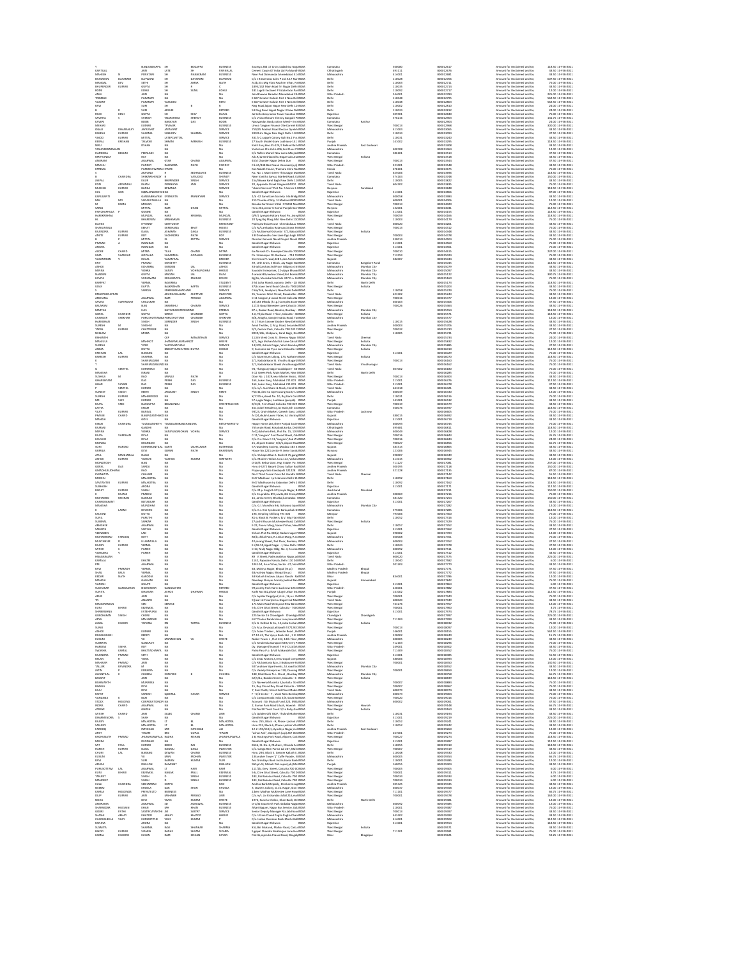| .<br>KANTILAL<br>MAHESH                                                                                                                                                                                                                                                                  | NANJUNDAPPA<br><b>SH</b><br>iain<br>POPATAN                           | BOGAPPA<br>SH<br>NANAKRAN                           | <b>BUSINESS</b><br>PANNALAL<br>BUSINESS | Soumya 284 17 Cross Sadashiya NasilNDIA                                                                                                                                                                                                    | Kamataka<br>Chhattisga<br>Maharash                                         |                                                              | 560080                     | 800012617<br>800012676<br>800012681 | Amount for Unclaimed and Uni                                                                                                  | 118.50 10-FEB-2011                                                                  |
|------------------------------------------------------------------------------------------------------------------------------------------------------------------------------------------------------------------------------------------------------------------------------------------|-----------------------------------------------------------------------|-----------------------------------------------------|-----------------------------------------|--------------------------------------------------------------------------------------------------------------------------------------------------------------------------------------------------------------------------------------------|----------------------------------------------------------------------------|--------------------------------------------------------------|----------------------------|-------------------------------------|-------------------------------------------------------------------------------------------------------------------------------|-------------------------------------------------------------------------------------|
| <b>BHAGWAN</b><br>DAYARAM                                                                                                                                                                                                                                                                | LATE<br>SH<br>SH<br>DATWAN                                            | DAYARAM                                             | DATWAN                                  | Cement Corpn Of India Ltd Po MandhNDIA<br>Near Prib Dalmandai Ahmedabad 414NDIA<br>C/o J B Overseas Sales P Ltd A 17 NariNDIA                                                                                                              | Delh                                                                       |                                                              | 493111<br>414001<br>110028 | 800012706                           | Amount for Unclaimed and University<br>Amount for Unclaimed and University<br>Amount for Unclaimed and University             | 48.50 10-FEB-2011<br>48.50 10-FEB-2011<br>607.50 10-FEB-2011                        |
| MANGAL<br>DEV<br><b>BHUPENDER</b><br>KUMAR                                                                                                                                                                                                                                               | SETHI<br>SH<br>SH<br><b>GUPTA</b>                                     | AMAR                                                | NATH                                    | A-2b,33c Mig Flats Paschim Vihar, NeINDIA<br>1895/142 Main Road Tri Nagar Delhi INDIA                                                                                                                                                      | Delhi<br>Delhi                                                             |                                                              | 110053<br>110035           | 800012711<br>800012714              | Amount for Unclaimed and Un<br>Amount for Unclaimed and Un                                                                    | 75.00 10 FEB-2011<br>43.50 10 FEB-2011                                              |
| ROMI<br>ANJU<br>TRIMBA                                                                                                                                                                                                                                                                   | KOHLI<br>ŚH<br>iain<br>Paran                                          | <b>SUNIL</b>                                        | KOHU                                    |                                                                                                                                                                                                                                            | Delhi                                                                      |                                                              | 110092<br>244001<br>110048 | 800012717<br>B00012784<br>B00012795 | Amount for Unclaimed and Uni                                                                                                  | 12.00 10 FEB-2011                                                                   |
| VASANT                                                                                                                                                                                                                                                                                   | PARANJP<br>VASUDED                                                    |                                                     | RETO                                    | 1805) (242 Meiri 1924) (11 Meight Den Paristic Lab<br>1811 Japiti Enclave I P Estate Extra Paristician<br>1811 Bizawan Baradari Monadabad 24-INDIA<br>18607 Greater Kaliash Part II New DeliNDIA<br>1818 Pada Jajara Nagar New Delini 118N | Uttar Pr<br>Delhi<br>Delhi<br>Delhi                                        |                                                              | 110048                     | 80001280                            | .<br>Amount for Unclaimed and Un<br>Amount for Unclaimed and Un<br>Amount for Unclaimed and Un<br>Amount for Unclaimed and Un | 225.00 10-FEB-2011<br>562.50 10-FEB-2011<br>562.50 10-FEB-2011<br>24.00 10-FEB-2011 |
| RAVI                                                                                                                                                                                                                                                                                     | sum<br>SURI<br>ARSURI                                                 |                                                     | RETIRED                                 | 53 Ring Road Lajpat Nagar 3 New DelINDIA                                                                                                                                                                                                   | Delhi                                                                      |                                                              | 110002<br>110024           | 800012810<br>800012812              | Amount for Unclaimed and Uni                                                                                                  | 24.00 10-FEB-2011                                                                   |
| RISHI<br>KÉSH<br><b>SAVITHA</b>                                                                                                                                                                                                                                                          | <b>GUPTA</b><br>SH.<br>SHENOY<br><b>VNARSHIMA</b><br>warayan          | <b>SHIV</b><br>SHENOY                               | DAYAL<br><b>BUSINESS</b>                | Jai Sellection nanak Tower Sanatan DINDIA<br>C/n V shareharam Shenny Ganerilli Piltillita                                                                                                                                                  | Rajastha<br>Kamataka                                                       |                                                              | 305901<br>576216           | 800012840<br>800012903              | Amount for Unclaimed and Un<br>Amount for Unclaimed and Un                                                                    | 25.00.10.658.2011<br>141.75 10 FEB-2011                                             |
| KAVER<br>MKHARI<br>OGALI                                                                                                                                                                                                                                                                 | soce<br><b>KUMAR</b><br>TPVNAIR<br>JAYAVANT                           | DAS                                                 | soos<br>BUSINESS<br>SERVICE             | .<br>Narayandas Boob,cotton Merch- EntsINDIA<br>Umna Tangam Finance 19e Cormel BINDIA<br>759/95 Prabhat Road Deccan GymkhiNDIA                                                                                                             | xamataka<br>West Bengal<br>Maharashtra                                     |                                                              | 700013                     | 80001290<br>80001296                | <b>Imount for Unclaimed and Un</b><br>Amount for Unclaimed and University<br>Amount for Unclaimed and University              | 24.00 10-FEB-2011<br>300.00 10-FEB-2011<br>43.50 10-FEB-2011                        |
| DHANANI<br>RAKESH<br>KUMAR<br>KUMAR                                                                                                                                                                                                                                                      | JAYAVANT<br>SHARMA<br>SUKHDEV<br>MITTAL<br>LATEPCMITTAL               | SHARMA                                              | SERVICE<br>SERVICE                      | 390 Rishi Nagar Rani Bagh Delhi 1100NDIA                                                                                                                                                                                                   | Delhi<br>Delhi                                                             |                                                              | 411004<br>110034           | B00013065<br>800013094<br>800013240 | Amount for Unclaimed and Un                                                                                                   | 37.50 10-FEB-2011<br>43.50 10 FEB-2011                                              |
| VINCO<br>KEWAL<br>KRISHAN<br>NINU                                                                                                                                                                                                                                                        | TALWAR<br>SHRAM<br>.<br>NA<br><b>DSHAH</b>                            | PARKASH                                             | <b>BUSINESS</b>                         | 331/c-2,rajgarh Colony Gali No.2 P.o. INDIA<br>27 South Model Gram Ludhiana-141 INDIA                                                                                                                                                      | Punjab                                                                     | East Godaya                                                  | 110031<br>141002           | 800013295<br>800013300              | .<br>Amount for Unclaimed and Un<br>Amount for Unclaimed and Un                                                               | 118.50 10 FEB-2011<br>43.50 10-FEB-2011                                             |
| VSSUNDER<br>BEGUN                                                                                                                                                                                                                                                                        | NA<br>NA<br>PEERLADE                                                  |                                                     | NA<br>NA<br>NA                          | Kokil Kunj Mno.55-124/2 Behind RailwNDIA<br>Yashshree Chs Ltd.b-206,2nd Floor PMNDIA<br>C/o Rafeez Manzil New Jurna MasjiedINDIA                                                                                                           | Furjas<br>Andhra Pradesh<br>Maharashtra<br>Kamataka                        |                                                              | 400708<br>586101           | B00013464<br>B00013513              | Amount for Unclaimed and Un<br>Amount for Unclaimed and Un<br>Amount for Unclaimed and Un                                     | 12.00 10-FEB-2011<br>37.50 10-FEB-2011                                              |
| HAMEEDA<br>MRITYUNJAY<br>ANUPAM                                                                                                                                                                                                                                                          | NA<br>RAY<br>AGARWAL<br>GYAN                                          | CHAND                                               | NA<br><b>AGA/tWAL</b>                   | A.b.9/12 Deshbandhu Nagar CalcuttaINDIA<br>45/d Chander Nagar Dehra Dun<br>INDIA                                                                                                                                                           | West Bengal<br>West Bengal                                                 | Kolkata                                                      | 700013                     | 800013518<br>800013544              | Amount for Unclaimed and Un<br>Amount for Unclaimed and Un                                                                    | 43.50 10-FEB-2011<br>37.50 10 FEB 2011                                              |
| MADHU<br>KPREMA                                                                                                                                                                                                                                                                          | PANDEY<br><b>BAJENDRA</b><br><b>PARMIES HWA</b><br>HWIFE              | NATH                                                | PANDEY                                  | C k 65/348 Bari Deggri Varamasi (u n) INDIA                                                                                                                                                                                                | Uttar Pradesh                                                              |                                                              | 221001                     | 800013548                           | Amount for Unclaimed and Un                                                                                                   | 43.50 10 FEB-2011                                                                   |
| CHANDRA                                                                                                                                                                                                                                                                                  | SHEKARSHENOY                                                          | SESHASAYEE<br>VASUDEO                               | NA<br>BUSINESS<br>SHENOY                | Kan Nalath House, Thamara Chira RoaWDIA<br>R.c. No. 1 Mari Street Thirunagar MalNDIA<br>Near Vanitha Samaj, Market Road, KaWDIA                                                                                                            | Kerala<br>Tamil Nadu<br>Kamataka                                           |                                                              | 678101<br>625006<br>574104 | 800013675<br>800013696<br>800013748 | Amount for Unclaimed and University<br>Amount for Unclaimed and University<br>Amount for Unclaimed and University             | 75.00 10-FEB-2011<br>118.50 10-FEB-2011<br>150.00 10-FEB-2011                       |
| JASPAL<br>PON<br>APPANDAI                                                                                                                                                                                                                                                                | KALIR<br>EHUPINDER<br>RAJAN<br>PONNANA                                | SINGH<br>IAIN                                       | SERVICE<br>SERVICE                      | 15a/56wea Karol Bagh New Delhi 110NDIA<br>20, Appandai Street Gingee 604202 NDIA                                                                                                                                                           | Delhi<br><b>Tamil Nadu</b>                                                 |                                                              | 110005<br>604202           | 800013822<br>800013835              | Amount for Unclaimed and Un<br>Amount for Unclaimed and Un                                                                    | 43.50 10-FEB-2011<br>75.00 10 FEB-2011                                              |
| MUKESH<br>KUMAR<br>duit                                                                                                                                                                                                                                                                  | BANKA<br><b>BPBANKA</b>                                               |                                                     | SERVICE                                 | "shashi Services" Plot No. 5 Sector 6 RNDIA<br>Gandhi Nagar Bhilwara<br>1/b -42 Sarvottam Sociiety - Ha BridgeNDM                                                                                                                          | Haryana<br>Rajasthan<br>Maharashti                                         | Faridabac                                                    |                            | 800013848                           | Amount for Horlaimed and Ho                                                                                                   | 11850 10/FR2011                                                                     |
| COL<br>KAPUGANT<br>MM                                                                                                                                                                                                                                                                    | .<br>Gealsinghdhoi<br>Gangabhavani<br><b>KVENKATA</b><br>SADAKATHULLA | MANICYAM                                            | NA<br>SERVICE                           |                                                                                                                                                                                                                                            |                                                                            |                                                              | 311001<br>400058<br>600001 | 800013866<br>800013984              | Amount for Unclaimed and University<br>Amount for Unclaimed and University                                                    | 87.00 10-FEB-2011<br>43.50 10-FEB-2011<br>12.00 10-FEB-2011                         |
| MD<br>RAMA<br>SAROJ                                                                                                                                                                                                                                                                      | NA<br>NA<br>MOHAN<br>MITTAL<br>RAM                                    | DHAN                                                | NA<br>NA<br>MITTAL                      | 215 Thambu Chity St Madras 600001NDIA<br>Benaka Car Street Vittal 574243 MariNDIA<br>H.no.262,sector-6 Karnal Punjab KarnINDIA                                                                                                             | <b>Tamil Nadu</b><br>West Bengal<br>Haryana                                |                                                              | 700013<br>132001           | B00014006<br>B00014020<br>800014041 | Amount for Unclaimed and Un<br>Amount for Unclaimed and Un<br>Amount for Unclaimed and Uni                                    | 75.00 10-FEB-2011<br>112.50 10-FEB-2011                                             |
| PANCHAPHULA<br>HAREKRISHNA                                                                                                                                                                                                                                                               | <b>GURMS</b><br>NA<br>HARE<br><b>MUNDAL</b>                           | KRISHNA                                             | NA.<br>MUNDAL                           | .<br>Gandhi Nagar Bhilwara<br>G/9/1 Jyangra Hatiara Road Po. JyangINDIA                                                                                                                                                                    | falasthan<br>West Bengal                                                   |                                                              | 311001<br>700055           | 800014155<br>800014166              | Amount for Unclaimed and Un<br>Amount for Unclaimed and Un                                                                    | 11850 10/FR2011<br>118.50 10 FEB-2011                                               |
| DAVIES                                                                                                                                                                                                                                                                                   | MISHARM<br>PHARTIMA<br>COMMUNIV<br>muwn                               |                                                     | BUSINESS<br>MERCHANT                    | 20 iyya yangin masu mosa eti. yanginoo<br>20 Tyag Raj Marg Mkt New Delhi 110NDIA<br>Padinjarathala House Chembokasu TINDIA<br>C/o M/s.ambadas Ratansao,kirana MNNDIA                                                                       | nen unga<br>Delhi<br>Tamil Nadu                                            |                                                              | 110003<br>600020           | 800014179<br>B00014201<br>B00014312 | Amount for Unclaimed and University<br>Amount for Unclaimed and University<br>Amount for Unclaimed and University             | 75.00 10-FEB-2011<br>43.50 10-FEB-2011<br>75.00 10-FEB-2011                         |
| SHAKUNTALA<br>RAJENDRA<br>KUMAR                                                                                                                                                                                                                                                          | KBHAT<br>DAGA<br>ASKARAN                                              | BHAT<br>DAGA                                        | HOUSE<br><b>BUSINESS</b>                | C/o Multanmal Kishanlal 7/2, BabulalNDIA                                                                                                                                                                                                   | West Bengal<br>West Bengal                                                 | Kolkata                                                      | 700013                     | 800014348                           | Amount for Unclaimed and Un                                                                                                   | 43.50 10 FEB-2011                                                                   |
| AMITE<br>KUMAR<br>PRASAN                                                                                                                                                                                                                                                                 | SACHINDRA<br>ROY<br>MITTAL<br>'n<br>NAMDA                             | NATH<br>MITTAL                                      | <b>RDY</b><br>SERVICE                   | 3 B Dinabandhu Sen Lane Opp.bagh BNDIA<br>Director General Naval Project Naval INDIA                                                                                                                                                       | .<br>West Bengal<br>Andhra Pradesi                                         |                                                              | 700003<br>530014           | 800014478<br>800014504<br>800014560 | .<br>Amount for Unclaimed and Un<br>Amount for Unclaimed and Un                                                               | 43.50 10 FEB-2011<br>75.00 10 FEB 2011                                              |
| ANGHA<br>ALOKE<br>CHAND                                                                                                                                                                                                                                                                  | NA<br>INAMDAR<br>MITRA<br>NA<br>TILAK                                 | CHAND                                               | NA<br>NA<br>MITRA                       |                                                                                                                                                                                                                                            | <b>Rajasthan</b><br>itajasthan<br>West Bengal                              |                                                              | 311001<br>311001           | 80001456                            | Amount for Unclaimed and Un<br>Amount for Unclaimed and Un<br>Amount for Unclaimed and Un                                     | 75.00 10-FEB-2011<br>75.00 10-FEB-2011<br>237.00 10-FEB-2011                        |
| <b>UMA</b><br>SHANKAR<br>VASANTIBEN                                                                                                                                                                                                                                                      | <b>GOPALKA</b><br>SAGARMAL<br><b>BAVAL</b><br>VASANTLAL               | GOPALKA                                             | <b>BUSINESS</b><br>anoxen               | Po. Sitarampur Dt. Burdwan - 713 55/NDIA<br>Shri Vinod V.raval, 328-1, dee Ashish SINDIA                                                                                                                                                   | West Bengal<br>Gujarat                                                     |                                                              | 700010<br>713559<br>382007 | 800014615<br>800015024<br>800015044 | Amount for Unclaimed and Un<br>Amount for Unclaimed and Un                                                                    | 75.00 10-FEB-2011<br>43.50 10-FEB-2011                                              |
| KNV                                                                                                                                                                                                                                                                                      | PRASAD<br>KSNSETTY<br><b>KCHABRU</b>                                  | u                                                   | <b>BUSINESS</b>                         | 39, 10th Cross, Il Block, Jay Nagar BarlNDIA                                                                                                                                                                                               | Kamataka                                                                   |                                                              |                            | 800015045<br>BODD 507               | Amount for Unclaimed and Un                                                                                                   | 118.50 10 FEB-2011                                                                  |
| ASHOK<br>MINNA<br>NANDINI                                                                                                                                                                                                                                                                | KUNDEN<br>SANJIV<br>MADAN<br>KLINKIN<br>VÕHRA<br>GUPTA                | <b>OHRASVOHR</b><br>щ                               | ASHOK<br>HHOLD<br>DAYA                  | Say Jour Lives, a week, say regar territory<br>33-jal Darshan,3rd Floor Bldg.no.4 NKNDIA<br>4-aracat-89,medow Street,fort BombaNDIA                                                                                                        | Maharashtra<br>Maharashtra<br>Maharashtra                                  | Bangalore Rural<br>Mumbai City<br>Mumbai City<br>Mumbai City |                            | BOOD1509<br>800015122               | Amount for Unclaimed and Un<br>Amount for Unclaimed and Un<br>Amount for Unclaimed and Un                                     | 48.50 10-FEB-2011<br>48.50 10-FEB-2011<br>390.75 10-FEB-2011                        |
| KAVITA<br>RAMPAT                                                                                                                                                                                                                                                                         | SODHWANI<br>KRISHNAPPA<br>VERMA<br>RAVERMA                            | MAIDAN                                              | ERVICE<br>STUDENT                       | Bg/9a, Munirka Dda Flats 327 D.n. RdNDIA<br>2-54 Loha Mandi ,naraina Delhi - 28 INDIA                                                                                                                                                      | Maharashtra<br>Delhi                                                       | Mumbai City<br>North Delhi                                   |                            | 800015160<br>800015173              | Amount for Unclaimed and Un<br>Amount for Unclaimed and Un                                                                    | 75.00 10-FEB-2011<br>118.50 10-FEB-2011                                             |
| UDAY                                                                                                                                                                                                                                                                                     | <b>KAPTA</b><br>BALKRISHAN<br>sanou                                   | <b>KAPTA</b>                                        | <b>BUSINESS</b>                         | 37/b.town Send Road Calcutta 70002NDIA                                                                                                                                                                                                     | West Bengal                                                                | Kolkata                                                      | 110051                     | 800015203                           | Amount for Unclaimed and Uni                                                                                                  | 43.50 10 FEB-2011                                                                   |
| <b>BMARTHFNADDAN</b>                                                                                                                                                                                                                                                                     |                                                                       | EDKRISHNAMACH<br>ARUNACHALLAM<br>CHETTLES<br>PRASAD | SERVICE<br>INVESTOR<br>AGARWA           | C-6a/24b, Janakpuri, New Delhi Delhi NDIA<br>35, Voorani West Street, Devaloptiai - INDIA<br>35, Voorani West Street, Devaloptiai - INDIA                                                                                                  | .<br>Delhi<br>Tamil Nadu                                                   |                                                              | 623302<br>700016           | B00015229<br>B00015243<br>80001537  | Amount for Unclaimed and University<br>Amount for Unclaimed and University                                                    | 75.00 10-FEB-2011<br>43.50 10-FEB-2011                                              |
| ARDHANA<br>SAVITA<br>SURYAKAN<br>BALARAM                                                                                                                                                                                                                                                 | RAM<br>NA<br>AGARWAL<br>CHAULKAR<br>NAG<br>SHAMBHU                    | CHARAN                                              | NA<br>SERVICE                           | C-11 Sangam,2-wood Street Calcutta-INDIA<br>10/183 Mhada (h.i.g.) Complex Excer INDIA<br>11/1b Gopal Banerjee Lane Calcutta 3NDIA                                                                                                          | West Bengal<br>Maharashtra<br>West Bengal                                  |                                                              | 400103<br>700026           | 80001540<br>800015464               | Amount for Unclaimed and Un<br>Amount for Unclaimed and Un<br>Amount for Unclaimed and Uni                                    | 12.00 10-FEB-2011<br>37.50 10-FEB-2011<br>43.50 10-FEB-2011                         |
| <b>MARTHA</b><br>GOPAL<br>CHANDER                                                                                                                                                                                                                                                        | LUIS<br>NATIVIDADEPER<br><b>GUPTA</b><br>GIRISH                       | NO.<br>CHANDER                                      | <b>RTDBUS</b><br>GUPTA                  | 87-c. Bazaar Road, Bandra, Bombay - INDIA<br>4 A. Titiala Boart I Floor, Calcuma - ASINDIA                                                                                                                                                 | Maharashtra<br>West Beneal                                                 | Mumbai City<br>Kolkata                                       |                            | 800015554<br>800015571              | Amount for Unclaimed and Un<br>Amount for Unclaimed and Un                                                                    | 11850 10/FR2011<br>118.50.10.FFR.2011                                               |
| CHAND <sup>FE</sup><br>SHEKHAR<br>HARKISHAN                                                                                                                                                                                                                                              | PURUSHOT<br>PURUSHOTTAN                                               | CHANDEI<br>SINGH                                    | SHEKHA                                  | 19, Ingels Hotel, Cancel & Press, 2012<br>8/8, Anagha, Sarojini Naidu Road, TariNDIA<br>8. 17 Man Sarover Graden New Delhi INDIA<br>Arnul Textiles, 2, M.g. Road, SecunderNDIA                                                             | Maharashtri                                                                | Mumbai City                                                  | 110015                     | 80001557<br>800015628               | Amount for Unclaimed and University<br>Amount for Unclaimed and University<br>Amount for Unclaimed and University             | 12.00 10-FEB-2011                                                                   |
| SURESH<br><b>TAPAS</b><br>KUMAR                                                                                                                                                                                                                                                          | SINGH<br>SINGHVI<br>SURINDER<br>NA<br>CHATTERIEE<br>NA                |                                                     | <b>BUSINESS</b><br>NA<br>NA             | 9/2, Central Park, Calcutta 700 032 CINDIA                                                                                                                                                                                                 | Delhi<br>Andhra Pradesh<br>West Bengal                                     |                                                              | 500003<br>700032           | 80001570<br>800015730               | Amount for Unclaimed and Un                                                                                                   | 43.50 10-FEB-2011<br>43.50 10-FEB-2011<br>37.50 10-FEB-2011                         |
| NEELAM<br>RSHANTHI                                                                                                                                                                                                                                                                       | MISRA<br><b>NA</b><br>$_{\infty}$                                     | <b>BANANTHAN</b>                                    | NA<br>SERVICE                           | 8939/14b, Shidipura, Karol Bagh, NeilNDIA<br>11,5th West Cross St. Shenoy Nagar NNDIA                                                                                                                                                      | Delhi<br><b>Tamil Nadu</b>                                                 | Chermai                                                      | 110005                     | 800015731<br>800015734              | .<br>Amount for Unclaimed and Un<br>Amount for Unclaimed and Un                                                               | 75.00 10 FEB-2011<br>24.00 10 FEB 2011                                              |
| MANJUA                                                                                                                                                                                                                                                                                   | MAHNOT                                                                | <b>HANWARLALMAH</b>                                 | HWIFE<br>SERVICE                        | 8/2, Jaga Mohan Mullick Lane CalcuttNDIA                                                                                                                                                                                                   | West Bengal                                                                | Kolkata                                                      |                            | 800015832<br>80001588               | Amount for Unclaimed and Un                                                                                                   | 12.00 10-FEB-2011                                                                   |
| SURESH<br>ASIMA<br>KRISHAN<br>LAL                                                                                                                                                                                                                                                        | YIYER<br>DUTTA<br>NARANG<br>NA                                        | VAIDYANATHAN<br>BNDUTTAASHUTOSH DUTTA               | HHOLD                                   | 14/209, Adrash Nagar, Worli BombayINDIA<br>9, Surendra Lal Pyne Lane Calcutta 12NDIA                                                                                                                                                       | Maharashtra<br>West Bengal<br>Rajasthar                                    | Mumbai City<br>Kolkata                                       | 311001                     | 800016010<br>800016029              | Amount for Unclaimed and Un<br>Amount for Unclaimed and Un<br>Amount for Unclaimed and Un                                     | 37.50 10-FEB-2011<br>112.50 10-FEB-2011<br>75.00 10-FEB-2011                        |
| RAMESH<br>KUMAR                                                                                                                                                                                                                                                                          | SHARMA<br>NA<br>SHANIMUGAM<br>NA                                      |                                                     | NA<br>NA<br>NA                          | Gandhi Nagar Bhilwara (NDIA)<br>C/o Aluminium Udyog, 174, MahatmaNDIA<br>2/1. Kadalaikarar St. Virudhu Nagar (SNDIA                                                                                                                        | West Bengal<br>West Beneal                                                 | Kolkata                                                      | 700013                     | 800016070<br>800016160              | Amount for Unclaimed and Un<br>Amount for Unclaimed and Un                                                                    | 118.50 10-FEB-2011<br>75.00 10 FEB-2011                                             |
| SENTHI                                                                                                                                                                                                                                                                                   | SHANMUGAS<br>KUMARAN<br>WA<br>NA<br>NA                                |                                                     | NA<br>NA<br>NA                          | 2/2, Nadalaikarar Street VirudhunagaiNDIA<br>94, Thangaraj Nagar Cuddalpore - 603NDIA<br>5-12 Green Park, Main Market, New DNDIA                                                                                                           | Tamil Nadu<br>Tamil Nadu                                                   | Virudhu                                                      | 607003                     | 800016162<br>80001618               | Amount for Unclaimed and University<br>Amount for Unclaimed and University<br>Amount for Unclaimed and University             | 75.00 10-FEB-2011<br>75.00 10-FEB-2011<br>75.00 10-FEB-2011                         |
| MANISHA<br>SUSHILA<br>M                                                                                                                                                                                                                                                                  | <b>SRANI</b><br><b>BAO</b><br>MANJU                                   | NATH                                                |                                         | Door No. I, 1029,near Master Mosic, INDIA                                                                                                                                                                                                  | Delhi<br>West Bengal                                                       | North Delh                                                   | 700013                     | 800016285<br>800016303              | Amount for Unclaimed and Un                                                                                                   | 43.50 10 FEB-2011                                                                   |
| GHANSHYAN<br>GHAN<br>SHYAM                                                                                                                                                                                                                                                               | DAS<br>PRIBH<br>DAS<br>PRIBH                                          | DAS<br>DAS                                          | H<br>BUSINESS<br><b>BUSINESS</b>        | 164, Luker Gani, Allahabad 211 001 INDIA<br>164, Luker Gani, Allahabad 211 001 INDIA                                                                                                                                                       | <b>Uttar Pradesh</b><br>Uttar Pradesh                                      |                                                              | 211001<br>211001           | 800016376<br>800016378              | Amount for Unclaimed and Un<br>Amount for Horlaimed and Ho                                                                    | 112.50 10-FEB-2011<br>375010/662011                                                 |
| SENTHIL<br>SINGH<br>.<br>SUILIEFT                                                                                                                                                                                                                                                        | NA<br>IASWAN<br>KUMAR<br>REKHI                                        | SINGE                                               | NA<br>REKHI                             | Co.m/s. San Share & Stock, Hotel SkyNDIA<br>Plot 41,devi Co Op Housing Socity LtdNDIA<br>X/1745-a,street No. 10, Raj Garh ColoNDIA<br>S7-a,agar Nagar, Ludhiana (punjab) - INDIA<br>S7-a,agar Nagar, Ludhiana (punjab) - INDIA             | Tamil Nadu<br>Maharashtr                                                   |                                                              | 641018<br>400045           | 800016421<br>800016430              | Amount for Unclaimed and University<br>Amount for Unclaimed and University                                                    | 43.50 10-FEB-2011                                                                   |
| KUMAR<br>SURESH<br>MR<br>SHIV                                                                                                                                                                                                                                                            | NA<br>NA<br>MAHINI<br>KUMAR                                           |                                                     | NA<br>NA                                |                                                                                                                                                                                                                                            | Delhi<br>Punjab                                                            |                                                              | 110031<br>141001           | 800016516<br>800016532              | Amount for Unclaimed and Un<br>Amount for Unclaimed and Un                                                                    | 75.00 10-FEB-2011<br>43.50 10-FEB-2011                                              |
| RAJYA<br>SREE<br>LATHA                                                                                                                                                                                                                                                                   | DASGUPTA<br><b>BIMALENDS</b><br><b>KNAIR</b><br>NA                    |                                                     | <b>HWIFETEACHER</b><br>NA<br>NA         | 8/53/1, Fem Road, Calcutta 700 019 INDIA<br>451 nobel Residency ist Main 6th CroINDIA                                                                                                                                                      | West Bengal<br>Kamataki                                                    |                                                              | 700019<br>560076           | 800016579<br>800016597              | Amount for Unclaimed and Un<br>Amount for Unclaimed and Un                                                                    | 43.50 10-FEB-2011<br>118.50 10 FEB-2011                                             |
| VUAY<br>KUMAR<br>PRAVID<br>CHAND                                                                                                                                                                                                                                                         | BANSAL<br>$M\Delta$<br><b>NAGINDASTH</b>                              |                                                     |                                         | 93/23, Grain Market, Ganesh Gani, LUNDIA                                                                                                                                                                                                   | Uttar Pradesh<br>Gujarat                                                   | Lucknow                                                      | 380015                     | 800016605<br>800016692              | Amount for Unclaimed and Un                                                                                                   | 75.00 10 FEB 2011<br>43.50 10-FEB-2011                                              |
| MANISH<br><b>CHANDRA</b><br>KIRAN                                                                                                                                                                                                                                                        | GOEL<br>TULSIDASSHETH                                                 | TULSIDASKIRANCHANDRA                                | RETOHWIFESTU                            | A-124, shuth facent Flates, At. VastraphDIA<br>Gandhi Nagar Bhilwara (KDIA<br>Happy Home 265, shere Punjab SocietNDIA                                                                                                                      | Rajasthan<br>Maharashtra                                                   |                                                              | 311001<br>400093           | 800016719<br>800016745              | Amount for Unclaimed and University<br>Amount for Unclaimed and University<br>Amount for Unclaimed and University             | 43.50 10-FEB-2011<br>75.00 10-FEB-2011                                              |
| RAJRAN<br>MINNA                                                                                                                                                                                                                                                                          | GANDHI<br>NA<br>VOHRA<br>.<br>Na                                      | SANJIVJAGMOHAN VOHRA                                | NA<br>SERVICE                           | 765, main Road, Kosabadi, korba, Dist#NDIA<br>A-42,dakshina Park, Plot No. 15, 10thINDIA<br>C-11,"sangam" 2nd Wood Street, CaldNDIA                                                                                                        | Chhattisgarh<br>Maharashtra<br>West Bengal                                 |                                                              | 495681<br>400049           | 800016811<br>800016828              | Amount for Unclaimed and Un<br>.<br>Amount for Unclaimed and Un<br>Amount for Unclaimed and Un                                | 118.50 10-FEB-2011<br>12.00 10 FEB 2011                                             |
| <b>RAJYA</b><br>VARDHAN<br>KAUSHI                                                                                                                                                                                                                                                        | DÉVA<br>DEVA                                                          |                                                     | <b>NA</b>                               |                                                                                                                                                                                                                                            | west Bengal<br>West Bengal                                                 |                                                              | 700016<br>700016           | 800016843<br>BODDLARA               | Amount for Unclaimed and Un                                                                                                   | 35.25 10 FEB 2011<br>24.00 10 FEB 2011                                              |
| MONICA<br>HARSAD<br>SONI<br>URMLA                                                                                                                                                                                                                                                        | BHANDARI<br>KUMARKANTI<br>KANTI<br>DEVI<br>KLRAM                      | LALHKUMAR<br>NATH                                   | NA<br>BUSHHOLD<br><b>BHARDWAI</b>       | C-12, surger and victor areas, carriers<br>C/o. R.v. Deva C-11,"sangam",2nd WolNDIA<br>21, Alipore Estater, 8/6/1,alipore RoalNDIA<br>57,ratandeep Society, Modasa 383 33NDIA<br>House No.1221, sector-9, (near SanataNDIA                 | Gujarat<br>Haryana                                                         |                                                              | 70002<br>383315<br>121006  | 80001685<br>800016865<br>800016945  | Amount for Unclaimed and Un<br>Amount for Unclaimed and Un<br>Amount for Unclaimed and Un                                     | 66.75 10-FEB-2011<br>43.50 10-FEB-2011<br>43.50 10-FEB-2011                         |
| <b>ATUL</b><br>MANHARLAL<br><b>ASHOR</b><br>KUMAR                                                                                                                                                                                                                                        | DAGLI<br>NA<br>VGHATE<br>VASHOR                                       | KUMAR                                               | NA<br>SERHWIFE                          | C/o. Sh.bipin Bhai A. Doshi B-75 gang/NDIA<br>C/o. Modem Tailors S.no.112, Vishar INDIA                                                                                                                                                    | Gujarat<br>Maharashtra                                                     |                                                              | 390007<br>411015           | 800016949<br>800016962              | Amount for Unclaimed and Un<br>Amount for Unclaimed and Un                                                                    | 43.50 10 FEB-2011<br>12.00 10 FEB-2011                                              |
| MONOTOSH<br>DAS                                                                                                                                                                                                                                                                          | NAG<br>SARDA<br>NA<br>NA<br>NA                                        |                                                     | NA<br>NA<br>NA                          | Cro. modeli andra Silocazz, visitantovo<br>1920/3. Bebur Govt. Hig. Estate. Po. SINDIA<br>1920/2012 Sala Kandapali 521228 - INDIA<br>Prajazyoya Sala Kandapali 521228 - INDIA                                                              | West Bengal<br>Andhra Pradesh<br>Andhra Pradesh                            |                                                              | 711223<br>500195           | anno 208<br>80001711                | Amount for Unclaimed and Un<br>Amount for Unclaimed and Un<br>Amount for Unclaimed and Un                                     | 237.00 10-FEB-2011<br>150.00 10-FEB-2011<br>87.00 10-FEB-2011                       |
| GOPAL<br>GOPAL<br>GMADHUSUE<br>KVENKATA                                                                                                                                                                                                                                                  | <b>NAO</b><br>CHALAM                                                  |                                                     |                                         | No.2 Third Cansal Cross Rd. Gandhi NINDIA                                                                                                                                                                                                  | <b>Tamil Nadu</b>                                                          | Chennai                                                      | 521228                     | 800017135<br>800017142              | Amount for Unclaimed and Un                                                                                                   | 55.50 10 FEB 2011                                                                   |
| MODHU<br>SAVTANTER<br>KUMAR                                                                                                                                                                                                                                                              | NA NA NA NA NA<br>MALHOTRA<br>MALHOTRA                                |                                                     | NA<br>NA                                | 8-47 Madhuan I-p Extansion Delhi 11INDIA                                                                                                                                                                                                   | Delhi<br>Delhi                                                             |                                                              | 110092<br>110092           | 800017160<br>800017162              | Amount for Unclaimed and Un<br>Amount for Unclaimed and Uni                                                                   | 118.50 10-FEB-2011<br>118.50 10 FEB-2011                                            |
| SUBHASH<br>RANJIT<br><b>KLIMAA</b>                                                                                                                                                                                                                                                       |                                                                       |                                                     | NA<br>NA<br>NA<br>NA<br>NA              | B-47 Madhuvan I-p Extansion Delhi 17NDIA<br>Gandhi Nagar Bhilwara<br>C/o. M.p. Singh B-201 Joayla Nagar, BJNDIA                                                                                                                            |                                                                            | Dhanhar                                                      | 311001                     | 800017171<br>800017211              | Amount for Unclaimed and University<br>Amount for Unclaimed and University                                                    | 112.50 10-FEB-2011<br>150.00 10-FEB-2011<br>75.00 10-FEB-2011                       |
| RAJANI<br>MÉERAN<br>MOHAMED                                                                                                                                                                                                                                                              | ARORA<br>SINGH<br>PRABHU<br>DAMUDI                                    |                                                     |                                         | C/o K.s.prabhu 891,savita,4th Cross,2INDIA<br>16, Jamia Street, Bhatkal,kamataka NNDIA                                                                                                                                                     | i<br>Kajasthan<br>Andhra Pradesi<br>Kamataka                               |                                                              | 500069<br>581320           | 800017216<br>80001725               | Amount for Unclaimed and Un<br>Amount for Unclaimed and Un                                                                    | 150.00 10-FEB-2011                                                                  |
| CHANDRAKANT<br>MANISHA                                                                                                                                                                                                                                                                   | BOTADKAR<br>NA<br>MUNDHRA                                             |                                                     | NA                                      | Gandhi Nagar Bhilwara<br><b>INDIA</b><br>C/o. G.I. Mundhra B-6, Ashiyana ApartNDIA                                                                                                                                                         | Rajasthan<br>Maharashtra                                                   | Mumbai City                                                  | 311001                     | 800017267<br>800017282              | Amount for Unclaimed and Un<br>Amount for Unclaimed and Un                                                                    | 43.50 10-FEB-2011<br>12.00 10 FEB-2011                                              |
| LAXM<br>KALYANI                                                                                                                                                                                                                                                                          | NA NA NA NA NA NA<br>DEVIKINI<br><b>DUTTA</b>                         |                                                     |                                         | C/o. K.s. Kini Syndicate Bank ashok NJNDIA                                                                                                                                                                                                 | Kamataka<br>Manipur                                                        |                                                              | 575006<br>793001           | 800017285<br>80001730               | Amount for Unclaimed and Un                                                                                                   | 118.50 10 FEB-2011<br>75.00 10-FEB-2011                                             |
| SUNIL<br>SUBIMAL                                                                                                                                                                                                                                                                         | parlithi<br>Sarkar                                                    |                                                     |                                         | Cro. K.s. Kim Syntricate Bank, astron NINDIA<br>196, Umpling Shillong 793 006 MDIA<br>81-a, Block B, Pocket-u & V. Mig FlatsINDIA<br>27, sashi Bhusan Mukherjee Road, CaliNDIA                                                             | Delhi<br>West Bengal                                                       | Kolkata                                                      | 110052                     | 800017316<br>800017329              | Amount for Unclaimed and University<br>Amount for Unclaimed and University<br>Amount for Unclaimed and University             | 12.00 10-FEB-2011<br>75.00 10-FEB-2011                                              |
| <b>ABHISHEK</b><br>SANGITA                                                                                                                                                                                                                                                               | AGARWAL<br>SANYAL                                                     |                                                     |                                         | E-22, Poorvi Marg, Vasant Vihar, NewINDIA                                                                                                                                                                                                  | Delhi<br>falasthan                                                         |                                                              | 110057<br>311001           | 800017352<br>800017362              | Amount for Unclaimed and Un                                                                                                   | 43.50 10 FEB-2011<br>37.50 10 FEB-2011                                              |
| VEENABEN<br>MOHAMMAT<br>FAROOC                                                                                                                                                                                                                                                           | <b>LAD</b>                                                            |                                                     |                                         | Gandhi Nagar Bhilwara (NDIA)<br>Shham Plot No.308/2, Kadomnagar NNDIA                                                                                                                                                                      | Guiarat                                                                    |                                                              | 390002<br>40000            | 800017393<br>80001745               | .<br>Amount for Unclaimed and Un<br>Amount for Unclaimed and Un<br>Amount for Unclaimed and Un                                | 12.00 10 FEB 2011<br>75.00 10-FEB-2011                                              |
| MUSTANSIR<br>KUMA<br>RAJEEV                                                                                                                                                                                                                                                              | BUTT<br>LILAMWALA<br>NA<br>NA<br>NA<br>VERMA                          |                                                     | NA NA NA NA NA NA NA                    | Sinum Processing a, Kanadingga President<br>80/b,chikal Para, R.s.nikar Marg, R.notNDIA<br>42,sarang Street, 2nd Floor, Bombay (NDIA<br>E-1/58-59,Jajpat Nagar - I, New Delhi 3NDIA                                                        | Maharashtra<br>Maharashtra<br>Delhi                                        |                                                              | 400003<br>110024           | 80001745<br>800017478               | Amount for Unclaimed and Un<br>Amount for Unclaimed and Un                                                                    | 37.50 10-FEB-2011<br>37.50 10-FEB-2011                                              |
| SATISH<br>VISHAKHA                                                                                                                                                                                                                                                                       | PARKH<br>NA<br>NA<br>PARKH                                            |                                                     | NA<br>NA                                | C-10. Mulli Naear Blde, No. 3, S.v.roadNDIA<br>Gandhi Nagar Bhilwara<br>INDIA                                                                                                                                                              | Maharashtra<br>Rajasthan                                                   |                                                              | 400092<br>311001           | 800017511<br>800017512              | Amount for Unclaimed and Un<br>Amount for Unclaimed and Uni                                                                   | 12.00 10 FEB-2011<br>43.50 10 FEB-2011                                              |
| HNAGARAJAN<br>KAMALA                                                                                                                                                                                                                                                                     | NA                                                                    |                                                     | NA                                      | 89 V Street, Padmanabhay Nasar adINDIA                                                                                                                                                                                                     | <b>Tamil Nadu</b>                                                          |                                                              | 600020<br>11004            | 800017575<br>BODD 2582              | Amount for Unclaimed and Un                                                                                                   | 225.00.10.658.2011                                                                  |
| RAVI<br>PRAKASE                                                                                                                                                                                                                                                                          | NA<br>NA<br>NA<br>KHATRI<br>AGARWA<br>VERMA                           |                                                     | NA<br>NA<br>NA                          | 1142, Paposian Narala, Delhi 110 040NDIA<br>1041-54, Arun Vihar, Sector -37, NoidNDIA<br>48, Malviya Nagar, Bhopal (m.p.) NDIA                                                                                                             | Delhi<br>Uttar Pradesh<br>Madhya Pradesi                                   | šhopa                                                        | 20130                      | 50001773<br>800017771               | Amount for Unclaimed and Un<br>Amount for Unclaimed and Un<br>Amount for Unclaimed and Un                                     | 6.00 10-FEB-2011<br>43.50 10-FEB-2011<br>37.50 10-FEB-2011                          |
| SHAIL<br>BALA<br>NATH<br>KEDAR                                                                                                                                                                                                                                                           | VERMA<br>NA<br>NA<br>GARDDU                                           |                                                     | NA<br>NA                                | 48, mahiya Nagar, Bhopal (m.p.) NDIA<br>3d Kallash Enclave, Lalpur, Ranchi RaINDIA                                                                                                                                                         | Madhya Pradesh<br><b>Bihan</b>                                             | <b>Bhopal</b>                                                | 834001                     | 800017772<br>800017786              | Amount for Unclaimed and Un<br>Amount for Unclaimed and Un                                                                    | 37.50 10-FEB-2011<br>12.00 10-FEB-2011                                              |
| MANISH<br>VANESH                                                                                                                                                                                                                                                                         | GAGLANI<br>NA<br><b>GULATI</b><br>Nicitaristas                        |                                                     | <b>NA</b><br>NA<br>RETIRED              | Nandeep Shreyas Sociaty, belind RaceNDIA<br>.<br>Gandhi Nagar Bhihwara<br>99.society Park Nami Lucknow-226 OINDM                                                                                                                           | Guianat                                                                    | Ahmedabad                                                    | 311001<br>226001           | 800017842<br>B00017863<br>B00017882 | Amount for Unclaimed and Uni<br><b>Amount for Unclaimed and Unit</b><br>Amount for Unclaimed and Uni                          | 75.00 10 FEB-2011<br>6.00 10-FEB-2011                                               |
| SUNITA<br>ARUN                                                                                                                                                                                                                                                                           | DHAWAN<br>ASHOK<br>NA                                                 |                                                     | HHOLD<br>NA                             | Kothi No 582 phase Ldugri Urban EstaNDIA<br>C/o Jupiter Cargo(pvt.) Ltd., 16,n.s. RdNDIA                                                                                                                                                   | Punjab<br>West Bengal                                                      |                                                              | 141002                     | B00017884<br>B00017940              | Amount for Unclaimed and Un<br>Amount for Unclaimed and Un                                                                    | 112.50 10-FEB-2011<br>75.00 10-FEB-2011                                             |
| TN                                                                                                                                                                                                                                                                                       | <b>JAJN</b><br>ANANTH<br>NA                                           |                                                     | NA                                      | 9 /rear ht Flooringhru Nagar lind MailNDIA                                                                                                                                                                                                 | <b>Tamil Nadu</b>                                                          |                                                              | 700001<br>600020           | 800017949                           | Amount for Unclaimed and Un                                                                                                   | 43.50 10 FEB-2011                                                                   |
| MANORANJAN<br>KUNJ<br>BIHARI<br>SHRIKINGANA                                                                                                                                                                                                                                              | SEN<br>SERVICE<br>KEJRIWAL<br>NA                                      |                                                     | NA<br>NA                                | 171 Main Road West post New Barras/NDIA<br>5-b. Clive Ghat Street, Calcutta - 7000 NDM                                                                                                                                                     | West Bengal<br>West Bengal                                                 |                                                              | 743276<br>200001<br>311001 | 800017957<br>800017960<br>800017974 | Amount for Unclaimed and Un<br>mount for Unclaimed and Un                                                                     | 12.00 10 FEB-2011<br>3.75 10-FEB-2011<br>78.75 10-FEB-2011                          |
| since<br>GURDHARAN                                                                                                                                                                                                                                                                       | <b>FATEHPURIA</b><br>NA<br>NA<br>NA<br>CHONI<br>MAJUMDAR              |                                                     | NA<br>NA<br>NA                          | S-0, LIW Leves Jovery, Lewison - INDIA<br>Candhi Nagar Bhilwara<br>225 Sector 16 Chandigach - ChandigacNDIA<br>617 Thakur Ramlerishan Lane, hawrah INDIA                                                                                   | tajasthar<br>Chandigarh<br>West Bengal                                     | Chandigan                                                    |                            | 800017997                           | Imount for Unclaimed and Un<br>Amount for Unclaimed and Un<br>Amount for Unclaimed and Un                                     | 225.00 10-FEB-2011<br>43.50 10-FEB-2011                                             |
| ARYA<br>JUGAL<br>KISHOR                                                                                                                                                                                                                                                                  | TAPARIA<br>824                                                        | TAPRIA                                              | <b>BUSINESS</b>                         | C/o G. Kothari & Co., 12.india ExchantNDIA                                                                                                                                                                                                 | West Bengal                                                                | Kolkata                                                      | 711104                     | 800017999<br>800018032              | Amount for Unclaimed and Un                                                                                                   | 75.00 10-FEB-2011                                                                   |
| SURAJ<br><b>ASHOR</b><br>DRAGHLIRAN                                                                                                                                                                                                                                                      | NA<br>NA<br>KUMAR                                                     |                                                     | NA<br>NA                                | C/o M.p. Devaraj Lakkavalli 577128 DINDIA<br>C/o Asian Traders , Jalandar Road , HoNDIA                                                                                                                                                    | West Bengal<br>Punjab<br>Andhra Pradesh                                    |                                                              | 700013<br>146001<br>52001  | 800018097<br>800018155<br>800018240 | Amount for Unclaimed and Uni<br>Amount for Unclaimed and Un                                                                   | 12.00.10.658.2011<br>562.50 10 FEB-2011                                             |
| KUSUM                                                                                                                                                                                                                                                                                    | .<br>NA<br>REDDY<br>MA!<br>NA<br>VU<br>GANAPATI                       | w                                                   | INA<br>NA<br>HWIFE<br>NA                | Crowner master, announce mast, northwest<br>27-12-45, The Vysya Bank Ltd., 1 St RNDIA<br>Maker Tower J., Flat-134, 13th Floor, INDIA<br>C/o Amalendu Ganapati 549,merry PANDIA                                                             | Maharashtra                                                                |                                                              | 400005<br>712103           | 800018249                           | Amount for Unclaimed and Un<br>Amount for Unclaimed and Un                                                                    | 15.75 10-FEB-2011<br>43.50 10-FEB-2011                                              |
| <b>SUBRATA</b><br><b>HARIDAS</b><br>SINHA                                                                                                                                                                                                                                                | ROY<br>NA                                                             |                                                     | NA<br>NA                                | Dy. Manager (finance) T H D C Ltd.bh/NDIA                                                                                                                                                                                                  | West Bengal<br><b>Uttar Pradesh</b>                                        |                                                              | 249001                     | B00018296<br>800018302              | Amount for Unclaimed and Un<br>Amount for Unclaimed and Un                                                                    | 75.00 10-FEB-2011<br>43.50 10 FEB-2011                                              |
| <b>SWARHA</b><br>KAMAI<br><b>RAJENDRA</b><br>PRASAD                                                                                                                                                                                                                                      | <b>BHATTACHARYA</b><br>NA<br>SETH<br>NA                               |                                                     | <b>NA</b>                               | Patra Para P.o. & Vill Makardah Dist. INDIA<br>Gandhi Nagar Bhilwara<br>INDIA                                                                                                                                                              | West Bengal<br>Rajasthan                                                   |                                                              | 711409<br>311001           | 800018352<br>800018385              | Amount for Unclaimed and Un<br>Amount for Unclaimed and Un                                                                    | 75.00 10-FEB-2011<br>55.50 10 FEB-2011                                              |
| .<br>Mahayir<br><br>PRASAD                                                                                                                                                                                                                                                               | NA<br>NA<br>NA<br>VORA<br>JAIN<br>M                                   |                                                     | NA<br>NA<br>NA                          | Comuni regge university<br>C/o Zinaz Motors, 5, veru Gopal CompINDIA<br>S07, mahavir Apartments, 5.1 road SiciNDIA                                                                                                                         |                                                                            |                                                              | ---------<br>700001        | <b>BOOTLESS</b><br>soon sa          | Amount for Unclaimed and Un<br>Amount for Unclaimed and Un<br>Amount for Unclaimed and Un                                     | 12.00 10 FEB-2011<br>1200 107EB-2011<br>130.50 107EB-2011<br>43.50 107EB-2011       |
| TALLUR<br><b>RAVINDRA</b><br>JATIN                                                                                                                                                                                                                                                       | KORADIA<br>NA                                                         |                                                     | NA                                      | C/o Variety Enterprices 138, Canning INDIA                                                                                                                                                                                                 | Maharashtra<br>West Bengal                                                 | Mumbai City                                                  | 700001                     | 800018552<br>800018659              | Amount for Unclaimed and Un                                                                                                   | 12.00 10 FEB-2011<br>66.75 10-FEB-2011                                              |
| <b>JAYANTEAL</b>                                                                                                                                                                                                                                                                         | CHHEDA<br>KUNVERII<br><b>JAIN</b><br><b>NA</b><br><b>MURARK</b>       | b                                                   | CHHEDA<br>NA                            | 188, Bhat Bazar N.n. Street, Bombay INDIA<br>62/5/1a, Beadon Street, Calcutta - 6 (NDIA                                                                                                                                                    | Maharashtra<br>West Bengal                                                 | Mumbai City<br>Kolkata                                       | 700007                     | 800018758<br>800018839              | Amount for Unclaimed and Un<br>Amount for Horlaimed and Ho                                                                    | 118.50 10-FEB-2011                                                                  |
|                                                                                                                                                                                                                                                                                          | NA<br>NA                                                              |                                                     | NA<br>NA<br>NA<br>SERVICE               | say of the Maracka S, burnolla StreiNDIA<br>15, Rup Chand Roy Street Calcutta - 7INDIA<br>7, Kasi Chetty Street Sed Floor Madrs INDIA<br>F - 5/4 Sector - 7 , Vasni New BombayNDIA<br>F - 5/4 Sector - 7 , Vasni New BombayNDIA            | west Benga<br>West Benga<br>West Benga                                     |                                                              | 70000                      | 800018884<br>800018967              | Amount for Unclaimed and Un<br>Amount for Unclaimed and Un                                                                    | 75.00 10-FEB-2011<br>75.00 10-FEB-2011                                              |
|                                                                                                                                                                                                                                                                                          |                                                                       | HASAM                                               | NA                                      | C/o Computeraids India 2/8, Sarat BoINDIA                                                                                                                                                                                                  | Tamil Nadu<br>Maharashtra<br>West Bengal                                   |                                                              | 600079<br>400073<br>700020 | 800018974<br>80001900-<br>800019016 | Amount for Unclaimed and Un<br>Amount for Unclaimed and Un<br>Amount for Unclaimed and Uni                                    | 43.50 10-FEB-2011<br>75.00 10-FEB-2011<br>75.00 10-FEB-2011                         |
|                                                                                                                                                                                                                                                                                          | DEVI<br>NA<br>QADIRUL<br>SAROSH                                       |                                                     | NA<br>NA                                | Account : Sbi Mutual Fund 224. MittalNDIA<br>2. Kumar Para Road Liluah, Howrah INDIA                                                                                                                                                       | Maharashtra<br>West Beneal                                                 |                                                              | 400002                     | 800019061<br>800019148              | Amount for Unclaimed and Un<br>mount for Unclaimed and Un                                                                     | 37.50 10 FEB-2011<br>66.75 10 FEB 2011                                              |
| HOLDING                                                                                                                                                                                                                                                                                  | BAXI<br>NA<br>CORPORATIO<br><b>INA</b>                                |                                                     |                                         | 2, Kumar Para Road Lissan, Powran - INDIA<br>Fiat No.90 Tivoli Court 1/1a Bally GauNDIA<br>C/o Golden Gift 7007, Thukral MarketNDIA<br>Gandhi Nagar Bhilwara - - INDIA                                                                     | West Bengal                                                                | <b>Kolkata</b>                                               | 110031                     | 800019160                           | Imount for Unclaimed and Un                                                                                                   | 43.50 10-FEB-2011<br>43.50 10-FEB-2011                                              |
| CHAND                                                                                                                                                                                                                                                                                    | <b>AGARWAI</b><br>NA<br>аназн<br>NA                                   |                                                     |                                         |                                                                                                                                                                                                                                            | Delhi<br>Rajasthan                                                         |                                                              | 311001<br>110052           | B00019194<br>800019219<br>800019241 | Amount for Unclaimed and Un<br>Amount for Unclaimed and Un                                                                    | 225.00 10-FEB-2011                                                                  |
| CHAND                                                                                                                                                                                                                                                                                    | SALEK<br>NA<br>jajn<br>Shah                                           | CHAND                                               | NA<br>JAIN<br>NA                        |                                                                                                                                                                                                                                            |                                                                            |                                                              |                            |                                     | Amount for Unclaimed and Uni                                                                                                  |                                                                                     |
|                                                                                                                                                                                                                                                                                          | MALHOTRA<br>tT.<br>MALHOTRA<br><b>LT</b><br>INTEKHAB<br>MR            | tt.<br>INTEKHAB                                     | MALHOTRA<br><b>MALHOTRA</b><br>AU       | H.no. 255, Block - H, Phase- Lashok VINDIA                                                                                                                                                                                                 | Delhi<br>Delhi<br>Andhra Pradesh                                           | East Godayar                                                 | 110052                     | 800019242<br>800019260              | Amount for Unclaimed and Uni<br>Amount for Unclaimed and Uni                                                                  | 43.50 10 FEB-2011<br>43.50 10 FEB-2011<br>12.00 10 FEB 2011                         |
|                                                                                                                                                                                                                                                                                          | TIWA81<br>bh.                                                         | GOPAL                                               | TIWARI                                  | H.no.255, Block-h, Phase-i, ashok VihalNDIA<br>12-2-190/153/1, Ayodhya Nagar, meliNDIA                                                                                                                                                     | Uttar Pradesh                                                              |                                                              | 267001                     | 800019273                           | Amount for Unclaimed and Un                                                                                                   | 75.00 10-FEB-2011                                                                   |
| PRASAD                                                                                                                                                                                                                                                                                   | JHUNJHU!<br>DEODHAR<br>RADHA<br>NA                                    | KISHAN                                              | <b>JHUNJHUNWAL</b><br>NA.               | "achut Ank", Azamgarh (u.p) 267 001 INDIA<br>2 B, Hastings Park Road, Alipore, CalciNDIA<br>Gandhi Nagar Bhilwara                                                                                                                          | West Bengal<br>Rajasthar                                                   |                                                              | 700027<br>311001           | 80001927<br>B0001928                | Amount for Unclaimed and Un<br>Amount for Unclaimed and Un                                                                    | 118.50 10-FEB-2011<br>112.50 10-FEB-2011                                            |
| PALIL<br>KUMAR                                                                                                                                                                                                                                                                           | <b>RAMUX</b><br>BODH<br>DAGA<br>NAGRAJ                                | <b>RAJ</b><br>DAGA                                  | <b>BUSINESS</b><br><b>INVESTOR</b>      | 8146, St. No. 6, Multani , Dhanda AraINDIA<br>C/o. Ganga Ram Panna Lal 207, MaheNDIA                                                                                                                                                       | Delhi<br>West Bengal                                                       |                                                              | 110055<br>700007           | 800019310<br>800019319              | Amount for Unclaimed and Un<br>Amount for Unclaimed and Un                                                                    | 118.50 10-FEB-2011<br>43.50 10-FEB-2011                                             |
| LAL                                                                                                                                                                                                                                                                                      | NARANG<br>DEWAN                                                       | CHAND                                               | <b>BUSINESS</b><br>INVESTOR             | H.no. 294, Block 5, Greater Kailash II, INDIA                                                                                                                                                                                              | Delhi                                                                      |                                                              | 110048                     | 800019330<br>800019354              | Amount for Unclaimed and Un                                                                                                   | 12.00 10 FEB-2011                                                                   |
|                                                                                                                                                                                                                                                                                          | man<br>Kaman<br>DHILLON<br>RAJWAN                                     | MOHAN<br>KUMAR                                      | DHILLON                                 | 134, maker Tower "j" Cuffe Parade , BINDIA<br>Anz Grindlays Bank Institutional BankINDIA<br>965, ph Xi, Mohali Dist-ropar (pb) MolNDIA                                                                                                     | Denis<br>Maharashtra<br>Delhi<br>Punjab                                    |                                                              | 400005<br>110001<br>160055 | 80001938<br>800019404               | Amount for Unclaimed and Un<br>Amount for Unclaimed and Un<br>Amount for Unclaimed and Un                                     | 66.75 10-FEB-2011<br>12.00 10-FEB-2011<br>43.50 10-FEB-2011                         |
| LAL<br><b>BIHARI</b>                                                                                                                                                                                                                                                                     | AGARWA<br>LT.<br>KEJRIWAL<br>NAGAR                                    | HARI<br>MALL                                        | RAM<br>KEIRIWAL                         | 111/1b, Grey Street, Calcutta 700 00/NDIA<br>5-b, Clive Ghat Street, Calcutta 700 00NDIA                                                                                                                                                   | West Bengal<br>West Bengal                                                 |                                                              | 700005<br>700001           | 800019405<br>800019411              | Amount for Unclaimed and Un<br>Amount for Unclaimed and Un                                                                    | 6.00 10-FEB-2011<br>3.75 10-FEB-2011                                                |
|                                                                                                                                                                                                                                                                                          | SINGH                                                                 | SINGH<br>sindh                                      | <b>BUSINESS</b>                         | 183. Rai Bahadur Road, Calcutta 700 INDIA                                                                                                                                                                                                  | West Bengal                                                                |                                                              | 700034                     | 800019433                           | Amount for Unclaimed and Uni                                                                                                  | 6.00 10 FEB-2011                                                                    |
| BISHWANTH<br>BIMALA<br><b>INDRA</b><br>ATRAYE<br>SATISH<br>DHARMENI<br>CHANDRA                                                                                                                                                                                                           | .<br>Sekharraq<br>.<br>KUPPU                                          | SHAN                                                | BUSINESS<br>RAO<br>KHOSLA               | 183, Rai Bahadur Road, Calcutta 700 INDIA<br>Andhra Bank Metpally, Dist.karimnagNDIA<br>Andhra Bank Metpally, Dist.karimnagNDIA                                                                                                            |                                                                            |                                                              | 700034<br>505325           | B00019434<br>B00019435<br>800019458 | Amount for Unclaimed and Un<br>Amount for Unclaimed and Un<br>Amount for Unclaimed and Un                                     | 6.00 10 FEB-2011<br>43.50 10 FEB-2011<br>12.00 10-FEB-2011                          |
| <b>RAMUX</b>                                                                                                                                                                                                                                                                             | KHOSLA<br>PRIVATELTO<br>DAR<br>BUSINES<br><b>JAIN</b><br>MAHABIR      | PRASAD                                              | NA.<br><b>JAIN</b>                      | 3, Owners Colony, G.t.b. Nagar, Sion INDIA<br>2 Jaeni Madhav Mukherjee Lane HoweNDIA<br>C/o.m/s. Jai Kishandass Mall 216, mahNDIA                                                                                                          | west Bengal<br>Andhra Pradesi<br>Maharashtra<br>West Bengal<br>West Bengal |                                                              | 400037<br>711101<br>700001 | 80001947<br>800019478               | Amount for Unclaimed and Un<br>Amount for Unclaimed and Un                                                                    | 66.75 10-FEB-2011<br>162.00 10-FEB-2011                                             |
| BASANT<br>KAJU<br>RAFAT<br>VANDANA<br><b>STOCK</b><br>RAJEEV<br>SANJEEV<br>FAROOO<br>AMIT<br>raghunath<br>Meera<br>SAT<br>HARISH<br>CHUNI<br>CHUNG<br>KUSUM<br>RAVI<br>ARUNA<br>PURUSOTTAM<br>KUNJ<br>TANJEET<br>MANDEEP<br>CULLI<br>NEERAJ<br>KAMLA<br>DILIP<br><b>NISHA</b><br>ANUPAMA | pevi<br><b>VMEK</b><br><b>ARRAWAL</b><br>\$b                          | KUMAR<br><b>AGRAWA</b>                              | HWIFE<br><b>BUSINESS</b>                | 1974, Kuncha Chelan, Khari Baoli, DelINDIA<br>D-1/32 Dwarkesh Park Saibaba NanasiNDM                                                                                                                                                       | Delhi<br>Maharashtra                                                       | North Delhi                                                  | 400092                     | 800019481<br>800019485              | Amount for Unclaimed and Un<br>mount for Unclaimed and Un                                                                     | 12.00 10 FEB-2011<br>12.00 10 FEB 2011                                              |
| SHARAEDAF<br>HUSSAIN                                                                                                                                                                                                                                                                     | KHAN<br>SASTIKYJAYANT<br>JM                                           | KHAN<br>SASTRY                                      | <b>BUSINESS</b><br>service              | Afsari Bagum, Nagur Bus Service, QuiaNDIA                                                                                                                                                                                                  | Uttar Pradesh<br>West Bengal                                               |                                                              | 210001<br>700013           | 800019487<br>800019497              | <b>Imount for Unclaimed and Un</b>                                                                                            | 75.00 10-FEB-2011                                                                   |
| GOURI<br>SHASHI<br>PATHI<br>ABHAY<br>CHARLISHEELA<br>VUAY<br>RANJNA                                                                                                                                                                                                                      | ABHA<br>OOTAHO<br>KUMARPITHE<br>VUAY<br><b>ARORA</b>                  | KHATOD<br>KUMAR                                     | HHOLD<br>NA                             | Senior Deputy Manager RccJab FacorINDIA<br>C/o. Uttam Chand Puglia Puglia ChamINDIA<br>C/o. Indian Overseas Bank Mochi GallINDIA                                                                                                           | Maharashtra<br>Maharashtra                                                 |                                                              | 442402<br>414001<br>311001 | 800019499<br>800019502<br>800019554 | Amount for Unclaimed and Un<br>Amount for Unclaimed and Un<br>Amount for Unclaimed and Un<br>Amount for Unclaimed and Uni     | 43.50 10-FEB-2011<br>43.50 10-FEB-2011<br>112.50 10-FEB-2011<br>118.50 10 FEB-2011  |
| <b>SUSMITA</b><br>sinco<br><b>KLIMAR</b>                                                                                                                                                                                                                                                 | NA<br>RAVI<br>SHARMA<br>RADHE<br>SIKARIA                              | SHANKAR<br>SHYAM                                    | SHARMA<br>SIGARIA                       | .<br>Gandhi Nagar Bhilwara (Noad, CalcutNDIA)<br>8 A, Bal Mukund, Malkar Road, CalcutNDIA<br>5.gopal Chandra Mukherjee Lane HowNDIA<br>Flat 4b,rajendra Prasad Road, BhagalpNDIA                                                           | .<br>Nest Bengal<br>West Bengal                                            | Kolkata                                                      | 711101                     | 800019571<br>800019581              | Amount for Unclaimed and Un<br>Amount for Unclaimed and Un                                                                    | 43.50 10 FEB 2011<br>75.00 10 FEB-2011                                              |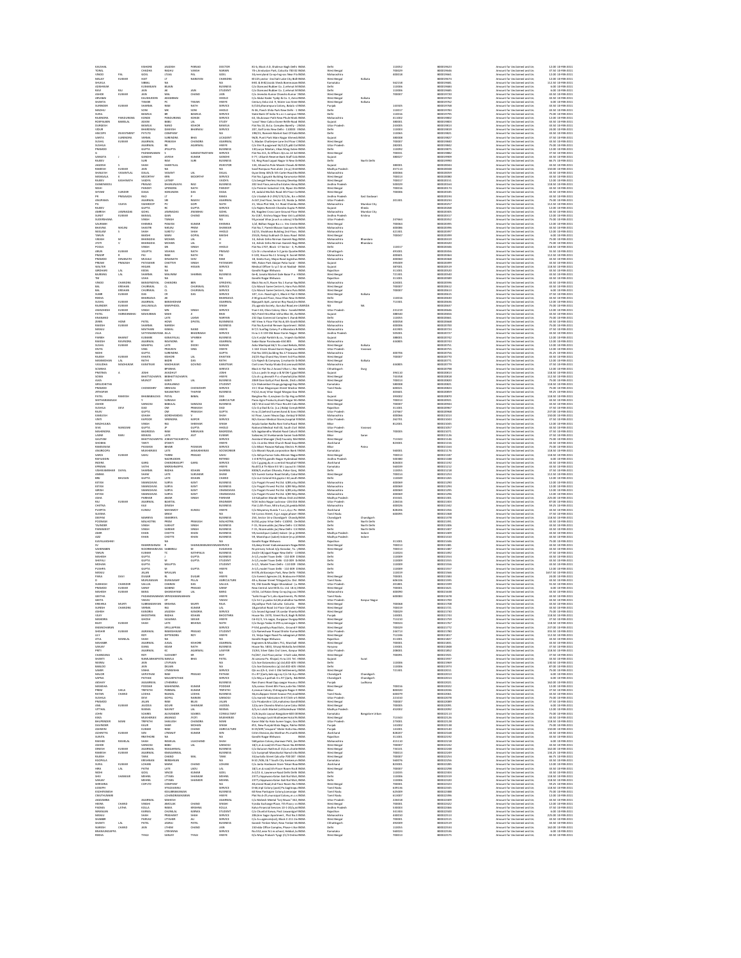| KAUSHAL                                                         | <b>KISHORE</b>                                     | JAGDISH                                       | PARSAD                                  | DOCTOR                                         | 81-b. Block A D. Shalimar Baeh Delhi INDIA                                                                                                                                                                                                 | Delhi                                               |                                      | 110052                               | 800019623                                        | Amount for Unclaimed and Uni                                                                                                | 12.00 10 FEB-2011                                                                 |
|-----------------------------------------------------------------|----------------------------------------------------|-----------------------------------------------|-----------------------------------------|------------------------------------------------|--------------------------------------------------------------------------------------------------------------------------------------------------------------------------------------------------------------------------------------------|-----------------------------------------------------|--------------------------------------|--------------------------------------|--------------------------------------------------|-----------------------------------------------------------------------------------------------------------------------------|-----------------------------------------------------------------------------------|
| TORAL<br>VINOD<br>MALAY<br>KUMAI                                | CHADHA<br>GOEL<br>HAIT                             | RAGHU<br>LTIAG<br>ĽŤ                          | VANSH<br>PAL<br>NARAYAN                 | NARAIN<br>GOEL<br>CHANDRA                      | 22-0, most No., annual sagu benn Nobel<br>20 Chindustan Park, Calcutta 700 025NDIA<br>34, merryland Co-op-hag-soc Near FlorINDIA<br>81-225, sector -2nd Salt Lake City BidhINDIA                                                           | West Bengal<br>Maharashtra<br>West Bengal           | Kolkata                              | 700029<br>100018                     | B00019646<br>B00019661<br>80001967               | Amount for Unclaimed and University<br>Amount for Unclaimed and University<br>Amount for Unclaimed and University           | 37.50 10-FEB-2011<br>12.00 10-FEB-2011<br>12.00 10-FEB-2011                       |
| SHUKLA<br>ADISHWAR                                              | SIBBAD<br>KUMARJAIN                                | NA<br><b>BSJAIN</b>                           |                                         | NA.<br><b>BUSINESS</b>                         | 8-81 & B-82, kssidc Sheds BommasandNDIA<br>C/o Diamand Rubber Co. 2 rehmat MINDIA                                                                                                                                                          | Kamataka<br>Delhi                                   |                                      | 562158<br>110006                     | 800019681<br>800019684                           | Amount for Unclaimed and Un<br>Amount for Unclaimed and Un                                                                  | 112.50 10-FEB-2011<br>6.00 10-FEB-2011                                            |
| <b>BAVI</b><br><b>RAJ</b><br>ASHOK<br>ARVABA<br><b>KUMA</b>     | <b>JAIN</b><br>:<br>KALIMUDD                       | AK.<br>w                                      | <b>JAIN</b><br>CHAND                    | STUDENT<br>JAIN<br>HHOLD                       | C/o Diamand Rubber Co. 2 rehmat M/NDM                                                                                                                                                                                                      | Delhi<br>West Bengal<br>West Bengal<br>West Bengal  | Kolkata                              | 110006<br>70000                      | 800019685<br>B00019720<br>B00019760              | Amount for Unclaimed and Uni<br>Amount for Unclaimed and Un<br>Amount for Unclaimed and Un                                  | 6.00 10 FEB-2011                                                                  |
| SHANTA<br>KUMAI                                                 | TIWARI<br>SHARIMA                                  | PC<br>Ram                                     | TIWARI<br>NATH                          | HWIFE<br>SERVICE                               | C/o Jinendra Kumar Chandra Kumar 3NDIA<br>C/o Jinendra Kumar Chandra Kumar 3NDIA<br>Century Enka Ltd. 9, Water Loo StreetNDIA<br>Iii/104,dharampura Colony, Batala -diNDIA                                                                 | Punjab                                              | Kolkata                              | 14350                                | 80001976<br>B0001976                             | Amount for Unclaimed and Un<br>Amount for Unclaimed and Un                                                                  | 43.50 10.FEB-2011<br>43.50 10.FEB-2011<br>6.00 10.FEB-2011<br>43.50 10.FEB-2011   |
| MADHU<br><b>SUNIL</b><br><b>RAJENDRA</b><br>PANDURANG           | SONI<br>BAWEIA<br>KONDE                            | MK<br>to:<br>PANDURANO                        | SONI<br><b>BAWELA</b><br>KONDE          | HHOLD<br>SERVICE<br>SERVICE                    | N-36, Panch Shila Park New Delhi - 13NDIA<br>State Bank Of India N c ext campus NNDM<br>63. Shukrawar Path New Phule MarkeNDV                                                                                                              | Delhi<br>Delhi<br>Maharashtra                       |                                      | 110017<br>110016<br>411002           | 800019783<br>800019795<br>80001980               | Amount for Unclaimed and Un<br>Amount for Unclaimed and Un<br>Amount for Unclaimed and Un                                   | 43.50 10-FEB-2011<br>75.00 10 FEB-2011<br>12.00.10.658.2011                       |
| ROEPALBER<br>MBISLAL<br>DURGESH                                 | ADANI<br>BAWELA                                    | <b>BABU</b><br>NAND                           | KSHOR                                   | STUDY                                          | Say Journal Patricie Print Materials<br>Fiat No.10, B.d.a. Complex Barelly - 2NDIA<br>207, Golf Links New Delhi - 110003 DNDIA<br>Real Links New Delhi - 110003 DNDIA                                                                      | Gujarat<br><b>Uttar Pradesi</b>                     |                                      | 38000<br>243005                      | 80001980                                         | Amount for Unclaimed and Un                                                                                                 | 43.50 10-FEB-2011                                                                 |
| VIDUR<br>HISCOPE<br>INVESTMENT                                  | PVTLTD                                             | <b>DAWESH</b><br>COMPANY                      | <b>BHARWA</b>                           | BAWÉJA<br>SÉRVICE<br>NA.                       | 198/15, Ramesh Market East Of Kaila/NDIA                                                                                                                                                                                                   | Delhi<br>Delhi                                      |                                      | 110003<br>110065                     | B00019813<br>B00019819<br>800019821              | Amount for Unclaimed and Un<br>Amount for Unclaimed and Un<br>Amount for Unclaimed and Un                                   | 43.50 10-FEB-2011<br>24.00 10-FEB-2011<br>43.50 10-FEB-2011                       |
| SARITA<br><b>SURENDRA</b><br><b>SUSHIL</b><br>KUMAR<br>SUSHIP 4 | VERMA<br>AGARWA<br><b>SARWAI</b>                   | <b>SURENDRA</b><br>PRAKASH                    | <b>BHAI</b><br>CHANDRA<br><b>ANANYA</b> | LICAGENT<br><b>AGARWAL</b><br>HWIFE            | 96/8, Punit Park Main Nagar AhmedalNDIA<br>5, Madan Chatterjee Lane 3rd Floor CINDIA<br>C/o Shri R.p.aganwal 56/12/5,p8r ColiNDIA                                                                                                          | Guiana<br>West Beneal<br>Uttar Pradesi              |                                      | 380008<br>700007<br>28200            | 800019827<br>800019840<br>800019842              | Amount for Unclaimed and Un<br>Amount for Unclaimed and Un<br>Amount for Unclaimed and Un                                   | 37.50 10 FEB-2011<br>43.50 10 FEB 2011<br>75.00 10-FEB-2011                       |
| PRAMOD                                                          | GUPTA<br>PADMAI                                    | <b>IPGUPTA</b>                                | GAMASTINA                               | BUSINESS<br>SERVICE                            | 130,surya Niketan, Vikas Marg ExtensNDIA<br>Flat No.411, Ib Officers Ors.no.14 SelitNDIA                                                                                                                                                   | Delhi<br>West Benga                                 |                                      | 11009<br>700031                      | 80001987<br>80001988                             | Amount for Unclaimed and Un<br>Amount for Unclaimed and Un                                                                  | 12.00 10-FEB-2011<br>37.50 10-FEB-2011                                            |
| SANGITA<br>$\mathbf{I}$<br>RAJEEV<br><b>JAGOISH</b>             | GANDHI<br>SURI<br>SHAH                             | JAYESH<br><b>BAVI</b><br>SHANTILAI            | KUMAR<br>SURI                           | GANDHI<br><b>BUSINESS</b><br><b>INVESTOR</b>   | E-77, Utkarsh Reserve Bank Staff ColoINDM<br>53, Ring Road Lajpat Nagar Iii New DeNDIA<br>134. Ghanchis Pole Manek Chowk AhlNDIA                                                                                                           | Gujarat<br>Delhi<br>Guiana                          | North Delhi                          | 380027<br>380001                     | 800019909<br>800019990<br>800020044              | Amount for Unclaimed and Un<br>Amount for Unclaimed and Un<br>Amount for Unclaimed and Un                                   | 43.50 10-FEB-2011<br>66.75 10 FEB-2011<br>43.50 10 FEB-2011                       |
| BAARES<br>KUMAR<br>VASANTLAI<br>SHAILESH                        | jain<br>Dalal                                      | ea<br>Vasant                                  | U4                                      | NA<br>DALAL<br>SERVICE                         | Saraf Ranjpura Post alone (m.p.) DistUNDIA<br>Gyan Deep 405/b 5th Carter Road BoINDIA<br>Flat No.2,gayatri Building KarumanianNDIA                                                                                                         | Madhya Pradesi<br>Maharashtra<br>West Bengal        |                                      | 457114<br>400066                     | <b>BOODDOOA</b><br>monens                        | Amount for Unclaimed and Un<br>Amount for Unclaimed and Un<br>Amount for Unclaimed and Un                                   | 150.00 10-FEB-2011<br>43.50 10-FEB-2011<br>43.50 10-FEB-2011                      |
| MANGALA<br>RAJEEV<br>KASHINATH                                  | MOORTH<br>VAIDYA                                   | KRN<br>LATEKP                                 | MOORTH                                  | VAIDYA                                         | C/o.benzal Peerless Housing DeveloprNDM                                                                                                                                                                                                    | West Bengal                                         |                                      | 700013<br>700017                     | 800020080<br>800020151                           | Amount for Unclaimed and Un                                                                                                 | 12.00 10 FEB-2011                                                                 |
| DANKINEEDU<br>NISHI<br><b>GINDER</b>                            | PRASAD<br>PANDEY                                   | DHANUNJAYA<br>UPENDRA                         | <b>RAO</b><br>NATH<br>DAS               | <b>BUSINESS</b><br>PANDEY                      | 202 lind Floor amrutha Estates HimavINDIA<br>C/o Premier Industrial 116, Ripon StreNDM                                                                                                                                                     | Andhra Pradesh<br>West Bengal                       |                                      | 500029<br>700016                     | 800020164<br>800020174                           | Amount for Unclaimed and Un<br>Amount for Unclaimed and Un                                                                  | 118.50 10 FEB-2011<br>43.50 10 FEB-2011                                           |
| SHYAM<br>PR<br>RASAAD<br>ANUPAMA                                | DAGA<br>NAO                                        | HANUMAN<br>LT                                 | <b>MAJEEV</b>                           | DAGA<br>RAMA                                   | olo Fremen museum Liu, report Schillips)<br>C/o V.baliah 8-2-293/174/1/6c, B.n.reNDM<br>C/o V.baliah 8-2-293/174/1/6c, B.n.reNDM                                                                                                           | West Bengal<br>Andhra Prades<br>Uttar Pradesh       | East Goday                           | 201301                               | B00020185<br>B00020194<br>80002023               | Amount for Unclaimed and University<br>Amount for Unclaimed and University                                                  | 43.50 10-FEB-2011                                                                 |
| VUAYA<br>RAJEEV<br>AMRISH<br><b>MMNADAS</b>                     | AGARWAL<br>SWAROOP<br><b>GUPTA</b><br><b>GOHIL</b> | SR<br>PV<br>$_{\rm sc}$<br>JAMNADAS           | 0091<br>GUPTA<br><b>JIWABHA</b>         | AGARWAI<br>NATH<br>SERVICE<br><b>GOHIL</b>     | A-247,2nd Floor, Sector-19, Noida (uJNDV<br>21, Vikas Plot 566, S.t. Road ChemburNDV<br>C/o Rajeev Ramesh Chandra Gupta PalNDM<br>84. Naedevi Cross Lane Ground Floor INDV                                                                 | Maharashtra<br>Gujarat<br>Maharashtra               | Mumbai City<br>Kheda<br>Mumbai City  |                                      | 80002025<br>800020268<br>800020305               | Amount for Unclaimed and Un<br>Amount for Unclaimed and Un<br>Amount for Unclaimed and Un<br>Amount for Unclaimed and Un    | 75.00 10-FEB-2011<br>112.50 10-FEB-2011<br>12.00 10 FEB-2011<br>435010-FR2011     |
| <b>SURJIT</b><br>KUMAR<br>SUDERSHAN                             | BANSAL<br>SINGH                                    | GIAN<br><b>TSINGE</b>                         | CHAND                                   | BANSAL                                         | Xx-1187, Krishna Naear Near Arti LudINDM                                                                                                                                                                                                   | Andhra Pradest<br>Uttar Pradesh                     | Krishna                              |                                      | 800020317<br>80002035                            | Amount for Unclaimed and Un<br><b>Imount for Unclaimed and Un</b>                                                           | 12.00 10 FEB 2011<br>75.00 10-FEB-2011                                            |
| SAURABH<br>BHAVNA<br>NIKUN.                                     | KHÉMKA<br>Shastri                                  | PAWAN<br>NIKUNJ                               | KUMAR<br>PRÉM                           | NA<br>KHEMKA<br>SHANKAR                        | Sexanty, some magnetics and someone<br>93, prasad Vihar, (a.w.h.o.colony) Villa(NDIA<br>1/af, Bidhan Nagar B.a.r.c. Vec CenterNDIA<br>Flat No.7, Paresh Bhavan Saainam Na(NDIA                                                             | West Bengal<br>Maharashtra                          |                                      | 247664<br>700064<br>400086           | B00020395<br>B00020396                           | Amount for Unclaimed and Un<br>Amount for Unclaimed and Un                                                                  | 12.00 10-FEB-2011<br>43.50 10-FEB-2011                                            |
| NEELAN<br>TARUN<br>VIKASH<br>$\overline{M}$                     | SHAH<br>BAKSHI<br>BHANGDU                          | SUKETU<br>MANI<br>MOHAN                       | SHAH<br><b>GOPAL</b><br><b>UNL</b>      | HHOLD<br>BAKSHI                                | 14/15, Shobhana Buliding 2nd Floor, INDIA<br>.<br>253/6, Netaji Subhash Ch.basu Road INDIA<br>14, Ashok Griha Nimnan Ganesh NagaNDIA                                                                                                       | Maharashtra<br>West Bengal<br>Maharashtra           | <b>Bhandara</b>                      | 421301<br>700047                     | 800020397<br>800020399<br>800020419              | Amount for Unclaimed and Un<br>Amount for Unclaimed and Un<br>Amount for Unclaimed and Un                                   | 12.00 10 FEB-2011<br>6.00 10 FEB-2011<br>75.00 10 FEB 2011                        |
| ron<br>POOJA                                                    | BHANGDU                                            | MOHAN                                         |                                         | HHOLD<br>PINSAD                                | 14, Ainek Griha Nimnan Ganesh NagalNDIA<br>Flat No.1707, Block -17 Sector - 3, PulNDIA<br>C/o Dr.r.chandrakar S-2, janta QuarterNDIA                                                                                                       | Maharashtri                                         | <b>Bhandar</b>                       |                                      | 800020421                                        | Amount for Unclaimed and Un<br>Amount for Unclaimed and Un                                                                  | 75.00 10-FEB-2011<br>118.50 10-FEB-2011<br>55.50 10-FEB-2011                      |
| KUMAI<br>ARUN<br>PRADE<br>PRAMOD<br>DINANATH                    | SINGH<br>VGUPTA<br>PAI<br>MUSALE                   | GN<br>VISHWA<br>RAM<br>DINANATH               | SINGH<br>NATH<br>NATH<br>SHIV           | PAI<br>RAM                                     | E-120, House No.11 Srirang H. SocietyNDM<br>18, Geeta Kunj, Majas Road Jogeshwa/NDM                                                                                                                                                        | Delhi<br>Chhattisgart<br>Maharashtra<br>Maharashtra |                                      | 110017<br>491001<br>400601<br>400060 | B00020446<br>B00020456<br>800020464<br>800020468 | Amount for Unclaimed and Un<br>Amount for Unclaimed and Un<br>Amount for Unclaimed and Un                                   | 112.50 10-FEB-2011<br>43.50 10-FEB-2011                                           |
| PREAM<br>PRAKASH<br>WALTER<br>GIRDHA                            | PATAWARI                                           | CHATTER                                       | SINGH<br>HEGAN                          | PATAWARI<br>: ALAWA<br>SERVICE<br>NA           | 905, Ratan Park Adalan Patia Surat - 3NDM                                                                                                                                                                                                  | Guiarat                                             |                                      | 395005                               | 800020499<br>80002051                            | Amount for Unclaimed and Un                                                                                                 | 43.50 10 FEB-2011                                                                 |
| $_{\rm LAL}^{\rm LAL}$<br>BAJRANG                               | FRIRNIR<br>HÉGAN<br>SHARMA                         | RA<br>NA<br>MALIRAM                           | SHARM                                   | <b>BUSINESS</b>                                | Medical Officer S.r.p.f. Gr.vii Nadiad - INDIA<br>Gandhi Nagar Bhiwara<br>Ge-8, Janata Market Gole Bazar P.o. XINDIA                                                                                                                       | Gujarat<br>Rajasthan<br>West Bengal                 |                                      | 387001<br>311001<br>721301           | soconos:<br>800020540                            | Amount for Unclaimed and Uni<br>Amount for Unclaimed and Uni<br>Amount for Unclaimed and Uni                                | 18.50 10-FEB-2011<br>48.50 10-FEB-2011<br>48.50 10-FEB-2011                       |
| TM<br>VINOD<br>CHANDRA<br><b>BAL</b><br>KRISHAN                 | <b>USHA</b><br>BANGYNDIYAL<br>CHURIWAL             | NA<br>CHANDRA<br>$\alpha$                     | BEN<br>CHURIWAL                         | NA.<br>GYNDIYAL<br>SERVICE                     | Gandhi Nagar Bhilwara<br>INDM<br>Block No.m/3, Room No.1 Kumar NayNDIA<br>C/o Mandi Sarge Centre 6, Hans PubliNDM                                                                                                                          | Rajasthan<br>Maharashtra<br>West Bengal             |                                      | 311001<br>424001<br>700007           | 800020589<br>800020596<br>800020612              | Amount for Unclaimed and Un<br>Amount for Unclaimed and Un<br>Amount for Unclaimed and Uni                                  | 43.50 10 FEB-2011<br>43.50 10 FEB 2011<br>43.50 10 FEB-2011                       |
| BAL<br>SUBIR<br>KONSHAN<br>KUMAR                                | CHURIWAL<br>DAS                                    | $\frac{\alpha}{\alpha}$                       | CHURIWAI<br>DAS                         | SERVICE<br>SERVICE<br>BHARGAVA<br>AGARWAL      | C/o Mandi Saree Centre 6, Hans PukuNDIA<br>107, U.m. Road Ligh-1, Block-4 Flat-34NDIA<br>2-30,ground Floor, Haux Khas New DeINDIA<br>Bijaypath Aptt, samiran Roy Road,2ndNDIA                                                              | West Benga<br>West Benga                            | Kolkata                              | 70000                                | 800020619<br>800020619                           | Amount for Unclaimed and University<br>Amount for Unclaimed and University                                                  | 6.00 10 FEB 2011<br>37.50 10 FEB 2011                                             |
| REKHA<br><b>KUMA</b><br>SUSHIL                                  | BHARGAVA<br>AGARWAL                                | $A\bar{X}$<br>BANSHIDHA                       |                                         |                                                |                                                                                                                                                                                                                                            | Delhi<br>West Bengal                                |                                      | 110016<br>713301                     | 80002063<br>80002063                             | Amount for Unclaimed and Un<br>Amount for Unclaimed and Un                                                                  | 43.50 10-FEB-2011<br>12.00 10-FEB-2011                                            |
| RAINDER<br>KUMAR<br>AWADHESH<br>KUMAR<br>PATEL<br>HARMAR        | AHLUWALIA<br>SINGH<br>MAHUBHA                      | MANPHOOL<br>MN <sub>3</sub><br>MAH            | SINGH                                   | SINGH<br>SERVICE<br><b>BHAI</b>                | 25,uganda Society, Gurukul Road,metJGANDA<br>9-ae-t-44. Obra Colony Obra - SonebhtNDIA<br>M/s Patel Hira Bhai Ichha Bhai 36, AmINDM                                                                                                        | NA.<br>Uttar Pradesi<br>Gujarat                     | NA                                   | 231215<br>388540                     | 800020637<br>800020646<br>800020656              | Amount for Unclaimed and Un<br>Amount for Unclaimed and Un<br>Amount for Unclaimed and Un                                   | 75.00 10-FEB-2011<br>12.00.10.658.2011<br>4350 10-FFR-2011                        |
| KNANAND<br>ZERIN<br>RAKESH<br>HOMI<br>KUMAR                     | PATEL<br>SHARMA                                    | LATE<br>HOMI<br>NARESH                        | <b>LAXMI</b><br><b>DPATEL</b>           | NARYAN<br>BUSNINESS<br>BUSINESS                | 232 Dpa Comercial Complex-1 JhandeNDIA<br>Hill View Is Floor Flat No.6,4th GoothiNDIA<br>Flat No.8,central Renwer Apartment 2NDIA                                                                                                          | Delhi<br>Maharashtra<br>Maharashtra                 |                                      | 110055<br>400058<br>400006           | <b>BOODDOKK</b><br>B00020668<br>B00020700        | Amount for Unclaimed and Un<br>Amount for Unclaimed and University<br>Amount for Unclaimed and University                   | 75.00 10-FEB-2011<br>43.50 10-FEB-2011<br>75.00 10-FEB-2011                       |
| MANJU<br><b>ALLA</b>                                            | MAITHAN<br>SATYANARAY                              | KAMAL<br><b>JILLA</b>                         | NAND<br>BHADRAIAH                       | HWIFE<br>SERVICE                               | 8-7/1 Sunflag Colony P.o Bhandara RdNDIA<br>H.no.1-3-159 Old Bazar Karim Nasar-INDM                                                                                                                                                        | Maharashtra<br>Andhra Pradest                       |                                      | 441905<br>505001                     | 800020724<br>800020727                           | Amount for Unclaimed and Un                                                                                                 | 37.50 10-FEB-2011<br>43.50 10 FEB-2011                                            |
| PARISH<br>BHARAT<br>RAKES<br>NAVINOR                            | KUMARK<br><b>AGARWAN</b>                           | KANAIYALAI                                    | VPARINH                                 | <b>BUSINESS</b><br>AGARWA                      |                                                                                                                                                                                                                                            | Guiann<br>Maharashtra                               |                                      | 388001<br>444805                     | 800020742<br>800020743                           | Amount for Unclaimed and Un<br>Amount for Unclaimed and Un<br>Amount for Unclaimed and Un                                   | 12.00 10 FEB 2011<br>12.00 10-FEB-2011                                            |
| KUMAR<br>SUSHIL<br>DIVYA                                        | MAHIPAL<br>SING                                    | RAVINDRA<br>LATE<br>PRAVEEN                   | DEOKI<br>SING                           | NANAN<br>HWIFE                                 |                                                                                                                                                                                                                                            | West Bengal<br>Uttar Pradesi                        | Kolkata<br>Varanas                   |                                      | 80002075<br>80002075                             | Amount for Unclaimed and Un<br>Amount for Unclaimed and Un                                                                  | 12.00 10-FEB-2011<br>12.00 10-FEB-2011                                            |
| NIDH<br>RAJESH<br>KUMAR<br>MANMOHAN<br>LAL                      | <b>GUPTA</b><br><b>ATIAHO</b><br><b>BATHI</b>      | SURENDRA<br>KISHON<br>BADRI                   | LAL<br>DAS                              | <b>GUPTA</b><br>KHAITAN<br><b>BATHI</b>        | Flat No.1001,building No.17 SeawoodNDM<br>24/25 Rup Chand Roy Street 3rd FlootNDM<br>C/o Raiesh & Compnay 2 maharshi DeNDM                                                                                                                 | Maharashtra<br>West Bengal<br>West Benea            | Kolkata                              | 400706<br>700003                     | 800020756<br>800020770<br>800020771              | Amount for Unclaimed and Uni<br>Amount for Unclaimed and Un<br>Amount for Unclaimed and Un                                  | 35.25 10 FEB-2011<br>43.50 10 FEB-2011<br>12.00 10 FEB-2011                       |
| VASUDHA<br><b>MADHUKA</b><br>VASUUM<br>SCSINHA<br>PRATIMA       | KANETKA                                            | MADHUKA<br>BPSINHA<br>AVADHUT                 |                                         | KANETKAR<br>SERIVCE                            | Civil Lines Paratp Wada Dist.amravatilNDIA<br>Block 6 Flat No.2 Anand Vihar L.I Rai INDIA<br>C/o.a.s.joshi Sr.engr.o & M D6-7,gipciINDIA                                                                                                   | Maharashtr<br>Chhattisgari<br>Gujarat               | Dung                                 | 444805                               | 80002077<br>monage                               | Amount for Unclaimed and Un<br>Amount for Unclaimed and Un<br>Amount for Unclaimed and Un                                   | 37.50 10-FEB-2011<br>12.00 10-FEB-2011<br>118.50 10-FEB-2011                      |
| SOMA<br>ALKA                                                    | JOSHI<br><b>BHATTACHARYA</b><br>MUNOT              | <b><i>BIOBHATTACHARYA</i></b><br>KANTI        | LAL                                     | JOSHI<br>HWIFE<br><b>BUSINESS</b>              | C/o.sh.r.g.devnath P.o.-chawhati,blocINDM<br>2059 Dani Galli at Post Barshi, Distt.siNDM                                                                                                                                                   | West Bengal<br>West Bengal                          |                                      | 394110<br>743358<br>700013           | 800020813<br>800020818<br>800020820              | Amount for Unclaimed and Un<br>Amount for Unclaimed and Un                                                                  | 112.50 10 FEB-2011<br>75.00 10-FEB-2011                                           |
| GRSUCHETHA<br>PRAMOD<br>JRTHAPAR                                | CHOWDHRY                                           | GVRAJARAO<br>.<br>Naihatray                   | CHOWDHR<br>THAPAR                       | STUDENT<br>SERVICE<br>BUSINESS                 | C/o Shakambari Krupa,gulagovgi Kop/NDIA<br>15 C Shan Mugarayan Street Washar INDIA<br>F4/c2,muxj Vihar Gogol Margao Goa INDIA                                                                                                              | Kamataka                                            |                                      | 580008                               | 800020821<br>B00020824<br>B00020855              | Amount for Horlaimed and Ho<br>Amount for Unclaimed and Un<br>Amount for Unclaimed and Un                                   | 11850 10/FR2011                                                                   |
| PATEL<br><b>NAMES</b>                                           | BHAIBA                                             | PATAL<br>SURAIAH                              | <b>BABAL</b>                            | DAS<br>AGRICULTUR                              | Banglow No.-3,navjivan Co Op Hsg.soINDIA<br>Paras Agro Products,shanti Nagar M.rINDIA                                                                                                                                                      | Tamil Nadu<br>Goa<br>Gujarat<br>West Bengal         |                                      | 600021<br>403601<br>39300            | 800020870                                        | Amount for Unclaimed and Un<br>Amount for Unclaimed and Un                                                                  | 75.00 10-FEB-2011<br>59.25 10-FEB-2011<br>118.50 10-FEB-2011<br>43.50 10-FEB-2011 |
| SEETHA<br><b>ASHOK</b><br><b>SUSHILA</b><br>peyr                | SARAOG<br>DAD                                      | <b>BABULAL</b><br>OM                          | SARADG<br>PRAKASH                       | <b>BUSINESS</b><br><b>DAD</b>                  | 18/1 M.d.road 5th Floor Rno.83 CalcuNDM                                                                                                                                                                                                    | West Bengal<br>Rajasthar                            |                                      | 700013<br>700003<br>311001           | 80002092<br>800020944<br>800020967               | Amount for Unclaimed and Un<br>Amount for Unclaimed and Un                                                                  | 43.50 10-FEB-2011<br>37.50 10 FEB-2011                                            |
| <b>RAJIV</b><br>KAMLESH                                         | <b>GUPTA</b><br><b>OSHAH</b>                       | <b>OM</b><br>dotpr                            | PRAKASE                                 | <b>GUPTA</b><br>SHAH<br>SERVICE                | C/o O.p Dad & Co. (c.a.) Balaji CompleNDIA<br>H.no.21, behind Sumerchand & Sons RNDIA<br>st Floor, Laxmi Niwas Opp. Ambaji MNDV                                                                                                            | Utter Pradest<br>Maharashtra                        |                                      | 247667<br>40006                      | <b>BOODDOGS</b><br>80002101                      | Amount for Unclaimed and Un<br><b>Imount for Unclaimed and Un</b>                                                           | 237.00 10 FEB-2011<br>150.00 10-FEB-2011                                          |
| VINTI<br>MADHULIKA<br>SIVA<br>NANDANI                           | KAPOOR<br>SINGH<br><b>GUPTA</b>                    | VIRENDRA<br>RAJ                               | -<br>KAPOR<br>SHEKHAR<br><b>GUPTA</b>   | SINGH<br>HHOLD                                 | M/s Karoor Medical Stores, hospital RINDIA<br>Anjula Sadan Radha Rani Sinha Road INDIA<br>National Medical Hall 40, South Civil INDIA                                                                                                      | Uttar Pradesi<br>Bihar<br>Uttar Pradesh             | Varanasi                             | 262701                               | 80002104<br>80002104<br>800021057                | Amount for Unclaimed and Un<br>Amount for Unclaimed and Un<br>Amount for Unclaimed and Un                                   | 37.50 10-FEB-2011<br>12.00 10-FEB-2011<br>43.50 10-FEB-2011                       |
| MAHENDRA<br>LAXMI<br><b>BANI</b>                                | BAGROOM<br><b>BISWAS</b>                           | <b>BAM</b><br>LATE                            | NIRANJAN<br>ASIT                        | BAGRODIA<br>KUMAR                              | 6/b Jagabandhu Modak Road Calcutt/NDIA<br>Sailasree,14 Vivekananda Sarani SodeNDIA                                                                                                                                                         | West Bengal<br><b>Silver</b>                        | Saran                                | 700005                               | 800021071<br>800021126                           | Amount for Unclaimed and Un<br>Amount for Unclaimed and Un                                                                  | 37.50 10 FEB-2011<br>37.50 10 FEB 2011                                            |
| GAUTAM<br>SHOBHA<br>RAMSEWAI                                    | <b>BHATTAC</b><br>TANTI<br>PASWAN                  | ICBHATTACH<br>DTANTI                          |                                         | service<br>HWIFE<br>SERVICE                    | Sanaton, 24 Veesanama Saatti Soomee<br>Assistant Manager (Ind) Foundry Meth/DIA<br>C/o Bihari Paswan Railway Electric PoINDIA<br>C/o Bihari Paswan Railway Electric PoINDIA                                                                | West Benga<br>Jharkhand                             |                                      | 713343<br>823001                     | 800021146<br>B00021156<br>B00021164              | Amount for Unclaimed and Un<br>Amount for Unclaimed and Un                                                                  | 75.00 10-FEB-2011<br>43.50 10-FEB-2011<br>75.00 10-FEB-2011                       |
| <b>ANUROOPA</b><br>SAROJ<br>KUMAR                               | MUKHERJEE<br>SAHU                                  | BIHAR<br>LATE<br>TARINI                       | PASWAN<br>AKMUKHERJEE<br>PRASAD         | SOCWORKER<br>SAHU                              | C/o Bharati Nayak, corporation Bank RNDM<br>C/o Akhya Kumar Sahu Bikram Nagar/NDM                                                                                                                                                          | Bihar<br>Kamataka<br>West Bengal                    | Patna                                | 560001<br>700013                     | 800021176<br>800021187                           | Amount for Unclaimed and Un<br>Amount for Unclaimed and Un<br>Amount for Unclaimed and Un                                   | 118.50 10-FEB-2011<br>118.50 10-FEB-2011                                          |
| <b>MFILIDDIN</b><br>INDIRA<br>KPREMA                            |                                                    | NAZIRUDDE<br>.<br>CHANDRAGUP<br>MKRISHNAPPA   | GARG                                    | RETIRED                                        | $14-879/53, \text{generalit Nagar Pydensbad INDM-C/o C.g, \text{arg}, \text{dy}, m s.certral Hospital INDMA-\text{Na}.872,6 Th Main B.E.M L Layout Iii SNDM-8306/5, \text{multani Dhanda}, \text{Pahar Gari}, \text{INDM-$                 | Andhra Pradesh                                      |                                      | 500380<br>826003<br>560035           | 800021188<br>80002119                            | Amount for Unclaimed and Un                                                                                                 | 6.00 10 FEB-2011                                                                  |
| DAYA<br>VISHWAMI                                                | GARG<br>VATHI<br>SHARMA                            | RADHA                                         | KISHAN                                  | SERVICE<br>HWIFE<br>SHARMA                     |                                                                                                                                                                                                                                            | <b>Sharkhand</b><br>Kamataka<br>Delhi               |                                      | 110055                               | B00021212<br>B00021212<br>B00021218              | Amount for Unclaimed and Uni<br>Amount for Unclaimed and Uni<br>Amount for Unclaimed and Uni                                | 43.50 10-FEB-2011<br>43.50 10-FEB-2011<br>37.50 10-FEB-2011                       |
| ANIMA<br>LIRB<br>BHUSAN<br>KETAN                                | SHAW<br><b>GUPTA</b><br>SMANDAVIA                  | LATE<br>LATE<br>SURVA                         | SUKUMAR<br>KISHAN<br>KANT               | SHAW<br>CHAND<br><b>BUSINESS</b>               | 9/5 Suresh Sarkar Road Entaily CalcutINDM<br>C/o Liut Colonel B.b.gupta J-42,south INDM                                                                                                                                                    | West Bengal<br>Delhi<br>Maharashtra                 |                                      | 700014<br>110049<br>400059           | 800021253<br>800021265<br>800021290              | Amount for Unclaimed and Un<br>Amount for Unclaimed and Un<br>Amount for Unclaimed and Uni                                  | 112.50 10-FEB-2011<br>12.00 10 FEB-2011<br>12.00 10 FEB-2011                      |
| KETAN<br>GIRISH                                                 | .<br>SMANDAVIA<br>SMANDAVIA                        | SURYA<br>SURYA<br>SURYA<br>AMAR               | KANT<br>KANT<br>KANT                    | BUSINESS<br>VMANDAVI                           | Co Dragati Finwest Parlat 4/89, nivjavlju Milovič<br>Co Pragati Finwest Parlat 4/89, nivjavlju Milov<br>Co Pragati Finwest Parlat 4/89, NityaWDIA<br>Co Pragati Finwest Parlat 4/89, nivjaWDIA<br>LG Pagati Finwest Parlat 4/89, NityaWDIA | Maharashtri<br>Maharashtri                          |                                      | 400065<br>400065                     | B00021294<br>B00021295                           | Amount for Unclaimed and Un<br>Amount for Unclaimed and Un                                                                  | 12.00 10+10+2<br>12.00 10-FEB-2011<br>12.00 10-FEB-2011                           |
| KETAN<br>ASHA<br>RAI<br>KUMAI                                   | SMANDAVIA<br>PARIHAR<br>AGARWAL                    | BLMITAL                                       | SINGH                                   | VMANDAVM<br>PARIHAR<br>ENGINEER                | 9/24 Indira Nagar Lucknow -226 016 INDIA                                                                                                                                                                                                   | Maharashtra<br>Madhya Prades<br>Uttar Pradesh       |                                      | 400069<br>453441<br>226016           | 80002129<br>B0002130<br>800021303                | Amount for Unclaimed and Un<br>Amount for Unclaimed and Un<br>Amount for Unclaimed and Un                                   | 12.00 10-FEB-2011<br>225.00 10-FEB-2011<br>87.00 10-FEB-2011                      |
| CHETNA<br>PUSPITA                                               | KAJI<br>KUNDU                                      | DINESH<br>MAYAMOY                             | KUNDU                                   | <b>BUSINESS</b><br>HWIFE                       | Flat 2.4th Floor, Mitra Kuni 16.peddarNDM<br>C/o Mayamov Kundu Tsri dvr Ro INDN                                                                                                                                                            | Maharashtra<br><b>Jharkhand</b>                     |                                      | 400026<br>828206                     | 800021342<br>800021356                           | Amount for Unclaimed and Un<br>Amount for Unclaimed and Un                                                                  | 59.25 10 FEB-2011<br>4350 10-FFR-2011                                             |
| SLEEMA<br>DEEPAI                                                | MARRIYA<br>MALHOTRA                                | GRAVI<br>SMARRIYA                             |                                         | NA<br>BUSINESS<br>MALHOTRA                     | Se it and the Chandiger, the internet<br>Seli, cross Street, V.g.n.nagar, phase i INDIA<br>254, Sector 16-a Chandigarh ChandigNDIA<br>8-250, yojna Vihar Delhi -110092. DelNDIA                                                            | .<br>Tamil Nadu<br>Chandigarh<br>Delhi              | Chandigarh<br>North Delhi            | 60009                                | 80002136<br>B00021378<br>B00021391               | Amount for Unclaimed and Un<br>Amount for Unclaimed and Un<br>Amount for Unclaimed and Un                                   | 37.50 10-FEB-2011<br>118.50 10-FEB-2011<br>43.50 10-FEB-2011                      |
| POONAM<br>TAIINDER<br>PARAMJEET                                 | SINGH<br>SINGE                                     | PREM<br>SUKHIIT<br>SARDAF                     | PRAKASH<br>SINGH<br>SINGH               | <b>BUSINESS</b><br><b>BUSINESS</b>             | F-15. Nizamuddin.(w) New Delhi -110NDM                                                                                                                                                                                                     | Delhi<br>Delhi                                      | North Delhi<br>North Delhi           |                                      | 800021406<br>800021407                           | Amount for Unclaimed and Un                                                                                                 | 43.50 10 FEB-2011<br>43.50 10 FEB-2011                                            |
| AMIR<br>AZIZ                                                    | <b>KHAN</b>                                        | CHOTTE<br>снотте                              | KHAN<br>KHAN                            | <b>BUSINESS</b><br><b>BUSINESS</b>             | f-15, Nizamuddin,(w) New Delhi -110NDIA<br>59, manishpuri (saket) Indore -(m.p.)4INDIA<br>59, Manishpuri (saket) Indone-(m.p.)4INDV                                                                                                        | Madhya Pradesh<br>Madhya Pradesh                    | Indon<br>Indon                       |                                      | 800021409<br>800021410                           | Amount for Unclaimed and Un<br>Amount for Unclaimed and Un<br>Amount for Unclaimed and Un                                   | 43.50 10 FEB 2011<br>43.50 10-FEB-2011                                            |
| KIAYALAKSHM<br>SAHERABEN                                        | RAMKRISHNAN                                        | NA                                            | SHANKA                                  | NA<br>SERVICE                                  | Gandhi Nagar Bhilwara<br>33,deep Street Vadiveeswaram NagasNDV                                                                                                                                                                             | Rajasthan<br>West Bengal                            |                                      | 31100<br>70001                       | 80002144<br>80002148                             | Amount for Unclaimed and Un<br>Amount for Unclaimed and Un                                                                  | 75.00 10-FEB-2011<br>43.50 10-FEB-2011                                            |
| TARUN<br>MAHESH                                                 | KUMAR<br><b>GUPTA</b>                              | NOORBHAIMUSA SABBIRAL<br>TC                   | KATHPALIA<br><b>GUPTA</b>               | KUGASHIA<br><b>BUSINESS</b><br><b>BUSINESS</b> | Nr.primary School A/p Kanodar, Ta. -JNDM<br>2nd/e-18 Jajpat Nagar New Delhi - 11INDM<br>4-1/1 model Town Delhi - 110.009 DINDN                                                                                                             | West Bengal<br>Delhi<br>Delhi                       |                                      | 700013<br>110024<br>110009           | 800021487<br>800021492<br>800021554              | Amount for Unclaimed and Un<br>Amount for Unclaimed and Uni<br>Amount for Unclaimed and Un                                  | 43.50 10-FEB-2011<br>37.50 10 FEB 2011<br>43.50 10 FEB-2011                       |
| SHEFALL<br>MOHAN<br>PUSHPA                                      | GUPTA<br>GUPTA<br>GUPTA                            | <br>MGUPTA                                    | <b>GUPTA</b>                            | STUDEN<br>STUDENT                              | A-1/1, model Town Delhi - 110 009 DINDIA<br>A-1/1, Model Town Delhi - 110 009 DINDIA<br>A-1/1, Model Town Delhi - 110 009 DINDIA<br>A-1/1, model Town Delhi - 110 009 DINDIA                                                               | Dehi<br>Dehi<br>Dehi                                |                                      | 110005<br>110005                     | 80002155<br>000215                               | Amount for Unclaimed and Un<br>Amount for Unclaimed and Un<br>Amount for Unclaimed and Un                                   | 43.50 10-FEB-2011<br>43.50 10-FEB-2011<br>12.00 10-FEB-2011                       |
| MANJU<br>PANA<br>DAVI                                           | <b>JALAN</b><br>DUGAR                              | NPIALAN                                       | <b>GUPTA</b><br>DUGAR                   | HWIFE<br>NA.<br>HWIFE                          | 8-378, chittaranjan Park, New Delhi NNDIA<br>C/o Everest Agencies 24, Brabourne RINDIA                                                                                                                                                     | Delhi<br>West Bengal                                |                                      | 110005<br>110019<br>700001           | 800021557<br>800021566<br>800021583              | Amount for Unclaimed and Un<br>Amount for Unclaimed and Un                                                                  | 1657.50 10-FEB-2011<br>24.00 10 FEB 2011                                          |
| b<br>CHANDEI                                                    | MURUGESAN<br>SALUJA<br>GARAE                       | <b>DURAISAMY</b><br>CHARAN<br>GOBIND          | PILLAI<br>DAS<br>PRASAI                 | <b>AGRICULTURE</b><br>SALUJA<br>Kanas          | 40-a, Bazair Street Tittagudi, Sa. Dist. INDIA<br>93, Old Gandhi Nagar Ghaziabad - (u.4NDIA<br>New Central Jute Mills Co. Ltd. 18 A,MNDIA                                                                                                  | <b>Tamil Nadu</b><br>Uttar Prade<br>West Benga      |                                      | 606106                               | 800021595<br>B00021595<br>B00021621              | Amount for Unclaimed and Uni<br>Amount for Unclaimed and Un<br>Amount for Unclaimed and Un                                  | 43.50 10 FEB-2011<br>55.50 10-FEB-2011<br>6.00 10-FEB-2011                        |
| $\cdots$<br>MAHESH<br>GEETHA<br>KUMAI                           | BANG<br>PADA                                       | <b>GHANSHY</b><br>VIPADAN                     | щ                                       | BANG                                           | L9/16, Jal Ratan Deep Co-op/hsg.soc.JINDV<br>"kalki Krupa"b-1,shiv Apartments, PloINDV                                                                                                                                                     | Maharashtra<br>Tamil Nadu                           |                                      | 400091<br>60008                      | 800021638<br>B00021678                           | Amount for Unclaimed and Un<br>Amount for Unclaimed and Un                                                                  | 43.50 10-FEB-2011<br>43.50 10-FEB-2011                                            |
| GEETA<br>KRISHNA<br>MURTI                                       | YADAV<br>SUBRAMANYAN                               | $\circ$<br>KRISHNA                            | MURTI                                   | HWIFE<br>YADAV<br><b>RAJA</b>                  | C/o Sri C.o.vaday 3a\46.mahidhar SadNDM<br>26 indhese Park Coloutta, Calcutta  INDN                                                                                                                                                        | Uttar Pradesh<br>West Bengal                        | <b>Kanpur Naga</b>                   | 700058                               | 800021700<br>800021708                           | Amount for Unclaimed and Un<br>Amount for Unclaimed and Un                                                                  | 43.50 10-FEB-2011<br>43.50 10 FEB-2011                                            |
| SURESH<br>CHANDRA<br>ASHISH                                     | VERMA<br>KANORU                                    | юÜ<br><b>JAGDISH</b>                          | KUMAR<br><b>KANORI</b>                  | LAL<br>SERVICE                                 | 18 earlahat Road 1st Floor Calcutta-7INDM                                                                                                                                                                                                  | West Ben<br>.<br>West Bengal                        |                                      | 700019<br>roon                       | 800021721<br>80002173                            | Amount for Unclaimed and Un<br>mount for Unclaimed and Un                                                                   | 43.50 10 FEB 2011<br>75.00 10-FEB-2011                                            |
| VIJAY<br>MANDIRA<br>BUAY<br>KUMAR                               | <b>BHOOTHRA</b><br>GHOSH<br>SHAH                   | RADHA<br>SASANKA<br>LATE                      | kishan<br>Sekiar<br><b>BISHWA</b>       | <b>BHDOTHIU</b><br>HWIFE<br>NATH               | C/o Anand Agrawal 19,sardar ShankatNDIA<br>House No. 2470, Street No.8, Bagh RaNDIA<br>Cd-41/3, V.k.nagar, Durgapur DurgapiNDIA<br>C/o Durga Yadav G-295-a,ramnagar LINDIA                                                                 | Punjab<br>West Bengal<br>West Bengal                |                                      | 143001<br>713210<br>700024           | B00021743<br>B00021759<br>800021767              | Amount for Unclaimed and Un<br>Amount for Unclaimed and Un<br>Amount for Unclaimed and Un                                   | 118.50 10-FEB-2011<br>37.50 10-FEB-2011<br>118.50 10-FEB-2011                     |
| EMANOHARAN<br>SHISHIR<br>KUMAR                                  | <b>AGRAWAL</b>                                     | SPELLAPPAR<br><b>BAMESHWAI</b>                | PRASAD                                  | SERVICE<br>STUDENT                             | .<br>P-554,panditya Road Extn., Ground FINDIA<br>C/o Rameshwar Prasad Shishir KumarINDIA                                                                                                                                                   | West Bengal<br>Uttar Pradesh                        |                                      | 700029<br>244713                     | 800021772<br>800021780                           | Amount for Unclaimed and Uni<br>Amount for Unclaimed and Un                                                                 | 237.00.10.658.2011<br>955.50.10.FFR.2011                                          |
| LILY<br>MANILA<br>ATUL<br>MAHABIR                               | ROY<br>SHAH<br>AGARWAI                             | DIPTENDRA<br><b>JUGAL</b>                     | kar<br>KISHON                           | HWIFE<br>NA<br>AGARWA                          |                                                                                                                                                                                                                                            | West Bengal<br>Rajasthan<br>West Bengal             |                                      | 712246<br>31100<br>700003            | 800021817<br>B00021827<br>B00021831              | Amount for Unclaimed and Un<br>Amount for Unclaimed and Un<br>Amount for Unclaimed and Un                                   | 112.50 10-FEB-2011<br>43.50 10-FEB-2011<br>43.50 10-FEB-2011                      |
| SANJAY<br>PRITI                                                 | DANG<br>AGARWAL                                    | KIDAR<br>ĸc                                   | NATH<br>AGARWAI                         | <b>BUSINESS</b><br>LAWYER                      | House No. 5833, Shivaji Mohalla AmbNDM<br>15/63. Silver Oaks Civil Lines, Kanpur INDV                                                                                                                                                      | Haryana<br><b>Uttar Pradesh</b>                     |                                      | 133001<br>208001                     | 800021848<br>800021852                           | Amount for Unclaimed and Un<br>Amount for Unclaimed and Uni                                                                 | 37.50 10-FEB-2011<br>118.50 10-FEB-2011                                           |
| CHANDANA<br>SHANTI<br>NEERAJ<br>LAL                             | ROY                                                | SUCHART<br>NAMLA<br>LTVPJAJN                  | xx<br>tн                                | ROY<br>PATEL<br>NA<br>NA<br>NA                 | Fe/267, 2nd Floor serter -3 Salt Lake INDM                                                                                                                                                                                                 | West Bengal                                         |                                      | 700091<br>110006                     | 800021921<br>BOOD21931<br>80002195               | Amount for Unclaimed and Un                                                                                                 | 37.50 10 FEB-2011<br>43.50 10 FEB 2013                                            |
| BABLOO<br>SAMIR                                                 | JAIN<br>SINHA                                      | DKIAIN<br>LTNNSINHA                           |                                         | SERVICE                                        | M. Sarsana Po. Khajad, H. no. 131 Tel. ONDIA<br>C/o Ace Datamatics (p) Ltd, 402-405 INNDIA<br>C/o Ace Datamatics (p) Ltd, 402-405 INNDIA<br>Qtr.no.3/k-3, Unit-1 Old Settlement, pINDM                                                     | Gujarat<br>Delhi<br>Delhi<br>West Bengal            |                                      | 110006<br>721301                     | 800021973<br>800022011                           | Amount for Unclaimed and Uni<br>Amount for Unclaimed and Uni<br>Amount for Unclaimed and Uni<br>Amount for Unclaimed and Un | 4350 107EB-2011<br>130.50 107EB-2011<br>87.00 107EB-2011<br>75.00 10 FEB-2011     |
| MAJOR<br>SAPNA                                                  | <b>UKPATHAK</b><br>PATHAK                          | RAM<br>MAJUKPATHAI                            | PRASAD                                  | <b>PATHAK</b><br>SERVICE                       | O.c.97 (jarty.bde.sig.coy C/o 56 A.p. dNDIA                                                                                                                                                                                                | Chandigarh<br>Chandigarh                            | Chandigart<br>Chandigarh<br>Ludhiana |                                      | 800022013<br>800022014                           | Amount for Unclaimed and Un<br>Amount for Horlaimed and Ho                                                                  | 6.00 10-FEB-2011<br>6.00.10/EE2011                                                |
| .<br>AKSHAY<br>MANISH                                           | <b>MGABWAI</b><br>PODDAR<br>TRIPATH                | LTHEMRAI                                      | KUMAF                                   | BUSINESS<br>PODDAR<br>TRIPATH                  | C/o Maju.k.pathak O.c.97 (i)arty. BdeNDIA<br>Rani Jhansi Road Opp.saagar House,ciNDIA<br>3/b,camac Street 8th Floor,suite No.5NDIA                                                                                                         | Punjab<br>West Bengal                               |                                      | 200016<br>800020                     | B00022021<br>B00022022<br>80002203               | Amount for Unclaimed and Un<br>Amount for Unclaimed and Un<br>Amount for Unclaimed and Un                                   | 162.00 10-FEB-2011<br>12.00 10-FEB-2011<br>37.50 10-FEB-2011                      |
| prem<br>Ratan<br>SHILA<br>CHAND<br><b>SUSHILA</b>               | LODHA<br>DEVI                                      | PARIMAL<br>RAIMAL<br>GOPAL                    | KUMAR<br>LODHA<br>NARAIN                | <b>BUSINESS</b><br>SARADGE                     | 4 revnue Colony Chitragupta Nagar KINDIA<br>36 erullappan Street Sowcar Pet,madiNDIA<br>C/o.manish Fabricators B-37/165-a-5JNDIA                                                                                                           | Bihar<br>Tamil Nadu<br>Uttar Pradesh                |                                      | 600079<br>221010                     | 800022061<br>800022078                           | Amount for Unclaimed and Un<br>Amount for Unclaimed and Un                                                                  | 43.50 10-FEB-2011<br>75.00 10 FEB-2011                                            |
| PRAMOD<br>ANIL<br>KUMAI<br>VITTHAL                              | <b>JALAN</b><br><b>IAIODI</b><br><b>NEEMA</b>      | <b>BAM</b><br>GOURI<br>wa<br>Waynet           | BILAS<br>SHANKAR                        | <b>JALAN</b><br><b>JAJODIA</b>                 | C/o Priadarshini 124.mahatma GandhNDM<br>12/a.ram Chandra Moltra Lane CalcutINDM                                                                                                                                                           | West Bengal<br>Missi Bangal<br>West Ber             |                                      | 700007<br>zonos<br>45200             | 800022089<br>800022091<br>annovano               | Amount for Unclaimed and Un<br>Amount for Unclaimed and Un                                                                  | 37.50 10 FEB-2011<br>6.00 10-FEB-2011<br>12.00 10-FEB-2011                        |
| JOHN<br>KËKA                                                    | SOARES<br>MUKHERJE                                 | ALEXANDE<br>ANANGO                            | LAL<br>SOARES<br>חטינ                   | NEEMA<br>CONSULTANT<br>MUKHERJEE               | 1/5,m.t.cloth Market (vitthaleshwar RNDIA<br>31/6,loyola Layout Bangalore-600 00/NDIA<br>C/o Anango Jyoti Mukherjee Hotal RuINDIA<br>C/o Anango Jyoti Mukherjee Hotal RuINDIA                                                              | Madhya Prade<br>Kamataka<br>West Bengal             | <b>Bangalore Urban</b>               | 713343                               | 800022119<br>800022126                           | Imount for Unclaimed and Un<br>Amount for Unclaimed and Un<br>Amount for Unclaimed and Un                                   | 75.00 10-FEB-2011<br>43.50 10-FEB-2011                                            |
| <b>BHUPENDER</b><br>MANI<br><b>DAVINDER</b>                     | TRIPATHI<br>KALIR                                  | SHAILESH<br>SHAR                              | CHANDRA<br>MOHAN                        | MANI<br>SINGH                                  | Karori Mal Ka Hata Sumer Sagar, GoraNDIA<br>#15, New Punjab Mata Nagar, PakhorNDIA<br>8-19/699, "anupam" Maler Kotla HousNDIA                                                                                                              | Uttar Pradesh                                       |                                      | 273001<br>141002                     | 800022128<br>800022138                           | Amount for Unclaimed and Un<br>Amount for Unclaimed and Uni                                                                 | 118.50 10-FEB-2011<br>75.00 10 FEB-2011                                           |
| ASHWIN<br>ACHINTY<br>KUMA                                       | KUMAR<br>SEN                                       | <b>BAM</b><br>LTRANIO                         | CHAND<br>KUMAF                          | <b>AGRICULTURE</b><br>SEN                      | Critm Division duc Maithon Po.maithsNDI                                                                                                                                                                                                    | Punjab<br>Punjab<br>Jharkhand                       |                                      | 141001<br>82820                      | 800022140<br>800022168                           | Amount for Unclaimed and Un<br>Amount for Unclaimed and Un                                                                  | 150.00 10 FEB-2011<br>43.50 10 FEB 2013                                           |
| SUNITA<br>RAKHEE<br>RASICLA<br><b>ASHOK</b>                     | RRATHORS<br>HAH<br>SARAOG                          | NA<br>RASIKLAL<br>BABU                        | LILACHAND<br>LAL                        | NA<br>SHAH<br>SARADGE                          | Gandhi Nagar Bhilwara<br>568,patan Colony,shaniwar Peth, (n<br>18/1,m.d.road,5th floor Room No.83/NDIA                                                                                                                                     | Rajasthan<br>Maharashtra<br>West Bengal             |                                      | 31100<br>415110<br>700003            | B00022192<br>B00022218<br>800022242              | Amount for Unclaimed and Un<br>Amount for Unclaimed and Un<br>Amount for Unclaimed and Un                                   | 43.50 10-FEB-2011<br>6.00 10-FEB-2011<br>43.50 10 FEB-2011                        |
| DINESH<br>KUMAI<br>RAMESH<br>KUMAR                              | AGARWAL<br><b>AGARWAL</b>                          | NSAGARWA<br>KMAGARWA                          |                                         | <b>BUSINESS</b><br><b>BUSINESS</b>             | C/o Daluram Nathmull 15,b.m.chattelNDM<br>C/o Suraimall Mancharlal Namchi BadNDM                                                                                                                                                           | West Bengal<br>West Benea                           |                                      | 734101<br>700013                     | 800022248<br>800022249                           | Amount for Unclaimed and Un<br>Amount for Unclaimed and Un                                                                  | 162.00 10-FEB-2011<br>134.25 10 FEB-2011                                          |
| <b>RAJESH</b><br>KGOPALA                                        | .<br>Kilishnan<br>Kilishnan<br>LOHANI              | .<br>EKRISHMAN<br><b>MANK</b>                 | MAG<br>CHAND                            | TANK<br>NA<br>LOHANI                           | 33, burtolla Street Calcutta-700 007 0NDIA<br>8-10 / 506 / & T South City Arekere, miNDIA<br>C/o Janta Hardware Store Tekari RoadNDIA                                                                                                      | West Benga<br>Kamataka<br>Jharkhand                 |                                      | ,<br>100003<br>560076<br>823001      | 800022254<br>sonno 225<br>800022285              | Amount for Unclaimed and Un<br>Amount for Unclaimed and Un<br>Amount for Unclaimed and Un                                   | 66.75 10-FEB-2011<br>43.50 10-FEB-2011<br>12.00 10-FEB-2011                       |
| KUMAR<br>SUNIL<br>HIRA<br>LAL<br>NIDH                           | PATNI<br>GOEL                                      | LATE<br>VINOD                                 | LADU<br>KUMAR                           | LAL<br><b>GOEL</b>                             | 18/1,m.d.road,5th Floorr Room No.83NDIA<br>A-2/15 A, Lawrence Road Delhi Delhi INDIA                                                                                                                                                       | West Bengal<br>Delhi                                |                                      | 700003<br>110035                     | 800022298<br>800022304                           | Amount for Unclaimed and Un<br>Amount for Unclaimed and Un                                                                  | 43.50 10 FEB-2011<br>43.50 10 FEB-2011                                            |
| SHIV<br>SHANKAR<br>.<br>SANJAY<br>SKRISHNA                      | MEHRA                                              | LTTARA<br>LTTARA<br>COMPANY                   | SHANKAR<br>SHANKER                      | MEHRA<br>MEHRA<br>NA                           | 2377, chippiwara Kalan Gali Nal Wali. INDM<br>2377,chippiwara Kalan Gali Nal Wali, INDI<br>40,strand Road,2nd Floor Room No.5JNDI                                                                                                          | Delhi<br>Delhi<br>West Benga                        |                                      | 110006<br>110006<br>700001           | 800022319<br>800022320<br>800022323              | Amount for Unclaimed and Un<br>Amount for Unclaimed and Un<br>Amount for Unclaimed and Un                                   | 118.50 10 FEB-2011<br>118.50 10-FEB-2011<br>59.25 10-FEB-2011                     |
| UOSEPH<br><b>KSDHTYANES</b>                                     |                                                    | TYPACKANING<br>KSSUBRAMANIA/                  |                                         | SERVICE<br>BUSINESS                            | D-66,tnpl Colony (post) Po.kagitnapurNDIA<br>60 New Pankajam Colony,kamarajar SNDIA                                                                                                                                                        | Tamil Nadu<br>Tamil Nadu                            |                                      | 639136<br>625009                     | 80002234<br>800022388                            | Amount for Unclaimed and Un<br>Amount for Unclaimed and Un                                                                  | 118.50 10-FEB-2011<br>75.00 10-FEB-2013                                           |
| CMUTHUMARI<br><b>JAGOAMBA</b>                                   | AGARWA                                             | LCHANDRASEKARAN<br>MAHESH                     |                                         | HWIFE<br>AGARWAL                               | Plot No.b-25, municipal Colony, m.c.rc/NDIA<br>C/o Mahesh Meetal "brii Niwas" 342.INDV                                                                                                                                                     | <b>Tamil Nadu</b><br>Uttar Pradesi                  |                                      | 613007<br>226018                     | 800022396<br>800022409                           | Amount for Unclaimed and Un<br>Amount for Unclaimed and Un                                                                  | 12.00 10 FEB-2011<br>43.50 10 FEB-2011                                            |
| HEERA<br>CHAND<br><b>PADMA</b><br>LATHA                         | SINGHI<br>KOLLA                                    | <b>AMOLAK</b><br>RAMA<br>CHUNILAL<br>PRASHANT | CHAND<br>OUSHN                          | SINGHI<br>KOLLA                                | 9 india Exchange Place, 7th Floor, r.ndNDM<br>Colva Financial Services 10-1-20/a,asitNDM                                                                                                                                                   | West Beneal<br><b>Indhra Pradest</b>                |                                      | 70000<br>53000                       | 800022422<br><b>RF002246</b>                     | <b>Amount for Unclaimed and Un</b><br>mount for Unclaimed and Un                                                            | 12.00 10 FEB 2011<br>37.50 10-FEB-2011                                            |
| NIRANJAN<br>MANJU<br>SHABBIR                                    | KARWA<br>SHAH<br>PARVAZ                            | LTTAHER                                       | MIGHTH<br>KARWA<br>SHAH<br>ALI.         | STUDEN<br>SERVICE<br>SERVICE                   | C/o Chunilal Karwa, Post JaswantgarhINDI/<br>205,him Sagar Apartment , Plot No.38NDI/<br>C/o Avagenceis(cal), Block C-211 2ndNDIA                                                                                                          | Rajasthan<br>Maharashtra<br>West Bengal             |                                      | 341304<br>440010<br>700001           | 80002250<br>800022513<br>800022515               | Amount for Unclaimed and Un<br>Amount for Unclaimed and Un<br>Amount for Unclaimed and Un                                   | 6.00 10-FEB-2011<br>225.00 10-FEB-2011<br>43.50 10 FEB-2011                       |
| SHANTI<br>LAL<br>NARESH<br>CHAND                                | PATEL<br><b>JAIN</b>                               | <b>JASRAJ</b><br>LTHEM                        | PATEL<br>CHAND                          | <b>BUSINESS</b><br><b>JAIN</b>                 | Ganesh Timber Mart, New Timber MaNDIA<br>150-dda Office Complex, Phase-i JhanNDIA<br>No.552,near N.Lm.school, Hebbal, baNDIA                                                                                                               | Chhattisgarh<br>Delhi                               |                                      | 492005<br>110055                     | 800022519<br>800022534                           | Amount for Unclaimed and Uni<br>Amount for Unclaimed and Un                                                                 | 43.50 10 FEB-2011<br>162.00 10 FEB-2011                                           |
| <b>BNANILI</b><br>14004<br>REKHA                                | TYAGI                                              | LTBYANNA<br>SANJAY                            | TYAGE                                   | SERVICE<br>HWIFE                               | D/o Maya Prakash Tyagi (/1/3 OrdinalNDM                                                                                                                                                                                                    | Kamataka<br>West Bengal                             |                                      | 56002<br>700013                      | 80002253<br>800022575                            | Amount for Unclaimed and Un<br>Amount for Unclaimed and Un                                                                  | 6.00 10 FEB-2013<br>43.50 10-FEB-2011                                             |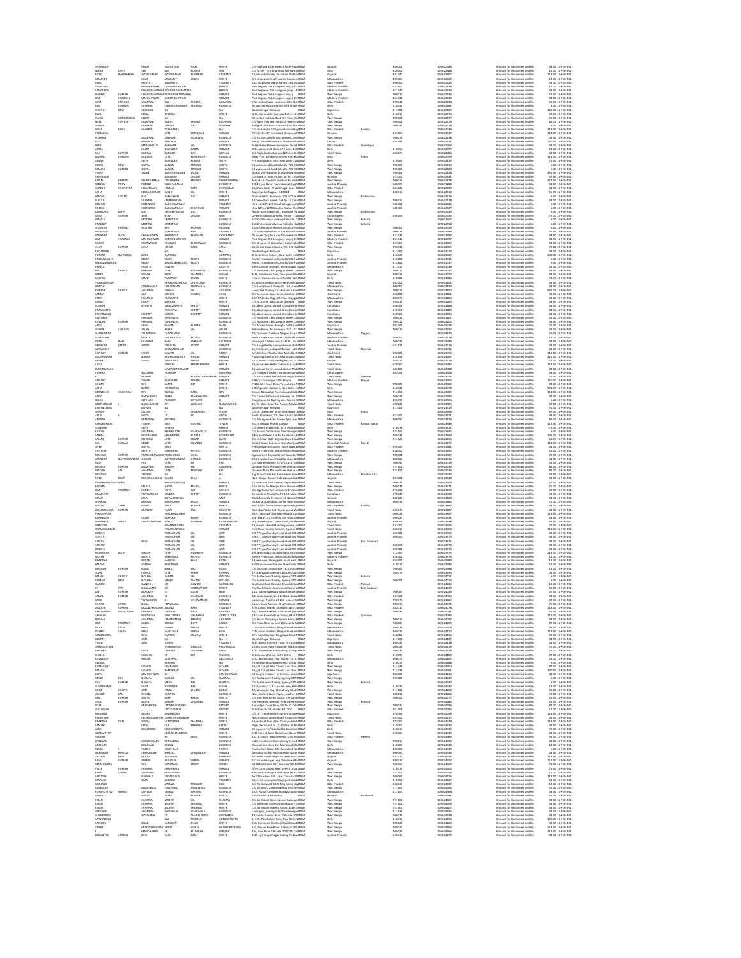| SHARMILA<br>NISHA<br>PATEL                                                                                                                                                                                                                                                                                                                                                             | HARESHBHA                          | <b>RNAIR</b><br>SEN<br>GOVINDBHAI          | RAGHAVAN<br>AIIT<br>GOVINDBHA                             | NAIR<br>KUMAR<br>FULABIN           | HWIFE<br>SEN<br>STUDENT                            | C/o Rashaya Enterprises 2 Patel NasalNDIA<br>C/o Maen T.e.group Rdcis Sail RanchiNDIA<br>10,adhunik Society Po.chhani Dist.barNDIA<br>C/o Lt.jaswant Singh Alo Ins Kunjali,cdNDIA                                                                | Guiarat<br>Gujarah<br>Bihar<br>Gujarat               |                         | 360002<br>834002<br>391740 | 800022583<br>800022588<br>800022607 | Amount for Unclaimed and Uni<br>Amount for Unclaimed and University<br>Amount for Unclaimed and University<br>Amount for Unclaimed and University       | 43.50 10 FEB-2011<br>12.00 10-FEB-2011<br>118.50 10-FEB-2011                                                                                                                                                                                                                                                                                                                                                   |
|----------------------------------------------------------------------------------------------------------------------------------------------------------------------------------------------------------------------------------------------------------------------------------------------------------------------------------------------------------------------------------------|------------------------------------|--------------------------------------------|-----------------------------------------------------------|------------------------------------|----------------------------------------------------|--------------------------------------------------------------------------------------------------------------------------------------------------------------------------------------------------------------------------------------------------|------------------------------------------------------|-------------------------|----------------------------|-------------------------------------|---------------------------------------------------------------------------------------------------------------------------------------------------------|----------------------------------------------------------------------------------------------------------------------------------------------------------------------------------------------------------------------------------------------------------------------------------------------------------------------------------------------------------------------------------------------------------------|
| MANJEET<br>RENU                                                                                                                                                                                                                                                                                                                                                                        |                                    | KALIR<br>MEHTA                             | <b>JASWANT</b><br>BNMEHTA                                 | SINGH                              | HWIFE<br>STUDENT                                   | 13/370 govind Nagar Kanpur 208 001NDIA                                                                                                                                                                                                           | Maharashtra<br><b>Uttar Pradesh</b>                  |                         | 400005<br>208001           | 800022623<br>800022629              | Amount for Unclaimed and Un                                                                                                                             | 12.00 10 FEB 2011<br>43.50 10-FEB-2011                                                                                                                                                                                                                                                                                                                                                                         |
| VISHAKHA<br>SANGEETA                                                                                                                                                                                                                                                                                                                                                                   |                                    | MAHESHWARI                                 | <b>OPMAHESHWAR</b><br>CHANDRAWANSHINKCHANDRAWANSH         |                                    | HHOLD<br>HHOLD                                     | Post Segaon Dist.khargone (m.p.)-45 2NDIA                                                                                                                                                                                                        | Madhya Pradesh<br>Madhya Pradesh                     |                         | 451442<br>451442           | 800022633<br>800022634              | Amount for Unclaimed and Uni<br>Amount for Unclaimed and Uni                                                                                            | 12.00 10-FEB-2011<br>43.50 10 FEB-2011                                                                                                                                                                                                                                                                                                                                                                         |
| NARESH<br>OM                                                                                                                                                                                                                                                                                                                                                                           | <b>CIMAR</b><br>Marines<br>PARKESH | .<br>CHANDRAWAHSH<br>MAHESHWARI            | IIPCCHANDRAWANSH<br>NCMAHESHWARI                          |                                    |                                                    | Post Seghaon Dist.khargone (m.p.) -43NDIA<br>Post Segaon Dist.khargone (m.p.) - 1NDIA<br>Post Segaon Dist.khargone (m.p.) -45 2NDIA                                                                                                              | West Bengal<br>Madhya Prade                          |                         | 700013<br>451442           | B00022635<br>B00022636              | Amount for Unclaimed and Un<br>Amount for Unclaimed and Un                                                                                              | 12.00 10-FEB-2011<br>43.50 10-FEB-2011                                                                                                                                                                                                                                                                                                                                                                         |
| RAM<br>8811                                                                                                                                                                                                                                                                                                                                                                            | KRISHNA<br>KISHORE                 | agarwal<br>Sharma                          | RАJ<br>LTRAGHL                                            | SHARM                              | SERVICE<br>SERVICE<br>AGRAWAL<br>BUSINESS          | 9/24 Indira Nagar Lucknow -226 016 INDIA<br>B.r.packing Industries Wp-553 Vilage INDIA                                                                                                                                                           | <b>Uttar Pradesh</b><br>Delhi                        |                         | 226016<br>110052           | 80002263<br>B0002266                | Amount for Unclaimed and Un<br>Amount for Unclaimed and Un                                                                                              | 55.50 10-FEB-2011<br>3.00 10-FEB-2011                                                                                                                                                                                                                                                                                                                                                                          |
| SUNITA<br><b>BINA</b>                                                                                                                                                                                                                                                                                                                                                                  | DEVI                               | MUSADDI<br>KEDIA                           | NA<br>RICKEDIA<br>NA.                                     |                                    | NA.<br>HWIFE                                       | Gandhi Nagar Bhilwara<br>INDIA<br>G-66 nizamuddin (w) New Delhi 110 (NDM                                                                                                                                                                         | Rajasthan<br>Delhi                                   |                         | 311001<br>110013           | 800022667<br>800022674              | Amount for Unclaimed and Un<br>Amount for Unclaimed and Un                                                                                              | 162.00 10 FEB-2011<br>59.25 10 FEB-2011                                                                                                                                                                                                                                                                                                                                                                        |
| SWAN<br>NEEL                                                                                                                                                                                                                                                                                                                                                                           | COMMERCIAL<br>SUNDER               | COLTD<br>PALRIWA                           | RADHE                                                     | SHYAN                              | PALRIWAL                                           | 89 netta Ji Subhas Road 3rd Floor RodNDIA                                                                                                                                                                                                        | West Beneal<br>West Bengal                           |                         | 70000<br>70000             | 800022677<br>80002267               | <b>Amount for Unclaimed and Un</b><br><b>Imount for Unclaimed and Un</b>                                                                                | 35.25 10 FEB 2011<br>66.75 10-FEB-2011                                                                                                                                                                                                                                                                                                                                                                         |
| SHASH<br>USHA                                                                                                                                                                                                                                                                                                                                                                          | RANI                               | SHARBAF<br>SHARIMA                         | <b>JAIRAM</b><br>DSSHARM                                  | <b>DAS</b>                         | SHARRA<br>NA                                       | Clo Avon Poly Tex Indizio. 2 Hare StreNDIA<br>Sib <sub>a</sub> golf Club Road Calcutta-700 033 INDIA<br>Clo.d.s.sharma E-16,priyadarshni NagNDIA                                                                                                 | West Bengal<br>Uttar Pradesi                         | Barelly                 | 700033                     | 800022716<br>800022736              | Amount for Unclaimed and Un<br>Amount for Unclaimed and Un                                                                                              | 6.00 10-FEB-2011<br>118.50 10-FEB-2011                                                                                                                                                                                                                                                                                                                                                                         |
| PKMADAN<br><b>SUSHMA</b><br>ROY                                                                                                                                                                                                                                                                                                                                                        |                                    | AGARWA<br>MATHEW                           | LATE<br>SUBHASH<br>MATHEW                                 | <b>BRMADAN</b><br><b>AGARWAL</b>   | SERVICE<br><b>BUSINESS</b><br>SERVICE              | 759/sector-37, Faridabad (haryana) FINDIA<br>C/o S.s.consultants Jain Business CentINDIA<br>Penat, Udumbannor P.o. ThodupuzhalNDIA                                                                                                               | Haryana<br>West Bengal<br>Kerala                     |                         | 121003<br>700071<br>685595 | 800022737<br>800022738<br>800022751 | Amount for Unclaimed and Un<br>Amount for Unclaimed and Un<br>Amount for Unclaimed and Un                                                               | 118.50 10-FEB-2011<br>43.50 10 FEB-2011<br>150.00 10 FEB-2011                                                                                                                                                                                                                                                                                                                                                  |
| NIM                                                                                                                                                                                                                                                                                                                                                                                    |                                    | MATANHEL                                   | BANWAR                                                    | i Al                               | <b>BUSINESS</b>                                    |                                                                                                                                                                                                                                                  | Uttar Pradesh                                        | Gorakhpu                |                            | 80002276                            | Amount for Unclaimed and Un                                                                                                                             | 43.50 10-FEB-2011                                                                                                                                                                                                                                                                                                                                                                                              |
| ANITA<br>RAJ                                                                                                                                                                                                                                                                                                                                                                           | KUMAI                              | KALRA<br>BANSAL                            | ravinder<br>Banarsi                                       | KALINA<br>DAS                      | SERVICE<br>BANSAL                                  | Matanhelia Bhawan Ismailpur, GorakliNDIA<br>D-11,takshashila Apts. 67 Lp.ext. DelfINDIA<br>C/o Raj India Electronics 427,mint StxINDIA                                                                                                           | Delhi<br>Tamil Nadu                                  |                         | 110092<br>600079           | 80002277<br>B0002278-               | Amount for Unclaimed and Un<br>Amount for Unclaimed and Un                                                                                              | 12.00 10 FEB 2011<br>43.50 10-FEB-2011                                                                                                                                                                                                                                                                                                                                                                         |
| NAWAL<br>ANJNA                                                                                                                                                                                                                                                                                                                                                                         | KISHORS                            | BANGUR<br>SETHI                            | LATE<br>RAJENDER                                          | <b><i>ENBANGU</i></b><br>KUMAR     | <b>BUSINESS</b><br>SETHI                           | Bihar Print & Pakers Concern Park RoJNDIA<br>P-7 Sriniwaspuri Extr. New Delhi-110INDIA<br>58 vivebanand Bread Calcuma, 700 006NDM                                                                                                                | <b>Bihar</b><br>Delhi                                | Patna                   | 110065                     | 800022799<br>B00022815              | Amount for Unclaimed and Un<br>Amount for Unclaimed and Uni                                                                                             | 118.50 10-FEB-2011<br>75.00 10 FEB-2011<br>6.00.10/FR2011                                                                                                                                                                                                                                                                                                                                                      |
| <b>INDRA</b><br>MANGI<br>VINAY                                                                                                                                                                                                                                                                                                                                                         | DEVI<br><b>KUMA</b>                | <b>GUPTA</b><br>GUPTA<br>IALAN             | GANGA<br>.<br>GANGA<br>RAGHUN                             | PRASAD                             | GUPTA                                              |                                                                                                                                                                                                                                                  | West Beneal<br>West Bengal<br>West Bengal            |                         | 700006<br>700006<br>700001 | 800022819<br>800022828<br>800022821 | Amount for Unclaimed and Un                                                                                                                             |                                                                                                                                                                                                                                                                                                                                                                                                                |
| CPNARULA                                                                                                                                                                                                                                                                                                                                                                               |                                    |                                            | BAHADUR                                                   | PINSAU<br>PRASAD<br>IALAN<br>CHAND | GUPTA<br>SERVICE<br>SERVICE                        | Stylendamin Road Calcutta-700 000NDIA<br>Global Merchandise 10,clive Row, Sth INDIA<br>C/o Bank Of India Po.box 50, N.I.t. FarNDIA                                                                                                               | Haryana                                              |                         | 121001                     | 800022831                           | Amount for Unclaimed and Un<br>Amount for Unclaimed and Un<br>Amount for Unclaimed and Un                                                               | 6.00 10-FEB-2011<br>355.50 10-FEB-2011<br>37.50 10-FEB-2011                                                                                                                                                                                                                                                                                                                                                    |
| KANTA<br>YERRAM                                                                                                                                                                                                                                                                                                                                                                        | PRASAD<br>VIJAY                    | VISHWAKRMA<br><b>RAMUX</b>                 | LTSHANKAR<br>SHANKARAIAN                                  | PRASAD                             | VISHWAKARMA<br><b>BUSINESS</b>                     | Area No.iii Qno.b/6 Maithon Po.mait#NDIA<br>2-2-24, pan Bazar, Secundrabad (ap) SINDIA                                                                                                                                                           | West Bengal<br>Andhra Pradesh                        |                         | 700013<br>500003           | 800022878<br>800022889              | Amount for Unclaimed and Un<br>Amount for Unclaimed and Un                                                                                              | 118.50 10-FEB-2011<br>43.50 10 FEB-2011                                                                                                                                                                                                                                                                                                                                                                        |
| SURESH<br>ASHA<br>MADHU                                                                                                                                                                                                                                                                                                                                                                | <b>CHANDTRA</b>                    | CHAUDHARI<br>KÉWALRAMA<br>DAS              | LTSALIG<br>NAND<br>BAKHAHAN                               | <b>BAM</b><br>LAL<br>DAS           | CHAUDHARI<br>HWIFE<br>SERVICE                      | 25/i Kota Basti, Shakti Nagar Sone BHNDIA<br>oost uses , anno rugar acre anno 1921.<br>8-a jaripatka Nagpur -440 014<br>Dhokra Sahid, Burdwan -713 102 (w.8NDV                                                                                   | Uttar Pradesh<br>Maharashtri<br>West Bengal          |                         | 231222<br>440014           | 800022892<br>B00022912<br>B00022915 | Amount for Unclaimed and Uni<br>Amount for Unclaimed and Un<br>Amount for Unclaimed and Un                                                              | 43.50 10 FEB-2011<br>15.75 10-FEB-2011<br>6.00 10-FEB-2011                                                                                                                                                                                                                                                                                                                                                     |
| SUNITA<br>RESHMI                                                                                                                                                                                                                                                                                                                                                                       | SUDAN                              | SHARMA                                     | ltgrsharma.<br>Raghuramulu                                |                                    | SERVICE                                            | 197, new Park Street, Flat No.12 CalcuNDIA<br>H.no.12/11/1278 Boudha Nagar, wariiNDIA                                                                                                                                                            | West Bengal                                          | <b>Bandha</b>           | 700013                     | 800022918                           | Amount for Unclaimed and Un<br>Amount for Unclaimed and Un                                                                                              | 43.50 10-FEB-2011                                                                                                                                                                                                                                                                                                                                                                                              |
| ROHINI                                                                                                                                                                                                                                                                                                                                                                                 |                                    | CHENNUR<br>CHENNURI                        | RAGURAMULU                                                | CHENNUR                            | STUDEN<br>SERVICE                                  | Hro.12/11/1278 boudha Napar, WarlNDIA                                                                                                                                                                                                            | Andhra Prade<br>Andhra Pradesh                       |                         | 500361<br>500361           | 80002292<br>800022927               | Amount for Unclaimed and Un                                                                                                                             | 6.00 10-FEB-2011<br>6.00 10-FEB-2011                                                                                                                                                                                                                                                                                                                                                                           |
| RABINDRA<br>SANAT<br>MANOJ                                                                                                                                                                                                                                                                                                                                                             | NATH<br>KUMAR                      | DAS<br><b>JAJN</b><br>MOTANI               | SRISHIBPROSAD<br>GYAN<br>SPMOTAN                          | DAS<br>CHAND                       | <b>BUSINESS</b><br><b>JAIN</b><br><b>BUSINESS</b>  | Nutan Ganj,(iswaritala), Burdwan -71JNDIA<br>Qr-10/e,russian Complex, Sector -7,bRNDIA                                                                                                                                                           | West Bengal<br>Chhattis                              | Bardhamar               | 490006                     | 800022934<br>800022935<br>80002295  | Amount for Unclaimed and Un<br><b>Amount for Unclaimed and Un</b>                                                                                       | 6.00 10 FEB-2011<br>75.00 10 FEB 2011                                                                                                                                                                                                                                                                                                                                                                          |
| PRADEE                                                                                                                                                                                                                                                                                                                                                                                 | PRASAD                             | MOTANI<br>MOTANI                           | SPMOTANI                                                  |                                    | BUSINESS<br>MOTANI                                 | 13 Chittaranjan Avenue Calcutta CaNDIA<br>13 Chittaranjan Avenue Calcutta CaNDIA<br>13 Chittaranjan Avenue Calcutta-700NDIA                                                                                                                      | West Bengal<br>West Bengal                           | Kolkata<br>Kolkata      | 700006                     | 800022958                           | <b>Imount for Unclaimed and Un</b><br>Amount for Unclaimed and Un<br>Amount for Unclaimed and Un                                                        | 6.00 10 FEB-2011<br>6.00 10-FEB-2011<br>6.00 10-FEB-2011                                                                                                                                                                                                                                                                                                                                                       |
| SHANKAF<br>MPRASAD<br>JITENDRA                                                                                                                                                                                                                                                                                                                                                         | NATH                               | CHAKAVORTY                                 | biti,<br>SAMBASIVA<br>BHUJANGA                            | MOHAN<br>RAD<br>BHUSHAM            | STUDENT<br>CHAKRARTY                               | C/o V.v.k.rajamohan D-103,krishivihatNDIA                                                                                                                                                                                                        | West Bengal<br>Andhra Pradesh<br>Uttar Pradesh       |                         | 500016<br>231221           | 800022959<br>800022968<br>800022992 | Amount for Unclaimed and Un                                                                                                                             | 37.50 10 FEB-2011<br>43.50 10 FEB-2011                                                                                                                                                                                                                                                                                                                                                                         |
| OM<br>RAJESH                                                                                                                                                                                                                                                                                                                                                                           | PRAKASH                            | MAHESHWAR                                  | <b>HOMAHESHWAR</b><br>SITARAM                             | CHURIWALA                          | SERVICE                                            |                                                                                                                                                                                                                                                  | Madhya Pradesi                                       |                         | 451442<br>221005           | 800022997<br>BODD2300               | .<br>Amount for Unclaimed and Un<br>Amount for Unclaimed and Un                                                                                         | 43.50 10 FEB 2011<br>43.50 10-FEB-2011                                                                                                                                                                                                                                                                                                                                                                         |
| SUUIT<br>RAGANDHI                                                                                                                                                                                                                                                                                                                                                                      | KUMA                               | CHURIWALA<br><b>SAHA</b>                   | LTHARI                                                    | PADA                               | BUSINESS<br>SAMA                                   | Lyo V. X. X. X. Hammer De La Scorebhadri NDIA<br>Post Segaon Dist khargone (m.g.) - 45 200 DA<br>Post Segaon Dist khargone (m.g.) - 45 200 DA<br>C/o Dr. jalan 25 Qurudhan Colony Josef Dist<br>Gandhi Nagar Bhiheara<br>NDIA<br>Gandhi Nagar Bh | Uttar Pradesh<br>West Bengal                         |                         | 700048<br>311001           | 80002300                            | Amount for Unclaimed and Un<br>Amount for Unclaimed and Un<br>Amount for Unclaimed and Un                                                               | 75.00 10-FEB-2011<br>43.50 10-FEB-2011                                                                                                                                                                                                                                                                                                                                                                         |
| PUNJAB                                                                                                                                                                                                                                                                                                                                                                                 | NATIONAL                           | <b>BANK</b>                                | BANKING                                                   |                                    | NA.<br>COMPAN                                      | D-56, defence Colony, New Delhi -110/NDM                                                                                                                                                                                                         | Rajasthar<br>Delhi                                   |                         | 110024                     | 800023012<br>800023027              | Amount for Unclaimed and Un                                                                                                                             | 300.00 10-FEB-2011                                                                                                                                                                                                                                                                                                                                                                                             |
| KNEELAKANTA<br>MBRAMANAND/                                                                                                                                                                                                                                                                                                                                                             |                                    | REDDY<br>REDDY                             | KRANI<br>MMALLKARJUNA                                     | REDDY<br>REDDY                     | <b>BUSINESS</b><br><b>BUSINESS</b>                 | Reddy's Consultents D/no.16/108-F-uJNDIA<br>Reddy's Consultants D/no.16/108-F-uINDIA                                                                                                                                                             | Andhra Pradesh<br>Andhra Pradest                     |                         | 515801<br>515801           | 800023036<br>800023037<br>BOOD23033 | Amount for Unclaimed and Un<br>Amount for Unclaimed and Un                                                                                              | 6.00 10-FEB-2011<br>6.00 10 FEB-2011                                                                                                                                                                                                                                                                                                                                                                           |
| PRAFUL                                                                                                                                                                                                                                                                                                                                                                                 |                                    | <b>PGUPTA</b><br>PERIWAI                   | PAWAN<br>LATE                                             | HORRIMA                            | KGLIPTA<br>BUSINESS                                | Maury a Consuments Synology 2007-01/12004<br>305, shallmar Triumph, Viman Nagar, INDIA<br>C/o Abhishek 3, b.b. ganguli Street CaliNDIA<br>A-19, Subhlaxmi Park, Opp. govind RaINDIA                                                              | Maharashtri<br>West Bengai                           |                         | 411014<br>700012<br>390019 |                                     | Amount for Unclaimed and Un<br>Amount for Unclaimed and Un<br>Amount for Unclaimed and Un                                                               | 48.50 10.FEB.2011<br>48.50 10.FEB.2011<br>48.50 10.FEB.2011                                                                                                                                                                                                                                                                                                                                                    |
| <b>SMITA</b><br>RACHNA                                                                                                                                                                                                                                                                                                                                                                 |                                    | VSHAH<br>MANN                              | VIPIN<br>PARAMULT                                         | CHANDRA<br>MANN                    | GSHAH<br>HWIFE                                     | Finwiz Financial Services Pyt.Itd. 312.JNDIA<br>31 yekataramapuram Street Polichi 6/NDIA                                                                                                                                                         | Gujarat<br>Delhi                                     |                         | 110001                     | 800023077<br>800023082              | Amount for Unclaimed and Un                                                                                                                             | 78.75 10 FEB-2011<br>43.50 10-FEB-2011                                                                                                                                                                                                                                                                                                                                                                         |
| VGOPALASAMY<br>UMESH                                                                                                                                                                                                                                                                                                                                                                   |                                    | STIBREWALA                                 | VENKATACHALAM<br>SUDARSHAN                                | CHETTUADI<br>TIBREWALK             | <b>BUSINESS</b><br><b>BUSINESS</b>                 | Cón Sudarchan It tibrewala 164 sitararNDIA                                                                                                                                                                                                       | <b>Tamil Nadu</b><br>Maharashtra                     |                         | 642001<br>400002           | 800023101<br>800023140              | Amount for Unclaimed and Un<br>Amount for Unclaimed and Uni                                                                                             | 43.50 10 FEB-2011                                                                                                                                                                                                                                                                                                                                                                                              |
| PUNAM<br>ASMAT                                                                                                                                                                                                                                                                                                                                                                         | CHAND                              | AGARWAL<br>ABA                             | SOHAN<br>GHEYAS                                           | $\frac{16}{14MED}$                 | AGARWAY<br>KHAN<br>HWIFE                           | ما المساحة المساحة المساحة المساحة المساحة المساحة المساحة المساحة المساحة المساحة المساحة المساحة المساحة ال<br>139/17.bindu Bldg.,4th Floor Opp.garNDIA<br>C/o M.a.khan Naya Bazar,dhanbad - INDIA<br>C/o M.a.khan Naya Bazar,dhan             | .<br>West Benga<br>Sharkhand                         |                         | 700013<br>826001           | B00023150<br>B00023161              | Amount for Unclaimed and Un<br>Amount for Unclaimed and Un                                                                                              | 591.75 10-FEB-2011<br>43.50 10-FEB-2011                                                                                                                                                                                                                                                                                                                                                                        |
| PREETI<br><b>ASMA</b>                                                                                                                                                                                                                                                                                                                                                                  |                                    | PHAMLAI<br>KHAN                            | PRASHANT<br>GAKHAN                                        |                                    | HWIFE                                              |                                                                                                                                                                                                                                                  | Maharashtra<br>West Bengal                           |                         | 40007<br>700013            | 800023163<br>800023164              | Amount for Unclaimed and Un<br>Amount for Unclaimed and Un                                                                                              | 43.50 10-FEB-2011<br>43.50 10-FEB-2011                                                                                                                                                                                                                                                                                                                                                                         |
| SURESH<br>PRAVIKANTH<br>PSHYAMALA                                                                                                                                                                                                                                                                                                                                                      |                                    | DSHETTY<br>SSHETTY                         | DHARMARAYA<br>PRAJEEVA<br>SURESH                          | SHETTY<br>SHETTY<br><b>DSHETTY</b> | SERVICE<br>STUDENT<br>SERVICE                      | 34,udani Layout,second Cross CambriNDIA<br>34,udani Layout,second Cross CambritNDIA<br>34 udani Layout second Cross CambritNDM                                                                                                                   | Kamataka<br>Kamataka<br>Kamataka                     |                         | 560008<br>560008<br>560008 | 800023188<br>800023189<br>800023190 | Amount for Unclaimed and Un<br>Amount for Unclaimed and Un<br><b>Amount for Unclaimed and Un</b>                                                        | 43.50 10-FEB-2011<br>43.50 10 FEB-2011<br>4350 10-FFR-2011                                                                                                                                                                                                                                                                                                                                                     |
| KANCHAN                                                                                                                                                                                                                                                                                                                                                                                |                                    | PERTWAL<br>PERTWAL                         | SRPERIWAL                                                 |                                    | BUSINESS<br>BUSINESS                               |                                                                                                                                                                                                                                                  | west Bengal<br>West Bengal                           |                         | 700013                     | RF002320                            | <b>Imount for Unclaimed and Un</b>                                                                                                                      | 43.50 10-FEB-2011                                                                                                                                                                                                                                                                                                                                                                                              |
| PAWAN<br>ANJU                                                                                                                                                                                                                                                                                                                                                                          | KUMAR                              | SHAH                                       | LCPERIWAL<br>PAWAN                                        | KUMAR                              | SHAH                                               | Securities in the Securities of the Securities<br>C/o Abhishek 3.b.b.ganguli Street CalifOIA<br>C/o Anind Kumar Roongta E-301,kaniNDIA<br>C/o Anind Kumar Roongta E-301,kaniNDIA                                                                 | Rajasthar                                            |                         | 700012<br>302006           | 80002320<br>800023223               | Amount for Unclaimed and University<br>Amount for Unclaimed and University<br>Amount for Unclaimed and University                                       | 43.50 10-FEB-2011<br>75.00 10-FEB-2011                                                                                                                                                                                                                                                                                                                                                                         |
| SHYAM<br>SHAILENDRA<br><b>SURENDRA</b>                                                                                                                                                                                                                                                                                                                                                 | SUNDAR                             | <b>JALAN</b><br>TKHEMUKA<br>MEHTA          | BIHARI<br>TARACHAND<br>KANHAMALAL                         | LAL<br>MEHTA                       | <b>JALAN</b><br><b>BUSINESS</b><br><b>BUSINESS</b> | Boltola Bazar, P.o.bishnpur -722 122 INDIA<br>.<br>39, Yeshwant Stadium Nagpur (m.s.) INDIA<br>Mehta Pvarchand Kishan Lal Sarafa BINDIA                                                                                                          | West Bengal<br>Maharashtra<br>Madhya Pradesh         | Nagpu                   | 700013<br>458002           | 800023252<br>800023270<br>800023278 | Amount for Unclaimed and Un<br>.<br>Amount for Unclaimed and Un<br>Amount for Unclaimed and Un                                                          | 43.50 10 FEB-2011<br>66.75 10 FEB-2011<br>12.00 10 FEB 2011                                                                                                                                                                                                                                                                                                                                                    |
| VITHAL                                                                                                                                                                                                                                                                                                                                                                                 |                                    | KALAMBE                                    | HARI                                                      | LAXMAN                             | KALAMB                                             | Viswajyoti Sadan,r.no.44,4th Fl., S.b.rINDV                                                                                                                                                                                                      | Maharashtra                                          |                         | 400033<br>523111           | 800023289                           | Amount for Unclaimed and Un                                                                                                                             | 43.50 10-FEB-2011                                                                                                                                                                                                                                                                                                                                                                                              |
| <b>VENKATA</b><br><b>AJPRAKASH</b>                                                                                                                                                                                                                                                                                                                                                     | repor                              | <b>JADDU</b>                               | YUGALA <del>I</del><br>AKJAGADISHA                        | IADDY                              | SERVICE<br>BUSINESS                                | .<br>C/o J.yogi Reddy,cheruvakommu PaleNDIA<br>26,first Street,pudupet Madras - 600 INDIA<br>M/s Mahavir Tea Co. Dari Mohalla, DINDIA                                                                                                            | Andhra Pradesi<br>Tamil Nadu                         |                         |                            | 80002331<br>80002334                | Amount for Unclaimed and Un<br>Amount for Unclaimed and Un<br>Amount for Unclaimed and Uni                                                              | 43.50 10-FEB-2011<br>43.50 10-FEB-2011<br>118.50 10 FEB-2011                                                                                                                                                                                                                                                                                                                                                   |
| RANJEET<br>ASOMANATH<br><b>AMRIK</b>                                                                                                                                                                                                                                                                                                                                                   | KUMAR                              | SARAS<br>NADAR<br>SINGH                    | SAWAR<br>ARUMUGASAMY<br>SJASWANT                          | LAL<br>NADAR<br>SINGH              | SAIMF<br>SERVICE<br>RETIRED                        | Punnai Sathan Kurichi, Mela Outer,pdNDIA<br>2231 sector-15 < Chandigarh-160 015NDM                                                                                                                                                               | <b>Jharkhand</b><br>Tamil Nadu<br>Puniab             |                         | 826001<br>628151<br>160015 | 800023355<br>800023367<br>800023376 | Amount for Unclaimed and Un<br>Amount for Unclaimed and Un                                                                                              | 225.00 10-FEB-2011<br>12.00 10 FEB-2011                                                                                                                                                                                                                                                                                                                                                                        |
| SJEYA<br>LVSRINIVASAI                                                                                                                                                                                                                                                                                                                                                                  |                                    |                                            | SDANIEL<br>LVVENKATA                                      |                                    | HWIFE<br>SERVICE                                   |                                                                                                                                                                                                                                                  | Tamil Nadu<br>Tamil Nadu                             |                         | 628002<br>600106           | <b>BOODY SSE</b><br>80002338        |                                                                                                                                                         |                                                                                                                                                                                                                                                                                                                                                                                                                |
| PUSHPA                                                                                                                                                                                                                                                                                                                                                                                 |                                    | GOLCHHA                                    | PRAKASH                                                   |                                    | GOLDHN                                             | 28. Application Pettal Tuticorin (t.m.) SINDIA<br>31. Valluvar Street Arumbakkam MadsNDIA<br>C/o Prashant Traders Amantran CompINDIA                                                                                                             | Chhattisgart                                         |                         | 492001                     | 800023408                           | Amount for Unclaimed and Un<br>Amount for Unclaimed and Un<br>Amount for Unclaimed and Un                                                               | 118.50 10-FEB-2011<br>43.50 10-FEB-2011<br>43.50 10-FEB-2011                                                                                                                                                                                                                                                                                                                                                   |
| SANJAY                                                                                                                                                                                                                                                                                                                                                                                 |                                    | MOHAN<br>TIWA91                            | RAJENDRA                                                  | KUVCHITHABATHAM<br>TIWARI          | SERVICE<br>SERVICE                                 | C/o Priya Video 103,asdhok Nagar MJNDIA<br>F-93/12 Tulsinagar, 1250 Bhopal<br>INDIA                                                                                                                                                              | <b>Tamil Nadu</b><br>Madhya Pradesh                  | Chenna<br><b>Bhopal</b> |                            | 800023425<br>800023460              | Amount for Unclaimed and Un<br>Amount for Unclaimed and Un                                                                                              | 75.00 10 FEB-2011<br>150.00 10-FEB-2011                                                                                                                                                                                                                                                                                                                                                                        |
| SOUM<br>ASHA<br>MONO                                                                                                                                                                                                                                                                                                                                                                   |                                    | DEY<br>BATRA                               | SAMR<br>.<br>LTHRBATRA<br>RISHNII                         | DEY<br>bana                        | HWIFE<br>HWIFE<br>DEY                              | P-186 lake Town Block "b" calcutta 70NDIA                                                                                                                                                                                                        | West Bengal<br>.<br>West Bengal                      |                         | 700089<br>110048<br>712101 | 800023465<br>800023478<br>800023485 | Amount for Unclaimed and Uni<br>Amount for Unclaimed and Un<br>Amount for Unclaimed and Un                                                              | 43.50 10 FEB-2011<br>591.75 10-FEB-2011<br>118.50 10-FEB-2011                                                                                                                                                                                                                                                                                                                                                  |
| ANJU<br>NIŠMA                                                                                                                                                                                                                                                                                                                                                                          | CHANDRA                            | DARYANAN                                   | PREM                                                      | RDARYANAN<br>KOTHARI               | service                                            | P-180,1801 TOWN BOOK = D ,CHOUNDATED AT STATISTICS STATISTICS State State State State State State State State State State State State State State State State State State State State State State State State State State Stat                   | West Bengal                                          |                         | 700071                     | 80002349                            | Amount for Unclaimed and Un<br>Amount for Unclaimed and Un                                                                                              | 43.50 10-FEB-2011                                                                                                                                                                                                                                                                                                                                                                                              |
| GEETHANIAL                                                                                                                                                                                                                                                                                                                                                                             |                                    | KOTHARI<br>NARASIMHAN                      | PRADEE<br>RV.                                             | LAKSHMI                            | NARASIMHAI                                         | 15, Vii Main Road R.a. Puram, MadrasNDIA                                                                                                                                                                                                         | Maharashtra<br><b>Tamil Nadu</b>                     |                         | 400091<br>600028           | 80002350<br>800023505               | Amount for Unclaimed and Un                                                                                                                             | 6.00 10-FEB-2011<br>37.50 10-FEB-2011                                                                                                                                                                                                                                                                                                                                                                          |
| KRISHNENDU<br>SHASHI                                                                                                                                                                                                                                                                                                                                                                   |                                    | <b>BISWAS</b><br>SALUJA                    | NA.                                                       | CHARANJEET                         | NA<br>SINGH                                        | .<br>Gandhi Nagar Bhilwara<br>C/o, S. Charanjeet Singh Anandpuri, VINDIA                                                                                                                                                                         | Rajasthan<br>nina                                    | Patria                  | 311001                     | 800023519<br>800023548              | Amount for Unclaimed and Un<br><b>Amount for Unclaimed and Un</b>                                                                                       | 75.00 10 FEB-2011<br>87.00 10 FEB 2011                                                                                                                                                                                                                                                                                                                                                                         |
| ARUN<br>ANWAR<br>SARUESHWAI                                                                                                                                                                                                                                                                                                                                                            |                                    | GOYAL<br>MIMDANI<br>TIWARI                 | tτ<br>HUSSEIN                                             | śċ                                 | GOYAL<br>BUSINESS<br>TIWARI                        | Such Chambers, 27- Cher Khatti, NetNDIA<br>C/o A.b.rayani B-34 Yuwan Apts, mouNDIA<br>35/76 Bengali Muhel, Kanpur MDIA                                                                                                                           | Uttar Pradesh<br>Maharashtra<br>Uttar Pradesh        |                         | 251001<br>400050           | 80002357<br>800023576               | <b>Imount for Unclaimed and Un</b><br>Amount for Unclaimed and Un<br>Amount for Unclaimed and Un                                                        | 43.50 10-FEB-2011<br>66.75 10-FEB-2011<br>112.50 10-FEB-2011                                                                                                                                                                                                                                                                                                                                                   |
| SUREKHA                                                                                                                                                                                                                                                                                                                                                                                |                                    | SETH                                       | SHIV<br>KKSETH                                            | GOVIND                             | <b>HHOLD</b>                                       | C/o.decent Estates Mg-1/19 VikaspuriNDIA                                                                                                                                                                                                         | Delhi                                                | Kanpur Naga             | 110018                     | 800023589<br>800023611              | Amount for Unclaimed and Un                                                                                                                             | 75.00 10-FEB-2011                                                                                                                                                                                                                                                                                                                                                                                              |
| RAJESH<br>SARITA                                                                                                                                                                                                                                                                                                                                                                       | <b>CIMA</b>                        | AGARWAL<br>BIDAWATKA<br>BRUWASI            | <b>BISWANATH</b><br>MAHENDRA                              | AGARWALLA<br>KUMAR<br>KEDAR        | <b>BUSINESS</b><br><b>BIDAWATKA</b>                | C/o Anand Distributors Taxi Stand poJNDIA<br>336 canal Street flat No.3a, Block-c.34NDIA                                                                                                                                                         | West Bengal<br>West Benza                            |                         | 723101<br>zonnas           | 800023647<br>800023664<br>BODDZ MAS | Amount for Unclaimed and Un<br>Amount for Unclaimed and Un                                                                                              | 6.00 10 FEB-2011<br>141.75 10 FEB-2011                                                                                                                                                                                                                                                                                                                                                                         |
| SAUAN                                                                                                                                                                                                                                                                                                                                                                                  | KISHAN                             | MODI                                       | LATE<br>LATE                                              | GDMOD                              | NATH<br>BUSINESS<br>GUPTA                          | C/o Lt.kedar Nath Brijwasi Chowk BazINDIA<br>Janta Tubaco Company Gur Mandi,salNDIA<br>P-4/2,irrigation Colony, Singh Dwar,pINDIA                                                                                                                | West Bengal<br>Himachal Pra<br>Uttar Pradesh         |                         | 713324                     | 80002367                            | Amount for Unclaimed and Un<br>Amount for Unclaimed and Un<br>Amount for Unclaimed and Un                                                               | 66.75 10-FEB-2011<br>118.50 10-FEB-2011<br>43.50 10-FEB-2011                                                                                                                                                                                                                                                                                                                                                   |
| SNEH<br>CHITRESH                                                                                                                                                                                                                                                                                                                                                                       |                                    | <b>GUPTA</b><br>MEHTA                      | VUAY<br>SURENDRA                                          | MEHTA                              | <b>BUSINESS</b>                                    | Mehta Pyarchand Kishanlal Sarafa BaJNDIA                                                                                                                                                                                                         | Madhya Pradesh                                       |                         | 249404<br>458002           | B0002368<br>800023692               | Amount for Unclaimed and Un                                                                                                                             | 12.00 10 FEB-2011                                                                                                                                                                                                                                                                                                                                                                                              |
| MAHESH<br>JITENDRA<br><b>DIE 10</b>                                                                                                                                                                                                                                                                                                                                                    | KUMAR<br>NAVINO                    | PRABHUDAS<br><b>JHAVERI</b>                | LA PRABHUDAS<br>NAVINCHANDRA                              | <b>VORA</b><br><b>JHAVER</b>       | <b>BUSINESS</b><br><b>BUSINESS</b>                 | K.p.brothers 46,ezra Street Calcutta-7INDIA<br>82/84 wallenhwar Road Bombay-400NDIA                                                                                                                                                              | West Bengal<br>Maharashtra                           |                         | 700001<br>400006           | 800023709<br>800023716<br>80002371  | Amount for Unclaimed and Un<br>Amount for Unclaimed and Un                                                                                              | 75.00 10 FEB-2011<br>43.50 10 FEB-2011                                                                                                                                                                                                                                                                                                                                                                         |
| MANISH<br>MADAN                                                                                                                                                                                                                                                                                                                                                                        | KUMA                               | PAL<br>AGARWAL                             | LATÉ<br>MADAN                                             |                                    | PAL<br>AGA/IWA)                                    | Co Raja Bhowmick 23/a/6,d.p.p.roadNDIA<br>Gokaran Nath Mishra Street AmlaparINDIA<br>Gokaran Nath Mishra Street AmlaparINDIA<br>Gokaran Nath Mishra Street AmlaparINDIA                                                                          | West Bengal<br>West Bengal<br>West Bengal            |                         | 700043<br>723101           | 80002373                            | Amount for Unclaimed and Un<br>Amount for Unclaimed and Un<br>Amount for Unclaimed and Un                                                               | 43.50 10 FEB-2011<br>81.00 10-FB-2011<br>81.00 10-FB-2011<br>81.00 10-FEB-2011                                                                                                                                                                                                                                                                                                                                 |
| <b>URVASHI</b>                                                                                                                                                                                                                                                                                                                                                                         | LAL                                | AGARWAL<br>TRIVEDI                         | LATE<br>NA                                                | MANGA?                             | RAI<br>NA                                          | 4-gr Floor Dadarkar Apartments LiberINDIA                                                                                                                                                                                                        | Maharashtra                                          | Mumbai City             | 723101                     | 800023734<br>800023740              | Amount for Unclaimed and Un                                                                                                                             | 43.50 10 FEB-2011                                                                                                                                                                                                                                                                                                                                                                                              |
| PATEL<br>VISIONIVA                                                                                                                                                                                                                                                                                                                                                                     | DILIP<br><b>SETHY</b>              | <b>BHAIRAVAILE</b>                         | <b>BAVAII</b><br>HINAAGOPALAN                             | BHAI<br>MFHTA                      | SERVICE                                            | Near Bhojva Kuvani Vadi Kansara BazaNDIA<br>11 Gnanaraj Salai Samraj Nagar SembNDIA                                                                                                                                                              | Gujarat<br>Tamil Nadu                                |                         | 387001<br>600073           | 800023748<br>800023765              | Amount for Unclaimed and Un<br>Amount for Unclaimed and Uni                                                                                             | 43.50 10-FEB-2011<br>37.50 10 FEB-2011                                                                                                                                                                                                                                                                                                                                                                         |
| PADMA<br>OM                                                                                                                                                                                                                                                                                                                                                                            | PRAKAS                             | MEHTA<br>PANDEY                            | NAVIN<br>TIRTH                                            |                                    | HWIFE<br>PANDEY                                    | 50-a Girish Mukherjee Road Bhowani(NDI)<br>C/o B.g Tiwari Achyut Ank 521 SidhariNDI                                                                                                                                                              | West Bengal<br>Uttar Prades                          |                         | 700025<br>276001           | B00023771<br>B00023775              | .<br>Amount for Unclaimed and Un<br>Amount for Unclaimed and Un                                                                                         | 75.00 10-FEB-2011<br>37.50 10-FEB-2011                                                                                                                                                                                                                                                                                                                                                                         |
| MLAKSHM<br>MALTI                                                                                                                                                                                                                                                                                                                                                                       |                                    | VÉNKATÉSHA<br>LALA                         | MUDD/<br>GOPALKRI                                         | SHETTI                             | <b>BUSINESS</b><br>LALA                            | Sri Lakshmi Nivasa No.73 12th Main INDIA<br>Block No.6/1(g-1) Sector-20 Gandhi NNDIA                                                                                                                                                             | Kamataka<br>Gujarat                                  |                         | 570020<br>382020           | 80002379<br>800023868               | Amount for Unclaimed and Un<br>Amount for Unclaimed and Un                                                                                              | 43.50 10-FEB-2011<br>43.50 10-FEB-2011                                                                                                                                                                                                                                                                                                                                                                         |
| SHRIKANT<br>NAYAN                                                                                                                                                                                                                                                                                                                                                                      | TARA                               | MBHIDE<br>pusey                            | MADHUKAR<br>VIJAY                                         | BHDE<br>KUMAR                      | SERVICE<br>puser                                   | 63,guilta Khan Abdul Gaffar Khan RoalNDIA<br>8-503 iffco Aonia Township Barelly-(J/NDIA                                                                                                                                                          | Maharashtra<br>Uttar Pradesh                         | Barelly                 | 400018                     | 800023880<br>800023882              | Amount for Unclaimed and Un<br>Amount for Unclaimed and Un                                                                                              | 75.00 10-FEB-2011<br>43.50 10 FEB-2011                                                                                                                                                                                                                                                                                                                                                                         |
| <b>DHAMMENDRA</b><br>PSKRISHNAN                                                                                                                                                                                                                                                                                                                                                        | KUMAR                              | MUNOTH                                     | PARAS<br>resuen                                           | MAL                                | <b>MUNOTH</b>                                      | <b>Ravindra Plastic Ind. 77 naravana MulNDV</b><br>36/9,"akshaya" 2nd Main Road,r.a.pulNDIA                                                                                                                                                      | Tamil Nadu<br>.<br>Tamil Nadu                        |                         | 600079<br>600028           | 800023887<br>annoy user             | <b>Amount for Unclaimed and Un</b><br><b>Imount for Unclaimed and Un</b>                                                                                | 43.50 10 FEB 2011<br>118.50 10-FEB-2011                                                                                                                                                                                                                                                                                                                                                                        |
| RAMNIVAS<br>NAMRATA                                                                                                                                                                                                                                                                                                                                                                    | <b>ASHOR</b>                       | KASAT<br>CHANDWASKAR                       | RAMDEV<br>ASHOK                                           | KASAT<br>NAJIHARI                  | BUSINESS<br>BUSINESS<br>CHANWASKAR                 | 3-4-1013/17, h.colorry 1st Floor, barlNDIA<br>A-1, chanakyapuri Sama Road, baroda-NDIA                                                                                                                                                           | Andhra Prades<br>Gujarat                             |                         | 500023<br>390008           | 80002392<br>800023938               | Amount for Unclaimed and University<br>Amount for Unclaimed and University                                                                              | 43.50 10-FEB-2011<br>43.50 10-FEB-2011                                                                                                                                                                                                                                                                                                                                                                         |
| SPREETHI<br>SRAMABADRAN                                                                                                                                                                                                                                                                                                                                                                |                                    |                                            | <b><i>BSHANMUGAM</i></b><br>TSSUNDARAJAN                  |                                    | STUDENT<br>SERVICE                                 | 10, sarojini Street Mahalingapuram, pdNDIA<br>First Floor, "malles Manor", 8 periar NINDIA<br>5-9-777 eurofoundry Hyderabad-500 0NDIA                                                                                                            | <b>Tamil Nadu</b><br>Tamil Nadu                      |                         | 642002<br>600017           | 800023955<br>800023968              | Amount for Unclaimed and Un<br>.<br>Amount for Unclaimed and Un<br>Amount for Unclaimed and Un                                                          | 37.50 10-FEB-2011<br>11850 10/FR2011                                                                                                                                                                                                                                                                                                                                                                           |
| DINESH<br><b>SUNITA</b>                                                                                                                                                                                                                                                                                                                                                                |                                    |                                            | PMANOHAR<br>PMANOHA                                       | <b>LAL</b>                         | <b>JAIN</b>                                        | 5-9-777 gunfoundry Hyderabad-500 0NDM                                                                                                                                                                                                            | Andhra Pradesh<br>Andhra Pradest                     |                         | 500001                     | 800023969<br>BODD23970              | Amount for Unclaimed and Un                                                                                                                             | 43.50 10 FEB 2011<br>43.50 10-FEB-2011                                                                                                                                                                                                                                                                                                                                                                         |
| CANDA<br>SANJAY                                                                                                                                                                                                                                                                                                                                                                        |                                    | DEVI                                       | PMANOHAI<br>PMANOHAI                                      | ia<br>ia                           | IAIN<br>IAIN<br>IAIN                               | 5-9-777 gunfoundry Hyderabad-500-8NDIA<br>5-9-777 gunfoundry Hyderabad-500-8NDIA<br>5-9-777 gunfoundry Hyderabad-500 8NDIA                                                                                                                       | Andhra Pradesh<br>Andhra Pradesh                     | East Godava             | 500001                     | 80002397<br>B0002397                | Amount for Unclaimed and Un<br>Amount for Unclaimed and Un                                                                                              | 43.50 10-FEB-2011<br>43.50 10-FEB-2011                                                                                                                                                                                                                                                                                                                                                                         |
| DINESH<br>HARENDRA                                                                                                                                                                                                                                                                                                                                                                     | NATH                               | GHOSH                                      | PMANOHAR<br>LATE                                          | LAL<br>NCGHOSH                     | <b>JAIN</b><br><b>BUSINESS</b>                     | 5-9-777 gunfoundry Hyderabad 500 0NDIA<br>Vill.radha Nagar.po.dwarhatta Distt.hINDIA                                                                                                                                                             | Andhra Pradesh<br>West Bengal                        |                         | 500001<br>712403           | B00023973<br>B00023975              | Amount for Unclaimed and Un<br>Amount for Unclaimed and Un                                                                                              | 43.50 10-FEB-2011<br>118.50 10-FEB-2011                                                                                                                                                                                                                                                                                                                                                                        |
| NILESH<br>PRAKASI<br>MADH                                                                                                                                                                                                                                                                                                                                                              |                                    | MEHTA<br>GPATE                             | <b>VUENDRAJI</b><br>GANESH<br>BIGONDH                     | MEHTA<br>bHA                       | <b>BUSINESS</b>                                    | Mehta Pyarchand Kishanlal Sarafa BaJNDIA                                                                                                                                                                                                         | Madhya Pradesh                                       |                         | 458002<br>364001<br>110015 | 800023976<br>BOOD23988<br>sono ver- | Amount for Unclaimed and Un                                                                                                                             | 12.00 10 FEB-2011                                                                                                                                                                                                                                                                                                                                                                                              |
| MAHESH                                                                                                                                                                                                                                                                                                                                                                                 | KUMAI                              | DAGA                                       | NAND                                                      | LALL                               | PATEL<br>SERVICE<br>DAGA                           | 14. deverage, Shreejpark, anantwedi, INDIA<br>14. deverage, Shreejpark, anantwedi, INDIA<br>14. de Bassel Corporation 18/1, mahariNDIA<br>16. de Bassel Corporation 18/1, mahariNDIA                                                             | Gujarat<br>Delhi<br>West Bengal                      |                         | 700007                     | 800023988                           | Amount for Unclaimed and Un<br>Amount for Unclaimed and Un<br>Amount for Unclaimed and Un                                                               | 12.00 10-FEB-2011<br>12.00 10-FEB-2011<br>12.00 10-FEB-2011                                                                                                                                                                                                                                                                                                                                                    |
| SIMA<br>MANIK                                                                                                                                                                                                                                                                                                                                                                          | CHAND                              | KUMDU<br>NOLKHA                            | LATE<br>PANNA                                             | MHR<br>LAL                         | KUMAR<br>NOLKHA                                    | 173, santospur Avenue Calcutta-700 ONDIA<br>C/o Mahalaxmi Trading Agency 147, rINDIA                                                                                                                                                             | West Bengal<br>West Bengal                           | Kolkata                 | 700075                     | 800023990<br>800024011              | Amount for Unclaimed and Un<br>Amount for Unclaimed and Un                                                                                              | 43.50 10 FEB-2011<br>6.00 10-FEB-2011                                                                                                                                                                                                                                                                                                                                                                          |
| RAMAN                                                                                                                                                                                                                                                                                                                                                                                  | DEVI                               | NOLKHA                                     | MANK                                                      | CHAND<br>GANDE                     | NOLKHA                                             | C/o Mahalaxrri Trading Agency 147, riNDIA<br>Guishjan Khadi Bhandar Khandak BaziNDIA<br>Flat No.1, Karan Apartments BegumpiNDIA                                                                                                                  | West Bengal<br>nes.<br>Uttar Pradesh<br>Andhra Prade |                         | 700001                     | 800024012<br>800024036<br>800024039 | Amount for Unclaimed and Uni<br><b>Imount for Unclaimed and Unit</b><br>Imposed for Unclaimed and Uni                                                   | 6.00 10 FEB-2011<br>12.00 10-FEB-2011<br>55.50 10-FEB-2011                                                                                                                                                                                                                                                                                                                                                     |
| NARESH<br>CH<br>ASIT<br>ASHOK                                                                                                                                                                                                                                                                                                                                                          | KUMAR<br>KUMAR                     | BASURAY<br>AGARWAL                         | t.                                                        | GOUR<br>AGARWAI                    | HARI<br>BUSINESS                                   | 25/c, Jaigirghat Road KshudiramsararINDIA<br>A.k. Investment (stock & Share BrokesNDIA                                                                                                                                                           | West Bengal<br>Uttar Pradesh                         |                         | 70006                      | B00024045<br>B00024062              | Amount for Unclaimed and Un<br>Amount for Unclaimed and Un                                                                                              | 37.50 10-FEB-2011<br>43.50 10-FEB-2011                                                                                                                                                                                                                                                                                                                                                                         |
| MIRA<br>CHAND                                                                                                                                                                                                                                                                                                                                                                          | BATAN                              | <b>VISWANATH</b><br>DAGA                   | \$\$<br>LTPMDAGA                                          | <b><i>VISHWANATH</i></b>           | SERVICE<br><b>BUSINESS</b>                         | debahaya' Flat No 24 460 Jessore RolNDIA                                                                                                                                                                                                         | West Bengal                                          |                         | 243001<br>700074<br>700013 | 800024065<br>800024071              | Amount for Unclaimed and Un<br>Amount for Unclaimed and Un                                                                                              | 37.50 10-FEB-2011<br>25.00.10.6FR.2011                                                                                                                                                                                                                                                                                                                                                                         |
| <b>JAGOISH</b><br>KRISHANDE                                                                                                                                                                                                                                                                                                                                                            | <b>KLIMAR</b><br>GOPALDASS         | MOOLCHAND                                  | ANAND<br>LTGOPA                                           | <b>BAM</b><br>DASS                 | STUDENT<br>CHAWL                                   | Sildcim Sales Agency, 31-a National HINDIA<br>3/543, puiki Mandi, Shahganj, agra -28NDIA<br>39/1, prince Bakhtiar Shah Road (swisiNDIA                                                                                                           | West Bengal<br>Uttar Pradesh                         |                         | 282010<br>700033           | 800024078<br>BODDZADET              | mount for Unclaimed and Un<br><b>Imount for Unclaimed and Un</b>                                                                                        | 118.50.10.FFR.2011<br>55.50 10-FEB-2011                                                                                                                                                                                                                                                                                                                                                                        |
| ABHISAR<br>NIRMAL                                                                                                                                                                                                                                                                                                                                                                      |                                    | CHAWLA<br>UPADHYAY<br>AGARWAL              | SHAILENDRA<br>LTHANUMAN                                   | UPADHYAY<br>PRASAD                 | AGRICULTURE<br><b>AGA/IWAL</b>                     | 29-a avas Evam Vilkas Colony, Mail ANNDIA<br>C/o Bharti Vastralaya Purana Bazar,diINDIA                                                                                                                                                          | West Bengal<br><b>Uttar Pradesi</b><br>West Bengal   |                         | 700013                     | B00024085<br>B00024092              | Amount for Unclaimed and University<br>Amount for Unclaimed and University                                                                              | 112.50 10-FEB-2011<br>43.50 10-FEB-2011                                                                                                                                                                                                                                                                                                                                                                        |
| DILRAI                                                                                                                                                                                                                                                                                                                                                                                 | PRAKASH                            | KABRA<br><b>BHAI</b>                       | <b>DURGA</b><br><b>DALBIR</b>                             | DUTT<br>SINGH                      | KABRA<br>HWIFE                                     | C/o Paras Ram Somani 163.mukta RaINDIA                                                                                                                                                                                                           | West Bengal<br>Maharashtra                           |                         | 700007<br>400016           | 800024093<br>800024109              | Amount for Unclaimed and Uni<br>Amount for Heriaimed and He                                                                                             | 87.00 10-FEB-2011<br>43.50 10 FEB-2011                                                                                                                                                                                                                                                                                                                                                                         |
| DALBER<br>YASOTHARA                                                                                                                                                                                                                                                                                                                                                                    | KALIR<br>SINGH                     | <b>BHA</b><br>bEvi                         | SAUDAGAR<br>PANNER                                        | SINGH<br>SELVAN                    | <b>BHAI</b><br>HWIFE                               | .<br>C-24 nutan Vaishali, Bhagat Road,malINDIA<br>C-24 nutan Vaishali, Bhagat Road,malINDIA<br>37-n Saru Mension Durgalaya Road TINDIA                                                                                                           | Maharashtra<br>Tamil Nadu                            |                         | 400016<br>61000            | 800024110<br>800024113              | Amount for Unclaimed and Un<br>Amount for Unclaimed and Un                                                                                              | 118.50 10 FEB-2011<br>37.50 10-FEB-2011                                                                                                                                                                                                                                                                                                                                                                        |
| DEEPTI                                                                                                                                                                                                                                                                                                                                                                                 |                                    | JAIN<br>JAIN                               | NA<br>JUGRAJ                                              |                                    | NA<br>STUDENT                                      | .<br>Gandhi Nagar Bhilwara<br>A-11 Arvind Kunj 5th Floor 77 Tas                                                                                                                                                                                  | Rajasthan<br>Maharashtra                             |                         | 311001<br>400034           | B00024117<br>B00024118              | Amount for Unclaimed and Un<br>Amount for Unclaimed and Un                                                                                              | 43.50 10-FEB-2011<br>43.50 10-FEB-2011                                                                                                                                                                                                                                                                                                                                                                         |
| VINOD<br>SRAJAGOPALN<br>KRISHNA                                                                                                                                                                                                                                                                                                                                                        |                                    | SAHA                                       | PSSRINIVASA<br>LTSARAT                                    | DESIKAN<br>CHANDRA                 | PROFESSION<br>SAHA                                 | 10,5th Main Road R.a.puram Madras INDIA<br>1/13 Rajendra Prasad Colony, TollygutNDIA                                                                                                                                                             | <b>Tamil Nadu</b><br>West Bengal                     |                         | 600028<br>700033           | 800024119<br>800024133              | Amount for Unclaimed and Un<br>Amount for Unclaimed and Un                                                                                              | 75.00 10 FEB-2011<br>24.00 10 FEB-2011                                                                                                                                                                                                                                                                                                                                                                         |
| SHEELA<br>RAVINDER                                                                                                                                                                                                                                                                                                                                                                     |                                    | SINGHAL<br>BHATIA                          | 1T                                                        | CM                                 | SINGHAL<br>ABUSINESS                               | D-210 anand Vihar, Delhi Delhi<br>INDIA                                                                                                                                                                                                          | Delhi                                                |                         | 110092<br>annozi           | 800024152<br>800024167              | Amount for Horlaimed and Un                                                                                                                             | 37.50 10 FEB-2011<br>24 00 10 FEB-2011                                                                                                                                                                                                                                                                                                                                                                         |
| <b>CMARA</b><br><b>BAMAKAN</b>                                                                                                                                                                                                                                                                                                                                                         |                                    | SIKARIA                                    | --<br>SATYAPAL<br>RCHAND<br>SITARAMN                      |                                    | SIXARIA                                            | 4/12, Borla Co.op. Hig. Society Dr. C. INDIA<br>74, deshbandhu Appartments Kalkaji, INDIA<br>30/a/S7, dr.p. Llaha Street, 2nd Floor, INDIA                                                                                                       | Maharashtra<br>Delhi<br>West Bengal                  |                         | 712248                     | 80002418<br>800024200               | Amount for Unclaimed and Un<br>Amount for Unclaimed and Un<br>Amount for Unclaimed and Un                                                               | 6.00 10 FEB-2011<br>87.00 10 FEB-2011                                                                                                                                                                                                                                                                                                                                                                          |
|                                                                                                                                                                                                                                                                                                                                                                                        |                                    | SIKARIA<br>MAHESHWAR                       | RAMAKANT<br>$_{xx}$                                       |                                    | SIXARIA<br>MAHESHWARI                              | 30/a/57 dr.p.t.laha Street, 2nd Floor INDIA<br>53-sanaram Colony 'c' Scheme JaipurINDIA                                                                                                                                                          | West Bengal<br>Rajasthan                             |                         | 712248<br>302001           | 800024201<br>800024213              | Amount for Unclaimed and Un<br>Amount for Unclaimed and Un                                                                                              | 130.50 10-FEB-2011<br>43.50 10 FEB-2011                                                                                                                                                                                                                                                                                                                                                                        |
|                                                                                                                                                                                                                                                                                                                                                                                        | BA1<br>KUMA                        | NAHATA                                     | <b>NANNA</b>                                              | LAL.                               | NAHATA                                             | C/o Mahalaxmi Trading Agency 147 NNDIA                                                                                                                                                                                                           | West Beneal                                          | Kolkata                 | 700001                     | 800024239                           | Amount for Unclaimed and Uni                                                                                                                            | 6.00 10 FEB-2011                                                                                                                                                                                                                                                                                                                                                                                               |
|                                                                                                                                                                                                                                                                                                                                                                                        |                                    | NAHATA<br>KALIR                            | MEGH<br>JOGINDER                                          | RAJ<br>PAL<br>CHAND                | NAHATA<br>SINGH<br>BORAR<br>BUSINESS               | C/o Mahalaami Trading Agency 147 -iNDIA<br>1232,sector-12, R.k.puram New DelhiNDIA<br>49,rajnarayan Roy, Choudhary Ghat RNDIA<br>No.3,hunters Lane, Vepery,madras -6INDIA<br>No.3,hunters Lane, Vepery,madras -6INDIA                            | West Bengal<br>Delhi                                 |                         | 110022<br>711102           | B00024240<br>B00024247              | Amount for Unclaimed and Un<br>Amount for Unclaimed and Un                                                                                              | 6.00 10-FEB-2011<br>12.00 10-FEB-2011<br>75.00 10-FEB-2011                                                                                                                                                                                                                                                                                                                                                     |
|                                                                                                                                                                                                                                                                                                                                                                                        |                                    | JAIN<br>HPATEL                             | LTMAL<br>HKPATEL<br>RAM                                   | KARAN                              | <b>GUPTA</b>                                       | C/o Shri Ram Karan Guota, The Ganes NDIA                                                                                                                                                                                                         | West Bengal<br>Tamil Nadu<br>West Bengal             |                         | 600112<br>700001           | B00024252<br>B00024262<br>800024277 | Amount for Unclaimed and Un<br>Amount for Unclaimed and Un<br>Amount for Unclaimed and Un                                                               | 75.00 10-FEB-2013<br>55.50 10-FEB-2011                                                                                                                                                                                                                                                                                                                                                                         |
|                                                                                                                                                                                                                                                                                                                                                                                        | CHAND<br>LAL                       |                                            | SURESH<br>LTDNMUKHERJER                                   | CHANDRA                            | SERVICE<br>RETIRED                                 | The Peeraless General Fin.& Investo<br>eners<br>La Indees Court Boad fait No. 7, Calci NDN                                                                                                                                                       | West Bengal<br>West Bengal                           | Kolkata                 | 700027                     | 800024286<br>800024293              | Amount for Unclaimed and Un<br>mount for Unclaimed and Un                                                                                               | 55.50 10 FEB-2011<br>87.00.10.658.2011                                                                                                                                                                                                                                                                                                                                                                         |
|                                                                                                                                                                                                                                                                                                                                                                                        | KUMAR<br>KUMAR                     | <b>GUPTA</b><br><b>BAIPAI</b><br>MUKHERJEE |                                                           |                                    | RETIRED                                            | 8-124, sector 14, Noida -201 301<br>INDIA                                                                                                                                                                                                        | Uttar Pradesh                                        |                         | 201301                     | 800024295                           | Imount for Unclaimed and Un                                                                                                                             | 12.00 10-FEB-2011                                                                                                                                                                                                                                                                                                                                                                                              |
|                                                                                                                                                                                                                                                                                                                                                                                        |                                    |                                            | <b>LTTCKUKREJA</b>                                        |                                    |                                                    | C/o Dr.r.c.mahenda, Near Dr.mr.saxerNDIA<br>No.29,ramachandra Road, R.s.puram,INDIA                                                                                                                                                              | Rajasthan<br>Tamil Nadu<br>Uttar Pradesh             |                         | 324001<br>641002<br>282007 | B00024298<br>B00024317<br>800024329 | Amount for Unclaimed and Un<br>Amount for Unclaimed and Un                                                                                              | 118.50 10-FEB-2011<br>43.50 10-FEB-2011                                                                                                                                                                                                                                                                                                                                                                        |
|                                                                                                                                                                                                                                                                                                                                                                                        |                                    | ARORA<br>KRISHNAM                          | DRIGARORA<br>CSKRISHNAMUR                                 |                                    | HWIFE<br>HWIFE                                     |                                                                                                                                                                                                                                                  |                                                      |                         |                            |                                     |                                                                                                                                                         |                                                                                                                                                                                                                                                                                                                                                                                                                |
|                                                                                                                                                                                                                                                                                                                                                                                        | VATI                               | <b>GUPTA</b><br>KEDIA                      | SATYENDRA<br>OM                                           | CHANDIU<br>PRAKASH                 | <b>GUPTA</b><br>KEDIA                              | 66,sector-9 Avas Vikas Colony, sikandeNDIA                                                                                                                                                                                                       | Delhi                                                |                         | 110002                     | 800024337                           | Amount for Unclaimed and Un<br>Amount for Unclaimed and Uni                                                                                             |                                                                                                                                                                                                                                                                                                                                                                                                                |
|                                                                                                                                                                                                                                                                                                                                                                                        |                                    | BHARDWAI                                   | <b>SKIBHARADWAI</b><br>SBALACHANDRA                       |                                    | SERVICE<br>HWIFE                                   | Bajaj Electricals Ltd., 1/10 Asaf Ali RoaNDIA<br>65-a pocket-"c" Siddhartha Extention INDIA                                                                                                                                                      | Delhi<br><b>Tamil Nadu</b>                           |                         | 110014<br>620003           | 800024345<br>800024349              | Amount for Unclaimed and Un<br>Amount for Unclaimed and Un                                                                                              |                                                                                                                                                                                                                                                                                                                                                                                                                |
|                                                                                                                                                                                                                                                                                                                                                                                        |                                    | CHOUDARAPL                                 | VENKANNA                                                  | SAIN                               | BUSINESS<br>BUSINESS                               | 65-a pocket - c. Sioonarina Extension INDIA<br>C-38 Second Main Ramalinga Nagar TINDIA<br>21/11 Shastri Nagar Meerut -250 002NDIA<br>Indra Investment Consultancy H.no.3-INDM                                                                    | <b>Uttar Pradesi</b><br>West Bengal                  |                         | 700013                     | 800024369<br>800024403              | Amount for Unclaimed and Un<br>Amount for Unclaimed and Un                                                                                              |                                                                                                                                                                                                                                                                                                                                                                                                                |
|                                                                                                                                                                                                                                                                                                                                                                                        |                                    | BHANSALI<br>PARKH                          | DKIAIN<br>SHANTILAL                                       |                                    | <b>BUSINESS</b><br>PARISH                          | Bhansali Jewellers 163 Municipal MarNDIA<br>Purshottam Nivas 4th Floor, block NoJNDIA                                                                                                                                                            | Delhi<br>Maharashtra                                 |                         | 110005<br>400002           | 800024432<br>800024440              | Amount for Unclaimed and Un<br>Amount for Unclaimed and Un                                                                                              |                                                                                                                                                                                                                                                                                                                                                                                                                |
|                                                                                                                                                                                                                                                                                                                                                                                        | HIRALAL                            | CHHANGANI                                  | <b>HIRALAL</b>                                            | CHHANGANI                          | SERVICE<br>FARMING                                 | Garibdas Ki Chal Near Azarwal Nassar INDIA                                                                                                                                                                                                       | Maharashtra                                          |                         | 400050                     | 800024443<br><b>BOODSAAA</b>        | Amount for Unclaimed and Un                                                                                                                             |                                                                                                                                                                                                                                                                                                                                                                                                                |
|                                                                                                                                                                                                                                                                                                                                                                                        | ehai<br>Kumai                      | IPATEL<br>VERMA<br>RAY                     |                                                           | VFRAM<br>KRBAY                     | SERVICE<br>HOUSE                                   |                                                                                                                                                                                                                                                  | West Bengal                                          |                         | 383275<br>390019<br>700054 | 10002445<br>800024460               |                                                                                                                                                         |                                                                                                                                                                                                                                                                                                                                                                                                                |
|                                                                                                                                                                                                                                                                                                                                                                                        | KUMAR<br>KARAN                     | SHARMA<br>AGARWA                           | RAVJIBNA<br>ARIUNLAL<br>SUNINMAL<br>SNSHARMA<br>GRAGARWAY |                                    | SERVICE<br><b>BUSINESS</b>                         | Apliami Pura Kampa Polaomi Pura JNDIA<br>217,chandranager .opp Vrindavan ButNDIA<br>Bd 208 Sait Lake City Calcutta 700 06INDIA<br>A/49,s.b.m.colony New Delhi-110 015NDIA<br>Kousalya,kharagpur Midnapur (w.b.) INDIA                            | Delhi<br>West Bengal                                 |                         | 110015<br>721301           | 800024502<br>800024506              | Amount for Unclaimed and Un<br>Amount for Unclaimed and Un<br>Amount for Unclaimed and Un<br>Amount for Unclaimed and Un<br>Amount for Unclaimed and Un |                                                                                                                                                                                                                                                                                                                                                                                                                |
|                                                                                                                                                                                                                                                                                                                                                                                        |                                    | GADGALA                                    | SSGADGALA                                                 |                                    | HWIFE                                              | Ae 676 sector-i Salt Lake, Calcutta-70INDIA                                                                                                                                                                                                      | West Bengal                                          |                         | 700054                     | 800024524                           | Amount for Unclaimed and Uni                                                                                                                            |                                                                                                                                                                                                                                                                                                                                                                                                                |
|                                                                                                                                                                                                                                                                                                                                                                                        |                                    | <b>BAJAJ</b>                               | AKBAJAJ<br>Mitama                                         | PRASADA                            | STUDENT                                            | .<br>34,d s 1,d-c.complex Wagirpur IndustriNDI<br>C/o R.r.dohare D-1185 Mig Indira NagNDI                                                                                                                                                        | Delhi<br>Uttar Pradesh                               |                         | 110052<br>226016           | B00024527<br>B00024539              | Amount for Unclaimed and Un<br>Amount for Unclaimed and Un                                                                                              |                                                                                                                                                                                                                                                                                                                                                                                                                |
|                                                                                                                                                                                                                                                                                                                                                                                        | <b>UDHA</b>                        | AGARWALA<br>SANYASI                        | <b>FULCHAND</b><br>UDHAV                                  | AGAINWALA<br>SANYASI               | BUSINESS<br>BUSINESS                               | C/o B.Lgoyal, 2,beni Madhav MukherjNDV<br>42/5 Piyush Complex Erandwana,punINDI<br>INDIA                                                                                                                                                         | West Bengal<br>Maharashtra                           |                         | 711101<br>411004           | B00024566<br>B00024568              | Amount for Unclaimed and Un<br>Amount for Unclaimed and Un                                                                                              | 118.50 10-FEB-2011<br>43.50 10 FEB-2011<br>75.00 10 FEB 2011<br>43.50 10 FEB 2013<br>43.50 10-FEB-2011<br>43.50 10-FEB-2011<br>12.00 10 FEB-2011<br>6.00 10-FEB-2011<br>43.50 10 FEB-2011<br>118.50 10-FEB-2011<br>112.50 10-FEB-2011<br>75.00 10-FEB-2011<br>75.00 10-FEB-2011<br>12.00 10-FEB-2011<br>118.50 10 FEB-2011<br>43.50 10-FEB-2011<br>12.00 10-FEB-2011<br>55.50 10-FEB-2011<br>43.50 10-FEB-2011 |
| MANJU<br>KIRTI<br>MEGH<br>rai<br>Sudersh<br>ROOP<br>JAYANT<br>ANIL<br>ATUL.<br><b>SISIR</b><br>SLKUKREJA<br>MRIDULA<br>PARVATHY<br>PRAKASH<br>SANJAY<br><b>AIAY</b><br><b>HFMAVATH</b><br>SSSAINI<br>SRINIVAS<br>ARCHANA<br>MEAN<br>JAIKISHAN<br>VITTHAL<br>RAVI<br>MADHUMIT<br><b>VIVEK</b><br>RAM<br>SANTOSH<br>MAYANK<br>MDURGA<br>RAMOTAL<br>PURSHOTTAM<br>ANITA<br>KINAN<br>KIRAN |                                    | <b>GUPTA</b><br>SHARMA                     | ASHOK<br>MOHAN                                            | KUMAR<br>LAL.                      | <b>GUPTA</b><br>SHARMA                             | 1584 Sector-8 Faridabad<br>C/o Jai Bharat Stores Anand Bazar.pudNDIA                                                                                                                                                                             | Haryana                                              | Faridabad               | 723101                     | 800024581<br>800024605              | Amount for Unclaimed and Un<br>Amount for Unclaimed and Un                                                                                              | 55.50 10-FEB-2011<br>43.50 10 FEB-2011                                                                                                                                                                                                                                                                                                                                                                         |
| KIMAN                                                                                                                                                                                                                                                                                                                                                                                  |                                    | SHARMA<br>SHARMA                           | MOHAN<br>MOHAN                                            | SHARMA<br><b>SHARMA</b>            | HWIFE<br>HWIFE                                     | C/o Jaibharat Stores Anand Bazar P.o INDIA<br>C/o Jai Bharat Sharma Anand Bazar,pINDIA                                                                                                                                                           | West Bengal<br>West Bengal<br>West Bengal            |                         | 723101<br>723101           | 800024606<br>800024607              | mount for Unclaimed and Un<br>Imount for Unclaimed and Un                                                                                               | 43.50 10 FEB 2011<br>43.50 10-FEB-2011                                                                                                                                                                                                                                                                                                                                                                         |
| GIRDHARI<br><b>SUBHRENDL</b>                                                                                                                                                                                                                                                                                                                                                           |                                    | GOSWAM                                     | GIYARSILAI<br>ĽŤ                                          | AGARWALA<br>CHARALKNDL             | BUSINESS<br>GOSWAMI                                | Laomiganj , maidapatty ChandemagorINDIA<br>43, Sardar Sankar Road, Calcutta-700INDIA                                                                                                                                                             | West Bengal<br>West Bengal                           |                         | 712136<br>700029           | B00024632<br>B00024638              | Amount for Unclaimed and Un<br>Amount for Unclaimed and Un                                                                                              | 38.25 10-FEB-2011<br>43.50 10-FEB-2011                                                                                                                                                                                                                                                                                                                                                                         |
| SATYANAND<br>SANGITA<br>AMRIT                                                                                                                                                                                                                                                                                                                                                          |                                    | DHAR<br>MUKHOPADHYAY AMIYA                 | BAL<br>SANJIBAN                                           | MUKAND<br>DHAR<br><b>GOPAL</b>     | CONSULTANTS<br>HWIFE<br>MUKHOPADHYA'               | S-349, Panchsheel Park, New Delhi-1INDIA<br>150. Becharam Chatterii Road CalcuttINDIA<br>1/3. Shyam Bose Road, Calcutta-700 INDIA                                                                                                                | Delhi<br>West Bengal<br>West Bengal<br>West Bengal   |                         | 110017<br>700061<br>700027 | 800024639<br>800024662<br>800024663 | Amount for Unclaimed and Un<br>Amount for Unclaimed and Uni<br>Amount for Unclaimed and Un                                                              | 150.00 10-FEB-2011<br>43.50 10 FEB-2011<br>118.50 10 FEB-2011                                                                                                                                                                                                                                                                                                                                                  |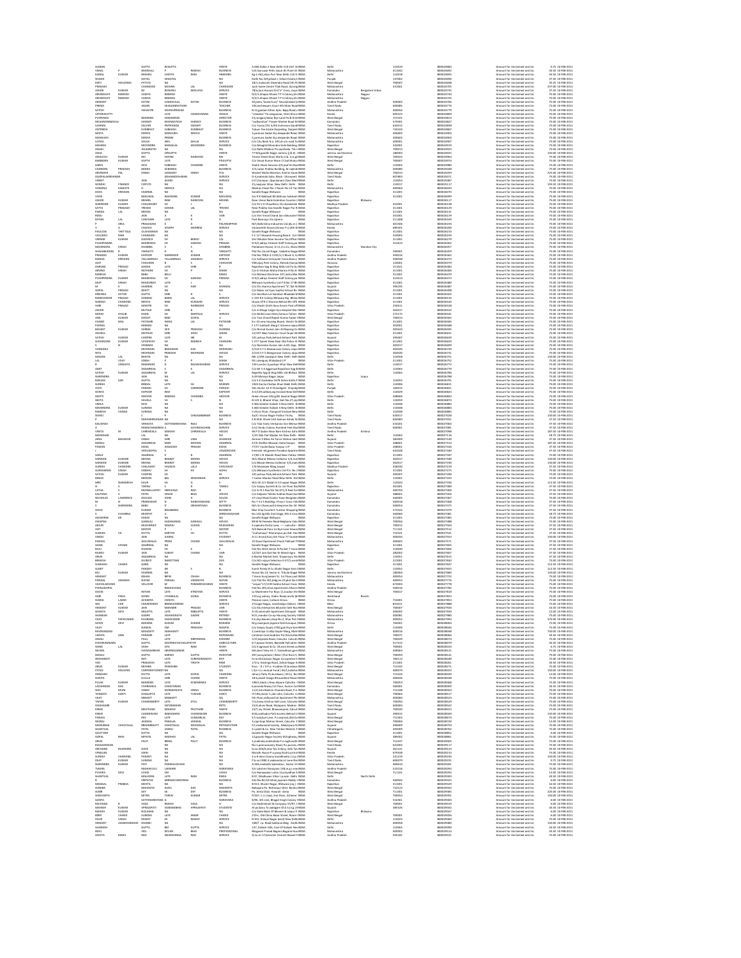| SUMAN                                       |                                  | <b>GUPTA</b>                            | ROSUPTA                                       |                             | HWIFE                                              | A-406 Kalka Ji New Delhi-110 019 DeNDIA                                                                                                                                                                                                                                                                                  | Delhi                                                                       |                                     | 110019                               | 800024684                                                     | Amount for Unclaimed and Un                                                                                                                                | 0.75 10 FEB-2011                                                                                                           |
|---------------------------------------------|----------------------------------|-----------------------------------------|-----------------------------------------------|-----------------------------|----------------------------------------------------|--------------------------------------------------------------------------------------------------------------------------------------------------------------------------------------------------------------------------------------------------------------------------------------------------------------------------|-----------------------------------------------------------------------------|-------------------------------------|--------------------------------------|---------------------------------------------------------------|------------------------------------------------------------------------------------------------------------------------------------------------------------|----------------------------------------------------------------------------------------------------------------------------|
| VIMAL<br>KAMAL                              | KUMAR                            | BHANSALI<br>BAKHRU                      | .<br>СНОПН                                    | RAKÉSH<br>RAM               | <b>BUSINESS</b><br><b>HBAXH</b>                    | S14 Guruwar Peth, Gauri Ali Pune 413NDIA<br>Kg-1-462,vikis Puri New Delhi-110 03NDIA                                                                                                                                                                                                                                     | Maharashtri<br>Delhi                                                        |                                     | 411042<br>110418<br>147002           | 800024692<br>800024695                                        | Amount for Unclaimed and University<br>Amount for Unclaimed and University<br>Amount for Unclaimed and University                                          | 43.50 10-FEB-2011<br>43.50 10-FEB-2011                                                                                     |
| SHASHI<br>KIRTI<br>PRAKASH                  | HOLDINGS                         | GOYAL<br>PVTLTD<br>CHANGEDE             | VKGOYAL<br>NA<br>MOHAN                        | LAL                         | NA<br>NA<br>CHANGEDE                               | Kothi No.329,phase-i, Lirban Estate,neNDM<br>18/1, maharshi Devendra Road Sth FidNDIA<br>Jyoti Saree Centre Tilak Road, Aurang/NDIA                                                                                                                                                                                      | Punjab<br>West Bengal<br>Maharashtra                                        |                                     | 700007<br>431001                     | 800024696<br>800024698<br>800024705                           | Amount for Unclaimed and Uni<br>Amount for Unclaimed and Uni                                                                                               | 37.50 10-FEB-2011<br>35.25 10-FEB-2011<br>237.00 10-FEB-2011                                                               |
| <b>ASHOK</b><br><b>ARUNDHAT</b><br>ARUNDHAT | KUMAR<br>NAMESH<br>NAMESH        | <b>bv</b><br>VAIDYA<br>VAIDYA           | <b>BVISHNU</b><br><b>RAMESH</b>               | KEDILAYA                    | SERVICE<br>HWIFE<br>HWIFE                          | 78/a fout House) 31st <sup>*</sup> a" Cross, JavanINDIA<br>D/2/1.khapar Khoda T P S Colony,khaNDIA<br>D/2/1.khapar Khoda T P S Colony,khaNDIA                                                                                                                                                                            | Kamataka<br>Maharashtr<br>Maharashtr                                        | Banzalore Urbar<br>Nagpur<br>Nagpur |                                      | 800024735<br>800024744<br>800024745                           | Amount for Unclaimed and Un<br>Amount for Unclaimed and Un<br>Amount for Unclaimed and Un                                                                  | 37.50 10-FEB-2011<br>75.00 10-FEB-2011<br>75.00 10-FEB-2011                                                                |
| HEMANT                                      |                                  | KOTAK                                   | CHANDULAL<br>SKIAGANNATHAM                    | KOTAK                       | BUSINESS<br>TEACHER                                | 92, jeera, "kotak-kunj" Secundrabad (aINDIA<br>104, exchequers Court 4th Main Road INDIA                                                                                                                                                                                                                                 | Andhra Pradesh<br>Tamil Nadu                                                |                                     | 500003<br>600085                     | 800024766<br>800024776                                        | Amount for Unclaimed and Un<br>Amount for Unclaimed and Un                                                                                                 | 75.00 10-FEB-2011                                                                                                          |
| PREMA<br>SATISH<br><b>VJPARUKUTTY</b>       |                                  | <b>JAGAN</b><br>VSHASTRI                | VISHNUPRASAD<br>LATE                          | CNARAYANAN                  | <b>BUSINESS</b><br>HHOLD                           | 8-12 gautam Dhan Apts. Bajaj Road,viNDIA                                                                                                                                                                                                                                                                                 | Maharashtra<br>Kerala                                                       |                                     | 400056<br>695523                     | 800024779<br>800024805                                        | Amount for Unclaimed and Un<br>Amount for Unclaimed and Un                                                                                                 | 75.00 10-FEB-2011<br>75.00 10-FEB-2011<br>75.00 10-FEB-2011                                                                |
| PUSPENDU<br>MOHANDRAMOUL                    |                                  | <b>BANERJEE</b><br>SHENOY<br>SELVAN     | SCBANERJEE<br>MVENKATESH                      | SHENOY                      | DIRECTOR                                           | "sreevilas" Po.verganoor, Distt.thiruv/NDIA<br>23.ranigari Bazar Bye Lane Po.& DistUNDIA                                                                                                                                                                                                                                 | West Beneal<br>wen berga<br>Kamataka<br>Tamil Nadu                          |                                     | 713101<br>57500                      | 800024819<br>80002482                                         | Amount for Unclaimed and Un                                                                                                                                | 25.00.10.6FR.2011<br>75.00 10-FEB-2011                                                                                     |
| SJHAMIL<br>ANTRIKSH<br>NEETA                |                                  | KUMBHA<br>KENIYA                        | SUBHASH<br>MANSUKH                            | SWAMY<br>KUMBHAT<br>KENIYA  | BUSINESS<br>BUSINESS<br>BUSINESS<br>HWIFE          | Taylorigan state by Lane Ford Britishino<br>C/o Yuvraj 255 A,9th Extension GandNNDIA<br>Tukvar Tea Estate Darjeeling DarjeelinNDIA<br>3,yamuna Sadan B.p.despande Road, INDIA                                                                                                                                            | West Bengal<br>Maharashtra                                                  |                                     | 642012<br>734104<br>400602           | B00024838<br>B00024867<br>800024903                           | Amount for Unclaimed and Uni<br>Amount for Unclaimed and Uni<br>Amount for Unclaimed and Uni<br>Amount for Unclaimed and Un                                | 75.00 10-FEB-2011<br>75.00 10-FEB-2011<br>75.00 10-FEB-2011                                                                |
| MANSURH<br>LATIKA                           |                                  | KENTYA<br>AHUJA                         | IMBR<br>ANIL                                  | <b>AHUIA</b>                | <b>BUSINESS</b><br>SERVICE                         | .<br>3.yamuna Sadan B.p.despande Road, INDIA<br>C/o City Bank N.a. 293,dr.d.n.road FoINDIA                                                                                                                                                                                                                               | Maharashtra<br>Maharashtra                                                  |                                     | 400602<br>400001                     | 800024904<br>800024907                                        | Amount for Unclaimed and Un<br>Amount for Unclaimed and Un                                                                                                 | 75.00 10-FEB-2011<br>75.00 10-FEB-2011                                                                                     |
| MAHES<br>ANJALI<br>ASHA                     |                                  | MOONDS<br>JGUJARATH<br>GUPTA            | MANGE AL<br>na<br>Opglipta                    | MOONDRA                     | <b>BUSINESS</b><br>NA<br>HWIFE                     | C/o Mangilal Moondra Gole Building, INDIA<br>C/o Rathi Medical Po.saykheda Tel.ntNDIA<br>77 B/b, gandhi Nagar Jammu (j & K) JINDIA                                                                                                                                                                                       | fajasthan<br>West Benga                                                     |                                     | 34200<br>700013<br>180004            | 800024919<br>B00024923<br>B00024925                           | Amount for Unclaimed and Un<br>Amount for Unclaimed and Un<br>Amount for Unclaimed and Un                                                                  | 75.00 10-FEB-2011<br>75.00 10-FEB-2011                                                                                     |
| AIOHILESE<br>RABINDRA                       | KUMAR<br>KUMAR                   | <b>BAI</b><br><b>GUPTA</b>              | SHYAM<br>LATE                                 | NARAYAN                     | RAI<br>PDGUPTA                                     | Triveni Sheet Glass Works Ltd. 2,st.ge/NDIA<br>C/o Vincd Kumar More 17.bal MukuriNDIA                                                                                                                                                                                                                                    | Jammu and Ka<br>West Bengal<br>West Bengal                                  |                                     | 700022<br>700007                     | 800024964<br>800024974                                        | Amount for Unclaimed and Un<br>Amount for Unclaimed and Un                                                                                                 | 150.00 10-FEB-2011<br>75.00 10 FEB-2011<br>75.00 10-FEB-2011                                                               |
| SAROJ<br>CHANDRA<br>ARVINDER                | PRAKAS                           | pevi<br>BANKA<br>SINGH                  | SUBHASH<br><b>GORANKA</b>                     | CHANDER                     | HWIFE<br><b>BUSINESS</b>                           | <b>Shakri Share Senines 4/9 and All Brightfild</b>                                                                                                                                                                                                                                                                       | Delhi                                                                       |                                     | 110002<br>400080<br>700013           | 800024980<br>800025048<br>800025059                           | Amount for Unclaimed and Un                                                                                                                                | 75.00 10 FEB-2011                                                                                                          |
| DOOPALA<br>VINEET                           | w                                | JAIN                                    | asway<br>GDHAMODI<br><b>JKIAIN</b>            | SINGH                       | BOSINES<br>FCA<br>SERVICE<br>SERVICE               | 2/3, nutan Prabha Bailding, Dr. rajendrNDIA<br>Wachel Molla Mansion, 8, lenin SaranINDIA<br>D-4, arabindo Salai, Block -18, neyveli -INDIA<br>D-4, arabindo Salai, Block -18, neyveli -INDIA<br>517, timarpur, Opp. banarsi Dass MarkINDIA                                                                               | Məhərəshtri<br>West Bergal<br>Tamil Nədu<br>Delhi                           |                                     | 607803<br>110054                     | 800025071<br>800025087                                        | Amount for Unclaimed and Uni<br>Amount for Unclaimed and Uni<br>Amount for Unclaimed and Uni<br>Amount for Unclaimed and Un                                | 75.00 10-FEB-2011<br>225.00 10-FEB-2011<br>75.00 10-FEB-2011<br>75.00 10-FEB-2011                                          |
| SONDH<br>VAMANA                             | FINANCE<br>KAMATH                | COPLTD                                  | NA<br>SERVICE                                 |                             | NA.<br>NA.                                         | 21 navivan Vihar, New Delhi Delhi INDIA<br>Madras Chawl No 1 Room No 14 TaniNDIA                                                                                                                                                                                                                                         | Delhi<br>Maharashtra                                                        |                                     | 110017<br>400054                     | 800025117<br>800026034                                        | Amount for Unclaimed and Uni<br>Amount for Unclaimed and Un                                                                                                | 193.50 10-FEB-2011<br>75.00 10-FEB-2011                                                                                    |
| DAYA<br>VIVEK                               | KRISHAN                          | SHARMA<br>BAKLIWA                       | NA<br>RAJENDRA                                | <b>KLIMAR</b>               | NA<br>BAKLIWAI                                     | -<br>Gandhi Nagar Bhilwara<br>S/o R K Bakliwal 80 Abhinav Subhash INDM                                                                                                                                                                                                                                                   | Rajasthan<br>Rajasthan                                                      |                                     | 311001<br>311001                     | 800026070<br>800026095                                        | Amount for Unclaimed and Un<br>Amount for Unclaimed and Un                                                                                                 | 75.00 10-FEB-2011<br>75.00 10-FEB-2011                                                                                     |
| ASHOK<br>NARINDE<br>SATYA                   | KUMAR<br>KUAMR<br>PRAKASH        | MÉHRA<br>CHAUDHA<br>TRIVED              | RAM<br>SH<br>SOHAN                            | NARAYAN<br>LAL              | MEHRA<br>TRIVEDI                                   | Near Union Bank Extention Counter ONDIA<br>C/o Sh V K Chaudhary 54, chanderiok INDIA<br>Near Prabha Gas Gandhi Nagar Pur NINDIA                                                                                                                                                                                          | itajasthan<br>Madhya Pra<br>Rajasthan                                       | <b>Shihwara</b>                     | 452001<br>311001                     | B00026117<br>B00026128<br>800026129                           | Amount for Unclaimed and Un<br>Amount for Unclaimed and Un<br>Amount for Unclaimed and Un                                                                  | 75.00 10-FEB-2011<br>75.00 10-FEB-2011<br>75.00 10-FEB-2011                                                                |
| PANNA<br>RENU                               | LAL                              | MEENA<br>10150                          | NA                                            |                             | NA.<br><b>JAIN</b>                                 | .<br>Gandhi Nagar Bhihwara (NDIA)<br>C/o Shri Vimal Chand Jain Advocate PINDIA                                                                                                                                                                                                                                           | Rajasthan<br><b>Raiasthan</b>                                               |                                     | 311001<br>341001                     | 800026131<br>800026139                                        | Amount for Unclaimed and Un<br>Amount for Unclaimed and Un                                                                                                 | 75.00 10-FEB-2011<br>75.00 10-FEB-2011                                                                                     |
| RATAN                                       | LAL<br>ARLIL                     | CHECHAN<br>PRAGASAM<br>CHACKO           | LATE<br>K<br>JOSEPH                           | ANDREY                      | PALANUAPPAI                                        | Post Bamniya Via Uprera<br>M/s Balkrishna Industries Ltd.(dy.m.) INDIA<br>Variaveettil House, chimar P.o (4th MINDIA                                                                                                                                                                                                     | tajasthan<br>Maharashtri<br>Kerala                                          |                                     | 311408<br>401506<br>685501           | 800026169<br>B00026194<br>B00026200                           | Amount for Unclaimed and Un<br>Amount for Unclaimed and Un<br>Amount for Unclaimed and Un                                                                  | 75.00 10-FEB-2011<br>75.00 10-FEB-2011<br>75.00 10-FEB-2011                                                                |
| PAULOSS<br>VASUDEO                          | THETTALIL<br><b>BAM</b>          | <b>ULAHANNAN</b><br>CHANDANI            | NA<br>NA                                      |                             | SERVICE<br>NA.<br>NA                               | Gandhi Nagar Bhilwara<br>INDIA                                                                                                                                                                                                                                                                                           | Rajasthan                                                                   |                                     | 311001<br>324005                     | 800026210<br>800026239                                        | Amount for Unclaimed and Un                                                                                                                                | 75.00 10-FEB-2011<br>75.00 10-FEB-2011                                                                                     |
| VIKRAM<br>PUSHPENDR<br>MAHENDRA             | KUMAR                            | DADHIOH<br><b>BHARTIMA</b>              | ŚH<br>.<br>SH                                 | bHERU<br>GANESH             | <b>LAL</b><br>PRASAO                               | 5 C 12 Talwandi Housing Board Col ONDIA<br>Shri Nikatan Near Income Tex Office BNDIA<br>D-9/2,aditya Cernent Staff Colony.po.INDIA                                                                                                                                                                                       | .<br>Rajasthan<br>Rajasthan<br><b>Rajastha</b>                              |                                     | 311001<br>312613                     | 800026279<br>80002630                                         | Amount for Unclaimed and Un<br>Amount for Unclaimed and Un<br>Amount for Unclaimed and Un                                                                  | 75.00 10-FEB-2011<br>75.00 10-FEB-2011                                                                                     |
| SHAHABUDI<br>PRAMOD                         | SINGH<br>KUMAR                   | DHABRIA<br>YARGATTI<br>KAPOOR           | NARENDER                                      | KUMAR                       | DHABRIA<br>YARGATTI<br>KAPOOR                      | Pantaloon House, G-11,m.i.d.c, MarolNDIA<br>Plot No.16,rail Nagar, Sadashiv NagarINDIA<br>Flat No.708,6-3-1192/1/1 Block A, KuNDIA                                                                                                                                                                                       | Maharashtr<br>Kamataka<br>Andhra Pradesi                                    | Mumbai City                         | 590001<br>500016                     | 800026357<br>800026359<br>800026362                           | Amount for Unclaimed and Un<br>Amount for Unclaimed and Un<br>Amount for Unclaimed and Un                                                                  | 75.00 10-FEB-2011<br>75.00 10-FEB-2011<br>75.00 10 FEB-2011                                                                |
| RAMAA<br>AJAY                               | KIDSHAN                          | TALLAMINAJU<br>CHAUHAN                  | TALLAMRAJU                                    | <b>JOSRAJU</b>              | SERVICE<br>CHAUHAN                                 |                                                                                                                                                                                                                                                                                                                          | Andhra Pradesh<br>Haryana                                                   |                                     | 500038<br>124001                     | 800026373<br>800026379                                        | Amount for Unclaimed and Un<br>Amount for Unclaimed and Un                                                                                                 | 75.00 10-FEB-2011<br>75.00 10-FEB-2011                                                                                     |
| <b>DHILIBA</b>                              | PRASAD<br>SINGH                  | GHOSH<br>RATHORE                        | LATE<br>SH                                    | SHR                         | SINGH                                              | rian var. Junga-3-1114/11/1 Biotock, Kurianov<br>233, vijay Park Colony, Rohtak (haryariNDIA<br>333, vijay Park Colony, Rohtak (haryariNDIA<br>Rajashin: Spg & Wog Milis Ltd Po GalNDIA<br>C/o Ev Krishan Moha Sharma H No & INDIA<br>C/o Mal                                                                            | rasyon<br>Rajasthan<br>Rajasthan                                            |                                     | 311021<br>311001                     | 800026383<br>800026406                                        | Amount for Unclaimed and Uni<br>Amount for Unclaimed and Uni<br>Amount for Unclaimed and Uni                                                               | 75.00 10-FEB-2011<br>75.00 10-FEB-2011<br>75.00 10-FEB-2011                                                                |
| <b>RAMESH</b><br>PUSHPENDRA<br>DILIP        | KUAMIR<br>SINGH                  | BABU<br>BHARDWAL<br><b>BHADORIA!</b>    | BALU<br>SH<br>LATE                            | GANESH                      | <b>BAMI</b><br>PRASAD                              | D-9/2 aditya Cement Staff Colony.po.INDIA<br>Bhilwara Synthetics Ltd P B No 17 BhilNDIA                                                                                                                                                                                                                                  | Rajasthan<br>Rajasthan                                                      |                                     | 311001<br>312613<br>311001           | 800026470<br>800026473<br>800026480                           | Amount for Unclaimed and Un<br>Amount for Unclaimed and Un                                                                                                 | 75.00 10-FEB-2011<br>75.00 10-FEB-2011                                                                                     |
| M                                           | <b>MASAD</b>                     | SHARMA                                  | ŚH                                            | HAR                         | SHAIMAL<br>NA                                      | C/o D.k.sharma Apartment "b", flat NdNDIA                                                                                                                                                                                                                                                                                | Gujarat                                                                     |                                     | 396195<br>$\frac{311001}{311001}$    | 800026487<br>800026496<br>800026502                           | Amount for Unclaimed and Un                                                                                                                                | 75.00 10 FEB-2011                                                                                                          |
| GOPAL<br>KRISHN<br>RAMES!<br>NARESE         | <b>VTA</b><br>PRASAD             | <b>BHATT</b><br>GUPTA<br>SOMAN<br>MÉHTA | NA<br>SHRI<br>bans<br>Ram                     |                             | SERVICI                                            | Co Ratan Lal Vyas Sophia School Ro (NDIA)<br>Co Ratan Lal Vyas Sophia School Ro (NDIA)<br>C 193 R K Colory Bhilwara Raj (Bhilwara)<br>House Of R C Sharma Behind RE Offi (NDIA)                                                                                                                                          | uujaras<br>Rajastha<br>Rajastha<br>Rajasthan<br>Rajasthan                   |                                     | 31100                                | 800026516                                                     | Amount for Unclaimed and Un<br>Amount for Unclaimed and Un<br>Amount for Unclaimed and Un<br>Amount for Unclaimed and Un                                   | 75.00 10-FEB-2011<br>75.00 10-FEB-2011<br>75.00 10-FEB-2011                                                                |
| HARI<br>ASHOR                               | CHANDRA<br>PRASAD                | MANTR<br>MUTHA                          | ŚH<br>SHRI                                    | <b>KUNWAI</b><br>NARINDER   | SERVICE<br>PRASAD                                  | C/o Shashi Cloth Hous Emain Post-offINDIA                                                                                                                                                                                                                                                                                | <b>Uttar Pradesh</b>                                                        |                                     | 31100<br>250611<br>302017            | 800026520<br>800026528<br>800026532                           | Amount for Unclaimed and Un<br>Amount for Unclaimed and Un                                                                                                 | 75.00 10-FEB-2011<br>75.00 10-FEB-2011<br>75.00 10-FEB-2011                                                                |
| MOHD                                        | <b>AYAUB</b><br>KUMAR            | KHAN                                    | ŠH.<br>RAM                                    | MARTAIA<br>GOPAL            | SERVICE                                            | .<br>C/o A 49opp Calgiri Eye Hospital Ma UNDIA<br>C/o Mohd.nasir Khan.famous Tailors INDIA<br>C/o Tara Chand Rajesh Kumar Sadar BNDIA                                                                                                                                                                                    | Rajasthan<br>Uttar Pradesi<br>West Benga                                    |                                     | 272175<br>700013                     | 800026541<br>800026565                                        | Amount for Unclaimed and Un                                                                                                                                | 75.00 10-FEB-2011<br>75.00 10-FEB-2011                                                                                     |
| HOID<br>ANIL<br>CHAND<br>PADMA              | MAL                              | DHOOT<br>PATWARI<br>RAMANI              | NAND<br>NA                                    | LAL                         | PATWAR<br>NA                                       | 6-c-23,new Housing Board, Shastri NaNDIA<br>F 177 Subhash Marg C Scheme JaipurINDIA                                                                                                                                                                                                                                      | Rajasthan<br>Rajasthan                                                      |                                     | 31100<br>302001                      | 800026585<br>800026588                                        | Amount for Unclaimed and University<br>Amount for Unclaimed and University<br>Amount for Unclaimed and University                                          | 75.00 10-FEB-2011<br>75.00 10-FEB-2011                                                                                     |
| <b>BASANT</b><br>ANUKU<br>SATISH            | KUMAR<br>KUMAR                   | SHRMA<br>MATHUR<br>CHOPRA               | VED<br>SHRI<br>LATE                           | PRAKASH<br>HODI<br>ś'n      | SHARMA<br>SINGH<br>i.                              | C/o Nirmal Kumar Jain 44 Bairane CollNDIA<br>12/197 Near Sessions Court Gujor MdNDIA<br>101, Jahrya Park, behind Arihant Park INDIA<br>C 277 Saneh Deep Near Old Police CHNDIA                                                                                                                                           | Rajasthan<br>Rajasthan<br>Gujarat                                           |                                     | 305624<br>311001<br>395007           | 800026595<br>800026631<br>800026639                           | Amount for Unclaimed and Un<br>Amount for Unclaimed and Un<br>Amount for Unclaimed and Un                                                                  | 75.00 10-FEB-2011<br>75.00 10-FEB-2011<br>75.00 10-FEB-2011                                                                |
| SUDHIN                                      | KUMAI                            | <b>IRADHYA</b><br>SPARAKH<br>MOHNANI    | SH<br>NA                                      | <b>BAMESH</b>               | CHANDRA                                            |                                                                                                                                                                                                                                                                                                                          | <b>Rajastha</b><br>Rajasthan<br>Rajasthan                                   |                                     | 31100<br>30201                       | 800026650                                                     | Amount for Unclaimed and Un                                                                                                                                | 75.00 10-FEB-2011<br>75.00 10-FEB-2011                                                                                     |
| VANDAN<br>NITA<br>MADAN                     | LAL                              | MOHNANI<br>BHATIA                       | BHAGWAI<br>PRAKASH<br>NA                      | DAS<br>MOHNANI              | MOHNAN<br>HOUSE<br>NA.                             | C/o Narendra Kumar Jain A-49, Opp. INDIA<br>2/134 S F S Mansarovar Colony JaipulNDIA<br>2/134 S F S Manearovar Colony JaioulNDIA<br>Mb 1/294 Janakpuri New Delhi DelhiNDIA                                                                                                                                               | Rajasthan<br>Delhi                                                          |                                     | 302020<br>302020<br>110058           | B00026699<br>B00026730<br>800026731<br>800026751              | Amount for Unclaimed and Un<br>Amount for Unclaimed and Un<br>Amount for Unclaimed and Un<br>Amount for Unclaimed and Un                                   | 75.00 10-FEB-2011<br>75.00 10 FEB-2011<br>150.00 10-FEB-2011                                                               |
| LAL                                         | VIJAY<br>VENKATA                 | SINGH<br>BAMANAN                        |                                               | MASEKHARA                   | SINGH                                              |                                                                                                                                                                                                                                                                                                                          | Uttar Prades                                                                |                                     | 211001                               | 800026752<br>000026772                                        | Amount for Unclaimed and Un                                                                                                                                | 75.00 10 FEB-2011                                                                                                          |
| n<br>Amit<br>Satish                         | KUMAR                            | annamus<br>AGGARWA                      | i.                                            | u.                          | SERVICE<br>AGGARW<br>SERVICE                       | 95 Lukergunj Allahabad U P<br>194-Lsector-4,pushpa Vihar New DelitNDIA<br>C/o Mr S K Aggarwal Rajasthan Spg & NYDIA<br>Rajastha Spg & Weg Mills Ltd Bhilwa INDIA                                                                                                                                                         | Delhi<br>Delhi<br>Delhi                                                     |                                     | 110017<br>110065<br>110065           | 800026779<br>800026780                                        | Amount for Unclaimed and Uni<br>Amount for Unclaimed and Uni<br>Amount for Unclaimed and Uni                                                               | 75.00 10-FEB-2011<br>75.00 10-FEB-2011<br>75.00 10-FEB-2011                                                                |
| NARENDRA<br>RANJAN<br>SURESH                | KAR                              | JAIN<br>GUPTA<br><b>BINDAL</b>          | NA<br>NA<br>LATE                              | \$H                         | NA.<br>NA.<br>MURARI                               | 1945 Kecha Challan Khari Bahli Delhi INDIA                                                                                                                                                                                                                                                                               | Rajasthan<br>Delhi<br>Delhi                                                 | Jaipu                               | 110055<br>110006                     | 800026788<br>800026791<br>800026811                           | Amount for Unclaimed and Un<br>Amount for Unclaimed and Uni<br>Amount for Unclaimed and Un                                                                 | 75.00 10-FEB-2011<br>75.00 10-FEB-2011<br>75.00 10 FEB-2011                                                                |
| <b>IYOTI</b><br>SONYA                       |                                  | PANDHI<br>KAROO                         | SH<br>Ravi                                    | VARINDER                    | PANDHI<br>KAPOOI                                   |                                                                                                                                                                                                                                                                                                                          | Punjab<br>Delhi                                                             |                                     | 160015<br>110029                     | 800026821<br>800026824                                        | Amount for Unclaimed and Un<br>Amount for Unclaimed and Un                                                                                                 | 75.00 10-FEB-2011<br>75.00 10-FEB-2011                                                                                     |
| DEEPTI<br>GEETA                             |                                  | GROVER<br>SHUKLA                        | RAMESH<br>SH                                  | CHANDIS                     | GROVER                                             | 1943 Sector 16 D Chandigan Chandigan<br>A-2/139,safdarjung Enclave New DelfiNDIA<br>Green House 126/g/85 Govind Nagar INDIA<br>B-123 A, Bharat Vihar, Gali No.27,rajaNDIA<br>B-123 A, Bharat Vihar, Gali No.27,rajaNDIA                                                                                                  | Uttar Pradesh<br>Delhi                                                      |                                     | 208006<br>110059                     | 800026844<br>800026874                                        | Amount for Unclaimed and Un<br>Amount for Unclaimed and Un                                                                                                 | 75.00 10-FEB-2011<br>75.00 10-FEB-2011                                                                                     |
| VIMLA<br><b>MAHENDRA</b><br>RAMESH          | KUMAR<br>CHAND                   | DEVI<br>SURANA<br>SURANA                | NA<br>NA<br>NA                                |                             | NA<br>NA<br>NA                                     | S 466 Greater Kailash Ii New Delhi DeNDIA<br>S 466 Greater Kailash II New Delhi DeNDIA<br>C-29 ist Floor, Pamposh Enclave New INDM                                                                                                                                                                                       | Delhi<br>Delhi<br>Delhi                                                     |                                     | 110048<br>110048<br>110048           | 800026883<br>800026884<br>800026885                           | Amount for Unclaimed and Un<br>Amount for Unclaimed and Un<br>Amount for Unclaimed and Un                                                                  | 75.00 10-FEB-2011<br>75.00 10-FEB-2011<br>75.00 10-FEB-2011                                                                |
| SEENU                                       |                                  | BADHAKRISHNAN NA                        |                                               | CHDAMBARA                   | BUSINESS                                           | 48/41 Anuna Nagar Puthur Trichy<br>48/41 Anuna Nagar Puthur Trichy<br>48 65th Street Jith Awenue Ashok NaINDIA<br>C/o Tata Varty Venkanna Son BhimariNDIA                                                                                                                                                                | Tamil Nadu<br>Tamil Nadu                                                    |                                     | 620017                               | 800027028                                                     | Amount for Unclaimed and Uni<br>Amount for Unclaimed and Uni<br>Amount for Unclaimed and Uni                                                               | 150.00 10-FEB-2011<br>37.50 10-FEB-2011<br>37.50 10-FEB-2011                                                               |
| KALIDIND                                    |                                  | VENKATA<br><b>BAMACHANDBAN A</b>        | SATYAN                                        | RAIL<br>COVINDACHARI        | NA<br>BUSINESS<br>SERVICE                          | A 52 Hindu Colony Hundred Feet RoalNDIA                                                                                                                                                                                                                                                                                  | Andhra Pradesh<br><b>Tamil Nadu</b>                                         |                                     | 600083<br>534201<br>600051           | 800027031<br>800027064<br>800027081                           | Amount for Unclaimed and Un                                                                                                                                | 37.50 10 FEB-2011                                                                                                          |
| VINITA<br>MANOHAI<br>JANG                   | $\mathbf{M}$<br>BAHADUI          | CHRAWALA<br>LAL<br>SINGH                | MANISH<br>NA                                  | CHRAWALA<br><b>IMA</b>      | HOUSE<br>NA.<br><b>CHANKAR</b>                     | 96 P.D Sadan Near Ram Krishna AshraNDIA<br>1/23 Dda Flat Madan Gir New Delhi INDIA<br>irmen S Mess Air Force Station SectifNDIA                                                                                                                                                                                          | Andhra Pradesh<br>Delhi<br>Gujarat                                          | Krishna                             | 110062<br>382009                     | 800027098<br>800027116<br>800027149                           | Amount for Unclaimed and Un<br>Amount for Unclaimed and Un<br>Amount for Unclaimed and Un                                                                  | 187.50 10-FEB-2011<br>18.75 10 FEB 2011                                                                                    |
| MANJU<br>PAWAN                              |                                  | AGGARWAL<br>KÉDIA                       | SHRI<br>MAN<br>1004019                        | MOHAN<br>PRASAD             | AGARWAI<br>KEDIA                                   | 47/6 Girdhar Bhawan Hatia Kanpur - INDIA<br>77/37 Coolie Bazar Kanpur U P - - INDIA                                                                                                                                                                                                                                      | <b>Uttar Pradesi</b><br><b>Uttar Pradesh</b>                                |                                     | 20800<br>208001                      | 800027154<br>800027160                                        | Amount for Unclaimed and Un<br>Amount for Unclaimed and Un                                                                                                 | 37.50 10-FEB-2011<br>187.50 10-FEB-2011<br>37.50 10-FEB-2011                                                               |
| SARLA<br>SARWAN                             | KUMARI                           | VENUGOPAL<br><b>AGARWAL</b><br>MEENA    | s<br>BHARAT                                   | MEENA                       | <b>JAGADEESAN</b><br>AGARWAL<br>HOUSE              | Emerald -4d,greeen Paradise ApartmeNDIA<br>17/82 L N Mandir Road Near Patika ONDIA<br>W/o Bharat Meena Collector 5/4.mahNDIA                                                                                                                                                                                             | <b>Tamil Nadu</b><br>Rajasthan<br>Raiasthan                                 |                                     | 641028<br>311001<br>302017           | 800027180<br>800027187<br>800027189                           | Amount for Unclaimed and Un<br>Amount for Unclaimed and Un<br>Amount for Unclaimed and Un                                                                  | 37.50 10 FEB 2011<br>75.00 10 FEB-2011<br>150.00 10-FEB-2011                                                               |
| SARWAN                                      | KUMARI<br>CHANDRA                | MEENA<br>CHELAWAT                       | <b>BHARAT</b><br>SHUKILM                      | MEENA<br>LALI               | HOUSE<br>CHELAWAT                                  | Co Bharat Meena Collector 5/4, malviNDIA<br>176 Mukerjee Marg Jawad 1901<br>C/o Bhilwara Synthetics Ltd P.b. No 11NDIA                                                                                                                                                                                                   | Rajasthan<br>Madhya Pra                                                     |                                     | 302017<br>458330                     | 80002719                                                      | Amount for Unclaimed and Uni<br>Amount for Unclaimed and Uni<br>Amount for Unclaimed and Uni                                                               | 150.00 10-FEB-2011<br>37.50 10-FEB-2011<br>75.00 10-FEB-2011                                                               |
| GURSHAF<br>SATISH                           | SINGH<br>KUMAR                   | SINDHIU<br>CHOPRA                       | \$H<br>\$H                                    | нs                          | SIDHU<br>м                                         | 101,ashrya Park,behind Arihant Park INDIA                                                                                                                                                                                                                                                                                | Rajasthar<br>Gujarat                                                        |                                     | 311001<br>395007                     | B00027219<br>B00027219<br>B00027275<br>800027296              | Amount for Unclaimed and Un                                                                                                                                | 75.00 10-FEB-2011                                                                                                          |
| REKHA<br>MIS                                | NARAMESH                         | MENON<br>KALIR<br>TANNIL                | BAL<br>ŚH                                     | KRISHANAN                   | SERVICE<br>.<br>TANNI                              | 7 Jantar Mantar Road New Delhi DeltNDIA                                                                                                                                                                                                                                                                                  | Delhi<br>Delhi                                                              |                                     | 110001<br>110024                     | 800027333<br>800027336                                        | Amount for Unclaimed and Un<br>Amount for Unclaimed and Un                                                                                                 | 75.00 10-FEB-2011<br>112.50 10-FEB-2011                                                                                    |
| n<br>LATHA                                  |                                  | BAONA                                   | SHNMASA<br>VINOD                              | kА<br>BHA                   | HOUSE                                              | W/o Sh G S Malah G S3 Lajpat Nagar INDIA<br>C/o Sarjay Sacheti & Co 1st Floor BazINDIA<br>C/o Sr N S Itao Qtr No 671/4 Nad Col INDIA                                                                                                                                                                                     | .<br>Najasthan<br>Maharashti                                                |                                     | 301001<br>400704<br>388001           | 800027389<br>800027400                                        | Amount for Unclaimed and Un<br>Amount for Unclaimed and Un                                                                                                 | 37.50 10-FEB-2011<br>37.50 10-FEB-2011<br>37.50 10-FEB-2011                                                                |
| KALPANA<br>NICHOLAS<br>M                    | LAWRENC                          | PATEL<br>DSOUZA<br>PRABHAKAI            | JOHN<br>N                                     | NARAYANAIAM                 | SOUZA<br>SETTY                                     | C/o Kalpana Talkies Subhas Road AnaINDIA<br>37 Lloyd Road Cooke Town Bangalon(INDIA<br>No 7 S S S Building I Floor I Cross I M#NDIA                                                                                                                                                                                      | Gujarat<br>Kamataka<br>Kamataka                                             |                                     | 560005<br>560018                     | 800027456<br>800027467<br>800027468                           | Amount for Unclaimed and Un<br>Amount for Unclaimed and Un<br>Amount for Unclaimed and Un                                                                  | 75.00 10-FEB-2011<br>37.50 10-FEB-2011                                                                                     |
| SHIVA                                       | <b>NARENDRA</b><br>SUVARNI       | BABU<br>KUMAF<br>MURTHY                 | <b>BASABARA</b>                               | SRIKANTAIAH                 | <b>BUSINESS</b><br><b>BUSINESS</b><br>SRINIVASACHA |                                                                                                                                                                                                                                                                                                                          | Kamataka<br>Kamataka<br>Kamataka                                            |                                     | 560053<br>572102<br>segger           | 800027475<br>800027479                                        | Amount for Unclaimed and Un<br>Amount for Unclaimed and Un                                                                                                 | 37.50 10 FEB-2011<br>37.50 10-FEB-2011<br>18.75 10-FEB-2011                                                                |
| ANUSHRE<br>SWAPNA                           | KR                               | KANDI<br>GANGULI                        | SADANAND                                      | GANGULI                     | NA<br>HOUSE                                        | NO 7 > S S Summer (Finder Letra International Articles<br>MyS Sri Chamundi Enterprises No 34 BNDIA<br>MyS Sri Chamundi Enterprises No 34 BNDIA<br>No.133.3.jig Khb 2nd Stage, 9th A CrossNUIA<br>Sandhi Nagar Bhihoara<br>SOM M Feeeder                                                                                  | Rajasthan<br>West Bengal                                                    |                                     | 311001<br>700056                     | 800027481<br>800027485<br>800027488                           | Amount for Unclaimed and Uni<br>Amount for Unclaimed and Uni<br>Amount for Unclaimed and Uni                                                               | 75.00 10-FEB-2011<br>75.00 10-FEB-2011                                                                                     |
| ARJUN<br>ASIT                               |                                  | MUKHERJEE<br>MAYOR                      | MADHU                                         | SUDAN                       | MUKHERJEE<br>MAYOR                                 | 4,rajendra Dutta Lane, ----- calcutta---INDIA                                                                                                                                                                                                                                                                            | West Bengal<br>West Bengal<br>West Bengal                                   |                                     | 700012<br>711101                     | 800027504<br>800027512                                        | Amount for Unclaimed and Un<br>Amount for Unclaimed and Un<br>Amount for Unclaimed and Un                                                                  | 37.50 10-FEB-2011<br>37.50 10 FEB-2011<br>3750 10-FFR-2011                                                                 |
| SUBHAS<br>VINOD                             | $_{\text{CH}}$                   | <b>DUTTA</b><br>JAJN                    | KARTICK<br><b>LIGRA</b><br>PRÉM               | $_{\text{CH}}$<br>CHAND     | <b>DUTTA</b><br>stupent                            | 9/4 Baisnab Para 1st Dye Lane HowraiNDIA<br>"mahamaya" Dharampur,po.\$dt. HoolNDIA<br>A-11 Arvind Kunj 5th Floor 77 TaanbelNDIA                                                                                                                                                                                          | Maharasht<br>Maharashtra                                                    |                                     | 710101<br>400034                     | 800027541<br>800027553<br>800027571                           | Amount for Unclaimed and Un                                                                                                                                | 150.00 10 FEB 2011<br>37.50 10 FEB 2011<br>37.50 10 FEB 2011                                                               |
| PANKAJ<br>GHAN<br>RAJU                      | SHYAM                            | AHLUWALM<br>AGARWAL<br>DUDANI           | ŚH                                            |                             | AHLUWALIA<br>NA                                    | Flat No 5023 Sector B Pocket 7 VasarINDIA                                                                                                                                                                                                                                                                                | Rajasthan<br>Delhi                                                          |                                     | 400602<br>311001<br>110030           | 800027605<br>800027606                                        | Amount for Unclaimed and Un<br>Amount for Unclaimed and Un<br>Amount for Unclaimed and Un                                                                  | 37.50 10 FEB 2011                                                                                                          |
| RAJEEV<br>ARUN                              | KUMAR                            | <b>JAIN</b><br><b>AGGARWA</b>           | SUMAT<br>NA.<br>NAROTTAN                      | CHAND                       | <b>JAIN</b><br>NA<br>DAS                           | 12/167 Jain Gali Nai Ki Mandi Agra INDIA<br>6 Rashid Market Extr. Dispensary StreNDIA                                                                                                                                                                                                                                    | <b>Uttar Pradesh</b><br>Delhi                                               |                                     | 282002<br>110051<br>22100            | 800027607<br>800027615<br><b>Innovativ</b>                    | Amount for Unclaimed and Un<br>Amount for Unclaimed and Un                                                                                                 | 37.50 10-FEB-2011<br>37.50 10-FEB-2011                                                                                     |
| <b>BRAJESH</b><br>SUBHASI<br><b>SUMIT</b>   | CHAND                            | GUJKATI<br>GUJKATI<br>PANDEY            | DR                                            |                             |                                                    | Communication Concession V-37/1, services<br>Comdhi Nagar Bhilwara<br>Sumit Pandy B 1u Shakti Nagar Extri DNDIA                                                                                                                                                                                                          | Uttar Pradesi<br>Rajasthan<br>Delhi                                         |                                     | 31100<br>110052                      | 00002764<br>800027655                                         | Amount for Unclaimed and Uni<br>Amount for Unclaimed and Uni<br>Amount for Unclaimed and Uni                                                               | 75.00 10-FEB-2011<br>112.50 10-FEB-2011<br>112.50 10-FEB-2011                                                              |
| RAJ<br>HEMANT                               | KUMAR                            | SHARMA<br><b>ESHAH</b>                  | NA<br>EIPIN                                   | CSHAH                       | NA<br><b>BUSINESS</b>                              | House No.14, Sector-4, Trikula Nagar/NDIA<br>7 Amar Kunj, besant St. 1st Floor, sant/NDIA                                                                                                                                                                                                                                | Jammu and Kashmi<br>Maharashtra                                             |                                     | 180004<br>400054                     | 800027680<br>800027722                                        | Amount for Unclaimed and Un<br>Amount for Unclaimed and Un                                                                                                 | 150.00 10-FEB-2011<br>75.00 10-FEB-2011                                                                                    |
| PANGAL                                      | ANANDA                           | NAYAK                                   | PANGAL                                        | UMANATH                     | NAYAK<br>HWIFE<br>RUSINESS                         | C/o Flat No.301, bldg.no.23, plot No.58NDIA<br>"sreyas"17/1193 Sabha School Cross INDIA<br>Flat No.305, shiva Apartments Dharm INDIA                                                                                                                                                                                     | Maharashtra<br>Kerala                                                       |                                     | 400053<br>67300                      | 800027776<br>800027778<br>800027782                           | Amount for Unclaimed and Un<br>Amount for Unclaimed and Un<br>Amount for Unclaimed and Un                                                                  | 75.00 10-FEB-2011<br>-<br>75.00 10-FEB-2011<br>75.00 10-FEB-2011                                                           |
| DAVID<br>HARI                               | PADA                             | ROYAN<br>GORAI                          | LATE<br>LTHABULAL                             | KTROYAN<br>GORAI            | SERVICE<br>BUSINESS                                | La Martiniere For Boys 11, loudon StreNDIA<br>110, a.g. colony, Kadru Road, ranchi (bilNDIA                                                                                                                                                                                                                              | West Bengal<br>Jharkhand                                                    |                                     | 700017                               | 800027818<br>800027823                                        | Amount for Unclaimed and Un<br>Amount for Unclaimed and Un                                                                                                 | 75.00 10-FEB-2011<br>75.00 10-FEB-2011                                                                                     |
| SUBHA<br>wó<br>HEMANT                       | LAXMI<br><b>CDR</b><br>KUMAR     | <b>ACHARYA</b><br>CMUKHERJEE<br>JAIN    | CSRATH<br><b><i>BWMUKHERJE</i></b><br>MAHABIR | PRASAD                      | HWIFE<br>SERVICE<br><b>JAIN</b>                    | Pension Lane, Cuttack Orissa<br>INDIA<br>27,kagal Nagar, Jamshedpur (bihar) JINDIA<br>C/o B.k.enterprises 68 natini Satt Bornertha                                                                                                                                                                                       | Orissa<br><b>Bihar</b><br>West Beneal                                       |                                     | 753001<br>831011<br>700007           | 800027854<br>800027888<br>800027926                           | Amount for Unclaimed and Un<br>Amount for Unclaimed and Un<br>Amount for Unclaimed and Un                                                                  | 75.00 10-FEB-2011<br>75.00 10-FEB-2011<br>16.50 10-FEB-2011                                                                |
| SHANTA<br>SHANKAF                           | bEVI                             | MGUPTA                                  | LATE<br>VIŠHWANATI                            | MBGUPTA<br>GADRE            | HWIFE<br>RETIRED<br>BUSINESS                       | Lyu account prime university of the MDIA<br>B-21 mandar Co-op Housing Society BNDIA<br>K.k.drycleaners,shop No.2, Khar Pali RNDIA                                                                                                                                                                                        | Maharasi <sup>k</sup><br>Maharashtra                                        |                                     | 400092                               | 800027930                                                     | Amount for Unclaimed and University<br>Amount for Unclaimed and University<br>Amount for Unclaimed and University                                          | 12.00 10-FEB-2011                                                                                                          |
| VUAY<br>SAYER                               | SHVKUMAR<br>DEVI                 | GADRE<br>KHURANA<br>BOKARIA             | SHIVKUMAR<br>KUSUM                            | KUMAR                       | BOKARJA                                            | M.e.road.post.ieyppre Distt.koraput (INDIA                                                                                                                                                                                                                                                                               | Maharashtra<br>Orissa                                                       |                                     | 400081<br>400052<br>764001           | 800027980<br>800027993<br>800028004                           | Amount for Unclaimed and Uni                                                                                                                               | 75.00 10-FEB-2011<br>375.00 10-FEB-2011<br>75.00 10-FEB-2011                                                               |
| VUAY<br><b>RAVINANDA</b><br>VIDHYA          | DEBI                             | NAGPAL<br>MAHANTY<br>PANSAR             | <b>OM</b><br>SMAHANTY                         | PRAKASH                     | <b>NAGPAL</b><br><b>BUSINESS</b><br>RGPANSAR       | C/o Sanjay Gupta 2782,gali Arya SamINDIA<br>2,ramkripa Lt.dilip Gupte Marg, MahilNDIA                                                                                                                                                                                                                                    | Delhi<br>Maharashtra<br>West Benga                                          |                                     | 110006<br>400016<br>700071           | 800028046<br>800028048<br>ennmans                             | Amount for Unclaimed and Un<br>Amount for Unclaimed and Un<br>Amount for Unclaimed and Un                                                                  | 75.00 10 FEB-2011<br>750.00 10-FEB-2011<br>43.50 10-FEB-2011                                                               |
| ANJALI<br>KVKARU                            |                                  | PAUL<br>GUPTA                           | LATE<br>LATE<br>KOVENKA                       | ATHY                        | KISHORE<br>AGRICULTURI                             | Systematic Commodities Put Itd.chatterNDIA<br>5/1f.keyatala Road, Calcutta CalcuttaNDIA<br>6-7.bazaar Street, Baireddi Palli,distt.cNDIA                                                                                                                                                                                 | West Bengal<br>Andhra Prades                                                |                                     | 700029<br>517415                     | B00028074<br>B00028079                                        | Amount for Unclaimed and Un<br>Amount for Unclaimed and Un                                                                                                 | 75.00 10-FEB-2011<br>43.50 10-FEB-2011                                                                                     |
| NAND<br>NILIMA                              | LAL                              | SHAH<br>SVENGSARKAR                     | SITA<br>SBVENGSARKAR                          | RAM                         | SHAH<br>HWIFE                                      | C/o K.agrawal & Co. 34.ezra Street.calNDIA<br>601,best View A1-7, Yashodham,gore/NDIA<br>497 earnewartels / West 1 Flat No. b.S. (NTH)                                                                                                                                                                                   | West Bengal<br>Maharashtra                                                  |                                     | 700001<br>400053                     | 800028103<br>800028121                                        | Amount for Unclaimed and Un<br>Amount for Unclaimed and Un                                                                                                 | 6.75 10 FEB-2011<br>75.00 10-FEB-2011                                                                                      |
| MANJU<br>SNEHAMO<br>VED<br>ARUN             |                                  | <b>GUPTA</b><br>ROY<br>PRAKASSH         | <b>HARISH</b><br>LATE<br>LATE                 | GUPTA<br>GIBENI<br>TRATH    | <b>INVESTOR</b><br>ROY<br>RAM<br>STUDENT           | 497, naneyamtasa ( West ) Fran No.10-5, INDIA<br>H.no.632, kalyan Nagar Co-oprative CaNDIA<br>172-a, Hastings Road, Ashok Nagar AINDIA<br>B.no. - D / 4 P.o. H.cables Dt.bundwartNDIA                                                                                                                                    | West Bengal<br>West Bengal<br>Uttar Prades                                  |                                     | 700059<br>700112<br>211001<br>211001 | 800028141<br>800028189<br>800028261                           | Amount for Unclaimed and Un<br>Amount for Unclaimed and Uni<br>Amount for Unclaimed and Uni<br>Amount for Unclaimed and Uni                                | 75.00 10-FEB-2011<br>-<br>75.00 10.FEB-2011                                                                                |
| <b>STOCK</b>                                | KUMAR<br>HOLDING                 | MISHRA<br>CORPORATIONOFINA              | PKMISHRA                                      |                             | NA.                                                | (A/c-Li.c.mutual Fund ) 44/1.kalicharINDIA                                                                                                                                                                                                                                                                               | West Bengal<br>Maharashtra                                                  |                                     | 400079                               | 800028271<br>800028323                                        | Amount for Unclaimed and Uni                                                                                                                               | 43.50 10-FEB-2011<br>43.50 10-FEB-2011<br>75.00 10-FEB-2011<br>150.00 10-FEB-2011                                          |
| DEBASISH<br><b>SUNITA</b>                   |                                  | DUTTA<br>SLULLA                         | LATE<br>SHRI                                  | <b>GOPAL</b><br>CHAND       | CHANDRA<br>HWIFE                                   | Johury Patty Po.burdwan (W.b.) BurlNDIA                                                                                                                                                                                                                                                                                  | West Bengal<br>Maharashtra                                                  |                                     | 713104<br>400026                     | 800028339<br>800028438                                        | Amount for Unclaimed and Uni<br>Amount for Unclaimed and Un                                                                                                | 12.00 10-FEB-2011<br>25.00.10.698.2011                                                                                     |
| PULAK<br>LACHHM                             | KUMAR<br>$\overline{\text{DAS}}$ | BANERIEE<br>CHHRAHEIA                   | LATE<br>CHHATABAM                             | KCBANERJE                   | SERVICE<br>BUSINESS                                | Johnny Patty Po.<br>David Singa 39, wardend Road BNDIA<br>183/1, block-  New Alipore Calcutta ONDIA<br>193/1, block-  New Alipore Calcutta ONDIA<br>5, animta Niwais, 1st Floor, Kumiar Cot INDIA<br>11/4, rishi Bankim Chandia Road, P.o. IN                                                                            | .<br>West Bengal<br>Kamataka<br>West Bengal                                 |                                     | 700053<br>560001<br>712248           | 800028468<br>800028500                                        | Amount for Unclaimed and University<br>Amount for Unclaimed and Un                                                                                         | 75.00 10-FEB-2011<br>43.50 10-FEB-2011<br>75.00 10-FEB-2011                                                                |
| SHIV<br>TONMOY<br>VUAY                      | MUNI<br>KANTI                    | SINGH<br>DASGUPTA<br>MEHATT             | GORAKHNATH<br>LATE<br>MASHATT                 | SINGH<br>TUSHAR             | BUSINESS<br>KANTI<br>NA.                           | 5th Floor,vidhyanchal Apartment PlotNDIA                                                                                                                                                                                                                                                                                 | West Bengal<br>Maharashtra                                                  |                                     | 700064<br>400050                     | 800028503<br>800028517<br>800028524                           | Amount for Unclaimed and Un<br>Amount for Unclaimed and Un<br>Amount for Unclaimed and Un                                                                  | 75.00 10-FEB-2011<br>75.00 10-FEB-2011                                                                                     |
| TAPAN<br>SSESHAGIR                          | KUMAR                            | CHAKRABORTY<br>MKOTHAR                  | LATE<br>SSITARAMAN<br>MAHESH                  | <b>ATUL</b><br>PEOTHAN      | CHAKKABORTY<br>RETO                                | 7/a,haray Krishna Sett Lane, Calcutta INDIA<br>15/4,oliver Road, Mylapore, Madras INDIA                                                                                                                                                                                                                                  | West Beneal<br>Tamil Nady                                                   |                                     | 700050<br>600004                     | 800028529<br>800028542<br>800028553                           | Amount for Unclaimed and Un<br>Amount for Unclaimed and Un                                                                                                 | 75.00 10-FEB-2011<br>75.00 10-FEB-2011<br>75.00 10-FEB-2011                                                                |
| KINAN<br>kiran<br>Pankaj                    |                                  | CHANDWANI<br>RAY                        | RAMANANO<br>LATE                              | CHANDWAN<br>SUNDARLAL       | HWIFE<br>BUSINESS<br>RAY                           | 23/7,ray Street, Bhawanippen, CalcuttNDIA<br>8-36,subhadra Park Society Behind UINDIA<br>5.froad.bye Lane, P.o.asansol.distt.buNDIA                                                                                                                                                                                      | West Bengal<br>Gujarat<br>West Bengal                                       |                                     | 700020<br>390015<br>713303           | B00028569<br>B00028674                                        | Amount for Unclaimed and Uni<br>Amount for Unclaimed and Uni<br>Amount for Unclaimed and Uni                                                               | 150.00 10-FEB-2011<br>75.00 10-FEB-2011                                                                                    |
|                                             | CHHOTALAL                        | JAISWAL<br>BRAHMBHATT                   | PANALAL<br>CHHOTALAL                          | <b>JAISWAL</b><br>MOHANLAL  | <b>BUSINESS</b><br>RETDGOVTSER                     | 3 raia Gooi Mohan Street, Calcutta CINDIA<br>57, vivekanand Society, Makarpura RdNDIA<br>S.I.patel & Co. New Timber Market, FINDIA                                                                                                                                                                                       | West Bengal<br><b>Gujarat</b><br>Chhattisgarh                               |                                     | 700006<br>390009                     | 800028749<br>800028754                                        | Amount for Unclaimed and Un<br>Amount for Unclaimed and Un                                                                                                 | 12.00 10-FEB-2011<br>75.00 10-FEB-2011                                                                                     |
| NEERAJ<br>MANUBHAI                          |                                  | PATEL<br>DATTA                          | <b>JASRAJ</b>                                 | PATEL                       | <b>BUSINESS</b><br>NA                              | S.i.patel & Co. New Thissee Wallers, 197014<br>Candhi Nagar Society M.highway.pNDIA<br>2.machala.machaltala P.o.raghunathpNDIA                                                                                                                                                                                           | .<br>Najasthar                                                              |                                     | 492009<br>311001                     | 800028762<br><b>RODZESS2</b>                                  | Amount for Unclaimed and Un<br>Amount for Unclaimed and Un                                                                                                 | 75.00 10-FEB-2011<br>6.00 10-FEB-2013                                                                                      |
| SHANTILAL<br>GAUTTAM                        |                                  |                                         | MADHA<br><b>BIMAL</b><br>NA                   | LAL<br>PALIT                | PATEL<br><b>BUSINESS</b><br>$\frac{NA}{NA}$        | No.1, ponnuswamy Road, R.s.puram,cINDIA                                                                                                                                                                                                                                                                                  | Gujarat<br>West Benga<br><b>Tamil Nadu</b>                                  |                                     | 385002<br>712247<br>641002           | 800028861<br>800029005<br>800029117                           | Amount for Unclaimed and Un<br>Amount for Unclaimed and Un<br>Amount for Unclaimed and Un                                                                  | 75.00 10-FEB-2011<br>75.00 10-FEB-2011<br>75.00 10-FEB-2011                                                                |
| GOPAL<br>ARUN<br><b>RIAGADEESAN</b>         | BHA                              | MPATEL<br>PALIT                         |                                               |                             |                                                    | Q.no.204/4,new Tps Colony, Geb Tps INDIA                                                                                                                                                                                                                                                                                 | Gujarat<br>Kerala                                                           |                                     | 361141<br>679338                     | 800029123<br>800029214                                        | Amount for Unclaimed and Un<br>Amount for Unclaimed and Un                                                                                                 | 43.50 10-FEB-2011                                                                                                          |
| ARCHANA<br>VPBALAN                          | <b>BAJENDRA</b>                  | DAVE<br>UNNI                            | NA<br>NA                                      |                             | NA                                                 |                                                                                                                                                                                                                                                                                                                          |                                                                             |                                     |                                      |                                                               |                                                                                                                                                            | 75.00 10 FEB-2011                                                                                                          |
| SURESH<br>DILIP                             | OHANDRA<br><b>CIMAL</b>          | <b>PANDE</b><br>SURAN                   | NA<br>NA                                      |                             |                                                    |                                                                                                                                                                                                                                                                                                                          |                                                                             |                                     | 231219<br>600079                     |                                                               |                                                                                                                                                            |                                                                                                                            |
| NARENDRA<br>TVEERA<br>PUSHPA                | KUMAR<br>DEVI                    | PATI<br>RAGHAVULU<br>LOHA               | PADMALOCHAN<br>LAKSHMI<br><b>SM</b>           |                             | NA<br>NARAYANA<br>LOHIA                            | Marath House P.o.pang Souht, via-koliNDIA<br>2-a-6 obra Colony Sonebhadra ( U.p.) INDIA<br>P.b.no.1980,3, vadamalai ist Lane NealNDIA<br>A-204, neekichi Splendour, Sector-15, INDIA<br>A-204, neekichi Splendour, Sector-15, INDIA<br>S/o Lakshmi Narayana 138,m.g.c.marINDIA<br>C/o Ramawatar Lohia 14 nityadhan MNDIA | Uttar Pradesh<br>Tamil Nadu<br>Maharashtra<br>Andhra Pradesh<br>West Bengal |                                     | 400614<br>523156<br>711101           | 800029230<br>800029231<br>800029261<br>800029263<br>800029292 | Amount for Unclaimed and Uni<br>Amount for Unclaimed and Uni<br>Amount for Unclaimed and Uni<br>Amount for Unclaimed and Un<br>Amount for Unclaimed and Un | 150.00 10 FEB 2011<br>0.75 10 FEB 2011<br>75.00 10 FEB 2011<br>75.00 10 FEB 2011<br>75.00 10-FEB-2011<br>12.00 10-FEB-2011 |
| SHANTILAL                                   |                                  | MALHORA                                 | LATE<br>GRIM                                  | <b>BAM</b>                  | RANG                                               | 847. Madhuyan Vihar Louistn, Delhi INDIA                                                                                                                                                                                                                                                                                 | Delhi                                                                       | North Delhi                         | <b>SEDDAR</b>                        | 800029303                                                     | Amount for Unclaimed and Un                                                                                                                                | 43.50 10-FEB-2011                                                                                                          |
| <br>MANGAL                                  | PRABILI                          | SRIPATHY<br>MÉHTA<br>MAHANTA<br>DEY     | GURU                                          |                             | BUSINESS<br>NA                                     |                                                                                                                                                                                                                                                                                                                          | xamataka<br>Rajasthan<br>West Bengal<br>West Bengal                         |                                     | 31100<br>722122                      | 800029325<br>800029329<br>800029342                           | Amount for Unclaimed and Ur<br>Amount for Unclaimed and Ur                                                                                                 | 6.00 10-FEB-2011<br>16.50 10-FEB-2011<br>75.00 10-FEB-2011<br>225.00 10-FEB-2011                                           |
| SUBHRA<br>SUBIR<br>SIDDHARTH<br>GANTA       |                                  | MITRA<br><b>SATYANAR</b>                | TARLIN                                        | DAS<br>DEY<br>KUMAR         | MAHANT/<br>BUSINESS<br>MITRA<br>NARAYANA           | P/247, Ci.t.road, 2nd floor, Scheme 'INDIA                                                                                                                                                                                                                                                                               | West Bengal<br>Andhra Pradest                                               |                                     | 711401<br>700054<br>516361           | 800029385<br>800029391<br>800029404                           | Amount for Unclaimed and Un<br>Amount for Unclaimed and Un<br>Amount for Unclaimed and Un<br>Amount for Unclaimed and Un                                   | 150.00 10-FEB-2011<br>6.00 10 FEB-2011                                                                                     |
| <b>RACHANA</b><br>MAHESE                    | KUMAR                            | VASA<br>VPRAJAPAT                       | RAJESH<br>VASRAM                              | <b>VASA</b><br>HPRAJAPAT    | STUDENTE                                           | 8/96, 4th Line, Bhagat Singh Colony KNDIA<br>C/o Rashmikant & Company 55/97, CINDIA                                                                                                                                                                                                                                      | West Bengal<br>Gujarat                                                      |                                     | 20001<br>385526                      | 800029419                                                     | Amount for Unclaimed and Un                                                                                                                                | 6.00 10 FEB 2011<br>43.50 10-FEB-2011                                                                                      |
| RAKESH<br><b>BIRD!</b><br>DALIP             | KUMAR<br>CHAND<br>SINGH          | NOLAKHA<br>SURANA<br>RAWAT              | NA<br>LATE<br>xs                              | MAR<br>RAWAT                | NA<br>CHAND<br>SERVICE                             | Containment is company 33, 97, CHORN<br>At polisis Ta vadagam Dt.b.k.(n.g.) BINDIA<br>C/o State Bank Of Bikaner & Jaipur P.(NDIA<br>219-c, Old China Bazar Street, Room INDIA<br>8-101, Kidwai Nagar (east) New DelhitNDIA                                                                                               | Rajasthan<br>West Bengal<br>Delhi                                           | <b>Shihwari</b>                     | 700001<br>110023                     | 800029442<br>800029447<br>800029456<br>800029460              | Amount for Unclaimed and Un<br>Amount for Unclaimed and Un<br>Amount for Unclaimed and Un<br>Amount for Unclaimed and Un                                   | 6.00 10 FEB-2011<br>6.00 10 FEB-2011<br>75.00 10-FEB-2011                                                                  |
| HEMANT<br>GAGNESH<br>INDU<br>GSEETA         | <b>JAGMOHANDAS</b>               | DHANKI<br><b>GUPTA</b><br>VED<br>NAO    | NA<br>BM<br>DEVIES                            | <b>GUPTA</b><br>BHAI<br>RAO | NA.<br>SERVICE<br>PROFESSIONAL<br>SERVICE          | 108/F J.p. Road Sadhana Bldg. AndheNDIA<br>137, Kailash Hills, East Of Kailash NewNDIA<br><b>Shagwati Prasad Bagaria Bagaria HoulNDIA</b><br>Q.no.m-17, kesoram Cement Basant NINDIA                                                                                                                                     | Maharashtra<br>Delhi<br>.<br>Maharashtra                                    |                                     | 400058<br>110065<br>400002<br>505181 | 800029480<br>800029490<br>800029514<br>800029521              | Amount for Unclaimed and Un<br>Amount for Unclaimed and Un<br><b>Amount for Unclaimed and Un</b><br>Amount for Unclaimed and Un                            | 150.00 10-FEB-2011<br>43.50 10 FEB 2011<br>43.50 10-FEB-2011<br>75.00 10-FEB-2011                                          |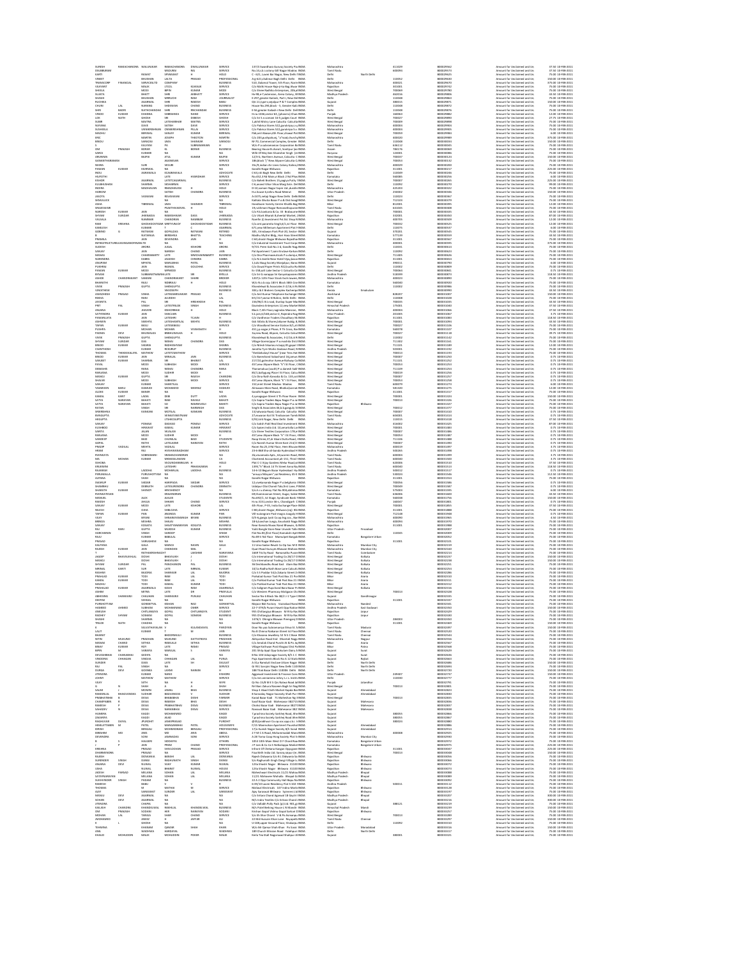| CARTI<br>VINEET<br>TRANSCORE<br>FINANCIAL<br>VUAYANT<br>SHEELA<br><b>STILATE</b><br><b>RUCHIKA</b><br>LAL<br>CHUN<br>SHRI<br>BADRI<br>VINOD<br>KUMAR<br><b>NATH</b><br>suaik<br>NAYANA<br>SUSHEELA<br>MADHU<br>ERIC<br><b>BINDU</b><br>OM<br>SAROJ<br><b>PRAKASE</b><br>ARUNIMA<br>GANANTHARAMAN<br>NEERA<br>PAWAN<br>INDU<br>HSJYOTHI<br>KUMAI<br>KISHOR<br>KULBHUSHAN<br><b>INCORA</b><br>HARIOM<br>JASOTA<br>SKMULLICK<br>ASHA<br>SRAJESWAR<br>NARESH<br>KUMAR<br>SHYAM<br><b>SUNDAR</b><br>VALSALA<br>KINSHNA<br>RAM<br>KAMLESH<br>GOBIND<br>G.<br>PRAMILA<br>NFRASTRI<br>SUDESH<br>SANJAY<br>MANAS<br>NARENDRA<br>ANUPAM<br>PUKHINA<br>P <i>AWAN</i><br>KUMAI<br><b>BYSANI</b><br><b>ASHOK</b><br>CHANDRAKANT<br>BHARATHI<br><b>VIVEK</b><br>PRAKASH<br>VJMATHÉW<br>AWADHÉSH<br>PRASAD<br>REKHA<br>JAYANTA<br>PRIT<br>PAL<br>ANJANA<br>SATYENDRA<br>KUMAR<br>PAWANLATA<br>ASHWIN<br>TAPAN<br>KUMAR<br>PUSHPA<br>PADMA<br>peyr<br>vivex<br>PRAKASH<br>.<br>SUNDAI<br>SHYAM<br>KUMAR<br>BINOD<br>CSANTHOSE<br>THOMAS<br>THEKKEKALAYU<br>SINOD<br>KUMAR | <b>BAWAT</b><br><b>BHUSHAN</b><br>SERVICESLTD<br>MALIK<br>MODE<br>BHATT<br>BHUSHAF<br>AGARWAI<br>NARANG<br>NATHOHANI<br>KHANNA<br>GHOSH<br><b>MAITRA</b><br>DAVE<br>UNNIKRIS<br><b>BERTWAL</b><br>MARTIN<br>SARAOGI<br>KALYAN<br>BORAR<br>KUMAR<br>BAJPAI<br><b>SURI</b><br>KÉJRIWAL<br>AGRAWALA<br>AGARWAL<br>SHARMA<br>MADHAVAN<br>VASWANI<br>TIBREWA<br><b>JAIN</b><br><b>HIKNADIA</b><br><b>VAARRAS</b><br>GHOSHDOS<br>KUMARI<br>RATWAN<br>NATARAJA<br><b>IAIN</b><br>LTD<br>ARORA<br>JAIN<br>CHAKRABARTY<br>KABRA<br><b>MPATEL</b><br><b>JAIN</b><br>MODI<br>SAMANI<br>RAJU<br><b>GUPTA</b><br><b>SINHA</b> | MSDURAI<br>SPSRAWAT<br>LALTA<br>COMPANY<br>LTCOL<br><b>BIPIN</b><br>shri<br>Mitruchi<br>SHRI<br>SHDEWAN<br>SHRI<br><b>SHBRAHMA</b><br><b>SBI</b><br>LATEHARIH<br>SATISH<br>ONNIKRO<br>SANJAY<br>JOSEPH<br><b>UMA</b><br>PA<br>KL<br>NA<br>ATUL<br>AGANESAN<br>VKSURI<br>NA<br>ECAGRAWALA<br>LATE<br>LATETCAGARWAL<br><b>SKSHARMA</b><br>RMADHAVAN<br>⊶MMLMAVA<br>SATISH<br>RSVASWANI<br>NA<br>UMA<br><b>PSAKTHIVADIVEL</b><br><b>BAMESHWAR</b><br>CHANDRAN<br>MINITYUNJOʻ<br><b>GOPALDAS</b><br><b>BIORISHINA</b><br>DEVENDRA<br>NA<br>JUGAL<br>NARESH<br>LATE<br>IAGDISH<br>MANUBHA | PRASAD<br>KLMALB<br>KUMAR<br>AKBHATT<br>KAM<br>RAKESH<br>CHAND<br>RNCHANDA<br>NAND<br>DEBESH<br>MAITRA<br>DAVE<br>PILLAI<br>KUMAR<br>THEOTON<br>SHANKAR<br><b>STRINAMA</b><br>BORAR<br>KUMAI<br>HSSRIDHA<br>CHANDRA<br>SHANKER<br>H<br>DASS<br>NAMBIAR<br>GHOSHDOSTIDA<br><b>BATWANI</b><br>BHATTA<br><b>JAIN</b> | SERVICE<br>HOLD<br>PROFESSIONAL<br><b>BUSINESS</b><br>SERVICE<br>MODI<br>SERVICE<br>JOURNALIST<br>BABU<br><b>BUSINESS</b><br><b>BUSINESS</b><br>SERVICE<br>GHOSH<br>service<br>SERVICE<br>SERVICE<br>BERIWAL<br>MARTIN<br>SARADGE<br><b>BUSINESS</b><br>NA<br>BAJPAI<br>SERVICE<br>SERVICE<br>NA<br>NA<br>ADVOCATE<br>SERVICE<br><b>BUSINESS</b><br>SERVICE<br>HOLD<br>BUSINESS<br>SERVICE<br>NA<br>TIBREWAL<br>HOLD<br>NA.<br><b>HIKNADIA</b><br><br>BUSINESS | tarya Jawainina Gurung Journy Pauricion<br>C - 621, Laxmi Bai Nagar, New Delhi NNDIA<br>A-g-621,shalimar Bagh Delhi - Delhi - INDIA<br>A-g-621,shalimar Bagh Delhi - Delhi - INDIA<br>510, Dalamal Tower, 5th Floor, Narin NDIA<br>C/o Malik House Raja-ii-ka Bae Alwar INDIA<br>C/o Shree Radhika Enterprises, 206,aBNDIA<br>He-98,e-7,extension, Avera Colony, BHNDIA<br>E-297,greater Kallash, Part-i, New DeliNDIA<br>E-297,greater Kallash, Part-i, New DeliNDIA<br>Qtr.11,type-v;vejalpur P & T Complex/NDIA<br>House No.294,block - 5, Greater Kaila/NDIA<br>E-56 greater Kailash-i New Delhi DelhNDIA<br>H.no.1046.sector-63. (phase-ix) ChandNDIA<br>C/o Sri S.n.somani 16-h.iudees Court INDIA<br>Live an announce advisory of the Calcutta NDIA<br>C/o Pabrica Stores 522 gurukripa,s.v. (NDIA<br>C/o Pabrica Stores 522 gurukripa S.v. (NDIA<br>Fb6,anil Abasan,4th Floor,chawal PattNDIA<br>C/o 203,pushpakunj, "a"road,churchij/NDIA<br>M-70, Commercial Complex, Greater INDIA<br>W/o P.a.subramanian Corporation BalNDIA<br>Bearing House B.charali, Sonitpur (assNDIA<br>Wife Of Maj Gen Shamsher Singh  (retNDIA<br>12/3-b, Northern Avenue, Calcutta CINDIA<br>186.block <sup>17</sup> New Alisone Calcutta CaNDIA<br>35c/9,indian Air Lines Colony Kalina, UNDIA<br>C/o Baheti Brothers 15, pagiya Putty SNDIA<br>C-6, anard Vihar Vikas Marg Extr. DellNDIA<br>L-0, amma virar viras neurg cent.<br>L-0, amma virar virar (1991)<br>19-10, somani Nagar Sepen Ltd, dusikhelNDIA<br>14-2475, neurg Neurg New Delhi Delhi Nagar Now<br>2475, neurg New Delhi Delhi Nagar Now<br>Handloom Variety Centre K | Tamil Nadu<br>Delhi<br>Delhi<br>Maharashtra<br>Rajasthan<br>West Beneal<br>Madhya Prade<br>Delhi<br>Gujarat<br>Delhi<br>Delhi<br>Punjab<br>West Benea<br>West Bengal<br>Maharashtra<br>Maharashtra<br>West Bengal<br>Maharashtra<br>Delhi<br><b>Tamil Nadu</b><br>Assam<br>Haryana<br>West Bengal<br>West Bengal<br>Maharashtra<br>Rajasthan<br>Delhi<br>Kamataka<br>West Bengal<br>Delhi<br>Maharashtra | North Delh                               | 600094<br>110052<br>400021<br>301001<br>700059<br>462016<br>110048<br>380015<br>110048<br>110048<br>160053<br>700027<br>700001<br>400004<br>400004<br>700059<br>400020<br>110048<br>636112<br>784176<br>124001<br>700037<br>700053<br>400029 | 800029575<br>capcona<br>800029630<br>800029670<br>800029742<br>800029780<br><b>BOOD25RD</b><br>BOODPRAY<br>80002987<br>B0002987.<br>800029876<br>800029882<br>80002989<br><b>BOODSBREE</b><br>B0002990-<br>B0002990:<br>800029984<br>800029989<br>800030034<br><b>BOODNOOM</b><br>80003006<br>B0003008<br>800030124<br>800030132<br>800030200 | Amount for Unclaimed and University<br>Amount for Unclaimed and University<br>Amount for Unclaimed and University<br>Amount for Unclaimed and Un<br>Amount for Unclaimed and Un<br>Amount for Unclaimed and Un<br>Amount for Unclaimed and Un<br>Amount for Unclaimed and Un<br>Amount for Unclaimed and Un<br>Amount for Unclaimed and Un<br>Amount for Unclaimed and Un<br>Amount for Unclaimed and Un<br>Amount for Unclaimed and Un<br>Amount for Unclaimed and Un<br>Amount for Unclaimed and Un<br>Amount for Unclaimed and Un<br>Amount for Unclaimed and Un<br>Amount for Unclaimed and Un<br>Amount for Unclaimed and Un<br>Amount for Unclaimed and Un<br>Amount for Unclaimed and Un<br>Amount for Unclaimed and Un<br>Amount for Unclaimed and Un<br>Amount for Unclaimed and Un<br>Amount for Unclaimed and Un | 37.50 10-FEB-2011<br>75.00 10-FEB-2011<br>150.00 10-FEB-2011<br>375.00 10-FEB-2011<br>75.00 10 FEB-2011<br>75.00 10-FEB-2011<br>43.50 10-FEB-2011<br>75.00 10-FEB-2011<br>150.00 10 FEB-2011<br>75.00 10-FEB-2013<br>75.00 10 FEB-2011<br>12.00 10 FEB-2011<br>27.75.10.6FR.2011<br>75.00 10-FEB-2011<br>75.00 10-FEB-2011<br>75.00 10 FEB-2011<br>6.00 10-FEB-2011<br>375.00 10 FEB-2011<br>150.00 10 FEB-2011<br>75.00 10-FEB-2011<br>75.00 10-FEB-2011<br>75.00 10-FEB-2013<br>150.00 10-FEB-2011<br>75.00 10-FEB-2011<br>25.00.10.658.2011 |
|-----------------------------------------------------------------------------------------------------------------------------------------------------------------------------------------------------------------------------------------------------------------------------------------------------------------------------------------------------------------------------------------------------------------------------------------------------------------------------------------------------------------------------------------------------------------------------------------------------------------------------------------------------------------------------------------------------------------------------------------------------------------------------------------------------------------------------------------------------------------------------------------------------------------------------------------------------------------------------------------------------------------------------------------------------------|------------------------------------------------------------------------------------------------------------------------------------------------------------------------------------------------------------------------------------------------------------------------------------------------------------------------------------------------------------------------------------------------------------------------------------------------------------------------------------------------------------------------------------------------------------------------------------------------------------------|--------------------------------------------------------------------------------------------------------------------------------------------------------------------------------------------------------------------------------------------------------------------------------------------------------------------------------------------------------------------------------------------------------------------------------------------------------------------------------------------------------------------------------------------------------------------------------------|-------------------------------------------------------------------------------------------------------------------------------------------------------------------------------------------------------------------------------------------------------------------------------------------------------------------|----------------------------------------------------------------------------------------------------------------------------------------------------------------------------------------------------------------------------------------------------------------------------------------------------------------------------------------------------------------------------------------------------------------------------------------------------------------|------------------------------------------------------------------------------------------------------------------------------------------------------------------------------------------------------------------------------------------------------------------------------------------------------------------------------------------------------------------------------------------------------------------------------------------------------------------------------------------------------------------------------------------------------------------------------------------------------------------------------------------------------------------------------------------------------------------------------------------------------------------------------------------------------------------------------------------------------------------------------------------------------------------------------------------------------------------------------------------------------------------------------------------------------------------------------------------------------------------------------------------------------------------------------------------------------------------------------------------------------------------------------------------------------------------------------------------------------------------------------------------------------------------------------------------------------------------------------------------------------------------------------------------------------------------------------------------------------------------------------|----------------------------------------------------------------------------------------------------------------------------------------------------------------------------------------------------------------------------------------------------------------------------------------------------------------------------------------------------------------------------------------------------------|------------------------------------------|----------------------------------------------------------------------------------------------------------------------------------------------------------------------------------------------------------------------------------------------|-----------------------------------------------------------------------------------------------------------------------------------------------------------------------------------------------------------------------------------------------------------------------------------------------------------------------------------------------|-----------------------------------------------------------------------------------------------------------------------------------------------------------------------------------------------------------------------------------------------------------------------------------------------------------------------------------------------------------------------------------------------------------------------------------------------------------------------------------------------------------------------------------------------------------------------------------------------------------------------------------------------------------------------------------------------------------------------------------------------------------------------------------------------------------------------------|------------------------------------------------------------------------------------------------------------------------------------------------------------------------------------------------------------------------------------------------------------------------------------------------------------------------------------------------------------------------------------------------------------------------------------------------------------------------------------------------------------------------------------------------|
|                                                                                                                                                                                                                                                                                                                                                                                                                                                                                                                                                                                                                                                                                                                                                                                                                                                                                                                                                                                                                                                           |                                                                                                                                                                                                                                                                                                                                                                                                                                                                                                                                                                                                                  |                                                                                                                                                                                                                                                                                                                                                                                                                                                                                                                                                                                      |                                                                                                                                                                                                                                                                                                                   |                                                                                                                                                                                                                                                                                                                                                                                                                                                                |                                                                                                                                                                                                                                                                                                                                                                                                                                                                                                                                                                                                                                                                                                                                                                                                                                                                                                                                                                                                                                                                                                                                                                                                                                                                                                                                                                                                                                                                                                                                                                                                                              |                                                                                                                                                                                                                                                                                                                                                                                                          |                                          |                                                                                                                                                                                                                                              |                                                                                                                                                                                                                                                                                                                                               |                                                                                                                                                                                                                                                                                                                                                                                                                                                                                                                                                                                                                                                                                                                                                                                                                             |                                                                                                                                                                                                                                                                                                                                                                                                                                                                                                                                                |
|                                                                                                                                                                                                                                                                                                                                                                                                                                                                                                                                                                                                                                                                                                                                                                                                                                                                                                                                                                                                                                                           |                                                                                                                                                                                                                                                                                                                                                                                                                                                                                                                                                                                                                  |                                                                                                                                                                                                                                                                                                                                                                                                                                                                                                                                                                                      |                                                                                                                                                                                                                                                                                                                   |                                                                                                                                                                                                                                                                                                                                                                                                                                                                |                                                                                                                                                                                                                                                                                                                                                                                                                                                                                                                                                                                                                                                                                                                                                                                                                                                                                                                                                                                                                                                                                                                                                                                                                                                                                                                                                                                                                                                                                                                                                                                                                              |                                                                                                                                                                                                                                                                                                                                                                                                          |                                          |                                                                                                                                                                                                                                              |                                                                                                                                                                                                                                                                                                                                               |                                                                                                                                                                                                                                                                                                                                                                                                                                                                                                                                                                                                                                                                                                                                                                                                                             |                                                                                                                                                                                                                                                                                                                                                                                                                                                                                                                                                |
|                                                                                                                                                                                                                                                                                                                                                                                                                                                                                                                                                                                                                                                                                                                                                                                                                                                                                                                                                                                                                                                           |                                                                                                                                                                                                                                                                                                                                                                                                                                                                                                                                                                                                                  |                                                                                                                                                                                                                                                                                                                                                                                                                                                                                                                                                                                      |                                                                                                                                                                                                                                                                                                                   |                                                                                                                                                                                                                                                                                                                                                                                                                                                                |                                                                                                                                                                                                                                                                                                                                                                                                                                                                                                                                                                                                                                                                                                                                                                                                                                                                                                                                                                                                                                                                                                                                                                                                                                                                                                                                                                                                                                                                                                                                                                                                                              |                                                                                                                                                                                                                                                                                                                                                                                                          |                                          |                                                                                                                                                                                                                                              |                                                                                                                                                                                                                                                                                                                                               |                                                                                                                                                                                                                                                                                                                                                                                                                                                                                                                                                                                                                                                                                                                                                                                                                             |                                                                                                                                                                                                                                                                                                                                                                                                                                                                                                                                                |
|                                                                                                                                                                                                                                                                                                                                                                                                                                                                                                                                                                                                                                                                                                                                                                                                                                                                                                                                                                                                                                                           |                                                                                                                                                                                                                                                                                                                                                                                                                                                                                                                                                                                                                  |                                                                                                                                                                                                                                                                                                                                                                                                                                                                                                                                                                                      |                                                                                                                                                                                                                                                                                                                   |                                                                                                                                                                                                                                                                                                                                                                                                                                                                |                                                                                                                                                                                                                                                                                                                                                                                                                                                                                                                                                                                                                                                                                                                                                                                                                                                                                                                                                                                                                                                                                                                                                                                                                                                                                                                                                                                                                                                                                                                                                                                                                              |                                                                                                                                                                                                                                                                                                                                                                                                          |                                          |                                                                                                                                                                                                                                              |                                                                                                                                                                                                                                                                                                                                               |                                                                                                                                                                                                                                                                                                                                                                                                                                                                                                                                                                                                                                                                                                                                                                                                                             |                                                                                                                                                                                                                                                                                                                                                                                                                                                                                                                                                |
|                                                                                                                                                                                                                                                                                                                                                                                                                                                                                                                                                                                                                                                                                                                                                                                                                                                                                                                                                                                                                                                           |                                                                                                                                                                                                                                                                                                                                                                                                                                                                                                                                                                                                                  |                                                                                                                                                                                                                                                                                                                                                                                                                                                                                                                                                                                      |                                                                                                                                                                                                                                                                                                                   |                                                                                                                                                                                                                                                                                                                                                                                                                                                                |                                                                                                                                                                                                                                                                                                                                                                                                                                                                                                                                                                                                                                                                                                                                                                                                                                                                                                                                                                                                                                                                                                                                                                                                                                                                                                                                                                                                                                                                                                                                                                                                                              |                                                                                                                                                                                                                                                                                                                                                                                                          |                                          |                                                                                                                                                                                                                                              |                                                                                                                                                                                                                                                                                                                                               |                                                                                                                                                                                                                                                                                                                                                                                                                                                                                                                                                                                                                                                                                                                                                                                                                             |                                                                                                                                                                                                                                                                                                                                                                                                                                                                                                                                                |
|                                                                                                                                                                                                                                                                                                                                                                                                                                                                                                                                                                                                                                                                                                                                                                                                                                                                                                                                                                                                                                                           |                                                                                                                                                                                                                                                                                                                                                                                                                                                                                                                                                                                                                  |                                                                                                                                                                                                                                                                                                                                                                                                                                                                                                                                                                                      |                                                                                                                                                                                                                                                                                                                   |                                                                                                                                                                                                                                                                                                                                                                                                                                                                |                                                                                                                                                                                                                                                                                                                                                                                                                                                                                                                                                                                                                                                                                                                                                                                                                                                                                                                                                                                                                                                                                                                                                                                                                                                                                                                                                                                                                                                                                                                                                                                                                              |                                                                                                                                                                                                                                                                                                                                                                                                          |                                          |                                                                                                                                                                                                                                              |                                                                                                                                                                                                                                                                                                                                               |                                                                                                                                                                                                                                                                                                                                                                                                                                                                                                                                                                                                                                                                                                                                                                                                                             |                                                                                                                                                                                                                                                                                                                                                                                                                                                                                                                                                |
|                                                                                                                                                                                                                                                                                                                                                                                                                                                                                                                                                                                                                                                                                                                                                                                                                                                                                                                                                                                                                                                           |                                                                                                                                                                                                                                                                                                                                                                                                                                                                                                                                                                                                                  |                                                                                                                                                                                                                                                                                                                                                                                                                                                                                                                                                                                      |                                                                                                                                                                                                                                                                                                                   |                                                                                                                                                                                                                                                                                                                                                                                                                                                                |                                                                                                                                                                                                                                                                                                                                                                                                                                                                                                                                                                                                                                                                                                                                                                                                                                                                                                                                                                                                                                                                                                                                                                                                                                                                                                                                                                                                                                                                                                                                                                                                                              |                                                                                                                                                                                                                                                                                                                                                                                                          |                                          |                                                                                                                                                                                                                                              |                                                                                                                                                                                                                                                                                                                                               |                                                                                                                                                                                                                                                                                                                                                                                                                                                                                                                                                                                                                                                                                                                                                                                                                             |                                                                                                                                                                                                                                                                                                                                                                                                                                                                                                                                                |
|                                                                                                                                                                                                                                                                                                                                                                                                                                                                                                                                                                                                                                                                                                                                                                                                                                                                                                                                                                                                                                                           |                                                                                                                                                                                                                                                                                                                                                                                                                                                                                                                                                                                                                  |                                                                                                                                                                                                                                                                                                                                                                                                                                                                                                                                                                                      |                                                                                                                                                                                                                                                                                                                   |                                                                                                                                                                                                                                                                                                                                                                                                                                                                |                                                                                                                                                                                                                                                                                                                                                                                                                                                                                                                                                                                                                                                                                                                                                                                                                                                                                                                                                                                                                                                                                                                                                                                                                                                                                                                                                                                                                                                                                                                                                                                                                              |                                                                                                                                                                                                                                                                                                                                                                                                          |                                          |                                                                                                                                                                                                                                              |                                                                                                                                                                                                                                                                                                                                               |                                                                                                                                                                                                                                                                                                                                                                                                                                                                                                                                                                                                                                                                                                                                                                                                                             |                                                                                                                                                                                                                                                                                                                                                                                                                                                                                                                                                |
|                                                                                                                                                                                                                                                                                                                                                                                                                                                                                                                                                                                                                                                                                                                                                                                                                                                                                                                                                                                                                                                           |                                                                                                                                                                                                                                                                                                                                                                                                                                                                                                                                                                                                                  |                                                                                                                                                                                                                                                                                                                                                                                                                                                                                                                                                                                      |                                                                                                                                                                                                                                                                                                                   |                                                                                                                                                                                                                                                                                                                                                                                                                                                                |                                                                                                                                                                                                                                                                                                                                                                                                                                                                                                                                                                                                                                                                                                                                                                                                                                                                                                                                                                                                                                                                                                                                                                                                                                                                                                                                                                                                                                                                                                                                                                                                                              |                                                                                                                                                                                                                                                                                                                                                                                                          |                                          |                                                                                                                                                                                                                                              |                                                                                                                                                                                                                                                                                                                                               |                                                                                                                                                                                                                                                                                                                                                                                                                                                                                                                                                                                                                                                                                                                                                                                                                             |                                                                                                                                                                                                                                                                                                                                                                                                                                                                                                                                                |
|                                                                                                                                                                                                                                                                                                                                                                                                                                                                                                                                                                                                                                                                                                                                                                                                                                                                                                                                                                                                                                                           |                                                                                                                                                                                                                                                                                                                                                                                                                                                                                                                                                                                                                  |                                                                                                                                                                                                                                                                                                                                                                                                                                                                                                                                                                                      |                                                                                                                                                                                                                                                                                                                   |                                                                                                                                                                                                                                                                                                                                                                                                                                                                |                                                                                                                                                                                                                                                                                                                                                                                                                                                                                                                                                                                                                                                                                                                                                                                                                                                                                                                                                                                                                                                                                                                                                                                                                                                                                                                                                                                                                                                                                                                                                                                                                              |                                                                                                                                                                                                                                                                                                                                                                                                          |                                          |                                                                                                                                                                                                                                              |                                                                                                                                                                                                                                                                                                                                               |                                                                                                                                                                                                                                                                                                                                                                                                                                                                                                                                                                                                                                                                                                                                                                                                                             |                                                                                                                                                                                                                                                                                                                                                                                                                                                                                                                                                |
|                                                                                                                                                                                                                                                                                                                                                                                                                                                                                                                                                                                                                                                                                                                                                                                                                                                                                                                                                                                                                                                           |                                                                                                                                                                                                                                                                                                                                                                                                                                                                                                                                                                                                                  |                                                                                                                                                                                                                                                                                                                                                                                                                                                                                                                                                                                      |                                                                                                                                                                                                                                                                                                                   |                                                                                                                                                                                                                                                                                                                                                                                                                                                                |                                                                                                                                                                                                                                                                                                                                                                                                                                                                                                                                                                                                                                                                                                                                                                                                                                                                                                                                                                                                                                                                                                                                                                                                                                                                                                                                                                                                                                                                                                                                                                                                                              |                                                                                                                                                                                                                                                                                                                                                                                                          |                                          |                                                                                                                                                                                                                                              |                                                                                                                                                                                                                                                                                                                                               |                                                                                                                                                                                                                                                                                                                                                                                                                                                                                                                                                                                                                                                                                                                                                                                                                             |                                                                                                                                                                                                                                                                                                                                                                                                                                                                                                                                                |
|                                                                                                                                                                                                                                                                                                                                                                                                                                                                                                                                                                                                                                                                                                                                                                                                                                                                                                                                                                                                                                                           |                                                                                                                                                                                                                                                                                                                                                                                                                                                                                                                                                                                                                  |                                                                                                                                                                                                                                                                                                                                                                                                                                                                                                                                                                                      |                                                                                                                                                                                                                                                                                                                   |                                                                                                                                                                                                                                                                                                                                                                                                                                                                |                                                                                                                                                                                                                                                                                                                                                                                                                                                                                                                                                                                                                                                                                                                                                                                                                                                                                                                                                                                                                                                                                                                                                                                                                                                                                                                                                                                                                                                                                                                                                                                                                              |                                                                                                                                                                                                                                                                                                                                                                                                          |                                          |                                                                                                                                                                                                                                              |                                                                                                                                                                                                                                                                                                                                               |                                                                                                                                                                                                                                                                                                                                                                                                                                                                                                                                                                                                                                                                                                                                                                                                                             |                                                                                                                                                                                                                                                                                                                                                                                                                                                                                                                                                |
|                                                                                                                                                                                                                                                                                                                                                                                                                                                                                                                                                                                                                                                                                                                                                                                                                                                                                                                                                                                                                                                           |                                                                                                                                                                                                                                                                                                                                                                                                                                                                                                                                                                                                                  |                                                                                                                                                                                                                                                                                                                                                                                                                                                                                                                                                                                      |                                                                                                                                                                                                                                                                                                                   |                                                                                                                                                                                                                                                                                                                                                                                                                                                                |                                                                                                                                                                                                                                                                                                                                                                                                                                                                                                                                                                                                                                                                                                                                                                                                                                                                                                                                                                                                                                                                                                                                                                                                                                                                                                                                                                                                                                                                                                                                                                                                                              |                                                                                                                                                                                                                                                                                                                                                                                                          |                                          | 311001<br>110049<br>560085                                                                                                                                                                                                                   | BOORROOM                                                                                                                                                                                                                                                                                                                                      |                                                                                                                                                                                                                                                                                                                                                                                                                                                                                                                                                                                                                                                                                                                                                                                                                             |                                                                                                                                                                                                                                                                                                                                                                                                                                                                                                                                                |
|                                                                                                                                                                                                                                                                                                                                                                                                                                                                                                                                                                                                                                                                                                                                                                                                                                                                                                                                                                                                                                                           |                                                                                                                                                                                                                                                                                                                                                                                                                                                                                                                                                                                                                  |                                                                                                                                                                                                                                                                                                                                                                                                                                                                                                                                                                                      |                                                                                                                                                                                                                                                                                                                   |                                                                                                                                                                                                                                                                                                                                                                                                                                                                |                                                                                                                                                                                                                                                                                                                                                                                                                                                                                                                                                                                                                                                                                                                                                                                                                                                                                                                                                                                                                                                                                                                                                                                                                                                                                                                                                                                                                                                                                                                                                                                                                              |                                                                                                                                                                                                                                                                                                                                                                                                          |                                          |                                                                                                                                                                                                                                              | 800030256                                                                                                                                                                                                                                                                                                                                     | Amount for Unclaimed and Uni<br>Amount for Unclaimed and Uni<br>Amount for Unclaimed and Uni                                                                                                                                                                                                                                                                                                                                                                                                                                                                                                                                                                                                                                                                                                                                | 225.00 10-FEB-2011<br>75.00 10-FEB-2011<br>6.00 10-FEB-2011                                                                                                                                                                                                                                                                                                                                                                                                                                                                                    |
|                                                                                                                                                                                                                                                                                                                                                                                                                                                                                                                                                                                                                                                                                                                                                                                                                                                                                                                                                                                                                                                           |                                                                                                                                                                                                                                                                                                                                                                                                                                                                                                                                                                                                                  |                                                                                                                                                                                                                                                                                                                                                                                                                                                                                                                                                                                      |                                                                                                                                                                                                                                                                                                                   |                                                                                                                                                                                                                                                                                                                                                                                                                                                                |                                                                                                                                                                                                                                                                                                                                                                                                                                                                                                                                                                                                                                                                                                                                                                                                                                                                                                                                                                                                                                                                                                                                                                                                                                                                                                                                                                                                                                                                                                                                                                                                                              |                                                                                                                                                                                                                                                                                                                                                                                                          |                                          | 700007<br>110092<br>425203                                                                                                                                                                                                                   | 800030265<br>800030270<br>800030322                                                                                                                                                                                                                                                                                                           | Amount for Unclaimed and Un<br>Amount for Unclaimed and Un<br>Amount for Unclaimed and Un                                                                                                                                                                                                                                                                                                                                                                                                                                                                                                                                                                                                                                                                                                                                   | 225.00 10-FEB-2011<br>99.00 10 FEB-2011<br>75.00 10 FEB-2011                                                                                                                                                                                                                                                                                                                                                                                                                                                                                   |
|                                                                                                                                                                                                                                                                                                                                                                                                                                                                                                                                                                                                                                                                                                                                                                                                                                                                                                                                                                                                                                                           |                                                                                                                                                                                                                                                                                                                                                                                                                                                                                                                                                                                                                  |                                                                                                                                                                                                                                                                                                                                                                                                                                                                                                                                                                                      |                                                                                                                                                                                                                                                                                                                   |                                                                                                                                                                                                                                                                                                                                                                                                                                                                |                                                                                                                                                                                                                                                                                                                                                                                                                                                                                                                                                                                                                                                                                                                                                                                                                                                                                                                                                                                                                                                                                                                                                                                                                                                                                                                                                                                                                                                                                                                                                                                                                              | Uttar Pradesi<br>Delhi                                                                                                                                                                                                                                                                                                                                                                                   |                                          | 250002<br>110023                                                                                                                                                                                                                             | 80003034<br>BOODSDSS*                                                                                                                                                                                                                                                                                                                         | Amount for Unclaimed and Un<br>Amount for Unclaimed and Un                                                                                                                                                                                                                                                                                                                                                                                                                                                                                                                                                                                                                                                                                                                                                                  | 150.00 10-FEB-2011<br>75.00 10-FEB-2011                                                                                                                                                                                                                                                                                                                                                                                                                                                                                                        |
|                                                                                                                                                                                                                                                                                                                                                                                                                                                                                                                                                                                                                                                                                                                                                                                                                                                                                                                                                                                                                                                           |                                                                                                                                                                                                                                                                                                                                                                                                                                                                                                                                                                                                                  |                                                                                                                                                                                                                                                                                                                                                                                                                                                                                                                                                                                      |                                                                                                                                                                                                                                                                                                                   |                                                                                                                                                                                                                                                                                                                                                                                                                                                                |                                                                                                                                                                                                                                                                                                                                                                                                                                                                                                                                                                                                                                                                                                                                                                                                                                                                                                                                                                                                                                                                                                                                                                                                                                                                                                                                                                                                                                                                                                                                                                                                                              | West Bengal                                                                                                                                                                                                                                                                                                                                                                                              |                                          | 712103<br>812001                                                                                                                                                                                                                             | 800030379<br>B00030395                                                                                                                                                                                                                                                                                                                        | Amount for Unclaimed and Un<br>Amount for Unclaimed and Un                                                                                                                                                                                                                                                                                                                                                                                                                                                                                                                                                                                                                                                                                                                                                                  | 75.00 10-FEB-2011<br>12.00 10-FEB-2011                                                                                                                                                                                                                                                                                                                                                                                                                                                                                                         |
|                                                                                                                                                                                                                                                                                                                                                                                                                                                                                                                                                                                                                                                                                                                                                                                                                                                                                                                                                                                                                                                           |                                                                                                                                                                                                                                                                                                                                                                                                                                                                                                                                                                                                                  |                                                                                                                                                                                                                                                                                                                                                                                                                                                                                                                                                                                      |                                                                                                                                                                                                                                                                                                                   |                                                                                                                                                                                                                                                                                                                                                                                                                                                                | 19,rukhmani Nagar RamanathapuranINDIA<br>C/o Rk.kankaria & Co. 33 Brabourne INDIA                                                                                                                                                                                                                                                                                                                                                                                                                                                                                                                                                                                                                                                                                                                                                                                                                                                                                                                                                                                                                                                                                                                                                                                                                                                                                                                                                                                                                                                                                                                                            | <b>Tamil Nadu</b><br>West Bengal                                                                                                                                                                                                                                                                                                                                                                         |                                          | 641045<br>700001                                                                                                                                                                                                                             | 800030408<br>800030435                                                                                                                                                                                                                                                                                                                        | Amount for Unclaimed and Un<br>Amount for Unclaimed and Un                                                                                                                                                                                                                                                                                                                                                                                                                                                                                                                                                                                                                                                                                                                                                                  | 75.00 10-FEB-2011<br>43.50 10 FEB-2011                                                                                                                                                                                                                                                                                                                                                                                                                                                                                                         |
|                                                                                                                                                                                                                                                                                                                                                                                                                                                                                                                                                                                                                                                                                                                                                                                                                                                                                                                                                                                                                                                           |                                                                                                                                                                                                                                                                                                                                                                                                                                                                                                                                                                                                                  |                                                                                                                                                                                                                                                                                                                                                                                                                                                                                                                                                                                      |                                                                                                                                                                                                                                                                                                                   |                                                                                                                                                                                                                                                                                                                                                                                                                                                                | Cin Vitari Bharati & sheetal Market, BNDIA                                                                                                                                                                                                                                                                                                                                                                                                                                                                                                                                                                                                                                                                                                                                                                                                                                                                                                                                                                                                                                                                                                                                                                                                                                                                                                                                                                                                                                                                                                                                                                                   | <b>Balactha</b><br>Maharashtr                                                                                                                                                                                                                                                                                                                                                                            |                                          | 332001<br>40070                                                                                                                                                                                                                              | 800030456<br><b>BOODNOSCH</b>                                                                                                                                                                                                                                                                                                                 | Amount for Unclaimed and Un                                                                                                                                                                                                                                                                                                                                                                                                                                                                                                                                                                                                                                                                                                                                                                                                 | 87.00 10 FEB 2011<br>12.00 10-FEB-2011                                                                                                                                                                                                                                                                                                                                                                                                                                                                                                         |
|                                                                                                                                                                                                                                                                                                                                                                                                                                                                                                                                                                                                                                                                                                                                                                                                                                                                                                                                                                                                                                                           |                                                                                                                                                                                                                                                                                                                                                                                                                                                                                                                                                                                                                  |                                                                                                                                                                                                                                                                                                                                                                                                                                                                                                                                                                                      |                                                                                                                                                                                                                                                                                                                   | <b>BUSINESS</b><br>AGARWAI                                                                                                                                                                                                                                                                                                                                                                                                                                     | Namfin (i) Investment PvLtd. Shop NINDIA<br>C/o.smt.paramita Singh,6/1,ist Floor INDIA<br>671,new Millenium Apartment Plot NINDIA                                                                                                                                                                                                                                                                                                                                                                                                                                                                                                                                                                                                                                                                                                                                                                                                                                                                                                                                                                                                                                                                                                                                                                                                                                                                                                                                                                                                                                                                                            | West Bengal                                                                                                                                                                                                                                                                                                                                                                                              |                                          | 700032<br>110075                                                                                                                                                                                                                             | B00030525<br>B00030537                                                                                                                                                                                                                                                                                                                        | Amount for Unclaimed and Un<br>Amount for Unclaimed and University<br>Amount for Unclaimed and University                                                                                                                                                                                                                                                                                                                                                                                                                                                                                                                                                                                                                                                                                                                   | 12.00 10-FEB-2011<br>6.00 10-FEB-2011                                                                                                                                                                                                                                                                                                                                                                                                                                                                                                          |
|                                                                                                                                                                                                                                                                                                                                                                                                                                                                                                                                                                                                                                                                                                                                                                                                                                                                                                                                                                                                                                                           |                                                                                                                                                                                                                                                                                                                                                                                                                                                                                                                                                                                                                  |                                                                                                                                                                                                                                                                                                                                                                                                                                                                                                                                                                                      |                                                                                                                                                                                                                                                                                                                   | RETIRED<br>TEACHING                                                                                                                                                                                                                                                                                                                                                                                                                                            | 305, Vrindawan Park Plot-20, Sector-1NDIA                                                                                                                                                                                                                                                                                                                                                                                                                                                                                                                                                                                                                                                                                                                                                                                                                                                                                                                                                                                                                                                                                                                                                                                                                                                                                                                                                                                                                                                                                                                                                                                    | Gujarat<br>Kamataka                                                                                                                                                                                                                                                                                                                                                                                      |                                          | 370201<br>577139                                                                                                                                                                                                                             | 800030545<br>800030559                                                                                                                                                                                                                                                                                                                        | Amount for Unclaimed and Un                                                                                                                                                                                                                                                                                                                                                                                                                                                                                                                                                                                                                                                                                                                                                                                                 | 75.00 10 FEB-2011<br>43.50 10 FEB-2011                                                                                                                                                                                                                                                                                                                                                                                                                                                                                                         |
|                                                                                                                                                                                                                                                                                                                                                                                                                                                                                                                                                                                                                                                                                                                                                                                                                                                                                                                                                                                                                                                           |                                                                                                                                                                                                                                                                                                                                                                                                                                                                                                                                                                                                                  |                                                                                                                                                                                                                                                                                                                                                                                                                                                                                                                                                                                      |                                                                                                                                                                                                                                                                                                                   |                                                                                                                                                                                                                                                                                                                                                                                                                                                                | 300, virmanust varit (* 1101–20. second Madha Myhtei Bilg), Hari Hara StreetJNDIA<br>C-60,shaatri Nagar Bhihurar RajasthariNDIA<br>C-60,shaatri Nagar Bhihurar RajasthariNDIA<br>C-60 industrial Investment Trust CorporNDIA<br>Pal Apartm                                                                                                                                                                                                                                                                                                                                                                                                                                                                                                                                                                                                                                                                                                                                                                                                                                                                                                                                                                                                                                                                                                                                                                                                                                                                                                                                                                                   | Raiasthan<br>Maharasht                                                                                                                                                                                                                                                                                                                                                                                   |                                          | 311001                                                                                                                                                                                                                                       | 80003056<br><b>BOODNOSS</b>                                                                                                                                                                                                                                                                                                                   | Amount for Unclaimed and Un<br>Amount for Unclaimed and Un                                                                                                                                                                                                                                                                                                                                                                                                                                                                                                                                                                                                                                                                                                                                                                  | 75.00 10 FEB 2011                                                                                                                                                                                                                                                                                                                                                                                                                                                                                                                              |
|                                                                                                                                                                                                                                                                                                                                                                                                                                                                                                                                                                                                                                                                                                                                                                                                                                                                                                                                                                                                                                                           |                                                                                                                                                                                                                                                                                                                                                                                                                                                                                                                                                                                                                  |                                                                                                                                                                                                                                                                                                                                                                                                                                                                                                                                                                                      | KISHORE<br>CHAND                                                                                                                                                                                                                                                                                                  | ARORA                                                                                                                                                                                                                                                                                                                                                                                                                                                          |                                                                                                                                                                                                                                                                                                                                                                                                                                                                                                                                                                                                                                                                                                                                                                                                                                                                                                                                                                                                                                                                                                                                                                                                                                                                                                                                                                                                                                                                                                                                                                                                                              | Delhi<br>Delhi                                                                                                                                                                                                                                                                                                                                                                                           |                                          | 400001<br>11003                                                                                                                                                                                                                              | B00030614<br>B00030623                                                                                                                                                                                                                                                                                                                        | Amount for Unclaimed and Un<br>Amount for Unclaimed and Un                                                                                                                                                                                                                                                                                                                                                                                                                                                                                                                                                                                                                                                                                                                                                                  | 375.00 10-FEB-2011<br>75.00 10-FEB-2011                                                                                                                                                                                                                                                                                                                                                                                                                                                                                                        |
|                                                                                                                                                                                                                                                                                                                                                                                                                                                                                                                                                                                                                                                                                                                                                                                                                                                                                                                                                                                                                                                           |                                                                                                                                                                                                                                                                                                                                                                                                                                                                                                                                                                                                                  |                                                                                                                                                                                                                                                                                                                                                                                                                                                                                                                                                                                      | MMCHAKE                                                                                                                                                                                                                                                                                                           | JAIN<br><b>BUSINESS</b>                                                                                                                                                                                                                                                                                                                                                                                                                                        | C/o Dna Pharmaceuticals P.o.domjur.)NDIA                                                                                                                                                                                                                                                                                                                                                                                                                                                                                                                                                                                                                                                                                                                                                                                                                                                                                                                                                                                                                                                                                                                                                                                                                                                                                                                                                                                                                                                                                                                                                                                     | West Bengal                                                                                                                                                                                                                                                                                                                                                                                              |                                          | 110092<br>711405                                                                                                                                                                                                                             | 800030626                                                                                                                                                                                                                                                                                                                                     | Amount for Unclaimed and Un<br>Amount for Unclaimed and Un                                                                                                                                                                                                                                                                                                                                                                                                                                                                                                                                                                                                                                                                                                                                                                  | 75.00 10-FEB-2013<br>75.00 10 FEB-2011                                                                                                                                                                                                                                                                                                                                                                                                                                                                                                         |
|                                                                                                                                                                                                                                                                                                                                                                                                                                                                                                                                                                                                                                                                                                                                                                                                                                                                                                                                                                                                                                                           |                                                                                                                                                                                                                                                                                                                                                                                                                                                                                                                                                                                                                  |                                                                                                                                                                                                                                                                                                                                                                                                                                                                                                                                                                                      | CHNDRA<br><b>PATEL</b>                                                                                                                                                                                                                                                                                            | KABRA<br><b>BUSINESS</b>                                                                                                                                                                                                                                                                                                                                                                                                                                       | C/o N.k.testile Near Hotel Vijay,bazarINDIA<br>1.tulsi Baue Society Manialpur, BarodINDIA                                                                                                                                                                                                                                                                                                                                                                                                                                                                                                                                                                                                                                                                                                                                                                                                                                                                                                                                                                                                                                                                                                                                                                                                                                                                                                                                                                                                                                                                                                                                    | Rajasthar<br>Gujarat                                                                                                                                                                                                                                                                                                                                                                                     |                                          | 311001<br>390011                                                                                                                                                                                                                             | 800030654<br>800030790                                                                                                                                                                                                                                                                                                                        | Amount for Unclaimed and Un<br>Amount for Unclaimed and Un                                                                                                                                                                                                                                                                                                                                                                                                                                                                                                                                                                                                                                                                                                                                                                  | 75.00 10 FEB-2011<br>6.00 10 FEB-2011                                                                                                                                                                                                                                                                                                                                                                                                                                                                                                          |
|                                                                                                                                                                                                                                                                                                                                                                                                                                                                                                                                                                                                                                                                                                                                                                                                                                                                                                                                                                                                                                                           |                                                                                                                                                                                                                                                                                                                                                                                                                                                                                                                                                                                                                  | <b>MAMAL</b><br>PMOD                                                                                                                                                                                                                                                                                                                                                                                                                                                                                                                                                                 | GOLCHHA                                                                                                                                                                                                                                                                                                           | SERVICE<br>BUSINESS                                                                                                                                                                                                                                                                                                                                                                                                                                            | Co Oswal Paper Prints 922, Justin RollNDIA<br>Ec-158, salt Lake Sector-1 Calcutta CallNDIA<br>C/o Sri G. narappa Sri KanyakaparamelNDIA                                                                                                                                                                                                                                                                                                                                                                                                                                                                                                                                                                                                                                                                                                                                                                                                                                                                                                                                                                                                                                                                                                                                                                                                                                                                                                                                                                                                                                                                                      | Delhi<br>West Bengal                                                                                                                                                                                                                                                                                                                                                                                     |                                          | 110002<br>700064                                                                                                                                                                                                                             | <b>BOOTSTRO</b><br>mmense                                                                                                                                                                                                                                                                                                                     | Amount for Unclaimed and Uni<br>Amount for Unclaimed and Uni<br>Amount for Unclaimed and Uni                                                                                                                                                                                                                                                                                                                                                                                                                                                                                                                                                                                                                                                                                                                                | 75.00 10-FEB-2011<br>0.75 10-FEB-2011<br>118.50 10-FEB-2011                                                                                                                                                                                                                                                                                                                                                                                                                                                                                    |
|                                                                                                                                                                                                                                                                                                                                                                                                                                                                                                                                                                                                                                                                                                                                                                                                                                                                                                                                                                                                                                                           |                                                                                                                                                                                                                                                                                                                                                                                                                                                                                                                                                                                                                  | VLATE<br>CHANDRAKANT                                                                                                                                                                                                                                                                                                                                                                                                                                                                                                                                                                 | SHARE                                                                                                                                                                                                                                                                                                             | BYELLA<br>BROKER                                                                                                                                                                                                                                                                                                                                                                                                                                               | 1207.b 12th Floor Stock Each towers INDIA                                                                                                                                                                                                                                                                                                                                                                                                                                                                                                                                                                                                                                                                                                                                                                                                                                                                                                                                                                                                                                                                                                                                                                                                                                                                                                                                                                                                                                                                                                                                                                                    | Andhra Prades<br>Maharashtra                                                                                                                                                                                                                                                                                                                                                                             |                                          | 518599<br>400023                                                                                                                                                                                                                             | 800030873<br>800030890                                                                                                                                                                                                                                                                                                                        | Amount for Unclaimed and Un                                                                                                                                                                                                                                                                                                                                                                                                                                                                                                                                                                                                                                                                                                                                                                                                 | 75.00 10 FEB-2011                                                                                                                                                                                                                                                                                                                                                                                                                                                                                                                              |
|                                                                                                                                                                                                                                                                                                                                                                                                                                                                                                                                                                                                                                                                                                                                                                                                                                                                                                                                                                                                                                                           |                                                                                                                                                                                                                                                                                                                                                                                                                                                                                                                                                                                                                  | NDBRAJU<br>SHKNGUPTA                                                                                                                                                                                                                                                                                                                                                                                                                                                                                                                                                                 |                                                                                                                                                                                                                                                                                                                   | HOLD<br><b>BUSINESS</b>                                                                                                                                                                                                                                                                                                                                                                                                                                        | W/o N.o.b.raju 183-5 Block 38th CrosNDIA<br>Khandelwal & Associates E-2/16.iii RdNDIA                                                                                                                                                                                                                                                                                                                                                                                                                                                                                                                                                                                                                                                                                                                                                                                                                                                                                                                                                                                                                                                                                                                                                                                                                                                                                                                                                                                                                                                                                                                                        | Kamataka<br>Delhi                                                                                                                                                                                                                                                                                                                                                                                        |                                          | 560040<br>110002                                                                                                                                                                                                                             | 800030920<br>800030986                                                                                                                                                                                                                                                                                                                        | Amount for Unclaimed and Un<br>Amount for Unclaimed and Un                                                                                                                                                                                                                                                                                                                                                                                                                                                                                                                                                                                                                                                                                                                                                                  | 75.00 10-FEB-2011<br>75.00 10 FEB-2011                                                                                                                                                                                                                                                                                                                                                                                                                                                                                                         |
|                                                                                                                                                                                                                                                                                                                                                                                                                                                                                                                                                                                                                                                                                                                                                                                                                                                                                                                                                                                                                                                           |                                                                                                                                                                                                                                                                                                                                                                                                                                                                                                                                                                                                                  | VMICKFOR<br>VINHAMESAN                                                                                                                                                                                                                                                                                                                                                                                                                                                                                                                                                               | PRASAD                                                                                                                                                                                                                                                                                                            | BUSINESS<br>EX                                                                                                                                                                                                                                                                                                                                                                                                                                                 | Assume the School Complex KacherinalNDIA<br>204,<br>c & E Brokers Complex KacherinalNDIA<br>2, C/o Anil Kumar Telephone Exchange BNDIA<br>8-5/317,<br>                                                                                                                                                                                                                                                                                                                                                                                                                                                                                                                                                                                                                                                                                                                                                                                                                                                                                                                                                                                                                                                                                                                                                                                                                                                                                                                                                                                                                                                                       | Kerala<br>Jharkhand                                                                                                                                                                                                                                                                                                                                                                                      |                                          | 828207                                                                                                                                                                                                                                       | <b>BOODNOOM</b><br><b>BOODS100</b>                                                                                                                                                                                                                                                                                                            | Amount for Unclaimed and Un<br>Amount for Unclaimed and Un                                                                                                                                                                                                                                                                                                                                                                                                                                                                                                                                                                                                                                                                                                                                                                  | 43.50 10-FEB-2011                                                                                                                                                                                                                                                                                                                                                                                                                                                                                                                              |
|                                                                                                                                                                                                                                                                                                                                                                                                                                                                                                                                                                                                                                                                                                                                                                                                                                                                                                                                                                                                                                                           | rani<br>Pal                                                                                                                                                                                                                                                                                                                                                                                                                                                                                                                                                                                                      | AJUDDHI                                                                                                                                                                                                                                                                                                                                                                                                                                                                                                                                                                              | IRISHIKESI                                                                                                                                                                                                                                                                                                        | LAL<br>PA                                                                                                                                                                                                                                                                                                                                                                                                                                                      |                                                                                                                                                                                                                                                                                                                                                                                                                                                                                                                                                                                                                                                                                                                                                                                                                                                                                                                                                                                                                                                                                                                                                                                                                                                                                                                                                                                                                                                                                                                                                                                                                              | Delhi<br>West Bengal                                                                                                                                                                                                                                                                                                                                                                                     |                                          | 110008<br>700035                                                                                                                                                                                                                             | 80003102<br>80003103                                                                                                                                                                                                                                                                                                                          | Amount for Unclaimed and Un<br>Amount for Unclaimed and Un                                                                                                                                                                                                                                                                                                                                                                                                                                                                                                                                                                                                                                                                                                                                                                  | 75.00 10-FEB-2011<br>43.50 10-FEB-2011                                                                                                                                                                                                                                                                                                                                                                                                                                                                                                         |
|                                                                                                                                                                                                                                                                                                                                                                                                                                                                                                                                                                                                                                                                                                                                                                                                                                                                                                                                                                                                                                                           | SINGH<br><b>JHAVERI</b>                                                                                                                                                                                                                                                                                                                                                                                                                                                                                                                                                                                          | LATESTRILOR<br>KISHORBHA                                                                                                                                                                                                                                                                                                                                                                                                                                                                                                                                                             | SINGH                                                                                                                                                                                                                                                                                                             | <b>BUSINESS</b><br>HOLD                                                                                                                                                                                                                                                                                                                                                                                                                                        | Davindera Enterprises 12 new Market/NDIA<br>Block 7,4th Floor,nagindas Mansion, SNDIA<br>S.k.jain,6/168,sector-2, Rajendra NagiNDIA                                                                                                                                                                                                                                                                                                                                                                                                                                                                                                                                                                                                                                                                                                                                                                                                                                                                                                                                                                                                                                                                                                                                                                                                                                                                                                                                                                                                                                                                                          | <b>Himachal Pradest</b><br>Maharashtra                                                                                                                                                                                                                                                                                                                                                                   |                                          | 175001<br>400004                                                                                                                                                                                                                             | 800031040<br>800031066                                                                                                                                                                                                                                                                                                                        | Amount for Unclaimed and Un<br>Amount for Unclaimed and Un                                                                                                                                                                                                                                                                                                                                                                                                                                                                                                                                                                                                                                                                                                                                                                  | 37.50 10 FEB-2011<br>37.50 10 FEB-2011<br>3.75.10.668.2011                                                                                                                                                                                                                                                                                                                                                                                                                                                                                     |
|                                                                                                                                                                                                                                                                                                                                                                                                                                                                                                                                                                                                                                                                                                                                                                                                                                                                                                                                                                                                                                                           | <b>JAIN</b><br>:AIN                                                                                                                                                                                                                                                                                                                                                                                                                                                                                                                                                                                              | SHACIAIN<br>LATESHRI                                                                                                                                                                                                                                                                                                                                                                                                                                                                                                                                                                 | TCIAIN<br>MEHTA                                                                                                                                                                                                                                                                                                   | <b>BUSINESS</b>                                                                                                                                                                                                                                                                                                                                                                                                                                                |                                                                                                                                                                                                                                                                                                                                                                                                                                                                                                                                                                                                                                                                                                                                                                                                                                                                                                                                                                                                                                                                                                                                                                                                                                                                                                                                                                                                                                                                                                                                                                                                                              | Uttar Pradesh                                                                                                                                                                                                                                                                                                                                                                                            |                                          | 201005<br>311001                                                                                                                                                                                                                             | 80003106<br>80003108                                                                                                                                                                                                                                                                                                                          | Amount for Unclaimed and Un<br>Amount for Unclaimed and Un                                                                                                                                                                                                                                                                                                                                                                                                                                                                                                                                                                                                                                                                                                                                                                  | 118.50 10 FEB-2011                                                                                                                                                                                                                                                                                                                                                                                                                                                                                                                             |
|                                                                                                                                                                                                                                                                                                                                                                                                                                                                                                                                                                                                                                                                                                                                                                                                                                                                                                                                                                                                                                                           | SMEHTA<br>BASU                                                                                                                                                                                                                                                                                                                                                                                                                                                                                                                                                                                                   | LATESHANTILAL<br>LATESKBASU                                                                                                                                                                                                                                                                                                                                                                                                                                                                                                                                                          |                                                                                                                                                                                                                                                                                                                   | <b>BUSINESS</b><br>SERVICE                                                                                                                                                                                                                                                                                                                                                                                                                                     | Clo Vardhman Traders Choudhary MaNDIA<br>Gik StOcks & Shares, bikaner Buidg, 8, NDIA<br>Clo Woodland Service Station 8/1, ali(NDIA                                                                                                                                                                                                                                                                                                                                                                                                                                                                                                                                                                                                                                                                                                                                                                                                                                                                                                                                                                                                                                                                                                                                                                                                                                                                                                                                                                                                                                                                                           | Rajasthan<br>West Bengal<br>West Bengal                                                                                                                                                                                                                                                                                                                                                                  |                                          | 700001<br>700027                                                                                                                                                                                                                             | B00031094<br>B00031106                                                                                                                                                                                                                                                                                                                        | Amount for Unclaimed and University<br>Amount for Unclaimed and University<br>Amount for Unclaimed and University                                                                                                                                                                                                                                                                                                                                                                                                                                                                                                                                                                                                                                                                                                           | 43.50 10-FEB-2011<br>75.00 10-FEB-2011                                                                                                                                                                                                                                                                                                                                                                                                                                                                                                         |
|                                                                                                                                                                                                                                                                                                                                                                                                                                                                                                                                                                                                                                                                                                                                                                                                                                                                                                                                                                                                                                                           | MOHAN<br>BHUWALKA                                                                                                                                                                                                                                                                                                                                                                                                                                                                                                                                                                                                | MOHAN<br><b>BNBHUWALKA</b>                                                                                                                                                                                                                                                                                                                                                                                                                                                                                                                                                           | VISWANATH                                                                                                                                                                                                                                                                                                         | HOLD                                                                                                                                                                                                                                                                                                                                                                                                                                                           | 451.Lo.nasar.il Phase, 9 Th Cross, BarlNDIA<br><b>3a,new Road, Alipore, Calcutta CalcutINDIA</b><br>Khandelwal & Associates, E-2/16,ii RdNDIA                                                                                                                                                                                                                                                                                                                                                                                                                                                                                                                                                                                                                                                                                                                                                                                                                                                                                                                                                                                                                                                                                                                                                                                                                                                                                                                                                                                                                                                                                | Kamataka<br>West Bengal                                                                                                                                                                                                                                                                                                                                                                                  |                                          | 560078<br>700027                                                                                                                                                                                                                             | 800031107<br>800031118                                                                                                                                                                                                                                                                                                                        | Amount for Unclaimed and Un<br>Amount for Unclaimed and Un<br>Amount for Unclaimed and Un                                                                                                                                                                                                                                                                                                                                                                                                                                                                                                                                                                                                                                                                                                                                   | 75.00 10 FEB-2011<br>39.75 10 FEB-2011                                                                                                                                                                                                                                                                                                                                                                                                                                                                                                         |
|                                                                                                                                                                                                                                                                                                                                                                                                                                                                                                                                                                                                                                                                                                                                                                                                                                                                                                                                                                                                                                                           | <b>GUPTA</b><br>DAS                                                                                                                                                                                                                                                                                                                                                                                                                                                                                                                                                                                              | SHKNGUPTA<br>.<br>Némai                                                                                                                                                                                                                                                                                                                                                                                                                                                                                                                                                              | CHANDER                                                                                                                                                                                                                                                                                                           | <b>BUSINESS</b><br>DAS<br>SIKARIA                                                                                                                                                                                                                                                                                                                                                                                                                              |                                                                                                                                                                                                                                                                                                                                                                                                                                                                                                                                                                                                                                                                                                                                                                                                                                                                                                                                                                                                                                                                                                                                                                                                                                                                                                                                                                                                                                                                                                                                                                                                                              | Delhi<br>West Bengal                                                                                                                                                                                                                                                                                                                                                                                     |                                          | 110002<br>711302                                                                                                                                                                                                                             | 800031142<br>80003116                                                                                                                                                                                                                                                                                                                         | Amount for Unclaimed and Un                                                                                                                                                                                                                                                                                                                                                                                                                                                                                                                                                                                                                                                                                                                                                                                                 | 75.00 10 FEB 2011<br>75.00 10-FEB-2011                                                                                                                                                                                                                                                                                                                                                                                                                                                                                                         |
|                                                                                                                                                                                                                                                                                                                                                                                                                                                                                                                                                                                                                                                                                                                                                                                                                                                                                                                                                                                                                                                           | SIKARI<br>KUMAR                                                                                                                                                                                                                                                                                                                                                                                                                                                                                                                                                                                                  | RADHESHYAN<br>ROCURLIF                                                                                                                                                                                                                                                                                                                                                                                                                                                                                                                                                               |                                                                                                                                                                                                                                                                                                                   | BUSINESS                                                                                                                                                                                                                                                                                                                                                                                                                                                       | Nikiapo Gorminjapur P.o.mashila Dist.HNDIA<br>C/o Nilesh Sikarias.m.bajaj OS,gopal ONDIA<br>Janatha Tyre Works Godown Road, NINDIA                                                                                                                                                                                                                                                                                                                                                                                                                                                                                                                                                                                                                                                                                                                                                                                                                                                                                                                                                                                                                                                                                                                                                                                                                                                                                                                                                                                                                                                                                           | West Bengal<br>Andhra Prade                                                                                                                                                                                                                                                                                                                                                                              |                                          | 711101<br>50300                                                                                                                                                                                                                              | 80003118<br>80003119                                                                                                                                                                                                                                                                                                                          | Amount for Unclaimed and Un<br>Amount for Unclaimed and Un                                                                                                                                                                                                                                                                                                                                                                                                                                                                                                                                                                                                                                                                                                                                                                  | 12.00 10 FEB-2011<br>75.00 10-FEB-2013                                                                                                                                                                                                                                                                                                                                                                                                                                                                                                         |
|                                                                                                                                                                                                                                                                                                                                                                                                                                                                                                                                                                                                                                                                                                                                                                                                                                                                                                                                                                                                                                                           | MATHEW<br><b>JAIN</b>                                                                                                                                                                                                                                                                                                                                                                                                                                                                                                                                                                                            | LATETCMATHEW<br>MINALAL                                                                                                                                                                                                                                                                                                                                                                                                                                                                                                                                                              | 1AIN                                                                                                                                                                                                                                                                                                              | SERVICE<br><b>BUSINESS</b>                                                                                                                                                                                                                                                                                                                                                                                                                                     | Thekkekalayil House" (near Tens HatrNDIA<br>C/o Banechand Sobachand 16.jamun/NDIA                                                                                                                                                                                                                                                                                                                                                                                                                                                                                                                                                                                                                                                                                                                                                                                                                                                                                                                                                                                                                                                                                                                                                                                                                                                                                                                                                                                                                                                                                                                                            | West Bengal<br>West Bengal                                                                                                                                                                                                                                                                                                                                                                               |                                          | 700013<br>700003                                                                                                                                                                                                                             | 800031193<br>800031250                                                                                                                                                                                                                                                                                                                        | Amount for Unclaimed and Un<br>Amount for Unclaimed and Un                                                                                                                                                                                                                                                                                                                                                                                                                                                                                                                                                                                                                                                                                                                                                                  | 75.00 10 FEB-2011<br>0.75 10-FEB-2011                                                                                                                                                                                                                                                                                                                                                                                                                                                                                                          |
| SANJEET<br>KUMAR<br>AYAL<br>JEBASHIS                                                                                                                                                                                                                                                                                                                                                                                                                                                                                                                                                                                                                                                                                                                                                                                                                                                                                                                                                                                                                      | SHARMA<br>MODI<br>NANA                                                                                                                                                                                                                                                                                                                                                                                                                                                                                                                                                                                           | SRL.                                                                                                                                                                                                                                                                                                                                                                                                                                                                                                                                                                                 | BHARAT                                                                                                                                                                                                                                                                                                            | LAL.<br>SERVICE<br>RANA                                                                                                                                                                                                                                                                                                                                                                                                                                        | 217/10 epimphor Avenue Railway ColNDIA                                                                                                                                                                                                                                                                                                                                                                                                                                                                                                                                                                                                                                                                                                                                                                                                                                                                                                                                                                                                                                                                                                                                                                                                                                                                                                                                                                                                                                                                                                                                                                                       | West Benea                                                                                                                                                                                                                                                                                                                                                                                               |                                          | 711101                                                                                                                                                                                                                                       | 800031252<br>80003125                                                                                                                                                                                                                                                                                                                         | Amount for Unclaimed and Un                                                                                                                                                                                                                                                                                                                                                                                                                                                                                                                                                                                                                                                                                                                                                                                                 | 0.25.10/EE2011                                                                                                                                                                                                                                                                                                                                                                                                                                                                                                                                 |
| RANJANA                                                                                                                                                                                                                                                                                                                                                                                                                                                                                                                                                                                                                                                                                                                                                                                                                                                                                                                                                                                                                                                   | MODI                                                                                                                                                                                                                                                                                                                                                                                                                                                                                                                                                                                                             | SUBHASH<br>NÉMAI<br>SUDHIR                                                                                                                                                                                                                                                                                                                                                                                                                                                                                                                                                           | MODI<br>CHANDRA<br>MODI                                                                                                                                                                                                                                                                                           |                                                                                                                                                                                                                                                                                                                                                                                                                                                                | 217/20. gomeone Mont-Schild Schild Council<br>157, new Alipone Block "k"i St Floor, CNDIA<br>Thanamakua (south) P.o. dannih SakhNDIA<br>85/1, ballygung Place I St Floor, CalculNDIA<br>C/o Dina Nath Kanodia & Co. 133, cotINDIA                                                                                                                                                                                                                                                                                                                                                                                                                                                                                                                                                                                                                                                                                                                                                                                                                                                                                                                                                                                                                                                                                                                                                                                                                                                                                                                                                                                            | West Bengal<br>West Bengal<br>West Bengal                                                                                                                                                                                                                                                                                                                                                                |                                          | 700053<br>711109<br>700019                                                                                                                                                                                                                   | B00031254<br>B00031254<br>B00031256                                                                                                                                                                                                                                                                                                           | Amount for Unclaimed and Uni<br>Amount for Unclaimed and Uni<br>Amount for Unclaimed and Uni                                                                                                                                                                                                                                                                                                                                                                                                                                                                                                                                                                                                                                                                                                                                | 0.75 10-FEB-2011<br>0.75 10-FEB-2011<br>0.75 10-FEB-2011                                                                                                                                                                                                                                                                                                                                                                                                                                                                                       |
| MANOJ<br>KUMAR<br>SHALWI                                                                                                                                                                                                                                                                                                                                                                                                                                                                                                                                                                                                                                                                                                                                                                                                                                                                                                                                                                                                                                  | GUPTA<br>MODE                                                                                                                                                                                                                                                                                                                                                                                                                                                                                                                                                                                                    | SR1<br>SUBHASH                                                                                                                                                                                                                                                                                                                                                                                                                                                                                                                                                                       | RAJESH<br>MODI                                                                                                                                                                                                                                                                                                    | CHANDRA<br>SERVICE                                                                                                                                                                                                                                                                                                                                                                                                                                             | 457,new Alipore, Block "k" I St Floor, INDIA                                                                                                                                                                                                                                                                                                                                                                                                                                                                                                                                                                                                                                                                                                                                                                                                                                                                                                                                                                                                                                                                                                                                                                                                                                                                                                                                                                                                                                                                                                                                                                                 | West Bengal<br>West Bengal                                                                                                                                                                                                                                                                                                                                                                               |                                          | 700007<br>700053                                                                                                                                                                                                                             | 800031257<br>800031258                                                                                                                                                                                                                                                                                                                        | Amount for Unclaimed and Un<br>Amount for Unclaimed and Un                                                                                                                                                                                                                                                                                                                                                                                                                                                                                                                                                                                                                                                                                                                                                                  | 0.75 10-FEB-2011<br>0.75 10-FEB-2011                                                                                                                                                                                                                                                                                                                                                                                                                                                                                                           |
| SANJAY<br>YASMEEEN<br>ALOKE                                                                                                                                                                                                                                                                                                                                                                                                                                                                                                                                                                                                                                                                                                                                                                                                                                                                                                                                                                                                                               | KUMAR<br>DAMUM                                                                                                                                                                                                                                                                                                                                                                                                                                                                                                                                                                                                   | SHANTILAL                                                                                                                                                                                                                                                                                                                                                                                                                                                                                                                                                                            | MEERAZ                                                                                                                                                                                                                                                                                                            | SERVICE<br>.<br>Damudi<br>Na                                                                                                                                                                                                                                                                                                                                                                                                                                   | 152.mint Street Madras Madras INDIA                                                                                                                                                                                                                                                                                                                                                                                                                                                                                                                                                                                                                                                                                                                                                                                                                                                                                                                                                                                                                                                                                                                                                                                                                                                                                                                                                                                                                                                                                                                                                                                          | <b>Tamil Nadu</b>                                                                                                                                                                                                                                                                                                                                                                                        |                                          | 600079                                                                                                                                                                                                                                       | 800031273                                                                                                                                                                                                                                                                                                                                     | Amount for Unclaimed and Uni<br>,<br>Amount for Unclaimed and Un<br>Amount for Unclaimed and Un                                                                                                                                                                                                                                                                                                                                                                                                                                                                                                                                                                                                                                                                                                                             | 6.00.10/FR2011<br>12.00 10-FEB-2011<br>75.00 10-FEB-2011                                                                                                                                                                                                                                                                                                                                                                                                                                                                                       |
| BANU<br>KUMAR                                                                                                                                                                                                                                                                                                                                                                                                                                                                                                                                                                                                                                                                                                                                                                                                                                                                                                                                                                                                                                             | <b>BANES</b>                                                                                                                                                                                                                                                                                                                                                                                                                                                                                                                                                                                                     | MOHAMED<br>MOHAMED<br>DEBI<br>DEBI                                                                                                                                                                                                                                                                                                                                                                                                                                                                                                                                                   |                                                                                                                                                                                                                                                                                                                   | LADIA<br>BAHATI                                                                                                                                                                                                                                                                                                                                                                                                                                                | - Alciswan Main Road, Bhatkal Joannat Nich<br>Gandhi Nagar Bhihwara<br>- INDIA<br>- Co Sapna Traders Bapu Nagar P.o.rayNDIA<br>C/o Sapna Traders Bapu Nagar P.o.rayNDIA                                                                                                                                                                                                                                                                                                                                                                                                                                                                                                                                                                                                                                                                                                                                                                                                                                                                                                                                                                                                                                                                                                                                                                                                                                                                                                                                                                                                                                                      | Kamataka<br>Rajasthan                                                                                                                                                                                                                                                                                                                                                                                    |                                          | 581320<br>311001                                                                                                                                                                                                                             | B0003127:<br>B0003131<br>80003132                                                                                                                                                                                                                                                                                                             |                                                                                                                                                                                                                                                                                                                                                                                                                                                                                                                                                                                                                                                                                                                                                                                                                             | 150.00 10 FEB-2011                                                                                                                                                                                                                                                                                                                                                                                                                                                                                                                             |
| KANT<br>NARAYAN<br>KAMAL<br>SATYA<br>SATYA<br>NARAYAN                                                                                                                                                                                                                                                                                                                                                                                                                                                                                                                                                                                                                                                                                                                                                                                                                                                                                                                                                                                                     | LADIA<br>BAHATI<br>BAHATI                                                                                                                                                                                                                                                                                                                                                                                                                                                                                                                                                                                        | RAM<br>so                                                                                                                                                                                                                                                                                                                                                                                                                                                                                                                                                                            | DUTT<br>NIVASJI<br>RAMNIVASJI                                                                                                                                                                                                                                                                                     | BAHETI                                                                                                                                                                                                                                                                                                                                                                                                                                                         | C/o Sapna Traders Bapu Nagar P.o.rayNDIA                                                                                                                                                                                                                                                                                                                                                                                                                                                                                                                                                                                                                                                                                                                                                                                                                                                                                                                                                                                                                                                                                                                                                                                                                                                                                                                                                                                                                                                                                                                                                                                     | West Bengal<br>West Bengal<br>Rajasthar                                                                                                                                                                                                                                                                                                                                                                  | <b>Bhiheara</b>                          | 700001<br>700013                                                                                                                                                                                                                             | 80003132<br>800031327                                                                                                                                                                                                                                                                                                                         | Amount for Unclaimed and Un<br>Amount for Unclaimed and Un<br>Amount for Unclaimed and Un                                                                                                                                                                                                                                                                                                                                                                                                                                                                                                                                                                                                                                                                                                                                   | 75.00 10-FEB-2011<br>75.00 10 FEB-2011                                                                                                                                                                                                                                                                                                                                                                                                                                                                                                         |
| RATAN<br><b>SRIKRISHNA</b>                                                                                                                                                                                                                                                                                                                                                                                                                                                                                                                                                                                                                                                                                                                                                                                                                                                                                                                                                                                                                                | SINGH<br>KANKAN                                                                                                                                                                                                                                                                                                                                                                                                                                                                                                                                                                                                  | sm<br>MOTILAL                                                                                                                                                                                                                                                                                                                                                                                                                                                                                                                                                                        | NARSINGH<br>KANKANI                                                                                                                                                                                                                                                                                               | DAS<br><b>BUSINESS</b>                                                                                                                                                                                                                                                                                                                                                                                                                                         | Singhi & Associates 46,b b.ganguly StINDIA<br>13,halwasia Road, Calcutta Calcutta INDIA                                                                                                                                                                                                                                                                                                                                                                                                                                                                                                                                                                                                                                                                                                                                                                                                                                                                                                                                                                                                                                                                                                                                                                                                                                                                                                                                                                                                                                                                                                                                      | West Beneal<br>West Benzi                                                                                                                                                                                                                                                                                                                                                                                |                                          | 700012<br>700007                                                                                                                                                                                                                             | 800031377<br>800031410                                                                                                                                                                                                                                                                                                                        | Amount for Unclaimed and Un<br>Amount for Unclaimed and Un                                                                                                                                                                                                                                                                                                                                                                                                                                                                                                                                                                                                                                                                                                                                                                  | 75.00 10 FEB-2011<br>0.75 10-FEB-2011                                                                                                                                                                                                                                                                                                                                                                                                                                                                                                          |
| <b>EVNGUPTA</b>                                                                                                                                                                                                                                                                                                                                                                                                                                                                                                                                                                                                                                                                                                                                                                                                                                                                                                                                                                                                                                           |                                                                                                                                                                                                                                                                                                                                                                                                                                                                                                                                                                                                                  | VENKATABATNAN                                                                                                                                                                                                                                                                                                                                                                                                                                                                                                                                                                        |                                                                                                                                                                                                                                                                                                                   | ADVOCATE                                                                                                                                                                                                                                                                                                                                                                                                                                                       | 27, rewaren Koll St Tindiversion TemildNDIA<br>E/92, kiri Nagar, New Delhi Delhi MDIA<br>C/o Satish Patil Real Deal Investment INDIA                                                                                                                                                                                                                                                                                                                                                                                                                                                                                                                                                                                                                                                                                                                                                                                                                                                                                                                                                                                                                                                                                                                                                                                                                                                                                                                                                                                                                                                                                         | <b>Tamil Nadu</b>                                                                                                                                                                                                                                                                                                                                                                                        |                                          | 604001                                                                                                                                                                                                                                       | 800031414                                                                                                                                                                                                                                                                                                                                     | Amount for Unclaimed and Un                                                                                                                                                                                                                                                                                                                                                                                                                                                                                                                                                                                                                                                                                                                                                                                                 | 0.75 10-FEB-2011<br>37.50 10-FEB-2011<br>87.00 10-FEB-2011                                                                                                                                                                                                                                                                                                                                                                                                                                                                                     |
| HKGUPTA<br>SANJAY<br>KUSHBOO                                                                                                                                                                                                                                                                                                                                                                                                                                                                                                                                                                                                                                                                                                                                                                                                                                                                                                                                                                                                                              | POMAJE<br><b>HIRAWA</b>                                                                                                                                                                                                                                                                                                                                                                                                                                                                                                                                                                                          | LTSHKCGUPTA<br>DADASO<br>KAMAL                                                                                                                                                                                                                                                                                                                                                                                                                                                                                                                                                       | POMAJ<br>KUMAR                                                                                                                                                                                                                                                                                                    | BUSINESS<br>SERVICE<br>HIRAWAT                                                                                                                                                                                                                                                                                                                                                                                                                                 | C/o Spices India Ltd. 10,amartolla LanNDIA                                                                                                                                                                                                                                                                                                                                                                                                                                                                                                                                                                                                                                                                                                                                                                                                                                                                                                                                                                                                                                                                                                                                                                                                                                                                                                                                                                                                                                                                                                                                                                                   | Delhi<br>Maharashtra<br>West Bengal                                                                                                                                                                                                                                                                                                                                                                      |                                          | 110015<br>416002<br>700001                                                                                                                                                                                                                   | B00031418<br>B00031425<br>800031483                                                                                                                                                                                                                                                                                                           | Amount for Unclaimed and University<br>Amount for Unclaimed and University<br>Amount for Unclaimed and Un                                                                                                                                                                                                                                                                                                                                                                                                                                                                                                                                                                                                                                                                                                                   | 0.75 10-FEB-2011                                                                                                                                                                                                                                                                                                                                                                                                                                                                                                                               |
| SARITA<br><b>RANJANA</b>                                                                                                                                                                                                                                                                                                                                                                                                                                                                                                                                                                                                                                                                                                                                                                                                                                                                                                                                                                                                                                  | <b>JALAN</b><br>MODE                                                                                                                                                                                                                                                                                                                                                                                                                                                                                                                                                                                             | VKJALAN<br>SUDHIR                                                                                                                                                                                                                                                                                                                                                                                                                                                                                                                                                                    | MODI                                                                                                                                                                                                                                                                                                              | <b>BUSINESS</b>                                                                                                                                                                                                                                                                                                                                                                                                                                                | C/o Shree Testiles Corporation 178,mINDIA<br>457,new Alipore Block "k" I St Floor, 0NDIA                                                                                                                                                                                                                                                                                                                                                                                                                                                                                                                                                                                                                                                                                                                                                                                                                                                                                                                                                                                                                                                                                                                                                                                                                                                                                                                                                                                                                                                                                                                                     | West Bengal<br>West Bengal                                                                                                                                                                                                                                                                                                                                                                               |                                          | 700007<br>700053                                                                                                                                                                                                                             | 80003148<br>800031487                                                                                                                                                                                                                                                                                                                         | Amount for Unclaimed and Un<br>Amount for Unclaimed and Un                                                                                                                                                                                                                                                                                                                                                                                                                                                                                                                                                                                                                                                                                                                                                                  | 0.75 10-FEB-2011<br>0.75 10 FEB-2011                                                                                                                                                                                                                                                                                                                                                                                                                                                                                                           |
| SANDEER<br>GOPAL                                                                                                                                                                                                                                                                                                                                                                                                                                                                                                                                                                                                                                                                                                                                                                                                                                                                                                                                                                                                                                          | <b>BAID</b>                                                                                                                                                                                                                                                                                                                                                                                                                                                                                                                                                                                                      | CHUNILA<br>LATELAXM                                                                                                                                                                                                                                                                                                                                                                                                                                                                                                                                                                  | BAID<br>NARAYAN                                                                                                                                                                                                                                                                                                   | STUDENTE                                                                                                                                                                                                                                                                                                                                                                                                                                                       | Roop Shree,37,dr Abani Dutta Road, ONDIA                                                                                                                                                                                                                                                                                                                                                                                                                                                                                                                                                                                                                                                                                                                                                                                                                                                                                                                                                                                                                                                                                                                                                                                                                                                                                                                                                                                                                                                                                                                                                                                     | West Benga                                                                                                                                                                                                                                                                                                                                                                                               |                                          | 711106<br>70000                                                                                                                                                                                                                              | 80003148                                                                                                                                                                                                                                                                                                                                      | Amount for Unclaimed and Un                                                                                                                                                                                                                                                                                                                                                                                                                                                                                                                                                                                                                                                                                                                                                                                                 | 0.75 10 FEB-2011<br>0.75 10-FEB-2011                                                                                                                                                                                                                                                                                                                                                                                                                                                                                                           |
| PRADE<br>VADILAI<br>HRAM                                                                                                                                                                                                                                                                                                                                                                                                                                                                                                                                                                                                                                                                                                                                                                                                                                                                                                                                                                                                                                  | RATHI<br>MÉHTA<br>RAJ                                                                                                                                                                                                                                                                                                                                                                                                                                                                                                                                                                                            | VADILAL<br>HVISHWANADHAN                                                                                                                                                                                                                                                                                                                                                                                                                                                                                                                                                             |                                                                                                                                                                                                                                                                                                                   | RATHI<br>SERVICI<br>SERVICE                                                                                                                                                                                                                                                                                                                                                                                                                                    | C/o Naresh Kumar Shree Kant 214/23NDIA<br>Room No.25,3 Rd Floor, Hem BhuvanINDIA<br>23-6-868 Sha-ali-banda Hyderabad HKNDIA                                                                                                                                                                                                                                                                                                                                                                                                                                                                                                                                                                                                                                                                                                                                                                                                                                                                                                                                                                                                                                                                                                                                                                                                                                                                                                                                                                                                                                                                                                  | West Bengal<br>Maharashtra<br>Andhra Pradesh                                                                                                                                                                                                                                                                                                                                                             |                                          | 400019<br>500265                                                                                                                                                                                                                             | B00031490<br>B00031497<br>800031498                                                                                                                                                                                                                                                                                                           | Amount for Unclaimed and Un<br>Amount for Unclaimed and Un<br>Amount for Unclaimed and Un                                                                                                                                                                                                                                                                                                                                                                                                                                                                                                                                                                                                                                                                                                                                   | 3.75 10-FEB-2011<br>0.75 10-FEB-2011                                                                                                                                                                                                                                                                                                                                                                                                                                                                                                           |
| <b>RVENKATA</b><br>MOHAN                                                                                                                                                                                                                                                                                                                                                                                                                                                                                                                                                                                                                                                                                                                                                                                                                                                                                                                                                                                                                                  | SOBRAMANI<br>KUMAR                                                                                                                                                                                                                                                                                                                                                                                                                                                                                                                                                                                               | SRAMACHANDRAN<br>MKMASILAWANI                                                                                                                                                                                                                                                                                                                                                                                                                                                                                                                                                        |                                                                                                                                                                                                                                                                                                                   | NA<br>ĊÀ                                                                                                                                                                                                                                                                                                                                                                                                                                                       | 2b, visvamoda Apts., 64, warren Road, INDIA<br>Chartered Accountant ah-151. Third SNDM                                                                                                                                                                                                                                                                                                                                                                                                                                                                                                                                                                                                                                                                                                                                                                                                                                                                                                                                                                                                                                                                                                                                                                                                                                                                                                                                                                                                                                                                                                                                       | <b>Tamil Nadu</b><br><b>Tamil Nadu</b>                                                                                                                                                                                                                                                                                                                                                                   |                                          | 600004<br>600040                                                                                                                                                                                                                             | 800031499<br>800031500                                                                                                                                                                                                                                                                                                                        | Amount for Unclaimed and Un<br>Amount for Unclaimed and Un                                                                                                                                                                                                                                                                                                                                                                                                                                                                                                                                                                                                                                                                                                                                                                  | 3.75 10-FEB-2011<br>3.75 10-FEB-2011                                                                                                                                                                                                                                                                                                                                                                                                                                                                                                           |
| SSHOBA<br>KRUKMIN                                                                                                                                                                                                                                                                                                                                                                                                                                                                                                                                                                                                                                                                                                                                                                                                                                                                                                                                                                                                                                         |                                                                                                                                                                                                                                                                                                                                                                                                                                                                                                                                                                                                                  | <b>ISOLINDARAS</b><br>LATESH                                                                                                                                                                                                                                                                                                                                                                                                                                                                                                                                                         | HASKARA                                                                                                                                                                                                                                                                                                           | HOLD                                                                                                                                                                                                                                                                                                                                                                                                                                                           | Plot C-1 Vijay Gardens Melur Road,sriINDIA<br>1395,"h" Block 14 Th Street Anna NapNDIA<br>14-6-10 Begum Bazar Hyderabad HydNDIA                                                                                                                                                                                                                                                                                                                                                                                                                                                                                                                                                                                                                                                                                                                                                                                                                                                                                                                                                                                                                                                                                                                                                                                                                                                                                                                                                                                                                                                                                              | .<br>Famil Nadu<br>Famil Nadu                                                                                                                                                                                                                                                                                                                                                                            |                                          | 62000A<br>mou                                                                                                                                                                                                                                | 800031511                                                                                                                                                                                                                                                                                                                                     | Amount for Unclaimed and Uni<br>Amount for Unclaimed and Uni<br>Amount for Unclaimed and Uni                                                                                                                                                                                                                                                                                                                                                                                                                                                                                                                                                                                                                                                                                                                                | 37.50 10. FEB 2011<br>118.50 10. FEB 2011<br>0.75 10. FEB 2011                                                                                                                                                                                                                                                                                                                                                                                                                                                                                 |
| RAIARAM<br>PERUMALLA                                                                                                                                                                                                                                                                                                                                                                                                                                                                                                                                                                                                                                                                                                                                                                                                                                                                                                                                                                                                                                      | LADDHA<br>PURUSHOTTAM                                                                                                                                                                                                                                                                                                                                                                                                                                                                                                                                                                                            | MOHANLAL<br>NA                                                                                                                                                                                                                                                                                                                                                                                                                                                                                                                                                                       | LADDHA                                                                                                                                                                                                                                                                                                            | <b>BUSINESS</b>                                                                                                                                                                                                                                                                                                                                                                                                                                                | 'ansuya Nilayam",sai Residency 45-53NDIA                                                                                                                                                                                                                                                                                                                                                                                                                                                                                                                                                                                                                                                                                                                                                                                                                                                                                                                                                                                                                                                                                                                                                                                                                                                                                                                                                                                                                                                                                                                                                                                     | Andhra Prade<br>Andhra Pradesh                                                                                                                                                                                                                                                                                                                                                                           |                                          | 500012<br>530024                                                                                                                                                                                                                             | B00031510<br>B00031513<br>B00031513<br>800031546                                                                                                                                                                                                                                                                                              | Amount for Unclaimed and Un                                                                                                                                                                                                                                                                                                                                                                                                                                                                                                                                                                                                                                                                                                                                                                                                 | 112.50 10-FEB-2011                                                                                                                                                                                                                                                                                                                                                                                                                                                                                                                             |
| ALPANA<br>SWARUP<br>KUMAR                                                                                                                                                                                                                                                                                                                                                                                                                                                                                                                                                                                                                                                                                                                                                                                                                                                                                                                                                                                                                                 | SHAH<br><b>SIKDAR</b>                                                                                                                                                                                                                                                                                                                                                                                                                                                                                                                                                                                            | NA<br><b>HARIPADA</b>                                                                                                                                                                                                                                                                                                                                                                                                                                                                                                                                                                | SIKDAR                                                                                                                                                                                                                                                                                                            | NA<br>NA<br>SERVICE                                                                                                                                                                                                                                                                                                                                                                                                                                            | Gandhi Nagar Bhilwara<br>INDIA                                                                                                                                                                                                                                                                                                                                                                                                                                                                                                                                                                                                                                                                                                                                                                                                                                                                                                                                                                                                                                                                                                                                                                                                                                                                                                                                                                                                                                                                                                                                                                                               | Rajasthan<br>West Beneal                                                                                                                                                                                                                                                                                                                                                                                 |                                          | 311001<br>700056                                                                                                                                                                                                                             | 800031554<br>800031586                                                                                                                                                                                                                                                                                                                        | Amount for Unclaimed and Un<br>Amount for Unclaimed and Un                                                                                                                                                                                                                                                                                                                                                                                                                                                                                                                                                                                                                                                                                                                                                                  | 75.00 10 FEB-2011<br>0.75 10-FEB-2011                                                                                                                                                                                                                                                                                                                                                                                                                                                                                                          |
| SHAMBHU<br>SHAMBHU<br>SHARATH<br>KUMAI                                                                                                                                                                                                                                                                                                                                                                                                                                                                                                                                                                                                                                                                                                                                                                                                                                                                                                                                                                                                                    | DEBNATH<br>SHENOY                                                                                                                                                                                                                                                                                                                                                                                                                                                                                                                                                                                                | LATESURENDR                                                                                                                                                                                                                                                                                                                                                                                                                                                                                                                                                                          | CHANDRA                                                                                                                                                                                                                                                                                                           | .<br>Na                                                                                                                                                                                                                                                                                                                                                                                                                                                        | 12, vivekananda Nagar P.o.belgharia ONDIA<br>Udatpur Olai Chandi Tala, first Lane, PINDIA<br>$\operatorname{S}/a.h.r.v.$ shenoy Flat No.904, abhimariNDIA                                                                                                                                                                                                                                                                                                                                                                                                                                                                                                                                                                                                                                                                                                                                                                                                                                                                                                                                                                                                                                                                                                                                                                                                                                                                                                                                                                                                                                                                    | West Bengal<br>Kamataka<br>Tamil Nadu                                                                                                                                                                                                                                                                                                                                                                    |                                          | 700049<br>575003                                                                                                                                                                                                                             | 800031587<br>800031595                                                                                                                                                                                                                                                                                                                        | Amount for Unclaimed and Un<br>Amount for Unclaimed and Un                                                                                                                                                                                                                                                                                                                                                                                                                                                                                                                                                                                                                                                                                                                                                                  | 0.75 10-FEB-2011<br>6.00 10-FEB-2011                                                                                                                                                                                                                                                                                                                                                                                                                                                                                                           |
| RVENKATESAN<br>MANUEL                                                                                                                                                                                                                                                                                                                                                                                                                                                                                                                                                                                                                                                                                                                                                                                                                                                                                                                                                                                                                                     | <b>ALEX</b>                                                                                                                                                                                                                                                                                                                                                                                                                                                                                                                                                                                                      | KRAJENDRAN<br><b>AJALEX</b>                                                                                                                                                                                                                                                                                                                                                                                                                                                                                                                                                          |                                                                                                                                                                                                                                                                                                                   | BUSINESS<br>STUDENTE                                                                                                                                                                                                                                                                                                                                                                                                                                           | 69,thammannan Street, Gugai, SalemINDIA<br>No.692/1, ht Stage, Syndicate Bank RINDIA                                                                                                                                                                                                                                                                                                                                                                                                                                                                                                                                                                                                                                                                                                                                                                                                                                                                                                                                                                                                                                                                                                                                                                                                                                                                                                                                                                                                                                                                                                                                         | Kamataka                                                                                                                                                                                                                                                                                                                                                                                                 |                                          | 636006<br>560038                                                                                                                                                                                                                             | B00031600<br>B00031756                                                                                                                                                                                                                                                                                                                        | Amount for Unclaimed and Un<br>Amount for Unclaimed and Un                                                                                                                                                                                                                                                                                                                                                                                                                                                                                                                                                                                                                                                                                                                                                                  | 43.50 10-FEB-2011<br>150.00 10-FEB-2011                                                                                                                                                                                                                                                                                                                                                                                                                                                                                                        |
| RAKESH<br>SANJAY<br>KUMAR                                                                                                                                                                                                                                                                                                                                                                                                                                                                                                                                                                                                                                                                                                                                                                                                                                                                                                                                                                                                                                 | AHUJA<br>MODE                                                                                                                                                                                                                                                                                                                                                                                                                                                                                                                                                                                                    | SHHARI<br>LATE                                                                                                                                                                                                                                                                                                                                                                                                                                                                                                                                                                       | CHAND<br>KISHON                                                                                                                                                                                                                                                                                                   | SERVICE<br>LAL                                                                                                                                                                                                                                                                                                                                                                                                                                                 | H.no.3151,sector 46-c, Chandigarh CINDIA                                                                                                                                                                                                                                                                                                                                                                                                                                                                                                                                                                                                                                                                                                                                                                                                                                                                                                                                                                                                                                                                                                                                                                                                                                                                                                                                                                                                                                                                                                                                                                                     | Punjab<br>West Bengal                                                                                                                                                                                                                                                                                                                                                                                    |                                          | 160047<br>700001                                                                                                                                                                                                                             | 800031801<br>800031855                                                                                                                                                                                                                                                                                                                        | Amount for Unclaimed and Un<br>Amount for Unclaimed and Un                                                                                                                                                                                                                                                                                                                                                                                                                                                                                                                                                                                                                                                                                                                                                                  | 0.75 10 FEB-2011<br>37.50 10 FEB-2011                                                                                                                                                                                                                                                                                                                                                                                                                                                                                                          |
| NILESH<br>TAPAN<br>KUMAI                                                                                                                                                                                                                                                                                                                                                                                                                                                                                                                                                                                                                                                                                                                                                                                                                                                                                                                                                                                                                                  | <b>OJHA</b><br>PAN                                                                                                                                                                                                                                                                                                                                                                                                                                                                                                                                                                                               | SHBLOJHA<br>ANANDA                                                                                                                                                                                                                                                                                                                                                                                                                                                                                                                                                                   | KUMAF                                                                                                                                                                                                                                                                                                             | SERVICE                                                                                                                                                                                                                                                                                                                                                                                                                                                        | 4th Floor, P-35, India Exchange Place INDIA<br>C-80,shastri Nagar, Bhilwara (raj) BhilNDIA                                                                                                                                                                                                                                                                                                                                                                                                                                                                                                                                                                                                                                                                                                                                                                                                                                                                                                                                                                                                                                                                                                                                                                                                                                                                                                                                                                                                                                                                                                                                   | falasthar<br>West Bengal                                                                                                                                                                                                                                                                                                                                                                                 |                                          | 311001<br>712148                                                                                                                                                                                                                             | 80003188<br>80003194                                                                                                                                                                                                                                                                                                                          | Amount for Unclaimed and Un<br>Amount for Unclaimed and Un                                                                                                                                                                                                                                                                                                                                                                                                                                                                                                                                                                                                                                                                                                                                                                  | 75.00 10-FEB-2011<br>0.75 10 FEB-2011                                                                                                                                                                                                                                                                                                                                                                                                                                                                                                          |
| VUAY<br>BRINDA                                                                                                                                                                                                                                                                                                                                                                                                                                                                                                                                                                                                                                                                                                                                                                                                                                                                                                                                                                                                                                            | BIYANI<br>MISHIN                                                                                                                                                                                                                                                                                                                                                                                                                                                                                                                                                                                                 | SHNARAYAN<br>SHAJAI                                                                                                                                                                                                                                                                                                                                                                                                                                                                                                                                                                  | BIYANI                                                                                                                                                                                                                                                                                                            | PAN<br>BUSINESS<br>MISHRA                                                                                                                                                                                                                                                                                                                                                                                                                                      | Vill-rutangram Post-moges Joogaly HINDIA<br>D/S-6,ganga Jyoti Co.op.hig.soc., BanjNDIA<br>18-b,kanchan Junga, Anushakti NagasNDIA                                                                                                                                                                                                                                                                                                                                                                                                                                                                                                                                                                                                                                                                                                                                                                                                                                                                                                                                                                                                                                                                                                                                                                                                                                                                                                                                                                                                                                                                                            | Maharashtra<br>Maharashtra                                                                                                                                                                                                                                                                                                                                                                               |                                          | 400090<br>400094                                                                                                                                                                                                                             | B00031965<br>B00031970                                                                                                                                                                                                                                                                                                                        | Amount for Unclaimed and Un<br>Amount for Unclaimed and Un                                                                                                                                                                                                                                                                                                                                                                                                                                                                                                                                                                                                                                                                                                                                                                  | 4.50 10-FEB-2011<br>75.00 10-FEB-2011                                                                                                                                                                                                                                                                                                                                                                                                                                                                                                          |
| SANJAY<br><b>BANI</b>                                                                                                                                                                                                                                                                                                                                                                                                                                                                                                                                                                                                                                                                                                                                                                                                                                                                                                                                                                                                                                     | KOGATA<br><b>GUPTA</b>                                                                                                                                                                                                                                                                                                                                                                                                                                                                                                                                                                                           | SHSATYANARAYAN<br>MUKESH                                                                                                                                                                                                                                                                                                                                                                                                                                                                                                                                                             | KOGATA<br>KUMAR                                                                                                                                                                                                                                                                                                   | <b>BUSINESS</b><br><b>BUSINESS</b>                                                                                                                                                                                                                                                                                                                                                                                                                             | Near Kamala Niwas Nand Bhawan, GJNDIA                                                                                                                                                                                                                                                                                                                                                                                                                                                                                                                                                                                                                                                                                                                                                                                                                                                                                                                                                                                                                                                                                                                                                                                                                                                                                                                                                                                                                                                                                                                                                                                        | Rajasthan<br>Uttar Pradesh                                                                                                                                                                                                                                                                                                                                                                               | Finnsylvan                               | 311001                                                                                                                                                                                                                                       | 800031988<br>800032007                                                                                                                                                                                                                                                                                                                        | Amount for Unclaimed and Un                                                                                                                                                                                                                                                                                                                                                                                                                                                                                                                                                                                                                                                                                                                                                                                                 | 75.00 10-FEB-2011<br>75.00 10 FEB-2011                                                                                                                                                                                                                                                                                                                                                                                                                                                                                                         |
| HARCHARAN                                                                                                                                                                                                                                                                                                                                                                                                                                                                                                                                                                                                                                                                                                                                                                                                                                                                                                                                                                                                                                                 | SINGH<br>KUMA                                                                                                                                                                                                                                                                                                                                                                                                                                                                                                                                                                                                    | SAROOF<br>MBULAL                                                                                                                                                                                                                                                                                                                                                                                                                                                                                                                                                                     |                                                                                                                                                                                                                                                                                                                   | SINGH<br>SERVICE                                                                                                                                                                                                                                                                                                                                                                                                                                               | .<br>Yukti Bangle Store Near Urvashi TalkieNDIA<br>Flat No.83./first Floor) Kamakshi ApttiNDIA<br>No 89 li Nd Floor Mamulpet BangaldNDIA                                                                                                                                                                                                                                                                                                                                                                                                                                                                                                                                                                                                                                                                                                                                                                                                                                                                                                                                                                                                                                                                                                                                                                                                                                                                                                                                                                                                                                                                                     | Delhi<br>Kamataka                                                                                                                                                                                                                                                                                                                                                                                        | Bangalore Urba                           | 110045                                                                                                                                                                                                                                       | 80003200<br>ennezos                                                                                                                                                                                                                                                                                                                           | Amount for Unclaimed and Un<br>Amount for Unclaimed and Un                                                                                                                                                                                                                                                                                                                                                                                                                                                                                                                                                                                                                                                                                                                                                                  | 75.00 10 FEB 2011<br>75.00 10-FEB-2011                                                                                                                                                                                                                                                                                                                                                                                                                                                                                                         |
| PRASAD<br>KALPANA                                                                                                                                                                                                                                                                                                                                                                                                                                                                                                                                                                                                                                                                                                                                                                                                                                                                                                                                                                                                                                         | VARUGHESE<br>GALA                                                                                                                                                                                                                                                                                                                                                                                                                                                                                                                                                                                                | NA<br>MANOJ                                                                                                                                                                                                                                                                                                                                                                                                                                                                                                                                                                          |                                                                                                                                                                                                                                                                                                                   | NA<br>GALA                                                                                                                                                                                                                                                                                                                                                                                                                                                     | Gandhi Nagar Bhihwara<br>11 Uma Sadan Revati Co Op Soc M D INDIA                                                                                                                                                                                                                                                                                                                                                                                                                                                                                                                                                                                                                                                                                                                                                                                                                                                                                                                                                                                                                                                                                                                                                                                                                                                                                                                                                                                                                                                                                                                                                             | Rajasthan<br>Maharashtra                                                                                                                                                                                                                                                                                                                                                                                 |                                          | 311001                                                                                                                                                                                                                                       | 80003210                                                                                                                                                                                                                                                                                                                                      | Amount for Unclaimed and Un<br>Amount for Unclaimed and Un<br>Amount for Unclaimed and Un                                                                                                                                                                                                                                                                                                                                                                                                                                                                                                                                                                                                                                                                                                                                   | 75.00 10-FEB-2011                                                                                                                                                                                                                                                                                                                                                                                                                                                                                                                              |
| RAJESH<br>KUMAR                                                                                                                                                                                                                                                                                                                                                                                                                                                                                                                                                                                                                                                                                                                                                                                                                                                                                                                                                                                                                                           | <b>JAIN</b><br>RATHAK                                                                                                                                                                                                                                                                                                                                                                                                                                                                                                                                                                                            | CHANDAN                                                                                                                                                                                                                                                                                                                                                                                                                                                                                                                                                                              | NAVIN<br>MAL<br>LAKSHM                                                                                                                                                                                                                                                                                            | NARAYANA                                                                                                                                                                                                                                                                                                                                                                                                                                                       | Quari Road Guruyes Bhawan MaharasNDIA<br>1669 Trichy Road - Ramanatha PurantNDIA                                                                                                                                                                                                                                                                                                                                                                                                                                                                                                                                                                                                                                                                                                                                                                                                                                                                                                                                                                                                                                                                                                                                                                                                                                                                                                                                                                                                                                                                                                                                             | Maharashtra<br><b>Tamil Nadu</b>                                                                                                                                                                                                                                                                                                                                                                         | Mumbai City<br>Mumbai City<br>Coimbatore |                                                                                                                                                                                                                                              | B00032155<br>800032160<br>800032214                                                                                                                                                                                                                                                                                                           | Amount for Unclaimed and Un<br>Amount for Unclaimed and Un                                                                                                                                                                                                                                                                                                                                                                                                                                                                                                                                                                                                                                                                                                                                                                  | 75.00 10-FEB-2011<br>75.00 10 FEB-2011<br>75.00 10 FEB 2011                                                                                                                                                                                                                                                                                                                                                                                                                                                                                    |
| JAGDIP<br>BHAVSURE                                                                                                                                                                                                                                                                                                                                                                                                                                                                                                                                                                                                                                                                                                                                                                                                                                                                                                                                                                                                                                        | DOSHI                                                                                                                                                                                                                                                                                                                                                                                                                                                                                                                                                                                                            | BHAVSUKH                                                                                                                                                                                                                                                                                                                                                                                                                                                                                                                                                                             |                                                                                                                                                                                                                                                                                                                   | DOSHI                                                                                                                                                                                                                                                                                                                                                                                                                                                          | C/o International Trading Co 28/17 OINDIA                                                                                                                                                                                                                                                                                                                                                                                                                                                                                                                                                                                                                                                                                                                                                                                                                                                                                                                                                                                                                                                                                                                                                                                                                                                                                                                                                                                                                                                                                                                                                                                    | West Beneal                                                                                                                                                                                                                                                                                                                                                                                              | Kolkata                                  |                                                                                                                                                                                                                                              | 800032237<br>800032232                                                                                                                                                                                                                                                                                                                        | Amount for Unclaimed and Un                                                                                                                                                                                                                                                                                                                                                                                                                                                                                                                                                                                                                                                                                                                                                                                                 | 150.00 10 FEB-2011<br>150.00 10 FEB-2013                                                                                                                                                                                                                                                                                                                                                                                                                                                                                                       |
| MANOJ<br>IHYAM<br>SUNDAI                                                                                                                                                                                                                                                                                                                                                                                                                                                                                                                                                                                                                                                                                                                                                                                                                                                                                                                                                                                                                                  | DOSHI<br>PAL<br>SUR                                                                                                                                                                                                                                                                                                                                                                                                                                                                                                                                                                                              | BHAVSUKH<br>PANCHANO                                                                                                                                                                                                                                                                                                                                                                                                                                                                                                                                                                 |                                                                                                                                                                                                                                                                                                                   | .<br>DOSHI<br>BUSINESS                                                                                                                                                                                                                                                                                                                                                                                                                                         | C/O Internasional Trading Co 28/17 CINDIA<br>36 Deshbandhu Road East - Alam BaziNDIA<br>10/1a Radha Nath Bose Lane CalcuttaINDIA                                                                                                                                                                                                                                                                                                                                                                                                                                                                                                                                                                                                                                                                                                                                                                                                                                                                                                                                                                                                                                                                                                                                                                                                                                                                                                                                                                                                                                                                                             | .<br>Nest Benga<br>Nest Benga                                                                                                                                                                                                                                                                                                                                                                            | Kolkata<br>Kolkata<br>Kolkata            |                                                                                                                                                                                                                                              | 0003225                                                                                                                                                                                                                                                                                                                                       | Amount for Unclaimed and Uni<br>Amount for Unclaimed and Uni<br>Amount for Unclaimed and Uni                                                                                                                                                                                                                                                                                                                                                                                                                                                                                                                                                                                                                                                                                                                                | 150.00 10-FEB-2011<br>75.00 10-FEB-2011<br>75.00 10-FEB-2011                                                                                                                                                                                                                                                                                                                                                                                                                                                                                   |
| MRINAL<br>KANTI<br>RASHM<br>PRAHLAD<br>KUMAR                                                                                                                                                                                                                                                                                                                                                                                                                                                                                                                                                                                                                                                                                                                                                                                                                                                                                                                                                                                                              | BAJORIA<br>TODI                                                                                                                                                                                                                                                                                                                                                                                                                                                                                                                                                                                                  | LATE<br>SHANKAR<br>RAM                                                                                                                                                                                                                                                                                                                                                                                                                                                                                                                                                               | NIRMA<br>LAL<br>LAL                                                                                                                                                                                                                                                                                               | KUMAR<br><b>BAJORIA</b><br>TODI                                                                                                                                                                                                                                                                                                                                                                                                                                | C/o S S Poddar 54/a Zakaria Street 2r/NDIA<br>Prahalad Kumar Todi Post Box 21 PosINDIA                                                                                                                                                                                                                                                                                                                                                                                                                                                                                                                                                                                                                                                                                                                                                                                                                                                                                                                                                                                                                                                                                                                                                                                                                                                                                                                                                                                                                                                                                                                                       | West Bengal<br>West Bengal<br><b>Bihan</b>                                                                                                                                                                                                                                                                                                                                                               | Kolkata<br>Araria                        |                                                                                                                                                                                                                                              | 80003225<br>800032286<br>800032310                                                                                                                                                                                                                                                                                                            | Amount for Unclaimed and Un<br>Amount for Unclaimed and Un                                                                                                                                                                                                                                                                                                                                                                                                                                                                                                                                                                                                                                                                                                                                                                  | 75.00 10-FEB-2011<br>75.00 10-FEB-2011                                                                                                                                                                                                                                                                                                                                                                                                                                                                                                         |
| KAMAL<br>KUMAR                                                                                                                                                                                                                                                                                                                                                                                                                                                                                                                                                                                                                                                                                                                                                                                                                                                                                                                                                                                                                                            | TODI                                                                                                                                                                                                                                                                                                                                                                                                                                                                                                                                                                                                             | <b>BAM</b>                                                                                                                                                                                                                                                                                                                                                                                                                                                                                                                                                                           | <b>LAL</b>                                                                                                                                                                                                                                                                                                        | TOOL                                                                                                                                                                                                                                                                                                                                                                                                                                                           | C/o Prahlad Kumar Todi Post Box 21 RNDIA                                                                                                                                                                                                                                                                                                                                                                                                                                                                                                                                                                                                                                                                                                                                                                                                                                                                                                                                                                                                                                                                                                                                                                                                                                                                                                                                                                                                                                                                                                                                                                                     | <b>Sihan</b>                                                                                                                                                                                                                                                                                                                                                                                             | Araria                                   |                                                                                                                                                                                                                                              | 800032311                                                                                                                                                                                                                                                                                                                                     | Amount for Unclaimed and Un                                                                                                                                                                                                                                                                                                                                                                                                                                                                                                                                                                                                                                                                                                                                                                                                 | 75.00 10 FEB-2011                                                                                                                                                                                                                                                                                                                                                                                                                                                                                                                              |
|                                                                                                                                                                                                                                                                                                                                                                                                                                                                                                                                                                                                                                                                                                                                                                                                                                                                                                                                                                                                                                                           | TODI                                                                                                                                                                                                                                                                                                                                                                                                                                                                                                                                                                                                             |                                                                                                                                                                                                                                                                                                                                                                                                                                                                                                                                                                                      | KUM<br>RAM                                                                                                                                                                                                                                                                                                        | root                                                                                                                                                                                                                                                                                                                                                                                                                                                           | op - Lemma Koman - 001 POSt BOX 21 RNDH<br>C/o Prahlad Kumar Todi Post Box 21 RNDH<br>C/o Saligram Rupchand Bara Bazar PolNDH                                                                                                                                                                                                                                                                                                                                                                                                                                                                                                                                                                                                                                                                                                                                                                                                                                                                                                                                                                                                                                                                                                                                                                                                                                                                                                                                                                                                                                                                                                | Sihar<br>West Bengal<br>Meng                                                                                                                                                                                                                                                                                                                                                                             |                                          |                                                                                                                                                                                                                                              | B0003231                                                                                                                                                                                                                                                                                                                                      | .<br>Amount for Unclaimed and Un<br>Amount for Unclaimed and Un                                                                                                                                                                                                                                                                                                                                                                                                                                                                                                                                                                                                                                                                                                                                                             | 75.00 10-FEB-2011<br>75.00 10-FEB-2011                                                                                                                                                                                                                                                                                                                                                                                                                                                                                                         |
| ASHIM<br>ABHESING<br><b>SHANKAR</b><br>DEEPAK                                                                                                                                                                                                                                                                                                                                                                                                                                                                                                                                                                                                                                                                                                                                                                                                                                                                                                                                                                                                             | MITRA<br>CHAUHAN<br>SEHGAL                                                                                                                                                                                                                                                                                                                                                                                                                                                                                                                                                                                       | LATE<br>SHANKARJ<br>NA                                                                                                                                                                                                                                                                                                                                                                                                                                                                                                                                                               | DR<br>PUNJAJ                                                                                                                                                                                                                                                                                                      | PRAFULLA<br>CHAUHAN<br>NA                                                                                                                                                                                                                                                                                                                                                                                                                                      | C/o Western Pharmacy Maligacn ChatNDIA<br>Sector No 6 Block No 48/2 J-1 Type GINDIA<br>Gandhi Nagar Bhilwara<br>INDIA                                                                                                                                                                                                                                                                                                                                                                                                                                                                                                                                                                                                                                                                                                                                                                                                                                                                                                                                                                                                                                                                                                                                                                                                                                                                                                                                                                                                                                                                                                        | Gujarat<br>Rajasthar                                                                                                                                                                                                                                                                                                                                                                                     |                                          | 700013<br>311001                                                                                                                                                                                                                             | 80003232<br>B0003233<br>800032337                                                                                                                                                                                                                                                                                                             | Amount for Unclaimed and Un<br>Amount for Unclaimed and Un<br>Amount for Unclaimed and Un                                                                                                                                                                                                                                                                                                                                                                                                                                                                                                                                                                                                                                                                                                                                   | 75.00 10-FEB-2011<br>75.00 10-FEB-2011<br>75.00 10 FEB-2011                                                                                                                                                                                                                                                                                                                                                                                                                                                                                    |
| PURSHOTTAN<br>HAMEED<br>AHMED                                                                                                                                                                                                                                                                                                                                                                                                                                                                                                                                                                                                                                                                                                                                                                                                                                                                                                                                                                                                                             | GORANTYAL<br><b>SUBHANI</b>                                                                                                                                                                                                                                                                                                                                                                                                                                                                                                                                                                                      | KISHAN<br>MOHAMMAD                                                                                                                                                                                                                                                                                                                                                                                                                                                                                                                                                                   | <b>BAO</b><br>OMER                                                                                                                                                                                                                                                                                                | <b>GORANTYAL</b><br>SERVICE                                                                                                                                                                                                                                                                                                                                                                                                                                    | Majoor Bidi Factory Vazirabad NandINDIA<br>22-7-379/b Purani Hawii Opp NationINDIA                                                                                                                                                                                                                                                                                                                                                                                                                                                                                                                                                                                                                                                                                                                                                                                                                                                                                                                                                                                                                                                                                                                                                                                                                                                                                                                                                                                                                                                                                                                                           | Maharashtra<br>Andhra Pradest                                                                                                                                                                                                                                                                                                                                                                            | Nanded<br>East God                       |                                                                                                                                                                                                                                              | 800032341<br>800032356                                                                                                                                                                                                                                                                                                                        | Amount for Unclaimed and Un<br><b>Amount for Unclaimed and Un</b>                                                                                                                                                                                                                                                                                                                                                                                                                                                                                                                                                                                                                                                                                                                                                           | 25.00.10.6FR.2011<br>150.00 10-FEB-2011                                                                                                                                                                                                                                                                                                                                                                                                                                                                                                        |
| WKUSH                                                                                                                                                                                                                                                                                                                                                                                                                                                                                                                                                                                                                                                                                                                                                                                                                                                                                                                                                                                                                                                     | CHITLANGIYA                                                                                                                                                                                                                                                                                                                                                                                                                                                                                                                                                                                                      | GOPAL                                                                                                                                                                                                                                                                                                                                                                                                                                                                                                                                                                                | CHITLANGIY                                                                                                                                                                                                                                                                                                        | STUDENT                                                                                                                                                                                                                                                                                                                                                                                                                                                        |                                                                                                                                                                                                                                                                                                                                                                                                                                                                                                                                                                                                                                                                                                                                                                                                                                                                                                                                                                                                                                                                                                                                                                                                                                                                                                                                                                                                                                                                                                                                                                                                                              | Rajasthar                                                                                                                                                                                                                                                                                                                                                                                                | Jaipur                                   |                                                                                                                                                                                                                                              | 800032429                                                                                                                                                                                                                                                                                                                                     | Imount for Unclaimed and Un                                                                                                                                                                                                                                                                                                                                                                                                                                                                                                                                                                                                                                                                                                                                                                                                 | 75.00 10-FEB-2011                                                                                                                                                                                                                                                                                                                                                                                                                                                                                                                              |
| RADHE!<br>SHYAM<br>SHASHI                                                                                                                                                                                                                                                                                                                                                                                                                                                                                                                                                                                                                                                                                                                                                                                                                                                                                                                                                                                                                                 | SOMANI<br>SHARMA                                                                                                                                                                                                                                                                                                                                                                                                                                                                                                                                                                                                 | GOPAL<br>NA                                                                                                                                                                                                                                                                                                                                                                                                                                                                                                                                                                          | SOMANI                                                                                                                                                                                                                                                                                                            | BUSINESS<br>NA.                                                                                                                                                                                                                                                                                                                                                                                                                                                | 1955 Chitlangiya Bhawan M.R.Ka RashNDIA<br>1955 Chitlangiya Bhawan M.R.Ka RashNDIA<br>1976/1 Dhingra Bhawan Premganj DINDIA                                                                                                                                                                                                                                                                                                                                                                                                                                                                                                                                                                                                                                                                                                                                                                                                                                                                                                                                                                                                                                                                                                                                                                                                                                                                                                                                                                                                                                                                                                  | <b>Rajasthan</b><br>Uttar Pradesh                                                                                                                                                                                                                                                                                                                                                                        | Jaipur                                   | 284003                                                                                                                                                                                                                                       | 80003243<br>80003245                                                                                                                                                                                                                                                                                                                          | Amount for Unclaimed and Un<br>Amount for Unclaimed and Un                                                                                                                                                                                                                                                                                                                                                                                                                                                                                                                                                                                                                                                                                                                                                                  | 75.00 10-FEB-2011<br>75.00 10-FEB-2011                                                                                                                                                                                                                                                                                                                                                                                                                                                                                                         |
| <b>TRILOK</b><br>NATH                                                                                                                                                                                                                                                                                                                                                                                                                                                                                                                                                                                                                                                                                                                                                                                                                                                                                                                                                                                                                                     | CHADHA<br>SELVATHAYAL                                                                                                                                                                                                                                                                                                                                                                                                                                                                                                                                                                                            | NA                                                                                                                                                                                                                                                                                                                                                                                                                                                                                                                                                                                   | KULANDANEL                                                                                                                                                                                                                                                                                                        | NA<br>PANDYAN                                                                                                                                                                                                                                                                                                                                                                                                                                                  | Gandhi Nagar Bhilwara<br>INDIA<br>.<br>Door No.yaa Subramaniya Shiva St. MNDIA<br>No 8 Chinna Naikaran Street Ist FloorINDIA                                                                                                                                                                                                                                                                                                                                                                                                                                                                                                                                                                                                                                                                                                                                                                                                                                                                                                                                                                                                                                                                                                                                                                                                                                                                                                                                                                                                                                                                                                 | Rajasthan<br>Tamil Nadu                                                                                                                                                                                                                                                                                                                                                                                  | Madural                                  | 311001                                                                                                                                                                                                                                       | 800032469<br>800032497                                                                                                                                                                                                                                                                                                                        | Amount for Unclaimed and Un<br>Amount for Horlaimed and Ho<br>America for Unclaimed and Un                                                                                                                                                                                                                                                                                                                                                                                                                                                                                                                                                                                                                                                                                                                                  | 150.00 10-FEB-2011<br>150.00 10 FEB-2011                                                                                                                                                                                                                                                                                                                                                                                                                                                                                                       |
| BHARAT                                                                                                                                                                                                                                                                                                                                                                                                                                                                                                                                                                                                                                                                                                                                                                                                                                                                                                                                                                                                                                                    | KUMAR                                                                                                                                                                                                                                                                                                                                                                                                                                                                                                                                                                                                            | PEODULU                                                                                                                                                                                                                                                                                                                                                                                                                                                                                                                                                                              |                                                                                                                                                                                                                                                                                                                   | <b>JAIN</b><br><b>BERGNESS</b>                                                                                                                                                                                                                                                                                                                                                                                                                                 | C/o Khazana Jewellery 52 N S C Bose INDIA                                                                                                                                                                                                                                                                                                                                                                                                                                                                                                                                                                                                                                                                                                                                                                                                                                                                                                                                                                                                                                                                                                                                                                                                                                                                                                                                                                                                                                                                                                                                                                                    | Tamil Nadu<br><b>Tamil Nadu</b>                                                                                                                                                                                                                                                                                                                                                                          | Chernai<br>Chenna                        |                                                                                                                                                                                                                                              | 800032520<br>80003254                                                                                                                                                                                                                                                                                                                         | Amount for Unclaimed and Un                                                                                                                                                                                                                                                                                                                                                                                                                                                                                                                                                                                                                                                                                                                                                                                                 | 75.00 10 FEB 2011<br>75.00 10-FEB-2011                                                                                                                                                                                                                                                                                                                                                                                                                                                                                                         |
| MUKUND<br>MANA<br>CHAND                                                                                                                                                                                                                                                                                                                                                                                                                                                                                                                                                                                                                                                                                                                                                                                                                                                                                                                                                                                                                                   | PRADHA?<br>SETHIA                                                                                                                                                                                                                                                                                                                                                                                                                                                                                                                                                                                                | MUKUND<br>RAMLALJI                                                                                                                                                                                                                                                                                                                                                                                                                                                                                                                                                                   | DATTATRAYA<br>SETHIA                                                                                                                                                                                                                                                                                              | PRADHAN<br>BUSINESS                                                                                                                                                                                                                                                                                                                                                                                                                                            | Abhyankar Road End Dhantoli NagpiNDIA<br>C/o Amolak Chand Purohi At & Po JoyNDIA                                                                                                                                                                                                                                                                                                                                                                                                                                                                                                                                                                                                                                                                                                                                                                                                                                                                                                                                                                                                                                                                                                                                                                                                                                                                                                                                                                                                                                                                                                                                             | Maharashtra<br>Bihar                                                                                                                                                                                                                                                                                                                                                                                     | Nagpur<br>Araria                         |                                                                                                                                                                                                                                              | 80003255<br>B0003256                                                                                                                                                                                                                                                                                                                          | Amount for Unclaimed and Un<br>Amount for Unclaimed and Un                                                                                                                                                                                                                                                                                                                                                                                                                                                                                                                                                                                                                                                                                                                                                                  | 75.00 10-FEB-2011<br>75.00 10-FEB-2011                                                                                                                                                                                                                                                                                                                                                                                                                                                                                                         |
| BINAY<br>KUMAR                                                                                                                                                                                                                                                                                                                                                                                                                                                                                                                                                                                                                                                                                                                                                                                                                                                                                                                                                                                                                                            | ROY<br>VARAIYA                                                                                                                                                                                                                                                                                                                                                                                                                                                                                                                                                                                                   | LATE<br>MANILAL                                                                                                                                                                                                                                                                                                                                                                                                                                                                                                                                                                      | RAMII                                                                                                                                                                                                                                                                                                             | PRASAD<br>VARAIYA                                                                                                                                                                                                                                                                                                                                                                                                                                              | Village Kothwan Post Khagaul Dist PaINDIA<br>201 Shilp Appt Opp Gokulam Dairy AINDIA                                                                                                                                                                                                                                                                                                                                                                                                                                                                                                                                                                                                                                                                                                                                                                                                                                                                                                                                                                                                                                                                                                                                                                                                                                                                                                                                                                                                                                                                                                                                         | <b>Bihan</b><br>Gujarat                                                                                                                                                                                                                                                                                                                                                                                  | Patna<br>Surat                           |                                                                                                                                                                                                                                              | 800032568<br>800032629                                                                                                                                                                                                                                                                                                                        | Amount for Unclaimed and Un<br>Amount for Unclaimed and Uni<br>Amount for Unclaimed and Un                                                                                                                                                                                                                                                                                                                                                                                                                                                                                                                                                                                                                                                                                                                                  | 75.00 10 FEB-2011<br>75.00 10 FEB 2011                                                                                                                                                                                                                                                                                                                                                                                                                                                                                                         |
| DEVASHIBHA<br>CHANABHA<br>/INODRAI<br>IUNDER<br>CHHAGAN                                                                                                                                                                                                                                                                                                                                                                                                                                                                                                                                                                                                                                                                                                                                                                                                                                                                                                                                                                                                   | GEDIYA<br>GNOTH                                                                                                                                                                                                                                                                                                                                                                                                                                                                                                                                                                                                  | NA.<br>CHHAGAN<br>LATE                                                                                                                                                                                                                                                                                                                                                                                                                                                                                                                                                               | LAL<br>SH                                                                                                                                                                                                                                                                                                         | NA.                                                                                                                                                                                                                                                                                                                                                                                                                                                            | 2012 - State Mariagne Society B/h 1 C (NDIA)<br>B No 104 Udaynagar Society B/h 1 C (NDIA)<br>Puja Apartments Block No A 12 StatioNDIA<br>A 31a Ramdutt Enclave Uttam Nagar INDIA<br>Gi 951 Sarojini Nagar New Delhi 1100NDIA                                                                                                                                                                                                                                                                                                                                                                                                                                                                                                                                                                                                                                                                                                                                                                                                                                                                                                                                                                                                                                                                                                                                                                                                                                                                                                                                                                                                 | Guiarat                                                                                                                                                                                                                                                                                                                                                                                                  | Surat<br>Rajkot<br>North Delhi           |                                                                                                                                                                                                                                              | 800032636<br><b>BOODS2665</b><br>montake                                                                                                                                                                                                                                                                                                      |                                                                                                                                                                                                                                                                                                                                                                                                                                                                                                                                                                                                                                                                                                                                                                                                                             | 75.00 10 FEB-2011<br>25.00.10.6FR.2011<br>150.00 10-FEB-2013                                                                                                                                                                                                                                                                                                                                                                                                                                                                                   |
| PAL                                                                                                                                                                                                                                                                                                                                                                                                                                                                                                                                                                                                                                                                                                                                                                                                                                                                                                                                                                                                                                                       | SINGH                                                                                                                                                                                                                                                                                                                                                                                                                                                                                                                                                                                                            | NA                                                                                                                                                                                                                                                                                                                                                                                                                                                                                                                                                                                   |                                                                                                                                                                                                                                                                                                                   | IN<br>PUNJA<br>SERVICE                                                                                                                                                                                                                                                                                                                                                                                                                                         |                                                                                                                                                                                                                                                                                                                                                                                                                                                                                                                                                                                                                                                                                                                                                                                                                                                                                                                                                                                                                                                                                                                                                                                                                                                                                                                                                                                                                                                                                                                                                                                                                              | Gujarat<br>Delhi<br>Delhi                                                                                                                                                                                                                                                                                                                                                                                | North Delhi                              |                                                                                                                                                                                                                                              | 800032694                                                                                                                                                                                                                                                                                                                                     | Amount for Unclaimed and University<br>Amount for Unclaimed and University<br>Amount for Unclaimed and University                                                                                                                                                                                                                                                                                                                                                                                                                                                                                                                                                                                                                                                                                                           | 75.00 10-FEB-2011                                                                                                                                                                                                                                                                                                                                                                                                                                                                                                                              |
| DURGA<br>DEVI<br><b>JITENDRA</b>                                                                                                                                                                                                                                                                                                                                                                                                                                                                                                                                                                                                                                                                                                                                                                                                                                                                                                                                                                                                                          | GOENKA<br>KUMAR                                                                                                                                                                                                                                                                                                                                                                                                                                                                                                                                                                                                  | LAXMI<br>NAND                                                                                                                                                                                                                                                                                                                                                                                                                                                                                                                                                                        | NARAIN                                                                                                                                                                                                                                                                                                            | H<br>KISHORE                                                                                                                                                                                                                                                                                                                                                                                                                                                   | 188 Tilak Bazar Delhi 110006 Delhi INDIA<br>Aggarwal Investment & Finance ConstNDIA                                                                                                                                                                                                                                                                                                                                                                                                                                                                                                                                                                                                                                                                                                                                                                                                                                                                                                                                                                                                                                                                                                                                                                                                                                                                                                                                                                                                                                                                                                                                          | Delhi<br>Uttar Pradesh                                                                                                                                                                                                                                                                                                                                                                                   | North Delhi                              | 249407                                                                                                                                                                                                                                       | 800032720<br>800032737                                                                                                                                                                                                                                                                                                                        | Amount for Unclaimed and Un<br>Amount for Unclaimed and Uni                                                                                                                                                                                                                                                                                                                                                                                                                                                                                                                                                                                                                                                                                                                                                                 | 150.00 10-FEB-2011<br>150.00 10-FEB-2011                                                                                                                                                                                                                                                                                                                                                                                                                                                                                                       |
| JOHNY                                                                                                                                                                                                                                                                                                                                                                                                                                                                                                                                                                                                                                                                                                                                                                                                                                                                                                                                                                                                                                                     | MATHEW<br>SETH                                                                                                                                                                                                                                                                                                                                                                                                                                                                                                                                                                                                   | MATHEW<br>NA                                                                                                                                                                                                                                                                                                                                                                                                                                                                                                                                                                         |                                                                                                                                                                                                                                                                                                                   | SERVICE<br>.<br>SHAH                                                                                                                                                                                                                                                                                                                                                                                                                                           |                                                                                                                                                                                                                                                                                                                                                                                                                                                                                                                                                                                                                                                                                                                                                                                                                                                                                                                                                                                                                                                                                                                                                                                                                                                                                                                                                                                                                                                                                                                                                                                                                              | Delhi                                                                                                                                                                                                                                                                                                                                                                                                    | Jalandha                                 | 110030                                                                                                                                                                                                                                       | 800032777<br>B00032791<br>B00032801                                                                                                                                                                                                                                                                                                           | Amount for Unclaimed and Uni<br>Amount for Unclaimed and Un<br>Amount for Unclaimed and Un                                                                                                                                                                                                                                                                                                                                                                                                                                                                                                                                                                                                                                                                                                                                  | 75.00 10 FEB-2011<br>75.00 10-FEB-2011<br>75.00 10-FEB-2011                                                                                                                                                                                                                                                                                                                                                                                                                                                                                    |
|                                                                                                                                                                                                                                                                                                                                                                                                                                                                                                                                                                                                                                                                                                                                                                                                                                                                                                                                                                                                                                                           | MOMIN<br>SUDHAR                                                                                                                                                                                                                                                                                                                                                                                                                                                                                                                                                                                                  | jamal<br>Bagvanda:                                                                                                                                                                                                                                                                                                                                                                                                                                                                                                                                                                   | BHA                                                                                                                                                                                                                                                                                                               | <b>BUSINESS</b>                                                                                                                                                                                                                                                                                                                                                                                                                                                | C/o.mrs.anniamma Johny L.r.s. InstitutNDIA<br>Qr No 15/8 M E S Qrs Nahva Road JaliNDIA<br>Mrl Barc Zakura Naseem Bagh Sri NagiNDIA<br>Shop 3 Abad Cloth Market Kapda BaziNDIA<br>Shop 3 Abad Cloth Market Kapda BaziNDIA                                                                                                                                                                                                                                                                                                                                                                                                                                                                                                                                                                                                                                                                                                                                                                                                                                                                                                                                                                                                                                                                                                                                                                                                                                                                                                                                                                                                     | Gujarat                                                                                                                                                                                                                                                                                                                                                                                                  | Ahmedabad<br>Ahmedabad                   | 700013                                                                                                                                                                                                                                       | 800032823                                                                                                                                                                                                                                                                                                                                     | Amount for Unclaimed and Un<br>Amount for Unclaimed and Un                                                                                                                                                                                                                                                                                                                                                                                                                                                                                                                                                                                                                                                                                                                                                                  | 75.00 10-FEB-2011                                                                                                                                                                                                                                                                                                                                                                                                                                                                                                                              |
| <b>RAMANLAL</b><br>PRABHATEMA<br>s                                                                                                                                                                                                                                                                                                                                                                                                                                                                                                                                                                                                                                                                                                                                                                                                                                                                                                                                                                                                                        | DESAI                                                                                                                                                                                                                                                                                                                                                                                                                                                                                                                                                                                                            | BHABABHAI                                                                                                                                                                                                                                                                                                                                                                                                                                                                                                                                                                            | DESH                                                                                                                                                                                                                                                                                                              | SUDHAR<br>FARMER                                                                                                                                                                                                                                                                                                                                                                                                                                               | 8 Sarvoday Nagar Soceaity Shah Pur BNDM<br>Karad Bazar Kadi 71 Maheshan Ng 3INDIA                                                                                                                                                                                                                                                                                                                                                                                                                                                                                                                                                                                                                                                                                                                                                                                                                                                                                                                                                                                                                                                                                                                                                                                                                                                                                                                                                                                                                                                                                                                                            | Gujarat<br>West Bengal                                                                                                                                                                                                                                                                                                                                                                                   |                                          | 700013                                                                                                                                                                                                                                       | B0003283I<br>800032835                                                                                                                                                                                                                                                                                                                        | Amount for Unclaimed and Un                                                                                                                                                                                                                                                                                                                                                                                                                                                                                                                                                                                                                                                                                                                                                                                                 | 75.00 10-FEB-2011<br>75.00 10 FEB-2011                                                                                                                                                                                                                                                                                                                                                                                                                                                                                                         |
| CHAMPABEN<br><b>RAMESH</b>                                                                                                                                                                                                                                                                                                                                                                                                                                                                                                                                                                                                                                                                                                                                                                                                                                                                                                                                                                                                                                | DESAI<br>DESAL                                                                                                                                                                                                                                                                                                                                                                                                                                                                                                                                                                                                   | <b>BAMESH</b><br>PRABHATBHAI                                                                                                                                                                                                                                                                                                                                                                                                                                                                                                                                                         | <b>BHAI</b><br>DESA                                                                                                                                                                                                                                                                                               | DESHI<br><b>BUSINESS</b>                                                                                                                                                                                                                                                                                                                                                                                                                                       | Saraf Bazar Kadi Mahesanar 382715 INDIA<br>Chohsi Bazar Kadi Mahesanar 38271INDM                                                                                                                                                                                                                                                                                                                                                                                                                                                                                                                                                                                                                                                                                                                                                                                                                                                                                                                                                                                                                                                                                                                                                                                                                                                                                                                                                                                                                                                                                                                                             | Gujarat<br>Gujarat                                                                                                                                                                                                                                                                                                                                                                                       | Mahesan<br>Mahesana                      |                                                                                                                                                                                                                                              | 800032836<br>800032837                                                                                                                                                                                                                                                                                                                        | Amount for Unclaimed and Un<br>Amount for Unclaimed and Un                                                                                                                                                                                                                                                                                                                                                                                                                                                                                                                                                                                                                                                                                                                                                                  | 75.00 10 FEB-2011<br>75.00 10-FEB-2011                                                                                                                                                                                                                                                                                                                                                                                                                                                                                                         |
| SAHADEV                                                                                                                                                                                                                                                                                                                                                                                                                                                                                                                                                                                                                                                                                                                                                                                                                                                                                                                                                                                                                                                   | DESA                                                                                                                                                                                                                                                                                                                                                                                                                                                                                                                                                                                                             | NARANBHA<br>MOHAMMED<br>MOHAMMED<br>ASAD                                                                                                                                                                                                                                                                                                                                                                                                                                                                                                                                             | DESAL                                                                                                                                                                                                                                                                                                             | SERVICE                                                                                                                                                                                                                                                                                                                                                                                                                                                        | Nanavat Bazar Kadi Mahesanar 3823NDIA                                                                                                                                                                                                                                                                                                                                                                                                                                                                                                                                                                                                                                                                                                                                                                                                                                                                                                                                                                                                                                                                                                                                                                                                                                                                                                                                                                                                                                                                                                                                                                                        | Gujarat                                                                                                                                                                                                                                                                                                                                                                                                  | Mahesan                                  | 380055                                                                                                                                                                                                                                       | 80003283                                                                                                                                                                                                                                                                                                                                      | Amount for Unclaimed and Un                                                                                                                                                                                                                                                                                                                                                                                                                                                                                                                                                                                                                                                                                                                                                                                                 | 75.00 10-FEB-2011<br>75.00 10-FEB-2011                                                                                                                                                                                                                                                                                                                                                                                                                                                                                                         |
| HUMERA<br>ZAKARIYA<br>RAGHUVAR<br>DAYA                                                                                                                                                                                                                                                                                                                                                                                                                                                                                                                                                                                                                                                                                                                                                                                                                                                                                                                                                                                                                    | KAGDI<br>KAGDI<br><b>IPUROHIT</b>                                                                                                                                                                                                                                                                                                                                                                                                                                                                                                                                                                                | <b>JANKIPRASAD</b>                                                                                                                                                                                                                                                                                                                                                                                                                                                                                                                                                                   |                                                                                                                                                                                                                                                                                                                   | KAGDI<br>KAGDI<br>PURDHIT                                                                                                                                                                                                                                                                                                                                                                                                                                      | 7 prachina Society Sarkhej Road, AhmNDIA<br>7 prachina Society Sarkhej Road AhmINDIA<br>@45/prabhuvir Co.co.soc.cop.s.b.i. InNDIA                                                                                                                                                                                                                                                                                                                                                                                                                                                                                                                                                                                                                                                                                                                                                                                                                                                                                                                                                                                                                                                                                                                                                                                                                                                                                                                                                                                                                                                                                            | Gujarat<br>Gujarat<br>Gujarat                                                                                                                                                                                                                                                                                                                                                                            |                                          | 380055<br>380024                                                                                                                                                                                                                             | B00032866<br>B00032861<br>800032880                                                                                                                                                                                                                                                                                                           | Amount for Unclaimed and Un<br>Amount for Unclaimed and Un<br>Amount for Unclaimed and Un                                                                                                                                                                                                                                                                                                                                                                                                                                                                                                                                                                                                                                                                                                                                   | 75.00 10-FEB-2011<br>75.00 10-FEB-2011                                                                                                                                                                                                                                                                                                                                                                                                                                                                                                         |
| <b>HEMLATTABEN</b><br>M<br><b>IDRISH</b>                                                                                                                                                                                                                                                                                                                                                                                                                                                                                                                                                                                                                                                                                                                                                                                                                                                                                                                                                                                                                  | PATEL<br>BENGALI                                                                                                                                                                                                                                                                                                                                                                                                                                                                                                                                                                                                 | MANGANBHAI<br>MOHMEDBAH                                                                                                                                                                                                                                                                                                                                                                                                                                                                                                                                                              | <b>PATEL</b><br>BENGAL                                                                                                                                                                                                                                                                                            | HOUSEWIFE<br>PROFESSIONAL                                                                                                                                                                                                                                                                                                                                                                                                                                      | .<br>I/15 Manmohan Apartmert PourshotINDIA<br>17/a Kuresh Nagar Society B/h Sonal INDIA                                                                                                                                                                                                                                                                                                                                                                                                                                                                                                                                                                                                                                                                                                                                                                                                                                                                                                                                                                                                                                                                                                                                                                                                                                                                                                                                                                                                                                                                                                                                      | Gujarat<br>Gujarat                                                                                                                                                                                                                                                                                                                                                                                       | Ahmedabad<br>Ahmedabad                   |                                                                                                                                                                                                                                              | 800032886<br>800032914                                                                                                                                                                                                                                                                                                                        | Amount for Unclaimed and Uni<br>Amount for Unclaimed and Un                                                                                                                                                                                                                                                                                                                                                                                                                                                                                                                                                                                                                                                                                                                                                                 | 75.00 10 FEB-2011<br>75.00 10 FEB 2011                                                                                                                                                                                                                                                                                                                                                                                                                                                                                                         |
| FREAHN<br>MD<br>DEVENDRA                                                                                                                                                                                                                                                                                                                                                                                                                                                                                                                                                                                                                                                                                                                                                                                                                                                                                                                                                                                                                                  | ANIS                                                                                                                                                                                                                                                                                                                                                                                                                                                                                                                                                                                                             | MD<br>MD<br>JAMNADAS<br>SIDDAFFA                                                                                                                                                                                                                                                                                                                                                                                                                                                                                                                                                     | ANIS<br>SONI                                                                                                                                                                                                                                                                                                      | ABDUL<br>SERVICE                                                                                                                                                                                                                                                                                                                                                                                                                                               | 2 Y M C A Road, Mohamr<br><b>markali ManviNDI</b>                                                                                                                                                                                                                                                                                                                                                                                                                                                                                                                                                                                                                                                                                                                                                                                                                                                                                                                                                                                                                                                                                                                                                                                                                                                                                                                                                                                                                                                                                                                                                                            | Maharashtri                                                                                                                                                                                                                                                                                                                                                                                              | Mumbai City                              | 400008                                                                                                                                                                                                                                       | 80003292<br>80003293                                                                                                                                                                                                                                                                                                                          | Amount for Unclaimed and Un                                                                                                                                                                                                                                                                                                                                                                                                                                                                                                                                                                                                                                                                                                                                                                                                 | 75.00 10 FEB-2013<br>75.00 10-FEB-2011                                                                                                                                                                                                                                                                                                                                                                                                                                                                                                         |
|                                                                                                                                                                                                                                                                                                                                                                                                                                                                                                                                                                                                                                                                                                                                                                                                                                                                                                                                                                                                                                                           | SONI<br>HALGER                                                                                                                                                                                                                                                                                                                                                                                                                                                                                                                                                                                                   | PREM                                                                                                                                                                                                                                                                                                                                                                                                                                                                                                                                                                                 | CHAND                                                                                                                                                                                                                                                                                                             | OTHERS<br>PROFESSIONAL                                                                                                                                                                                                                                                                                                                                                                                                                                         | A 28 Toma Coop Hing Society Plot S4NDIA<br>1053 10th Main West O F Chard RoadNDIA<br>J P Jain & Co Ca S Netkalappa Market/NDIA                                                                                                                                                                                                                                                                                                                                                                                                                                                                                                                                                                                                                                                                                                                                                                                                                                                                                                                                                                                                                                                                                                                                                                                                                                                                                                                                                                                                                                                                                               | Maharashtra<br>Kamataka<br>Kamataka                                                                                                                                                                                                                                                                                                                                                                      | Bangalore Liri<br>Bangalore Urban        |                                                                                                                                                                                                                                              | 800032972<br>800032975                                                                                                                                                                                                                                                                                                                        | Amount for Unclaimed and Un<br>Amount for Unclaimed and Un<br>Amount for Unclaimed and Un                                                                                                                                                                                                                                                                                                                                                                                                                                                                                                                                                                                                                                                                                                                                   | 75.00 10-FEB-2011<br>225.00 10-FEB-2011                                                                                                                                                                                                                                                                                                                                                                                                                                                                                                        |
|                                                                                                                                                                                                                                                                                                                                                                                                                                                                                                                                                                                                                                                                                                                                                                                                                                                                                                                                                                                                                                                           | <b>JAIN</b><br>PRASAD<br>PRASAD                                                                                                                                                                                                                                                                                                                                                                                                                                                                                                                                                                                  | SHIVLOCHAN                                                                                                                                                                                                                                                                                                                                                                                                                                                                                                                                                                           | PRASAD                                                                                                                                                                                                                                                                                                            | SERVICE<br>SERVICE                                                                                                                                                                                                                                                                                                                                                                                                                                             | Infront Of Chetana Kangan Opp:ganesNDIA<br>Fias Birth India Ltd. Sarora raipur (m.dNDIA                                                                                                                                                                                                                                                                                                                                                                                                                                                                                                                                                                                                                                                                                                                                                                                                                                                                                                                                                                                                                                                                                                                                                                                                                                                                                                                                                                                                                                                                                                                                      | Rajasthan<br>West Beneal                                                                                                                                                                                                                                                                                                                                                                                 |                                          | 311001<br>700013                                                                                                                                                                                                                             | 800033047<br>800033048                                                                                                                                                                                                                                                                                                                        | Amount for Unclaimed and Un<br>Amount for Unclaimed and Un                                                                                                                                                                                                                                                                                                                                                                                                                                                                                                                                                                                                                                                                                                                                                                  | 225.00 10-FEB-2011<br>150.00 10 FEB-2011                                                                                                                                                                                                                                                                                                                                                                                                                                                                                                       |
|                                                                                                                                                                                                                                                                                                                                                                                                                                                                                                                                                                                                                                                                                                                                                                                                                                                                                                                                                                                                                                                           | <b>DITIWAL</b>                                                                                                                                                                                                                                                                                                                                                                                                                                                                                                                                                                                                   | NA<br>BANSHI<br>RAGHUNAT                                                                                                                                                                                                                                                                                                                                                                                                                                                                                                                                                             |                                                                                                                                                                                                                                                                                                                   |                                                                                                                                                                                                                                                                                                                                                                                                                                                                |                                                                                                                                                                                                                                                                                                                                                                                                                                                                                                                                                                                                                                                                                                                                                                                                                                                                                                                                                                                                                                                                                                                                                                                                                                                                                                                                                                                                                                                                                                                                                                                                                              |                                                                                                                                                                                                                                                                                                                                                                                                          |                                          |                                                                                                                                                                                                                                              | enneves<br>0003306                                                                                                                                                                                                                                                                                                                            |                                                                                                                                                                                                                                                                                                                                                                                                                                                                                                                                                                                                                                                                                                                                                                                                                             | 75.00 10 FEB-2013                                                                                                                                                                                                                                                                                                                                                                                                                                                                                                                              |
|                                                                                                                                                                                                                                                                                                                                                                                                                                                                                                                                                                                                                                                                                                                                                                                                                                                                                                                                                                                                                                                           | NUMAL                                                                                                                                                                                                                                                                                                                                                                                                                                                                                                                                                                                                            | VUAY                                                                                                                                                                                                                                                                                                                                                                                                                                                                                                                                                                                 | LAL<br>SINGH<br>KUMAR                                                                                                                                                                                                                                                                                             | DIDWANIA<br>DIDWANIA<br>NUWAL                                                                                                                                                                                                                                                                                                                                                                                                                                  | risa untuk katalon katalongan perjekuksa.<br>Kajesh Didwaria S/o B1, Didwaria SarNDIA<br>123a Shastri Nagar - Bhilwara - 31100/NDIA<br>123a Shastri Nagar - Bhilwara - 31100/NDIA                                                                                                                                                                                                                                                                                                                                                                                                                                                                                                                                                                                                                                                                                                                                                                                                                                                                                                                                                                                                                                                                                                                                                                                                                                                                                                                                                                                                                                            | Rajasthan<br>Rajasthan<br>Rajasthan                                                                                                                                                                                                                                                                                                                                                                      | Bhilwara<br>Bhilwara<br>Bhilwara         |                                                                                                                                                                                                                                              | 800033072                                                                                                                                                                                                                                                                                                                                     | Amount for Unclaimed and Uni<br>Amount for Unclaimed and Uni<br>Amount for Unclaimed and Uni                                                                                                                                                                                                                                                                                                                                                                                                                                                                                                                                                                                                                                                                                                                                | 75.00 10-FEB-2011                                                                                                                                                                                                                                                                                                                                                                                                                                                                                                                              |
| SINGE<br>DEVI                                                                                                                                                                                                                                                                                                                                                                                                                                                                                                                                                                                                                                                                                                                                                                                                                                                                                                                                                                                                                                             | NUMAL<br>MELANA                                                                                                                                                                                                                                                                                                                                                                                                                                                                                                                                                                                                  | <b>BHARAT</b><br>SOHAN                                                                                                                                                                                                                                                                                                                                                                                                                                                                                                                                                               | NUWAI<br>LAL                                                                                                                                                                                                                                                                                                      | HOUSE<br>MÉLANA                                                                                                                                                                                                                                                                                                                                                                                                                                                | 123a Shastri Nagar Bhilwara 31100/NDIA<br>Maheshwari Electricals 11/21 MahauINDIA                                                                                                                                                                                                                                                                                                                                                                                                                                                                                                                                                                                                                                                                                                                                                                                                                                                                                                                                                                                                                                                                                                                                                                                                                                                                                                                                                                                                                                                                                                                                            | Rajasthan<br>Madhya Pradesh                                                                                                                                                                                                                                                                                                                                                                              | <b>Shihwara</b><br><b>Bhopal</b>         |                                                                                                                                                                                                                                              | 800033073<br>800033088                                                                                                                                                                                                                                                                                                                        | Amount for Unclaimed and Un<br>Amount for Unclaimed and Un                                                                                                                                                                                                                                                                                                                                                                                                                                                                                                                                                                                                                                                                                                                                                                  | 75.00 10 FEB-2011<br>75.00 10-FEB-2011                                                                                                                                                                                                                                                                                                                                                                                                                                                                                                         |
| PARSAD                                                                                                                                                                                                                                                                                                                                                                                                                                                                                                                                                                                                                                                                                                                                                                                                                                                                                                                                                                                                                                                    | MELANA                                                                                                                                                                                                                                                                                                                                                                                                                                                                                                                                                                                                           | SOHAN<br>NA                                                                                                                                                                                                                                                                                                                                                                                                                                                                                                                                                                          | <b>LAL</b>                                                                                                                                                                                                                                                                                                        | MELANA<br>BUSINESS                                                                                                                                                                                                                                                                                                                                                                                                                                             | 11/21 Mahayeer Mohalla Bhogal GalNDIA                                                                                                                                                                                                                                                                                                                                                                                                                                                                                                                                                                                                                                                                                                                                                                                                                                                                                                                                                                                                                                                                                                                                                                                                                                                                                                                                                                                                                                                                                                                                                                                        | Madhya Pradesh                                                                                                                                                                                                                                                                                                                                                                                           | <b>Bhogail</b><br><b>Bhihwan</b>         |                                                                                                                                                                                                                                              | 800033089<br>800033092<br>800033112                                                                                                                                                                                                                                                                                                           | Amount for Unclaimed and Un                                                                                                                                                                                                                                                                                                                                                                                                                                                                                                                                                                                                                                                                                                                                                                                                 | 75.00 10 FEB-2011                                                                                                                                                                                                                                                                                                                                                                                                                                                                                                                              |
| SINGE                                                                                                                                                                                                                                                                                                                                                                                                                                                                                                                                                                                                                                                                                                                                                                                                                                                                                                                                                                                                                                                     | PADAM<br>BABU                                                                                                                                                                                                                                                                                                                                                                                                                                                                                                                                                                                                    | MATHA                                                                                                                                                                                                                                                                                                                                                                                                                                                                                                                                                                                |                                                                                                                                                                                                                                                                                                                   |                                                                                                                                                                                                                                                                                                                                                                                                                                                                | 22 A 2 Opp Community Hall Bagu Na(ND)<br>6-39/10 Laxmi Residency Flat 5-102 RND)<br>Maliwal Electricals 107 Indira MarketNDIA                                                                                                                                                                                                                                                                                                                                                                                                                                                                                                                                                                                                                                                                                                                                                                                                                                                                                                                                                                                                                                                                                                                                                                                                                                                                                                                                                                                                                                                                                                | Rajasthan<br>Andhra Pradesh                                                                                                                                                                                                                                                                                                                                                                              |                                          | 500011                                                                                                                                                                                                                                       | 800033128                                                                                                                                                                                                                                                                                                                                     | Amount for Unclaimed and Un<br>Amount for Unclaimed and Un<br>Amount for Unclaimed and Un                                                                                                                                                                                                                                                                                                                                                                                                                                                                                                                                                                                                                                                                                                                                   | 75.00 10-FEB-2011<br>75.00 10-FEB-2011<br>75.00 10-FEB-2011                                                                                                                                                                                                                                                                                                                                                                                                                                                                                    |
|                                                                                                                                                                                                                                                                                                                                                                                                                                                                                                                                                                                                                                                                                                                                                                                                                                                                                                                                                                                                                                                           |                                                                                                                                                                                                                                                                                                                                                                                                                                                                                                                                                                                                                  | SUNDER<br>NA                                                                                                                                                                                                                                                                                                                                                                                                                                                                                                                                                                         | M<br>LAL                                                                                                                                                                                                                                                                                                          | <br>SERVICE<br>SARASWAT<br>NA                                                                                                                                                                                                                                                                                                                                                                                                                                  | Ajay Sanaswat Bhilwara Spinners LtdINDM<br>C/o Sritara Chand Agarwal 18 Gaytri INDIA                                                                                                                                                                                                                                                                                                                                                                                                                                                                                                                                                                                                                                                                                                                                                                                                                                                                                                                                                                                                                                                                                                                                                                                                                                                                                                                                                                                                                                                                                                                                         | Rajasthan<br>Rajasthan<br>Madhya Pradesh                                                                                                                                                                                                                                                                                                                                                                 | Bhilwara<br>Bhilwara<br><b>Bhopal</b>    |                                                                                                                                                                                                                                              | B0003319<br>800033207                                                                                                                                                                                                                                                                                                                         | Amount for Unclaimed and Un<br>Amount for Unclaimed and Un                                                                                                                                                                                                                                                                                                                                                                                                                                                                                                                                                                                                                                                                                                                                                                  | 75.00 10-FEB-2013<br>300.00 10-FEB-2011                                                                                                                                                                                                                                                                                                                                                                                                                                                                                                        |
|                                                                                                                                                                                                                                                                                                                                                                                                                                                                                                                                                                                                                                                                                                                                                                                                                                                                                                                                                                                                                                                           | M<br>SARASWAT                                                                                                                                                                                                                                                                                                                                                                                                                                                                                                                                                                                                    | NA                                                                                                                                                                                                                                                                                                                                                                                                                                                                                                                                                                                   |                                                                                                                                                                                                                                                                                                                   | NA<br>NA                                                                                                                                                                                                                                                                                                                                                                                                                                                       | M/s Indra Textiles C/o Sritara Chand JINDIA<br>C/o Vallabh Polly Pack (p) Ltd. 901 eigNDIA                                                                                                                                                                                                                                                                                                                                                                                                                                                                                                                                                                                                                                                                                                                                                                                                                                                                                                                                                                                                                                                                                                                                                                                                                                                                                                                                                                                                                                                                                                                                   | Madhya Pradesh<br>Guiarat                                                                                                                                                                                                                                                                                                                                                                                | <b>Bhopal</b>                            | 388121                                                                                                                                                                                                                                       | 800033216<br>800033219                                                                                                                                                                                                                                                                                                                        | Amount for Unclaimed and Un<br>Amount for Unclaimed and Un                                                                                                                                                                                                                                                                                                                                                                                                                                                                                                                                                                                                                                                                                                                                                                  | 300.00 10 FEB-2011<br>75.00 10 FEB 2011                                                                                                                                                                                                                                                                                                                                                                                                                                                                                                        |
| KRISHNA<br>DHARMENDRA<br>u<br>Gurender<br>ANJANA<br><b>USHA</b><br>JADISH<br>SATAYNARAYAN<br>S <mark>ukhvinder</mark><br>Ramesh<br>THOMAS<br>MANJU<br>DEVI<br>SOHAN<br>peyr                                                                                                                                                                                                                                                                                                                                                                                                                                                                                                                                                                                                                                                                                                                                                                                                                                                                               | <b>AGARWAL</b><br><b>AGARWAL</b>                                                                                                                                                                                                                                                                                                                                                                                                                                                                                                                                                                                 | RAKHILA                                                                                                                                                                                                                                                                                                                                                                                                                                                                                                                                                                              | KHANDELWA                                                                                                                                                                                                                                                                                                         | <b>BUSINESS</b>                                                                                                                                                                                                                                                                                                                                                                                                                                                | M/s Patel Berking House L N Mandi                                                                                                                                                                                                                                                                                                                                                                                                                                                                                                                                                                                                                                                                                                                                                                                                                                                                                                                                                                                                                                                                                                                                                                                                                                                                                                                                                                                                                                                                                                                                                                                            | <b>Himachal Prades</b>                                                                                                                                                                                                                                                                                                                                                                                   | Mandi                                    |                                                                                                                                                                                                                                              | 80003323                                                                                                                                                                                                                                                                                                                                      | Imount for Unclaimed and Un                                                                                                                                                                                                                                                                                                                                                                                                                                                                                                                                                                                                                                                                                                                                                                                                 | 150.00 10 FEB-2011                                                                                                                                                                                                                                                                                                                                                                                                                                                                                                                             |
| <b>ITENDRA</b><br>KAILASH<br><b>CHANDR</b>                                                                                                                                                                                                                                                                                                                                                                                                                                                                                                                                                                                                                                                                                                                                                                                                                                                                                                                                                                                                                | <b>CHAPIA</b><br>CHANDELWA                                                                                                                                                                                                                                                                                                                                                                                                                                                                                                                                                                                       |                                                                                                                                                                                                                                                                                                                                                                                                                                                                                                                                                                                      | NARAYAN                                                                                                                                                                                                                                                                                                           | SODANI<br>SERVICE                                                                                                                                                                                                                                                                                                                                                                                                                                              | Krishan Gopal Vishnu Gopal Sarkari DINDIA<br>S/o Sh Shar Chand V & Po AsmanpurNDIA                                                                                                                                                                                                                                                                                                                                                                                                                                                                                                                                                                                                                                                                                                                                                                                                                                                                                                                                                                                                                                                                                                                                                                                                                                                                                                                                                                                                                                                                                                                                           | Rajasthan<br>West Bengal<br><b>Tamil Nadu</b>                                                                                                                                                                                                                                                                                                                                                            | <b>Shihwara</b>                          | 700013                                                                                                                                                                                                                                       | 80003325<br>800033289                                                                                                                                                                                                                                                                                                                         | Amount for Unclaimed and Un<br>Amount for Unclaimed and Un                                                                                                                                                                                                                                                                                                                                                                                                                                                                                                                                                                                                                                                                                                                                                                  | 75.00 10-FEB-2011<br>75.00 10-FEB-2011                                                                                                                                                                                                                                                                                                                                                                                                                                                                                                         |
| PRAKASE<br>OM<br>MOHAN<br>LAL                                                                                                                                                                                                                                                                                                                                                                                                                                                                                                                                                                                                                                                                                                                                                                                                                                                                                                                                                                                                                             | SODANI<br>TANÉJA                                                                                                                                                                                                                                                                                                                                                                                                                                                                                                                                                                                                 | HER<br>SHAR                                                                                                                                                                                                                                                                                                                                                                                                                                                                                                                                                                          | CHAND                                                                                                                                                                                                                                                                                                             |                                                                                                                                                                                                                                                                                                                                                                                                                                                                |                                                                                                                                                                                                                                                                                                                                                                                                                                                                                                                                                                                                                                                                                                                                                                                                                                                                                                                                                                                                                                                                                                                                                                                                                                                                                                                                                                                                                                                                                                                                                                                                                              |                                                                                                                                                                                                                                                                                                                                                                                                          |                                          |                                                                                                                                                                                                                                              |                                                                                                                                                                                                                                                                                                                                               |                                                                                                                                                                                                                                                                                                                                                                                                                                                                                                                                                                                                                                                                                                                                                                                                                             |                                                                                                                                                                                                                                                                                                                                                                                                                                                                                                                                                |
| <b>IMOHAMED</b><br>t.<br>TEHMINA                                                                                                                                                                                                                                                                                                                                                                                                                                                                                                                                                                                                                                                                                                                                                                                                                                                                                                                                                                                                                          | ANEEZ<br>GHOSH<br>KHANAM                                                                                                                                                                                                                                                                                                                                                                                                                                                                                                                                                                                         | NA<br><b>OAMAR</b>                                                                                                                                                                                                                                                                                                                                                                                                                                                                                                                                                                   | <b>JAFFAR</b><br>SHAH                                                                                                                                                                                                                                                                                             | ALI<br>NA<br>KHAN                                                                                                                                                                                                                                                                                                                                                                                                                                              | 22 Md Hussain Khan Lane RoyapettaNDIA<br>U-108,upper Ground Floor, ShakarpurNDIA<br>W/o Mr Qamar Shah Khan Po Sarai 1NDIA                                                                                                                                                                                                                                                                                                                                                                                                                                                                                                                                                                                                                                                                                                                                                                                                                                                                                                                                                                                                                                                                                                                                                                                                                                                                                                                                                                                                                                                                                                    | Delhi<br>Uttar Pradesh                                                                                                                                                                                                                                                                                                                                                                                   | Chernai<br>Moradabad                     | 110092                                                                                                                                                                                                                                       | 800033297<br>800033310<br>80003331                                                                                                                                                                                                                                                                                                            | Amount for Unclaimed and Un<br>Amount for Unclaimed and Uni<br>Amount for Unclaimed and Un                                                                                                                                                                                                                                                                                                                                                                                                                                                                                                                                                                                                                                                                                                                                  | 150.00 10-FEB-2011<br>75.00 10 FEB-2011<br>150.00 10 FEB-2011                                                                                                                                                                                                                                                                                                                                                                                                                                                                                  |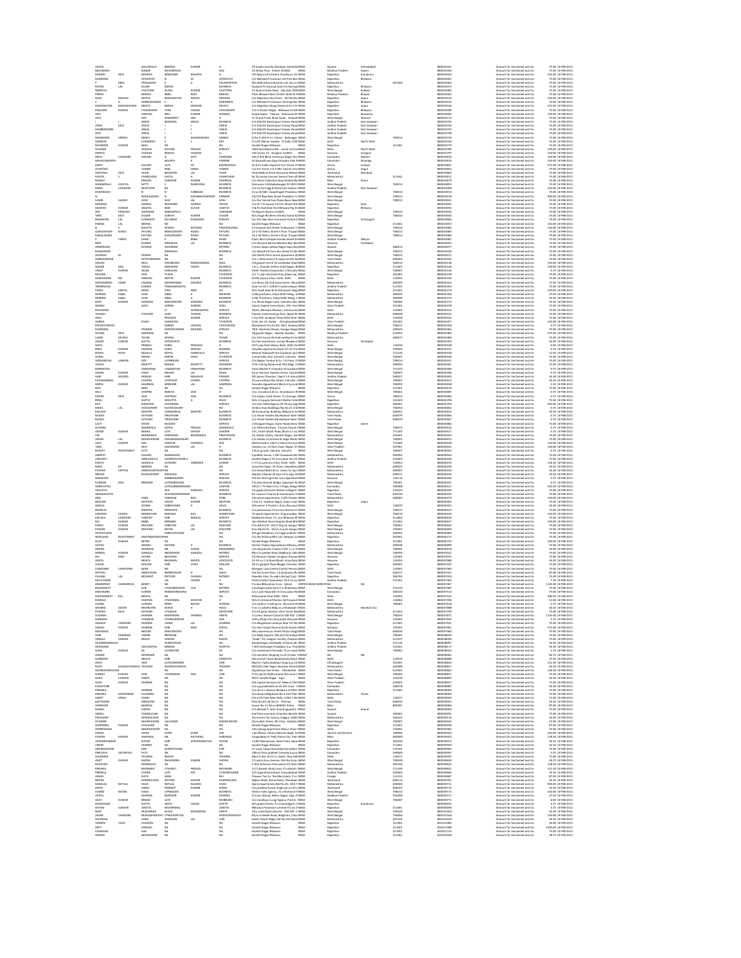| VUAYA<br>BALKISHAN<br>MOHINI                                                                                                         |                           | AHLUWALIA<br>NAGAR<br>MAURYA      | <b>BAMESH</b><br>GOVERDHA<br>RAMDHAN       | KUMAR                        | $\frac{0}{2}$                                | 29 Sawan Society Ghodasar AhmedaBNDIA                                                                                                                                                                                                         | Guiarat                                                           | Ahmedahar                      |                            | 800033341<br>800033356<br>800033359 | Amount for Unclaimed and Uni                                                                                             | 75.00 10 FEB-2011<br>75.00 10-FEB-2011<br>225.00 10-FEB-2011                     |
|--------------------------------------------------------------------------------------------------------------------------------------|---------------------------|-----------------------------------|--------------------------------------------|------------------------------|----------------------------------------------|-----------------------------------------------------------------------------------------------------------------------------------------------------------------------------------------------------------------------------------------------|-------------------------------------------------------------------|--------------------------------|----------------------------|-------------------------------------|--------------------------------------------------------------------------------------------------------------------------|----------------------------------------------------------------------------------|
| DEVI<br>RAJENDRA                                                                                                                     |                           | UPADHYAY                          |                                            | MAURY<br>M                   | UPADHYAY                                     | 23 Ahilya Pura Indone 452002<br>Wil Ajitpura Po Kaseru Jhunjhunu 333NDIA<br>C/o Bhilwara Processors Ltd Post Box INDIA                                                                                                                        | uuyaran<br>Madhya Prade<br>Rajasthan<br>Rajasthan                 | Indore<br>Jhunjhur<br>Bhilwara |                            | 800033445                           | Amount for Unclaimed and University<br>Amount for Unclaimed and University<br>Amount for Unclaimed and University        | 75.00 10-FEB-2011                                                                |
| ARLE<br>RATAN<br>LAL                                                                                                                 |                           | PRAGASAM<br><b>SALLID</b>         | NARUJI                                     | A                            | PALANUAPPAN<br><b>BUSINESS</b>               | M/s Balkrishna Industries Ltd. (dy.m.)INDIA<br>Guwardi Po Swarup Ganj Via HamughINDIA                                                                                                                                                         | Maharashtra<br>Rajasthan                                          | <b>Shihwara</b>                | 401506                     | 800033462<br>800033475              | Amount for Unclaimed and Un<br>Amount for Unclaimed and Uni                                                              | 75.00 10-FEB-2011<br>75.00 10-FEB-2011                                           |
| NIBEDITA                                                                                                                             |                           | CHATTERII                         | <b>ALOKE</b>                               | KUMAR                        | CHATTERJI                                    | 12 Aswini Dutta Road Calcutta 7000INDIA                                                                                                                                                                                                       | West Beneal                                                       | Kolkata                        |                            | 800033483                           | Amount for Unclaimed and Uni                                                                                             | 75.00 10 FEB-2011                                                                |
| PRENA<br>RAJIV                                                                                                                       | <b>BANJAN</b>             | BANSAL<br>MÉHTA                   | .<br>BABU<br>RAMAWATAI                     | RAM<br>RADHA                 | BANSAL<br>KRISHAN                            | Prem Bhiwain Near Chitter Walo IS HINDIA<br>C/o Rajasthan Dye Chem - 28 PanchwINDIA<br>C/o Bhilwara Processors Ltd EngineeriNDIA<br>C/o Rajasthan Dyeg Chemical 41 A PisNDIA                                                                  | wes: Dengar<br>Madhya Prac<br>Rajasthan<br>Rajasthan              | Bhopal<br>Jaipur               |                            | 800033505<br>800033516              | Amount for Unclaimed and Un<br>Amount for Unclaimed and Un                                                               | 75.00 10-FEB-2011<br>150.00 10-FEB-2011                                          |
| RAMAWATAR<br><b>BADHA</b>                                                                                                            |                           | arininini<br>MÉHTA                | RADHA                                      | KRISHA                       | NARSIMHA<br>MEHTA                            |                                                                                                                                                                                                                                               |                                                                   | <b>Shihwara</b><br>Jaipur      |                            | 80003353<br>800033544               | Amount for Unclaimed and Un<br>Amount for Unclaimed and Un                                                               | 75.00 10-FEB-2011<br>375.00 10-FEB-2011                                          |
| PRAVEEN<br>ANU                                                                                                                       | KUMAR                     | CHOUDHARY<br>SINGHAL              | TARA<br>ANIL                               | CHAND<br>KUMAR               | CHOUDHAIN<br>SINGHAL                         | 112 A Shastri Nagar Bhilwara 31100INDIA<br>Gupta Sadan Talwara Banswara 321NDIA                                                                                                                                                               | Rajasthan<br>taiasthan                                            | <b>Shihwara</b><br>Banswara    |                            | 800033589<br>B00033665              | Amount for Unclaimed and Un<br>Amount for Unclaimed and Un                                                               | 75.00 10-FEB-2011<br>150.00.10/ER-2011                                           |
| JAYA                                                                                                                                 |                           | SEN<br>ANEJA                      | HIRANMOV<br>Harisaa                        | séw<br>.<br>ANEJA            | <br>¤usinėss                                 | 31 Grand Trunk Road South HowrahlNDM                                                                                                                                                                                                          | West Beneal                                                       | Howrah<br>East Goday           |                            | 800033713<br>80003374               | <b>Amount for Unclaimed and Un</b><br><b>Imount for Unclaimed and Un</b>                                                 | 75.00 10 FEB 2011<br>75.00 10 FEB-2011                                           |
| JANKI<br>DEVI                                                                                                                        |                           | ANÉJA<br>ANÉJA                    |                                            |                              | ANÉJA<br>ANÉJA                               | 31 unano irunk koaa soutri Howsenivuuv<br>6-3-456/20 Dwarkapuri Colony Panja(NDIA<br>6-3-456/20 Dwarkapuri Colony Panja(NDIA<br>6-3-456/20 Dwarkapuri Colony Panja(NDIA                                                                       | xven uergar<br>Andhra Pradesh<br>Andhra Pradesh<br>Andhra Pradesh | East Godavan<br>East Godavan   |                            | B00033746<br>B00033741              | Amount for Unclaimed and Un<br>Amount for Unclaimed and Un                                                               | 75.00 10-FEB-2011<br>75.00 10-FEB-2011                                           |
| DHARMEND<br>GITA                                                                                                                     |                           | ANEJA                             |                                            |                              | ANEJA                                        | 6-3-456/20 Dwarkapuri Colony Panja/NDIA                                                                                                                                                                                                       | Andhra Pradesh                                                    | East Godavan                   |                            | 800033748                           | Amount for Unclaimed and Un                                                                                              | 75.00 10-FEB-2011                                                                |
| <b>NAGENORA</b><br>VERMA<br>SANDEEP                                                                                                  |                           | KRAPA<br><b>KUMARDEY</b>          |                                            | NAGESHWARA<br>è              | SARMA<br>btr                                 | Q No A-443 H A L Colony Balanagar INDIA<br>A-1/20 Mohan Garden N Delhi 1100INDIA                                                                                                                                                              | West Bengal<br>Delhi                                              | North Delhi                    | 700013                     | 800033749<br>800033764              | .<br>Amount for Unclaimed and Un<br>Amount for Unclaimed and Un                                                          | 75.00 10 FEB-2011<br>75.00 10 FEB 2011                                           |
| RAVINDER                                                                                                                             | KUMA                      | BAHL<br>alswa                     |                                            |                              | NA<br>NA<br>SERVICE                          | .<br>Gandhi Nagar Bhilwara                                                                                                                                                                                                                    | Delhi                                                             | North Delh                     | 311001                     | 800033770<br>80003378               | Amount for Unclaimed and Un                                                                                              | 75.00 10-FEB-2011                                                                |
| SUSHMA<br>DIMPLE                                                                                                                     |                           | CHADHA                            | GOVINO<br>RAKESH                           | PRASAD<br>CHADHA             |                                              | Samoni Nager unterwere<br>1663 Gali Madria Mir Jumla Lal KualNDIA<br>156 Sector 14 Gurgaon 122001 - INDIA                                                                                                                                     | Haryana                                                           | Gurgaon                        |                            | 80003379                            | Amount for Unclaimed and Un<br>Amount for Unclaimed and Un                                                               | 150.00 10-FEB-2011<br>150.00 10-FEB-2011                                         |
| DEEW<br>MAHALINGAPPA                                                                                                                 | CHANDRA                   | SEKHAR                            | BASAPIA                                    | KOTI                         | CHANDIV<br>FARMER                            | 393 A & B Block Kuvempu Nagar MysINDIA<br>62 Basawakrupa Opp Vinayaka Park BINDIA                                                                                                                                                             | Kamataka<br>Kamataka                                              | Mysore<br>Shimoga              |                            | 800033816<br>800033819              | Amount for Unclaimed and Un<br>Amount for Unclaimed and Un                                                               | 150.00 10-FEB-2011<br>150.00 10-FEB-2011                                         |
| SANTI<br>AVANTIKA<br>SANTOSH                                                                                                         |                           | HALDER                            | LATE<br><sub>wai</sub> t<br>Ram<br>Bhushan | ŚH                           | <b>BISHNUPADA</b>                            | At & Po Salchi Gopal Dt Puri Orissa 75/NDIA                                                                                                                                                                                                   | Orissa                                                            | Cuttack<br>Angul<br>Dhamhar    |                            | 800033851<br>80003385-              | Amount for Unclaimed and Un                                                                                              | 375.00 10 FEB-2011                                                               |
| DEVI<br>KAVITA                                                                                                                       |                           | TOMER<br>VIJAN<br>CHANCHANI       | <b>SHITUL</b>                              | SINGH<br>LAL                 | TOMER<br>VIIAN<br>CHANCHANI                  | At & Po Salon Gopal Dt Port Onsia 75/NDM<br>C/o R S Tomer S Q X McI Talcher AreaMDIA<br>Hind Medical Store Hanuman MensiolNDIA<br>Ra 10,manas Sarovar Garmal Tekri,dhNDIA                                                                     | Orissa<br>Jharkhand<br>Maharashtra                                |                                | 411041                     | 800033871                           | Amount for Unclaimed and University<br>Amount for Unclaimed and University<br>Amount for Unclaimed and University        | 75.00 10-FEB-2011<br>75.00 10-FEB-2011<br>75.00 10-FEB-2011                      |
| MANOJ                                                                                                                                |                           | <b>CAZAR</b>                      | SHANKAR                                    | KUMAR                        | AGAINVAL                                     | C/o Home Collection New Market BarINDIA                                                                                                                                                                                                       | Bihar                                                             | Patna                          |                            | 800033879                           | Amount for Unclaimed and Un                                                                                              | 75.00 10 FEB-2011                                                                |
| <b>SURAMPALL!</b><br>RAMA                                                                                                            | SIVAYYA<br>CHANDRA        | SETTY<br>MURTHYM                  | <b>NA</b>                                  | NARAYANA                     | <b>BUSINESS</b><br><b>BUSINESS</b>           | Atmacore A Mahabubnager Dt 50913INDIA                                                                                                                                                                                                         | West Bengal<br>Andhra Pradest                                     | East Godayar                   | 700013                     | 800033893<br>800033908              | Amount for Unclaimed and Un<br>Amount for Unclaimed and Uni                                                              | 75.00 10-FEB-2011<br>150.00 10 FEB-2011                                          |
| ESWARANA                                                                                                                             |                           | .<br>Bungarsaa                    |                                            | <b>STRINGER</b><br>sariare   | BUSINESS<br>FARMER                           | Assumed a Manuscrippe of Southernov<br>C/o Sri Sai Engg & Electricals Station INDIA<br>13/119 Raja Bata Street Proddatur SSINDIA                                                                                                              | West Bengal<br>West Bengal<br>West Bengal                         |                                | zonos                      | 800033914<br>800033918              | Amount for Unclaimed and Un<br>Amount for Unclaimed and Un                                                               | 75.00 10-FEB-2011<br>300.00 10-FEB-2011                                          |
| LAXMI<br>CHAND<br><b>RANJENA</b>                                                                                                     |                           | SONI<br>SAXÉNA                    | SHT<br><b>BAJENDRA</b>                     | LAL<br>SAXENA                | SONI<br>HOUSE                                | S/o Shri Shivlal Soni Piplia Bazar Beau/NDIA<br>C/o Dr T N Saxena 21/215 Shanti Niki/NDIA                                                                                                                                                     | Rajasthar                                                         | Kota                           | 700013                     | 80003393<br>B00033932               | Amount for Unclaimed and Un<br>Amount for Unclaimed and Un                                                               | 75.00 10-FEB-2011<br>75.00 10-FEB-2011                                           |
| MUKESH                                                                                                                               | KUMAR<br>PRAKASH          | <b>JAGETIA</b><br>HANWAR          | RAM<br><b>RAMGOPALI</b>                    | KUVAR                        | <b>JAGETIA</b><br><b>JHANWAR</b>             | V & Po Koshithal Dist Bhilwara Raj 31/NDIA                                                                                                                                                                                                    | Rajasthan                                                         | <b>Shihwara</b>                | 700013                     | 800033934<br>B00033935              | Amount for Unclaimed and Un<br>Amount for Unclaimed and Un                                                               | 75.00 10 FEB-2011<br>75.00 10 FEB-2011                                           |
| pevi<br><b>BHACK</b>                                                                                                                 |                           | DUGAR<br>CUMAWAT                  | SURESH<br>KALURAM                          | KUMAR<br>KUMAWA <sup>1</sup> | <b>DUGAR</b><br>service                      |                                                                                                                                                                                                                                               | West Bengal<br>West Bengal                                        | Chittorgi                      | 700013                     | 800033944<br>800033946              | <b>Amount for Unclaimed and Un</b>                                                                                       | 25.00.10.6FR.2011<br>75.00 10-FEB-2011                                           |
| PANNA<br>LAL                                                                                                                         |                           | MÉÉNA<br>NGUPTA                   | NA<br>VENKAT                               |                              | NA<br>PROFESSIONAI                           | Sjo Shri Kalu Ram Kumawat Purbio KINDIA<br>Gandhi Nagar Bhiwara<br>27 Eswaran Koli Street Tindivanam TaINDIA                                                                                                                                  | <b>Rajasthar</b><br>Rajasthan<br>West Bengal                      |                                | 311001                     | B00033953<br>B00033982              | Amount for Unclaimed and University<br>Amount for Unclaimed and University<br>Amount for Unclaimed and University        | 150.00 10-FEB-2011<br>150.00 10-FEB-2011                                         |
| GURUSWAMY<br>NAIDU                                                                                                                   |                           | PATURU                            | <b>BAMASWAMY</b>                           | RATNAM<br>NAIDU              | PATURU                                       | 14-1-92 Nehru Street i Floor Tirupati INDIA                                                                                                                                                                                                   | West Bengal                                                       |                                | 700013<br>700013           | 800033985                           | Amount for Unclaimed and Un                                                                                              | 75.00 10 FEB-2011                                                                |
| KANALAKANA<br>FEROJ                                                                                                                  |                           | PATURU<br>KHAN                    | GURUSWAMY                                  | NAIDU<br><b>BABA</b>         | PATURU<br>KHAN                               | 14-1-92 Nehru Street II Floor Tinupati INDIA<br>Pyaru Bhai Complex Korada Street NeINDIA<br>C/o Haryana Bartan Bhandar Ravi BazINDIA                                                                                                          | .<br>West Bengal<br>Andhra Pradesi                                | Nellore                        | 700013                     | 800033986<br>800033987              | .<br>Amount for Unclaimed and Un<br>Amount for Unclaimed and Un                                                          | 75.00 10 FEB-2011<br>75.00 10 FEB 2011                                           |
| BENI                                                                                                                                 |                           | <b>CIMAR</b>                      | <b>NIBANIAN</b>                            | LAL                          | <b>BUSINESS</b>                              |                                                                                                                                                                                                                                               | Haryana                                                           | Faridabac                      |                            | <b>BOODS40S</b>                     | Amount for Unclaimed and Un                                                                                              | 75.00 10-FEB-2011                                                                |
| HEMINAJANI<br>RAJESHWAR                                                                                                              |                           | GOVINO                            | UDHARAM<br>NARSAIAH                        |                              | RETIRED<br><b>BUSINESS</b>                   | 5,murli Appts.udhaw Nagar Opp.shivjINDIA<br>C/o Maruthi & Sons Bus Stand Po NiriNDIA                                                                                                                                                          | Gujarat<br>West Bengal                                            |                                | 380013<br>700013           | B0003407<br>800034190               | Amount for Unclaimed and Un<br>Amount for Unclaimed and Un                                                               | 75.00 10-FEB-2011<br>75.00 10-FEB-2011                                           |
| JAISINGH<br>M<br>HARISHANKAR                                                                                                         |                           | PAWAR<br>SETHYARAMAN              | NA<br>NA                                   |                              | NA<br>NA                                     | 245 North Point Street Apartment 40INDIA<br>C/o.r.sethuraman, F.S., vijaya Santhi ApINDIA                                                                                                                                                     | West Bengal<br>Tamil Nadu                                         |                                | 700013<br>600004           | 800035011<br>800035025              | Amount for Unclaimed and Un<br>Amount for Unclaimed and Un                                                               | 75.00 10 FEB-2011<br>75.00 10 FEB-2011                                           |
| SANJAY                                                                                                                               |                           | <b>BALL</b>                       | SHSUBHASH<br>DANARAN                       | <b>RAMCHANDRA</b>            | RAUL                                         | 2/6 eanesh Smriti Dr.ambedkar Road INDIA                                                                                                                                                                                                      | Maharashtra                                                       |                                | 400012                     | 800035138                           | Amount for Unclaimed and Un                                                                                              | 150.00 10 FEB-2011                                                               |
| NAGAR<br>VINAY<br>RACHNA<br><b>KUMA</b>                                                                                              |                           | YADA\<br>IALAN                    | SHRIALAN                                   | YADAV                        |                                              |                                                                                                                                                                                                                                               | Rajasthan<br>West Bengal                                          |                                | 311001<br>700007           | BOOTSS140                           |                                                                                                                          |                                                                                  |
| ADEESHWAR<br><b>BAI</b>                                                                                                              |                           | <b>JAJN</b><br>SINGHAL            | TCIAN<br><b>ADITIA</b>                     | KUMAR                        | BUSINESS<br>BUSINESS<br>STUDENTE<br>STUDENTE | 1-b-1, Chandie Sekhar Azad Nagar, BHNDIA<br>Shree Textiles Corporation 178,mahatNDIA<br>C/o T.c.jain 69,shanti Kunj Alwar (raj.)NDIA<br>8-299 voiana Vihar, Delhi Delhi<br><b>INDIA</b>                                                       | Rajasthan<br>Delhi                                                |                                | 301001<br>110092           | 800035238<br>800035246              | Amount for Unclaimed and Un<br>Amount for Unclaimed and Un<br>Amount for Unclaimed and Un<br>Amount for Unclaimed and Un | 150.00 10-FEB-2011<br>0.75 10-FEB-2011<br>75.00 10-FEB-2011<br>75.00 10 FEB-2011 |
| HANI<br>MOHAMMAD                                                                                                                     |                           | LAKARIA                           | MOHAMMAD                                   | ZAKARIA                      | <b>BUSINESS</b>                              | C/o Dhara Oil And Soap Center, 98 zalNDIA                                                                                                                                                                                                     | Maharashtra                                                       |                                | 400009                     | 800035256                           | Amount for Unclaimed and Un                                                                                              | 75.00 10-FEB-2011                                                                |
| TMSRINIVAS<br>SYEDA<br>MUBINA<br>SARTA                                                                                               |                           | KUMAR                             | TMADANAGOPA                                | sair                         | <b>BUSINESS</b><br>ALI<br>Réhman             | Door-no-18-1-128 M.froad hindupur INDIA                                                                                                                                                                                                       | Andhra Pradesh<br>.<br>Rajasthan<br>Maharashtra                   |                                | 515201<br>311001<br>400049 | 800035263<br>800035274<br>800035366 | Amount for Unclaimed and Uni<br>Amount for Unclaimed and Un<br>Amount for Unclaimed and Un                               | 75.00 10 FEB-2011<br>150.00 10-FEB-2011<br>37.50 10-FEB-2011                     |
| SARIAL<br>IQBAL<br>IQBAL<br>KUMAI<br>MUSINA                                                                                          |                           | BANO<br>ULDE                      | SYED<br>IQBAL                              |                              |                                              | sour-more and all in 104 shares happens to the Western September 1988<br>S/48, practhana, Vidya Nidhi Marg, JulNDIA<br>S/48, Practhana, Vidya Nidhi Marg, JulNDIA<br>1-a, Basak Bagan Lane Calcutta CalcutNDIA                                | Maharashtra                                                       |                                | 400045                     |                                     |                                                                                                                          | 43.50 10-FEB-2011                                                                |
|                                                                                                                                      |                           | ULDE<br>DOKANIA                   | IQBAL<br>RAMAWATAR                         | DOKANU                       | RAHMAN<br>BUSINESS                           |                                                                                                                                                                                                                                               | West Bengal                                                       |                                | 70000                      | 800035372<br>B00035373              | Amount for Unclaimed and Un<br>Amount for Unclaimed and Un                                                               | 55.50 10-FEB-2011                                                                |
| NEERAJ<br>RCSURANA                                                                                                                   |                           | GOEL                              | SHRAM<br>LT.                               | NARAIN<br>SHYMSLIP           | GOEL<br>SERVICE                              | Classic Capital Consultants, 259, SoutINDIA<br>40/41. Bhilwara Bhawan, Community/NDIA                                                                                                                                                         | <b>Uttar Pradesh</b><br>Delhi                                     |                                | 251001<br>110065           | 800035378<br>800035412              | Amount for Unclaimed and Un<br>Amount for Unclaimed and Un                                                               | 75.00 10 FEB-2011<br>75.00 10 FEB-2011                                           |
| YOGESH                                                                                                                               |                           | VTAVKAR                           | VUAY<br>PRAVEEN                            | TAVKAR<br>KUMAR              | <b>BUSINESS</b>                              |                                                                                                                                                                                                                                               | Maharashtra                                                       |                                | 405028<br>110058           | 800035415<br>800035422              | <b>Amount for Unclaimed and Un</b>                                                                                       | 25.00.10.6FR.2011<br>75.00 10-FEB-2011                                           |
| ANJU<br>HARISH<br>RPCHATURVED                                                                                                        |                           | DUGH                              | SHIGDUGH<br>SHRAM                          |                              | SERVICE<br>STUDENTE<br>CHATURVED             | "version international procession of Popular Investment gr. floor, Bapat BulNDIA<br>C-Sa/209, Janakpuri New Delhi New BNDIA<br>A-46, Sec-14, Noida — Dist-ghaziabadINDIA<br>Manabarrie Tea Co.Itd. 28/1, ShakespINDIA                         | Delhi<br>Uttar Pradesh                                            |                                | 201301                     | B00035457<br>B00035458              | Amount for Unclaimed and University<br>Amount for Unclaimed and University<br>Amount for Unclaimed and University        | 150.00 10-FEB-2011<br>0.75 10-FEB-2011                                           |
| RAJENDRA                                                                                                                             |                           | PSHINDE                           | SHPANDURANO                                | LAKHAN<br>KSHNDE             | SERVICE                                      | 78/b, Narendra Niwas, Kamgar NagarINDIA                                                                                                                                                                                                       | West Bengal<br>Maharashtra                                        |                                | 700017<br>400024           | 800035464                           | Amount for Unclaimed and Un                                                                                              | 75.00 10 FEB-2011                                                                |
| SOHAN<br>pey<br>LAXMI                                                                                                                | DEVINAL                   | AGRAWAL<br>TEJANI                 | NA<br>DEVRAJ                               |                              | NA.<br>TEIANI                                | 18 gayatri Nagar, Qwallor Qwallor INDIA<br>C/o Kirti Kumar M.shah,neelkanth SadNDIA                                                                                                                                                           | Madhya Pradesh<br>Maharashtra                                     |                                | 474002<br>400077           | 800035483<br>800035484              | .<br>Amount for Unclaimed and Un<br>Amount for Unclaimed and Un                                                          | 375.00 10 FEB-2011<br>75.00 10 FEB 2011                                          |
| ASHOR                                                                                                                                | KUMA                      | GUPTA<br>PRABIN                   | SHTDGUPTA                                  |                              | <b>BUSINESS</b>                              | Ess Pee Investment, Suneja Bhawan,iiINDIA<br>3571,raja Park Shakur Basti, Delhi DelNDIA<br>Vasudha Apartment,block Cif,i St FlocNDIA                                                                                                          | Haryana                                                           | Faridabac                      |                            | 800035493                           | Amount for Unclaimed and Un                                                                                              | 24.00 10-FEB-2011                                                                |
| SMEEL<br>BINA                                                                                                                        | KUMA                      | SHARMA                            | SURAJ<br>SARJU                             | PRAKASH<br>PRASAD            | H<br>SHARMA                                  |                                                                                                                                                                                                                                               | Delhi<br>West Bengal                                              |                                | 110034<br>700051           | 80003552<br>B0003553                | Amount for Unclaimed and Un<br>Amount for Unclaimed and Un                                                               | 6.00 10-FEB-2011<br>0.75 10-FEB-2011                                             |
| <b>BISWA</b><br>NATH<br>SONAL                                                                                                        |                           | MAJILLA<br><b>KSHAH</b>           | GOPAL<br>KARTIK                            | CHMAJILLA<br>SHAH            | SERVICE<br>STUDENTE                          | Memari Nabopalli Dist burdwan (w.b.INDIA<br>1,amartalla Lane, Calcutta Calcutta INDIA                                                                                                                                                         | West Bengal<br>West Bengal                                        |                                | 713146<br>700001           | 800035538<br>B00035546              | Amount for Unclaimed and Un<br>Amount for Unclaimed and Un                                                               | 12.00 10 FEB-2011<br>75.00 10 FEB 2011                                           |
| SIDDHARTHA                                                                                                                           | SANKAR                    | SEN                               | LATERNSEN                                  |                              | SERVICE<br><b>ENGINEER</b>                   | C/o Raisey Tandon & Co. 1St Floor, FUNDIA                                                                                                                                                                                                     | West Beneal                                                       |                                | 700014                     | 800035551<br><b>BOOTSSSE</b>        | Amount for Unclaimed and Un                                                                                              | 25.00.10.6FR.2011                                                                |
| LIDAYA<br>RAMIRATAN<br>ASHOK                                                                                                         |                           | SHETTY<br>GMGMA                   | RAGHAI<br>LTRAMOTAI                        | MSHETTY<br>SINGHAN           | <b>BUSINESS</b>                              | 27th Linking Road, medi Villa Bldg, 1 SINDIA<br>Paras Market P.o.barakar Dt.burdwarlNDIA<br>42, sir Hariram Goenka Street, CalcuttINDIA<br>42, sir Hariram Goenka Street, CalcuttINDIA                                                        | Maharashtra<br>West Bengal<br>West Bengal                         |                                | 713324                     |                                     | Amount for Unclaimed and Un<br>Amount for Unclaimed and Un<br>Amount for Unclaimed and Un                                |                                                                                  |
|                                                                                                                                      | KUMAR<br>GOVIND           | DAGA<br>PRASAD                    | KISHAN<br>SHRI                             | щ<br>MAHAVIE                 | DAGA<br>PRASAD                               | 307 paras Chambur, Opp.h S E HimayINDIA                                                                                                                                                                                                       | Andhra Pradesi                                                    |                                | 700003<br>500027           | 800035590<br>800035602              | Amount for Unclaimed and Un                                                                                              | 43.50 10 FEB-2011                                                                |
| CHHAGANMAL<br>GOPAL                                                                                                                  | KUMAR                     | CHOPRA<br>AGARWA                  | LATEFALIX<br>GIRDHARI                      | CHAND<br>ue.                 | CHOPRA<br><b>AGARWAY</b>                     | 47,purusottam Ray Street, Calcutta ONDIA<br>Vasudha Appartment Block-cif.p.o.deINDIA                                                                                                                                                          | West Bengal<br>West Bengal                                        |                                | 700007<br>700059           | 800035622<br>800035658              | Amount for Unclaimed and Un<br>Amount for Unclaimed and Uni                                                              | 43.50 10 FEB-2011<br>2.25 10-FEB-2011                                            |
| BMA<br>NILU                                                                                                                          |                           | BOSE<br>CHOPRA                    | NA<br>MAKÉSH                               | IAIN                         | NA<br>H                                      | الكاتا المستوردة المستوردة المستوردة المستوردة<br>C/o.r.k.kankaria & Co. 33.brabourn NoNDI                                                                                                                                                    | .<br>Najasthan<br>West Bengai                                     |                                | 311001<br>20001            | 800035678<br>800035685              | Amount for Unclaimed and Un<br>Amount for Unclaimed and Un                                                               | 75.00 10-FEB-2011<br>0.75 10-FEB-2011                                            |
| DEVI<br>KESHR                                                                                                                        |                           | JAIN<br>GUPTA                     | SHIITMAL<br>VKGLIPTA                       | <b>JAIN</b>                  | <b>BUSINESS</b>                              | C/o Sarrjay Cloth Stores. P.o.kesinga DNDIA<br>W/o V.k.gupta (lecturer) Mohta CollepNDIA                                                                                                                                                      | Orissa<br>Rajasthan                                               |                                | 766012<br>331023           | 80003568                            | Amount for Unclaimed and Un<br>Amount for Unclaimed and Un                                                               | 0.75 10-FEB-2011                                                                 |
| RENU                                                                                                                                 |                           | NARAYAN                           | CHTARMAL                                   |                              | HOLD<br>SERVICE                              | C/o Smtradha Bagriya M-70,ana SagaNDIA                                                                                                                                                                                                        | Rajasthan                                                         |                                | 305001                     | 800035700<br>800035793              | Amount for Unclaimed and Un                                                                                              | 75.00 10-FEB-2011<br>450.00 10-FEB-2011                                          |
| RAMA<br>LAL<br>KAILASH                                                                                                               |                           | CHOUDHARY<br>MANTRY               | SLOHOUDHAR<br>SHANKARLAI                   | MANTRY                       | NA.<br><b>BUSINESS</b>                       |                                                                                                                                                                                                                                               | West Bengal<br>Maharashtra                                        |                                | 700054<br>400001           | 800035802<br>800035810              | Amount for Unclaimed and Un<br><b>Amount for Unclaimed and Un</b>                                                        | 0.75 10 FEB-2011<br>43.50 10 FEB 2011                                            |
| RAJESE                                                                                                                               |                           | KOTHAR                            | TRKOTHAR                                   |                              |                                              |                                                                                                                                                                                                                                               | Tamil Nadu                                                        |                                | 600071                     | 80003586                            |                                                                                                                          |                                                                                  |
| RAJESH<br>LALIT                                                                                                                      |                           | KOTHARI<br>DOSHI                  | TRKOTHARI<br>RLDOSHI                       |                              | BUSINESS<br>BUSINESS<br>SERVICE              | Co amtrasma sagrya M-70 ami a sagryund<br>Ambica Kunj Buildings,flat No.21 2ndiNDIA<br>48-b,hanuman Building, 808,perin NaNDIA<br>C/o Vinod Textiles 48,elephant Gate 9NDIA<br>1-20,tagore Nagar, Ajmer Road,heera INDIA<br>1-20,tagore Nagar | Tamil Nadu                                                        | Ajme                           | 600079                     | B00035867<br>B00035884              | Amount for Unclaimed and University<br>Amount for Unclaimed and University<br>Amount for Unclaimed and University        | 0.75 10-FEB-2011<br>0.75 10-FEB-2011<br>75.00 10-FEB-2011                        |
| SHYAMA<br><b>ASHOK</b>                                                                                                               | KUMAR                     | AGARWALA<br>BANKA                 | GOPAL<br>LATE                              | PRASAD<br>SHYAM              | AGAINWALA<br>SUNDER                          | C/o Mehra Brothers, 2-b, tara Chand DNDIA                                                                                                                                                                                                     | West Bengal                                                       |                                | 700073<br>711202           | 800035916<br>800035917              | Amount for Unclaimed and Un                                                                                              | 0.75 10-FEB-2011<br>0.75 10-FEB-2011                                             |
| <b>IWAN</b>                                                                                                                          |                           | BHANGADIA<br><b>MAHESHWAR</b>     | SHMOHAN<br>SHSLMAHE                        | <b>BHANGAON</b>              | PROFESSION<br><b>BUSINESS</b>                | 147, Girish Ghosh Road, Block-n,r.no. INDIA<br>14, Ashok Colony, Ganesh Nagar, GoriNDIA<br>C/o Sensex Co.krishna Kr.daga MartiniNDIA                                                                                                          | West Bengal<br>Maharashtra                                        |                                | 441601<br>70000            | 800035953<br>800036012              | .<br>Amount for Unclaimed and Un<br>Amount for Unclaimed and Un<br>Amount for Unclaimed and Un                           | 75.00 10 FEB 2011<br>75.00 10 FEB-2011                                           |
| AJOY<br>TARA                                                                                                                         | KUMA                      | SEN                               | SHGOUR<br>SHCHAMAN                         | CHANDLA                      | SEN                                          | Mahismardini Tala P.o.kalna Dist-bursNDIA<br>Chaman Lal, 12 Ram Jiwan Nagar, ChiNDIA                                                                                                                                                          | West Bengal<br>West Bengal<br>Uttar Pradesh                       |                                | 71340                      | 800036028                           | Amount for Unclaimed and Un<br>Amount for Unclaimed and Un                                                               | 150.00 10-FEB-2011<br>150.00 10-FEB-2011                                         |
| ROCKET                                                                                                                               | INVESTMENT                | DEVI<br>PLTD                      | NA                                         | LAL                          | NA                                           | 134, m.g.road, Calcutta Calcutta<br>INDIA                                                                                                                                                                                                     | West Bengal                                                       |                                | 247001<br>700007           | B0003603<br>800036043               | Amount for Unclaimed and Un                                                                                              | 0.75 10-FEB-2011                                                                 |
| SAMPAT<br>LINGANT                                                                                                                    |                           | DALMIA<br>SRINIVASULU             | RAMIOSHAN<br>LVENKATESWARLU                |                              | <b>BUSINESS</b><br><b>BUSINESS</b>           | 9 poddar House, 2 Nd Fanaswadi BonNDIA                                                                                                                                                                                                        | Maharashtra<br>Andhra Pradest                                     |                                | 400002<br>522003           | 800036184<br>800036189              | Amount for Unclaimed and Un<br>Amount for Unclaimed and Un                                                               | 75.00 10 FEB-2011<br>75.00 10 FEB-2011                                           |
| KANTA<br>BANK<br>PUSHAP                                                                                                              |                           | KANJHLIA<br>RAROOA                | ILANII<br>UATESHIN<br>                     | <b>MEFNOE</b>                |                                              |                                                                                                                                                                                                                                               | Delhi<br>Maharashtra                                              |                                | 110053<br>400023           | BOOTS619                            |                                                                                                                          |                                                                                  |
|                                                                                                                                      | CAPITAL                   | ANDSECURITIESPVNA                 |                                            |                              | <b>KUMAR</b><br>KUMAR<br>NA                  | Gandhi Nagar,S Th Cross, door No.19-INDIA<br>C-7/111, yamuna Vihar, Delhi Delhi INDIA<br>Securities Dept., i St Floor, Jeejeebhoy(NDIA<br>C/o Anand Rathi & Co. Union Co Op INNDIA                                                            | Maharashtra                                                       |                                | 400001                     | 800036240                           | Amount for Unclaimed and University<br>Amount for Unclaimed and University<br>Amount for Unclaimed and University        | 118.50 10-FEB-2011<br>43.50 10-FEB-2011<br>43.50 10-FEB-2011                     |
| MEENA<br>SKRANJAN                                                                                                                    |                           | NCHAUDHARY                        | NIKHLESH<br>HARBHAGWAN                     |                              | SERVICE<br>RANJAN                            | Alankar Cleaners & Dyers B-3,vijay VilNDIA<br>Flat No.303-b,ghs-60, Saru ApartmenINDIA                                                                                                                                                        | Maharashtra<br>Haryana                                            |                                | 400071<br>134116           | 800036246<br>800036263              | Amount for Unclaimed and Un<br>Amount for Unclaimed and Un                                                               | 43.50 10-FEB-2011<br>0.75 10-FEB-2011                                            |
| KUNDAN<br>MAL                                                                                                                        |                           | BENGANI                           | LATEICBENGANI                              |                              | <b>BUSINESS</b>                              |                                                                                                                                                                                                                                               | West Beneal                                                       |                                | 700001                     | 800036301                           | Amount for Unclaimed and Uni                                                                                             | 0.75 10 FEB-2011                                                                 |
| SSREEVATSA<br>VKGUPTA                                                                                                                |                           |                                   | LATESUBRAMON<br>VED                        | <b>PARKAS</b>                | LAWYER                                       |                                                                                                                                                                                                                                               |                                                                   |                                | 331023                     | 800036317<br>800036329              | Amount for Unclaimed and Uni<br>Amount for Unclaimed and Uni                                                             | 225.00 10-FEB-2011<br>75.00 10-FEB-2011                                          |
| SBHAGAVATH                                                                                                                           |                           | PORE                              | AVSANKA<br>SHANKAR                         |                              | <b>BUSINESS</b><br>PORE                      | run rea.suo-agm-au), suomen parumentrarian<br>235/1,7 Th Main H.a.Lii Stage, BargaliNDIA<br>335/1,7 Th Main H.a.Lii Stage, BargaliNDIA<br>3.8. S. gupta (Bettere) Mohai. College P.4NDIA<br>2.42, venus Apartments, Coffe Parade, MNDIA<br>24 | ken berga<br>Kamataka<br>Rajasthan<br>Tamil Nadu                  |                                | 625010<br>400005           | 800036332<br>B00036379              | Amount for Unclaimed and Un<br>Amount for Unclaimed and Un                                                               | 75.00 10-FEB-2011<br>150.00 10-FEB-2011                                          |
| NEELAM<br>SHEELA                                                                                                                     |                           | MATHUR<br>DOGRA                   | VINOD<br>SHBKDOGRA                         | KUMAR<br>Ĥ                   | MATHUR<br>HOLD                               | 5 Jha 21, Jawahar Nagar, Jaipur (raj) JNDIA<br>454 sector A Pocket-c D.d.a.flat.vasarrNDIA                                                                                                                                                    | Rajasthan<br>Delhi                                                | Jaipu                          | 110070                     | 800036405<br>800036455              | Amount for Unclaimed and Un<br>Amount for Unclaimed and Un                                                               | 75.00 10-FEB-2011<br>43.50 10 FEB-2011                                           |
| <b>RASIKLAL</b>                                                                                                                      |                           | NMEHTA                            | NPMEHTA                                    |                              | BUSINESS<br>MANDHYAN                         | C/o.photovisual 27a.circus Avenue CalNDM                                                                                                                                                                                                      | West Beneal                                                       |                                | 700017                     | 800036523                           | <b>Amount for Unclaimed and Un</b>                                                                                       | 75.00 10 FEB 2011                                                                |
| LAKSHM<br>KAILASH                                                                                                                    | CHAND                     | MANDHYA<br>PURDHIT                | MADHAV                                     | nas<br>RAMLA                 | SERVICE                                      | Cro.photowiasi 27a,circus Hermet Candov<br>7h-ajanta Apartments, 10,gurusaday INDIA<br>Neelkanth Road, P.o.-pur Bhilwara BhNDIA<br>Jain Medical Store Hospital Road BhilNDIA                                                                  | West Bengal                                                       |                                | 70001                      | 80003654                            | Amount for Unclaimed and University<br>Amount for Unclaimed and University<br>Amount for Unclaimed and University        | 150.00 10-FEB-2011                                                               |
| PARAS                                                                                                                                | CHANDRA<br>KUMAR<br>KUMAR | BABEL<br><b>MALPANI</b>           | SHRI<br>MPBABEL<br>SHRATAN                 | LAL                          | <b>BUSINESS</b><br>MALPAN                    | Rno.68,3rd FL,161/1 M.g.rd.,bangur INDIA                                                                                                                                                                                                      | Rajasthan<br>Rajasthan<br>West Bengal                             |                                | 311802<br>311001<br>700007 | B00036626<br>B00036637<br>800036644 | Amount for Unclaimed and Un                                                                                              | 75.00 10-FEB-2011<br>150.00 10-FEB-2011<br>75.00 10 FEB-2011                     |
| PAWAN                                                                                                                                | KUMAR                     | <b>MALPANI</b>                    | BATAN                                      | LAL.                         | MALPANI                                      | n no na "sare re "sas je "saregu" ne prosegur neuna<br>1930. giri Rosidency i h. nagar andheri (RNDIA)<br>1931. giri Rosidency i h. nagar andheri (RNDIA)<br>1940. giri Rosidency i h. nagar grabus<br>1940. giri da daripa di Nigar Bhiha    | West Bengal<br>Maharashtra                                        |                                | 700007                     | 800036669                           | .<br>Amount for Unclaimed and Un<br>Amount for Unclaimed and Un                                                          | 75.00 10 FEB-2011                                                                |
| OPCHECHANI<br>NEWLAND                                                                                                                | <b>INVESTMEN</b>          | ANOTRAL                           | SHROCHECHAN                                |                              | NA<br>NA                                     |                                                                                                                                                                                                                                               | <b>Rajasthan</b>                                                  |                                | 400093<br>30590            | 800036689<br>800036715              | Amount for Unclaimed and Un                                                                                              | 75.00 10 FEB 2011<br>75.00 10-FEB-2011                                           |
| SATISH                                                                                                                               | KUMAR                     | MITRA<br>GMARU                    | NA<br>GOVINO                               |                              | NA<br><b>BUSINESS</b>                        |                                                                                                                                                                                                                                               | Rajasthan<br>Maharashtra                                          |                                | 311001<br>400028           | B00036753<br>B00036891              | Amount for Unclaimed and Un<br>Amount for Unclaimed and Un                                                               | 150.00 10-FEB-2011<br>75.00 10-FEB-2011                                          |
| MEENA                                                                                                                                |                           | AGARWA                            | SRI                                        | SUSHIL                       | KRAGA/IWAL                                   | C/o.divyadrishti Traders P.ltd. 1.r.n.mINDIA                                                                                                                                                                                                  | West Bengal                                                       |                                | 700001                     | 800036978                           | Amount for Unclaimed and Un                                                                                              | 24.00 10-FEB-2011                                                                |
| NIRMAL<br><b>BANI</b>                                                                                                                | KUMAR                     | GANGULI<br>CHUGH                  | JIBONDHON<br><b>BKCHUGH</b>                | GANGULI                      | RETIRED<br>SERVICE                           | 89,m.m.peeder Road, Belghoria, CalcuNDIA                                                                                                                                                                                                      | West Bengal<br>Harvana                                            |                                | 700056<br>122001           | 800037022<br>800037075              | Amount for Unclaimed and Un<br>Amount for Unclaimed and Un                                                               | 75.00 10 FEB-2011<br>75.00 10 FEB-2011                                           |
| <b>AMITA</b>                                                                                                                         |                           | MÉHTA<br>MALANI                   | BHUSHAN<br>SHRI                            | MEHTA<br>wvEx                | ADVOCATE                                     | 25/18 Jaconi Garden Gurgace (haryantNDIA)<br>52-53 C-c II II New Mandi, Sirsa (haryiNDIA)<br>20-21 garqati Plaza Bhagat Choraha, INDIA<br>Manager Loan Centre (north) PersonatNDIA                                                            | .<br>Haryana<br>Rajastha                                          |                                | 125055<br>305901           | BOODS 2082<br>0003718               | Amount for Unclaimed and Un<br>Amount for Unclaimed and Un<br>Amount for Unclaimed and Un                                | 43.50 10-FEB-2011<br>75.00 10-FEB-2011<br>75.00 10-FEB-2011                      |
| STANDARD                                                                                                                             | CHARTERED                 | <b>BANK</b>                       | NA                                         |                              | NA                                           |                                                                                                                                                                                                                                               |                                                                   |                                | 110001                     | 800037384                           |                                                                                                                          |                                                                                  |
| MYTHILL<br>CHUNNI<br>LAL                                                                                                             |                           | SRINIVASAN<br>MOHNOT              | RSRINIVASAN<br>KISTOOR                     | CHANDII                      | HOLD<br>RETIRED                              | Flat No.6,ram Flats, 14,duraisamy RoJNDIA<br>Kawedia Vass, Po sadri dist-pali (rai) 1NDIA                                                                                                                                                     | Tamil Nadu<br>Rajasthan                                           |                                | 600017<br>306702           | 800037425<br>800037430              | Amount for Unclaimed and Un<br>Amount for Unclaimed and Un                                                               | 87.00 10-FEB-2011<br>75.00 10-FEB-2011                                           |
| KALUCHAND<br>ANANDRAO<br>RIOMANATH                                                                                                   |                           | <b>BARD</b>                       | LAL                                        | CHAND                        | NA<br>BETIBED                                | Prathvi Sales Corporation 16-6-15,nutNDIA                                                                                                                                                                                                     | Andhra Pradesh                                                    |                                | 515201                     | 800037462<br>B00037467<br>B00037485 | Amount for Unclaimed and Uni<br><b>Imount for Unclaimed and University</b>                                               | 7.50 10-FEB-2011<br>1125.00 10-FEB-2011<br>75.00 10-FEB-2011                     |
|                                                                                                                                      |                           | $\alpha$                          | <b>INFORMATION</b><br>KRAMAKRISHAN.        |                              | SERVICE                                      | .<br>P.o.box 806,ajman U.a.e. Ajman UNITEI<br>4,mohajan-patty-lane P.o.-bhadreawaINDIA                                                                                                                                                        |                                                                   |                                | 712124<br>583103           |                                     |                                                                                                                          |                                                                                  |
| KRAVINDRA<br>SUKHSAMPA'<br>RA.<br>KAMALA                                                                                             |                           | KUMAR<br>MÉHTA<br>KHAITAN         | NA<br>LTSHKAMAL                            | KHAITAN                      | NA                                           | C/o.r.part Hasarathi lii Cross,satya NaINDIA<br>8-66,anand Vihar Delhi - Delhi - - INDIA<br>W/o.lt.sh.kamal Khaitan A4/13 paschINDIA                                                                                                          | Kamataka<br>Delhi<br>Delhi                                        |                                | 110092<br>110053           | B00037513<br>B00037532<br>800037596 | Amount for Unclaimed and Un<br>Amount for Unclaimed and Un<br>Amount for Unclaimed and Un                                | 75.00 10-FEB-2011<br>280.50 10-FEB-2011<br>12.00 10 FEB-2011                     |
| <b>JUGRAJ</b><br>SHOBHA<br><b>ASHOR</b>                                                                                              |                           | SURANA<br>MEHROTRA                | PREM<br><b>ASHOK</b>                       | BATAN                        | SURANA<br>HOLD                               | C/o eastern Trucking Co. 28 strend Britainia<br>no 11 takshila Bida.no 2 Mahakali ONDIA                                                                                                                                                       | West Beneal<br>Maharashtra                                        | Mumbai City                    | 700001                     | 800037618<br>800037688              | Amount for Unclaimed and Un<br>mount for Unclaimed and Un                                                                | 0.75 10-FEB-2011<br>43.50 10 FEB 2011                                            |
| <b>BAJA</b>                                                                                                                          |                           | <b>KAHTON</b>                     | <b>LTSHRAM</b>                             |                              | MKOTHAR                                      |                                                                                                                                                                                                                                               | Maharashtra                                                       |                                | 411052                     | 800037749                           | mount for Unclaimed and Un                                                                                               | 75.00 10-FEB-2011                                                                |
| PUSHPA<br>SUSHMA<br>SUBHASH                                                                                                          |                           | SHARMA<br>CHANDER                 | MAHÉNDRA<br>LTSHBHAGWA                     | SHARM                        | HWIFE                                        | r.no.11,satoma wag.no.2 numasa UNDIA<br>A-3/53,girja Shankar Whar Karen NagNDIA<br>17,charu Avenue Calcutta-700 033 CINDIA<br>329-a,(ff),lig H.b.clony,kalka Dist.pandNDIA<br>C/o Bhagchard Luhariya Near Tar GhJNDIA                         | West Bengal                                                       |                                | 700033<br>133302           | B00037871<br>B00037924              | Amount for Unclaimed and Un<br>Amount for Unclaimed and Un                                                               | 1125.00 10-FEB-2011<br>3.75 10-FEB-2011                                          |
| <b>JAGOISH</b>                                                                                                                       | CHANDRA                   | SHARMA                            | LAXMI                                      | LAL                          | DAS<br>SHARMA                                |                                                                                                                                                                                                                                               | Haryana<br>Rajasthan                                              |                                | 311001                     | 800037931                           | Amount for Unclaimed and Un                                                                                              | 75.00 10 FEB-2011                                                                |
| VIKASH<br>RASHEEDA                                                                                                                   | KUMAR                     | SHARMA<br>BEGUM                   | SHRI<br>MAKUDDOOS                          | <b>BAM</b>                   | GOPAL<br><b>NA</b>                           | C/o Bam Gonal Sharma North FasterHNDIA<br>663 raniar<br>nivar Street Perivar NaealNDIA                                                                                                                                                        | Manipur<br>Tamil Nadu                                             |                                | 795001<br>600039           | 800037961<br>800037984              | Amount for Unclaimed and Uni<br>Amount for Unclaimed and Un                                                              | 375.00.10/FB-2011<br>75.00 10 FEB 2011                                           |
| HARI<br>URMILA                                                                                                                       | <b>CHANKAR</b><br>VAMAN   | TIWAR<br>BHAVE                    | RSTIWARI                                   |                              | NA                                           | C/o Balaji Exports 196,old China BazalNDIA                                                                                                                                                                                                    | West Bengal                                                       |                                | 70000<br>411037            | 800038026                           | Amount for Unclaimed and Un<br>Amount for Unclaimed and Un                                                               | 75.00 10-FEB-2011<br>75.00 10-FEB-2011                                           |
| DCHAND                                                                                                                               |                           |                                   | VAMAN<br>VÉNKATÉSAN                        |                              | BHAVE<br>NA                                  | "kedar" 94, Sangam Society, PadmawINDIA<br>Komalanagar,challapalli, Krishma (dt.)NDIA                                                                                                                                                         | Maharashtra<br>Andhra Prades                                      |                                | 521126                     | 80003809<br>80003809                | Amount for Unclaimed and Un                                                                                              | 43.50 10-FEB-2011                                                                |
| MUNGARA<br>SUNIL                                                                                                                     | KUMAR                     | <b>VENUGOPAI</b>                  | MRAMA<br>LATERATAN                         |                              | MURTHY<br>DE                                 | T-307,holmespet Proddatur A.p. ProdINDIA<br>C/o.moolchand Choradia 73,n.s.road,INDIA                                                                                                                                                          | Andhra Pradesh<br>West Bengal                                     |                                | 516361<br>700001           | 800038117<br>800038334              | Amount for Unclaimed and Un<br>Amount for Unclaimed and Un                                                               | 43.50 10-FEB-2011<br>3.75 10-FEB-2011                                            |
| ANAND<br>SURINDER                                                                                                                    |                           | AKENKARI<br>MEHTA                 | NA                                         |                              | NA                                           | Clo.meridian Shipping Co.llc Po Box 70MAN                                                                                                                                                                                                     | NA.                                                               | NA                             |                            | 800038465<br><b>BOOTSBARS</b>       | Amount for Unclaimed and Un                                                                                              | 66.75.10.698.2011                                                                |
|                                                                                                                                      |                           |                                   | LATESURENDRA                               |                              | HPMEHTA<br>JAIN<br>TEIWANI                   | -<br>1992, Firmal Tower Barakhamba Road INDIA<br>Mig-52, Padmanabhpur Durg (c.g.) DUNDIA<br>68\2441,tilak Nagar Mumbai MumbiNDIA                                                                                                              | ish<br>Delhi<br>Maharashtra                                       |                                | 110019<br>491001           | sonnexe >                           | Amount for Unclaimed and Un<br>Amount for Unclaimed and Un<br>Amount for Unclaimed and Un                                | 37.50 10-FEB-2011<br>112.50 10-FEB-2011<br>43.50 10-FEB-2011                     |
| GGURUMANICKAM                                                                                                                        | GHANS                     | TEJWAN                            | GHANSHYAMDA<br>NA                          |                              | NA                                           | 66,pillaiyar Koil Street, Pattukottai INDIA                                                                                                                                                                                                   | <b>Tamil Nadu</b>                                                 |                                | 400085<br>614001           | 800038827<br>800038862              | Amount for Unclaimed and Un                                                                                              | 118.50 10-FEB-2011                                                               |
| SURESH<br>GURU                                                                                                                       | KUMAR<br>CHARAN           | JAIN<br>SINGH                     | LTJORAWAR<br><b>NA</b>                     | MAL                          | <b>JAIN</b>                                  | P-25 raja Sir Radha Kanta Deo Lane C/NDIA                                                                                                                                                                                                     | West Bengal<br>Uttar Pradesh                                      |                                | 700005<br>221010           | 800038871<br>800038894              | Amount for Unclaimed and Un<br>Amount for Unclaimed and Uni                                                              | 75.00 10-FEB-2011<br>43.50 10 FEB-2011                                           |
| ALOK<br>KSSAVITHR                                                                                                                    | <b>KUMA</b>               | SHARMA                            | NA<br>NA                                   |                              | NA<br>NA<br>NA<br>NA<br>NA                   | $P$ -27, pay are resents names average and the M2/1 Gandhi Nagar $S$ ign<br>Kib Capital Services Ltd. Meerut 2500NDIA<br>Co.a.g janakinath, no.45, Ath Const. ENDIA<br>Construya Bidg block No.a-104 ThanNDIA<br>Garukrupa Bidg block No.a-   | Uttar Pradesh<br>Kamataka                                         |                                | 250001<br>560078           | B00038937<br>B00038987              | .<br>Amount for Unclaimed and Un<br>Amount for Unclaimed and Un                                                          | 75.00 10-FEB-2011<br>43.50 10-FEB-2011                                           |
| PRAMEA                                                                                                                               |                           | SHARMA<br>KULKARNI                | NA<br>NA                                   |                              |                                              |                                                                                                                                                                                                                                               | Rajasthan<br>Maharashtra                                          |                                | 311001                     | 800038999                           | Amount for Unclaimed and Un                                                                                              | 75.00 10-FEB-2011                                                                |
| KRISHNA<br>SARIIT<br>SINGH                                                                                                           | GANGARA                   | CHANI                             | NA                                         |                              | NA                                           | K-6-d Sfs Flats New Delhi 110017 NevNDIA                                                                                                                                                                                                      | Delhi                                                             |                                | 110017                     | B00039000<br>800039040              | Amount for Unclaimed and Un<br>Amount for Unclaimed and Un                                                               | 75.00 10-FEB-2011<br>12.00 10 FEB-2011                                           |
| KALPAGAM<br>SHRIDHAR                                                                                                                 |                           | SREEDHAR<br>MANDAL                | NA<br>NA                                   |                              | NA<br>NA                                     | New No.43.old No.21 Chennai<br>INDM<br>House No-11 Patria 800001 Patria<br>INDIA                                                                                                                                                              | Tamil Nadu<br>sina.                                               |                                | 600034<br>800001           | 800039055<br>800039066              | Amount for Unclaimed and Un<br>mount for Unclaimed and Un                                                                | 43.50 10 FEB-2011<br>87.00 10 FEB 2011                                           |
| RAJESH                                                                                                                               |                           | HIOSHI                            | NA                                         |                              |                                              | C/o.dhawal P. Joshi Anand (gujarat)<br>awnu                                                                                                                                                                                                   | Gujarat                                                           |                                |                            | 800039090                           | Imount for Unclaimed and Un                                                                                              | 75.00 10-FEB-2011                                                                |
| VEENA<br>PRASHANT                                                                                                                    |                           | CHANGULANI<br>APIMPALWAR          | NA<br>NA                                   |                              | NA<br>NA<br>NA                               | lind Floor,ramratan Chamber Baroda INDIA<br>35, income Tax Colony, Nagpur 44002NDIA                                                                                                                                                           | Gujarat<br>Maharashtra                                            |                                | 390001<br>440022           | B00039091<br>B00039126              | Amount for Unclaimed and Un<br>Amount for Unclaimed and Un                                                               | 75.00 10-FEB-2011<br>24.00 10-FEB-2011                                           |
| SITARAM                                                                                                                              |                           | MAHESHWARI                        | LALCHAND                                   |                              | MAHESHWARI                                   | 20, mullick Street, 4th Floor, Kolkata KNDIA                                                                                                                                                                                                  | West Bengal                                                       |                                | 700007                     | 800039332                           | Amount for Unclaimed and Uni                                                                                             | 12.00 10 FEB-2011                                                                |
| <b>SURENDRA</b><br>SHRUKRISHNA                                                                                                       | KUMAR                     | CHOUHAN<br>MAHESHWARY             | NA<br>NA                                   |                              | NA<br><b>NA</b>                              | <b>Gandhi Nagar Bhilwara</b><br>102,sahyog Apartment Mayur Vihar-iINDIA<br>102,sahyog Apartment Mayur Vihar-iINDIA                                                                                                                            | Rajasthan<br>Delhi                                                |                                | 311001<br>110091           | 800039336<br>800039382              | Amount for Unclaimed and Uni<br>Amount for Unclaimed and Uni                                                             | 87.00 10 FEB-2011<br>75.00 10 FEB 2011                                           |
|                                                                                                                                      | KUMAI                     | ZAHID                             | ZAHID                                      | <b>MAM</b><br><b>NATHMAI</b> | JAN                                          | 1. Jacobissor Colony Naseem Bagh, SriINDIA<br>Ganga Babu Ki Theki Patna City PatniNDIA<br>11/84 Mansarovar, Kawel Patu JaipurNDIA                                                                                                             |                                                                   |                                | 19000                      | 800039443                           | Amount for Unclaimed and Un<br>Amount for Unclaimed and Un                                                               | 150.00 10 FEB-2013                                                               |
| PAWAN<br>VPADMM                                                                                                                      |                           | AGRAWAI<br>NAYAR                  | SRI<br>SHRI                                |                              | AGRAWAL<br>NAYAR                             |                                                                                                                                                                                                                                               | Bihar<br>Rajasthar                                                |                                | 800001<br>302020           | B00039454<br>B00039472              | Amount for Unclaimed and Un                                                                                              | 118.50 10-FEB-2011<br>59.25 10-FEB-2011                                          |
| VINOD                                                                                                                                |                           | CPARISON<br>KIN                   | NA<br>ASARVOTHAM                           |                              | NA<br>KIN                                    | Gandhi Nagar Bhilwara<br>INDIA<br>V.t.road, Udupi Karnataka Karnataka INDIA                                                                                                                                                                   | Rajasthan<br>Kamataka                                             |                                | 311001<br>576101           | 800039569<br>800039585              | Amount for Unclaimed and Un<br>Amount for Unclaimed and Un                                                               | 43.50 10 FEB-2011<br>75.00 10 FEB-2011                                           |
|                                                                                                                                      | securimes                 | PLTD<br>THUKRA                    | NA                                         |                              | NA                                           | 338, ist Floor, prabhat Complex K.g.roaNDIA                                                                                                                                                                                                   | Kamataka                                                          |                                | 560005                     | 800039587<br>800039595              | Amount for Unclaimed and Un                                                                                              | 0.75 10-FEB-2011                                                                 |
|                                                                                                                                      |                           | INUMML<br>GHOSH<br>ROORIGVES      | MESH<br>2W1F*                              | KUMAF                        | THUKRAL<br>GHOSH                             | Satyat Floor, praises, Compan exploration<br>17, rastra Guru Avenue, Flat No. 2a jimiNDIA<br>1-302, millinium Park, sector-25, NerulNDIA<br>1-302, millinium Park, sector-25, NerulNDIA                                                       | .<br>West Bengal                                                  |                                | 110013<br>700028           |                                     | Amount for Unclaimed and Un<br>Amount for Unclaimed and Un<br>Amount for Unclaimed and Un                                | 75.00 10-FEB-2011<br>18.75 10-FEB-2011                                           |
|                                                                                                                                      |                           | <b>BHOWMIK</b>                    | NA<br>LTSHAKTI                             | PRASAD                       | NA<br><b>BHOWMIK</b>                         | 31/7,danesh Shaik Lane, P.o.danesh SNDIA                                                                                                                                                                                                      | Maharashtra<br>West Bengal                                        |                                | 400706<br>711109           | 800039635<br>800039651              | Amount for Unclaimed and Un                                                                                              | 118.50 10-FEB-2011<br>112.50 10-FEB-2011                                         |
|                                                                                                                                      |                           | CHAND                             | LATE                                       | AIR                          | CONDRECHAND                                  | 221-d gymkhana Road, Secunderbad INDIA                                                                                                                                                                                                        | Andhra Pradesh                                                    |                                | 500003                     | 800039666                           | Amount for Unclaimed and Un                                                                                              | 43.50 10 FEB-2011                                                                |
|                                                                                                                                      |                           | NATH<br>KHANDÉLWA<br>SHAH         | HANS                                       |                              | <b>RAI</b>                                   | Prayeen Tea Co. Tea Merchants, P.o.r/NDIA                                                                                                                                                                                                     | Punjab                                                            |                                | 151103<br>828114           | 800039687                           | Amount for Unclaimed and Uni                                                                                             | 87.00 10 FEB-2011                                                                |
|                                                                                                                                      |                           |                                   | GOVING<br>RATILAL                          | KISHOR<br>KALIDAS            | KHANDELWAL<br>SHAH<br>SINGH                  | Rajbari Road, Katras Bazar, Dhanbad (INDIA<br>Ajanta Apartments,flat No.20, 10th FINDIA<br>Ajanta Apartments,flat No.20, 10th FINDIA                                                                                                          | Purjau<br>Jharkhand<br>Jharkhand<br>Jharkhand                     |                                | 828207                     | B00039701<br>B00039711              | Amount for Unclaimed and Un<br>Amount for Unclaimed and Un                                                               | 43.50 10-FEB-2011<br>00.00 10-FEB-2011<br>43.50 10 FEB-2011                      |
|                                                                                                                                      | RATILAL                   |                                   |                                            |                              |                                              |                                                                                                                                                                                                                                               |                                                                   |                                | 700013                     | 800039715                           | Amount for Unclaimed and Un                                                                                              |                                                                                  |
| AMURALIDHAF<br>PRECIOUS<br>SHUBHAM<br>AMIT<br>RUDOLDH<br>KRISHNA<br>PREMILA<br>JAGAN<br>INDIRA<br>NANALAL<br>ANITA<br>RATAN<br>CHAND |                           | SINGH<br>DAGA                     | PRADEE<br>LTPMDAGA                         | KUMAR                        | <b>BUSINESS</b>                              | C/o.pradeep Kumar Singh,qtr.no.29-aINDIA<br>Sildcim Sales Agency, 31-a National HINDIA                                                                                                                                                        | West Bengal                                                       |                                |                            | B00039715                           | Amount for Unclaimed and Un                                                                                              | 162.00 10-FEB-2011                                                               |
| <b>ASTHA</b><br>VUAY                                                                                                                 | KUMAR                     | SHARMA<br><b>BINANI</b>           | <b>RAINDER</b><br>LATE                     | KUMAR                        | SHARMA<br>MCBINANI                           | D-2,esic Nikunj, Nehru Nagar, Opp: MNDIA                                                                                                                                                                                                      | Madhya Pradesh                                                    |                                | 452008<br>700007           | 800039717<br>800039771              | Amount for Unclaimed and Un<br>Amount for Unclaimed and Un                                                               | 37.50 10-FEB-2011<br>6.00 10-FEB-2011                                            |
| MANSAGAR                                                                                                                             |                           | <b>GUPTA</b>                      | VIDYA                                      | SAGAR                        | <b>GUPTA</b>                                 | .<br>C/o.handloom Lungi Agency Pvt.ltd. SNDIA<br>M/s.gupta Stores, P.o.mukundgarh, DINDIA                                                                                                                                                     | West Bengal<br>Rajasthan                                          | the endbanne                   |                            | 800040045                           | mount for Unclaimed and Un                                                                                               |                                                                                  |
|                                                                                                                                      | SUNDER                    | AKETM<br>MUKHERJE                 | KESHARIMA<br>ALOKE                         | MUKHERJEE                    | JAKETIA<br>HWIFE                             |                                                                                                                                                                                                                                               | Rajasthan                                                         |                                | 311001<br>700029           | <b>BOODAOOAS</b><br>80023145A       | Imount for Unclaimed and Un                                                                                              |                                                                                  |
|                                                                                                                                      | CHANDRA                   | MUKHOPADI                         | LTNILKHANTH                                |                              | <b>MUKHO</b>                                 | My Egopia Josen, P.C. (Matematik, MICHA)<br>20/c Lake Road Calcutta - 700 029 CJNDIA<br>89, m. m. feeder Road, Belgharia, CalcutNDIA                                                                                                          | West Bengal<br>West Bengal                                        |                                | 700056                     | 80024116A                           | Amount for Unclaimed and Un<br>Amount for Unclaimed and Un                                                               | 3.75 10-FEB-2011<br>3.75 10-FEB-2011<br>43.50 10-FEB-2011<br>150.00 10-FEB-2011  |
| SHYAM<br>BABY<br>JADAB<br>NATHMAL<br>YASMIN<br>VILAS<br>DIPTI                                                                        |                           | CIAIN<br>CHAWAN<br><b>SINGHAL</b> | CHHAGAN<br>NA<br>NA                        | LAL                          | <b>JAIN</b><br>NA<br>NA                      | Kaveri Shanti Nagar, flat No 104 BuildINDIA<br>Gandhi Nagar Bhilwara<br>Gandhi Nagar Bhilwara<br>Gandhi Nagar Bhilwara<br>INDM<br>INDM                                                                                                        | Maharashtra<br>Rajasthan<br>Rajasthan                             |                                | 401102<br>311001<br>311001 | B0024233A<br>810141080<br>810317498 | Amount for Unclaimed and Un<br>Amount for Unclaimed and Uni<br>Amount for Unclaimed and Un                               | 43.50 10 FEB-2011<br>45.00 10 FEB-2011<br>1500.00 10-FEB-2011                    |
|                                                                                                                                      |                           |                                   |                                            |                              |                                              |                                                                                                                                                                                                                                               |                                                                   |                                |                            |                                     |                                                                                                                          |                                                                                  |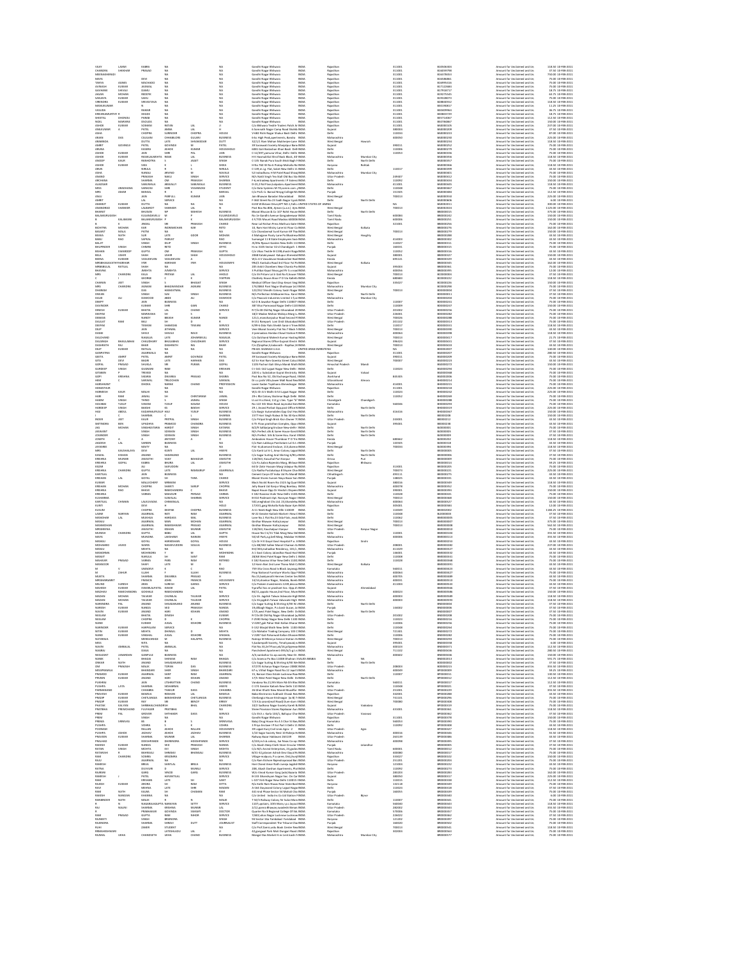| VUAY<br>LAXMI<br>CHANDRA<br>MEENAKH<br>SHEKHA                         | KABRA<br>PRASAD                           | NA                                                                                                            |                                              | NA                                    | Gandhi Nagar Bhilwar<br>INDM                                                                                                                                                                                                                   | Rajastha<br>najasthar<br>Rajasthar<br>Rajasthar  |                                    | 311001                               | 810506304<br>816059798<br>816378453                      | Amount for Unclaimed and Uni                                                                                                                            | 118.50 10-FEB-2011                                                                |
|-----------------------------------------------------------------------|-------------------------------------------|---------------------------------------------------------------------------------------------------------------|----------------------------------------------|---------------------------------------|------------------------------------------------------------------------------------------------------------------------------------------------------------------------------------------------------------------------------------------------|--------------------------------------------------|------------------------------------|--------------------------------------|----------------------------------------------------------|---------------------------------------------------------------------------------------------------------------------------------------------------------|-----------------------------------------------------------------------------------|
| MAYA<br>TANYA<br>AGNES                                                | bevi<br>MACHADO                           | NA<br>NA<br>NA                                                                                                |                                              | NA<br>NA<br>NA                        | INDIA<br>INDIA<br>INDIA<br>Gandhi Nagar Bhilwara<br>Gandhi Nagar Bhilwara<br>INDIA                                                                                                                                                             | Rajasthar<br>Rajasthar                           |                                    | 311001<br>311001<br>311001<br>311001 | 81658686<br>816995416                                    | Amount for Unclaimed and University<br>Amount for Unclaimed and University<br>Amount for Unclaimed and University<br>Amount for Unclaimed and Un        | 37.50 10-FEB-2011<br>50.00 10-FEB-2011<br>75.00 10-FEB-2011<br>75.00 10-FEB-2011  |
| AVINASH<br>KUMAR<br>GAVHANS<br>SHIVAJI                                | <b>JAISWAL</b><br>DAMU                    | NA<br>NA                                                                                                      |                                              | NA<br>NA                              | Gandhi Nagar Bhilwara<br>INDIA<br>INDIA                                                                                                                                                                                                        | Rajasthar<br>taiasthar                           |                                    | 311001<br>311001                     | 817122684<br>817918717                                   | Amount for Unclaimed and Un<br>Amount for Unclaimed and Uni                                                                                             | 75.00 10-FEB-2011<br>18.75 10 FEB 2011                                            |
| .<br>Sanjaya<br>MOHAN<br>KUMAR                                        | REDDYK<br>SAHU                            | NA<br>NA<br>NA<br>NA<br>NA                                                                                    |                                              | NA<br>NA<br>NA<br>NA<br>NA            | Gandhi Nagar Bhilwara<br>Gandhi Nagar Bhilwara<br>Gandhi Nagar Bhilwara                                                                                                                                                                        | najastiva<br>Rajastha<br>Rajastha                |                                    | 311001<br>311001                     | 819275545<br>819328073                                   | Amount for Unclaimed and University<br>Amount for Unclaimed and Un                                                                                      |                                                                                   |
| virendra<br>Manukumar<br>KUMAI                                        | SRIVASTAVI                                |                                                                                                               |                                              |                                       | INDIA<br>INDIA<br>INDIA<br>INDIA<br>Gandhi Nagar Bhilwara<br>Gandhi Nagar Bhilwara                                                                                                                                                             | Rajasthar<br>Rajasthar                           |                                    | 311001<br>311001                     | 828840552<br>830190817                                   | Amount for Unclaimed and Un<br>Amount for Unclaimed and Un                                                                                              | 63.75 10-FEB-2011<br>75.00 10-FEB-2011<br>118.50 10-FEB-2011<br>11.25 10-FEB-2011 |
| VASUDA<br>KRISHNAMI<br>SHEETAL<br>DHONDL                              | RAIKAR<br>HEGDE<br>PARAB                  | NA<br>NA<br>NA                                                                                                |                                              | NA<br>NA<br>NA                        | Gandhi Nasar Bhilwara<br>INDIA<br>Gandhi Nagar Bhilwara<br>Gandhi Nagar Bhilwara<br>INDM<br>INDM                                                                                                                                               | Rajasthan<br>taiasthar<br><b>Raiasthan</b>       |                                    | 311001<br>311001<br>311001           | 830403964<br>830803729<br>835714067                      | Amount for Unclaimed and Uni<br>Amount for Unclaimed and Un<br>Amount for Unclaimed and Un                                                              | 36.75 10-FEB-2011<br>18.75 10 FEB-2011<br>112.50 10 FEB-2011                      |
| NOEL<br>MARVIN<br>KUMAR                                               | <b>psouz</b>                              | na<br>NA<br>BATAN<br>AMBA                                                                                     |                                              | NA                                    | Gandhi Nagar Bhilwara<br>C/o Bhilwara Textile Traders Patch AreNDIA<br>6 Sommath Nagar Camp Road ShahibaNDIA                                                                                                                                   | tajastha                                         |                                    | 311001                               | 850784867                                                | <b>Imount for Unclaimed and Un</b>                                                                                                                      | 150.00 10-FEB-2011                                                                |
| ASHOK<br>ANILKUMAR<br>ASHA                                            | SOMANI<br>PATEL<br>CHOPRA                 | SURINDER                                                                                                      | LAL<br>LAL<br>CHOPRA                         | ii<br>H<br>HOUSE                      | V-682 Rishi Nagar Shakur Basti Delhi INDIA                                                                                                                                                                                                     | Rajasthar<br>Gujarat<br>Delhi                    |                                    | 311001<br>380004<br>110034           | BA0000105<br>BA0000209<br>840000223                      | Amount for Unclaimed and University<br>Amount for Unclaimed and University<br>Amount for Unclaimed and Un                                               | 237.00 10-FEB-2011<br>37.50 10-FEB-2011<br>87.00 10-FEB-2011                      |
| ARIAN<br>DAS<br>ANABINDA                                              | CGULAN<br><b>DUTTA</b>                    | CHHABILORS                                                                                                    | GULANI<br>SHIVAKEDA                          | <b>BUSINESS</b><br>DUTT               | vosz mar wager american kardina INDIA<br>1921/1 Ram Mehan Mekherjes Land INDIA<br>32/1/1 Ram Mehan Mekherjes Lane INDIA<br>39 Saraswall Society Menjalpur BarosWDIA<br>6031 Gali Bastashan Khari Bacil DelhiNDIA<br>0-12/497.yamuna Vihar, De  | Maharashtra<br>West Benga                        | Howrah                             | 400050                               | 840000230<br>840000234                                   | .<br>Amount for Unclaimed and Un<br>Amount for Unclaimed and Un                                                                                         | 225.00 10 FEB-2011<br>118.50 10 FEB-2011                                          |
| <b>AMKT</b><br>GOVIND                                                 | PATEL<br>KASERA                           | covwo.<br>ASHOK                                                                                               | KUMAR                                        | PATEL                                 |                                                                                                                                                                                                                                                | Gujarat                                          |                                    | 390011                               | 840000252                                                | Amount for Unclaimed and Un                                                                                                                             | 75.00 10-FEB-2011<br>75.00 10-FEB-2011                                            |
| ARUNA<br>ASHQI<br>KUMA<br><b>ASHOR</b><br>KUMAR                       | <b>JAJN</b><br>RASIKLALMEHTA              | SHRI<br>RASIK                                                                                                 | PAL<br>LAL                                   | HOUSEHOLD<br><b>BUSINESS</b>          | H K Hasmukhlal Shrof Back Block, 4th/NDIA                                                                                                                                                                                                      | Delhi<br>Delhi<br>Maharashtra                    | Mumbai City                        | 110006<br>110053                     | BA0000279<br>BA0000336<br>840000356                      | Amount for Unclaimed and Un<br>Amount for Unclaimed and Un<br>Amount for Unclaimed and Un                                                               | 75.00 10-FEB-2011<br>118.50 10-FEB-2011                                           |
| ANOCE<br>KALIR<br><b>ASHOR</b><br>KUMAR                               | <b>RANHOTRA</b><br><b>SIKA</b>            |                                                                                                               | IAGET                                        | SINGH<br><b>SIKKA</b>                 | C-135 Nanak Pura South Moti Bagh NNDIA<br>H No. 760 W No. 6 Pratan Mohalla Boltschia                                                                                                                                                           | Delhi                                            | North Delhi<br>Rohtak              |                                      | 840000357<br>840000366<br>840000399                      | Amount for Unclaimed and Un<br>Amount for Unclaimed and Un                                                                                              | 75.00 10-FEB-2011<br>118.50 10 FEB-2011                                           |
| ARUN<br>ASHA<br>ANAND                                                 | .<br>Natula<br>Nanali<br>PRAKASE          | ARVIND<br>NAKLI                                                                                               | SINGH                                        | NINJLA<br>NAVALE<br>SERVICE           | 11 No. 7 No. 8 Paul De Maria Maria Maria 11<br>52 Indradhanu H.M. Patel Road ShivajiNDIA<br>M/s Nakli Singh Tea Stall Old Bus StarNDIA                                                                                                         | Haryana<br>Delhi<br>Maharashtra<br>Uttar Pradesh | Mumbai City                        | 110017<br>249407                     | BAODOAC<br>840000412                                     | Amount for Unclaimed and University<br>Amount for Unclaimed and University<br>Amount for Unclaimed and University                                       | 48.50 10-FEB-2011<br>75.00 10-FEB-2011<br>75.00 10-FEB-2011                       |
| ARCHANA<br>ALIAZGAR                                                   | SHARMA<br>SABUWALA                        | OM<br>ABSEALLY                                                                                                | PRAKASH<br>SABUWALA                          | SHARMA<br><b>BUSINESS</b>             | F-6.mitradeep Apartments I P ExtensioNDIA<br>D-23,2 Nd Floor,kalpataru ApartmentINDIA                                                                                                                                                          | Delhi<br>Maharashtra                             |                                    | 110092<br>411001                     | 840000434<br>840000445                                   | Amount for Unclaimed and Un<br>Amount for Unclaimed and Un                                                                                              | 150.00 10-FEB-2011<br>118.50 10-FEB-2011                                          |
| MISS<br>ARADHANA<br>MIS<br>ANJU<br>AMAR                               | SARAOGI<br>BANSAL<br>IAIN                 | SHRI                                                                                                          | VSSARADGI                                    | STUDENT<br>BANSAL<br>JAIN             | C/o Data Systems M-70.comm.com JINDIA                                                                                                                                                                                                          | Delhi<br>.<br>West Bengal                        |                                    | 110048<br>151505<br>700013           | 840000467<br>BA0000484<br>BA0000550                      | Amount for Unclaimed and Uni<br>Amount for Unclaimed and University<br>Amount for Unclaimed and University                                              | 75.00 10 FEB-2011<br>112.50 10-FEB-2011<br>225.00 10-FEB-2011                     |
| AMRIT<br>AMARIIT                                                      | LAL<br>DUTTA                              | n<br>Partuu<br>SERVICE                                                                                        | .<br>Kumar                                   | NA<br>NA                              | Co Prof.r.k. Bansal Ningg College MathDIA<br>Lain Bhawan Baradari Muradabad — INDIA<br>F-360 Street No 23 Sadh Nagar Ii,palaINDIA<br>F-360 Street No 23 Sadh Nagar Ii,palaINDIA<br>6130 Willstane Drive,APT NO.1,Falls cUNITED STATES OF       | Delhi<br>1 NA                                    | North Delh                         |                                      | BA0000606<br>BA0002011                                   | Amount for Unclaimed and Un<br>Amount for Unclaimed and Un                                                                                              | 6.00 10-FEB-2011<br>300.00 10-FEB-2011                                            |
| KUMAR<br>ANANDRAO<br>SHANKER<br>BHARAT                                | LALBAROT<br>BHUSAN                        | NA<br>SHANKER                                                                                                 | NA<br>LAL<br>MAHESH                          | N<br><b>BUSINESS</b>                  | Post Box No.806, Aiman (u.a.e.) AimaNDIA<br>Bharat Bhusan & Co 107 Rohit House INDIA                                                                                                                                                           | West Bengal<br>Delhi                             | North Delhi                        | NA<br>700013                         | 840002024<br>880000015                                   | Amount for Unclaimed and Un<br>Amount for Unclaimed and Un                                                                                              | 1125.00 10-FEB-2011<br>375.00 10 FEB-2011                                         |
| <b>BALAMURUGESS</b><br>KALAMAN                                        | KULANDAVELU<br><b>BALAMURUGE</b>          | M                                                                                                             |                                              | KULANDAVELO<br>BALAMURUGES            | No 1e Gandhi Awmue Ganzadeeswar/NDV                                                                                                                                                                                                            | <b>Tamil Nadu</b><br>Tamil Nadu                  |                                    | 600084<br>sooon                      | 880000242<br><b>RR000025</b>                             | Amount for Unclaimed and Un<br><b>Imount for Unclaimed and Un</b>                                                                                       | 150.00 10 FEB-2011<br>150.00 10-FEB-2011                                          |
| ВІСНІТВА<br>MOHAN                                                     | IINDAL<br>KAR                             | SR<br><b>INDRAMCHAN</b>                                                                                       | PRAKASH<br>KAR                               | CHAND<br>RETD                         | no ar saman Premar Sangaressanti (1995)<br>Near Lal Nishan Press Mathura Gate BNDIA<br>10, Ram Hari Mistry Lane Ist Floor CalNDIA<br>10, Ram Hari Mistry Lane Ist Floor CalNDIA                                                                | Rajasthan<br>West Bengal                         | Kolkata                            | 321001                               | BB0000256<br>BB0000276                                   | Amount for Unclaimed and University<br>Amount for Unclaimed and University<br>Amount for Unclaimed and University                                       | 75.00 10-FEB-2011<br>162.00 10-FEB-2011                                           |
| BASANT<br>MALA<br>BISWA<br>NATH                                       | PATNI<br>suit                             | NA<br>LATE                                                                                                    | <b>GDOR</b>                                  | NA<br>MOHAN                           | C/o Chandanmal Sunil Kumar 69 TharNDIA                                                                                                                                                                                                         | West Bengal<br>West Bengal<br>Maharashtra        | Hooghly                            | 700013                               | 880000279<br>880000288                                   | Amount for Unclaimed and Un<br>.<br>Amount for Unclaimed and Un<br>Amount for Unclaimed and Un                                                          | 150.00 10-FEB-2011<br>43.50 10 FEB-2011                                           |
| <b>BABU</b><br><b>NAO</b><br>BALIT                                    | SAPKAL<br>SINGH                           | PARVAT<br>DILIP                                                                                               | SINGH                                        | <b>BAD</b><br>BUSINESS                | Crommanman Santi Kuma to BhadresonNDIA<br>Samangal 11 B State Employees SocieNDIA<br>Samangal 11 B State Employees SocieNDIA<br>15/40a Njaron Garden New Delhi 11000104<br>H.no 3105 Sector 32-d Chandigarh 16NDIA<br>C/o Vikas Textile B-119  | Delhi                                            |                                    | 414003<br>110027                     | 880000302<br>880000311                                   | Amount for Unclaimed and Un                                                                                                                             | 43.50 10 FEB-2011<br>75.00 10-FEB-2011                                            |
| SINGH<br>SWARDOI<br><b>BHUPP</b><br>BISHAN<br>BELA<br><b>USHIR</b>    | CHIMN<br>GUPTA<br>SHAH                    | RETD<br>OM<br>USHIR                                                                                           | PRAKASE<br>SHAH                              | OFFIC<br>GUPTA<br>HOUSEHOLD           | 2058 Katakiyawad Kalupur AhmedabNDIA                                                                                                                                                                                                           | Punjab<br>Delhi<br>Gujarat                       |                                    | 160031<br>110052<br>380001           | BB0000315<br>BB0000316<br>880000327                      | Amount for Unclaimed and Un<br>Amount for Unclaimed and Un<br>Amount for Unclaimed and Un                                                               | 75.00 10-FEB-2011<br>43.50 10-FEB-2011<br>150.00 10-FEB-2011                      |
| BEENA<br>KUMARI<br>MISBHAGA<br>HARIHAR                                | VASUDEVAN<br>mER                          | VASUDEVAN<br>HARIHAR                                                                                          | nex                                          | HOUSEWIFE                             | W/o A S Vasudevan Headcashier BankNDIA<br>99d/1 Kankulia Road 3rd Floor Yol PaINDIA                                                                                                                                                            | Kerala<br>West Bengal                            | Kolkata                            | 695141                               | 880000329<br>880000345                                   | Amount for Unclaimed and Un<br>Amount for Unclaimed and Un                                                                                              | 43.50 10-FEB-2011<br>162.00 10 FEB-2011                                           |
| MERAKE A<br><b>BATEAL</b><br>HAVNA                                    | SHAH<br>JMEHTA<br>KALA                    | NA<br>IVMEHTA                                                                                                 |                                              | NA<br>SERVICE<br>HHOLD                | Final American Hotel Channel Portugal<br>205 Ankit Chambers Near Chanta PodNDIA<br>3 Putlibai Kapol Nivas, grd Fir S.v.roadINDIA<br>C/o Sh Pritam Lal Ji Gali No 9,house NNDIA                                                                 | Gujarat<br>Maharashtra<br>West Bengal            |                                    | 395003<br>400056                     | <b>BRODONS</b><br>unnones                                | Amount for Unclaimed and Un<br>Amount for Unclaimed and Un<br>Amount for Unclaimed and Un                                                               | 75.00 10-FEB-2011<br>12.00 10-FEB-2011<br>37.50 10-FEB-2011                       |
| MIS<br>CHANDRA                                                        | GEORGE                                    | PRITAM                                                                                                        | u                                            | <b>IYAPPAN</b>                        | Chathely House Aloor P O Via KallettuNDIA                                                                                                                                                                                                      | Kerala                                           |                                    | 700013<br>680683                     | <b>BCDDDDDD</b><br>BC0000222                             | Amount for Unclaimed and Un                                                                                                                             | 118.50 10-FEB-2011                                                                |
| .<br>иет<br>CHARAN<br>MIS<br>CHANDRA                                  | SINGH<br>AGNANI                           | BHAGWANDAI                                                                                                    | BHAGA1<br>AGNAN                              | SINGH<br><b>BUSINESS</b>              | Medical Officer Govt Disp Kesari SingINDIA                                                                                                                                                                                                     | Rajasthan<br>Maharashtra                         | Mumbai City                        | 335027                               | BC0000226<br>800000298                                   | Amount for Unclaimed and Un<br>Amount for Unclaimed and Uni                                                                                             | 150.00 10-FEB-2011<br>25.00.10.658.2011                                           |
| DHARAM<br>DIWAN<br>ALI<br>DAUD                                        | DAS<br>SINGH<br>DAWOOD                    | HASMATMAL<br>SJAI                                                                                             | sindh<br>AΠ                                  | BUSINESS<br>DAWOOD                    | Mexical Omber soon unig Mexica State<br>174/4863 Parit Nagar Ghabbopar (e) BNDIA<br>172/552 Shindhi Colony Sastri Nagar JNDIA<br>M/s Perfection Silk&iaree Hou. Kienel NDIA<br>62 O B Jawahar Nagar Dalhi 110007 BNDIA<br>62 O B Jawahar Naga  | West Bengal<br>Delhi<br>Maharashtra              | North Delhi<br>Mumbai City         | 700013                               | BD0000004<br>BD0000011                                   | Amount for Unclaimed and University<br>Amount for Unclaimed and University                                                                              | 37.50 10-FEB-2011<br>75.00 10-FEB-2011                                            |
| DIMPY<br><b>DAVINDER</b>                                              | <b>JAJN</b><br>KUMAR                      | ABDE<br>BUSINESS<br>SHRI                                                                                      | GIAN                                         | NA.<br>CHAND                          | 387 Ehai Parmanad Nagar Delhi-1100NDIA                                                                                                                                                                                                         | Delhi<br>Delhi                                   |                                    | 110007<br>110009                     | BD0000204<br>BD0000241<br>8D0000247                      | Amount for Unclaimed and Un<br>Amount for Unclaimed and Un<br>Amount for Unclaimed and Un                                                               | 75.00 10-FEB-2013<br>150.00 10-FEB-2011                                           |
| DINESH<br>KUMAR<br>DEEPAN                                             | BHATIA<br>MARWAHA                         | LAL<br>SH                                                                                                     | CHAND                                        | SERVICE                               | R-7/b-28 Old Raj Nagar Ghaziabad 20/NDIA<br>18/2 Madan Mohan Mahiva Mare LufNDIA                                                                                                                                                               | Uttar Pradesi<br>Uttar Pradesh                   |                                    | 201002<br>226001                     | 800000256<br>800000282                                   | Amount for Unclaimed and Un<br>Amount for Unclaimed and Un                                                                                              | 75.00 10 FEB-2011<br>75.00 10 FEB 2011                                            |
| DEBASIS<br><b>BAM</b><br>DAULAT                                       | NANDY<br>BALI<br>TEWANI                   | <b>UKASH</b><br>SH<br>SHAMDAS                                                                                 | KUMAR<br>D<br>TEWANI                         | NANDI                                 | 18/2 Matam Monan Maraya Marg Luivius<br>121/c, mancharpukur Road Second FIINDIA<br>8-151 Rampark Lori Distt Ghaziabad INDIA<br>K/99-b Dda Flats Sheikh Sarai-ii TriweNDIA                                                                      | West Bengal<br><b>Uttar Pradesi</b>              |                                    | 70002<br>201102                      | <b>BDDDDD28</b><br>BD0000313<br>BD0000331                | Amount for Unclaimed and Un<br>Amount for Unclaimed and University<br>Amount for Unclaimed and University<br>Amount for Unclaimed and University        | 75.00 10-FEB-2011<br>75.00 10-FEB-2011<br>118.50 10-FEB-2011                      |
| DEEPAK<br>DILIP                                                       | <b>JAIN</b>                               | JETHMAI                                                                                                       |                                              | R<br>SERVICE<br>SERVICE               | Veer Bharat Society Flat No.7 Block NINDIA                                                                                                                                                                                                     | Delhi<br>West Bengal                             |                                    | 110017<br>700013                     | 8D0000390                                                | Amount for Unclaimed and Un                                                                                                                             | 43.50 10 FEB-2011                                                                 |
| DAMI<br>DALOHAND<br>DALSINGH<br>BHAULA                                | SHIVJI<br>NAGALIA<br><b>CHAUDHAR</b>      | SHIVAIL<br>LATE<br>$\begin{bmatrix} 1 \\ 0 \\ 1 \end{bmatrix} \begin{bmatrix} 1 \\ 0 \\ 0 \\ 0 \end{bmatrix}$ | <b>BAVJI</b><br><b>JOHARMULL</b><br>CHAUDHAN | <b>BUSINESS</b><br>NAGALIA<br>service | .<br>2-jamnadass Haridas Chawl Station RINDIA<br>C/o Dalchand Mahesh Kumar Hasting/NDIA<br><b>Ingional Stores Office Gujarat Electri INDIA</b>                                                                                                 | Maharashtra<br>West Bengal<br>Gujarat            |                                    | 400064<br>700013<br>395424           | 800000398<br>800000417<br>8D0000433                      | .<br>Amount for Unclaimed and Un<br>Amount for Unclaimed and Un<br>Amount for Unclaimed and Un                                                          | 118.50 10 FEB-2011<br>21.75 10 FEB-2011<br>37.50 10-FEB-2011                      |
| DASHRATH<br>DILIP<br>raj<br>Kumar                                     | BHAR<br>RATILAL                           | DASHRATH<br>NA                                                                                                | RAJ<br>NA                                    | BHAR<br>NA                            |                                                                                                                                                                                                                                                | West Bengal<br>ENA                               |                                    | 700013                               | BD0000433<br>BD000200                                    | Amount for Unclaimed and Un<br>Amount for Unclaimed and Un                                                                                              | 43.50 10-FEB-2011<br>140.00 10-FEB-2011                                           |
| GANPATRA<br>GEETA<br>AMRIT                                            | AGARWALA<br>PATEL                         | NA<br>AMRIT                                                                                                   | GOVINDJ                                      | NA<br>PATEL                           | Gandhi Nagar Bhilwara<br>39 Saraswati Society Manjalpur BarosNDIA                                                                                                                                                                              | Rajasthar<br>Gujarat                             |                                    | 311001<br>390011                     | BG0000207<br>800000209                                   | Amount for Unclaimed and Un<br>Amount for Unclaimed and Un                                                                                              | 280.50 10-FEB-2011<br>75.00 10-FEB-2011                                           |
| GITA<br><b>DEVI</b><br>.<br>GURDEEP<br>PRASAD<br>SINGH                | <b>BAGRI</b>                              | LATE                                                                                                          | HARHAN<br>PURAN                              | DAS<br>GOPAL<br>KRISHAN               | 42 Sir Hari Ram Goenka Street CalcuttINDIA                                                                                                                                                                                                     | West Beneal                                      |                                    | 700007                               | 800000223<br>BODDD27                                     | Amount for Unclaimed and Un                                                                                                                             | 43.50 10 FEB-2011<br>150.00 10 FEB-2013                                           |
| GITABEN                                                               | SHUKLA<br>GUGNAN<br>TRIVEDI               | SRI<br>RAM<br>NA                                                                                              |                                              | NA                                    | 42 Sir Hari Rüm Gəmirə Xiret CatoulPuble<br>1105 Pachori Gali Ghiya Məndi MəthiNDIA<br>C-151-162 Lajpat Nagar New Delhi 3NDIA<br>220 K.v. Sabstaton Gujrat Electrichy INDIA<br>Post Box No 52, Old Exchange Road, INDIA<br>Dr.s.c.joshi Villa  | Himachal Pra<br>Delhi<br>Gujarat                 | Valsad                             | 110024                               | 800000368                                                | Amount for Unclaimed and Un<br>Amount for Unclaimed and Un<br>Amount for Unclaimed and Un                                                               | 75.00 10-FEB-2011<br>75.00 10-FEB-2011                                            |
| GOP!<br>HEM<br>KINSHNA<br>HARSHKANT                                   | SIKARIA<br>SANWAL<br>DHOKA                | DWARKA<br>TRLOCHAN<br>NARAK                                                                                   | PRASAD<br>CHAND                              | SIXARIA<br>SANWAL<br>PROFESSION       | Liomi Sadan Topkhana Ahmednagar (NDIA                                                                                                                                                                                                          | Jharkhand<br>Uttarakhand<br>Maharashtra          | Almora                             | 845305<br>414001                     | BG0002006<br>BH0000214<br>BH0000215                      | Amount for Unclaimed and Un<br>Amount for Unclaimed and Un<br>Amount for Unclaimed and Uni                                                              | 75.00 10 FEB-2011<br>75.00 10-FEB-2011<br>75.00 10 FEB-2011                       |
| HARSHAND<br>HOMATHUR<br>HARMESH                                       | MALHI                                     | NA<br>NA                                                                                                      |                                              | NA<br>NA<br>JAMAL<br>Gudu             |                                                                                                                                                                                                                                                | Rajasthar<br>Delhi                               |                                    | 311001<br>110024                     | BH0000218<br>BH0000242                                   | Amount for Unclaimed and University<br>Amount for Unclaimed and University                                                                              | 225.00 10-FEB-2011                                                                |
| KALIR<br>RAM<br>SINGP<br>HARI<br>HAKIM                                | <b>JAMAL</b><br>THING                     | \$H                                                                                                           | CHINTARAN<br><b>JAIMA</b>                    | SINGH                                 | Candhi Nagar Bhihaara<br>Wo Sh G S Malhi G-53 Lajpat Nagar -NDIA<br>29-c Rhi Colony Shalimar Bagh Delhi JNDIA<br>Lt.col H.s.third, 112.g L Ses. Type "b" INDIA<br>Lt.col H.s.third, 112.g L Ses. Type "b" INDIA                                | Delhi<br>Chandigarh                              | Chandigart                         | 110052                               | BH0000269<br>BH0000288                                   | Amount for Unclaimed and Un<br>Amount for Unclaimed and Un                                                                                              | 75.00 10-FEB-2011<br>75.00 10-FEB-2011                                            |
| HAVABAI<br>YUSUF<br>HARDEEP<br>SINGH                                  | SIWANI<br>BAKSHI                          | YUSU!<br>KS.                                                                                                  | KASAM<br>BAKSHI                              | HOUSE<br>SERVICE                      | No 122 5th Main Road Jaymahal ExteNDIA<br>.<br>29 J, Anand Parbat Opp.post Office NINDIA<br>C/o Bargir Automobiles Opp Civil HoseNDIA                                                                                                          | Kamataka<br>Delhi                                | North Delhi                        | 560046                               | BH0000293<br><b>BH0000319</b>                            | Amount for Unclaimed and Un<br>Amount for Unclaimed and Un                                                                                              | 75.00 10-FEB-2011<br>225.00 10 FEB-2011                                           |
| HAIL<br><b>ABDUL</b>                                                  | KADARHAITR<br>SHARMA                      | HAIL                                                                                                          | nsur                                         | <b>BUSINESS</b><br>SHARMA             | Crowing Passensees Opp Can respirate<br>1577 Hari Singh Nalwa St No. 30 KarolNDIA<br>6 Th Floor pratisthan Complex, Opp:sINDIA<br>6 Th Floor pratisthan Complex, Opp:sINDIA                                                                    | Maharashtra<br>Delhi                             | North Delh                         | 416416                               | <b>BH0000367</b><br><b>BODDD20</b>                       | Amount for Unclaimed and Un<br>Amount for Unclaimed and University<br>Amount for Unclaimed and University<br>Amount for Unclaimed and University        | 150.00 10-FEB-2011<br>150.00 10-FEB-2011                                          |
| <b>JEET</b><br>INDER<br><b>SMTINDRA</b><br>BEN<br><b>JAG</b><br>MOHAN | KALIR<br>UPADHYA<br>SINGHKATARIA          | PRITPAL<br>PRAMOD<br>HARDIT                                                                                   | SINGH<br>CHANDRA<br>SINGH                    | BUSINESS<br>BUSINESS<br>KATARIA       | B/2/9 Safdarjang Enclave New-delhi-1NDIA                                                                                                                                                                                                       | <b>Uttar Prades</b><br>Gujarat<br>Delhi          | North Delhi                        | 243001<br>395001                     | 80000212<br>80000238<br>8J0000001                        | Amount for Unclaimed and Un                                                                                                                             | 43.50 10-FEB-2011<br>43.50 10-FEB-2011<br>75.00 10 FEB-2011                       |
| JASWANT<br>JOGINDER                                                   | SINGH<br>SINGH                            | SDIWAN<br>SDIWAN                                                                                              | SINGH<br>SINGH                               | <b>BUSINESS</b><br><b>BUSINESS</b>    | M/s Perfect.slik & Saree House KarolisNDIA<br>M/s Prefect. Silk & Saree Hou. Karol BNDIA                                                                                                                                                       | Delhi<br>Delhi                                   | North Delhi<br>North Delhi         |                                      | 810000005<br>830000001                                   | .<br>Amount for Unclaimed and Un<br>Amount for Unclaimed and Un                                                                                         | 37.50 10 FEB-2011<br>37.50 10 FEB 2011                                            |
| <b>JOSEPH</b><br>ïм.                                                  |                                           | ANTONY<br><b>BUSINESS</b>                                                                                     |                                              |                                       | Ambooken House Thumboor P O TrichNDIA<br>C/o Ram Labhaya Parshotam Lal G.t.HNDIA<br>Flat-6i,diamond Enclawi, 113,diamorINDIA                                                                                                                   | .<br>Kerala                                      |                                    | 680662<br>143505                     | 810000202<br>8J0000318<br>8J0000396                      | Amount for Unclaimed and Un                                                                                                                             | 118.50 10-FEB-2011<br>48.50 10-FEB-2011<br>118.50 10-FEB-2011                     |
| JAGOISH<br>JAYASREE<br>MIS<br>KAUSHALAYA                              | MAITY<br>DEVI                             | KUNTI                                                                                                         | LAL                                          | NA<br>NA<br>HWIFE                     | C/o Kanti Lal 6-1, Amar Colony LajpatINDIA                                                                                                                                                                                                     | Punjab<br>West Bengal<br>Delhi                   | North Delhi                        | 700034                               | <b>BKD000005</b>                                         | Amount for Unclaimed and Un<br>Amount for Unclaimed and Un<br>Amount for Unclaimed and Un                                                               | 37.50 10-FEB-2011                                                                 |
| KAWAL<br>KISHAN<br>KRISHNA<br>MURARI                                  | ANAND<br>AWASTHI                          | SADANAND<br>VIJAY                                                                                             | BAHADUR                                      | <b>BUSINESS</b><br>AWASTH             | C/o Sagar Suiting And Shirting 6/90, wNDIA<br>118/563, Kasushal Puri Kangur<br>INDIA                                                                                                                                                           | Delhi<br>Orissa                                  | North Delhi<br>Puri<br>.<br>Milaas |                                      | 8K0000006<br>880000009<br>sentonos.                      | Amount for Unclaimed and Un<br>Amount for Unclaimed and Un                                                                                              | 37.50 10 FEB 2011<br>75.00 10 FEB-2011                                            |
| KRISHNA<br>GOPAL<br>KEZAR<br>KRISHNA<br>CHANDRA                       | KABRA<br><b>GUPTA</b>                     | EHURA<br>SAIFUDDIN<br>LATE                                                                                    | щ<br>RAMSARU                                 | AWASTHI<br><b>AGARWAL</b>             | Co R.s. kabra Rajendra Marg, BhilwariNDIA<br>64 Dr Zakir Hussain Marg, Udaipur RajNDIA<br>C/o Radha Pustakalaya 8 Shyam CharlNDIA                                                                                                              | Rajasthan<br>Rajasthan<br>West Bengal            |                                    | 313001<br>700073                     | skonnon?<br>880000221                                    | Amount for Unclaimed and Un<br>Amount for Unclaimed and Un<br>Amount for Unclaimed and Un                                                               | 59.25 10-FEB-2011<br>75.00 10-FEB-2011<br>225.00 10-FEB-2011                      |
| KANTILAL<br>LAL<br>KRISHAN                                            | <b>JAIN</b><br>GOYAL                      | <b>BUSINESS</b><br>\$H                                                                                        | TARA                                         | NA.<br>CHAND                          | Cement Corpn Of India Ltd Po MandhINDIA<br>Bharat Stores Sunam Naya Bazar SonJNDIA                                                                                                                                                             | Chhattisgart<br>Punjab                           |                                    | 493111<br>148025                     | BK0000275<br>BK0000331                                   | Amount for Unclaimed and Un<br>Amount for Unclaimed and Un                                                                                              | 43.50 10-FEB-2011<br>43.50 10 FEB-2011                                            |
| KUMAR<br>KRIŠHAP<br>KRIŠHNJ<br>MOHAN                                  | MALLECHERY                                | MRMANI<br>SHANTI<br>RAMCHANDR                                                                                 | SARLD                                        | SERVICE                               | Block No.64 Room No 1523 Ag QuartINDIA                                                                                                                                                                                                         | Guiarat                                          |                                    | 380016<br>400078<br>390001           | 880000349<br>BK0000352<br>BK0000394                      | Amount for Unclaimed and Uni                                                                                                                            | 118.50 10 FEB-2011                                                                |
| KRISMAA<br>KRISMAA<br>KLSHARAA                                        | CHOPRA<br>BHAVE<br>VARMA                  |                                                                                                               | PERSAD                                       | CHOPIU<br>BHAVE<br>VARMA<br>SERVICE   | usuka masa katalung Bernbay MDIA<br>Bapat House Opp Dr Hindia's DispensiNDIA<br>E 182 Naraina Viahr New Delhi 11002NDIA<br>B-310 Padmaxti Apt. Narayan Nagar BNDIA                                                                             | uujarin<br>Maharashtra<br>Gujarat                |                                    | 110028                               | 8K0000431                                                | Amount for Unclaimed and Uni<br>Amount for Unclaimed and Uni<br>Amount for Unclaimed and Un<br>Amount for Unclaimed and Un                              | 75.00 10-FEB-2011<br>150.00 10-FEB-2011<br>75.00 10-FEB-2011                      |
| KANTILAL<br>CHIMAN                                                    | LALKUVADIA                                | MAHAVIR<br>SUWALAL<br>CHMANLAI                                                                                | SHARMA                                       | NA.                                   | 502, meghdoot Chs Ltd. 23, khandelwaNDIA                                                                                                                                                                                                       | Delhi<br>West Bengal<br>Maharashtra              |                                    | 700013<br>400054                     | BK0000464<br>BK0000527                                   | Amount for Unclaimed and Un                                                                                                                             | 150.00 10-FEB-2011<br>43.50 10-FEB-2011                                           |
| KUNTI<br>KUSUM<br>NARYAN                                              | DEVI<br>СНОРВА<br><b>AGARWAI</b>          | DEEPAK                                                                                                        | CHOPRA                                       | HOLD<br>BUSINESS                      | 17/431 garg Mohalla Nala Bazar AjmeNDIA<br>A-11 Neeti Bagh New Dihi 110049 NDIA                                                                                                                                                                | Rajasthan<br>Delhi                               |                                    | 305001<br>110045<br>110048           | BKDDDDSB4<br>880002002<br>RI000003                       | Amount for Unclaimed and Un<br>Amount for Unclaimed and Un                                                                                              | 12.00 10 FEB-2011<br>1184.25.10.FFR.2011                                          |
| LAXMI<br>MANOHAR<br>MANJU<br>LAL                                      | MUKHUA<br>AGARWAL                         | RATI<br>HARDASS<br>MAN                                                                                        | END NA                                       | AGARWAL<br>BUSINESS<br>AGARWAL        |                                                                                                                                                                                                                                                | Delhi<br>Delhi<br>West Bengal                    |                                    | 110062<br>700013                     | BM0000005<br>BM0000007                                   | <b>Imount for Unclaimed and Un</b><br>Amount for Unclaimed and University<br>Amount for Unclaimed and University<br>Amount for Unclaimed and University | 37.50 10-FEB-2011<br>37.50 10-FEB-2011<br>37.50 10-FEB-2011                       |
| MANMOHAN<br>MISMEENA                                                  | AGARWAL<br>NWASTHE                        | <b>BAMESHWAI</b><br>KISHAN                                                                                    | PRASAD<br>MURARE                             | <b>AGA/tWAL</b><br>AWASTH             | Girdhar Bhawan Hatta,kanpur<br>INDIA                                                                                                                                                                                                           | West Bengal<br>Uttar Pradesh                     | <b>Kanpur Naga</b>                 | 700013                               | <b>BM0000008</b><br>BM0000010                            | Amount for Unclaimed and Un                                                                                                                             | 562.50 10-FEB-2011<br>25.00.10.658.2011                                           |
| MUNISH<br>CHANDRA<br>MAYA                                             | <b>GUPTA</b><br><b>MUNDRA</b>             | BABU<br>LAKSHAMI                                                                                              | ue.<br>VARAIN                                | GUPTA<br>HWIFE                        | 118/563, Kaushalpuri Karpur MDIA<br>House No C-ii/31 Tilak Marg New DellNDIA<br>50,hill Park,a.g.bell Marg, Malabar HillNDIA                                                                                                                   | Delhi<br>Maharashtra                             |                                    | 110001                               | BM0000104<br>BM0000119                                   | .<br>Amount for Unclaimed and Un<br>Amount for Unclaimed and Un<br>Amount for Unclaimed and Un                                                          | 355.50 10 FEB-2011<br>355.50 10-FEB-2011                                          |
| MANGU<br>MOHAMED<br>JAVED                                             | GOYAL<br>WARIS                            | HARIKISHAN<br>NASEEVUDE                                                                                       | GOYAL<br>SOLEJA                              | HOUSE<br><b>BUSINESS</b>              | C/o Dr H K Goyal Govt Hospital P.o. AINDM<br>C/o 88/382 Safeer Marzil Chaman GaNDM                                                                                                                                                             | Rajasthan<br>Uttar Pradesi                       | Sirohi                             | 208001                               | BM0000253<br>BM0000282                                   | Amount for Unclaimed and Un<br>Amount for Unclaimed and Un                                                                                              | 43.50 10-FEB-2011<br>237.00 10-FEB-2011                                           |
| MANJU<br>MANORMA<br>MANAT                                             | MEHTA<br><b>MOHINDRA</b><br><b>NARULA</b> | NA                                                                                                            | M<br>SANT                                    | NA<br>MOHNDRA<br>RAM                  | 8-4/304 mahadkar Residency, 101/c.rNDM<br>A 1 Govt Colony Jalandhar Road HoshINDIA                                                                                                                                                             | Maharashtra<br>Punjab<br>Delhi                   |                                    | 411029<br>146001<br>110008           | BM0000327<br>BM0000332<br>BM0000341                      | Amount for Unclaimed and Un<br>Amount for Unclaimed and Uni<br>Amount for Unclaimed and Un                                                              | 43.50 10-FEB-2011<br>43.50 10 FEB-2011<br>75.00 10 FEB-2011                       |
| MAHAVIE<br>PRASAD                                                     | <b>ABBAA</b>                              | \$H<br>PARS<br>LATE                                                                                           | RAM<br>M                                     | RETIRED                               | 28/68 West Patel Nagar New Delhi 13NDIA<br>E 182 Naraina Vihar New Delhi 11002NDIA<br>12 Harin Bari 2nd Lane Thana Mali CaNDIA<br>759 33a Cross Road Iv Block JayanagaNDIA                                                                     | .<br>West Bengal                                 | Kolkata                            | 110028                               | <b>BMODOOSS</b><br>850000089                             | Amount for Unclaimed and University<br>Amount for Unclaimed and University<br>Amount for Unclaimed and University                                       | 75.00 10-FEB-2011<br>43.50 10-FEB-2011<br>43.50 10-FEB-2011                       |
| ZAHUR                                                                 | YAWAN<br>SHAFI<br>UMADEVI<br>LLAHI        |                                                                                                               | <b>ILLAHI</b>                                | CAR<br><b>BUSINESS</b>                | Prop National Furniture Works Opp NNDIA                                                                                                                                                                                                        | Kamataka<br>Maharashtra                          |                                    | 560011<br>400054                     | BM0000423<br>BM0000427                                   | Amount for Unclaimed and Un                                                                                                                             | 75.00 10-FEB-2011                                                                 |
| MUKTA<br>MISMARGARET                                                  | SHARMA<br><b>FRANCIS</b>                  | <b>DWARIKA</b><br>JOHN                                                                                        | PRASAD<br><b>FRANCIS</b>                     | HOUSEWIFE                             | No.15, baidyanath Hermes Center SecINDIA<br>14/14, sharkar Nagar, Wadala, BombaNDIA                                                                                                                                                            | Maharashtra<br>Maharashtra                       |                                    | 400705<br>400031                     | BM0000489<br><b>BM0000510</b>                            | Amount for Unclaimed and Un<br>Amount for Unclaimed and Uni                                                                                             | 43.50 10-FEB-2011<br>75.00 10 FEB-2011                                            |
| MILIND<br>MAHESE<br>SURESH                                            |                                           | SURESI<br>ISWAR                                                                                               | garas<br>Lal                                 | SERVICE<br>PATEL                      | C/o Prakem Investments 1249, deccariNDM<br>9. prafful Soc.nr.prashant Soc. Opp.shiNDM<br>9. prafful Soc.nr.prashant Soc. Opp.shiNDM                                                                                                            | Maharasht<br>Gujarat                             |                                    | 41100                                |                                                          | <b>Amount for Unclaimed and Unit</b><br>Amount for Unclaimed and Uni                                                                                    | 43.50 10-FEB-2011                                                                 |
| MADHAV<br>MADAN<br>RAMCHA<br>MOHAN<br>MADAN<br>MOHAN                  | GOKHALE<br>TALWAR<br><b>TALWAR</b>        | RAMCHAN<br>CHUNILAL<br>CHUNILAL                                                                               | TALWA<br>TALWAR                              | NA<br>SERVICE<br>SERVICE              | 84/11, appolo House, 2nd Floor, MumINDIA<br>C/o Sh. Jagdish Talwar Advocate HighINDIA<br>C/o Sh.jagdish Talwar Advocate High INDIA                                                                                                             | Maharashtra<br>Maharashtra<br>Maharashtra        |                                    | 400023<br>400003<br>400003           | <b>BM0000586</b><br><b>BM0000589</b><br><b>BM0000593</b> | Amount for Unclaimed and Un<br>Amount for Unclaimed and Un<br>Amount for Unclaimed and Un                                                               | 150.00 10 FEB-2011<br>118.50 10-FEB-2013<br>118.50 10-FEB-2011                    |
| NARENDRA<br>PAL<br>NARESH<br>KUMAR                                    | ANAND<br>NANDA                            | SHSADANAND<br>VED                                                                                             | ANAND<br>PRAKASH                             | <b>BUSINESS</b><br>NANDA              | C/o Sagar Suiting & Shirting 6/90 W. INDIA<br>19,dibagh Nagar, P.o.basti Guzan, JaliNDIA                                                                                                                                                       | Delhi<br>Punjab                                  | North Delhi                        | 144002                               | BN0000004<br>BN0000006                                   | Amount for Horlaimed and Un<br>mount for Unclaimed and Un                                                                                               | 37.50 10 FEB-2011<br>37.50 10 FEB 2011                                            |
| NAVIN<br><b>KUMA</b><br>NEELAN                                        | <b>ANANO</b><br>BHATM                     | HABI<br>DINESH                                                                                                | KISHAN                                       | ANAND<br>KUMAR                        | 17/5, west Patel Nagar, New Delhi DelNDIA<br>8-7/5-28 Old Naj Nagar Ghaziabad (upNDIA<br>8-2590 Netaji Nagar New Delhi 11003NDIA                                                                                                               | <b>Uttar Pradesh</b>                             | North Delh                         | 201002                               | <b>BMODDOOD</b>                                          | Imount for Unclaimed and Un                                                                                                                             | 37.50 10-FEB-2011<br>75.00 10-FEB-2011                                            |
| NEELAM<br>NAND                                                        | CHOPRA<br>KUMAR                           | JUGAL                                                                                                         | KISHORE                                      | CHOPRA<br><b>BUSINESS</b>             | V-2287 gali Pahar Wali Kallan DharantNDIA                                                                                                                                                                                                      | Delh<br>Delhi                                    |                                    | 110023<br>110006                     | BN0000216<br>BN0000256                                   | Amount for Unclaimed and Un<br>Amount for Unclaimed and Un<br>Amount for Unclaimed and Uni                                                              | 75.00 10-FEB-2011<br>75.00 10-FEB-2011                                            |
| <b>NANINDER</b><br>KUMAR<br>NITIN<br>KUMAR<br>NAND                    | HARPALANI<br>MEHTA<br>GNISHAL             | SERVICE<br>DHIMAIL                                                                                            | b.<br><b>KSHOM</b>                           | NA.<br><b>MEHTA</b>                   | E-132 Masjid Moth New Delhi 11004NDIA<br>C/o Mahabir Trading Company 103 CINDIA                                                                                                                                                                | Delhi<br>West Bengal                             |                                    | 110048<br>721301                     | <b>BN0000264</b><br>BN0000272<br><b>BNOODD283</b>        | Amount for Unclaimed and Uni<br>America for Hockinsed and Un                                                                                            | 75.00 10 FEB-2011<br>75.00 10 FEB 2011<br>75.00 10-FEB-2011                       |
| KUMA<br>NATARAJA                                                      | MERAVANIGI                                | <b>JUGAL</b><br>м                                                                                             | <b>HALAPPA</b>                               | SINGHAL<br>BUSINESS<br>NA             | V 2287 Gali Paharwali Kallan Dharam/NDIA<br>.<br>Natraja M Minerya Service Station HdNDIA<br>5./sadampalli Society, Timaliyawad,naINDIA                                                                                                        | Delhi<br>West Bengal                             |                                    | 700013                               | BN0000293                                                | Amount for Unclaimed and Un<br>Amount for Unclaimed and Un                                                                                              | 75.00 10-FEB-2011<br>6.00 10-FEB-2011                                             |
| MISS<br>NAVIN<br>AMBALAL<br><b>NAGRAJ</b>                             | NITA<br>PATEL<br>DAGA                     | AMBALAL<br>NA                                                                                                 |                                              | NA<br>NA                              | Flat No.33,2nf Floor,a6/16,jollyjeevarINDIA<br>Panchsheel Apartment 493/b/1-g.t.rolNDIA                                                                                                                                                        | Gujarat<br>Maharashtra<br>West Bengal            |                                    | 395001<br>400103<br>711102           | <b>BNO000358</b><br>BN0000371<br><b>BN0000436</b>        | Amount for Unclaimed and Un<br>Amount for Unclaimed and Un<br>Amount for Unclaimed and Uni                                                              | 112.50 10 FEB-2011<br>280.50 10-FEB-2011                                          |
| NEELKANT<br><b>JANARDAN</b>                                           | GANPLILE<br>BHAGIA<br>AN AND              | <b>BUSINESS</b><br>SHEWAK<br>SHSADANAND                                                                       | <b>RAM</b>                                   | NA                                    | A/3.nankyihar Co.op.society Near Dr.(NDIA<br>, Aramco Po Box 11008 Dhahran 35AUDI ANABIA<br>5 Aramco Po Box 11008 Dhahran 35AUDI ANABIA<br>5 Sagar Suiting & Shirting 6/90 WeINDIA                                                             | Maharashtra                                      |                                    | 400602                               | <b>BN0000446</b><br>BN0002013                            | Amount for Unclaimed and Un                                                                                                                             | 150.00 10 FEB-2011                                                                |
| NANIK<br>ONKAR<br>.<br>NATH<br><b>PRAKASE</b><br>OM                   | MALIK                                     | TOPAN                                                                                                         | DAS                                          | BHAGIA<br>BUSINESS<br>BUSINESS        | 37/270 Acharya Nagar Kanpur 20800/NDIA                                                                                                                                                                                                         | NA<br>Delhi<br><b>Uttar Pradesi</b>              | corth Delh                         | 208003                               | innnn<br>800000215                                       | Amount for Unclaimed and University<br>Amount for Unclaimed and University<br>Amount for Unclaimed and University                                       | 591.75 10-FEB-2011<br>37.50 10-FEB-2011<br>355.50 10-FEB-2011                     |
| MISSPRAMILA<br>PRAMOD<br>KUMAR                                        | BHANDARI<br>AGARWAL                       | SHER<br>SANT                                                                                                  | SINGH<br>RAM                                 | <b>BHANDAR</b><br><b>AGA/tWAL</b>     | 67-a, Vithal Nagar Road No.12 Jypd SINDIA<br>15, Bansari Dass Estate Lucknow RoadNDIA                                                                                                                                                          | Maharashtra<br>Delhi                             |                                    | 400049<br>110007                     | BP0000009<br>8P0000011                                   | Amount for Unclaimed and Un<br>Amount for Unclaimed and Un                                                                                              | 59.25 10 FEB-2011<br>130.50 10-FEB-2011                                           |
| PRVEEN<br>KUMAR<br>PUKHRAJ<br>PUSHPA                                  | <b>CIANA</b><br>iain<br>Sharma            | HARI<br>LTSHRATTAN<br>SKSHARMA                                                                                | KISHAN<br>CHANE                              | ANAND<br>BUSINESS<br>HWIFE            |                                                                                                                                                                                                                                                | Delhi<br>Kamataka<br>Delhi                       | North Delhi                        | 560011<br>110048                     | 8P0000012<br>BP0000017<br>BP0000021                      | Amount for Unclaimed and Uni<br>Amount for Unclaimed and Un<br>Amount for Unclaimed and Un                                                              | 112.50.10.658.2011<br>112.50 10-FEB-2011<br>37.50 10-FEB-2011                     |
| LATA<br>PARMANANI<br><b>KUMA</b>                                      | CHHABRA<br>ALIWAB                         | THAKUR<br>ROSHAN                                                                                              | DASS                                         | CHHABIS<br>BAWEJA                     | $12,$ paman usas Estate uscense means<br>$12/7$ S West Patel Nagar New Delhi DelNDIA<br>Vandana No.21,9th Main Rd 4th BlociNDIA<br>$C$ 274 Greate Kaliah New Delhi 110 NDIA<br>26 Gher shatti New Mandi Muzafir INDIA<br>Baba Electronics Subh | <b>Uttar Pradesi</b>                             |                                    | 251001<br>342001                     | BP0000229<br>BP0000288                                   | Amount for Unclaimed and Un<br>Amount for Unclaimed and Un                                                                                              | 355.50 10-FEB-2011<br>43.50 10-FEB-2011                                           |
| PRAVESH<br>PRADIP<br>KUMAR<br>PRADI<br>KUMAR                          | CHETLANGIA<br><b>BAY</b>                  | BANSHIDHA<br>SRI.                                                                                             | щ<br>CHETLANGIA<br>BENOY                     | <b>BUSINESS</b><br>KRRAY              | Chetlangia House Krishnagar (w B) 74NDIA<br>7/3 K.b.saranifmall Road) Dum-dum ONDIA                                                                                                                                                            | Rajasthan<br>West Bengal<br>West Bengal          |                                    | 741101<br>700080                     | 8P0000296<br>8P0000308                                   | Amount for Unclaimed and Un<br>Amount for Unclaimed and Un                                                                                              | 75.00 10 FEB-2011<br>75.00 10 FEB-2011                                            |
| PHATAK<br>KALYAN<br>PRATIBIV<br>PREMO                                 | GERMANY<br><b>FULFAGER</b>                | PRATIBH                                                                                                       | <b>BHAL</b>                                  | CHANDRA                               | 10/2 Sadhana Nagar Society Kareli BalNDM                                                                                                                                                                                                       | Guiarat<br>Maharashtra                           | Markerkan                          | 431001                               | 8P0000319<br><b>BRODONS</b>                              | <b>Immered for Unclaimed and Un</b><br>Imount for Unclaimed and Un                                                                                      | 75.00 10-FEB-2011<br>118.50 10-FEB-2011                                           |
| PREM<br>PAL<br>PREM                                                   | GROVER<br>SINGH                           | SHTHAKER<br>NA                                                                                                | DASS                                         | NA<br>SERVICE<br>NA.                  | Shree Provision Stores Rajabazar AurulNDIA<br>C/o Sh.h.r. Karla 104/1, Ballupur ChovNDIA<br>dhi Nagar Bhilwari<br>INDV                                                                                                                         | <b>Uttar Pradesh</b><br>Rajasthan                |                                    | 311001                               | BP0000362<br>BP0000378                                   | Amount for Unclaimed and Un<br>Amount for Unclaimed and Un                                                                                              | 37.50 10-FEB-2011<br>150.00 10-FEB-2011                                           |
| PREMA<br>SRINIVAS<br>PUSHPA                                           | ts.<br>VOHRA                              |                                                                                                               | ś                                            | SRINIVASA<br>VOHRA                    | Balaji Drug House Ho A S Char St Banj/NDIA<br>3 Priva Enclave I P Ext Part Ii Delhi 118NDIA                                                                                                                                                    | Kamataka<br>Delhi                                |                                    | 560053<br>110092                     | BP0000390<br>8P0000408                                   | Amount for Unclaimed and Un<br>Amount for Unclaimed and Uni                                                                                             | 75.00 10-FEB-2011<br>43.50 10 FEB-2011                                            |
| POONAM<br>PUSHPA<br>ASHOR                                             | RALLAN<br><b>JADHAV</b>                   | <b>ASHOK</b><br>ASHOK                                                                                         | RALLAN<br><b>JADHAV</b>                      | HOUSEWIFE<br><b>BUSINESS</b>          | 3 Phys Enclave IV EXT Part II Denni 118NDIA<br>39 Lajpat Kunj Civil Lines Agra - 2 INDIA<br>1/10 Sagar Society Next 10 Raheja HoNDIA                                                                                                           | Uttar Pradesh<br>Maharashtra                     | Agra                               | 40001f                               | 8P0000427<br>REDODDAA                                    | Amount for Unclaimed and Un<br>Amount for Unclaimed and Un                                                                                              | 118.50 10 FEB-2011<br>55.50 10-FEB-2011                                           |
| PRAVEEN<br>KUMAR<br>PRALHAD<br>RAKESH<br>KUMAR                        | SHARMA<br>DOESHPAND<br>NANDA              | MURARI<br>DHIRENDRA<br>VED                                                                                    | щ<br><b>HDESHP</b><br>PRAKASH                | SHARMA<br>SERVICE<br>NANDA            | C/o Akash Deep Cloth Store Circular RNDIA                                                                                                                                                                                                      | <b>Uttar Pradesi</b><br>Maharashtra<br>Punjab    | Jalandha                           | 263139<br>400091                     | BP0000486<br>BP0000495<br><b>BRODDDDDS</b>               | Amount for Unclaimed and Un<br>Amount for Unclaimed and Un<br>Amount for Unclaimed and Un                                                               | 43.50 10-FEB-2011<br>37.50 10-FEB-2011<br>37.50 10-FEB-2011                       |
| RATAN<br>SINGH<br>RATANSHI                                            | MOHTA<br>BAHNSAL                          | EVI<br>SHRAMA                                                                                                 | SINGH<br>BHANSALI                            | MOHTA<br><b>BUSINESS</b>              | C/o M/s Arvind Enterprises, 23 godowNDIA<br>8/31-32 jalaram Ashish Davi Daval RdNDIA                                                                                                                                                           | Tamil Nadu<br>Maharashtra                        |                                    | 600001<br>400080                     | 880000012<br>880000017                                   | Amount for Unclaimed and Un<br>Amount for Unclaimed and Un                                                                                              | 75.00 10 FEB-2011<br>75.00 10 FEB-2011                                            |
| RAM<br>Raju<br>CHANDR                                                 | SOMRA<br>AGARWAL                          | KISOMIN<br>NA<br>SANTLAL                                                                                      |                                              | service                               | Village-malpura, P.o.saree, Dist.jhunjiNDIA<br>C/o Ram Kishore Rajendraprasad BaraWDIA<br>Hari Chand Amar Nath Juneja JagdishNDIA                                                                                                              | itajasthan<br>Uttar Pradesh                      |                                    | 333027<br>333027<br>251201<br>121004 | <b>BRODODIC</b><br>unnnnon                               | Amount for Unclaimed and Un<br>Amount for Unclaimed and Un<br>Amount for Unclaimed and Un                                                               | 150.00.10.658.2011<br>75.00 10-FEB-2011<br>43.50 10-FEB-2011                      |
| RAMESH<br>RATNA                                                       | BREJA<br><b>DUVVURI</b>                   |                                                                                                               | BREIA<br>MURALI                              | <b>BUSINESS</b><br>SERVICE            | 208, Akash Darshan Apartments, PlotINDIA                                                                                                                                                                                                       | Haryana<br>Delhi                                 |                                    | 110092                               | 880000222<br>BR0000273                                   | Amount for Unclaimed and Un                                                                                                                             | 75.00 10-FEB-2011                                                                 |
| RAJRAN<br>RAMESH<br>×                                                 | GARG<br>PATEL                             | VINCO<br><b>HAYANTILAL</b>                                                                                    | GARG                                         | <b>BUSINESS</b><br>SERVICE            | W/o Vinod Kumar Garg (adv) Bazaria INDIA                                                                                                                                                                                                       | Uttar Pradesh<br>Gujarat                         |                                    | 283203<br>380050                     | BR0000283<br>880000317                                   | Amount for Unclaimed and Un<br>Amount for Unclaimed and Uni                                                                                             | 162.00 10-FEB-2011<br>225.00 10 FEB-2011                                          |
| RAM<br>RAJESH<br>KUMA                                                 | KRISHAN<br>ARORA                          | LATE<br>SH<br>LATE                                                                                            | SH<br>RAM                                    | SANT<br>DITTA                         | B-133 Ghamhyam Nagar Soc. On CarlNDIA<br>L-107 Kiri Nagar New Delhi 110015 BNDIA<br>R/o Kothi Ram Niwas Near State BankNDIA                                                                                                                    | Oqean<br>Delhi<br>Haryana                        |                                    | 110015<br>132118                     | 880000338<br>880000349                                   | Amount for Unclaimed and Un<br>Amount for Unclaimed and Un                                                                                              | 112.50 10-FEB-2011<br>75.00 10-FEB-2011                                           |
| RAVI<br>RAM<br>NATH<br>RAKESH<br>NANDAN                               | mehna<br>Kalila<br>KHANNA                 | SH<br>NA                                                                                                      | SHRI<br>CHAMAR                               | MADAN<br>RAM<br>NA                    | A-164 Dayanand Colony Lajpat NagariNDIA<br>441-ind Phase Sector 54 Mohali CharNDIA<br>C/o United India Ins Co Ltd Station RINDIA                                                                                                               | Delhi<br>Punjab<br>Uttar Pradesh                 | Binor                              | 110024<br>160055                     | BR0000418<br>BR0000439<br>880000440                      | Amount for Unclaimed and Un<br>Amount for Unclaimed and Un<br>Amount for Unclaimed and Un                                                               | 37.50 10-FEB-2011<br>75.00 10-FEB-2011<br>6.00 10-FEB-2011                        |
| RANBINDER<br>NATH                                                     | MALIK<br>NAGARAJAG                        | NARAYAN                                                                                                       | SETTY                                        | MALIK<br>SERVICE                      | T 50/5 Railway Colony Nr Subzi MandNDIA<br>1107 upstairs, 10th Main r.o.c.layout/NDM                                                                                                                                                           | Delhi<br>Kamataka                                |                                    | 110007<br>560040                     | 880000441<br>880000443                                   | Amount for Unclaimed and Un<br>mount for Unclaimed and Un                                                                                               | 75.00 10 FEB-2011<br>118.50 10-FEB-2011                                           |
|                                                                       | SHARMA                                    | KRISHNA                                                                                                       | .<br>Multan<br>SWAMY                         | LAL<br>DOCTOR                         | 2/12, panna Bhawan, swadeshi Bimani NDIA<br>Quarter No 8 Regional College Of EduNDIA<br>7/602, vikas Nagar Lucknow Lucknow INDIA                                                                                                               | Uttar Pradesh<br>Kamataka<br>Uttar Pradesh       |                                    | 282002<br>570006                     | <b>BROTODIA</b><br>BR0000457<br>BR0000462                | Imount for Unclaimed and Un<br>Amount for Unclaimed and Un<br>Amount for Unclaimed and Un                                                               | 355.50 10-FEB-2011                                                                |
| RAJ<br>NALINI                                                         | PRABHAKAR                                 | GOVINO                                                                                                        |                                              |                                       |                                                                                                                                                                                                                                                |                                                  |                                    |                                      |                                                          |                                                                                                                                                         |                                                                                   |
| n<br>Raw<br>PRASAD<br>RAINEETI                                        | <b>GUPTA</b><br>SINGH                     | RAM<br>ERUINDRA                                                                                               | NIHOR                                        | SERVICE<br>SINGH                      | 94 Sector-16a Faridabad Faridabad INDIA                                                                                                                                                                                                        | Haryana                                          |                                    | 226022<br>121202                     | BR0000497                                                | Amount for Unclaimed and Un                                                                                                                             | 75.00 10-FEB-2011<br>37.50 10-FEB-2011<br>75.00 10-FEB-2011                       |
| <b>RAJENDRA</b><br>RUHI<br><b>RRMAHESHWAR</b>                         | SHARMA<br>ZAMIR                           | SHRAVI<br>STUDENT<br>LATESHLADL                                                                               | DUTT<br>i Al                                 | <b>JOURNALIST</b><br><b>NA</b>        | Staff Correspondent The Tribune CharlNDIA<br>C/o Prof Zamir.undu Book Center NealNDIA<br>12.gangwal Park Moti Dungari Road JINDIA                                                                                                              | Punjab<br>West Bengal                            |                                    | 160020<br>700013                     | 880000502<br>880000541<br><b>BRODODSK</b>                | Amount for Unclaimed and Uni<br>Amount for Unclaimed and Un<br>Imount for Unclaimed and Un                                                              | 75.00 10 FEB-2011<br>118.50 10 FEB-2011<br>75.00 10-FEB-2011                      |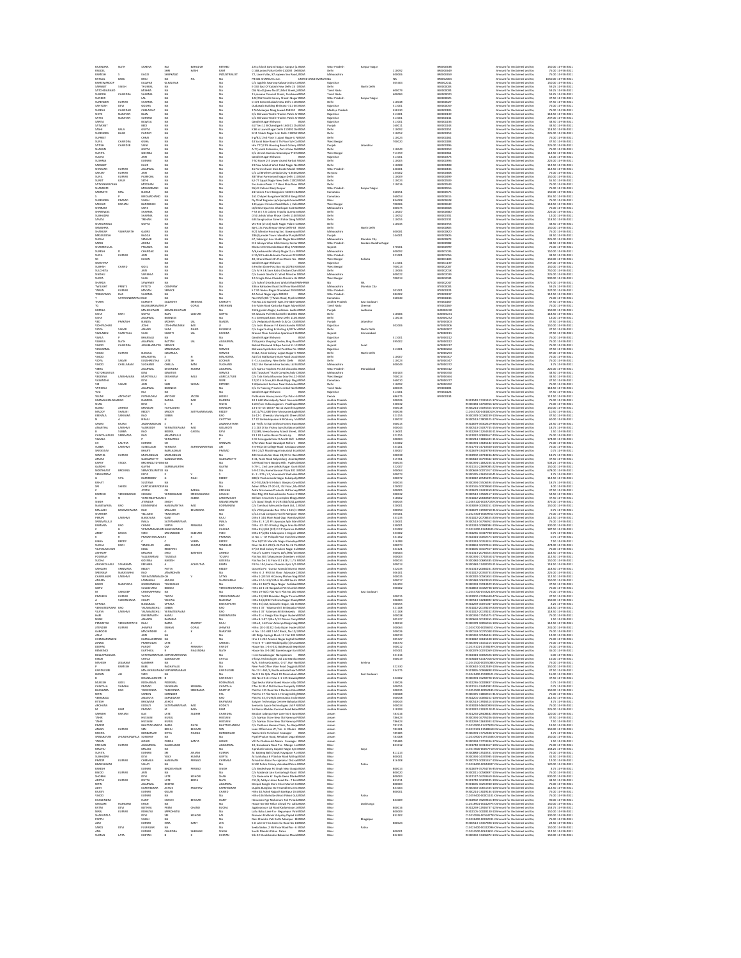| <b>RAJENDRA</b>                                  | NATH                           | SAXENA                                                      | RAI                                   | BAHADUR                | RETIRED                                          | 223.c-block Govind Nanar, Kanpur (u.JNDIA                                                                                                                                                                                                                                   | Uttar Pradesh                                                        | Kanpur Naga              |                                      | 880000638                                        | Amount for Unclaimed and Un                                                                                                                                                                                                                                                       | 150.00 10-FEB-2011                                                                   |
|--------------------------------------------------|--------------------------------|-------------------------------------------------------------|---------------------------------------|------------------------|--------------------------------------------------|-----------------------------------------------------------------------------------------------------------------------------------------------------------------------------------------------------------------------------------------------------------------------------|----------------------------------------------------------------------|--------------------------|--------------------------------------|--------------------------------------------------|-----------------------------------------------------------------------------------------------------------------------------------------------------------------------------------------------------------------------------------------------------------------------------------|--------------------------------------------------------------------------------------|
| RSGOEL<br>RAMESH<br>RATILAL                      | BABU                           | KAGZI<br>BHAI                                               | SHRI<br>SHSPKAGZ<br>NA                | KASHI<br>NA            | RAM<br><b>NOI KTRIAI IST</b><br>NA               | UNITED ARAB EN                                                                                                                                                                                                                                                              | Delhi<br>Məhərəshtri<br>i NA                                         |                          | 110092<br>400006<br>NA               | BR0000649<br>88000200-                           | Amount for Unclaimed and University<br>Amount for Unclaimed and University<br>Amount for Unclaimed and University                                                                                                                                                                 | 75.00 10-FEB-2011<br>75.00 10-FEB-2011<br>1650.00 10 FEB-2011                        |
| RAMSWARDOP<br>SARABIT<br>SATCHIDANANO            | SINGH                          | KALWAR<br>THUKRA<br>MISHRA                                  | GLKALWAF<br>NA<br>NA                  |                        | NA<br>NA<br><b>NA</b>                            | C/o Jandish Swaroop Kalwar indira CoNDIA<br>E-150 East Of Kailash New Delhi 24 DNDIA<br>Old No.44.(new No.87) Mint Street.(irRDIA                                                                                                                                           | Rajasthan<br>Delhi<br><b>Tamil Nadu</b>                              | North Delhi              | 305404<br>600079                     | 880002011<br>850000003<br>85000000               | Amount for Unclaimed and Uni<br>Amount for Unclaimed and Un<br>Amount for Unclaimed and Un                                                                                                                                                                                        | 150.00 10-FEB-2011<br>59.25 10 FEB-2011<br>59.25 10-FEB-2011                         |
| GROOM<br>SUNDER                                  | <b>CHANDR</b>                  |                                                             |                                       |                        | NA<br>NA<br>NA<br>NA                             | 11, sarvana Perumal Street, PurshawalNDIA<br>122/552 Sindhi Colony Shastri Nagar INDIA<br>C-174 Greaterkailash New Delhi 1100NDIA<br>Duduwala Building Bhilwara -311 001NDIA                                                                                                | <b>Tamil Nadu<br/>Uttar Prade</b>                                    |                          | 500084                               | 85000002<br>esconono                             | Amount for Unclaimed and Ur<br>Amount for Unclaimed and Ur                                                                                                                                                                                                                        | 59.25 10 FEB-2011<br>37.50 10 FEB-2011                                               |
| SURENDEI<br>SANTOSH<br>SURESH                    | KUMAR<br>DEVI<br>CHANDAF       | SHARMA<br>GODHA<br>CHELAWAT                                 | NA<br>NA<br>NA<br>NA<br>NA            |                        | NA                                               | 176 Mukeriee Marg Jawad 458330 INDIA                                                                                                                                                                                                                                        | Delhi<br>Rajasthi<br>Madhya Pradesh                                  |                          | 110048<br>311001<br>458330           | 85000002<br>850000051<br>850000105               | Amount for Unclaimed and Un<br>Amount for Unclaimed and Un<br>Amount for Unclaimed and Un                                                                                                                                                                                         | 37.50 10-FEB-2011<br>75.00 10-FEB-2013<br>75.00 10-FEB-2011                          |
| SHIVE<br>SATYA                                   | NARAYAN<br>NARAYAN             | BAJAJ<br>SOMAN<br>BAWELA                                    | NA<br>NA                              |                        | NA<br>NA                                         | C/o Bhibeara Textile Traders Patch Archibia<br>C/o Bhilwara Textile Traders Patch ArrNDIA                                                                                                                                                                                   | Rajasti<br><b>Balactha</b>                                           |                          | 311001<br>311001<br>311001           | 850000139<br>85000014<br>850000236               | Amount for Unclaimed and Un<br>Amount for Unclaimed and Un                                                                                                                                                                                                                        | 118.50.10.FFR.2011<br>237.00 10-FEB-2011<br>43.50 10-FEB-2011                        |
| SARITA<br>SATWANT<br>SASHI                       | BALA                           | BEDI<br>GUPTA                                               | NA<br>NA<br>NA<br>NA                  |                        | NA<br>NA<br>NA                                   | Gredhi Nagar Bhiwara<br>617 Sec 11 B Chandigath 160011 ChalNDIA<br>817 Sec 11 B Chandigath 160011 ChalNDIA<br>86 A Laxmi Nagar Delhi 110092 DelNDIA                                                                                                                         | Punjab<br>Delhi                                                      |                          | 160011<br>110092                     | 850000243<br>850000251                           | Amount for Unclaimed and Uni<br>Amount for Unclaimed and Uni<br>Amount for Unclaimed and Uni                                                                                                                                                                                      | 43.50 10-FEB-2011<br>118.50 10-FEB-2011                                              |
| SURENDRA<br>SUPREET<br><b>SUNIL</b>              | <b>BHAN</b><br>CHANDRA         | PANDEY<br>CHRAI<br><b>GUHA</b>                              |                                       |                        | NA<br>NA<br>NA                                   | 8-11 Shakti Nagar Extn Delhi 110052 INDIA<br>li-g/82,( 2nd Floor ) Lajpat Nagar-ii, NINDIA<br>43 Sarat Bose Road 4 Th Floor 5/e CalINDIA                                                                                                                                    | Delhi<br>Delhi<br>West Benea                                         |                          | 110052<br>110024<br>700020           | 850000253<br>BS000026<br>850000283               | Amount for Unclaimed and Un<br>Amount for Unclaimed and Un<br>Amount for Unclaimed and Un                                                                                                                                                                                         | 225.00 10-FEB-2011<br>75.00 10-FEB-2011<br>37.50 10-FEB-2011                         |
| SATISH<br>SHAGUI)<br>SUNITA                      | CHANDER                        | SAINI<br>GUPTA<br>GOENKA                                    | NA NA NA NA                           |                        | NA<br>NA<br>NA                                   | Hm 727/2 Pb Housing Board Colony ONDIA<br>A-77,south Extension, Part-ii New DelINDIA<br>C/o Umesh Goenka Neamatpur P O SiNDIA                                                                                                                                               | Punjab<br>Delhi<br>West Benga                                        |                          | 110049<br>713359                     | esonnos<br>850000351<br>850000363                | Amount for Unclaimed and Un<br>Amount for Unclaimed and Un<br>Amount for Unclaimed and Un                                                                                                                                                                                         | 225.00 10 FEB 2011<br>75.00 10-FEB-2011<br>112.50 10-FEB-2011                        |
| SUDHA<br><b>SUSHMA</b><br>SARABIT                |                                | <b>JAIN</b><br>KUMARI<br>KALIR                              | NA<br>NA<br>NA                        |                        | NA<br>NA<br>NA                                   | Gandhi Nagar Bhilwara<br><b>INDIA</b><br>T-50 Room 2-3 Lower Anand Parbat NNDIA<br>23 New Market West Patel Nagar NetNDIA                                                                                                                                                   | Rajasthan<br>Delhi<br>Delhi                                          |                          | 311001<br>110005<br>110008           | 850000373<br>850000396<br>850000408              | Amount for Unclaimed and Un<br>Amount for Unclaimed and Un<br>Amount for Unclaimed and Un                                                                                                                                                                                         | 12.00 10 FEB-2011<br>225.00 10-FEB-2011<br>112.50.10.698.2011                        |
| SHIRAVAN<br>SANJAY                               | KUMAR<br>KUMAR<br>KUMAR        | AGARWAL<br>JAIN<br>PASRICHA                                 | NA<br>NA<br>NA                        |                        | NA<br>NA<br>NA                                   | 23 New Hutson, Vess, Face Page, Newsler<br>41 Parmeshwari Dass Estate Model HINDIA<br>387 Bhai Parmanamd Nagar Delhi 110NDIA<br>387 Bhai Parmanamd Nagar Delhi 110NDIA                                                                                                      | Uttar Prade<br>Haryana                                               |                          | 226001<br>134002                     | 85000043<br>monore                               | Amount for Unclaimed and Uni<br>Amount for Unclaimed and Uni<br>Amount for Unclaimed and Uni                                                                                                                                                                                      | 112.50 10-FEB-2011<br>75.00 10-FEB-2011<br>150.00 10-FEB-2011                        |
| SUNIL<br>SURJIT<br>SATYANARAYANA                 | KALIR                          | SETHI<br>MOOLAM                                             | NA<br>NA                              |                        | NA<br>NA                                         | Ii/i-77 Lajpat Nagar New Delhi 11002/NDIA<br>9-e Jiasarai Near I I T Hauz Khas New INDIA                                                                                                                                                                                    | Delhi<br>Delhi<br>Delhi                                              |                          | 110009<br>110024<br>110016           | 850000491<br>850000509<br>850000549              | Amount for Unclaimed and Un<br>Amount for Unclaimed and Uni                                                                                                                                                                                                                       | 55.50 10-FEB-2011<br>75.00 10 FEB-2011                                               |
| SHAMEEM<br>SAMBATH                               | MAL                            | MOHAMMAD<br>NAHAR<br>BIXXAMCHA                              | NA<br>NA<br>NA                        |                        | NA<br>NA<br>NA<br>NA<br>NA                       | 9-11 International Carl Kennet II<br>24 Haines R.A.D Bangalore 560051 BaNDIA<br>24 Haines R.A.D Bangalore 560053 BaNDIA<br>181 Chilpet Bangalore 560053 BangalNDIA<br>183, apper Circular Road Block-i, CalcaNDIA<br>183, apper Circular Road                               | Uttar Pradesh<br>Kamataka<br>Kamataka                                | <b>Kanpur Naga</b>       | 560051<br>560053<br>834008           | <b>BS0000556</b><br>BS000057                     | Amount for Unclaimed and Un<br>Amount for Unclaimed and Ur<br>Amount for Unclaimed and Ur                                                                                                                                                                                         | 75.00 10-FEB-2011<br>150.00 10-FEB-2011<br>355.50 10-FEB-2011                        |
| SURENDRA<br>SANKAR                               | PRASAD<br>RANJAN               | SINGH<br>BANNERJEE                                          | NA<br>NA                              |                        |                                                  |                                                                                                                                                                                                                                                                             | Bihar<br>West Bengal                                                 |                          | 70000                                | 85000062<br>850000641                            | Amount for Unclaimed and Un<br>Amount for Unclaimed and Un                                                                                                                                                                                                                        | 75.00 10-FEB-2011<br>118.50 10-FEB-2011                                              |
| SHRIRAM<br>SHRINIWAS<br><b>SUBHADRA</b>          |                                | SANE<br>SHARMA<br>SHARMA                                    | NA<br>NA<br>NA                        |                        | NA<br>NA<br>NA                                   | 12/6 Best Quarters Ghatkopar East BoINDIA<br>F-53 D E S U Colony Tripolia GurmandNDIA<br>D 50 Ashok Vihar Phase I Delhi 11005INDIA                                                                                                                                          | Maharashtra<br>Delhi<br>Delhi                                        |                          | 400075<br>110007<br>110052           | 850000668<br><b>BS0000680</b><br>85000070        | Amount for Unclaimed and Un<br>Amount for Unclaimed and Un<br>Amount for Unclaimed and Un                                                                                                                                                                                         | 75.00 10-FEB-2011<br>225.00 10 FEB-2011<br>12.00 10 FEB-2011                         |
| SAVITA<br>SHAKUNTALA<br>SKMISHRA                 |                                | TREHAM<br><b>GUPTA</b>                                      | NA<br>NA<br>NA                        |                        | NA<br>NA<br>NA                                   | 634 Sanginahan Street Pahar Gang NINDIA<br>Wa-930 (d-144) Sodh Nagar Palam CoNDIA<br>Bg-5,13c Paschimpuri New Delhi-63 INDIA                                                                                                                                                | Delhi<br>Delhi<br>Delhi                                              | North Delh               | 10055<br>110045                      | 85000073<br>85000075<br>850000805                | Amount for Unclaimed and Un<br>Amount for Unclaimed and Un<br>Amount for Unclaimed and Un                                                                                                                                                                                         | 118.50 10-FEB-2011<br>48.50 10-FEB-2011<br>150.00 10-FEB-2011                        |
| SHANKAR<br>MISSUDES<br><b>SUDHA</b>              | VISHWANTH                      | GADRE<br>BAGGA<br>SENGAL                                    | NA<br>NA<br>NA                        |                        | NA                                               | 8-21 Mandar Housing Soc. GawanpadNDIA                                                                                                                                                                                                                                       | Maharashtra<br>.<br>Punjab<br>Maharashtra                            | Mumbai City              | 400081<br>144001                     | 850000820<br>850000826<br>850000873              | Amount for Unclaimed and Un<br>Amount for Unclaimed and Un<br>Amount for Unclaimed and Un                                                                                                                                                                                         | 75.00 10 FEB-2011<br>43.50 10 FEB-2011<br>225.00 10-FEB-2011                         |
| <b>SAROS</b><br>SHAMB<br>SURESH                  |                                | ARORA<br>PRANDA<br>CHANDAK                                  | NA<br>NA<br>NA                        |                        | NA<br>NA<br>NA<br>NA<br>NA                       | n-ar muman roosung soc. Gawamparusus<br>286 (), model Town Jalanchar PurijabiNDIA<br>67, Sabarigiri Anu Shakti Nagar BombINDIA<br>D-2 Jalancy Vihar Afris Colony Sector INDIA<br>Bibatia Street Danda Bazar Bhuj 37000NDIA<br>A/6, keshamidhi                               | <b>Uttar Pradesi</b><br>Gujarat<br>Maharashtra                       | .<br>Gautam Buddha Naga  | 370001                               | <b>RSOODDSR</b><br>BS0000999<br>BS0001035        | Amount for Unclaimed and Un<br>Amount for Unclaimed and Un<br>Amount for Unclaimed and Un                                                                                                                                                                                         | 43.50 10-FEB-2011<br>75.00 10-FEB-2011                                               |
| SUNIL<br><b>SK</b>                               | KUMAI                          | JAIN<br>KAYAN                                               | NA<br>NA                              |                        | NA<br>NA                                         | K-15/69 Sudia Bulavala Varanasi 2210NDIA<br>40, Strand Road 4th Floor Room No. 1NDIA                                                                                                                                                                                        | Uttar Pradesh<br>West Bengal                                         | Kolkata                  | 100092<br>221001                     | 850001056<br>850001103                           | Amount for Unclaimed and Un<br>Amount for Unclaimed and Un                                                                                                                                                                                                                        | 150.00 10-FEB-2011<br>43.50 10-FEB-2011<br>150.00 10-FEB-2011                        |
| SKASHYAR<br>SUBHSH<br>SULCHETA                   | CHAND                          | GOEL<br>JAIN<br>SANKHLA                                     | NA<br>NA<br>NA<br>NA                  |                        | <b>NA</b><br>NA<br>NA<br>NA                      | Gandhi Nasar Bhilwara<br>INDIA<br>Generi Neger universitet No. 20784 KHNDIA<br>C/o M H J & Sons Katra Choban ChannNDIA<br>C/o Suresh Gentle 51 West Minister DNDIA                                                                                                          | Raiastha<br>West Bengal<br>Delhi<br>Delhi                            |                          | 311001<br>700013<br>110006           | 850001139<br>esconzon<br>8364666.0.<br>PS0002011 | Amount for Unclaimed and Un<br>Amount for Unclaimed and Uni<br>Amount for Unclaimed and Uni<br>Amount for Unclaimed and Uni                                                                                                                                                       | 237.00 10-FEB-2011<br>150.00 10-FEB-2011<br>750.00 10-FEB-2011<br>225.00 10-FEB-2011 |
| SINDHU<br>SURYA<br>SHARDA                        |                                | SHAH<br>SAWHNEY                                             | NA<br>NA                              |                        | NA<br>NA                                         | 12 Cringle Drive Cheadle Cheshire Uk INDIA<br>C/o Ashraf Distributors Walial Ahad R&AHRAIN                                                                                                                                                                                  | Maharashtra<br>West Bengal<br>NA                                     | NA                       | 400022<br>700013                     | 850002039<br>850002044<br>850002047              | Amount for Unclaimed and Un<br>Amount for Unclaimed and Uni                                                                                                                                                                                                                       | 900.00 10-FEB-2011<br>375.00 10-FEB-2011                                             |
| TWILIGHT<br>rarun<br>Iribhuv                     | PRINTS<br>KUMAR<br>DAS         | PVTLTD<br><br>*******                                       | COMPANY<br>SERVICE<br>NA              |                        | <b>NA</b><br>NA<br>NA                            | 336-a Kalbadovi Boad, Sol Floor BomHNDIA                                                                                                                                                                                                                                    | Maharashtra<br>Uttar Pradesh<br>Uttar Pradesh                        | Mumbai City              | 201001                               | 81000000<br>BT000022                             | Amount for Unclaimed and Un<br>Amount for Unclaimed and Ur<br>Amount for Unclaimed and Ur                                                                                                                                                                                         | 59.25 10-FEB-2011<br>237.00 10-FEB-2011                                              |
| THARA                                            | SATH                           | HARM<br>RAO                                                 | NA<br>SADASHIV                        | SRINIVAS               | NA<br>KAMOTH                                     | No.375/h,9th "j" Main Road, Pipeline/NDIA<br>Flat No.210 Gamesh Apts 3-6-440 HaINDIA                                                                                                                                                                                        | Kamataka<br>Andhra Prades                                            | East Godavar             | 282002<br>560040                     | 870000246<br>BT0000263                           | Amount for Unclaimed and Un<br>Amount for Unclaimed and Un                                                                                                                                                                                                                        | 75.00 10-FEB-2011<br>37.50 10-FEB-2011                                               |
| ΤĠ<br>URMEA<br><b>USHA</b>                       | <b>BANI</b>                    | BALASUBRAM<br>MAHESHWARI<br><b>GUPTA</b>                    | <b>IMP</b><br>GDMAHES<br>RAIN         | <b>GOPAL</b><br>LOCHAN | KRISHNAN<br>NA.<br><b>GUPTA</b>                  | 4-iv Main Road Kesturba Nasar AdvartNDIA<br>3126,garden Nagar, Ludhiana LudhialNDIA<br>92 Jatwara Pull Mithai Delhi-110006 INDIA                                                                                                                                            | <b>Tamil Nadu</b><br>Punjab<br>Delhi                                 | Chennai<br>Endbiana      | 110006                               | 810000269<br>BU0000230<br>BU0000243              | Amount for Unclaimed and Un<br>Amount for Unclaimed and Un<br>Amount for Unclaimed and Un                                                                                                                                                                                         | 75.00 10-FEB-2011<br>150.00.10.658.2011<br>118.50 10-FEB-2011                        |
| <b>USHA</b><br>VED                               | <b>PRAKASE</b>                 | anaswar<br>NANDA<br>JOSHI                                   | BUSINESS<br>MOHAN<br>LTSHHANL         | LAL<br>BAX             | NANDA                                            | x2 xwwmi Pur wasan benn-12000 mood<br>X-1 Greenpark Extr. New Delhi 11003NDIA<br>C/o Joshi Bhawan F-2 Kantichandra NNDIA<br>C/o Joshi Bhawan F-2 Kantichandra NNDIA                                                                                                         | Delhi<br>Punjab                                                      | Jalandha                 | 10016                                | BU0000252<br>8V0000003<br>8V0000006              | Amount for Unclaimed and Uni<br>Amount for Unclaimed and Uni<br>Amount for Unclaimed and Uni                                                                                                                                                                                      | 12.00 10 FEB-2011<br>37.50 10-FEB-2011                                               |
| VIDHYAD<br>VIDYA<br>VIMLABEN                     | SAGAR<br>SHANTILAL             | ANAND<br>SHAH                                               | SADA<br>SHANTI                        | NAND<br><b>LAL</b>     | <b>BUSINESS</b><br>KACHRA                        | C/o Sanar Suiting & Shirting 6/90 W. (INDIA)<br>Ground Floor Sambhar Apartment ShINDIA                                                                                                                                                                                      | Rajastha<br>Delhi<br>Gujarat                                         | North Delhi<br>Ahmedabad | 302006                               | 8V0000007<br>8V0000011                           | Amount for Unclaimed and Un<br>Amount for Unclaimed and Un                                                                                                                                                                                                                        | 150.00 10-FEB-2011<br>37.50 10 FEB-2011<br>37.50 10 FEB-2011                         |
| VIMLA<br>VISHWA                                  | <b>NATH</b><br><b>CHANDRA</b>  | BHANSALI<br>AGARWA<br><b>JAGUBHAPA</b>                      | <b>NA</b><br>RATTAN<br>SERVICE        | LЫ,                    | <b>NA</b><br>AGGARWA                             | Gandhi Nasar Bhilwara<br>INDIA<br>250, ajanta Shoping Centre, Ring RoadNDIA                                                                                                                                                                                                 | Raiasthi<br>Gujarat<br>Gujarat                                       | Surat                    | 311001<br>195002                     | 8V0000012<br>By0000122                           | Amount for Unclaimed and Un<br>Amount for Unclaimed and Un                                                                                                                                                                                                                        | 75.00 10 FEB 2011<br>75.00 10-FEB-2011<br>75.00 10-FEB-2011                          |
| vinod<br>Vkšhari<br>VINOD                        | KUMAR                          | NARULA                                                      | SLNARULA                              |                        | NA<br>SERVICE<br>SERVICE                         | Behind Paniwad At&po Amroli St. UtrNDIA<br>Bhilwara Synthetics Ltd Post Box No 1NDIA<br>8-112. Amar Colony, Laipat Nasar-ii NNDIA<br>A13/14 Malka Gani Main Road Doubl/NDIA                                                                                                 | Rajastha<br>Delhi                                                    | North Delhi              | 311001                               | BV0000211<br>BV000026A<br>BV0000293              | Amount for Unclaimed and Un<br>Amount for Unclaimed and Un<br>Amount for Unclaimed and Un                                                                                                                                                                                         | 37.50 10-FEB-2013<br>87.00 10-FEB-2011                                               |
| VINOD<br>VIDYA                                   | Sanae<br>CHELLARAM             | <b>MALHOTRA</b><br><b>KULSHRESTHA</b><br>SUGHAND<br>AGARWAL | LATE<br>CHELLA<br>DEVENDIV            | ŚH<br><b>BAM</b>       | MALHOTRA<br>LOCHAN<br>SUGHAND<br>AGAINVAL        | E-7,in.a.colory, New Delhi Delhi INDIA<br>10/2 Shri Ramakrishna Society Ltd RoINDIA<br>C/o Ajanta Trophies Pvt.Itd Chauraha INDIA<br>403,"prashant" Rushi Complex,holy CINDIA                                                                                               | Delhi<br>Delhi<br>Maharashtra<br>Uttar Pradesi                       |                          | 110007<br>110023<br>100045           | 8V0000307<br>8V0000347<br>6000037                | Amount for Unclaimed and Un<br>Amount for Unclaimed and Un                                                                                                                                                                                                                        | 75.00 10-FEB-2011<br>75.00 10 FEB-2011                                               |
| VINOD<br>VIBHA<br>VICTORIGATIUS<br>VEGESNA       | LAKSHMANA                      | DIAS<br>MURTYRAIU                                           | IGNATIUS<br>KRISHNAM                  | <b>KUMAI</b><br>RAIU   | SERVICE<br><b>AGRICULTURE</b>                    | C/o Tata Varty Mounrao Door No.22-INDIA                                                                                                                                                                                                                                     | Maharashtra<br>West Bengal                                           |                          | 400103<br>700013                     | <b>BOODNA</b><br>810000450<br>8V0000464          | Amount for Unclaimed and Uni<br>Amount for Unclaimed and Uni<br>Amount for Unclaimed and Uni<br>Amount for Unclaimed and Un                                                                                                                                                       | 3.75 10-FEB-2011<br>225.00 10-FEB-2011<br>43.50 10-FEB-2011<br>43.50 10 FEB-2011     |
| VASANTHA<br>vik<br>YATHIRAJ                      | SAGAR                          | DEVI<br><b>JAIN</b>                                         | SHRI                                  | SKIAIN                 | wife<br>RETIRED                                  | 12/20 li A Cross 6th Block Rajail Nana(NDIA<br>118.babubali Enclave Near KarkardoolNDIA                                                                                                                                                                                     | Kamataka<br>Delhi                                                    |                          | 560010<br>110092                     | 8V0000477<br>8V0000492                           | Amount for Unclaimed and Un<br>Amount for Unclaimed and Un                                                                                                                                                                                                                        | 37.50 10-FEB-2011<br>75.00 10-FEB-2011                                               |
| YÉLIN                                            | ANTHON                         | AGARWAL<br>RAJ<br>PUTHIAD.<br>DAMÉRA                        | BUSINESS<br>NA<br>ANTON               | IACOB                  | HOUSE<br>DAMERA                                  | c/o Ya Training Private Limited NorthINDIA<br>Gandhi Nagar Bhilwara<br>INDIA<br>Puthiadam House,karoor P/o Palai -61NDIA<br>10 1 660 Marredpally West SecunderNDIA                                                                                                          | Tamil Nadu<br>Rajasthan<br>Kerala<br>Andhra Pradesi                  |                          | 600035<br>311001<br>686575           | BY0000201<br>BY0000224<br>BY000023               | Amount for Unclaimed and Ur<br>Amount for Unclaimed and Ur<br>Amount for Unclaimed and Un<br>IN301549-17331415-17Amount for Unclaimed and Un                                                                                                                                      | 118.50 10-FEB-2011<br>37.50 10-FEB-2011<br>112.50 10-FEB-2011                        |
| UMAN<br>SHAIL<br>NAHID                           | <b>JRAO</b><br>AHMED           | DEVI<br>MANSUR                                              | RANGA<br><b>FAYAZUDIN</b>             | RAO                    | SINHA<br>MANSUR                                  | 110 C/sec   Ukkunagaram VisakhapatNDIA<br>13-1-67-13-1653 P No 12 AvanthinaetNDIA                                                                                                                                                                                           | Andhra Pradesh<br>Andhra Pradest                                     |                          | 500026<br>530032<br>500018           |                                                  | IN300484-12760966-12 Amount for Unclaimed and Un<br>IN300214-15035654-15 Amount for Unclaimed and Un                                                                                                                                                                              | 75.00 10-FEB-2011<br>75.00 10 FEB-2011<br>150.00 10-FEB-2011                         |
| MADD<br>KEENAL                                   | SHALINI<br>.<br>SANKARA        | REDDY<br>NO.<br>NRAJU                                       | MADDY<br><b>SUBBA</b>                 | SATYANA/MAYANA         | REDDY<br>tАÓ                                     | 16/11/741/d89 Dsnr MoosarambashINDIA<br>16-12-1 Cheerala Munisipaliti Che<br>vasina                                                                                                                                                                                         | Andhra Pradest<br>Andhra Prades                                      |                          | 500036<br>523155<br>530022           |                                                  | C12044700-04818010-0Amount for Unclaimed and Un<br>EXECUTIVE DESIGNEES OF A MODEL INTO A REAL PROPERTY OF THE RESIDENCE OF THE REAL PROPERTY OF THE REAL PROPERTY OF THE REAL PROPERTY OF THE REAL PROPERTY OF THE REAL PROPERTY OF THE REAL PROPERTY OF THE REAL PROPERTY OF THE | 10.50 10 FEB 2011<br>37.50 10-FEB-2011                                               |
| n<br>SAWRI<br>ANANTHA                            | <b>BAJAN</b><br>LAKSHMI        | <b>JAGANNADI</b><br>VASIREDOY                               | VENKATESWARA                          | RAD                    | CHITTYYA<br>JAGANNATHAN<br>GOLAKOTI              | 17 22 Simhadripuram H B Colony VisiNDIA<br>18 - 70/f1 Sri Sai Krishna Homes NaradNDIA<br>18 - 70/f1 Sri Sai Krishna Homes NaradNDIA<br>2 1 283 D Sai Vishnu Apts Nallakunta NDIA                                                                                            | Andhra Pradesh<br>Andhra Pradesh<br>Andhra Pradesh                   |                          | 500015<br>500044                     |                                                  | IN300513-15037745-15Amount for Unclaimed and Un                                                                                                                                                                                                                                   | 60.00 10-FEB-2011<br>22.50 10-FEB-2011<br>18.75 10-FEB-2011                          |
| CHINTALAPUDE<br>/IMAL/                           | ABBUS<br>SRINIVAS/             | <b>MO</b><br>MO                                             | BOORA<br>ANJANEYULU<br>VENKATESH      | GADDA                  | RAVI<br>NA.                                      | 21/389, Veera Swamy Mandi Street, INDIA<br>23 1 89 Santha Bazar Chirala Ap 1101A                                                                                                                                                                                            | Andhra Pradest<br>Andhra Pradest<br>Andhra Prades                    |                          | 516001<br>523155                     |                                                  | IN302269-11264348-11 Amount for Unclaimed and Un<br>IN301022-20830657-20 Amount for Unclaimed and Un                                                                                                                                                                              | 1.50 10 FEB-2011<br>75.00 10 FEB-2011<br>174.00 10-FEB-2011                          |
| CH<br>SUBBA<br>SRIVASTAV                         | LALITHA<br>LAKSHMI             | KUMARI<br>SUSEELAAKI<br>BHARTI                              | œ<br>VENKATA<br>RAMLAKHAN             | SURYANARAYANA          | SRINIVAS<br>AKI<br>PRASAD                        | 23 1 87 2000 Mear R And D Bill SeNDIA<br>3/92 Main Road Nawabpet Nellore MDIA<br>3-4-90/a-20 College Road AmalapuratNDIA                                                                                                                                                    | Andhra Pradesh<br>Andhra Pradesh<br>Andhra Pradesh                   |                          | 500004<br>524002<br>533201<br>530007 |                                                  | 1800214-11826693-11Amount for Unclaimed and Unit<br>18300214-11826693-11Amount for Unclaimed and Unit<br>18300394-13645182-13Amount for Unclaimed and Unit<br>IN302679-33419790-33 Amount for Unclaimed and Un                                                                    | 75.00 10-FEB-2011<br>75.00 10-FEB-2011<br>0.75 10-FEB-2011                           |
| SENTHIL<br>ARUNA                                 | KUMAR<br><b>STOCK</b>          | MURUGESAN<br>GADAMSETTY<br><b>IROKINGLTDFOM/NA</b>          | MURUGESAN<br>GANGADHANA               |                        | NA<br>GADAMSETTY                                 | 39 6 24/2 Muralinagar Industrial EstaINDIA<br>403 Venkata Sai Nivas 28/39 Sri Ram INDIA                                                                                                                                                                                     | Andhra Pradesh<br>Andhra Pradesh                                     |                          | 500038<br>515761                     |                                                  | IN302902-42724246-42 Amount for Unclaimed and Un<br>IN300610-10793642-10 Amount for Unclaimed and Un                                                                                                                                                                              | 18.75 10-FEB-2011<br>37.50 10 FEB-2011                                               |
| KARVY<br>GANDH<br>NORTHEAST                      | EROKING                        | SERVICESLIMITED NA                                          | <b>SAMBAMURTH</b>                     |                        | NA<br>GAVINI<br>NA                               | $\begin{array}{c} 4-41, \text{Main Road } \text{Kajyandurg} \text{ AnartagNDIA} \\ 529 \text{ Road No-4 Barjar Hills } \text{HyderadNDIA} \\ 5-79-1, \text{ 2rd Lane Ashok Naggr } \text{GuntINDNA} \\ 5-9-22 \text{ My Home Server Plana } 301 \text{ 3INDIA} \end{array}$ | Andhra Pradesi<br>Andhra Pradesi<br>Andhra Pradest                   |                          | 500034<br>522007<br>500063           |                                                  | IN300394-11832204-11Amount for Unclaimed and Unit<br>IN300394-11832204-11Amount for Unclaimed and Unit<br>IN300569-10071917-10Amount for Unclaimed and Unit                                                                                                                       | 503.25 10-FEB-2011<br>150.00 10-FEB-2011<br>678.00 10-FEB-2011                       |
| VENKATRAV<br>RAHAT                               | SITA                           | KOTA.<br><b>RAMIREDDY</b><br><b>SULTANA</b>                 | G<br>NA                               | NAGI                   | REDDY<br>NA.                                     | 8 - 3 - 976 / 41, Viswasanti ShaliyaharNDIA<br>808/2 Vivekananda Nagar Kukatpally INDIA                                                                                                                                                                                     | Andhra Pradesh<br>Andhra Pradesh<br>Andhra Pradesh                   |                          | 500073<br>500072<br>500034           |                                                  | IN300476-41635358-41 Amount for Unclaimed and Un<br>IN301022-20545295-20 Amount for Unclaimed and Un<br>IN300394-15506494-15 Amount for Unclaimed and Un                                                                                                                          | 3.75 10-FEB-2011<br>112.50 10-FEB-2011<br>18.75 10-FEB-2011                          |
| <b>RAMESH</b>                                    | Genn<br>VENKOBARAC             | CAPITALSERVICESPNA<br>JYOTHI CH<br>couus                    | VENIO                                 | RADHA<br>SRINIVASARA   | NA<br>KRISHNA                                    | aus/2 www.marmar wager Kunstepartyruux<br>8-2-703/bk/B-5 B-block Banjara KiraiNDIA<br>Admn Office 27-20-40, I St Floor, MuriNDIA<br>Astra Microwave Products Ltd Survey/INDIA<br>Brilliant Securities K <sub>J</sub> .complex BhagyaNDIA<br>Brilliant Se                    | Andhra Pradesi<br>Andhra Pradesi                                     |                          | 520002<br>500005<br>500032           |                                                  | =1003165-10000868-10Amount for Unclaimed and United R103165-10000868-10Amount for Unclaimed and United R102579-32423269-32Amount for Unclaimed and United R1020513-13582157-13Amount for Unclaimed and United R102022-20640849                                                    | 3.00 10 FEB 2011<br>37.50 10 FEB 2011<br>52.50 10-FEB-2011                           |
| SINGH<br>NAGESWARA                               |                                | VKRISHN<br><b>JTENDAR</b><br>KOMMINENI                      | SINGH<br>HANUMANTHA                   | <b>SUBB</b>            | CAULIGI<br>LAKSHMAIAH<br>GNANESHWAR<br>KOMMINENI | C/o Gopal Singh, 8-2-293/82/b/42.galNDIA<br>C/o Tamilnad Mercantile Bank Ltd., 11NDIA                                                                                                                                                                                       | Andhra Pradesh<br>Andhra Pradesh<br>Andhra Pradesh<br>Andhra Pradest |                          | 518002<br>500045<br>520001           |                                                  | C12065100-00037020-0Amount for Unclaimed and Un<br>IN303069-10030251-10Amount for Unclaimed and Un                                                                                                                                                                                | 37.50 10-FEB-2013<br>375.00 10-FEB-2011<br>150.00 10-FEB-2011                        |
| MALLADI<br>SHANKER                               | <b>NAO</b><br><b>BASAVESW</b>  | <b>NAO</b><br>YELLANK                                       | MALLADI<br><b>YRAJESHAM</b>           | <b>BAO</b><br>BHASKARA | RAD<br>NA                                        | C/o V Nitvananda Rao H No 1 155/1 INDIA                                                                                                                                                                                                                                     | Andhra Pradest<br>Andhra Prades                                      |                          | soposc<br>505001                     |                                                  | IN302679-31930760-31 Amount for Unclaimed and Un                                                                                                                                                                                                                                  | 0.75 10 FEB-2011<br>75.00 10-FEB-2011                                                |
| PERLIN<br>SRINIVASULL<br>RAMANA                  | LAKSHM<br><b>RAO</b>           | NARAYANA<br>INALA<br>CHINNI                                 | GANI<br>SATYANARAYANA<br>SURYA        | PRAKASA                | RAJU<br>INALA<br>RAD                             | Lyo v netyä Cernara Hao II No 1 15571 ENDIA<br>Choka: A Cernaray Kothi Ramporr INDIA<br>D No 3 144 Main Road Opp. Ramalay(NDIA<br>D No 33 3 1/1 FS Apurupa Apts MaruNDIA<br>D No -32 -22 -9 Netaji Nagar Area BorNDIA                                                       | Andhra Pradesh<br>Andhra Pradesh<br>Andhra Pradesh                   |                          | 533235<br>520001<br>530001           |                                                  | <b>E12023303-00009912-0Amount for Unclaimed and United States</b><br>IN301022-20708455-20Amount for Unclaimed and United<br>IN300513-16796952-16Amount for Unclaimed and United<br>IN302324-10088084-10 Amount for Unclaimed and Un                                               | 112.50 10-FEB-2011<br>75.00 10-FEB-2011<br>300.00 10-FEB-2011                        |
| AREEF                                            | <b>BASHA</b>                   | VPRASANNAKUR<br>SYED<br>PRASANT                             | <b>UNAGESWARAC</b><br>MAHABOOB        | SUBHANI                | CHAKKA<br>SYED<br>PRAKASA                        | D No 35/3/69 (22f) C R P Quatress OrINDIA<br>D No 37/2/46 6 Islampeta 1 Oneole 2NDIA<br>D. No. 1 - 47 Polipalli Post Via ChittiwiNDI                                                                                                                                        | Andhra Pradesh<br>Andhra Pradest<br>Andhra Prades                    |                          | 523002<br>523002<br>531162           |                                                  | C12033200.03244935.04mount for Unclaimed and Un<br>IN302236-10327700-10 Amount for Unclaimed and Un<br>IN302324-10092573-10 Amount for Unclaimed and Ur                                                                                                                           | 18750 10-FFR-2011<br>0.75.10.658.2011<br>0.75 10-FEB-2011                            |
| LINGA<br>SUDHA<br>VUAYALAKSHMI                   | RANI                           | YENDLUR<br>KOLLI                                            | $\frac{c}{A NIL}$<br>REDDYPIC         | VEERA<br>KUMAR         | REDDY<br>YENDLUR                                 | Dno 14/759 Maruthi Nagar KamalapuNDIA<br>Door No 8-2-293/k-26 Plot No 26 PhaNDIA<br>E7/13 Drdl Colony Pinakini Nagar SulINDIA                                                                                                                                               | Andhra Pradesh<br>Andhra Pradesh<br>Andhra Pradesh                   |                          | 51628<br>500073<br>524121            |                                                  | IN302324-10353314-10 Amount for Unclaimed and Un<br>IN302863-10272414-10 Amount for Unclaimed and Un<br>IN301696-10107357-10 Amount for Unclaimed and Un                                                                                                                          | 7.50 10-FEB-2011<br>474.00 10-FEB-2011<br>75.00 10-FEB-2011                          |
| ASHRUFF<br>POONAM                                |                                | MADANI<br>VALUMMANI                                         | SYED<br>TULSIDAS                      | BASHEER                | NA.<br>AHMED<br>TOLANI                           | Flat 2/c Azeem Towers 10/1/891/203NDIA<br>Flat No 304 Tahasaiman Chambers In/NDIA                                                                                                                                                                                           | Andhra Pradesh<br>Andhra Pradesh                                     |                          | 500004<br>500003                     |                                                  | IN301313-20746623-20 Amount for Unclaimed and Un<br>IN100394-17740358-17.6mount for Unclaimed and Un                                                                                                                                                                              | 118.50 10-FEB-2011<br>112.50 10-FEB-2011                                             |
| .<br>ADAVIKOLAN<br>SANGAM                        | SNARAMA<br>SRINIVASA           | GOENKA<br>KITISHIW<br>REDDY                                 | <b>IARESH</b><br>PUTTA                | <b>ACHYUTHA</b>        | GOENKA<br>RAMA<br>REDOY                          | Fiat No 304 Tanasaman Chambers HINDIA<br>Fiat No 104, Hema Chandra Apts 2/2 6/NDIA<br>Occantia Po Guntur Mandal District INDIA                                                                                                                                              | Andhra Pradesi<br>Andhra Pradesi<br>Andhra Pradest                   |                          | 500034<br>500013<br>522035           |                                                  | IN300484-10685385-10Amount for Unclaimed and Un<br>IN300484-11685385-10Amount for Unclaimed and Un<br>IN300484-11490029-11Amount for Unclaimed and Un<br>IN301313-20046201-20Amount for Unclaimed and Un                                                                          | 150.00 10-FEB-2011<br>118.50 10-FEB-2011<br>118.50 10-FEB-2011                       |
| SREERAM<br>CHANNAGINI<br>AMURA                   | NARASIMHA<br>LAKSHMI           | <b>BAO</b><br>VENKATARAMACHCH<br>LAXMANH                    | JANARDHAN<br>AMURA                    | v                      | NA.<br>SATYA<br>SHANKARIAE                       | H No 6 2 99/3 Ist Floor Advocate C/NDIA<br>H No 1-2/3 S B H Colony Mohan NagaNDIA<br>H No. 12-5-143/1 Mrh No.460 South INDIA                                                                                                                                                | Andhra Pradesh<br>Andhra Pradesh<br>Andhra Pradesh                   |                          | 505101<br>500035<br>500017           |                                                  | IN301022-20350733-20 Amount for Unclaimed and Un<br>IN300020-10581853-10 Amount for Unclaimed and Un<br>IN300484-10674359-10 Amount for Unclaimed and Un                                                                                                                          | 225.00 10-FEB-2011<br>112.50 10-FEB-2011<br>150.00 10-FEB-2011                       |
|                                                  |                                | GUDIKANDULA<br>SULOCHANA                                    |                                       |                        |                                                  | H No 13-167/2 Bapu Nagar Asifabad INDI<br>H No 18-1-20 Baneachai Dat ShambhdNDI                                                                                                                                                                                             |                                                                      |                          | 504293                               |                                                  | IN300394-15913429-15 Amount for Unclaim<br>IN302863-10182738-10 Amount for Unclaim                                                                                                                                                                                                | 37.50 10-FEB-2011<br>75.00 10-FEB-2011                                               |
| PRAVEER                                          | SANDEEI<br>KUMAR<br>SUDERSHANA | CHINNAPPARAJ<br>THOTA<br>CHARY                              | NA<br>THOTA<br>VISHWA                 |                        | NA.<br><br>VENKATARAJAN<br>NADHAM                | H No 19-30/2 Flat No 5 Plot No 200 0NDM<br>H No 23/383 Bhoodevi Nagar TirumalNDM<br>H No 24/6/232 Fathima Nagar KhazipNDIA                                                                                                                                                  | Andhra Pradesh<br>Andhra Pradesh<br>Andhra Pradesh                   | East Oc                  | 500015<br>506004                     |                                                  | C12044700-05432130-0Amount for Unclaimed and Un<br>IN302902-47246640-47Amount for Unclaimed and Un<br>IN300513-12218892-12 Amount for Unclaimed and Un                                                                                                                            | 75.00 10-FEB-2011<br>37.50 10-FEB-2011<br>150.00 10-FEB-2011                         |
| <b>UPPALA</b><br><b>VENKATESWAN</b><br>VUAYA     | BAO                            | NAGARAJU<br>YALAMANCHILI<br>YALAMANCHILI                    | UPPALA<br><b>SUBM</b><br>VENKATESWARA |                        | BIKSHAPATHI<br>RAO<br>вю                         | H No 35/142, Kalawathi Nagar, Ida JeeNDIA<br>H No 4 37 Yalamanchili Enikepadu PINDIA<br>H No 4 37 Yalamanchili Enikepedu INDIA                                                                                                                                              | Andhra Pradesh<br>Andhra Pradest<br>Andhra Pradesh                   |                          | soposs<br>521108<br>521108           |                                                  | IN302269-10071047-10Amount for Unclaimed and Un<br>IN301022-20178259-20 Amount for Unclaimed and Un                                                                                                                                                                               | 2.25 10-FEB-2011<br>118.50 10-FEB-2011<br>118.50 10-FEB-2011                         |
| HARI<br>NUNE<br>PENMETSA                         | VENKATAPATHI                   | HEERAVATH<br>ANANTH<br>RAJU                                 | HAMU<br>RAJANNA<br>RAMA               | MURTHY                 | DHEERAVATE<br>NA.<br>RAIU                        | H No 41-c Vengal Rao Nagar HyderabNDIA<br>H No 8-1-97 Q No A/12 Dharur CampINDIA<br>H No.2, 1st Floor Acharya Ranga NagaNDIA                                                                                                                                                | Andhra Pradesh<br>Andhra Pradesh<br>Andhra Pradesh                   |                          | 500038<br>505327<br>520010           |                                                  | IN303022-20178242-20 Amount for Unclaimed and Unit<br>IN303034-17545475-17 Amount for Unclaimed and Unit<br>IN300569-10119265-10 Amount for Unclaimed and Unit<br>IN300378-10056356-10 Amount for Unclaimed and Un                                                                | 75.00 10-FEB-2011<br>1.50 10-FEB-2011<br>112.50 10-FEB-2011                          |
| <b>JITENDER</b><br>GABOON<br>ASHA                | KUMAR                          | HAWAR<br>MACHINDER<br>iAIN                                  | KISHAN<br>$\alpha$                    | <b>GOPAL</b>           | <b>JHAWAR</b><br>NARAYAN                         | H No: 20-1-313/2 Koka Bazar HyderatNDIA<br>H No. 10.1.682 S.M.C.Rivek, No.10/20004                                                                                                                                                                                          | Andhra Pradesh<br>Andhra Pradest<br>Andhra Pradest                   |                          | 500064<br>500026<br>500019           |                                                  | C12030200.0095911.04mmmf for Unrisingel and Un<br>IN300159-10275048-10 Amount for Unclaimed and Un<br>IN300450-10546434-10 Amount for Unclaimed and Un                                                                                                                            | 231.00 10-FEB-2011<br>75.00 10 FEB 2011<br>12.00 10-FEB-2011                         |
| CHENNI<br>JANNU                                  |                                | KAMALAKERRAD<br>PRABHUDAS                                   | NA<br>LATE                            |                        | NA.<br>NA<br>SAMUÉI                              | Hill Ridge Springs Block 12 Flat 303 GINDIA<br>Hin 14 222 Aravind Nagar Jagtial KarNDIA<br>H-no-2 -9 -1169 Waddepally (v) HanatNDIA                                                                                                                                         | Andhra Pradesh<br>Andhra Pradesh                                     |                          | 505323<br>506370                     |                                                  | IN301022-10615438-10 Amount for Unclaimed and Univ 101023-10615438-10 Amount for Unclaimed and Uni                                                                                                                                                                                | 75.00 10-FEB-2011<br>75.00 10-FEB-2011                                               |
| DEEPAK<br><b>RENIKING</b><br><b>BOLLAPRAGADA</b> |                                | PANDIT<br>KARTHIKA<br>SATYANARAYAN                          | OM<br>SURKANANAYANA                   | PRAKASH<br>NAGENDRA    | PANDIT<br>NATH<br>NA                             | House No. 1-4-4-232 Baiderwadi Begi/NDIA<br>House No. 8-4-380 Ganeshnagar KarisNDIA                                                                                                                                                                                         | Andhra Pradesh<br>Andhra Pradesh<br>Andhra Pradesh                   |                          | 500012<br>505001<br>531116           |                                                  | C12019101-01578199-0Amount for Unclaimed and Un<br>IN300079-10074069-10 Amount for Unclaimed and Un<br>IN302324-10032626-10Amount for Unclaimed and Un                                                                                                                            | 75.00 10 FEB-2011<br>45.00 10 FEB-2011<br>6.00 10 FEB-2011                           |
| KINAN<br>MAHESH                                  | PLARAN<br><b>NAMES</b>         | .<br>GAMBHIR<br>BABU                                        | DAMODHA<br>RAGHAVALL                  |                        | NA<br>CHITLA<br>NA<br>NA                         | The Sandanagar Nasipateam<br>Infosys Technologies Ltd 210 ManikotNDIA<br>M/5, Krishna Graphics, G-17, Hari HarNDIA<br>Near Post Office Main Road DuggiralaNDIA                                                                                                              | Andhra Pradesh<br>Andhra Pradesh<br>Andhra Pradesh                   |                          | 500019<br>522330                     |                                                  | =1003028-52147018-52Amount for Unclaimed and Unit<br>=1003028-52147018-52Amount for Unclaimed and Unit<br>=12041500-00055088-0Amount for Unclaimed and Unit                                                                                                                       | 15.00 10 FEB 2013<br>75.00 10-FEB-2011<br>75.00 10-FEB-2011<br>150.00 10-FEB-2011    |
| KANDUKURI<br>IMRAN                               | ALI                            | SYED<br>DHANALAKSHMI B                                      | MALLIKARJUNARASURYAPRASARAD<br>NA     |                        | KANDUKUR<br>NA<br>KANNAIAH                       | No 17-1-161/3, Rusthumbada Near NINDIA<br>No 9 9 36 Qilla Ward 19 Nizamabad ANDIA<br>Old No.2-316.c New 3-1-135 Navak-INDIA                                                                                                                                                 | Andhra Pradesh<br>Andhra Pradesh<br>Andhra Pradesh                   | East Godavari            | 534275<br>524002                     |                                                  | IN301895-10968898-10 Amount for Unclaimed and Un<br>C13041400-05920521-0Amount for Unclaimed and Un<br>IN100304-15230728-15 Amount for Unclaimed and Un                                                                                                                           | 37.50 10 FEB-2011<br>15.00 10 FEB-2011<br>37.50 10-FEB-2011                          |
| MUKESH<br>MUKESH<br>CHINTALA<br>BHASKARA         | cos                            | ROSHANLAL<br>PRASAD                                         | POORNAL<br>SIVARAMA                   | <b>CRISHAL</b>         | ROSHANLAI<br>CHINTALA<br>MURTHY<br>PAL           | Opp Sesha Mahal Guest House Jolly ONDIA<br>P No 34 34 A Ncl Enclave Kompaily RINDIA<br>Plot No 125 Road No 3 Doctors ColonNDIA<br>Plot No 37 Flat No G 1 HimaginidelightNDIA                                                                                                | Andhra Pradest                                                       |                          | 530026<br>500055                     |                                                  | INSOCIST-13230728-13Amount for Unclaimed and Un<br>IN302236-10028837-10Amount for Unclaimed and Un                                                                                                                                                                                | 0.75 10-FEB-2011<br>0.75 10-FEB-2011                                                 |
| NITIN<br>VEMARAJU                                | <b>RAO</b>                     | TADIKONDA<br>SAREEN<br>ANASUYA                              | TADIKONDA<br>SURINDER<br>SARVESWAR    | SREERAMA               | RAD                                              | Plot No 45, 6-296/a Aeronatics EnclarNDIA                                                                                                                                                                                                                                   | Andhra Pradesh<br>Andhra Pradesh<br>Andhra Pradesh                   |                          | 500035<br>500008<br>500058           |                                                  | IN101151-23444092-23 Amount for Unclaimed and Unit<br>C12054500-00052185-0Amount for Unclaimed and Unit<br>IN302201-10066252-10Amount for Unclaimed and Un                                                                                                                        | 150.00 10-FEB-2011<br>75.00 10-FEB-2011<br>112.50 10-FEB-2011                        |
| RITESH<br>ARCHANA                                | <b>BAM</b>                     | BHAWSAR<br>KODATI<br>PRASAD                                 | ASHOK<br><b>SATYANARAYANA</b>         | <b>MO</b>              | BHAWSAR<br>KODATI                                | <b>Satyam Technology Centere Bahadur/NDIA</b><br>Semantic Space Technologies Ltd P NINDIA<br>Sri Rama Marbles Kurnool Road BetarINDIA                                                                                                                                       | <b>Anthra Draded</b><br>Andhra Pradest<br>Andhra Pradest             |                          | 500043<br>500033<br>518595           |                                                  | IN300513-13926414-13 Amount for Unclaimed and Un<br>IN303028-54660090-54 Amount for Unclaimed and Un                                                                                                                                                                              | 3.75 10 FEB-2011<br>75.00 10 FEB-2011<br>225.00 10-FEB-2011                          |
| SARASH<br>TAHIR                                  | RANJAP                         | das<br>Hussain                                              | LATE<br>NURUL                         | SUDHIE                 | RAM<br>CHANDRA<br>HUSSAIN                        | an Kama Marows Kurnool Koao betaniyolik<br>Birubari Udaypur Bye Lane No 6 GuwiNDIA<br>C/o Alankar Store Near Sbi Namrup PINDIA                                                                                                                                              | Assam<br>Assam                                                       |                          | 781016<br>786623                     |                                                  | IN303022-23032328-23Amount for Unclaimed and Unit<br>IN303022-23032328-23Amount for Unclaimed and Unit<br>IN300394-16795206-16Amount for Unclaimed and Unit                                                                                                                       | 120.00 10-FEB-2011<br>37.50 10-FEB-2011                                              |
| TAHIR<br>PRADIE<br>ANJAN                         | KUMAR                          | HUSSAIN<br>BHATTACHARIYY<br>SEN                             | NURUL<br>RAMA<br><b>BIDHL</b>         | NATH<br>BHUSAN         | HUSSAIN<br><b>BHATTACHARIYA</b><br>SEN           | C/o Alankar Store Near Sbi Namrup PINDIA<br>C/o Parthana Homen Clinic, Po., RannelNDIA<br>Loan Office Lane W / No - 6 Dhubri INDIA                                                                                                                                          | Assam<br>Assam<br>Assam                                              |                          | 786623<br>781315<br>783301           |                                                  | IN302269-12633933-12 Amount for Unclaimed and Un<br>C12010900-01477829-0Amount for Unclaimed and Un<br>C12010101-01528/SSR-hammer for Horlaimed and the                                                                                                                           | 7.50 10-FEB-2011<br>1950 10/FR2011<br>150.00 10-FEB-2011                             |
| MEENA<br>SRINARAYAN<br>TARUN                     |                                | OBRARIAN<br>SONSHUF<br>GOGOI                                | NITYA<br>NA<br>PURNA                  | NANDA<br>KANTA         | BORBORUA<br>NA<br>GOGOI                          | Nazira Giris Hs School Sivasagar MDIA<br>Piyali Phukan Road, Rehabari Daga BilNDIA<br>Vill Po Chakimukh Nazira Sivasagar INDIA<br>Vill Po Chakimukh Nazira Sivasagar INDIA                                                                                                  | Assan<br>Assam<br>Assam                                              |                          | 785685<br>781008<br>785685           |                                                  | N300394-17752408-17 Amount for Unclaimed and Ur<br>C12010900-01971608-0Amount for Unclaimed and Un<br>IN300394-17703336-17 Amount for Unclaimed and Un                                                                                                                            | 3.75 10-FEB-2011<br>150.00 10-FEB-2011<br>1.50 10 FEB-2011                           |
| KRISHAN<br>MADHU<br>SUNITA                       | KUMAR                          | AGGARWAL<br>MALOO<br>KUMARI                                 | KALICHARAN<br>NA<br>sm                | ANJANI                 | AGGARWAI<br>NA<br>KUMAR                          | 10, Gurudwara Road P.o.- Mango Jan/NDIA<br>3 prakash Colony Gayatri Nagar AjmelNDIA<br>At Bajrang Bali Chowk Nayagaon P.o INDIA                                                                                                                                             | <b>Bihar</b><br><b>Bihar</b><br><b>Sihan</b>                         | Gaya                     | 831012<br>811214                     |                                                  | IN301740-10313657-10 Amount for Unclaimed and Un<br>C13017600-00057710-0Amount for Unclaimed and Un<br>IN300888-13520331-13 Amount for Unclaimed and Un                                                                                                                           | 75.00 10-FEB-2011<br>158.25 10-FEB-2011<br>75.00 10 FEB-2011                         |
| SUBHADE<br>PRADIP                                |                                | DEVI<br>CHIRANIA<br>SAHAY                                   | --<br>VUAY<br>HANUMAN                 | KUMAF<br>RASAD         | <b>JUNARI</b><br>GUPTA<br>CHIRANIA               | At Subhalaya K.P. Sarkar Road MithapINDIA<br>At-kashim Bazar Po-rajmahal Dist-sahNDIA<br>B-140 Police Colony Anisabad Patna BNDIA                                                                                                                                           | Bihar<br>Bihar<br>Bihar                                              |                          | 800001<br>816108                     |                                                  | =1200384-14370285-14Amount for Unclaimed and Unit<br>=1200394-14370285-14Amount for Unclaimed and Unit<br>=12038400-00044907-0Amount for Unclaimed and Unit                                                                                                                       | 31.50 10-FEB-2011<br>12.00 10-FEB-2011<br>120.00 10-FEB-2011                         |
| <b>BRAJESHWAI</b><br>RAKESH<br><b>BINOD</b>      | KUMAR                          | KUMAR<br>JAIN                                               | NA<br><b>BINDESHWAI</b><br>NA         | PRASAD                 | NA<br>SINGH<br>NA.                               | C/o Bindeshwar Pd Singh Near Durga INDIA<br>C/o Madanial Jain Kankarbagh Road INDIA                                                                                                                                                                                         | <b>Bihan</b><br><b>Bihan</b>                                         | Patna                    | 800014<br>800020                     |                                                  | IN302679-35764736-35 Amount for Unclaimed and Un<br>IN300011-10580897-10 Amount for Unclaimed and Un                                                                                                                                                                              | 3.75 10-FEB-2011<br>75.00 10 FEB-2011                                                |
| SHOBHA<br>ADITYA<br>NITIN                        | KUMAI                          | pevi<br>DLTTA<br>AGARWAL<br>KARKHEDKAR                      | LATE<br>LATE<br>DEEPAS                | KISHON<br>BIDYA        | SHAH                                             | C/o Raviendra Kr. Gupta Gems MarketNDIA<br>C11/8, Aditya Home Road No.- 7 ExtelNDIA<br>Deepak Bangle Store Churi Market KatNDIA                                                                                                                                             | <b>Sihan</b>                                                         |                          | 800004<br>831011<br>80003            |                                                  | IN301127-16259659-16 Amount for Unclaimed and Un<br>IN301740-10409495-10 Amount for Unclaimed and Un<br>IN301696-10253940-10 Amount for Unclaimed and Un                                                                                                                          | 900.00 10-FEB-2011<br>43.50 10-FEB-2011<br>75.00 10-FEB-2011                         |
| ADITI<br>RAJEEV<br>VINOD                         |                                | KUMAI<br>KUMAR                                              | ASHOK<br>GULAB<br>NA                  | MADHAV                 | NATH<br>AGAINNAL<br>KARKHEDKAR<br>CHAND<br>NA.   | Duplex Burglow No 9 Kamdhenu EnclNDIA<br>H No 48 Ashok Rajpath Bankipur DistINDIA<br>H No-106 Moholla-chhoti Pahari GulzINDIA                                                                                                                                               | Sihar<br>Sihar<br>Sihar<br><b>Bihan</b>                              | Patria                   | 831004<br>800001                     |                                                  | IN300450-10651505-10 Amount for Unclaimed and Un<br>IN300214-13029184-13 Amount for Unclaimed and Un<br>C12059400-00001101-0Amount for Unclaimed and Un                                                                                                                           | 112.50 10-FEB-2011<br>75.00 10-FEB-2011<br>75.00 10-FEB-2011                         |
| KHAGENDRA<br><b>MAJUNA</b>                       | HAMDAN                         | HART<br>KHAN<br>BOTHR                                       | SHASHI<br><b>NA</b><br>PREM           | BHUSAN                 | <b>HARIT</b><br>NA.                              | Hanuman Ngr Moharram Toli Ps SadatNDIA<br>House No 567 Milan Chowk Po: LaibaNDIA                                                                                                                                                                                            | <b>Sihan</b><br><b>Silver</b>                                        | Darbhane                 | 834009<br>800016                     |                                                  | IN302902-49269456-49 Amount for Unclaimed and Un<br>C12018901-00022975-0Amount for Unclaimed and Un                                                                                                                                                                               | 90.00 10 FEB 2011<br>150.00 10-FEB-2011                                              |
| RATNI<br>NIKAJ<br>SHAKUNTLA                      | cevi<br>KUMAI                  | ROHATGI<br>pew                                              | <b>MPROHATO</b><br><b>SR</b>          | CHAND<br>KISHOR        | BUCHA<br>NA<br>LAL                               | -<br>Iagamanyan Lal Road Kadamkuan Ja/NDIA<br>Lallu Babu Lane P.o - Begumpur PatriNDIA<br>Marwari Prathmik Vidyalay Papad Ha(NDIA                                                                                                                                           | Sihar<br>Bihar<br>Bihar                                              |                          | 800009<br>833102                     |                                                  | EXECUTION CONTRACT CONTRACT INTERFERING AND UNITED IN 192203-10226130-10 Amount for Unclaimed and United International Contract International Contract International Contract International Contract International Contract In                                                    | 153.75 10-FEB-2011<br>150.00 10-FEB-2011<br>300.00 10-FEB-2011                       |
| PAPPU<br>AJAY                                    | peyr                           | SINGH<br>KUMAR<br><b>FULFAGAR</b>                           | NA<br>HIRA<br>NA                      | KANT                   | NA<br>JHA<br>NA                                  | Rani Chandra Vati Kothi Adampur BhINDIA<br>S O Late Dr Hira Kant Jha Road No 14 INDIA<br>Seeta Sadan ,2 Nd Floor Road No - 6 INDIA                                                                                                                                          | <b>Bihan</b><br>Bihar<br>Bihar                                       | Bhagalpu<br>Patria       | 800024                               |                                                  | C12038400-00032931-0Amount for Unclaimed and Un<br>IN300513-13367898-13 Amount for Unclaimed and Un<br>C13023400-00322096-0Amount for Unclaimed and Un                                                                                                                            | 75.00 10 FEB-2011<br>22.50 10 FEB-2011<br>150.00 10-FEB-2011                         |
| SAROI<br>ANIL                                    |                                | <b>CUMAR</b>                                                |                                       | SHEKHAI                | SINGH<br>KHETAN                                  | South Mandiri Patria Patria                                                                                                                                                                                                                                                 | <b>Situ</b>                                                          |                          | soons                                |                                                  | C12034500-00613811-0Amount for Unclaimed and Un<br>IN300450-13406872-13 Amount for Unclaimed and Un                                                                                                                                                                               | 112.50 10 FEB 2011                                                                   |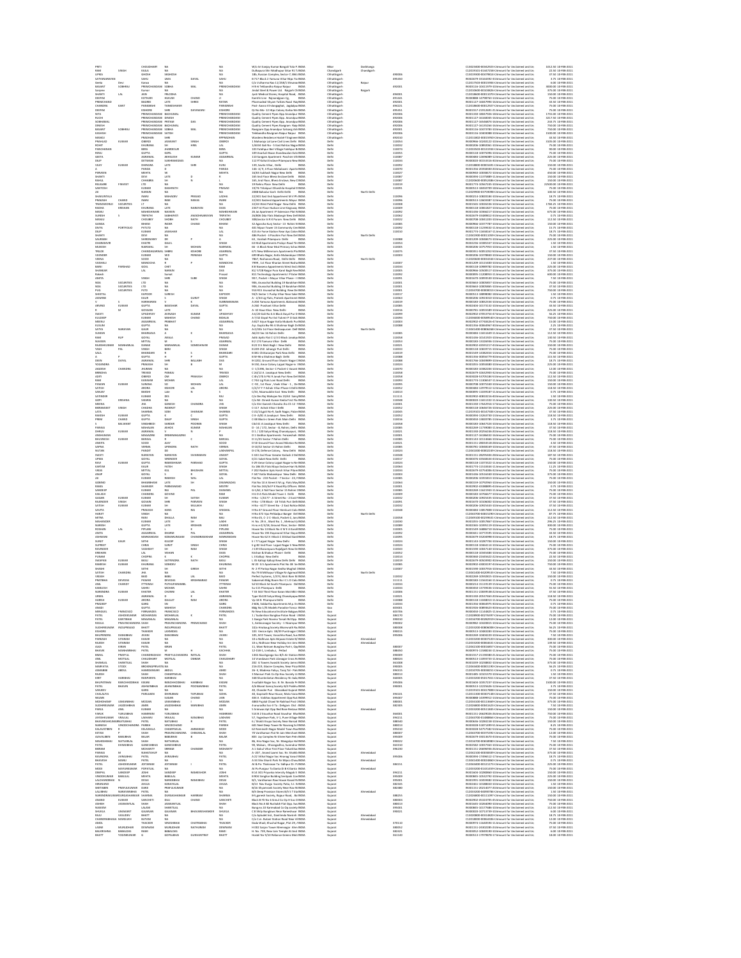| PRITI<br>RAM<br>LIPIKA                                                                                  | SINGE                                      | CHOUDHARY<br>KAJLA<br>GHOSH                                        | NA<br>NA<br>SKGHOSH<br>UMA              |                              | NA<br>INA<br>NA<br>SAHU               | W/o Sri Sanjay Kumar Bangali Tola P.(NDM<br>Prys an amply numer semper root Partish<br>Dalhapura Shir Modhupur Sikar 91 TaWDIA<br>185, Russian Complex, Sector-7, BhilaWDIA<br>8 717 Block 2 Yamuna Vihar Nipc TovINDIA                          | <b>Bihan</b>                                 | Darbhane<br>Chandiga   | sonne                                                     | C13023400-00342923-0Amount for Unclaimed and Un<br>C12019101-01447258-0Amount for Unclaimed and Un<br>C12019101-01447258-0Amount for Unclaimed and Un<br>C13019300-00479814-0Amount for Unclaimed and Un<br>IN302679-33164392-33 Amount for Unclaimed and Un                       | 1012.50 10-FEB-2011<br>22.50 10-FEB-2011<br>37.50 10-FEB-2011<br>3.75 10-FEB-2011   |
|---------------------------------------------------------------------------------------------------------|--------------------------------------------|--------------------------------------------------------------------|-----------------------------------------|------------------------------|---------------------------------------|--------------------------------------------------------------------------------------------------------------------------------------------------------------------------------------------------------------------------------------------------|----------------------------------------------|------------------------|-----------------------------------------------------------|------------------------------------------------------------------------------------------------------------------------------------------------------------------------------------------------------------------------------------------------------------------------------------|-------------------------------------------------------------------------------------|
| SATYANI<br>Geeta                                                                                        | Devi                                       | SAHU<br>Karwa                                                      | NA                                      | DAYAL                        | NA                                    | C/o V.dharma Rao 11/258/1 ShivanarNDIA                                                                                                                                                                                                           | Chhattisgarh                                 | Raipur                 | 495450                                                    | C12017503-00015904-0Amount for Unclaimed and Un                                                                                                                                                                                                                                    | 6.00 10-FEB-2011                                                                    |
| BASANT<br>Saniee                                                                                        | SOBHRA                                     | PREMOHANDANI<br>Kuma                                               | SOBHA<br>NA                             | MAL.                         | PREMCHANDANI<br>NA                    | H N-6 Telibandha Raipur Raipur<br><b>INDIA</b><br>Jindal Steel & Power Ltd. Raigarh ChINDIA                                                                                                                                                      | Chhattisgarh<br>Chhattisgarh                 | Raissich               | 492001                                                    | IN303116-10411979-10 Amount for Unclaimed and Un<br>C12010600-00103826-0Amount for Unclaimed and Un                                                                                                                                                                                | 3000.00 10-FEB-2011<br>375.00 10-FEB-2011                                           |
| SHANTI                                                                                                  | LA                                         | IAIN<br>KOTHARI                                                    | FRLODHA<br>HUKUM<br>LATE<br>TANKESHWER  | CHAND                        |                                       | sman seem a Yoren susanno (1980)<br>Kemthi Line - Rajnandgaon Cg, - INDIA<br>Pharmadeal Shyam Talkies Road - RajpArDIA<br>Post- Aasna Vil-dongaghat, JagdalpurNDIA<br>Post- Aasna Vil-dongaghat, JagdalpurNDIA                                   | <b>Chhattisgari</b><br>Chhattisgari          |                        | sson:<br>491441                                           | C12018600-00011070-0Amount for Unclaimed and United States (21018600-00011070-0Amount for Unclaimed and United States (21018600-00011070-0Amount for Unclaimed and United States (21018600-00012927-0Amount for Unclaimed and                                                      | 150.00 10-FEB-2011<br>75.00 10-FEB-2011<br>43.50 10-FEB-2011<br>75.00 10-FEB-2011   |
| PREMCHAND<br>CHANDRA                                                                                    | KANT                                       | BAGREE<br>PANIGRAHI                                                |                                         | SHREE                        | -<br>RATAN<br>PANIGRAH                |                                                                                                                                                                                                                                                  | Chhattisgarh<br>Chhattisgarh                 |                        | 492001<br>494221                                          | IN301557-21912691-21 Amount for Unclaimed and Un                                                                                                                                                                                                                                   |                                                                                     |
| DEEPAK<br><b>NITA</b><br>RUCHE                                                                          |                                            | SROHZDI<br>PREMOHANDANI BACHUMAI<br>PREMOHANDANI DINESH            | SHRI                                    | DAYAWANI                     | KISHORE<br>PREMCHANDAN<br>PREMCHANDAN | Qr No Mo-12 Htps Colony Korba WelNDIA<br>Quality Cement Pipes Opp Anandour INDIA<br>Quality Cement Pipes Opp. AnandpurINDIA                                                                                                                      | Chhattisgarh<br>Chhattisgarh<br>Chhattisgarh |                        | 495451<br>492006<br>492006                                | IN301330-18047926-18 Amount for Unclaimed and Un<br>IN301127-16160045-164mmmt for Unclaimed and Un                                                                                                                                                                                 | 75.00 10-FEB-2011<br>1755.00 10-FEB-2011<br>3217.50 10-FEB-2011                     |
| SOBHAMA                                                                                                 |                                            | PREMOHANDANI PRITAM                                                |                                         | DAS                          | PREMCHANDAN                           | Quality Cement Pipes Opp. AnandpuriNDIA<br>Quality Cement Pipes Ravigram RaipsNDIA<br>Ravigram Opp Anandpur Satsang AshiNDIA                                                                                                                     | Chhattisgart                                 |                        | 492001<br>49200                                           | IN301127-16540345-16 Amount for Unculating and Unit<br>IN301127-16546874-16 Amount for Unclaimed and Unit<br>IN301127-16185264-16 Amount for Unclaimed and Unit                                                                                                                    | 243.75 10-FEB-2011                                                                  |
| DINESH<br>BASANT<br>KASHISH                                                                             | SOBHRA                                     | PREMOHANDANI BACHUMAL<br>PREMOHANDANI SOBHA<br>PREMOHANDANI SATISH |                                         | MAG                          | PREMCHANDAN<br>PREMCHANDAN            | Telebandha Ravigram Raipur Raipur INDIA                                                                                                                                                                                                          | Chhattisgarh<br>Chhattisgarh<br>Chhattisgarh |                        | 492001<br>492006                                          | IN303116-10403088-10Amount for Unclaimed and Un                                                                                                                                                                                                                                    | 750.00 10-FEB-2011<br>750.00 10-FEB-2011<br>1500.00 10-FEB-2011                     |
| MANOJ<br>PRAHLAD                                                                                        | KUMAR                                      | PRADHAN<br>OBEROI                                                  | SHRI<br><b>JASWANT</b>                  | SINGH                        | RPPRADHAN<br>OBERDI                   | Wardens Residence Hostel-f EngineerINDIA<br>1 Maharaja Lal Lane Civil Lines Delhi INDIA                                                                                                                                                          | Chhattiseach<br>Delhi                        |                        | 492010<br>110054                                          | C12011802-00015950-0Amount for Unclaimed and Un<br>IN300966-10240122-10 Amount for Unclaimed and Un                                                                                                                                                                                | 43.50 10 FEB-2011<br>3105.00 10-FEB-2011                                            |
| ROHIT<br>PANCHANAN                                                                                      |                                            | CHURANA                                                            | ŚH                                      | HIRA                         | LАL                                   | 1/6334 Gali No - 5 East Rohtas Nagar/NDIA                                                                                                                                                                                                        | Delhi                                        |                        | 110032<br>110074                                          | IN300206-10892061-10Amount for Unclaimed and Un<br>C12033503-00131934-0Amount for Unclaimed and Un<br>IN300118-10075096-10Amount for Unclaimed and Un                                                                                                                              | 75.00 10-FEB-2011                                                                   |
| RENU<br>GEETA                                                                                           |                                            | BERA<br>GUPTA<br>AGRAWA                                            | JHARDESUR<br>KAPIL<br>AKHELESH          | KUMAR                        | BERA<br>GUPTA<br>AGGARWAI             | 103 Fatehpur Beri Village Fatehpur BdNDIA<br>109 Anarkali Bazar Jhandewalan ExtriNDIA<br>110 Sangam Apartment Paschim VihlNDIA<br>112 Ff Kohat Enclave Pitampura New INDIA                                                                       | Delhi<br>Delhi<br>Delh                       |                        | 110055<br>110087                                          | IN300484-12696089-12 Amount for Unclaimed and Un                                                                                                                                                                                                                                   | 90.00 10-FEB-2011<br>75.00 10-FEB-2011<br>225.00 10-FEB-2011                        |
| DILIP<br>VUAY                                                                                           | KUMAR                                      | DETWANI<br>DHINGRA                                                 | SUKHRAMDASS<br>LATE                     | SHR                          | NA<br>KUNJ                            | 139, Savita Vihar, Delhi<br>INDIA                                                                                                                                                                                                                | Delh<br>Delh                                 |                        | 110034<br>110092                                          | IN300020-30153316-30 Amount for Unclaimed and Un<br>C12018800-00001691-0Amount for Unclaimed and Un                                                                                                                                                                                | 75.00 10-FEB-2011<br>150.00.10/ER-2011                                              |
| PERVEEN                                                                                                 |                                            | PANDA<br>MEHTA                                                     | VK<br>LATE                              |                              | PANDA<br>MÉHTA                        | 186, AV9, Il Floor Mahalasmi Apartr<br>16/65 Subhash Nagar New Delhi<br>165 lind Floor Bhera Enclave Delhi                                                                                                                                       | Delhi<br>Delhi<br>Delhi                      |                        | 110070<br>110027                                          | C. 2018800-00001091-044100111 for Unclaimed and Unit<br>IN101356-20358300-204 Amount for Unclaimed and Unit<br>IN100340-10038472-10 Amount for Unclaimed and Unit                                                                                                                  | 75.00 10 FEB 2013<br>450.00 10-FEB-2011<br>150.00 10-FEB-2011                       |
| SHANTI<br>RAHUL                                                                                         |                                            | DEVI<br>CHHABRA                                                    | SH<br>NA                                | D<br>N                       |                                       | 165, lind Floor, Bhera Enclave, New DINDIA                                                                                                                                                                                                       | Delh                                         |                        | 110087<br>110087                                          | C12020600-00052486-0Amount for Unclaimed and Un                                                                                                                                                                                                                                    | 150.00 10-FEB-2011                                                                  |
| RELIGARE<br>SANTOSH                                                                                     | FINVEST                                    | LTD<br>KUMAR                                                       | DASHRATH                                |                              | NA<br>PRASAD                          | 19 Nehru Place New Delhi<br>INDIA<br>19/26 Trilokress Dharshila Hoseital DINDIA                                                                                                                                                                  | Delh<br>Delh                                 |                        | 110019<br>110091                                          | IN301774-10567245-10 Amount for Unclaimed and Un<br>IN300513-18450709-18 Amount for Unclaimed and Un                                                                                                                                                                               | 22500.00 10-FEB-2011<br>75.00 10-FEB-2011                                           |
| .<br>Jai<br>Shakuntala                                                                                  |                                            | NARAIN<br>INANI                                                    | NA<br>MAHADEV                           | PRASAD                       | NA<br>LADHA                           | 2019 Bahadur Garh Delhi Delhi<br>22/303 Bahadur Garh Delhi Delhi<br>22/303 East End Appartment M V PhiNDIA<br>22/44 West Patel Nagar New Delhi INDIA                                                                                             | Dehi<br>Dehi<br>Dehi<br>Dehi                 | North Delh             | 110096                                                    | =120239000-03759098-0Amount los Unclaimed and Unit<br>C12029000-03759098-0Amount for Unclaimed and Unit<br>N300214-10820184-10Amount for Unclaimed and Unit<br>N300513-12603387-12Amount for Unclaimed and Unit                                                                    | 100.50 10-FEB-2011<br>18.75 10-FEB-2011<br>75.00 10-FEB-2011<br>1784.25 10-FEB-2011 |
| PRAKASH<br><b>TRANSWORL</b><br>RADHA                                                                    | ohand<br>Securities<br>KRISHAN             | INANI<br>LT<br>CHURANA                                             | RAM<br>LATE                             | <b>NIWAS</b><br>NARAYAN      | INANI<br>NA<br>DASS                   | 2347 Ist Floor Hudson Line Kingsway (NDIA                                                                                                                                                                                                        | Delh                                         |                        | 110096<br>110008<br>110009                                | IN300118-10061827-10 Amount for Unclaimed and Un                                                                                                                                                                                                                                   | 75.00 10-FEB-2011                                                                   |
| MANU<br>sunes-                                                                                          | ś                                          | MAHESHWAA<br>TRIPATHI                                              | NAVEEN<br>SABHAPATI                     | <b>MAILEY</b>                | MAHESHWAR<br>TRIPATHI                 | 26 Jai Apartment   P Extension Plot NINDIA<br>26/806 Dda Flats Madaneir New DelhNDM                                                                                                                                                              | Delh<br>Delh                                 |                        | 110092<br>110062                                          | IN301436-10366217-10 Amount for Unclaimed and Un<br>IN302679-33489812-33 Amount for Unclaimed and Un                                                                                                                                                                               | 675.00.10.658.2011<br>0.25.10.668.2011                                              |
| <b>MANJL</b>                                                                                            |                                            | CHOUSE <sup>1</sup>                                                | SHOBH                                   | NATH<br>CHAND                | сноиве<br><b>BIHANI</b>               | Statistics Hart Handley Help Dentroise<br>308/sector II R K Puram New Delhi INDIA<br>32 Agaroha Kunj Sector- 13 Rohini NKNDIA<br>401 Nipun Tower 15 Community CentRDIA                                                                           | Delhi<br>Delhi<br>Delhi                      |                        | 110022<br>110085                                          | 8200708-10041203-10Amount for Unclaimed and University 000106-10377787-10Amount for Unclaimed and University 000118-11239432-11Amount for Unclaimed and University 000118-11239432-11Amount for Unclaimed and Univ                                                                 | 112.50 10-FEB-2011<br>150.00 10-FEB-2011<br>15.75 10-FEB-2011                       |
| GANGA<br>DIVYA<br>DILIP                                                                                 | PORTFOLIO                                  | BHANI<br>PVTLTD<br><b>KAMUX</b>                                    | INDER<br>NA<br><b>JAWAHAR</b>           |                              | NA<br>LAL                             | 415 Air Force Station Near Aps ColonINDIA                                                                                                                                                                                                        | Delh                                         |                        | 110092<br>110010                                          | IN301774-11658167-11 Amount for Unclaimed and Un                                                                                                                                                                                                                                   | 18.75 10-FEB-2011                                                                   |
| SHANTI<br>SAURABE                                                                                       |                                            | DEVI<br>SHIROMANY                                                  | NA<br>DR                                | ò.                           | NA<br>A                               | $418$ Arr rotes station from the AS Poisse AS $\frac{1}{2}$ And $\frac{1}{2}$ And As $\frac{1}{2}$ And As $\frac{1}{2}$ And As $\frac{1}{2}$ And Agartments Problem from the SA Mall Agartments Problem and Time Day Road Pinnary School NDA 671 | Delhi<br>Delhi                               | North Delhi            | 110088                                                    | C12041900-00011059-0Amount for Unclaimed and Un<br>IN301209-10048473-10Amount for Unclaimed and Un                                                                                                                                                                                 | 75.00 10 FEB-2011<br>225.00 10 FEB-2011                                             |
| DHARAMY<br>MUKESH                                                                                       |                                            | CHATRE                                                             | DALEL<br>ŚH                             |                              | n<br>Singh<br>Nainwal<br>Againwal     |                                                                                                                                                                                                                                                  | Delhi                                        |                        | 110054<br>110005                                          | IN302236-10383347-10 Amount for Unclaimed and Unit<br>IN302236-10383347-10 Amount for Unclaimed and Unit<br>IN300351-50051052-50 Amount for Unclaimed and Unit                                                                                                                     | 1.50 10-FEB-2011                                                                    |
| TRILOR<br>VUENDER                                                                                       |                                            | NAINWAL<br>CHANDAG<br><b>KUMAR</b>                                 | SHBN<br>VED                             | MOHAN<br>KISHORE<br>PERKASH  | <b>GUPTA</b>                          | 699 Bhola Nagar, Kotla Mubarakpur DNDIA                                                                                                                                                                                                          | Delhi<br>Delhi<br>Delhi                      |                        | 110075<br>110003                                          | IN300206-10378840-10 Amount for Unclaimed and Un                                                                                                                                                                                                                                   | 1.50 10-FEB-2011<br>37.50 10-FEB-2011<br>150.00 10-FEB-2011                         |
| VEENA<br>VAISHAU                                                                                        |                                            | 5000<br>MANOCHA                                                    | NA                                      |                              | NA.<br>MANOCHA                        | 7867, Roshanara Road, Delhi Delhi INDIA<br>7999 . 1st Floor Kharian Street RosharNDIA                                                                                                                                                            | Delhi<br>Delh                                | North Delhi            | 110007                                                    | C12020600-00034344-0Amount for Unclaimed and Un<br>IN301209-10115400-10 Amount for Unclaimed and Un                                                                                                                                                                                | 237.00 10-FEB-2011<br>1.50 10 FEB-2011                                              |
| BAINI<br>Shankar                                                                                        | PARSHAD                                    | GOEL<br>LAL                                                        | CHET<br>NARAI                           |                              | RAM<br>DAS                            | 7999 , tat Hoor Kharian Street HoshalMDIA<br>8.8 Navieria Appartments West EnclahMDIA<br>8.1/5728 Raigar Pura Karol Bagh NewINDIA<br>8.11 Nechniclopy Apartments I P ExterPIDIA<br>9.05, Arunachal Building 19 BarakhamINDIA<br>9.06, Arunach    | Delhi<br>Delhi<br>Delhi                      |                        | 110034<br>110005                                          | 8200118-10989782-10 Amount for Unclaimed and University 200118-10989782-10 Amount for Unclaimed and University 200055-11208953-11 Amount for Unclaimed and University 2000953-11208953-11 Amount for Unclaimed and University                                                      | 225.00 10-FEB-2011<br>375.00 10-FEB-2011<br>600.00 10-FEB-2011                      |
| <b>AMITA</b>                                                                                            |                                            | SINGH                                                              | Sumat<br>SHRI                           | SUBE                         | Prasad<br>SINGH                       |                                                                                                                                                                                                                                                  | Delh                                         |                        | 110092<br>110091                                          | IN301670-10093530-10Amount for Unclaimed and Un                                                                                                                                                                                                                                    | 7.50 10-FEB-2011                                                                    |
| NDA<br><b>NDA</b>                                                                                       | securimes<br><b>SECURITIES</b>             | LTD<br>LTD                                                         | NA<br><b>NA</b>                         |                              | NA<br>NA                              |                                                                                                                                                                                                                                                  | Delh<br>Delh                                 |                        | 110001<br>110001                                          | IN303663-10005857-10 Amount for Unclaimed and Un<br>INTO 9663-10005865-10-Amount for Unclaimed and Uni                                                                                                                                                                             | 75.00 10-FEB-2011<br>37.50 10 FEB-2011                                              |
| PUG<br>SHEETAL                                                                                          | securimes                                  | PLTD<br>KAPOOR<br>KAUR                                             | NA<br>SURESH                            |                              | NA<br>KAPOOR                          | 905, Arunachal Bailding 19 BarakhamPulus<br>1905, Arunachal Bailding New DelWDIA<br>1945 Sector 1 Pushp Vihar Near SaketNDIA<br>1945 Sector 1 Pushp Vihar Near SaketNDIA<br>1947 A 200 Yankant Vihar Delhi<br>1940 A 200 Yankant Vihar Delhi<br> | Deh<br>Deh                                   |                        | 110001<br>110013                                          | =120347906 00000013-0Amount for Unclaimed and University 0000013-0Amount for Unclaimed and University 0000013-0Amount for Unclaimed and University 0000023-108-mount for Unclaimed and University 000033-10832334-10Amount for                                                     | 750.00 10-FEB-2011<br>1.50 10-FEB-2011<br>0.75 10-FEB-2011<br>75.00 10-FEB-2011     |
| JASMINI                                                                                                 |                                            | HARIHARAN                                                          |                                         | GURIN                        | SINGH<br><b>SUBRAT</b>                |                                                                                                                                                                                                                                                  | Delhi<br>Delhi                               |                        | 110063<br>110019                                          |                                                                                                                                                                                                                                                                                    |                                                                                     |
| ARVINO                                                                                                  | KUMAR<br>M                                 | <b>GUPTA</b><br>GOSSAIN                                            | BASESHAR<br>LATE                        | DAYAL                        | <b>GUPTA</b>                          | A-42 Hauz Khas New Delhi<br>INDM                                                                                                                                                                                                                 | Delh<br>Delh                                 |                        | 110085<br>110016                                          | IN302404-10173132-10 Amount for Unclaimed and Un<br>IN300781-10055589-10 Amount for Unclaimed and Un                                                                                                                                                                               | 43.50 10-FEB-2011<br>225.00.10.658.2011<br>56.25.10.658.2011                        |
| SWATI<br>KULDEER                                                                                        |                                            | <b>UPADHYAY</b><br>.<br>Kumar                                      | AVINASH<br>MAHESH                       | KUMAR<br>CHAND               | UPADHYAY<br><b>GYAN</b><br>BIDALIA    | A 6/20 Gali No 6 A Block Daval Pur DiNDIA<br>A 6/20 Gall NO 6 A BIOCK Dayal Por DINDIA<br>A 7/42 Dayal Pur Ext Tukmir P O GokiNDIA<br>A 827 Arjun Nagar Kotla Mubarik PuriNDIA<br>Ap. Gupta Bw 96 A Shalimar Bagh DeINDIA                        | Delh<br>Delhi                                |                        | 110095<br>110094                                          | IN302902-47053754-47Amount for Unclaimed and Un                                                                                                                                                                                                                                    | 750.00 10-FEB-2011                                                                  |
| MEENU<br>KUSUM                                                                                          |                                            | AGGARWAL<br>GUPTA                                                  | PRABHA'<br>NA                           |                              | AGGARWA<br>NA                         |                                                                                                                                                                                                                                                  | Delhi<br>Delhi                               |                        | 110003<br>110088                                          | <b>Example 2021</b><br>C12036000-00589540-0 <i>Amount</i> for Unclaimed and Unit<br>M302902-47740426-47 <i>Amount</i> for Unclaimed and Unit                                                                                                                                       | 15.00 10-FEB-2011<br>2.25 10-FEB-2011                                               |
| SATYA<br>SUMAN<br>RAM                                                                                   | NARAYAN<br><b>RUP</b>                      | GAUR<br>BHARGAVA<br>GOYAL                                          | NA<br><b>JWALA</b>                      | x                            | NA<br>BHARGAVA<br>PRASAD              | A-2/33b 1st floor Keshayouram DelhiNDIA<br>A6/23 Sec 16 Rohini Delhi<br>INDIA<br>Aditi Aptts Flat C-1/3 D Block JanakouNDM                                                                                                                       | Delh<br>Delh<br>Delh                         | North Delhi            | 110085<br>110058                                          | C13041400-00806268-0Amount for Unclaimed and Un<br>IN300484-11651649-11 Amount for Unclaimed and Un<br>IN301436-10141923-10 Amount for Unclaimed and Un                                                                                                                            | 37.50 10-FEB-2011<br>112.50 10 FEB-2011<br>130 SO 10-FEB-2011                       |
| NAVERS                                                                                                  |                                            | <b>MITTAL</b>                                                      |                                         |                              | AGARWAL                               | INDIA                                                                                                                                                                                                                                            | Delh                                         |                        | 110051                                                    |                                                                                                                                                                                                                                                                                    | 75.00 10-FEB-2011                                                                   |
| RAJESHKUMAI<br>YASH                                                                                     | PAL                                        | DANAK<br>SINGH                                                     | MAN<br>BANI                             | SOMES                        | DANAK<br>SINGH                        | 12 174 Yamuna Vihar Delhi<br>8 2 174 Yamuna Vihar Delhi<br>8 249-250 Jahangir Puri Delhi<br>INDV<br>INDV                                                                                                                                         | Delhi<br>Delhi                               |                        | 110021<br>110033                                          | 8200183-13326936-138 Amount for Unclaimed and University PA100183-13326936-138<br>Photom for Unclaimed and University PA100118-10659715-10 Amount for Unclaimed and University P                                                                                                   | 150.00 10-FEB-2011<br>75.00 10-FEB-2011                                             |
| SALIL<br>DEEN                                                                                           | DAYAL                                      | BHANDARI<br><b>GUPTA</b><br>AGRAWA                                 | SHRI                                    | BALLABH                      | BHANDARI<br><b>GUPTA</b><br>DAS       | B 381 Chittaranjan Park New Delhi<br>INDIA<br>8 W-96-a Shalimar Bagh Delhi<br>INDIA<br>8-1202, Ground Floor Shastri Nazar DINDIA                                                                                                                 | Delh<br>Delh<br>Delh                         |                        | 110019<br>110088<br>110088                                | IN301549-14382454-14 Amount for Unclaimed and Un<br>IN301356-30056779-30 Amount for Unclaimed and Un<br>IN301766-10049899-10Amount for Unclaimed and Un                                                                                                                            | 75.00 10-FEB-2011<br>115.50 10-FEB-2011<br>18.75 10 FEB-2011                        |
| YOGENDRA<br>JAGOISH                                                                                     | CHAND                                      | PRAKASH<br>JHURANI                                                 | SH<br>NA                                |                              |                                       |                                                                                                                                                                                                                                                  |                                              |                        | 110024<br>110070                                          |                                                                                                                                                                                                                                                                                    | 1875 10-FEB-2011<br>225.00 10-FEB-2011<br>12.00 10-FEB-2011                         |
| <b>BRINDHA</b>                                                                                          |                                            | TRIVEDI                                                            | PANKAL                                  |                              | M<br>M<br>TRIVEDI                     | C-4h/170 A Pkt 9 Janak Puri New DellINDIA                                                                                                                                                                                                        | Delhi<br>Delhi<br>Delhi                      |                        | 110058                                                    | IN300165-10050480-100 Amount for Unclaimed and University IN300183-10050480-100 Amount for Unclaimed and University IN300579-32632903-324 mount for Unclaimed and University IN302679-32632903-324 mount for Unclaimed and Uni<br>IN303028-53705184-53 Amount for Unclaimed and Un |                                                                                     |
| <b>ADITI</b><br>RAM<br>PAWAN                                                                            | KUMAR                                      | OBEROI<br>KANWAS<br>SURANA                                         | OM<br>MOHAN<br>so                       | PRAKASH<br>MOHAN             | OBEROI<br>LAL<br><b>LAL</b>           | C 744 Lig Flats Loni Road Delhi<br>INDIA<br>C-92, 1st floor, Vivek Vihar-1, DelNDIA                                                                                                                                                              | Delh<br>Delh<br>Delh                         |                        | 110058<br>110093<br>110095                                | IN301774-11306547-11 Amount for Unclaimed and Un<br>IN300708-10075340-10 Amount for Unclaimed and Un                                                                                                                                                                               | 112.50 10-FEB-2011<br>150.00 10-FEB-2011<br>150.00.10/EE2011                        |
| SATISH<br>SANJAY                                                                                        |                                            | ARORA<br>BAKSHI                                                    |                                         | uu.                          | ARORA                                 |                                                                                                                                                                                                                                                  | Deh<br>Deh                                   |                        | $\begin{array}{c} 110052 \\ 110013 \\ 111111 \end{array}$ |                                                                                                                                                                                                                                                                                    | 118.50 10-FEB-2011<br>0.75 10-FEB-2011                                              |
| SATINDER<br>COM                                                                                         | KRISHN                                     | kumar<br>Sikaria                                                   | SU<br>KISHOR<br>Late<br>DES<br>NA       |                              | RAJ<br>NA                             | C/2/17 F F Ashek Vihar Phase II Dalhi INDIA<br>C/33, Nizamuddin East New Delhi - INDIA<br>C/53, Nizamuddin East New Delhi - INDIA<br>C/6 Mr. Dinesh Kumar Kedia First FlorINDIA                                                                  | Delhi<br>Delhi                               |                        | 110048                                                    | =1000164-12979512-12Amount los Unclaimed and Unit<br>N300484-12979512-12Amount for Unclaimed and Unit<br>N300395-11039187-11Amount for Unclaimed and Unit<br>N3002902-40810216-40Amount for Unclaimed and Unit                                                                     | 1.50 10-FEB-2011<br>130.50 10-FEB-2011                                              |
| MEENA<br><b>BIKRAMJEET</b>                                                                              | SINGH                                      | <b>HA</b><br>CHADHA                                                | GANESH<br>INDERIO                       | CHANDIU                      | <b>JHA</b><br>SINGH                   | C/o Shri Ganesh Chandra Jha Ch 12 FINDIA<br>C-117 Ashok Vihar I Delhi<br>INDIA                                                                                                                                                                   | Delh<br>Delh                                 |                        | 110001<br>110052                                          | IN301330-17642916-17 Amount for Unclaimed and Un<br>IN300118-10646726-10 Amount for Unclaimed and Un                                                                                                                                                                               | 75.00 10-FEB-2011<br>225.00 10 FEB-2011                                             |
| LATA<br>RAKESE                                                                                          | <b>CIMA</b>                                | SHARMA                                                             | som                                     | SHANKA                       | <b>SHARMA</b>                         | C-22/14 pali No-9, Sadh Nasar, PalamINDIA                                                                                                                                                                                                        | Delh                                         |                        | 110045<br>110052                                          | C12019101-00147304-0Amount for Unclaimed and Un                                                                                                                                                                                                                                    | 37.50 10 FEB-2011                                                                   |
| PREM                                                                                                    | CHAND<br>BALWANT                           | <b>GUPTA</b><br>GUPTA<br>SINGHBED                                  | DALIP<br>SARDAR                         | SINGH<br>POORAN              | GUPTA<br>GUPTA<br>SINGH               | C-Layenger New Jean Pager, Pennisson<br>C-3-A/81 A Janakpuri New Delhi MDIA<br>C-38 Block-c Green Park Main Delhi MDIA<br>C4d 41 A Janakpuri New Delhi MDIA                                                                                      | Delhi<br>Delhi<br>Delhi                      |                        | 110016<br>110058                                          | Exposure 2004-2004 and the Unclaimed and University 2003594-13263730-13 Amount for Unclaimed and University 2004550-13820785-13 Amount for Unclaimed and University 200183-10647324-10 Amount for Unclaimed and University                                                         | 118.50 10-FEB-2011<br>3.75 10-FEB-2011<br>118.50 10-FEB-2011                        |
| PANKAJ<br><b>DHRUN</b>                                                                                  | KUMAR                                      | MAHAJAN<br>AGRAWA                                                  | ASHOK                                   | KUMAR                        | MAHAJAN                               | D - 14 / 172, Sector - 8, Rohini, Delhi INDIA                                                                                                                                                                                                    | Delh<br>Delh                                 |                        | 110085<br>110021                                          | IN302269-11739083-11 Amount for Unclaimed and Un<br>IN301330-20256246-20 Amount for Unclaimed and Un                                                                                                                                                                               | 37.50 10-FEB-2011<br>118.50 10 FEB-2011                                             |
| ANSHUMAN<br><b>BHUVNESH</b>                                                                             | KUMA                                       | MAGAZINE<br><b>BANSAL</b>                                          | <b>DRMKMAGAZINE</b>                     |                              | .<br>NA<br>BANSAL                     | D 1 / 120 Satya Marg Chanakyapuri, INDIA<br>D 1 Girdhar Apartments Ferozeshah INDIA<br>D 11/35 Sector 7 Rohini Delhi<br>INDV                                                                                                                     | Delh<br>Delhi                                |                        | 110001                                                    | IN301127-16186432-16 Amount for Unclaimed and Un                                                                                                                                                                                                                                   | 75.00 10 FEB 2011                                                                   |
| ankita<br>Sapna                                                                                         |                                            | SOOD<br>VERMA                                                      | AIAY<br>UPENDRA                         | NATH                         | soop<br>VERMA                         | D 50 Ground Floor Anand Niketan NelNDIA<br>D-10/32 Sector-15 Rohini Delhi NDIA                                                                                                                                                                   | Delhi<br>Delhi                               |                        | 110085<br>110021<br>110085                                | IN301143-10114666-10 Amount for Unclaimed and Unit<br>IN301151-28034518-28Amount for Unclaimed and Unit<br>IN301781-10048169-10 Amount for Unclaimed and Unit                                                                                                                      | 75.00 10-FEB-2011<br>4.50 10-FEB-2011<br>37.50 10-FEB-2011                          |
| NUTAN<br>SWATI                                                                                          |                                            | PANDIT<br>NARAYAN                                                  | DD<br>NARAYAN                           | SIVARAMAN                    | LAKHANPAL<br>ANANT                    | D-178, Defence Colony, New Delhi INDIA<br>E 433 2nd Floor Greater Kailash 2 DeltNDIA                                                                                                                                                             | Delhi<br>Delh                                |                        | 110024<br>110048                                          | C12041000-00002249-0Amount for Unclaimed and Un<br>IN301151-28295404-28 Amount for Unclaimed and Un                                                                                                                                                                                | 118.50 10-FEB-2011<br>187.50 10-FEB-2011                                            |
| UPMA<br><b>BAVI</b>                                                                                     | KUMA                                       | GOYAL                                                              | VIRENDER                                | PARSHAI                      | GOYAL                                 | E/21 Salort New Delhi Delhi<br>INDIA                                                                                                                                                                                                             | Delh                                         |                        | 110017                                                    | IN300476-43560634-43 Amount for Unclaimed and Un                                                                                                                                                                                                                                   | 75.00 10 FEB-2011<br>150.00 10 FEB-2011                                             |
| KARTAE<br>VIKAS                                                                                         |                                            | GUPTA<br>GUPTA<br>MITTAL                                           | KAMESHI<br>FATEH<br>KUL.                | BHUSHAI                      | GUPTA<br>SINGH<br>MITTAL              | E-20 American Detri Detri<br>E-29 American Valgar Nagar-iv NetNDIA<br>E-202 Rashmi Apts Harsh Vihar Pitam(NDIA<br>F-202 Rashmi Apts Harsh Vihar Pitam(NDIA                                                                                       | Dehi<br>Dehi<br>Dehi                         |                        | 110024<br>110054<br>110034                                | 8200118-11073322-116/mount for Unclaimed and University PA100118-11073322-116/mount for Unclaimed and University PA102679-32754006-324 mount for Unclaimed and University PA102679-32754006-324 mount for Unclaimed and Univer                                                     | 11.25 10-FEB-2011<br>75.00 10-FEB-2011                                              |
| ANUP<br>1AL                                                                                             |                                            | GOYAL<br>KUMAR                                                     | RAMESH                                  | WAL                          | GOYAL<br>LAL                          | F 447 Kotla Mubarakpur New Delhi INDIA<br>Flat No - 233 Pocket - 7 Sector - 23, RINDIA                                                                                                                                                           | Delh<br>Delh                                 |                        | 110003<br>110085                                          | IN301436-10516340-10 Amount for Unclaimed and Un<br>IN300206-10355813-10 Amount for Unclaimed and Un                                                                                                                                                                               | 375.00 10-FEB-2011<br>75.00 10 FEB-2011                                             |
| COBIND<br>.<br>SANDEEP                                                                                  |                                            | BHAMBHANI<br>SHANKER<br>KUMAR                                      | LATE<br><b>PARIM</b><br>RAJ             | SH.                          | <b>DWARKADAS</b><br>MISTRY<br>DAWARA  | Flat No 10 A Street E M.i.g. Flats May(NDIA                                                                                                                                                                                                      | Delh                                         |                        | 110064<br>110001<br>110085                                | IN300159-10792963-10 Amount for Unclaimed and Un                                                                                                                                                                                                                                   | 150.00 10 FEB-2011                                                                  |
| KALASH<br>GAGAN                                                                                         |                                            | CHANDRA                                                            | GOVING                                  | PAL                          | RAM<br>KUMAR                          | Filir No 244/5d P K Road Riy Officers INDIA<br>6-1/62, ii Nd Floor Sector 15 Rohini DNDIA<br>H No - 1/6177 - A Street No - 2 East RNDIA<br>H No - 1/6177 - A Street No - 2 East RNDIA                                                            | Dehi<br>Dehi<br>Dehi<br>Dehi                 |                        | 110005                                                    | 8302902-43388895-43Amount for Unclaimed and University R302902-43388895-43Amount for Unclaimed and University R302903-110Amount for Unclaimed and University R300183-10766677-10Amount for Unclaimed and University R300205-10                                                     | 0.75 10-FEB-2011<br>75.00 10-FEB-2011<br>75.00 10-FEB-2011<br>37.50 10-FEB-2011     |
| RAJENDER                                                                                                | KUMA<br>SINGH                              | KUMAR<br>GOSAIN                                                    | \$H<br>SHRI                             | SATISH<br>PARVEEN            | SINGH                                 | H No - 178 Block - 18 Trilok Puri DelhiNDIA                                                                                                                                                                                                      | Delh                                         |                        | 110032<br>110091                                          | IN301670-10106002-10 Amount for Unclaimed and Un                                                                                                                                                                                                                                   | 37.50 10-FEB-2011                                                                   |
| SATISH<br>SAVITA                                                                                        | KUMAR                                      | KUMAR<br>PRAKASE                                                   | SH<br>HANS                              | MULAKH<br><b>KAJ</b>         | RAI<br>SINGHA                         | H No - 6177 Street No - 2 East Rohtas/NDIA<br>H No 47 Ground Floor Hernkunt ColorNDIA                                                                                                                                                            | Delh<br>Delh                                 |                        | 110032<br>110048                                          | IN300206-10925443-10 Amount for Unclaimed and Un<br>IN300484-13857808-13 Amount for Unclaimed and Un                                                                                                                                                                               | 37.50 10 FEB-2011<br>112.50.10.658.2011                                             |
| HARIT<br>MITRA                                                                                          |                                            | SINGH<br>rani<br>Kumar                                             | NA<br>DHALLA<br>LATE                    | RAM                          | NA<br>BALI<br>LAKHI                   | H No 472 Vgo Pehladpur Banger DeliNDIA<br>H No-25, C-2 C-Block, Pocket-2, JanaINDIA<br>H. No. 29 A , Ward No. 1 , Mehrauli (INDIA                                                                                                                | Delhi<br>Delhi<br>Delhi                      | North Delh             | 110058                                                    | <b>Exposure Case of the Contract Contract Contract C12044700-04815290-0/emount for Unclaimed and University C12049100-00239631-0/emount for Unclaimed and University R001055-10057867-10/emount for Unclaimed and University</b>                                                   | 87.75 10-FEB-2011<br>112.50 10-FEB-2011<br>296.25 10-FEB-2011                       |
| MAHANDEI<br>NARESH                                                                                      |                                            | <b>GUPTA</b>                                                       | LATE                                    | ŚН<br>KRISHAN                | CHAND                                 | H.no.e-2/3/18, Ground Floor, Sector-JNDIA                                                                                                                                                                                                        | Delh                                         |                        | 110030<br>110089                                          | IN302365-10395119-10 Amount for Unclaimed and Un                                                                                                                                                                                                                                   | 300.00 10-FEB-2011                                                                  |
| ROSHAN<br>ANITA                                                                                         | LAL                                        | PIPLANI<br><b>AGGARAIA</b>                                         | DHARM                                   | bar                          | PIPLANI<br>AGGARWAI                   | House No 13 Block No 4 W E A KarolBNDIA<br>House No 194 Dayanand Vihar DayanNDIA<br>House No 62 X I Block C Dilshad GardINDIA                                                                                                                    | Delhi<br>Delhi                               |                        | 110005<br>110092                                          | IN301549-16886710-16 Amount for Unclaimed and Un<br>IN300441-10772595-10 Amount for Unclaimed and Un                                                                                                                                                                               | 75.00 10 FEB-2011<br>43.50 10 FEB 2011                                              |
| ASHWAN                                                                                                  | KALIR                                      | MARKANDAN                                                          | KOMARLI<br>KULDIP<br>SURUIT             |                              | MARCANDAR                             |                                                                                                                                                                                                                                                  | Delh<br>Delhi<br>Delhi                       |                        | 11009<br>110024                                           | IN302679-33204998-33 Amount for Unclaimed and Un<br>IN301143-10287704-10Amount for Unclaimed and University 3101143-10287704-10Amount for Unclaimed and University                                                                                                                 | 18.75 10-FEB-2011<br>150.00 10-FEB-2011<br>75.00 10-FEB-2011                        |
| SURUIT<br>SUPREET<br>RAVINDER                                                                           |                                            | SETHI<br>CHRAI<br>VASHISHT                                         | <b>SH</b>                               | SINGH<br>RAM                 | SINGH<br>CHRAI<br>SINGH               | J-139 Dharampura Najafgarh New DeINDIA                                                                                                                                                                                                           | Delh                                         |                        | 110024<br>110043                                          | IN301590-10047140-10Amount for Unclaimed and Un                                                                                                                                                                                                                                    | 375.00 10-FEB-2011                                                                  |
| KRISHAN<br>PUNAM                                                                                        |                                            | LAL<br>CHOPRA                                                      | VISHAN                                  |                              | DASS<br>CHOPRA                        | Krishan & Shakun Phase I Delhi<br><b>INDIA</b><br>L 3 Kalkaji New Delhi<br>INDIA                                                                                                                                                                 | Delh<br>Delh                                 |                        | 110052<br>110014                                          | IN300118-10345484-10 Amount for Unclaimed and Un<br>IN100360-22445622-22-Amount for Unclaimed and Un                                                                                                                                                                               | 75.00 10-FEB-2011<br>22.50 10 FEB-2011                                              |
| CWARG<br><b>MARK</b>                                                                                    | <b>CIMA</b><br>01344                       | .<br>BASU<br>KHURANA                                               | SATYENDRJ<br>SOMDEV                     | NATH                         | BASU<br>KHURANA                       | L. 35 Kaikaji Kalkaji New Delhi Delhi<br>M. 20 G. 5 Apartments Plot No. 38 SeeNDIA<br>N- 2 Ff Partap Nagar Andha Mughal DNDIA                                                                                                                    | Delhi<br>Delhi<br>Delhi                      |                        | 110019<br>110085                                          | IN100360-2244-2424-2424 In Distribution of the United States (N102679-3050392-30404-2010)<br>IN102579-30503107-33 Amount for Unclaimed and United States (N102902-43003197-43 Amount for Unclaimed and Uni                                                                         | 150.00 10 FEB 2011<br>750.00 10 FEB 2011<br>43.50 10 FEB 2011                       |
| SHASH<br>SATISH                                                                                         | CHANDRA                                    | SETHI<br>JHA.                                                      | SH<br>NA                                | GIRISH                       | SETHI<br>NA.                          | No 79 B Mithapur Village Nr Agarwal INDIA<br>Perfect Systems, 1/574. Moti Ram MJNDIA                                                                                                                                                             | Delh                                         | North Delhi            | 110007                                                    | C13041400-04209533-0Amount for Unclaimed and Un                                                                                                                                                                                                                                    | 7.50 10-FEB-2011                                                                    |
| VIKASH<br>PRATIBINA                                                                                     | DEVIDAS                                    | BAID<br>PAWAR                                                      | BABU<br>DEVIDAS                         | LAL<br>KRISHNARAO            | BAID<br>PAWAR                         | Sabarmati Ride Brown No.1C1 D ColorNDIA                                                                                                                                                                                                          | Delhi<br>Delhi                               |                        | 110032<br>111111                                          | IN302269-10592815-10 Amount for Unclaimed and Un<br>IN100183-11563164-11 Amount for Unclaimed and Un                                                                                                                                                                               | 150.00 10-FEB-2011<br>0.75 10 FEB-2011                                              |
| ANIL<br>KAMLESH                                                                                         |                                            |                                                                    | PUTH<br>MOH                             |                              |                                       | Sd 50 Block Sd South Pitampura DellNDM                                                                                                                                                                                                           |                                              |                        | 110034<br>110034                                          | IN300214-15119139-15 Amount for Unclaim<br>IN300450-13739456-13 Amount for Unclaim                                                                                                                                                                                                 | -<br>15.00 10-FEB-2011<br>55.50 10-FEB-2011                                         |
| NARENDRA<br>URMIL<br>HARISH                                                                             | KUMAI<br>KUMAR                             | KHATEI<br>AGRAWA<br><b>ARORA</b>                                   | CHUNN<br>DAULAT                         | LAL<br><b>RAM</b>            | KHATER<br>AGRAWAI<br><b>ARORA</b>     | T 33 563 Third Floor Karan Mot Mkt 0NDIA<br>Type 5b120 Satya Marg ChanakyapurINDI<br>Vo-18 B Pitamoura Delhi<br>INDIA                                                                                                                            | Delhi<br>Delhi<br>Delh                       |                        | 110006<br>110021<br>110088                                | IN301151-22839538-22 Amount for Unclaimed and Un<br>IN301330-20537463-20 Amount for Unclaimed and Un<br>IN300118-11048013-11Amount for Unclaimed and Un                                                                                                                            | 37.50 10-FEB-2011<br>118.50 10-FEB-2011<br>75.00 10-FEB-2011                        |
| PRADEEP<br>ANADE                                                                                        |                                            | GARG<br><b>GUPTA</b>                                               | ŚN<br><b>MAHESH</b>                     |                              | GARG<br>CHANDRA                       | .<br>2-606, Siddartha Apartments M.p. EnINDIA<br>Bldg No 1/54 Models Paradise Tonca INDIA                                                                                                                                                        | Delh<br>Goa                                  |                        | 110034<br>403001                                          | IN301356-30064975-30 Amount for Unclaimed and Un<br>IN101926-93893623-30 Amount for Unclaimed and Un                                                                                                                                                                               | 0.75 10-FEB-2011<br>75.00 10 FEB 2011                                               |
| MINGUEL                                                                                                 | FRANCKCO<br>ASHOKKUMAR                     | FEBRANDES<br>MOHANDAS                                              | FRANCISCO                               |                              | FERNANDES<br>PATEL                    | New Educational Institute Babgue/NDM                                                                                                                                                                                                             | .<br>Goa<br>Gujarat                          |                        | 403701<br>384170                                          | N300450-11144825-11 Amount for Unclaimed and Un                                                                                                                                                                                                                                    | 0.75 10-FEB-2011                                                                    |
| PATEL<br>PATEL<br>RASILA                                                                                | KANTIBHAI<br>PRAVINCHANDRA SHAH            | MAGANLAI                                                           | MOHANLAL<br>MAGANLAL<br>PRAVINCHANDRA   | PREMCHAND                    | NA.<br>SHAH                           | .<br>1 / Sudarshan Bunglow Patan Road UNDIA<br>1 Ganga Park Novino Tarsali Rd Opp. (NDIA<br>1, Ambicanagar Society - 1 Nizampur/NDIA                                                                                                             | Gujarat<br>Gujarat                           |                        | 390010<br>390002                                          | C12028900-00276397-0Amount for Unclaimed and Un<br>C13016700-00282919-0Amount for Unclaimed and Un<br>IN300982-10420815-10 Amount for Unclaimed and Un                                                                                                                             | 75.00 10-FEB-2011<br>12.00 10-FEB-2011<br>75.00 10-FEB-2011                         |
| SUDHIRKUMA<br>KISHORE                                                                                   | <b>INDUPRASAD</b>                          | BHATT<br>THAKKER                                                   | <b>INDUPRASAD</b><br>LAXMIDAS           |                              | <b>BHATT</b><br>NA                    | 10/a Hirabaug Society Bhairvnath RoaNDIA<br>103 Venice Apts 38/39 Punitnagar CNDIA<br>105, M D Tower, Varachha Road, SuraNDIA                                                                                                                    | .<br>Gujarat<br>Gujarat                      |                        | 380008<br>390015                                          | C12033200-00806008-04mount for Unclaimed and Un<br>IN300513-10483283-10 Amount for Unclaimed and Un                                                                                                                                                                                | 56.25 10 FEB-2011<br>25.00.10.6FR.2011                                              |
| <b>BHILDFNOR</b>                                                                                        | <b>DAMIRHA</b>                             | <b>IVANI</b>                                                       | DAMUBHA                                 |                              | <b>JIVANI</b>                         |                                                                                                                                                                                                                                                  | Gujarat                                      |                        | 39500                                                     | IN302269-10404220-10 Amount for Unclaimed and Un                                                                                                                                                                                                                                   | 7.50 10-FEB-2011                                                                    |
| PARKASH<br>RAJESH<br>ALKA                                                                               | SITARAM<br>SITARAM<br>KIRAN                | KAKAI<br>KAKAI<br>PATEL                                            | NA<br>KIRAN                             |                              | NA<br>NA<br>PATEL                     | 10-a Nidhivan Apts Brijwasi Estate B/INDIA<br>10-a, Nidhivan Near Holiday Inn Umr <i>il</i> NDIA                                                                                                                                                 | Gujarat<br>Gujarat<br>Gujarat                | Ahmedabad<br>Ahmedabad | 380007                                                    | C12033200-00307220-0Amount for Unclaimed and Unit<br>C12042100-00016857-0Amount for Unclaimed and Un                                                                                                                                                                               | 300.00 10-FEB-2011<br>139.50 10-FEB-2011<br>75.00 10 FEB-2011                       |
| <b>BHAVIK</b><br><b>BIMAL</b>                                                                           | MANHARBHAI<br><b>PRAFFUL</b>               | PATEL<br>CHANDRASHAH                                               | PRAFFULCHANDRA RATILAL                  |                              | КАСННИ<br>SHAH                        | 11, Mani Ratnam Bunglow Part-i, OppNDIA<br>12-158-1, Limbakui, Petlad MDIA                                                                                                                                                                       | Gujarat<br>Guiarat                           |                        | 388450<br>390009                                          | IN300974-11588244-11 Amount for Unclaimed and Un<br>IN301557-21190380-21 Amount for Unclaimed and Un                                                                                                                                                                               | 75.00 10 FEB-2011<br>25.00.10.6FR.2011                                              |
| AMIL<br><b>CHAM AT</b>                                                                                  | MOTILA<br>HANTILAI                         | CHAUDHARY                                                          | MOTILAL<br>NA                           | OMKA                         | CHAUDHA<br>NA<br>NA                   | 1971-1974, Luisensen, Tennis<br>1982 Akashganga Soc B/In Air Station INDIA<br>14 Vrandavan Park Lilanagar Cross RdNDIA<br>202 G Towers Swastik Society Jamna/NDIA<br>216-219, Glacier Complex, Near PizzalNDIA                                   | uujara<br>Gujarat<br>Gujarat                 |                        | sanna.<br>36100                                           | <b>IN200513-11093733-1104mount for Unclaimed and University IN200513-11093733-1104mount for Unclaimed and University IN201039-10238832-10Amount for Unclaimed and University IN201039-10238832-10Amount for Unclaimed and Univ</b>                                                 | 5.00.10/FR2011<br>375.00 10-FEB-2011                                                |
| MARFATIA<br><b>ASMABIBI</b>                                                                             | <b>STOCK</b><br><b>ABDUL</b>               | BROKINGPRIVATELNA<br>HAMIDANSARI                                   | ABDUL                                   |                              | AMID                                  | 26-K. Madresa Faliyu, Tarai Tal - PalsiNDIA                                                                                                                                                                                                      | Gujarat<br>Gujarat                           |                        | 390005<br>394315                                          | C12010705-00038251-0Amount for Unclaimed and Un                                                                                                                                                                                                                                    | 56.25 10-FEB-2011<br>0.75 10-FEB-2011                                               |
| RAJESH<br>KIRT                                                                                          | HARIBHAI                                   | SHAH<br><b>BANPARIYA</b>                                           | CHAMPAKLAL<br><b>HARIBHAL</b>           |                              | SHAH<br>NA                            | 3 Mansuri Park Co Oo Hou Society LtdNDIA<br>348 Shantiniketan Residency Nr AaladNDIA                                                                                                                                                             | Gujarat<br>Guiarat                           |                        | 380013<br>360005                                          | IN301485-10101370-10 Amount for Unclaimed and Un<br>C12033200-05017651-0Amount for Unclaimed and Un                                                                                                                                                                                | 1.50 10-FEB-2011<br>37.50 10 FEB-2011                                               |
| <b>BHIDATRHA</b><br>PATEL                                                                               | RANCHHOD                                   | KIKANI<br>ASHMIT                                                   | <b>UANCHHODBH</b>                       | HARIBHAI<br>POONAMBHA        | KIKAN<br>PATEL                        | awa amammanan mumamman masanan ka Sanada PreNDIA<br>4/b Bharat Samaj Society B/4 PrabhurNDIA<br>40, Chander Puri - Ghazaibad Gujarat INDIA<br>40, Gopinath Row House, Mota VaracINDIA                                                            | uujara<br>Gujarat<br>Gujarat                 |                        | 395006<br>390001                                          | IN301604-10357237-10Amount for Unclaimed and U<br>IN300513-12225626-12Amount for Unclaimed and U                                                                                                                                                                                   | 1500.00 10 FEB-2013<br>3.75 10 FEB 2011                                             |
| SANJEEY<br>CHALALIYA                                                                                    |                                            | PARULBER                                                           |                                         | <b>TAPUBHA</b>               | NA<br>GOHIL                           |                                                                                                                                                                                                                                                  | Gujarat<br>Gujarat                           |                        | 394101                                                    | C12019101-00417808-0Amount for Unclaimed and Un<br>C12011300-00307148-0Amount for Unclaimed and Un                                                                                                                                                                                 | 150.00 10 FEB-2011<br>37.50 10-FEB-2011                                             |
| NIGAIN<br>MOHDHANI                                                                                      | USMANBHA                                   | MODAN                                                              | SUGAN<br>USMANBHA                       | CHAND                        | <b>JAIN</b><br>MODAN                  | 404 A Vaibhav Appartment Opp Nut/INDIA<br>4883 Printed Chasel Nr Raikhart Print Children                                                                                                                                                         | Gujarat                                      |                        | 395007<br>380001                                          | IN300888-14399912-14 Amount for Unclaimed and Un<br>C12034100-00113669-0Amount for Unclaimed and Un                                                                                                                                                                                | 75.00 10 FEB-2011<br>375.00.10.FFR.2011                                             |
| <b>SUDHIRKUMAR</b><br>PARUL                                                                             | JAGOISHBHAI<br>ANIL                        | AMIN<br><b>CIMAR</b>                                               | <b>JAGDISHBHA</b><br><b>NA</b>          | <b>MANINHA</b>               | <b>AMIN</b><br>NA                     | 4-anuradha Soc-3 Ta : Deheam Dist : INDV<br>S Sriniwas Apt Opp Red Rose RestauraNDIA                                                                                                                                                             | Ğujarat<br>Gujarat<br>Gujara                 |                        | 382305                                                    | C12026800-00041623-0Amount for Unclaimed and Un                                                                                                                                                                                                                                    | 7.50 10-FEB-2011<br>150.00 10 FEB-2011                                              |
| <b>FARUK</b><br>JAYESHKUMAR                                                                             | YUNUSBHA<br>VRAILAL                        | HAMINAN<br>LAKHANI                                                 | <b>YUNUSBHA</b><br>VRAJLAL              | KANJIBHA                     | HAMIRAN<br>LAKHANI                    | 514 B 2 Sisuvihar Road Sisuvihar BhaINDIA<br>57, Yogeshwe Park, V-1, Pune Village INDIA                                                                                                                                                          | Gujarat<br>Gujarat                           |                        | 364001<br>394211                                          | C12033200-00511845-0Amount for Unclaimed and Unit<br>N301151-26629026-26 Amount for Unclaimed and Unit<br>C12044700-01488864-0Amount for Unclaimed and Unit                                                                                                                        | 750.00 10 FEB-2011<br>75.00 10 FEB 2011                                             |
| NAINESH                                                                                                 | BHAVNESHKUMAFNATUBHA<br>VINODOHANDI        | PATEL<br>PARKH                                                     | NATUBHAI<br>VINODCHAND                  |                              | PATEL<br>PARISH                       | 6 / Shakti Krupa Society Near Borsad INDIA<br>601 Neel Deep Tower Nr Navrang SchNDIA<br>62 Neminath Nasar Model Town RoalNDIA                                                                                                                    | Gujarat                                      |                        | 388540<br>380013                                          | IN300636-10284158-10 Amount for Unclaimed and Un<br>INTO 9328-51871400-51 Amount for Unriaimed and Un                                                                                                                                                                              | 150.00 10-FEB-2011<br>8.25 10-FEB-2011                                              |
| KALAVATIBEN<br>KETAN                                                                                    |                                            | KELAWALA                                                           | CHAMPAKLAI<br><b>BAMMOHAM</b>           | AMBARAM<br>CHIMANLAL         | MODI<br>SHAH                          | 70 Vardhaman Flat Nr Jain Merchant INDV                                                                                                                                                                                                          | .<br>Gujarat<br>Gujarat<br>Gujarat           |                        | 395010<br>senno                                           | IN303028-54757582-54 Amount for Unclaimed and Un<br>C12044700-00375392-0Amount for Unclaimed and Un                                                                                                                                                                                | 75.00 10 FEB 2011<br>12.00 10 FEB-2011                                              |
| AJAVALIBEN<br>MAHESHBHA                                                                                 | BABUBHAI<br>NATVARLAL                      | BALAJ<br>SHAH                                                      | BABUBHAI<br>NATVARLAL                   |                              | BALAR<br>NA                           | 803 Jay Complex Nr Shree Ram PetroNDIA<br>86, Hira Nagar Soc, Nr. Mangalya HallNDIA                                                                                                                                                              | Gujarat<br>Gujarat                           |                        | 395001<br>390022                                          | IN302679-33013670-33 Amount for Unclaimed and Un<br>C13016700-00658980-0Amount for Unclaimed and Un                                                                                                                                                                                | 75.00 10-FEB-2011<br>7.50 10-FEB-2011                                               |
| PATEL<br><b>BIKRAM</b>                                                                                  | KHIMJIBHAI                                 | GANESHBHAI<br>MOHANTY                                              | GANESHEHA<br>SRRAM                      | CHANDER                      | PATEL<br>MOHANTY                      | 90, Malvan, Dhrangadhra, SurendrariNDIA<br>A 1 Gokul Vihar First Floor TokarkhadNDIA                                                                                                                                                             | Gujarat<br>Gujarat                           |                        | 363310<br>396230                                          | IN302582-10037363-10Amount for Unclaimed and Un<br>IN301151-26696936-26 Amount for Unclaimed and Un                                                                                                                                                                                | 75.00 10 FEB-2011<br>37.50 10 FEB 2011                                              |
| PANKAJ                                                                                                  | M<br>IVRAISHA                              | NAHATAHUF                                                          | NA<br><b>INRAISHAI</b>                  |                              | NA                                    | A-207 . Anand Laymi Soc. Nr. Shahibi/NDIA                                                                                                                                                                                                        | Guiarat                                      | Ahmedahar              | 395006                                                    | C12042100-00038309-0Amount for Unclaimed and Un                                                                                                                                                                                                                                    | 375.00 10 FEB-2011                                                                  |
|                                                                                                         | JIVRAIBINH<br>MANU<br>ASHOKKUMAR           | PATEL<br>PATEL<br>JOITARAM                                         | <b>JOITARAM</b>                         |                              | PATEL<br>PATEL<br>PATEL               | A 22 Vithal Nagar Soc Hiranag VarachiNDIA<br>A 34 Shiv Shanti Park Nr Mipco ChowINDIA<br>At & Po: Thakrasan Ta: Sidhpur Di: PaINDIA                                                                                                              | uujara<br>Gujarat<br>Gujarat                 |                        | 384151                                                    | Exposition 2020 and 22 Million of Michael and Unit<br>000394-17496512-174m curt for Unclaimed and Unit<br>01041400-00121273-04m curt for Unclaimed and Unit                                                                                                                        | 18.75 10-FEB-2011<br>0.75 10-FEB-2011<br>225.00 10-FEB-2011                         |
|                                                                                                         | MAYURKUMAR<br>SANDEEP                      | POPATLAL<br>JOSHI                                                  | NA<br>SANDEEP                           | RAMKISHOR                    | NA.<br>JOSHI                          | At Po Punjpur Ta Danta Di B K Danta (NDIA<br>B 14 301 Priyanka Intercity Magob 5 INDIA                                                                                                                                                           | Gujarat<br>Gujarat<br>Gujarat                | Ahmedabas              | 394211                                                    | C12033200-01431459-0Amount for Unclaimed and Un<br>IN301604-10280860-10 Amount for Unclaimed and Un                                                                                                                                                                                | 75.00 10-FEB-2011<br>150.00 10-FEB-2011                                             |
|                                                                                                         | <b>BABULAL</b>                             | MEHTA                                                              | <b>BABULAL</b><br>NARANIN               | <b>BAMILBHA</b>              | MEHTA                                 | <b>8 904 Simghar Building Sentpark ContNDIA</b>                                                                                                                                                                                                  | Guiarat                                      |                        | 395009                                                    | IN300845-10532792-10 Amount for Unclaimed and Un                                                                                                                                                                                                                                   | 225.00 10 FEB-2011<br>150.00 10 FEB-2011                                            |
|                                                                                                         |                                            | DESAI<br>Nation                                                    | CANAVAL A                               |                              | DESAI<br>AHUJA                        | 8/1, Vardhaman Raw House Kosad RdNDIA<br>8/13 Nav Durga Society Patia, S.t. WINDIA<br>8/13 Nav Durga Society Patia, S.t. WINDIA                                                                                                                  | ovjara<br>Gujarat<br>Gujarat                 |                        | 395001<br>382345<br>382480                                | IN3D0845-10532792-10PMhoens no sunsering account<br>IN301991-10459482-10Pmount for Unclaimed and Un<br>IN302461-10188650-10Pmount for Unclaimed and Un                                                                                                                             | 150 10 FEB 201<br>150.00 10 FEB-2011                                                |
|                                                                                                         |                                            |                                                                    |                                         |                              |                                       |                                                                                                                                                                                                                                                  |                                              |                        |                                                           |                                                                                                                                                                                                                                                                                    |                                                                                     |
| <b>BAVINDE</b><br>HAVESH<br>PATEL<br>MODE<br>DIMPAL<br>VINODKUMAR<br>LALCHANDE<br>SMITABEN<br>LALIIBHAI | PRAFULKUMA<br>NARAYANBHAI                  | DARII<br>PATEL                                                     | PRAFULKUMA                              |                              | NA<br>NA                              | 8/16 Shyamrank Society Near Nav NilNDIA<br>8/h Deep Provision Stores 8/h S T StalNDIA                                                                                                                                                            | Gujarat<br>Gujarat                           |                        |                                                           | IN301151-20214077-20 Amount for Unclaimed and Un<br>C12033200-04090784-0Amount for Unclaimed and Un                                                                                                                                                                                | 1.50 10-FEB-2011                                                                    |
| ANAND<br><b>ASHISH</b>                                                                                  | NARENDRAKUMAFDURGASHANKAR SHARMA<br>KUMAR  | SANCHETI                                                           | DURGASHANKAI<br><b>DULI</b>             | <b>HARRAM</b><br>CHAND       | <b>SHARMA</b><br>SANCHET              | 8-5 ganesh Society, Rajpur Road, . BalINDIA<br>Block B FIt No 6 Simul Co Oo H Soc OINDIA                                                                                                                                                         | Gujarat                                      |                        | 388255<br>380004                                          | C12026800-00111097-0Amount for Unclaimed and Un<br>IN302902-45324705-45 Amount for Unclaimed and Un                                                                                                                                                                                | 150.00 10-FEB-2011<br>750.00 10 FEB-2011                                            |
|                                                                                                         | <b>JASWANTLAL</b>                          | SHAH<br>.<br>LALANI                                                | <b>JASWANTLAL</b><br>SHANTILAL          |                              | SHAH                                  | Block No A B2 Rushabh Flat Opp. SwaINDM<br><b>Bung no.10 Karimabad Co Op.society INDV</b>                                                                                                                                                        | .<br>Gujarat<br>Gujarat<br>Gujara            |                        | 380013<br>39500                                           | IN301645-10264090-10 Amount for Unclaimed and Un                                                                                                                                                                                                                                   | 75.00 10 FEB 2011<br>112.50 10-FEB-2011                                             |
|                                                                                                         | UMAKANT<br>VASUDEV                         | GAJANAM<br><b>BHATT</b>                                            | GAIANAN<br>NA                           | BHAVANISHANKER               | SHUKLA<br>NA                          | C 8 Shilp Bunglows Near Rameshwar SNDIA<br>C/o Aptudet Ind., Danilimda Narsinh INDIA                                                                                                                                                             | Gujarat<br>Gujarat                           |                        | 390021                                                    | 8100345-10177686-10 Amount for Unclaimed and University 000345-10177686-10 Amount for Unclaimed and University 0100300-00314820-0 Amount for Unclaimed and University 01020800-00314820-0 Amount for Unclaimed and Univ                                                            |                                                                                     |
|                                                                                                         | CHANDRABHAGA MANSUKH                       | BUTANI<br>THACKER                                                  | NA<br>VINESHBHA                         | CHATRABHAI                   | NA<br>THACKER                         | C/o C.m. Butani Station Road Near AHNDIA                                                                                                                                                                                                         | Gujarat                                      | Ahmedabad              | 370110                                                    | C12018000-00064306-0Amount for Unclaimed and Un<br>IN300974-11640594-11 Amount for Unclaimed and Un                                                                                                                                                                                | 6.00 10-FEB-2011<br>18.75 10-FEB-2011<br>12.00 10-FEB-2011<br>75.00 10 FEB-2011     |
| NASEEN<br>SHUKLA<br>RAJU<br>AMOL.<br>LAXMI<br>BALKRISHNA<br><b>BHATT</b>                                | MURLIDHAR<br><b>BABALDAS</b><br>YOGINKUMAI | DEWNAN<br><b>BAMI</b><br>Ġ                                         | MURLIDHAR<br>MBALDAS<br><b>GOPALIHA</b> | NATHURAM<br><b>GUNVANTRA</b> | <b>DEMNAN</b><br>RAMI<br><b>BHATT</b> | Dada Wadi, Khushal Nagar, Plot 29, ANDIA<br>H 002 Sarjan Tower Memnagar AhmeNDIA<br>H. No. 739, Near Jain Temple At And INDIA<br>Hostel No 9/10 Reliance Greens Moti INDIA                                                                       | .<br>Gujarat<br>Gujarat<br>Gujara<br>Gujarat |                        | sannsz<br>382421<br>361140                                | IN301151-24302285-24 Amount for Unclaimed and Un<br>IN303052-10049190-10 Amount for Unclaimed and Un<br>IN300513-17979878-17 Amount for Unclaimed and Un                                                                                                                           | 37.50 10 FEB 2011<br>6.00 10 FEB-2013<br>18.00 10-FEB-2011                          |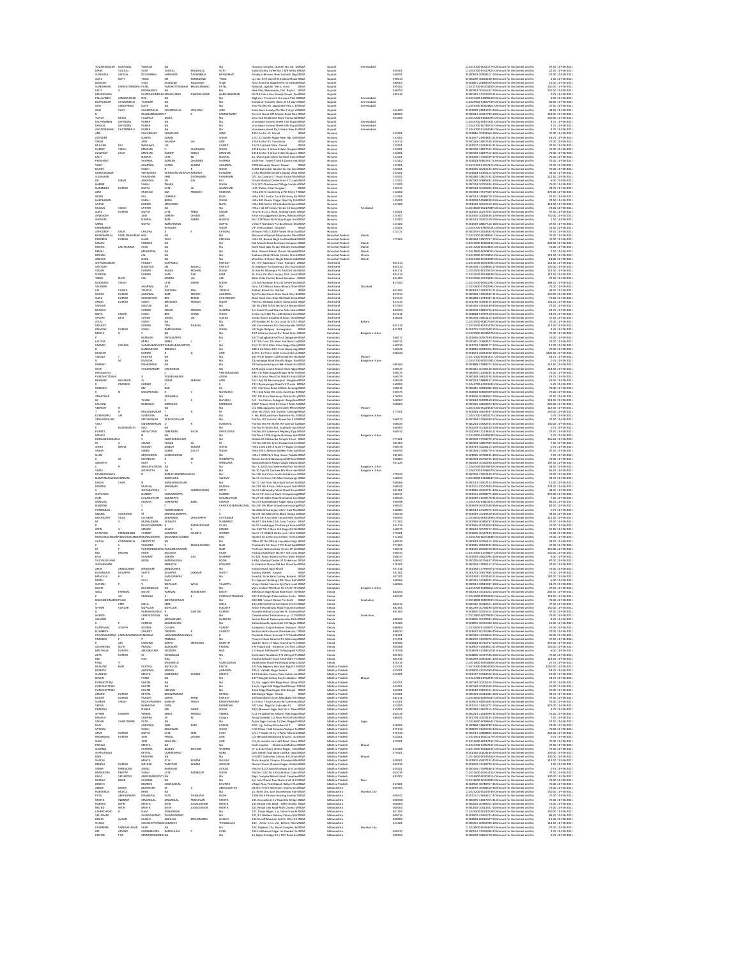| <b>YOGESHKUMAR</b>                                    | DAHYALAI                         | VORALIA                                           | NA<br>VADILAI                       | MAGANI A                                              | <b>NA</b>                                    | Housing Complex, Quarter No. 60, MINDIA                                                                                                                                                                                                                                    | Guiarat                                                                | Also<br>entation         |                                      | C12035100-00021779-0Amount for Unclaimed and Un                                                                                                                                                                                                                                      | 37.50 10 FEB-2011                                                                                      |
|-------------------------------------------------------|----------------------------------|---------------------------------------------------|-------------------------------------|-------------------------------------------------------|----------------------------------------------|----------------------------------------------------------------------------------------------------------------------------------------------------------------------------------------------------------------------------------------------------------------------------|------------------------------------------------------------------------|--------------------------|--------------------------------------|--------------------------------------------------------------------------------------------------------------------------------------------------------------------------------------------------------------------------------------------------------------------------------------|--------------------------------------------------------------------------------------------------------|
| DIPAK<br>SUKHADIA<br>SUNIL                            | VADILAL<br>SHIVLAL<br>DUTT       | SONI<br>DEVSHIBHAI<br>TYAGI                       | SR                                  | DEVSHIBHA                                             | SONI<br>BHIMAB<br>TKAGI                      | Kadia Society Street No 1 B/h Amba DNDIA<br>Khodiyar Bhuxan, New Subhash NagaINDIA<br>Lips Sqn B 57 Asp Af Af Station Makar/NDIA                                                                                                                                           | Gujarat<br>Gujarat<br>Gujarat<br>Gujarat                               |                          | 363001<br>360001<br>390014           | C12044700-054227823-0Amount for Unclaimed and Un<br>IN300974-10908512-10Amount for Unclaimed and Un<br>IN300239-30044240-30Amount for Unclaimed and Un                                                                                                                               |                                                                                                        |
| Balvinder<br>SURESHBHAI                               | PARSHOTAMI                       | Singh<br>U PATEL                                  | Kitabsing<br>PARSHOTTAMBHAI         | Ratansingh<br>BHAGVANBHA                              | Singh<br>PATEL                               | N 04 Akansha Appartment Nr SattaditNDIA<br>Nanavat, Jagisdar Tekra, Surat<br><b>INDIA</b>                                                                                                                                                                                  | Gujarat<br>Gujarat                                                     |                          | 380053<br>395002                     | IN302871-20838059-20 Amount for Unclaimed and Un<br>C12010700-00303280-0Amount for Unclaimed and Un                                                                                                                                                                                  | 15.00 10 FEB-2011<br>150.00 10-FEB-2011                                                                |
| LALIT                                                 | <b>ANAKY IMAR</b>                | BUDDHADEV<br>KALPESHO<br>OZA                      | NA                                  | DINESHKUMAR                                           | NA.<br>HARIC<br>NA                           | New Plot, Bhavayadar, Dist, Raikot, INDIA                                                                                                                                                                                                                                  | Gujara<br>uujara<br>Gujarat<br>Gujarat                                 |                          | 360450<br>185515                     | IN300974-10165542-10 Amount for Unclaimed and Un                                                                                                                                                                                                                                     | 225.00 10-FEB-2011<br>0.75 10-FEB-2011                                                                 |
| DILIPIQUMAL<br>LIKVI                                  | CHIMANISHAI<br>SANDIPEHAI        | THAKKAR<br>DAVE                                   |                                     |                                                       | NA<br>NA                                     | Nr Old Police Line Shreeji Chowk: DeelNDIA<br>Raghuvir: Ternament Huriyana Plot NINDIA<br>Samparan Socalety Block M 10 GaytriNDIA<br>Shiv Plot No-46, Jagganath Park 2, B/INDIA                                                                                            | Gujarat<br>Gujarat                                                     | Ahmedabad                |                                      | 8000343-11152029-12<br>R100343-11152029-12<br>R100343-11152029-12<br>Amount for Unclaimed and United 200034300-04989160-04mount for Unclaimed and United<br>C12029900-02647599-0Amount for Unclaimed and United                                                                      | 60.00 10-FEB-2011<br>37.50 10-FEB-2011                                                                 |
| JANI<br>YUNUS                                         | VUAY<br>MUSA                     | CHAMPAKLAI<br><b>BALASUBRA</b><br><b>FULWALA</b>  | CHAMPAKLAL<br>MUSA                  | <b>JAGJIVAN</b>                                       | <b>JAN</b><br><b>BAMASWAM</b><br>NA.         | State Bank Society Plot No 2 Vilay VillNDIA<br>Torrent House Off Ashram Road Navr/NDIA<br>Vera Vad Mollamedi Boad Vanda Fali NDA                                                                                                                                           | Gujarat<br>.<br>Gujarat                                                |                          | 362560<br>380009<br>361001           | IN301039-24043765-24 Amount for Unclaimed and Un<br>IN300513-10417789-10 Amount for Unclaimed and Un<br>C12033200-04042024-0Amount for Unclaimed and Un                                                                                                                              | 38.25 10 FEB-2011<br>118.50 10-FEB-2011<br>150.00 10-FEB-2011                                          |
| KALPAN                                                | JAYENDRA<br>AYENDRA              | ARKH<br>PARKH                                     | NA                                  |                                                       |                                              | <b>Indavan Society Street 3 Nr Rupali INDIA</b>                                                                                                                                                                                                                            | Sujara                                                                 |                          |                                      | C12044700-00871301-0Amount for Unclaimed and Unit<br>C12044700-00871301-0Amount for Unclaimed and Unit<br>C12044700-00740753-0Amount for Unclaimed and Unit                                                                                                                          | 3.75 10-FEB-2011                                                                                       |
| DHAVAL<br>JAYËNDRA<br>ANIL                            | CHATRABHU                        | PARKH<br>CHAUDHARY                                | NA<br>NA<br>SHAMSHER                |                                                       | NA<br>NA<br><b>JANG</b>                      | Vrundavan Society Street-3 Nr Rupali INDIA<br>Vrundavan,street No,3 Gokul Near RuINDIA<br>1031 Sector 13 Kamal<br><b>INDIA</b>                                                                                                                                             | Gujarat<br>Gujarat<br>Haryana                                          | Ahmedabad<br>Ahmedabad   | 132001                               | IN301846-10304066-10 Amount for Unclaimed and Un                                                                                                                                                                                                                                     | 3.75 10-FEB-2011<br>3.75 10-FEB-2011<br>75.00 10-FEB-2011                                              |
| <b>JITENDER</b><br>VIPAN<br>MULAKH                    | <b>BAJ</b>                       | <b>DAHTA</b><br>JAIN                              | KARAN<br><b>JWAHAR</b><br>LAL       | <b>LAL</b>                                            | SINGH<br>JAIN<br>CHAND                       | 115/22 Gandhi Nagar Near Hgc KathINDIA<br>1353 Sector-25 Panchkula MDIA<br>5/32 Subhash Gate Kamal<br>INDIA                                                                                                                                                                | Haryana<br>Haryana<br>Haryana                                          |                          | 131001<br>134112<br>132001           | IN301557-21963803-21 Amount for Unclaimed and Un<br>IN300183-13057548-13 Amount for Unclaimed and Un                                                                                                                                                                                 | 18.75 10 FEB 2011<br>75.00 10 FEB 2011<br>37.50 10-FEB-2011                                            |
| HARDIP<br>KULWANT                                     | SINGH<br>KALIR                   | WADHWA<br>MANHAS<br>MANHAS                        | HARDIS                              | SHANGAI<br>SINGH                                      | SINGH<br>MANHAS                              | 1918 Sector 4 Urban Estate  Gurgaon INDIA<br>1918 Sector 4 Urban Estate Gurgaon INDIA                                                                                                                                                                                      | Haryana<br>Haryana                                                     |                          | 122001<br>122001                     | IN301557-21432404-21 Amount for Unclaimed and U<br>IN300183-12877504-12 Amount for Unclaimed and Un<br>IN300183-12877512-12 Amount for Unclaimed and Un                                                                                                                              | 75.00 10-FEB-2011<br>75.00 10-FEB-2011                                                                 |
| LALIT<br>PRASHANT                                     |                                  | NAGPAL<br>SHARMA                                  | LATE<br>RAMESH                      | BD.<br>CHANDRA                                        | NAGPAL<br>SHARMA                             | 21, Municipal Colony Sonepat HaryarINDIA<br>2nd Floor Tower A And B Canon IndiaNDIA                                                                                                                                                                                        | Haryana<br>Haryana                                                     |                          | 131001<br>122002                     | IN301330-17356399-17 Amount for Unclaimed and Un<br>IN303028-50852347-50 Amount for Unclaimed and Un<br>C12019101-01557153-04mmmf for Unriained and Un                                                                                                                               | 75.00 10 FEB-2011<br>75.00 10 FEB 2011                                                                 |
| VINEY<br><br>Umasha                                   |                                  | <b>AGARWAL</b><br>SINGH<br>VENKATESH<br>PARASHARI | SATISH<br>VENKAT                    | <b>KLIMAR</b><br>AMIVER                               | AGARWAL<br>SINGH<br>KONDIAN                  | 7096 Baluwara Rewari Rewari<br>INDIA<br>A 304 Guimehar Garden Co-Op SocietNDIA<br>C 131 Mayfield Gardens (today Villa) INDIA<br>D/1, loc Colony G T Road A/cantt HarsNDIA                                                                                                  | Haryana<br>ran yana<br>Haryana<br>Haryana                              |                          | 123401<br>122001<br>122001<br>133001 | 0001186-10221534-10.<br>Amount for Unclaimed and University PA301436-10221534-10.<br>Amount for Unclaimed and University PA300484-12607782-12.<br>Amount for Unclaimed and University PA300484-12607782-12.<br>Amount for Unclaimed and Un                                           | 37.50 10 FEB-2011<br>75.00 10-FEB-2011<br>43.50 10-FEB-2011<br>112.50 10-FEB-2011                      |
| SUDHAKAR<br>DR                                        | KIRAN                            | AGRAWAL                                           | SHRI<br>DR                          | DEVSHARA<br>as                                        | PARASHARI<br><b>RAJ</b>                      | Drishti Medical Centre H.no-771,sectdNDIA                                                                                                                                                                                                                                  | Haryana<br>Haryana<br>Haryana                                          |                          | 121002                               | IN300183-10685481-10 Amount for Unclaimed and Un                                                                                                                                                                                                                                     | 6.00 10 FEB-2011                                                                                       |
| HARBIR<br>NARENDRA                                    | KUMAI                            | SINGH<br><b>GUPTA</b>                             | DHARA<br>LATE                       | \$H                                                   | singer<br>GAIADHAR                           | G 2/201 Charmwood Village SurajkulNDIA                                                                                                                                                                                                                                     |                                                                        |                          | 121009<br>122017                     | IN300118-10225394-10 Amount for Unclaimed and Un<br>IN300118-10476824-10-Amount for Unclaimed and Un                                                                                                                                                                                 | 75.00 10 FEB-2011<br>78.75 10-FEB-2011                                                                 |
| AJAY<br>INDER                                         |                                  | MUKHUA<br>PAL                                     | OM<br>LAXMAN                        | PRAKASE                                               | MUKHUA<br>DASS                               | H 45 Palam Vihar Gurgaon<br>H No 195 Sf South City 2 Vill Teeksi TANDIA<br>H No 2381 Sector 7/a H B Colony FariNDIA                                                                                                                                                        | Haryana<br>Haryana<br>Haryana<br>Haryana                               |                          | 122002<br>121006                     | R300394-17577609-127Amount for Unclaimed and Unit<br>R300394-17577609-127Amount for Unclaimed and Unit<br>R300394-17577609-17Amount for Unclaimed and Unit<br>R303028-54588408-54Amount for Unclaimed and Unit                                                                       | 375.00 10-FEB-2011<br>52.50 10-FEB-2011                                                                |
| HARCHARA<br>SATISH<br>RAIMAL                          | SINGH                            | KUMAJ<br>LATHER                                   | BUDH<br>MOHISHEI<br>NA              |                                                       | SINGH<br>NATH<br>NA.                         | H No 981 Kamla Nagar Opp City PolinYDIA<br>H No 986 Sector 8 Faridabad HatyanaNDIA<br>H No C 42 Dif Colony Sector 14 GurgulNDIA                                                                                                                                            | Haryana<br>Haryana                                                     | Faridabac                | 135001<br>121006                     | C12018600-00217089-0Amount for Unclaimed and Un                                                                                                                                                                                                                                      | 22.50 10-FEB-2011<br>112.50 10-FEB-2011<br>75.00 10 FEB-2011                                           |
| <b>SUNIL</b><br><b>JANENDER</b><br>SHWAN              | KUMAI                            | <b>GUPTA</b><br><b>JAIN</b><br>.<br>NACIPA        | LATE<br>SURESH<br><b>BAM</b>        | PREM<br>CHAND<br>SARAN                                | <b>SAGAR</b><br><b>JAIN</b><br><b>VAGPAI</b> | H.no-4181. D.I. Road, Ambala Cantt, HNDIA                                                                                                                                                                                                                                  | Haryana<br>Haryana<br>Haryana                                          |                          | 133001<br>124507<br>133003           | IN302365-10277305-10 Amount for Unclaimed and Un<br>IN302365-10016496-10Amount for Unclaimed and Un                                                                                                                                                                                  | 37.50 10 FEB-2011<br>750.00 10-FEB-2011                                                                |
| SAROJ<br>KARAMBEER                                    |                                  | <b>GUPTA</b>                                      | RAMOHARAN<br>ISHWAN                 |                                                       | <b>GUPTA</b><br>SINGH                        |                                                                                                                                                                                                                                                                            | Haryana<br>Haryana                                                     |                          | 123106<br>122001                     | IN300513-19261530-19 Amount for Unclaimed and University IN300513-19261530-18 Amount for Unclaimed and University IN301549-18807516-18 Amount for Unclaimed and University IN301549-08005524-0Amount for Unclaimed and Univ                                                          | 1.50 10-FEB-2011<br>37.50 10-FEB-2011<br>22.50 10-FEB-2011                                             |
| ASHUDEEP<br><b>BHANWARLA</b>                          | KALIR<br>KAMLESHKUR              | CHADHA<br><b>HUF</b>                              | NA                                  | s                                                     | CHADHA<br>NA<br>KRISHNA                      | Winwins Villa E 2099 Palam Vihar GulNDIA                                                                                                                                                                                                                                   | Haryana<br><b>Himachal Pradesh</b><br>Himachal Pradesh                 | Mandi                    | 122017                               | IN300476-42034383-42 Amount for Unclaimed and Un<br>C12033200-00348561-0Amount for Unclaimed and Un                                                                                                                                                                                  | 37.50 10-FEB-2011<br>75.00 10 FEB-2011                                                                 |
| PRAVEEN<br>MANJU                                      | KUMAR<br>LALITKUMAS              | GAUR<br>PODDA                                     | VUAY<br>NA                          |                                                       | NA                                           | www.win visue Causel Wales (Wales Causel Marine Causel School Mark<br>H No 28, Basanti Bagh Sai Road BaddilNDIA<br>Kali Mandir Road Bardwan Composter/IDIA<br>Main Road Opp To Jain Mandir KottulNDIA<br>Moh. Ganesh Mandi Chouk: MoradalN                                 | Himachal Pradest                                                       | Mandi                    | 173205                               | IN300484-12907767-12 Amount for Unclaimed and Un<br>=12035000-00852436-0Amount-for Unclaimed and Unit<br>C12035000-00852436-0Amount-for Unclaimed and Unit<br>C12031300-00103424-0Amount-for Unclaimed and Unit                                                                      | 75.00 10 FEB 2011<br>225.00 10-FEB-2011                                                                |
| MEENA<br>BEENU<br>MOHAN                               |                                  | SHAH<br>MEHROTR<br>LAL                            | $_{\rm NA}^{\rm NA}$                |                                                       | NA<br>NA                                     | Sadhana Ghati Chhota Shimla ShimlaNDIA                                                                                                                                                                                                                                     | <b>Himachal Pradesh</b><br>Himachal Pradesh<br><b>Himachal Pradesh</b> | Mandi<br>Mandi<br>Shimla |                                      | C12022900-00194815-0Amount for Unclaimed and Un                                                                                                                                                                                                                                      | 75.00 10-FEB-2011<br>7.50 10-FEB-2011<br>112.50 10-FEB-2011                                            |
| ANKUSH<br>SHIVASHAP                                   |                                  | GARG<br>PANDAY<br><b>VARAYAN</b>                  | NA<br>NA<br>SATYADEO                |                                                       | NA<br>NA<br>PANDAY                           | Ward No. 4 Shastri Nagar Mandi GobiNDIA<br>25 . Vill- Adamapur Town-Alampur, ANDIA                                                                                                                                                                                         | <b>Himachal Pradesh</b><br><b>Jharkhand</b>                            | Mandi                    | 844114                               | C12025400-00343939-0Amount for Unclaimed and Un<br>C12034500-00523694-0Amount for Unclaimed and Un                                                                                                                                                                                   | 18.00 10-FEB-2011<br>112.50 10 FEB-2011                                                                |
| SANTOSH<br>VIKASH<br>SUBODH                           |                                  | 01344<br>KUMAR                                    | SRI<br>BADHA<br>KAPIL               | DEO                                                   | MNDEY<br>SINGH<br>RAM                        | At Adampur Po Katarmala Dist VaishaNDIA<br>At And Po Dharmpur Ps And Dist VaishaNDIA<br>At-Pirol, Po- Pirol Goraul, Dist-VaishaNDIA<br>At-Pirol, Po- Pirol Goraul, Dist-VaishaNDIA                                                                                         | Thankhand<br>Thankhand<br>Thankhand                                    |                          | 844114<br>844111<br>844114           | Exposits of the United States in Millet and City<br>IN100394-17194846-17 Amount for Unclaimed and Unit<br>C12034500-00570519-0Amount for Unclaimed and Unit                                                                                                                          | 150.00 10-FEB-2011<br>112.50 10-FEB-2011<br>112.50 10-FEB-2011                                         |
| TARAK<br><b>RAJENDRA</b>                              | NATH<br>SINGH                    | SAH                                               | MUNN<br>LATE                        | LAL<br>AMRIK                                          | SAH<br>SINGH                                 | Bihar State Electric Board Binodpur, KNDIA<br>C/o M/s Bachpan B-S,city Centre SectINDIA                                                                                                                                                                                    | Jharkhand<br>Jharkhand                                                 |                          | 854105<br>827004                     | C12010926-00274202-0Amount for Unclaimed and Un<br>C12023500-00061932-0Amount for Unclaimed and Un                                                                                                                                                                                   | 37.50 10-FEB-2011<br>188.25 10-FEB-2011                                                                |
| SAURABH<br>LAL<br>RAJESH                              |                                  | <b>AGARWAL</b><br><b>TALREJA</b><br>AGRAVIVAL     | NA                                  | MAL                                                   | NA.                                          | H.no. 132 Bhaura Bazar Bhaura DhantINDIA                                                                                                                                                                                                                                   | <b>Jharkhand</b>                                                       | Dhanhar                  | 854105                               | C12010600-01542983-0Amount for Unclaimed and Un                                                                                                                                                                                                                                      | 75.00 10-FEB-2011<br>$\begin{array}{c} 43.50 \ 10.688 \, 2011 \\ 150.00 \ 10.688 \, 2011 \end{array}$  |
| SUNIL<br>AMOO                                         | CHAND<br>KUMAR<br>KUMAR<br>KUMAR | CHOUCHAR<br>SINGE                                 | THA<br>BARYANA<br>BRU<br>BIRENDRA   | PRATAP<br>BIHARI<br>PRASAD                            | TALREJA<br>AGARWAL<br>CHOUDHARY<br>SINGH     |                                                                                                                                                                                                                                                                            | Thackhard<br>Thackhard<br>Thackhard<br>Thackhard                       |                          | 854105<br>827013<br>827013<br>827013 | EXPOSITO TRESPASS-TRANSPORT for Unclaimed and Unit<br>IN300510-11033733-11Amount for Unclaimed and Unit<br>IN300484-11951485-11Amount for Unclaimed and Unit<br>IN300484-11743047-11Amount for Unclaimed and Unit                                                                    | 75.00 10-FEB-2011<br>131.25 10-FEB-2011                                                                |
| SANKAR<br>RAINISH                                     |                                  | GHATAK<br>KUMAR                                   | NA<br>KEDAR                         | PRASAD                                                | NA<br><b>SHARMA</b>                          | Qtr No 2185 St/04 Sector 4 A Bokaro INDIA<br>S/o Kedar Prasad Sharma Asha NiwasiNDIA                                                                                                                                                                                       | Jharkhand<br><b>Jharkhand</b>                                          |                          | 827004<br>842004                     | IN300476-43516430-43 Amount for Unclaimed and Un<br>INTOOLSO, 13825756, 13 Amount for Unclaimed and Un                                                                                                                                                                               | 37.50 10-FEB-2011<br>18.75 10 FEB-2011                                                                 |
| BIDYA<br>SAVITR                                       | SAGAR<br>DEVI                    | SINGH<br>.<br>SUNDA                               | <b>BRU</b><br><b>ITWAN</b>          | VIHARI<br>щ                                           | SINGH<br>.<br>SUNDA                          | Serter 12.6 Otr No. 1180 Bokers SteelNDIA                                                                                                                                                                                                                                  | <b>thankhan</b>                                                        |                          | 827012<br>826001                     | IN303028-53787410-53 Amount for Unclaimed and Un                                                                                                                                                                                                                                     | 18.75 10 FEB 2011<br>37.50 10-FEB-2011                                                                 |
| JITLAL<br>SANJEEV<br>DIGVUAY                          | KUMAR                            | SINGH<br>KUMAR<br>SINGH                           | NA<br>TIPU<br><b>RAMESHWAR</b>      | NARAIP                                                | NA<br>SAH<br>SINGH                           | Senda House Joraphatak Road DhanBNDIA<br>VII Gorabal Po Bs Oty Local Or 1252 INDIA<br>VIII-Gurmishama Po-Chaksikandar DINDIA<br><b>INDIA</b>                                                                                                                               | Thankhand<br>Thankhand<br>Thankhand<br>Jharkhand                       | Bokard                   | 844115<br>824101                     | =1203350-00807539-0Amount for Unclaimed and Unit<br>200394-14851123-14 Amount for Unclaimed and Unit<br>20038500-00807539-0Amount for Unclaimed and Unit<br>IN301774-15457638-15 Amount for Unclaimed and Un                                                                         | 75.00 10-FEB-2011<br>112.50 10-FEB-2011<br>2.25 10-FEB-2011                                            |
| MEHTA                                                 | $\cup$                           | <b>BAMAIAH</b>                                    | POTHALAPPA                          |                                                       | NA<br>NA                                     | Vill Pogar Rafiganj Aurangabad<br>1977 Acharya Layout R.v. Road Cross BNDIA<br>107 Challaghatta Hal Post Bangalore INDIA<br>137 Ath Cross 7th Main 2nd Block JayNDIA                                                                                                       | Kamataka<br>Kamataka                                                   | <b>Bangalore Lichar</b>  | 560017                               | C12029900-00346378-0Amount for Unclaimed and Un<br>IN301926-30957499-30 Amount for Unclaimed and Un                                                                                                                                                                                  | 75.00 10 FEB-2011<br>75.00 10 FEB 2011                                                                 |
| LALITHA<br>PRASAD                                     | KADABA                           | MINLE<br>VARADARAJN<br>GANGADHAR                  | MRLE                                |                                                       | .<br>NA                                      |                                                                                                                                                                                                                                                                            | Kamataki<br>Kamataka<br>Kamataka                                       |                          | 560011<br>560010                     | N300441-10684472-10 Amount for Unclaimed and U<br>IN301774-13859177-13 Amount for Unclaimed and Un<br>IN301926-30545054-30 Amount for Unclaimed and Un                                                                                                                               | 75.00 10-FEB-2011                                                                                      |
| MUKESH<br>VIMALA                                      |                                  | KUMAR<br>PADIYAR                                  | BORAIAH<br>NA                       | D                                                     | JAIN<br>NA                                   | 15/3 55 12th Main Shiva Nagar RajajiNDIA<br>188-1 1st Main 10th Cross Bapujinag/NDIA<br>2/357, 1st Floor 3rd D Cross.ombr LarINDIA<br>201 Prithi Towers Sulthan Battery RoaNDIA                                                                                            | Kamataka<br>Kamataka                                                   | Mysory                   | 560026<br>560043                     | IN301653-10013360-10 Amount for Unclaimed and Un<br>C12011300-00041311-0Amount for Unclaimed and Un                                                                                                                                                                                  | 15.00 10-FEB-2011<br>75.00 10-FEB-2011<br>3205.50 10-FEB-2011<br>18.75 10-FEB-2011                     |
| HRISH                                                 | $\overline{M}$                   | <b>DIVAKAR</b><br>HARANSH                         | NA                                  |                                                       | <b>NA</b>                                    |                                                                                                                                                                                                                                                                            | Kamataka                                                               | <b>Banzalore Urban</b>   |                                      | C1203020000019392-04mount for Unriaimed and Un                                                                                                                                                                                                                                       | 0.75.10.658.2011                                                                                       |
| DLETI                                                 |                                  |                                                   |                                     |                                                       | NA<br>OR<br>Veera                            | 24 narjappa Road Shanthi Nagar BarlNDIA<br>28 Deskpande Layout Beh Almel HourNDIA<br>42 Muniga Layout Maruti Seva NagariNDIA<br>489, Sth Main Jagadishnagar New ThiNDIA                                                                                                    | Kamataka<br>Kamataka<br>Kamataka                                       |                          | 586104<br>560033<br>560075           | Exposition 2003/23-13/Amount for Unclaimed and University 2010/0441-10196148-10 Amount for Unclaimed and University 2010/05-111394285-11 Amount for Unclaimed and University 2010/05-111394285-11 Amount for Unclaimed and Uni                                                       | 112.50 10. FEB 2011<br>118.50 10. FEB 2011<br>75.00 10. FEB 2011                                       |
| PURUSHOTTAMA<br>BHARATH                               | BHUSHAN                          | c<br>z<br>KUMAR                                   | VIGNESHWARA<br>SOMA                 | SHEKAR                                                | ADIGA<br>JADE                                | 5 8th A Cross Near Om Shakthi KallalaNDIA<br>55/1 Apk Rd Basayanaeudi Banealor/NDIA                                                                                                                                                                                        | Kamataki<br>Kamataka<br>Kamataka                                       |                          | 560079<br>560028<br>560004           | IN300394-16614196-16 Amount for Unclaimed and Un<br>IN300214-14889137-14 Amount for Unclaimed and Un<br>C12044 200.03233203.04mount for Unriained and Un                                                                                                                             | 18.75 10-FEB-2011<br>75.00 10 FEB-2011<br>5.25 10 FEB-2011                                             |
| UMADEV                                                | PRAVEEN                          |                                                   | м                                   |                                                       | CC<br>NATRAJAN                               |                                                                                                                                                                                                                                                                            | Kamataka<br>Kamataka                                                   |                          | 560011<br>560075                     |                                                                                                                                                                                                                                                                                      | 75.00 10-FEB-2011<br>75.00 10-FEB-2011                                                                 |
| ANANTHA                                               |                                  | TULASI                                            | KRISHNAN                            |                                                       | NA<br>NATARA                                 | 2011 Apple manusculatur Dender Parameteri<br>1741 Ramaiyengar Road V V Puram BINDIA<br>1759 33a Cross Road Iv Block Jayanag/INDIA<br>1791 24d Main Bith Cross Kuwertru Rambia<br>1792 26th Cross Ramanuja Rasthe B.b. (INDIA<br>18.0 Sai Colo                              | Kamataka<br>Kamataka                                                   |                          | 570004<br>560067                     | EXERCISE DRAINS CONTINUES IN A UNIVERSE OF A UNIVERSE CONTINUES IN A UNIVERSE OF A SUBSERVIAL CONTINUES IN A UNIVERSE OF A SUBSERVIAL CONTINUES IN A UNIVERSE OF A UNIVERSE OF A UNIVERSE OF A UNIVERSE OF A UNIVERSE OF A UNI                                                       | 37.50 10-FEB-2011<br>118.50 10-FEB-2011                                                                |
| KALYANI<br>VEERESH                                    |                                  | BARDOLOI<br><b>MJAYADEVAIAE</b>                   | NIRANJAN<br>NA                      | $\mathbf{H}$                                          | BARDOLO<br>NA                                | 8 007 Tripura Nest 11 Cross 7 Main MNDIA<br>C/o B Basagoa And Sons Cloth MerchINDIA<br>Door No 255/2 6th Division DavennetNDIA                                                                                                                                             | Kamataka<br>Kamataka<br>Kamataka                                       | Myson                    | 560003<br>577001                     | IN300476-42660872-42 Amount for Unclaimed and Un<br>C16010100-00224543-0Amount for Unclaimed and Un<br>IN301926-30654397-30 Amount for Unclaimed and Un                                                                                                                              | 225.00 10-FEB-2011<br>112.50 10 FEB-2011<br>150.00 10-FEB-2011                                         |
| KUKKADAPL<br>VENUGOPALAN                              |                                  | <br>iusmmu<br>OUTHIVASAN                          | VENUGOPALAN                         |                                                       | NA<br>NA.                                    | F. No. 8004, valshmani Nakshtra No. 9/NDIA<br>Flat No. 3004, valshmani Nakshtra No. 9/NDIA<br>Flat No. 304 9th Street 9th Avenue ApINDIA                                                                                                                                   | Kamataki                                                               |                          | 560072                               | <b>E1204700-03092175-0Amount for Unclaimed and United States</b><br>IN300394-17426939-17Amount for Unclaimed and United<br>IN300394-17426939-17Amount for Unclaimed and United                                                                                                       | 0.75 10-FEB-2011                                                                                       |
| VINU                                                  | HANUMANTH                        | <b>BAO</b>                                        | NA                                  |                                                       | KONDAYI<br>NA                                | Flat No 95 Room 301, Sapthadri AptsINDIA                                                                                                                                                                                                                                   | Kamataka<br>Kamataka<br>Kamataka                                       |                          | 560043<br>560003                     | IN302269-10218200-10 Amount for Unclaimed and Un                                                                                                                                                                                                                                     | 37.50 10-FEB-2011<br>150.00 10-FEB-2011<br>0.75 10-FEB-2011                                            |
| PUNEET<br>MANOJ<br>koor                               |                                  | SRIVASTAVA                                        | SURENDRA<br>мà.<br><b>SHANKARA</b>  | NATH                                                  | SRIVASTAVA<br>.<br>NA                        | Flat No.303 Lakemont Regency Opp. UNDIA<br>Flat No-d-1206, brigade Gateway ApteNDIA                                                                                                                                                                                        | Kamataka<br>Kamataka<br>Kamataka                                       | Banzalore Urbar          | 560032<br>573201                     | IN302269-11113846-11 Amount for Unclaimed and Un<br>C12010900-04449238-0Amount for Unclaimed and Un                                                                                                                                                                                  | 75.00 10 FEB-2011<br>0.75 10-FEB-2011<br>356.25 10-FEB-2011                                            |
| SINHA                                                 | NIKHI                            | SALAM<br>RANJAN                                   | YAQUB<br><b>DIVES-</b>              | KUMAI                                                 | m<br>Sinha                                   | Goldsmith Kalikamba Temple Street INDIA<br>H G No 148 4th Cross Hussain GardenNDIA<br>H No 1350 18th A Main J P Nagar 2ndNDIA                                                                                                                                              | Kamataka<br>Kamataka                                                   |                          | 585103<br>560078                     | IN300394-17158729-17 Amount for Unclaimed and U<br>IN300394-16897309-16 Amount for Unclaimed and Un<br>IN303719-10206214-10 Amount for Unclaimed and Un                                                                                                                              | 7.50 10-FEB-2011<br>0.75 10-FEB-2011                                                                   |
| SASHA<br><b>SHAIK</b>                                 |                                  | SAMBI<br>MOHILDOIN                                | SAMBI<br>SAYEEDUDDIN                | DALIT                                                 | SINGH<br>NA                                  | H No 203-c Abhinav Golden Palm Apt/NDIA<br>H No 5-992/26/1 Siraj House YadullahNDIA                                                                                                                                                                                        | Kamataka<br>Kamataka                                                   |                          | 560093<br>585104                     | IN300394-17438779-17-Amount for Unclaimed and Un<br>IN301926-30784435-30 Amount for Unclaimed and Un                                                                                                                                                                                 | 37.50 10-FEB-2011<br>7.50 10-FEB-2011                                                                  |
| <b>ANDHY</b>                                          | M                                | KOTRESHA<br>ANI<br>HAGAWATSEN                     |                                     | M                                                     | SHEKRAPPA<br>.<br>SRINIVASA<br>NA            | Mecon Limited Basayangudi 89 SouthINDIA<br>Nanjundeswara Nilaya Vasavi KalyanaNDIA<br>No - 1, 2nd Cross Swimming Pool ExteNDIA<br>No 10 Syno22 Jaishnee 8th Main HandNDIA                                                                                                  | Kamataka                                                               | ngalore Lirba            | 560004<br>563125                     | IN300394-16766764-16 Amount for Unclaimed and Un<br>IN300610-10182690-10 Amount for Unclaimed and University IN300610-10182690-10 Amount for Unclaimed and University C12044700-03586970-0Amount for Unclaimed and University C12044700-03586970-0Amount for Unclaimed and Univ      | 75.00 10 FEB-2011                                                                                      |
| VINAY<br>RAVINDRANATH                                 |                                  | <b>GOPINATH</b>                                   | RAMACHANDRAGOWDA                    |                                                       | NA<br>NA                                     | No 126 2nd Cross South Anikethana #NDIA                                                                                                                                                                                                                                    | Kamataka<br>Kamataka<br>Kamataka<br>Kamataka                           | Bangalore Urbar          | 570023                               | IN300394-17052439-17 Amount for Unclaimed and Un                                                                                                                                                                                                                                     | 187.50 10-FEB-2011<br>43.50 10-FEB-2011<br>56.25 10-FEB-2011<br>75.00 10-FEB-2011                      |
| NARAYANASWAMSRINIVAS<br>RAGHU                         | CHAR                             | $\boldsymbol{u}$                                  | NARAYANA<br>NARASHIMACHAR           |                                                       | SWAMY<br>NA.                                 | No 14 3rd Cross 5th Main Sampangir/NDIA<br>No 17 2nd Floor Near Goyt School SidNDIA                                                                                                                                                                                        | Kamataka<br>Kamataka                                                   |                          | 560027<br>560066                     | C12010900-03618347-0Amount for Unclaimed and Un<br>IN300513-19007133-19 Amount for Unclaimed and Un                                                                                                                                                                                  | 33.75 10-FEB-2011<br>15.00 10 FEB-2011                                                                 |
| DEEPRAJ<br>SHIVAYOG                                   |                                  | MUKHA<br>JEEVARA                                  | MANIRAM                             | SARANGAPAN                                            | <b>ALISONIA</b><br>SETTY                     | No. 219 4th B.Cross Hele Layout 3rd FINDIA<br>No. 219 4th B.Cross Hele Layout 3rd FINDIA<br>No. 23 3th Cross A. Block Vinayakanag/NDIA<br>No. 25 6th Main Road Shamanna LaydNDIA                                                                                           | Kamataka<br>Kamataka                                                   |                          | <b>GOOLS</b><br>58310                | =10001542-2307839-23Amount los Unclaimed and Unit<br>N301151-23107839-23Amount for Unclaimed and Unit<br>N301151-28398775-28Amount for Unclaimed and Unit<br>N301151-28398775-28Amount for Unclaimed and Unit                                                                        | 273.75 10-FEB-2011<br>43.50 10-FEB-2011                                                                |
| HARI<br>SRINIVAS                                      |                                  | DANDIN<br>LOGANATH<br>KESANA                      | SHEKHARAPPA<br>KANNAPPA<br>SURENDRA | BABU                                                  | DANDIN<br>LOGANATHAN<br>KESANA               | No 253 Rajarajeswari Nagar Bang 2ndNDIA                                                                                                                                                                                                                                    | Kamataka<br>Kamataka<br>Kamataka                                       |                          | 56001<br>560043<br>560098            | C12044700-04803122-0Amount for Unclaimed and Un                                                                                                                                                                                                                                      | 375.00 10-FEB-2011<br>7.50 10-FEB-2011<br>86.25 10-FEB-2011                                            |
| NANDISH<br>PONNARAS                                   |                                  |                                                   | THAMENDRAN                          |                                                       | CHIKKAVEERANAKOPAL                           | No 330 5th Main Vilayakaya Hou<br>ing INDIA<br>No 402a Shivaraniani 12/2   East MainNDIA                                                                                                                                                                                   | Kamataka<br>Kamataka                                                   |                          | 560040<br>560085                     | IN302679-36372508-36 Amount for Unclaimed and Un<br>IN300513-13169376-13 Amount for Unclaimed and Un                                                                                                                                                                                 | 82.50 10 FEB-2011<br>0.75 10-FEB-2011                                                                  |
| <b>CNAMA</b><br>MEENAKSHI                             | VILAS                            | KOTEKAR<br>MURALIDHAR                             | ASSICUANAR<br>AXXAMMA<br>VENKATA    | CHHAYAPPA                                             | CHITRAGAE<br><b>QARABSUZ</b>                 | No 5/1 4th Main Khm Block Ganga NINDIA<br>No 65 4th Cross Gmr Layout Near VsrINDIA<br>No 847 Site Extri 12th Cross Tumkur INDIA                                                                                                                                            | Kamataka<br>Kamataka<br>Kamataka                                       |                          | 60032<br>560094<br>572102            | 8101549-15210460-15 Amount for Unclaimed and University 0.01549-15210460-15 Amount for Unclaimed and University 0.101926-30446297-30 Amount for Unclaimed and University 0.101926-30446297-30 Amount for Unclaimed and Univers                                                       | 43.50 10-FEB-2011<br>112.50 10-FEB-2011<br>37.50 10-FEB-2011                                           |
| <b>JATIN</b>                                          |                                  | BALACHANDRAN<br>MANEK                             | ASHOK                               | RAMAKRISHNA                                           | PELAI<br>MANEK                               | No 95 Sowbhanya Chalthanya PuramINDIA<br>No. 258 7th C Main 3rd Stage 4th BloMDIA<br>No.17-19-1388/1 Britto Lane Folhir MNDIA                                                                                                                                              | Kamataka<br>Kamataka                                                   |                          | 563115<br>560079                     | IN301926-30314959-30 Amount for Unclaimed and Un<br>IN300610-10570712-10 Amount for Unclaimed and Un                                                                                                                                                                                 | 75.00 10 FEB-2011<br>55.50 10 FEB-2011                                                                 |
| KATAPADI<br>MOKSH                                     | PREMANAND<br>VENKATASU           | SHENOY<br><b>ALIBALITY</b>                        | KATAPADI<br>MVVENKATASUBBA          | ANANTH                                                | SHENOY<br>tAO                                |                                                                                                                                                                                                                                                                            | Kamataka<br>Kamataki                                                   |                          | 575001                               | IN301696-10127435-10 Amount for Unclaimed and Un<br>C12030700-00253488-0Amount for Unclaimed and U                                                                                                                                                                                   | 75.00 10 FEB 2011<br>75.00 10-FEB-2011                                                                 |
| VUAYA                                                 | COMMERCIAL                       | <b>CREDITLTD</b><br>YASHODA<br>PADMANA            | NA<br><b>LIPANAMESWARAN</b>         |                                                       | NA<br>NAK<br>NAIR                            | No.347 Sri 12thcross St Extri TurnkurtNDIA<br>Office Of The Official Liquidator High (NDIA<br>Prashanthi 6th Cross T P. K Road SaptiNDIA                                                                                                                                   |                                                                        |                          | 572102                               |                                                                                                                                                                                                                                                                                      |                                                                                                        |
| MD<br>RAVI                                            | MADAR                            | KHAN<br>SHARRAF                                   | HUSSAIN<br>JAIRAM                   |                                                       |                                              |                                                                                                                                                                                                                                                                            | Kamataka<br>Kamataka                                                   |                          | 560034<br>572103                     | IN300610-10266153-10 Amount for Unclaimed and Un<br>IN301926-30522222-30 Amount for Unclaimed and Un                                                                                                                                                                                 | 43.50 10-FEB-2011<br>37.50 10-FEB-2011                                                                 |
| <br>Vijayalakshiv<br>Shivaklimar                      |                                  | soce                                              |                                     | DAS                                                   | KHAN<br>SHARRA                               | Professor National Law School Of IndiINDIA<br>Puttraju Building H No 477 3rd Cross INDIA<br>Rc 401, Purva Riviera Varthur Main RdNDIA                                                                                                                                      | Kamataka<br>Kamataka<br>Kamataka                                       |                          | 560072<br>560037<br>560037           | IN301135-26460720-26 Amount for Unclaimed and Un<br>C13019300-01478377-0Amount for Unclaimed and Un<br>IN301549-16622994-16 Amount for Unclaimed and Un                                                                                                                              | 150.00 10-FEB-2011<br>150.00 10-FEB-2011<br>6.00 10-FEB-2011                                           |
| ARUN<br>DAYANAND<br>MANJULA                           | NNASAHEB                         |                                                   | .<br>MAMANLUDAS<br>NNAYO            |                                                       | 1008<br>POQJAR                               |                                                                                                                                                                                                                                                                            |                                                                        |                          | isnna:                               |                                                                                                                                                                                                                                                                                      |                                                                                                        |
| DEEPU<br>SUNESH<br>Navid                              | DEVAPPA                          | GHODGIRE<br>SHETTI                                | ANNASAHEB<br>DEVAPPA<br>GANADARPPA  | LAXMAN                                                | NA.<br>SHETTI<br>NA                          | Station Road, Ugar Khurd<br>INDV<br>Sunday Market Karwar<br><b>INDIA</b><br>Swastik, State Bank Colony, Badami, INDIA                                                                                                                                                      | Kamataka<br>Kamataka<br>Kamataka<br>Kamataka<br>Kamataka               |                          | 591316<br>581301<br>587201           | #100476-40756447-40 Amount for Unclaimed and University PA100476-40756447-40 Amount for Unclaimed and University PA101330-17739959-17 Amount for Unclaimed and University P<br>IN301774-10677884-10 Amount for Unclaimed and Un<br>IN302269-11474448-11 Amount for Unclaimed and Un  | 87.00 10-FEB-2011<br>37.50 10-FEB-2011<br>75.00 10-FEB-2011<br>75.00 10-FEB-2011<br>187.50 10-FEB-2011 |
|                                                       |                                  | PALE                                              | PAILY                               | WELLI                                                 | <b>ALAPP</b>                                 | Tcs Explorer Building 10th Floor Itpl VINDIA                                                                                                                                                                                                                               | Kamataka                                                               |                          | 560056                               | IN300214-12148283-12 Amount for Unclaimed and Un                                                                                                                                                                                                                                     | 6.00 10 FEB-2011                                                                                       |
| SEIAL                                                 | PARIMA                           | DOSH                                              | PARIMA                              |                                                       | DOSH                                         | .<br>Unisys Global Services Siri Park Level INDM<br>Vilay Enclave 9th Main No 57/37 7th INDM                                                                                                                                                                               |                                                                        |                          |                                      | IN300513-18941387-18 Amount for Unclaims                                                                                                                                                                                                                                             | 18.75 10-FEB-2011<br>37.50 10-FEB-2011                                                                 |
| NGCHA                                                 | JAI<br>SEKHPILLAI<br>SREE        | PRAKASE<br>LEELA                                  | GOVINDAPILLA<br>SHEE                |                                                       | PURUSHO<br>NA.<br>LEELA                      | 308 Katari Bagh Naval Base Kochi KerNDIA<br>32/1119 Deepti Palarivattom Kochi INDIA<br>38/2181 'srevas' Kalpor P.o Kochi INDIA<br>44/1746 Sweet Corner Kaloor Cochin INDIA                                                                                                 | Kerala<br>Kerala<br>Kerala<br>Kerala                                   | Emakulam                 | 682004<br>682025<br>682017           | IN300513-14114012-14 Amount for Unclaimed and Un<br>C12023900-00093342-0Amount for Unclaimed and Un<br>C12032800-00004723-0Amount for Unclaimed and Un<br>IN300126-10410351-10 Amount for Unclaimed and Un                                                                           | 262.50 10-FEB-2011<br>118.50 10-FEB-2011<br>75.00 10 FEB-2011<br>37.50 10 FEB-2011                     |
| SHYAM                                                 | <b>SUNDER</b>                    | GOPALAN<br><b>MAARS</b>                           | <b>GOPALAN</b>                      | GANESH                                                | ELEDATH<br><b>CUMAR</b>                      | Ardra Thevarakkayu Road TripunithurINDIA                                                                                                                                                                                                                                   | Kerala                                                                 |                          | 682301<br>683104                     | IN300239-10258296-10 Amount for Unclaimed and Un<br>N301895-10025553-10 Amount for Unclaimed and U                                                                                                                                                                                   | 150.00 10-FEB-2011<br>97.50 10 FEB-2011                                                                |
| HAMZA<br><b>JASMINI</b>                               |                                  | CHELEKKODAN                                       | MOHAMMED                            |                                                       | NA<br>HANEEFA                                | Asura International Hotel Injeaning INCOLA<br>Chelekkodan Chandakunnu .p . O NiliNDIA<br>Jasmin Manzil Nedumparambu PathisNDIA                                                                                                                                             | nevara<br>Kerala<br>Kerala<br>Kerala                                   |                          | 689695                               | C12032800-00079403-0Amount for Unclaimed and Un<br>IN301895-10570983-10Amount for Unclaimed and Un                                                                                                                                                                                   | 75.00 10-FEB-2011<br>8.25 10-FEB-2011                                                                  |
| KOMPANAL<br>ELIZABETH                                 | JOSEPH                           | SUMESH<br>GEORGE<br>CHANDY                        | ARAMUKHAN<br>OUSEPH<br>THOMAS       |                                                       | NA<br>VARKEY<br>CHANDY                       | Kizhakkeputhiyaparambil A R Nagar ONDIA<br>.<br>Kompanal, Kanjirathanam, Manjoor, INDIA<br>Muthukulathu House Chembakkavu TNDIA                                                                                                                                            | Kerala<br>Kerala<br>Kerala                                             |                          | 676306<br>686603<br>680020           | IN301895-10131060-10 Amount for Unclaimed and Un<br>C12010600-01350971-0Amount for Unclaimed and Un<br>IN101637-00135036-40 Amount for Unclaimed and Un                                                                                                                              | 15.00 10 FEB-2011<br>25.00.10.6FR.2011<br>75.00 10 FEB 2011                                            |
| <b>KOYALMAN</b><br>PRAVEEN                            |                                  | SREERAM                                           | LAKSHMIT<br>PREMAN                  |                                                       | NA                                           |                                                                                                                                                                                                                                                                            |                                                                        |                          | 678701<br>673591                     |                                                                                                                                                                                                                                                                                      | 90.00 10-FEB-2011<br>37.50 10-FEB-2011                                                                 |
| SACHINDRA                                             | ADI<br>NATH                      | LAKSHM<br>PRASAD                                  | <b>KUPPA</b><br>RAJENDRA            |                                                       | MURTH<br>PRASAD                              | Mutrisksuems result Chembassavo IIVOM<br>Pandiode Kalam Kannadi P.O PalakkaINDIA<br>Praveen Nivas Karachal Po MeenangaINDIA<br>Quarter No D 17 Nipc Township Po CINDIA<br>S N Prasad Sub - Inspector Cisf Unit LitNDIA<br>S V House Mill Road P O Pavaneadi R INDIA        | xerala<br>Kerala<br>Kerala<br>Kerala                                   |                          | 690506<br>695008                     | =100183-12106856-12 Amount for Unclaimed and University PA100183-12106856-12 Amount for Unclaimed and University PA100239-13109976-13 Amount for Unclaimed and University PA103028-50716747-50 Amount for Unclaimed and Univ<br>IN302902-41433852-41 Amount for Unclaimed and Un     | 375.00 10-FEB-2011<br>150.00 10-FEB-2011                                                               |
| MEETHALE<br><b>AITH</b>                               | PURAYE<br>KUMAR                  | ABOOBACKER<br>ss<br><b>ISAC</b>                   | MOIDEEN<br>SIVADASAN                |                                                       | HAII<br>NA                                   | <b>Seppailan Mudablal P.O Attineal Thirs Dia</b>                                                                                                                                                                                                                           | Kerala<br>Kerala                                                       |                          | 670358<br>695103                     | IN302679-31148550-31 Amount for Unclaimed and Un<br>IN301895-10157596-10 Amount for Unclaimed and Un<br>N300239-10903042-10 Amount for Unclaimed and U                                                                                                                               | 6.00 10-FEB-2011<br>75.00 10 FEB-2011                                                                  |
| RÉJI<br>FASEL<br>MUKUND                               | HAR                              | PANDYA                                            | .<br>Mohamed<br>NATHULAL            |                                                       | .<br>VARIKKODA!<br>PADYA                     | Thathuthekudy House Keszhillam P ONDIA<br>Varikkodan House Palthiniparamba DINDIA<br>101 Nav Regency Navratan Bag 9 3 SINDIA                                                                                                                                               | Kerala<br>Kerala<br>Madhya Pradesh                                     |                          | 683541<br>683541<br>452001           | IN100239-10903042-10 Amount for Unclaimed and Unit<br>C12051800-00050806-0Amount for Unclaimed and Unit<br>C13019300-00804500-0Amount for Unclaimed and Uni                                                                                                                          | 112.50 10-FEB-2011<br>27.75 10-FEB-2011<br>1050.00 10-FEB-2011                                         |
| ROSHITA<br>SHAILESH<br>EDWIN                          |                                  | AGRAWAL<br>MEHTA<br>PINTO                         | MANOJ<br>SURENDRA<br>NA             | KUMAR                                                 | <b>AGRAWAL</b><br>MEHTA<br>NA                | 105/3 Vallabh Nagar Indone MDIA<br>13 B Patrakar Colony Near Saket IndoNDIA                                                                                                                                                                                                | Madhya Pradesh<br>Madhya Pradesh<br>Madhya Pradesh                     | <b>Bhogai</b>            | 452001<br>452001                     | IN302902-42155949-42 Amount for Unclaimed and Un<br>IN301127-15940916-15 Amount for Unclaimed and Un<br>C12044700.04352195.04mount for Unriaimed and Un                                                                                                                              | 18.75 10-FEB-2011<br>12.00 10 FEB-2011<br>33.75 10-FEB-2011                                            |
|                                                       |                                  | KHATRI<br>KHATRI                                  |                                     |                                                       | NA<br>NA                                     |                                                                                                                                                                                                                                                                            | Madhya Pradesh<br>Madhya Pradesh                                       |                          | 462001                               |                                                                                                                                                                                                                                                                                      | 37.50 10-FEB-2011                                                                                      |
| PURSHOTTAM<br>PURUSHOTTAM<br>PURUSHOTTAM<br>ANAND     | KUMAI                            | KHATRI<br>MITTAL                                  | LEXHINA<br>BHAWANIKAN               |                                                       | NA<br>MITTAL                                 | 13 D'Autaucar Comty Peaul Schacht Innstrument<br>1377 Bangali Colony Ranjel Jabalper INDIA<br>1574b, Idgah Hili Ridge Road BhopJAYDIA<br>1547b, Idgah Hili Ridge Road Innput<br>154 Garga Nagar Dewas<br>1880-1881 - INDIA<br>184 Garga Nagar De                           | Madhya Pradesh<br>Madhya Pradesh                                       |                          | 462001<br>462001<br>455001           | EXERCISES-10205235-10 Amount for Unclaimed and Unit<br>M300183-10205235-10 Amount for Unclaimed and Unit<br>M300183-10422668-10 Amount for Unclaimed and Unit<br>M301340-15874531-15 Amount for Unclaimed and Unit                                                                   | 75.00 10-FEB-2011<br>93.75 10-FEB-2011                                                                 |
| RAJESH<br>SURESH<br>VEENA                             | KUMAR<br>SINGH                   | PANDEY<br><b>BAGHUWA</b><br><b>BAKHECHA</b>       | SURYA<br>GANESH<br><b>SUNIL</b>     | MANI<br>SINGH                                         | PANDEY<br>RAGHUWANSH<br>RAKHECHA             | 199 Manakahri Gram Manakahri TehsNDIA<br>1st Floor 7 Race Course Rd CommerceNDIA<br>502 Usha Naer Ext Indoneim P1<br>INDIA                                                                                                                                                 | Madhya Pradesh<br>Madhya Pradesh<br>Madhya Pradesh                     |                          | 485111<br>452001<br>452005           | C12036000-00695587-0Amount for Unclaimed and Un<br>IN302902-44091695-44 Amount for Unclaimed and Un<br>IN101151-13461273-134mmmt for Unriained and Un                                                                                                                                | 37.50 10 FEB-2011<br>75.00 10 FEB-2011<br>375.00 10 FEB-2011                                           |
| PRAKASH                                               | KISHORS                          | NAGAR<br>VERMA                                    | MR<br>GIRIJA                        | <b>INDER</b><br>PRASAD                                | SINGH<br>VERMA                               |                                                                                                                                                                                                                                                                            | Madhya Pradesh                                                         |                          | 455001<br>462016                     | N300484-12697215-12 Amount for Unclaimed and U                                                                                                                                                                                                                                       | 3.75 10-FEB-2011                                                                                       |
| SHYAM<br>MANISH<br>SAGAR                              | SHANTARAN                        | CHOPRA.<br>PATIL                                  | Sh<br>NA                            |                                                       | Chopra<br>NA                                 | Sus Gara Hagy Extended In President Press<br>A 11 Priyadarshini Nilyam Tilak NagarNDIA<br>Ahuja Complex 1st Floor Pili Kothi Rol/NDIA<br>At/po Sanar Society Tal Pen Rainad NNDIA                                                                                          | Madhya Pradesh<br>Madhya Pradesh<br>Madhya Pradesh                     | Sagar                    | 486001                               | IN300214-11419999-11 Amount for Unclaimed and Un<br>IN301758-10003143-10 Amount for Unclaimed and Un<br>C12036000-00996642-0Amount for Unclaimed and Un                                                                                                                              | 75.00 10-FEB-2011<br>7.50 10-FEB-2011<br>52.50 10 FEB-2011                                             |
| <b>RAJA</b><br>SATYAM                                 | <b>CIMA</b>                      | AGRAWAL<br>SINGH<br><b>GUPTA</b>                  | SHRI<br>BHAGWAN<br>LATE             | <b>BAM</b><br><b>SHR</b>                              | KINKAR<br>SINGH<br>kunu                      | 8-95 Lig Colony Khandwa M P INDIA<br>C 10 Phase I Gail Complex Vijaipur GuINDIA                                                                                                                                                                                            | Madhya Pradesh<br>Madhya Pradesh<br>Madhya Pradesh                     |                          | 450001<br>473112                     | IN300888-14683280-14 Amount for Unclaimed and Un<br>IN302679-33235746-33 Amount for Unclaimed and Un<br>N300513-10888805-10Amount for Unclaimed and U                                                                                                                                | 75.00 10 FEB-2011<br>75.00 10 FEB 2011<br>225.00 10 FEB-2011                                           |
| ARLIN<br>MANINORI<br>SHELI                            | KUMAR                            | JAIN<br>JAIN                                      | PHOOL<br>AKHILESH                   | CHAND                                                 | JAIN<br>JAIN                                 | C/o J P Gupta 533-y-1 West ManorariNDIA<br>C/o Network Marketing & Const. 10-@NDIA<br>C/o,dr.virendra Jain Hatt Road  Guna  INDIA                                                                                                                                          | Madhya Pradesh<br>Madhya Pradesh                                       |                          | 476444<br>452001<br>473001           | C12024901-00001179-0Amount for Unclaimed and Un<br>C12031600-00017231-0Amount for Unclaimed and Un                                                                                                                                                                                   | 0.75 10-FEB-2011<br>75.00 10-FEB-2011                                                                  |
| PANKAJ<br>SUSHMA<br><b>SHAKUNTALA</b>                 |                                  | MEHTA<br>SHARMA<br>MITTAL                         | NA<br>BALDEV<br>LAXMICHAND          | KISHORE                                               | NA<br>SHARMA                                 | Civil Hospital, - - Khachraud Madhya RNDIA<br>D - 2, Esik Nikunj, Nehru Nagar, IndoINDIA<br>Dahi Mandi Topi Bazar Lashkar GwalirNDIA                                                                                                                                       | Madhya Pradesh<br>Madhya Pradesh<br>Madhya Pradesh                     | <b>Bhogai</b>            | 452008<br>474001                     | C12044700-02967421-0Amount for Unclaimed and Un<br>C12017000-00042222-0Amount for Unclaimed and Un<br>IN301330-20004246-20 Amount for Unclaimed and Un                                                                                                                               | 37.50 10-FEB-2011<br>75.00 10 FEB-2011<br>150.00 10-FEB-2011                                           |
|                                                       |                                  | PRAKASI:<br>MÉHTA                                 | NA<br>ATUL                          | CIBAAR                                                | GARG<br>NA<br>SHUKLA                         |                                                                                                                                                                                                                                                                            |                                                                        |                          | 450001                               | C12031600/000356604mmm for Unriained and U                                                                                                                                                                                                                                           |                                                                                                        |
| BINA<br>SHACHI<br>BRUESH<br>SAMIR                     | KUMAR<br><b>BAMAKANT</b>         | 00LDA8<br>AWAD                                    | PARITOSH<br>RMAKANT                 | KUMAR                                                 | GOLDAR<br>AVHAD                              | G-3/447 Gulmahar Colony, E-8, ShahpNDIA<br>Main Hospital Campus Khandwa MadNDIA<br>Naresh Towar, Naveen Nagar, AishbayNDIA                                                                                                                                                 | Madhya Pradesi<br>Madhya Pradesi<br>Madhya Pradesh<br>Madhya Pradesh   |                          | 462010<br>455001                     | IN302902-45907192-45 Amount for Unclaimed and Unit<br>IN302902-45907192-45 Amount for Unclaimed and Unit<br>IN300394-17099488-17 Amount for Unclaimed and Un                                                                                                                         | 300.00 10-FEB-2011<br>112.50 10-FEB-2011<br>1.50 10-FEB-2011<br>0.75 10-FEB-2011                       |
| BRAJENDRA<br>RAGA                                     | PRATAP<br>securimes              | SINGH<br><b>ANDFINANC</b>                         | LATE<br>TENA                        | <b>RAMROOK</b>                                        | SINGH<br>NA.                                 | Plot No 81/2 Sada Shivnagar Civil LineNDIA<br>Plot No. 62/156 E-8 Gulmohar ColonsNDIA<br>Rana Complex Behind Amrit Complex INDIA                                                                                                                                           | Madhya Pradesh<br>Madhya Pradesh                                       | <b>Dha</b>               | 462039<br>482002                     | C12031600-00061165-0Amount for Unclaimed and Un<br>C12056900-00003415-0Amount for Unclaimed and Un                                                                                                                                                                                   | 37.50 10 FEB-2011<br>300.00 10-FEB-2011                                                                |
|                                                       | DHAR<br>BASHA                    | .<br>BHURIYA<br>MOHIDEEN                          | NA<br>Shankarlal                    |                                                       | NA<br>BHURIYA<br>ABDULSATTAE                 |                                                                                                                                                                                                                                                                            | Madhya Pradesh<br>Madhya Pradesh                                       |                          | 452001<br>400705                     |                                                                                                                                                                                                                                                                                      | 75.00 10-FEB-2011<br>75.00 10-FEB-2011<br>75.00 10-FEB-2011                                            |
| MURALI<br>DINESH<br>AKBAR<br>HARSHADA<br><b>PATIL</b> | MUKUL<br>ABHINANDAF              | BHISE<br>DHANAPAL                                 | $_{\rm NA}^{\rm M}$<br>PATIL        | DHANAPAL                                              | NA<br>DADA                                   | napp composition Dea Sharma VIII & PolNDIA<br>VIIIage Moz Post Bilpark Ratiam MadNDIA<br>OS 6th Fir B/3 Millenium Towers SectiNDIA<br>10, Rohit Cisi, Sant Dnaneshwar Path INDIA<br>10, Rohit Cisi, Sant Dnaneshwar Path INDIA<br>1006 Bld A Pariwar Housing Society NNDIA | Maharashtra<br>Maharashtra<br>Maharashtra                              | bai City                 | 400042                               | C12018600-00303993-0Amount for Unclaimed and United 201020202-65749917-46 Amount for Unclaimed and United 2010<br>IN302902-46749917-46 Amount for Unclaimed and United 20102579-36368610-36 Amount for Unclaimed and United 2010<br>IN301151-27624617-27 Amount for Unclaimed and Un | 150.00 10-FEB-2011<br>75.00 10 FEB-2011                                                                |
| MEHTA<br>HARSHA<br>MEIND                              | <b>INDRAIT</b><br>NITIN          | MAGANLAL<br>MEHTA<br>MEHTA                        | MAGANLAI<br>NITIN<br>NITIN          | PRANJIVAN<br><b>JUGALIOSHO!</b><br><b>JUGALIOSHOI</b> | MEHTA<br>MEHTA<br>MEHTA                      | 101 Anuradha A S V Road Irla Bridge ANDIA<br>101 Parijat Link Road , Mith Chowki INDIA                                                                                                                                                                                     | Maharashtra<br>Maharashtra                                             |                          | 400058<br>400054<br>400064           | IN300476-41017055-41Amount for Unclaimed and Un<br>IN300020-10389011-10 Amount for Unclaimed and Un                                                                                                                                                                                  | 75.00 10-FEB-2011<br>75.00 10 FEB 2011<br>75.00 10-FEB-2011                                            |
| LAHERCHAND<br>VELUMANI                                | utin<br>D                        | GALA<br>PALANIŚWAMY                               | DUNGARSHI<br>PALANISWAMY            |                                                       | NA<br>NA                                     | 101 Parijat Link Road Mith Chowki MINDIA<br>101, Pooja Nagar, 5-a, Cabin Cross RolNDIA<br>101/11 Western Railway Colony MatiNDIA                                                                                                                                           | Maharashtri<br>Maharashtra<br>Maharashtra                              |                          | 401105<br>400019                     | =100020-2048641-10Amount for Unclaimed and Unit<br>202020-10414641-10Amount for Unclaimed and Unit<br>202039500-00012528-0Amount for Unclaimed and Unit                                                                                                                              | 150.00 10-FEB-2011<br>86.25 10-FEB-2011                                                                |
| MOHD<br>SHAILA<br>KASHMINA<br>MR<br>CENTRE            | HASAN<br>PARESHKUMAR             | SHAIKH<br>SADASHIVTHINGAISADASHIV<br>SHAH         | ABDULLA<br>NA<br>RAMGULAM           | MOHAMMED                                              | SHAIKH<br>THINGALAXA<br>NA.                  | 102 Shariff Mansion 3rd Fir R No 49 INDIA<br>103, Anita Ch.s. Ltd., Behind NeelyINDIA<br>103, Rajlaomi Chs, Royal Complex, BoINDIA<br>104 Jai Bhavani Nagar Jai Shankar Ya INDIA                                                                                           | Maharashtra<br>Maharashtra<br>Maharashtra<br>Maharashtri               | Mumbai City              | 400009<br>421501                     | IN303028-50522607-50 Amount for Unclaimed and Un<br>IN300351-10050998-10Amount for Unclaimed and Un<br>C12028900-00464974-0Amount for Unclaimed and Un<br>N300513-12376996-12 Amount for Unclaimed and U                                                                             | 15.00 10 FEB-2011<br>112.50 10 FEB-2011<br>75.00 10 FEB 2011                                           |

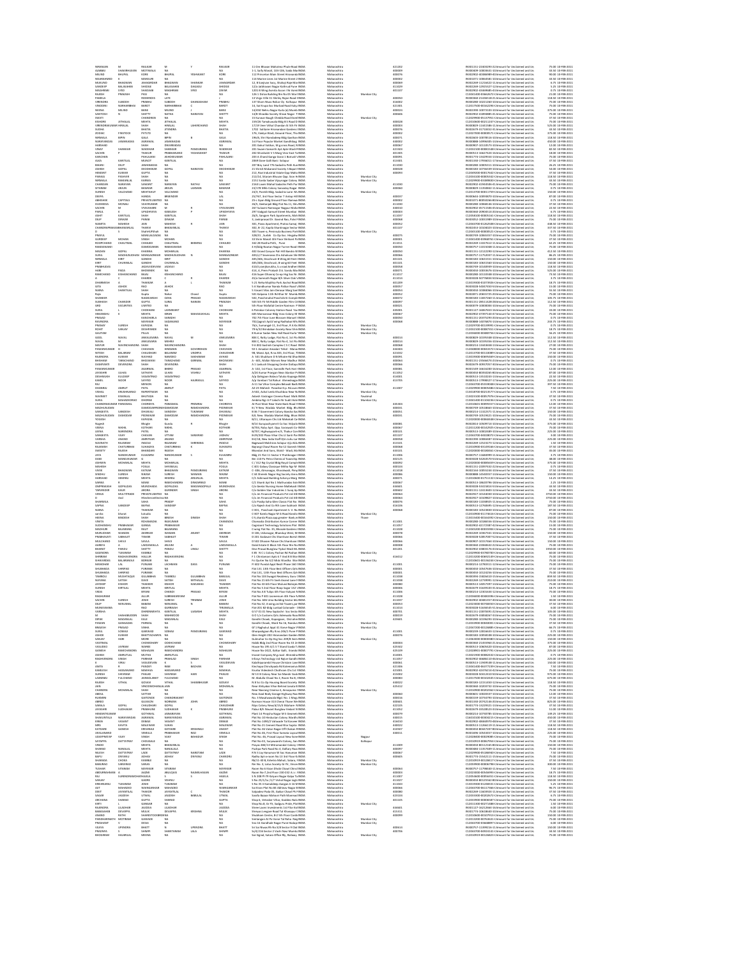| 14 Juli Mariel 104-106, Saida MadNDIA<br>112 Princeton Main Street HiranandalNDIA<br>114 Marine Lines 1st Marine Street 2/INDIA<br>IN300409-10003631-10Amount for Unclaimed and Unit<br>IN300409-10003631-10Amount for Unclaimed and Unit<br>IN301071-10064581-10Amount for Unclaimed and Unit<br>MANSUR<br>NISARAHM<br>Maharashtri<br>400002<br>NA<br>NA.<br>MUKUND<br>BHAGWAN<br>JAHAGIRDAR<br>BHAGWAN<br>SHANKAR<br>JAHAGIRDAR<br>12, 8 Sanjivan Socy, Shahaji Raje Mar/NDIA<br>Maharashtra<br>400059<br>IN302269-11216422-11 Amount for Unclaimed and Un<br>SANDEEP<br>BALASAHEB<br>SHEDGE<br>BALASAHEB<br>DAGADU<br>SHEDGE<br>12/a Jaibhavani Nagar Kothrud Pune INDIA<br>Maharashtra<br>411029<br>IN302269-12925327-12 Amount for Unclaimed and Un<br>MAGHRAB<br>SHADAAB<br>MAGHINA<br>SYED<br>246 AB<br>1201 B Wine Asmita Ascon   Nr AsmilNDIA<br>Maharashtra<br>401107<br>IN302902-43469685-43 Amount for Unclaimed and Un<br>SYED<br><b>MESH</b><br>MMELA<br>126<br>126 12 Diska Building Avs No OS World NDIA<br>137 Sham Nivas Rvikar Cly Kolhapur INDIA<br>14, Sai Krupa Soc Murbad Road KalyatNDIA<br>14, Sai Krupa Soc Murbad Road KalyatNDIA<br>C13041400-03662672-0Amount for Unclaimed and United States<br>RAKASH<br>PASI<br>RODERICKS<br>Maharashtri<br>Maharashtri<br>Mumbai City<br>NA<br>LATE<br>400050<br>VIRENDRA<br>SUBODE<br>PRABHL<br>Maharashtra<br>Maharashtra<br>IN300280-10221260-10 Amount for Unclaimed and Un<br>C12017500-00162294-0Amount for Unclaimed and Un<br><b>SUBOD!</b><br>416002<br>421301<br>PRABHU<br>BAROT<br>BAROT<br>VINODIN<br>NARHARI<br>NARHARIB<br>NEENA<br>MILIND<br>BANE<br>MILIND<br>BANE<br>14/450 Nehru Nagar Kurla (e) MumbINDIA<br>Maharashtra<br>400024<br>IN302390-10073103-10Amount for Unclaimed and Un<br>SHETTY<br><b>NATHA</b><br>NARAYAN<br>SHETTI<br>14/8 Shradda Society Shivai Nasar TINDIA<br>Maharashtra<br>400606<br>IN302902-41894885-41Amount for Unclaimed and Un<br>SANTOSH<br>$\overline{N}$<br>14/8 Shradda Society Shivai Nagar TINDIA<br>15 Kumwar Baugh Chedda Road DomBNDIA<br>159/26 Tamakuwala Bidg B S Road DINDIA<br>17/19 Veer Vithal Chandan St Sth Fir INDIA<br>1702 Solitaire Hiranandani Gardens RNDIA<br><b>SWATI</b><br>CHANDRAN<br>.<br>NA<br>Maharashtra<br>C12020900/IS132951-04mmm for Unriained and Un<br>Mumbai City<br>400028<br>C12010600-00211247-0Amount for Unclaimed and Un<br>IN300829-11441586-11Amount for Unclaimed and Un<br>IN300829-11441586-11Amount for Unclaimed and Un<br>IN302679-31710452-31Amount for Unclaimed and Un<br>KISHOR<br><b>IFTHALAI</b><br>MEHTA<br><b>JETHALAI</b><br>MEHTA<br>Maharashtri<br>HIRALAL<br><b>HIMALAL</b><br>VIRENDR<br>shah<br>Bhatia<br>LAHERCHAND<br>SHAH<br>BHATIA<br>Maharashtra<br>Maharashtra<br>400003<br>400076<br><b>JITENDRA</b><br>SUDHA<br>ZODIAC<br><b>FINSTOCK</b><br>PVTLTD<br>NA.<br>176, Vaidya Wadi, Ground Floor, ThaINDIA<br>Maharashtra<br>400002<br>C12027000-00000571-0Amount for Unclaimed and Un<br>NA.<br>NINMALA<br><b>BIPIN</b><br><b>GALA</b><br>196/6, Shri Nandadeep Bidg Gavthan INDIA<br>1st Floor Popular Market Gandhibag INDIA<br>Maharashtra<br>IN302603-10078516-10Amount for Unclaimed and Un<br>GALA<br>AGRAWAL<br>×<br>400071<br>NARAYANDAS<br>JAMANADAS<br><b>JAMANADAS</b><br><b>AGRAWAL</b><br>Maharashtra<br>440002<br>IN300888-14996305-14 Amount for Unclaimed and Un<br>201 Gokul Vatikar, M.g.cross Road, NINDIA<br>Maharashtri<br>400051<br>IN300907-19310573-10 Amount for Unclaimed and Unit<br>IN300907-10110573-10 Amount for Unclaimed and Unit<br>C12032100-00081548-0Amount for Unclaimed and Unit<br>HARSHAD<br>SHAH<br>DWARKADAS<br>NA<br>SHANKAR<br>WADEKAR<br>THAKUR<br>WADEKAN<br>VINAY<br>SACHIN<br>SHANKAR<br>201 Swami Samarth Apt Apte Wadi RINDIA<br>202 Shivshakti V S Marg Virar East TaiNDIA<br>Maharashtra<br>Maharashtra<br>421503<br>PRABHANAN<br>THAKUR<br>YASHAWAN <sup>*</sup><br>401305<br>KANCHAN<br>PAHLAJANI<br>ASHOKKUMAR<br>PAHLAJANI<br>203 A Chand Ganga Gorai 1 Borivali VINDIA<br>Maharashtra<br>400091<br>IN301774-13429554-13 Amount for Unclaimed and Un<br>ALKA<br>KANTILAL<br>MUNOT<br>KANTILAL<br>NA<br>2059 Dane Galli Barsi Solapur<br>Maharashtra<br>413401<br>IN301330-17936011-17 Amount for Unclaimed and Un<br><b>INDIA</b><br><b>BIHAN</b><br>DILIP<br><b>JAMANADAS</b><br>NA.<br><b>NA</b><br>207 Bizy Land 776 Sadashiy Peth KumINDIA<br>Maharashtra<br>411030<br>IN300280-10005311-10Amount for Unclaimed and Un<br>213 Shrish Makarand Society S Bapat RNDIA<br>212, Ravi Industrial Estate Opp MahalNDIA<br>212/14, Sitaram Bhuvan Opp. Sion HdNDIA<br>=100183-10736339-10Amount for Unclaimed and Unit<br>00183-10736339-10Amount for Unclaimed and Unit<br>012034100-00003342-0Amount for Unclaimed and Uni<br>ASHISH<br>HEMANT<br>GOPAL<br>KUMAR<br>DEODHEKAR<br>GUPTA<br>SHAH<br>GOPAL<br>NA<br>NA<br>NARAYAN<br>Maharashtri<br>Maharashtri<br>annos<br>PASHVIR<br>PANKAJ<br>Maharashtri<br><b>Aumbai City</b><br>NA<br>NIRMALA<br><b>NAMANLAL</b><br>KARWA<br>NA<br>2151 Sarda Sadan Vijaynagar Colony INDIA<br>2163 Laxrni Mahal Sadashiv Peth Pun/NDIA<br>Maharashtra<br>Mumbai City<br>C12029900-03389830-0Amount for Unclaimed and Un<br>NA<br>CHANDAN<br>NARAYAN<br>SAWANT<br>NARAYAN<br>NATHU<br>SAWANT<br>Maharashtra<br>411030<br>IN302902-41944506-41 Amount for Unclaimed and Un<br>SITARAM<br><b>BAWKAR</b><br>ARILIN<br>LAXMAN<br>BAWKAR<br>$23/178$ Mhb Colony Sarveday Nagar JNDIA<br>$24/3,$ Parakh Bidg. Sadashiv Lane<br>MuNDIA<br>$25/767, 3$ ed Floor Sector 7 Antop Hill INDIA<br>$\,$<br>Maharashtra<br>IN300829-11350842-11 Amount for Unclaimed and Un<br>ARJUN<br>400050<br>SURESH<br>DEEPA<br>MÉHTAHU<br>HANDA<br>VALCHAND<br>Maharashtri<br>Maharashtri<br>VALCHAND<br>NA<br>LAL<br>Mumbai City<br>400037<br>PRIVATEUM<br>CAPITALS<br>Maharashtra<br>Maharashtra<br>ABHISHEK<br>DUDHEDIA<br>NA<br>NA<br>NA<br>25-c Gyan Bldg Ground Floor RamwadNDIA<br>26/5, Geetanjali Bldg Flat No.11, ShivINDIA<br>400002<br>411030<br>MONALI<br>KAMUSYKUMA<br>NA<br>SACHIN<br>M<br>VYAVAHARE<br>M<br>VYAVAHARS<br>267 Sulaxmi Ramnagar Nagpur MahalNDIA<br>Maharashtra<br>440010<br>IN302902-45711506-45 Amount for Unclaimed and Un<br>PARUL<br>UPADHYAYA<br>KAMLESH<br>UPADHYAYA<br>297 Vadgadi Samuel Street Mumbai INDIA<br>Maharashtra<br>IN300360-20904514-20 Amount for Unclaimed and Un<br>400003<br>ASHIT<br>KANTILAL<br>SHAH<br>KANTILAL<br><b>SHAH</b><br>2b/S, Sangam Park Apartments, MahiNDIA<br>3, Jankiprasad Dr. Govind Rao, Palvi RINDIA<br>Maharashtra<br>411037<br>C12058100/0005161/Jammed for Unriained and Un<br>DILIP<br>PARAB<br>.<br>Pabal<br>annoss<br>DINKAS<br><b>DINKAR</b><br>Maharashtri<br>NAMITA<br>301, Paras Apartment, Pratna Samaj INDIA<br>302, B- 22, Kapila Shantinagar Sector-INDIA<br>MAHESP<br>jain<br>Thanvi<br>MAHESH<br>JAIN<br>THANV<br>Maharashtra<br>Maharashtra<br>400052<br>CHAND<br><b>BHAWARL</b><br>BHAWARLA<br>401107<br>ShahHUfShah<br>NA<br>NA<br>303 Tower-a, Peninsula Business Park/NDIA<br>Maharashtra<br>Mumbai City<br>C12045100-00000521-0Amount for Unclaimed and Un<br>s<br>PRAFUL<br>MANILALDADIA<br>NA<br>328/31, Surbhi Co Op Soc. Hingalw/NDIA<br>33 Shrin Manzil 4th Floor Shrikant PaINDIA<br>Maharashtra<br>400075<br>IN300749-10065357-10 Amount for Unclaimed and Un<br>NA<br>NA<br>GURDEEP<br>MOHAN<br>SINGH<br>MOHAN<br>Maharashtra<br>400001<br>C13041400-03968761-0Amount for Unclaimed and Un<br>ROOPCHAN<br>CHHAIFP<br>CHAUTMAI<br>aa ammi waatuu 4th Filoce Setteant PalNDIA<br>342 28 Rasha Peth, Pune III III III III<br>4 H/bidg Nootan Nagar Turner Road BNDIA<br>402 Grand Canyon Pali Hill Bandra WINDIA<br>Maharashtri<br>411011<br>C2101269-11027612-11Amount for Unclaimed and University 02102269-11027612-11Amount for Unclaimed and University<br>0200757-11015048-11Amount for Unclaimed and University 021151-12122290-12Amount for Unclaimed and Uni<br>CHAUTMA<br><b>BHMBA</b><br>CHHAIED<br>ramaswan<br>Madan<br>DAMODARA<br>RAMASWAM<br>Maharashtra<br>Maharashtra<br>NA<br>KHANNA<br>400050<br>GOPAL<br>400050<br>KHANNA<br>MOHANLAL<br><b>SUNIL</b><br>MADHUSUDI<br>MANGAONKAR<br>MADHUSUDHAN<br>MANGAONKAR<br>403/c/7 Sevenseas Chs Ashokvan ShivINDIA<br>Maharashtra<br>400056<br>IN300757-11752037-11 Amount for Unclaimed and Un<br>NIRMALA<br>KIRIT<br>GANDHI<br>KIRT<br>GANDHI<br>405/406, Devshrusti B Wing, 60 Feet RNDIA<br>Maharashtra<br>401101<br>IN300183-10631551-10 Amount for Unclaimed and Un<br>KIRIT<br>CHUNNILA<br>GANDHI<br>CHUNNLAL<br>GANDHI<br>405/406, Devshrusti, B-wing 60 Feet INDIA<br>Maharashtra<br>401101<br>IN300183-10631560-10 Amount for Unclaimed and Un<br>410/Husenhausha, S.v.road AndheritNDIA<br>410/Husenhausha, S.v.road AndheritNDIA<br>416 Super Dhanraj Co-op Hig Soc Nr.INDIA<br>416 Super Dhanraj Co-op Hig Soc Nr.INDIA<br>IN300749-1003059-10 Amount for Unclaimed and Unit<br>IN300749-10140939-10 Amount for Unclaimed and Unit<br>IN300450-10033676-10 Amount for Unclaimed and Unit<br>.<br>Hari<br>Hari<br>ADAVIIDE<br>IADAVII<br>Maharashtri<br>Maharashtri<br><b>ADDOSS</b><br><b>CWMB</b><br>0007<br><b>NANA</b><br>MAIA<br>411017<br>RAMCHAND<br>KISHANG<br>BAJAJ<br>KISHANCHANI<br>Maharashtri<br>SCIARDE<br>KHARDE<br>45/a Somnath Nagar B/h Silver Oak WNDIA<br>Maharashtra<br>411014<br>IN303028-50776834-50 Amount for Unclaimed and Un<br>DHARMESH<br>THAKKAR<br>THAKKAR<br>5 21 Neha Majithia Park Aachol RoadINDIA<br>Maharashtra<br>401209<br>C13019300-01073926-0Amount for Unclaimed and Un<br><b>GITA</b><br><b>ASHOK</b><br><b>NAO</b><br><b>ASHOK</b><br><b>RAD</b><br>5 A Nandkumar Nanda Patkar Road VINDIA<br>Maharashtra<br>400057<br>IN303028-54047450-54 Amount for Unclaimed and Un<br>urin<br>NAINA<br>Rajiv<br>SHAH<br>Gupta<br>NA<br>Gupta<br>5 Yesunt Vilas Jain Denssar Marg SantiNDIA<br>501 Kalpana 11th Rd Khar W. MumbaWDIA<br>manarashtri<br>Maharashtri<br>Maharashtri<br>400054<br>400052<br>IN100450-10384066-10 Amount for Unclaimed and Unit 000450-10384066-10 Amount for Unclaimed and Unit<br>SHANTILAI<br>Chary<br>PRASAD<br>502, Panchmahal Panchshriti CompletNDIA<br>503 5th Fir Mi Riddhi Garden Film CHINDIA<br>SHANKER<br>Subhash<br>OZHA<br>SURAJ<br>Maharashtra<br>Maharashtra<br>400072<br>IN300183-11837260-11 Amount for Unclaimed and Un<br>IN301151-28511428-28 Amount for Unclaimed and Un<br>NAGWANSHI<br>GUPTA<br>NAGWANSH<br>PRAKASH<br>CHANDER<br>NARAI<br>400097<br>GRD<br>securimes<br>LIMITED<br>NA<br>NA<br>5th Floor Mafatlal Centre Nariman PINDIA<br>Maharashtra<br>400021<br>IN300079-10000004-10Amount for Unclaimed and Un<br><b>SUNIL</b><br>CHOKHANI<br>LAXMIKANT<br>CHOKHAN<br>Maharashtra<br>445001<br>IN301127-16067653-16Amount for Unclaimed and Un<br>HIMANSHIL<br>MEHTA<br>KIRAN<br>MAHASUKHLAL<br>MEHTA<br>Maharashtra<br>400057<br>IN302902-47397144-47 Amount for Unclaimed and Un<br>PRASAD<br>KANCHARLA<br>MAYEKAR<br>KAPADIA<br>SARADE<br>2022 This Floor June Blossom Manuel ONDIA<br>2022 This Floor June Blossom Manuel ONDIA<br>2023 Juniergal-11, 3rd Floor, It A KidNDIA<br>annosn<br>IN302302-422872494-47 Amount for Unclaimed and Unit<br>IN303155-20375293-20 Amount for Unclaimed and Unit<br>IN300888-14076874-14 Amount for Unclaimed and Unit<br>NA<br>Maharashtri<br>MAYEKAR<br>400068<br>RAVINDR<br>PRANAY<br>SADANANI<br>Maharashtra<br>Maharashtra<br>SURESH<br>Mumbai City<br>NA<br>NA<br>ROHIT<br>SANJAY<br>DESHPANDE<br>NA<br>NA<br>79-b/32 Brindaban Society Near ShrinNDIA<br>Maharashtra<br>Mumbai City<br>C12032100-00087351-0Amount for Unclaimed and Un<br>GAUTAM<br>PILLAI<br>8 Kumar Sadan New Hall Road Kuda VNDIA<br>Maharashtra<br>Mumbai City<br>C12036000-00480756-0Amount for Unclaimed and Un<br>NA<br>coos<br>NAVAL<br>ANKALESARIA<br>NAVAL<br><b>ANKLESARIA</b><br>804 C, Ratty Lodge, Flat No.4, 1st FloriNDIA<br>804 C, Ratty Lodge, Flat No.4, 1st FloriNDIA<br>Maharashtra<br>400014<br>IN300829-10195348-10 Amount for Unclaimed and Un<br>M<br><b>UAVAL</b><br>WKLESARIA<br>MEHRI<br>Maharashtri<br>400014<br>IN300829-10195356-10 Amount for Unclaimed and Un<br>SHAH<br>9 A 002 Aashish Complex C S C Road INDIA<br>92-1 Amadari Amadari Tehsil - ManosNDIA<br>IN300214-13443658-13 Amount for Unclaimed and Un<br>C12048000-00043372-0Amount for Unclaimed and Un<br>MAYUE<br>SHAH<br>CHAVHAN<br>NAVINO<br>Maharashtra<br>Maharashtra<br>400068<br>444404<br>HIRAMAN<br><b>GOVERDHAM</b><br>CHAVHAN<br><b>AWANK</b><br>NITESH<br>BALARAM<br>CHAUDHARI<br>BALARAM<br>UNDRYA<br>CHAUDHAR<br>98. Mansi Apt. R.no.303. 3rd Floor, TRNDIA<br>Maharashtra<br>421032<br>C12013700-00110089-0Amount for Unclaimed and Un<br>RAJENDRA<br>KUMAR<br>NAVHAD<br>NAMDEO<br>SAKHARAM<br>AVHAD<br>A 501 Shubham D N Mhatre Rd DharlNDIA<br>Maharashtra<br>400091<br>C13019300-00695469-0Amount for Unclaimed and Un<br>BHISHAM<br>TARACHAND<br>BHO/WANI<br>TARACHAND<br>GERIMAL<br>BHOJWANI<br>4 - 601 Mafair Manuel Near Madhur INDIA<br>Maharashtra<br>400064<br>IN301151-23566474-23 Amount for Unclaimed and Un<br>IN102679-30937057-30Amount for Unclaimed and Unit<br>IN102679-30937057-30Amount for Unclaimed and Unit<br>IN100450-80350265-80Amount for Unclaimed and Unit<br>DAMYANT<br>DEVENDRA<br>.<br>Agarwal<br>DEVENDRA<br>BHERO<br>ULHAS<br>.<br>Againnal<br>$\label{eq:1} \begin{array}{ll} \textit{A 1} \textit{Lavhush Shopping Center DattipdNDNA}\\ \textit{A - 102}, \textit{1st Floor, Sarnidhi Park Hari ONDIA}\\ \textit{A/24 Kumier Paragan Near Alarkar PoINDIA} \end{array}$<br>Maharashtri<br>Maharashtri<br>400066<br>PAWANKL<br>PRASAD<br>SATHAYE<br>SATHAYE<br>JAYASHRI<br>411052<br>ULHAS<br>Maharashtri<br>VISHNU<br><b>DESHMUKH</b><br>KULDEEP<br>VASANTRAO<br>VASANTRAD<br>A/p Dahigaon Bolava Taluka KopargasNDIA<br>Maharashtra<br>414001<br>IN300513-13510243-13 Amount for Unclaimed and Un<br>NA.<br>SAYYED<br>KAMIL<br>NOOR<br>SAYYED<br>NOOR<br><b>HAJIRASUL</b><br>A/p Vambori Tal Rahuri AhmednagarINDIA<br>Maharashtra<br>413705<br>IN300513-17998327-17 Amount for Unclaimed and Un<br><b>IM</b><br>MENON<br>NA<br>A-11 Sai Vihar Complex Belavali BadlaNDIA<br>Maharashtra<br>Mumbai City<br>C12044700-05559048-0Amount for Unclaimed and Un<br>NA<br>PATIL<br>NA<br>A2-23 Mahesh Paradise D.p. Rd.aundNDIA<br>A-502, Achal Leela Khushboo Near NaINDIA<br>manarashtri<br>Maharashtri<br>Maharashtri<br>C12019900-00005486-0Amount for Unclaimed and United 201019700-00005486-0Amount for Unclaimed and United 20101870-00213577-0Amount for Unclaimed and United 201013100-00057976-0Amount for Unclaimed and United 20101104236-0Am<br><b>HAMBA</b><br>aasti D<br>PATIL<br>RAPERTIWAR<br>AMRUT<br>NA<br>411007<br>VISHAL<br>VISHAL<br>Mumbai City<br>minus, militti Leesa Kristinoon retär NaINDIA<br>Adarsh Vastragar Cinema Road - MalkiNDIA<br>Ambika Ngr A P Jalochi Nr Sudit HotelNDIA<br>NAVNEET<br>SUNIL<br><b>KISANLAL</b><br>Maharashtra<br>Maharashtra<br>BHUTADA<br>DHORGE<br>NA<br>NA<br>NA<br>NA<br>Yavatmal<br>Mumbai City<br>MAHADEORAD<br>CHANDRAKUMAR PARASMAL<br>CHORDIYA<br>PARASMA<br>PREMINAL<br>CHORDINA<br>At Post Wani Near State Bank Road WNDIA<br>Maharashtra<br>445304<br>C12010601-00095557-0Amount for Unclaimed and Un<br>MADHUSUDAN<br>DAMODARI<br><b>RAMCHANDRA</b><br>PEDNEKAR<br>B / 9 New Wadala Market Bldg. BhaNDIA<br>B 36 7 Governent Colony Bandra EastNDIA<br>Maharashtra<br>400031<br>IN300749-10518663-10 Amount for Unclaimed and Un<br>DAMODAE<br>SANGEETA<br>DHUWAU<br>SANDESH<br>TUKARAM<br><b>DHUWAL</b><br>Maharashtra<br>400051<br>IN300214-11322371-11 Amount for Unclaimed and Un<br>SANDESH<br>MADHUSUDAN<br>PEDNEKAI<br>KAPADIA<br>8.307 Government Cottey sames Cannon<br>8,9, New Wadala Market Bldg, BhairsWDIA<br>8/14 Gurupushyamnit Co Soc VidyalasNDIA<br>IN300749-10519421-10 Amount for Unclaimed and Unit<br>IN300749-10519421-10 Amount for Unclaimed and Unit<br>C12020000-00060448-0 Amount for Unclaimed and Unit<br>DAMODAL<br>navona<br>MACHANNe<br>PEDNEKA<br>Maharashtr<br>400031<br>YOGESE<br>NA<br>Maharashtra<br>Maharashtra<br>Mumbai City<br>NA<br>400081<br>Gundu<br><b>Shogte</b><br>Nagesl<br>Bhogte<br>VEENA<br><b>NIKHIL</b><br>KOTHARI<br>NIKHL<br>KOTHARI<br>8/704, Ruby Aprt. Opp. Saraswati Co-INDIA<br>Maharashtra<br>400067<br>C12011200-00142925-0Amount for Unclaimed and Un<br>LEENA<br><b>NARENDRA</b><br>PATEL<br>8/707, Highwaypark-e/3, Thakur ContNDIA<br>8-29/202 Plaza Vihar Chs Lt Santi ParlNDIA<br>Maharashtra<br>IN300513-10002489-10Amount for Unclaimed and Un<br>NA<br>NA.<br>400101<br>SANGEETA<br>VIJAY<br>CHAVAN<br>UTTAM<br>SARJERAD<br>JADHAV<br>Maharashtra<br>401107<br>C12044700-04028072-0Amount for Unclaimed and Un<br>VARSHA<br>8-47204 Press Visit Visit Collect James Particular<br>B-4/18, New India Staff Otrs Juhu LaniNDIA<br>Bajrangi Chawl Room No-12 Ganesh RNDIA<br>Maharashtri<br><b>ANANT</b><br>MINTKA<br>ANANG<br>AMRITKAR<br>INGCLE<br>SUHAGIYA<br>annoss<br>RAIARAM<br>CHATURBHAI<br>NAVNATH<br>RAJANISH<br>RAJARAM<br>CHATURBHAI<br>INGOLE<br>Maharashtra<br>Maharashtra<br>413101<br>SUHAGIYA<br>400068<br>SWEETY<br><b>BAJESH</b><br>BHANDAR<br>RAJESH<br>Bhandari And Sons, Wakil - Wadi, MalNDIA<br>Maharashtra<br>443101<br>C12020000-00180461-0Amount for Unclaimed and Un<br>NA<br><b>JAYA</b><br>NANDKUMAR<br>KULKARNI<br>NANDKUMAF<br>s<br>KULKARNI<br>Bidg 21 Flat 11 Sector V Pratiknagar ONDIA<br>Maharashtra<br>411006<br>IN300757-11684999-11 Amount for Unclaimed and Un<br>DAKE<br>MANOJKUMAR<br>8m 110 Po Petro Chemical Township INDIA<br>Maharashtra<br>402125<br>IN303028-54263570-54 Amount for Unclaimed and Un<br>NA.<br>NA<br>C / 312 Raj Crystal Bidg Royal CompletNDIA<br>C 401 Galaxy Classique Mitha Ngr M (NDIA<br>C-405, Atmanagar, Kharakwadi, PimpiNDIA<br>=1000000-00085659-0Amount for Unclaimed and Un<br>IN301151-22097432-22Amount for Unclaimed and Un<br>IN301151-22097432-22Amount for Unclaimed and Un<br>ASHWIN<br>MAHESH<br>MOHANLA<br>MEHTA<br>FOGLA<br>KATKAR<br>MOHANI A<br>MEHTA<br>FOGLA<br>KATKAR<br>Maharashtri<br>Maharashtri<br>400091<br>SHYAMLA<br>400104<br>411018<br><b>VIVEK</b><br>BHAGWAN<br>BHAGWAN<br>PANDURANG<br>Maharashtri<br>SINDHU<br>SURESH<br>NIKAM<br>SURESH<br>WAMAN<br>NIKAM<br>C 44 Shrenik Nagar Hsg Society AmruINDIA<br>C/1 Ashirwad Building Acharya Marg INDIA<br>Maharashtra<br>400086<br>IN300888-14540357-14 Amount for Unclaimed and Un<br>HARSHAD<br>HEMRAI<br>MEHTA<br>HEMRAJ<br>ARJUNLAL<br>MEHTA<br>Maharashtra<br>400071<br>C12010600-01751132-0Amount for Unclaimed and Un<br>SARIKA<br>MANE<br><b>RAMCHANDRA</b><br>DINKARRAO<br>MANE<br>C/1 Shanti Apt No 1 Mathuradas ExtelNDIA<br>Maharashtra<br>400057<br>IN300513-18620796-18 Amount for Unclaimed and Un<br>OMPRAKAS<br>TARVINDER<br>GOPALDAS<br>MUNDHAD<br>ARORA<br>C/o Geetai Nursing Home Maltekadi INDIA<br>C/o Geetai Nursing Home Maltekadi INDIA<br>C/o Gelden Star Industries 1 Sunaj ApJNDIA<br>C/o Jm Financial Products Pvt Ltd 4thINDIA<br>C/o Jm Financial Products Pvt Ltd 4thINDIA<br>manarashtri<br>Maharashtri<br>Maharashtri<br>=1003028-53415814-53 <i>Amount</i> for Unclaimed and Unit<br>R303028-53415814-53 <i>Amount</i> for Unclaimed and Unit<br>R303151-12413603-12 <i>Amount</i> for Unclaimed and Unit<br>R302927-10144030-10 <i>Amount</i> for Unclaimed and Unit<br>-<br>GOPALDAS<br>MULTITRADE<br>MULTITRADE<br>MUNDHADA<br>ARORA<br>MADAMO<br>444601<br>400602<br>PRIVATEUMITED<br>400064<br>400064<br>vENUS<br>NA<br>NA<br>Maharashtra<br>Maharashtra<br>NA<br>NA<br>SHARMILA<br>SAHA<br>PRADE<br>SAHA<br>C/o Pradip Saha Glen Classic Flat No 1NDIA<br>Maharashtra<br>400076<br>IN300183-11038925-11 Amount for Unclaimed and Un<br>SAPNA<br>NAINA<br>SANDEER<br>BAFNA<br>SANDEEP<br><b>BAFNA</b><br>C/o Raiesh And Co 9th Lane Subhash INDIA<br>Maharashtra<br>416106<br>IN300513-12760695-12 Amount for Unclaimed and Un<br>THAKKAR<br>NA<br>C-301. Panchrati Agartment S. V. Roj/NDIA<br>Maharashtra<br>400058<br>IN100183-10523830-10 Amount for Unclaimed and Un<br>C-307 Kamla Nagar M G Road KandiviNDIA<br>12010900-01174616-0Amount for Unclaimed and Unit<br>C12010900-01174616-0Amount for Unclaimed and Unit<br>C13015400-00164392-0Amount for Unclaimed and Unit<br>virshi<br>HEENA<br>VINITA<br>katudia<br>Maharashtri<br>C-5, sharda Plaza.opp.greater- Bank, mINDIA<br>Chamadia Distributors Kumar Corner INDIA<br><b>BINDESH</b><br>SHAH<br>RCHAMADI<br>SHAH<br>CHAMADIA<br>BINESH<br>RAIKUMAR<br><b>DINES?</b><br>Maharashtra<br>Maharashtra<br>Than<br>411001<br><b>SUDHANSHL</b><br>PRABHAKAR<br>GANGA<br>PRABHAKAR<br>Cognizant Technology Solutions Plot INDIA<br>Maharashtra<br>411057<br>IN302902-42172387-42 Amount for Unclaimed and Un<br>NA<br>MADHURI<br><b>BAUT</b><br>BAJARANO<br>Cwing Flat No. 35, Bhosale Gardens 8NDIA<br>D 106, Ushanagar, Bhandup West, MeNDIA<br>D 201 Godavari Chs Shantivan Borivii INDIA<br>Maharashtra<br>411028<br>C12045200-00035904-0Amount for Unclaimed and Un<br>BAJARANG<br>NA<br>MURLIDHAR<br><b>WAMAN</b><br>AKERKAR<br><b>WAMAN</b><br>ANAN'T<br>AKERKAR<br>Maharashtra<br>400078<br>IN302269-10962341-104mmm for Unriained and Un<br>PRABHAVAT<br><b>IRAWIT</b><br>Maharashtri<br>400066<br>IN303028-52857007-52 Amount for Unclaimed and Un<br>SABHAJO<br>SARHAID<br>TIWARI<br>SAVLA<br>LAKDAW,<br>IN103026-52657007-52Amount for Unclaimed and Unit<br>IN100907-10157464-10Amount for Unclaimed and Unit<br>IN100360-22060632-22Amount for Unclaimed and Un<br>MULCHAND<br>SAVLA<br>SHIVJI<br>D 502 Dharam Palace Chs Shantivan INDIA<br>Dalal Estate O Block 5th Floor Rm No INDIA<br>SHIVII<br>Maharashtra<br>Maharashtra<br>400066<br><b>LAREF</b><br>LAKDAWALL<br>ANJUM<br>400008<br>BHARAT<br>PANDU<br>SHETTY<br>PANDU<br>LINGU<br>SHETTY<br>Devi Prasad Bunglow Tipkol Wadi MulNDIA<br>E 85 N C L Colony Pashan Rd Pashan INDIA<br>Maharashtra<br>401201<br>IN302902-43803176-43 Amount for Unclaimed and Un<br>GAJENDRA<br>TUKARAM<br>KAMBLE<br>NA<br>NA<br>Maharashtra<br>Mumbai City<br>C12029900-03780700-0Amount for Unclaimed and Un<br>SHRIRAM<br><b><i>RAGHAVENDRA</i></b><br>HALLUR<br>RAGHAVENDR<br>NA<br>F 1 Chintamani Apts 6 7 And 8 B WanlNDIA<br>Maharashtra<br>416012<br>C12013200-00692149-0Amount for Unclaimed and Un<br>Fit Qurter No E/2 Mide Wareha Warinbin<br>Fit Qurter No E/2 Mide Wareha Warinbin<br>File 131 13th Floor Best Officers OrtsinDIA<br>C12010601-00136244-0Amount for Unclaimed and Un<br>IN300214-12783311-12 Amount for Unclaimed and Un<br>IN300450-10547636-10 Amount for Unclaimed and Un<br>SHWARDA<br><b>BALARAMAJI</b><br>BORKAR<br>PUNJAB<br>na<br>Punjabi<br>Maharashtri<br>Maharashtri<br>Mumbai City<br>NA<br>LACHMAN<br>ANOHA<br>411001<br>DASS<br>PURANIK<br>SHRIPAD<br>SHUBHADA<br>NA<br>Maharashtri<br>400001<br>SHUBHADA<br>SHRIPAD<br>PURANIK<br>Flat 131, 13th Floor Best Officers OrteNDIA<br>Maharashtra<br>400001<br>IN300450-10124256-10 Amount for Unclaimed and Un<br>NA<br>NA<br>TAMBOLI<br>MUSHTAQUE<br><b>GULABBHA</b><br>TAMBOLI<br>GULABBHA<br>BABULAL<br>Flat No 104 Swagat Residency Guru ONDIA<br>Maharashtra<br>411038<br>IN300394-15826410-15 Amount for Unclaimed and Un<br>NAYANA<br>SATISH<br>DAVE<br>SATISH<br>MITHALAL<br>DAVE<br>Flat No. 71 6th Fir Snah Anand Lane NINDIA<br>Maharashtra<br>411038<br>IN102269-12739991-12 Amount for Unriaimed and Un<br>IN300513-14057397-14 Amount for Unclaim<br>IN302679-31639103-31 Amount for Unclaim<br>AYDEEP<br>SURESH<br>HAKKÉR<br>ÆHTA<br>THAKKER<br>MEHTA<br>Flat No 43 6th Floor Mulund BalrajeshNDIA<br>Flat No 5 2nd Floor Roop Sagar 132 VINDIA<br>.<br>Maharashtr<br>Maharashtr<br>KISHOR<br>KIRITLAL<br>VIKAS<br>CHAND<br>PRASAD<br>Flat No A 8 Tulips 4th Floor Kalyani NINDM<br>Maharashtra<br>Maharashtra<br>IN300214-12301634-12 Amount for Unclaimed and Un<br>C12036000-00483396-0Amount for Unclaimed and Un<br>BIYANI<br>ALLUR<br>BIYANI<br>ALLUR<br>411006<br>411028<br>RAGHURAI<br><b>SUBRAM</b><br>Flat No P 401 Jasmenium 4th Floor MNDIA<br>SACHIN<br>SURESH<br>JOSHI<br>SURESH<br>TRIMBA<br>JOSHI<br>Flat No. 606 Uma Building Sector 662NDIA<br>Maharashtra<br>411037<br>IN302902-40481357-40 Amount for Unclaimed and Un<br><b>DILIP</b><br>NENUMAL<br>BABANI<br>NENUMA<br>BABAN<br>Flat No.52, A-wing, orchid Towers, yardNDIA<br>Flat-201 B2-bldg Lunkad Colonade - 1INDIA<br>Maharashtra<br>C12023000-00748350-0Amount for Unclaimed and Un<br>N.<br>400053<br><b>MUNESWARA</b><br><b>NAO</b><br>GURRAIAE<br>TIRUMALLA<br>Maharashtra<br>411014<br>IN303028-51636545-51 Amount for Unclaimed and Un<br>1870101 New Saptashri Soc SectorNDIA<br>6 57 01 01 New Saptashri Soc SectorNDIA<br>6 0 1/v Customs Opts Ademuala RoadNDIA<br>Gandhi Chowk, Kopargace, Dist-ahmINDIA<br>IN303151-22870491-22Amount for Unclaimed and Unit<br>IN303151-22870491-22Amount for Unclaimed and Unit<br>IN302579-33858267-33Amount for Unclaimed and Unit<br>VARSHA<br>CANTILAL<br><b>LIJAMSH</b><br>MEHTA<br>Maharashtri<br>400701<br>SHAH<br>MAHMOOD<br>SHAH<br>KALE<br>Maharashtra<br>Maharashtra<br>400019<br>M<br>DIPAK<br>MADANLAI<br>KALE<br>MADANLAI<br>423601<br>PAWAN<br>GANGADAS<br>PARWAL<br>NA<br>Gandhi Chowk, Ward No 16, NanduralNDIA<br>Maharashtra<br>Mumbai City<br>C12033900-00040001-0Amount for Unclaimed and Un<br>NA<br><b>BRAJESH</b><br>PRASAD<br>SINHA<br>Gf 1 Raghukul Appt 41 Karve Nagar WNDIA<br>Ghorpadigaon Riy B.no.246/1 Pune PINDIA<br>Maharashtra<br>Mumbai City<br>C12047200-00126885-0Amount for Unclaimed and Un<br>NA<br>NA<br><b>SUNIL</b><br>SOMAI<br>GAIKWAD<br>SOMAIL<br>PANDURANO<br>GAIKWAD<br>Maharashtra<br>411001<br>IN100239-12816633-12-Amount for Unclaimed and Un<br>ASHOK<br>SANJAY<br>VASTIMAL<br>.<br>NA<br>Glen Height-202 Hiranandani Gardent/NDIA<br>Maharashtri<br>N300183-10058108-10 Amount for Unclaimed and Un<br>KUMA<br>BHATTACH<br>NA<br>400076<br>HAR<br>Gulmohar Co Op Hig Soc 209/8 SectoNDIA<br>Habib Bldg 2nd Floor Room No 33 2n/NDIA<br>Maharashtra<br>Maharashtra<br>Mumbai City<br>C12063000-00000380-0Amount for Unclaimed and Un<br>IN300360-21455964-21 Amount for Unclaimed and Un<br>MORE<br>NA<br>NA<br>CHOWDHAR<br>400004<br>OOKHCHAND<br><b>CHOWDHA</b><br>VASUDEO<br>MAYINA<br>MARYAL<br>House No 195 A/1 S T Stand Savda TalNDIA<br>Maharashtra<br>425502<br>IN300513-10605420-10 Amount for Unclaimed and Un<br>WARKE<br>NA<br>GANESH<br><b>RAMCHANDRA</b><br>MAHAJAN<br><b>RAMCHANDRA</b><br>MAHAJAN<br>House No-2422, Kalkar Galli, Erandol/NDIA<br>Maharashtra<br>425109<br>C12028901-00007791-0Amount for Unclaimed and Un<br>ASHISH<br><b>AMRUTLAL</b><br><b>MUTHA</b><br>AMRUTLAL<br>Imarat Company M.g. road . Ahmedna/NDIA<br>Imarat Company M.g. road . Ahmedna/NDIA<br>Imary: Technology Ltd Rajive Gandhi INDIA<br>Kaiathiparambil Mouse Christain Lane(NDIA<br>Kinchapa Chinchpada Rd KatemanivalNDIA<br>Maharashtra<br>414001<br>C13021900-00082432-0Amount for Unclaimed and Un<br>NA<br>411057<br>400061<br>421306<br>Castration counter-successible in the contrainment and Diversify (2010)<br>1920/23-46686110-464 Amount for Unclaimed and Div<br>1920/23-11949538-11Amount for Unclaimed and Div<br>C13041400-06377239-0Amount for Unclaimed and Div<br><b>MAGHVEN</b><br>SINGH<br>VIRAJ<br>AMHAR<br><b>PRAHLAD</b><br>sindh<br>Maharashtri<br>Maharashtri<br>ASUDEVAL<br><b>ASUDEVAN</b><br>ANITA<br><b>RAM</b><br>BACHAN<br>PANDEY<br>Maharashtra<br>KAMLESH<br>HASSANAND<br>MAKHUA<br>HASSANAND<br>MAXHUA<br>Krusha Videotech Chothram Chs 1st FINDIA<br>Maharashtra<br>421001<br>IN302902-42476214-42 Amount for Unclaimed and Un<br>SURESH<br>SHIVRAM<br>PHALKE<br>SHIVRAM<br>HARI<br>PHALKE<br>M S E B Colony Near Sai Mandir GoddNDIA<br>Maharashtra<br>415002<br>IN303028-50412410-50 Amount for Unclaimed and Un<br>LAXMIBAL<br><b>FULCHAND</b><br><b>JAINSOLANKY</b><br><b>FULCHAND</b><br>M. Alefolia Chawl No. 2. Boom No. 8. HNDIA<br>Maharashtra<br>400083<br>C12017500-00102445-0Amount for Unclaimed and Un<br>MA<br>RAJESH<br>JAIN<br>CHANDRA<br>GOSAVI<br>UNIOCIME<br>GOSAVI<br>MOHANLAI<br>m. reenent Utawi No 2, noom No 8, HNDIA<br>N 8 Sci Co Op Housing Board Society INDIA<br>Near Ahliyabai Vihar Behind Janata BINDIA<br>manarashtri<br>Maharashtri<br>Maharashtri<br>EXPOSES -12151450-12 Amount for Unclaimed and Unit<br>M300183-12151450-12 Amount for Unclaimed and Unit<br>M300360-10203732-10 Amount for Unclaimed and Unit<br>C12010900-00202362-0Amount for Unclaimed and Unit<br><b>ITHAL</b><br><b>CHAMBER ISS</b><br>440021<br>425412<br>Near Navrang Cinema 4, Annapuma SINDIA<br>New Azad Body Garage Highway RoadNDIA<br>Maharashtra<br>Maharashtra<br>MOHANLA<br>SHAH<br>SATTAR<br>NA<br>NA<br>NA<br>Mumbai City<br>400050<br>ABDUL<br>NA<br>RUKMINI<br>GAITONDE<br>CHANDRAKANT<br>GAITONDE<br>No. 3 Masalwawala Bigd. No. 1 MoguNDIA<br>Maharashtra<br>400016<br>IN300159-10734793-10 Amount for Unclaimed and Un<br>ABREO<br>GLEASON<br>NORMAN<br>JOHN<br>ABREO<br>Norman House 313 Cheral Thane WelNTH<br>Maharashtra<br>400601<br>IN301330-20242146-20 Amount for Unriained and Un<br>SARALA<br>GOPAL<br>CHAUDHAR<br><b>GOPAL</b><br>CHAUDHAR<br>Nins Colony Neworld's S.G. Fidebara, NINDIA<br>Maharashtra<br>422105<br>IN301774-13229321-13 Amount for Unclaimed and Un<br>JAYASHIN<br>HEMANTICUMAI<br><b>PRAINLINE</b><br>Palavi B/h Niwant Bunglow Vedant NINDIA<br>Plant 14 Pirojsha Nagar M S GeometriNDIA<br>Plot No 10 Hindustan Colony WarshalNDIA<br>IN302679-33528523-33 Amount for Unclaimed and Unit<br>IN302679-33528523-33 Amount for Unclaimed and Unit<br>IN300214-10730785-10 Amount for Unclaimed and Unit<br>SUDHAKAF<br><b>RABHUN</b><br>SUDHAKAR<br>JAINARAYAN<br>NARAYANDAS<br>Maharashtri<br>411052<br>GOTHWAL<br>GOTHWAL<br>Maharashtra<br>Maharashtra<br>400079<br>NARAYAND<br>SHAKUNTALA<br>AGRAWAL<br>440015<br>Plot No 1490/2 Valiwade Tal Karveer INDIA<br>KIRAN<br>VASANT<br>DEBAJE<br>VASANT<br>DEBAJE<br>Maharashtra<br>IN302902-48460970-48 Amount for Unclaimed and Un | 48.50 10-FEB-2011<br>90.00 10-FEB-2011<br>48.50 10-FEB-2011<br>6.75 10-FEB-2011<br>5.25 10-FEB-2011<br>0.75 10-FEB-2011<br>21.00 10-FEB-2011<br>118.50 10-FEB-2011<br>75.00 10-FEB-2011<br>75.00 10-FEB-2011<br>375.00 10 FEB-2011<br>75.00 10 FEB-2011<br>37.50 10 FEB 2011<br>75.00 10-FEB-2011<br>525.00 10-FEB-2011<br>43.50 10-FEB-2011<br>375.00 10-FEB-2011<br>118.50 10 FEB-2011<br>450.00 10-FEB-2011<br>12.00 10-FEB-2011<br>82.50 10-FEB-2011<br>18.00 10-FEB-2011<br>75.00 10 FEB-2011<br>37.50 10 FEB 2011<br>26.25 10 FEB-2011<br>54.00 10-FEB-2011<br>37.50 10-FEB-2011<br>118.50 10-FEB-2011<br>43.50 10 FEB-2011<br>75.00 10-FEB-2011<br>0.25.10/ER2011<br>150.00 10-FEB-2011<br>87.00 10-FEB-2011<br>0.75 10-FEB-2011<br>37.50 10-FEB-2011<br>22.50 10-FEB-2011<br>6.75.10/FR2011<br>118.50 10 FEB-2011<br>75.00 10-FEB-2011<br>448.50 10-FEB-2011<br>337.50 10-FEB-2011<br>0.75 10-FEB-2011<br>75.00 10 FEB-2011<br>37.50 10 FEB 2011<br>62.25 10-FEB-2011<br>75.00 10-FEB-2011<br>412.50 10-FEB-2011<br>86.25 10-FEB-2011<br>150.00 10-FEB-2011<br>150.00 10 FEB-2011<br>118.50 10-FEB-2011<br>525.00 10-FEB-2011<br>73.50 10-FEB-2011<br>3.75 10-FEB-2011<br>18.75 10-FEB-2011<br>15.00 10 FEB-2011<br>55.50 10-FEB-2011<br>75.00 10-FEB-2011<br>105.75 10-FEB-2011<br>112.50 10-FEB-2011<br>75.00 10-FEB-2011<br>33.00 10 FEB 2011<br>75.00 10-FEB-2011<br>0.75 10 FEB-2011<br>243.75 10-FEB-2011<br>0.75 10-FEB-2011<br>18.75 10-FEB-2011<br>56.25 10 FEB-2011<br>112.50 10 FEB-2011<br>112.50 10-FEB-2011<br>27.00 10-FEB-2011<br>75.00 10-FEB-2011<br>37.50 10-FEB-2011<br>150.00 10-FEB-2011<br>0.25.10/EE2011<br>75.00 10-FEB-2011<br>12.00 10-FEB-2011<br>87.00 10-FEB-2011<br>22.50 10 FEB-2011<br>225.00 10-FEB-2011<br>997.50.10.FFR.2011<br>7.50 10-FEB-2011<br>0.75 10-FEB-2011<br>37.50 10-FEB-2011<br>0.75 10-FEB-2011<br>12.00 10 FEB-2011<br>37.50 10 FEB-2011<br>150.00 10-FEB-2011<br>75.00 10-FEB-2011<br>48.50 10-FEB-2011<br>975.00 10-FEB-2011<br>75.00 10 FEB-2011<br>225.00 10 FEB-2011<br>3.00 10 FEB 2011<br>225.00 10-FEB-2011<br>1.50 10-FEB-2011<br>37.50 10-FEB-2011<br>45.00 10 FEB-2011<br>3.75 10-FEB-2011<br>48.00 10 FEB-2011<br>375.00 10 FEB-2011<br>0.75 10 FEB-2011<br>37.50 10 FEB-2011<br>150.00 10-FEB-2011<br>14.25 10 FEB-2011<br>2.25 10-FEB-2011<br>43.50 10-FEB-2011<br>43.50 10-FEB-2011<br>3750.00 10-FEB-2011<br>3750.00 10-FEB-2011<br>75.00 10-FEB-2011<br>187.50 10 FEB-2011<br>87.00 10 FEB 2011<br>75.00 10-FEB-2011<br>150.00 10-FEB-2011<br>75.00 10-FEB-2011<br>15.00 10 FEB-2011<br>75.00 10 FEB-2011<br>150.00 10 FEB-2011<br>37.50 10-FEB-2011<br>150.00 10-FEB-2011<br>75.00 10-FEB-2011<br>1950.00 10 FEB-2011<br>60.00 10 FEB-2011<br>75.00 10 FEB-2011<br>75.00 10-FEB-2011<br>75.00 10-FEB-2011<br>37.50 10-FEB-2011<br>75.00 10 FEB-2011<br>859.50 10-FEB-2011<br>210.00 10 FEB-2011<br>75.00 10-FEB-2011<br>18.75 10-FEB-2011<br>75.00 10-FEB-2011<br>1.50 10-FEB-2011<br>30.00 10-FEB-2011<br>37.50 10 FEB-2011<br>6.00 10-FEB-2011<br>105.00 10 FEB-2011<br>75.00 10-FEB-2011<br>75.00 10-FEB-2011<br>37.50 10-FEB-2011<br>66.75 10 FEB-2011<br>0.75 10-FEB-2011<br>225.00 10 FEB 2011<br>150.00 10 FEB-2011<br>375.00 10-FEB-2013<br>87.00 10-FEB-2011<br>225.00 10-FEB-2011<br>0.75 10 FEB-2011<br>225.00 10 FEB-2013<br>150.00 10 FEB-2011<br>150.00 10 FEB-2011<br>7.50 10 FEB-2011<br>75.00 10 FEB-2011<br>975.00 10-FEB-2011<br>675.00 10 FEB-2011 |
|-----------------------------------------------------------------------------------------------------------------------------------------------------------------------------------------------------------------------------------------------------------------------------------------------------------------------------------------------------------------------------------------------------------------------------------------------------------------------------------------------------------------------------------------------------------------------------------------------------------------------------------------------------------------------------------------------------------------------------------------------------------------------------------------------------------------------------------------------------------------------------------------------------------------------------------------------------------------------------------------------------------------------------------------------------------------------------------------------------------------------------------------------------------------------------------------------------------------------------------------------------------------------------------------------------------------------------------------------------------------------------------------------------------------------------------------------------------------------------------------------------------------------------------------------------------------------------------------------------------------------------------------------------------------------------------------------------------------------------------------------------------------------------------------------------------------------------------------------------------------------------------------------------------------------------------------------------------------------------------------------------------------------------------------------------------------------------------------------------------------------------------------------------------------------------------------------------------------------------------------------------------------------------------------------------------------------------------------------------------------------------------------------------------------------------------------------------------------------------------------------------------------------------------------------------------------------------------------------------------------------------------------------------------------------------------------------------------------------------------------------------------------------------------------------------------------------------------------------------------------------------------------------------------------------------------------------------------------------------------------------------------------------------------------------------------------------------------------------------------------------------------------------------------------------------------------------------------------------------------------------------------------------------------------------------------------------------------------------------------------------------------------------------------------------------------------------------------------------------------------------------------------------------------------------------------------------------------------------------------------------------------------------------------------------------------------------------------------------------------------------------------------------------------------------------------------------------------------------------------------------------------------------------------------------------------------------------------------------------------------------------------------------------------------------------------------------------------------------------------------------------------------------------------------------------------------------------------------------------------------------------------------------------------------------------------------------------------------------------------------------------------------------------------------------------------------------------------------------------------------------------------------------------------------------------------------------------------------------------------------------------------------------------------------------------------------------------------------------------------------------------------------------------------------------------------------------------------------------------------------------------------------------------------------------------------------------------------------------------------------------------------------------------------------------------------------------------------------------------------------------------------------------------------------------------------------------------------------------------------------------------------------------------------------------------------------------------------------------------------------------------------------------------------------------------------------------------------------------------------------------------------------------------------------------------------------------------------------------------------------------------------------------------------------------------------------------------------------------------------------------------------------------------------------------------------------------------------------------------------------------------------------------------------------------------------------------------------------------------------------------------------------------------------------------------------------------------------------------------------------------------------------------------------------------------------------------------------------------------------------------------------------------------------------------------------------------------------------------------------------------------------------------------------------------------------------------------------------------------------------------------------------------------------------------------------------------------------------------------------------------------------------------------------------------------------------------------------------------------------------------------------------------------------------------------------------------------------------------------------------------------------------------------------------------------------------------------------------------------------------------------------------------------------------------------------------------------------------------------------------------------------------------------------------------------------------------------------------------------------------------------------------------------------------------------------------------------------------------------------------------------------------------------------------------------------------------------------------------------------------------------------------------------------------------------------------------------------------------------------------------------------------------------------------------------------------------------------------------------------------------------------------------------------------------------------------------------------------------------------------------------------------------------------------------------------------------------------------------------------------------------------------------------------------------------------------------------------------------------------------------------------------------------------------------------------------------------------------------------------------------------------------------------------------------------------------------------------------------------------------------------------------------------------------------------------------------------------------------------------------------------------------------------------------------------------------------------------------------------------------------------------------------------------------------------------------------------------------------------------------------------------------------------------------------------------------------------------------------------------------------------------------------------------------------------------------------------------------------------------------------------------------------------------------------------------------------------------------------------------------------------------------------------------------------------------------------------------------------------------------------------------------------------------------------------------------------------------------------------------------------------------------------------------------------------------------------------------------------------------------------------------------------------------------------------------------------------------------------------------------------------------------------------------------------------------------------------------------------------------------------------------------------------------------------------------------------------------------------------------------------------------------------------------------------------------------------------------------------------------------------------------------------------------------------------------------------------------------------------------------------------------------------------------------------------------------------------------------------------------------------------------------------------------------------------------------------------------------------------------------------------------------------------------------------------------------------------------------------------------------------------------------------------------------------------------------------------------------------------------------------------------------------------------------------------------------------------------------------------------------------------------------------------------------------------------------------------------------------------------------------------------------------------------------------------------------------------------------------------------------------------------------------------------------------------------------------------------------------------------------------------------------------------------------------------------------------------------------------------------------------------------------------------------------------------------------------------------------------------------------------------------------------------------------------------------------------------------------------------------------------------------------------------------------------------------------------------------------------------------------------------------------------------------------------------------------------------------------------------------------------------------------------------------------------------------------------------------------------------------------------------------------------------------------------------------------------------------------------------------------------------------------------------------------------------------------------------------------------------------------------------------------------------------------------------------------------------------------------------------------------------------------------------------------------------------------------------------------------------------------------------------------------------------------------------------------------------------------------------------------------------------------------------------------------------------------------------------------------------------------------------------------------------------------------------------------------------------------------------------------------------------------------------------------------------------------------------------------------------------------------------------------------------------------------------------------------------------------------------------------------------------------------------------------------------------------------------------------------------------------------------------------------------------------------------------------------------------------------------------------------------------------------------------------------------------------------------------------------------------------------------------------------------------------------------------------------------------------------------------------------------------------------------------------------------------------------------------------------------------------------------------------------------------------------------------------------------------------------------------------------------------------------------------------------------------------------------------------------------------------------------------------------------------------------------------------------------------------------------------------------------------------------------------------------------------------------------------------------------------------------------------------------------------------------------------------------------------------------------------------------------------------------------------------------------------------------------------------------------------------------------------------------------------------------------------------------------------------------------------------------------------------------------------------------------------------------------------------------------------------------------------------------------------------------------------------------------------------------------------------------------------------------------------------------------------------------------------------------------------------------------------------------------------------------------------------------------------------------------------------------------------------------------------------------------------------------------------------------------------------------------------------------------------------------------------------------------------------------------------------------------------------------------------------------------------------------------------------------------------------------------------------------------------------------------------------------------------------------------------------------------------------------------------------------------------------------------------------------------------------------------------------------------------------------------------------------------------------------------------------------------------------------------------------------------------------------------------------------------------------------------------------------------------------------------------------------------------------------------------------------------------------------------------------------------------------------------------------------------------------------------------------------------------------------------------------------------------------------------------------------------------------------------------------------------------------------------------------------------------------------------------------------------------------------------------------------------------------------------------------------------------------------------------------------------------------------------------------------------------------------------------------------------------------------------------------------------------------------------------------------------------------------------------------------------------------------------------------------------------------------------------------------------------------------------------------------------------------------------------------------------------------------------------------------------------------------------------------------------------------------------------------------------------------------------------------------------------------------------------------------------------------------------------------------------------------------------------------------------------------------------------------------------------------------------------------------------------------------------------------------------------------------------------------------------------------------------------------------------------------------------------------------------------------------------------------------------------------------------------------------------------------------------------------------------------------------------------------------------------------------------------------------------------------------------------------------------------------------------------------------------------------------------------------------------------------------------------------------------------------------------------------------------------------------------------------------------------------------------------------------------------------------------------------------------------------------------------------------------------------------------------------------------------------------------------------------------------------------------------------------------------------------------------------------------------------------------------------------------------------------------------------------------------------------------------------------------------------------------------------------------------------------------------------------------------------------------------------------------------------------------------------------------------------------------------------------------------------------------------------------------------------------------------------------------------------------------------------------------------------------------------------------------------------------------------------------------------------------------------------------------------------------------------------------------------------------------------------------------------------------------------------------------------------------------------------------------------------------------------------------------------------------------------------------------------------------------------------------------------------------------------------------------------------------------------------------------------------------------------------------------------------------------------------------------------------------------------------------------------------------------------------------------------------------------------------------------------------------------------------------------------------------------------------------------------------------------------------------------------------------------------------------------------------------------------------------------------------------------------------------------------------------------------------------------------------------------------------------------------------------------------------------------------------------------------------------------------------------------------------------------------------------------------------------------------------------------------------------------------------------------------------------------------------------------------------------------------------------------------------------------------------------------------------------------------------------------------------------------------------------------------------------------------------------------------------------------------------------------------------------------------------------------------------------------------------------------------------------------------------------------------------------------------------------------------------------------------------------------------------------------------------------------------------------------------------------------------------------------------------------------------------------------------------------------------------------------------------------------------------------------------------------------------------------------------------------------------------------------------------------------------------------------------------------------------------------------------------------------------------------------------------------------------------------------------------------------------------------------------------------------------------------------------------------------------------------------------------------------------------------------------------------------------------------------------------------------------------------------------------------------------------------------------------------------------------------------------------------------------------------------------------------------------------------------------------------------------------------------------------------------------------------------------------------------------------------------------------------------------------------------------------------------------------------------------------------------------------------------------------------------------------------------------------------------------------------------------------------------------------------------------------------------------------------------------------------------------------------------------------------------------------------------------------------------------------------------------------------------------------------------------------------------------------------------------------------------------------------------------------------------------------------------------------------------------------------------------------------------------------------------------------------------------------------------------------------------------------------------------------------------------------------------------------------------------------------------------------------------------------------------------------------------------------------------------------------------------------------------------------------------------------------------------------------------------------------------------------------------------------------------------------------------------------------------------------------------------------------------------------------------------------------------------------------------------------------------------------------------------------------------------------------------------------------------------------------------------------------------------------------------------------------------------------------------------------------------------------------------------------------------------------------------------------------------------------------------------------------------------------------------------------------------------------------------------------------------------------------------------------------------------------------------------------------------------------------------------------------------------------------------------------------------------------------------------------------------------------------------------------------------------------------------------------------------------------------------------------------------------------------------------------------------------------------------------------------------------------------------------------------------------------------------------------------------------------------------------------------------------------------------------------------------------------------------------------------------------------------------------------------------------------------------------------------------------------------------------------------------------------------------------------------------------------------------------------------------------------------------------------------------------------------------------------------------------------------------------------------------------------------------------------------------------------------------------------------------------------------------------------------------------------------------------------------------------------------------------------------------------------------------------------------------------------------------------------------------------------------------------------------------------------------------------------------------------------------------------------------------------------------------------------------------------------------------------------------------------------------------------------------------------------------------------------------------------------------------------------------------------------------------------------------------------------------------------------------------------------------------------------------------------------------------------------------------------------------------------------------------------------------------------------------------------------------------------------------------------------------------------------------------------------------------------------------------------------------------------------------------------------------------------------------------------------------------------------------------------------------------------------------------------------------------------------------------------------------------------------------------------------------------------------------------------------------------------------------------------------------------------------------------------------------------------------------------------------------------------------------------------------------------------------------------------------------------------------------------------------------------------------------------------------------------------------------------------------------------------------------------------------------------------------------------------------------------------------------------------------------------------------------------------------------------------------------------------------------------------------------------------------------------------------------------------------------------------------------------------------------------------------------------------------------------------------------------------------------------------------------------------------------------------------------------------------------------------------------------------------------------------------------------------------------------------------------------------------------------------------------------------------------------------------------------------------------------------------------------------------------------------------------------------------------------------------------------------------------------------------------------------------------------------------------------------------------------------------------------------------------------------------------------------------------------------------------------------------------------------------------------------------------------------------------------------------------------------------------------------------------------------------------------------------------------------------------------------------------------------------------------------------------------------------------------------------------------------------------------------------------------------------------------------------------------------------------------------------------------------------------------------------------------------------------------------------------------------------------------------------------------------------------------------------------------------------------------------------------------------------------------------------------------------------------------------------------------------------------------------------------------------------------------------------------------------------------------------------------------------------------------------------------------------------------------------------------------------------------------------------------------------------------------------------------------------------------------------------------------------------------------------------------------------------------|-----------------------------------------------------------------------------------------------------------------------------------------------------------------------------------------------------------------------------------------------------------------------------------------------------------------------------------------------------------------------------------------------------------------------------------------------------------------------------------------------------------------------------------------------------------------------------------------------------------------------------------------------------------------------------------------------------------------------------------------------------------------------------------------------------------------------------------------------------------------------------------------------------------------------------------------------------------------------------------------------------------------------------------------------------------------------------------------------------------------------------------------------------------------------------------------------------------------------------------------------------------------------------------------------------------------------------------------------------------------------------------------------------------------------------------------------------------------------------------------------------------------------------------------------------------------------------------------------------------------------------------------------------------------------------------------------------------------------------------------------------------------------------------------------------------------------------------------------------------------------------------------------------------------------------------------------------------------------------------------------------------------------------------------------------------------------------------------------------------------------------------------------------------------------------------------------------------------------------------------------------------------------------------------------------------------------------------------------------------------------------------------------------------------------------------------------------------------------------------------------------------------------------------------------------------------------------------------------------------------------------------------------------------------------------------------------------------------------------------------------------------------------------------------------------------------------------------------------------------------------------------------------------------------------------------------------------------------------------------------------------------------------------------------------------------------------------------------------------------------------------------------------------------------------------------------------------------------------------------------------------------------------------------------------------------------------------------------------------------------------------------------------------------------------------------------------------|
|                                                                                                                                                                                                                                                                                                                                                                                                                                                                                                                                                                                                                                                                                                                                                                                                                                                                                                                                                                                                                                                                                                                                                                                                                                                                                                                                                                                                                                                                                                                                                                                                                                                                                                                                                                                                                                                                                                                                                                                                                                                                                                                                                                                                                                                                                                                                                                                                                                                                                                                                                                                                                                                                                                                                                                                                                                                                                                                                                                                                                                                                                                                                                                                                                                                                                                                                                                                                                                                                                                                                                                                                                                                                                                                                                                                                                                                                                                                                                                                                                                                                                                                                                                                                                                                                                                                                                                                                                                                                                                                                                                                                                                                                                                                                                                                                                                                                                                                                                                                                                                                                                                                                                                                                                                                                                                                                                                                                                                                                                                                                                                                                                                                                                                                                                                                                                                                                                                                                                                                                                                                                                                                                                                                                                                                                                                                                                                                                                                                                                                                                                                                                                                                                                                                                                                                                                                                                                                                                                                                                                                                                                                                                                                                                                                                                                                                                                                                                                                                                                                                                                                                                                                                                                                                                                                                                                                                                                                                                                                                                                                                                                                                                                                                                                                                                                                                                                                                                                                                                                                                                                                                                                                                                                                                                                                                                                                                                                                                                                                                                                                                                                                                                                                                                                                                                                                                                                                                                                                                                                                                                                                                                                                                                                                                                                                                                                                                                                                                                                                                                                                                                                                                                                                                                                                                                                                                                                                                                                                                                                                                                                                                                                                                                                                                                                                                                                                                                                                                                                                                                                                                                                                                                                                                                                                                                                                                                                                                                                                                                                                                                                                                                                                                                                                                                                                                                                                                                                                                                                                                                                                                                                                                                                                                                                                                                                                                                                                                                                                                                                                                                                                                                                                                                                                                                                                                                                                                                                                                                                                                                                                                                                                                                                                                                                                                                                                                                                                                                                                                                                                                                                                                                                                                                                                                                                                                                                                                                                                                                                                                                                                                                                                                                                                                                                                                                                                                                                                                                                                                                                                                                                                                                                                                                                                                                                                                                                                                                                                                                                                                                                                                                                                                                                                                                                                                                                                                                                                                                                                                                                                                                                                                                                                                                                                                                                                                                                                                                                                                                                                                                                                                                                                                                                                                                                                                                                                                                                                                                                                                                                                                                                                                                                                                                                                                                                                                                                                                                                                                                                                                                                                                                                                                                                                                                                                                                                                                                                                                                                                                                                                                                                                                                                                                                                                                                                                                                                                                                                                                                                                                                                                                                                                                                                                                                                                                                                                                                                                                                                                                                                                                                                                                                                                                                                                                                                                                                                                                                                                                                                                                                                                                                                                                                                                                                                                                                                                                                                                                                                                                                                                                                                                                                                                                                                                                                                                                                                                                                                                                                                                                                                                                                                                                                                                                                                                                                                                                                                                                                                                                                                                                                                                                                                                                                                                                                                                                                                                                                                                                                                                                                                                                                                                                                                                                                                                                                                                                                                                                                                                                                                                                                                                                                                                                                                                                                                                                                                                                                                                                                                                                                                                                                                                                                                                                                                                                                                                                                                                                                                                                                                                                                                                                                                                                                                                                                                                                                                                                                                                                                                                                                                                                                                                                                                                                                                                                                                                                                                                                                                                                                                                                                                                                                                                                                                                                                                                                                                                                                                                                                                                                                                                                                                                                                                                                                                                                                                                                                                                                                                                                                                                                                                                                                                                                                                                                                                                                                                                                                                                                                                                                                                                                                                                                                                                                                                                                                                                                                                                                                                                                                                                                                                                                                                                                                                                                                                                                                                                                                                                                                                                                                                                                                                                                                                                                                                                                                                                                                                                                                                                                                                                                                                                                                                                                                                                                                                                                                                                                                                                                                                                                                                                                                                                                                                                                                                                                                                                                                                                                                                                                                                                                                                                                                                                                                                                                                                                                                                                                                                                                                                                                                                                                                                                                                                                                                                                                                                                                                                                                                                                                                                                                                                                                                                                                                                                                                                                                                                                                                                                                                                                                                                                                                                                                                                                                                                                                                                                                                                                                                                                                                                                                                                                                                                                                                                                                                                                                                                                                                                                                                                                                                                                                                                                                                               |                                                                                                                                                                                                                                                                                                                                                                                                                                                                                                                                                                                                                                                                                                                                                                                                                                                                                                                                                                                                                                                                                                                                                                                                                                                                                                                                                                                                                                                                                                                                                                                                                                                                                                                                                                                                                                                                                                                                                                                                                                                                                                                                                                                                                                                                                                                                                                                                                                                                                                                                                                                                                                                                                                                                                                                                                                                                                                                                                                                                                                                                                                                                                                                                                                                                                                                                                                                                                                                     |
|                                                                                                                                                                                                                                                                                                                                                                                                                                                                                                                                                                                                                                                                                                                                                                                                                                                                                                                                                                                                                                                                                                                                                                                                                                                                                                                                                                                                                                                                                                                                                                                                                                                                                                                                                                                                                                                                                                                                                                                                                                                                                                                                                                                                                                                                                                                                                                                                                                                                                                                                                                                                                                                                                                                                                                                                                                                                                                                                                                                                                                                                                                                                                                                                                                                                                                                                                                                                                                                                                                                                                                                                                                                                                                                                                                                                                                                                                                                                                                                                                                                                                                                                                                                                                                                                                                                                                                                                                                                                                                                                                                                                                                                                                                                                                                                                                                                                                                                                                                                                                                                                                                                                                                                                                                                                                                                                                                                                                                                                                                                                                                                                                                                                                                                                                                                                                                                                                                                                                                                                                                                                                                                                                                                                                                                                                                                                                                                                                                                                                                                                                                                                                                                                                                                                                                                                                                                                                                                                                                                                                                                                                                                                                                                                                                                                                                                                                                                                                                                                                                                                                                                                                                                                                                                                                                                                                                                                                                                                                                                                                                                                                                                                                                                                                                                                                                                                                                                                                                                                                                                                                                                                                                                                                                                                                                                                                                                                                                                                                                                                                                                                                                                                                                                                                                                                                                                                                                                                                                                                                                                                                                                                                                                                                                                                                                                                                                                                                                                                                                                                                                                                                                                                                                                                                                                                                                                                                                                                                                                                                                                                                                                                                                                                                                                                                                                                                                                                                                                                                                                                                                                                                                                                                                                                                                                                                                                                                                                                                                                                                                                                                                                                                                                                                                                                                                                                                                                                                                                                                                                                                                                                                                                                                                                                                                                                                                                                                                                                                                                                                                                                                                                                                                                                                                                                                                                                                                                                                                                                                                                                                                                                                                                                                                                                                                                                                                                                                                                                                                                                                                                                                                                                                                                                                                                                                                                                                                                                                                                                                                                                                                                                                                                                                                                                                                                                                                                                                                                                                                                                                                                                                                                                                                                                                                                                                                                                                                                                                                                                                                                                                                                                                                                                                                                                                                                                                                                                                                                                                                                                                                                                                                                                                                                                                                                                                                                                                                                                                                                                                                                                                                                                                                                                                                                                                                                                                                                                                                                                                                                                                                                                                                                                                                                                                                                                                                                                                                                                                                                                                                                                                                                                                                                                                                                                                                                                                                                                                                                                                                                                                                                                                                                                                                                                                                                                                                                                                                                                                                                                                                                                                                                                                                                                                                                                                                                                                                                                                                                                                                                                                                                                                                                                                                                                                                                                                                                                                                                                                                                                                                                                                                                                                                                                                                                                                                                                                                                                                                                                                                                                                                                                                                                                                                                                                                                                                                                                                                                                                                                                                                                                                                                                                                                                                                                                                                                                                                                                                                                                                                                                                                                                                                                                                                                                                                                                                                                                                                                                                                                                                                                                                                                                                                                                                                                                                                                                                                                                                                                                                                                                                                                                                                                                                                                                                                                                                                                                                                                                                                                                                                                                                                                                                                                                                                                                                                                                                                                                                                                                                                                                                                                                                                                                                                                                                                                                                                                                                                                                                                                                                                                                                                                                                                                                                                                                                                                                                                                                                                                                                                                                                                                                                                                                                                                                                                                                                                                                                                                                                                                                                                                                                                                                                                                                                                                                                                                                                                                                                                                                                                                                                                                                                                                                                                                                                                                                                                                                                                                                                                                                                                                                                                                                                                                                                                                                                                                                                                                                                                                                                                                                                                                                                                                                                                                                                                                                                                                                                                                                                                                                                                                                                                                                                                                                                                                                                                                                                                                                                                                                                                                                                                                                                                                                                                                                                                                                                                                                                                                                                                                                                                                                                                                                                                                                                                                                                                                                                                                                                                                                                                                                                                                                                                                                                                                                                                                                                                                                                                                                                                                                                                                                                                                                                                                                                                                                                                                                                                                                                                                                                                                                                                                                                                                                                                                                                                                                                                                                                                                                                                                                                                                                                                                                                                                                                                                                                                                                                                                                                                                                                                                                                                                                                                                                                                                                                                                                                                                                                                                                                                                                                                                                                                                                                                                                               |                                                                                                                                                                                                                                                                                                                                                                                                                                                                                                                                                                                                                                                                                                                                                                                                                                                                                                                                                                                                                                                                                                                                                                                                                                                                                                                                                                                                                                                                                                                                                                                                                                                                                                                                                                                                                                                                                                                                                                                                                                                                                                                                                                                                                                                                                                                                                                                                                                                                                                                                                                                                                                                                                                                                                                                                                                                                                                                                                                                                                                                                                                                                                                                                                                                                                                                                                                                                                                                     |
|                                                                                                                                                                                                                                                                                                                                                                                                                                                                                                                                                                                                                                                                                                                                                                                                                                                                                                                                                                                                                                                                                                                                                                                                                                                                                                                                                                                                                                                                                                                                                                                                                                                                                                                                                                                                                                                                                                                                                                                                                                                                                                                                                                                                                                                                                                                                                                                                                                                                                                                                                                                                                                                                                                                                                                                                                                                                                                                                                                                                                                                                                                                                                                                                                                                                                                                                                                                                                                                                                                                                                                                                                                                                                                                                                                                                                                                                                                                                                                                                                                                                                                                                                                                                                                                                                                                                                                                                                                                                                                                                                                                                                                                                                                                                                                                                                                                                                                                                                                                                                                                                                                                                                                                                                                                                                                                                                                                                                                                                                                                                                                                                                                                                                                                                                                                                                                                                                                                                                                                                                                                                                                                                                                                                                                                                                                                                                                                                                                                                                                                                                                                                                                                                                                                                                                                                                                                                                                                                                                                                                                                                                                                                                                                                                                                                                                                                                                                                                                                                                                                                                                                                                                                                                                                                                                                                                                                                                                                                                                                                                                                                                                                                                                                                                                                                                                                                                                                                                                                                                                                                                                                                                                                                                                                                                                                                                                                                                                                                                                                                                                                                                                                                                                                                                                                                                                                                                                                                                                                                                                                                                                                                                                                                                                                                                                                                                                                                                                                                                                                                                                                                                                                                                                                                                                                                                                                                                                                                                                                                                                                                                                                                                                                                                                                                                                                                                                                                                                                                                                                                                                                                                                                                                                                                                                                                                                                                                                                                                                                                                                                                                                                                                                                                                                                                                                                                                                                                                                                                                                                                                                                                                                                                                                                                                                                                                                                                                                                                                                                                                                                                                                                                                                                                                                                                                                                                                                                                                                                                                                                                                                                                                                                                                                                                                                                                                                                                                                                                                                                                                                                                                                                                                                                                                                                                                                                                                                                                                                                                                                                                                                                                                                                                                                                                                                                                                                                                                                                                                                                                                                                                                                                                                                                                                                                                                                                                                                                                                                                                                                                                                                                                                                                                                                                                                                                                                                                                                                                                                                                                                                                                                                                                                                                                                                                                                                                                                                                                                                                                                                                                                                                                                                                                                                                                                                                                                                                                                                                                                                                                                                                                                                                                                                                                                                                                                                                                                                                                                                                                                                                                                                                                                                                                                                                                                                                                                                                                                                                                                                                                                                                                                                                                                                                                                                                                                                                                                                                                                                                                                                                                                                                                                                                                                                                                                                                                                                                                                                                                                                                                                                                                                                                                                                                                                                                                                                                                                                                                                                                                                                                                                                                                                                                                                                                                                                                                                                                                                                                                                                                                                                                                                                                                                                                                                                                                                                                                                                                                                                                                                                                                                                                                                                                                                                                                                                                                                                                                                                                                                                                                                                                                                                                                                                                                                                                                                                                                                                                                                                                                                                                                                                                                                                                                                                                                                                                                                                                                                                                                                                                                                                                                                                                                                                                                                                                                                                                                                                                                                                                                                                                                                                                                                                                                                                                                                                                                                                                                                                                                                                                                                                                                                                                                                                                                                                                                                                                                                                                                                                                                                                                                                                                                                                                                                                                                                                                                                                                                                                                                                                                                                                                                                                                                                                                                                                                                                                                                                                                                                                                                                                                                                                                                                                                                                                                                                                                                                                                                                                                                                                                                                                                                                                                                                                                                                                                                                                                                                                                                                                                                                                                                                                                                                                                                                                                                                                                                                                                                                                                                                                                                                                                                                                                                                                                                                                                                                                                                                                                                                                                                                                                                                                                                                                                                                                                                                                                                                                                                                                                                                                                                                                                                                                                                                                                                                                                                                                                                                                                                                                                                                                                                                                                                                                                                                                                                                                                                                                                                                                                                                                                                                                                                                                                                                                                                                                                                                                                                                                                                                                                                                                                                                                                                                                                                                                                                                                                                                                                                                                                                                                                                                                                                                                                                                                                                                                                                                                                                                                                                                                                                                                                                                                                                                                                                                                                                                                                                                                                                                                                                                                                                                                                                                                                                                                                                                                                                                                                                                                                                                                                                                                                                                                                                                                                                               |                                                                                                                                                                                                                                                                                                                                                                                                                                                                                                                                                                                                                                                                                                                                                                                                                                                                                                                                                                                                                                                                                                                                                                                                                                                                                                                                                                                                                                                                                                                                                                                                                                                                                                                                                                                                                                                                                                                                                                                                                                                                                                                                                                                                                                                                                                                                                                                                                                                                                                                                                                                                                                                                                                                                                                                                                                                                                                                                                                                                                                                                                                                                                                                                                                                                                                                                                                                                                                                     |
|                                                                                                                                                                                                                                                                                                                                                                                                                                                                                                                                                                                                                                                                                                                                                                                                                                                                                                                                                                                                                                                                                                                                                                                                                                                                                                                                                                                                                                                                                                                                                                                                                                                                                                                                                                                                                                                                                                                                                                                                                                                                                                                                                                                                                                                                                                                                                                                                                                                                                                                                                                                                                                                                                                                                                                                                                                                                                                                                                                                                                                                                                                                                                                                                                                                                                                                                                                                                                                                                                                                                                                                                                                                                                                                                                                                                                                                                                                                                                                                                                                                                                                                                                                                                                                                                                                                                                                                                                                                                                                                                                                                                                                                                                                                                                                                                                                                                                                                                                                                                                                                                                                                                                                                                                                                                                                                                                                                                                                                                                                                                                                                                                                                                                                                                                                                                                                                                                                                                                                                                                                                                                                                                                                                                                                                                                                                                                                                                                                                                                                                                                                                                                                                                                                                                                                                                                                                                                                                                                                                                                                                                                                                                                                                                                                                                                                                                                                                                                                                                                                                                                                                                                                                                                                                                                                                                                                                                                                                                                                                                                                                                                                                                                                                                                                                                                                                                                                                                                                                                                                                                                                                                                                                                                                                                                                                                                                                                                                                                                                                                                                                                                                                                                                                                                                                                                                                                                                                                                                                                                                                                                                                                                                                                                                                                                                                                                                                                                                                                                                                                                                                                                                                                                                                                                                                                                                                                                                                                                                                                                                                                                                                                                                                                                                                                                                                                                                                                                                                                                                                                                                                                                                                                                                                                                                                                                                                                                                                                                                                                                                                                                                                                                                                                                                                                                                                                                                                                                                                                                                                                                                                                                                                                                                                                                                                                                                                                                                                                                                                                                                                                                                                                                                                                                                                                                                                                                                                                                                                                                                                                                                                                                                                                                                                                                                                                                                                                                                                                                                                                                                                                                                                                                                                                                                                                                                                                                                                                                                                                                                                                                                                                                                                                                                                                                                                                                                                                                                                                                                                                                                                                                                                                                                                                                                                                                                                                                                                                                                                                                                                                                                                                                                                                                                                                                                                                                                                                                                                                                                                                                                                                                                                                                                                                                                                                                                                                                                                                                                                                                                                                                                                                                                                                                                                                                                                                                                                                                                                                                                                                                                                                                                                                                                                                                                                                                                                                                                                                                                                                                                                                                                                                                                                                                                                                                                                                                                                                                                                                                                                                                                                                                                                                                                                                                                                                                                                                                                                                                                                                                                                                                                                                                                                                                                                                                                                                                                                                                                                                                                                                                                                                                                                                                                                                                                                                                                                                                                                                                                                                                                                                                                                                                                                                                                                                                                                                                                                                                                                                                                                                                                                                                                                                                                                                                                                                                                                                                                                                                                                                                                                                                                                                                                                                                                                                                                                                                                                                                                                                                                                                                                                                                                                                                                                                                                                                                                                                                                                                                                                                                                                                                                                                                                                                                                                                                                                                                                                                                                                                                                                                                                                                                                                                                                                                                                                                                                                                                                                                                                                                                                                                                                                                                                                                                                                                                                                                                                                                                                                                                                                                                                                                                                                                                                                                                                                                                                                                                                                                                                                                                                                                                                                                                                                                                                                                                                                                                                                                                                                                                                                                                                                                                                                                                                                                                                                                                                                                                                                                                                                                                                                                                                                                                                                                                                                                                                                                                                                                                                                                                                                                                                                                                                                                                                                                                                                                                                                                                                                                                                                                                                                                                                                                                                                                                                                                                                                                                                                                                                                                                                                                                                                                                                                                                                                                                                                                                                                                                                                                                                                                                                                                                                                                                                                                                                                                                                                                                                                                                                                                                                                                                                                                                                                                                                                                                                                                                                                                                                                                                                                                                                                                                                                                                                                                                                                                                                                                                                                                                                                                                                                                                                                                                                                                                                                                                                                                                                                                                                                                                                                                                                                                                                                                                                                                                                                                                                                                                                                                                                                                                                                                                                                                                                                                                                                                                                                                                                                                                                                                                                                                                                                                                                                                                                                                                                                                                                                                                                                                                                                                                                                                                                                                                                                                                                                                                                                                                                                                                                                                                                                                                                                                                                                                                                                                               |                                                                                                                                                                                                                                                                                                                                                                                                                                                                                                                                                                                                                                                                                                                                                                                                                                                                                                                                                                                                                                                                                                                                                                                                                                                                                                                                                                                                                                                                                                                                                                                                                                                                                                                                                                                                                                                                                                                                                                                                                                                                                                                                                                                                                                                                                                                                                                                                                                                                                                                                                                                                                                                                                                                                                                                                                                                                                                                                                                                                                                                                                                                                                                                                                                                                                                                                                                                                                                                     |
|                                                                                                                                                                                                                                                                                                                                                                                                                                                                                                                                                                                                                                                                                                                                                                                                                                                                                                                                                                                                                                                                                                                                                                                                                                                                                                                                                                                                                                                                                                                                                                                                                                                                                                                                                                                                                                                                                                                                                                                                                                                                                                                                                                                                                                                                                                                                                                                                                                                                                                                                                                                                                                                                                                                                                                                                                                                                                                                                                                                                                                                                                                                                                                                                                                                                                                                                                                                                                                                                                                                                                                                                                                                                                                                                                                                                                                                                                                                                                                                                                                                                                                                                                                                                                                                                                                                                                                                                                                                                                                                                                                                                                                                                                                                                                                                                                                                                                                                                                                                                                                                                                                                                                                                                                                                                                                                                                                                                                                                                                                                                                                                                                                                                                                                                                                                                                                                                                                                                                                                                                                                                                                                                                                                                                                                                                                                                                                                                                                                                                                                                                                                                                                                                                                                                                                                                                                                                                                                                                                                                                                                                                                                                                                                                                                                                                                                                                                                                                                                                                                                                                                                                                                                                                                                                                                                                                                                                                                                                                                                                                                                                                                                                                                                                                                                                                                                                                                                                                                                                                                                                                                                                                                                                                                                                                                                                                                                                                                                                                                                                                                                                                                                                                                                                                                                                                                                                                                                                                                                                                                                                                                                                                                                                                                                                                                                                                                                                                                                                                                                                                                                                                                                                                                                                                                                                                                                                                                                                                                                                                                                                                                                                                                                                                                                                                                                                                                                                                                                                                                                                                                                                                                                                                                                                                                                                                                                                                                                                                                                                                                                                                                                                                                                                                                                                                                                                                                                                                                                                                                                                                                                                                                                                                                                                                                                                                                                                                                                                                                                                                                                                                                                                                                                                                                                                                                                                                                                                                                                                                                                                                                                                                                                                                                                                                                                                                                                                                                                                                                                                                                                                                                                                                                                                                                                                                                                                                                                                                                                                                                                                                                                                                                                                                                                                                                                                                                                                                                                                                                                                                                                                                                                                                                                                                                                                                                                                                                                                                                                                                                                                                                                                                                                                                                                                                                                                                                                                                                                                                                                                                                                                                                                                                                                                                                                                                                                                                                                                                                                                                                                                                                                                                                                                                                                                                                                                                                                                                                                                                                                                                                                                                                                                                                                                                                                                                                                                                                                                                                                                                                                                                                                                                                                                                                                                                                                                                                                                                                                                                                                                                                                                                                                                                                                                                                                                                                                                                                                                                                                                                                                                                                                                                                                                                                                                                                                                                                                                                                                                                                                                                                                                                                                                                                                                                                                                                                                                                                                                                                                                                                                                                                                                                                                                                                                                                                                                                                                                                                                                                                                                                                                                                                                                                                                                                                                                                                                                                                                                                                                                                                                                                                                                                                                                                                                                                                                                                                                                                                                                                                                                                                                                                                                                                                                                                                                                                                                                                                                                                                                                                                                                                                                                                                                                                                                                                                                                                                                                                                                                                                                                                                                                                                                                                                                                                                                                                                                                                                                                                                                                                                                                                                                                                                                                                                                                                                                                                                                                                                                                                                                                                                                                                                                                                                                                                                                                                                                                                                                                                                                                                                                                                                                                                                                                                                                                                                                                                                                                                                                                                                                                                                                                                                                                                                                                                                                                                                                                                                                                                                                                                                                                                                                                                                                                                                                                                                                                                                                                                                                                                                                                                                                                                                                                                                                                                                                                                                                                                                                                                                                                                                                                                                                                                                                                                                                                                                                                                                                                                                                                                                                                                                                                                                                                                                                                                                                                                                                                                                                                                                                                                                                                                                                                                                                                                                                                                                                                                                                                                                                                                                                                                                                                                                                                                                                                                                                                                                                                                                                                                                                                                                                                                                                                                                                                                                                                                                                                                                                                                                                                                                                                                                                                                                                                                                                                                                                                                                                                                                                                                                                                                                                                                                                                                                                                                                                                                                                                                                                                                                                                                                                                                                                                                                                                                                                                                                                                                                                                                                                                                                                                                                                                                                                                                                                                                                                                                                                                                                                                                                                                                                                                                                                                                                                                                                                                                                                                                                                                                                                                                                                                                                                                                                                                                                                                               |                                                                                                                                                                                                                                                                                                                                                                                                                                                                                                                                                                                                                                                                                                                                                                                                                                                                                                                                                                                                                                                                                                                                                                                                                                                                                                                                                                                                                                                                                                                                                                                                                                                                                                                                                                                                                                                                                                                                                                                                                                                                                                                                                                                                                                                                                                                                                                                                                                                                                                                                                                                                                                                                                                                                                                                                                                                                                                                                                                                                                                                                                                                                                                                                                                                                                                                                                                                                                                                     |
|                                                                                                                                                                                                                                                                                                                                                                                                                                                                                                                                                                                                                                                                                                                                                                                                                                                                                                                                                                                                                                                                                                                                                                                                                                                                                                                                                                                                                                                                                                                                                                                                                                                                                                                                                                                                                                                                                                                                                                                                                                                                                                                                                                                                                                                                                                                                                                                                                                                                                                                                                                                                                                                                                                                                                                                                                                                                                                                                                                                                                                                                                                                                                                                                                                                                                                                                                                                                                                                                                                                                                                                                                                                                                                                                                                                                                                                                                                                                                                                                                                                                                                                                                                                                                                                                                                                                                                                                                                                                                                                                                                                                                                                                                                                                                                                                                                                                                                                                                                                                                                                                                                                                                                                                                                                                                                                                                                                                                                                                                                                                                                                                                                                                                                                                                                                                                                                                                                                                                                                                                                                                                                                                                                                                                                                                                                                                                                                                                                                                                                                                                                                                                                                                                                                                                                                                                                                                                                                                                                                                                                                                                                                                                                                                                                                                                                                                                                                                                                                                                                                                                                                                                                                                                                                                                                                                                                                                                                                                                                                                                                                                                                                                                                                                                                                                                                                                                                                                                                                                                                                                                                                                                                                                                                                                                                                                                                                                                                                                                                                                                                                                                                                                                                                                                                                                                                                                                                                                                                                                                                                                                                                                                                                                                                                                                                                                                                                                                                                                                                                                                                                                                                                                                                                                                                                                                                                                                                                                                                                                                                                                                                                                                                                                                                                                                                                                                                                                                                                                                                                                                                                                                                                                                                                                                                                                                                                                                                                                                                                                                                                                                                                                                                                                                                                                                                                                                                                                                                                                                                                                                                                                                                                                                                                                                                                                                                                                                                                                                                                                                                                                                                                                                                                                                                                                                                                                                                                                                                                                                                                                                                                                                                                                                                                                                                                                                                                                                                                                                                                                                                                                                                                                                                                                                                                                                                                                                                                                                                                                                                                                                                                                                                                                                                                                                                                                                                                                                                                                                                                                                                                                                                                                                                                                                                                                                                                                                                                                                                                                                                                                                                                                                                                                                                                                                                                                                                                                                                                                                                                                                                                                                                                                                                                                                                                                                                                                                                                                                                                                                                                                                                                                                                                                                                                                                                                                                                                                                                                                                                                                                                                                                                                                                                                                                                                                                                                                                                                                                                                                                                                                                                                                                                                                                                                                                                                                                                                                                                                                                                                                                                                                                                                                                                                                                                                                                                                                                                                                                                                                                                                                                                                                                                                                                                                                                                                                                                                                                                                                                                                                                                                                                                                                                                                                                                                                                                                                                                                                                                                                                                                                                                                                                                                                                                                                                                                                                                                                                                                                                                                                                                                                                                                                                                                                                                                                                                                                                                                                                                                                                                                                                                                                                                                                                                                                                                                                                                                                                                                                                                                                                                                                                                                                                                                                                                                                                                                                                                                                                                                                                                                                                                                                                                                                                                                                                                                                                                                                                                                                                                                                                                                                                                                                                                                                                                                                                                                                                                                                                                                                                                                                                                                                                                                                                                                                                                                                                                                                                                                                                                                                                                                                                                                                                                                                                                                                                                                                                                                                                                                                                                                                                                                                                                                                                                                                                                                                                                                                                                                                                                                                                                                                                                                                                                                                                                                                                                                                                                                                                                                                                                                                                                                                                                                                                                                                                                                                                                                                                                                                                                                                                                                                                                                                                                                                                                                                                                                                                                                                                                                                                                                                                                                                                                                                                                                                                                                                                                                                                                                                                                                                                                                                                                                                                                                                                                                                                                                                                                                                                                                                                                                                                                                                                                                                                                                                                                                                                                                                                                                                                                                                                                                                                                                                                                                                                                                                                                                                                                                                                                                                                                                                                                                                                                                                                                                                                                                                                                                                                                                                                                                                                                                                                                                                                                                                                                                                                                                                                                                                                                                                                                                                                                                                                                                                                                                                                                                                                                                                                                                                                                                                                                                                                                                                                                                                                                                                                                                                                                                                                                                                                                                                                                                                                                                                                                                                                                                                                                                                                                                                                                                                                                                                                                                                                                                                                                                                                                                                                                                                                                                                                                                                                                                                                                                                               |                                                                                                                                                                                                                                                                                                                                                                                                                                                                                                                                                                                                                                                                                                                                                                                                                                                                                                                                                                                                                                                                                                                                                                                                                                                                                                                                                                                                                                                                                                                                                                                                                                                                                                                                                                                                                                                                                                                                                                                                                                                                                                                                                                                                                                                                                                                                                                                                                                                                                                                                                                                                                                                                                                                                                                                                                                                                                                                                                                                                                                                                                                                                                                                                                                                                                                                                                                                                                                                     |
|                                                                                                                                                                                                                                                                                                                                                                                                                                                                                                                                                                                                                                                                                                                                                                                                                                                                                                                                                                                                                                                                                                                                                                                                                                                                                                                                                                                                                                                                                                                                                                                                                                                                                                                                                                                                                                                                                                                                                                                                                                                                                                                                                                                                                                                                                                                                                                                                                                                                                                                                                                                                                                                                                                                                                                                                                                                                                                                                                                                                                                                                                                                                                                                                                                                                                                                                                                                                                                                                                                                                                                                                                                                                                                                                                                                                                                                                                                                                                                                                                                                                                                                                                                                                                                                                                                                                                                                                                                                                                                                                                                                                                                                                                                                                                                                                                                                                                                                                                                                                                                                                                                                                                                                                                                                                                                                                                                                                                                                                                                                                                                                                                                                                                                                                                                                                                                                                                                                                                                                                                                                                                                                                                                                                                                                                                                                                                                                                                                                                                                                                                                                                                                                                                                                                                                                                                                                                                                                                                                                                                                                                                                                                                                                                                                                                                                                                                                                                                                                                                                                                                                                                                                                                                                                                                                                                                                                                                                                                                                                                                                                                                                                                                                                                                                                                                                                                                                                                                                                                                                                                                                                                                                                                                                                                                                                                                                                                                                                                                                                                                                                                                                                                                                                                                                                                                                                                                                                                                                                                                                                                                                                                                                                                                                                                                                                                                                                                                                                                                                                                                                                                                                                                                                                                                                                                                                                                                                                                                                                                                                                                                                                                                                                                                                                                                                                                                                                                                                                                                                                                                                                                                                                                                                                                                                                                                                                                                                                                                                                                                                                                                                                                                                                                                                                                                                                                                                                                                                                                                                                                                                                                                                                                                                                                                                                                                                                                                                                                                                                                                                                                                                                                                                                                                                                                                                                                                                                                                                                                                                                                                                                                                                                                                                                                                                                                                                                                                                                                                                                                                                                                                                                                                                                                                                                                                                                                                                                                                                                                                                                                                                                                                                                                                                                                                                                                                                                                                                                                                                                                                                                                                                                                                                                                                                                                                                                                                                                                                                                                                                                                                                                                                                                                                                                                                                                                                                                                                                                                                                                                                                                                                                                                                                                                                                                                                                                                                                                                                                                                                                                                                                                                                                                                                                                                                                                                                                                                                                                                                                                                                                                                                                                                                                                                                                                                                                                                                                                                                                                                                                                                                                                                                                                                                                                                                                                                                                                                                                                                                                                                                                                                                                                                                                                                                                                                                                                                                                                                                                                                                                                                                                                                                                                                                                                                                                                                                                                                                                                                                                                                                                                                                                                                                                                                                                                                                                                                                                                                                                                                                                                                                                                                                                                                                                                                                                                                                                                                                                                                                                                                                                                                                                                                                                                                                                                                                                                                                                                                                                                                                                                                                                                                                                                                                                                                                                                                                                                                                                                                                                                                                                                                                                                                                                                                                                                                                                                                                                                                                                                                                                                                                                                                                                                                                                                                                                                                                                                                                                                                                                                                                                                                                                                                                                                                                                                                                                                                                                                                                                                                                                                                                                                                                                                                                                                                                                                                                                                                                                                                                                                                                                                                                                                                                                                                                                                                                                                                                                                                                                                                                                                                                                                                                                                                                                                                                                                                                                                                                                                                                                                                                                                                                                                                                                                                                                                                                                                                                                                                                                                                                                                                                                                                                                                                                                                                                                                                                                                                                                                                                                                                                                                                                                                                                                                                                                                                                                                                                                                                                                                                                                                                                                                                                                                                                                                                                                                                                                                                                                                                                                                                                                                                                                                                                                                                                                                                                                                                                                                                                                                                                                                                                                                                                                                                                                                                                                                                                                                                                                                                                                                                                                                                                                                                                                                                                                                                                                                                                                                                                                                                                                                                                                                                                                                                                                                                                                                                                                                                                                                                                                                                                                                                                                                                                                                                                                                                                                                                                                                                                                                                                                                                                                                                                                                                                                                                                                                                                                                                                                                                                                                                                                                                                                                                                                                                                                                                                                                                                                                                                                                                                                                                                                                                                                                                                                                                                                                                                                                                                                                                                                                                                                                                                                                                                                                                                                                                                                                                                                                                                                                                                                                                                                                                                                                                               |                                                                                                                                                                                                                                                                                                                                                                                                                                                                                                                                                                                                                                                                                                                                                                                                                                                                                                                                                                                                                                                                                                                                                                                                                                                                                                                                                                                                                                                                                                                                                                                                                                                                                                                                                                                                                                                                                                                                                                                                                                                                                                                                                                                                                                                                                                                                                                                                                                                                                                                                                                                                                                                                                                                                                                                                                                                                                                                                                                                                                                                                                                                                                                                                                                                                                                                                                                                                                                                     |
|                                                                                                                                                                                                                                                                                                                                                                                                                                                                                                                                                                                                                                                                                                                                                                                                                                                                                                                                                                                                                                                                                                                                                                                                                                                                                                                                                                                                                                                                                                                                                                                                                                                                                                                                                                                                                                                                                                                                                                                                                                                                                                                                                                                                                                                                                                                                                                                                                                                                                                                                                                                                                                                                                                                                                                                                                                                                                                                                                                                                                                                                                                                                                                                                                                                                                                                                                                                                                                                                                                                                                                                                                                                                                                                                                                                                                                                                                                                                                                                                                                                                                                                                                                                                                                                                                                                                                                                                                                                                                                                                                                                                                                                                                                                                                                                                                                                                                                                                                                                                                                                                                                                                                                                                                                                                                                                                                                                                                                                                                                                                                                                                                                                                                                                                                                                                                                                                                                                                                                                                                                                                                                                                                                                                                                                                                                                                                                                                                                                                                                                                                                                                                                                                                                                                                                                                                                                                                                                                                                                                                                                                                                                                                                                                                                                                                                                                                                                                                                                                                                                                                                                                                                                                                                                                                                                                                                                                                                                                                                                                                                                                                                                                                                                                                                                                                                                                                                                                                                                                                                                                                                                                                                                                                                                                                                                                                                                                                                                                                                                                                                                                                                                                                                                                                                                                                                                                                                                                                                                                                                                                                                                                                                                                                                                                                                                                                                                                                                                                                                                                                                                                                                                                                                                                                                                                                                                                                                                                                                                                                                                                                                                                                                                                                                                                                                                                                                                                                                                                                                                                                                                                                                                                                                                                                                                                                                                                                                                                                                                                                                                                                                                                                                                                                                                                                                                                                                                                                                                                                                                                                                                                                                                                                                                                                                                                                                                                                                                                                                                                                                                                                                                                                                                                                                                                                                                                                                                                                                                                                                                                                                                                                                                                                                                                                                                                                                                                                                                                                                                                                                                                                                                                                                                                                                                                                                                                                                                                                                                                                                                                                                                                                                                                                                                                                                                                                                                                                                                                                                                                                                                                                                                                                                                                                                                                                                                                                                                                                                                                                                                                                                                                                                                                                                                                                                                                                                                                                                                                                                                                                                                                                                                                                                                                                                                                                                                                                                                                                                                                                                                                                                                                                                                                                                                                                                                                                                                                                                                                                                                                                                                                                                                                                                                                                                                                                                                                                                                                                                                                                                                                                                                                                                                                                                                                                                                                                                                                                                                                                                                                                                                                                                                                                                                                                                                                                                                                                                                                                                                                                                                                                                                                                                                                                                                                                                                                                                                                                                                                                                                                                                                                                                                                                                                                                                                                                                                                                                                                                                                                                                                                                                                                                                                                                                                                                                                                                                                                                                                                                                                                                                                                                                                                                                                                                                                                                                                                                                                                                                                                                                                                                                                                                                                                                                                                                                                                                                                                                                                                                                                                                                                                                                                                                                                                                                                                                                                                                                                                                                                                                                                                                                                                                                                                                                                                                                                                                                                                                                                                                                                                                                                                                                                                                                                                                                                                                                                                                                                                                                                                                                                                                                                                                                                                                                                                                                                                                                                                                                                                                                                                                                                                                                                                                                                                                                                                                                                                                                                                                                                                                                                                                                                                                                                                                                                                                                                                                                                                                                                                                                                                                                                                                                                                                                                                                                                                                                                                                                                                                                                                                                                                                                                                                                                                                                                                                                                                                                                                                                                                                                                                                                                                                                                                                                                                                                                                                                                                                                                                                                                                                                                                                                                                                                                                                                                                                                                                                                                                                                                                                                                                                                                                                                                                                                                                                                                                                                                                                                                                                                                                                                                                                                                                                                                                                                                                                                                                                                                                                                                                                                                                                                                                                                                                                                                                                                                                                                                                                                                                                                                                                                                                                                                                                                                                                                                                                                                                                                                                                                                                                                                                                                                                                                                                                                                                                                                                                                                                                                                                                                                                                                                                                                                                                                                                                                                                                                                                                                                                                                                                                                                                                                                                                                                                                                                                                                                                                                                                                                                                                                                                                                                                                                                                                                                                                                                                                                                                                                                                                                                                                                                                                                                                                                                                                                                                                                                                                                                                                                                                                                                                                                                                                                                                                                                                               |                                                                                                                                                                                                                                                                                                                                                                                                                                                                                                                                                                                                                                                                                                                                                                                                                                                                                                                                                                                                                                                                                                                                                                                                                                                                                                                                                                                                                                                                                                                                                                                                                                                                                                                                                                                                                                                                                                                                                                                                                                                                                                                                                                                                                                                                                                                                                                                                                                                                                                                                                                                                                                                                                                                                                                                                                                                                                                                                                                                                                                                                                                                                                                                                                                                                                                                                                                                                                                                     |
|                                                                                                                                                                                                                                                                                                                                                                                                                                                                                                                                                                                                                                                                                                                                                                                                                                                                                                                                                                                                                                                                                                                                                                                                                                                                                                                                                                                                                                                                                                                                                                                                                                                                                                                                                                                                                                                                                                                                                                                                                                                                                                                                                                                                                                                                                                                                                                                                                                                                                                                                                                                                                                                                                                                                                                                                                                                                                                                                                                                                                                                                                                                                                                                                                                                                                                                                                                                                                                                                                                                                                                                                                                                                                                                                                                                                                                                                                                                                                                                                                                                                                                                                                                                                                                                                                                                                                                                                                                                                                                                                                                                                                                                                                                                                                                                                                                                                                                                                                                                                                                                                                                                                                                                                                                                                                                                                                                                                                                                                                                                                                                                                                                                                                                                                                                                                                                                                                                                                                                                                                                                                                                                                                                                                                                                                                                                                                                                                                                                                                                                                                                                                                                                                                                                                                                                                                                                                                                                                                                                                                                                                                                                                                                                                                                                                                                                                                                                                                                                                                                                                                                                                                                                                                                                                                                                                                                                                                                                                                                                                                                                                                                                                                                                                                                                                                                                                                                                                                                                                                                                                                                                                                                                                                                                                                                                                                                                                                                                                                                                                                                                                                                                                                                                                                                                                                                                                                                                                                                                                                                                                                                                                                                                                                                                                                                                                                                                                                                                                                                                                                                                                                                                                                                                                                                                                                                                                                                                                                                                                                                                                                                                                                                                                                                                                                                                                                                                                                                                                                                                                                                                                                                                                                                                                                                                                                                                                                                                                                                                                                                                                                                                                                                                                                                                                                                                                                                                                                                                                                                                                                                                                                                                                                                                                                                                                                                                                                                                                                                                                                                                                                                                                                                                                                                                                                                                                                                                                                                                                                                                                                                                                                                                                                                                                                                                                                                                                                                                                                                                                                                                                                                                                                                                                                                                                                                                                                                                                                                                                                                                                                                                                                                                                                                                                                                                                                                                                                                                                                                                                                                                                                                                                                                                                                                                                                                                                                                                                                                                                                                                                                                                                                                                                                                                                                                                                                                                                                                                                                                                                                                                                                                                                                                                                                                                                                                                                                                                                                                                                                                                                                                                                                                                                                                                                                                                                                                                                                                                                                                                                                                                                                                                                                                                                                                                                                                                                                                                                                                                                                                                                                                                                                                                                                                                                                                                                                                                                                                                                                                                                                                                                                                                                                                                                                                                                                                                                                                                                                                                                                                                                                                                                                                                                                                                                                                                                                                                                                                                                                                                                                                                                                                                                                                                                                                                                                                                                                                                                                                                                                                                                                                                                                                                                                                                                                                                                                                                                                                                                                                                                                                                                                                                                                                                                                                                                                                                                                                                                                                                                                                                                                                                                                                                                                                                                                                                                                                                                                                                                                                                                                                                                                                                                                                                                                                                                                                                                                                                                                                                                                                                                                                                                                                                                                                                                                                                                                                                                                                                                                                                                                                                                                                                                                                                                                                                                                                                                                                                                                                                                                                                                                                                                                                                                                                                                                                                                                                                                                                                                                                                                                                                                                                                                                                                                                                                                                                                                                                                                                                                                                                                                                                                                                                                                                                                                                                                                                                                                                                                                                                                                                                                                                                                                                                                                                                                                                                                                                                                                                                                                                                                                                                                                                                                                                                                                                                                                                                                                                                                                                                                                                                                                                                                                                                                                                                                                                                                                                                                                                                                                                                                                                                                                                                                                                                                                                                                                                                                                                                                                                                                                                                                                                                                                                                                                                                                                                                                                                                                                                                                                                                                                                                                                                                                                                                                                                                                                                                                                                                                                                                                                                                                                                                                                                                                                                                                                                                                                                                                                                                                                                                                                                                                                                                                                                                                                                                                                                                                                                                                                                                                                                                                                                                                                                                                                                                                                                                                                                                                                                                                                                                                                                                                                                                                                                                                                                                                                                                                                                                                                                                                                                                                                                                                                                                                                                                                                                                                                                                                                                                                                                                                                                                                                                                                                                                                                                                                                                                                                                                                                                                                                                                                                                                                                                                                                                                                                                                                                                                                                                                                                                                                                                                                                                                                                               |                                                                                                                                                                                                                                                                                                                                                                                                                                                                                                                                                                                                                                                                                                                                                                                                                                                                                                                                                                                                                                                                                                                                                                                                                                                                                                                                                                                                                                                                                                                                                                                                                                                                                                                                                                                                                                                                                                                                                                                                                                                                                                                                                                                                                                                                                                                                                                                                                                                                                                                                                                                                                                                                                                                                                                                                                                                                                                                                                                                                                                                                                                                                                                                                                                                                                                                                                                                                                                                     |
|                                                                                                                                                                                                                                                                                                                                                                                                                                                                                                                                                                                                                                                                                                                                                                                                                                                                                                                                                                                                                                                                                                                                                                                                                                                                                                                                                                                                                                                                                                                                                                                                                                                                                                                                                                                                                                                                                                                                                                                                                                                                                                                                                                                                                                                                                                                                                                                                                                                                                                                                                                                                                                                                                                                                                                                                                                                                                                                                                                                                                                                                                                                                                                                                                                                                                                                                                                                                                                                                                                                                                                                                                                                                                                                                                                                                                                                                                                                                                                                                                                                                                                                                                                                                                                                                                                                                                                                                                                                                                                                                                                                                                                                                                                                                                                                                                                                                                                                                                                                                                                                                                                                                                                                                                                                                                                                                                                                                                                                                                                                                                                                                                                                                                                                                                                                                                                                                                                                                                                                                                                                                                                                                                                                                                                                                                                                                                                                                                                                                                                                                                                                                                                                                                                                                                                                                                                                                                                                                                                                                                                                                                                                                                                                                                                                                                                                                                                                                                                                                                                                                                                                                                                                                                                                                                                                                                                                                                                                                                                                                                                                                                                                                                                                                                                                                                                                                                                                                                                                                                                                                                                                                                                                                                                                                                                                                                                                                                                                                                                                                                                                                                                                                                                                                                                                                                                                                                                                                                                                                                                                                                                                                                                                                                                                                                                                                                                                                                                                                                                                                                                                                                                                                                                                                                                                                                                                                                                                                                                                                                                                                                                                                                                                                                                                                                                                                                                                                                                                                                                                                                                                                                                                                                                                                                                                                                                                                                                                                                                                                                                                                                                                                                                                                                                                                                                                                                                                                                                                                                                                                                                                                                                                                                                                                                                                                                                                                                                                                                                                                                                                                                                                                                                                                                                                                                                                                                                                                                                                                                                                                                                                                                                                                                                                                                                                                                                                                                                                                                                                                                                                                                                                                                                                                                                                                                                                                                                                                                                                                                                                                                                                                                                                                                                                                                                                                                                                                                                                                                                                                                                                                                                                                                                                                                                                                                                                                                                                                                                                                                                                                                                                                                                                                                                                                                                                                                                                                                                                                                                                                                                                                                                                                                                                                                                                                                                                                                                                                                                                                                                                                                                                                                                                                                                                                                                                                                                                                                                                                                                                                                                                                                                                                                                                                                                                                                                                                                                                                                                                                                                                                                                                                                                                                                                                                                                                                                                                                                                                                                                                                                                                                                                                                                                                                                                                                                                                                                                                                                                                                                                                                                                                                                                                                                                                                                                                                                                                                                                                                                                                                                                                                                                                                                                                                                                                                                                                                                                                                                                                                                                                                                                                                                                                                                                                                                                                                                                                                                                                                                                                                                                                                                                                                                                                                                                                                                                                                                                                                                                                                                                                                                                                                                                                                                                                                                                                                                                                                                                                                                                                                                                                                                                                                                                                                                                                                                                                                                                                                                                                                                                                                                                                                                                                                                                                                                                                                                                                                                                                                                                                                                                                                                                                                                                                                                                                                                                                                                                                                                                                                                                                                                                                                                                                                                                                                                                                                                                                                                                                                                                                                                                                                                                                                                                                                                                                                                                                                                                                                                                                                                                                                                                                                                                                                                                                                                                                                                                                                                                                                                                                                                                                                                                                                                                                                                                                                                                                                                                                                                                                                                                                                                                                                                                                                                                                                                                                                                                                                                                                                                                                                                                                                                                                                                                                                                                                                                                                                                                                                                                                                                                                                                                                                                                                                                                                                                                                                                                                                                                                                                                                                                                                                                                                                                                                                                                                                                                                                                                                                                                                                                                                                                                                                                                                                                                                                                                                                                                                                                                                                                                                                                                                                                                                                                                                                                                                                                                                                                                                                                                                                                                                                                                                                                                                                                                                                                                                                                                                                                                                                                                                                                                                                                                                                                                                                                                                                                                                                                                                                                                                                                                                                                                                                                                                                                                                                                                                                                                                                                                                                                                                                                                                                                                                                                                                                                                                                                                                                                                                                                                                                                                                                                                                                                                                                                                                                                                                                                                                                                                                                                                                                                                                                                                                                                                                                                                                                                                                                                                                                                                                                                                                                                                                                                                                                               |                                                                                                                                                                                                                                                                                                                                                                                                                                                                                                                                                                                                                                                                                                                                                                                                                                                                                                                                                                                                                                                                                                                                                                                                                                                                                                                                                                                                                                                                                                                                                                                                                                                                                                                                                                                                                                                                                                                                                                                                                                                                                                                                                                                                                                                                                                                                                                                                                                                                                                                                                                                                                                                                                                                                                                                                                                                                                                                                                                                                                                                                                                                                                                                                                                                                                                                                                                                                                                                     |
|                                                                                                                                                                                                                                                                                                                                                                                                                                                                                                                                                                                                                                                                                                                                                                                                                                                                                                                                                                                                                                                                                                                                                                                                                                                                                                                                                                                                                                                                                                                                                                                                                                                                                                                                                                                                                                                                                                                                                                                                                                                                                                                                                                                                                                                                                                                                                                                                                                                                                                                                                                                                                                                                                                                                                                                                                                                                                                                                                                                                                                                                                                                                                                                                                                                                                                                                                                                                                                                                                                                                                                                                                                                                                                                                                                                                                                                                                                                                                                                                                                                                                                                                                                                                                                                                                                                                                                                                                                                                                                                                                                                                                                                                                                                                                                                                                                                                                                                                                                                                                                                                                                                                                                                                                                                                                                                                                                                                                                                                                                                                                                                                                                                                                                                                                                                                                                                                                                                                                                                                                                                                                                                                                                                                                                                                                                                                                                                                                                                                                                                                                                                                                                                                                                                                                                                                                                                                                                                                                                                                                                                                                                                                                                                                                                                                                                                                                                                                                                                                                                                                                                                                                                                                                                                                                                                                                                                                                                                                                                                                                                                                                                                                                                                                                                                                                                                                                                                                                                                                                                                                                                                                                                                                                                                                                                                                                                                                                                                                                                                                                                                                                                                                                                                                                                                                                                                                                                                                                                                                                                                                                                                                                                                                                                                                                                                                                                                                                                                                                                                                                                                                                                                                                                                                                                                                                                                                                                                                                                                                                                                                                                                                                                                                                                                                                                                                                                                                                                                                                                                                                                                                                                                                                                                                                                                                                                                                                                                                                                                                                                                                                                                                                                                                                                                                                                                                                                                                                                                                                                                                                                                                                                                                                                                                                                                                                                                                                                                                                                                                                                                                                                                                                                                                                                                                                                                                                                                                                                                                                                                                                                                                                                                                                                                                                                                                                                                                                                                                                                                                                                                                                                                                                                                                                                                                                                                                                                                                                                                                                                                                                                                                                                                                                                                                                                                                                                                                                                                                                                                                                                                                                                                                                                                                                                                                                                                                                                                                                                                                                                                                                                                                                                                                                                                                                                                                                                                                                                                                                                                                                                                                                                                                                                                                                                                                                                                                                                                                                                                                                                                                                                                                                                                                                                                                                                                                                                                                                                                                                                                                                                                                                                                                                                                                                                                                                                                                                                                                                                                                                                                                                                                                                                                                                                                                                                                                                                                                                                                                                                                                                                                                                                                                                                                                                                                                                                                                                                                                                                                                                                                                                                                                                                                                                                                                                                                                                                                                                                                                                                                                                                                                                                                                                                                                                                                                                                                                                                                                                                                                                                                                                                                                                                                                                                                                                                                                                                                                                                                                                                                                                                                                                                                                                                                                                                                                                                                                                                                                                                                                                                                                                                                                                                                                                                                                                                                                                                                                                                                                                                                                                                                                                                                                                                                                                                                                                                                                                                                                                                                                                                                                                                                                                                                                                                                                                                                                                                                                                                                                                                                                                                                                                                                                                                                                                                                                                                                                                                                                                                                                                                                                                                                                                                                                                                                                                                                                                                                                                                                                                                                                                                                                                                                                                                                                                                                                                                                                                                                                                                                                                                                                                                                                                                                                                                                                                                                                                                                                                                                                                                                                                                                                                                                                                                                                                                                                                                                                                                                                                                                                                                                                                                                                                                                                                                                                                                                                                                                                                                                                                                                                                                                                                                                                                                                                                                                                                                                                                                                                                                                                                                                                                                                                                                                                                                                                                                                                                                                                                                                                                                                                                                                                                                                                                                                                                                                                                                                                                                                                                                                                                                                                                                                                                                                                                                                                                                                                                                                                                                                                                                                                                                                                                                                                                                                                                                                                                                                                                                                                                                                                                                                                                                                                                                                                                                                                                                                                                                                                                                                                                                                                                                                                                                                                                                                                                                                                                                                                                                                                                                                                                                                                                                                                                                                                                                                                                                                                                                                                                                                                                                                                                                                                                                                                                                                                                                                                                                                                                                                                                                                                                                                                                                                                                                                                                                                                                                                                                                                                                                                                                                                                                                                                                                                                                                                                                                                                                                                                                                                                                                                                                                                                                                                                                                                                               |                                                                                                                                                                                                                                                                                                                                                                                                                                                                                                                                                                                                                                                                                                                                                                                                                                                                                                                                                                                                                                                                                                                                                                                                                                                                                                                                                                                                                                                                                                                                                                                                                                                                                                                                                                                                                                                                                                                                                                                                                                                                                                                                                                                                                                                                                                                                                                                                                                                                                                                                                                                                                                                                                                                                                                                                                                                                                                                                                                                                                                                                                                                                                                                                                                                                                                                                                                                                                                                     |
|                                                                                                                                                                                                                                                                                                                                                                                                                                                                                                                                                                                                                                                                                                                                                                                                                                                                                                                                                                                                                                                                                                                                                                                                                                                                                                                                                                                                                                                                                                                                                                                                                                                                                                                                                                                                                                                                                                                                                                                                                                                                                                                                                                                                                                                                                                                                                                                                                                                                                                                                                                                                                                                                                                                                                                                                                                                                                                                                                                                                                                                                                                                                                                                                                                                                                                                                                                                                                                                                                                                                                                                                                                                                                                                                                                                                                                                                                                                                                                                                                                                                                                                                                                                                                                                                                                                                                                                                                                                                                                                                                                                                                                                                                                                                                                                                                                                                                                                                                                                                                                                                                                                                                                                                                                                                                                                                                                                                                                                                                                                                                                                                                                                                                                                                                                                                                                                                                                                                                                                                                                                                                                                                                                                                                                                                                                                                                                                                                                                                                                                                                                                                                                                                                                                                                                                                                                                                                                                                                                                                                                                                                                                                                                                                                                                                                                                                                                                                                                                                                                                                                                                                                                                                                                                                                                                                                                                                                                                                                                                                                                                                                                                                                                                                                                                                                                                                                                                                                                                                                                                                                                                                                                                                                                                                                                                                                                                                                                                                                                                                                                                                                                                                                                                                                                                                                                                                                                                                                                                                                                                                                                                                                                                                                                                                                                                                                                                                                                                                                                                                                                                                                                                                                                                                                                                                                                                                                                                                                                                                                                                                                                                                                                                                                                                                                                                                                                                                                                                                                                                                                                                                                                                                                                                                                                                                                                                                                                                                                                                                                                                                                                                                                                                                                                                                                                                                                                                                                                                                                                                                                                                                                                                                                                                                                                                                                                                                                                                                                                                                                                                                                                                                                                                                                                                                                                                                                                                                                                                                                                                                                                                                                                                                                                                                                                                                                                                                                                                                                                                                                                                                                                                                                                                                                                                                                                                                                                                                                                                                                                                                                                                                                                                                                                                                                                                                                                                                                                                                                                                                                                                                                                                                                                                                                                                                                                                                                                                                                                                                                                                                                                                                                                                                                                                                                                                                                                                                                                                                                                                                                                                                                                                                                                                                                                                                                                                                                                                                                                                                                                                                                                                                                                                                                                                                                                                                                                                                                                                                                                                                                                                                                                                                                                                                                                                                                                                                                                                                                                                                                                                                                                                                                                                                                                                                                                                                                                                                                                                                                                                                                                                                                                                                                                                                                                                                                                                                                                                                                                                                                                                                                                                                                                                                                                                                                                                                                                                                                                                                                                                                                                                                                                                                                                                                                                                                                                                                                                                                                                                                                                                                                                                                                                                                                                                                                                                                                                                                                                                                                                                                                                                                                                                                                                                                                                                                                                                                                                                                                                                                                                                                                                                                                                                                                                                                                                                                                                                                                                                                                                                                                                                                                                                                                                                                                                                                                                                                                                                                                                                                                                                                                                                                                                                                                                                                                                                                                                                                                                                                                                                                                                                                                                                                                                                                                                                                                                                                                                                                                                                                                                                                                                                                                                                                                                                                                                                                                                                                                                                                                                                                                                                                                                                                                                                                                                                                                                                                                                                                                                                                                                                                                                                                                                                                                                                                                                                                                                                                                                                                                                                                                                                                                                                                                                                                                                                                                                                                                                                                                                                                                                                                                                                                                                                                                                                                                                                                                                                                                                                                                                                                                                                                                                                                                                                                                                                                                                                                                                                                                                                                                                                                                                                                                                                                                                                                                                                                                                                                                                                                                                                                                                                                                                                                                                                                                                                                                                                                                                                                                                                                                                                                                                                                                                                                                                                                                                                                                                                                                                                                                                                                                                                                                                                                                                                                                                                                                                                                                                                                                                                                                                                                                                                                                                                                                                                                                                                                                                                                                                                                                                                                                                                                                                                                                                                                                                                                                                                                                                                                                                                                                                                                                                                                                                                                                                                                                                                                                                                                                                                                                                                                                                                                                                                                                                                                                                                                                                                                                                                                                                                                                                                                                                                                                                                                                                                                                                                                                                                                                                                                                                                                                                                                                                                                                                                                                                                                                                                                                                                                                                                                                                                                                                                                                                                                               |                                                                                                                                                                                                                                                                                                                                                                                                                                                                                                                                                                                                                                                                                                                                                                                                                                                                                                                                                                                                                                                                                                                                                                                                                                                                                                                                                                                                                                                                                                                                                                                                                                                                                                                                                                                                                                                                                                                                                                                                                                                                                                                                                                                                                                                                                                                                                                                                                                                                                                                                                                                                                                                                                                                                                                                                                                                                                                                                                                                                                                                                                                                                                                                                                                                                                                                                                                                                                                                     |
|                                                                                                                                                                                                                                                                                                                                                                                                                                                                                                                                                                                                                                                                                                                                                                                                                                                                                                                                                                                                                                                                                                                                                                                                                                                                                                                                                                                                                                                                                                                                                                                                                                                                                                                                                                                                                                                                                                                                                                                                                                                                                                                                                                                                                                                                                                                                                                                                                                                                                                                                                                                                                                                                                                                                                                                                                                                                                                                                                                                                                                                                                                                                                                                                                                                                                                                                                                                                                                                                                                                                                                                                                                                                                                                                                                                                                                                                                                                                                                                                                                                                                                                                                                                                                                                                                                                                                                                                                                                                                                                                                                                                                                                                                                                                                                                                                                                                                                                                                                                                                                                                                                                                                                                                                                                                                                                                                                                                                                                                                                                                                                                                                                                                                                                                                                                                                                                                                                                                                                                                                                                                                                                                                                                                                                                                                                                                                                                                                                                                                                                                                                                                                                                                                                                                                                                                                                                                                                                                                                                                                                                                                                                                                                                                                                                                                                                                                                                                                                                                                                                                                                                                                                                                                                                                                                                                                                                                                                                                                                                                                                                                                                                                                                                                                                                                                                                                                                                                                                                                                                                                                                                                                                                                                                                                                                                                                                                                                                                                                                                                                                                                                                                                                                                                                                                                                                                                                                                                                                                                                                                                                                                                                                                                                                                                                                                                                                                                                                                                                                                                                                                                                                                                                                                                                                                                                                                                                                                                                                                                                                                                                                                                                                                                                                                                                                                                                                                                                                                                                                                                                                                                                                                                                                                                                                                                                                                                                                                                                                                                                                                                                                                                                                                                                                                                                                                                                                                                                                                                                                                                                                                                                                                                                                                                                                                                                                                                                                                                                                                                                                                                                                                                                                                                                                                                                                                                                                                                                                                                                                                                                                                                                                                                                                                                                                                                                                                                                                                                                                                                                                                                                                                                                                                                                                                                                                                                                                                                                                                                                                                                                                                                                                                                                                                                                                                                                                                                                                                                                                                                                                                                                                                                                                                                                                                                                                                                                                                                                                                                                                                                                                                                                                                                                                                                                                                                                                                                                                                                                                                                                                                                                                                                                                                                                                                                                                                                                                                                                                                                                                                                                                                                                                                                                                                                                                                                                                                                                                                                                                                                                                                                                                                                                                                                                                                                                                                                                                                                                                                                                                                                                                                                                                                                                                                                                                                                                                                                                                                                                                                                                                                                                                                                                                                                                                                                                                                                                                                                                                                                                                                                                                                                                                                                                                                                                                                                                                                                                                                                                                                                                                                                                                                                                                                                                                                                                                                                                                                                                                                                                                                                                                                                                                                                                                                                                                                                                                                                                                                                                                                                                                                                                                                                                                                                                                                                                                                                                                                                                                                                                                                                                                                                                                                                                                                                                                                                                                                                                                                                                                                                                                                                                                                                                                                                                                                                                                                                                                                                                                                                                                                                                                                                                                                                                                                                                                                                                                                                                                                                                                                                                                                                                                                                                                                                                                                                                                                                                                                                                                                                                                                                                                                                                                                                                                                                                                                                                                                                                                                                                                                                                                                                                                                                                                                                                                                                                                                                                                                                                                                                                                                                                                                                                                                                                                                                                                                                                                                                                                                                                                                                                                                                                                                                                                                                                                                                                                                                                                                                                                                                                                                                                                                                                                                                                                                                                                                                                                                                                                                                                                                                                                                                                                                                                                                                                                                                                                                                                                                                                                                                                                                                                                                                                                                                                                                                                                                                                                                                                                                                                                                                                                                                                                                                                                                                                                                                                                                                                                                                                                                                                                                                                                                                                                                                                                                                                                                                                                                                                                                                                                                                                                                                                                                                                                                                                                                                                                                                                                                                                                                                                                                                                                                                                                                                                                                                                                                                                                                                                                                                                                                                                                                                                                                                                                                                                                                                                                                                                                                                                                                                                                                                                                                                                                                                                                                                                                                                                                                                                                                                                                                                                                                                                                                                                                                                                                                                                                                                                                                                                                                                                                                                                                                                                                                                                                                                                                                                                                                                                                                                                                                                                                                                                                                                                                                                                                                                                                                                                                                                                                                                                                                                                                                                                                                                               |                                                                                                                                                                                                                                                                                                                                                                                                                                                                                                                                                                                                                                                                                                                                                                                                                                                                                                                                                                                                                                                                                                                                                                                                                                                                                                                                                                                                                                                                                                                                                                                                                                                                                                                                                                                                                                                                                                                                                                                                                                                                                                                                                                                                                                                                                                                                                                                                                                                                                                                                                                                                                                                                                                                                                                                                                                                                                                                                                                                                                                                                                                                                                                                                                                                                                                                                                                                                                                                     |
|                                                                                                                                                                                                                                                                                                                                                                                                                                                                                                                                                                                                                                                                                                                                                                                                                                                                                                                                                                                                                                                                                                                                                                                                                                                                                                                                                                                                                                                                                                                                                                                                                                                                                                                                                                                                                                                                                                                                                                                                                                                                                                                                                                                                                                                                                                                                                                                                                                                                                                                                                                                                                                                                                                                                                                                                                                                                                                                                                                                                                                                                                                                                                                                                                                                                                                                                                                                                                                                                                                                                                                                                                                                                                                                                                                                                                                                                                                                                                                                                                                                                                                                                                                                                                                                                                                                                                                                                                                                                                                                                                                                                                                                                                                                                                                                                                                                                                                                                                                                                                                                                                                                                                                                                                                                                                                                                                                                                                                                                                                                                                                                                                                                                                                                                                                                                                                                                                                                                                                                                                                                                                                                                                                                                                                                                                                                                                                                                                                                                                                                                                                                                                                                                                                                                                                                                                                                                                                                                                                                                                                                                                                                                                                                                                                                                                                                                                                                                                                                                                                                                                                                                                                                                                                                                                                                                                                                                                                                                                                                                                                                                                                                                                                                                                                                                                                                                                                                                                                                                                                                                                                                                                                                                                                                                                                                                                                                                                                                                                                                                                                                                                                                                                                                                                                                                                                                                                                                                                                                                                                                                                                                                                                                                                                                                                                                                                                                                                                                                                                                                                                                                                                                                                                                                                                                                                                                                                                                                                                                                                                                                                                                                                                                                                                                                                                                                                                                                                                                                                                                                                                                                                                                                                                                                                                                                                                                                                                                                                                                                                                                                                                                                                                                                                                                                                                                                                                                                                                                                                                                                                                                                                                                                                                                                                                                                                                                                                                                                                                                                                                                                                                                                                                                                                                                                                                                                                                                                                                                                                                                                                                                                                                                                                                                                                                                                                                                                                                                                                                                                                                                                                                                                                                                                                                                                                                                                                                                                                                                                                                                                                                                                                                                                                                                                                                                                                                                                                                                                                                                                                                                                                                                                                                                                                                                                                                                                                                                                                                                                                                                                                                                                                                                                                                                                                                                                                                                                                                                                                                                                                                                                                                                                                                                                                                                                                                                                                                                                                                                                                                                                                                                                                                                                                                                                                                                                                                                                                                                                                                                                                                                                                                                                                                                                                                                                                                                                                                                                                                                                                                                                                                                                                                                                                                                                                                                                                                                                                                                                                                                                                                                                                                                                                                                                                                                                                                                                                                                                                                                                                                                                                                                                                                                                                                                                                                                                                                                                                                                                                                                                                                                                                                                                                                                                                                                                                                                                                                                                                                                                                                                                                                                                                                                                                                                                                                                                                                                                                                                                                                                                                                                                                                                                                                                                                                                                                                                                                                                                                                                                                                                                                                                                                                                                                                                                                                                                                                                                                                                                                                                                                                                                                                                                                                                                                                                                                                                                                                                                                                                                                                                                                                                                                                                                                                                                                                                                                                                                                                                                                                                                                                                                                                                                                                                                                                                                                                                                                                                                                                                                                                                                                                                                                                                                                                                                                                                                                                                                                                                                                                                                                                                                                                                                                                                                                                                                                                                                                                                                                                                                                                                                                                                                                                                                                                                                                                                                                                                                                                                                                                                                                                                                                                                                                                                                                                                                                                                                                                                                                                                                                                                                                                                                                                                                                                                                                                                                                                                                                                                                                                                                                                                                                                                                                                                                                                                                                                                                                                                                                                                                                                                                                                                                                                                                                                                                                                                                                                                                                                                                                                                                                                                                                                                                                                                                                                                                                                                                                                                                                                                                                                                                                                                                                                                                                                                                                                                                                                                                                                                                                                                                                                                                                                                                                                                                                                                                                                                                                                                                                                                                                                                                                                                                                                                                                                                                                                                                                                                                                                                                                                                                                                                                                                                                                                                                                                                                                                                                                                                                                                                                                                                                                                                                                                                                                                                                                                                                                                                                                                                                                                                                                                                                                                                                                                                                                                                                                                                                                                                                                                                                                                                                                                                                                                                                                                                                                                                                                                                                                                                                                                                                                                                                                                                                                                                                                                                                                                                                                                                                                                                                                                                                                                                                                                                                               |                                                                                                                                                                                                                                                                                                                                                                                                                                                                                                                                                                                                                                                                                                                                                                                                                                                                                                                                                                                                                                                                                                                                                                                                                                                                                                                                                                                                                                                                                                                                                                                                                                                                                                                                                                                                                                                                                                                                                                                                                                                                                                                                                                                                                                                                                                                                                                                                                                                                                                                                                                                                                                                                                                                                                                                                                                                                                                                                                                                                                                                                                                                                                                                                                                                                                                                                                                                                                                                     |
|                                                                                                                                                                                                                                                                                                                                                                                                                                                                                                                                                                                                                                                                                                                                                                                                                                                                                                                                                                                                                                                                                                                                                                                                                                                                                                                                                                                                                                                                                                                                                                                                                                                                                                                                                                                                                                                                                                                                                                                                                                                                                                                                                                                                                                                                                                                                                                                                                                                                                                                                                                                                                                                                                                                                                                                                                                                                                                                                                                                                                                                                                                                                                                                                                                                                                                                                                                                                                                                                                                                                                                                                                                                                                                                                                                                                                                                                                                                                                                                                                                                                                                                                                                                                                                                                                                                                                                                                                                                                                                                                                                                                                                                                                                                                                                                                                                                                                                                                                                                                                                                                                                                                                                                                                                                                                                                                                                                                                                                                                                                                                                                                                                                                                                                                                                                                                                                                                                                                                                                                                                                                                                                                                                                                                                                                                                                                                                                                                                                                                                                                                                                                                                                                                                                                                                                                                                                                                                                                                                                                                                                                                                                                                                                                                                                                                                                                                                                                                                                                                                                                                                                                                                                                                                                                                                                                                                                                                                                                                                                                                                                                                                                                                                                                                                                                                                                                                                                                                                                                                                                                                                                                                                                                                                                                                                                                                                                                                                                                                                                                                                                                                                                                                                                                                                                                                                                                                                                                                                                                                                                                                                                                                                                                                                                                                                                                                                                                                                                                                                                                                                                                                                                                                                                                                                                                                                                                                                                                                                                                                                                                                                                                                                                                                                                                                                                                                                                                                                                                                                                                                                                                                                                                                                                                                                                                                                                                                                                                                                                                                                                                                                                                                                                                                                                                                                                                                                                                                                                                                                                                                                                                                                                                                                                                                                                                                                                                                                                                                                                                                                                                                                                                                                                                                                                                                                                                                                                                                                                                                                                                                                                                                                                                                                                                                                                                                                                                                                                                                                                                                                                                                                                                                                                                                                                                                                                                                                                                                                                                                                                                                                                                                                                                                                                                                                                                                                                                                                                                                                                                                                                                                                                                                                                                                                                                                                                                                                                                                                                                                                                                                                                                                                                                                                                                                                                                                                                                                                                                                                                                                                                                                                                                                                                                                                                                                                                                                                                                                                                                                                                                                                                                                                                                                                                                                                                                                                                                                                                                                                                                                                                                                                                                                                                                                                                                                                                                                                                                                                                                                                                                                                                                                                                                                                                                                                                                                                                                                                                                                                                                                                                                                                                                                                                                                                                                                                                                                                                                                                                                                                                                                                                                                                                                                                                                                                                                                                                                                                                                                                                                                                                                                                                                                                                                                                                                                                                                                                                                                                                                                                                                                                                                                                                                                                                                                                                                                                                                                                                                                                                                                                                                                                                                                                                                                                                                                                                                                                                                                                                                                                                                                                                                                                                                                                                                                                                                                                                                                                                                                                                                                                                                                                                                                                                                                                                                                                                                                                                                                                                                                                                                                                                                                                                                                                                                                                                                                                                                                                                                                                                                                                                                                                                                                                                                                                                                                                                                                                                                                                                                                                                                                                                                                                                                                                                                                                                                                                                                                                                                                                                                                                                                                                                                                                                                                                                                                                                                                                                                                                                                                                                                                                                                                                                                                                                                                                                                                                                                                                                                                                                                                                                                                                                                                                                                                                                                                                                                                                                                                                                                                                                                                                                                                                                                                                                                                                                                                                                                                                                                                                                                                                                                                                                                                                                                                                                                                                                                                                                                                                                                                                                                                                                                                                                                                                                                                                                                                                                                                                                                                                                                                                                                                                                                                                                                                                                                                                                                                                                                                                                                                                                                                                                                                                                                                                                                                                                                                                                                                                                                                                                                                                                                                                                                                                                                                                                                                                                                                                                                                                                                                                                                                                                                                                                                                                                                                                                                                                                                                                                                                                                                                                                                                                                                                                                                                                                                                                                                                                                                                                                                                                                                                                                                                                                                                                                                                                                                                                                                                                                                                                                                                                                                                                                                                                                                                                                                                                                                                                                                                                                                                                                                                                                                                                                                                                                                                                                                                                                                                                                                                                                                                                                                                                                                                                                                                                                                                                                                                                                                                                                                                                                                                                                                                                                                               |                                                                                                                                                                                                                                                                                                                                                                                                                                                                                                                                                                                                                                                                                                                                                                                                                                                                                                                                                                                                                                                                                                                                                                                                                                                                                                                                                                                                                                                                                                                                                                                                                                                                                                                                                                                                                                                                                                                                                                                                                                                                                                                                                                                                                                                                                                                                                                                                                                                                                                                                                                                                                                                                                                                                                                                                                                                                                                                                                                                                                                                                                                                                                                                                                                                                                                                                                                                                                                                     |
|                                                                                                                                                                                                                                                                                                                                                                                                                                                                                                                                                                                                                                                                                                                                                                                                                                                                                                                                                                                                                                                                                                                                                                                                                                                                                                                                                                                                                                                                                                                                                                                                                                                                                                                                                                                                                                                                                                                                                                                                                                                                                                                                                                                                                                                                                                                                                                                                                                                                                                                                                                                                                                                                                                                                                                                                                                                                                                                                                                                                                                                                                                                                                                                                                                                                                                                                                                                                                                                                                                                                                                                                                                                                                                                                                                                                                                                                                                                                                                                                                                                                                                                                                                                                                                                                                                                                                                                                                                                                                                                                                                                                                                                                                                                                                                                                                                                                                                                                                                                                                                                                                                                                                                                                                                                                                                                                                                                                                                                                                                                                                                                                                                                                                                                                                                                                                                                                                                                                                                                                                                                                                                                                                                                                                                                                                                                                                                                                                                                                                                                                                                                                                                                                                                                                                                                                                                                                                                                                                                                                                                                                                                                                                                                                                                                                                                                                                                                                                                                                                                                                                                                                                                                                                                                                                                                                                                                                                                                                                                                                                                                                                                                                                                                                                                                                                                                                                                                                                                                                                                                                                                                                                                                                                                                                                                                                                                                                                                                                                                                                                                                                                                                                                                                                                                                                                                                                                                                                                                                                                                                                                                                                                                                                                                                                                                                                                                                                                                                                                                                                                                                                                                                                                                                                                                                                                                                                                                                                                                                                                                                                                                                                                                                                                                                                                                                                                                                                                                                                                                                                                                                                                                                                                                                                                                                                                                                                                                                                                                                                                                                                                                                                                                                                                                                                                                                                                                                                                                                                                                                                                                                                                                                                                                                                                                                                                                                                                                                                                                                                                                                                                                                                                                                                                                                                                                                                                                                                                                                                                                                                                                                                                                                                                                                                                                                                                                                                                                                                                                                                                                                                                                                                                                                                                                                                                                                                                                                                                                                                                                                                                                                                                                                                                                                                                                                                                                                                                                                                                                                                                                                                                                                                                                                                                                                                                                                                                                                                                                                                                                                                                                                                                                                                                                                                                                                                                                                                                                                                                                                                                                                                                                                                                                                                                                                                                                                                                                                                                                                                                                                                                                                                                                                                                                                                                                                                                                                                                                                                                                                                                                                                                                                                                                                                                                                                                                                                                                                                                                                                                                                                                                                                                                                                                                                                                                                                                                                                                                                                                                                                                                                                                                                                                                                                                                                                                                                                                                                                                                                                                                                                                                                                                                                                                                                                                                                                                                                                                                                                                                                                                                                                                                                                                                                                                                                                                                                                                                                                                                                                                                                                                                                                                                                                                                                                                                                                                                                                                                                                                                                                                                                                                                                                                                                                                                                                                                                                                                                                                                                                                                                                                                                                                                                                                                                                                                                                                                                                                                                                                                                                                                                                                                                                                                                                                                                                                                                                                                                                                                                                                                                                                                                                                                                                                                                                                                                                                                                                                                                                                                                                                                                                                                                                                                                                                                                                                                                                                                                                                                                                                                                                                                                                                                                                                                                                                                                                                                                                                                                                                                                                                                                                                                                                                                                                                                                                                                                                                                                                                                                                                                                                                                                                                                                                                                                                                                                                                                                                                                                                                                                                                                                                                                                                                                                                                                                                                                                                                                                                                                                                                                                                                                                                                                                                                                                                                                                                                                                                                                                                                                                                                                                                                                                                                                                                                                                                                                                                                                                                                                                                                                                                                                                                                                                                                                                                                                                                                                                                                                                                                                                                                                                                                                                                                                                                                                                                                                                                                                                                                                                                                                                                                                                                                                                                                                                                                                                                                                                                                                                                                                                                                                                                                                                                                                                                                                                                                                                                                                                                                                                                                                                                                                                                                                                                                                                                                                                                                                                                                                                                                                                                                                                                                                                                                                                                                                                                                                                                                                                                                                                                                                                                                                                                                                                                                                                                                                                                                                                                                                                                                                                                                                                                                                                                                                                                                                                                                                                                                                                                                                                                                                                                                                                                                                                                                                                                                                                                                                                                                                                                                                                                                                                                                                                                                                                                                                                                                                                                                                                                                                                                                                                                                                                                                                                                               |                                                                                                                                                                                                                                                                                                                                                                                                                                                                                                                                                                                                                                                                                                                                                                                                                                                                                                                                                                                                                                                                                                                                                                                                                                                                                                                                                                                                                                                                                                                                                                                                                                                                                                                                                                                                                                                                                                                                                                                                                                                                                                                                                                                                                                                                                                                                                                                                                                                                                                                                                                                                                                                                                                                                                                                                                                                                                                                                                                                                                                                                                                                                                                                                                                                                                                                                                                                                                                                     |
|                                                                                                                                                                                                                                                                                                                                                                                                                                                                                                                                                                                                                                                                                                                                                                                                                                                                                                                                                                                                                                                                                                                                                                                                                                                                                                                                                                                                                                                                                                                                                                                                                                                                                                                                                                                                                                                                                                                                                                                                                                                                                                                                                                                                                                                                                                                                                                                                                                                                                                                                                                                                                                                                                                                                                                                                                                                                                                                                                                                                                                                                                                                                                                                                                                                                                                                                                                                                                                                                                                                                                                                                                                                                                                                                                                                                                                                                                                                                                                                                                                                                                                                                                                                                                                                                                                                                                                                                                                                                                                                                                                                                                                                                                                                                                                                                                                                                                                                                                                                                                                                                                                                                                                                                                                                                                                                                                                                                                                                                                                                                                                                                                                                                                                                                                                                                                                                                                                                                                                                                                                                                                                                                                                                                                                                                                                                                                                                                                                                                                                                                                                                                                                                                                                                                                                                                                                                                                                                                                                                                                                                                                                                                                                                                                                                                                                                                                                                                                                                                                                                                                                                                                                                                                                                                                                                                                                                                                                                                                                                                                                                                                                                                                                                                                                                                                                                                                                                                                                                                                                                                                                                                                                                                                                                                                                                                                                                                                                                                                                                                                                                                                                                                                                                                                                                                                                                                                                                                                                                                                                                                                                                                                                                                                                                                                                                                                                                                                                                                                                                                                                                                                                                                                                                                                                                                                                                                                                                                                                                                                                                                                                                                                                                                                                                                                                                                                                                                                                                                                                                                                                                                                                                                                                                                                                                                                                                                                                                                                                                                                                                                                                                                                                                                                                                                                                                                                                                                                                                                                                                                                                                                                                                                                                                                                                                                                                                                                                                                                                                                                                                                                                                                                                                                                                                                                                                                                                                                                                                                                                                                                                                                                                                                                                                                                                                                                                                                                                                                                                                                                                                                                                                                                                                                                                                                                                                                                                                                                                                                                                                                                                                                                                                                                                                                                                                                                                                                                                                                                                                                                                                                                                                                                                                                                                                                                                                                                                                                                                                                                                                                                                                                                                                                                                                                                                                                                                                                                                                                                                                                                                                                                                                                                                                                                                                                                                                                                                                                                                                                                                                                                                                                                                                                                                                                                                                                                                                                                                                                                                                                                                                                                                                                                                                                                                                                                                                                                                                                                                                                                                                                                                                                                                                                                                                                                                                                                                                                                                                                                                                                                                                                                                                                                                                                                                                                                                                                                                                                                                                                                                                                                                                                                                                                                                                                                                                                                                                                                                                                                                                                                                                                                                                                                                                                                                                                                                                                                                                                                                                                                                                                                                                                                                                                                                                                                                                                                                                                                                                                                                                                                                                                                                                                                                                                                                                                                                                                                                                                                                                                                                                                                                                                                                                                                                                                                                                                                                                                                                                                                                                                                                                                                                                                                                                                                                                                                                                                                                                                                                                                                                                                                                                                                                                                                                                                                                                                                                                                                                                                                                                                                                                                                                                                                                                                                                                                                                                                                                                                                                                                                                                                                                                                                                                                                                                                                                                                                                                                                                                                                                                                                                                                                                                                                                                                                                                                                                                                                                                                                                                                                                                                                                                                                                                                                                                                                                                                                                                                                                                                                                                                                                                                                                                                                                                                                                                                                                                                                                                                                                                                                                                                                                                                                                                                                                                                                                                                                                                                                                                                                                                                                                                                                                                                                                                                                                                                                                                                                                                                                                                                                                                                                                                                                                                                                                                                                                                                                                                                                                                                                                                                                                                                                                                                                                                                                                                                                                                                                                                                                                                                                                                                                                                                                                                                                                                                                                                                                                                                                                                                                                                                                                                                                                                                                                                                                                                                                                                                                                                                                                                                                                                                                                                                                                                                                                                                                                                                                                                                                                                                                                                                                                                                                                                                                                                                                                                                                                                                                                                                                                                                                                                                                                                                                                                                                                                                                                                                                                                                                                                                                                                                                                                                                                                                                                                                                                                                                                                                                                                                                                                                                                                                                                                                                                                                                                                                                                                                                                                                                                                                                                                                                                                                                                                                                                                                                                                                                                                                                                                                                                                                                                                                                                                                                                                                               |                                                                                                                                                                                                                                                                                                                                                                                                                                                                                                                                                                                                                                                                                                                                                                                                                                                                                                                                                                                                                                                                                                                                                                                                                                                                                                                                                                                                                                                                                                                                                                                                                                                                                                                                                                                                                                                                                                                                                                                                                                                                                                                                                                                                                                                                                                                                                                                                                                                                                                                                                                                                                                                                                                                                                                                                                                                                                                                                                                                                                                                                                                                                                                                                                                                                                                                                                                                                                                                     |
|                                                                                                                                                                                                                                                                                                                                                                                                                                                                                                                                                                                                                                                                                                                                                                                                                                                                                                                                                                                                                                                                                                                                                                                                                                                                                                                                                                                                                                                                                                                                                                                                                                                                                                                                                                                                                                                                                                                                                                                                                                                                                                                                                                                                                                                                                                                                                                                                                                                                                                                                                                                                                                                                                                                                                                                                                                                                                                                                                                                                                                                                                                                                                                                                                                                                                                                                                                                                                                                                                                                                                                                                                                                                                                                                                                                                                                                                                                                                                                                                                                                                                                                                                                                                                                                                                                                                                                                                                                                                                                                                                                                                                                                                                                                                                                                                                                                                                                                                                                                                                                                                                                                                                                                                                                                                                                                                                                                                                                                                                                                                                                                                                                                                                                                                                                                                                                                                                                                                                                                                                                                                                                                                                                                                                                                                                                                                                                                                                                                                                                                                                                                                                                                                                                                                                                                                                                                                                                                                                                                                                                                                                                                                                                                                                                                                                                                                                                                                                                                                                                                                                                                                                                                                                                                                                                                                                                                                                                                                                                                                                                                                                                                                                                                                                                                                                                                                                                                                                                                                                                                                                                                                                                                                                                                                                                                                                                                                                                                                                                                                                                                                                                                                                                                                                                                                                                                                                                                                                                                                                                                                                                                                                                                                                                                                                                                                                                                                                                                                                                                                                                                                                                                                                                                                                                                                                                                                                                                                                                                                                                                                                                                                                                                                                                                                                                                                                                                                                                                                                                                                                                                                                                                                                                                                                                                                                                                                                                                                                                                                                                                                                                                                                                                                                                                                                                                                                                                                                                                                                                                                                                                                                                                                                                                                                                                                                                                                                                                                                                                                                                                                                                                                                                                                                                                                                                                                                                                                                                                                                                                                                                                                                                                                                                                                                                                                                                                                                                                                                                                                                                                                                                                                                                                                                                                                                                                                                                                                                                                                                                                                                                                                                                                                                                                                                                                                                                                                                                                                                                                                                                                                                                                                                                                                                                                                                                                                                                                                                                                                                                                                                                                                                                                                                                                                                                                                                                                                                                                                                                                                                                                                                                                                                                                                                                                                                                                                                                                                                                                                                                                                                                                                                                                                                                                                                                                                                                                                                                                                                                                                                                                                                                                                                                                                                                                                                                                                                                                                                                                                                                                                                                                                                                                                                                                                                                                                                                                                                                                                                                                                                                                                                                                                                                                                                                                                                                                                                                                                                                                                                                                                                                                                                                                                                                                                                                                                                                                                                                                                                                                                                                                                                                                                                                                                                                                                                                                                                                                                                                                                                                                                                                                                                                                                                                                                                                                                                                                                                                                                                                                                                                                                                                                                                                                                                                                                                                                                                                                                                                                                                                                                                                                                                                                                                                                                                                                                                                                                                                                                                                                                                                                                                                                                                                                                                                                                                                                                                                                                                                                                                                                                                                                                                                                                                                                                                                                                                                                                                                                                                                                                                                                                                                                                                                                                                                                                                                                                                                                                                                                                                                                                                                                                                                                                                                                                                                                                                                                                                                                                                                                                                                                                                                                                                                                                                                                                                                                                                                                                                                                                                                                                                                                                                                                                                                                                                                                                                                                                                                                                                                                                                                                                                                                                                                                                                                                                                                                                                                                                                                                                                                                                                                                                                                                                                                                                                                                                                                                                                                                                                                                                                                                                                                                                                                                                                                                                                                                                                                                                                                                                                                                                                                                                                                                                                                                                                                                                                                                                                                                                                                                                                                                                                                                                                                                                                                                                                                                                                                                                                                                                                                                                                                                                                                                                                                                                                                                                                                                                                                                                                                                                                                                                                                                                                                                                                                                                                                                                                                                                                                                                                                                                                                                                                                                                                                                                                                                                                                                                                                                                                                                                                                                                                                                                                                                                                                                                                                                                                                                                                                                                                                                                                                                                                                                                                                                                                                                                                                                                                                                                                                                                                                                                                                                                                                                                                                                                                                                                                                                                                                                                                                                                                                                                                                                                                                                                                                                                                                                                                                                                                                                                                                                                                                                                                                                                                                                                                                                                                                                                                                                                                                                                                                                                                                                                               |                                                                                                                                                                                                                                                                                                                                                                                                                                                                                                                                                                                                                                                                                                                                                                                                                                                                                                                                                                                                                                                                                                                                                                                                                                                                                                                                                                                                                                                                                                                                                                                                                                                                                                                                                                                                                                                                                                                                                                                                                                                                                                                                                                                                                                                                                                                                                                                                                                                                                                                                                                                                                                                                                                                                                                                                                                                                                                                                                                                                                                                                                                                                                                                                                                                                                                                                                                                                                                                     |
|                                                                                                                                                                                                                                                                                                                                                                                                                                                                                                                                                                                                                                                                                                                                                                                                                                                                                                                                                                                                                                                                                                                                                                                                                                                                                                                                                                                                                                                                                                                                                                                                                                                                                                                                                                                                                                                                                                                                                                                                                                                                                                                                                                                                                                                                                                                                                                                                                                                                                                                                                                                                                                                                                                                                                                                                                                                                                                                                                                                                                                                                                                                                                                                                                                                                                                                                                                                                                                                                                                                                                                                                                                                                                                                                                                                                                                                                                                                                                                                                                                                                                                                                                                                                                                                                                                                                                                                                                                                                                                                                                                                                                                                                                                                                                                                                                                                                                                                                                                                                                                                                                                                                                                                                                                                                                                                                                                                                                                                                                                                                                                                                                                                                                                                                                                                                                                                                                                                                                                                                                                                                                                                                                                                                                                                                                                                                                                                                                                                                                                                                                                                                                                                                                                                                                                                                                                                                                                                                                                                                                                                                                                                                                                                                                                                                                                                                                                                                                                                                                                                                                                                                                                                                                                                                                                                                                                                                                                                                                                                                                                                                                                                                                                                                                                                                                                                                                                                                                                                                                                                                                                                                                                                                                                                                                                                                                                                                                                                                                                                                                                                                                                                                                                                                                                                                                                                                                                                                                                                                                                                                                                                                                                                                                                                                                                                                                                                                                                                                                                                                                                                                                                                                                                                                                                                                                                                                                                                                                                                                                                                                                                                                                                                                                                                                                                                                                                                                                                                                                                                                                                                                                                                                                                                                                                                                                                                                                                                                                                                                                                                                                                                                                                                                                                                                                                                                                                                                                                                                                                                                                                                                                                                                                                                                                                                                                                                                                                                                                                                                                                                                                                                                                                                                                                                                                                                                                                                                                                                                                                                                                                                                                                                                                                                                                                                                                                                                                                                                                                                                                                                                                                                                                                                                                                                                                                                                                                                                                                                                                                                                                                                                                                                                                                                                                                                                                                                                                                                                                                                                                                                                                                                                                                                                                                                                                                                                                                                                                                                                                                                                                                                                                                                                                                                                                                                                                                                                                                                                                                                                                                                                                                                                                                                                                                                                                                                                                                                                                                                                                                                                                                                                                                                                                                                                                                                                                                                                                                                                                                                                                                                                                                                                                                                                                                                                                                                                                                                                                                                                                                                                                                                                                                                                                                                                                                                                                                                                                                                                                                                                                                                                                                                                                                                                                                                                                                                                                                                                                                                                                                                                                                                                                                                                                                                                                                                                                                                                                                                                                                                                                                                                                                                                                                                                                                                                                                                                                                                                                                                                                                                                                                                                                                                                                                                                                                                                                                                                                                                                                                                                                                                                                                                                                                                                                                                                                                                                                                                                                                                                                                                                                                                                                                                                                                                                                                                                                                                                                                                                                                                                                                                                                                                                                                                                                                                                                                                                                                                                                                                                                                                                                                                                                                                                                                                                                                                                                                                                                                                                                                                                                                                                                                                                                                                                                                                                                                                                                                                                                                                                                                                                                                                                                                                                                                                                                                                                                                                                                                                                                                                                                                                                                                                                                                                                                                                                                                                                                                                                                                                                                                                                                                                                                                                                                                                                                                                                                                                                                                                                                                                                                                                                                                                                                                                                                                                                                                                                                                                                                                                                                                                                                                                                                                                                                                                                                                                                                                                                                                                                                                                                                                                                                                                                                                                                                                                                                                                                                                                                                                                                                                                                                                                                                                                                                                                                                                                                                                                                                                                                                                                                                                                                                                                                                                                                                                                                                                                                                                                                                                                                                                                                                                                                                                                                                                                                                                                                                                                                                                                                                                                                                                                                                                                                                                                                                                                                                                                                                                                                                                                                                                                                                                                                                                                                                                                                                                                                                                                                                                                                                                                                                                                                                                                                                                                                                                                                                                                                                                                                                                                                                                                                                                                                                                                                                                                                                                                                                                                                                                                                                                                                                                                                                                                                                                                                                                                                                                                                                                                                                                                                                                                                                                                                                                                                                                                                                                                                                                                                                                                                                                                                                                                                                                                                                                                                                                                                                                                                                                                                                                                                                                                                                                                                                                                                               |                                                                                                                                                                                                                                                                                                                                                                                                                                                                                                                                                                                                                                                                                                                                                                                                                                                                                                                                                                                                                                                                                                                                                                                                                                                                                                                                                                                                                                                                                                                                                                                                                                                                                                                                                                                                                                                                                                                                                                                                                                                                                                                                                                                                                                                                                                                                                                                                                                                                                                                                                                                                                                                                                                                                                                                                                                                                                                                                                                                                                                                                                                                                                                                                                                                                                                                                                                                                                                                     |
|                                                                                                                                                                                                                                                                                                                                                                                                                                                                                                                                                                                                                                                                                                                                                                                                                                                                                                                                                                                                                                                                                                                                                                                                                                                                                                                                                                                                                                                                                                                                                                                                                                                                                                                                                                                                                                                                                                                                                                                                                                                                                                                                                                                                                                                                                                                                                                                                                                                                                                                                                                                                                                                                                                                                                                                                                                                                                                                                                                                                                                                                                                                                                                                                                                                                                                                                                                                                                                                                                                                                                                                                                                                                                                                                                                                                                                                                                                                                                                                                                                                                                                                                                                                                                                                                                                                                                                                                                                                                                                                                                                                                                                                                                                                                                                                                                                                                                                                                                                                                                                                                                                                                                                                                                                                                                                                                                                                                                                                                                                                                                                                                                                                                                                                                                                                                                                                                                                                                                                                                                                                                                                                                                                                                                                                                                                                                                                                                                                                                                                                                                                                                                                                                                                                                                                                                                                                                                                                                                                                                                                                                                                                                                                                                                                                                                                                                                                                                                                                                                                                                                                                                                                                                                                                                                                                                                                                                                                                                                                                                                                                                                                                                                                                                                                                                                                                                                                                                                                                                                                                                                                                                                                                                                                                                                                                                                                                                                                                                                                                                                                                                                                                                                                                                                                                                                                                                                                                                                                                                                                                                                                                                                                                                                                                                                                                                                                                                                                                                                                                                                                                                                                                                                                                                                                                                                                                                                                                                                                                                                                                                                                                                                                                                                                                                                                                                                                                                                                                                                                                                                                                                                                                                                                                                                                                                                                                                                                                                                                                                                                                                                                                                                                                                                                                                                                                                                                                                                                                                                                                                                                                                                                                                                                                                                                                                                                                                                                                                                                                                                                                                                                                                                                                                                                                                                                                                                                                                                                                                                                                                                                                                                                                                                                                                                                                                                                                                                                                                                                                                                                                                                                                                                                                                                                                                                                                                                                                                                                                                                                                                                                                                                                                                                                                                                                                                                                                                                                                                                                                                                                                                                                                                                                                                                                                                                                                                                                                                                                                                                                                                                                                                                                                                                                                                                                                                                                                                                                                                                                                                                                                                                                                                                                                                                                                                                                                                                                                                                                                                                                                                                                                                                                                                                                                                                                                                                                                                                                                                                                                                                                                                                                                                                                                                                                                                                                                                                                                                                                                                                                                                                                                                                                                                                                                                                                                                                                                                                                                                                                                                                                                                                                                                                                                                                                                                                                                                                                                                                                                                                                                                                                                                                                                                                                                                                                                                                                                                                                                                                                                                                                                                                                                                                                                                                                                                                                                                                                                                                                                                                                                                                                                                                                                                                                                                                                                                                                                                                                                                                                                                                                                                                                                                                                                                                                                                                                                                                                                                                                                                                                                                                                                                                                                                                                                                                                                                                                                                                                                                                                                                                                                                                                                                                                                                                                                                                                                                                                                                                                                                                                                                                                                                                                                                                                                                                                                                                                                                                                                                                                                                                                                                                                                                                                                                                                                                                                                                                                                                                                                                                                                                                                                                                                                                                                                                                                                                                                                                                                                                                                                                                                                                                                                                                                                                                                                                                                                                                                                                                                                                                                                                                                                                                                                                                                                                                                                                                                                                                                                                                                                                                                                                                                                                                                                                                                                                                                                                                                                                                                                                                                                                                                                                                                                                                                                                                                                                                                                                                                                                                                                                                                                                                                                                                                                                                                                                                                                                                                                                                                                                                                                                                                                                                                                                                                                                                                                                                                                                                                                                                                                                                                                                                                                                                                                                                                                                                                                                                                                                                                                                                                                                                                                                                                                                                                                                                                                                                                                                                                                                                                                                                                                                                                                                                                                                                                                                                                                                                                                                                                                                                                                                                                                                                                                                                                                                                                                                                                                                                                                                                                                                                                                                                                                                                                                                                                                                                                                                                                                                                                                                                                                                                                                                                                                                                                                                                                                                                                                                                                                                                                                                                                                                                                                                                                                                                                                                                                                                                                                                                                                                                                                                                                                                                                                                                                                                                                                                                                                                                                                                                                                                                                                                                                                                                                                                                                                                                                                                                                                                                                                                                                                                                                                                                                                                               |                                                                                                                                                                                                                                                                                                                                                                                                                                                                                                                                                                                                                                                                                                                                                                                                                                                                                                                                                                                                                                                                                                                                                                                                                                                                                                                                                                                                                                                                                                                                                                                                                                                                                                                                                                                                                                                                                                                                                                                                                                                                                                                                                                                                                                                                                                                                                                                                                                                                                                                                                                                                                                                                                                                                                                                                                                                                                                                                                                                                                                                                                                                                                                                                                                                                                                                                                                                                                                                     |
|                                                                                                                                                                                                                                                                                                                                                                                                                                                                                                                                                                                                                                                                                                                                                                                                                                                                                                                                                                                                                                                                                                                                                                                                                                                                                                                                                                                                                                                                                                                                                                                                                                                                                                                                                                                                                                                                                                                                                                                                                                                                                                                                                                                                                                                                                                                                                                                                                                                                                                                                                                                                                                                                                                                                                                                                                                                                                                                                                                                                                                                                                                                                                                                                                                                                                                                                                                                                                                                                                                                                                                                                                                                                                                                                                                                                                                                                                                                                                                                                                                                                                                                                                                                                                                                                                                                                                                                                                                                                                                                                                                                                                                                                                                                                                                                                                                                                                                                                                                                                                                                                                                                                                                                                                                                                                                                                                                                                                                                                                                                                                                                                                                                                                                                                                                                                                                                                                                                                                                                                                                                                                                                                                                                                                                                                                                                                                                                                                                                                                                                                                                                                                                                                                                                                                                                                                                                                                                                                                                                                                                                                                                                                                                                                                                                                                                                                                                                                                                                                                                                                                                                                                                                                                                                                                                                                                                                                                                                                                                                                                                                                                                                                                                                                                                                                                                                                                                                                                                                                                                                                                                                                                                                                                                                                                                                                                                                                                                                                                                                                                                                                                                                                                                                                                                                                                                                                                                                                                                                                                                                                                                                                                                                                                                                                                                                                                                                                                                                                                                                                                                                                                                                                                                                                                                                                                                                                                                                                                                                                                                                                                                                                                                                                                                                                                                                                                                                                                                                                                                                                                                                                                                                                                                                                                                                                                                                                                                                                                                                                                                                                                                                                                                                                                                                                                                                                                                                                                                                                                                                                                                                                                                                                                                                                                                                                                                                                                                                                                                                                                                                                                                                                                                                                                                                                                                                                                                                                                                                                                                                                                                                                                                                                                                                                                                                                                                                                                                                                                                                                                                                                                                                                                                                                                                                                                                                                                                                                                                                                                                                                                                                                                                                                                                                                                                                                                                                                                                                                                                                                                                                                                                                                                                                                                                                                                                                                                                                                                                                                                                                                                                                                                                                                                                                                                                                                                                                                                                                                                                                                                                                                                                                                                                                                                                                                                                                                                                                                                                                                                                                                                                                                                                                                                                                                                                                                                                                                                                                                                                                                                                                                                                                                                                                                                                                                                                                                                                                                                                                                                                                                                                                                                                                                                                                                                                                                                                                                                                                                                                                                                                                                                                                                                                                                                                                                                                                                                                                                                                                                                                                                                                                                                                                                                                                                                                                                                                                                                                                                                                                                                                                                                                                                                                                                                                                                                                                                                                                                                                                                                                                                                                                                                                                                                                                                                                                                                                                                                                                                                                                                                                                                                                                                                                                                                                                                                                                                                                                                                                                                                                                                                                                                                                                                                                                                                                                                                                                                                                                                                                                                                                                                                                                                                                                                                                                                                                                                                                                                                                                                                                                                                                                                                                                                                                                                                                                                                                                                                                                                                                                                                                                                                                                                                                                                                                                                                                                                                                                                                                                                                                                                                                                                                                                                                                                                                                                                                                                                                                                                                                                                                                                                                                                                                                                                                                                                                                                                                                                                                                                                                                                                                                                                                                                                                                                                                                                                                                                                                                                                                                                                                                                                                                                                                                                                                                                                                                                                                                                                                                                                                                                                                                                                                                                                                                                                                                                                                                                                                                                                                                                                                                                                                                                                                                                                                                                                                                                                                                                                                                                                                                                                                                                                                                                                                                                                                                                                                                                                                                                                                                                                                                                                                                                                                                                                                                                                                                                                                                                                                                                                                                                                                                                                                                                                                                                                                                                                                                                                                                                                                                                                                                                                                                                                                                                                                                                                                                                                                                                                                                                                                                                                                                                                                                                                                                                                                                                                                                                                                                                                                                                                                                                                                                                                                                                                                                                                                                                                                                                                                                                                                                                                                                                                                                                                                                                                                                                                                                                                                                                                                                                                                                                                                                                                                                                                                                                                                                                                                                                                                                                                                                                                                                                                                                                                                                                                                                                                                                                                                                                                                                                                                                                                                                                                                                                                                                                                                                                                                                                                                                                                                                                                                                                                                                                                               |                                                                                                                                                                                                                                                                                                                                                                                                                                                                                                                                                                                                                                                                                                                                                                                                                                                                                                                                                                                                                                                                                                                                                                                                                                                                                                                                                                                                                                                                                                                                                                                                                                                                                                                                                                                                                                                                                                                                                                                                                                                                                                                                                                                                                                                                                                                                                                                                                                                                                                                                                                                                                                                                                                                                                                                                                                                                                                                                                                                                                                                                                                                                                                                                                                                                                                                                                                                                                                                     |
|                                                                                                                                                                                                                                                                                                                                                                                                                                                                                                                                                                                                                                                                                                                                                                                                                                                                                                                                                                                                                                                                                                                                                                                                                                                                                                                                                                                                                                                                                                                                                                                                                                                                                                                                                                                                                                                                                                                                                                                                                                                                                                                                                                                                                                                                                                                                                                                                                                                                                                                                                                                                                                                                                                                                                                                                                                                                                                                                                                                                                                                                                                                                                                                                                                                                                                                                                                                                                                                                                                                                                                                                                                                                                                                                                                                                                                                                                                                                                                                                                                                                                                                                                                                                                                                                                                                                                                                                                                                                                                                                                                                                                                                                                                                                                                                                                                                                                                                                                                                                                                                                                                                                                                                                                                                                                                                                                                                                                                                                                                                                                                                                                                                                                                                                                                                                                                                                                                                                                                                                                                                                                                                                                                                                                                                                                                                                                                                                                                                                                                                                                                                                                                                                                                                                                                                                                                                                                                                                                                                                                                                                                                                                                                                                                                                                                                                                                                                                                                                                                                                                                                                                                                                                                                                                                                                                                                                                                                                                                                                                                                                                                                                                                                                                                                                                                                                                                                                                                                                                                                                                                                                                                                                                                                                                                                                                                                                                                                                                                                                                                                                                                                                                                                                                                                                                                                                                                                                                                                                                                                                                                                                                                                                                                                                                                                                                                                                                                                                                                                                                                                                                                                                                                                                                                                                                                                                                                                                                                                                                                                                                                                                                                                                                                                                                                                                                                                                                                                                                                                                                                                                                                                                                                                                                                                                                                                                                                                                                                                                                                                                                                                                                                                                                                                                                                                                                                                                                                                                                                                                                                                                                                                                                                                                                                                                                                                                                                                                                                                                                                                                                                                                                                                                                                                                                                                                                                                                                                                                                                                                                                                                                                                                                                                                                                                                                                                                                                                                                                                                                                                                                                                                                                                                                                                                                                                                                                                                                                                                                                                                                                                                                                                                                                                                                                                                                                                                                                                                                                                                                                                                                                                                                                                                                                                                                                                                                                                                                                                                                                                                                                                                                                                                                                                                                                                                                                                                                                                                                                                                                                                                                                                                                                                                                                                                                                                                                                                                                                                                                                                                                                                                                                                                                                                                                                                                                                                                                                                                                                                                                                                                                                                                                                                                                                                                                                                                                                                                                                                                                                                                                                                                                                                                                                                                                                                                                                                                                                                                                                                                                                                                                                                                                                                                                                                                                                                                                                                                                                                                                                                                                                                                                                                                                                                                                                                                                                                                                                                                                                                                                                                                                                                                                                                                                                                                                                                                                                                                                                                                                                                                                                                                                                                                                                                                                                                                                                                                                                                                                                                                                                                                                                                                                                                                                                                                                                                                                                                                                                                                                                                                                                                                                                                                                                                                                                                                                                                                                                                                                                                                                                                                                                                                                                                                                                                                                                                                                                                                                                                                                                                                                                                                                                                                                                                                                                                                                                                                                                                                                                                                                                                                                                                                                                                                                                                                                                                                                                                                                                                                                                                                                                                                                                                                                                                                                                                                                                                                                                                                                                                                                                                                                                                                                                                                                                                                                                                                                                                                                                                                                                                                                                                                                                                                                                                                                                                                                                                                                                                                                                                                                                                                                                                                                                                                                                                                                                                                                                                                                                                                                                                                                                                                                                                                                                                                                                                                                                                                                                                                                                                                                                                                                                                                                                                                                                                                                                                                                                                                                                                                                                                                                                                                                                                                                                                                                                                                                                                                                                                                                                                                                                                                                                                                                                                                                                                                                                                                                                                                                                                                                                                                                                                                                                                                                                                                                                                                                                                                                                                                                                                                                                                                                                                                                                                                                                                                                                                                                                                                                                                                                                                                                                                                                                                                                                                                                                                                                                                                                                                                                                                                                                                                                                                                                                                                                                                                                                                                                                                                                                                                                                                                                                                                                                                                                                                                                                                                                                                                                                                                                                                                                                                                                                                                                                                                                                                                                                                                                                                                                                                                                                                                                                                                                                                                                                                                                                                                                                                                                                                                                                                                                                                                                                                                                                                                                                                                                                                                                                                                                                                                                                                                                                                                                                                                                               |                                                                                                                                                                                                                                                                                                                                                                                                                                                                                                                                                                                                                                                                                                                                                                                                                                                                                                                                                                                                                                                                                                                                                                                                                                                                                                                                                                                                                                                                                                                                                                                                                                                                                                                                                                                                                                                                                                                                                                                                                                                                                                                                                                                                                                                                                                                                                                                                                                                                                                                                                                                                                                                                                                                                                                                                                                                                                                                                                                                                                                                                                                                                                                                                                                                                                                                                                                                                                                                     |
|                                                                                                                                                                                                                                                                                                                                                                                                                                                                                                                                                                                                                                                                                                                                                                                                                                                                                                                                                                                                                                                                                                                                                                                                                                                                                                                                                                                                                                                                                                                                                                                                                                                                                                                                                                                                                                                                                                                                                                                                                                                                                                                                                                                                                                                                                                                                                                                                                                                                                                                                                                                                                                                                                                                                                                                                                                                                                                                                                                                                                                                                                                                                                                                                                                                                                                                                                                                                                                                                                                                                                                                                                                                                                                                                                                                                                                                                                                                                                                                                                                                                                                                                                                                                                                                                                                                                                                                                                                                                                                                                                                                                                                                                                                                                                                                                                                                                                                                                                                                                                                                                                                                                                                                                                                                                                                                                                                                                                                                                                                                                                                                                                                                                                                                                                                                                                                                                                                                                                                                                                                                                                                                                                                                                                                                                                                                                                                                                                                                                                                                                                                                                                                                                                                                                                                                                                                                                                                                                                                                                                                                                                                                                                                                                                                                                                                                                                                                                                                                                                                                                                                                                                                                                                                                                                                                                                                                                                                                                                                                                                                                                                                                                                                                                                                                                                                                                                                                                                                                                                                                                                                                                                                                                                                                                                                                                                                                                                                                                                                                                                                                                                                                                                                                                                                                                                                                                                                                                                                                                                                                                                                                                                                                                                                                                                                                                                                                                                                                                                                                                                                                                                                                                                                                                                                                                                                                                                                                                                                                                                                                                                                                                                                                                                                                                                                                                                                                                                                                                                                                                                                                                                                                                                                                                                                                                                                                                                                                                                                                                                                                                                                                                                                                                                                                                                                                                                                                                                                                                                                                                                                                                                                                                                                                                                                                                                                                                                                                                                                                                                                                                                                                                                                                                                                                                                                                                                                                                                                                                                                                                                                                                                                                                                                                                                                                                                                                                                                                                                                                                                                                                                                                                                                                                                                                                                                                                                                                                                                                                                                                                                                                                                                                                                                                                                                                                                                                                                                                                                                                                                                                                                                                                                                                                                                                                                                                                                                                                                                                                                                                                                                                                                                                                                                                                                                                                                                                                                                                                                                                                                                                                                                                                                                                                                                                                                                                                                                                                                                                                                                                                                                                                                                                                                                                                                                                                                                                                                                                                                                                                                                                                                                                                                                                                                                                                                                                                                                                                                                                                                                                                                                                                                                                                                                                                                                                                                                                                                                                                                                                                                                                                                                                                                                                                                                                                                                                                                                                                                                                                                                                                                                                                                                                                                                                                                                                                                                                                                                                                                                                                                                                                                                                                                                                                                                                                                                                                                                                                                                                                                                                                                                                                                                                                                                                                                                                                                                                                                                                                                                                                                                                                                                                                                                                                                                                                                                                                                                                                                                                                                                                                                                                                                                                                                                                                                                                                                                                                                                                                                                                                                                                                                                                                                                                                                                                                                                                                                                                                                                                                                                                                                                                                                                                                                                                                                                                                                                                                                                                                                                                                                                                                                                                                                                                                                                                                                                                                                                                                                                                                                                                                                                                                                                                                                                                                                                                                                                                                                                                                                                                                                                                                                                                                                                                                                                                                                                                                                                                                                                                                                                                                                                                                                                                                                                                                                                                                                                                                                                                                                                                                                                                                                                                                                                                                                                                                                                                                                                                                                                                                                                                                                                                                                                                                                                                                                                                                                                                                                                                                                                                                                                                                                                                                                                                                                                                                                                                                                                                                                                                                                                                                                                                                                                                                                                                                                                                                                                                                                                                                                                                                                                                                                                                                                                                                                                                                                                                                                                                                                                                                                                                                                                                                                                                                                                                                                                                                                                                                                                                                                                                                                                                                                                                                                                                                                                                                                                                                                                                                                                                                                                                                                                                                                                                                                                                                                                                                                                                                                                                                                                                                                                                                                                                                                                                                                                                                                                                                                                                                                                                                                                                                                                                                                                                                                                                                                                                                                                                                                                                                                                                                                                                                                                                                                                                                                                                                                                                                                                                                                                                                                                                                                                                                                                                                                                                                                                                                                                                                                                                                                                                                                                                                                                                                                                                                                                                                                                                                                                                                                                                                                                                                                                                                                                                                               |                                                                                                                                                                                                                                                                                                                                                                                                                                                                                                                                                                                                                                                                                                                                                                                                                                                                                                                                                                                                                                                                                                                                                                                                                                                                                                                                                                                                                                                                                                                                                                                                                                                                                                                                                                                                                                                                                                                                                                                                                                                                                                                                                                                                                                                                                                                                                                                                                                                                                                                                                                                                                                                                                                                                                                                                                                                                                                                                                                                                                                                                                                                                                                                                                                                                                                                                                                                                                                                     |
|                                                                                                                                                                                                                                                                                                                                                                                                                                                                                                                                                                                                                                                                                                                                                                                                                                                                                                                                                                                                                                                                                                                                                                                                                                                                                                                                                                                                                                                                                                                                                                                                                                                                                                                                                                                                                                                                                                                                                                                                                                                                                                                                                                                                                                                                                                                                                                                                                                                                                                                                                                                                                                                                                                                                                                                                                                                                                                                                                                                                                                                                                                                                                                                                                                                                                                                                                                                                                                                                                                                                                                                                                                                                                                                                                                                                                                                                                                                                                                                                                                                                                                                                                                                                                                                                                                                                                                                                                                                                                                                                                                                                                                                                                                                                                                                                                                                                                                                                                                                                                                                                                                                                                                                                                                                                                                                                                                                                                                                                                                                                                                                                                                                                                                                                                                                                                                                                                                                                                                                                                                                                                                                                                                                                                                                                                                                                                                                                                                                                                                                                                                                                                                                                                                                                                                                                                                                                                                                                                                                                                                                                                                                                                                                                                                                                                                                                                                                                                                                                                                                                                                                                                                                                                                                                                                                                                                                                                                                                                                                                                                                                                                                                                                                                                                                                                                                                                                                                                                                                                                                                                                                                                                                                                                                                                                                                                                                                                                                                                                                                                                                                                                                                                                                                                                                                                                                                                                                                                                                                                                                                                                                                                                                                                                                                                                                                                                                                                                                                                                                                                                                                                                                                                                                                                                                                                                                                                                                                                                                                                                                                                                                                                                                                                                                                                                                                                                                                                                                                                                                                                                                                                                                                                                                                                                                                                                                                                                                                                                                                                                                                                                                                                                                                                                                                                                                                                                                                                                                                                                                                                                                                                                                                                                                                                                                                                                                                                                                                                                                                                                                                                                                                                                                                                                                                                                                                                                                                                                                                                                                                                                                                                                                                                                                                                                                                                                                                                                                                                                                                                                                                                                                                                                                                                                                                                                                                                                                                                                                                                                                                                                                                                                                                                                                                                                                                                                                                                                                                                                                                                                                                                                                                                                                                                                                                                                                                                                                                                                                                                                                                                                                                                                                                                                                                                                                                                                                                                                                                                                                                                                                                                                                                                                                                                                                                                                                                                                                                                                                                                                                                                                                                                                                                                                                                                                                                                                                                                                                                                                                                                                                                                                                                                                                                                                                                                                                                                                                                                                                                                                                                                                                                                                                                                                                                                                                                                                                                                                                                                                                                                                                                                                                                                                                                                                                                                                                                                                                                                                                                                                                                                                                                                                                                                                                                                                                                                                                                                                                                                                                                                                                                                                                                                                                                                                                                                                                                                                                                                                                                                                                                                                                                                                                                                                                                                                                                                                                                                                                                                                                                                                                                                                                                                                                                                                                                                                                                                                                                                                                                                                                                                                                                                                                                                                                                                                                                                                                                                                                                                                                                                                                                                                                                                                                                                                                                                                                                                                                                                                                                                                                                                                                                                                                                                                                                                                                                                                                                                                                                                                                                                                                                                                                                                                                                                                                                                                                                                                                                                                                                                                                                                                                                                                                                                                                                                                                                                                                                                                                                                                                                                                                                                                                                                                                                                                                                                                                                                                                                                                                                                                                                                                                                                                                                                                                                                                                                                                                                                                                                                                                                                                                                                                                                                                                                                                                                                                                                                                                                                                                                                                                                                                                                                                                                                                                                                                                                                                                                                                                                                                                                                                                                                                                                                                                                                                                                                                                                                                                                                                                                                                                                                                                                                                                                                                                                                                                                                                                                                                                                                                                                                                                                                                                                                                                                                                                                                                                                                                                                                                                                                                                                                                                                                                                                                                                                                                                                                                                                                                                                                                                                                                                                                                                                                                                                                                                                                                                                                                                                                                                                                                                                                                                                                                                                                                                                                                                                                                                                                                                                                                                                                                                                                                                                                                                                                                                                                                                                                                                                                                                                                                                                                                                                                                                                                                                                                                                                                                                                                                                                                                                                                                                                                                                                                                                                                                                                                                                                                                                                                                                                                                                                                                                                                                                                                                                                                                                                                                                                                                                                                                                                                                                                                                                                                                                                                                                                                                                                                                                                                                                                                                                                                                                                                                                                               |                                                                                                                                                                                                                                                                                                                                                                                                                                                                                                                                                                                                                                                                                                                                                                                                                                                                                                                                                                                                                                                                                                                                                                                                                                                                                                                                                                                                                                                                                                                                                                                                                                                                                                                                                                                                                                                                                                                                                                                                                                                                                                                                                                                                                                                                                                                                                                                                                                                                                                                                                                                                                                                                                                                                                                                                                                                                                                                                                                                                                                                                                                                                                                                                                                                                                                                                                                                                                                                     |
|                                                                                                                                                                                                                                                                                                                                                                                                                                                                                                                                                                                                                                                                                                                                                                                                                                                                                                                                                                                                                                                                                                                                                                                                                                                                                                                                                                                                                                                                                                                                                                                                                                                                                                                                                                                                                                                                                                                                                                                                                                                                                                                                                                                                                                                                                                                                                                                                                                                                                                                                                                                                                                                                                                                                                                                                                                                                                                                                                                                                                                                                                                                                                                                                                                                                                                                                                                                                                                                                                                                                                                                                                                                                                                                                                                                                                                                                                                                                                                                                                                                                                                                                                                                                                                                                                                                                                                                                                                                                                                                                                                                                                                                                                                                                                                                                                                                                                                                                                                                                                                                                                                                                                                                                                                                                                                                                                                                                                                                                                                                                                                                                                                                                                                                                                                                                                                                                                                                                                                                                                                                                                                                                                                                                                                                                                                                                                                                                                                                                                                                                                                                                                                                                                                                                                                                                                                                                                                                                                                                                                                                                                                                                                                                                                                                                                                                                                                                                                                                                                                                                                                                                                                                                                                                                                                                                                                                                                                                                                                                                                                                                                                                                                                                                                                                                                                                                                                                                                                                                                                                                                                                                                                                                                                                                                                                                                                                                                                                                                                                                                                                                                                                                                                                                                                                                                                                                                                                                                                                                                                                                                                                                                                                                                                                                                                                                                                                                                                                                                                                                                                                                                                                                                                                                                                                                                                                                                                                                                                                                                                                                                                                                                                                                                                                                                                                                                                                                                                                                                                                                                                                                                                                                                                                                                                                                                                                                                                                                                                                                                                                                                                                                                                                                                                                                                                                                                                                                                                                                                                                                                                                                                                                                                                                                                                                                                                                                                                                                                                                                                                                                                                                                                                                                                                                                                                                                                                                                                                                                                                                                                                                                                                                                                                                                                                                                                                                                                                                                                                                                                                                                                                                                                                                                                                                                                                                                                                                                                                                                                                                                                                                                                                                                                                                                                                                                                                                                                                                                                                                                                                                                                                                                                                                                                                                                                                                                                                                                                                                                                                                                                                                                                                                                                                                                                                                                                                                                                                                                                                                                                                                                                                                                                                                                                                                                                                                                                                                                                                                                                                                                                                                                                                                                                                                                                                                                                                                                                                                                                                                                                                                                                                                                                                                                                                                                                                                                                                                                                                                                                                                                                                                                                                                                                                                                                                                                                                                                                                                                                                                                                                                                                                                                                                                                                                                                                                                                                                                                                                                                                                                                                                                                                                                                                                                                                                                                                                                                                                                                                                                                                                                                                                                                                                                                                                                                                                                                                                                                                                                                                                                                                                                                                                                                                                                                                                                                                                                                                                                                                                                                                                                                                                                                                                                                                                                                                                                                                                                                                                                                                                                                                                                                                                                                                                                                                                                                                                                                                                                                                                                                                                                                                                                                                                                                                                                                                                                                                                                                                                                                                                                                                                                                                                                                                                                                                                                                                                                                                                                                                                                                                                                                                                                                                                                                                                                                                                                                                                                                                                                                                                                                                                                                                                                                                                                                                                                                                                                                                                                                                                                                                                                                                                                                                                                                                                                                                                                                                                                                                                                                                                                                                                                                                                                                                                                                                                                                                                                                                                                                                                                                                                                                                                                                                                                                                                                                                                                                                                                                                                                                                                                                                                                                                                                                                                                                                                                                                                                                                                                                                                                                                                                                                                                                                                                                                                                                                                                                                                                                                                                                                                                                                                                                                                                                                                                                                                                                                                                                                                                                                                                                                                                                                                                                                                                                                                                                                                                                                                                                                                                                                                                                                                                                                                                                                                                                                                                                                                                                                                                                                                                                                                                                                                                                                                                                                                                                                                                                                                                                                                                                                                                                                                                                                                                                                                                                                                                                                                                                                                                                                                                                                                                                                                                                                                                                                                                                                                                                                                                                                                                                                                                                                                                                                                                                                                                                                                                                                                                                                                                                                                                                                                                                                                                                                                                                                                                                                                                                                                                                                                                                                                                                                                                                                                                                                                                                                                                                                                                                                                                                                                                                                                                                                                                                                                                                                                                                                                                                                                                                                                                                                                                                                                                                                                                                               |                                                                                                                                                                                                                                                                                                                                                                                                                                                                                                                                                                                                                                                                                                                                                                                                                                                                                                                                                                                                                                                                                                                                                                                                                                                                                                                                                                                                                                                                                                                                                                                                                                                                                                                                                                                                                                                                                                                                                                                                                                                                                                                                                                                                                                                                                                                                                                                                                                                                                                                                                                                                                                                                                                                                                                                                                                                                                                                                                                                                                                                                                                                                                                                                                                                                                                                                                                                                                                                     |
|                                                                                                                                                                                                                                                                                                                                                                                                                                                                                                                                                                                                                                                                                                                                                                                                                                                                                                                                                                                                                                                                                                                                                                                                                                                                                                                                                                                                                                                                                                                                                                                                                                                                                                                                                                                                                                                                                                                                                                                                                                                                                                                                                                                                                                                                                                                                                                                                                                                                                                                                                                                                                                                                                                                                                                                                                                                                                                                                                                                                                                                                                                                                                                                                                                                                                                                                                                                                                                                                                                                                                                                                                                                                                                                                                                                                                                                                                                                                                                                                                                                                                                                                                                                                                                                                                                                                                                                                                                                                                                                                                                                                                                                                                                                                                                                                                                                                                                                                                                                                                                                                                                                                                                                                                                                                                                                                                                                                                                                                                                                                                                                                                                                                                                                                                                                                                                                                                                                                                                                                                                                                                                                                                                                                                                                                                                                                                                                                                                                                                                                                                                                                                                                                                                                                                                                                                                                                                                                                                                                                                                                                                                                                                                                                                                                                                                                                                                                                                                                                                                                                                                                                                                                                                                                                                                                                                                                                                                                                                                                                                                                                                                                                                                                                                                                                                                                                                                                                                                                                                                                                                                                                                                                                                                                                                                                                                                                                                                                                                                                                                                                                                                                                                                                                                                                                                                                                                                                                                                                                                                                                                                                                                                                                                                                                                                                                                                                                                                                                                                                                                                                                                                                                                                                                                                                                                                                                                                                                                                                                                                                                                                                                                                                                                                                                                                                                                                                                                                                                                                                                                                                                                                                                                                                                                                                                                                                                                                                                                                                                                                                                                                                                                                                                                                                                                                                                                                                                                                                                                                                                                                                                                                                                                                                                                                                                                                                                                                                                                                                                                                                                                                                                                                                                                                                                                                                                                                                                                                                                                                                                                                                                                                                                                                                                                                                                                                                                                                                                                                                                                                                                                                                                                                                                                                                                                                                                                                                                                                                                                                                                                                                                                                                                                                                                                                                                                                                                                                                                                                                                                                                                                                                                                                                                                                                                                                                                                                                                                                                                                                                                                                                                                                                                                                                                                                                                                                                                                                                                                                                                                                                                                                                                                                                                                                                                                                                                                                                                                                                                                                                                                                                                                                                                                                                                                                                                                                                                                                                                                                                                                                                                                                                                                                                                                                                                                                                                                                                                                                                                                                                                                                                                                                                                                                                                                                                                                                                                                                                                                                                                                                                                                                                                                                                                                                                                                                                                                                                                                                                                                                                                                                                                                                                                                                                                                                                                                                                                                                                                                                                                                                                                                                                                                                                                                                                                                                                                                                                                                                                                                                                                                                                                                                                                                                                                                                                                                                                                                                                                                                                                                                                                                                                                                                                                                                                                                                                                                                                                                                                                                                                                                                                                                                                                                                                                                                                                                                                                                                                                                                                                                                                                                                                                                                                                                                                                                                                                                                                                                                                                                                                                                                                                                                                                                                                                                                                                                                                                                                                                                                                                                                                                                                                                                                                                                                                                                                                                                                                                                                                                                                                                                                                                                                                                                                                                                                                                                                                                                                                                                                                                                                                                                                                                                                                                                                                                                                                                                                                                                                                                                                                                                                                                                                                                                                                                                                                                                                                                                                                                                                                                                                                                                                                                                                                                                                                                                                                                                                                                                                                                                                                                                                                                                                                                                                                                                                                                                                                                                                                                                                                                                                                                                                                                                                                                                                                                                                                                                                                                                                                                                                                                                                                                                                                                                                                                                                                                                                                                                                                                                                                                                                                                                                                                                                                                                                                                                                                                                                                                                                                                                                                                                                                                                                                                                                                                                                                                                                                                                                                                                                                                                                                                                                                                                                                                                                                                                                                                                                                                                                                                                                                                                                                                                                                                                                                                                                                                                                                                                                                                                                                                                                                                                                                                                                                                                                                                                                                                                                                                                                                                                                                                                                                                                                                                                                                                                                                                                                                                                                                                                                                                                                                                                                                                                                                                                                                                                                                                                                                                                                                                                                                                                                                                                                                                                                                                                                                                                                                                                                                                                                                                                                                                                                                                                                                                                                                                                                                                                                                                                                                                                                                                                                                                                                                                               |                                                                                                                                                                                                                                                                                                                                                                                                                                                                                                                                                                                                                                                                                                                                                                                                                                                                                                                                                                                                                                                                                                                                                                                                                                                                                                                                                                                                                                                                                                                                                                                                                                                                                                                                                                                                                                                                                                                                                                                                                                                                                                                                                                                                                                                                                                                                                                                                                                                                                                                                                                                                                                                                                                                                                                                                                                                                                                                                                                                                                                                                                                                                                                                                                                                                                                                                                                                                                                                     |
|                                                                                                                                                                                                                                                                                                                                                                                                                                                                                                                                                                                                                                                                                                                                                                                                                                                                                                                                                                                                                                                                                                                                                                                                                                                                                                                                                                                                                                                                                                                                                                                                                                                                                                                                                                                                                                                                                                                                                                                                                                                                                                                                                                                                                                                                                                                                                                                                                                                                                                                                                                                                                                                                                                                                                                                                                                                                                                                                                                                                                                                                                                                                                                                                                                                                                                                                                                                                                                                                                                                                                                                                                                                                                                                                                                                                                                                                                                                                                                                                                                                                                                                                                                                                                                                                                                                                                                                                                                                                                                                                                                                                                                                                                                                                                                                                                                                                                                                                                                                                                                                                                                                                                                                                                                                                                                                                                                                                                                                                                                                                                                                                                                                                                                                                                                                                                                                                                                                                                                                                                                                                                                                                                                                                                                                                                                                                                                                                                                                                                                                                                                                                                                                                                                                                                                                                                                                                                                                                                                                                                                                                                                                                                                                                                                                                                                                                                                                                                                                                                                                                                                                                                                                                                                                                                                                                                                                                                                                                                                                                                                                                                                                                                                                                                                                                                                                                                                                                                                                                                                                                                                                                                                                                                                                                                                                                                                                                                                                                                                                                                                                                                                                                                                                                                                                                                                                                                                                                                                                                                                                                                                                                                                                                                                                                                                                                                                                                                                                                                                                                                                                                                                                                                                                                                                                                                                                                                                                                                                                                                                                                                                                                                                                                                                                                                                                                                                                                                                                                                                                                                                                                                                                                                                                                                                                                                                                                                                                                                                                                                                                                                                                                                                                                                                                                                                                                                                                                                                                                                                                                                                                                                                                                                                                                                                                                                                                                                                                                                                                                                                                                                                                                                                                                                                                                                                                                                                                                                                                                                                                                                                                                                                                                                                                                                                                                                                                                                                                                                                                                                                                                                                                                                                                                                                                                                                                                                                                                                                                                                                                                                                                                                                                                                                                                                                                                                                                                                                                                                                                                                                                                                                                                                                                                                                                                                                                                                                                                                                                                                                                                                                                                                                                                                                                                                                                                                                                                                                                                                                                                                                                                                                                                                                                                                                                                                                                                                                                                                                                                                                                                                                                                                                                                                                                                                                                                                                                                                                                                                                                                                                                                                                                                                                                                                                                                                                                                                                                                                                                                                                                                                                                                                                                                                                                                                                                                                                                                                                                                                                                                                                                                                                                                                                                                                                                                                                                                                                                                                                                                                                                                                                                                                                                                                                                                                                                                                                                                                                                                                                                                                                                                                                                                                                                                                                                                                                                                                                                                                                                                                                                                                                                                                                                                                                                                                                                                                                                                                                                                                                                                                                                                                                                                                                                                                                                                                                                                                                                                                                                                                                                                                                                                                                                                                                                                                                                                                                                                                                                                                                                                                                                                                                                                                                                                                                                                                                                                                                                                                                                                                                                                                                                                                                                                                                                                                                                                                                                                                                                                                                                                                                                                                                                                                                                                                                                                                                                                                                                                                                                                                                                                                                                                                                                                                                                                                                                                                                                                                                                                                                                                                                                                                                                                                                                                                                                                                                                                                                                                                                                                                                                                                                                                                                                                                                                                                                                                                                                                                                                                                                                                                                                                                                                                                                                                                                                                                                                                                                                                                                                                                                                                                                                                                                                                                                                                                                                                                                                                                                                                                                                                                                                                                                                                                                                                                                                                                                                                                                                                                                                                                                                                                                                                                                                                                                                                                                                                                                                                                                                                                                                                                                                                                                                                                                                                                                                                                                                                                                                                                                                                                                                                                                                                                                                                                                                                                                                                                                                                                                                                                                                                                                                                                                                                                                                                                                                                                                                                                                                                                                                                                                                                                                                                                                                                                                                                                                                                                                                                                                                                                                                                                                                                                                                                                                                                                                                                                                                                                                                                                                                                                                                                                                                                                                                                                                                                                                                                                                                                                                                                                                                                                                                                                                                                                                                                                                                                                                                                                                                                                                                                                                                                                                                                                                                                                                                                                                                                                                                                                                                                                                                                                                                                                                                                                                                                                                                                                                                                                                                                                                                                                                                                                                                                                                                                               |                                                                                                                                                                                                                                                                                                                                                                                                                                                                                                                                                                                                                                                                                                                                                                                                                                                                                                                                                                                                                                                                                                                                                                                                                                                                                                                                                                                                                                                                                                                                                                                                                                                                                                                                                                                                                                                                                                                                                                                                                                                                                                                                                                                                                                                                                                                                                                                                                                                                                                                                                                                                                                                                                                                                                                                                                                                                                                                                                                                                                                                                                                                                                                                                                                                                                                                                                                                                                                                     |
|                                                                                                                                                                                                                                                                                                                                                                                                                                                                                                                                                                                                                                                                                                                                                                                                                                                                                                                                                                                                                                                                                                                                                                                                                                                                                                                                                                                                                                                                                                                                                                                                                                                                                                                                                                                                                                                                                                                                                                                                                                                                                                                                                                                                                                                                                                                                                                                                                                                                                                                                                                                                                                                                                                                                                                                                                                                                                                                                                                                                                                                                                                                                                                                                                                                                                                                                                                                                                                                                                                                                                                                                                                                                                                                                                                                                                                                                                                                                                                                                                                                                                                                                                                                                                                                                                                                                                                                                                                                                                                                                                                                                                                                                                                                                                                                                                                                                                                                                                                                                                                                                                                                                                                                                                                                                                                                                                                                                                                                                                                                                                                                                                                                                                                                                                                                                                                                                                                                                                                                                                                                                                                                                                                                                                                                                                                                                                                                                                                                                                                                                                                                                                                                                                                                                                                                                                                                                                                                                                                                                                                                                                                                                                                                                                                                                                                                                                                                                                                                                                                                                                                                                                                                                                                                                                                                                                                                                                                                                                                                                                                                                                                                                                                                                                                                                                                                                                                                                                                                                                                                                                                                                                                                                                                                                                                                                                                                                                                                                                                                                                                                                                                                                                                                                                                                                                                                                                                                                                                                                                                                                                                                                                                                                                                                                                                                                                                                                                                                                                                                                                                                                                                                                                                                                                                                                                                                                                                                                                                                                                                                                                                                                                                                                                                                                                                                                                                                                                                                                                                                                                                                                                                                                                                                                                                                                                                                                                                                                                                                                                                                                                                                                                                                                                                                                                                                                                                                                                                                                                                                                                                                                                                                                                                                                                                                                                                                                                                                                                                                                                                                                                                                                                                                                                                                                                                                                                                                                                                                                                                                                                                                                                                                                                                                                                                                                                                                                                                                                                                                                                                                                                                                                                                                                                                                                                                                                                                                                                                                                                                                                                                                                                                                                                                                                                                                                                                                                                                                                                                                                                                                                                                                                                                                                                                                                                                                                                                                                                                                                                                                                                                                                                                                                                                                                                                                                                                                                                                                                                                                                                                                                                                                                                                                                                                                                                                                                                                                                                                                                                                                                                                                                                                                                                                                                                                                                                                                                                                                                                                                                                                                                                                                                                                                                                                                                                                                                                                                                                                                                                                                                                                                                                                                                                                                                                                                                                                                                                                                                                                                                                                                                                                                                                                                                                                                                                                                                                                                                                                                                                                                                                                                                                                                                                                                                                                                                                                                                                                                                                                                                                                                                                                                                                                                                                                                                                                                                                                                                                                                                                                                                                                                                                                                                                                                                                                                                                                                                                                                                                                                                                                                                                                                                                                                                                                                                                                                                                                                                                                                                                                                                                                                                                                                                                                                                                                                                                                                                                                                                                                                                                                                                                                                                                                                                                                                                                                                                                                                                                                                                                                                                                                                                                                                                                                                                                                                                                                                                                                                                                                                                                                                                                                                                                                                                                                                                                                                                                                                                                                                                                                                                                                                                                                                                                                                                                                                                                                                                                                                                                                                                                                                                                                                                                                                                                                                                                                                                                                                                                                                                                                                                                                                                                                                                                                                                                                                                                                                                                                                                                                                                                                                                                                                                                                                                                                                                                                                                                                                                                                                                                                                                                                                                                                                                                                                                                                                                                                                                                                                                                                                                                                                                                                                                                                                                                                                                                                                                                                                                                                                                                                                                                                                                                                                                                                                                                                                                                                                                                                                                                                                                                                                                                                                                                                                                                                                                                                                                                                                                                                                                                                                                                                                                                                                                                                                                                                                                                                                                                                                                                                                                                                                                                                                                                                                                                                                                                                                                                                                                                                                                                                                                                                                                                                                                                                                                                                                                                                                                                                                                                                                                                                                                                                                                                                                                                                                                                                                                                                                                                                                                                                                                                                                                                                                                                                                                                                                                                                                                                                                                                                                                                                                                                                                                                                                                                                                                                                                                                                                                                                                                                                                                                                                                                                                                                                                                                                                                                                                                                                                                                                                                                                                                                                                                                                                                                                                                                                                                                                                                                                                                                                                                                                                                                                                                               |                                                                                                                                                                                                                                                                                                                                                                                                                                                                                                                                                                                                                                                                                                                                                                                                                                                                                                                                                                                                                                                                                                                                                                                                                                                                                                                                                                                                                                                                                                                                                                                                                                                                                                                                                                                                                                                                                                                                                                                                                                                                                                                                                                                                                                                                                                                                                                                                                                                                                                                                                                                                                                                                                                                                                                                                                                                                                                                                                                                                                                                                                                                                                                                                                                                                                                                                                                                                                                                     |
|                                                                                                                                                                                                                                                                                                                                                                                                                                                                                                                                                                                                                                                                                                                                                                                                                                                                                                                                                                                                                                                                                                                                                                                                                                                                                                                                                                                                                                                                                                                                                                                                                                                                                                                                                                                                                                                                                                                                                                                                                                                                                                                                                                                                                                                                                                                                                                                                                                                                                                                                                                                                                                                                                                                                                                                                                                                                                                                                                                                                                                                                                                                                                                                                                                                                                                                                                                                                                                                                                                                                                                                                                                                                                                                                                                                                                                                                                                                                                                                                                                                                                                                                                                                                                                                                                                                                                                                                                                                                                                                                                                                                                                                                                                                                                                                                                                                                                                                                                                                                                                                                                                                                                                                                                                                                                                                                                                                                                                                                                                                                                                                                                                                                                                                                                                                                                                                                                                                                                                                                                                                                                                                                                                                                                                                                                                                                                                                                                                                                                                                                                                                                                                                                                                                                                                                                                                                                                                                                                                                                                                                                                                                                                                                                                                                                                                                                                                                                                                                                                                                                                                                                                                                                                                                                                                                                                                                                                                                                                                                                                                                                                                                                                                                                                                                                                                                                                                                                                                                                                                                                                                                                                                                                                                                                                                                                                                                                                                                                                                                                                                                                                                                                                                                                                                                                                                                                                                                                                                                                                                                                                                                                                                                                                                                                                                                                                                                                                                                                                                                                                                                                                                                                                                                                                                                                                                                                                                                                                                                                                                                                                                                                                                                                                                                                                                                                                                                                                                                                                                                                                                                                                                                                                                                                                                                                                                                                                                                                                                                                                                                                                                                                                                                                                                                                                                                                                                                                                                                                                                                                                                                                                                                                                                                                                                                                                                                                                                                                                                                                                                                                                                                                                                                                                                                                                                                                                                                                                                                                                                                                                                                                                                                                                                                                                                                                                                                                                                                                                                                                                                                                                                                                                                                                                                                                                                                                                                                                                                                                                                                                                                                                                                                                                                                                                                                                                                                                                                                                                                                                                                                                                                                                                                                                                                                                                                                                                                                                                                                                                                                                                                                                                                                                                                                                                                                                                                                                                                                                                                                                                                                                                                                                                                                                                                                                                                                                                                                                                                                                                                                                                                                                                                                                                                                                                                                                                                                                                                                                                                                                                                                                                                                                                                                                                                                                                                                                                                                                                                                                                                                                                                                                                                                                                                                                                                                                                                                                                                                                                                                                                                                                                                                                                                                                                                                                                                                                                                                                                                                                                                                                                                                                                                                                                                                                                                                                                                                                                                                                                                                                                                                                                                                                                                                                                                                                                                                                                                                                                                                                                                                                                                                                                                                                                                                                                                                                                                                                                                                                                                                                                                                                                                                                                                                                                                                                                                                                                                                                                                                                                                                                                                                                                                                                                                                                                                                                                                                                                                                                                                                                                                                                                                                                                                                                                                                                                                                                                                                                                                                                                                                                                                                                                                                                                                                                                                                                                                                                                                                                                                                                                                                                                                                                                                                                                                                                                                                                                                                                                                                                                                                                                                                                                                                                                                                                                                                                                                                                                                                                                                                                                                                                                                                                                                                                                                                                                                                                                                                                                                                                                                                                                                                                                                                                                                                                                                                                                                                                                                                                                                                                                                                                                                                                                                                                                                                                                                                                                                                                                                                                                                                                                                                                                                                                                                                                                                                                                                                                                                                                                                                                                                                                                                                                                                                                                                                                                                                                                                                                                                                                                                                                                                                                                                                                                                                                                                                                                                                                                                                                                                                                                                                                                                                                                                                                                                                                                                                                                                                                                                                                                                                                                                                                                                                                                                                                                                                                                                                                                                                                                                                                                                                                                                                                                                                                                                                                                                                                                                                                                                                                                                                                                                                                                                                                                                                                                                                                                                                                                                                                                                                                                                                                                                                                                                                                                                                                                                                                                                                                                                                                                                                                                                                                                                                                                                                                                                                                                                                                                                                                                                                                                                                                                                                                                                                                                                                                                                                                                                                                                                                                                                                                                                                                                                                                                                                                                                                                                                                                                                                                                                                                                                                                                                                                                                                                                                                                                                                                                                                                                                                                                                                                                                                                                                                                               |                                                                                                                                                                                                                                                                                                                                                                                                                                                                                                                                                                                                                                                                                                                                                                                                                                                                                                                                                                                                                                                                                                                                                                                                                                                                                                                                                                                                                                                                                                                                                                                                                                                                                                                                                                                                                                                                                                                                                                                                                                                                                                                                                                                                                                                                                                                                                                                                                                                                                                                                                                                                                                                                                                                                                                                                                                                                                                                                                                                                                                                                                                                                                                                                                                                                                                                                                                                                                                                     |
|                                                                                                                                                                                                                                                                                                                                                                                                                                                                                                                                                                                                                                                                                                                                                                                                                                                                                                                                                                                                                                                                                                                                                                                                                                                                                                                                                                                                                                                                                                                                                                                                                                                                                                                                                                                                                                                                                                                                                                                                                                                                                                                                                                                                                                                                                                                                                                                                                                                                                                                                                                                                                                                                                                                                                                                                                                                                                                                                                                                                                                                                                                                                                                                                                                                                                                                                                                                                                                                                                                                                                                                                                                                                                                                                                                                                                                                                                                                                                                                                                                                                                                                                                                                                                                                                                                                                                                                                                                                                                                                                                                                                                                                                                                                                                                                                                                                                                                                                                                                                                                                                                                                                                                                                                                                                                                                                                                                                                                                                                                                                                                                                                                                                                                                                                                                                                                                                                                                                                                                                                                                                                                                                                                                                                                                                                                                                                                                                                                                                                                                                                                                                                                                                                                                                                                                                                                                                                                                                                                                                                                                                                                                                                                                                                                                                                                                                                                                                                                                                                                                                                                                                                                                                                                                                                                                                                                                                                                                                                                                                                                                                                                                                                                                                                                                                                                                                                                                                                                                                                                                                                                                                                                                                                                                                                                                                                                                                                                                                                                                                                                                                                                                                                                                                                                                                                                                                                                                                                                                                                                                                                                                                                                                                                                                                                                                                                                                                                                                                                                                                                                                                                                                                                                                                                                                                                                                                                                                                                                                                                                                                                                                                                                                                                                                                                                                                                                                                                                                                                                                                                                                                                                                                                                                                                                                                                                                                                                                                                                                                                                                                                                                                                                                                                                                                                                                                                                                                                                                                                                                                                                                                                                                                                                                                                                                                                                                                                                                                                                                                                                                                                                                                                                                                                                                                                                                                                                                                                                                                                                                                                                                                                                                                                                                                                                                                                                                                                                                                                                                                                                                                                                                                                                                                                                                                                                                                                                                                                                                                                                                                                                                                                                                                                                                                                                                                                                                                                                                                                                                                                                                                                                                                                                                                                                                                                                                                                                                                                                                                                                                                                                                                                                                                                                                                                                                                                                                                                                                                                                                                                                                                                                                                                                                                                                                                                                                                                                                                                                                                                                                                                                                                                                                                                                                                                                                                                                                                                                                                                                                                                                                                                                                                                                                                                                                                                                                                                                                                                                                                                                                                                                                                                                                                                                                                                                                                                                                                                                                                                                                                                                                                                                                                                                                                                                                                                                                                                                                                                                                                                                                                                                                                                                                                                                                                                                                                                                                                                                                                                                                                                                                                                                                                                                                                                                                                                                                                                                                                                                                                                                                                                                                                                                                                                                                                                                                                                                                                                                                                                                                                                                                                                                                                                                                                                                                                                                                                                                                                                                                                                                                                                                                                                                                                                                                                                                                                                                                                                                                                                                                                                                                                                                                                                                                                                                                                                                                                                                                                                                                                                                                                                                                                                                                                                                                                                                                                                                                                                                                                                                                                                                                                                                                                                                                                                                                                                                                                                                                                                                                                                                                                                                                                                                                                                                                                                                                                                                                                                                                                                                                                                                                                                                                                                                                                                                                                                                                                                                                                                                                                                                                                                                                                                                                                                                                                                                                                                                                                                                                                                                                                                                                                                                                                                                                                                                                                                                                                                                                                                                                                                                                                                                                                                                                                                                                                                                                                                                                                                                                                                                                                                                                                                                                                                                                                                                                                                                                                                                                                                                                                                                                                                                                                                                                                                                                                                                                                                                                                                                                                                                                                                                                                                                                                                                                                                                                                                                                                                                                                                                                                                                                                                                                                                                                                                                                                                                                                                                                                                                                                                                                                                                                                                                                                                                                                                                                                                                                                                                                                                                                                                                                                                                                                                                                                                                                                                                                                                                                                                                                                                                                                                                                                                                                                                                                                                                                                                                                                                                                                                                                                                                                                                                                                                                                                                                                                                                                                                                                                                                                                                                                                                                                                                                                                                                                                                                                                                                                                                                                                                                                                                                                                                                                                                                                                                                                                                                                                                                                                                                                                                                                                                                                                                                                                                                                                                                                                                                                                                                                                                                                                                                                                                                                                                                                                               |                                                                                                                                                                                                                                                                                                                                                                                                                                                                                                                                                                                                                                                                                                                                                                                                                                                                                                                                                                                                                                                                                                                                                                                                                                                                                                                                                                                                                                                                                                                                                                                                                                                                                                                                                                                                                                                                                                                                                                                                                                                                                                                                                                                                                                                                                                                                                                                                                                                                                                                                                                                                                                                                                                                                                                                                                                                                                                                                                                                                                                                                                                                                                                                                                                                                                                                                                                                                                                                     |
|                                                                                                                                                                                                                                                                                                                                                                                                                                                                                                                                                                                                                                                                                                                                                                                                                                                                                                                                                                                                                                                                                                                                                                                                                                                                                                                                                                                                                                                                                                                                                                                                                                                                                                                                                                                                                                                                                                                                                                                                                                                                                                                                                                                                                                                                                                                                                                                                                                                                                                                                                                                                                                                                                                                                                                                                                                                                                                                                                                                                                                                                                                                                                                                                                                                                                                                                                                                                                                                                                                                                                                                                                                                                                                                                                                                                                                                                                                                                                                                                                                                                                                                                                                                                                                                                                                                                                                                                                                                                                                                                                                                                                                                                                                                                                                                                                                                                                                                                                                                                                                                                                                                                                                                                                                                                                                                                                                                                                                                                                                                                                                                                                                                                                                                                                                                                                                                                                                                                                                                                                                                                                                                                                                                                                                                                                                                                                                                                                                                                                                                                                                                                                                                                                                                                                                                                                                                                                                                                                                                                                                                                                                                                                                                                                                                                                                                                                                                                                                                                                                                                                                                                                                                                                                                                                                                                                                                                                                                                                                                                                                                                                                                                                                                                                                                                                                                                                                                                                                                                                                                                                                                                                                                                                                                                                                                                                                                                                                                                                                                                                                                                                                                                                                                                                                                                                                                                                                                                                                                                                                                                                                                                                                                                                                                                                                                                                                                                                                                                                                                                                                                                                                                                                                                                                                                                                                                                                                                                                                                                                                                                                                                                                                                                                                                                                                                                                                                                                                                                                                                                                                                                                                                                                                                                                                                                                                                                                                                                                                                                                                                                                                                                                                                                                                                                                                                                                                                                                                                                                                                                                                                                                                                                                                                                                                                                                                                                                                                                                                                                                                                                                                                                                                                                                                                                                                                                                                                                                                                                                                                                                                                                                                                                                                                                                                                                                                                                                                                                                                                                                                                                                                                                                                                                                                                                                                                                                                                                                                                                                                                                                                                                                                                                                                                                                                                                                                                                                                                                                                                                                                                                                                                                                                                                                                                                                                                                                                                                                                                                                                                                                                                                                                                                                                                                                                                                                                                                                                                                                                                                                                                                                                                                                                                                                                                                                                                                                                                                                                                                                                                                                                                                                                                                                                                                                                                                                                                                                                                                                                                                                                                                                                                                                                                                                                                                                                                                                                                                                                                                                                                                                                                                                                                                                                                                                                                                                                                                                                                                                                                                                                                                                                                                                                                                                                                                                                                                                                                                                                                                                                                                                                                                                                                                                                                                                                                                                                                                                                                                                                                                                                                                                                                                                                                                                                                                                                                                                                                                                                                                                                                                                                                                                                                                                                                                                                                                                                                                                                                                                                                                                                                                                                                                                                                                                                                                                                                                                                                                                                                                                                                                                                                                                                                                                                                                                                                                                                                                                                                                                                                                                                                                                                                                                                                                                                                                                                                                                                                                                                                                                                                                                                                                                                                                                                                                                                                                                                                                                                                                                                                                                                                                                                                                                                                                                                                                                                                                                                                                                                                                                                                                                                                                                                                                                                                                                                                                                                                                                                                                                                                                                                                                                                                                                                                                                                                                                                                                                                                                                                                                                                                                                                                                                                                                                                                                                                                                                                                                                                                                                                                                                                                                                                                                                                                                                                                                                                                                                                                                                                                                                                                                                                                                                                                                                                                                                                                                                                                                                                                                                                                                                                                                                                                                                                                                                                                                                                                                                                                                                                                                                                                                                                                                                                                                                                                                                                                                                                                                                                                                                                                                                                                                                                                                                                                                                                                                                                                                                                                                                                                                                                                                                                                                                                                                                                                                                                                                                                                                                                                                                                                                                                                                                                                                                                                                                                                                                                                                                                                                                                                                                                                                                                                                                                                                                                                                                                                                                                                                                                                                                                                                                                                                                                                                                                                                                                                                                                                                                                                                                                                                                                                                                                                                                                                                                                                                                                                                                                                                                                                                                                                                                                                                                                                                                                                                                                                                                                                                                                                                                                                                                                                                                                                                                                                                                                                                                                                                                                                                                                                                                                                                                                                                                                                                                                                                                                                                                                                                                                                                                                                                                                                                                                                                                                                                               |                                                                                                                                                                                                                                                                                                                                                                                                                                                                                                                                                                                                                                                                                                                                                                                                                                                                                                                                                                                                                                                                                                                                                                                                                                                                                                                                                                                                                                                                                                                                                                                                                                                                                                                                                                                                                                                                                                                                                                                                                                                                                                                                                                                                                                                                                                                                                                                                                                                                                                                                                                                                                                                                                                                                                                                                                                                                                                                                                                                                                                                                                                                                                                                                                                                                                                                                                                                                                                                     |
|                                                                                                                                                                                                                                                                                                                                                                                                                                                                                                                                                                                                                                                                                                                                                                                                                                                                                                                                                                                                                                                                                                                                                                                                                                                                                                                                                                                                                                                                                                                                                                                                                                                                                                                                                                                                                                                                                                                                                                                                                                                                                                                                                                                                                                                                                                                                                                                                                                                                                                                                                                                                                                                                                                                                                                                                                                                                                                                                                                                                                                                                                                                                                                                                                                                                                                                                                                                                                                                                                                                                                                                                                                                                                                                                                                                                                                                                                                                                                                                                                                                                                                                                                                                                                                                                                                                                                                                                                                                                                                                                                                                                                                                                                                                                                                                                                                                                                                                                                                                                                                                                                                                                                                                                                                                                                                                                                                                                                                                                                                                                                                                                                                                                                                                                                                                                                                                                                                                                                                                                                                                                                                                                                                                                                                                                                                                                                                                                                                                                                                                                                                                                                                                                                                                                                                                                                                                                                                                                                                                                                                                                                                                                                                                                                                                                                                                                                                                                                                                                                                                                                                                                                                                                                                                                                                                                                                                                                                                                                                                                                                                                                                                                                                                                                                                                                                                                                                                                                                                                                                                                                                                                                                                                                                                                                                                                                                                                                                                                                                                                                                                                                                                                                                                                                                                                                                                                                                                                                                                                                                                                                                                                                                                                                                                                                                                                                                                                                                                                                                                                                                                                                                                                                                                                                                                                                                                                                                                                                                                                                                                                                                                                                                                                                                                                                                                                                                                                                                                                                                                                                                                                                                                                                                                                                                                                                                                                                                                                                                                                                                                                                                                                                                                                                                                                                                                                                                                                                                                                                                                                                                                                                                                                                                                                                                                                                                                                                                                                                                                                                                                                                                                                                                                                                                                                                                                                                                                                                                                                                                                                                                                                                                                                                                                                                                                                                                                                                                                                                                                                                                                                                                                                                                                                                                                                                                                                                                                                                                                                                                                                                                                                                                                                                                                                                                                                                                                                                                                                                                                                                                                                                                                                                                                                                                                                                                                                                                                                                                                                                                                                                                                                                                                                                                                                                                                                                                                                                                                                                                                                                                                                                                                                                                                                                                                                                                                                                                                                                                                                                                                                                                                                                                                                                                                                                                                                                                                                                                                                                                                                                                                                                                                                                                                                                                                                                                                                                                                                                                                                                                                                                                                                                                                                                                                                                                                                                                                                                                                                                                                                                                                                                                                                                                                                                                                                                                                                                                                                                                                                                                                                                                                                                                                                                                                                                                                                                                                                                                                                                                                                                                                                                                                                                                                                                                                                                                                                                                                                                                                                                                                                                                                                                                                                                                                                                                                                                                                                                                                                                                                                                                                                                                                                                                                                                                                                                                                                                                                                                                                                                                                                                                                                                                                                                                                                                                                                                                                                                                                                                                                                                                                                                                                                                                                                                                                                                                                                                                                                                                                                                                                                                                                                                                                                                                                                                                                                                                                                                                                                                                                                                                                                                                                                                                                                                                                                                                                                                                                                                                                                                                                                                                                                                                                                                                                                                                                                                                                                                                                                                                                                                                                                                                                                                                                                                                                                                                                                                                                                                                                                                                                                                                                                                                                                                                                                                                                                                                                                                                                                                                                                                                                                                                                                                                                                                                                                                                                                                                                                                                                                                                                                                                                                                                                                                                                                                                                                                                                                                                                                                                                                                                                                                                                                                                                                                                                                                                                                                                                                                                                                                                                                                                                                                                                                                                                                                                                                                                                                                                                                                                                                                                                                                                                                                                                                                                                                                                                                                                                                                                                                                                                                                                                                                                                                                                                                                                                                                                                                                                                                                                                                                                                                                                                                                                                                                                                                                                                                                                                                                                                                                                                                                                                                                                                                                                                                                                                                                                                                                                                                                                                                                                                                                                                                                                                                                                                                                                                                                                                                                                                                                                                                                                                                                                                                                                                                                                                                                                                                                                                                                                                                                                                                                                                                                                                                                                                                                                                                                                                                                                                                                                                                                                                                                                                                                                                                                                                                                                                                                                                                                                                                                                                                                                                                                                                                                                                                                                                                                                                                                                                                                                                                                                                                                                                                               |                                                                                                                                                                                                                                                                                                                                                                                                                                                                                                                                                                                                                                                                                                                                                                                                                                                                                                                                                                                                                                                                                                                                                                                                                                                                                                                                                                                                                                                                                                                                                                                                                                                                                                                                                                                                                                                                                                                                                                                                                                                                                                                                                                                                                                                                                                                                                                                                                                                                                                                                                                                                                                                                                                                                                                                                                                                                                                                                                                                                                                                                                                                                                                                                                                                                                                                                                                                                                                                     |
|                                                                                                                                                                                                                                                                                                                                                                                                                                                                                                                                                                                                                                                                                                                                                                                                                                                                                                                                                                                                                                                                                                                                                                                                                                                                                                                                                                                                                                                                                                                                                                                                                                                                                                                                                                                                                                                                                                                                                                                                                                                                                                                                                                                                                                                                                                                                                                                                                                                                                                                                                                                                                                                                                                                                                                                                                                                                                                                                                                                                                                                                                                                                                                                                                                                                                                                                                                                                                                                                                                                                                                                                                                                                                                                                                                                                                                                                                                                                                                                                                                                                                                                                                                                                                                                                                                                                                                                                                                                                                                                                                                                                                                                                                                                                                                                                                                                                                                                                                                                                                                                                                                                                                                                                                                                                                                                                                                                                                                                                                                                                                                                                                                                                                                                                                                                                                                                                                                                                                                                                                                                                                                                                                                                                                                                                                                                                                                                                                                                                                                                                                                                                                                                                                                                                                                                                                                                                                                                                                                                                                                                                                                                                                                                                                                                                                                                                                                                                                                                                                                                                                                                                                                                                                                                                                                                                                                                                                                                                                                                                                                                                                                                                                                                                                                                                                                                                                                                                                                                                                                                                                                                                                                                                                                                                                                                                                                                                                                                                                                                                                                                                                                                                                                                                                                                                                                                                                                                                                                                                                                                                                                                                                                                                                                                                                                                                                                                                                                                                                                                                                                                                                                                                                                                                                                                                                                                                                                                                                                                                                                                                                                                                                                                                                                                                                                                                                                                                                                                                                                                                                                                                                                                                                                                                                                                                                                                                                                                                                                                                                                                                                                                                                                                                                                                                                                                                                                                                                                                                                                                                                                                                                                                                                                                                                                                                                                                                                                                                                                                                                                                                                                                                                                                                                                                                                                                                                                                                                                                                                                                                                                                                                                                                                                                                                                                                                                                                                                                                                                                                                                                                                                                                                                                                                                                                                                                                                                                                                                                                                                                                                                                                                                                                                                                                                                                                                                                                                                                                                                                                                                                                                                                                                                                                                                                                                                                                                                                                                                                                                                                                                                                                                                                                                                                                                                                                                                                                                                                                                                                                                                                                                                                                                                                                                                                                                                                                                                                                                                                                                                                                                                                                                                                                                                                                                                                                                                                                                                                                                                                                                                                                                                                                                                                                                                                                                                                                                                                                                                                                                                                                                                                                                                                                                                                                                                                                                                                                                                                                                                                                                                                                                                                                                                                                                                                                                                                                                                                                                                                                                                                                                                                                                                                                                                                                                                                                                                                                                                                                                                                                                                                                                                                                                                                                                                                                                                                                                                                                                                                                                                                                                                                                                                                                                                                                                                                                                                                                                                                                                                                                                                                                                                                                                                                                                                                                                                                                                                                                                                                                                                                                                                                                                                                                                                                                                                                                                                                                                                                                                                                                                                                                                                                                                                                                                                                                                                                                                                                                                                                                                                                                                                                                                                                                                                                                                                                                                                                                                                                                                                                                                                                                                                                                                                                                                                                                                                                                                                                                                                                                                                                                                                                                                                                                                                                                                                                                                                                                                                                                                                                                                                                                                                                                                                                                                                                                                                                                                                                                                                                                                                                                                                                                                                                                                                                                                                                                                                                                                                                                                                                                                                                                                                                                                                                                                                                                                                                                                                                                                                                                                                                                                                                                                                                                                                                                                                                                                                                                                                                                                                                                                                                                                                                                                                                                                                                                                                                                                                                                                                                                                                                                                                                                                                                                                                                                                                                                                                                                                                                                                                                                                                                                                                                                                                                                                                                                                                                                                                                                                                                                                                                                                                                                                                                                                                                                                                                                                                                                                                                                                                                                                                                                                                                                                                                                                                                                                                                                                                                                                                                                                                                                                                                                                                                                                                                                                                                                                                                                                                                                                                                                                                                                                                                                                                                                                                                                                                                                                                                                                                                                                                                                                                                                                                                                                                                                                                                                                                                                                                                                                                                                                                                                                                                                                                                                                                                                                                                                                                                                                                                                                                                                                                                                                                                                                                                                                                                                                                                                                                                                                                                                                                                                                                                                                                                                                                                                                                                                                                                                                                                                                                                                                                                                                                                                               |                                                                                                                                                                                                                                                                                                                                                                                                                                                                                                                                                                                                                                                                                                                                                                                                                                                                                                                                                                                                                                                                                                                                                                                                                                                                                                                                                                                                                                                                                                                                                                                                                                                                                                                                                                                                                                                                                                                                                                                                                                                                                                                                                                                                                                                                                                                                                                                                                                                                                                                                                                                                                                                                                                                                                                                                                                                                                                                                                                                                                                                                                                                                                                                                                                                                                                                                                                                                                                                     |
|                                                                                                                                                                                                                                                                                                                                                                                                                                                                                                                                                                                                                                                                                                                                                                                                                                                                                                                                                                                                                                                                                                                                                                                                                                                                                                                                                                                                                                                                                                                                                                                                                                                                                                                                                                                                                                                                                                                                                                                                                                                                                                                                                                                                                                                                                                                                                                                                                                                                                                                                                                                                                                                                                                                                                                                                                                                                                                                                                                                                                                                                                                                                                                                                                                                                                                                                                                                                                                                                                                                                                                                                                                                                                                                                                                                                                                                                                                                                                                                                                                                                                                                                                                                                                                                                                                                                                                                                                                                                                                                                                                                                                                                                                                                                                                                                                                                                                                                                                                                                                                                                                                                                                                                                                                                                                                                                                                                                                                                                                                                                                                                                                                                                                                                                                                                                                                                                                                                                                                                                                                                                                                                                                                                                                                                                                                                                                                                                                                                                                                                                                                                                                                                                                                                                                                                                                                                                                                                                                                                                                                                                                                                                                                                                                                                                                                                                                                                                                                                                                                                                                                                                                                                                                                                                                                                                                                                                                                                                                                                                                                                                                                                                                                                                                                                                                                                                                                                                                                                                                                                                                                                                                                                                                                                                                                                                                                                                                                                                                                                                                                                                                                                                                                                                                                                                                                                                                                                                                                                                                                                                                                                                                                                                                                                                                                                                                                                                                                                                                                                                                                                                                                                                                                                                                                                                                                                                                                                                                                                                                                                                                                                                                                                                                                                                                                                                                                                                                                                                                                                                                                                                                                                                                                                                                                                                                                                                                                                                                                                                                                                                                                                                                                                                                                                                                                                                                                                                                                                                                                                                                                                                                                                                                                                                                                                                                                                                                                                                                                                                                                                                                                                                                                                                                                                                                                                                                                                                                                                                                                                                                                                                                                                                                                                                                                                                                                                                                                                                                                                                                                                                                                                                                                                                                                                                                                                                                                                                                                                                                                                                                                                                                                                                                                                                                                                                                                                                                                                                                                                                                                                                                                                                                                                                                                                                                                                                                                                                                                                                                                                                                                                                                                                                                                                                                                                                                                                                                                                                                                                                                                                                                                                                                                                                                                                                                                                                                                                                                                                                                                                                                                                                                                                                                                                                                                                                                                                                                                                                                                                                                                                                                                                                                                                                                                                                                                                                                                                                                                                                                                                                                                                                                                                                                                                                                                                                                                                                                                                                                                                                                                                                                                                                                                                                                                                                                                                                                                                                                                                                                                                                                                                                                                                                                                                                                                                                                                                                                                                                                                                                                                                                                                                                                                                                                                                                                                                                                                                                                                                                                                                                                                                                                                                                                                                                                                                                                                                                                                                                                                                                                                                                                                                                                                                                                                                                                                                                                                                                                                                                                                                                                                                                                                                                                                                                                                                                                                                                                                                                                                                                                                                                                                                                                                                                                                                                                                                                                                                                                                                                                                                                                                                                                                                                                                                                                                                                                                                                                                                                                                                                                                                                                                                                                                                                                                                                                                                                                                                                                                                                                                                                                                                                                                                                                                                                                                                                                                                                                                                                                                                                                                                                                                                                                                                                                                                                                                                                                                                                                                                                                                                                                                                                                                                                                                                                                                                                                                                                                                                                                                                                                                                                                                                                                                                                                                                                                                                                                                                                                                                                                                                                                                                                                                                                                                                                                                                                                                                                                                                                                                                                                                                                                                                                                                                                                                                                                                                                                                                                                                                                                                                                                                                                                                                                                                                                                                                                                                                                                                                                                                                                                                                                                                                                                                                                                                                                                                                                                                                                                                                                                                                                                                                                                                                                                                                                                                                                                                                                                                                                                                                                                                                                                                                                                                                                                                                                                                                                                                                                                                                                                                                                                                                                                                                                                                                                                                                                                                                                                                                                                                                                                                                                                                                                                                                                                                                                                                                                                                                                                                                                                                                                                                                                                                                                                                                                                                                                                                                                                                                                                                                                                                                                                                                                                                                                                                                                                                                                                                                                                                                                                                                                                                                                                                                                                                                                                                                                                                                                                                                                                                                                                                                                                                                                                                                                                                                                                                                                                                                                                                                                                                                                                                                                                                                                               |                                                                                                                                                                                                                                                                                                                                                                                                                                                                                                                                                                                                                                                                                                                                                                                                                                                                                                                                                                                                                                                                                                                                                                                                                                                                                                                                                                                                                                                                                                                                                                                                                                                                                                                                                                                                                                                                                                                                                                                                                                                                                                                                                                                                                                                                                                                                                                                                                                                                                                                                                                                                                                                                                                                                                                                                                                                                                                                                                                                                                                                                                                                                                                                                                                                                                                                                                                                                                                                     |
|                                                                                                                                                                                                                                                                                                                                                                                                                                                                                                                                                                                                                                                                                                                                                                                                                                                                                                                                                                                                                                                                                                                                                                                                                                                                                                                                                                                                                                                                                                                                                                                                                                                                                                                                                                                                                                                                                                                                                                                                                                                                                                                                                                                                                                                                                                                                                                                                                                                                                                                                                                                                                                                                                                                                                                                                                                                                                                                                                                                                                                                                                                                                                                                                                                                                                                                                                                                                                                                                                                                                                                                                                                                                                                                                                                                                                                                                                                                                                                                                                                                                                                                                                                                                                                                                                                                                                                                                                                                                                                                                                                                                                                                                                                                                                                                                                                                                                                                                                                                                                                                                                                                                                                                                                                                                                                                                                                                                                                                                                                                                                                                                                                                                                                                                                                                                                                                                                                                                                                                                                                                                                                                                                                                                                                                                                                                                                                                                                                                                                                                                                                                                                                                                                                                                                                                                                                                                                                                                                                                                                                                                                                                                                                                                                                                                                                                                                                                                                                                                                                                                                                                                                                                                                                                                                                                                                                                                                                                                                                                                                                                                                                                                                                                                                                                                                                                                                                                                                                                                                                                                                                                                                                                                                                                                                                                                                                                                                                                                                                                                                                                                                                                                                                                                                                                                                                                                                                                                                                                                                                                                                                                                                                                                                                                                                                                                                                                                                                                                                                                                                                                                                                                                                                                                                                                                                                                                                                                                                                                                                                                                                                                                                                                                                                                                                                                                                                                                                                                                                                                                                                                                                                                                                                                                                                                                                                                                                                                                                                                                                                                                                                                                                                                                                                                                                                                                                                                                                                                                                                                                                                                                                                                                                                                                                                                                                                                                                                                                                                                                                                                                                                                                                                                                                                                                                                                                                                                                                                                                                                                                                                                                                                                                                                                                                                                                                                                                                                                                                                                                                                                                                                                                                                                                                                                                                                                                                                                                                                                                                                                                                                                                                                                                                                                                                                                                                                                                                                                                                                                                                                                                                                                                                                                                                                                                                                                                                                                                                                                                                                                                                                                                                                                                                                                                                                                                                                                                                                                                                                                                                                                                                                                                                                                                                                                                                                                                                                                                                                                                                                                                                                                                                                                                                                                                                                                                                                                                                                                                                                                                                                                                                                                                                                                                                                                                                                                                                                                                                                                                                                                                                                                                                                                                                                                                                                                                                                                                                                                                                                                                                                                                                                                                                                                                                                                                                                                                                                                                                                                                                                                                                                                                                                                                                                                                                                                                                                                                                                                                                                                                                                                                                                                                                                                                                                                                                                                                                                                                                                                                                                                                                                                                                                                                                                                                                                                                                                                                                                                                                                                                                                                                                                                                                                                                                                                                                                                                                                                                                                                                                                                                                                                                                                                                                                                                                                                                                                                                                                                                                                                                                                                                                                                                                                                                                                                                                                                                                                                                                                                                                                                                                                                                                                                                                                                                                                                                                                                                                                                                                                                                                                                                                                                                                                                                                                                                                                                                                                                                                                                                                                                                                                                                                                                                                                                                                                                                                                                                                                                                                                                                                                                                                                                                                                                                                                                                                                                                                                                                                                                                                                                                                                                                                                                                                                                                                                                                                                                                                                                                                                                                                                                                                                                                                                                                                                                                                                                                                                                                                                                                                                                                                                                                                                                                                                                                                                                                                                                                                                                                                                                                                                                                                                                                                                                                                                                                                                                                                                                                                                                                                                                                                                                                                                                                                                                                                                                                                                                                                                                                                                                                                                                                                                                                                                                                                                                                                                                                                                                                                                                                                                                                                                                                                                                                                                                                                                                                                                                                                                                                                                                                                                                                                                                                                                                                                                                                                                                                                                                                                                                                                                                                                                                                                                                                                                                                                                                                                                                                                                                                                                                                                                                                                                                                                                                                                                                                                                                                                                                                                                                                                                                                                                                                                                                                                                                                                                                                                                                                                                                                                                                                                                                                                                                                                                                                                                                                                                                                                                                                                                                                                                                                                                                                                                                                                                                                                                                                                                                                                                                                                                                                                                                                                                                                                                                                                                                                                                                                                                                                                                                                                                                                                                                                                                                                               |                                                                                                                                                                                                                                                                                                                                                                                                                                                                                                                                                                                                                                                                                                                                                                                                                                                                                                                                                                                                                                                                                                                                                                                                                                                                                                                                                                                                                                                                                                                                                                                                                                                                                                                                                                                                                                                                                                                                                                                                                                                                                                                                                                                                                                                                                                                                                                                                                                                                                                                                                                                                                                                                                                                                                                                                                                                                                                                                                                                                                                                                                                                                                                                                                                                                                                                                                                                                                                                     |
|                                                                                                                                                                                                                                                                                                                                                                                                                                                                                                                                                                                                                                                                                                                                                                                                                                                                                                                                                                                                                                                                                                                                                                                                                                                                                                                                                                                                                                                                                                                                                                                                                                                                                                                                                                                                                                                                                                                                                                                                                                                                                                                                                                                                                                                                                                                                                                                                                                                                                                                                                                                                                                                                                                                                                                                                                                                                                                                                                                                                                                                                                                                                                                                                                                                                                                                                                                                                                                                                                                                                                                                                                                                                                                                                                                                                                                                                                                                                                                                                                                                                                                                                                                                                                                                                                                                                                                                                                                                                                                                                                                                                                                                                                                                                                                                                                                                                                                                                                                                                                                                                                                                                                                                                                                                                                                                                                                                                                                                                                                                                                                                                                                                                                                                                                                                                                                                                                                                                                                                                                                                                                                                                                                                                                                                                                                                                                                                                                                                                                                                                                                                                                                                                                                                                                                                                                                                                                                                                                                                                                                                                                                                                                                                                                                                                                                                                                                                                                                                                                                                                                                                                                                                                                                                                                                                                                                                                                                                                                                                                                                                                                                                                                                                                                                                                                                                                                                                                                                                                                                                                                                                                                                                                                                                                                                                                                                                                                                                                                                                                                                                                                                                                                                                                                                                                                                                                                                                                                                                                                                                                                                                                                                                                                                                                                                                                                                                                                                                                                                                                                                                                                                                                                                                                                                                                                                                                                                                                                                                                                                                                                                                                                                                                                                                                                                                                                                                                                                                                                                                                                                                                                                                                                                                                                                                                                                                                                                                                                                                                                                                                                                                                                                                                                                                                                                                                                                                                                                                                                                                                                                                                                                                                                                                                                                                                                                                                                                                                                                                                                                                                                                                                                                                                                                                                                                                                                                                                                                                                                                                                                                                                                                                                                                                                                                                                                                                                                                                                                                                                                                                                                                                                                                                                                                                                                                                                                                                                                                                                                                                                                                                                                                                                                                                                                                                                                                                                                                                                                                                                                                                                                                                                                                                                                                                                                                                                                                                                                                                                                                                                                                                                                                                                                                                                                                                                                                                                                                                                                                                                                                                                                                                                                                                                                                                                                                                                                                                                                                                                                                                                                                                                                                                                                                                                                                                                                                                                                                                                                                                                                                                                                                                                                                                                                                                                                                                                                                                                                                                                                                                                                                                                                                                                                                                                                                                                                                                                                                                                                                                                                                                                                                                                                                                                                                                                                                                                                                                                                                                                                                                                                                                                                                                                                                                                                                                                                                                                                                                                                                                                                                                                                                                                                                                                                                                                                                                                                                                                                                                                                                                                                                                                                                                                                                                                                                                                                                                                                                                                                                                                                                                                                                                                                                                                                                                                                                                                                                                                                                                                                                                                                                                                                                                                                                                                                                                                                                                                                                                                                                                                                                                                                                                                                                                                                                                                                                                                                                                                                                                                                                                                                                                                                                                                                                                                                                                                                                                                                                                                                                                                                                                                                                                                                                                                                                                                                                                                                                                                                                                                                                                                                                                                                                                                                                                                                                                                                                                                                                                                                                                                                                                                                                                                                                                                                                                                                                                                                                                                                                                                                                                                                                                                                                                                                                                                                                                                                                                                                                                                                                                                                                                                                                                                                                                                                                                                                                                                                                                                                                                                                                                                                                                                                                                                                                                                                                                                                                                                                                                                                                                                                                                                                                                                                                                                                                                                                                                                                                                                                                                                                                                                                                                                                                                                                                                                                                                                                                                                                                                                                                                                                                                                                                                                                                                                                                                                                                                                                                                                                                                                                                                                                                                                                                                                                                                                                                                                                                                                                                                                                                                                                                                                                                                                                                                                                                                                                                                                                                                                                                                                                                                                                                                                                                                                                                                                                                                                                                                                                                                                                                                                                                                                                                                                                                                                                                                                                                                                                                                                                                                                                                                                                                                                                                                                                                                                                                                                                                                                                                                                                                                                                                                                                                                                                                                                                                                                                                                                                                                                                                                                                                                                                                                                                                                                                                                                                                                                                                                                                                                                                                                                                                                                                                                                                                                                                                                                                                                                                                                                                                                                                                                                                                                                                                                                               |                                                                                                                                                                                                                                                                                                                                                                                                                                                                                                                                                                                                                                                                                                                                                                                                                                                                                                                                                                                                                                                                                                                                                                                                                                                                                                                                                                                                                                                                                                                                                                                                                                                                                                                                                                                                                                                                                                                                                                                                                                                                                                                                                                                                                                                                                                                                                                                                                                                                                                                                                                                                                                                                                                                                                                                                                                                                                                                                                                                                                                                                                                                                                                                                                                                                                                                                                                                                                                                     |
|                                                                                                                                                                                                                                                                                                                                                                                                                                                                                                                                                                                                                                                                                                                                                                                                                                                                                                                                                                                                                                                                                                                                                                                                                                                                                                                                                                                                                                                                                                                                                                                                                                                                                                                                                                                                                                                                                                                                                                                                                                                                                                                                                                                                                                                                                                                                                                                                                                                                                                                                                                                                                                                                                                                                                                                                                                                                                                                                                                                                                                                                                                                                                                                                                                                                                                                                                                                                                                                                                                                                                                                                                                                                                                                                                                                                                                                                                                                                                                                                                                                                                                                                                                                                                                                                                                                                                                                                                                                                                                                                                                                                                                                                                                                                                                                                                                                                                                                                                                                                                                                                                                                                                                                                                                                                                                                                                                                                                                                                                                                                                                                                                                                                                                                                                                                                                                                                                                                                                                                                                                                                                                                                                                                                                                                                                                                                                                                                                                                                                                                                                                                                                                                                                                                                                                                                                                                                                                                                                                                                                                                                                                                                                                                                                                                                                                                                                                                                                                                                                                                                                                                                                                                                                                                                                                                                                                                                                                                                                                                                                                                                                                                                                                                                                                                                                                                                                                                                                                                                                                                                                                                                                                                                                                                                                                                                                                                                                                                                                                                                                                                                                                                                                                                                                                                                                                                                                                                                                                                                                                                                                                                                                                                                                                                                                                                                                                                                                                                                                                                                                                                                                                                                                                                                                                                                                                                                                                                                                                                                                                                                                                                                                                                                                                                                                                                                                                                                                                                                                                                                                                                                                                                                                                                                                                                                                                                                                                                                                                                                                                                                                                                                                                                                                                                                                                                                                                                                                                                                                                                                                                                                                                                                                                                                                                                                                                                                                                                                                                                                                                                                                                                                                                                                                                                                                                                                                                                                                                                                                                                                                                                                                                                                                                                                                                                                                                                                                                                                                                                                                                                                                                                                                                                                                                                                                                                                                                                                                                                                                                                                                                                                                                                                                                                                                                                                                                                                                                                                                                                                                                                                                                                                                                                                                                                                                                                                                                                                                                                                                                                                                                                                                                                                                                                                                                                                                                                                                                                                                                                                                                                                                                                                                                                                                                                                                                                                                                                                                                                                                                                                                                                                                                                                                                                                                                                                                                                                                                                                                                                                                                                                                                                                                                                                                                                                                                                                                                                                                                                                                                                                                                                                                                                                                                                                                                                                                                                                                                                                                                                                                                                                                                                                                                                                                                                                                                                                                                                                                                                                                                                                                                                                                                                                                                                                                                                                                                                                                                                                                                                                                                                                                                                                                                                                                                                                                                                                                                                                                                                                                                                                                                                                                                                                                                                                                                                                                                                                                                                                                                                                                                                                                                                                                                                                                                                                                                                                                                                                                                                                                                                                                                                                                                                                                                                                                                                                                                                                                                                                                                                                                                                                                                                                                                                                                                                                                                                                                                                                                                                                                                                                                                                                                                                                                                                                                                                                                                                                                                                                                                                                                                                                                                                                                                                                                                                                                                                                                                                                                                                                                                                                                                                                                                                                                                                                                                                                                                                                                                                                                                                                                                                                                                                                                                                                                                                                                                                                                                                                                                                                                                                                                                                                                                                                                                                                                                                                                                                                                                                                                                                                                                                                                                                                                                                                                                                                                                                                                                                                                                                                                                                                                                                                                                                                                                                                                                                                                                                                                                                                                                                                                                                                                                                                                                                                                                                                                                                                                                                                                                                                                                                                                                                                                                                                                                                                                                                                                                                                                                                                                                                                                                                                                                                                                                                                                                                                                                                                                                                                                                                                                                                                                                                                                                                                                                                                                                                                                                                                                                                                                                                                                                                                                                                                                                                                                                                                                                                                                                                                                                                                                                                                                                                                                                                                                                                                                                                                                                                                                                                                                                                                                                                                                                                                                                                                                                                                                                                                                                                                                                                                                                                                                                                                                                                                                                                                                                                                                                                                                                                                                                                                                                                                                                                                                                                                                                                                                                                                                                                                                                                                                                                                                                                                                                                                                                                                                                                                                                                                                                                                                                                                                                                                                                                                                                                                                                                                                                                                                                                                                                                                                                                                                                                                                                                                               |                                                                                                                                                                                                                                                                                                                                                                                                                                                                                                                                                                                                                                                                                                                                                                                                                                                                                                                                                                                                                                                                                                                                                                                                                                                                                                                                                                                                                                                                                                                                                                                                                                                                                                                                                                                                                                                                                                                                                                                                                                                                                                                                                                                                                                                                                                                                                                                                                                                                                                                                                                                                                                                                                                                                                                                                                                                                                                                                                                                                                                                                                                                                                                                                                                                                                                                                                                                                                                                     |
|                                                                                                                                                                                                                                                                                                                                                                                                                                                                                                                                                                                                                                                                                                                                                                                                                                                                                                                                                                                                                                                                                                                                                                                                                                                                                                                                                                                                                                                                                                                                                                                                                                                                                                                                                                                                                                                                                                                                                                                                                                                                                                                                                                                                                                                                                                                                                                                                                                                                                                                                                                                                                                                                                                                                                                                                                                                                                                                                                                                                                                                                                                                                                                                                                                                                                                                                                                                                                                                                                                                                                                                                                                                                                                                                                                                                                                                                                                                                                                                                                                                                                                                                                                                                                                                                                                                                                                                                                                                                                                                                                                                                                                                                                                                                                                                                                                                                                                                                                                                                                                                                                                                                                                                                                                                                                                                                                                                                                                                                                                                                                                                                                                                                                                                                                                                                                                                                                                                                                                                                                                                                                                                                                                                                                                                                                                                                                                                                                                                                                                                                                                                                                                                                                                                                                                                                                                                                                                                                                                                                                                                                                                                                                                                                                                                                                                                                                                                                                                                                                                                                                                                                                                                                                                                                                                                                                                                                                                                                                                                                                                                                                                                                                                                                                                                                                                                                                                                                                                                                                                                                                                                                                                                                                                                                                                                                                                                                                                                                                                                                                                                                                                                                                                                                                                                                                                                                                                                                                                                                                                                                                                                                                                                                                                                                                                                                                                                                                                                                                                                                                                                                                                                                                                                                                                                                                                                                                                                                                                                                                                                                                                                                                                                                                                                                                                                                                                                                                                                                                                                                                                                                                                                                                                                                                                                                                                                                                                                                                                                                                                                                                                                                                                                                                                                                                                                                                                                                                                                                                                                                                                                                                                                                                                                                                                                                                                                                                                                                                                                                                                                                                                                                                                                                                                                                                                                                                                                                                                                                                                                                                                                                                                                                                                                                                                                                                                                                                                                                                                                                                                                                                                                                                                                                                                                                                                                                                                                                                                                                                                                                                                                                                                                                                                                                                                                                                                                                                                                                                                                                                                                                                                                                                                                                                                                                                                                                                                                                                                                                                                                                                                                                                                                                                                                                                                                                                                                                                                                                                                                                                                                                                                                                                                                                                                                                                                                                                                                                                                                                                                                                                                                                                                                                                                                                                                                                                                                                                                                                                                                                                                                                                                                                                                                                                                                                                                                                                                                                                                                                                                                                                                                                                                                                                                                                                                                                                                                                                                                                                                                                                                                                                                                                                                                                                                                                                                                                                                                                                                                                                                                                                                                                                                                                                                                                                                                                                                                                                                                                                                                                                                                                                                                                                                                                                                                                                                                                                                                                                                                                                                                                                                                                                                                                                                                                                                                                                                                                                                                                                                                                                                                                                                                                                                                                                                                                                                                                                                                                                                                                                                                                                                                                                                                                                                                                                                                                                                                                                                                                                                                                                                                                                                                                                                                                                                                                                                                                                                                                                                                                                                                                                                                                                                                                                                                                                                                                                                                                                                                                                                                                                                                                                                                                                                                                                                                                                                                                                                                                                                                                                                                                                                                                                                                                                                                                                                                                                                                                                                                                                                                                                                                                                                                                                                                                                                                                                                                                                                                                                                                                                                                                                                                                                                                                                                                                                                                                                                                                                                                                                                                                                                                                                                                                                                                                                                                                                                                                                                                                                                                                                                                                                                                                                                                                                                                                                                                                                                                                                                                                                                                                                                                                                                                                                                                                                                                                                                                                                                                                                                                                                                                                                                                                                                                                                                                                                                                                                                                                                                                                                                                                                                                                                                                                                                                                                                                                                                                                                                                                                                                                                                                                                                                                                                                                                                                                                                                                                                                                                                                                                                                                                                                                                                                                                                                                                                                                                                                                                                                                                                                                                                                                                                                                                                                                                                                                                                                                                                                                                                                                                                                                                                                                                                                                                                                                                                                                                                                                                                                                                                                                                                                                                                                                                                                                                                                                                                                                                                                                                                                                                                                                                                                                                                                                                                                                                                                                                                                                                                                                                                                                                                                                                                                                                                                                                                                                                                                                                                                                                                                                                                                                                                                                                                                                                                                                                                                                                                                                                                                                                                                                                                                                                                                                                                                                               |                                                                                                                                                                                                                                                                                                                                                                                                                                                                                                                                                                                                                                                                                                                                                                                                                                                                                                                                                                                                                                                                                                                                                                                                                                                                                                                                                                                                                                                                                                                                                                                                                                                                                                                                                                                                                                                                                                                                                                                                                                                                                                                                                                                                                                                                                                                                                                                                                                                                                                                                                                                                                                                                                                                                                                                                                                                                                                                                                                                                                                                                                                                                                                                                                                                                                                                                                                                                                                                     |
|                                                                                                                                                                                                                                                                                                                                                                                                                                                                                                                                                                                                                                                                                                                                                                                                                                                                                                                                                                                                                                                                                                                                                                                                                                                                                                                                                                                                                                                                                                                                                                                                                                                                                                                                                                                                                                                                                                                                                                                                                                                                                                                                                                                                                                                                                                                                                                                                                                                                                                                                                                                                                                                                                                                                                                                                                                                                                                                                                                                                                                                                                                                                                                                                                                                                                                                                                                                                                                                                                                                                                                                                                                                                                                                                                                                                                                                                                                                                                                                                                                                                                                                                                                                                                                                                                                                                                                                                                                                                                                                                                                                                                                                                                                                                                                                                                                                                                                                                                                                                                                                                                                                                                                                                                                                                                                                                                                                                                                                                                                                                                                                                                                                                                                                                                                                                                                                                                                                                                                                                                                                                                                                                                                                                                                                                                                                                                                                                                                                                                                                                                                                                                                                                                                                                                                                                                                                                                                                                                                                                                                                                                                                                                                                                                                                                                                                                                                                                                                                                                                                                                                                                                                                                                                                                                                                                                                                                                                                                                                                                                                                                                                                                                                                                                                                                                                                                                                                                                                                                                                                                                                                                                                                                                                                                                                                                                                                                                                                                                                                                                                                                                                                                                                                                                                                                                                                                                                                                                                                                                                                                                                                                                                                                                                                                                                                                                                                                                                                                                                                                                                                                                                                                                                                                                                                                                                                                                                                                                                                                                                                                                                                                                                                                                                                                                                                                                                                                                                                                                                                                                                                                                                                                                                                                                                                                                                                                                                                                                                                                                                                                                                                                                                                                                                                                                                                                                                                                                                                                                                                                                                                                                                                                                                                                                                                                                                                                                                                                                                                                                                                                                                                                                                                                                                                                                                                                                                                                                                                                                                                                                                                                                                                                                                                                                                                                                                                                                                                                                                                                                                                                                                                                                                                                                                                                                                                                                                                                                                                                                                                                                                                                                                                                                                                                                                                                                                                                                                                                                                                                                                                                                                                                                                                                                                                                                                                                                                                                                                                                                                                                                                                                                                                                                                                                                                                                                                                                                                                                                                                                                                                                                                                                                                                                                                                                                                                                                                                                                                                                                                                                                                                                                                                                                                                                                                                                                                                                                                                                                                                                                                                                                                                                                                                                                                                                                                                                                                                                                                                                                                                                                                                                                                                                                                                                                                                                                                                                                                                                                                                                                                                                                                                                                                                                                                                                                                                                                                                                                                                                                                                                                                                                                                                                                                                                                                                                                                                                                                                                                                                                                                                                                                                                                                                                                                                                                                                                                                                                                                                                                                                                                                                                                                                                                                                                                                                                                                                                                                                                                                                                                                                                                                                                                                                                                                                                                                                                                                                                                                                                                                                                                                                                                                                                                                                                                                                                                                                                                                                                                                                                                                                                                                                                                                                                                                                                                                                                                                                                                                                                                                                                                                                                                                                                                                                                                                                                                                                                                                                                                                                                                                                                                                                                                                                                                                                                                                                                                                                                                                                                                                                                                                                                                                                                                                                                                                                                                                                                                                                                                                                                                                                                                                                                                                                                                                                                                                                                                                                                                                                                                                                                                                                                                                                                                                                                                                                                                                                                                                                                                                                                                                                                                                                                                                                                                                                                                                                                                                                                                                                                                                                                                                                                                                                                                                                                                                                                                                                                                                                                                                                                                                                                                                                                                                                                                                                                                                                                                                                                                                                                                                                                                                                                                                                                                                                                                                                                                                                                                                                                                                                                                                                                                                                                                                                                                                                                                                                                                                                                                                                                                                                                                                                                                                                                                                                                                                                                                                                                                                                                                                                                                                                                                                                                                                                                                                                                                                                                                                                                                                                                                                                                                                                                                                                                                                                                                                                                                                                                                                                                                                                                                                                                                                                                                                                                                                                                                                                                                                                                                                                                                                                                                                                                                                                                                                                                                                                                                                                                                                                                                                                                                                                                                                                                                                                                                                                                                                                                                                                                                                                                                                                                                                                                                                                                                                                                                                                                                                                                                                                                                                                                                                                                                                                                                                                                                                                                                                                                                                                                                                                                                                                                                                                                                                                                               |                                                                                                                                                                                                                                                                                                                                                                                                                                                                                                                                                                                                                                                                                                                                                                                                                                                                                                                                                                                                                                                                                                                                                                                                                                                                                                                                                                                                                                                                                                                                                                                                                                                                                                                                                                                                                                                                                                                                                                                                                                                                                                                                                                                                                                                                                                                                                                                                                                                                                                                                                                                                                                                                                                                                                                                                                                                                                                                                                                                                                                                                                                                                                                                                                                                                                                                                                                                                                                                     |
|                                                                                                                                                                                                                                                                                                                                                                                                                                                                                                                                                                                                                                                                                                                                                                                                                                                                                                                                                                                                                                                                                                                                                                                                                                                                                                                                                                                                                                                                                                                                                                                                                                                                                                                                                                                                                                                                                                                                                                                                                                                                                                                                                                                                                                                                                                                                                                                                                                                                                                                                                                                                                                                                                                                                                                                                                                                                                                                                                                                                                                                                                                                                                                                                                                                                                                                                                                                                                                                                                                                                                                                                                                                                                                                                                                                                                                                                                                                                                                                                                                                                                                                                                                                                                                                                                                                                                                                                                                                                                                                                                                                                                                                                                                                                                                                                                                                                                                                                                                                                                                                                                                                                                                                                                                                                                                                                                                                                                                                                                                                                                                                                                                                                                                                                                                                                                                                                                                                                                                                                                                                                                                                                                                                                                                                                                                                                                                                                                                                                                                                                                                                                                                                                                                                                                                                                                                                                                                                                                                                                                                                                                                                                                                                                                                                                                                                                                                                                                                                                                                                                                                                                                                                                                                                                                                                                                                                                                                                                                                                                                                                                                                                                                                                                                                                                                                                                                                                                                                                                                                                                                                                                                                                                                                                                                                                                                                                                                                                                                                                                                                                                                                                                                                                                                                                                                                                                                                                                                                                                                                                                                                                                                                                                                                                                                                                                                                                                                                                                                                                                                                                                                                                                                                                                                                                                                                                                                                                                                                                                                                                                                                                                                                                                                                                                                                                                                                                                                                                                                                                                                                                                                                                                                                                                                                                                                                                                                                                                                                                                                                                                                                                                                                                                                                                                                                                                                                                                                                                                                                                                                                                                                                                                                                                                                                                                                                                                                                                                                                                                                                                                                                                                                                                                                                                                                                                                                                                                                                                                                                                                                                                                                                                                                                                                                                                                                                                                                                                                                                                                                                                                                                                                                                                                                                                                                                                                                                                                                                                                                                                                                                                                                                                                                                                                                                                                                                                                                                                                                                                                                                                                                                                                                                                                                                                                                                                                                                                                                                                                                                                                                                                                                                                                                                                                                                                                                                                                                                                                                                                                                                                                                                                                                                                                                                                                                                                                                                                                                                                                                                                                                                                                                                                                                                                                                                                                                                                                                                                                                                                                                                                                                                                                                                                                                                                                                                                                                                                                                                                                                                                                                                                                                                                                                                                                                                                                                                                                                                                                                                                                                                                                                                                                                                                                                                                                                                                                                                                                                                                                                                                                                                                                                                                                                                                                                                                                                                                                                                                                                                                                                                                                                                                                                                                                                                                                                                                                                                                                                                                                                                                                                                                                                                                                                                                                                                                                                                                                                                                                                                                                                                                                                                                                                                                                                                                                                                                                                                                                                                                                                                                                                                                                                                                                                                                                                                                                                                                                                                                                                                                                                                                                                                                                                                                                                                                                                                                                                                                                                                                                                                                                                                                                                                                                                                                                                                                                                                                                                                                                                                                                                                                                                                                                                                                                                                                                                                                                                                                                                                                                                                                                                                                                                                                                                                                                                                                                                                                                                                                                                                                                                                                                                                                                                                                                                                                                                                                                                                                                                                                                                                                                                                                                                                                                                                                                                                                                                                                                                                                                                                                                                                                                                                                                                                                                                                                                                                                                                                                                                                                                                                                                                                                                                                                                                                                                                                                                                                                                                                                                                                                                                                                                                                                                                                                                                                                                                                                                                                                                                                                                                                                                                                                                                                                                                                                                                                                                                                                                                                                                                                                                                                                                                                                                                                                                                                                                                                                                                                                                                                                                                                                                                                                                                                                                                                                                                                                                                                                                                                                                                                                                                                                                                                                                                                                                                                                                                                                                                                                                                                                                                                                                                                                                                                                                                                                                                                                                                                                                                                                                                                                                                                                                                                                                                                                                                                                                                                                                                                                                                                                                                                                                                                                                                                                                                                                                                                                                                                                                                                                                                                                                                                                                                                                                                                                                                                                                                                                                                                                                                                                                                                                                                                                                                                                                                                                                                                                                                                                                                                                                                                                                                                                                                                                                                                                                                                                                                                                                                                                                                                                                                                                                                                                                                                                                               |                                                                                                                                                                                                                                                                                                                                                                                                                                                                                                                                                                                                                                                                                                                                                                                                                                                                                                                                                                                                                                                                                                                                                                                                                                                                                                                                                                                                                                                                                                                                                                                                                                                                                                                                                                                                                                                                                                                                                                                                                                                                                                                                                                                                                                                                                                                                                                                                                                                                                                                                                                                                                                                                                                                                                                                                                                                                                                                                                                                                                                                                                                                                                                                                                                                                                                                                                                                                                                                     |
|                                                                                                                                                                                                                                                                                                                                                                                                                                                                                                                                                                                                                                                                                                                                                                                                                                                                                                                                                                                                                                                                                                                                                                                                                                                                                                                                                                                                                                                                                                                                                                                                                                                                                                                                                                                                                                                                                                                                                                                                                                                                                                                                                                                                                                                                                                                                                                                                                                                                                                                                                                                                                                                                                                                                                                                                                                                                                                                                                                                                                                                                                                                                                                                                                                                                                                                                                                                                                                                                                                                                                                                                                                                                                                                                                                                                                                                                                                                                                                                                                                                                                                                                                                                                                                                                                                                                                                                                                                                                                                                                                                                                                                                                                                                                                                                                                                                                                                                                                                                                                                                                                                                                                                                                                                                                                                                                                                                                                                                                                                                                                                                                                                                                                                                                                                                                                                                                                                                                                                                                                                                                                                                                                                                                                                                                                                                                                                                                                                                                                                                                                                                                                                                                                                                                                                                                                                                                                                                                                                                                                                                                                                                                                                                                                                                                                                                                                                                                                                                                                                                                                                                                                                                                                                                                                                                                                                                                                                                                                                                                                                                                                                                                                                                                                                                                                                                                                                                                                                                                                                                                                                                                                                                                                                                                                                                                                                                                                                                                                                                                                                                                                                                                                                                                                                                                                                                                                                                                                                                                                                                                                                                                                                                                                                                                                                                                                                                                                                                                                                                                                                                                                                                                                                                                                                                                                                                                                                                                                                                                                                                                                                                                                                                                                                                                                                                                                                                                                                                                                                                                                                                                                                                                                                                                                                                                                                                                                                                                                                                                                                                                                                                                                                                                                                                                                                                                                                                                                                                                                                                                                                                                                                                                                                                                                                                                                                                                                                                                                                                                                                                                                                                                                                                                                                                                                                                                                                                                                                                                                                                                                                                                                                                                                                                                                                                                                                                                                                                                                                                                                                                                                                                                                                                                                                                                                                                                                                                                                                                                                                                                                                                                                                                                                                                                                                                                                                                                                                                                                                                                                                                                                                                                                                                                                                                                                                                                                                                                                                                                                                                                                                                                                                                                                                                                                                                                                                                                                                                                                                                                                                                                                                                                                                                                                                                                                                                                                                                                                                                                                                                                                                                                                                                                                                                                                                                                                                                                                                                                                                                                                                                                                                                                                                                                                                                                                                                                                                                                                                                                                                                                                                                                                                                                                                                                                                                                                                                                                                                                                                                                                                                                                                                                                                                                                                                                                                                                                                                                                                                                                                                                                                                                                                                                                                                                                                                                                                                                                                                                                                                                                                                                                                                                                                                                                                                                                                                                                                                                                                                                                                                                                                                                                                                                                                                                                                                                                                                                                                                                                                                                                                                                                                                                                                                                                                                                                                                                                                                                                                                                                                                                                                                                                                                                                                                                                                                                                                                                                                                                                                                                                                                                                                                                                                                                                                                                                                                                                                                                                                                                                                                                                                                                                                                                                                                                                                                                                                                                                                                                                                                                                                                                                                                                                                                                                                                                                                                                                                                                                                                                                                                                                                                                                                                                                                                                                                                                                                                                                                                                                                                                                                                                                                                                                                                                                                                                                                                                                                                                                                                                                                                                                                                                                                                                                                                                                                                                                                                                                                                                                                                                                                                                                                                                                                                                                                                                                                                                                                                                                                                                                                                                                                                                                                                                                                                                                                                                                                                                                                                                                                                                                                                                                                                                                                                                                                                                                                                                                                                                                                                                                                                                                                                                                                                                                                                                                                                                                                                                                                                                                                                                                                                                                                                                                                                                                                                                                                                                                                                                                                                                                                                                                                                                                                                                                                                                                                                                                                                                                                                                                                                                                                                                                                                                                                                                                                                                                                                                                                                                                                                                                                                                                                                                                                                                                                                                                                                                                                                                                                                                                                                                                                                                                                                                                                                                                                                                                                                                                                                                                                                                                                                                                                                                                                                                                                                                                                                                                                                                                                                                                                                                                                                                                                                                                                                                                                                                                                                                                                                                                                                                                                                                                                                                                                                                                                                                                                                                                                                                                                                                                                                                                                                                                                                                                                                                                                                                                                                                                                                                                                                                                                                                                                                                                                                                               |                                                                                                                                                                                                                                                                                                                                                                                                                                                                                                                                                                                                                                                                                                                                                                                                                                                                                                                                                                                                                                                                                                                                                                                                                                                                                                                                                                                                                                                                                                                                                                                                                                                                                                                                                                                                                                                                                                                                                                                                                                                                                                                                                                                                                                                                                                                                                                                                                                                                                                                                                                                                                                                                                                                                                                                                                                                                                                                                                                                                                                                                                                                                                                                                                                                                                                                                                                                                                                                     |
|                                                                                                                                                                                                                                                                                                                                                                                                                                                                                                                                                                                                                                                                                                                                                                                                                                                                                                                                                                                                                                                                                                                                                                                                                                                                                                                                                                                                                                                                                                                                                                                                                                                                                                                                                                                                                                                                                                                                                                                                                                                                                                                                                                                                                                                                                                                                                                                                                                                                                                                                                                                                                                                                                                                                                                                                                                                                                                                                                                                                                                                                                                                                                                                                                                                                                                                                                                                                                                                                                                                                                                                                                                                                                                                                                                                                                                                                                                                                                                                                                                                                                                                                                                                                                                                                                                                                                                                                                                                                                                                                                                                                                                                                                                                                                                                                                                                                                                                                                                                                                                                                                                                                                                                                                                                                                                                                                                                                                                                                                                                                                                                                                                                                                                                                                                                                                                                                                                                                                                                                                                                                                                                                                                                                                                                                                                                                                                                                                                                                                                                                                                                                                                                                                                                                                                                                                                                                                                                                                                                                                                                                                                                                                                                                                                                                                                                                                                                                                                                                                                                                                                                                                                                                                                                                                                                                                                                                                                                                                                                                                                                                                                                                                                                                                                                                                                                                                                                                                                                                                                                                                                                                                                                                                                                                                                                                                                                                                                                                                                                                                                                                                                                                                                                                                                                                                                                                                                                                                                                                                                                                                                                                                                                                                                                                                                                                                                                                                                                                                                                                                                                                                                                                                                                                                                                                                                                                                                                                                                                                                                                                                                                                                                                                                                                                                                                                                                                                                                                                                                                                                                                                                                                                                                                                                                                                                                                                                                                                                                                                                                                                                                                                                                                                                                                                                                                                                                                                                                                                                                                                                                                                                                                                                                                                                                                                                                                                                                                                                                                                                                                                                                                                                                                                                                                                                                                                                                                                                                                                                                                                                                                                                                                                                                                                                                                                                                                                                                                                                                                                                                                                                                                                                                                                                                                                                                                                                                                                                                                                                                                                                                                                                                                                                                                                                                                                                                                                                                                                                                                                                                                                                                                                                                                                                                                                                                                                                                                                                                                                                                                                                                                                                                                                                                                                                                                                                                                                                                                                                                                                                                                                                                                                                                                                                                                                                                                                                                                                                                                                                                                                                                                                                                                                                                                                                                                                                                                                                                                                                                                                                                                                                                                                                                                                                                                                                                                                                                                                                                                                                                                                                                                                                                                                                                                                                                                                                                                                                                                                                                                                                                                                                                                                                                                                                                                                                                                                                                                                                                                                                                                                                                                                                                                                                                                                                                                                                                                                                                                                                                                                                                                                                                                                                                                                                                                                                                                                                                                                                                                                                                                                                                                                                                                                                                                                                                                                                                                                                                                                                                                                                                                                                                                                                                                                                                                                                                                                                                                                                                                                                                                                                                                                                                                                                                                                                                                                                                                                                                                                                                                                                                                                                                                                                                                                                                                                                                                                                                                                                                                                                                                                                                                                                                                                                                                                                                                                                                                                                                                                                                                                                                                                                                                                                                                                                                                                                                                                                                                                                                                                                                                                                                                                                                                                                                                                                                                                                                                                                                                                                                                                                                                                                                                                                                                                                                                                                                                                                                                                                                                                                                                                                                                                                                                                                                                                                                                                                                                                                                                                                                                                                                                                                                                                                                                                                                                                                                                                                                                                                                                                                                                                                                                                                                                                                                                                                                                                                                                                                                                                                                                                                                                                                                                                                                                                                                                                                                                                                                                                                                                                                                                                                                                                                                                                                                                                                                                                                                                                                                                                                                                                                                                                                                                                                                                                                                                                                                                                                                                                                                                                                                                                                                                                                                                                                                                                                                                                                                                                                                                                                                                                                                                                                                                                                                                                                                                                                                                                                                                                                                                                                                                                                                                                                                                                                                                                                                                                                                                                                                                                                                                                                                                                                                                                                                                                                                                                                                                                                                                                                                                                                                                                                                                                                                                                                                                                                                                                                                                                                                                                                                                                                                                                                                                                                                                                                                                                                                                                                                                                                                                                                                                                                                                                                                                                                                                                                                                                                                                                                                                                                                                                                                                                                                                                                                                                                                                                                                                                                                                                                                                                                                                                                                                                                                                                               |                                                                                                                                                                                                                                                                                                                                                                                                                                                                                                                                                                                                                                                                                                                                                                                                                                                                                                                                                                                                                                                                                                                                                                                                                                                                                                                                                                                                                                                                                                                                                                                                                                                                                                                                                                                                                                                                                                                                                                                                                                                                                                                                                                                                                                                                                                                                                                                                                                                                                                                                                                                                                                                                                                                                                                                                                                                                                                                                                                                                                                                                                                                                                                                                                                                                                                                                                                                                                                                     |
|                                                                                                                                                                                                                                                                                                                                                                                                                                                                                                                                                                                                                                                                                                                                                                                                                                                                                                                                                                                                                                                                                                                                                                                                                                                                                                                                                                                                                                                                                                                                                                                                                                                                                                                                                                                                                                                                                                                                                                                                                                                                                                                                                                                                                                                                                                                                                                                                                                                                                                                                                                                                                                                                                                                                                                                                                                                                                                                                                                                                                                                                                                                                                                                                                                                                                                                                                                                                                                                                                                                                                                                                                                                                                                                                                                                                                                                                                                                                                                                                                                                                                                                                                                                                                                                                                                                                                                                                                                                                                                                                                                                                                                                                                                                                                                                                                                                                                                                                                                                                                                                                                                                                                                                                                                                                                                                                                                                                                                                                                                                                                                                                                                                                                                                                                                                                                                                                                                                                                                                                                                                                                                                                                                                                                                                                                                                                                                                                                                                                                                                                                                                                                                                                                                                                                                                                                                                                                                                                                                                                                                                                                                                                                                                                                                                                                                                                                                                                                                                                                                                                                                                                                                                                                                                                                                                                                                                                                                                                                                                                                                                                                                                                                                                                                                                                                                                                                                                                                                                                                                                                                                                                                                                                                                                                                                                                                                                                                                                                                                                                                                                                                                                                                                                                                                                                                                                                                                                                                                                                                                                                                                                                                                                                                                                                                                                                                                                                                                                                                                                                                                                                                                                                                                                                                                                                                                                                                                                                                                                                                                                                                                                                                                                                                                                                                                                                                                                                                                                                                                                                                                                                                                                                                                                                                                                                                                                                                                                                                                                                                                                                                                                                                                                                                                                                                                                                                                                                                                                                                                                                                                                                                                                                                                                                                                                                                                                                                                                                                                                                                                                                                                                                                                                                                                                                                                                                                                                                                                                                                                                                                                                                                                                                                                                                                                                                                                                                                                                                                                                                                                                                                                                                                                                                                                                                                                                                                                                                                                                                                                                                                                                                                                                                                                                                                                                                                                                                                                                                                                                                                                                                                                                                                                                                                                                                                                                                                                                                                                                                                                                                                                                                                                                                                                                                                                                                                                                                                                                                                                                                                                                                                                                                                                                                                                                                                                                                                                                                                                                                                                                                                                                                                                                                                                                                                                                                                                                                                                                                                                                                                                                                                                                                                                                                                                                                                                                                                                                                                                                                                                                                                                                                                                                                                                                                                                                                                                                                                                                                                                                                                                                                                                                                                                                                                                                                                                                                                                                                                                                                                                                                                                                                                                                                                                                                                                                                                                                                                                                                                                                                                                                                                                                                                                                                                                                                                                                                                                                                                                                                                                                                                                                                                                                                                                                                                                                                                                                                                                                                                                                                                                                                                                                                                                                                                                                                                                                                                                                                                                                                                                                                                                                                                                                                                                                                                                                                                                                                                                                                                                                                                                                                                                                                                                                                                                                                                                                                                                                                                                                                                                                                                                                                                                                                                                                                                                                                                                                                                                                                                                                                                                                                                                                                                                                                                                                                                                                                                                                                                                                                                                                                                                                                                                                                                                                                                                                                                                                                                                                                                                                                                                                                                                                                                                                                                                                                                                                                                                                                                                                                                                                                                                                                                                                                                                                                                                                                                                                                                                                                                                                                                                                                                                                                                                                                                                                                                                                                                                                                                                                                                                                                                                                                                                                                                                                                                                                                                                                                                                                                                                                                                                                                                                                                                                                                                                                                                                                                                                                                                                                                                                                                                                                                                                                                                                                                                                                                                                                                                                                                                                                                                                                                                                                                                                                                                                                                                                                                                                                                                                                                                                                                                                                                                                                                                                                                                                                                                                                                                                                                                                                                                                                                                                                                                                                                                                                                                                                                                                                                                                                                                                                                                                                                                                                                                                                                                                                                                                                                                                                                                                                                                                                                                                                                                                                                                                                                                                                                                                                                                                                                                                                                                                                                                                                                                                                                                                                                                                                                                                                                                                                                                                                                                                                                                                                                                                                                                                                                                                                                                                                                                                                                                                                                                                                                                                                                                                                                                                                                                                                                                                                                                                                                                                                                                                                                                                                                                                                                                                                                                                                                                                                                                                                                                                                                               |                                                                                                                                                                                                                                                                                                                                                                                                                                                                                                                                                                                                                                                                                                                                                                                                                                                                                                                                                                                                                                                                                                                                                                                                                                                                                                                                                                                                                                                                                                                                                                                                                                                                                                                                                                                                                                                                                                                                                                                                                                                                                                                                                                                                                                                                                                                                                                                                                                                                                                                                                                                                                                                                                                                                                                                                                                                                                                                                                                                                                                                                                                                                                                                                                                                                                                                                                                                                                                                     |
|                                                                                                                                                                                                                                                                                                                                                                                                                                                                                                                                                                                                                                                                                                                                                                                                                                                                                                                                                                                                                                                                                                                                                                                                                                                                                                                                                                                                                                                                                                                                                                                                                                                                                                                                                                                                                                                                                                                                                                                                                                                                                                                                                                                                                                                                                                                                                                                                                                                                                                                                                                                                                                                                                                                                                                                                                                                                                                                                                                                                                                                                                                                                                                                                                                                                                                                                                                                                                                                                                                                                                                                                                                                                                                                                                                                                                                                                                                                                                                                                                                                                                                                                                                                                                                                                                                                                                                                                                                                                                                                                                                                                                                                                                                                                                                                                                                                                                                                                                                                                                                                                                                                                                                                                                                                                                                                                                                                                                                                                                                                                                                                                                                                                                                                                                                                                                                                                                                                                                                                                                                                                                                                                                                                                                                                                                                                                                                                                                                                                                                                                                                                                                                                                                                                                                                                                                                                                                                                                                                                                                                                                                                                                                                                                                                                                                                                                                                                                                                                                                                                                                                                                                                                                                                                                                                                                                                                                                                                                                                                                                                                                                                                                                                                                                                                                                                                                                                                                                                                                                                                                                                                                                                                                                                                                                                                                                                                                                                                                                                                                                                                                                                                                                                                                                                                                                                                                                                                                                                                                                                                                                                                                                                                                                                                                                                                                                                                                                                                                                                                                                                                                                                                                                                                                                                                                                                                                                                                                                                                                                                                                                                                                                                                                                                                                                                                                                                                                                                                                                                                                                                                                                                                                                                                                                                                                                                                                                                                                                                                                                                                                                                                                                                                                                                                                                                                                                                                                                                                                                                                                                                                                                                                                                                                                                                                                                                                                                                                                                                                                                                                                                                                                                                                                                                                                                                                                                                                                                                                                                                                                                                                                                                                                                                                                                                                                                                                                                                                                                                                                                                                                                                                                                                                                                                                                                                                                                                                                                                                                                                                                                                                                                                                                                                                                                                                                                                                                                                                                                                                                                                                                                                                                                                                                                                                                                                                                                                                                                                                                                                                                                                                                                                                                                                                                                                                                                                                                                                                                                                                                                                                                                                                                                                                                                                                                                                                                                                                                                                                                                                                                                                                                                                                                                                                                                                                                                                                                                                                                                                                                                                                                                                                                                                                                                                                                                                                                                                                                                                                                                                                                                                                                                                                                                                                                                                                                                                                                                                                                                                                                                                                                                                                                                                                                                                                                                                                                                                                                                                                                                                                                                                                                                                                                                                                                                                                                                                                                                                                                                                                                                                                                                                                                                                                                                                                                                                                                                                                                                                                                                                                                                                                                                                                                                                                                                                                                                                                                                                                                                                                                                                                                                                                                                                                                                                                                                                                                                                                                                                                                                                                                                                                                                                                                                                                                                                                                                                                                                                                                                                                                                                                                                                                                                                                                                                                                                                                                                                                                                                                                                                                                                                                                                                                                                                                                                                                                                                                                                                                                                                                                                                                                                                                                                                                                                                                                                                                                                                                                                                                                                                                                                                                                                                                                                                                                                                                                                                                                                                                                                                                                                                                                                                                                                                                                                                                                                                                                                                                                                                                                                                                                                                                                                                                                                                                                                                                                                                                                                                                                                                                                                                                                                                                                                                                                                                                                                                                                                                                                                                                                                                                                                                                                                                                                                                                                                                                                                                                                                                                                                                                                                                                                                                                                                                                                                                                                                                                                                                                                                                                                                                                                                                                                                                                                                                                                                                                                                                                                                                                                                                                                                                                                                                                                                                                                                                                                                                                                                                                                                                                                                                                                                                                                                                                                                                                                                                                                                                                                                                                                                                                                                                                                                                                                                                                                                                                                                                                                                                                                                                                                                                                                                                                                                                                                                                                                                                                                                                                                                                                                                                                                                                                                                                                                                                                                                                                                                                                                                                                                                                                                                                                                                                                                                                                                                                                                                                                                                                                                                                                                                                                                                                                                                                                                                                                                                                                                                                                                                                                                                                                                                                                                                                                                                                                                                                                                                                                                                                                                                                                                                                                                                                                                                                                                                                                                                                                                                                                                                                                                                                                                                                                                                                                                                                                                               |                                                                                                                                                                                                                                                                                                                                                                                                                                                                                                                                                                                                                                                                                                                                                                                                                                                                                                                                                                                                                                                                                                                                                                                                                                                                                                                                                                                                                                                                                                                                                                                                                                                                                                                                                                                                                                                                                                                                                                                                                                                                                                                                                                                                                                                                                                                                                                                                                                                                                                                                                                                                                                                                                                                                                                                                                                                                                                                                                                                                                                                                                                                                                                                                                                                                                                                                                                                                                                                     |
|                                                                                                                                                                                                                                                                                                                                                                                                                                                                                                                                                                                                                                                                                                                                                                                                                                                                                                                                                                                                                                                                                                                                                                                                                                                                                                                                                                                                                                                                                                                                                                                                                                                                                                                                                                                                                                                                                                                                                                                                                                                                                                                                                                                                                                                                                                                                                                                                                                                                                                                                                                                                                                                                                                                                                                                                                                                                                                                                                                                                                                                                                                                                                                                                                                                                                                                                                                                                                                                                                                                                                                                                                                                                                                                                                                                                                                                                                                                                                                                                                                                                                                                                                                                                                                                                                                                                                                                                                                                                                                                                                                                                                                                                                                                                                                                                                                                                                                                                                                                                                                                                                                                                                                                                                                                                                                                                                                                                                                                                                                                                                                                                                                                                                                                                                                                                                                                                                                                                                                                                                                                                                                                                                                                                                                                                                                                                                                                                                                                                                                                                                                                                                                                                                                                                                                                                                                                                                                                                                                                                                                                                                                                                                                                                                                                                                                                                                                                                                                                                                                                                                                                                                                                                                                                                                                                                                                                                                                                                                                                                                                                                                                                                                                                                                                                                                                                                                                                                                                                                                                                                                                                                                                                                                                                                                                                                                                                                                                                                                                                                                                                                                                                                                                                                                                                                                                                                                                                                                                                                                                                                                                                                                                                                                                                                                                                                                                                                                                                                                                                                                                                                                                                                                                                                                                                                                                                                                                                                                                                                                                                                                                                                                                                                                                                                                                                                                                                                                                                                                                                                                                                                                                                                                                                                                                                                                                                                                                                                                                                                                                                                                                                                                                                                                                                                                                                                                                                                                                                                                                                                                                                                                                                                                                                                                                                                                                                                                                                                                                                                                                                                                                                                                                                                                                                                                                                                                                                                                                                                                                                                                                                                                                                                                                                                                                                                                                                                                                                                                                                                                                                                                                                                                                                                                                                                                                                                                                                                                                                                                                                                                                                                                                                                                                                                                                                                                                                                                                                                                                                                                                                                                                                                                                                                                                                                                                                                                                                                                                                                                                                                                                                                                                                                                                                                                                                                                                                                                                                                                                                                                                                                                                                                                                                                                                                                                                                                                                                                                                                                                                                                                                                                                                                                                                                                                                                                                                                                                                                                                                                                                                                                                                                                                                                                                                                                                                                                                                                                                                                                                                                                                                                                                                                                                                                                                                                                                                                                                                                                                                                                                                                                                                                                                                                                                                                                                                                                                                                                                                                                                                                                                                                                                                                                                                                                                                                                                                                                                                                                                                                                                                                                                                                                                                                                                                                                                                                                                                                                                                                                                                                                                                                                                                                                                                                                                                                                                                                                                                                                                                                                                                                                                                                                                                                                                                                                                                                                                                                                                                                                                                                                                                                                                                                                                                                                                                                                                                                                                                                                                                                                                                                                                                                                                                                                                                                                                                                                                                                                                                                                                                                                                                                                                                                                                                                                                                                                                                                                                                                                                                                                                                                                                                                                                                                                                                                                                                                                                                                                                                                                                                                                                                                                                                                                                                                                                                                                                                                                                                                                                                                                                                                                                                                                                                                                                                                                                                                                                                                                                                                                                                                                                                                                                                                                                                                                                                                                                                                                                                                                                                                                                                                                                                                                                                                                                                                                                                                                                                                                                                                                                                                                                                                                                                                                                                                                                                                                                                                                                                                                                                                                                                                                                                                                                                                                                                                                                                                                                                                                                                                                                                                                                                                                                                                                                                                                                                                                                                                                                                                                                                                                                                                                                                                                                                                                                                                                                                                                                                                                                                                                                                                                                                                                                                                                                                                                                                                                                                                                                                                                                                                                                                                                                                                                                                                                                                                                                                                                                                                                                                                                                                                                                                                                                                                                                                                                                                                                                                                                                                                                                                                                                                                                                                                                                                                                                                                                                                                                                                                                                                                                                                                                                                                                                                                                                                                                                                                                                                                                                                                                                                                                                                                                                                                                                                                                                                                                                                                                                                                                                                                                                                                                                                                                                                                                                                                                                                                                                                                                                                                                                                                                                                                                                                                                                                                                                                                                                                                                                                                                                                                                                                                                                                                                                                                                               |                                                                                                                                                                                                                                                                                                                                                                                                                                                                                                                                                                                                                                                                                                                                                                                                                                                                                                                                                                                                                                                                                                                                                                                                                                                                                                                                                                                                                                                                                                                                                                                                                                                                                                                                                                                                                                                                                                                                                                                                                                                                                                                                                                                                                                                                                                                                                                                                                                                                                                                                                                                                                                                                                                                                                                                                                                                                                                                                                                                                                                                                                                                                                                                                                                                                                                                                                                                                                                                     |
|                                                                                                                                                                                                                                                                                                                                                                                                                                                                                                                                                                                                                                                                                                                                                                                                                                                                                                                                                                                                                                                                                                                                                                                                                                                                                                                                                                                                                                                                                                                                                                                                                                                                                                                                                                                                                                                                                                                                                                                                                                                                                                                                                                                                                                                                                                                                                                                                                                                                                                                                                                                                                                                                                                                                                                                                                                                                                                                                                                                                                                                                                                                                                                                                                                                                                                                                                                                                                                                                                                                                                                                                                                                                                                                                                                                                                                                                                                                                                                                                                                                                                                                                                                                                                                                                                                                                                                                                                                                                                                                                                                                                                                                                                                                                                                                                                                                                                                                                                                                                                                                                                                                                                                                                                                                                                                                                                                                                                                                                                                                                                                                                                                                                                                                                                                                                                                                                                                                                                                                                                                                                                                                                                                                                                                                                                                                                                                                                                                                                                                                                                                                                                                                                                                                                                                                                                                                                                                                                                                                                                                                                                                                                                                                                                                                                                                                                                                                                                                                                                                                                                                                                                                                                                                                                                                                                                                                                                                                                                                                                                                                                                                                                                                                                                                                                                                                                                                                                                                                                                                                                                                                                                                                                                                                                                                                                                                                                                                                                                                                                                                                                                                                                                                                                                                                                                                                                                                                                                                                                                                                                                                                                                                                                                                                                                                                                                                                                                                                                                                                                                                                                                                                                                                                                                                                                                                                                                                                                                                                                                                                                                                                                                                                                                                                                                                                                                                                                                                                                                                                                                                                                                                                                                                                                                                                                                                                                                                                                                                                                                                                                                                                                                                                                                                                                                                                                                                                                                                                                                                                                                                                                                                                                                                                                                                                                                                                                                                                                                                                                                                                                                                                                                                                                                                                                                                                                                                                                                                                                                                                                                                                                                                                                                                                                                                                                                                                                                                                                                                                                                                                                                                                                                                                                                                                                                                                                                                                                                                                                                                                                                                                                                                                                                                                                                                                                                                                                                                                                                                                                                                                                                                                                                                                                                                                                                                                                                                                                                                                                                                                                                                                                                                                                                                                                                                                                                                                                                                                                                                                                                                                                                                                                                                                                                                                                                                                                                                                                                                                                                                                                                                                                                                                                                                                                                                                                                                                                                                                                                                                                                                                                                                                                                                                                                                                                                                                                                                                                                                                                                                                                                                                                                                                                                                                                                                                                                                                                                                                                                                                                                                                                                                                                                                                                                                                                                                                                                                                                                                                                                                                                                                                                                                                                                                                                                                                                                                                                                                                                                                                                                                                                                                                                                                                                                                                                                                                                                                                                                                                                                                                                                                                                                                                                                                                                                                                                                                                                                                                                                                                                                                                                                                                                                                                                                                                                                                                                                                                                                                                                                                                                                                                                                                                                                                                                                                                                                                                                                                                                                                                                                                                                                                                                                                                                                                                                                                                                                                                                                                                                                                                                                                                                                                                                                                                                                                                                                                                                                                                                                                                                                                                                                                                                                                                                                                                                                                                                                                                                                                                                                                                                                                                                                                                                                                                                                                                                                                                                                                                                                                                                                                                                                                                                                                                                                                                                                                                                                                                                                                                                                                                                                                                                                                                                                                                                                                                                                                                                                                                                                                                                                                                                                                                                                                                                                                                                                                                                                                                                                                                                                                                                                                                                                                                                                                                                                                                                                                                                                                                                                                                                                                                                                                                                                                                                                                                                                                                                                                                                                                                                                                                                                                                                                                                                                                                                                                                                                                                                                                                                                                                                                                                                                                                                                                                                                                                                                                                                                                                                                                                                                                                                                                                                                                                                                                                                                                                                                                                                                                                                                                                                                                                                                                                                                                                                                                                                                                                                                                                                                                                                                                                                                                                                                                                                                                                                                                                                                                                                                                                                                                                                                                                                                                                                                                                                                                                                                                                                                                                                                                                                                                                                                                                                                                                                                                                                                                                                                                                                                                                                                                                                                                                                                                                                                                                                                                                                                                                                                                                                                                                                                                                                                                                                                                                                                                                                                                                                                                                                                                                                                                                                                                                                                                                                                                                                                                                                                                                                                                                                                                                                                                                                                                                                                                                                               |                                                                                                                                                                                                                                                                                                                                                                                                                                                                                                                                                                                                                                                                                                                                                                                                                                                                                                                                                                                                                                                                                                                                                                                                                                                                                                                                                                                                                                                                                                                                                                                                                                                                                                                                                                                                                                                                                                                                                                                                                                                                                                                                                                                                                                                                                                                                                                                                                                                                                                                                                                                                                                                                                                                                                                                                                                                                                                                                                                                                                                                                                                                                                                                                                                                                                                                                                                                                                                                     |
|                                                                                                                                                                                                                                                                                                                                                                                                                                                                                                                                                                                                                                                                                                                                                                                                                                                                                                                                                                                                                                                                                                                                                                                                                                                                                                                                                                                                                                                                                                                                                                                                                                                                                                                                                                                                                                                                                                                                                                                                                                                                                                                                                                                                                                                                                                                                                                                                                                                                                                                                                                                                                                                                                                                                                                                                                                                                                                                                                                                                                                                                                                                                                                                                                                                                                                                                                                                                                                                                                                                                                                                                                                                                                                                                                                                                                                                                                                                                                                                                                                                                                                                                                                                                                                                                                                                                                                                                                                                                                                                                                                                                                                                                                                                                                                                                                                                                                                                                                                                                                                                                                                                                                                                                                                                                                                                                                                                                                                                                                                                                                                                                                                                                                                                                                                                                                                                                                                                                                                                                                                                                                                                                                                                                                                                                                                                                                                                                                                                                                                                                                                                                                                                                                                                                                                                                                                                                                                                                                                                                                                                                                                                                                                                                                                                                                                                                                                                                                                                                                                                                                                                                                                                                                                                                                                                                                                                                                                                                                                                                                                                                                                                                                                                                                                                                                                                                                                                                                                                                                                                                                                                                                                                                                                                                                                                                                                                                                                                                                                                                                                                                                                                                                                                                                                                                                                                                                                                                                                                                                                                                                                                                                                                                                                                                                                                                                                                                                                                                                                                                                                                                                                                                                                                                                                                                                                                                                                                                                                                                                                                                                                                                                                                                                                                                                                                                                                                                                                                                                                                                                                                                                                                                                                                                                                                                                                                                                                                                                                                                                                                                                                                                                                                                                                                                                                                                                                                                                                                                                                                                                                                                                                                                                                                                                                                                                                                                                                                                                                                                                                                                                                                                                                                                                                                                                                                                                                                                                                                                                                                                                                                                                                                                                                                                                                                                                                                                                                                                                                                                                                                                                                                                                                                                                                                                                                                                                                                                                                                                                                                                                                                                                                                                                                                                                                                                                                                                                                                                                                                                                                                                                                                                                                                                                                                                                                                                                                                                                                                                                                                                                                                                                                                                                                                                                                                                                                                                                                                                                                                                                                                                                                                                                                                                                                                                                                                                                                                                                                                                                                                                                                                                                                                                                                                                                                                                                                                                                                                                                                                                                                                                                                                                                                                                                                                                                                                                                                                                                                                                                                                                                                                                                                                                                                                                                                                                                                                                                                                                                                                                                                                                                                                                                                                                                                                                                                                                                                                                                                                                                                                                                                                                                                                                                                                                                                                                                                                                                                                                                                                                                                                                                                                                                                                                                                                                                                                                                                                                                                                                                                                                                                                                                                                                                                                                                                                                                                                                                                                                                                                                                                                                                                                                                                                                                                                                                                                                                                                                                                                                                                                                                                                                                                                                                                                                                                                                                                                                                                                                                                                                                                                                                                                                                                                                                                                                                                                                                                                                                                                                                                                                                                                                                                                                                                                                                                                                                                                                                                                                                                                                                                                                                                                                                                                                                                                                                                                                                                                                                                                                                                                                                                                                                                                                                                                                                                                                                                                                                                                                                                                                                                                                                                                                                                                                                                                                                                                                                                                                                                                                                                                                                                                                                                                                                                                                                                                                                                                                                                                                                                                                                                                                                                                                                                                                                                                                                                                                                                                                                                                                                                                                                                                                                                                                                                                                                                                                                                                                                                                                                                                                                                                                                                                                                                                                                                                                                                                                                                                                                                                                                                                                                                                                                                                                                                                                                                                                                                                                                                                                                                                                                                                                                                                                                                                                                                                                                                                                                                                                                                                                                                                                                                                                                                                                                                                                                                                                                                                                                                                                                                                                                                                                                                                                                                                                                                                                                                                                                                                                                                                                                                                                                                                                                                                                                                                                                                                                                                                                                                                                                                                                                                                                                                                                                                                                                                                                                                                                                                                                                                                                                                                                                                                                                                                                                                                                                                                                                                                                                                                                                                                                                                                                                                                                                                                                                                                                                                                                                                                                                                                                                                                                                                                                                                                                                                                                                                                                                                                                                                                                                                                                                                                                                                                                                                                                                                                                                                                                                                                                                                                                                                                                                                                                                                                                               |                                                                                                                                                                                                                                                                                                                                                                                                                                                                                                                                                                                                                                                                                                                                                                                                                                                                                                                                                                                                                                                                                                                                                                                                                                                                                                                                                                                                                                                                                                                                                                                                                                                                                                                                                                                                                                                                                                                                                                                                                                                                                                                                                                                                                                                                                                                                                                                                                                                                                                                                                                                                                                                                                                                                                                                                                                                                                                                                                                                                                                                                                                                                                                                                                                                                                                                                                                                                                                                     |
|                                                                                                                                                                                                                                                                                                                                                                                                                                                                                                                                                                                                                                                                                                                                                                                                                                                                                                                                                                                                                                                                                                                                                                                                                                                                                                                                                                                                                                                                                                                                                                                                                                                                                                                                                                                                                                                                                                                                                                                                                                                                                                                                                                                                                                                                                                                                                                                                                                                                                                                                                                                                                                                                                                                                                                                                                                                                                                                                                                                                                                                                                                                                                                                                                                                                                                                                                                                                                                                                                                                                                                                                                                                                                                                                                                                                                                                                                                                                                                                                                                                                                                                                                                                                                                                                                                                                                                                                                                                                                                                                                                                                                                                                                                                                                                                                                                                                                                                                                                                                                                                                                                                                                                                                                                                                                                                                                                                                                                                                                                                                                                                                                                                                                                                                                                                                                                                                                                                                                                                                                                                                                                                                                                                                                                                                                                                                                                                                                                                                                                                                                                                                                                                                                                                                                                                                                                                                                                                                                                                                                                                                                                                                                                                                                                                                                                                                                                                                                                                                                                                                                                                                                                                                                                                                                                                                                                                                                                                                                                                                                                                                                                                                                                                                                                                                                                                                                                                                                                                                                                                                                                                                                                                                                                                                                                                                                                                                                                                                                                                                                                                                                                                                                                                                                                                                                                                                                                                                                                                                                                                                                                                                                                                                                                                                                                                                                                                                                                                                                                                                                                                                                                                                                                                                                                                                                                                                                                                                                                                                                                                                                                                                                                                                                                                                                                                                                                                                                                                                                                                                                                                                                                                                                                                                                                                                                                                                                                                                                                                                                                                                                                                                                                                                                                                                                                                                                                                                                                                                                                                                                                                                                                                                                                                                                                                                                                                                                                                                                                                                                                                                                                                                                                                                                                                                                                                                                                                                                                                                                                                                                                                                                                                                                                                                                                                                                                                                                                                                                                                                                                                                                                                                                                                                                                                                                                                                                                                                                                                                                                                                                                                                                                                                                                                                                                                                                                                                                                                                                                                                                                                                                                                                                                                                                                                                                                                                                                                                                                                                                                                                                                                                                                                                                                                                                                                                                                                                                                                                                                                                                                                                                                                                                                                                                                                                                                                                                                                                                                                                                                                                                                                                                                                                                                                                                                                                                                                                                                                                                                                                                                                                                                                                                                                                                                                                                                                                                                                                                                                                                                                                                                                                                                                                                                                                                                                                                                                                                                                                                                                                                                                                                                                                                                                                                                                                                                                                                                                                                                                                                                                                                                                                                                                                                                                                                                                                                                                                                                                                                                                                                                                                                                                                                                                                                                                                                                                                                                                                                                                                                                                                                                                                                                                                                                                                                                                                                                                                                                                                                                                                                                                                                                                                                                                                                                                                                                                                                                                                                                                                                                                                                                                                                                                                                                                                                                                                                                                                                                                                                                                                                                                                                                                                                                                                                                                                                                                                                                                                                                                                                                                                                                                                                                                                                                                                                                                                                                                                                                                                                                                                                                                                                                                                                                                                                                                                                                                                                                                                                                                                                                                                                                                                                                                                                                                                                                                                                                                                                                                                                                                                                                                                                                                                                                                                                                                                                                                                                                                                                                                                                                                                                                                                                                                                                                                                                                                                                                                                                                                                                                                                                                                                                                                                                                                                                                                                                                                                                                                                                                                                                                                                                                                                                                                                                                                                                                                                                                                                                                                                                                                                                                                                                                                                                                                                                                                                                                                                                                                                                                                                                                                                                                                                                                                                                                                                                                                                                                                                                                                                                                                                                                                                                                                                                                                                                                                                                                                                                                                                                                                                                                                                                                                                                                                                                                                                                                                                                                                                                                                                                                                                                                                                                                                                                                                                                                                                                                                                                                                                                                                                                                                                                                                                                                                                                                                                                                                                                                                                                                                                                                                                                                                                                                                                                                                                                                                                                                                                                                                                                                                                                                                                                                                                                                                                                                                                                                                                                                                                                                                                                                                                                                                                                                                                                                                                                                                                                                                                                                                                                                                                                                                                                                                                                                                                                                                                                                                                                                                                                                                                                                                                                                                                                                                                                                                                                                                                                                                                                                                                                                                                                                                                                                                                                                                                               |                                                                                                                                                                                                                                                                                                                                                                                                                                                                                                                                                                                                                                                                                                                                                                                                                                                                                                                                                                                                                                                                                                                                                                                                                                                                                                                                                                                                                                                                                                                                                                                                                                                                                                                                                                                                                                                                                                                                                                                                                                                                                                                                                                                                                                                                                                                                                                                                                                                                                                                                                                                                                                                                                                                                                                                                                                                                                                                                                                                                                                                                                                                                                                                                                                                                                                                                                                                                                                                     |
|                                                                                                                                                                                                                                                                                                                                                                                                                                                                                                                                                                                                                                                                                                                                                                                                                                                                                                                                                                                                                                                                                                                                                                                                                                                                                                                                                                                                                                                                                                                                                                                                                                                                                                                                                                                                                                                                                                                                                                                                                                                                                                                                                                                                                                                                                                                                                                                                                                                                                                                                                                                                                                                                                                                                                                                                                                                                                                                                                                                                                                                                                                                                                                                                                                                                                                                                                                                                                                                                                                                                                                                                                                                                                                                                                                                                                                                                                                                                                                                                                                                                                                                                                                                                                                                                                                                                                                                                                                                                                                                                                                                                                                                                                                                                                                                                                                                                                                                                                                                                                                                                                                                                                                                                                                                                                                                                                                                                                                                                                                                                                                                                                                                                                                                                                                                                                                                                                                                                                                                                                                                                                                                                                                                                                                                                                                                                                                                                                                                                                                                                                                                                                                                                                                                                                                                                                                                                                                                                                                                                                                                                                                                                                                                                                                                                                                                                                                                                                                                                                                                                                                                                                                                                                                                                                                                                                                                                                                                                                                                                                                                                                                                                                                                                                                                                                                                                                                                                                                                                                                                                                                                                                                                                                                                                                                                                                                                                                                                                                                                                                                                                                                                                                                                                                                                                                                                                                                                                                                                                                                                                                                                                                                                                                                                                                                                                                                                                                                                                                                                                                                                                                                                                                                                                                                                                                                                                                                                                                                                                                                                                                                                                                                                                                                                                                                                                                                                                                                                                                                                                                                                                                                                                                                                                                                                                                                                                                                                                                                                                                                                                                                                                                                                                                                                                                                                                                                                                                                                                                                                                                                                                                                                                                                                                                                                                                                                                                                                                                                                                                                                                                                                                                                                                                                                                                                                                                                                                                                                                                                                                                                                                                                                                                                                                                                                                                                                                                                                                                                                                                                                                                                                                                                                                                                                                                                                                                                                                                                                                                                                                                                                                                                                                                                                                                                                                                                                                                                                                                                                                                                                                                                                                                                                                                                                                                                                                                                                                                                                                                                                                                                                                                                                                                                                                                                                                                                                                                                                                                                                                                                                                                                                                                                                                                                                                                                                                                                                                                                                                                                                                                                                                                                                                                                                                                                                                                                                                                                                                                                                                                                                                                                                                                                                                                                                                                                                                                                                                                                                                                                                                                                                                                                                                                                                                                                                                                                                                                                                                                                                                                                                                                                                                                                                                                                                                                                                                                                                                                                                                                                                                                                                                                                                                                                                                                                                                                                                                                                                                                                                                                                                                                                                                                                                                                                                                                                                                                                                                                                                                                                                                                                                                                                                                                                                                                                                                                                                                                                                                                                                                                                                                                                                                                                                                                                                                                                                                                                                                                                                                                                                                                                                                                                                                                                                                                                                                                                                                                                                                                                                                                                                                                                                                                                                                                                                                                                                                                                                                                                                                                                                                                                                                                                                                                                                                                                                                                                                                                                                                                                                                                                                                                                                                                                                                                                                                                                                                                                                                                                                                                                                                                                                                                                                                                                                                                                                                                                                                                                                                                                                                                                                                                                                                                                                                                                                                                                                                                                                                                                                                                                                                                                                                                                                                                                                                                                                                                                                                                                                                                                                                                                                                                                                                                                                                                                                                                                                                                                                                                                                                                                                                                                                                                                                                                                                                                                                                                                                                                                                                                                                                                                                                                                                                                                                                                                                                                                                                                                                                                                                                                                                                                                                                                                                                                                                                                                                                                                                                                                                                                                                                                                                                                                                                                                                                                                                                                                                                                                                                                                                                                                                                                                                                                                                                                                                                                                                                                                                                                                                                                                                                                                                                                                                                                                                                                                                                                                                                                                                                                                                                                                                                                                                                                                                                                                                                                                                                                                                                                                                                                                                                                                                                                                                                                                                                                                                                                                                                                                                                                                                                                                                                                                                                                                                                                                                                                                                                                                                                                                                                                                                                                                                                                                                                                                                                                                                                                                                                                                                                                                                                                                                                                                                                                                                                                                                                                                                                                                                                                                                                                                                                                                                                                                                                                                                                                                                                                                                                                                                                                                                                                                                                                                                                                                                                               |                                                                                                                                                                                                                                                                                                                                                                                                                                                                                                                                                                                                                                                                                                                                                                                                                                                                                                                                                                                                                                                                                                                                                                                                                                                                                                                                                                                                                                                                                                                                                                                                                                                                                                                                                                                                                                                                                                                                                                                                                                                                                                                                                                                                                                                                                                                                                                                                                                                                                                                                                                                                                                                                                                                                                                                                                                                                                                                                                                                                                                                                                                                                                                                                                                                                                                                                                                                                                                                     |
|                                                                                                                                                                                                                                                                                                                                                                                                                                                                                                                                                                                                                                                                                                                                                                                                                                                                                                                                                                                                                                                                                                                                                                                                                                                                                                                                                                                                                                                                                                                                                                                                                                                                                                                                                                                                                                                                                                                                                                                                                                                                                                                                                                                                                                                                                                                                                                                                                                                                                                                                                                                                                                                                                                                                                                                                                                                                                                                                                                                                                                                                                                                                                                                                                                                                                                                                                                                                                                                                                                                                                                                                                                                                                                                                                                                                                                                                                                                                                                                                                                                                                                                                                                                                                                                                                                                                                                                                                                                                                                                                                                                                                                                                                                                                                                                                                                                                                                                                                                                                                                                                                                                                                                                                                                                                                                                                                                                                                                                                                                                                                                                                                                                                                                                                                                                                                                                                                                                                                                                                                                                                                                                                                                                                                                                                                                                                                                                                                                                                                                                                                                                                                                                                                                                                                                                                                                                                                                                                                                                                                                                                                                                                                                                                                                                                                                                                                                                                                                                                                                                                                                                                                                                                                                                                                                                                                                                                                                                                                                                                                                                                                                                                                                                                                                                                                                                                                                                                                                                                                                                                                                                                                                                                                                                                                                                                                                                                                                                                                                                                                                                                                                                                                                                                                                                                                                                                                                                                                                                                                                                                                                                                                                                                                                                                                                                                                                                                                                                                                                                                                                                                                                                                                                                                                                                                                                                                                                                                                                                                                                                                                                                                                                                                                                                                                                                                                                                                                                                                                                                                                                                                                                                                                                                                                                                                                                                                                                                                                                                                                                                                                                                                                                                                                                                                                                                                                                                                                                                                                                                                                                                                                                                                                                                                                                                                                                                                                                                                                                                                                                                                                                                                                                                                                                                                                                                                                                                                                                                                                                                                                                                                                                                                                                                                                                                                                                                                                                                                                                                                                                                                                                                                                                                                                                                                                                                                                                                                                                                                                                                                                                                                                                                                                                                                                                                                                                                                                                                                                                                                                                                                                                                                                                                                                                                                                                                                                                                                                                                                                                                                                                                                                                                                                                                                                                                                                                                                                                                                                                                                                                                                                                                                                                                                                                                                                                                                                                                                                                                                                                                                                                                                                                                                                                                                                                                                                                                                                                                                                                                                                                                                                                                                                                                                                                                                                                                                                                                                                                                                                                                                                                                                                                                                                                                                                                                                                                                                                                                                                                                                                                                                                                                                                                                                                                                                                                                                                                                                                                                                                                                                                                                                                                                                                                                                                                                                                                                                                                                                                                                                                                                                                                                                                                                                                                                                                                                                                                                                                                                                                                                                                                                                                                                                                                                                                                                                                                                                                                                                                                                                                                                                                                                                                                                                                                                                                                                                                                                                                                                                                                                                                                                                                                                                                                                                                                                                                                                                                                                                                                                                                                                                                                                                                                                                                                                                                                                                                                                                                                                                                                                                                                                                                                                                                                                                                                                                                                                                                                                                                                                                                                                                                                                                                                                                                                                                                                                                                                                                                                                                                                                                                                                                                                                                                                                                                                                                                                                                                                                                                                                                                                                                                                                                                                                                                                                                                                                                                                                                                                                                                                                                                                                                                                                                                                                                                                                                                                                                                                                                                                                                                                                                                                                                                                                                                                                                                                                                                                                                                                                                                                                                                                                                                                                                                                                                                                                                                                                                                                                                                                                                                                                                                                                                                                                                                                                                                                                                                                                                                                                                                                                                                                                                                                                                                                                                                                                                                                                                                                                                                                                                                                                                                                                                                                                                                                                                                                                                                                                                                                                                                                                                                                                                                                                                                                                                                                                                                                                                                                                                                                                                                                                                                                                                                                                                                                                                                                                                                                                                                                                                                                                                                                                                                                                                                                                                                                                                                                                                                                                                                                                                                                                                                                                                                                                                                                                                                                                                                                                                                                                                                                                                                                                                                                                                                                                                                                                                                                                                                                                                                                                                                                                                                                                                                                                                                                                                                                                                                                                                                                                                                                                                                                                                                                                                                                                                                                                                                                                                                                                                                                                                                                                                                                                                                                                                                                                                                                                                                                                                                                                                                                                                                                                                                                                                               |                                                                                                                                                                                                                                                                                                                                                                                                                                                                                                                                                                                                                                                                                                                                                                                                                                                                                                                                                                                                                                                                                                                                                                                                                                                                                                                                                                                                                                                                                                                                                                                                                                                                                                                                                                                                                                                                                                                                                                                                                                                                                                                                                                                                                                                                                                                                                                                                                                                                                                                                                                                                                                                                                                                                                                                                                                                                                                                                                                                                                                                                                                                                                                                                                                                                                                                                                                                                                                                     |
|                                                                                                                                                                                                                                                                                                                                                                                                                                                                                                                                                                                                                                                                                                                                                                                                                                                                                                                                                                                                                                                                                                                                                                                                                                                                                                                                                                                                                                                                                                                                                                                                                                                                                                                                                                                                                                                                                                                                                                                                                                                                                                                                                                                                                                                                                                                                                                                                                                                                                                                                                                                                                                                                                                                                                                                                                                                                                                                                                                                                                                                                                                                                                                                                                                                                                                                                                                                                                                                                                                                                                                                                                                                                                                                                                                                                                                                                                                                                                                                                                                                                                                                                                                                                                                                                                                                                                                                                                                                                                                                                                                                                                                                                                                                                                                                                                                                                                                                                                                                                                                                                                                                                                                                                                                                                                                                                                                                                                                                                                                                                                                                                                                                                                                                                                                                                                                                                                                                                                                                                                                                                                                                                                                                                                                                                                                                                                                                                                                                                                                                                                                                                                                                                                                                                                                                                                                                                                                                                                                                                                                                                                                                                                                                                                                                                                                                                                                                                                                                                                                                                                                                                                                                                                                                                                                                                                                                                                                                                                                                                                                                                                                                                                                                                                                                                                                                                                                                                                                                                                                                                                                                                                                                                                                                                                                                                                                                                                                                                                                                                                                                                                                                                                                                                                                                                                                                                                                                                                                                                                                                                                                                                                                                                                                                                                                                                                                                                                                                                                                                                                                                                                                                                                                                                                                                                                                                                                                                                                                                                                                                                                                                                                                                                                                                                                                                                                                                                                                                                                                                                                                                                                                                                                                                                                                                                                                                                                                                                                                                                                                                                                                                                                                                                                                                                                                                                                                                                                                                                                                                                                                                                                                                                                                                                                                                                                                                                                                                                                                                                                                                                                                                                                                                                                                                                                                                                                                                                                                                                                                                                                                                                                                                                                                                                                                                                                                                                                                                                                                                                                                                                                                                                                                                                                                                                                                                                                                                                                                                                                                                                                                                                                                                                                                                                                                                                                                                                                                                                                                                                                                                                                                                                                                                                                                                                                                                                                                                                                                                                                                                                                                                                                                                                                                                                                                                                                                                                                                                                                                                                                                                                                                                                                                                                                                                                                                                                                                                                                                                                                                                                                                                                                                                                                                                                                                                                                                                                                                                                                                                                                                                                                                                                                                                                                                                                                                                                                                                                                                                                                                                                                                                                                                                                                                                                                                                                                                                                                                                                                                                                                                                                                                                                                                                                                                                                                                                                                                                                                                                                                                                                                                                                                                                                                                                                                                                                                                                                                                                                                                                                                                                                                                                                                                                                                                                                                                                                                                                                                                                                                                                                                                                                                                                                                                                                                                                                                                                                                                                                                                                                                                                                                                                                                                                                                                                                                                                                                                                                                                                                                                                                                                                                                                                                                                                                                                                                                                                                                                                                                                                                                                                                                                                                                                                                                                                                                                                                                                                                                                                                                                                                                                                                                                                                                                                                                                                                                                                                                                                                                                                                                                                                                                                                                                                                                                                                                                                                                                                                                                                                                                                                                                                                                                                                                                                                                                                                                                                                                                                                                                                                                                                                                                                                                                                                                                                                                                                                                                                                                                                                                                                                                                                                                                                                                                                                                                                                                                                                                                                                                                                                                                                                                                                                                                                                                                                                                                                                                                                                                                                                                                                                                                                                                                                                                                                                                                                                                                                                                                                                                                                                                                                                                                                                                                                                                                                                                                                                                                                                                                                                                                                                                                                                                                                                                                                                                                                                                                                                                                                                                                                                                                                                                                                                                                                                                                                                                                                                                                                                                                                                                                                                                                                                                                                                                                                                                                                                                                                                                                                                                                                                                                                                                                                                                                                                                                                                                                                                                                                                                                                                                                                                                                                                                                                                                                                                                                                                                                                                                                                                                                                                                                                                                                                                                                                                                                                                                                                                                                                                                                                                                                                                                                                                                                                                                                                                                                                                                                                                                                                                                                                                                                                                                                                                                                                                                                                                                                                                                                                                                                                                                                                                                                                                                                                                                                                                                                                                                                                                                                                                                                                                                                                                                                                                                                                                                                                                                                                                                                                                                                                                                                                                                                                                                                                                               |                                                                                                                                                                                                                                                                                                                                                                                                                                                                                                                                                                                                                                                                                                                                                                                                                                                                                                                                                                                                                                                                                                                                                                                                                                                                                                                                                                                                                                                                                                                                                                                                                                                                                                                                                                                                                                                                                                                                                                                                                                                                                                                                                                                                                                                                                                                                                                                                                                                                                                                                                                                                                                                                                                                                                                                                                                                                                                                                                                                                                                                                                                                                                                                                                                                                                                                                                                                                                                                     |
|                                                                                                                                                                                                                                                                                                                                                                                                                                                                                                                                                                                                                                                                                                                                                                                                                                                                                                                                                                                                                                                                                                                                                                                                                                                                                                                                                                                                                                                                                                                                                                                                                                                                                                                                                                                                                                                                                                                                                                                                                                                                                                                                                                                                                                                                                                                                                                                                                                                                                                                                                                                                                                                                                                                                                                                                                                                                                                                                                                                                                                                                                                                                                                                                                                                                                                                                                                                                                                                                                                                                                                                                                                                                                                                                                                                                                                                                                                                                                                                                                                                                                                                                                                                                                                                                                                                                                                                                                                                                                                                                                                                                                                                                                                                                                                                                                                                                                                                                                                                                                                                                                                                                                                                                                                                                                                                                                                                                                                                                                                                                                                                                                                                                                                                                                                                                                                                                                                                                                                                                                                                                                                                                                                                                                                                                                                                                                                                                                                                                                                                                                                                                                                                                                                                                                                                                                                                                                                                                                                                                                                                                                                                                                                                                                                                                                                                                                                                                                                                                                                                                                                                                                                                                                                                                                                                                                                                                                                                                                                                                                                                                                                                                                                                                                                                                                                                                                                                                                                                                                                                                                                                                                                                                                                                                                                                                                                                                                                                                                                                                                                                                                                                                                                                                                                                                                                                                                                                                                                                                                                                                                                                                                                                                                                                                                                                                                                                                                                                                                                                                                                                                                                                                                                                                                                                                                                                                                                                                                                                                                                                                                                                                                                                                                                                                                                                                                                                                                                                                                                                                                                                                                                                                                                                                                                                                                                                                                                                                                                                                                                                                                                                                                                                                                                                                                                                                                                                                                                                                                                                                                                                                                                                                                                                                                                                                                                                                                                                                                                                                                                                                                                                                                                                                                                                                                                                                                                                                                                                                                                                                                                                                                                                                                                                                                                                                                                                                                                                                                                                                                                                                                                                                                                                                                                                                                                                                                                                                                                                                                                                                                                                                                                                                                                                                                                                                                                                                                                                                                                                                                                                                                                                                                                                                                                                                                                                                                                                                                                                                                                                                                                                                                                                                                                                                                                                                                                                                                                                                                                                                                                                                                                                                                                                                                                                                                                                                                                                                                                                                                                                                                                                                                                                                                                                                                                                                                                                                                                                                                                                                                                                                                                                                                                                                                                                                                                                                                                                                                                                                                                                                                                                                                                                                                                                                                                                                                                                                                                                                                                                                                                                                                                                                                                                                                                                                                                                                                                                                                                                                                                                                                                                                                                                                                                                                                                                                                                                                                                                                                                                                                                                                                                                                                                                                                                                                                                                                                                                                                                                                                                                                                                                                                                                                                                                                                                                                                                                                                                                                                                                                                                                                                                                                                                                                                                                                                                                                                                                                                                                                                                                                                                                                                                                                                                                                                                                                                                                                                                                                                                                                                                                                                                                                                                                                                                                                                                                                                                                                                                                                                                                                                                                                                                                                                                                                                                                                                                                                                                                                                                                                                                                                                                                                                                                                                                                                                                                                                                                                                                                                                                                                                                                                                                                                                                                                                                                                                                                                                                                                                                                                                                                                                                                                                                                                                                                                                                                                                                                                                                                                                                                                                                                                                                                                                                                                                                                                                                                                                                                                                                                                                                                                                                                                                                                                                                                                                                                                                                                                                                                                                                                                                                                                                                                                                                                                                                                                                                                                                                                                                                                                                                                                                                                                                                                                                                                                                                                                                                                                                                                                                                                                                                                                                                                                                                                                                                                                                                                                                                                                                                                                                                                                                                                                                                                                                                                                                                                                                                                                                                                                                                                                                                                                                                                                                                                                                                                                                                                                                                                                                                                                                                                                                                                                                                                                                                                                                                                                                                                                                                                                                                                                                                                                                                                                                                                                                                                                                                                                                                                                                                                                                                                                                                                                                                                                                                                                                                                                                                                                                                                                                                                                                                                                                                                                                                                                                                                                                                                                                                                                                                                                                                                                                                                                                                                                                                                                                                                                                                                                                                                                                                                                                                                                                                                                                                                                                                                                                                                                                                                                                                                                                                                                                                                                                                                                                                                                                                                                                                                                                                                                                                                                                                                                                                                                               |                                                                                                                                                                                                                                                                                                                                                                                                                                                                                                                                                                                                                                                                                                                                                                                                                                                                                                                                                                                                                                                                                                                                                                                                                                                                                                                                                                                                                                                                                                                                                                                                                                                                                                                                                                                                                                                                                                                                                                                                                                                                                                                                                                                                                                                                                                                                                                                                                                                                                                                                                                                                                                                                                                                                                                                                                                                                                                                                                                                                                                                                                                                                                                                                                                                                                                                                                                                                                                                     |
|                                                                                                                                                                                                                                                                                                                                                                                                                                                                                                                                                                                                                                                                                                                                                                                                                                                                                                                                                                                                                                                                                                                                                                                                                                                                                                                                                                                                                                                                                                                                                                                                                                                                                                                                                                                                                                                                                                                                                                                                                                                                                                                                                                                                                                                                                                                                                                                                                                                                                                                                                                                                                                                                                                                                                                                                                                                                                                                                                                                                                                                                                                                                                                                                                                                                                                                                                                                                                                                                                                                                                                                                                                                                                                                                                                                                                                                                                                                                                                                                                                                                                                                                                                                                                                                                                                                                                                                                                                                                                                                                                                                                                                                                                                                                                                                                                                                                                                                                                                                                                                                                                                                                                                                                                                                                                                                                                                                                                                                                                                                                                                                                                                                                                                                                                                                                                                                                                                                                                                                                                                                                                                                                                                                                                                                                                                                                                                                                                                                                                                                                                                                                                                                                                                                                                                                                                                                                                                                                                                                                                                                                                                                                                                                                                                                                                                                                                                                                                                                                                                                                                                                                                                                                                                                                                                                                                                                                                                                                                                                                                                                                                                                                                                                                                                                                                                                                                                                                                                                                                                                                                                                                                                                                                                                                                                                                                                                                                                                                                                                                                                                                                                                                                                                                                                                                                                                                                                                                                                                                                                                                                                                                                                                                                                                                                                                                                                                                                                                                                                                                                                                                                                                                                                                                                                                                                                                                                                                                                                                                                                                                                                                                                                                                                                                                                                                                                                                                                                                                                                                                                                                                                                                                                                                                                                                                                                                                                                                                                                                                                                                                                                                                                                                                                                                                                                                                                                                                                                                                                                                                                                                                                                                                                                                                                                                                                                                                                                                                                                                                                                                                                                                                                                                                                                                                                                                                                                                                                                                                                                                                                                                                                                                                                                                                                                                                                                                                                                                                                                                                                                                                                                                                                                                                                                                                                                                                                                                                                                                                                                                                                                                                                                                                                                                                                                                                                                                                                                                                                                                                                                                                                                                                                                                                                                                                                                                                                                                                                                                                                                                                                                                                                                                                                                                                                                                                                                                                                                                                                                                                                                                                                                                                                                                                                                                                                                                                                                                                                                                                                                                                                                                                                                                                                                                                                                                                                                                                                                                                                                                                                                                                                                                                                                                                                                                                                                                                                                                                                                                                                                                                                                                                                                                                                                                                                                                                                                                                                                                                                                                                                                                                                                                                                                                                                                                                                                                                                                                                                                                                                                                                                                                                                                                                                                                                                                                                                                                                                                                                                                                                                                                                                                                                                                                                                                                                                                                                                                                                                                                                                                                                                                                                                                                                                                                                                                                                                                                                                                                                                                                                                                                                                                                                                                                                                                                                                                                                                                                                                                                                                                                                                                                                                                                                                                                                                                                                                                                                                                                                                                                                                                                                                                                                                                                                                                                                                                                                                                                                                                                                                                                                                                                                                                                                                                                                                                                                                                                                                                                                                                                                                                                                                                                                                                                                                                                                                                                                                                                                                                                                                                                                                                                                                                                                                                                                                                                                                                                                                                                                                                                                                                                                                                                                                                                                                                                                                                                                                                                                                                                                                                                                                                                                                                                                                                                                                                                                                                                                                                                                                                                                                                                                                                                                                                                                                                                                                                                                                                                                                                                                                                                                                                                                                                                                                                                                                                                                                                                                                                                                                                                                                                                                                                                                                                                                                                                                                                                                                                                                                                                                                                                                                                                                                                                                                                                                                                                                                                                                                                                                                                                                                                                                                                                                                                                                                                                                                                                                                                                                                                                                                                                                                                                                                                                                                                                                                                                                                                                                                                                                                                                                                                                                                                                                                                                                                                                                                                                                                                                                                                                                                                                                                                                                                                                                                                                                                                                                                                                                                                                                                                                                                                                                                                                                                                                                                                                                                                                                                                                                                                                                                                                                                                                                                                                                                                                                                                                                                                                                                                                                                                                                                                                                                                                                                                                                                                                                                                                                                                                                                                                                                                                                                                                                                                                                                                                                                                                                                                                                                                                                                                                                                                                                                                                                                                                                                                                                                                                                                                                                                                                                                                                                                                                                                                                                               |                                                                                                                                                                                                                                                                                                                                                                                                                                                                                                                                                                                                                                                                                                                                                                                                                                                                                                                                                                                                                                                                                                                                                                                                                                                                                                                                                                                                                                                                                                                                                                                                                                                                                                                                                                                                                                                                                                                                                                                                                                                                                                                                                                                                                                                                                                                                                                                                                                                                                                                                                                                                                                                                                                                                                                                                                                                                                                                                                                                                                                                                                                                                                                                                                                                                                                                                                                                                                                                     |
|                                                                                                                                                                                                                                                                                                                                                                                                                                                                                                                                                                                                                                                                                                                                                                                                                                                                                                                                                                                                                                                                                                                                                                                                                                                                                                                                                                                                                                                                                                                                                                                                                                                                                                                                                                                                                                                                                                                                                                                                                                                                                                                                                                                                                                                                                                                                                                                                                                                                                                                                                                                                                                                                                                                                                                                                                                                                                                                                                                                                                                                                                                                                                                                                                                                                                                                                                                                                                                                                                                                                                                                                                                                                                                                                                                                                                                                                                                                                                                                                                                                                                                                                                                                                                                                                                                                                                                                                                                                                                                                                                                                                                                                                                                                                                                                                                                                                                                                                                                                                                                                                                                                                                                                                                                                                                                                                                                                                                                                                                                                                                                                                                                                                                                                                                                                                                                                                                                                                                                                                                                                                                                                                                                                                                                                                                                                                                                                                                                                                                                                                                                                                                                                                                                                                                                                                                                                                                                                                                                                                                                                                                                                                                                                                                                                                                                                                                                                                                                                                                                                                                                                                                                                                                                                                                                                                                                                                                                                                                                                                                                                                                                                                                                                                                                                                                                                                                                                                                                                                                                                                                                                                                                                                                                                                                                                                                                                                                                                                                                                                                                                                                                                                                                                                                                                                                                                                                                                                                                                                                                                                                                                                                                                                                                                                                                                                                                                                                                                                                                                                                                                                                                                                                                                                                                                                                                                                                                                                                                                                                                                                                                                                                                                                                                                                                                                                                                                                                                                                                                                                                                                                                                                                                                                                                                                                                                                                                                                                                                                                                                                                                                                                                                                                                                                                                                                                                                                                                                                                                                                                                                                                                                                                                                                                                                                                                                                                                                                                                                                                                                                                                                                                                                                                                                                                                                                                                                                                                                                                                                                                                                                                                                                                                                                                                                                                                                                                                                                                                                                                                                                                                                                                                                                                                                                                                                                                                                                                                                                                                                                                                                                                                                                                                                                                                                                                                                                                                                                                                                                                                                                                                                                                                                                                                                                                                                                                                                                                                                                                                                                                                                                                                                                                                                                                                                                                                                                                                                                                                                                                                                                                                                                                                                                                                                                                                                                                                                                                                                                                                                                                                                                                                                                                                                                                                                                                                                                                                                                                                                                                                                                                                                                                                                                                                                                                                                                                                                                                                                                                                                                                                                                                                                                                                                                                                                                                                                                                                                                                                                                                                                                                                                                                                                                                                                                                                                                                                                                                                                                                                                                                                                                                                                                                                                                                                                                                                                                                                                                                                                                                                                                                                                                                                                                                                                                                                                                                                                                                                                                                                                                                                                                                                                                                                                                                                                                                                                                                                                                                                                                                                                                                                                                                                                                                                                                                                                                                                                                                                                                                                                                                                                                                                                                                                                                                                                                                                                                                                                                                                                                                                                                                                                                                                                                                                                                                                                                                                                                                                                                                                                                                                                                                                                                                                                                                                                                                                                                                                                                                                                                                                                                                                                                                                                                                                                                                                                                                                                                                                                                                                                                                                                                                                                                                                                                                                                                                                                                                                                                                                                                                                                                                                                                                                                                                                                                                                                                                                                                                                                                                                                                                                                                                                                                                                                                                                                                                                                                                                                                                                                                                                                                                                                                                                                                                                                                                                                                                                                                                                                                                                                                                                                                                                                                                                                                                                                                                                                                                                                                                                                                                                                                                                                                                                                                                                                                                                                                                                                                                                                                                                                                                                                                                                                                                                                                                                                                                                                                                                                                                                                                                                                                                                                                                                                                                                                                                                                                                                                                                                                                                                                                                                                                                                                                                                                                                                                                                                                                                                                                                                                                                                                                                                                                                                                                                                                                                                                                                                                                                                                                                                                                                                                                                                                                                                                                                                                                                                                                                                                                                                                                                                                                                                                                                                                                                                                                                                                                                                                                                                                                                                                                                                                                                                                                                                                                                                                                                                                                                                                                                                                                                                                                                                                                                                                                                                                                                                                                                                                                                                                                                                                                                                                                                                                                                                                                                                                                                                                                                                                                                                                                                                                                                                                                                                                                                                                                                                                                                                                                                                                                                                                                                                                                                                                                                               |                                                                                                                                                                                                                                                                                                                                                                                                                                                                                                                                                                                                                                                                                                                                                                                                                                                                                                                                                                                                                                                                                                                                                                                                                                                                                                                                                                                                                                                                                                                                                                                                                                                                                                                                                                                                                                                                                                                                                                                                                                                                                                                                                                                                                                                                                                                                                                                                                                                                                                                                                                                                                                                                                                                                                                                                                                                                                                                                                                                                                                                                                                                                                                                                                                                                                                                                                                                                                                                     |
|                                                                                                                                                                                                                                                                                                                                                                                                                                                                                                                                                                                                                                                                                                                                                                                                                                                                                                                                                                                                                                                                                                                                                                                                                                                                                                                                                                                                                                                                                                                                                                                                                                                                                                                                                                                                                                                                                                                                                                                                                                                                                                                                                                                                                                                                                                                                                                                                                                                                                                                                                                                                                                                                                                                                                                                                                                                                                                                                                                                                                                                                                                                                                                                                                                                                                                                                                                                                                                                                                                                                                                                                                                                                                                                                                                                                                                                                                                                                                                                                                                                                                                                                                                                                                                                                                                                                                                                                                                                                                                                                                                                                                                                                                                                                                                                                                                                                                                                                                                                                                                                                                                                                                                                                                                                                                                                                                                                                                                                                                                                                                                                                                                                                                                                                                                                                                                                                                                                                                                                                                                                                                                                                                                                                                                                                                                                                                                                                                                                                                                                                                                                                                                                                                                                                                                                                                                                                                                                                                                                                                                                                                                                                                                                                                                                                                                                                                                                                                                                                                                                                                                                                                                                                                                                                                                                                                                                                                                                                                                                                                                                                                                                                                                                                                                                                                                                                                                                                                                                                                                                                                                                                                                                                                                                                                                                                                                                                                                                                                                                                                                                                                                                                                                                                                                                                                                                                                                                                                                                                                                                                                                                                                                                                                                                                                                                                                                                                                                                                                                                                                                                                                                                                                                                                                                                                                                                                                                                                                                                                                                                                                                                                                                                                                                                                                                                                                                                                                                                                                                                                                                                                                                                                                                                                                                                                                                                                                                                                                                                                                                                                                                                                                                                                                                                                                                                                                                                                                                                                                                                                                                                                                                                                                                                                                                                                                                                                                                                                                                                                                                                                                                                                                                                                                                                                                                                                                                                                                                                                                                                                                                                                                                                                                                                                                                                                                                                                                                                                                                                                                                                                                                                                                                                                                                                                                                                                                                                                                                                                                                                                                                                                                                                                                                                                                                                                                                                                                                                                                                                                                                                                                                                                                                                                                                                                                                                                                                                                                                                                                                                                                                                                                                                                                                                                                                                                                                                                                                                                                                                                                                                                                                                                                                                                                                                                                                                                                                                                                                                                                                                                                                                                                                                                                                                                                                                                                                                                                                                                                                                                                                                                                                                                                                                                                                                                                                                                                                                                                                                                                                                                                                                                                                                                                                                                                                                                                                                                                                                                                                                                                                                                                                                                                                                                                                                                                                                                                                                                                                                                                                                                                                                                                                                                                                                                                                                                                                                                                                                                                                                                                                                                                                                                                                                                                                                                                                                                                                                                                                                                                                                                                                                                                                                                                                                                                                                                                                                                                                                                                                                                                                                                                                                                                                                                                                                                                                                                                                                                                                                                                                                                                                                                                                                                                                                                                                                                                                                                                                                                                                                                                                                                                                                                                                                                                                                                                                                                                                                                                                                                                                                                                                                                                                                                                                                                                                                                                                                                                                                                                                                                                                                                                                                                                                                                                                                                                                                                                                                                                                                                                                                                                                                                                                                                                                                                                                                                                                                                                                                                                                                                                                                                                                                                                                                                                                                                                                                                                                                                                                                                                                                                                                                                                                                                                                                                                                                                                                                                                                                                                                                                                                                                                                                                                                                                                                                                                                                                                                                                                                                                                                                                                                                                                                                                                                                                                                                                                                                                                                                                                                                                                                                                                                                                                                                                                                                                                                                                                                                                                                                                                                                                                                                                                                                                                                                                                                                                                                                                                                                                                                                                                                                                                                                                                                                                                                                                                                                                                                                                                                                                                                                                                                                                                                                                                                                                                                                                                                                                                                                                                                                                                                                                                                                                                                                                                                                                                                                                                                                                                                                                                                                                                                                                                                                                                                                                                                                                                                                                                                                                                                                                                                                                                                                                                                                                                                                                                                                                                                                                                                                                                                                                                                                                                                                                                                                                                                                                                                                                                                                                                                                                                                                                                                                                                                                                                                                                                                                                                                                                                                                                                                                                                                                                                                                                                                                                                                                                                                                                                                                                                                                                                                                                                                                                                                                                                                                                                                                                                                                                                                                                                                                                                                                                                                                                               |                                                                                                                                                                                                                                                                                                                                                                                                                                                                                                                                                                                                                                                                                                                                                                                                                                                                                                                                                                                                                                                                                                                                                                                                                                                                                                                                                                                                                                                                                                                                                                                                                                                                                                                                                                                                                                                                                                                                                                                                                                                                                                                                                                                                                                                                                                                                                                                                                                                                                                                                                                                                                                                                                                                                                                                                                                                                                                                                                                                                                                                                                                                                                                                                                                                                                                                                                                                                                                                     |
|                                                                                                                                                                                                                                                                                                                                                                                                                                                                                                                                                                                                                                                                                                                                                                                                                                                                                                                                                                                                                                                                                                                                                                                                                                                                                                                                                                                                                                                                                                                                                                                                                                                                                                                                                                                                                                                                                                                                                                                                                                                                                                                                                                                                                                                                                                                                                                                                                                                                                                                                                                                                                                                                                                                                                                                                                                                                                                                                                                                                                                                                                                                                                                                                                                                                                                                                                                                                                                                                                                                                                                                                                                                                                                                                                                                                                                                                                                                                                                                                                                                                                                                                                                                                                                                                                                                                                                                                                                                                                                                                                                                                                                                                                                                                                                                                                                                                                                                                                                                                                                                                                                                                                                                                                                                                                                                                                                                                                                                                                                                                                                                                                                                                                                                                                                                                                                                                                                                                                                                                                                                                                                                                                                                                                                                                                                                                                                                                                                                                                                                                                                                                                                                                                                                                                                                                                                                                                                                                                                                                                                                                                                                                                                                                                                                                                                                                                                                                                                                                                                                                                                                                                                                                                                                                                                                                                                                                                                                                                                                                                                                                                                                                                                                                                                                                                                                                                                                                                                                                                                                                                                                                                                                                                                                                                                                                                                                                                                                                                                                                                                                                                                                                                                                                                                                                                                                                                                                                                                                                                                                                                                                                                                                                                                                                                                                                                                                                                                                                                                                                                                                                                                                                                                                                                                                                                                                                                                                                                                                                                                                                                                                                                                                                                                                                                                                                                                                                                                                                                                                                                                                                                                                                                                                                                                                                                                                                                                                                                                                                                                                                                                                                                                                                                                                                                                                                                                                                                                                                                                                                                                                                                                                                                                                                                                                                                                                                                                                                                                                                                                                                                                                                                                                                                                                                                                                                                                                                                                                                                                                                                                                                                                                                                                                                                                                                                                                                                                                                                                                                                                                                                                                                                                                                                                                                                                                                                                                                                                                                                                                                                                                                                                                                                                                                                                                                                                                                                                                                                                                                                                                                                                                                                                                                                                                                                                                                                                                                                                                                                                                                                                                                                                                                                                                                                                                                                                                                                                                                                                                                                                                                                                                                                                                                                                                                                                                                                                                                                                                                                                                                                                                                                                                                                                                                                                                                                                                                                                                                                                                                                                                                                                                                                                                                                                                                                                                                                                                                                                                                                                                                                                                                                                                                                                                                                                                                                                                                                                                                                                                                                                                                                                                                                                                                                                                                                                                                                                                                                                                                                                                                                                                                                                                                                                                                                                                                                                                                                                                                                                                                                                                                                                                                                                                                                                                                                                                                                                                                                                                                                                                                                                                                                                                                                                                                                                                                                                                                                                                                                                                                                                                                                                                                                                                                                                                                                                                                                                                                                                                                                                                                                                                                                                                                                                                                                                                                                                                                                                                                                                                                                                                                                                                                                                                                                                                                                                                                                                                                                                                                                                                                                                                                                                                                                                                                                                                                                                                                                                                                                                                                                                                                                                                                                                                                                                                                                                                                                                                                                                                                                                                                                                                                                                                                                                                                                                                                                                                                                                                                                                                                                                                                                                                                                                                                                                                                                                                                                                                                                                                                                                                                                                                                                                                                                                                                                                                                                                                                                                                                                                                                                                                                                                                                                                                                                                                                                                                                                                                                                                                                                                                                                                                                                                                                                                                                                                                                                                                                                                                                                                                                                                                                                                                                                                                                                                                                                                                                                                                                                                                                                                                                                                                                                                                                                                                                                                                                                                                                                                                                                                                                                                                                                                                                                                                                                                                                                                                                                                                                                                                                                                                                                                                                                                                                                                                                                                                                                                                                                                                                                                                                                                                                                                                                                                                                                                                                                                                                                                                                                                                                                                                                                                                                                                                                                                                                                                                                                                                                                                                                                                                                                                                                                                                                                                                                                                                                                                                                                                                                                                                                                                                                                                                                                                                                                                                                                                                                                                                                                                                                                                                                                                                                                                                                                                                                                                                                                                                                                                                                                                                                                                                                                                                                                                                                                                                                                                                                                                                                                                                                                                                                                                                                                                                                                                                                                                                                                                                                                                                                                                                                                                                                                                                                                                                                               |                                                                                                                                                                                                                                                                                                                                                                                                                                                                                                                                                                                                                                                                                                                                                                                                                                                                                                                                                                                                                                                                                                                                                                                                                                                                                                                                                                                                                                                                                                                                                                                                                                                                                                                                                                                                                                                                                                                                                                                                                                                                                                                                                                                                                                                                                                                                                                                                                                                                                                                                                                                                                                                                                                                                                                                                                                                                                                                                                                                                                                                                                                                                                                                                                                                                                                                                                                                                                                                     |
|                                                                                                                                                                                                                                                                                                                                                                                                                                                                                                                                                                                                                                                                                                                                                                                                                                                                                                                                                                                                                                                                                                                                                                                                                                                                                                                                                                                                                                                                                                                                                                                                                                                                                                                                                                                                                                                                                                                                                                                                                                                                                                                                                                                                                                                                                                                                                                                                                                                                                                                                                                                                                                                                                                                                                                                                                                                                                                                                                                                                                                                                                                                                                                                                                                                                                                                                                                                                                                                                                                                                                                                                                                                                                                                                                                                                                                                                                                                                                                                                                                                                                                                                                                                                                                                                                                                                                                                                                                                                                                                                                                                                                                                                                                                                                                                                                                                                                                                                                                                                                                                                                                                                                                                                                                                                                                                                                                                                                                                                                                                                                                                                                                                                                                                                                                                                                                                                                                                                                                                                                                                                                                                                                                                                                                                                                                                                                                                                                                                                                                                                                                                                                                                                                                                                                                                                                                                                                                                                                                                                                                                                                                                                                                                                                                                                                                                                                                                                                                                                                                                                                                                                                                                                                                                                                                                                                                                                                                                                                                                                                                                                                                                                                                                                                                                                                                                                                                                                                                                                                                                                                                                                                                                                                                                                                                                                                                                                                                                                                                                                                                                                                                                                                                                                                                                                                                                                                                                                                                                                                                                                                                                                                                                                                                                                                                                                                                                                                                                                                                                                                                                                                                                                                                                                                                                                                                                                                                                                                                                                                                                                                                                                                                                                                                                                                                                                                                                                                                                                                                                                                                                                                                                                                                                                                                                                                                                                                                                                                                                                                                                                                                                                                                                                                                                                                                                                                                                                                                                                                                                                                                                                                                                                                                                                                                                                                                                                                                                                                                                                                                                                                                                                                                                                                                                                                                                                                                                                                                                                                                                                                                                                                                                                                                                                                                                                                                                                                                                                                                                                                                                                                                                                                                                                                                                                                                                                                                                                                                                                                                                                                                                                                                                                                                                                                                                                                                                                                                                                                                                                                                                                                                                                                                                                                                                                                                                                                                                                                                                                                                                                                                                                                                                                                                                                                                                                                                                                                                                                                                                                                                                                                                                                                                                                                                                                                                                                                                                                                                                                                                                                                                                                                                                                                                                                                                                                                                                                                                                                                                                                                                                                                                                                                                                                                                                                                                                                                                                                                                                                                                                                                                                                                                                                                                                                                                                                                                                                                                                                                                                                                                                                                                                                                                                                                                                                                                                                                                                                                                                                                                                                                                                                                                                                                                                                                                                                                                                                                                                                                                                                                                                                                                                                                                                                                                                                                                                                                                                                                                                                                                                                                                                                                                                                                                                                                                                                                                                                                                                                                                                                                                                                                                                                                                                                                                                                                                                                                                                                                                                                                                                                                                                                                                                                                                                                                                                                                                                                                                                                                                                                                                                                                                                                                                                                                                                                                                                                                                                                                                                                                                                                                                                                                                                                                                                                                                                                                                                                                                                                                                                                                                                                                                                                                                                                                                                                                                                                                                                                                                                                                                                                                                                                                                                                                                                                                                                                                                                                                                                                                                                                                                                                                                                                                                                                                                                                                                                                                                                                                                                                                                                                                                                                                                                                                                                                                                                                                                                                                                                                                                                                                                                                                                                                                                                                                                                                                                                                                                                                                                                                                                                                                                                                                                                                                                                                                                                                                                                                                                                                                                                                                                                                                                                                                                                                                                                                                                                                                                                                                                                                                                                                                                                                                                                                                                                                                                                                                                                                                                                                                                                                                                                                                                                                                                                                                                                                                                                                                                                                                                                                                                                                                                                                                                                                                                                                                                                                                                                                                                                                                                                                                                                                                                                                                                                                                                                                                                                                                                                                                                                                                                                                                                                                                                                                                                                                                                                                                                                                                                                                                                                                                                                                                                                                                                                                                                                                                                                                                                                                                                                                                                                                                                                                                                                                                                                                                                                                                                                                                                                                                                                                                                                                                                                                                                                                                                                                                                                                                                                                                                                                                                                                                                                                                                                                                                                                                                                                                                                                                                                                                                                                                                                                                                                                                                                                                                                                                                                                                                                                                                                                                                                                                                                                                                                                               |                                                                                                                                                                                                                                                                                                                                                                                                                                                                                                                                                                                                                                                                                                                                                                                                                                                                                                                                                                                                                                                                                                                                                                                                                                                                                                                                                                                                                                                                                                                                                                                                                                                                                                                                                                                                                                                                                                                                                                                                                                                                                                                                                                                                                                                                                                                                                                                                                                                                                                                                                                                                                                                                                                                                                                                                                                                                                                                                                                                                                                                                                                                                                                                                                                                                                                                                                                                                                                                     |
|                                                                                                                                                                                                                                                                                                                                                                                                                                                                                                                                                                                                                                                                                                                                                                                                                                                                                                                                                                                                                                                                                                                                                                                                                                                                                                                                                                                                                                                                                                                                                                                                                                                                                                                                                                                                                                                                                                                                                                                                                                                                                                                                                                                                                                                                                                                                                                                                                                                                                                                                                                                                                                                                                                                                                                                                                                                                                                                                                                                                                                                                                                                                                                                                                                                                                                                                                                                                                                                                                                                                                                                                                                                                                                                                                                                                                                                                                                                                                                                                                                                                                                                                                                                                                                                                                                                                                                                                                                                                                                                                                                                                                                                                                                                                                                                                                                                                                                                                                                                                                                                                                                                                                                                                                                                                                                                                                                                                                                                                                                                                                                                                                                                                                                                                                                                                                                                                                                                                                                                                                                                                                                                                                                                                                                                                                                                                                                                                                                                                                                                                                                                                                                                                                                                                                                                                                                                                                                                                                                                                                                                                                                                                                                                                                                                                                                                                                                                                                                                                                                                                                                                                                                                                                                                                                                                                                                                                                                                                                                                                                                                                                                                                                                                                                                                                                                                                                                                                                                                                                                                                                                                                                                                                                                                                                                                                                                                                                                                                                                                                                                                                                                                                                                                                                                                                                                                                                                                                                                                                                                                                                                                                                                                                                                                                                                                                                                                                                                                                                                                                                                                                                                                                                                                                                                                                                                                                                                                                                                                                                                                                                                                                                                                                                                                                                                                                                                                                                                                                                                                                                                                                                                                                                                                                                                                                                                                                                                                                                                                                                                                                                                                                                                                                                                                                                                                                                                                                                                                                                                                                                                                                                                                                                                                                                                                                                                                                                                                                                                                                                                                                                                                                                                                                                                                                                                                                                                                                                                                                                                                                                                                                                                                                                                                                                                                                                                                                                                                                                                                                                                                                                                                                                                                                                                                                                                                                                                                                                                                                                                                                                                                                                                                                                                                                                                                                                                                                                                                                                                                                                                                                                                                                                                                                                                                                                                                                                                                                                                                                                                                                                                                                                                                                                                                                                                                                                                                                                                                                                                                                                                                                                                                                                                                                                                                                                                                                                                                                                                                                                                                                                                                                                                                                                                                                                                                                                                                                                                                                                                                                                                                                                                                                                                                                                                                                                                                                                                                                                                                                                                                                                                                                                                                                                                                                                                                                                                                                                                                                                                                                                                                                                                                                                                                                                                                                                                                                                                                                                                                                                                                                                                                                                                                                                                                                                                                                                                                                                                                                                                                                                                                                                                                                                                                                                                                                                                                                                                                                                                                                                                                                                                                                                                                                                                                                                                                                                                                                                                                                                                                                                                                                                                                                                                                                                                                                                                                                                                                                                                                                                                                                                                                                                                                                                                                                                                                                                                                                                                                                                                                                                                                                                                                                                                                                                                                                                                                                                                                                                                                                                                                                                                                                                                                                                                                                                                                                                                                                                                                                                                                                                                                                                                                                                                                                                                                                                                                                                                                                                                                                                                                                                                                                                                                                                                                                                                                                                                                                                                                                                                                                                                                                                                                                                                                                                                                                                                                                                                                                                                                                                                                                                                                                                                                                                                                                                                                                                                                                                                                                                                                                                                                                                                                                                                                                                                                                                                                                                                                                                                                                                                                                                                                                                                                                                                                                                                                                                                                                                                                                                                                                                                                                                                                                                                                                                                                                                                                                                                                                                                                                                                                                                                                                                                                                                                                                                                                                                                                                                                                                                                                                                                                                                                                                                                                                                                                                                                                                                                                                                                                                                                                                                                                                                                                                                                                                                                                                                                                                                                                                                                                                                                                                                                                                                                                                                                                                                                                                                                                                                                                                                                                                                                                                                                                                                                                                                                                                                                                                                                                                                                                                                                                                                                                                                                                                                                                                                                                                                                                                                                                                                                                                                                                                                                                                                                                                                                                                                                                                                                                                                                                                                                                                                                                                                                                                                                                                                                                                                                                                                                                                                                                                                                                                                                                                                                                                                                                                                                                                                                                                                                                                                                                                                                                                                                                                                                                                                                                                                                                                                                                                                                                                                                                                                                                                               |                                                                                                                                                                                                                                                                                                                                                                                                                                                                                                                                                                                                                                                                                                                                                                                                                                                                                                                                                                                                                                                                                                                                                                                                                                                                                                                                                                                                                                                                                                                                                                                                                                                                                                                                                                                                                                                                                                                                                                                                                                                                                                                                                                                                                                                                                                                                                                                                                                                                                                                                                                                                                                                                                                                                                                                                                                                                                                                                                                                                                                                                                                                                                                                                                                                                                                                                                                                                                                                     |
|                                                                                                                                                                                                                                                                                                                                                                                                                                                                                                                                                                                                                                                                                                                                                                                                                                                                                                                                                                                                                                                                                                                                                                                                                                                                                                                                                                                                                                                                                                                                                                                                                                                                                                                                                                                                                                                                                                                                                                                                                                                                                                                                                                                                                                                                                                                                                                                                                                                                                                                                                                                                                                                                                                                                                                                                                                                                                                                                                                                                                                                                                                                                                                                                                                                                                                                                                                                                                                                                                                                                                                                                                                                                                                                                                                                                                                                                                                                                                                                                                                                                                                                                                                                                                                                                                                                                                                                                                                                                                                                                                                                                                                                                                                                                                                                                                                                                                                                                                                                                                                                                                                                                                                                                                                                                                                                                                                                                                                                                                                                                                                                                                                                                                                                                                                                                                                                                                                                                                                                                                                                                                                                                                                                                                                                                                                                                                                                                                                                                                                                                                                                                                                                                                                                                                                                                                                                                                                                                                                                                                                                                                                                                                                                                                                                                                                                                                                                                                                                                                                                                                                                                                                                                                                                                                                                                                                                                                                                                                                                                                                                                                                                                                                                                                                                                                                                                                                                                                                                                                                                                                                                                                                                                                                                                                                                                                                                                                                                                                                                                                                                                                                                                                                                                                                                                                                                                                                                                                                                                                                                                                                                                                                                                                                                                                                                                                                                                                                                                                                                                                                                                                                                                                                                                                                                                                                                                                                                                                                                                                                                                                                                                                                                                                                                                                                                                                                                                                                                                                                                                                                                                                                                                                                                                                                                                                                                                                                                                                                                                                                                                                                                                                                                                                                                                                                                                                                                                                                                                                                                                                                                                                                                                                                                                                                                                                                                                                                                                                                                                                                                                                                                                                                                                                                                                                                                                                                                                                                                                                                                                                                                                                                                                                                                                                                                                                                                                                                                                                                                                                                                                                                                                                                                                                                                                                                                                                                                                                                                                                                                                                                                                                                                                                                                                                                                                                                                                                                                                                                                                                                                                                                                                                                                                                                                                                                                                                                                                                                                                                                                                                                                                                                                                                                                                                                                                                                                                                                                                                                                                                                                                                                                                                                                                                                                                                                                                                                                                                                                                                                                                                                                                                                                                                                                                                                                                                                                                                                                                                                                                                                                                                                                                                                                                                                                                                                                                                                                                                                                                                                                                                                                                                                                                                                                                                                                                                                                                                                                                                                                                                                                                                                                                                                                                                                                                                                                                                                                                                                                                                                                                                                                                                                                                                                                                                                                                                                                                                                                                                                                                                                                                                                                                                                                                                                                                                                                                                                                                                                                                                                                                                                                                                                                                                                                                                                                                                                                                                                                                                                                                                                                                                                                                                                                                                                                                                                                                                                                                                                                                                                                                                                                                                                                                                                                                                                                                                                                                                                                                                                                                                                                                                                                                                                                                                                                                                                                                                                                                                                                                                                                                                                                                                                                                                                                                                                                                                                                                                                                                                                                                                                                                                                                                                                                                                                                                                                                                                                                                                                                                                                                                                                                                                                                                                                                                                                                                                                                                                                                                                                                                                                                                                                                                                                                                                                                                                                                                                                                                                                                                                                                                                                                                                                                                                                                                                                                                                                                                                                                                                                                                                                                                                                                                                                                                                                                                                                                                                                                                                                                                                                                                                                                                                                                                                                                                                                                                                                                                                                                                                                                                                                                                                                                                                                                                                                                                                                                                                                                                                                                                                                                                                                                                                                                                                                                                                                                                                                                                                                                                                                                                                                                                                                                                                                                                                                                                                                                                                                                                                                                                                                                                                                                                                                                                                                                                                                                                                                                                                                                                                                                                                                                                                                                                                                                                                                                                                                                                                                                                                                                                                                                                                                                                                                                                                                                                                                                                                                                                                                                                                                                                                                                                                                                                                                                                                                                                                                                                                                                                                                                                                                                                                                                                                                                                                                                                                                                                                                                                                                                                                                                                                                                                                                                                                                                                                                                                                                                                                                                                                                                                                                                                                                                                                                                                                                                                                                                                                                                                                                                                                                                                                                                                                                                                                                                                                                                                                                                                                                                                                                                                                                                                                                                                                                                                               |                                                                                                                                                                                                                                                                                                                                                                                                                                                                                                                                                                                                                                                                                                                                                                                                                                                                                                                                                                                                                                                                                                                                                                                                                                                                                                                                                                                                                                                                                                                                                                                                                                                                                                                                                                                                                                                                                                                                                                                                                                                                                                                                                                                                                                                                                                                                                                                                                                                                                                                                                                                                                                                                                                                                                                                                                                                                                                                                                                                                                                                                                                                                                                                                                                                                                                                                                                                                                                                     |
|                                                                                                                                                                                                                                                                                                                                                                                                                                                                                                                                                                                                                                                                                                                                                                                                                                                                                                                                                                                                                                                                                                                                                                                                                                                                                                                                                                                                                                                                                                                                                                                                                                                                                                                                                                                                                                                                                                                                                                                                                                                                                                                                                                                                                                                                                                                                                                                                                                                                                                                                                                                                                                                                                                                                                                                                                                                                                                                                                                                                                                                                                                                                                                                                                                                                                                                                                                                                                                                                                                                                                                                                                                                                                                                                                                                                                                                                                                                                                                                                                                                                                                                                                                                                                                                                                                                                                                                                                                                                                                                                                                                                                                                                                                                                                                                                                                                                                                                                                                                                                                                                                                                                                                                                                                                                                                                                                                                                                                                                                                                                                                                                                                                                                                                                                                                                                                                                                                                                                                                                                                                                                                                                                                                                                                                                                                                                                                                                                                                                                                                                                                                                                                                                                                                                                                                                                                                                                                                                                                                                                                                                                                                                                                                                                                                                                                                                                                                                                                                                                                                                                                                                                                                                                                                                                                                                                                                                                                                                                                                                                                                                                                                                                                                                                                                                                                                                                                                                                                                                                                                                                                                                                                                                                                                                                                                                                                                                                                                                                                                                                                                                                                                                                                                                                                                                                                                                                                                                                                                                                                                                                                                                                                                                                                                                                                                                                                                                                                                                                                                                                                                                                                                                                                                                                                                                                                                                                                                                                                                                                                                                                                                                                                                                                                                                                                                                                                                                                                                                                                                                                                                                                                                                                                                                                                                                                                                                                                                                                                                                                                                                                                                                                                                                                                                                                                                                                                                                                                                                                                                                                                                                                                                                                                                                                                                                                                                                                                                                                                                                                                                                                                                                                                                                                                                                                                                                                                                                                                                                                                                                                                                                                                                                                                                                                                                                                                                                                                                                                                                                                                                                                                                                                                                                                                                                                                                                                                                                                                                                                                                                                                                                                                                                                                                                                                                                                                                                                                                                                                                                                                                                                                                                                                                                                                                                                                                                                                                                                                                                                                                                                                                                                                                                                                                                                                                                                                                                                                                                                                                                                                                                                                                                                                                                                                                                                                                                                                                                                                                                                                                                                                                                                                                                                                                                                                                                                                                                                                                                                                                                                                                                                                                                                                                                                                                                                                                                                                                                                                                                                                                                                                                                                                                                                                                                                                                                                                                                                                                                                                                                                                                                                                                                                                                                                                                                                                                                                                                                                                                                                                                                                                                                                                                                                                                                                                                                                                                                                                                                                                                                                                                                                                                                                                                                                                                                                                                                                                                                                                                                                                                                                                                                                                                                                                                                                                                                                                                                                                                                                                                                                                                                                                                                                                                                                                                                                                                                                                                                                                                                                                                                                                                                                                                                                                                                                                                                                                                                                                                                                                                                                                                                                                                                                                                                                                                                                                                                                                                                                                                                                                                                                                                                                                                                                                                                                                                                                                                                                                                                                                                                                                                                                                                                                                                                                                                                                                                                                                                                                                                                                                                                                                                                                                                                                                                                                                                                                                                                                                                                                                                                                                                                                                                                                                                                                                                                                                                                                                                                                                                                                                                                                                                                                                                                                                                                                                                                                                                                                                                                                                                                                                                                                                                                                                                                                                                                                                                                                                                                                                                                                                                                                                                                                                                                                                                                                                                                                                                                                                                                                                                                                                                                                                                                                                                                                                                                                                                                                                                                                                                                                                                                                                                                                                                                                                                                                                                                                                                                                                                                                                                                                                                                                                                                                                                                                                                                                                                                                                                                                                                                                                                                                                                                                                                                                                                                                                                                                                                                                                                                                                                                                                                                                                                                                                                                                                                                                                                                                                                                                                                                                                                                                                                                                                                                                                                                                                                                                                                                                                                                                                                                                                                                                                                                                                                                                                                                                                                                                                                                                                                                                                                                                                                                                                                                                                                                                                                                                                                                                                                                                                                                                                                                                                                                                                                                                                                                                                                                                                                                                                                                                                                                                                                                                                                                                                                                                                                                                                                                                                                                                                                                                                                                                                                                                                                                                                                                                                                                                                                                                                                                                                                                                                                                                                                                               |                                                                                                                                                                                                                                                                                                                                                                                                                                                                                                                                                                                                                                                                                                                                                                                                                                                                                                                                                                                                                                                                                                                                                                                                                                                                                                                                                                                                                                                                                                                                                                                                                                                                                                                                                                                                                                                                                                                                                                                                                                                                                                                                                                                                                                                                                                                                                                                                                                                                                                                                                                                                                                                                                                                                                                                                                                                                                                                                                                                                                                                                                                                                                                                                                                                                                                                                                                                                                                                     |
|                                                                                                                                                                                                                                                                                                                                                                                                                                                                                                                                                                                                                                                                                                                                                                                                                                                                                                                                                                                                                                                                                                                                                                                                                                                                                                                                                                                                                                                                                                                                                                                                                                                                                                                                                                                                                                                                                                                                                                                                                                                                                                                                                                                                                                                                                                                                                                                                                                                                                                                                                                                                                                                                                                                                                                                                                                                                                                                                                                                                                                                                                                                                                                                                                                                                                                                                                                                                                                                                                                                                                                                                                                                                                                                                                                                                                                                                                                                                                                                                                                                                                                                                                                                                                                                                                                                                                                                                                                                                                                                                                                                                                                                                                                                                                                                                                                                                                                                                                                                                                                                                                                                                                                                                                                                                                                                                                                                                                                                                                                                                                                                                                                                                                                                                                                                                                                                                                                                                                                                                                                                                                                                                                                                                                                                                                                                                                                                                                                                                                                                                                                                                                                                                                                                                                                                                                                                                                                                                                                                                                                                                                                                                                                                                                                                                                                                                                                                                                                                                                                                                                                                                                                                                                                                                                                                                                                                                                                                                                                                                                                                                                                                                                                                                                                                                                                                                                                                                                                                                                                                                                                                                                                                                                                                                                                                                                                                                                                                                                                                                                                                                                                                                                                                                                                                                                                                                                                                                                                                                                                                                                                                                                                                                                                                                                                                                                                                                                                                                                                                                                                                                                                                                                                                                                                                                                                                                                                                                                                                                                                                                                                                                                                                                                                                                                                                                                                                                                                                                                                                                                                                                                                                                                                                                                                                                                                                                                                                                                                                                                                                                                                                                                                                                                                                                                                                                                                                                                                                                                                                                                                                                                                                                                                                                                                                                                                                                                                                                                                                                                                                                                                                                                                                                                                                                                                                                                                                                                                                                                                                                                                                                                                                                                                                                                                                                                                                                                                                                                                                                                                                                                                                                                                                                                                                                                                                                                                                                                                                                                                                                                                                                                                                                                                                                                                                                                                                                                                                                                                                                                                                                                                                                                                                                                                                                                                                                                                                                                                                                                                                                                                                                                                                                                                                                                                                                                                                                                                                                                                                                                                                                                                                                                                                                                                                                                                                                                                                                                                                                                                                                                                                                                                                                                                                                                                                                                                                                                                                                                                                                                                                                                                                                                                                                                                                                                                                                                                                                                                                                                                                                                                                                                                                                                                                                                                                                                                                                                                                                                                                                                                                                                                                                                                                                                                                                                                                                                                                                                                                                                                                                                                                                                                                                                                                                                                                                                                                                                                                                                                                                                                                                                                                                                                                                                                                                                                                                                                                                                                                                                                                                                                                                                                                                                                                                                                                                                                                                                                                                                                                                                                                                                                                                                                                                                                                                                                                                                                                                                                                                                                                                                                                                                                                                                                                                                                                                                                                                                                                                                                                                                                                                                                                                                                                                                                                                                                                                                                                                                                                                                                                                                                                                                                                                                                                                                                                                                                                                                                                                                                                                                                                                                                                                                                                                                                                                                                                                                                                                                                                                                                                                                                                                                                                                                                                                                                                                                                                                                                                                                                                                                                                                                                                                                                                                                                                                                                                                                                                                                                                                                                                                                                                                                                                                                                                                                                                                                                                                                                                                                                                                                                                                                                                                                                                                                                                                                                                                                                                                                                                                                                                                                                                                                                                                                                                                                                                                                                                                                                                                                                                                                                                                                                                                                                                                                                                                                                                                                                                                                                                                                                                                                                                                                                                                                                                                                                                                                                                                                                                                                                                                                                                                                                                                                                                                                                                                                                                                                                                                                                                                                                                                                                                                                                                                                                                                                                                                                                                                                                                                                                                                                                                                                                                                                                                                                                                                                                                                                                                                                                                                                                                                                                                                                                                                                                                                                                                                                                                                                                                                                                                                                                                                                                                                                                                                                                                                                                                                                                                                                                                                                                                                                                                                                                                                                                                                                                                                                                                                                                                                                                                                                                                                                                                                                                                                                                                                                                                                                                                                                                                                                                                                                                                                                                                                                                                                                                                                                                                                                                                                                                                                                                                                                                                                                                                                                                                                                                                                                                                                                                                                                                                                                                                                                                                                               |                                                                                                                                                                                                                                                                                                                                                                                                                                                                                                                                                                                                                                                                                                                                                                                                                                                                                                                                                                                                                                                                                                                                                                                                                                                                                                                                                                                                                                                                                                                                                                                                                                                                                                                                                                                                                                                                                                                                                                                                                                                                                                                                                                                                                                                                                                                                                                                                                                                                                                                                                                                                                                                                                                                                                                                                                                                                                                                                                                                                                                                                                                                                                                                                                                                                                                                                                                                                                                                     |
|                                                                                                                                                                                                                                                                                                                                                                                                                                                                                                                                                                                                                                                                                                                                                                                                                                                                                                                                                                                                                                                                                                                                                                                                                                                                                                                                                                                                                                                                                                                                                                                                                                                                                                                                                                                                                                                                                                                                                                                                                                                                                                                                                                                                                                                                                                                                                                                                                                                                                                                                                                                                                                                                                                                                                                                                                                                                                                                                                                                                                                                                                                                                                                                                                                                                                                                                                                                                                                                                                                                                                                                                                                                                                                                                                                                                                                                                                                                                                                                                                                                                                                                                                                                                                                                                                                                                                                                                                                                                                                                                                                                                                                                                                                                                                                                                                                                                                                                                                                                                                                                                                                                                                                                                                                                                                                                                                                                                                                                                                                                                                                                                                                                                                                                                                                                                                                                                                                                                                                                                                                                                                                                                                                                                                                                                                                                                                                                                                                                                                                                                                                                                                                                                                                                                                                                                                                                                                                                                                                                                                                                                                                                                                                                                                                                                                                                                                                                                                                                                                                                                                                                                                                                                                                                                                                                                                                                                                                                                                                                                                                                                                                                                                                                                                                                                                                                                                                                                                                                                                                                                                                                                                                                                                                                                                                                                                                                                                                                                                                                                                                                                                                                                                                                                                                                                                                                                                                                                                                                                                                                                                                                                                                                                                                                                                                                                                                                                                                                                                                                                                                                                                                                                                                                                                                                                                                                                                                                                                                                                                                                                                                                                                                                                                                                                                                                                                                                                                                                                                                                                                                                                                                                                                                                                                                                                                                                                                                                                                                                                                                                                                                                                                                                                                                                                                                                                                                                                                                                                                                                                                                                                                                                                                                                                                                                                                                                                                                                                                                                                                                                                                                                                                                                                                                                                                                                                                                                                                                                                                                                                                                                                                                                                                                                                                                                                                                                                                                                                                                                                                                                                                                                                                                                                                                                                                                                                                                                                                                                                                                                                                                                                                                                                                                                                                                                                                                                                                                                                                                                                                                                                                                                                                                                                                                                                                                                                                                                                                                                                                                                                                                                                                                                                                                                                                                                                                                                                                                                                                                                                                                                                                                                                                                                                                                                                                                                                                                                                                                                                                                                                                                                                                                                                                                                                                                                                                                                                                                                                                                                                                                                                                                                                                                                                                                                                                                                                                                                                                                                                                                                                                                                                                                                                                                                                                                                                                                                                                                                                                                                                                                                                                                                                                                                                                                                                                                                                                                                                                                                                                                                                                                                                                                                                                                                                                                                                                                                                                                                                                                                                                                                                                                                                                                                                                                                                                                                                                                                                                                                                                                                                                                                                                                                                                                                                                                                                                                                                                                                                                                                                                                                                                                                                                                                                                                                                                                                                                                                                                                                                                                                                                                                                                                                                                                                                                                                                                                                                                                                                                                                                                                                                                                                                                                                                                                                                                                                                                                                                                                                                                                                                                                                                                                                                                                                                                                                                                                                                                                                                                                                                                                                                                                                                                                                                                                                                                                                                                                                                                                                                                                                                                                                                                                                                                                                                                                                                                                                                                                                                                                                                                                                                                                                                                                                                                                                                                                                                                                                                                                                                                                                                                                                                                                                                                                                                                                                                                                                                                                                                                                                                                                                                                                                                                                                                                                                                                                                                                                                                                                                                                                                                                                                                                                                                                                                                                                                                                                                                                                                                                                                                                                                                                                                                                                                                                                                                                                                                                                                                                                                                                                                                                                                                                                                                                                                                                                                                                                                                                                                                                                                                                                                                                                                                                                                                                                                                                                                                                                                                                                                                                                                                                                                                                                                                                                                                                                                                                                                                                                                                                                                                                                                                                                                                                                                                                                                                                                                                                                                                                                                                                                                                                                                                                                                                                                                                                                                                                                                                                                                                                                                                                                                                                                                                                                                                                                                                                                                                                                                                                                                                                                                                                                                                                                                                                                                                                                                                                                                                                                                                                                                                                                                                                                                                                                                                                                                                                                                                                                                                                                                                                                                                                                                                                                                                                                                                                                                                                                                                                                                                                                                                                                                                                                                                                                                                                                                                                                                                                                                                                                                                                                                                                                                                                                                                               |                                                                                                                                                                                                                                                                                                                                                                                                                                                                                                                                                                                                                                                                                                                                                                                                                                                                                                                                                                                                                                                                                                                                                                                                                                                                                                                                                                                                                                                                                                                                                                                                                                                                                                                                                                                                                                                                                                                                                                                                                                                                                                                                                                                                                                                                                                                                                                                                                                                                                                                                                                                                                                                                                                                                                                                                                                                                                                                                                                                                                                                                                                                                                                                                                                                                                                                                                                                                                                                     |
|                                                                                                                                                                                                                                                                                                                                                                                                                                                                                                                                                                                                                                                                                                                                                                                                                                                                                                                                                                                                                                                                                                                                                                                                                                                                                                                                                                                                                                                                                                                                                                                                                                                                                                                                                                                                                                                                                                                                                                                                                                                                                                                                                                                                                                                                                                                                                                                                                                                                                                                                                                                                                                                                                                                                                                                                                                                                                                                                                                                                                                                                                                                                                                                                                                                                                                                                                                                                                                                                                                                                                                                                                                                                                                                                                                                                                                                                                                                                                                                                                                                                                                                                                                                                                                                                                                                                                                                                                                                                                                                                                                                                                                                                                                                                                                                                                                                                                                                                                                                                                                                                                                                                                                                                                                                                                                                                                                                                                                                                                                                                                                                                                                                                                                                                                                                                                                                                                                                                                                                                                                                                                                                                                                                                                                                                                                                                                                                                                                                                                                                                                                                                                                                                                                                                                                                                                                                                                                                                                                                                                                                                                                                                                                                                                                                                                                                                                                                                                                                                                                                                                                                                                                                                                                                                                                                                                                                                                                                                                                                                                                                                                                                                                                                                                                                                                                                                                                                                                                                                                                                                                                                                                                                                                                                                                                                                                                                                                                                                                                                                                                                                                                                                                                                                                                                                                                                                                                                                                                                                                                                                                                                                                                                                                                                                                                                                                                                                                                                                                                                                                                                                                                                                                                                                                                                                                                                                                                                                                                                                                                                                                                                                                                                                                                                                                                                                                                                                                                                                                                                                                                                                                                                                                                                                                                                                                                                                                                                                                                                                                                                                                                                                                                                                                                                                                                                                                                                                                                                                                                                                                                                                                                                                                                                                                                                                                                                                                                                                                                                                                                                                                                                                                                                                                                                                                                                                                                                                                                                                                                                                                                                                                                                                                                                                                                                                                                                                                                                                                                                                                                                                                                                                                                                                                                                                                                                                                                                                                                                                                                                                                                                                                                                                                                                                                                                                                                                                                                                                                                                                                                                                                                                                                                                                                                                                                                                                                                                                                                                                                                                                                                                                                                                                                                                                                                                                                                                                                                                                                                                                                                                                                                                                                                                                                                                                                                                                                                                                                                                                                                                                                                                                                                                                                                                                                                                                                                                                                                                                                                                                                                                                                                                                                                                                                                                                                                                                                                                                                                                                                                                                                                                                                                                                                                                                                                                                                                                                                                                                                                                                                                                                                                                                                                                                                                                                                                                                                                                                                                                                                                                                                                                                                                                                                                                                                                                                                                                                                                                                                                                                                                                                                                                                                                                                                                                                                                                                                                                                                                                                                                                                                                                                                                                                                                                                                                                                                                                                                                                                                                                                                                                                                                                                                                                                                                                                                                                                                                                                                                                                                                                                                                                                                                                                                                                                                                                                                                                                                                                                                                                                                                                                                                                                                                                                                                                                                                                                                                                                                                                                                                                                                                                                                                                                                                                                                                                                                                                                                                                                                                                                                                                                                                                                                                                                                                                                                                                                                                                                                                                                                                                                                                                                                                                                                                                                                                                                                                                                                                                                                                                                                                                                                                                                                                                                                                                                                                                                                                                                                                                                                                                                                                                                                                                                                                                                                                                                                                                                                                                                                                                                                                                                                                                                                                                                                                                                                                                                                                                                                                                                                                                                                                                                                                                                                                                                                                                                                                                                                                                                                                                                                                                                                                                                                                                                                                                                                                                                                                                                                                                                                                                                                                                                                                                                                                                                                                                                                                                                                                                                                                                                                                                                                                                                                                                                                                                                                                                                                                                                                                                                                                                                                                                                                                                                                                                                                                                                                                                                                                                                                                                                                                                                                                                                                                                                                                                                                                                                                                                                                                                                                                                                                                                                                                                                                                                                                                                                                                                                                                                                                                                                                                                                                                                                                                                                                                                                                                                                                                                                                                                                                                                                                                                                                                                                                                                                                                                                                                                                                                                                                                                                                                                                                                                                                                                                                                                                                                                                                                                                                                                                                                                                                                                                                                                                                                                                                                                                                                                                                                                                                                                                                                                                                                                                                                                                                                                                                                                                                                                                                                                                                                                                                                                                                                                                               |                                                                                                                                                                                                                                                                                                                                                                                                                                                                                                                                                                                                                                                                                                                                                                                                                                                                                                                                                                                                                                                                                                                                                                                                                                                                                                                                                                                                                                                                                                                                                                                                                                                                                                                                                                                                                                                                                                                                                                                                                                                                                                                                                                                                                                                                                                                                                                                                                                                                                                                                                                                                                                                                                                                                                                                                                                                                                                                                                                                                                                                                                                                                                                                                                                                                                                                                                                                                                                                     |
|                                                                                                                                                                                                                                                                                                                                                                                                                                                                                                                                                                                                                                                                                                                                                                                                                                                                                                                                                                                                                                                                                                                                                                                                                                                                                                                                                                                                                                                                                                                                                                                                                                                                                                                                                                                                                                                                                                                                                                                                                                                                                                                                                                                                                                                                                                                                                                                                                                                                                                                                                                                                                                                                                                                                                                                                                                                                                                                                                                                                                                                                                                                                                                                                                                                                                                                                                                                                                                                                                                                                                                                                                                                                                                                                                                                                                                                                                                                                                                                                                                                                                                                                                                                                                                                                                                                                                                                                                                                                                                                                                                                                                                                                                                                                                                                                                                                                                                                                                                                                                                                                                                                                                                                                                                                                                                                                                                                                                                                                                                                                                                                                                                                                                                                                                                                                                                                                                                                                                                                                                                                                                                                                                                                                                                                                                                                                                                                                                                                                                                                                                                                                                                                                                                                                                                                                                                                                                                                                                                                                                                                                                                                                                                                                                                                                                                                                                                                                                                                                                                                                                                                                                                                                                                                                                                                                                                                                                                                                                                                                                                                                                                                                                                                                                                                                                                                                                                                                                                                                                                                                                                                                                                                                                                                                                                                                                                                                                                                                                                                                                                                                                                                                                                                                                                                                                                                                                                                                                                                                                                                                                                                                                                                                                                                                                                                                                                                                                                                                                                                                                                                                                                                                                                                                                                                                                                                                                                                                                                                                                                                                                                                                                                                                                                                                                                                                                                                                                                                                                                                                                                                                                                                                                                                                                                                                                                                                                                                                                                                                                                                                                                                                                                                                                                                                                                                                                                                                                                                                                                                                                                                                                                                                                                                                                                                                                                                                                                                                                                                                                                                                                                                                                                                                                                                                                                                                                                                                                                                                                                                                                                                                                                                                                                                                                                                                                                                                                                                                                                                                                                                                                                                                                                                                                                                                                                                                                                                                                                                                                                                                                                                                                                                                                                                                                                                                                                                                                                                                                                                                                                                                                                                                                                                                                                                                                                                                                                                                                                                                                                                                                                                                                                                                                                                                                                                                                                                                                                                                                                                                                                                                                                                                                                                                                                                                                                                                                                                                                                                                                                                                                                                                                                                                                                                                                                                                                                                                                                                                                                                                                                                                                                                                                                                                                                                                                                                                                                                                                                                                                                                                                                                                                                                                                                                                                                                                                                                                                                                                                                                                                                                                                                                                                                                                                                                                                                                                                                                                                                                                                                                                                                                                                                                                                                                                                                                                                                                                                                                                                                                                                                                                                                                                                                                                                                                                                                                                                                                                                                                                                                                                                                                                                                                                                                                                                                                                                                                                                                                                                                                                                                                                                                                                                                                                                                                                                                                                                                                                                                                                                                                                                                                                                                                                                                                                                                                                                                                                                                                                                                                                                                                                                                                                                                                                                                                                                                                                                                                                                                                                                                                                                                                                                                                                                                                                                                                                                                                                                                                                                                                                                                                                                                                                                                                                                                                                                                                                                                                                                                                                                                                                                                                                                                                                                                                                                                                                                                                                                                                                                                                                                                                                                                                                                                                                                                                                                                                                                                                                                                                                                                                                                                                                                                                                                                                                                                                                                                                                                                                                                                                                                                                                                                                                                                                                                                                                                                                                                                                                                                                                                                                                                                                                                                                                                                                                                                                                                                                                                                                                                                                                                                                                                                                                                                                                                                                                                                                                                                                                                                                                                                                                                                                                                                                                                                                                                                                                                                                                                                                                                                                                                                                                                                                                                                                                                                                                                                                                                                                                                                                                                                                                                                                                                                                                                                                                                                                                                                                                                                                                                                                                                                                                                                                                                                                                                                                                                                                                                                                                                                                                                                                                                                                                                                                                                                                                                                                                                                                                                                                                                                                                                                                                                                                                                                                                                                                                                                                                                                                                                                                                                                                                                                                                                                                                                                                                                                                                                                                                                                                                                                                                                                                                                                                                                                                                                                                                                                                                                                                                                                                                                                                                                                                                                                                                                                                                                                                                                                                                                                                                                                                                                                                                                                                                                                                                                                                                                                                                                                                                                                                                                                                                                                                                                                                                               |                                                                                                                                                                                                                                                                                                                                                                                                                                                                                                                                                                                                                                                                                                                                                                                                                                                                                                                                                                                                                                                                                                                                                                                                                                                                                                                                                                                                                                                                                                                                                                                                                                                                                                                                                                                                                                                                                                                                                                                                                                                                                                                                                                                                                                                                                                                                                                                                                                                                                                                                                                                                                                                                                                                                                                                                                                                                                                                                                                                                                                                                                                                                                                                                                                                                                                                                                                                                                                                     |
|                                                                                                                                                                                                                                                                                                                                                                                                                                                                                                                                                                                                                                                                                                                                                                                                                                                                                                                                                                                                                                                                                                                                                                                                                                                                                                                                                                                                                                                                                                                                                                                                                                                                                                                                                                                                                                                                                                                                                                                                                                                                                                                                                                                                                                                                                                                                                                                                                                                                                                                                                                                                                                                                                                                                                                                                                                                                                                                                                                                                                                                                                                                                                                                                                                                                                                                                                                                                                                                                                                                                                                                                                                                                                                                                                                                                                                                                                                                                                                                                                                                                                                                                                                                                                                                                                                                                                                                                                                                                                                                                                                                                                                                                                                                                                                                                                                                                                                                                                                                                                                                                                                                                                                                                                                                                                                                                                                                                                                                                                                                                                                                                                                                                                                                                                                                                                                                                                                                                                                                                                                                                                                                                                                                                                                                                                                                                                                                                                                                                                                                                                                                                                                                                                                                                                                                                                                                                                                                                                                                                                                                                                                                                                                                                                                                                                                                                                                                                                                                                                                                                                                                                                                                                                                                                                                                                                                                                                                                                                                                                                                                                                                                                                                                                                                                                                                                                                                                                                                                                                                                                                                                                                                                                                                                                                                                                                                                                                                                                                                                                                                                                                                                                                                                                                                                                                                                                                                                                                                                                                                                                                                                                                                                                                                                                                                                                                                                                                                                                                                                                                                                                                                                                                                                                                                                                                                                                                                                                                                                                                                                                                                                                                                                                                                                                                                                                                                                                                                                                                                                                                                                                                                                                                                                                                                                                                                                                                                                                                                                                                                                                                                                                                                                                                                                                                                                                                                                                                                                                                                                                                                                                                                                                                                                                                                                                                                                                                                                                                                                                                                                                                                                                                                                                                                                                                                                                                                                                                                                                                                                                                                                                                                                                                                                                                                                                                                                                                                                                                                                                                                                                                                                                                                                                                                                                                                                                                                                                                                                                                                                                                                                                                                                                                                                                                                                                                                                                                                                                                                                                                                                                                                                                                                                                                                                                                                                                                                                                                                                                                                                                                                                                                                                                                                                                                                                                                                                                                                                                                                                                                                                                                                                                                                                                                                                                                                                                                                                                                                                                                                                                                                                                                                                                                                                                                                                                                                                                                                                                                                                                                                                                                                                                                                                                                                                                                                                                                                                                                                                                                                                                                                                                                                                                                                                                                                                                                                                                                                                                                                                                                                                                                                                                                                                                                                                                                                                                                                                                                                                                                                                                                                                                                                                                                                                                                                                                                                                                                                                                                                                                                                                                                                                                                                                                                                                                                                                                                                                                                                                                                                                                                                                                                                                                                                                                                                                                                                                                                                                                                                                                                                                                                                                                                                                                                                                                                                                                                                                                                                                                                                                                                                                                                                                                                                                                                                                                                                                                                                                                                                                                                                                                                                                                                                                                                                                                                                                                                                                                                                                                                                                                                                                                                                                                                                                                                                                                                                                                                                                                                                                                                                                                                                                                                                                                                                                                                                                                                                                                                                                                                                                                                                                                                                                                                                                                                                                                                                                                                                                                                                                                                                                                                                                                                                                                                                                                                                                                                                                                                                                                                                                                                                                                                                                                                                                                                                                                                                                                                                                                                                                                                                                                                                                                                                                                                                                                                                                                                                                                                                                                                                                                                                                                                                                                                                                                                                                                                                                                                                                                                                                                                                                                                                                                                                                                                                                                                                                                                                                                                                                                                                                                                                                                                                                                                                                                                                                                                                                                                                                                                                                                                                                                                                                                                                                                                                                                                                                                                                                                                                                                                                                                                                                                                                                                                                                                                                                                                                                                                                                                                                                                                                                                                                                                                                                                                                                                                                                                                                                                                                                                                                                                                                                                                                                                                                                                                                                                                                                                                                                                                                                                                                                                                                                                                                                                                                                                                                                                                                                                                                                                                                                                                                                                                                                                                                                                                                                                                                                                                                                                                                                                                                                                                                                                                                                                                                                                                                                                                                                                                                                                                                                                                                                                                                                                                                                                                                                                                                                                                                                                                                                                                                                                                                                                                                                                                                                                                                                                                                                                                                                                                                                                                                                                                                                                               |                                                                                                                                                                                                                                                                                                                                                                                                                                                                                                                                                                                                                                                                                                                                                                                                                                                                                                                                                                                                                                                                                                                                                                                                                                                                                                                                                                                                                                                                                                                                                                                                                                                                                                                                                                                                                                                                                                                                                                                                                                                                                                                                                                                                                                                                                                                                                                                                                                                                                                                                                                                                                                                                                                                                                                                                                                                                                                                                                                                                                                                                                                                                                                                                                                                                                                                                                                                                                                                     |
|                                                                                                                                                                                                                                                                                                                                                                                                                                                                                                                                                                                                                                                                                                                                                                                                                                                                                                                                                                                                                                                                                                                                                                                                                                                                                                                                                                                                                                                                                                                                                                                                                                                                                                                                                                                                                                                                                                                                                                                                                                                                                                                                                                                                                                                                                                                                                                                                                                                                                                                                                                                                                                                                                                                                                                                                                                                                                                                                                                                                                                                                                                                                                                                                                                                                                                                                                                                                                                                                                                                                                                                                                                                                                                                                                                                                                                                                                                                                                                                                                                                                                                                                                                                                                                                                                                                                                                                                                                                                                                                                                                                                                                                                                                                                                                                                                                                                                                                                                                                                                                                                                                                                                                                                                                                                                                                                                                                                                                                                                                                                                                                                                                                                                                                                                                                                                                                                                                                                                                                                                                                                                                                                                                                                                                                                                                                                                                                                                                                                                                                                                                                                                                                                                                                                                                                                                                                                                                                                                                                                                                                                                                                                                                                                                                                                                                                                                                                                                                                                                                                                                                                                                                                                                                                                                                                                                                                                                                                                                                                                                                                                                                                                                                                                                                                                                                                                                                                                                                                                                                                                                                                                                                                                                                                                                                                                                                                                                                                                                                                                                                                                                                                                                                                                                                                                                                                                                                                                                                                                                                                                                                                                                                                                                                                                                                                                                                                                                                                                                                                                                                                                                                                                                                                                                                                                                                                                                                                                                                                                                                                                                                                                                                                                                                                                                                                                                                                                                                                                                                                                                                                                                                                                                                                                                                                                                                                                                                                                                                                                                                                                                                                                                                                                                                                                                                                                                                                                                                                                                                                                                                                                                                                                                                                                                                                                                                                                                                                                                                                                                                                                                                                                                                                                                                                                                                                                                                                                                                                                                                                                                                                                                                                                                                                                                                                                                                                                                                                                                                                                                                                                                                                                                                                                                                                                                                                                                                                                                                                                                                                                                                                                                                                                                                                                                                                                                                                                                                                                                                                                                                                                                                                                                                                                                                                                                                                                                                                                                                                                                                                                                                                                                                                                                                                                                                                                                                                                                                                                                                                                                                                                                                                                                                                                                                                                                                                                                                                                                                                                                                                                                                                                                                                                                                                                                                                                                                                                                                                                                                                                                                                                                                                                                                                                                                                                                                                                                                                                                                                                                                                                                                                                                                                                                                                                                                                                                                                                                                                                                                                                                                                                                                                                                                                                                                                                                                                                                                                                                                                                                                                                                                                                                                                                                                                                                                                                                                                                                                                                                                                                                                                                                                                                                                                                                                                                                                                                                                                                                                                                                                                                                                                                                                                                                                                                                                                                                                                                                                                                                                                                                                                                                                                                                                                                                                                                                                                                                                                                                                                                                                                                                                                                                                                                                                                                                                                                                                                                                                                                                                                                                                                                                                                                                                                                                                                                                                                                                                                                                                                                                                                                                                                                                                                                                                                                                                                                                                                                                                                                                                                                                                                                                                                                                                                                                                                                                                                                                                                                                                                                                                                                                                                                                                                                                                                                                                                                                                                                                                                                                                                                                                                                                                                                                                                                                                                                                                                                                                                                                                                                                                                                                                                                                                                                                                                                                                                                                                                                                                                                                                                                                                                                                                                                                                                                                                                                                                                                                                                                                                                                                                                                                                                                                                                                                                                                                                                                                                                                                                                                                                                                                                                                                                                                                                                                                                                                                                                                                                                                                                                                                                                                                                                                                                                                                                                                                                                                                                                                                                                                                                                                                                                                                                                                                                                                                                                                                                                                                                                                                                                                                                                                                                                                                                                                                                                                                                                                                                                                                                                                                                                                                                                                                                                                                                                                                                                                                                                                                                                                                                                                                                                                                                                                                                                                                                                                                                                                                                                                                                                                                                                                                                                                                                                                                                                                                                                                                                                                                                                                                                                                                                                                                                                                                                                                                                                                                                                                                                                                                                                                                                                                                                                                                                                                                                                                                                                                                                                                                                                                                                                                                                                                                                                                                                                                                                                                                                                                                                                                                                                                                                                                                                                                                                                                                                                                                                                                                                                                                                                                                                                                                                                                                                                                                                                                               |                                                                                                                                                                                                                                                                                                                                                                                                                                                                                                                                                                                                                                                                                                                                                                                                                                                                                                                                                                                                                                                                                                                                                                                                                                                                                                                                                                                                                                                                                                                                                                                                                                                                                                                                                                                                                                                                                                                                                                                                                                                                                                                                                                                                                                                                                                                                                                                                                                                                                                                                                                                                                                                                                                                                                                                                                                                                                                                                                                                                                                                                                                                                                                                                                                                                                                                                                                                                                                                     |
|                                                                                                                                                                                                                                                                                                                                                                                                                                                                                                                                                                                                                                                                                                                                                                                                                                                                                                                                                                                                                                                                                                                                                                                                                                                                                                                                                                                                                                                                                                                                                                                                                                                                                                                                                                                                                                                                                                                                                                                                                                                                                                                                                                                                                                                                                                                                                                                                                                                                                                                                                                                                                                                                                                                                                                                                                                                                                                                                                                                                                                                                                                                                                                                                                                                                                                                                                                                                                                                                                                                                                                                                                                                                                                                                                                                                                                                                                                                                                                                                                                                                                                                                                                                                                                                                                                                                                                                                                                                                                                                                                                                                                                                                                                                                                                                                                                                                                                                                                                                                                                                                                                                                                                                                                                                                                                                                                                                                                                                                                                                                                                                                                                                                                                                                                                                                                                                                                                                                                                                                                                                                                                                                                                                                                                                                                                                                                                                                                                                                                                                                                                                                                                                                                                                                                                                                                                                                                                                                                                                                                                                                                                                                                                                                                                                                                                                                                                                                                                                                                                                                                                                                                                                                                                                                                                                                                                                                                                                                                                                                                                                                                                                                                                                                                                                                                                                                                                                                                                                                                                                                                                                                                                                                                                                                                                                                                                                                                                                                                                                                                                                                                                                                                                                                                                                                                                                                                                                                                                                                                                                                                                                                                                                                                                                                                                                                                                                                                                                                                                                                                                                                                                                                                                                                                                                                                                                                                                                                                                                                                                                                                                                                                                                                                                                                                                                                                                                                                                                                                                                                                                                                                                                                                                                                                                                                                                                                                                                                                                                                                                                                                                                                                                                                                                                                                                                                                                                                                                                                                                                                                                                                                                                                                                                                                                                                                                                                                                                                                                                                                                                                                                                                                                                                                                                                                                                                                                                                                                                                                                                                                                                                                                                                                                                                                                                                                                                                                                                                                                                                                                                                                                                                                                                                                                                                                                                                                                                                                                                                                                                                                                                                                                                                                                                                                                                                                                                                                                                                                                                                                                                                                                                                                                                                                                                                                                                                                                                                                                                                                                                                                                                                                                                                                                                                                                                                                                                                                                                                                                                                                                                                                                                                                                                                                                                                                                                                                                                                                                                                                                                                                                                                                                                                                                                                                                                                                                                                                                                                                                                                                                                                                                                                                                                                                                                                                                                                                                                                                                                                                                                                                                                                                                                                                                                                                                                                                                                                                                                                                                                                                                                                                                                                                                                                                                                                                                                                                                                                                                                                                                                                                                                                                                                                                                                                                                                                                                                                                                                                                                                                                                                                                                                                                                                                                                                                                                                                                                                                                                                                                                                                                                                                                                                                                                                                                                                                                                                                                                                                                                                                                                                                                                                                                                                                                                                                                                                                                                                                                                                                                                                                                                                                                                                                                                                                                                                                                                                                                                                                                                                                                                                                                                                                                                                                                                                                                                                                                                                                                                                                                                                                                                                                                                                                                                                                                                                                                                                                                                                                                                                                                                                                                                                                                                                                                                                                                                                                                                                                                                                                                                                                                                                                                                                                                                                                                                                                                                                                                                                                                                                                                                                                                                                                                                                                                                                                                                                                                                                                                                                                                                                                                                                                                                                                                                                                                                                                                                                                                                                                                                                                                                                                                                                                                                                                                                                                                                                                                                                                                                                                                                                                                                                                                                                                                                                                                                                                                                                                                                                                                                                                                                                                                                                                                                                                                                                                                                                                                                                                                                                                                                                                                                                                                                                                                                                                                                                                                                                                                                                                                                                                                                                                                                                                                                                                                                                                                                                                                                                                                                                                                                                                                                                                                                                                                                                                                                                                                                                                                                                                                                                                                                                                                                                                                                                                                                                                                                                                                                                                                                                                                                                                                                                                                                                                                                                                                                                                                                                                                                                                                                                                                                                                                                                                                                                                                                                                                                                                                                                                                                                                                                                                                                                                                                                                                                                                                                                                                                                                                                                                                                                                                                                                                                                                                                                                                                                                                                                                                                                                                                                                                                                                                                                                                                                                                                                                                                                                                                                                                                                                                                                                                                                                                                                                                                                                                                                                                                                                                                                                                                                                                                                                                                                                                                                                               |                                                                                                                                                                                                                                                                                                                                                                                                                                                                                                                                                                                                                                                                                                                                                                                                                                                                                                                                                                                                                                                                                                                                                                                                                                                                                                                                                                                                                                                                                                                                                                                                                                                                                                                                                                                                                                                                                                                                                                                                                                                                                                                                                                                                                                                                                                                                                                                                                                                                                                                                                                                                                                                                                                                                                                                                                                                                                                                                                                                                                                                                                                                                                                                                                                                                                                                                                                                                                                                     |
|                                                                                                                                                                                                                                                                                                                                                                                                                                                                                                                                                                                                                                                                                                                                                                                                                                                                                                                                                                                                                                                                                                                                                                                                                                                                                                                                                                                                                                                                                                                                                                                                                                                                                                                                                                                                                                                                                                                                                                                                                                                                                                                                                                                                                                                                                                                                                                                                                                                                                                                                                                                                                                                                                                                                                                                                                                                                                                                                                                                                                                                                                                                                                                                                                                                                                                                                                                                                                                                                                                                                                                                                                                                                                                                                                                                                                                                                                                                                                                                                                                                                                                                                                                                                                                                                                                                                                                                                                                                                                                                                                                                                                                                                                                                                                                                                                                                                                                                                                                                                                                                                                                                                                                                                                                                                                                                                                                                                                                                                                                                                                                                                                                                                                                                                                                                                                                                                                                                                                                                                                                                                                                                                                                                                                                                                                                                                                                                                                                                                                                                                                                                                                                                                                                                                                                                                                                                                                                                                                                                                                                                                                                                                                                                                                                                                                                                                                                                                                                                                                                                                                                                                                                                                                                                                                                                                                                                                                                                                                                                                                                                                                                                                                                                                                                                                                                                                                                                                                                                                                                                                                                                                                                                                                                                                                                                                                                                                                                                                                                                                                                                                                                                                                                                                                                                                                                                                                                                                                                                                                                                                                                                                                                                                                                                                                                                                                                                                                                                                                                                                                                                                                                                                                                                                                                                                                                                                                                                                                                                                                                                                                                                                                                                                                                                                                                                                                                                                                                                                                                                                                                                                                                                                                                                                                                                                                                                                                                                                                                                                                                                                                                                                                                                                                                                                                                                                                                                                                                                                                                                                                                                                                                                                                                                                                                                                                                                                                                                                                                                                                                                                                                                                                                                                                                                                                                                                                                                                                                                                                                                                                                                                                                                                                                                                                                                                                                                                                                                                                                                                                                                                                                                                                                                                                                                                                                                                                                                                                                                                                                                                                                                                                                                                                                                                                                                                                                                                                                                                                                                                                                                                                                                                                                                                                                                                                                                                                                                                                                                                                                                                                                                                                                                                                                                                                                                                                                                                                                                                                                                                                                                                                                                                                                                                                                                                                                                                                                                                                                                                                                                                                                                                                                                                                                                                                                                                                                                                                                                                                                                                                                                                                                                                                                                                                                                                                                                                                                                                                                                                                                                                                                                                                                                                                                                                                                                                                                                                                                                                                                                                                                                                                                                                                                                                                                                                                                                                                                                                                                                                                                                                                                                                                                                                                                                                                                                                                                                                                                                                                                                                                                                                                                                                                                                                                                                                                                                                                                                                                                                                                                                                                                                                                                                                                                                                                                                                                                                                                                                                                                                                                                                                                                                                                                                                                                                                                                                                                                                                                                                                                                                                                                                                                                                                                                                                                                                                                                                                                                                                                                                                                                                                                                                                                                                                                                                                                                                                                                                                                                                                                                                                                                                                                                                                                                                                                                                                                                                                                                                                                                                                                                                                                                                                                                                                                                                                                                                                                                                                                                                                                                                                                                                                                                                                                                                                                                                                                                                                                                                                                                                                                                                                                                                                                                                                                                                                                                                                                                                                                                                                                                                                                                                                                                                                                                                                                                                                                                                                                                                                                                                                                                                                                                                                                                                                                                                                                                                                                                                                                                                                                                                                                                                                                                                                                                                                                                                                                                                                                                                                                                                                                                                                                                                                                                                                                                                                                                                                                                                                                                                                                                                                                                                                                                                                                                                                                                                                                                                                                                                                                                                                                                                                                                                                                                                                                                                                                                                                                                                                                                                                                                                                                                                                                                                                                                                                                                                                                                                                                                                                                                                                                                                                                                                                                                                                                                                                                                                                                                                                                                                                                                                                                                                                                                                                                                                                                                                                                                                                                                                                                                                                                                                                                                                                                                                                                                                                                                                                                                                                                                                                                                                                                                                                                                                                                                                                                                                                                                                                                                                                                                                                                                                                                                                                                                                                                                                                                                                                                                                                                                                                                                                                                                                                                                                                                                                                                                                                                                                                                                                                                                                                                                                                                                                                                                                                                                                                                                                                                                                                                                                                                                                                                                                                                                                                               |                                                                                                                                                                                                                                                                                                                                                                                                                                                                                                                                                                                                                                                                                                                                                                                                                                                                                                                                                                                                                                                                                                                                                                                                                                                                                                                                                                                                                                                                                                                                                                                                                                                                                                                                                                                                                                                                                                                                                                                                                                                                                                                                                                                                                                                                                                                                                                                                                                                                                                                                                                                                                                                                                                                                                                                                                                                                                                                                                                                                                                                                                                                                                                                                                                                                                                                                                                                                                                                     |
|                                                                                                                                                                                                                                                                                                                                                                                                                                                                                                                                                                                                                                                                                                                                                                                                                                                                                                                                                                                                                                                                                                                                                                                                                                                                                                                                                                                                                                                                                                                                                                                                                                                                                                                                                                                                                                                                                                                                                                                                                                                                                                                                                                                                                                                                                                                                                                                                                                                                                                                                                                                                                                                                                                                                                                                                                                                                                                                                                                                                                                                                                                                                                                                                                                                                                                                                                                                                                                                                                                                                                                                                                                                                                                                                                                                                                                                                                                                                                                                                                                                                                                                                                                                                                                                                                                                                                                                                                                                                                                                                                                                                                                                                                                                                                                                                                                                                                                                                                                                                                                                                                                                                                                                                                                                                                                                                                                                                                                                                                                                                                                                                                                                                                                                                                                                                                                                                                                                                                                                                                                                                                                                                                                                                                                                                                                                                                                                                                                                                                                                                                                                                                                                                                                                                                                                                                                                                                                                                                                                                                                                                                                                                                                                                                                                                                                                                                                                                                                                                                                                                                                                                                                                                                                                                                                                                                                                                                                                                                                                                                                                                                                                                                                                                                                                                                                                                                                                                                                                                                                                                                                                                                                                                                                                                                                                                                                                                                                                                                                                                                                                                                                                                                                                                                                                                                                                                                                                                                                                                                                                                                                                                                                                                                                                                                                                                                                                                                                                                                                                                                                                                                                                                                                                                                                                                                                                                                                                                                                                                                                                                                                                                                                                                                                                                                                                                                                                                                                                                                                                                                                                                                                                                                                                                                                                                                                                                                                                                                                                                                                                                                                                                                                                                                                                                                                                                                                                                                                                                                                                                                                                                                                                                                                                                                                                                                                                                                                                                                                                                                                                                                                                                                                                                                                                                                                                                                                                                                                                                                                                                                                                                                                                                                                                                                                                                                                                                                                                                                                                                                                                                                                                                                                                                                                                                                                                                                                                                                                                                                                                                                                                                                                                                                                                                                                                                                                                                                                                                                                                                                                                                                                                                                                                                                                                                                                                                                                                                                                                                                                                                                                                                                                                                                                                                                                                                                                                                                                                                                                                                                                                                                                                                                                                                                                                                                                                                                                                                                                                                                                                                                                                                                                                                                                                                                                                                                                                                                                                                                                                                                                                                                                                                                                                                                                                                                                                                                                                                                                                                                                                                                                                                                                                                                                                                                                                                                                                                                                                                                                                                                                                                                                                                                                                                                                                                                                                                                                                                                                                                                                                                                                                                                                                                                                                                                                                                                                                                                                                                                                                                                                                                                                                                                                                                                                                                                                                                                                                                                                                                                                                                                                                                                                                                                                                                                                                                                                                                                                                                                                                                                                                                                                                                                                                                                                                                                                                                                                                                                                                                                                                                                                                                                                                                                                                                                                                                                                                                                                                                                                                                                                                                                                                                                                                                                                                                                                                                                                                                                                                                                                                                                                                                                                                                                                                                                                                                                                                                                                                                                                                                                                                                                                                                                                                                                                                                                                                                                                                                                                                                                                                                                                                                                                                                                                                                                                                                                                                                                                                                                                                                                                                                                                                                                                                                                                                                                                                                                                                                                                                                                                                                                                                                                                                                                                                                                                                                                                                                                                                                                                                                                                                                                                                                                                                                                                                                                                                                                                                                                                                                                                                                                                                                                                                                                                                                                                                                                                                                                                                                                                                                                                                                                                                                                                                                                                                                                                                                                                                                                                                                                                                                                                                                                                                                                                                                                                                                                                                                                                                                                                                                                                                                                                                                                                                                                                                                                                                                                                                                                                                                                                                                                                                                                                                                                                                                                                                                                                                                                                                                                                                                                                                                                                                                                                                                                                                                                                                                                                                                                                                                                                                                                                                                                                                                                                                                                                                                                                                                                                                                                                                                                                                                                                                                                                                                                                                                                                                                                                                                                                                                                                                                                                                                                                                                                                                                                                                                                                                                                                                                                                                                                                                                                                                                                                                                                                                                                                                                                                                                                                                                                                                                                                                                                                                                                                                                                                                                                                                                                                                                                                                                                                                                                                                                                                                                                                                                                                                                                                                                                                                                                                                                                                                                                                                                               |                                                                                                                                                                                                                                                                                                                                                                                                                                                                                                                                                                                                                                                                                                                                                                                                                                                                                                                                                                                                                                                                                                                                                                                                                                                                                                                                                                                                                                                                                                                                                                                                                                                                                                                                                                                                                                                                                                                                                                                                                                                                                                                                                                                                                                                                                                                                                                                                                                                                                                                                                                                                                                                                                                                                                                                                                                                                                                                                                                                                                                                                                                                                                                                                                                                                                                                                                                                                                                                     |
|                                                                                                                                                                                                                                                                                                                                                                                                                                                                                                                                                                                                                                                                                                                                                                                                                                                                                                                                                                                                                                                                                                                                                                                                                                                                                                                                                                                                                                                                                                                                                                                                                                                                                                                                                                                                                                                                                                                                                                                                                                                                                                                                                                                                                                                                                                                                                                                                                                                                                                                                                                                                                                                                                                                                                                                                                                                                                                                                                                                                                                                                                                                                                                                                                                                                                                                                                                                                                                                                                                                                                                                                                                                                                                                                                                                                                                                                                                                                                                                                                                                                                                                                                                                                                                                                                                                                                                                                                                                                                                                                                                                                                                                                                                                                                                                                                                                                                                                                                                                                                                                                                                                                                                                                                                                                                                                                                                                                                                                                                                                                                                                                                                                                                                                                                                                                                                                                                                                                                                                                                                                                                                                                                                                                                                                                                                                                                                                                                                                                                                                                                                                                                                                                                                                                                                                                                                                                                                                                                                                                                                                                                                                                                                                                                                                                                                                                                                                                                                                                                                                                                                                                                                                                                                                                                                                                                                                                                                                                                                                                                                                                                                                                                                                                                                                                                                                                                                                                                                                                                                                                                                                                                                                                                                                                                                                                                                                                                                                                                                                                                                                                                                                                                                                                                                                                                                                                                                                                                                                                                                                                                                                                                                                                                                                                                                                                                                                                                                                                                                                                                                                                                                                                                                                                                                                                                                                                                                                                                                                                                                                                                                                                                                                                                                                                                                                                                                                                                                                                                                                                                                                                                                                                                                                                                                                                                                                                                                                                                                                                                                                                                                                                                                                                                                                                                                                                                                                                                                                                                                                                                                                                                                                                                                                                                                                                                                                                                                                                                                                                                                                                                                                                                                                                                                                                                                                                                                                                                                                                                                                                                                                                                                                                                                                                                                                                                                                                                                                                                                                                                                                                                                                                                                                                                                                                                                                                                                                                                                                                                                                                                                                                                                                                                                                                                                                                                                                                                                                                                                                                                                                                                                                                                                                                                                                                                                                                                                                                                                                                                                                                                                                                                                                                                                                                                                                                                                                                                                                                                                                                                                                                                                                                                                                                                                                                                                                                                                                                                                                                                                                                                                                                                                                                                                                                                                                                                                                                                                                                                                                                                                                                                                                                                                                                                                                                                                                                                                                                                                                                                                                                                                                                                                                                                                                                                                                                                                                                                                                                                                                                                                                                                                                                                                                                                                                                                                                                                                                                                                                                                                                                                                                                                                                                                                                                                                                                                                                                                                                                                                                                                                                                                                                                                                                                                                                                                                                                                                                                                                                                                                                                                                                                                                                                                                                                                                                                                                                                                                                                                                                                                                                                                                                                                                                                                                                                                                                                                                                                                                                                                                                                                                                                                                                                                                                                                                                                                                                                                                                                                                                                                                                                                                                                                                                                                                                                                                                                                                                                                                                                                                                                                                                                                                                                                                                                                                                                                                                                                                                                                                                                                                                                                                                                                                                                                                                                                                                                                                                                                                                                                                                                                                                                                                                                                                                                                                                                                                                                                                                                                                                                                                                                                                                                                                                                                                                                                                                                                                                                                                                                                                                                                                                                                                                                                                                                                                                                                                                                                                                                                                                                                                                                                                                                                                                                                                                                                                                                                                                                                                                                                                                                                                                                                                                                                                                                                                                                                                                                                                                                                                                                                                                                                                                                                                                                                                                                                                                                                                                                                                                                                                                                                                                                                                                                                                                                                                                                                                                                                                                                                                                                                                                                                                                                                                                                                                                                                                                                                                                                                                                                                                                                                                                                                                                                                                                                                                                                                                                                                                                                                                                                                                                                                                                                                                                                                                                                                                                                                                                                                                                                                                                                                                                                                                                                                                                                                                                                                                                                                                                                                                                                                                                                                                                                                                                                                                                                                                                                                                                                                                                                                                                                                                                                                                                                                                                                                                                                                                                                                                                                                                                                                                                                                                                                                                                                                                                                                                                                                                                                                                                                                                                                                                                                                                                                                                                                                                                                                                                                                                                                                                                                                                                                                                                                                                                                                                                                                                                                                                                                                                                                                                                                                                                                                                                                               |                                                                                                                                                                                                                                                                                                                                                                                                                                                                                                                                                                                                                                                                                                                                                                                                                                                                                                                                                                                                                                                                                                                                                                                                                                                                                                                                                                                                                                                                                                                                                                                                                                                                                                                                                                                                                                                                                                                                                                                                                                                                                                                                                                                                                                                                                                                                                                                                                                                                                                                                                                                                                                                                                                                                                                                                                                                                                                                                                                                                                                                                                                                                                                                                                                                                                                                                                                                                                                                     |
|                                                                                                                                                                                                                                                                                                                                                                                                                                                                                                                                                                                                                                                                                                                                                                                                                                                                                                                                                                                                                                                                                                                                                                                                                                                                                                                                                                                                                                                                                                                                                                                                                                                                                                                                                                                                                                                                                                                                                                                                                                                                                                                                                                                                                                                                                                                                                                                                                                                                                                                                                                                                                                                                                                                                                                                                                                                                                                                                                                                                                                                                                                                                                                                                                                                                                                                                                                                                                                                                                                                                                                                                                                                                                                                                                                                                                                                                                                                                                                                                                                                                                                                                                                                                                                                                                                                                                                                                                                                                                                                                                                                                                                                                                                                                                                                                                                                                                                                                                                                                                                                                                                                                                                                                                                                                                                                                                                                                                                                                                                                                                                                                                                                                                                                                                                                                                                                                                                                                                                                                                                                                                                                                                                                                                                                                                                                                                                                                                                                                                                                                                                                                                                                                                                                                                                                                                                                                                                                                                                                                                                                                                                                                                                                                                                                                                                                                                                                                                                                                                                                                                                                                                                                                                                                                                                                                                                                                                                                                                                                                                                                                                                                                                                                                                                                                                                                                                                                                                                                                                                                                                                                                                                                                                                                                                                                                                                                                                                                                                                                                                                                                                                                                                                                                                                                                                                                                                                                                                                                                                                                                                                                                                                                                                                                                                                                                                                                                                                                                                                                                                                                                                                                                                                                                                                                                                                                                                                                                                                                                                                                                                                                                                                                                                                                                                                                                                                                                                                                                                                                                                                                                                                                                                                                                                                                                                                                                                                                                                                                                                                                                                                                                                                                                                                                                                                                                                                                                                                                                                                                                                                                                                                                                                                                                                                                                                                                                                                                                                                                                                                                                                                                                                                                                                                                                                                                                                                                                                                                                                                                                                                                                                                                                                                                                                                                                                                                                                                                                                                                                                                                                                                                                                                                                                                                                                                                                                                                                                                                                                                                                                                                                                                                                                                                                                                                                                                                                                                                                                                                                                                                                                                                                                                                                                                                                                                                                                                                                                                                                                                                                                                                                                                                                                                                                                                                                                                                                                                                                                                                                                                                                                                                                                                                                                                                                                                                                                                                                                                                                                                                                                                                                                                                                                                                                                                                                                                                                                                                                                                                                                                                                                                                                                                                                                                                                                                                                                                                                                                                                                                                                                                                                                                                                                                                                                                                                                                                                                                                                                                                                                                                                                                                                                                                                                                                                                                                                                                                                                                                                                                                                                                                                                                                                                                                                                                                                                                                                                                                                                                                                                                                                                                                                                                                                                                                                                                                                                                                                                                                                                                                                                                                                                                                                                                                                                                                                                                                                                                                                                                                                                                                                                                                                                                                                                                                                                                                                                                                                                                                                                                                                                                                                                                                                                                                                                                                                                                                                                                                                                                                                                                                                                                                                                                                                                                                                                                                                                                                                                                                                                                                                                                                                                                                                                                                                                                                                                                                                                                                                                                                                                                                                                                                                                                                                                                                                                                                                                                                                                                                                                                                                                                                                                                                                                                                                                                                                                                                                                                                                                                                                                                                                                                                                                                                                                                                                                                                                                                                                                                                                                                                                                                                                                                                                                                                                                                                                                                                                                                                                                                                                                                                                                                                                                                                                                                                                                                                                                                                                                                                                                                                                                                                                                                                                                                                                                                                                                                                                                                                                                                                                                                                                                                                                                                                                                                                                                                                                                                                                                                                                                                                                                                                                                                                                                                                                                                                                                                                                                                                                                                                                                                                                                                                                                                                                                                                                                                                                                                                                                                                                                                                                                                                                                                                                                                                                                                                                                                                                                                                                                                                                                                                                                                                                                                                                                                                                                                                                                                                                                                                                                                                                                                                                                                                                                                                                                                                                                                                                                                                                                                                                                                                                                                                                                                                                                                                                                                                                                                                                                                                                                                                                                                                                                                                                                                                                                                                                                                                                                                                                                                                                                                                                                                                                                                                                                                                                                                                                                                                                                                                                                                                                                                                                                                                                                                                                                                                                                                                                                                                                                                                                                                                                                                                                                                                                                                                                                                                                                                                                                                                                                                                                                                                                                                                                               |                                                                                                                                                                                                                                                                                                                                                                                                                                                                                                                                                                                                                                                                                                                                                                                                                                                                                                                                                                                                                                                                                                                                                                                                                                                                                                                                                                                                                                                                                                                                                                                                                                                                                                                                                                                                                                                                                                                                                                                                                                                                                                                                                                                                                                                                                                                                                                                                                                                                                                                                                                                                                                                                                                                                                                                                                                                                                                                                                                                                                                                                                                                                                                                                                                                                                                                                                                                                                                                     |
|                                                                                                                                                                                                                                                                                                                                                                                                                                                                                                                                                                                                                                                                                                                                                                                                                                                                                                                                                                                                                                                                                                                                                                                                                                                                                                                                                                                                                                                                                                                                                                                                                                                                                                                                                                                                                                                                                                                                                                                                                                                                                                                                                                                                                                                                                                                                                                                                                                                                                                                                                                                                                                                                                                                                                                                                                                                                                                                                                                                                                                                                                                                                                                                                                                                                                                                                                                                                                                                                                                                                                                                                                                                                                                                                                                                                                                                                                                                                                                                                                                                                                                                                                                                                                                                                                                                                                                                                                                                                                                                                                                                                                                                                                                                                                                                                                                                                                                                                                                                                                                                                                                                                                                                                                                                                                                                                                                                                                                                                                                                                                                                                                                                                                                                                                                                                                                                                                                                                                                                                                                                                                                                                                                                                                                                                                                                                                                                                                                                                                                                                                                                                                                                                                                                                                                                                                                                                                                                                                                                                                                                                                                                                                                                                                                                                                                                                                                                                                                                                                                                                                                                                                                                                                                                                                                                                                                                                                                                                                                                                                                                                                                                                                                                                                                                                                                                                                                                                                                                                                                                                                                                                                                                                                                                                                                                                                                                                                                                                                                                                                                                                                                                                                                                                                                                                                                                                                                                                                                                                                                                                                                                                                                                                                                                                                                                                                                                                                                                                                                                                                                                                                                                                                                                                                                                                                                                                                                                                                                                                                                                                                                                                                                                                                                                                                                                                                                                                                                                                                                                                                                                                                                                                                                                                                                                                                                                                                                                                                                                                                                                                                                                                                                                                                                                                                                                                                                                                                                                                                                                                                                                                                                                                                                                                                                                                                                                                                                                                                                                                                                                                                                                                                                                                                                                                                                                                                                                                                                                                                                                                                                                                                                                                                                                                                                                                                                                                                                                                                                                                                                                                                                                                                                                                                                                                                                                                                                                                                                                                                                                                                                                                                                                                                                                                                                                                                                                                                                                                                                                                                                                                                                                                                                                                                                                                                                                                                                                                                                                                                                                                                                                                                                                                                                                                                                                                                                                                                                                                                                                                                                                                                                                                                                                                                                                                                                                                                                                                                                                                                                                                                                                                                                                                                                                                                                                                                                                                                                                                                                                                                                                                                                                                                                                                                                                                                                                                                                                                                                                                                                                                                                                                                                                                                                                                                                                                                                                                                                                                                                                                                                                                                                                                                                                                                                                                                                                                                                                                                                                                                                                                                                                                                                                                                                                                                                                                                                                                                                                                                                                                                                                                                                                                                                                                                                                                                                                                                                                                                                                                                                                                                                                                                                                                                                                                                                                                                                                                                                                                                                                                                                                                                                                                                                                                                                                                                                                                                                                                                                                                                                                                                                                                                                                                                                                                                                                                                                                                                                                                                                                                                                                                                                                                                                                                                                                                                                                                                                                                                                                                                                                                                                                                                                                                                                                                                                                                                                                                                                                                                                                                                                                                                                                                                                                                                                                                                                                                                                                                                                                                                                                                                                                                                                                                                                                                                                                                                                                                                                                                                                                                                                                                                                                                                                                                                                                                                                                                                                                                                                                                                                                                                                                                                                                                                                                                                                                                                                                                                                                                                                                                                                                                                                                                                                                                                                                                                                                                                                                                                                                                                                                                                                                                                                                                                                                                                                                                                                                                                                                                                                                                                                                                                                                                                                                                                                                                                                                                                                                                                                                                                                                                                                                                                                                                                                                                                                                                                                                                                                                                                                                                                                                                                                                                                                                                                                                                                                                                                                                                                                                                                                                                                                                                                                                                                                                                                                                                                                                                                                                                                                                                                                                                                                                                                                                                                                                                                                                                                                                                                                                                                                                                                                                                                                                                                                                                                                                                                                                                                                                                                                                                                                                                                                                                                                                                                                                                                                                                                                                                                                                                                                                                                                                                                                                                                                                                                                                                                                                                                                                                                                                                                                                                                                                                                                                                                                                                                                                                                                                                                                                                                                                                                                                                                                                                                                                                                                                                                                                                                                                                                                                                                                                                                                                                                                                                                                                                                                                                                                                                                                                                                                                                                                                                                                                                               |                                                                                                                                                                                                                                                                                                                                                                                                                                                                                                                                                                                                                                                                                                                                                                                                                                                                                                                                                                                                                                                                                                                                                                                                                                                                                                                                                                                                                                                                                                                                                                                                                                                                                                                                                                                                                                                                                                                                                                                                                                                                                                                                                                                                                                                                                                                                                                                                                                                                                                                                                                                                                                                                                                                                                                                                                                                                                                                                                                                                                                                                                                                                                                                                                                                                                                                                                                                                                                                     |
|                                                                                                                                                                                                                                                                                                                                                                                                                                                                                                                                                                                                                                                                                                                                                                                                                                                                                                                                                                                                                                                                                                                                                                                                                                                                                                                                                                                                                                                                                                                                                                                                                                                                                                                                                                                                                                                                                                                                                                                                                                                                                                                                                                                                                                                                                                                                                                                                                                                                                                                                                                                                                                                                                                                                                                                                                                                                                                                                                                                                                                                                                                                                                                                                                                                                                                                                                                                                                                                                                                                                                                                                                                                                                                                                                                                                                                                                                                                                                                                                                                                                                                                                                                                                                                                                                                                                                                                                                                                                                                                                                                                                                                                                                                                                                                                                                                                                                                                                                                                                                                                                                                                                                                                                                                                                                                                                                                                                                                                                                                                                                                                                                                                                                                                                                                                                                                                                                                                                                                                                                                                                                                                                                                                                                                                                                                                                                                                                                                                                                                                                                                                                                                                                                                                                                                                                                                                                                                                                                                                                                                                                                                                                                                                                                                                                                                                                                                                                                                                                                                                                                                                                                                                                                                                                                                                                                                                                                                                                                                                                                                                                                                                                                                                                                                                                                                                                                                                                                                                                                                                                                                                                                                                                                                                                                                                                                                                                                                                                                                                                                                                                                                                                                                                                                                                                                                                                                                                                                                                                                                                                                                                                                                                                                                                                                                                                                                                                                                                                                                                                                                                                                                                                                                                                                                                                                                                                                                                                                                                                                                                                                                                                                                                                                                                                                                                                                                                                                                                                                                                                                                                                                                                                                                                                                                                                                                                                                                                                                                                                                                                                                                                                                                                                                                                                                                                                                                                                                                                                                                                                                                                                                                                                                                                                                                                                                                                                                                                                                                                                                                                                                                                                                                                                                                                                                                                                                                                                                                                                                                                                                                                                                                                                                                                                                                                                                                                                                                                                                                                                                                                                                                                                                                                                                                                                                                                                                                                                                                                                                                                                                                                                                                                                                                                                                                                                                                                                                                                                                                                                                                                                                                                                                                                                                                                                                                                                                                                                                                                                                                                                                                                                                                                                                                                                                                                                                                                                                                                                                                                                                                                                                                                                                                                                                                                                                                                                                                                                                                                                                                                                                                                                                                                                                                                                                                                                                                                                                                                                                                                                                                                                                                                                                                                                                                                                                                                                                                                                                                                                                                                                                                                                                                                                                                                                                                                                                                                                                                                                                                                                                                                                                                                                                                                                                                                                                                                                                                                                                                                                                                                                                                                                                                                                                                                                                                                                                                                                                                                                                                                                                                                                                                                                                                                                                                                                                                                                                                                                                                                                                                                                                                                                                                                                                                                                                                                                                                                                                                                                                                                                                                                                                                                                                                                                                                                                                                                                                                                                                                                                                                                                                                                                                                                                                                                                                                                                                                                                                                                                                                                                                                                                                                                                                                                                                                                                                                                                                                                                                                                                                                                                                                                                                                                                                                                                                                                                                                                                                                                                                                                                                                                                                                                                                                                                                                                                                                                                                                                                                                                                                                                                                                                                                                                                                                                                                                                                                                                                                                                                                                                                                                                                                                                                                                                                                                                                                                                                                                                                                                                                                                                                                                                                                                                                                                                                                                                                                                                                                                                                                                                                                                                                                                                                                                                                                                                                                                                                                                                                                                                                                                                                                                                                                                                                                                                                                                                                                                                                                                                                                                                                                                                                                                                                                                                                                                                                                                                                                                                                                                                                                                                                                                                                                                                                                                                                                                                                                                                                                                                                                                                                                                                                                                                                                                                                                                                                                                                                                                                                                                                                                                                                                                                                                                                                                                                                                                                                                                                                                                                                                                                                                                                                                                                                                                                                                                                                                                                                                                                                                                                                                                                                                                                                                                                                                                                                                                                                                                                                                                                                                                                                                                                                                                                                                                                                                                                                                                                                                                                                                                                                                                                                                                                                                                                                                                                                                                                                                                                                                                                                                                                                                                                                                                                                                                                                                                                                                                                                                                                                                                                                                                                                                                                                                                                                                                                                                                                                                                                                                                                                                                                                                                                                                                                                                                                                                                                                                                                                                                                                                                                                                                                                                                                                                                                                               |                                                                                                                                                                                                                                                                                                                                                                                                                                                                                                                                                                                                                                                                                                                                                                                                                                                                                                                                                                                                                                                                                                                                                                                                                                                                                                                                                                                                                                                                                                                                                                                                                                                                                                                                                                                                                                                                                                                                                                                                                                                                                                                                                                                                                                                                                                                                                                                                                                                                                                                                                                                                                                                                                                                                                                                                                                                                                                                                                                                                                                                                                                                                                                                                                                                                                                                                                                                                                                                     |
|                                                                                                                                                                                                                                                                                                                                                                                                                                                                                                                                                                                                                                                                                                                                                                                                                                                                                                                                                                                                                                                                                                                                                                                                                                                                                                                                                                                                                                                                                                                                                                                                                                                                                                                                                                                                                                                                                                                                                                                                                                                                                                                                                                                                                                                                                                                                                                                                                                                                                                                                                                                                                                                                                                                                                                                                                                                                                                                                                                                                                                                                                                                                                                                                                                                                                                                                                                                                                                                                                                                                                                                                                                                                                                                                                                                                                                                                                                                                                                                                                                                                                                                                                                                                                                                                                                                                                                                                                                                                                                                                                                                                                                                                                                                                                                                                                                                                                                                                                                                                                                                                                                                                                                                                                                                                                                                                                                                                                                                                                                                                                                                                                                                                                                                                                                                                                                                                                                                                                                                                                                                                                                                                                                                                                                                                                                                                                                                                                                                                                                                                                                                                                                                                                                                                                                                                                                                                                                                                                                                                                                                                                                                                                                                                                                                                                                                                                                                                                                                                                                                                                                                                                                                                                                                                                                                                                                                                                                                                                                                                                                                                                                                                                                                                                                                                                                                                                                                                                                                                                                                                                                                                                                                                                                                                                                                                                                                                                                                                                                                                                                                                                                                                                                                                                                                                                                                                                                                                                                                                                                                                                                                                                                                                                                                                                                                                                                                                                                                                                                                                                                                                                                                                                                                                                                                                                                                                                                                                                                                                                                                                                                                                                                                                                                                                                                                                                                                                                                                                                                                                                                                                                                                                                                                                                                                                                                                                                                                                                                                                                                                                                                                                                                                                                                                                                                                                                                                                                                                                                                                                                                                                                                                                                                                                                                                                                                                                                                                                                                                                                                                                                                                                                                                                                                                                                                                                                                                                                                                                                                                                                                                                                                                                                                                                                                                                                                                                                                                                                                                                                                                                                                                                                                                                                                                                                                                                                                                                                                                                                                                                                                                                                                                                                                                                                                                                                                                                                                                                                                                                                                                                                                                                                                                                                                                                                                                                                                                                                                                                                                                                                                                                                                                                                                                                                                                                                                                                                                                                                                                                                                                                                                                                                                                                                                                                                                                                                                                                                                                                                                                                                                                                                                                                                                                                                                                                                                                                                                                                                                                                                                                                                                                                                                                                                                                                                                                                                                                                                                                                                                                                                                                                                                                                                                                                                                                                                                                                                                                                                                                                                                                                                                                                                                                                                                                                                                                                                                                                                                                                                                                                                                                                                                                                                                                                                                                                                                                                                                                                                                                                                                                                                                                                                                                                                                                                                                                                                                                                                                                                                                                                                                                                                                                                                                                                                                                                                                                                                                                                                                                                                                                                                                                                                                                                                                                                                                                                                                                                                                                                                                                                                                                                                                                                                                                                                                                                                                                                                                                                                                                                                                                                                                                                                                                                                                                                                                                                                                                                                                                                                                                                                                                                                                                                                                                                                                                                                                                                                                                                                                                                                                                                                                                                                                                                                                                                                                                                                                                                                                                                                                                                                                                                                                                                                                                                                                                                                                                                                                                                                                                                                                                                                                                                                                                                                                                                                                                                                                                                                                                                                                                                                                                                                                                                                                                                                                                                                                                                                                                                                                                                                                                                                                                                                                                                                                                                                                                                                                                                                                                                                                                                                                                                                                                                                                                                                                                                                                                                                                                                                                                                                                                                                                                                                                                                                                                                                                                                                                                                                                                                                                                                                                                                                                                                                                                                                                                                                                                                                                                                                                                                                                                                                                                                                                                                                                                                                                                                                                                                                                                                                                                                                                                                                                                                                                                                                                                                                                                                                                                                                                                                                                                                                                                                                                                                                                                                                                                                                                                                                                                                                                                                                                                                                                                                                                                                                                                                                                                                                                                                                                                                                                                                                                                                                                                                                                                                                                                                                                                                                                                                                                                                                                                                                                                                                                                                                                                                                                                                                                                                                                                                                                                                                                                                                                                                                                                                                                                                                                                                                                                                                                                                                                                                                                                                                                                                                                                                                                                                                                                                                                                                                                                                                                                                                                                                                                                                                                                                                                                                                                                                                                                                                                                                                                                                               |                                                                                                                                                                                                                                                                                                                                                                                                                                                                                                                                                                                                                                                                                                                                                                                                                                                                                                                                                                                                                                                                                                                                                                                                                                                                                                                                                                                                                                                                                                                                                                                                                                                                                                                                                                                                                                                                                                                                                                                                                                                                                                                                                                                                                                                                                                                                                                                                                                                                                                                                                                                                                                                                                                                                                                                                                                                                                                                                                                                                                                                                                                                                                                                                                                                                                                                                                                                                                                                     |
|                                                                                                                                                                                                                                                                                                                                                                                                                                                                                                                                                                                                                                                                                                                                                                                                                                                                                                                                                                                                                                                                                                                                                                                                                                                                                                                                                                                                                                                                                                                                                                                                                                                                                                                                                                                                                                                                                                                                                                                                                                                                                                                                                                                                                                                                                                                                                                                                                                                                                                                                                                                                                                                                                                                                                                                                                                                                                                                                                                                                                                                                                                                                                                                                                                                                                                                                                                                                                                                                                                                                                                                                                                                                                                                                                                                                                                                                                                                                                                                                                                                                                                                                                                                                                                                                                                                                                                                                                                                                                                                                                                                                                                                                                                                                                                                                                                                                                                                                                                                                                                                                                                                                                                                                                                                                                                                                                                                                                                                                                                                                                                                                                                                                                                                                                                                                                                                                                                                                                                                                                                                                                                                                                                                                                                                                                                                                                                                                                                                                                                                                                                                                                                                                                                                                                                                                                                                                                                                                                                                                                                                                                                                                                                                                                                                                                                                                                                                                                                                                                                                                                                                                                                                                                                                                                                                                                                                                                                                                                                                                                                                                                                                                                                                                                                                                                                                                                                                                                                                                                                                                                                                                                                                                                                                                                                                                                                                                                                                                                                                                                                                                                                                                                                                                                                                                                                                                                                                                                                                                                                                                                                                                                                                                                                                                                                                                                                                                                                                                                                                                                                                                                                                                                                                                                                                                                                                                                                                                                                                                                                                                                                                                                                                                                                                                                                                                                                                                                                                                                                                                                                                                                                                                                                                                                                                                                                                                                                                                                                                                                                                                                                                                                                                                                                                                                                                                                                                                                                                                                                                                                                                                                                                                                                                                                                                                                                                                                                                                                                                                                                                                                                                                                                                                                                                                                                                                                                                                                                                                                                                                                                                                                                                                                                                                                                                                                                                                                                                                                                                                                                                                                                                                                                                                                                                                                                                                                                                                                                                                                                                                                                                                                                                                                                                                                                                                                                                                                                                                                                                                                                                                                                                                                                                                                                                                                                                                                                                                                                                                                                                                                                                                                                                                                                                                                                                                                                                                                                                                                                                                                                                                                                                                                                                                                                                                                                                                                                                                                                                                                                                                                                                                                                                                                                                                                                                                                                                                                                                                                                                                                                                                                                                                                                                                                                                                                                                                                                                                                                                                                                                                                                                                                                                                                                                                                                                                                                                                                                                                                                                                                                                                                                                                                                                                                                                                                                                                                                                                                                                                                                                                                                                                                                                                                                                                                                                                                                                                                                                                                                                                                                                                                                                                                                                                                                                                                                                                                                                                                                                                                                                                                                                                                                                                                                                                                                                                                                                                                                                                                                                                                                                                                                                                                                                                                                                                                                                                                                                                                                                                                                                                                                                                                                                                                                                                                                                                                                                                                                                                                                                                                                                                                                                                                                                                                                                                                                                                                                                                                                                                                                                                                                                                                                                                                                                                                                                                                                                                                                                                                                                                                                                                                                                                                                                                                                                                                                                                                                                                                                                                                                                                                                                                                                                                                                                                                                                                                                                                                                                                                                                                                                                                                                                                                                                                                                                                                                                                                                                                                                                                                                                                                                                                                                                                                                                                                                                                                                                                                                                                                                                                                                                                                                                                                                                                                                                                                                                                                                                                                                                                                                                                                                                                                                                                                                                                                                                                                                                                                                                                                                                                                                                                                                                                                                                                                                                                                                                                                                                                                                                                                                                                                                                                                                                                                                                                                                                                                                                                                                                                                                                                                                                                                                                                                                                                                                                                                                                                                                                                                                                                                                                                                                                                                                                                                                                                                                                                                                                                                                                                                                                                                                                                                                                                                                                                                                                                                                                                                                                                                                                                                                                                                                                                                                                                                                                                                                                                                                                                                                                                                                                                                                                                                                                                                                                                                                                                                                                                                                                                                                                                                                                                                                                                                                                                                                                                                                                                                                                                                                                                                                                                                                                                                                                                                                                                                                                                                                                                                                                                                                                                                                                                                                                                                                                                                                                                                                                                                                                                                                                                                                                                                                                                                                                                                                                                                                                                                                                                                                                                                                                                                                                                                                                                                                                                               |                                                                                                                                                                                                                                                                                                                                                                                                                                                                                                                                                                                                                                                                                                                                                                                                                                                                                                                                                                                                                                                                                                                                                                                                                                                                                                                                                                                                                                                                                                                                                                                                                                                                                                                                                                                                                                                                                                                                                                                                                                                                                                                                                                                                                                                                                                                                                                                                                                                                                                                                                                                                                                                                                                                                                                                                                                                                                                                                                                                                                                                                                                                                                                                                                                                                                                                                                                                                                                                     |
|                                                                                                                                                                                                                                                                                                                                                                                                                                                                                                                                                                                                                                                                                                                                                                                                                                                                                                                                                                                                                                                                                                                                                                                                                                                                                                                                                                                                                                                                                                                                                                                                                                                                                                                                                                                                                                                                                                                                                                                                                                                                                                                                                                                                                                                                                                                                                                                                                                                                                                                                                                                                                                                                                                                                                                                                                                                                                                                                                                                                                                                                                                                                                                                                                                                                                                                                                                                                                                                                                                                                                                                                                                                                                                                                                                                                                                                                                                                                                                                                                                                                                                                                                                                                                                                                                                                                                                                                                                                                                                                                                                                                                                                                                                                                                                                                                                                                                                                                                                                                                                                                                                                                                                                                                                                                                                                                                                                                                                                                                                                                                                                                                                                                                                                                                                                                                                                                                                                                                                                                                                                                                                                                                                                                                                                                                                                                                                                                                                                                                                                                                                                                                                                                                                                                                                                                                                                                                                                                                                                                                                                                                                                                                                                                                                                                                                                                                                                                                                                                                                                                                                                                                                                                                                                                                                                                                                                                                                                                                                                                                                                                                                                                                                                                                                                                                                                                                                                                                                                                                                                                                                                                                                                                                                                                                                                                                                                                                                                                                                                                                                                                                                                                                                                                                                                                                                                                                                                                                                                                                                                                                                                                                                                                                                                                                                                                                                                                                                                                                                                                                                                                                                                                                                                                                                                                                                                                                                                                                                                                                                                                                                                                                                                                                                                                                                                                                                                                                                                                                                                                                                                                                                                                                                                                                                                                                                                                                                                                                                                                                                                                                                                                                                                                                                                                                                                                                                                                                                                                                                                                                                                                                                                                                                                                                                                                                                                                                                                                                                                                                                                                                                                                                                                                                                                                                                                                                                                                                                                                                                                                                                                                                                                                                                                                                                                                                                                                                                                                                                                                                                                                                                                                                                                                                                                                                                                                                                                                                                                                                                                                                                                                                                                                                                                                                                                                                                                                                                                                                                                                                                                                                                                                                                                                                                                                                                                                                                                                                                                                                                                                                                                                                                                                                                                                                                                                                                                                                                                                                                                                                                                                                                                                                                                                                                                                                                                                                                                                                                                                                                                                                                                                                                                                                                                                                                                                                                                                                                                                                                                                                                                                                                                                                                                                                                                                                                                                                                                                                                                                                                                                                                                                                                                                                                                                                                                                                                                                                                                                                                                                                                                                                                                                                                                                                                                                                                                                                                                                                                                                                                                                                                                                                                                                                                                                                                                                                                                                                                                                                                                                                                                                                                                                                                                                                                                                                                                                                                                                                                                                                                                                                                                                                                                                                                                                                                                                                                                                                                                                                                                                                                                                                                                                                                                                                                                                                                                                                                                                                                                                                                                                                                                                                                                                                                                                                                                                                                                                                                                                                                                                                                                                                                                                                                                                                                                                                                                                                                                                                                                                                                                                                                                                                                                                                                                                                                                                                                                                                                                                                                                                                                                                                                                                                                                                                                                                                                                                                                                                                                                                                                                                                                                                                                                                                                                                                                                                                                                                                                                                                                                                                                                                                                                                                                                                                                                                                                                                                                                                                                                                                                                                                                                                                                                                                                                                                                                                                                                                                                                                                                                                                                                                                                                                                                                                                                                                                                                                                                                                                                                                                                                                                                                                                                                                                                                                                                                                                                                                                                                                                                                                                                                                                                                                                                                                                                                                                                                                                                                                                                                                                                                                                                                                                                                                                                                                                                                                                                                                                                                                                                                                                                                                                                                                                                                                                                                                                                                                                                                                                                                                                                                                                                                                                                                                                                                                                                                                                                                                                                                                                                                                                                                                                                                                                                                                                                                                                                                                                                                                                                                                                                                                                                                                                                                                                                                                                                                                                                                                                                                                                                                                                                                                                                                                                                                                                                                                                                                                                                                                                                                                                                                                                                                                                                                                                                                                                                                                                                                                                                                                                                                                                                                                                                                                                                                                                                                                                                                                                                                                                                                                                                                                                                                                                                                                                                                                                                                                                                                                                                                                                                                                                                                                                                                                                                                                                                                                                                                                                                                                                                                                                                                                                                                                                                                                               |                                                                                                                                                                                                                                                                                                                                                                                                                                                                                                                                                                                                                                                                                                                                                                                                                                                                                                                                                                                                                                                                                                                                                                                                                                                                                                                                                                                                                                                                                                                                                                                                                                                                                                                                                                                                                                                                                                                                                                                                                                                                                                                                                                                                                                                                                                                                                                                                                                                                                                                                                                                                                                                                                                                                                                                                                                                                                                                                                                                                                                                                                                                                                                                                                                                                                                                                                                                                                                                     |
|                                                                                                                                                                                                                                                                                                                                                                                                                                                                                                                                                                                                                                                                                                                                                                                                                                                                                                                                                                                                                                                                                                                                                                                                                                                                                                                                                                                                                                                                                                                                                                                                                                                                                                                                                                                                                                                                                                                                                                                                                                                                                                                                                                                                                                                                                                                                                                                                                                                                                                                                                                                                                                                                                                                                                                                                                                                                                                                                                                                                                                                                                                                                                                                                                                                                                                                                                                                                                                                                                                                                                                                                                                                                                                                                                                                                                                                                                                                                                                                                                                                                                                                                                                                                                                                                                                                                                                                                                                                                                                                                                                                                                                                                                                                                                                                                                                                                                                                                                                                                                                                                                                                                                                                                                                                                                                                                                                                                                                                                                                                                                                                                                                                                                                                                                                                                                                                                                                                                                                                                                                                                                                                                                                                                                                                                                                                                                                                                                                                                                                                                                                                                                                                                                                                                                                                                                                                                                                                                                                                                                                                                                                                                                                                                                                                                                                                                                                                                                                                                                                                                                                                                                                                                                                                                                                                                                                                                                                                                                                                                                                                                                                                                                                                                                                                                                                                                                                                                                                                                                                                                                                                                                                                                                                                                                                                                                                                                                                                                                                                                                                                                                                                                                                                                                                                                                                                                                                                                                                                                                                                                                                                                                                                                                                                                                                                                                                                                                                                                                                                                                                                                                                                                                                                                                                                                                                                                                                                                                                                                                                                                                                                                                                                                                                                                                                                                                                                                                                                                                                                                                                                                                                                                                                                                                                                                                                                                                                                                                                                                                                                                                                                                                                                                                                                                                                                                                                                                                                                                                                                                                                                                                                                                                                                                                                                                                                                                                                                                                                                                                                                                                                                                                                                                                                                                                                                                                                                                                                                                                                                                                                                                                                                                                                                                                                                                                                                                                                                                                                                                                                                                                                                                                                                                                                                                                                                                                                                                                                                                                                                                                                                                                                                                                                                                                                                                                                                                                                                                                                                                                                                                                                                                                                                                                                                                                                                                                                                                                                                                                                                                                                                                                                                                                                                                                                                                                                                                                                                                                                                                                                                                                                                                                                                                                                                                                                                                                                                                                                                                                                                                                                                                                                                                                                                                                                                                                                                                                                                                                                                                                                                                                                                                                                                                                                                                                                                                                                                                                                                                                                                                                                                                                                                                                                                                                                                                                                                                                                                                                                                                                                                                                                                                                                                                                                                                                                                                                                                                                                                                                                                                                                                                                                                                                                                                                                                                                                                                                                                                                                                                                                                                                                                                                                                                                                                                                                                                                                                                                                                                                                                                                                                                                                                                                                                                                                                                                                                                                                                                                                                                                                                                                                                                                                                                                                                                                                                                                                                                                                                                                                                                                                                                                                                                                                                                                                                                                                                                                                                                                                                                                                                                                                                                                                                                                                                                                                                                                                                                                                                                                                                                                                                                                                                                                                                                                                                                                                                                                                                                                                                                                                                                                                                                                                                                                                                                                                                                                                                                                                                                                                                                                                                                                                                                                                                                                                                                                                                                                                                                                                                                                                                                                                                                                                                                                                                                                                                                                                                                                                                                                                                                                                                                                                                                                                                                                                                                                                                                                                                                                                                                                                                                                                                                                                                                                                                                                                                                                                                                                                                                                                                                                                                                                                                                                                                                                                                                                                                                                                                                                                                                                                                                                                                                                                                                                                                                                                                                                                                                                                                                                                                                                                                                                                                                                                                                                                                                                                                                                                                                                                                                                                                                                                                                                                                                                                                                                                                                                                                                                                                                                                                                                                                                                                                                                                                                                                                                                                                                                                                                                                                                                                                                                                                                                                                                                                                                                                                                                                                                                                                                                                                                                                                                                                                                                                                                                                                                                                                                                                                                                                                                                                                                                                                                                                                                                                                                                                                                                                                                                                                                                                                                                                                                                                                                                                                                                                                                                                                                                                                                                                                                                                                                                                                                                                                                                                                                                                                                                                                                                                                                                                                                                                                                                                                                                                                                                                                                                                                                                                                                                                                                                                                                                                                                                                                                                                                                                                                                                                                                                                                                                                                                                                                                                                                                               |                                                                                                                                                                                                                                                                                                                                                                                                                                                                                                                                                                                                                                                                                                                                                                                                                                                                                                                                                                                                                                                                                                                                                                                                                                                                                                                                                                                                                                                                                                                                                                                                                                                                                                                                                                                                                                                                                                                                                                                                                                                                                                                                                                                                                                                                                                                                                                                                                                                                                                                                                                                                                                                                                                                                                                                                                                                                                                                                                                                                                                                                                                                                                                                                                                                                                                                                                                                                                                                     |
|                                                                                                                                                                                                                                                                                                                                                                                                                                                                                                                                                                                                                                                                                                                                                                                                                                                                                                                                                                                                                                                                                                                                                                                                                                                                                                                                                                                                                                                                                                                                                                                                                                                                                                                                                                                                                                                                                                                                                                                                                                                                                                                                                                                                                                                                                                                                                                                                                                                                                                                                                                                                                                                                                                                                                                                                                                                                                                                                                                                                                                                                                                                                                                                                                                                                                                                                                                                                                                                                                                                                                                                                                                                                                                                                                                                                                                                                                                                                                                                                                                                                                                                                                                                                                                                                                                                                                                                                                                                                                                                                                                                                                                                                                                                                                                                                                                                                                                                                                                                                                                                                                                                                                                                                                                                                                                                                                                                                                                                                                                                                                                                                                                                                                                                                                                                                                                                                                                                                                                                                                                                                                                                                                                                                                                                                                                                                                                                                                                                                                                                                                                                                                                                                                                                                                                                                                                                                                                                                                                                                                                                                                                                                                                                                                                                                                                                                                                                                                                                                                                                                                                                                                                                                                                                                                                                                                                                                                                                                                                                                                                                                                                                                                                                                                                                                                                                                                                                                                                                                                                                                                                                                                                                                                                                                                                                                                                                                                                                                                                                                                                                                                                                                                                                                                                                                                                                                                                                                                                                                                                                                                                                                                                                                                                                                                                                                                                                                                                                                                                                                                                                                                                                                                                                                                                                                                                                                                                                                                                                                                                                                                                                                                                                                                                                                                                                                                                                                                                                                                                                                                                                                                                                                                                                                                                                                                                                                                                                                                                                                                                                                                                                                                                                                                                                                                                                                                                                                                                                                                                                                                                                                                                                                                                                                                                                                                                                                                                                                                                                                                                                                                                                                                                                                                                                                                                                                                                                                                                                                                                                                                                                                                                                                                                                                                                                                                                                                                                                                                                                                                                                                                                                                                                                                                                                                                                                                                                                                                                                                                                                                                                                                                                                                                                                                                                                                                                                                                                                                                                                                                                                                                                                                                                                                                                                                                                                                                                                                                                                                                                                                                                                                                                                                                                                                                                                                                                                                                                                                                                                                                                                                                                                                                                                                                                                                                                                                                                                                                                                                                                                                                                                                                                                                                                                                                                                                                                                                                                                                                                                                                                                                                                                                                                                                                                                                                                                                                                                                                                                                                                                                                                                                                                                                                                                                                                                                                                                                                                                                                                                                                                                                                                                                                                                                                                                                                                                                                                                                                                                                                                                                                                                                                                                                                                                                                                                                                                                                                                                                                                                                                                                                                                                                                                                                                                                                                                                                                                                                                                                                                                                                                                                                                                                                                                                                                                                                                                                                                                                                                                                                                                                                                                                                                                                                                                                                                                                                                                                                                                                                                                                                                                                                                                                                                                                                                                                                                                                                                                                                                                                                                                                                                                                                                                                                                                                                                                                                                                                                                                                                                                                                                                                                                                                                                                                                                                                                                                                                                                                                                                                                                                                                                                                                                                                                                                                                                                                                                                                                                                                                                                                                                                                                                                                                                                                                                                                                                                                                                                                                                                                                                                                                                                                                                                                                                                                                                                                                                                                                                                                                                                                                                                                                                                                                                                                                                                                                                                                                                                                                                                                                                                                                                                                                                                                                                                                                                                                                                                                                                                                                                                                                                                                                                                                                                                                                                                                                                                                                                                                                                                                                                                                                                                                                                                                                                                                                                                                                                                                                                                                                                                                                                                                                                                                                                                                                                                                                                                                                                                                                                                                                                                                                                                                                                                                                                                                                                                                                                                                                                                                                                                                                                                                                                                                                                                                                                                                                                                                                                                                                                                                                                                                                                                                                                                                                                                                                                                                                                                                                                                                                                                                                                                                                                                                                                                                                                                                                                                                                                                                                                                                                                                                                                                                                                                                                                                                                                                                                                                                                                                                                                                                                                                                                                                                                                                                                                                                                                                                                                                                                                                                                                                                                                                                                                                                                                                                                                                                                                                                                                                                                                                                                                                                                                                                                                                                                                                                                                                                                                                                                                                                                                                                                                                                                                                                                                                                                                                                                                                                                                                                                                                                                                                                                                                                                               |                                                                                                                                                                                                                                                                                                                                                                                                                                                                                                                                                                                                                                                                                                                                                                                                                                                                                                                                                                                                                                                                                                                                                                                                                                                                                                                                                                                                                                                                                                                                                                                                                                                                                                                                                                                                                                                                                                                                                                                                                                                                                                                                                                                                                                                                                                                                                                                                                                                                                                                                                                                                                                                                                                                                                                                                                                                                                                                                                                                                                                                                                                                                                                                                                                                                                                                                                                                                                                                     |
|                                                                                                                                                                                                                                                                                                                                                                                                                                                                                                                                                                                                                                                                                                                                                                                                                                                                                                                                                                                                                                                                                                                                                                                                                                                                                                                                                                                                                                                                                                                                                                                                                                                                                                                                                                                                                                                                                                                                                                                                                                                                                                                                                                                                                                                                                                                                                                                                                                                                                                                                                                                                                                                                                                                                                                                                                                                                                                                                                                                                                                                                                                                                                                                                                                                                                                                                                                                                                                                                                                                                                                                                                                                                                                                                                                                                                                                                                                                                                                                                                                                                                                                                                                                                                                                                                                                                                                                                                                                                                                                                                                                                                                                                                                                                                                                                                                                                                                                                                                                                                                                                                                                                                                                                                                                                                                                                                                                                                                                                                                                                                                                                                                                                                                                                                                                                                                                                                                                                                                                                                                                                                                                                                                                                                                                                                                                                                                                                                                                                                                                                                                                                                                                                                                                                                                                                                                                                                                                                                                                                                                                                                                                                                                                                                                                                                                                                                                                                                                                                                                                                                                                                                                                                                                                                                                                                                                                                                                                                                                                                                                                                                                                                                                                                                                                                                                                                                                                                                                                                                                                                                                                                                                                                                                                                                                                                                                                                                                                                                                                                                                                                                                                                                                                                                                                                                                                                                                                                                                                                                                                                                                                                                                                                                                                                                                                                                                                                                                                                                                                                                                                                                                                                                                                                                                                                                                                                                                                                                                                                                                                                                                                                                                                                                                                                                                                                                                                                                                                                                                                                                                                                                                                                                                                                                                                                                                                                                                                                                                                                                                                                                                                                                                                                                                                                                                                                                                                                                                                                                                                                                                                                                                                                                                                                                                                                                                                                                                                                                                                                                                                                                                                                                                                                                                                                                                                                                                                                                                                                                                                                                                                                                                                                                                                                                                                                                                                                                                                                                                                                                                                                                                                                                                                                                                                                                                                                                                                                                                                                                                                                                                                                                                                                                                                                                                                                                                                                                                                                                                                                                                                                                                                                                                                                                                                                                                                                                                                                                                                                                                                                                                                                                                                                                                                                                                                                                                                                                                                                                                                                                                                                                                                                                                                                                                                                                                                                                                                                                                                                                                                                                                                                                                                                                                                                                                                                                                                                                                                                                                                                                                                                                                                                                                                                                                                                                                                                                                                                                                                                                                                                                                                                                                                                                                                                                                                                                                                                                                                                                                                                                                                                                                                                                                                                                                                                                                                                                                                                                                                                                                                                                                                                                                                                                                                                                                                                                                                                                                                                                                                                                                                                                                                                                                                                                                                                                                                                                                                                                                                                                                                                                                                                                                                                                                                                                                                                                                                                                                                                                                                                                                                                                                                                                                                                                                                                                                                                                                                                                                                                                                                                                                                                                                                                                                                                                                                                                                                                                                                                                                                                                                                                                                                                                                                                                                                                                                                                                                                                                                                                                                                                                                                                                                                                                                                                                                                                                                                                                                                                                                                                                                                                                                                                                                                                                                                                                                                                                                                                                                                                                                                                                                                                                                                                                                                                                                                                                                                                                                                                                                                                                                                                                                                                                                                                                                                                                                                                                                                                                                                                                                                                                                                                                                                                                                                                                                                                                                                                                                                                                                                                                                                                                                                                                                                                                                                                                                                                                                                                                                                                                                                                                                                                                                                                                                                                                                                                                                                                                                                                                                                                                                                                                                                                                                                                                                                                                                                                                                                                                                                                                                                                                                                                                                                                                                                                                                                                                                                                                                                                                                                                                                                                                                                                                                                                                                                                                                                                                                                                                                                                                                                                                                                                                                                                                                                                                                                                                                                                                                                                                                                                                                                                                                                                                                                                                                                                                                                                                                                                                                                                                                                                                                                                                                                                                                                                                                                                                                                                                                                                                                                                                                                                                                                                                                                                                                                                                                                                                                                                                                                                                                                                                                                                                                                                                                                                                                                                                                                                                                                                                                                                                                                                                                                                                                                                                                                                                                                                                                                                                                                                                                                                                                                                                                                                                                                                                                                                                                                                                                                                                                                                                                                                                                                                                                                                                                                                                                                                                                                                                                                                                                                                                                                                                                                                               |                                                                                                                                                                                                                                                                                                                                                                                                                                                                                                                                                                                                                                                                                                                                                                                                                                                                                                                                                                                                                                                                                                                                                                                                                                                                                                                                                                                                                                                                                                                                                                                                                                                                                                                                                                                                                                                                                                                                                                                                                                                                                                                                                                                                                                                                                                                                                                                                                                                                                                                                                                                                                                                                                                                                                                                                                                                                                                                                                                                                                                                                                                                                                                                                                                                                                                                                                                                                                                                     |
|                                                                                                                                                                                                                                                                                                                                                                                                                                                                                                                                                                                                                                                                                                                                                                                                                                                                                                                                                                                                                                                                                                                                                                                                                                                                                                                                                                                                                                                                                                                                                                                                                                                                                                                                                                                                                                                                                                                                                                                                                                                                                                                                                                                                                                                                                                                                                                                                                                                                                                                                                                                                                                                                                                                                                                                                                                                                                                                                                                                                                                                                                                                                                                                                                                                                                                                                                                                                                                                                                                                                                                                                                                                                                                                                                                                                                                                                                                                                                                                                                                                                                                                                                                                                                                                                                                                                                                                                                                                                                                                                                                                                                                                                                                                                                                                                                                                                                                                                                                                                                                                                                                                                                                                                                                                                                                                                                                                                                                                                                                                                                                                                                                                                                                                                                                                                                                                                                                                                                                                                                                                                                                                                                                                                                                                                                                                                                                                                                                                                                                                                                                                                                                                                                                                                                                                                                                                                                                                                                                                                                                                                                                                                                                                                                                                                                                                                                                                                                                                                                                                                                                                                                                                                                                                                                                                                                                                                                                                                                                                                                                                                                                                                                                                                                                                                                                                                                                                                                                                                                                                                                                                                                                                                                                                                                                                                                                                                                                                                                                                                                                                                                                                                                                                                                                                                                                                                                                                                                                                                                                                                                                                                                                                                                                                                                                                                                                                                                                                                                                                                                                                                                                                                                                                                                                                                                                                                                                                                                                                                                                                                                                                                                                                                                                                                                                                                                                                                                                                                                                                                                                                                                                                                                                                                                                                                                                                                                                                                                                                                                                                                                                                                                                                                                                                                                                                                                                                                                                                                                                                                                                                                                                                                                                                                                                                                                                                                                                                                                                                                                                                                                                                                                                                                                                                                                                                                                                                                                                                                                                                                                                                                                                                                                                                                                                                                                                                                                                                                                                                                                                                                                                                                                                                                                                                                                                                                                                                                                                                                                                                                                                                                                                                                                                                                                                                                                                                                                                                                                                                                                                                                                                                                                                                                                                                                                                                                                                                                                                                                                                                                                                                                                                                                                                                                                                                                                                                                                                                                                                                                                                                                                                                                                                                                                                                                                                                                                                                                                                                                                                                                                                                                                                                                                                                                                                                                                                                                                                                                                                                                                                                                                                                                                                                                                                                                                                                                                                                                                                                                                                                                                                                                                                                                                                                                                                                                                                                                                                                                                                                                                                                                                                                                                                                                                                                                                                                                                                                                                                                                                                                                                                                                                                                                                                                                                                                                                                                                                                                                                                                                                                                                                                                                                                                                                                                                                                                                                                                                                                                                                                                                                                                                                                                                                                                                                                                                                                                                                                                                                                                                                                                                                                                                                                                                                                                                                                                                                                                                                                                                                                                                                                                                                                                                                                                                                                                                                                                                                                                                                                                                                                                                                                                                                                                                                                                                                                                                                                                                                                                                                                                                                                                                                                                                                                                                                                                                                                                                                                                                                                                                                                                                                                                                                                                                                                                                                                                                                                                                                                                                                                                                                                                                                                                                                                                                                                                                                                                                                                                                                                                                                                                                                                                                                                                                                                                                                                                                                                                                                                                                                                                                                                                                                                                                                                                                                                                                                                                                                                                                                                                                                                                                                                                                                                                                                                                                                                                                                                                                                                                                                                                                                                                                                                                                                                                                                                                                                                                                                                                                                                                                                                                                                                                                                                                                                                                                                                                                                                                                                                                                                                                                                                                                                                                                                                                                                                                                                                                                                                                                                                                                                                                                                                                                                                                                                                                                                                                                                                                                                                                                                                                                                                                                                                                                                                                                                                                                                                                                                                                                                                                                                                                                                                                                                                                                                                                                                                                                                                                                                                                                                                                                                                                                                                                                                                                                                                                                                                                                                                                                                                                                                                                                                                                                                                                                                                                                                                                                                                                                                                                                                                                                                                                                                                                                                                                                                                                                                                                                                                                                                                                                                                                                                                                                                                                                                                                                                                                                                                                                                                                                                                                                                                                                                                                                                                                                                                                                                                                                                                                                                                                                                                                                                                                                                                                                                                                                                                                                                                                                                                                                                                                                                                                                                                                                               |                                                                                                                                                                                                                                                                                                                                                                                                                                                                                                                                                                                                                                                                                                                                                                                                                                                                                                                                                                                                                                                                                                                                                                                                                                                                                                                                                                                                                                                                                                                                                                                                                                                                                                                                                                                                                                                                                                                                                                                                                                                                                                                                                                                                                                                                                                                                                                                                                                                                                                                                                                                                                                                                                                                                                                                                                                                                                                                                                                                                                                                                                                                                                                                                                                                                                                                                                                                                                                                     |
|                                                                                                                                                                                                                                                                                                                                                                                                                                                                                                                                                                                                                                                                                                                                                                                                                                                                                                                                                                                                                                                                                                                                                                                                                                                                                                                                                                                                                                                                                                                                                                                                                                                                                                                                                                                                                                                                                                                                                                                                                                                                                                                                                                                                                                                                                                                                                                                                                                                                                                                                                                                                                                                                                                                                                                                                                                                                                                                                                                                                                                                                                                                                                                                                                                                                                                                                                                                                                                                                                                                                                                                                                                                                                                                                                                                                                                                                                                                                                                                                                                                                                                                                                                                                                                                                                                                                                                                                                                                                                                                                                                                                                                                                                                                                                                                                                                                                                                                                                                                                                                                                                                                                                                                                                                                                                                                                                                                                                                                                                                                                                                                                                                                                                                                                                                                                                                                                                                                                                                                                                                                                                                                                                                                                                                                                                                                                                                                                                                                                                                                                                                                                                                                                                                                                                                                                                                                                                                                                                                                                                                                                                                                                                                                                                                                                                                                                                                                                                                                                                                                                                                                                                                                                                                                                                                                                                                                                                                                                                                                                                                                                                                                                                                                                                                                                                                                                                                                                                                                                                                                                                                                                                                                                                                                                                                                                                                                                                                                                                                                                                                                                                                                                                                                                                                                                                                                                                                                                                                                                                                                                                                                                                                                                                                                                                                                                                                                                                                                                                                                                                                                                                                                                                                                                                                                                                                                                                                                                                                                                                                                                                                                                                                                                                                                                                                                                                                                                                                                                                                                                                                                                                                                                                                                                                                                                                                                                                                                                                                                                                                                                                                                                                                                                                                                                                                                                                                                                                                                                                                                                                                                                                                                                                                                                                                                                                                                                                                                                                                                                                                                                                                                                                                                                                                                                                                                                                                                                                                                                                                                                                                                                                                                                                                                                                                                                                                                                                                                                                                                                                                                                                                                                                                                                                                                                                                                                                                                                                                                                                                                                                                                                                                                                                                                                                                                                                                                                                                                                                                                                                                                                                                                                                                                                                                                                                                                                                                                                                                                                                                                                                                                                                                                                                                                                                                                                                                                                                                                                                                                                                                                                                                                                                                                                                                                                                                                                                                                                                                                                                                                                                                                                                                                                                                                                                                                                                                                                                                                                                                                                                                                                                                                                                                                                                                                                                                                                                                                                                                                                                                                                                                                                                                                                                                                                                                                                                                                                                                                                                                                                                                                                                                                                                                                                                                                                                                                                                                                                                                                                                                                                                                                                                                                                                                                                                                                                                                                                                                                                                                                                                                                                                                                                                                                                                                                                                                                                                                                                                                                                                                                                                                                                                                                                                                                                                                                                                                                                                                                                                                                                                                                                                                                                                                                                                                                                                                                                                                                                                                                                                                                                                                                                                                                                                                                                                                                                                                                                                                                                                                                                                                                                                                                                                                                                                                                                                                                                                                                                                                                                                                                                                                                                                                                                                                                                                                                                                                                                                                                                                                                                                                                                                                                                                                                                                                                                                                                                                                                                                                                                                                                                                                                                                                                                                                                                                                                                                                                                                                                                                                                                                                                                                                                                                                                                                                                                                                                                                                                                                                                                                                                                                                                                                                                                                                                                                                                                                                                                                                                                                                                                                                                                                                                                                                                                                                                                                                                                                                                                                                                                                                                                                                                                                                                                                                                                                                                                                                                                                                                                                                                                                                                                                                                                                                                                                                                                                                                                                                                                                                                                                                                                                                                                                                                                                                                                                                                                                                                                                                                                                                                                                                                                                                                                                                                                                                                                                                                                                                                                                                                                                                                                                                                                                                                                                                                                                                                                                                                                                                                                                                                                                                                                                                                                                                                                                                                                                                                                                                                                                                                                                                                                                                                                                                                                                                                                                                                                                                                                                                                                                                                                                                                                                                                                                                                                                                                                                                                                                                                                                                                                                                                                                                                                                                                                                                                                                                                                                                                                                                                                                                                                                                                                                                                                                                                                                                                                                                                                                                                                                                                                                                                                                                                                                                                                                                                                                                                                                                                                                                                                                                                                                                                                                                                                                                                                                                                                                                                                                                                                                                                                                                                                                                                                                                                                               |                                                                                                                                                                                                                                                                                                                                                                                                                                                                                                                                                                                                                                                                                                                                                                                                                                                                                                                                                                                                                                                                                                                                                                                                                                                                                                                                                                                                                                                                                                                                                                                                                                                                                                                                                                                                                                                                                                                                                                                                                                                                                                                                                                                                                                                                                                                                                                                                                                                                                                                                                                                                                                                                                                                                                                                                                                                                                                                                                                                                                                                                                                                                                                                                                                                                                                                                                                                                                                                     |
|                                                                                                                                                                                                                                                                                                                                                                                                                                                                                                                                                                                                                                                                                                                                                                                                                                                                                                                                                                                                                                                                                                                                                                                                                                                                                                                                                                                                                                                                                                                                                                                                                                                                                                                                                                                                                                                                                                                                                                                                                                                                                                                                                                                                                                                                                                                                                                                                                                                                                                                                                                                                                                                                                                                                                                                                                                                                                                                                                                                                                                                                                                                                                                                                                                                                                                                                                                                                                                                                                                                                                                                                                                                                                                                                                                                                                                                                                                                                                                                                                                                                                                                                                                                                                                                                                                                                                                                                                                                                                                                                                                                                                                                                                                                                                                                                                                                                                                                                                                                                                                                                                                                                                                                                                                                                                                                                                                                                                                                                                                                                                                                                                                                                                                                                                                                                                                                                                                                                                                                                                                                                                                                                                                                                                                                                                                                                                                                                                                                                                                                                                                                                                                                                                                                                                                                                                                                                                                                                                                                                                                                                                                                                                                                                                                                                                                                                                                                                                                                                                                                                                                                                                                                                                                                                                                                                                                                                                                                                                                                                                                                                                                                                                                                                                                                                                                                                                                                                                                                                                                                                                                                                                                                                                                                                                                                                                                                                                                                                                                                                                                                                                                                                                                                                                                                                                                                                                                                                                                                                                                                                                                                                                                                                                                                                                                                                                                                                                                                                                                                                                                                                                                                                                                                                                                                                                                                                                                                                                                                                                                                                                                                                                                                                                                                                                                                                                                                                                                                                                                                                                                                                                                                                                                                                                                                                                                                                                                                                                                                                                                                                                                                                                                                                                                                                                                                                                                                                                                                                                                                                                                                                                                                                                                                                                                                                                                                                                                                                                                                                                                                                                                                                                                                                                                                                                                                                                                                                                                                                                                                                                                                                                                                                                                                                                                                                                                                                                                                                                                                                                                                                                                                                                                                                                                                                                                                                                                                                                                                                                                                                                                                                                                                                                                                                                                                                                                                                                                                                                                                                                                                                                                                                                                                                                                                                                                                                                                                                                                                                                                                                                                                                                                                                                                                                                                                                                                                                                                                                                                                                                                                                                                                                                                                                                                                                                                                                                                                                                                                                                                                                                                                                                                                                                                                                                                                                                                                                                                                                                                                                                                                                                                                                                                                                                                                                                                                                                                                                                                                                                                                                                                                                                                                                                                                                                                                                                                                                                                                                                                                                                                                                                                                                                                                                                                                                                                                                                                                                                                                                                                                                                                                                                                                                                                                                                                                                                                                                                                                                                                                                                                                                                                                                                                                                                                                                                                                                                                                                                                                                                                                                                                                                                                                                                                                                                                                                                                                                                                                                                                                                                                                                                                                                                                                                                                                                                                                                                                                                                                                                                                                                                                                                                                                                                                                                                                                                                                                                                                                                                                                                                                                                                                                                                                                                                                                                                                                                                                                                                                                                                                                                                                                                                                                                                                                                                                                                                                                                                                                                                                                                                                                                                                                                                                                                                                                                                                                                                                                                                                                                                                                                                                                                                                                                                                                                                                                                                                                                                                                                                                                                                                                                                                                                                                                                                                                                                                                                                                                                                                                                                                                                                                                                                                                                                                                                                                                                                                                                                                                                                                                                                                                                                                                                                                                                                                                                                                                                                                                                                                                                                                                                                                                                                                                                                                                                                                                                                                                                                                                                                                                                                                                                                                                                                                                                                                                                                                                                                                                                                                                                                                                                                                                                                                                                                                                                                                                                                                                                                                                                                                                                                                                                                                                                                                                                                                                                                                                                                                                                                                                                                                                                                                                                                                                                                                                                                                                                                                                                                                                                                                                                                                                                                                                                                                                                                                                                                                                                                                                                                                                                                                                                                                                                                                                                                                                                                                                                                                                                                                                                                                                                                                                                                                                                                                                                                                                                                                                                                                                                                                                                                                                                                                                                                                                                                                                                                                                                                                                                                                                                                                                                                                                                                                                                                                                                                                                                                                                                                                                                                                                                                                                                                                                                                                                                                                                                                                                                                                                                                                                                                                                                                                                                                                                                                                                                                                                                                                                                                                                                                                                                                                                                                                                                                                                                               |                                                                                                                                                                                                                                                                                                                                                                                                                                                                                                                                                                                                                                                                                                                                                                                                                                                                                                                                                                                                                                                                                                                                                                                                                                                                                                                                                                                                                                                                                                                                                                                                                                                                                                                                                                                                                                                                                                                                                                                                                                                                                                                                                                                                                                                                                                                                                                                                                                                                                                                                                                                                                                                                                                                                                                                                                                                                                                                                                                                                                                                                                                                                                                                                                                                                                                                                                                                                                                                     |
|                                                                                                                                                                                                                                                                                                                                                                                                                                                                                                                                                                                                                                                                                                                                                                                                                                                                                                                                                                                                                                                                                                                                                                                                                                                                                                                                                                                                                                                                                                                                                                                                                                                                                                                                                                                                                                                                                                                                                                                                                                                                                                                                                                                                                                                                                                                                                                                                                                                                                                                                                                                                                                                                                                                                                                                                                                                                                                                                                                                                                                                                                                                                                                                                                                                                                                                                                                                                                                                                                                                                                                                                                                                                                                                                                                                                                                                                                                                                                                                                                                                                                                                                                                                                                                                                                                                                                                                                                                                                                                                                                                                                                                                                                                                                                                                                                                                                                                                                                                                                                                                                                                                                                                                                                                                                                                                                                                                                                                                                                                                                                                                                                                                                                                                                                                                                                                                                                                                                                                                                                                                                                                                                                                                                                                                                                                                                                                                                                                                                                                                                                                                                                                                                                                                                                                                                                                                                                                                                                                                                                                                                                                                                                                                                                                                                                                                                                                                                                                                                                                                                                                                                                                                                                                                                                                                                                                                                                                                                                                                                                                                                                                                                                                                                                                                                                                                                                                                                                                                                                                                                                                                                                                                                                                                                                                                                                                                                                                                                                                                                                                                                                                                                                                                                                                                                                                                                                                                                                                                                                                                                                                                                                                                                                                                                                                                                                                                                                                                                                                                                                                                                                                                                                                                                                                                                                                                                                                                                                                                                                                                                                                                                                                                                                                                                                                                                                                                                                                                                                                                                                                                                                                                                                                                                                                                                                                                                                                                                                                                                                                                                                                                                                                                                                                                                                                                                                                                                                                                                                                                                                                                                                                                                                                                                                                                                                                                                                                                                                                                                                                                                                                                                                                                                                                                                                                                                                                                                                                                                                                                                                                                                                                                                                                                                                                                                                                                                                                                                                                                                                                                                                                                                                                                                                                                                                                                                                                                                                                                                                                                                                                                                                                                                                                                                                                                                                                                                                                                                                                                                                                                                                                                                                                                                                                                                                                                                                                                                                                                                                                                                                                                                                                                                                                                                                                                                                                                                                                                                                                                                                                                                                                                                                                                                                                                                                                                                                                                                                                                                                                                                                                                                                                                                                                                                                                                                                                                                                                                                                                                                                                                                                                                                                                                                                                                                                                                                                                                                                                                                                                                                                                                                                                                                                                                                                                                                                                                                                                                                                                                                                                                                                                                                                                                                                                                                                                                                                                                                                                                                                                                                                                                                                                                                                                                                                                                                                                                                                                                                                                                                                                                                                                                                                                                                                                                                                                                                                                                                                                                                                                                                                                                                                                                                                                                                                                                                                                                                                                                                                                                                                                                                                                                                                                                                                                                                                                                                                                                                                                                                                                                                                                                                                                                                                                                                                                                                                                                                                                                                                                                                                                                                                                                                                                                                                                                                                                                                                                                                                                                                                                                                                                                                                                                                                                                                                                                                                                                                                                                                                                                                                                                                                                                                                                                                                                                                                                                                                                                                                                                                                                                                                                                                                                                                                                                                                                                                                                                                                                                                                                                                                                                                                                                                                                                                                                                                                                                                                                                                                                                                                                                                                                                                                                                                                                                                                                                                                                                                                                                                                                                                                                                                                                                                                                                                                                                                                                                                                                                                                                                                                                                                                                                                                                                                                                                                                                                                                                                                                                                                                                                                                                                                                                                                                                                                                                                                                                                                                                                                                                                                                                                                                                                                                                                                                                                                                                                                                                                                                                                                                                                                                                                                                                                                                                                                                                                                                                                                                                                                                                                                                                                                                                                                                                                                                                                                                                                                                                                                                                                                                                                                                                                                                                                                                                                                                                                                                                                                                                                                                                                                                                                                                                                                                                                                                                                                                                                                                                                                                                                                                                                                                                                                                                                                                                                                                                                                                                                                                                                                                                                                                                                                                                                                                                                                                                                                                                                                                                                                                                                                                                                                                                                                                                                                                                                                                                                                                                                                                                                                                                                                                                                                                                                                                                                                                                                                                                                                                                                                                                                                                                                                                                                                                                                                                                                                                                                                                                                                                                                                                                                                                                                                                                                                                                                                               |                                                                                                                                                                                                                                                                                                                                                                                                                                                                                                                                                                                                                                                                                                                                                                                                                                                                                                                                                                                                                                                                                                                                                                                                                                                                                                                                                                                                                                                                                                                                                                                                                                                                                                                                                                                                                                                                                                                                                                                                                                                                                                                                                                                                                                                                                                                                                                                                                                                                                                                                                                                                                                                                                                                                                                                                                                                                                                                                                                                                                                                                                                                                                                                                                                                                                                                                                                                                                                                     |
|                                                                                                                                                                                                                                                                                                                                                                                                                                                                                                                                                                                                                                                                                                                                                                                                                                                                                                                                                                                                                                                                                                                                                                                                                                                                                                                                                                                                                                                                                                                                                                                                                                                                                                                                                                                                                                                                                                                                                                                                                                                                                                                                                                                                                                                                                                                                                                                                                                                                                                                                                                                                                                                                                                                                                                                                                                                                                                                                                                                                                                                                                                                                                                                                                                                                                                                                                                                                                                                                                                                                                                                                                                                                                                                                                                                                                                                                                                                                                                                                                                                                                                                                                                                                                                                                                                                                                                                                                                                                                                                                                                                                                                                                                                                                                                                                                                                                                                                                                                                                                                                                                                                                                                                                                                                                                                                                                                                                                                                                                                                                                                                                                                                                                                                                                                                                                                                                                                                                                                                                                                                                                                                                                                                                                                                                                                                                                                                                                                                                                                                                                                                                                                                                                                                                                                                                                                                                                                                                                                                                                                                                                                                                                                                                                                                                                                                                                                                                                                                                                                                                                                                                                                                                                                                                                                                                                                                                                                                                                                                                                                                                                                                                                                                                                                                                                                                                                                                                                                                                                                                                                                                                                                                                                                                                                                                                                                                                                                                                                                                                                                                                                                                                                                                                                                                                                                                                                                                                                                                                                                                                                                                                                                                                                                                                                                                                                                                                                                                                                                                                                                                                                                                                                                                                                                                                                                                                                                                                                                                                                                                                                                                                                                                                                                                                                                                                                                                                                                                                                                                                                                                                                                                                                                                                                                                                                                                                                                                                                                                                                                                                                                                                                                                                                                                                                                                                                                                                                                                                                                                                                                                                                                                                                                                                                                                                                                                                                                                                                                                                                                                                                                                                                                                                                                                                                                                                                                                                                                                                                                                                                                                                                                                                                                                                                                                                                                                                                                                                                                                                                                                                                                                                                                                                                                                                                                                                                                                                                                                                                                                                                                                                                                                                                                                                                                                                                                                                                                                                                                                                                                                                                                                                                                                                                                                                                                                                                                                                                                                                                                                                                                                                                                                                                                                                                                                                                                                                                                                                                                                                                                                                                                                                                                                                                                                                                                                                                                                                                                                                                                                                                                                                                                                                                                                                                                                                                                                                                                                                                                                                                                                                                                                                                                                                                                                                                                                                                                                                                                                                                                                                                                                                                                                                                                                                                                                                                                                                                                                                                                                                                                                                                                                                                                                                                                                                                                                                                                                                                                                                                                                                                                                                                                                                                                                                                                                                                                                                                                                                                                                                                                                                                                                                                                                                                                                                                                                                                                                                                                                                                                                                                                                                                                                                                                                                                                                                                                                                                                                                                                                                                                                                                                                                                                                                                                                                                                                                                                                                                                                                                                                                                                                                                                                                                                                                                                                                                                                                                                                                                                                                                                                                                                                                                                                                                                                                                                                                                                                                                                                                                                                                                                                                                                                                                                                                                                                                                                                                                                                                                                                                                                                                                                                                                                                                                                                                                                                                                                                                                                                                                                                                                                                                                                                                                                                                                                                                                                                                                                                                                                                                                                                                                                                                                                                                                                                                                                                                                                                                                                                                                                                                                                                                                                                                                                                                                                                                                                                                                                                                                                                                                                                                                                                                                                                                                                                                                                                                                                                                                                                                                                                                                                                                                                                                                                                                                                                                                                                                                                                                                                                                                                                                                                                                                                                                                                                                                                                                                                                                                                                                                                                                                                                                                                                                                                                                                                                                                                                                                                                                                                                                                                                                                                                                                                                                                                                                                                                                                                                                                                                                                                                                                                                                                                                                                                                                                                                                                                                                                                                                                                                                                                                                                                                                                                                                                                                                                                                                                                                                                                                                                                                                                                                                                                                                                                                                                                                                                                                                                                                                                                                                                                                                                                                                                                                                                                                                                                                                                                                                                                                                                                                                                                                                                                                                                                                                                                                                                                                                                                                                                                                                                                                                                                                                                                                                                                                                                                                                                                                                                                                                                                                                                                                                                                                                                                                                                                                                                                                                                                                                                                                                                                                                                                                                                                                                                                                                                                                                                                                                                                                                                                                                                                                                                                                                               |                                                                                                                                                                                                                                                                                                                                                                                                                                                                                                                                                                                                                                                                                                                                                                                                                                                                                                                                                                                                                                                                                                                                                                                                                                                                                                                                                                                                                                                                                                                                                                                                                                                                                                                                                                                                                                                                                                                                                                                                                                                                                                                                                                                                                                                                                                                                                                                                                                                                                                                                                                                                                                                                                                                                                                                                                                                                                                                                                                                                                                                                                                                                                                                                                                                                                                                                                                                                                                                     |
|                                                                                                                                                                                                                                                                                                                                                                                                                                                                                                                                                                                                                                                                                                                                                                                                                                                                                                                                                                                                                                                                                                                                                                                                                                                                                                                                                                                                                                                                                                                                                                                                                                                                                                                                                                                                                                                                                                                                                                                                                                                                                                                                                                                                                                                                                                                                                                                                                                                                                                                                                                                                                                                                                                                                                                                                                                                                                                                                                                                                                                                                                                                                                                                                                                                                                                                                                                                                                                                                                                                                                                                                                                                                                                                                                                                                                                                                                                                                                                                                                                                                                                                                                                                                                                                                                                                                                                                                                                                                                                                                                                                                                                                                                                                                                                                                                                                                                                                                                                                                                                                                                                                                                                                                                                                                                                                                                                                                                                                                                                                                                                                                                                                                                                                                                                                                                                                                                                                                                                                                                                                                                                                                                                                                                                                                                                                                                                                                                                                                                                                                                                                                                                                                                                                                                                                                                                                                                                                                                                                                                                                                                                                                                                                                                                                                                                                                                                                                                                                                                                                                                                                                                                                                                                                                                                                                                                                                                                                                                                                                                                                                                                                                                                                                                                                                                                                                                                                                                                                                                                                                                                                                                                                                                                                                                                                                                                                                                                                                                                                                                                                                                                                                                                                                                                                                                                                                                                                                                                                                                                                                                                                                                                                                                                                                                                                                                                                                                                                                                                                                                                                                                                                                                                                                                                                                                                                                                                                                                                                                                                                                                                                                                                                                                                                                                                                                                                                                                                                                                                                                                                                                                                                                                                                                                                                                                                                                                                                                                                                                                                                                                                                                                                                                                                                                                                                                                                                                                                                                                                                                                                                                                                                                                                                                                                                                                                                                                                                                                                                                                                                                                                                                                                                                                                                                                                                                                                                                                                                                                                                                                                                                                                                                                                                                                                                                                                                                                                                                                                                                                                                                                                                                                                                                                                                                                                                                                                                                                                                                                                                                                                                                                                                                                                                                                                                                                                                                                                                                                                                                                                                                                                                                                                                                                                                                                                                                                                                                                                                                                                                                                                                                                                                                                                                                                                                                                                                                                                                                                                                                                                                                                                                                                                                                                                                                                                                                                                                                                                                                                                                                                                                                                                                                                                                                                                                                                                                                                                                                                                                                                                                                                                                                                                                                                                                                                                                                                                                                                                                                                                                                                                                                                                                                                                                                                                                                                                                                                                                                                                                                                                                                                                                                                                                                                                                                                                                                                                                                                                                                                                                                                                                                                                                                                                                                                                                                                                                                                                                                                                                                                                                                                                                                                                                                                                                                                                                                                                                                                                                                                                                                                                                                                                                                                                                                                                                                                                                                                                                                                                                                                                                                                                                                                                                                                                                                                                                                                                                                                                                                                                                                                                                                                                                                                                                                                                                                                                                                                                                                                                                                                                                                                                                                                                                                                                                                                                                                                                                                                                                                                                                                                                                                                                                                                                                                                                                                                                                                                                                                                                                                                                                                                                                                                                                                                                                                                                                                                                                                                                                                                                                                                                                                                                                                                                                                                                                                                                                                                                                                                                                                                                                                                                                                                                                                                                                                                                                                                                                                                                                                                                                                                                                                                                                                                                                                                                                                                                                                                                                                                                                                                                                                                                                                                                                                                                                                                                                                                                                                                                                                                                                                                                                                                                                                                                                                                                                                                                                                                                                                                                                                                                                                                                                                                                                                                                                                                                                                                                                                                                                                                                                                                                                                                                                                                                                                                                                                                                                                                                                                                                                                                                                                                                                                                                                                                                                                                                                                                                                                                                                                                                                                                                                                                                                                                                                                                                                                                                                                                                                                                                                                                                                                                                                                                                                                                                                                                                                                                                                                                                                                                                                                                                                                                                                                                                                                                                                                                                                                                                                                                                                                                                                                                                                                                                                                                                                                                                                                                                                                                                                                                                                                                                                                                                                                                                                                                                                                                                                                                                                                                                                                                                                                                                                                                                                                                                                                                                                                                                                                                                                                                                                                                                                                                                                                                                                                                                                                                                                                                                                                                                                                                                                                                                                                                                                                                                                                                                                                                                                                                                                                                                                                                                                                                                                                               |                                                                                                                                                                                                                                                                                                                                                                                                                                                                                                                                                                                                                                                                                                                                                                                                                                                                                                                                                                                                                                                                                                                                                                                                                                                                                                                                                                                                                                                                                                                                                                                                                                                                                                                                                                                                                                                                                                                                                                                                                                                                                                                                                                                                                                                                                                                                                                                                                                                                                                                                                                                                                                                                                                                                                                                                                                                                                                                                                                                                                                                                                                                                                                                                                                                                                                                                                                                                                                                     |
|                                                                                                                                                                                                                                                                                                                                                                                                                                                                                                                                                                                                                                                                                                                                                                                                                                                                                                                                                                                                                                                                                                                                                                                                                                                                                                                                                                                                                                                                                                                                                                                                                                                                                                                                                                                                                                                                                                                                                                                                                                                                                                                                                                                                                                                                                                                                                                                                                                                                                                                                                                                                                                                                                                                                                                                                                                                                                                                                                                                                                                                                                                                                                                                                                                                                                                                                                                                                                                                                                                                                                                                                                                                                                                                                                                                                                                                                                                                                                                                                                                                                                                                                                                                                                                                                                                                                                                                                                                                                                                                                                                                                                                                                                                                                                                                                                                                                                                                                                                                                                                                                                                                                                                                                                                                                                                                                                                                                                                                                                                                                                                                                                                                                                                                                                                                                                                                                                                                                                                                                                                                                                                                                                                                                                                                                                                                                                                                                                                                                                                                                                                                                                                                                                                                                                                                                                                                                                                                                                                                                                                                                                                                                                                                                                                                                                                                                                                                                                                                                                                                                                                                                                                                                                                                                                                                                                                                                                                                                                                                                                                                                                                                                                                                                                                                                                                                                                                                                                                                                                                                                                                                                                                                                                                                                                                                                                                                                                                                                                                                                                                                                                                                                                                                                                                                                                                                                                                                                                                                                                                                                                                                                                                                                                                                                                                                                                                                                                                                                                                                                                                                                                                                                                                                                                                                                                                                                                                                                                                                                                                                                                                                                                                                                                                                                                                                                                                                                                                                                                                                                                                                                                                                                                                                                                                                                                                                                                                                                                                                                                                                                                                                                                                                                                                                                                                                                                                                                                                                                                                                                                                                                                                                                                                                                                                                                                                                                                                                                                                                                                                                                                                                                                                                                                                                                                                                                                                                                                                                                                                                                                                                                                                                                                                                                                                                                                                                                                                                                                                                                                                                                                                                                                                                                                                                                                                                                                                                                                                                                                                                                                                                                                                                                                                                                                                                                                                                                                                                                                                                                                                                                                                                                                                                                                                                                                                                                                                                                                                                                                                                                                                                                                                                                                                                                                                                                                                                                                                                                                                                                                                                                                                                                                                                                                                                                                                                                                                                                                                                                                                                                                                                                                                                                                                                                                                                                                                                                                                                                                                                                                                                                                                                                                                                                                                                                                                                                                                                                                                                                                                                                                                                                                                                                                                                                                                                                                                                                                                                                                                                                                                                                                                                                                                                                                                                                                                                                                                                                                                                                                                                                                                                                                                                                                                                                                                                                                                                                                                                                                                                                                                                                                                                                                                                                                                                                                                                                                                                                                                                                                                                                                                                                                                                                                                                                                                                                                                                                                                                                                                                                                                                                                                                                                                                                                                                                                                                                                                                                                                                                                                                                                                                                                                                                                                                                                                                                                                                                                                                                                                                                                                                                                                                                                                                                                                                                                                                                                                                                                                                                                                                                                                                                                                                                                                                                                                                                                                                                                                                                                                                                                                                                                                                                                                                                                                                                                                                                                                                                                                                                                                                                                                                                                                                                                                                                                                                                                                                                                                                                                                                                                                                                                                                                                                                                                                                                                                                                                                                                                                                                                                                                                                                                                                                                                                                                                                                                                                                                                                                                                                                                                                                                                                                                                                                                                                                                                                                                                                                                                                                                                                                                                                                                                                                                                                                                                                                                                                                                                                                                                                                                                                                                                                                                                                                                                                                                                                                                                                                                                                                                                                                                                                                                                                                                                                                                                                                                                                                                                                                                                                                                                                                                                                                                                                                                                                                                                                                                                                                                                                                                                                                                                                                                                                                                                                                                                                                                                                                                                                                                                                                                                                                                                                                                                                                                                                                                                                                                                                                                                                                                                                                                                                                                                                                                                                                                                                                                                                                                                                                                                                                                                                                                                                                                                                                                                                                                                                                                                                                                                                                                                                                                                                                                                                                                                                                                                                                                                                                                                                                                                                                                                                                                                                                                                                                                                                                                                                                                                                                                                                                                                                                                                                                                                                                                                                                                                                                                                                                                                                                                                                                                                                                                                                                                                                                                                                                                                                                                                                                                                                                                                                                                                                                                                                                                               |                                                                                                                                                                                                                                                                                                                                                                                                                                                                                                                                                                                                                                                                                                                                                                                                                                                                                                                                                                                                                                                                                                                                                                                                                                                                                                                                                                                                                                                                                                                                                                                                                                                                                                                                                                                                                                                                                                                                                                                                                                                                                                                                                                                                                                                                                                                                                                                                                                                                                                                                                                                                                                                                                                                                                                                                                                                                                                                                                                                                                                                                                                                                                                                                                                                                                                                                                                                                                                                     |
|                                                                                                                                                                                                                                                                                                                                                                                                                                                                                                                                                                                                                                                                                                                                                                                                                                                                                                                                                                                                                                                                                                                                                                                                                                                                                                                                                                                                                                                                                                                                                                                                                                                                                                                                                                                                                                                                                                                                                                                                                                                                                                                                                                                                                                                                                                                                                                                                                                                                                                                                                                                                                                                                                                                                                                                                                                                                                                                                                                                                                                                                                                                                                                                                                                                                                                                                                                                                                                                                                                                                                                                                                                                                                                                                                                                                                                                                                                                                                                                                                                                                                                                                                                                                                                                                                                                                                                                                                                                                                                                                                                                                                                                                                                                                                                                                                                                                                                                                                                                                                                                                                                                                                                                                                                                                                                                                                                                                                                                                                                                                                                                                                                                                                                                                                                                                                                                                                                                                                                                                                                                                                                                                                                                                                                                                                                                                                                                                                                                                                                                                                                                                                                                                                                                                                                                                                                                                                                                                                                                                                                                                                                                                                                                                                                                                                                                                                                                                                                                                                                                                                                                                                                                                                                                                                                                                                                                                                                                                                                                                                                                                                                                                                                                                                                                                                                                                                                                                                                                                                                                                                                                                                                                                                                                                                                                                                                                                                                                                                                                                                                                                                                                                                                                                                                                                                                                                                                                                                                                                                                                                                                                                                                                                                                                                                                                                                                                                                                                                                                                                                                                                                                                                                                                                                                                                                                                                                                                                                                                                                                                                                                                                                                                                                                                                                                                                                                                                                                                                                                                                                                                                                                                                                                                                                                                                                                                                                                                                                                                                                                                                                                                                                                                                                                                                                                                                                                                                                                                                                                                                                                                                                                                                                                                                                                                                                                                                                                                                                                                                                                                                                                                                                                                                                                                                                                                                                                                                                                                                                                                                                                                                                                                                                                                                                                                                                                                                                                                                                                                                                                                                                                                                                                                                                                                                                                                                                                                                                                                                                                                                                                                                                                                                                                                                                                                                                                                                                                                                                                                                                                                                                                                                                                                                                                                                                                                                                                                                                                                                                                                                                                                                                                                                                                                                                                                                                                                                                                                                                                                                                                                                                                                                                                                                                                                                                                                                                                                                                                                                                                                                                                                                                                                                                                                                                                                                                                                                                                                                                                                                                                                                                                                                                                                                                                                                                                                                                                                                                                                                                                                                                                                                                                                                                                                                                                                                                                                                                                                                                                                                                                                                                                                                                                                                                                                                                                                                                                                                                                                                                                                                                                                                                                                                                                                                                                                                                                                                                                                                                                                                                                                                                                                                                                                                                                                                                                                                                                                                                                                                                                                                                                                                                                                                                                                                                                                                                                                                                                                                                                                                                                                                                                                                                                                                                                                                                                                                                                                                                                                                                                                                                                                                                                                                                                                                                                                                                                                                                                                                                                                                                                                                                                                                                                                                                                                                                                                                                                                                                                                                                                                                                                                                                                                                                                                                                                                                                                                                                                                                                                                                                                                                                                                                                                                                                                                                                                                                                                                                                                                                                                                                                                                                                                                                                                                                                                                                                                                                                                                                                                                                                                                                                                                                                                                                                                                                                                                                                                                                                                                                                                                                                                                                                                                                                                                                                                                                                                                                                                                                                                                                                                                                                                                                                                                                                                                                                                                                                                                                                                                                                                                                                                                                                                                                                                                                                                                                                                                                                                                                                                                                                                                                                                                                                                                                                                                                                                                                                                                                                                                                                                                                                                                                                                                                                                                                                                                                                                                                                                                                                                                                                                                                                                                                                                                                                                                                                                                                                                                                                                                                                                                                                                                                                                                                                                                                                                                                                                                                                                                                                                                                                                                                                                                                                                                                                                                                                                                                                                                                                                                                                                                                                                                                                                                                                                                                                                                                                                                                                                                                                                                                                                                                                                                                                                                                                                                                                                                                                                                                                                                                                                                                                                                                                                                                                                                                                                                                                                                                                                                                                                                                                                                                                                                                                                                                                                                                                                                                                                                                                                                                                                                                                                                                                                                                                                                                                                                                                                                                                                                                                                                                                                                                                                                                                                                                                                                                                                                                                                                                                                                                                                                                                                                                                                                                               |                                                                                                                                                                                                                                                                                                                                                                                                                                                                                                                                                                                                                                                                                                                                                                                                                                                                                                                                                                                                                                                                                                                                                                                                                                                                                                                                                                                                                                                                                                                                                                                                                                                                                                                                                                                                                                                                                                                                                                                                                                                                                                                                                                                                                                                                                                                                                                                                                                                                                                                                                                                                                                                                                                                                                                                                                                                                                                                                                                                                                                                                                                                                                                                                                                                                                                                                                                                                                                                     |
|                                                                                                                                                                                                                                                                                                                                                                                                                                                                                                                                                                                                                                                                                                                                                                                                                                                                                                                                                                                                                                                                                                                                                                                                                                                                                                                                                                                                                                                                                                                                                                                                                                                                                                                                                                                                                                                                                                                                                                                                                                                                                                                                                                                                                                                                                                                                                                                                                                                                                                                                                                                                                                                                                                                                                                                                                                                                                                                                                                                                                                                                                                                                                                                                                                                                                                                                                                                                                                                                                                                                                                                                                                                                                                                                                                                                                                                                                                                                                                                                                                                                                                                                                                                                                                                                                                                                                                                                                                                                                                                                                                                                                                                                                                                                                                                                                                                                                                                                                                                                                                                                                                                                                                                                                                                                                                                                                                                                                                                                                                                                                                                                                                                                                                                                                                                                                                                                                                                                                                                                                                                                                                                                                                                                                                                                                                                                                                                                                                                                                                                                                                                                                                                                                                                                                                                                                                                                                                                                                                                                                                                                                                                                                                                                                                                                                                                                                                                                                                                                                                                                                                                                                                                                                                                                                                                                                                                                                                                                                                                                                                                                                                                                                                                                                                                                                                                                                                                                                                                                                                                                                                                                                                                                                                                                                                                                                                                                                                                                                                                                                                                                                                                                                                                                                                                                                                                                                                                                                                                                                                                                                                                                                                                                                                                                                                                                                                                                                                                                                                                                                                                                                                                                                                                                                                                                                                                                                                                                                                                                                                                                                                                                                                                                                                                                                                                                                                                                                                                                                                                                                                                                                                                                                                                                                                                                                                                                                                                                                                                                                                                                                                                                                                                                                                                                                                                                                                                                                                                                                                                                                                                                                                                                                                                                                                                                                                                                                                                                                                                                                                                                                                                                                                                                                                                                                                                                                                                                                                                                                                                                                                                                                                                                                                                                                                                                                                                                                                                                                                                                                                                                                                                                                                                                                                                                                                                                                                                                                                                                                                                                                                                                                                                                                                                                                                                                                                                                                                                                                                                                                                                                                                                                                                                                                                                                                                                                                                                                                                                                                                                                                                                                                                                                                                                                                                                                                                                                                                                                                                                                                                                                                                                                                                                                                                                                                                                                                                                                                                                                                                                                                                                                                                                                                                                                                                                                                                                                                                                                                                                                                                                                                                                                                                                                                                                                                                                                                                                                                                                                                                                                                                                                                                                                                                                                                                                                                                                                                                                                                                                                                                                                                                                                                                                                                                                                                                                                                                                                                                                                                                                                                                                                                                                                                                                                                                                                                                                                                                                                                                                                                                                                                                                                                                                                                                                                                                                                                                                                                                                                                                                                                                                                                                                                                                                                                                                                                                                                                                                                                                                                                                                                                                                                                                                                                                                                                                                                                                                                                                                                                                                                                                                                                                                                                                                                                                                                                                                                                                                                                                                                                                                                                                                                                                                                                                                                                                                                                                                                                                                                                                                                                                                                                                                                                                                                                                                                                                                                                                                                                                                                                                                                                                                                                                                                                                                                                                                                                                                                                                                                                                                                                                                                                                                                                                                                                                                                                                                                                                                                                                                                                                                                                                                                                                                                                                                                                                                                                                                                                                                                                                                                                                                                                                                                                                                                                                                                                                                                                                                                                                                                                                                                                                                                                                                                                                                                                                                                                                                                                                                                                                                                                                                                                                                                                                                                                                                                                                                                                                                                                                                                                                                                                                                                                                                                                                                                                                                                                                                                                                                                                                                                                                                                                                                                                                                                                                                                                                                                                                                                                                                                                                                                                                                                                                                                                                                                                                                                                                                                                                                                                                                                                                                                                                                                                                                                                                                                                                                                                                                                                                                                                                                                                                                                                                                                                                                                                                                                                                                                                                                                                                                                                                                                                                                                                                                                                                                                                                                                                                                                                                                                                                                                                                                                                                                                                                                                                                                                                                                                                                                                                                                                                                                                                                                                                                                                                                                                                                                                                                                                                                                                                                                                                                                                                                                                                                                                                                                                                                                                                                                                                                                                                                                                                                                                                                                                                                                                                                                                                                                                                                                                                                                                                                                                                                                                                                                                                                                                                                                                                                                                                                                                                                                                                                                                               |                                                                                                                                                                                                                                                                                                                                                                                                                                                                                                                                                                                                                                                                                                                                                                                                                                                                                                                                                                                                                                                                                                                                                                                                                                                                                                                                                                                                                                                                                                                                                                                                                                                                                                                                                                                                                                                                                                                                                                                                                                                                                                                                                                                                                                                                                                                                                                                                                                                                                                                                                                                                                                                                                                                                                                                                                                                                                                                                                                                                                                                                                                                                                                                                                                                                                                                                                                                                                                                     |
|                                                                                                                                                                                                                                                                                                                                                                                                                                                                                                                                                                                                                                                                                                                                                                                                                                                                                                                                                                                                                                                                                                                                                                                                                                                                                                                                                                                                                                                                                                                                                                                                                                                                                                                                                                                                                                                                                                                                                                                                                                                                                                                                                                                                                                                                                                                                                                                                                                                                                                                                                                                                                                                                                                                                                                                                                                                                                                                                                                                                                                                                                                                                                                                                                                                                                                                                                                                                                                                                                                                                                                                                                                                                                                                                                                                                                                                                                                                                                                                                                                                                                                                                                                                                                                                                                                                                                                                                                                                                                                                                                                                                                                                                                                                                                                                                                                                                                                                                                                                                                                                                                                                                                                                                                                                                                                                                                                                                                                                                                                                                                                                                                                                                                                                                                                                                                                                                                                                                                                                                                                                                                                                                                                                                                                                                                                                                                                                                                                                                                                                                                                                                                                                                                                                                                                                                                                                                                                                                                                                                                                                                                                                                                                                                                                                                                                                                                                                                                                                                                                                                                                                                                                                                                                                                                                                                                                                                                                                                                                                                                                                                                                                                                                                                                                                                                                                                                                                                                                                                                                                                                                                                                                                                                                                                                                                                                                                                                                                                                                                                                                                                                                                                                                                                                                                                                                                                                                                                                                                                                                                                                                                                                                                                                                                                                                                                                                                                                                                                                                                                                                                                                                                                                                                                                                                                                                                                                                                                                                                                                                                                                                                                                                                                                                                                                                                                                                                                                                                                                                                                                                                                                                                                                                                                                                                                                                                                                                                                                                                                                                                                                                                                                                                                                                                                                                                                                                                                                                                                                                                                                                                                                                                                                                                                                                                                                                                                                                                                                                                                                                                                                                                                                                                                                                                                                                                                                                                                                                                                                                                                                                                                                                                                                                                                                                                                                                                                                                                                                                                                                                                                                                                                                                                                                                                                                                                                                                                                                                                                                                                                                                                                                                                                                                                                                                                                                                                                                                                                                                                                                                                                                                                                                                                                                                                                                                                                                                                                                                                                                                                                                                                                                                                                                                                                                                                                                                                                                                                                                                                                                                                                                                                                                                                                                                                                                                                                                                                                                                                                                                                                                                                                                                                                                                                                                                                                                                                                                                                                                                                                                                                                                                                                                                                                                                                                                                                                                                                                                                                                                                                                                                                                                                                                                                                                                                                                                                                                                                                                                                                                                                                                                                                                                                                                                                                                                                                                                                                                                                                                                                                                                                                                                                                                                                                                                                                                                                                                                                                                                                                                                                                                                                                                                                                                                                                                                                                                                                                                                                                                                                                                                                                                                                                                                                                                                                                                                                                                                                                                                                                                                                                                                                                                                                                                                                                                                                                                                                                                                                                                                                                                                                                                                                                                                                                                                                                                                                                                                                                                                                                                                                                                                                                                                                                                                                                                                                                                                                                                                                                                                                                                                                                                                                                                                                                                                                                                                                                                                                                                                                                                                                                                                                                                                                                                                                                                                                                                                                                                                                                                                                                                                                                                                                                                                                                                                                                                                                                                                                                                                                                                                                                                                                                                                                                                                                                                                                                                                                                                                                                                                                                                                                                                                                                                                                                                                                                                                                                                                                                                                                                                                                                                                                                                                                                                                                                                                                                                                                                                                                                                                                                                                                                                                                                                                                                                                                                                                                                                                                                                                                                                                                                                                                                                                                                                                                                                                                                                                                                                                                                                                                                                                                                                                                                                                                                                                                                                                                                                                                                                                                                                                                                                                                                                                                                                                                                                                                                                                                                                                                                                                                                                                                                                                                                                                                                                                                                                                                                                                                                                                                                                                                                                                                                                                                                                                                                                                                                                                                                                                                                                                                                                                                                                                                                                                                                                                                                                                                                                                                                                                                                                                                                                                                                                                                                                                                                                                                                                                                                                                                                                                                                                                                                                                                                                                                                                                                                                                                                                                                                                                                                                                                                                                                                                                                                                                                                                                                                                                                                                                                                                                                                                                                                                                                                                                                                                                                                                                                                                                                                                                                                                                                                                                                                                                                                                                                                                                                                                                                                                                                                                                                                                                                                                                                                                               |                                                                                                                                                                                                                                                                                                                                                                                                                                                                                                                                                                                                                                                                                                                                                                                                                                                                                                                                                                                                                                                                                                                                                                                                                                                                                                                                                                                                                                                                                                                                                                                                                                                                                                                                                                                                                                                                                                                                                                                                                                                                                                                                                                                                                                                                                                                                                                                                                                                                                                                                                                                                                                                                                                                                                                                                                                                                                                                                                                                                                                                                                                                                                                                                                                                                                                                                                                                                                                                     |
|                                                                                                                                                                                                                                                                                                                                                                                                                                                                                                                                                                                                                                                                                                                                                                                                                                                                                                                                                                                                                                                                                                                                                                                                                                                                                                                                                                                                                                                                                                                                                                                                                                                                                                                                                                                                                                                                                                                                                                                                                                                                                                                                                                                                                                                                                                                                                                                                                                                                                                                                                                                                                                                                                                                                                                                                                                                                                                                                                                                                                                                                                                                                                                                                                                                                                                                                                                                                                                                                                                                                                                                                                                                                                                                                                                                                                                                                                                                                                                                                                                                                                                                                                                                                                                                                                                                                                                                                                                                                                                                                                                                                                                                                                                                                                                                                                                                                                                                                                                                                                                                                                                                                                                                                                                                                                                                                                                                                                                                                                                                                                                                                                                                                                                                                                                                                                                                                                                                                                                                                                                                                                                                                                                                                                                                                                                                                                                                                                                                                                                                                                                                                                                                                                                                                                                                                                                                                                                                                                                                                                                                                                                                                                                                                                                                                                                                                                                                                                                                                                                                                                                                                                                                                                                                                                                                                                                                                                                                                                                                                                                                                                                                                                                                                                                                                                                                                                                                                                                                                                                                                                                                                                                                                                                                                                                                                                                                                                                                                                                                                                                                                                                                                                                                                                                                                                                                                                                                                                                                                                                                                                                                                                                                                                                                                                                                                                                                                                                                                                                                                                                                                                                                                                                                                                                                                                                                                                                                                                                                                                                                                                                                                                                                                                                                                                                                                                                                                                                                                                                                                                                                                                                                                                                                                                                                                                                                                                                                                                                                                                                                                                                                                                                                                                                                                                                                                                                                                                                                                                                                                                                                                                                                                                                                                                                                                                                                                                                                                                                                                                                                                                                                                                                                                                                                                                                                                                                                                                                                                                                                                                                                                                                                                                                                                                                                                                                                                                                                                                                                                                                                                                                                                                                                                                                                                                                                                                                                                                                                                                                                                                                                                                                                                                                                                                                                                                                                                                                                                                                                                                                                                                                                                                                                                                                                                                                                                                                                                                                                                                                                                                                                                                                                                                                                                                                                                                                                                                                                                                                                                                                                                                                                                                                                                                                                                                                                                                                                                                                                                                                                                                                                                                                                                                                                                                                                                                                                                                                                                                                                                                                                                                                                                                                                                                                                                                                                                                                                                                                                                                                                                                                                                                                                                                                                                                                                                                                                                                                                                                                                                                                                                                                                                                                                                                                                                                                                                                                                                                                                                                                                                                                                                                                                                                                                                                                                                                                                                                                                                                                                                                                                                                                                                                                                                                                                                                                                                                                                                                                                                                                                                                                                                                                                                                                                                                                                                                                                                                                                                                                                                                                                                                                                                                                                                                                                                                                                                                                                                                                                                                                                                                                                                                                                                                                                                                                                                                                                                                                                                                                                                                                                                                                                                                                                                                                                                                                                                                                                                                                                                                                                                                                                                                                                                                                                                                                                                                                                                                                                                                                                                                                                                                                                                                                                                                                                                                                                                                                                                                                                                                                                                                                                                                                                                                                                                                                                                                                                                                                                                                                                                                                                                                                                                                                                                                                                                                                                                                                                                                                                                                                                                                                                                                                                                                                                                                                                                                                                                                                                                                                                                                                                                                                                                                                                                                                                                                                                                                                                                                                                                                                                                                                                                                                                                                                                                                                                                                                                                                                                                                                                                                                                                                                                                                                                                                                                                                                                                                                                                                                                                                                                                                                                                                                                                                                                                                                                                                                                                                                                                                                                                                                                                                                                                                                                                                                                                                                                                                                                                                                                                                                                                                                                                                                                                                                                                                                                                                                                                                                                                                                                                                                                                                                                                                                                                                                                                                                                                                                                                                                                                                                                                                                                                                                                                                                                                                                                                                                                                                                                                                                                                                                                                                                                                                                                                                                                                                                                                                                                                                                                                                                                                                                                                                                                                                                                                                                                                                                                                                                                                                                                                                                                                                                                                                                                                                                                                                                                                                                                                                                                                                                                                                                                                                                                                                                                                                                                                                                                                                                                                                                                                                                                                                                                                                                                                                                                                                                                                                                                                                                                                                                                                                                                                                                                                               |                                                                                                                                                                                                                                                                                                                                                                                                                                                                                                                                                                                                                                                                                                                                                                                                                                                                                                                                                                                                                                                                                                                                                                                                                                                                                                                                                                                                                                                                                                                                                                                                                                                                                                                                                                                                                                                                                                                                                                                                                                                                                                                                                                                                                                                                                                                                                                                                                                                                                                                                                                                                                                                                                                                                                                                                                                                                                                                                                                                                                                                                                                                                                                                                                                                                                                                                                                                                                                                     |
|                                                                                                                                                                                                                                                                                                                                                                                                                                                                                                                                                                                                                                                                                                                                                                                                                                                                                                                                                                                                                                                                                                                                                                                                                                                                                                                                                                                                                                                                                                                                                                                                                                                                                                                                                                                                                                                                                                                                                                                                                                                                                                                                                                                                                                                                                                                                                                                                                                                                                                                                                                                                                                                                                                                                                                                                                                                                                                                                                                                                                                                                                                                                                                                                                                                                                                                                                                                                                                                                                                                                                                                                                                                                                                                                                                                                                                                                                                                                                                                                                                                                                                                                                                                                                                                                                                                                                                                                                                                                                                                                                                                                                                                                                                                                                                                                                                                                                                                                                                                                                                                                                                                                                                                                                                                                                                                                                                                                                                                                                                                                                                                                                                                                                                                                                                                                                                                                                                                                                                                                                                                                                                                                                                                                                                                                                                                                                                                                                                                                                                                                                                                                                                                                                                                                                                                                                                                                                                                                                                                                                                                                                                                                                                                                                                                                                                                                                                                                                                                                                                                                                                                                                                                                                                                                                                                                                                                                                                                                                                                                                                                                                                                                                                                                                                                                                                                                                                                                                                                                                                                                                                                                                                                                                                                                                                                                                                                                                                                                                                                                                                                                                                                                                                                                                                                                                                                                                                                                                                                                                                                                                                                                                                                                                                                                                                                                                                                                                                                                                                                                                                                                                                                                                                                                                                                                                                                                                                                                                                                                                                                                                                                                                                                                                                                                                                                                                                                                                                                                                                                                                                                                                                                                                                                                                                                                                                                                                                                                                                                                                                                                                                                                                                                                                                                                                                                                                                                                                                                                                                                                                                                                                                                                                                                                                                                                                                                                                                                                                                                                                                                                                                                                                                                                                                                                                                                                                                                                                                                                                                                                                                                                                                                                                                                                                                                                                                                                                                                                                                                                                                                                                                                                                                                                                                                                                                                                                                                                                                                                                                                                                                                                                                                                                                                                                                                                                                                                                                                                                                                                                                                                                                                                                                                                                                                                                                                                                                                                                                                                                                                                                                                                                                                                                                                                                                                                                                                                                                                                                                                                                                                                                                                                                                                                                                                                                                                                                                                                                                                                                                                                                                                                                                                                                                                                                                                                                                                                                                                                                                                                                                                                                                                                                                                                                                                                                                                                                                                                                                                                                                                                                                                                                                                                                                                                                                                                                                                                                                                                                                                                                                                                                                                                                                                                                                                                                                                                                                                                                                                                                                                                                                                                                                                                                                                                                                                                                                                                                                                                                                                                                                                                                                                                                                                                                                                                                                                                                                                                                                                                                                                                                                                                                                                                                                                                                                                                                                                                                                                                                                                                                                                                                                                                                                                                                                                                                                                                                                                                                                                                                                                                                                                                                                                                                                                                                                                                                                                                                                                                                                                                                                                                                                                                                                                                                                                                                                                                                                                                                                                                                                                                                                                                                                                                                                                                                                                                                                                                                                                                                                                                                                                                                                                                                                                                                                                                                                                                                                                                                                                                                                                                                                                                                                                                                                                                                                                                                                                                                                                                                                                                                                                                                                                                                                                                                                                                                                                                                                                                                                                                                                                                                                                                                                                                                                                                                                                                                                                                                                                                                                                                                                                                                                                                                                                                                                                                                                                                                                                                                                                                                                                                                                                                                                                                                                                                                                                                                                                                                                                                                                                                                                                                                                                                                                                                                                                                                                                                                                                                                                                                                                                                                                                                                                                                                                                                                                                                                                                                                                                                                                                                                                                                                                                                                                                                                                                                                                                                                                                                                                                                                                                                                                                                                                                                                                                                                                                                                                                                                                                                                                                                                                                                                                                                                                                                                                                                                                                                                                                                                                                                                                                                                                                                                                                                                                                                                                                                                                                                                                                                                                                                                                                                                                                                                                                                                                                                                                                                                                                                                                                                                                                                                                                                                                                                                                                                                                                                                                                                                                                                                                                                                                                                                                                                                                                                                                                                                                                                                                                                                                                                                                                                                                                                                                                                                                                                                                                                                                                                                                                                                                                                                                                                                                                                                                                                                                                                                                                                                                                                                                                                                                                                                                                                                                                                               |                                                                                                                                                                                                                                                                                                                                                                                                                                                                                                                                                                                                                                                                                                                                                                                                                                                                                                                                                                                                                                                                                                                                                                                                                                                                                                                                                                                                                                                                                                                                                                                                                                                                                                                                                                                                                                                                                                                                                                                                                                                                                                                                                                                                                                                                                                                                                                                                                                                                                                                                                                                                                                                                                                                                                                                                                                                                                                                                                                                                                                                                                                                                                                                                                                                                                                                                                                                                                                                     |
|                                                                                                                                                                                                                                                                                                                                                                                                                                                                                                                                                                                                                                                                                                                                                                                                                                                                                                                                                                                                                                                                                                                                                                                                                                                                                                                                                                                                                                                                                                                                                                                                                                                                                                                                                                                                                                                                                                                                                                                                                                                                                                                                                                                                                                                                                                                                                                                                                                                                                                                                                                                                                                                                                                                                                                                                                                                                                                                                                                                                                                                                                                                                                                                                                                                                                                                                                                                                                                                                                                                                                                                                                                                                                                                                                                                                                                                                                                                                                                                                                                                                                                                                                                                                                                                                                                                                                                                                                                                                                                                                                                                                                                                                                                                                                                                                                                                                                                                                                                                                                                                                                                                                                                                                                                                                                                                                                                                                                                                                                                                                                                                                                                                                                                                                                                                                                                                                                                                                                                                                                                                                                                                                                                                                                                                                                                                                                                                                                                                                                                                                                                                                                                                                                                                                                                                                                                                                                                                                                                                                                                                                                                                                                                                                                                                                                                                                                                                                                                                                                                                                                                                                                                                                                                                                                                                                                                                                                                                                                                                                                                                                                                                                                                                                                                                                                                                                                                                                                                                                                                                                                                                                                                                                                                                                                                                                                                                                                                                                                                                                                                                                                                                                                                                                                                                                                                                                                                                                                                                                                                                                                                                                                                                                                                                                                                                                                                                                                                                                                                                                                                                                                                                                                                                                                                                                                                                                                                                                                                                                                                                                                                                                                                                                                                                                                                                                                                                                                                                                                                                                                                                                                                                                                                                                                                                                                                                                                                                                                                                                                                                                                                                                                                                                                                                                                                                                                                                                                                                                                                                                                                                                                                                                                                                                                                                                                                                                                                                                                                                                                                                                                                                                                                                                                                                                                                                                                                                                                                                                                                                                                                                                                                                                                                                                                                                                                                                                                                                                                                                                                                                                                                                                                                                                                                                                                                                                                                                                                                                                                                                                                                                                                                                                                                                                                                                                                                                                                                                                                                                                                                                                                                                                                                                                                                                                                                                                                                                                                                                                                                                                                                                                                                                                                                                                                                                                                                                                                                                                                                                                                                                                                                                                                                                                                                                                                                                                                                                                                                                                                                                                                                                                                                                                                                                                                                                                                                                                                                                                                                                                                                                                                                                                                                                                                                                                                                                                                                                                                                                                                                                                                                                                                                                                                                                                                                                                                                                                                                                                                                                                                                                                                                                                                                                                                                                                                                                                                                                                                                                                                                                                                                                                                                                                                                                                                                                                                                                                                                                                                                                                                                                                                                                                                                                                                                                                                                                                                                                                                                                                                                                                                                                                                                                                                                                                                                                                                                                                                                                                                                                                                                                                                                                                                                                                                                                                                                                                                                                                                                                                                                                                                                                                                                                                                                                                                                                                                                                                                                                                                                                                                                                                                                                                                                                                                                                                                                                                                                                                                                                                                                                                                                                                                                                                                                                                                                                                                                                                                                                                                                                                                                                                                                                                                                                                                                                                                                                                                                                                                                                                                                                                                                                                                                                                                                                                                                                                                                                                                                                                                                                                                                                                                                                                                                                                                                                                                                                                                                                                                                                                                                                                                                                                                                                                                                                                                                                                                                                                                                                                                                                                                                                                                                                                                                                                                                                                                                                                                                                                                                                                                                                                                                                                                                                                                                                                                                                                                                                                                                                                                                                                                                                                                                                                                                                                                                                                                                                                                                                                                                                                                                                                                                                                                                                                                                                                                                                                                                                                                                                                                                                                                                                                                                                                                                                                                                                                                                                                                                                                                                                                                                                                                                                                                                                                                                                                                                                                                                                                                                                                                                                                                                                                                                                                                                                                                                                                                                                                                                                                                                                                                                                                                                                                                                                                                                                                                                                                                                                                                                                                                                                                                                                                                                                                                                                                                                                                                                                                                                                                                                                                                                                                                                                                                                                                                                                                                                                                                                                                                                                                                                                                                                                                                                                                                                                                                                                                                                                                                                                                                                                                                                                                                                                                                                                                                                                                                                                                                                                                                                                                                                                                                                                                                                                                                                                                                                                                                                                                                                                                                                                                                                                                                                                                                                                                               |                                                                                                                                                                                                                                                                                                                                                                                                                                                                                                                                                                                                                                                                                                                                                                                                                                                                                                                                                                                                                                                                                                                                                                                                                                                                                                                                                                                                                                                                                                                                                                                                                                                                                                                                                                                                                                                                                                                                                                                                                                                                                                                                                                                                                                                                                                                                                                                                                                                                                                                                                                                                                                                                                                                                                                                                                                                                                                                                                                                                                                                                                                                                                                                                                                                                                                                                                                                                                                                     |
|                                                                                                                                                                                                                                                                                                                                                                                                                                                                                                                                                                                                                                                                                                                                                                                                                                                                                                                                                                                                                                                                                                                                                                                                                                                                                                                                                                                                                                                                                                                                                                                                                                                                                                                                                                                                                                                                                                                                                                                                                                                                                                                                                                                                                                                                                                                                                                                                                                                                                                                                                                                                                                                                                                                                                                                                                                                                                                                                                                                                                                                                                                                                                                                                                                                                                                                                                                                                                                                                                                                                                                                                                                                                                                                                                                                                                                                                                                                                                                                                                                                                                                                                                                                                                                                                                                                                                                                                                                                                                                                                                                                                                                                                                                                                                                                                                                                                                                                                                                                                                                                                                                                                                                                                                                                                                                                                                                                                                                                                                                                                                                                                                                                                                                                                                                                                                                                                                                                                                                                                                                                                                                                                                                                                                                                                                                                                                                                                                                                                                                                                                                                                                                                                                                                                                                                                                                                                                                                                                                                                                                                                                                                                                                                                                                                                                                                                                                                                                                                                                                                                                                                                                                                                                                                                                                                                                                                                                                                                                                                                                                                                                                                                                                                                                                                                                                                                                                                                                                                                                                                                                                                                                                                                                                                                                                                                                                                                                                                                                                                                                                                                                                                                                                                                                                                                                                                                                                                                                                                                                                                                                                                                                                                                                                                                                                                                                                                                                                                                                                                                                                                                                                                                                                                                                                                                                                                                                                                                                                                                                                                                                                                                                                                                                                                                                                                                                                                                                                                                                                                                                                                                                                                                                                                                                                                                                                                                                                                                                                                                                                                                                                                                                                                                                                                                                                                                                                                                                                                                                                                                                                                                                                                                                                                                                                                                                                                                                                                                                                                                                                                                                                                                                                                                                                                                                                                                                                                                                                                                                                                                                                                                                                                                                                                                                                                                                                                                                                                                                                                                                                                                                                                                                                                                                                                                                                                                                                                                                                                                                                                                                                                                                                                                                                                                                                                                                                                                                                                                                                                                                                                                                                                                                                                                                                                                                                                                                                                                                                                                                                                                                                                                                                                                                                                                                                                                                                                                                                                                                                                                                                                                                                                                                                                                                                                                                                                                                                                                                                                                                                                                                                                                                                                                                                                                                                                                                                                                                                                                                                                                                                                                                                                                                                                                                                                                                                                                                                                                                                                                                                                                                                                                                                                                                                                                                                                                                                                                                                                                                                                                                                                                                                                                                                                                                                                                                                                                                                                                                                                                                                                                                                                                                                                                                                                                                                                                                                                                                                                                                                                                                                                                                                                                                                                                                                                                                                                                                                                                                                                                                                                                                                                                                                                                                                                                                                                                                                                                                                                                                                                                                                                                                                                                                                                                                                                                                                                                                                                                                                                                                                                                                                                                                                                                                                                                                                                                                                                                                                                                                                                                                                                                                                                                                                                                                                                                                                                                                                                                                                                                                                                                                                                                                                                                                                                                                                                                                                                                                                                                                                                                                                                                                                                                                                                                                                                                                                                                                                                                                                                                                                                                                                                                                                                                                                                                                                                                                                                                                                                                                                                                                                                                                                                                                                                                                                                                                                                                                                                                                                                                                                                                                                                                                                                                                                                                                                                                                                                                                                                                                                                                                                                                                                                                                                                                                                                                                                                                                                                                                                                                                                                                                                                                                                                                                                                                                                                                                                                                                                                                                                                                                                                                                                                                                                                                                                                                                                                                                                                                                                                                                                                                                                                                                                                                                                                                                                                                                                                                                                                                                                                                                                                                                                                                                                                                                                                                                                                                                                                                                                                                                                                                                                                                                                                                                                                                                                                                                                                                                                                                                                                                                                                                                                                                                                                                                                                                                                                                                                                                                                                                                                                                                                                                                                                                                                                                                                                                                                                                                                                                                                                                                                                                                                                                                                                                                                                                                                                                                                                                                                                                                                                                                                                                                                                                                                                                                                                                                                                                                                                                                                                                                                                                                                                                                                                                                                                                                                                                                                                                                                                                                                                                                                                                                                                                                                                                                                                                                                                                                                                                                                                                                                                                                                                                                                                                                                                                                                                                                                                                                                                                                                                                                                                                                                                                               |                                                                                                                                                                                                                                                                                                                                                                                                                                                                                                                                                                                                                                                                                                                                                                                                                                                                                                                                                                                                                                                                                                                                                                                                                                                                                                                                                                                                                                                                                                                                                                                                                                                                                                                                                                                                                                                                                                                                                                                                                                                                                                                                                                                                                                                                                                                                                                                                                                                                                                                                                                                                                                                                                                                                                                                                                                                                                                                                                                                                                                                                                                                                                                                                                                                                                                                                                                                                                                                     |
|                                                                                                                                                                                                                                                                                                                                                                                                                                                                                                                                                                                                                                                                                                                                                                                                                                                                                                                                                                                                                                                                                                                                                                                                                                                                                                                                                                                                                                                                                                                                                                                                                                                                                                                                                                                                                                                                                                                                                                                                                                                                                                                                                                                                                                                                                                                                                                                                                                                                                                                                                                                                                                                                                                                                                                                                                                                                                                                                                                                                                                                                                                                                                                                                                                                                                                                                                                                                                                                                                                                                                                                                                                                                                                                                                                                                                                                                                                                                                                                                                                                                                                                                                                                                                                                                                                                                                                                                                                                                                                                                                                                                                                                                                                                                                                                                                                                                                                                                                                                                                                                                                                                                                                                                                                                                                                                                                                                                                                                                                                                                                                                                                                                                                                                                                                                                                                                                                                                                                                                                                                                                                                                                                                                                                                                                                                                                                                                                                                                                                                                                                                                                                                                                                                                                                                                                                                                                                                                                                                                                                                                                                                                                                                                                                                                                                                                                                                                                                                                                                                                                                                                                                                                                                                                                                                                                                                                                                                                                                                                                                                                                                                                                                                                                                                                                                                                                                                                                                                                                                                                                                                                                                                                                                                                                                                                                                                                                                                                                                                                                                                                                                                                                                                                                                                                                                                                                                                                                                                                                                                                                                                                                                                                                                                                                                                                                                                                                                                                                                                                                                                                                                                                                                                                                                                                                                                                                                                                                                                                                                                                                                                                                                                                                                                                                                                                                                                                                                                                                                                                                                                                                                                                                                                                                                                                                                                                                                                                                                                                                                                                                                                                                                                                                                                                                                                                                                                                                                                                                                                                                                                                                                                                                                                                                                                                                                                                                                                                                                                                                                                                                                                                                                                                                                                                                                                                                                                                                                                                                                                                                                                                                                                                                                                                                                                                                                                                                                                                                                                                                                                                                                                                                                                                                                                                                                                                                                                                                                                                                                                                                                                                                                                                                                                                                                                                                                                                                                                                                                                                                                                                                                                                                                                                                                                                                                                                                                                                                                                                                                                                                                                                                                                                                                                                                                                                                                                                                                                                                                                                                                                                                                                                                                                                                                                                                                                                                                                                                                                                                                                                                                                                                                                                                                                                                                                                                                                                                                                                                                                                                                                                                                                                                                                                                                                                                                                                                                                                                                                                                                                                                                                                                                                                                                                                                                                                                                                                                                                                                                                                                                                                                                                                                                                                                                                                                                                                                                                                                                                                                                                                                                                                                                                                                                                                                                                                                                                                                                                                                                                                                                                                                                                                                                                                                                                                                                                                                                                                                                                                                                                                                                                                                                                                                                                                                                                                                                                                                                                                                                                                                                                                                                                                                                                                                                                                                                                                                                                                                                                                                                                                                                                                                                                                                                                                                                                                                                                                                                                                                                                                                                                                                                                                                                                                                                                                                                                                                                                                                                                                                                                                                                                                                                                                                                                                                                                                                                                                                                                                                                                                                                                                                                                                                                                                                                                                                                                                                                                                                                                                                                                                                                                                                                                                                                                                                                                                                                                                                                                                                                                                                                                                                                                                                                                                                                                                                                                                                                                                                                                                                                                                                                                                                                                                                                                                                                                                                                                                                                                                                                                                                                                                                                                                                                                                                                                                                                                                                                                                                                                                                                                                                                                                                                                                                                                                                                                                                                                                                                                                                                                                                                                                                                                                                                                                                                                                                                                                                                                                                                                                                                                                                                                                                                                                                                                                                                                                                                                                                                                                                                                                                                                                                                                                                                                                                                                                                                                                                                                                                                                                                                                                                                                                                                                                                                                                                                                                                                                                                                                                                                                                                                                                                                                                                                                                                                                                                                                                                                                                                                                                                                                                                                                                                                                                                                                                                                                                                                                                                                                                                                                                                                                                                                                                                                                                                                                                                                                                                                                                                                                                                                                                                                                                                                                                                                                                                                                                                                                                                                                                                                                                                                                                                                                                                                                                                                                                                                                                                                                                                                                                                                                                                                                                                                                                                                                                                                                                                                                                                                                                                                                                                                                                                                                                                                                                                                                                                                                                                                                                                                                                                                                                                                                                                                                                                               | 118.50 10-FEB-2011<br>75.00 10-FEB-2011                                                                                                                                                                                                                                                                                                                                                                                                                                                                                                                                                                                                                                                                                                                                                                                                                                                                                                                                                                                                                                                                                                                                                                                                                                                                                                                                                                                                                                                                                                                                                                                                                                                                                                                                                                                                                                                                                                                                                                                                                                                                                                                                                                                                                                                                                                                                                                                                                                                                                                                                                                                                                                                                                                                                                                                                                                                                                                                                                                                                                                                                                                                                                                                                                                                                                                                                                                                                             |
|                                                                                                                                                                                                                                                                                                                                                                                                                                                                                                                                                                                                                                                                                                                                                                                                                                                                                                                                                                                                                                                                                                                                                                                                                                                                                                                                                                                                                                                                                                                                                                                                                                                                                                                                                                                                                                                                                                                                                                                                                                                                                                                                                                                                                                                                                                                                                                                                                                                                                                                                                                                                                                                                                                                                                                                                                                                                                                                                                                                                                                                                                                                                                                                                                                                                                                                                                                                                                                                                                                                                                                                                                                                                                                                                                                                                                                                                                                                                                                                                                                                                                                                                                                                                                                                                                                                                                                                                                                                                                                                                                                                                                                                                                                                                                                                                                                                                                                                                                                                                                                                                                                                                                                                                                                                                                                                                                                                                                                                                                                                                                                                                                                                                                                                                                                                                                                                                                                                                                                                                                                                                                                                                                                                                                                                                                                                                                                                                                                                                                                                                                                                                                                                                                                                                                                                                                                                                                                                                                                                                                                                                                                                                                                                                                                                                                                                                                                                                                                                                                                                                                                                                                                                                                                                                                                                                                                                                                                                                                                                                                                                                                                                                                                                                                                                                                                                                                                                                                                                                                                                                                                                                                                                                                                                                                                                                                                                                                                                                                                                                                                                                                                                                                                                                                                                                                                                                                                                                                                                                                                                                                                                                                                                                                                                                                                                                                                                                                                                                                                                                                                                                                                                                                                                                                                                                                                                                                                                                                                                                                                                                                                                                                                                                                                                                                                                                                                                                                                                                                                                                                                                                                                                                                                                                                                                                                                                                                                                                                                                                                                                                                                                                                                                                                                                                                                                                                                                                                                                                                                                                                                                                                                                                                                                                                                                                                                                                                                                                                                                                                                                                                                                                                                                                                                                                                                                                                                                                                                                                                                                                                                                                                                                                                                                                                                                                                                                                                                                                                                                                                                                                                                                                                                                                                                                                                                                                                                                                                                                                                                                                                                                                                                                                                                                                                                                                                                                                                                                                                                                                                                                                                                                                                                                                                                                                                                                                                                                                                                                                                                                                                                                                                                                                                                                                                                                                                                                                                                                                                                                                                                                                                                                                                                                                                                                                                                                                                                                                                                                                                                                                                                                                                                                                                                                                                                                                                                                                                                                                                                                                                                                                                                                                                                                                                                                                                                                                                                                                                                                                                                                                                                                                                                                                                                                                                                                                                                                                                                                                                                                                                                                                                                                                                                                                                                                                                                                                                                                                                                                                                                                                                                                                                                                                                                                                                                                                                                                                                                                                                                                                                                                                                                                                                                                                                                                                                                                                                                                                                                                                                                                                                                                                                                                                                                                                                                                                                                                                                                                                                                                                                                                                                                                                                                                                                                                                                                                                                                                                                                                                                                                                                                                                                                                                                                                                                                                                                                                                                                                                                                                                                                                                                                                                                                                                                                                                                                                                                                                                                                                                                                                                                                                                                                                                                                                                                                                                                                                                                                                                                                                                                                                                                                                                                                                                                                                                                                                                                                                                                                                                                                                                                                                                                                                                                                                                                                                                                                                                                                                                                                                                                                                                                                                                                                                                                                                                                                                                                                                                                                                                                                                                                                                                                                                                                                                                                                                                                                                                                                                                                                                                                                                                                                                                                                                                                                                                                                                                                                                                                                                                                                                                                                                                                                                                                                                                                                                                                                                                                                                                                                                                                                                                                                                                                                                                                                                                                                                                                                                                                                                                                                                                                                                                                                                                                                                                                                                                                                                                                                                                                                                                                                                                                                                                                                                                                                                                                                                                                                                                                                                                                                                                                                                                                                                                                                                                                                                                                                                                                                                                                                                                                                                                                                                                                                                                                                                                                                                                                                                                                                                                                                                                                                                                                                                                                                                                                                                                                                                                                                                                                                                                                                                                                                                                                                                                                                                                                                                                                                                                                                                                                                                                                                                                                                                                                                                                                                                                                                                                                                                                                                                                                                                                                                                                                                                                                                                                                                                                                                                                                                                                                                                                                                                                                                                                                                                                                                                                                                                                                                                                                                                                                                                                                                                                                                                                                                                                                                                                                                                                                                                                                                                                                                                                                                                                               | 75.00 10-FEB-2011<br>12.00 10-FEB-2011                                                                                                                                                                                                                                                                                                                                                                                                                                                                                                                                                                                                                                                                                                                                                                                                                                                                                                                                                                                                                                                                                                                                                                                                                                                                                                                                                                                                                                                                                                                                                                                                                                                                                                                                                                                                                                                                                                                                                                                                                                                                                                                                                                                                                                                                                                                                                                                                                                                                                                                                                                                                                                                                                                                                                                                                                                                                                                                                                                                                                                                                                                                                                                                                                                                                                                                                                                                                              |
|                                                                                                                                                                                                                                                                                                                                                                                                                                                                                                                                                                                                                                                                                                                                                                                                                                                                                                                                                                                                                                                                                                                                                                                                                                                                                                                                                                                                                                                                                                                                                                                                                                                                                                                                                                                                                                                                                                                                                                                                                                                                                                                                                                                                                                                                                                                                                                                                                                                                                                                                                                                                                                                                                                                                                                                                                                                                                                                                                                                                                                                                                                                                                                                                                                                                                                                                                                                                                                                                                                                                                                                                                                                                                                                                                                                                                                                                                                                                                                                                                                                                                                                                                                                                                                                                                                                                                                                                                                                                                                                                                                                                                                                                                                                                                                                                                                                                                                                                                                                                                                                                                                                                                                                                                                                                                                                                                                                                                                                                                                                                                                                                                                                                                                                                                                                                                                                                                                                                                                                                                                                                                                                                                                                                                                                                                                                                                                                                                                                                                                                                                                                                                                                                                                                                                                                                                                                                                                                                                                                                                                                                                                                                                                                                                                                                                                                                                                                                                                                                                                                                                                                                                                                                                                                                                                                                                                                                                                                                                                                                                                                                                                                                                                                                                                                                                                                                                                                                                                                                                                                                                                                                                                                                                                                                                                                                                                                                                                                                                                                                                                                                                                                                                                                                                                                                                                                                                                                                                                                                                                                                                                                                                                                                                                                                                                                                                                                                                                                                                                                                                                                                                                                                                                                                                                                                                                                                                                                                                                                                                                                                                                                                                                                                                                                                                                                                                                                                                                                                                                                                                                                                                                                                                                                                                                                                                                                                                                                                                                                                                                                                                                                                                                                                                                                                                                                                                                                                                                                                                                                                                                                                                                                                                                                                                                                                                                                                                                                                                                                                                                                                                                                                                                                                                                                                                                                                                                                                                                                                                                                                                                                                                                                                                                                                                                                                                                                                                                                                                                                                                                                                                                                                                                                                                                                                                                                                                                                                                                                                                                                                                                                                                                                                                                                                                                                                                                                                                                                                                                                                                                                                                                                                                                                                                                                                                                                                                                                                                                                                                                                                                                                                                                                                                                                                                                                                                                                                                                                                                                                                                                                                                                                                                                                                                                                                                                                                                                                                                                                                                                                                                                                                                                                                                                                                                                                                                                                                                                                                                                                                                                                                                                                                                                                                                                                                                                                                                                                                                                                                                                                                                                                                                                                                                                                                                                                                                                                                                                                                                                                                                                                                                                                                                                                                                                                                                                                                                                                                                                                                                                                                                                                                                                                                                                                                                                                                                                                                                                                                                                                                                                                                                                                                                                                                                                                                                                                                                                                                                                                                                                                                                                                                                                                                                                                                                                                                                                                                                                                                                                                                                                                                                                                                                                                                                                                                                                                                                                                                                                                                                                                                                                                                                                                                                                                                                                                                                                                                                                                                                                                                                                                                                                                                                                                                                                                                                                                                                                                                                                                                                                                                                                                                                                                                                                                                                                                                                                                                                                                                                                                                                                                                                                                                                                                                                                                                                                                                                                                                                                                                                                                                                                                                                                                                                                                                                                                                                                                                                                                                                                                                                                                                                                                                                                                                                                                                                                                                                                                                                                                                                                                                                                                                                                                                                                                                                                                                                                                                                                                                                                                                                                                                                                                                                                                                                                                                                                                                                                                                                                                                                                                                                                                                                                                                                                                                                                                                                                                                                                                                                                                                                                                                                                                                                                                                                                                                                                                                                                                                                                                                                                                                                                                                                                                                                                                                                                                                                                                                                                                                                                                                                                                                                                                                                                                                                                                                                                                                                                                                                                                                                                                                                                                                                                                                                                                                                                                                                                                                                                                                                                                                                                                                                                                                                                                                                                                                                                                                                                                                                                                                                                                                                                                                                                                                                                                                                                                                                                                                                                                                                                                                                                                                                                                                                                                                                                                                                                                                                                                                                                                                                                                                                                                                                                                                                                                                                                                                                                                                                                                                                                                                                                                                                                                                                                                                                                                                                                                                                                                                                                                                                                                                                                                                                                                                                                                                                                                                                                                                                                                                                                                                                                                                                                                                                                                                                                                                                                                                                                                                                                                                                                                                                                                                                                                                               | 37.50 10-FEB-2011                                                                                                                                                                                                                                                                                                                                                                                                                                                                                                                                                                                                                                                                                                                                                                                                                                                                                                                                                                                                                                                                                                                                                                                                                                                                                                                                                                                                                                                                                                                                                                                                                                                                                                                                                                                                                                                                                                                                                                                                                                                                                                                                                                                                                                                                                                                                                                                                                                                                                                                                                                                                                                                                                                                                                                                                                                                                                                                                                                                                                                                                                                                                                                                                                                                                                                                                                                                                                                   |
|                                                                                                                                                                                                                                                                                                                                                                                                                                                                                                                                                                                                                                                                                                                                                                                                                                                                                                                                                                                                                                                                                                                                                                                                                                                                                                                                                                                                                                                                                                                                                                                                                                                                                                                                                                                                                                                                                                                                                                                                                                                                                                                                                                                                                                                                                                                                                                                                                                                                                                                                                                                                                                                                                                                                                                                                                                                                                                                                                                                                                                                                                                                                                                                                                                                                                                                                                                                                                                                                                                                                                                                                                                                                                                                                                                                                                                                                                                                                                                                                                                                                                                                                                                                                                                                                                                                                                                                                                                                                                                                                                                                                                                                                                                                                                                                                                                                                                                                                                                                                                                                                                                                                                                                                                                                                                                                                                                                                                                                                                                                                                                                                                                                                                                                                                                                                                                                                                                                                                                                                                                                                                                                                                                                                                                                                                                                                                                                                                                                                                                                                                                                                                                                                                                                                                                                                                                                                                                                                                                                                                                                                                                                                                                                                                                                                                                                                                                                                                                                                                                                                                                                                                                                                                                                                                                                                                                                                                                                                                                                                                                                                                                                                                                                                                                                                                                                                                                                                                                                                                                                                                                                                                                                                                                                                                                                                                                                                                                                                                                                                                                                                                                                                                                                                                                                                                                                                                                                                                                                                                                                                                                                                                                                                                                                                                                                                                                                                                                                                                                                                                                                                                                                                                                                                                                                                                                                                                                                                                                                                                                                                                                                                                                                                                                                                                                                                                                                                                                                                                                                                                                                                                                                                                                                                                                                                                                                                                                                                                                                                                                                                                                                                                                                                                                                                                                                                                                                                                                                                                                                                                                                                                                                                                                                                                                                                                                                                                                                                                                                                                                                                                                                                                                                                                                                                                                                                                                                                                                                                                                                                                                                                                                                                                                                                                                                                                                                                                                                                                                                                                                                                                                                                                                                                                                                                                                                                                                                                                                                                                                                                                                                                                                                                                                                                                                                                                                                                                                                                                                                                                                                                                                                                                                                                                                                                                                                                                                                                                                                                                                                                                                                                                                                                                                                                                                                                                                                                                                                                                                                                                                                                                                                                                                                                                                                                                                                                                                                                                                                                                                                                                                                                                                                                                                                                                                                                                                                                                                                                                                                                                                                                                                                                                                                                                                                                                                                                                                                                                                                                                                                                                                                                                                                                                                                                                                                                                                                                                                                                                                                                                                                                                                                                                                                                                                                                                                                                                                                                                                                                                                                                                                                                                                                                                                                                                                                                                                                                                                                                                                                                                                                                                                                                                                                                                                                                                                                                                                                                                                                                                                                                                                                                                                                                                                                                                                                                                                                                                                                                                                                                                                                                                                                                                                                                                                                                                                                                                                                                                                                                                                                                                                                                                                                                                                                                                                                                                                                                                                                                                                                                                                                                                                                                                                                                                                                                                                                                                                                                                                                                                                                                                                                                                                                                                                                                                                                                                                                                                                                                                                                                                                                                                                                                                                                                                                                                                                                                                                                                                                                                                                                                                                                                                                                                                                                                                                                                                                                                                                                                                                                                                                                                                                                                                                                                                                                                                                                                                                                                                                                                                                                                                                                                                                                                                                                                                                                                                                                                                                                                                                                                                                                                                                                                                                                                                                                                                                                                                                                                                                                                                                                                                                                                                                                                                                                                                                                                                                                                                                                                                                                                                                                                                                                                                                                                                                                                                                                                                                                                                                                                                                                                                                                                                                                                                                                                                                                                                                                                                                                                                                                                                                                                                                                                                                                                                                                                                                                                                                                                                                                                                                                                                                                                                                                                                                                                                                                                                                                                                                                                                                                                                                                                                                                                                                                                                                                                                                                                                                                                                                                                                                                                                                                                                                                                                                                                                                                                                                                                                                                                                                                                                                                                                                                                                                                                                                                                                                                                                                                                                                                                                                                                                                                                                                                                                                                                                                                                                                                                                                                                                                                                                                                                                                                                                                                                                                                                                                                                                                                                                                                                                                                                                                                                                                                                                                                                                                                                                                                                                                                                                                                                                                                                                                                                                                                                                                                                                                                                                                                                                                                                                                                                                                                                                                                                               | 825.00 10 FEB-2011<br>3750 10-FFR-2011                                                                                                                                                                                                                                                                                                                                                                                                                                                                                                                                                                                                                                                                                                                                                                                                                                                                                                                                                                                                                                                                                                                                                                                                                                                                                                                                                                                                                                                                                                                                                                                                                                                                                                                                                                                                                                                                                                                                                                                                                                                                                                                                                                                                                                                                                                                                                                                                                                                                                                                                                                                                                                                                                                                                                                                                                                                                                                                                                                                                                                                                                                                                                                                                                                                                                                                                                                                                              |
|                                                                                                                                                                                                                                                                                                                                                                                                                                                                                                                                                                                                                                                                                                                                                                                                                                                                                                                                                                                                                                                                                                                                                                                                                                                                                                                                                                                                                                                                                                                                                                                                                                                                                                                                                                                                                                                                                                                                                                                                                                                                                                                                                                                                                                                                                                                                                                                                                                                                                                                                                                                                                                                                                                                                                                                                                                                                                                                                                                                                                                                                                                                                                                                                                                                                                                                                                                                                                                                                                                                                                                                                                                                                                                                                                                                                                                                                                                                                                                                                                                                                                                                                                                                                                                                                                                                                                                                                                                                                                                                                                                                                                                                                                                                                                                                                                                                                                                                                                                                                                                                                                                                                                                                                                                                                                                                                                                                                                                                                                                                                                                                                                                                                                                                                                                                                                                                                                                                                                                                                                                                                                                                                                                                                                                                                                                                                                                                                                                                                                                                                                                                                                                                                                                                                                                                                                                                                                                                                                                                                                                                                                                                                                                                                                                                                                                                                                                                                                                                                                                                                                                                                                                                                                                                                                                                                                                                                                                                                                                                                                                                                                                                                                                                                                                                                                                                                                                                                                                                                                                                                                                                                                                                                                                                                                                                                                                                                                                                                                                                                                                                                                                                                                                                                                                                                                                                                                                                                                                                                                                                                                                                                                                                                                                                                                                                                                                                                                                                                                                                                                                                                                                                                                                                                                                                                                                                                                                                                                                                                                                                                                                                                                                                                                                                                                                                                                                                                                                                                                                                                                                                                                                                                                                                                                                                                                                                                                                                                                                                                                                                                                                                                                                                                                                                                                                                                                                                                                                                                                                                                                                                                                                                                                                                                                                                                                                                                                                                                                                                                                                                                                                                                                                                                                                                                                                                                                                                                                                                                                                                                                                                                                                                                                                                                                                                                                                                                                                                                                                                                                                                                                                                                                                                                                                                                                                                                                                                                                                                                                                                                                                                                                                                                                                                                                                                                                                                                                                                                                                                                                                                                                                                                                                                                                                                                                                                                                                                                                                                                                                                                                                                                                                                                                                                                                                                                                                                                                                                                                                                                                                                                                                                                                                                                                                                                                                                                                                                                                                                                                                                                                                                                                                                                                                                                                                                                                                                                                                                                                                                                                                                                                                                                                                                                                                                                                                                                                                                                                                                                                                                                                                                                                                                                                                                                                                                                                                                                                                                                                                                                                                                                                                                                                                                                                                                                                                                                                                                                                                                                                                                                                                                                                                                                                                                                                                                                                                                                                                                                                                                                                                                                                                                                                                                                                                                                                                                                                                                                                                                                                                                                                                                                                                                                                                                                                                                                                                                                                                                                                                                                                                                                                                                                                                                                                                                                                                                                                                                                                                                                                                                                                                                                                                                                                                                                                                                                                                                                                                                                                                                                                                                                                                                                                                                                                                                                                                                                                                                                                                                                                                                                                                                                                                                                                                                                                                                                                                                                                                                                                                                                                                                                                                                                                                                                                                                                                                                                                                                                                                                                                                                                                                                                                                                                                                                                                                                                                                                                                                                                                                                                                                                                                                                                                                                                                                                                                                                                                                                                                                                                                                                                                                                                                                                                                                                                                                                                                                                                                                                                                                                                                                                                                                                                                                                                                                                                                                                                                                                                                                                                                                                                                                                                                                                                                                                                                                                                                                                                                                                                                                                                                                                                                                                                                                                                                                                                                                                                                                                                                                                                                                                                                                                                                                                                                                                                                                                                                                                                                                                                                                                                                                                                                                                                                                                                                                                                                                                                                                                                                                                                                                                                                                                                                                                                                                                                                                                                                                                                                                                                                                                                                                                                                                                                                                                                                                                                                                                                                                                                                                                                                                                                                                                                                                                                                                                                                                                                                                                                                                                                                                                                                                                                                                                                                                                                                                                                                                                                                                                                                                                                                                                                                                                                                                                                                                                                                                                                                                                                                                                                                                                                                                                                                                                                                                                                                                                                                                                                                                                                                                                                                                                                                                                                                                                                                                                                                                                                                                                                                                                                                                                                                                                                                                                                                                                                                                                                                                                                                                                                                                                                                                                                                                                                                                                                               |                                                                                                                                                                                                                                                                                                                                                                                                                                                                                                                                                                                                                                                                                                                                                                                                                                                                                                                                                                                                                                                                                                                                                                                                                                                                                                                                                                                                                                                                                                                                                                                                                                                                                                                                                                                                                                                                                                                                                                                                                                                                                                                                                                                                                                                                                                                                                                                                                                                                                                                                                                                                                                                                                                                                                                                                                                                                                                                                                                                                                                                                                                                                                                                                                                                                                                                                                                                                                                                     |
|                                                                                                                                                                                                                                                                                                                                                                                                                                                                                                                                                                                                                                                                                                                                                                                                                                                                                                                                                                                                                                                                                                                                                                                                                                                                                                                                                                                                                                                                                                                                                                                                                                                                                                                                                                                                                                                                                                                                                                                                                                                                                                                                                                                                                                                                                                                                                                                                                                                                                                                                                                                                                                                                                                                                                                                                                                                                                                                                                                                                                                                                                                                                                                                                                                                                                                                                                                                                                                                                                                                                                                                                                                                                                                                                                                                                                                                                                                                                                                                                                                                                                                                                                                                                                                                                                                                                                                                                                                                                                                                                                                                                                                                                                                                                                                                                                                                                                                                                                                                                                                                                                                                                                                                                                                                                                                                                                                                                                                                                                                                                                                                                                                                                                                                                                                                                                                                                                                                                                                                                                                                                                                                                                                                                                                                                                                                                                                                                                                                                                                                                                                                                                                                                                                                                                                                                                                                                                                                                                                                                                                                                                                                                                                                                                                                                                                                                                                                                                                                                                                                                                                                                                                                                                                                                                                                                                                                                                                                                                                                                                                                                                                                                                                                                                                                                                                                                                                                                                                                                                                                                                                                                                                                                                                                                                                                                                                                                                                                                                                                                                                                                                                                                                                                                                                                                                                                                                                                                                                                                                                                                                                                                                                                                                                                                                                                                                                                                                                                                                                                                                                                                                                                                                                                                                                                                                                                                                                                                                                                                                                                                                                                                                                                                                                                                                                                                                                                                                                                                                                                                                                                                                                                                                                                                                                                                                                                                                                                                                                                                                                                                                                                                                                                                                                                                                                                                                                                                                                                                                                                                                                                                                                                                                                                                                                                                                                                                                                                                                                                                                                                                                                                                                                                                                                                                                                                                                                                                                                                                                                                                                                                                                                                                                                                                                                                                                                                                                                                                                                                                                                                                                                                                                                                                                                                                                                                                                                                                                                                                                                                                                                                                                                                                                                                                                                                                                                                                                                                                                                                                                                                                                                                                                                                                                                                                                                                                                                                                                                                                                                                                                                                                                                                                                                                                                                                                                                                                                                                                                                                                                                                                                                                                                                                                                                                                                                                                                                                                                                                                                                                                                                                                                                                                                                                                                                                                                                                                                                                                                                                                                                                                                                                                                                                                                                                                                                                                                                                                                                                                                                                                                                                                                                                                                                                                                                                                                                                                                                                                                                                                                                                                                                                                                                                                                                                                                                                                                                                                                                                                                                                                                                                                                                                                                                                                                                                                                                                                                                                                                                                                                                                                                                                                                                                                                                                                                                                                                                                                                                                                                                                                                                                                                                                                                                                                                                                                                                                                                                                                                                                                                                                                                                                                                                                                                                                                                                                                                                                                                                                                                                                                                                                                                                                                                                                                                                                                                                                                                                                                                                                                                                                                                                                                                                                                                                                                                                                                                                                                                                                                                                                                                                                                                                                                                                                                                                                                                                                                                                                                                                                                                                                                                                                                                                                                                                                                                                                                                                                                                                                                                                                                                                                                                                                                                                                                                                                                                                                                                                                                                                                                                                                                                                                                                                                                                                                                                                                                                                                                                                                                                                                                                                                                                                                                                                                                                                                                                                                                                                                                                                                                                                                                                                                                                                                                                                                                                                                                                                                                                                                                                                                                                                                                                                                                                                                                                                                                                                                                                                                                                                                                                                                                                                                                                                                                                                                                                                                                                                                                                                                                                                                                                                                                                                                                                                                                                                                                                                                                                                                                                                                                                                                                                                                                                                                                                                                                                                                                                                                                                                                                                                                                                                                                                                                                                                                                                                                                                                                                                                                                                                                                                                                                                                                                                                                                                                                                                                                                                                                                                                                                                                                                                                                                                                                                                                                                                                                                                                                                                                                                                                                                                                                                                                                                                                                                                                                                                                                                                                                                                                                                                                                                                                                                                                                                                                                                                                                                                                                                                                                                                                                                                                                                                                                                                                                                                                                                                                                                                                                                                                                                                                                                                                                                                                                                                                                                                                                                                                                                                                                                                                                                                                                                                                                                                                                                                                                                                                                                                                                                                                                                                                                                                                                                                                                                               |                                                                                                                                                                                                                                                                                                                                                                                                                                                                                                                                                                                                                                                                                                                                                                                                                                                                                                                                                                                                                                                                                                                                                                                                                                                                                                                                                                                                                                                                                                                                                                                                                                                                                                                                                                                                                                                                                                                                                                                                                                                                                                                                                                                                                                                                                                                                                                                                                                                                                                                                                                                                                                                                                                                                                                                                                                                                                                                                                                                                                                                                                                                                                                                                                                                                                                                                                                                                                                                     |
|                                                                                                                                                                                                                                                                                                                                                                                                                                                                                                                                                                                                                                                                                                                                                                                                                                                                                                                                                                                                                                                                                                                                                                                                                                                                                                                                                                                                                                                                                                                                                                                                                                                                                                                                                                                                                                                                                                                                                                                                                                                                                                                                                                                                                                                                                                                                                                                                                                                                                                                                                                                                                                                                                                                                                                                                                                                                                                                                                                                                                                                                                                                                                                                                                                                                                                                                                                                                                                                                                                                                                                                                                                                                                                                                                                                                                                                                                                                                                                                                                                                                                                                                                                                                                                                                                                                                                                                                                                                                                                                                                                                                                                                                                                                                                                                                                                                                                                                                                                                                                                                                                                                                                                                                                                                                                                                                                                                                                                                                                                                                                                                                                                                                                                                                                                                                                                                                                                                                                                                                                                                                                                                                                                                                                                                                                                                                                                                                                                                                                                                                                                                                                                                                                                                                                                                                                                                                                                                                                                                                                                                                                                                                                                                                                                                                                                                                                                                                                                                                                                                                                                                                                                                                                                                                                                                                                                                                                                                                                                                                                                                                                                                                                                                                                                                                                                                                                                                                                                                                                                                                                                                                                                                                                                                                                                                                                                                                                                                                                                                                                                                                                                                                                                                                                                                                                                                                                                                                                                                                                                                                                                                                                                                                                                                                                                                                                                                                                                                                                                                                                                                                                                                                                                                                                                                                                                                                                                                                                                                                                                                                                                                                                                                                                                                                                                                                                                                                                                                                                                                                                                                                                                                                                                                                                                                                                                                                                                                                                                                                                                                                                                                                                                                                                                                                                                                                                                                                                                                                                                                                                                                                                                                                                                                                                                                                                                                                                                                                                                                                                                                                                                                                                                                                                                                                                                                                                                                                                                                                                                                                                                                                                                                                                                                                                                                                                                                                                                                                                                                                                                                                                                                                                                                                                                                                                                                                                                                                                                                                                                                                                                                                                                                                                                                                                                                                                                                                                                                                                                                                                                                                                                                                                                                                                                                                                                                                                                                                                                                                                                                                                                                                                                                                                                                                                                                                                                                                                                                                                                                                                                                                                                                                                                                                                                                                                                                                                                                                                                                                                                                                                                                                                                                                                                                                                                                                                                                                                                                                                                                                                                                                                                                                                                                                                                                                                                                                                                                                                                                                                                                                                                                                                                                                                                                                                                                                                                                                                                                                                                                                                                                                                                                                                                                                                                                                                                                                                                                                                                                                                                                                                                                                                                                                                                                                                                                                                                                                                                                                                                                                                                                                                                                                                                                                                                                                                                                                                                                                                                                                                                                                                                                                                                                                                                                                                                                                                                                                                                                                                                                                                                                                                                                                                                                                                                                                                                                                                                                                                                                                                                                                                                                                                                                                                                                                                                                                                                                                                                                                                                                                                                                                                                                                                                                                                                                                                                                                                                                                                                                                                                                                                                                                                                                                                                                                                                                                                                                                                                                                                                                                                                                                                                                                                                                                                                                                                                                                                                                                                                                                                                                                                                                                                                                                                                                                                                                                                                                                                                                                                                                                                                                                                                                                                                                                                                                                                                                                                                                                                                                                                                                                                                                                                                                                                                                                                                                                                                                                                                                                                                                                                                                                                                                                                                                                                                                                                                                                                                                                                                                                                                                                                                                                                                                                                                                                                                                                                                                                                                                                                                                                                                                                                                                                                                                                                                                                                                                                                                                                                                                                                                                                                                                                                                                                                                                                                                                                                                                                                                                                                                                                                                                                                                                                                                                                                                                                                                                                                                                                                                                                                                                                                                                                                                                                                                                                                                                                                                                                                                                                                                                                                                                                                                                                                                                                                                                                                                                                                                                                                                                                                                                                                                                                                                                                                                                                                                                                                                                                                                                                                                                                                                                                                                                                                                                                                                                                                                                                                                                                                                                                                                                                                                                                                                                                                                                                                                                                                                                                                                                                                                                                                                                                                                                                                                                                                                                                                                                                                                                                                                                                                                                                                                                                                                                                                                                                                                                                                                                                                                                                                                                                                                                                                                                                                                                                                                                                                                                                                                                                                                                                                                                                                                                                                                                                               |                                                                                                                                                                                                                                                                                                                                                                                                                                                                                                                                                                                                                                                                                                                                                                                                                                                                                                                                                                                                                                                                                                                                                                                                                                                                                                                                                                                                                                                                                                                                                                                                                                                                                                                                                                                                                                                                                                                                                                                                                                                                                                                                                                                                                                                                                                                                                                                                                                                                                                                                                                                                                                                                                                                                                                                                                                                                                                                                                                                                                                                                                                                                                                                                                                                                                                                                                                                                                                                     |
| MALEWA<br>SUHAS<br>MALEWAR<br>Plot No 21 Cement Road War Sujata INDIA<br>Plot No 21 Cement Road War Sujata INDIA<br>Plot No 36 Vatan Nagar Off Chakan NINDIA<br>Plot No 46, First Floor Samata LayoutINDIA<br>Maharashtra<br>KAVITA<br>KATDARE<br>GANESH<br>KRISHNAJ<br>KATOARE<br>KRISHNAJ<br>ANANT<br>Maharashtra<br>410507<br>IN300450-80447207-80 Amount for Unclaimed and Un                                                                                                                                                                                                                                                                                                                                                                                                                                                                                                                                                                                                                                                                                                                                                                                                                                                                                                                                                                                                                                                                                                                                                                                                                                                                                                                                                                                                                                                                                                                                                                                                                                                                                                                                                                                                                                                                                                                                                                                                                                                                                                                                                                                                                                                                                                                                                                                                                                                                                                                                                                                                                                                                                                                                                                                                                                                                                                                                                                                                                                                                                                                                                                                                                                                                                                                                                                                                                                                                                                                                                                                                                                                                                                                                                                                                                                                                                                                                                                                                                                                                                                                                                                                                                                                                                                                                                                                                                                                                                                                                                                                                                                                                                                                                                                                                                                                                                                                                                                                                                                                                                                                                                                                                                                                                                                                                                                                                                                                                                                                                                                                                                                                                                                                                                                                                                                                                                                                                                                                                                                                                                                                                                                                                                                                                                                                                                                                                                                                                                                                                                                                                                                                                                                                                                                                                                                                                                                                                                                                                                                                                                                                                                                                                                                                                                                                                                                                                                                                                                                                                                                                                                                                                                                                                                                                                                                                                                                                                                                                                                                                                                                                                                                                                                                                                                                                                                                                                                                                                                                                                                                                                                                                                                                                                                                                                                                                                                                                                                                                                                                                                                                                                                                                                                                                                                                                                                                                                                                                                                                                                                                                                                                                                                                                                                                                                                                                                                                                                                                                                                                                                                                                                                                                                                                                                                                                                                                                                                                                                                                                                                                                                                                                                                                                                                                                                                                                                                                                                                                                                                                                                                                                                                                                                                                                                                                                                                                                                                                                                                                                                                                                                                                                                                                                                                                                                                                                                                                                                                                                                                                                                                                                                                                                                                                                                                                                                                                                                                                                                                                                                                                                                                                                                                                                                                                                                                                                                                                                                                                                                                                                                                                                                                                                                                                                                                                                                                                                                                                                                                                                                                                                                                                                                                                                                                                                                                                                                                                                                                                                                                                                                                                                                                                                                                                                                                                                                                                                                                                                                                                                                                                                                                                                                                                                                                                                                                                                                                                                                                                                                                                                                                                                                                                                                                                                                                                                                                                                                                                                                                                                                                                                                                                                                                                                                                                                                                                                                                                                                                                                                                                                                                                                                                                                                                                                                                                                                                                                                                                                                                                                                                                                                                                                                                                                                                                                                                                                                                                                                                                                                                                                                                                                                                                                                                                                                                                                                                                                                                                                                                                                                                                                                                                                                                                                                                                                                                                                                                                                                                                                                                                                                                                                                                                                                                                                                                                                                                                                                                                                                                                                                                                                                                                                                                                                                                                                                                                                                                                                                                                                                                                                                                                                                                                                                                                                                                                                                                                                                                                                                                                                                                                                                                                                                                                                                                                                                                                                                                                                                                                                                                                                                                                                                                                                                                                                                                                                                                                                                                                                                                                                                                                                                                                                                                                                                                                                                                                                                                                                                                                                                                                                                                                                                                                                                                                                                                                                                                                                                                                                                                                                                                                                                                                                                                                                                                                                                                                                                                                                                                                                                                                                                                                                                                                                                                                                                                                                                                                                                                                                                                                                                                                                                                                                                                                                                                                                                                                                                                                                                                                                                                                                                                                                                                                                                                                                                                                                                                                                                                                                                                                                                                                                                                                                                                                                                                                                                                                                                                                                                                                                                                                                                                                                                                                                                                                                                                                                                                                                                                                                                                                                                                                                                                                                                                                                                                                                                                                                                                                                                                                                                                                                                                                                                                                                                                                                                                                                                                                                                                                                                                                                                                                                                                                                                                                                                                                                                                                                                                                                                                                                                                                                                                                                                                                                                                                                                                                                                                                                                                                                                                                                                                                                                                                                                                                                                                                                                                                                                                                                                                                                                                                                                                                                                                                                                                                                                                                                                                                                                                                                                                                                                                                                                                                                                                                                                                                                                                                                                                                                                                                                                                                                                                                                                                                                                                                                                                                                                                                                                                                                                                                                                                                                                                                                                                                                                                                                                                                                                                                                                                                                                                                                                                                                                                                                                                                                                                                                                                                                                                                                                                                                                                                                                                                                                                                                                                             | 416010                                                                                                                                                                                                                                                                                                                                                                                                                                                                                                                                                                                                                                                                                                                                                                                                                                                                                                                                                                                                                                                                                                                                                                                                                                                                                                                                                                                                                                                                                                                                                                                                                                                                                                                                                                                                                                                                                                                                                                                                                                                                                                                                                                                                                                                                                                                                                                                                                                                                                                                                                                                                                                                                                                                                                                                                                                                                                                                                                                                                                                                                                                                                                                                                                                                                                                                                                                                                                                              |
| WALANAN<br>VEMULA<br>VEMULA<br>Maharashtra<br>N301696-10543457-10 Amount for Unclaimed and Un<br>PRABHAK<br>вAО<br>440011                                                                                                                                                                                                                                                                                                                                                                                                                                                                                                                                                                                                                                                                                                                                                                                                                                                                                                                                                                                                                                                                                                                                                                                                                                                                                                                                                                                                                                                                                                                                                                                                                                                                                                                                                                                                                                                                                                                                                                                                                                                                                                                                                                                                                                                                                                                                                                                                                                                                                                                                                                                                                                                                                                                                                                                                                                                                                                                                                                                                                                                                                                                                                                                                                                                                                                                                                                                                                                                                                                                                                                                                                                                                                                                                                                                                                                                                                                                                                                                                                                                                                                                                                                                                                                                                                                                                                                                                                                                                                                                                                                                                                                                                                                                                                                                                                                                                                                                                                                                                                                                                                                                                                                                                                                                                                                                                                                                                                                                                                                                                                                                                                                                                                                                                                                                                                                                                                                                                                                                                                                                                                                                                                                                                                                                                                                                                                                                                                                                                                                                                                                                                                                                                                                                                                                                                                                                                                                                                                                                                                                                                                                                                                                                                                                                                                                                                                                                                                                                                                                                                                                                                                                                                                                                                                                                                                                                                                                                                                                                                                                                                                                                                                                                                                                                                                                                                                                                                                                                                                                                                                                                                                                                                                                                                                                                                                                                                                                                                                                                                                                                                                                                                                                                                                                                                                                                                                                                                                                                                                                                                                                                                                                                                                                                                                                                                                                                                                                                                                                                                                                                                                                                                                                                                                                                                                                                                                                                                                                                                                                                                                                                                                                                                                                                                                                                                                                                                                                                                                                                                                                                                                                                                                                                                                                                                                                                                                                                                                                                                                                                                                                                                                                                                                                                                                                                                                                                                                                                                                                                                                                                                                                                                                                                                                                                                                                                                                                                                                                                                                                                                                                                                                                                                                                                                                                                                                                                                                                                                                                                                                                                                                                                                                                                                                                                                                                                                                                                                                                                                                                                                                                                                                                                                                                                                                                                                                                                                                                                                                                                                                                                                                                                                                                                                                                                                                                                                                                                                                                                                                                                                                                                                                                                                                                                                                                                                                                                                                                                                                                                                                                                                                                                                                                                                                                                                                                                                                                                                                                                                                                                                                                                                                                                                                                                                                                                                                                                                                                                                                                                                                                                                                                                                                                                                                                                                                                                                                                                                                                                                                                                                                                                                                                                                                                                                                                                                                                                                                                                                                                                                                                                                                                                                                                                                                                                                                                                                                                                                                                                                                                                                                                                                                                                                                                                                                                                                                                                                                                                                                                                                                                                                                                                                                                                                                                                                                                                                                                                                                                                                                                                                                                                                                                                                                                                                                                                                                                                                                                                                                                                                                                                                                                                                                                                                                                                                                                                                                                                                                                                                                                                                                                                                                                                                                                                                                                                                                                                                                                                                                                                                                                                                                                                                                                                                                                                                                                                                                                                                                                                                                                                                                                                                                                                                                                                                                                                                                                                                                                                                                                                                                                                                                                                                                                                                                                                                                                                                                                                                                                                                                                                                                                                                                                                                                                                                                                                                                                                                                                                                                                                                                                                                                                                                                                                                                                                                                                                                                                                                                                                                                                                                                                                                                                                                                                                                                                                                                                                                                                                                                                                                                                                                                                                                                                                                                                                                                                                                                                                                                                                                                                                                                                                                                                                                                                                                                                                                                                                                                                                                                                                                                                                                                                                                                                                                                                                                                                                                                                                                                                                                                                                                                                                                                                                                                                                                                                                                                                                                                                                                                                                                                                                                                                                                                                                                                                                                                                                                                                                                                                                                                                                                                                                                                                                                                                                                                                                                                                                                                                                                                                                                                                                                                                                                                                                                                                                                                                                                                                                                                                                                                                                                                                                                                                                                                                                                                                                                                                                                                                                                                                                                                                                                                                                                                                                                                                                                                                                                                                                                                                                                                                                                                                                                                                                                                                                                                                                                                                                                                                                                                                                                                                                                                                                                                                                                                                                                                                                                                                                                                                                                                                                                                                                                                                                                                                                                                                                                                                                                                                                                                                                                                                                                                                                                                                                                                                                                                                                                                                                                                                                                                                                                                                                                                                                                                                                                                                                                                                                                                                                                                                                                                     | IN300513-11266119-11 Amount for Unclaimed and Un<br>440022                                                                                                                                                                                                                                                                                                                                                                                                                                                                                                                                                                                                                                                                                                                                                                                                                                                                                                                                                                                                                                                                                                                                                                                                                                                                                                                                                                                                                                                                                                                                                                                                                                                                                                                                                                                                                                                                                                                                                                                                                                                                                                                                                                                                                                                                                                                                                                                                                                                                                                                                                                                                                                                                                                                                                                                                                                                                                                                                                                                                                                                                                                                                                                                                                                                                                                                                                                                          |
| udayprata<br>Satappa<br>VIJAY<br>NA<br>VIJAY<br>DATTATRAY<br>SINGH<br>CHOUGALI<br>BAHADU<br>SINGH<br>NA<br>Plot No. 46, Prasad Layout New Sone/NDIA<br>Plot No-33, Suryawanshi Colony, SaniNDIA<br>Maharashtra<br>Maharashtra<br>Nagpur<br>Kolhapu                                                                                                                                                                                                                                                                                                                                                                                                                                                                                                                                                                                                                                                                                                                                                                                                                                                                                                                                                                                                                                                                                                                                                                                                                                                                                                                                                                                                                                                                                                                                                                                                                                                                                                                                                                                                                                                                                                                                                                                                                                                                                                                                                                                                                                                                                                                                                                                                                                                                                                                                                                                                                                                                                                                                                                                                                                                                                                                                                                                                                                                                                                                                                                                                                                                                                                                                                                                                                                                                                                                                                                                                                                                                                                                                                                                                                                                                                                                                                                                                                                                                                                                                                                                                                                                                                                                                                                                                                                                                                                                                                                                                                                                                                                                                                                                                                                                                                                                                                                                                                                                                                                                                                                                                                                                                                                                                                                                                                                                                                                                                                                                                                                                                                                                                                                                                                                                                                                                                                                                                                                                                                                                                                                                                                                                                                                                                                                                                                                                                                                                                                                                                                                                                                                                                                                                                                                                                                                                                                                                                                                                                                                                                                                                                                                                                                                                                                                                                                                                                                                                                                                                                                                                                                                                                                                                                                                                                                                                                                                                                                                                                                                                                                                                                                                                                                                                                                                                                                                                                                                                                                                                                                                                                                                                                                                                                                                                                                                                                                                                                                                                                                                                                                                                                                                                                                                                                                                                                                                                                                                                                                                                                                                                                                                                                                                                                                                                                                                                                                                                                                                                                                                                                                                                                                                                                                                                                                                                                                                                                                                                                                                                                                                                                                                                                                                                                                                                                                                                                                                                                                                                                                                                                                                                                                                                                                                                                                                                                                                                                                                                                                                                                                                                                                                                                                                                                                                                                                                                                                                                                                                                                                                                                                                                                                                                                                                                                                                                                                                                                                                                                                                                                                                                                                                                                                                                                                                                                                                                                                                                                                                                                                                                                                                                                                                                                                                                                                                                                                                                                                                                                                                                                                                                                                                                                                                                                                                                                                                                                                                                                                                                                                                                                                                                                                                                                                                                                                                                                                                                                                                                                                                                                                                                                                                                                                                                                                                                                                                                                                                                                                                                                                                                                                                                                                                                                                                                                                                                                                                                                                                                                                                                                                                                                                                                                                                                                                                                                                                                                                                                                                                                                                                                                                                                                                                                                                                                                                                                                                                                                                                                                                                                                                                                                                                                                                                                                                                                                                                                                                                                                                                                                                                                                                                                                                                                                                                                                                                                                                                                                                                                                                                                                                                                                                                                                                                                                                                                                                                                                                                                                                                                                                                                                                                                                                                                                                                                                                                                                                                                                                                                                                                                                                                                                                                                                                                                                                                                                                                                                                                                                                                                                                                                                                                                                                                                                                                                                                                                                                                                                                                                                                                                                                                                                                                                                                                                                                                                                                                                                                                                                                                                                                                                                                                                                                                                                                                                                                                                                                                                                                                                                                                                                                                                                                                                                                                                                                                                                                                                                                                                                                                                                                                                                                                                                                                                                                                                                                                                                                                                                                                                                                                                                                                                                                                                                                                                                                                                                                                                                                                                                                                                                                                                                                                                                                                                                                                                                                                                                                                                                                                                                                                                                                                                                                                                                                                                                                                                                                                                                                                                                                                                                                                                                                                                                                                                                                                                                                                                                                                                                                                                                                                                                                                                                                                                                                                                                                                                                                                                                                                                                                                                                                                                                                                                                                                                                                                                                                                                                                                                                                                                                                                                                                                                                                                                                                                                                                                                                                                                                                                                                                                                                                                                                                                                                                                                                                                                                                                                                                                                                                                                                                                                                                                                                                                                                                                                                                                                                                                                                                                                                                                                                                                                                                                                                                                                                                                                                                                                                                                                                                                                                                                                                                                                                                                                                                                                                                                                                                                                                                                                                                                                                                                                                                                                                                                                                                                                                                                                                                                                                                                                                                                                                                                                                                                                                                                                                                                                                                                                                                                                                                                                                                                                                                                                                                                                                                                                                                                                                                                                                                                                                                                                                                                                                                                                                                                                                                                                                                                                                                                                                                                                                                                                                                                                                                                                                                                                                                                                                                                                                                                                                                                                                                                                                                                                                                                                                                                                                                            |                                                                                                                                                                                                                                                                                                                                                                                                                                                                                                                                                                                                                                                                                                                                                                                                                                                                                                                                                                                                                                                                                                                                                                                                                                                                                                                                                                                                                                                                                                                                                                                                                                                                                                                                                                                                                                                                                                                                                                                                                                                                                                                                                                                                                                                                                                                                                                                                                                                                                                                                                                                                                                                                                                                                                                                                                                                                                                                                                                                                                                                                                                                                                                                                                                                                                                                                                                                                                                                     |
| VINOD<br>MEHTA<br><b>BHAWARLA</b><br>NA<br>Prayas 484/13 Mitramandal Colony ONDIA<br>Maharashtra<br>411009<br>IN300450-80112165-80 Amount for Unclaimed and Un<br>SHARAD<br>NANALAL<br>MEHTA<br>NANALALA<br>NA<br>Pushpa Park Road No 4, Daftary RoadNDIA<br>Maharashtra                                                                                                                                                                                                                                                                                                                                                                                                                                                                                                                                                                                                                                                                                                                                                                                                                                                                                                                                                                                                                                                                                                                                                                                                                                                                                                                                                                                                                                                                                                                                                                                                                                                                                                                                                                                                                                                                                                                                                                                                                                                                                                                                                                                                                                                                                                                                                                                                                                                                                                                                                                                                                                                                                                                                                                                                                                                                                                                                                                                                                                                                                                                                                                                                                                                                                                                                                                                                                                                                                                                                                                                                                                                                                                                                                                                                                                                                                                                                                                                                                                                                                                                                                                                                                                                                                                                                                                                                                                                                                                                                                                                                                                                                                                                                                                                                                                                                                                                                                                                                                                                                                                                                                                                                                                                                                                                                                                                                                                                                                                                                                                                                                                                                                                                                                                                                                                                                                                                                                                                                                                                                                                                                                                                                                                                                                                                                                                                                                                                                                                                                                                                                                                                                                                                                                                                                                                                                                                                                                                                                                                                                                                                                                                                                                                                                                                                                                                                                                                                                                                                                                                                                                                                                                                                                                                                                                                                                                                                                                                                                                                                                                                                                                                                                                                                                                                                                                                                                                                                                                                                                                                                                                                                                                                                                                                                                                                                                                                                                                                                                                                                                                                                                                                                                                                                                                                                                                                                                                                                                                                                                                                                                                                                                                                                                                                                                                                                                                                                                                                                                                                                                                                                                                                                                                                                                                                                                                                                                                                                                                                                                                                                                                                                                                                                                                                                                                                                                                                                                                                                                                                                                                                                                                                                                                                                                                                                                                                                                                                                                                                                                                                                                                                                                                                                                                                                                                                                                                                                                                                                                                                                                                                                                                                                                                                                                                                                                                                                                                                                                                                                                                                                                                                                                                                                                                                                                                                                                                                                                                                                                                                                                                                                                                                                                                                                                                                                                                                                                                                                                                                                                                                                                                                                                                                                                                                                                                                                                                                                                                                                                                                                                                                                                                                                                                                                                                                                                                                                                                                                                                                                                                                                                                                                                                                                                                                                                                                                                                                                                                                                                                                                                                                                                                                                                                                                                                                                                                                                                                                                                                                                                                                                                                                                                                                                                                                                                                                                                                                                                                                                                                                                                                                                                                                                                                                                                                                                                                                                                                                                                                                                                                                                                                                                                                                                                                                                                                                                                                                                                                                                                                                                                                                                                                                                                                                                                                                                                                                                                                                                                                                                                                                                                                                                                                                                                                                                                                                                                                                                                                                                                                                                                                                                                                                                                                                                                                                                                                                                                                                                                                                                                                                                                                                                                                                                                                                                                                                                                                                                                                                                                                                                                                                                                                                                                                                                                                                                                                                                                                                                                                                                                                                                                                                                                                                                                                                                                                                                                                                                                                                                                                                                                                                                                                                                                                                                                                                                                                                                                                                                                                                                                                                                                                                                                                                                                                                                                                                                                                                                                                                                                                                                                                                                                                                                                                                                                                                                                                                                                                                                                                                                                                                                                                                                                                                                                                                                                                                                                                                                                                                                                                                                                                                                                                                                                                                                                                                                                                                                                                                                                                                                                                                                                                                                                                                                                                                                                                                                                                                                                                                                                                                                                                                                                                                                                                                                                                                                                                                                                                                                                                                                                                                                                                                                                                                                                                                                                                                                                                                                                                                                                                                                                                                                                                                                                                                                                                                                                                                                                                                                                                                                                                                                                                                                                                                                                                                                                                                                                                                                                                                                                                                                                                                                                                                                                                                                                                                                                                                                                                                                                                                                                                                                                                                                                                                                                                                                                                                                                                                                                                                                                                                                                                                                                                                                                                                                                                                                                                                                                                                                                                                                                                                                                                                                                                                                                                                                                                                                                                                                                                                                                                                                                                                                                                                                                                                                                                                                                                                                                                                                                                                                                                                                                                                                                                                                                                                                                                                                                                                                                                                                                                                                                                                                                                                                                                                                                                                                                                                                                                                                                                                                                                                                                                                                                                                                                                                                                                                                                                                                                                                                                                                                                                                                                                                                                                                                                                                                                                                                                                                                                                                                                                                                                                                                                                                                                                                                                                                                                      | C12028400-00029085-0Amount for Unclaimed and Un<br>C12010919-00067954-0Amount for Unclaimed and Un                                                                                                                                                                                                                                                                                                                                                                                                                                                                                                                                                                                                                                                                                                                                                                                                                                                                                                                                                                                                                                                                                                                                                                                                                                                                                                                                                                                                                                                                                                                                                                                                                                                                                                                                                                                                                                                                                                                                                                                                                                                                                                                                                                                                                                                                                                                                                                                                                                                                                                                                                                                                                                                                                                                                                                                                                                                                                                                                                                                                                                                                                                                                                                                                                                                                                                                                                  |
| NILESH<br>DATTATRAY<br>LADE<br><b>DATTATRAY</b><br>NAROTAM<br>LADE<br>R N 3 Jay Hanuman W Soc Hanuman INDIA<br>Maharashtra<br>400057<br>C12029900-05186940-0Amount for Unclaimed and Un                                                                                                                                                                                                                                                                                                                                                                                                                                                                                                                                                                                                                                                                                                                                                                                                                                                                                                                                                                                                                                                                                                                                                                                                                                                                                                                                                                                                                                                                                                                                                                                                                                                                                                                                                                                                                                                                                                                                                                                                                                                                                                                                                                                                                                                                                                                                                                                                                                                                                                                                                                                                                                                                                                                                                                                                                                                                                                                                                                                                                                                                                                                                                                                                                                                                                                                                                                                                                                                                                                                                                                                                                                                                                                                                                                                                                                                                                                                                                                                                                                                                                                                                                                                                                                                                                                                                                                                                                                                                                                                                                                                                                                                                                                                                                                                                                                                                                                                                                                                                                                                                                                                                                                                                                                                                                                                                                                                                                                                                                                                                                                                                                                                                                                                                                                                                                                                                                                                                                                                                                                                                                                                                                                                                                                                                                                                                                                                                                                                                                                                                                                                                                                                                                                                                                                                                                                                                                                                                                                                                                                                                                                                                                                                                                                                                                                                                                                                                                                                                                                                                                                                                                                                                                                                                                                                                                                                                                                                                                                                                                                                                                                                                                                                                                                                                                                                                                                                                                                                                                                                                                                                                                                                                                                                                                                                                                                                                                                                                                                                                                                                                                                                                                                                                                                                                                                                                                                                                                                                                                                                                                                                                                                                                                                                                                                                                                                                                                                                                                                                                                                                                                                                                                                                                                                                                                                                                                                                                                                                                                                                                                                                                                                                                                                                                                                                                                                                                                                                                                                                                                                                                                                                                                                                                                                                                                                                                                                                                                                                                                                                                                                                                                                                                                                                                                                                                                                                                                                                                                                                                                                                                                                                                                                                                                                                                                                                                                                                                                                                                                                                                                                                                                                                                                                                                                                                                                                                                                                                                                                                                                                                                                                                                                                                                                                                                                                                                                                                                                                                                                                                                                                                                                                                                                                                                                                                                                                                                                                                                                                                                                                                                                                                                                                                                                                                                                                                                                                                                                                                                                                                                                                                                                                                                                                                                                                                                                                                                                                                                                                                                                                                                                                                                                                                                                                                                                                                                                                                                                                                                                                                                                                                                                                                                                                                                                                                                                                                                                                                                                                                                                                                                                                                                                                                                                                                                                                                                                                                                                                                                                                                                                                                                                                                                                                                                                                                                                                                                                                                                                                                                                                                                                                                                                                                                                                                                                                                                                                                                                                                                                                                                                                                                                                                                                                                                                                                                                                                                                                                                                                                                                                                                                                                                                                                                                                                                                                                                                                                                                                                                                                                                                                                                                                                                                                                                                                                                                                                                                                                                                                                                                                                                                                                                                                                                                                                                                                                                                                                                                                                                                                                                                                                                                                                                                                                                                                                                                                                                                                                                                                                                                                                                                                                                                                                                                                                                                                                                                                                                                                                                                                                                                                                                                                                                                                                                                                                                                                                                                                                                                                                                                                                                                                                                                                                                                                                                                                                                                                                                                                                                                                                                                                                                                                                                                                                                                                                                                                                                                                                                                                                                                                                                                                                                                                                                                                                                                                                                                                                                                                                                                                                                                                                                                                                                                                                                                                                                                                                                                                                                                                                                                                                                                                                                                                                                                                                                                                                                                                                                                                                                                                                                                                                                                                                                                                                                                                                                                                                                                                                                                                                                                                                                                                                                                                                                                                                                                                                                                                                                                                                                                                                                                                                                                                                                                                                                                                                                                                                                                                                                                                                                                                                                                                                                                                                                                                                                                                                                                                                                                                                                                                                                                                                                                                                                                                                                                                                                                                                                                                                                                                                                                                                                                                                                                                                                                                                                                                                                                                                                                                                                                                                                                                                                                                                                                                                                                                                                                                                                                                                                                                                                                                                                                                                                                                                                                                                                                                                                                                                                                                                                                                                                                                                                                                                                                                                                                                                                                                                                                                                                                                                                                                                                                                                                                                                                                                                                                                                                                                                                                                                                                                                                                                                                                                                                                                                                                                                                                                                                                                                                                                                                                                                                                                                                                                                                                                                                                                                                                                                                                                                                                                                                                                                                                                                                                                                                                                                                                                                                                                                                                       |                                                                                                                                                                                                                                                                                                                                                                                                                                                                                                                                                                                                                                                                                                                                                                                                                                                                                                                                                                                                                                                                                                                                                                                                                                                                                                                                                                                                                                                                                                                                                                                                                                                                                                                                                                                                                                                                                                                                                                                                                                                                                                                                                                                                                                                                                                                                                                                                                                                                                                                                                                                                                                                                                                                                                                                                                                                                                                                                                                                                                                                                                                                                                                                                                                                                                                                                                                                                                                                     |
| Radha Apt-a-room No 13 3rd Floor KuNDIA<br>Rh/11-40 B, Kshetra Mahuli, Satara, RNDIA<br>Rm No. 3, Lotus Society Or Fir, VincerINDIA<br>BAPU<br>SHARADA<br>BABURAO<br>DNYANU<br>ADHAV<br>KAMBLE<br>SANAS<br>ADHA\<br>NA<br>DNYANU<br>CHANDRI.<br>NA<br>Maharashtri<br>Maharashtri                                                                                                                                                                                                                                                                                                                                                                                                                                                                                                                                                                                                                                                                                                                                                                                                                                                                                                                                                                                                                                                                                                                                                                                                                                                                                                                                                                                                                                                                                                                                                                                                                                                                                                                                                                                                                                                                                                                                                                                                                                                                                                                                                                                                                                                                                                                                                                                                                                                                                                                                                                                                                                                                                                                                                                                                                                                                                                                                                                                                                                                                                                                                                                                                                                                                                                                                                                                                                                                                                                                                                                                                                                                                                                                                                                                                                                                                                                                                                                                                                                                                                                                                                                                                                                                                                                                                                                                                                                                                                                                                                                                                                                                                                                                                                                                                                                                                                                                                                                                                                                                                                                                                                                                                                                                                                                                                                                                                                                                                                                                                                                                                                                                                                                                                                                                                                                                                                                                                                                                                                                                                                                                                                                                                                                                                                                                                                                                                                                                                                                                                                                                                                                                                                                                                                                                                                                                                                                                                                                                                                                                                                                                                                                                                                                                                                                                                                                                                                                                                                                                                                                                                                                                                                                                                                                                                                                                                                                                                                                                                                                                                                                                                                                                                                                                                                                                                                                                                                                                                                                                                                                                                                                                                                                                                                                                                                                                                                                                                                                                                                                                                                                                                                                                                                                                                                                                                                                                                                                                                                                                                                                                                                                                                                                                                                                                                                                                                                                                                                                                                                                                                                                                                                                                                                                                                                                                                                                                                                                                                                                                                                                                                                                                                                                                                                                                                                                                                                                                                                                                                                                                                                                                                                                                                                                                                                                                                                                                                                                                                                                                                                                                                                                                                                                                                                                                                                                                                                                                                                                                                                                                                                                                                                                                                                                                                                                                                                                                                                                                                                                                                                                                                                                                                                                                                                                                                                                                                                                                                                                                                                                                                                                                                                                                                                                                                                                                                                                                                                                                                                                                                                                                                                                                                                                                                                                                                                                                                                                                                                                                                                                                                                                                                                                                                                                                                                                                                                                                                                                                                                                                                                                                                                                                                                                                                                                                                                                                                                                                                                                                                                                                                                                                                                                                                                                                                                                                                                                                                                                                                                                                                                                                                                                                                                                                                                                                                                                                                                                                                                                                                                                                                                                                                                                                                                                                                                                                                                                                                                                                                                                                                                                                                                                                                                                                                                                                                                                                                                                                                                                                                                                                                                                                                                                                                                                                                                                                                                                                                                                                                                                                                                                                                                                                                                                                                                                                                                                                                                                                                                                                                                                                                                                                                                                                                                                                                                                                                                                                                                                                                                                                                                                                                                                                                                                                                                                                                                                                                                                                                                                                                                                                                                                                                                                                                                                                                                                                                                                                                                                                                                                                                                                                                                                                                                                                                                                                                                                                                                                                                                                                                                                                                                                                                                                                                                                                                                                                                                                                                                                                                                                                                                                                                                                                                                                                                                                                                                                                                                                                                                                                                                                                                                                                                                                                                                                                                                                                                                                                                                                                                                                                                                                                                                                                                                                                                                                                                                                                                                                                                                                                                                                                                                                                                                                                                                                                                                                                                                                                                                                                                                                                                                                                                                                                                                                                                                                                                                                                                                                                                                                                                                                                                                                                                                                                                                                                                                                                                                                                                                                                                                                                                                                                                                                                                                                                                                                                                                                                                                                                                                                                                                                                                                                                                                                                                                                                                                                                                                                                                                                                                                                                                                                                                                                                                                                                                                                                                                                                                                                                                                                                                                                                                                                                                                                                                                                                                                                                                                                                                                                                                                                                                                                                                                                                                                                                                                                                                                                                                                                                                                                                                                                                                                                                                                                                                                                                                                                                                                                                                                                                                                                                                                                                                                                                                                                                                                                                                                                                                                                                                                                                                                                                                                                                                                                                                                                                                                                                                                                                                                                                                                                                                                                                                                                                                                                                                                                                                                                                                                                                                                                                                                                                                                                                                                                                                                                                                                                                                                                                                                                                                                                                                                                                                                                                                                                                                                                                                                                                                                                                                                                                                                                                                                                                                                                                                                                                                                                                                                                                                                                                                                                                                                                                                                                                                                                                                                                                                                                                              | 400097<br>IN300484-11357409-11 Amount for Unclaimed and Un                                                                                                                                                                                                                                                                                                                                                                                                                                                                                                                                                                                                                                                                                                                                                                                                                                                                                                                                                                                                                                                                                                                                                                                                                                                                                                                                                                                                                                                                                                                                                                                                                                                                                                                                                                                                                                                                                                                                                                                                                                                                                                                                                                                                                                                                                                                                                                                                                                                                                                                                                                                                                                                                                                                                                                                                                                                                                                                                                                                                                                                                                                                                                                                                                                                                                                                                                                                          |
| SARJERAO<br>Maharashtra<br>NA<br>NA<br>Mumbai City                                                                                                                                                                                                                                                                                                                                                                                                                                                                                                                                                                                                                                                                                                                                                                                                                                                                                                                                                                                                                                                                                                                                                                                                                                                                                                                                                                                                                                                                                                                                                                                                                                                                                                                                                                                                                                                                                                                                                                                                                                                                                                                                                                                                                                                                                                                                                                                                                                                                                                                                                                                                                                                                                                                                                                                                                                                                                                                                                                                                                                                                                                                                                                                                                                                                                                                                                                                                                                                                                                                                                                                                                                                                                                                                                                                                                                                                                                                                                                                                                                                                                                                                                                                                                                                                                                                                                                                                                                                                                                                                                                                                                                                                                                                                                                                                                                                                                                                                                                                                                                                                                                                                                                                                                                                                                                                                                                                                                                                                                                                                                                                                                                                                                                                                                                                                                                                                                                                                                                                                                                                                                                                                                                                                                                                                                                                                                                                                                                                                                                                                                                                                                                                                                                                                                                                                                                                                                                                                                                                                                                                                                                                                                                                                                                                                                                                                                                                                                                                                                                                                                                                                                                                                                                                                                                                                                                                                                                                                                                                                                                                                                                                                                                                                                                                                                                                                                                                                                                                                                                                                                                                                                                                                                                                                                                                                                                                                                                                                                                                                                                                                                                                                                                                                                                                                                                                                                                                                                                                                                                                                                                                                                                                                                                                                                                                                                                                                                                                                                                                                                                                                                                                                                                                                                                                                                                                                                                                                                                                                                                                                                                                                                                                                                                                                                                                                                                                                                                                                                                                                                                                                                                                                                                                                                                                                                                                                                                                                                                                                                                                                                                                                                                                                                                                                                                                                                                                                                                                                                                                                                                                                                                                                                                                                                                                                                                                                                                                                                                                                                                                                                                                                                                                                                                                                                                                                                                                                                                                                                                                                                                                                                                                                                                                                                                                                                                                                                                                                                                                                                                                                                                                                                                                                                                                                                                                                                                                                                                                                                                                                                                                                                                                                                                                                                                                                                                                                                                                                                                                                                                                                                                                                                                                                                                                                                                                                                                                                                                                                                                                                                                                                                                                                                                                                                                                                                                                                                                                                                                                                                                                                                                                                                                                                                                                                                                                                                                                                                                                                                                                                                                                                                                                                                                                                                                                                                                                                                                                                                                                                                                                                                                                                                                                                                                                                                                                                                                                                                                                                                                                                                                                                                                                                                                                                                                                                                                                                                                                                                                                                                                                                                                                                                                                                                                                                                                                                                                                                                                                                                                                                                                                                                                                                                                                                                                                                                                                                                                                                                                                                                                                                                                                                                                                                                                                                                                                                                                                                                                                                                                                                                                                                                                                                                                                                                                                                                                                                                                                                                                                                                                                                                                                                                                                                                                                                                                                                                                                                                                                                                                                                                                                                                                                                                                                                                                                                                                                                                                                                                                                                                                                                                                                                                                                                                                                                                                                                                                                                                                                                                                                                                                                                                                                                                                                                                                                                                                                                                                                                                                                                                                                                                                                                                                                                                                                                                                                                                                                                                                                                                                                                                                                                                                                                                                                                                                                                                                                                                                                                                                                                                                                                                                                                                                                                                                                                                                                                                                                                                                                                                                                                                                                                                                                                                                                                                                                                                                                                                                                                                                                                                                                                                                                                                                                                                                                                                                                                                                                                                                                                                                                                                                                                                                                                                                                                                                                                                                                                                                                                                                                                                                                                                                                                                                                                                                                                                                                                                                                                                                                                                                                                                                                                                                                                                                                                                                                                                                                                                                                                                                                                                                                                                                                                                                                                                                                                                                                                                                                                                                                                                                                                                                                                                                                                                                                                                                                                                                                                                                                                                                                                                                                                                                                                                                                                                                                                                                                                                                                                                                                                                                                                                                                                                                                                                                                                                                                                                                                                                                                                                                                                                                                                                                                                                                                                                                                                                                                                                                                                                                                                                                                                                                                                                                                                                                                                                                                                                                                                                                                                                                                                                                                                                                                                                                                                                                                                                                                                                                                                                                                                                                                                                                                                                                                                                                                                                                                                                                                                                                                                                                                                                                                                                                                                                                                                                                                                                                                                                                                                                                                                                                                                                                                                                            | 400605                                                                                                                                                                                                                                                                                                                                                                                                                                                                                                                                                                                                                                                                                                                                                                                                                                                                                                                                                                                                                                                                                                                                                                                                                                                                                                                                                                                                                                                                                                                                                                                                                                                                                                                                                                                                                                                                                                                                                                                                                                                                                                                                                                                                                                                                                                                                                                                                                                                                                                                                                                                                                                                                                                                                                                                                                                                                                                                                                                                                                                                                                                                                                                                                                                                                                                                                                                                                                                              |
| TUSHAR<br>SITARAM<br>MAYEKAR<br>SITARAM<br>MAYEKAR<br>Room No 6 Kisan Dhobi Chawl ChincHNDIA<br>Maharashtra<br>400054<br>IN300757-11798440-11 Amount for Unclaimed and Un<br>ABDURRAH<br>AAZMI<br><b>ABULQAS</b><br>NAJMILHASAN<br>AAZMI<br>Room No-7,2nd Floor 230-232 A.i.r. RNDIA<br>Maharashtra<br>400003<br>C12023000-00546993-0Amount for Unclaimed and Un                                                                                                                                                                                                                                                                                                                                                                                                                                                                                                                                                                                                                                                                                                                                                                                                                                                                                                                                                                                                                                                                                                                                                                                                                                                                                                                                                                                                                                                                                                                                                                                                                                                                                                                                                                                                                                                                                                                                                                                                                                                                                                                                                                                                                                                                                                                                                                                                                                                                                                                                                                                                                                                                                                                                                                                                                                                                                                                                                                                                                                                                                                                                                                                                                                                                                                                                                                                                                                                                                                                                                                                                                                                                                                                                                                                                                                                                                                                                                                                                                                                                                                                                                                                                                                                                                                                                                                                                                                                                                                                                                                                                                                                                                                                                                                                                                                                                                                                                                                                                                                                                                                                                                                                                                                                                                                                                                                                                                                                                                                                                                                                                                                                                                                                                                                                                                                                                                                                                                                                                                                                                                                                                                                                                                                                                                                                                                                                                                                                                                                                                                                                                                                                                                                                                                                                                                                                                                                                                                                                                                                                                                                                                                                                                                                                                                                                                                                                                                                                                                                                                                                                                                                                                                                                                                                                                                                                                                                                                                                                                                                                                                                                                                                                                                                                                                                                                                                                                                                                                                                                                                                                                                                                                                                                                                                                                                                                                                                                                                                                                                                                                                                                                                                                                                                                                                                                                                                                                                                                                                                                                                                                                                                                                                                                                                                                                                                                                                                                                                                                                                                                                                                                                                                                                                                                                                                                                                                                                                                                                                                                                                                                                                                                                                                                                                                                                                                                                                                                                                                                                                                                                                                                                                                                                                                                                                                                                                                                                                                                                                                                                                                                                                                                                                                                                                                                                                                                                                                                                                                                                                                                                                                                                                                                                                                                                                                                                                                                                                                                                                                                                                                                                                                                                                                                                                                                                                                                                                                                                                                                                                                                                                                                                                                                                                                                                                                                                                                                                                                                                                                                                                                                                                                                                                                                                                                                                                                                                                                                                                                                                                                                                                                                                                                                                                                                                                                                                                                                                                                                                                                                                                                                                                                                                                                                                                                                                                                                                                                                                                                                                                                                                                                                                                                                                                                                                                                                                                                                                                                                                                                                                                                                                                                                                                                                                                                                                                                                                                                                                                                                                                                                                                                                                                                                                                                                                                                                                                                                                                                                                                                                                                                                                                                                                                                                                                                                                                                                                                                                                                                                                                                                                                                                                                                                                                                                                                                                                                                                                                                                                                                                                                                                                                                                                                                                                                                                                                                                                                                                                                                                                                                                                                                                                                                                                                                                                                                                                                                                                                                                                                                                                                                                                                                                                                                                                                                                                                                                                                                                                                                                                                                                                                                                                                                                                                                                                                                                                                                                                                                                                                                                                                                                                                                                                                                                                                                                                                                                                                                                                                                                                                                                                                                                                                                                                                                                                                                                                                                                                                                                                                                                                                                                                                                                                                                                                                                                                                                                                                                                                                                                                                                                                                                                                                                                                                                                                                                                                                                                                                                                                                                                                                                                                                                                                                                                                                                                                                                                                                                                                                                                                                                                                                                                                                                                                                                                                                                                                                                                                                                                                                                                                                                                                                                                                                                                                                                                                                                                                                                                                                                                                                                                                                                                                                                                                                                                                                                                                                                                                                                                                                                                                                                                                                                                                                                                                                                                                                                                                                                                                                                                                                                                                                                                                                                                                                                                                                                                                                                                                                                                                                                                                                                                                                                                                                                                                                                                                                                                                                                                                                                                                                                                                                                                                                                                                                                                                                                                                                                                                                                                                                                                                                                                                                                                                                                                                                                                                                                                                                                                                                                                                                                                                                                                                                                                                                                                                                                                                                                                                                                                                                                                                                                                                                                                                                                                                                                                                                                                                                                                                                                                                                                                                                                                                                                                                                                                                                                                                                                                                                                                                                                                                                                                                                                                                                                                                                                                                                                                                                                                                                                                                                                                                                                                                                                                                                                                                                                                                                                                                                                                                                                                                                                                                                                                                                                                                                                                                                                                                                                                                                                                                                                                                                                                                                                                                                                                                                                                                                                                                                                                                                                                                                                                                                                                                                                                                                                              | Exposition of the Material Photoshop Research Inc.<br>2017/14-15542111-15 Amount for Unclaimed and Unit<br>2018/01/2019 00:28417-0Amount for Unclaimed and Unit                                                                                                                                                                                                                                                                                                                                                                                                                                                                                                                                                                                                                                                                                                                                                                                                                                                                                                                                                                                                                                                                                                                                                                                                                                                                                                                                                                                                                                                                                                                                                                                                                                                                                                                                                                                                                                                                                                                                                                                                                                                                                                                                                                                                                                                                                                                                                                                                                                                                                                                                                                                                                                                                                                                                                                                                                                                                                                                                                                                                                                                                                                                                                                                                                                                                                     |
| SURENDRA<br><b>HAJELA</b><br>HAJELA<br>Maharashtra<br>411007<br>C12054600-00056351-0Amount for Unclaimed and Un<br><b>INHALL</b>                                                                                                                                                                                                                                                                                                                                                                                                                                                                                                                                                                                                                                                                                                                                                                                                                                                                                                                                                                                                                                                                                                                                                                                                                                                                                                                                                                                                                                                                                                                                                                                                                                                                                                                                                                                                                                                                                                                                                                                                                                                                                                                                                                                                                                                                                                                                                                                                                                                                                                                                                                                                                                                                                                                                                                                                                                                                                                                                                                                                                                                                                                                                                                                                                                                                                                                                                                                                                                                                                                                                                                                                                                                                                                                                                                                                                                                                                                                                                                                                                                                                                                                                                                                                                                                                                                                                                                                                                                                                                                                                                                                                                                                                                                                                                                                                                                                                                                                                                                                                                                                                                                                                                                                                                                                                                                                                                                                                                                                                                                                                                                                                                                                                                                                                                                                                                                                                                                                                                                                                                                                                                                                                                                                                                                                                                                                                                                                                                                                                                                                                                                                                                                                                                                                                                                                                                                                                                                                                                                                                                                                                                                                                                                                                                                                                                                                                                                                                                                                                                                                                                                                                                                                                                                                                                                                                                                                                                                                                                                                                                                                                                                                                                                                                                                                                                                                                                                                                                                                                                                                                                                                                                                                                                                                                                                                                                                                                                                                                                                                                                                                                                                                                                                                                                                                                                                                                                                                                                                                                                                                                                                                                                                                                                                                                                                                                                                                                                                                                                                                                                                                                                                                                                                                                                                                                                                                                                                                                                                                                                                                                                                                                                                                                                                                                                                                                                                                                                                                                                                                                                                                                                                                                                                                                                                                                                                                                                                                                                                                                                                                                                                                                                                                                                                                                                                                                                                                                                                                                                                                                                                                                                                                                                                                                                                                                                                                                                                                                                                                                                                                                                                                                                                                                                                                                                                                                                                                                                                                                                                                                                                                                                                                                                                                                                                                                                                                                                                                                                                                                                                                                                                                                                                                                                                                                                                                                                                                                                                                                                                                                                                                                                                                                                                                                                                                                                                                                                                                                                                                                                                                                                                                                                                                                                                                                                                                                                                                                                                                                                                                                                                                                                                                                                                                                                                                                                                                                                                                                                                                                                                                                                                                                                                                                                                                                                                                                                                                                                                                                                                                                                                                                                                                                                                                                                                                                                                                                                                                                                                                                                                                                                                                                                                                                                                                                                                                                                                                                                                                                                                                                                                                                                                                                                                                                                                                                                                                                                                                                                                                                                                                                                                                                                                                                                                                                                                                                                                                                                                                                                                                                                                                                                                                                                                                                                                                                                                                                                                                                                                                                                                                                                                                                                                                                                                                                                                                                                                                                                                                                                                                                                                                                                                                                                                                                                                                                                                                                                                                                                                                                                                                                                                                                                                                                                                                                                                                                                                                                                                                                                                                                                                                                                                                                                                                                                                                                                                                                                                                                                                                                                                                                                                                                                                                                                                                                                                                                                                                                                                                                                                                                                                                                                                                                                                                                                                                                                                                                                                                                                                                                                                                                                                                                                                                                                                                                                                                                                                                                                                                                                                                                                                                                                                                                                                                                                                                                                                                                                                                                                                                                                                                                                                                                                                                                                                                                                                                                                                                                                                                                                                                                                                                                                                                                                                                                                                                                                                                                                                                                                                                                                                                                                                                                                                                                                                                                                                                                                                                                                                                                                                                                                                                                                                                                                                                                                                                                                                                                                                                                                                                                                                                                                                                                                                                                                                                                                                                                                                                                                                                                                                                                                                                                                                                                                                                                                                                                                                                                                                                                                                                                                                                                                                                                                                                                                                                                                                                                                                                                                                                                                                                                                                                                                                                                                                                                                                                                                                                                                                                                                                                                                                                                                                                                                                                                                                                                                                                                                                                                                                                                                                                                                                                                                                                                                                                                                                                                                                                                                                                                                                                                                                                                                                                                                                                                                                                                                                                                                                                                                                                                                                                                                                                                                                                                                                                                                                                                                                                                                                                                                                                                                                                                                                                                                                                                                                                                                                                                                                                                                                                                                                                                                                                                                                                                                                                                                                                                                                                                                                                                                                                                                                                                                                                                                                                                                                                                                                                                                                                                                                                                                                                                              |                                                                                                                                                                                                                                                                                                                                                                                                                                                                                                                                                                                                                                                                                                                                                                                                                                                                                                                                                                                                                                                                                                                                                                                                                                                                                                                                                                                                                                                                                                                                                                                                                                                                                                                                                                                                                                                                                                                                                                                                                                                                                                                                                                                                                                                                                                                                                                                                                                                                                                                                                                                                                                                                                                                                                                                                                                                                                                                                                                                                                                                                                                                                                                                                                                                                                                                                                                                                                                                     |
| Hoom Ho- A, 2010 PLOT 230-242 ALLET. HYUNDA S No 25/1/12 / 1/7<br>S No 25/1/12 / 1/7 Yishal Nagar Xalpa TanNDIA<br>S No 25/1/12 / 1/7 Yishal Nagar JagtaiNDIA<br>S No 35 4 Kamaldeng Aangan A 16 MNDIA<br>Salpaderi Pada OS, Gaikar Chard<br>HAN<br>SANJAY<br>KRISHNARAJ<br>Maharashtri<br>Maharashtri<br>GADRI<br>JOSHI<br>NA<br>NA<br>TIMARAM                                                                                                                                                                                                                                                                                                                                                                                                                                                                                                                                                                                                                                                                                                                                                                                                                                                                                                                                                                                                                                                                                                                                                                                                                                                                                                                                                                                                                                                                                                                                                                                                                                                                                                                                                                                                                                                                                                                                                                                                                                                                                                                                                                                                                                                                                                                                                                                                                                                                                                                                                                                                                                                                                                                                                                                                                                                                                                                                                                                                                                                                                                                                                                                                                                                                                                                                                                                                                                                                                                                                                                                                                                                                                                                                                                                                                                                                                                                                                                                                                                                                                                                                                                                                                                                                                                                                                                                                                                                                                                                                                                                                                                                                                                                                                                                                                                                                                                                                                                                                                                                                                                                                                                                                                                                                                                                                                                                                                                                                                                                                                                                                                                                                                                                                                                                                                                                                                                                                                                                                                                                                                                                                                                                                                                                                                                                                                                                                                                                                                                                                                                                                                                                                                                                                                                                                                                                                                                                                                                                                                                                                                                                                                                                                                                                                                                                                                                                                                                                                                                                                                                                                                                                                                                                                                                                                                                                                                                                                                                                                                                                                                                                                                                                                                                                                                                                                                                                                                                                                                                                                                                                                                                                                                                                                                                                                                                                                                                                                                                                                                                                                                                                                                                                                                                                                                                                                                                                                                                                                                                                                                                                                                                                                                                                                                                                                                                                                                                                                                                                                                                                                                                                                                                                                                                                                                                                                                                                                                                                                                                                                                                                                                                                                                                                                                                                                                                                                                                                                                                                                                                                                                                                                                                                                                                                                                                                                                                                                                                                                                                                                                                                                                                                                                                                                                                                                                                                                                                                                                                                                                                                                                                                                                                                                                                                                                                                                                                                                                                                                                                                                                                                                                                                                                                                                                                                                                                                                                                                                                                                                                                                                                                                                                                                                                                                                                                                                                                                                                                                                                                                                                                                                                                                                                                                                                                                                                                                                                                                                                                                                                                                                                                                                                                                                                                                                                                                                                                                                                                                                                                                                                                                                                                                                                                                                                                                                                                                                                                                                                                                                                                                                                                                                                                                                                                                                                                                                                                                                                                                                                                                                                                                                                                                                                                                                                                                                                                                                                                                                                                                                                                                                                                                                                                                                                                                                                                                                                                                                                                                                                                                                                                                                                                                                                                                                                                                                                                                                                                                                                                                                                                                                                                                                                                                                                                                                                                                                                                                                                                                                                                                                                                                                                                                                                                                                                                                                                                                                                                                                                                                                                                                                                                                                                                                                                                                                                                                                                                                                                                                                                                                                                                                                                                                                                                                                                                                                                                                                                                                                                                                                                                                                                                                                                                                                                                                                                                                                                                                                                                                                                                                                                                                                                                                                                                                                                                                                                                                                                                                                                                                                                                                                                                                                                                                                                                                                                                                                                                                                                                                                                                                                                                                                                                                                                                                                                                                                                                                                                                                                                                                                                                                                                                                                                                                                                                                                                                                                                                                                                                                                                                                                                                                                                                                                                                                                                                                                                                                                                                                                                                                                                                                                                                                                                                                                                                                                                                                                                                                                                                                                                                                                                                                                                                                                                                                                                                                                                                                                                                                                                                                                                                                                                                                                                                                                                                                                                                                                                                                                                                                                                                                                                                                                                                                                                                                                                                                                                                                                                                                                                                                                                                                                                                                                                                                                                                                                                                                                                                                                                                                                                                                                                                                                                                                                                                                                                                                                                                                                                                                                                                                                                                                                                                                                                                                                                                                                                                                                                                                                                                                                                                                                                                                                                                                                                                                                                                                                                                                                                                                                                                                                                                                                                                                                                                                                                                                                                                                                                                                                                                                                                                                                                                                                                                                                                                                                                                                                                                                                                                                                                                                                                                                                                                                                                                                                                                                                                                                                                                                                                                                                                                                                                                                                                                                                                                                                                                                                                                                                                                                                                                                                                                                                                                                                                                                                                                                                                                                                                                                                                                                                                                                                                                                                                                                                                                                                                                                                                                                                                                                                                                                                                                                                                                                                                                                                                                                                                                                                                                                                                                                                                                                                                                                                                                                                                                                                                                                               |                                                                                                                                                                                                                                                                                                                                                                                                                                                                                                                                                                                                                                                                                                                                                                                                                                                                                                                                                                                                                                                                                                                                                                                                                                                                                                                                                                                                                                                                                                                                                                                                                                                                                                                                                                                                                                                                                                                                                                                                                                                                                                                                                                                                                                                                                                                                                                                                                                                                                                                                                                                                                                                                                                                                                                                                                                                                                                                                                                                                                                                                                                                                                                                                                                                                                                                                                                                                                                                     |
| MAHADEO<br>JAYANTILAL<br>Maharashtra<br>Maharashtra<br>MAHADEO<br>JAYANTILAL<br>400066<br>WAINGA<br>THAKOR                                                                                                                                                                                                                                                                                                                                                                                                                                                                                                                                                                                                                                                                                                                                                                                                                                                                                                                                                                                                                                                                                                                                                                                                                                                                                                                                                                                                                                                                                                                                                                                                                                                                                                                                                                                                                                                                                                                                                                                                                                                                                                                                                                                                                                                                                                                                                                                                                                                                                                                                                                                                                                                                                                                                                                                                                                                                                                                                                                                                                                                                                                                                                                                                                                                                                                                                                                                                                                                                                                                                                                                                                                                                                                                                                                                                                                                                                                                                                                                                                                                                                                                                                                                                                                                                                                                                                                                                                                                                                                                                                                                                                                                                                                                                                                                                                                                                                                                                                                                                                                                                                                                                                                                                                                                                                                                                                                                                                                                                                                                                                                                                                                                                                                                                                                                                                                                                                                                                                                                                                                                                                                                                                                                                                                                                                                                                                                                                                                                                                                                                                                                                                                                                                                                                                                                                                                                                                                                                                                                                                                                                                                                                                                                                                                                                                                                                                                                                                                                                                                                                                                                                                                                                                                                                                                                                                                                                                                                                                                                                                                                                                                                                                                                                                                                                                                                                                                                                                                                                                                                                                                                                                                                                                                                                                                                                                                                                                                                                                                                                                                                                                                                                                                                                                                                                                                                                                                                                                                                                                                                                                                                                                                                                                                                                                                                                                                                                                                                                                                                                                                                                                                                                                                                                                                                                                                                                                                                                                                                                                                                                                                                                                                                                                                                                                                                                                                                                                                                                                                                                                                                                                                                                                                                                                                                                                                                                                                                                                                                                                                                                                                                                                                                                                                                                                                                                                                                                                                                                                                                                                                                                                                                                                                                                                                                                                                                                                                                                                                                                                                                                                                                                                                                                                                                                                                                                                                                                                                                                                                                                                                                                                                                                                                                                                                                                                                                                                                                                                                                                                                                                                                                                                                                                                                                                                                                                                                                                                                                                                                                                                                                                                                                                                                                                                                                                                                                                                                                                                                                                                                                                                                                                                                                                                                                                                                                                                                                                                                                                                                                                                                                                                                                                                                                                                                                                                                                                                                                                                                                                                                                                                                                                                                                                                                                                                                                                                                                                                                                                                                                                                                                                                                                                                                                                                                                                                                                                                                                                                                                                                                                                                                                                                                                                                                                                                                                                                                                                                                                                                                                                                                                                                                                                                                                                                                                                                                                                                                                                                                                                                                                                                                                                                                                                                                                                                                                                                                                                                                                                                                                                                                                                                                                                                                                                                                                                                                                                                                                                                                                                                                                                                                                                                                                                                                                                                                                                                                                                                                                                                                                                                                                                                                                                                                                                                                                                                                                                                                                                                                                                                                                                                                                                                                                                                                                                                                                                                                                                                                                                                                                                                                                                                                                                                                                                                                                                                                                                                                                                                                                                                                                                                                                                                                                                                                                                                                                                                                                                                                                                                                                                                                                                                                                                                                                                                                                                                                                                                                                                                                                                                                                                                                                                                                                                                                                                                                                                                                                                                                                                                                                                                                                                                                                                                                                                                                                                                                                                                                                                                                                                                                                                                                                                                                                                                                                                                                                                                                                                                                                                                                                                                                                                                                                                                                                                                                                                                                                                                                                                                                                                                                                                                                                                                                                                                                                                                                                                                                                                                                                                                                                                                                                                                                                                                                                                                                                                                                                                                                                                                                                                                                                                                                                                                                                                                                                                                                                                                                                                                                                                                                                                                                                                                                                                                                                                                                                                                                                                                                                                                                                                                                                                                                                                                                                                                                                                                                                                                                                                                                                                                                                                                                                                                                                                                                                                                                                                                                                                                                                                                                                                                                                                                                                                                                                                                                                                                                                                                                                                                                                                                                                                                                                                                                                                                                                                                                                                                                                                                                                                                                                                                                                                                                                                                                                                                                                                                                                                                                                                                                                                                                                                                                                                                                                                                                                                                                                                                                                                                                                                                                                                                                                                                                                                                                                                                                                                                                                                                                                                                                                                                                                                                                                                                                                                                                                                                                                                                                                                                                                                                                                                                                                                                                                                                                                                                                                                                                                                                                                                                                                                                                                                                                    | $411027$<br>$411043$<br>IN300450-80125562-80 Amount for Unclaimed and Ur<br>C13019300-01248331-0Amount for Unclaimed and Ur                                                                                                                                                                                                                                                                                                                                                                                                                                                                                                                                                                                                                                                                                                                                                                                                                                                                                                                                                                                                                                                                                                                                                                                                                                                                                                                                                                                                                                                                                                                                                                                                                                                                                                                                                                                                                                                                                                                                                                                                                                                                                                                                                                                                                                                                                                                                                                                                                                                                                                                                                                                                                                                                                                                                                                                                                                                                                                                                                                                                                                                                                                                                                                                                                                                                                                                         |
|                                                                                                                                                                                                                                                                                                                                                                                                                                                                                                                                                                                                                                                                                                                                                                                                                                                                                                                                                                                                                                                                                                                                                                                                                                                                                                                                                                                                                                                                                                                                                                                                                                                                                                                                                                                                                                                                                                                                                                                                                                                                                                                                                                                                                                                                                                                                                                                                                                                                                                                                                                                                                                                                                                                                                                                                                                                                                                                                                                                                                                                                                                                                                                                                                                                                                                                                                                                                                                                                                                                                                                                                                                                                                                                                                                                                                                                                                                                                                                                                                                                                                                                                                                                                                                                                                                                                                                                                                                                                                                                                                                                                                                                                                                                                                                                                                                                                                                                                                                                                                                                                                                                                                                                                                                                                                                                                                                                                                                                                                                                                                                                                                                                                                                                                                                                                                                                                                                                                                                                                                                                                                                                                                                                                                                                                                                                                                                                                                                                                                                                                                                                                                                                                                                                                                                                                                                                                                                                                                                                                                                                                                                                                                                                                                                                                                                                                                                                                                                                                                                                                                                                                                                                                                                                                                                                                                                                                                                                                                                                                                                                                                                                                                                                                                                                                                                                                                                                                                                                                                                                                                                                                                                                                                                                                                                                                                                                                                                                                                                                                                                                                                                                                                                                                                                                                                                                                                                                                                                                                                                                                                                                                                                                                                                                                                                                                                                                                                                                                                                                                                                                                                                                                                                                                                                                                                                                                                                                                                                                                                                                                                                                                                                                                                                                                                                                                                                                                                                                                                                                                                                                                                                                                                                                                                                                                                                                                                                                                                                                                                                                                                                                                                                                                                                                                                                                                                                                                                                                                                                                                                                                                                                                                                                                                                                                                                                                                                                                                                                                                                                                                                                                                                                                                                                                                                                                                                                                                                                                                                                                                                                                                                                                                                                                                                                                                                                                                                                                                                                                                                                                                                                                                                                                                                                                                                                                                                                                                                                                                                                                                                                                                                                                                                                                                                                                                                                                                                                                                                                                                                                                                                                                                                                                                                                                                                                                                                                                                                                                                                                                                                                                                                                                                                                                                                                                                                                                                                                                                                                                                                                                                                                                                                                                                                                                                                                                                                                                                                                                                                                                                                                                                                                                                                                                                                                                                                                                                                                                                                                                                                                                                                                                                                                                                                                                                                                                                                                                                                                                                                                                                                                                                                                                                                                                                                                                                                                                                                                                                                                                                                                                                                                                                                                                                                                                                                                                                                                                                                                                                                                                                                                                                                                                                                                                                                                                                                                                                                                                                                                                                                                                                                                                                                                                                                                                                                                                                                                                                                                                                                                                                                                                                                                                                                                                                                                                                                                                                                                                                                                                                                                                                                                                                                                                                                                                                                                                                                                                                                                                                                                                                                                                                                                                                                                                                                                                                                                                                                                                                                                                                                                                                                                                                                                                                                                                                                                                                                                                                                                                                                                                                                                                                                                                                                                                                                                                                                                                                                                                                                                                                                                                                                                                                                                                                                                                                                                                                                                                                                                                                                                                                                                                                                                                                                                                                                                                                                                                                                                                                                                                                                                                                                                                                                                                                                                                                                                                                                                                                                                                                                                                                                                                                                                                                                                                                                                                                                                                                                                                                                                                                                                                                                                                                                                                                                                                                                                                                                                                                                                                                                                                                                                                                                                                                                                                                                                                                                                                                                                                                                                                                                                                                                                                                                                                                                                                                                                                                                                                                                                                                                                                                                                                                                                                                                                                                                                                                                                                                                                                                                                                                                                                                                                                                                                                                                                                                                                                                                                                                                                                                                                                                                                                                                                                                                                                                                                                                                                                                                                                                                                                                                                                                                                                                                                                                                                                                                                                                                                                                                                                                                                                                                                                                                                                                                                                                                                                                                                                                                                                                                                                                                                                                                                                                                                                                                                                                                                                                                                                                                                                                                                                                                                                                                                                                                                                                                                                                                                                                                                                                                                                                                                                                                                                                                                                                                                                                                                                                                                                                                                                                                                                                                                                                                                                                                                                                                                                                                                                                                                                                                                                                                                                                                                                                                                                                                                                                                                                                                                                                                                                                                                                                                                                                                                                                               | 400080                                                                                                                                                                                                                                                                                                                                                                                                                                                                                                                                                                                                                                                                                                                                                                                                                                                                                                                                                                                                                                                                                                                                                                                                                                                                                                                                                                                                                                                                                                                                                                                                                                                                                                                                                                                                                                                                                                                                                                                                                                                                                                                                                                                                                                                                                                                                                                                                                                                                                                                                                                                                                                                                                                                                                                                                                                                                                                                                                                                                                                                                                                                                                                                                                                                                                                                                                                                                                                              |
| AJIT<br>DIXIT<br>THAKOF<br>SAGAR<br><b>JAGOISH</b><br><b>UTWAL</b><br><b>JAGDISH</b><br><b>BABULAL</b><br>UTWAL<br>Sarafa Bazaar Mahavir Path Manmad INDIA<br>Maharashtra<br>423104<br>C12033300-00202672-0Amount for Unclaimed and Un                                                                                                                                                                                                                                                                                                                                                                                                                                                                                                                                                                                                                                                                                                                                                                                                                                                                                                                                                                                                                                                                                                                                                                                                                                                                                                                                                                                                                                                                                                                                                                                                                                                                                                                                                                                                                                                                                                                                                                                                                                                                                                                                                                                                                                                                                                                                                                                                                                                                                                                                                                                                                                                                                                                                                                                                                                                                                                                                                                                                                                                                                                                                                                                                                                                                                                                                                                                                                                                                                                                                                                                                                                                                                                                                                                                                                                                                                                                                                                                                                                                                                                                                                                                                                                                                                                                                                                                                                                                                                                                                                                                                                                                                                                                                                                                                                                                                                                                                                                                                                                                                                                                                                                                                                                                                                                                                                                                                                                                                                                                                                                                                                                                                                                                                                                                                                                                                                                                                                                                                                                                                                                                                                                                                                                                                                                                                                                                                                                                                                                                                                                                                                                                                                                                                                                                                                                                                                                                                                                                                                                                                                                                                                                                                                                                                                                                                                                                                                                                                                                                                                                                                                                                                                                                                                                                                                                                                                                                                                                                                                                                                                                                                                                                                                                                                                                                                                                                                                                                                                                                                                                                                                                                                                                                                                                                                                                                                                                                                                                                                                                                                                                                                                                                                                                                                                                                                                                                                                                                                                                                                                                                                                                                                                                                                                                                                                                                                                                                                                                                                                                                                                                                                                                                                                                                                                                                                                                                                                                                                                                                                                                                                                                                                                                                                                                                                                                                                                                                                                                                                                                                                                                                                                                                                                                                                                                                                                                                                                                                                                                                                                                                                                                                                                                                                                                                                                                                                                                                                                                                                                                                                                                                                                                                                                                                                                                                                                                                                                                                                                                                                                                                                                                                                                                                                                                                                                                                                                                                                                                                                                                                                                                                                                                                                                                                                                                                                                                                                                                                                                                                                                                                                                                                                                                                                                                                                                                                                                                                                                                                                                                                                                                                                                                                                                                                                                                                                                                                                                                                                                                                                                                                                                                                                                                                                                                                                                                                                                                                                                                                                                                                                                                                                                                                                                                                                                                                                                                                                                                                                                                                                                                                                                                                                                                                                                                                                                                                                                                                                                                                                                                                                                                                                                                                                                                                                                                                                                                                                                                                                                                                                                                                                                                                                                                                                                                                                                                                                                                                                                                                                                                                                                                                                                                                                                                                                                                                                                                                                                                                                                                                                                                                                                                                                                                                                                                                                                                                                                                                                                                                                                                                                                                                                                                                                                                                                                                                                                                                                                                                                                                                                                                                                                                                                                                                                                                                                                                                                                                                                                                                                                                                                                                                                                                                                                                                                                                                                                                                                                                                                                                                                                                                                                                                                                                                                                                                                                                                                                                                                                                                                                                                                                                                                                                                                                                                                                                                                                                                                                                                                                                                                                                                                                                                                                                                                                                                                                                                                                                                                                                                                                                                                                                                                                                                                                                                                                                                                                                                                                                                                                                                                                                                                                                                                                                                                                                                                                                                                                                                                                                                                                                                                                                                                                                                                                                                                                                                                                                                                                                                                                                                                                                                                                                                                                                                                                                                                                                                                                                                                                                                                                                                                                                                                                                                                                                                                                                                                                                                                                                                                                                                                                                                                                                                                                                                                                                                                                                                                                                                                                                                                                                                                                                                                                                                                                                                                                                                                                                                                                                                                                                                                                                                                                                                                                                                                                                                                                                                                                                                                                                                                                                                                                                                                                                                                                                                                                                                                                                                                                                                                                                                                                                                                                                                                                                                                                                                                                                                                                                                                                                                                                                                                                                                                                                                                                                                                                                                                                                                                                                                                                                                                                                                                                                                                                                                                                                                                                                                                                                                                                                                                                                                                                                                                                                                                                                                                                                                                                                                                                                                                                                                                                                                                                                                                                                                                                                                                                                                                                                                                                                                                                                                                                                                                                                                                                                                                                                                                                                                                                                                                                                                                                                                                                                                                                                                                                                                                                                                                                                                                                                                                                                                                                                                                                                                                                                                                                                                                                                                                                                                                                                                                                                                                                                                                                                                                                                                                                                                                                                        | 51.00 10-FEB-2011<br>149.25 10-FEB-2011<br>450.00 10-FEB-2011<br>37.50 10 FEB-2011<br>118.50 10 FEB-2011<br>118.50 10 FEB-2011<br>225.00 10 FEB-2011<br>75.00 10-FEB-2011<br>75.00 10-FEB-2013<br>150.00 10-FEB-2011<br>75.00 10-FEB-2011<br>7.50 10-FEB-2011<br>75.00 10-FEB-2011<br>37.50 10-FEB-2011<br>300.00 10-FEB-2011<br>7.50 10-FEB-2011<br>18.75 10-FEB-2011<br>118.50 10 FEB-2011<br>150.00 10-FEB-2011<br>5.25 10-FEB-2011<br>C12044700-06117366-0Amount for Unclaimed and Un<br>IN302269-11603924-11 Amount for Unclaimed and Un<br>96.75 10-FEB-2011<br>37.50 10-FEB-2011<br>6.75 10-FEB-2011                                                                                                                                                                                                                                                                                                                                                                                                                                                                                                                                                                                                                                                                                                                                                                                                                                                                                                                                                                                                                                                                                                                                                                                                                                                                                                                                                                                                                                                                                                                                                                                                                                                                                                                                                                                                                                                                                                                                                                                                                                                                                                                                                                                                                                                                                                                                                                                                                                                                                                                                                                                                                                                                                                                                                                                                                                         |
| ARCHANA<br>SHARAD<br><b>GUPTA</b><br>SHARAD<br>GUPTA<br>Shop 6. Vetosker Vihar, Goddeo NakalNDIA<br>Maharashtra<br>401105<br>C12033900-00006587-0Amount for Unclaimed and Un<br>kikh<br>GANGAR<br><b>NA</b><br>Shop No.8, Gr Flr. Sadeuru Pride, PlotINDIA<br>Maharashtra<br>C12011300-00271488-0Amount for Unclaimed and Un<br>Mumbai City                                                                                                                                                                                                                                                                                                                                                                                                                                                                                                                                                                                                                                                                                                                                                                                                                                                                                                                                                                                                                                                                                                                                                                                                                                                                                                                                                                                                                                                                                                                                                                                                                                                                                                                                                                                                                                                                                                                                                                                                                                                                                                                                                                                                                                                                                                                                                                                                                                                                                                                                                                                                                                                                                                                                                                                                                                                                                                                                                                                                                                                                                                                                                                                                                                                                                                                                                                                                                                                                                                                                                                                                                                                                                                                                                                                                                                                                                                                                                                                                                                                                                                                                                                                                                                                                                                                                                                                                                                                                                                                                                                                                                                                                                                                                                                                                                                                                                                                                                                                                                                                                                                                                                                                                                                                                                                                                                                                                                                                                                                                                                                                                                                                                                                                                                                                                                                                                                                                                                                                                                                                                                                                                                                                                                                                                                                                                                                                                                                                                                                                                                                                                                                                                                                                                                                                                                                                                                                                                                                                                                                                                                                                                                                                                                                                                                                                                                                                                                                                                                                                                                                                                                                                                                                                                                                                                                                                                                                                                                                                                                                                                                                                                                                                                                                                                                                                                                                                                                                                                                                                                                                                                                                                                                                                                                                                                                                                                                                                                                                                                                                                                                                                                                                                                                                                                                                                                                                                                                                                                                                                                                                                                                                                                                                                                                                                                                                                                                                                                                                                                                                                                                                                                                                                                                                                                                                                                                                                                                                                                                                                                                                                                                                                                                                                                                                                                                                                                                                                                                                                                                                                                                                                                                                                                                                                                                                                                                                                                                                                                                                                                                                                                                                                                                                                                                                                                                                                                                                                                                                                                                                                                                                                                                                                                                                                                                                                                                                                                                                                                                                                                                                                                                                                                                                                                                                                                                                                                                                                                                                                                                                                                                                                                                                                                                                                                                                                                                                                                                                                                                                                                                                                                                                                                                                                                                                                                                                                                                                                                                                                                                                                                                                                                                                                                                                                                                                                                                                                                                                                                                                                                                                                                                                                                                                                                                                                                                                                                                                                                                                                                                                                                                                                                                                                                                                                                                                                                                                                                                                                                                                                                                                                                                                                                                                                                                                                                                                                                                                                                                                                                                                                                                                                                                                                                                                                                                                                                                                                                                                                                                                                                                                                                                                                                                                                                                                                                                                                                                                                                                                                                                                                                                                                                                                                                                                                                                                                                                                                                                                                                                                                                                                                                                                                                                                                                                                                                                                                                                                                                                                                                                                                                                                                                                                                                                                                                                                                                                                                                                                                                                                                                                                                                                                                                                                                                                                                                                                                                                                                                                                                                                                                                                                                                                                                                                                                                                                                                                                                                                                                                                                                                                                                                                                                                                                                                                                                                                                                                                                                                                                                                                                                                                                                                                                                                                                                                                                                                                                                                                                                                                                                                                                                                                                                                                                                                                                                                                                                                                                                                                                                                                                                                                                                                                                                                                                                                                                                                                                                                                                                                                                                                                                                                                                                                                                                                                                                                                                                                                                                                                                                                                                                                                                                                                                                                                                                                                                                                                                                                                                                                                                                                                                                                                                                                                                                                                                                                                                                                                                                                                                                                                                                                                                                                                                                                                                                                                                                                                                                                                                                                                                                                                                                                                                                                                                                                                                                                                                                                                                                                                                                                                                                                                                                                                                                                                                                                                                                                                                                                                                                                                                                                                                                                                                                                                                                                                                                                                                                                                                                                                                                                                                                                                                                                                                                                                                                                                                                                                                                                                                                                                                                                                                                                                                                                                                                                                                                                                                                                                                                                                                                                                                                                                                                                                                                                                                                                                                                                                                                                                                                                                                                                                                                                                                                                                                                                                                                                                                                                                                                                                                                                                                                                                                                                                                                                                                                                                                                                                                                                                                                                                                                                                                                                                                                                                                                                                                                                                                                                                                                                                                                                                                                                                                                                                                                                                                                                                                                                                                                                                                                                                                                                                                                                                                                                                                                                                                                                                                                                                                                                                                                                                                                                                                                                                                                                                                                                                                                                                                                                                                                                                                                                                                                                                                                                                                                                                                                                   | 75.00 10 FEB-2011<br>1.50 10-FEB-2011                                                                                                                                                                                                                                                                                                                                                                                                                                                                                                                                                                                                                                                                                                                                                                                                                                                                                                                                                                                                                                                                                                                                                                                                                                                                                                                                                                                                                                                                                                                                                                                                                                                                                                                                                                                                                                                                                                                                                                                                                                                                                                                                                                                                                                                                                                                                                                                                                                                                                                                                                                                                                                                                                                                                                                                                                                                                                                                                                                                                                                                                                                                                                                                                                                                                                                                                                                                                               |
| AIODIA<br>LILADHA<br>LEADHAR<br><b>JAJODE</b><br>Maharashtri<br>444601                                                                                                                                                                                                                                                                                                                                                                                                                                                                                                                                                                                                                                                                                                                                                                                                                                                                                                                                                                                                                                                                                                                                                                                                                                                                                                                                                                                                                                                                                                                                                                                                                                                                                                                                                                                                                                                                                                                                                                                                                                                                                                                                                                                                                                                                                                                                                                                                                                                                                                                                                                                                                                                                                                                                                                                                                                                                                                                                                                                                                                                                                                                                                                                                                                                                                                                                                                                                                                                                                                                                                                                                                                                                                                                                                                                                                                                                                                                                                                                                                                                                                                                                                                                                                                                                                                                                                                                                                                                                                                                                                                                                                                                                                                                                                                                                                                                                                                                                                                                                                                                                                                                                                                                                                                                                                                                                                                                                                                                                                                                                                                                                                                                                                                                                                                                                                                                                                                                                                                                                                                                                                                                                                                                                                                                                                                                                                                                                                                                                                                                                                                                                                                                                                                                                                                                                                                                                                                                                                                                                                                                                                                                                                                                                                                                                                                                                                                                                                                                                                                                                                                                                                                                                                                                                                                                                                                                                                                                                                                                                                                                                                                                                                                                                                                                                                                                                                                                                                                                                                                                                                                                                                                                                                                                                                                                                                                                                                                                                                                                                                                                                                                                                                                                                                                                                                                                                                                                                                                                                                                                                                                                                                                                                                                                                                                                                                                                                                                                                                                                                                                                                                                                                                                                                                                                                                                                                                                                                                                                                                                                                                                                                                                                                                                                                                                                                                                                                                                                                                                                                                                                                                                                                                                                                                                                                                                                                                                                                                                                                                                                                                                                                                                                                                                                                                                                                                                                                                                                                                                                                                                                                                                                                                                                                                                                                                                                                                                                                                                                                                                                                                                                                                                                                                                                                                                                                                                                                                                                                                                                                                                                                                                                                                                                                                                                                                                                                                                                                                                                                                                                                                                                                                                                                                                                                                                                                                                                                                                                                                                                                                                                                                                                                                                                                                                                                                                                                                                                                                                                                                                                                                                                                                                                                                                                                                                                                                                                                                                                                                                                                                                                                                                                                                                                                                                                                                                                                                                                                                                                                                                                                                                                                                                                                                                                                                                                                                                                                                                                                                                                                                                                                                                                                                                                                                                                                                                                                                                                                                                                                                                                                                                                                                                                                                                                                                                                                                                                                                                                                                                                                                                                                                                                                                                                                                                                                                                                                                                                                                                                                                                                                                                                                                                                                                                                                                                                                                                                                                                                                                                                                                                                                                                                                                                                                                                                                                                                                                                                                                                                                                                                                                                                                                                                                                                                                                                                                                                                                                                                                                                                                                                                                                                                                                                                                                                                                                                                                                                                                                                                                                                                                                                                                                                                                                                                                                                                                                                                                                                                                                                                                                                                                                                                                                                                                                                                                                                                                                                                                                                                                                                                                                                                                                                                                                                                                                                                                                                                                                                                                                                                                                                                                                                                                                                                                                                                                                                                                                                                                                                                                                                                                                                                                                                                                                                                                                                                                                                                                                                                                                                                                                                                                                                                                                                                                                                                                                                                                                                                                                                                                                                                                                                                                                                                                                                                                                                                                                                                                                                                                                                                                                                                                                                                                                                                                                                                                                                                                                                                                                                                                                                                                                                                                                                                                                                                                                                                                                                                                                                                                                                                                                                                                                                                                                                                                                                                                                                                                                                                                                                                                                                                                                                                                                                                                                                                                                                                                                                                                                                                                                                                                                                                                                                                                                                                                                                                                                                                                                                                                                                                                                                                                                                                                                                                                                                                                                                                                                                                                                                                                                                                                                                                                                                                                                                                                                                                                                                                                                                                                                                                                                                                                                                                                                                                                                                                                                                                                                                                                                                                                                                                                                                                                                                                                                                                                                                                                                                                                                                                                                                                                                                                                                                                                                                                                                                                                                                                                                                                                                                                                                                                                                                                                                                                                                                                                                                                                                                                                                                                                                                                                                                                                                                                                                                                                                                                                                                                                                                                                                                                                                                                                                                                                                                                                                                                                                                                                                                                                                                                                                                                                                                                                                                                                                                                                                                                                                                                                                                                                                                                                                                                                                                                                        | 6.00 10 FEB-2011                                                                                                                                                                                                                                                                                                                                                                                                                                                                                                                                                                                                                                                                                                                                                                                                                                                                                                                                                                                                                                                                                                                                                                                                                                                                                                                                                                                                                                                                                                                                                                                                                                                                                                                                                                                                                                                                                                                                                                                                                                                                                                                                                                                                                                                                                                                                                                                                                                                                                                                                                                                                                                                                                                                                                                                                                                                                                                                                                                                                                                                                                                                                                                                                                                                                                                                                                                                                                                    |
| <b>RAJENDRA</b><br>Shop was, urrin, suggera Princ, Prosiecole<br>Shreyas Lengare Road Tal Khanapur EINDIA<br>Shubham Centre, B-2 Sth Floor CardinNDIA<br>EXECUTION CONTRACT DESCRIPTION IN A UNITED MANUSCRIPT OF UNITED MANUSCRIPT (IN USED MANUSCRIPT OF UNITED MANUSCRIPT OF UNITED MANUSCRIPT (IN USED OF UNITED MANUSCRIPT OF UNITED MANUSCRIPT (IN USED OF UNITED MANUSCRIPT OF U<br>DEVAPPA<br>MULIK<br>415311<br>BABASAHEB<br>MULIK<br>DEVAPPA<br>KRISHN<br>Maharashtra<br>Maharashtra<br>SHARESTO<br>ANAND<br>RATH<br>cNA<br>NA.<br>400099<br>PANDHARINATH<br>MOTIRAM<br>GAWADE<br>NA<br>NA<br>Smitangan At Po Varse Tal Roha Raig/NDIA<br>Maharashtra<br>Mumbai City<br>C12013200-00763631-0Amount for Unclaimed and Un                                                                                                                                                                                                                                                                                                                                                                                                                                                                                                                                                                                                                                                                                                                                                                                                                                                                                                                                                                                                                                                                                                                                                                                                                                                                                                                                                                                                                                                                                                                                                                                                                                                                                                                                                                                                                                                                                                                                                                                                                                                                                                                                                                                                                                                                                                                                                                                                                                                                                                                                                                                                                                                                                                                                                                                                                                                                                                                                                                                                                                                                                                                                                                                                                                                                                                                                                                                                                                                                                                                                                                                                                                                                                                                                                                                                                                                                                                                                                                                                                                                                                                                                                                                                                                                                                                                                                                                                                                                                                                                                                                                                                                                                                                                                                                                                                                                                                                                                                                                                                                                                                                                                                                                                                                                                                                                                                                                                                                                                                                                                                                                                                                                                                                                                                                                                                                                                                                                                                                                                                                                                                                                                                                                                                                                                                                                                                                                                                                                                                                                                                                                                                                                                                                                                                                                                                                                                                                                                                                                                                                                                                                                                                                                                                                                                                                                                                                                                                                                                                                                                                                                                                                                                                                                                                                                                                                                                                                                                                                                                                                                                                                                                                                                                                                                                                                                                                                                                                                                                                                                                                                                                                                                                                                                                                                                                                                                                                                                                                                                                                                                                                                                                                                                                                                                                                                                                                                                                                                                                                                                                                                                                                                                                                                                                                                                                                                                                                                                                                                                                                                                                                                                                                                                                                                                                                                                                                                                                                                                                                                                                                                                                                                                                                                                                                                                                                                                                                                                                                                                                                                                                                                                                                                                                                                                                                                                                                                                                                                                                                                                                                                                                                                                                                                                                                                                                                                                                                                                                                                                                                                                                                                                                                                                                                                                                                                                                                                                                                                                                                                                                                                                                                                                                                                                                                                                                                                                                                                                                                                                                                                                                                                                                                                                                                                                                                                                                                                                                                                                                                                                                                                                                                                                                                                                                                                                                                                                                                                                                                                                                                                                                                                                                                                                                                                                                                                                                                                                                                                                                                                                                                                                                                                                                                                                                                                                                                                                                                                                                                                                                                                                                                                                                                                                                                                                                                                                                                                                                                                                                                                                                                                                                                                                                                                                                                                                                                                                                                                                                                                                                                                                                                                                                                                                                                                                                                                                                                                                                                                                                                                                                                                                                                                                                                                                                                                                                                                                                                                                                                                                                                                                                                                                                                                                                                                                                                                                                                                                                                                                                                                                                                                                                                                                                                                                                                                                                                                                                                                                                                                                                                                                                                                                                                                                                                                                                                                                                                                                                                                                                                                                                                                                                                                                                                                                                                                                                                                                                                                                                                                                                                                                                                                                                                                                                                                                                                                                                                                                                                                                                                                                                                                                                                                                                                                                                                                                                                                                                                                                                                                                                                                                                                                                                                                                                                                                                                                                                                                                                                                                                                                                                                                                                                                                                                                                                                                                                                                                                                                                                                                                                                                                                                                                                                                                                                                                                                                                                                                                                                                                                                                                                                                                                                                                                                                                                                                                                                                                                                                                                                                                                                                                                                                                                                                                                                                                                                                                                                                                                                                                                                                                                                                                                                                                                                                                                                                                                                                                                                                                                                                                                                                                                                                                                                                                                                                                                                                                                                                                                                                                                                                                                                                                                                                                                                                                                                                                                                                                                                                                                                                                                                                                                                                                                                                                                                                                                                                                                                                                                                                                                                                                                                                                                                                                                                                                                                                                                                                                                                                                                                                                                                                                                                                                                                                                                                                                                                                                                                                                                                                                                                                                                                                                                                                                                                                                                                                                                                                                                                                                                                                                                                                                                                                                                                                                                                                                                                                                                                                                                                                                                                                                                                                                                                                                                                                                                                                                                                                                                                                                                                                                                                                                                                                                                                                                                                                                                                                                                                                                                                                                                                                                                                                                                                                                                                                                                                                                                                                                                                                                                                                                                                                                                                                                                                                                                                                                                                                                                                                                                                                                                                                                                                                                                                                                                                                                                                                                                                                                                                                                                                                                                                                                                                                                                                                                                                                                                                                                                                                                                             | 75.00 10-FEB-2011<br>150.00 10-FEB-2011<br>75.00 10 FEB-2011                                                                                                                                                                                                                                                                                                                                                                                                                                                                                                                                                                                                                                                                                                                                                                                                                                                                                                                                                                                                                                                                                                                                                                                                                                                                                                                                                                                                                                                                                                                                                                                                                                                                                                                                                                                                                                                                                                                                                                                                                                                                                                                                                                                                                                                                                                                                                                                                                                                                                                                                                                                                                                                                                                                                                                                                                                                                                                                                                                                                                                                                                                                                                                                                                                                                                                                                                                                        |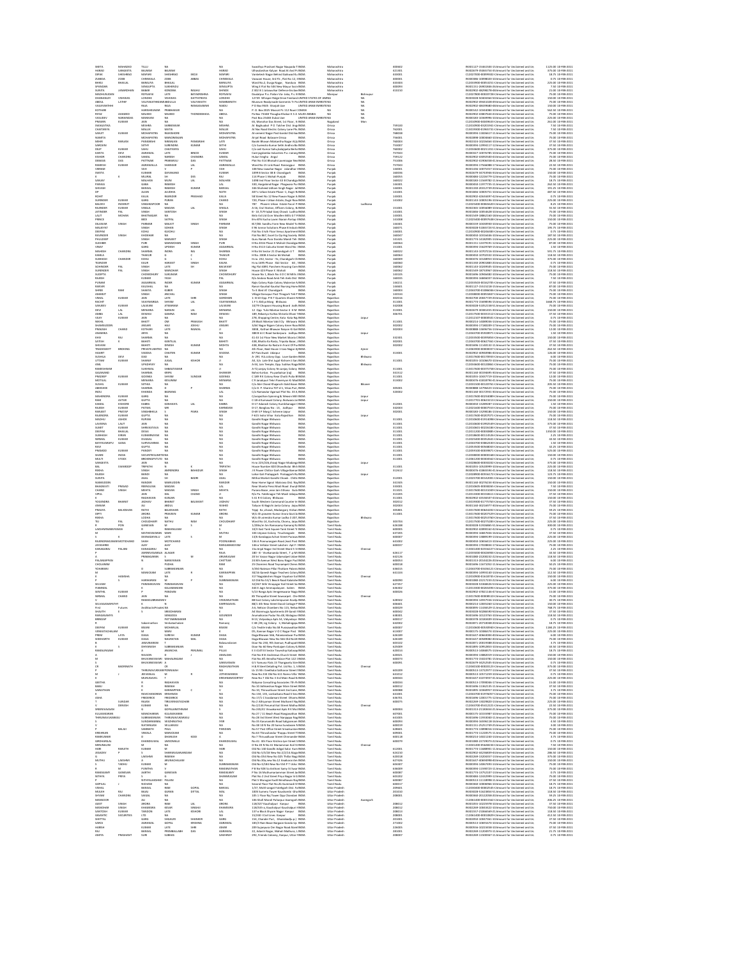| SMITA<br>HARAC<br>DIPAK<br>ZUBEDA                                                                                                                            | MAHADEO<br>SANGEETA<br>SHESHRAO<br>zora | TILLU<br>ILLU<br>BALRAM<br>MAPARI<br>CHINWALA | NA<br>IN<br>BALRAM<br>SHESHRAD<br>ZOEB  | EKOJI<br>ABBAS                          | NA<br>HARAD<br>MAPARI<br>CHINWALA      | Swasthya Prashant Nagar Naupada TINDIA<br>Uhasdarshan Kalyan  Road At And PoINDIA<br>Vankatesh Nagar Behind Gaikwad KurNDIA<br>Vaswani House, 3rd Flr., Flat No 12, BNDIA                                                                                                                                   | Maharashtra<br>Maharashtra<br>Maharashtra<br>Maharashtra |                 | 400602<br>421301<br>443001<br>400001 | IN301127-15461504-15 Amount for Unclaimed and Un<br>81012679-35065754-35Amount for Unclaimed and Unit<br>R102679-35065754-35Amount for Unclaimed and Unit<br>C12027000-00099302-0Amount for Unclaimed and Unit                       | 1125.00 10-FEB-2011<br>375.00 10-FEB-2011<br>18.75 10-FEB-2011<br>0.75 10-FEB-2011                      |
|--------------------------------------------------------------------------------------------------------------------------------------------------------------|-----------------------------------------|-----------------------------------------------|-----------------------------------------|-----------------------------------------|----------------------------------------|-------------------------------------------------------------------------------------------------------------------------------------------------------------------------------------------------------------------------------------------------------------------------------------------------------------|----------------------------------------------------------|-----------------|--------------------------------------|--------------------------------------------------------------------------------------------------------------------------------------------------------------------------------------------------------------------------------------|---------------------------------------------------------------------------------------------------------|
| BHKU<br>SPANDAN                                                                                                                                              | <b>BHAILAL</b>                          | BARALIYA<br>SENGUPTA                          | <b>BHAILAL</b><br>SUKHENDU              |                                         | BARALIYA<br>SENGUPTA                   | Ward No.2, Durga Nagar, Nandura INDIA<br>Wing E Flat No 504 New Mayur SocietNDIA                                                                                                                                                                                                                            | Maharashtra<br>Maharashtra                               |                 | 443404<br>400093                     | C12033900-00053251-0Amount for Unclaimed and Un<br>IN301151-26901846-26 Amount for Unclaimed and Un                                                                                                                                  | 225.00 10-FEB-2011<br>7.50 10-FEB-2011                                                                  |
| <b>SUNITA</b><br>MADHUSUD                                                                                                                                    | JANARDHAN                               | <b>BABAR</b><br><b>ROYSAFAI</b><br>LONDHE     | KONDIBA<br>LATÉ<br>VISHWAŚ              | RAGHU                                   | SHINDE<br><b>ROYSAFAI</b><br>LONDHE    | 2 302 B 1 Jahrenvihar Defence EnclaveINDIA                                                                                                                                                                                                                                                                  | Maharashtra                                              |                 | 410210                               | IN302902-48298278-48 Amount for Unclaimed and Un                                                                                                                                                                                     | 21.00 10-FEB-2011                                                                                       |
| MAULTUSS<br>PHANANIAN                                                                                                                                        | VISHWAS<br>LATHIF                       |                                               | ABDULLA                                 | BATAKRISHNA<br>DATTATRAYA<br>VALIYAKATH | MAMBARATH                              | A solution P.O. Pallan Wa-Jolap P.S. BINDIA<br>12739 - Whisper Bidge Drive Freehand UNITED STATES OF AATA AREA<br>12739 - Whisper Bidge Drive Freehand UNITED STATES OF AATA AREA<br>P.O. Box 9505 - Sharjah Uae<br>P.O. Box 9505 - Sh                                                                      |                                                          |                 |                                      | =12027890-00020728-0Amount lot Unclaimed and Unit<br>TC1207890-00020728-0Amount for Unclaimed and Unit<br>TR303028-50404364-50Amount for Unclaimed and Unit<br>TR302902-49441028-49Amount for Unclaimed and Unit                     | 75.00 10:FEB-2011<br>150.00 10:FEB-2011<br>75.00 10:FEB-2011<br>150.00 10:FEB-2011                      |
| ABDUL<br>VAUAYANTHE<br>KOTHARI                                                                                                                               |                                         | VALIYAKATI<br>RAJA<br>HARISHKUMAR             | RAIA<br>PRABHAKAE                       |                                         | NAIDU<br>NA.                           | P.O. Box 2025 Muscat Pc 112 Ruwi COMAN                                                                                                                                                                                                                                                                      | NA                                                       | NA<br>NA<br>NA  |                                      | IN300142-10344084-10 Amount for Unclaimed and Un                                                                                                                                                                                     | 562.50 10 FEB-2011                                                                                      |
| <b>RIYAZ</b><br>VASUDEV                                                                                                                                      | AHAMED<br>NARANDAY                      | MAJEED<br>MANKANI                             | MAJEED<br>NA                            | THONDEBHAV                              | ABDUL<br>NA.                           | Po Box 73448 Thougha Khobar K S A SAUDI ARABIA<br>Post Box 25483 Dubai Uae UNITED ARAB<br>UNITED ARAB EMIRA                                                                                                                                                                                                 | NA<br><b>YNA</b>                                         | NA<br>NA        |                                      | INTO 2007-03/07/644-43 Amount for Unrisingel and Un<br>IN100183-10369996-10 Amount for Unclaimed and Un                                                                                                                              | 75.00 10 FEB-2011<br>225.00 10 FEB-2011                                                                 |
| PRAWIN<br><b><i>FRANTIN</i></b><br>SWAGATIKA<br>CHAITANYA                                                                                                    | <b>KUMAR</b>                            |                                               | <b>NA</b>                               |                                         |                                        | For use 23-ray bound to the United St. Anglished P.O. Talcher Dist. Anglished At Nac Road Electric Colony Lane PhulNDIA                                                                                                                                                                                     | Naga                                                     |                 | 759100                               | <b>Example 2008053 DAmount for Unclaimed and United States</b><br>C12010900-04049533 DAmount for Unclaimed and United<br>C12010900-03201941-0Amount for Unclaimed and United                                                         | 261.00 10-FEB-2011                                                                                      |
| SANJIT                                                                                                                                                       | KUMAR                                   | MISHRA<br>MALLIK<br>MOHAPATRA                 | SARBESWAR<br>MATIA<br>RAIKISHORE        |                                         | MISHRA<br>MALLIK<br>MOHAPATRA          | At-cement Nagar Post-bardol Dist-bartNDIA                                                                                                                                                                                                                                                                   | Orissa<br>Orissa<br>Orissa                               |                 | 762001<br>768038                     | IN300394-11826617-11 Amount for Unclaimed and Un                                                                                                                                                                                     | 7.50 10-FEB-2011<br>7.50 10-FEB-2011<br>75.00 10-FEB-2011                                               |
| NAMITA<br>MHR                                                                                                                                                | <b>BANJAN</b>                           | MOHAPATRA<br>PANIGRAHI                        | MANORANJAR<br>NIRANJAN                  | PANIGRAH                                | MOHAPATRA<br>LATE                      | At-jail Road Balasore Orissa (NDIA)<br>Barahi Bhawan Nilakantha Nagar At/pINDIA                                                                                                                                                                                                                             | Orissa<br>Orissa                                         |                 | 756001<br>760003                     | IN302898-10004660-10 Amount for Unclaimed and Un<br>IN302324-10226464-10 Amount for Unclaimed and Un                                                                                                                                 | 75.00 10-FEB-2011<br>37.50 10 FEB 2011                                                                  |
| SAROIN                                                                                                                                                       | KUMAR                                   | senin<br>SAHU                                 | GIBENDRA                                | KLIMAR                                  | SETHI                                  | uman unavan renssanna ragar rayperuso<br>C/o Surendra Kumar Sethi Andhra BaeNDIA<br>Cire-jagdamba Industries P.o.-rainangNDIA                                                                                                                                                                               | Orissa                                                   |                 | 753007                               | IN300394-12994117-12 Amount for Unclaimed and Un                                                                                                                                                                                     | 37.50 10-FEB-2011                                                                                       |
| DILIP<br>KANTA<br>KISHOR                                                                                                                                     | DEVI<br>CHANDRA                         | AGRAWA<br>SAMAL                               | CHAITANYA<br>LATE<br>NARESH             | EINOD<br>CHANDIU                        | SAHU<br>KUMAR<br>SAMAL                 |                                                                                                                                                                                                                                                                                                             | Orissa<br>Orissa<br>Orissa                               |                 | 760002<br>757043<br>759122           | C12034600-00211351-0Amount for Unclaimed and Un<br>IN300327-10076785-10Amount for Unclaimed and Un<br>IN302902-43092500-43 Amount for Unclaimed and Un                                                                               | 375.00 10-FEB-2011<br>75.00 10-FEB-2011<br>75.00 10 FEB-2011                                            |
| DEBASIS<br>RAMESH                                                                                                                                            | DAS<br>KUMAR                            | PATTNAIS<br>AGRAWALLA                         | PRARANSU<br>SHANKAR                     | DAS<br>LAL.                             | PATTNAI<br>AGRAWALLA                   | Huluri Singha Angul<br>Plot No 514 Bhoisahi Laomisagar NealNDIA                                                                                                                                                                                                                                             | Orissa<br>Orissa                                         |                 | 751006<br>757043                     | IN302902-41906358-41 Amount for Unclaimed and Un<br>IN300394-17566088-17 Amount for Unclaimed and Un                                                                                                                                 | 28.50 10 FEB-2011<br>22.50 10 FEB-2011                                                                  |
| VIKBAN<br>SWETA                                                                                                                                              |                                         | VUH<br>KUMARI                                 | DAYANAND                                |                                         | VUH<br>KUMAR                           | - Ward No 15 Link Road - Raisangpur - INDIA<br>108 New Jawahar Nagar - Jalandhar ONDIA<br>1099 B Sector SS B - Chandigarh - INDIA<br>114 Phase 1 Mohali Punjab - INDIA<br>114 Phase 1 Mohali Punjab - INDIA                                                                                                 | Punjal<br>Punjal                                         |                 | 144001<br>160036                     | #100185-10075357-10Amount for Unclaimed and University PA102679-34743946-34 Amount for Unclaimed and University PA102679-12226779-12 Amount for Unclaimed and University PA102644-34                                                 | 75.00 10-FEB-2011<br>150.00 10-FEB-2011<br>75.00 10-FEB-2011                                            |
| SANJAY                                                                                                                                                       | ĸ                                       | MUIRAL<br>MALHAN                              | SH<br>MUNI                              | DES<br>LAL                              | RAJ<br>MALHAN                          | 1498 lind Floor Sector 43 B ChandigarNDIA                                                                                                                                                                                                                                                                   | Punjab<br>Punjab                                         |                 | 160055<br>160022                     | IN300183-11569782-11 Amount for Unclaimed and Un                                                                                                                                                                                     | 18.75 10-FEB-2011                                                                                       |
| PANKAJ<br>SHIVAN                                                                                                                                             |                                         | GABA<br>BANSAL                                | RAMESH<br><b>BAMESH</b>                 | KUMAR                                   | LAL<br><b>BANSAL</b>                   | 330, Hargobird Nagar Phagwara PuriNDIA<br>346 Shaheed Udham Singh Nagar JaliNDIA<br>407-c Urban Estate Phase -1, Dugri RdNDIA<br>58 Street No 12 New Pawan Nagar AdNDIA                                                                                                                                     | Punjab                                                   |                 | 144401<br>144001                     | IN300450-11977735-11 Amount for Unclaimed and Un<br>IN101330-20312730-20 Amount for Unclaimed and Un                                                                                                                                 | 262.50 10-FEB-2011<br>191.25 10-FEB-2011                                                                |
| DP<br>ROHIT                                                                                                                                                  |                                         | ajian<br>Kalia                                | AJUDHIA<br>RAJINDE                      | PRASHAI                                 | NATH<br>KALIA                          |                                                                                                                                                                                                                                                                                                             | Punjab<br>Punjab<br>Punjab                               |                 | 141001<br>143001<br>141002           | 01301380-20312739-2024 material for Unclaimed and Unit<br>01301386-20005751-10-Amount for Unclaimed and Unit<br>020202-42634497-42Amount for Unclaimed and Unit<br>020143-10005196-10Amount for Unclaimed and Unit                   | 487.50 10-FEB-2011<br>0.75 10-FEB-2011                                                                  |
| SURINDER<br>BALDEV                                                                                                                                           | KUMAR<br>INDÉRIT                        | GARG<br>SINGHKAPOC                            | PURAN<br>NA                             |                                         | CHAND<br>NA                            | 720, Phase-i Urban Estate, Dugri RoadNDIA<br>787 - Phase-ii Urban-Estate Focal-PrNDIA                                                                                                                                                                                                                       | Punjab<br>Punjab                                         |                 |                                      |                                                                                                                                                                                                                                      | 225.00 10-FEB-2011<br>8.25 10-FEB-2011                                                                  |
| RAINDER<br>JATINDER                                                                                                                                          | KUMAR<br>PAL                            | SINGLA<br>SINGH                               | MADAN<br>SANTOSH                        | LAL                                     | SINGLA<br>SINGH                        | A-16, Civil Station, Officers Colony, BaNDIA<br>B - 10 /579 Igbal Ganj Chowk LudhiaINDIA<br>Birla Vxl Ltd Ocm Woollen Mills G T RINDIA                                                                                                                                                                      | Punjab                                                   |                 | 151001<br>141001                     | IN302365-10056089-10Amount for Unclaimed and Un<br>IN301846-10054628-10 Amount for Unclaimed and Un                                                                                                                                  | 55.50 10-FEB-2011<br>75.00 10 FEB-2011                                                                  |
| LALIT<br>PRINCE                                                                                                                                              | MOHAN                                   | BHATNAGAE                                     | <b>NA</b><br>SATPAL                     |                                         | NA.<br>SINGH                           |                                                                                                                                                                                                                                                                                                             | Punjab<br>Punjab<br>Punjab                               |                 | 143001<br>141008                     | IN301549-18862160-18 Amount for Unclaimed and Un                                                                                                                                                                                     | 75.00 10 FEB 2011                                                                                       |
| DILAWAR<br>MALKIYAT                                                                                                                                          | since                                   | PARMAR<br>SINGH                               | MALKIT<br>SOHAN                         | SINGH                                   | PARMAI<br>SINGH                        | Sina va Lui Guin vecanon minis di Forcesco<br>B-iv-876 Kucha Laemi Narain Partap BNDIA<br>B.7/80. Sandhu Farm New Model TorNDIA<br>E 96 Ionnor Solutions Phase & IndustriNDIA                                                                                                                               | Punjab<br>Punjab                                         |                 | 144401<br>160071                     | <b>Example 2022-2022</b> Change in Contract Section 2022<br>T12025400-00097638-0Amount for Unclaimed and Un<br>IN300159-10430930-10Amount for Unclaimed and Un<br>IN303028-51065724-51Amount for Unclaimed and Un                    | 150.00 10-FEB-2011<br>75.00 10-FEB-2011<br>195.75 10-FEB-2011                                           |
| DEEPAK<br><b>RAVINDER</b>                                                                                                                                    | SINGH                                   | KOHLI<br>кнокная                              | KLKOHLI                                 |                                         | NA<br>NA                               | Flat No 4 hth Floor Venus Apartment/NDIA                                                                                                                                                                                                                                                                    | Punjab                                                   |                 | 144001<br>160047                     | C12010900-00246383-0Amount for Unclaimed and Un<br>IN300450-10316446-10 Amount for Unclaimed and Un                                                                                                                                  | 0.75 10-FEB-2011<br>187.50 10 FEB-2011                                                                  |
| PHULDEEP<br>SUKHBI                                                                                                                                           |                                         | SINGH<br>PUN                                  | NA<br>MANJEET<br>MANMC                  | SINGH                                   | SINGH                                  | .<br>Flat No 867, Escel Co Op Hig Society INDIA<br>Guru Nanak Pura Doraha Mandi Teh INDIA                                                                                                                                                                                                                   | Punjab<br>Punjab<br>Punjab                               |                 | 141421                               | IN301774-14182905-14 Amount for Unclaimed and Un                                                                                                                                                                                     | 225.00 10 FEB-2011<br>87.00 10-FEB-2011                                                                 |
| VINAY<br>MAHESH                                                                                                                                              | CHANDRA                                 | GARG<br>SHARMA                                | UPDESH<br><b>INDRA</b>                  | klmar<br>Raj                            | PURI<br>PURI<br>AGGARWA<br>SHARMA      | H No 2016 Phase X Mchail ChandigariNDIA<br>H No 3513 Calcutta Street Ward No 3NDIA<br>H No 56 Sector 21 Chandigarh U T - INDIA                                                                                                                                                                              | Punjab<br>Punjab                                         |                 | 160064<br>151001<br>160022           | IN301151-12479191-12Amount for Unclaimed and Unit<br>IN301151-12479191-12Amount for Unclaimed and Unit<br>IN300394-15629769-15Amount for Unclaimed and Unit                                                                          | 1.50 10-FEB-2011<br>591.75 10-FEB-2011                                                                  |
| KAMLA<br><b>SUBHASE</b>                                                                                                                                      | CHANDER                                 | THAKUR<br>KOHLI                               |                                         |                                         | THAKUR<br>KOHLI                        | H No. 2008 A Sector 66 Mohali<br>INDIA<br>H.no. 232, Sector - 9c, Chandigarh ChINDIA                                                                                                                                                                                                                        | Punjab<br>Punjab                                         |                 | 160053<br>160009                     | IN300450-10702332-10 Amount for Unclaimed and Un<br>IN300476-10148953-10 Amount for Unclaimed and Un                                                                                                                                 | 118.50 10-FEB-2011<br>375.00 10-FEB-2011                                                                |
| TEINDER<br>SOHINDE                                                                                                                                           |                                         | KALIR                                         | HARJEET                                 | SINGH                                   | KALRA                                  | H.no.1695 Phase 3b2 Sector 60 . SNDM                                                                                                                                                                                                                                                                        |                                                          |                 | 160050                               | IN301330-20901883-20 Amount for Unclaimed and Un                                                                                                                                                                                     | 0.75 10-FEB-2011                                                                                        |
| SURENDE                                                                                                                                                      | PAL<br>PAL                              |                                               | <b><i>HATEET</i></b><br>LATE<br>MANOHAI | ŚH                                      | BALWANT<br>SINGH<br>CHOWDHURY          | Historical Pinchem Housing Completing<br>Highland 423 Phase X Mohali<br>House No 1, Block No 4 O C M Mills ONDIA                                                                                                                                                                                            | Punjab<br>Punjab<br>Punjab<br>Punjab                     |                 | 160061<br>160061                     | #101143-10249505-10 Amount for Unclaimed and University PA101143-10249505-10 Amount for Unclaimed and University PA101596-10946482-10 Amount for Unclaimed and University P                                                          | 75.00 10-FEB-2011<br>118.50 10-FEB-2011<br>75.00 10-FEB-2011                                            |
| SUDIPTA<br>RAJESH                                                                                                                                            |                                         | CHOWDHUR<br><b>RAMUX</b>                      | SUKUMAR<br>YASH                         |                                         | PAL                                    | R/o Andora Road Amb Teh Amb Dist INDIA                                                                                                                                                                                                                                                                      | Punjab                                                   |                 | 143105<br>160035                     | IN300394-16846037-16 Amount for Unclaimed and Un                                                                                                                                                                                     | 7.50 10-FEB-2011                                                                                        |
| PUNAM<br>RANVIR                                                                                                                                              |                                         | AGGARWAL<br>KAUSHAL                           | INDER<br>NA.                            | KUMAR                                   | AGGARWAL<br>NA                         | Rajiv Colony Rajiv Colony Mukerian MNDIA<br><b>Ranvir Kaushal Kaushal Nursing HomeNDIA</b>                                                                                                                                                                                                                  | Punjab                                                   |                 | 144211<br>144601                     | C12033503-00162705-0Amount for Unclaimed and Un<br>IN301127-15515218-15 Amount for Unclaimed and Un                                                                                                                                  | 37.50 10 FEB-2011<br>87.00 10 FEB-2011                                                                  |
| SHREE<br>AMARII                                                                                                                                              | <b>BAM</b>                              | SHAKYA<br>SINGH                               |                                         |                                         | SINGH<br>SINGH                         |                                                                                                                                                                                                                                                                                                             | Punjab<br>Punjab<br>Punjab                               |                 | 160003<br>143534                     |                                                                                                                                                                                                                                      | 75.00 10-FEB-2011<br>75.00 10-FEB-2011                                                                  |
| VIMAL<br>RACHIT                                                                                                                                              | KUMA                                    | iain<br>Vijaywargi                            | NA<br>KUBER<br>ANCHAI<br>LATE<br>SHYAM  | SHR<br>LAL                              | GORDHAN<br>VUAYWARGIA                  |                                                                                                                                                                                                                                                                                                             | Rajasthar<br>Rajasthar                                   |                 | 302016<br>311001                     | C12044790-01086046-0Amount for Unclaimed and United States (21044790-01086046-0Amount for Unclaimed and United States (21038000-00055847-0Amount for Unclaimed and United States (20047729-20Amount for Unclaimed and United S       | 75.00 10-FEB-2011<br>1668.75 10-FEB-2011                                                                |
| SANJEEV<br>peyr                                                                                                                                              | KUMAR                                   | LALWANI<br>MENARIA                            | ATMARAM<br>NARAIN                       | LAL                                     | LALWAN<br>MENARIA                      | 10/79 Chogasni Housine Board JodheNDIA                                                                                                                                                                                                                                                                      | Rajasthar<br>Raiasthan                                   |                 | 342008<br>313001                     | IN303028-51052158-51 Amount for Unclaimed and Un<br>IN302679-30381455-30 Amount for Unclaimed and Un                                                                                                                                 | 75.00 10-FEB-2011<br>150.00.10/ER-2011                                                                  |
| <b>AMBA</b>                                                                                                                                                  | LAL<br>LAL<br>KUMA                      | DEWAST                                        | GAMNA                                   | <b>BAM</b>                              | DEWASI                                 | 247 - Compani monaire point and the Samuel Capital Nicolas<br>122 - Opp Tudal Nicolas Series (a Dhari TINDIA<br>129, Rebariyo Ka Bas Shrissia Dhari TINDIA<br>278, Shopping Centre, Konai Kola Najer Dila<br>28 Bhatti Nicolas Valid Cip -                                                                  | <b>Raiastha</b>                                          |                 | 305701                               | C12012500-00331512-04mount for Unclaimed and Un                                                                                                                                                                                      | 37.50 10 FEB-2011                                                                                       |
| VUAY<br>NIKHI.<br>SHAMSUDD                                                                                                                                   |                                         | BHATT                                         | NA<br>OM<br>HAII                        | PRAKASE                                 | BHATT<br>ANSARI                        |                                                                                                                                                                                                                                                                                                             | <b>Rajasthar</b><br>Rajasthar<br>Rajasthar               | Jaips           | 311001                               | C12012107-00000501-0Amount for Unclaimed and University Philosopher C12012107-00000501-0Amount for Unclaimed and University Philosopher State Philosopher Philosopher State Philosopher Philosopher Philosopher Philosopher Ph       | 0.75 10 FEB-2011<br>75.00 10-FEB-2011<br>75.00 10-FEB-2011                                              |
| PRAKASH                                                                                                                                                      | CHAND                                   | ANSARI<br>KOTHARI                             | LATE                                    | JOKHU<br>RAIMAL                         |                                        | 3838, Kothari Bhawan Naiyon Ki GalilNDIA                                                                                                                                                                                                                                                                    | Rajasthar                                                |                 | 302002<br>302003                     | IN300888-13696756-13 Amount for Unclaimed and Un                                                                                                                                                                                     | 12.00 10 FEB-2011                                                                                       |
| ANAMIKA<br>KHM                                                                                                                                               | <b>BAJ</b>                              | ARYA<br>SHARMA                                | NA<br>NA                                |                                         | NA<br>NA                               | 388 B Ist C Road Sardarpura JodhpudNDIA<br>41 43 1st Floor New Market Sikaria CINDIA                                                                                                                                                                                                                        | itajasthar<br>Itajasthar                                 | Jaiou           | 332301                               | C12044700-05928971-0Amount for Unclaimed and Un<br>C12033500-00395854-0Amount for Unclaimed and Un                                                                                                                                   | 1.50 10 FEB-2011<br>150.00.10.658.2011                                                                  |
| SATISH                                                                                                                                                       |                                         | aven<br>BAHET                                 | KANTILAI                                | KUMAR                                   | BAHETI<br>MOHTA                        | 414 % and the term masses and in Circulate<br>438, Bhatton Ka Rasta, Tripolia Bazar, JINDIA<br>418, Bhatton Ka Rasta In Front Of PuriNDIA<br>4th Floor, Baid House 1-tara Nagar AjiNDIA                                                                                                                     | <b>Rajasthar</b>                                         |                 | 302001<br>302002                     | C12044700-00627361-0Amount for Unclaimed and Un<br>IN301696-11140132-11 Amount for Unclaimed and Un<br>C12065900-00000037-0Amount for Unclaimed and Un                                                                               | 37.50 10-FEB-2011                                                                                       |
| SHIVANI<br>TRADESWIFT<br>HAART                                                                                                                               | BROKIN                                  | PRIVATELI<br>SISODIA                          | DINESH<br>NA<br>CHAITEN                 | KUMAR                                   | NA.<br>SISODIA                         |                                                                                                                                                                                                                                                                                                             | Rajasthar<br>Rajasthar<br>Rajasthar                      | Ajme            | 313001                               | IN302902-40940986-40 Amount for Unclaimed and Un                                                                                                                                                                                     | 37.50 10-FEB-2011<br>262.50 10-FEB-2011<br>126.00 10 FEB-2011                                           |
| <b>SUSHILA</b><br>UTTAM                                                                                                                                      | DEVI<br>KUMAR                           | DAD<br>SHARAF                                 | NA<br><b>JUGAL</b>                      | KISHOR                                  | NA                                     | 87 Panchwati Udaipur MDIA<br>A-291 R.k.colony Opp. Love Garden INDIA<br>A3, S/o Late Shri Jugal Kishore Ji SaratNDIA                                                                                                                                                                                        | Rajasthar<br>Raiasthar                                   | <b>Bhiheara</b> | 311001                               | C13017600-00170933-0Amount for Unclaimed and Un<br>IN301055-10106670-10 Amount for Unclaimed and Un                                                                                                                                  | 6.00 10-FEB-2011<br>25.00.10.658.2011                                                                   |
| ANIL<br>ANIL<br>RAMESHWAR                                                                                                                                    |                                         | <b>UPADHYAY</b><br>SUKHWAL<br>SHARMA          | NA<br>SHBAGTAWAI<br>KRIPA               |                                         | NA<br>                                 | As, are seen sugar conservations<br>A-34, Jain Temple, Opp. Subhas NagaiNDIA<br>Bohro-ka-bas - Po.parbatsar (raj) - - INDIA<br>Bohro-ka-bas - Po.parbatsar (raj) - - INDIA                                                                                                                                  | Rajasthan<br>Rajasthan<br>Rajasthan                      |                 | 311001                               | <b>E12034600-00120861-0Amount for Unclaimed and University C12034600-00120861-0Amount for Unclaimed and University PS01160-30194605-30 Amount for Unclaimed and University PS01160-30194605-30 Amount for Unclaimed and Universi</b> | 75.00 10-FEB-2011<br>75.00 10-FEB-2011<br>37.50 10-FEB-2011                                             |
| GAIANAND<br>PRADEEP                                                                                                                                          | KUMAR                                   | GOENKA                                        | SHYAM                                   | <b>SUNDAR</b>                           | SHANKER<br>GOENKA                      |                                                                                                                                                                                                                                                                                                             | Rajasthar                                                |                 | 341512<br>311001                     | IN301055-10437719-10 Amount for Unclaimed and Un                                                                                                                                                                                     | 12.00 10 FEB 2011                                                                                       |
| MOTLAL<br><b>SUSHIL</b>                                                                                                                                      | KUMAR                                   | MENARIA<br>SETHIA                             | KESURAM<br>NA                           |                                         | MENARIA<br>NA                          | C 189 R K Colony Near Chotti Pulia BHNDIA<br>C 9 Janakpuri Tekri Paneriyon Ki MadINDIA<br>C/o Abir Chand Khaianchi Golchhaon INDIA                                                                                                                                                                          | Rajasthar<br>Rajasthar                                   | <b>Bikane</b>   | 313002                               | IN300476-41818794-41 Amount for Unclaimed and Un<br>C12031500-00120261-04mount for Unclaimed and Un                                                                                                                                  | 75.00 10 FEB-2011<br>205.50 10 FEB-2011                                                                 |
| ABHISHE<br>INDU                                                                                                                                              |                                         | .<br>Sharma<br>Khanda                         | D<br>BAJRANC                            |                                         | SHARMA                                 |                                                                                                                                                                                                                                                                                                             | najasthar<br>Rajasthar<br>Rajasthar                      |                 | soson<br>32000                       |                                                                                                                                                                                                                                      | 75.00 10-FEB-2011<br>75.00 10-FEB-2011                                                                  |
|                                                                                                                                                              | KUMAI<br>AVTAR                          | GARG<br>GUPTA                                 | NA<br>NA                                |                                         | NA<br>NA                               | C/o D. P. Shama 707-8-1, Vikas Puri, INDIA<br>C/o Ramawatar Agarwal Plot No. 33 AJNDIA<br>C/orajasthan Spinning & Weavin MillsNDIA<br>C-18-d Kumawat Colony Jhotwara JaipNDIA                                                                                                                               | Rajasthan<br>Rajasthan                                   | Jaipu           |                                      | EXECUTIVE INTERFERENCE IN A UNITED MANUSCRIPT OF THE INCONSIDENT OF THE UNITED STATES OF THE UNITED STATES OF THE UNITED STATES OF CALCULATION CONTINUES OF THE UNITED STATES OF THE UNITED STATES OF THE UNITED STATES OF THE       | 75.00 10-FEB-2011<br>150.00 10-FEB-2011                                                                 |
| RAM<br>KAMAL                                                                                                                                                 | KISHORS                                 | KABRA                                         | KANHAIYA                                | LAL                                     | KABRA                                  | D-17 Adarash Colony Kumbhanagar ONDIA                                                                                                                                                                                                                                                                       | Rajasthar                                                | Jaipu           | 312001                               | IN300450-13289287-13 Amount for Unclaimed and Un                                                                                                                                                                                     | 1.50 10 FEB 2011                                                                                        |
| RAJESH<br>RANJEET                                                                                                                                            | KUMAR<br>PRATAI                         | PATWA<br><b>GNISHMET A</b>                    | MR                                      | PSARA                                   | KARNIDAR<br>SINGH                      | D-17, Banglow No : 13, Jodhpur<br>D-69 S P Marg C Scheme Jaipur<br>INDM<br>INDIA                                                                                                                                                                                                                            | taiasthar<br><b>Raiastha</b>                             |                 | 342003<br>302001                     | C12021600-00007553-0Amount for Unclaimed and Un<br>N300183-13298186-13 Amount for Unclaimed and Un                                                                                                                                   | 75.00 10 FEB-2011<br>150.00 10-FEB-2011                                                                 |
| <b>RAJENDRA</b>                                                                                                                                              | KUMAR                                   | GUPTA<br>RUPANI                               |                                         |                                         | NA<br>NA<br>NA                         | INDV<br>INDV                                                                                                                                                                                                                                                                                                | Rajastha                                                 |                 | 311001                               | 10017600-00207071-0Amount for Unclaimed and Unit<br>C13017600-00207071-0Amount for Unclaimed and Unit<br>C12010600-01914098-0Amount for Unclaimed and Unit                                                                           | 75.00 10-FEB-2011                                                                                       |
| MADHU<br>LAVEENA<br>SUMIT                                                                                                                                    | ASHOK<br>LALIT<br>KUMAR                 | <b>JAJN</b><br>SHRIVASTAVA                    | NA<br>NA<br>NA                          |                                         | NA                                     | INDM<br>Gandhi Nagar Bhilwara<br>INDIA                                                                                                                                                                                                                                                                      | Rajasthar<br>Rajasthar<br>Rajasthar                      |                 | 311001<br>311001                     | C12010601-00226184-0Amount for Unclaimed and Un                                                                                                                                                                                      | 118.50 10-FEB-2011<br>375.00 10-FEB-2011<br>37.50 10 FEB-2011                                           |
| DEEPAK<br>SUBHASH                                                                                                                                            | EMALAL<br>KIRAN                         | DESAI<br><b>KUMARNAYAK</b>                    | NA<br>NA                                |                                         |                                        | Gandhi Nagar Bhilwara<br>Gandhi Nagar Bhilwara<br>INDM<br>INDM                                                                                                                                                                                                                                              | .<br>Najasthan<br>Najasthan                              |                 | 311001<br>311001                     | C12011200-00030885-0Amount for Unclaimed and Un<br>C12018600-00114526-0Amount for Unclaimed and Un                                                                                                                                   | 1350.00 10-FEB-2011<br>2.25 10 FEB-2011                                                                 |
| <b>VIRMAL</b>                                                                                                                                                | <b>KUMA</b>                             | DUGGAL                                        | NA<br>NA<br>NA                          |                                         | NA<br>NA<br>NA<br>NA<br>NA             | INDIA<br>Gandhi Nagar Bhilwar                                                                                                                                                                                                                                                                               | .<br>Najasthar                                           |                 | 311001                               | C12025400-00352641-0Amount for Unclaimed and Unit<br>C12025400-00352641-0Amount for Unclaimed and Unit<br>C12053500-00568045-0Amount for Unclaimed and Unit                                                                          | 43.50 10-FEB-2011                                                                                       |
| BAYYAVAR<br>RAVI                                                                                                                                             | GANA                                    | SURYAVARMA<br>GUPTA                           |                                         |                                         |                                        | Gandhi Nagar Bhilwara<br>Gandhi Nagar Bhilwara<br>INDIA<br>INDIA                                                                                                                                                                                                                                            | Rajasthan<br>Rajasthan                                   |                 | 311001<br>311001                     |                                                                                                                                                                                                                                      | 1.50 10-FEB-2011<br>32.25 10-FEB-2011                                                                   |
| PRAMOD<br>SHARE                                                                                                                                              | KUMAR<br><b>INDIA</b>                   | PANDEY<br>SECURITIESLIMITEENA                 | NA                                      |                                         | NA<br>NA                               | Gandhi Nagar Bhilwara<br>INDIA<br>Gandhi Nagar Bhilwara<br>INDIA                                                                                                                                                                                                                                            | Rajasthan<br>Rajasthar                                   |                 | 311001<br>311001                     | C12059100-00039871-0Amount for Unclaimed and Un<br>C12038000-00000168-0Amount for Unclaimed and Un                                                                                                                                   | 525.00 10-FEB-2011<br>150.00 10-FEB-2011                                                                |
| MULTI<br>SANGEETA                                                                                                                                            | <b>STOCK</b>                            | BROKINGPVTLTD NA<br>iain<br>Tripathi          |                                         |                                         | NA                                     | Gandhi Nagar Bhilwara<br>INDIA                                                                                                                                                                                                                                                                              | Raiasthar                                                | Jaips           | 311001                               | C12061200-00304562-0Amount for Unclaimed and Un                                                                                                                                                                                      | 0.75 10-FEB-2011                                                                                        |
| REKHA                                                                                                                                                        | SWARD                                   | SINGH                                         | AMRENDRA                                | BAHADU                                  | NA<br>TRIPATH<br>SINGH                 | H.no 225/226,shivaji Nagar MadangalNDIA<br>House Number 820 Dhandholai BhilaNDIA<br>J.K.Power Chittor Garh Village BarnanINDIA                                                                                                                                                                              | Rajasthan<br>Rajasthan<br>Rajasthan                      |                 | 311001<br>312612                     | C13028600-00030302-0Amount for Unclaimed and University PS1028600-00030302-0Amount for Unclaimed and University PS100476-41865594-41Amount for Unclaimed and University                                                              | 375.00 10-FEB-2011<br>225.00 10-FEB-2011<br>118.50 10-FEB-2011                                          |
| RAJESH<br>SUNITA                                                                                                                                             |                                         | BANDI<br>AGAL                                 | NA<br>SH                                | BADRI                                   | NA.<br><b>AGAL</b>                     | Lohar Gali Pratapgarh Pratapgarh RajNDIA<br>Mithai Market Gandhi Chowk . Chitto/NDIA                                                                                                                                                                                                                        | Rajasthar<br>Rajasthar                                   | Jaipur          | 312001                               | C12028900-00556172-0Amount for Unclaimed and Un<br>C12025700-00142001-0Amount for Unclaimed and Un                                                                                                                                   | 123.75 10-FEB-2011<br>150.00 10-FEB-2011                                                                |
| <b>NAMUDOIN</b><br>BHAGWATI<br>CHAND                                                                                                                         | PRASAD                                  | <b>NANDER</b>                                 | MAINUDDIN<br>MADAN<br>MADAN             |                                         | RANDER                                 | -<br>Near Home Signal - Makrana Dist - NagNDIA<br>Near Shanta Press Modi Road - RunjhINDIA<br>Purana Bazar ,near Jain Sthana - GulalNDIA                                                                                                                                                                    | Rajasthar                                                |                 | 341505                               | IN301160-30276234-30 Amount for Unclaimed and Un                                                                                                                                                                                     | 150.00 10 FEB-2011                                                                                      |
| <b>VIPUL</b>                                                                                                                                                 |                                         | REENGUSIA<br>MEHTA                            |                                         | SINGH<br>CHAND                          | LAL<br>MÉHTA                           |                                                                                                                                                                                                                                                                                                             | najasthar<br>Rajasthar<br>Rajasthar                      |                 | 333001<br>311021<br>31320            | 12010605-00038265-0Amount for Unclaimed and Unit<br>C12010605-00038265-0Amount for Unclaimed and Unit<br>C12012605-00038265-0Amount for Unclaimed and Unit<br>C12013300-00150611-0Amount for Unclaimed and Unit                      | 7.50 10-FEB-2011<br>150.00 10-FEB-2011<br>37.50 10-FEB-2011<br>150.00 10-FEB-2011                       |
| YOGENDRA                                                                                                                                                     | BHARAT                                  | jain<br>Baghayan<br><b>JADHAV</b>             | DAL<br>KUNJAN<br><b>BHARAT</b>          | BALWANT                                 | JI<br>NA<br>JADHAV                     | R/o Po. Fatehnagar Teh Mavii UdaipulNDIA<br>S 41 R K Colony Bhilwara<br>Secole Mic Trump Bhilwara<br>South Western Command Counter InfNDIA                                                                                                                                                                  | Rajasthan<br>Rajasthan<br>Rajasthan                      |                 | 311001<br>302012                     | C13019300-01775763-0Amount for Unclaimed and Un                                                                                                                                                                                      | 37.50 10-FEB-2011                                                                                       |
| ANWAR<br>PRAGYA                                                                                                                                              | BALKISHAM                               | <b>BATHI</b>                                  | ABDUL<br>BALKISHAN                      |                                         | WAHD<br>RATHI                          | Sourn weatern communications of Taiwan Control Taiwan<br>Taiwan Ki Bagichi Janta Colony, Jaipunki<br>Di Taiwan Ki Bagichi Janta Celony, Jaipunki<br>Di Wilo Sh praween Kumar Leora Gord balki<br>Di Wilo Shaviennia Kumar Leora, Jaipulki<br>                                                               | taiasthar<br><b>Raiastha</b>                             |                 | 302003<br>sosan-                     | IN301160-30216977-30 Amount for Unclaimed and Un<br>C13017600-00544202-0Amount for Unclaimed and Un                                                                                                                                  | 75.00 10 FEB-2011<br>59.25 10 FEB 2011                                                                  |
| DIPTI                                                                                                                                                        |                                         | ARORA                                         | PRAVEEN                                 | KUMAI                                   | ARORA                                  |                                                                                                                                                                                                                                                                                                             | .<br>Najasthar                                           |                 | 311001                               | C13017600-00253329-0Amount for Unclaimed and Unit<br>C13017600-00253396-0Amount for Unclaimed and Unit<br>C13017600-00253360-0Amount for Unclaimed and Unit                                                                          | 75.00 10-FEB-2011                                                                                       |
| REKHA                                                                                                                                                        | PAL                                     | LODHA<br>CHOUDHARY                            | NA<br>NATHU                             | RAM                                     | NA<br>CHOUDHAR                         |                                                                                                                                                                                                                                                                                                             | Rajasthar<br>Rajasthar                                   |                 | 303704                               |                                                                                                                                                                                                                                      | 37.50 10-FEB-2011<br>225.00 10-FEB-2011                                                                 |
| LAKSHMINARAYANAN                                                                                                                                             | PON                                     | GANESAN                                       | <b>BAMANLIJAM</b>                       |                                         | M                                      | 1/205s/m Sm Ramasamy Kamaraj NaINDIA                                                                                                                                                                                                                                                                        | <b>Tamil Nadu</b><br>Tamil Nadu                          |                 | 626188<br>600005                     | IN303028-51926865-51 Amount for Unclaimed and Un<br>IN302902-42890162-42 Amount for Unclaimed and Un<br>IN300394-16847656-16 Amount for Unclaimed and Un                                                                             | 300.00 10-FEB-2011<br>0.75 10 FEB-2011                                                                  |
|                                                                                                                                                              |                                         | MATHESWARAN<br>DEENADAYALU                    | MARI<br>LATE                            |                                         | MUTHU                                  | 10/3 East Tank Square Tank Street TriNDIA<br>10/3 East Tank Square Tank Street TriNDIA<br>13/6 Kandappa Achari Street PurasawNDIA                                                                                                                                                                           | Tamil Nady<br>Tamil Nady                                 |                 | 637205<br>60000                      |                                                                                                                                                                                                                                      | 37.50 10 FEB-2011<br>225.00 10-FEB-2011                                                                 |
| RAJENG<br>JAYASHREE                                                                                                                                          | ARMOTIC                                 | SHAH<br>AJAY                                  | MOTICHAND<br>AIAY                       |                                         | POON<br>RANGABHASYAM                   | 136 A Ponnurangam Road /east Post INDIA<br>146-a Vellalar Street Lakshmi   Apt F-3INDIA                                                                                                                                                                                                                     | Tamil Nadu<br>Tamil Nadu                                 |                 | 641002<br>600037                     | IN300394-13889199-13 Amount for Unclaimed and University 200394-13889199-13 Amount for Unclaimed and University 200394-17028834-17Amount for Unclaimed and University                                                                | 225.00 10-FEB-2011<br>75.00 10-FEB-2011                                                                 |
| KANAGARAJ                                                                                                                                                    | PALAN                                   | KANAGARAJ<br>ASRINIVASARAJA ALAGAR            | NA                                      |                                         | NA<br><b>RAJA</b>                      | 15a Anjal Nagar 3rd Street Ward 5 VilNDIA<br>180 - B - Vivekananda Street . T.o MillNDIA                                                                                                                                                                                                                    | Tamil Nadu<br>Tamil Nadu                                 | Cherna          | 626117                               | C13041400-02556227-0Amount for Unclaimed and Un<br>C12035000-00426904-0Amount for Unclaimed and Un                                                                                                                                   | 2.25 10-FEB-2011<br>43.50 10 FEB-2011                                                                   |
| PALANIAPPA                                                                                                                                                   |                                         | PRABAGARAN                                    | .<br>NARAYANAN                          | M                                       | ARUMUGAM                               | 20 Sri Vasiori Nagar Udamalpet UdamaVDIA<br>24 Sth Avenue West Banu Nagar PudaNDIA<br>25 Chamiers Road Teynampet ChenniNDIA<br>3/350 Natesian Pillai Thottam PalanisiNDIA                                                                                                                                   | Tamil Nadu                                               |                 | 642126                               | IN301080-22200232-22 Amount for Unriaimed and Un                                                                                                                                                                                     | 11850 10/FR2011                                                                                         |
| CHOLARAN<br>YOHARANI                                                                                                                                         |                                         |                                               | SUBRAMANIA                              |                                         | CHETTIAR<br>RAM<br>NA.                 |                                                                                                                                                                                                                                                                                                             | rami Nadu<br>Tamil Nadu<br>Tamil Nadu                    |                 | 600053<br>600018<br>636015           | <b>IN201313-20144226-20 Amount for Unclaimed and University PM301696-11671052-11 Amount for Unclaimed and University PM301696-11671052-11 Amount for Unclaimed and University PM301696121-0 Amount for Unclaimed and University </b> | 6.00 10-FEB-2011<br>50.25 10-FEB-2011<br>75.00 10-FEB-2011                                              |
|                                                                                                                                                              | HAMSHA                                  | MANICKAM                                      | LATE<br>NA                              |                                         | <b>KANNAPPAN</b><br>NA.                | 30/16 Ganesh Nagar Teachers ColonyINDIA<br>317 Nagalakshmi Nagar Vayaloor SaliNDIA                                                                                                                                                                                                                          | Tamil Nadu<br><b>Tamil Nadu</b>                          | Chennai         | 641104                               | IN300394-14993140-14 Amount for Unclaimed and Un<br>C12010900-01618745-0Amount for Unclaimed and Un                                                                                                                                  | 112.50 10-FEB-2011<br>150.00 10-FEB-2011                                                                |
|                                                                                                                                                              |                                         | HARIHARAN                                     | $\mathbf{M}$                            |                                         | SUBRAMANIAN                            | 32 Old No 53/1 Beach Boad Kalakshatt/DIA                                                                                                                                                                                                                                                                    | Tamil Nadu                                               |                 | 600090                               | IN301080-22217233-22 Amount for Unclaimed and Un                                                                                                                                                                                     | 6.00 10-FEB-2011                                                                                        |
| SELVAN                                                                                                                                                       |                                         |                                               |                                         |                                         | NA<br>NA<br>NA<br>NA                   | 32/267 Sithi Vinayagar Koll Street SarNDIA<br>444 E Jagir Ammapalayam . Salem 1901                                                                                                                                                                                                                          | .<br>Tamil Nad<br>Tamil Nad                              |                 |                                      | IN303028-53368426-53 Amount for Unclaim<br>C12013300-00265494-0Amount for Unclaim                                                                                                                                                    | 225.00 10-FEB-2011                                                                                      |
| SENTHIL<br>NIRMAL                                                                                                                                            | KUMAR<br>CHAND                          | <b>BAMASUBRAMANIV</b>                         | PANDIAN                                 |                                         |                                        | 5/13 Ranga Apts Vengeeswarar NagarNDIA<br>85 Thirupallai Street Sowcarpet . CherNDIA<br>88 East Colony Lakshmipuram KoviloaNDIA                                                                                                                                                                             | Tamil Nadu<br>Tamil Nadu                                 |                 | 600026                               | IN302902-47821146-47.Amount for Unclaimed and Un<br>C13017600-00008510-0Amount for Unclaimed and Un<br>IN300394-14937556-14 Amount for Unclaimed and Un                                                                              | 15.00 10-FEB-2011<br>75.00 10-FEB-2011                                                                  |
| SELVAGANAPATH!                                                                                                                                               | Eutune                                  |                                               | <b>NA</b>                               |                                         | VISWANATHAN<br>KARPAGAVEL<br><b>NA</b> | 88/1 4th New Street David Cottage P/NDIA<br>A 6. Nelson Chambers No 115. Nel<br>netritu                                                                                                                                                                                                                     | <b>Tamil Nadu</b><br>Tamil Nadu<br>Tamil Nadu            |                 | 628502<br>606601<br>600025           | IN300214-12835260-12 Amount for Unclaimed and Un<br>IN300095-11436529-11-Amount for Unclaimed and Un                                                                                                                                 | 30.75 10 FEB-2011<br>150.00 10 FEB-2011<br>768.75 10-FEB-2011                                           |
| <b>SHAIRS</b>                                                                                                                                                |                                         |                                               | SREEDHARA                               |                                         |                                        |                                                                                                                                                                                                                                                                                                             | Tamil Nadu                                               |                 | 600042                               |                                                                                                                                                                                                                                      | 37.50 10-FEB-2011                                                                                       |
| RANGASAMYS                                                                                                                                                   |                                         |                                               | SENGODA<br>PATTABIRAMANI                |                                         | GOUNDER<br>NA                          | A u, weason Comment You 223, weason to be<br>Ad Shammaga Apartments 09 Gandi RNDIA<br>B-13, Vidyodaya Apts 54, Vidyodaya INDIA<br>B-13, Vidyodaya Apts 54, Vidyodaya INDIA                                                                                                                                  | Tamil Nadu<br>Tamil Nadu                                 |                 | 638301<br>600017                     | IN100020-1144202-20-11-Amount for Uncustment and Unit<br>IN103028-50286590-50Amount for Unclaimed and Unit<br>IN101696-10123763-10 Amount for Unclaimed and Unit                                                                     | 118.50 10-FEB-2011<br>0.75 10-FEB-2011                                                                  |
| DEEPAK                                                                                                                                                       | KUMAR                                   | Sabarinathan<br><b>BSANI</b>                  | Venkatachalam<br><b>MOHANLAL</b>        |                                         | <b>Ramara</b><br>BISANI                | C 48 /28, Lig Colony E, MahalingapulNDIA<br>C/o Textile India No 58 PressouallisetNDIA                                                                                                                                                                                                                      | <b>Tamil Nadu</b><br>Tamil Nadu                          |                 | 642002<br>600007                     | IN302871-20710048-20 Amount for Unclaimed and Un<br>C12010600-00530940-04mmmf for Unriaimed and Un                                                                                                                                   | 18.75 10-FEB-2011<br>1184.25 10-FEB-2011                                                                |
| VENKATACHALAM<br>PREM                                                                                                                                        | LATA                                    | haria                                         | MANI<br>SURESH                          | KUMAI                                   | nana                                   |                                                                                                                                                                                                                                                                                                             | Tamil Nadu<br>Tamil Nadu                                 |                 | 613007<br>626189                     | IN300175-10386374-10 Amount for Unclaimed and Un<br>IN301637-40663004-40 Amount for Unclaimed and Un                                                                                                                                 | 225.00.10.658.2011<br>6.00 10-FEB-2011                                                                  |
| SIDDHARTH                                                                                                                                                    | KUMAI                                   | DAGA<br><b>JAMUN</b>                          | NAURATAN                                | MAL.                                    | DAGA<br>Balasun                        | Co. Kannan Nagar V O C Nagar Post. 1NDIA<br>Daga Bhawan 566, Palaniandavar PuriNDIA<br>Daga Bhawan New No 566 Old No181NDIA<br>Door No 230, 9th Avenue, PudhupattiNDIA                                                                                                                                      | Tamil Nadu<br>Tamil Nadu                                 |                 | 626189<br>603102                     | IN301637-40589082-40 Amount for Unclaimed and Unit                                                                                                                                                                                   | 75.00 10-FEB-2011<br>3.75 10-FEB-2011                                                                   |
| RAMALINGAM                                                                                                                                                   |                                         | DHIYANESH                                     | SUBRAMANIAN<br>ANANCHA                  | PERUMA                                  | NA<br>PELAI                            | Door No 60 New Pankajam Colony KaNDIA<br>E 3 414f E3 Sector Township KailasapINDIA                                                                                                                                                                                                                          | <b>Tamil Nadu</b><br>Tamil Nadu                          |                 | 625009<br>620014                     | IN301895-10952853-10 Amount for Unclaimed and Un<br>IN300513-14068375-14 Amount for Unclaimed and Un                                                                                                                                 | 43.50 10 FEB-2011<br>18.75 10-FEB-2011                                                                  |
|                                                                                                                                                              |                                         | NELSON<br><b>BHI NANFOWAR</b>                 |                                         |                                         | AMALDAS                                | Flat No & St Andrenws Church Street (NDIA                                                                                                                                                                                                                                                                   | Tamil Nadu                                               |                 | 620021                               | INTOTENA-13882019-13 Amount for Unriaimed and Un                                                                                                                                                                                     | 150.00 10 FEB-2011<br>150.00 10 FEB-2013                                                                |
|                                                                                                                                                              | BADR                                    | UVANESWA                                      | $\alpha$                                |                                         | NA<br>SARAVANAN<br>RAGHUNATHAN         | File No Af1 Bringha Palace Plot 122 DNDIA<br>G 5 Yamuna Flats 15 Thangavelu StreeNDIA<br>H & R Steel Detailing Pvt. Ltd No. 1, VINDIA                                                                                                                                                                       | Tamil Nadu<br>Tamil Nadu<br>Tamil Nadu                   |                 | 600073<br>600091                     |                                                                                                                                                                                                                                      | 0.75 10-FEB-2011<br>375.00 10-FEB-2011                                                                  |
|                                                                                                                                                              |                                         | THIRLINAVUKKARAPONNAJAH<br><b>JEEVANLAL</b>   | M                                       |                                         | NA<br>JOTHSWARAN                       | Lb 15 Nh I Seethalai Sathanar Street RNDIA<br>New No 234 Old No 611 Namo Villa 1NDIA                                                                                                                                                                                                                        | Tamil Nadu<br><b>Tamil Nadu</b>                          |                 | 603209<br>641012                     | IN300513-13722977-13 Amount for Unclaimed and Un<br>IN300513-10571259-10 Amount for Unclaimed and Un                                                                                                                                 | 37.50 10-FEB-2011<br>0.75 10-FEB-2011                                                                   |
| GEETH                                                                                                                                                        |                                         | MURUGAVEL                                     | MONAVAN                                 |                                         | KRSHNAMOORTHY                          | New No. 7 Old No. 5 Sol Main Board Kritish                                                                                                                                                                                                                                                                  | Tamil Nadu                                               |                 | 600044                               | IN301637-41074937-41Amount for Unclaimed and Un                                                                                                                                                                                      | 225.00 10 FEB-2011                                                                                      |
|                                                                                                                                                              |                                         |                                               | <b>CAMIA</b>                            |                                         | NA<br>NA                               | Nidyana Consulting Associates 7th FIANDIA<br>No 10 Adhiseshan Nagar Main Street INDIA                                                                                                                                                                                                                       | .<br>Tamil Nadu<br>Tamil Nadu                            |                 | 600034<br>600012                     | R300533-4107-933-410-mount for Unclaimed and Un<br>R300533-17090046-17Amount for Unclaimed and Un<br>R301696-11362135-11Amount for Unclaimed and Un                                                                                  | 15.00 10-FEB-2011<br>37.50 10-FEB-2011                                                                  |
| SAINATHAN                                                                                                                                                    |                                         |                                               | KANNAPP<br>KRISHNAN                     |                                         | v<br>Na                                | No 10, Thiruvalluvar Street 2nd Lane, INDIA<br>No 134, 135, Lankarkana Road Ii SecoNDIA                                                                                                                                                                                                                     | Tamil Nadu<br>Tamil Nadu                                 |                 | 600088<br>641001                     | IN301895-10360957-10Amount for Unclaimed and Un<br>C12044700-01976057-0Amount for Unclaimed and Un                                                                                                                                   | 3.75 10-FEB-2011                                                                                        |
| ASHA                                                                                                                                                         | <b>SUNDAR</b>                           | <b>FREDERICK</b><br><b>BAJAN</b>              | FREDERICK<br>TIRUVENKATACHAR            |                                         | NA<br>NA<br>NA                         | No 17/1 C Soodamani Street DharmaNDIA<br>No 2 Athivaman Street Muthamil NatNDIA                                                                                                                                                                                                                             | <b>Tamil Nadu</b><br>Tamil Nadu                          |                 | 636701<br>600075                     | IN301696-12001775-12 Amount for Unclaimed and Un<br>IN302269-13029820-13 Amount for Unclaimed and Un                                                                                                                                 | 75.00 10-FEB-2011<br>225.00.10.658.2011                                                                 |
| CREENIVAASAR                                                                                                                                                 | <b>DENES</b>                            | KUMAR                                         | <b>GOPALARATHMAN</b>                    |                                         |                                        | No. 2/134 Denveral Knil Street Mathuritathia                                                                                                                                                                                                                                                                | Tamil Nadu<br>Tamil Nadu                                 | Channa          | soona                                | C12044700-05412221-04mount for Unclaimed and Un                                                                                                                                                                                      | 22.50 10 FEB-2011<br>375.00 10-FEB-2011                                                                 |
| KULASEKARAN<br>THIRUNAVUKARASL                                                                                                                               |                                         | MANOHARAN<br>SUBRAMANIAN                      | KULASEKARAN<br>THIRLINAVUKARASI         |                                         | S<br>NA<br>NA                          | No 245/41 Viswakamal Apts R K MutiNDIA<br>No 27 / 11 Beach Road Ranganathan INDIA<br>No 28 3rd Street West Nanjappa NagiNDIA                                                                                                                                                                                | Tamil Nadu<br>Tamil Nadu                                 |                 | 607001<br>641005                     | EXECUTIVE DESIGNATION IN THE UNIVERSITY OF THE UNIVERSITY OF THE UNIVERSITY OF THE UNIVERSITY OF THE UNIVERSITY OF THE UNIVERSITY OF THE UNIVERSITY OF THE UNIVERSITY OF THE UNIVERSITY OF THE UNIVERSITY OF THE UNIVERSITY OF       | 75.00 10-FEB-2011<br>75.00 10-FEB-2011                                                                  |
|                                                                                                                                                              |                                         | <b>SUNDARAMBAL</b><br><b>NATARAJAN</b>        | VEEZHINATHA<br>VELLAIKASI               |                                         | IYER                                   | No 35 Karunanichi Road Salieramam INDIA<br>No 38 10 N No 20 Soma Sundaram NINDIA                                                                                                                                                                                                                            | <b>Tamil Nadu</b><br>Tamil Nadu                          |                 | 600093<br>600019                     | IN300394-16596118-16 Amount for Unclaimed and Un<br>IN301151-25251749-25 Amount for Unclaimed and Un                                                                                                                                 | 4.50 10-FEB-2011<br>3.00 10 FEB-2011                                                                    |
| KINSHNAN                                                                                                                                                     | BALAI                                   | SAMBATH<br>.<br>VIMALA                        | PAUL<br>MANYKAM                         |                                         | NA<br>PANDIAN<br>NA                    | No.57 Post Office Street Streethunter(NDM<br>No 63 Thiruvilandur Thoppu Street THNDIA                                                                                                                                                                                                                       | Tamil Nadu<br>Tamil Nadu                                 |                 | 628601                               | IN301774-13898016-13 Amount for Unclaimed and Un<br>IN301774-11220575-11 Amount for Unclaimed and Un                                                                                                                                 | 75.00 10 FEB 2011<br>75.00 10 FEB 2011                                                                  |
| RAMKUMA                                                                                                                                                      |                                         |                                               | DHANUSH<br>UMÉDMALI                     | KOD                                     | A<br>KHANDELWA                         | No 7 Thiruvalluvar Street ChinnandimINDIA<br>No A1 4th Floor Krishna Iyer Street SINDIA                                                                                                                                                                                                                     | Tamil Nadu<br>Tamil Nadu                                 |                 | 600118                               | IN300214-14021240-14 Amount for Unclaimed and Un<br>IN301080-22729073-22 Amount for Unclaimed and Un                                                                                                                                 | 3.75 10-FEB-2011                                                                                        |
| GIRDHARILA<br>MIRUNALINI                                                                                                                                     |                                         | KHANDELWAI                                    |                                         |                                         | NA                                     | O No 20 N No 41 Mariamman Koil St/NDIA                                                                                                                                                                                                                                                                      | <b>Tamil Nadu</b>                                        | Cherna          | 600079                               | C13041400-05648234-0Amount for Unclaimed and Un                                                                                                                                                                                      | 0.75 10-FEB-2011<br>7.50 10-FEB-2011                                                                    |
| HARI<br>JEGADEV                                                                                                                                              | RANJITH                                 | KUMAR                                         | SHANMUGANANDAN                          |                                         | HAN<br>NA                              | Old No 140 Gandhi Adigal Salai KumINDIA<br>Old No 5/3/18 New No 2/2/14 Alana(NDM                                                                                                                                                                                                                            | Tamil Nadu<br>Tamil Nadu                                 |                 | 612001<br>624210                     | IN301774-11688901-11 Amount for Unclaimed and Un<br>IN302902-44236839-44 Amount for Unclaimed and Un                                                                                                                                 | 150.00 10-FEB-2011<br>286.50 10 FEB-2011                                                                |
|                                                                                                                                                              | LAKSHM                                  | LAKSHM                                        | <b>MMM</b><br><b>MUNACHALAN</b>         |                                         | NA<br>NA                               | Old No DS4 New No D25 Thillai NagarNDIA<br>Old No 30a,new No D25 Thillai NagarNDIA<br>Old No 3/184 New No-554 P T Usha SNDIA                                                                                                                                                                                | rami Nadu<br>Tamil Nadu<br>Tamil Nadu<br>Tamil Nadu      |                 | szons<br>627426                      | IN302369-194-200887-13 Amount for Unclaimed and Un<br>IN302569-13204357-13 Amount for Unclaimed and Un<br>IN300394-140674938-40 Amount for Unclaimed and Un<br>IN300394-14067493-14 Amount for Unclaimed and Un                      | 375.00 10 FEB-2011                                                                                      |
|                                                                                                                                                              | YADHU                                   | KUMAR<br>PUNITHA                              |                                         |                                         | SUBRAMANIAN<br>RAMANATHAN              | P B No 928 Sa Anthoni Samy St SwanNDIA                                                                                                                                                                                                                                                                      | Tamil Nadu                                               |                 | 604407<br>636009                     | IN300394-11590723-11 Amount for Unclaimed and Un                                                                                                                                                                                     | 150.00 10-FEB-2011<br>75.00 10-FEB-2011<br>75.00 10 FEB-2011                                            |
|                                                                                                                                                              | GANESAN                                 | AARTHI                                        | GANESAN                                 |                                         | RAMASAMY<br>SHANMUGAM                  | P No 16 Muthumariamman Street JarlNDIA                                                                                                                                                                                                                                                                      | <b>Tamil Nadu</b><br>Tamil Nadu                          |                 | 600087<br>603202                     | IN301774-13752107-13 Amount for Unclaimed and Un<br>IN300484-12432999-12-Amount for Unclaimed and Un                                                                                                                                 | 0.75 10-FEB-2011<br>75.00 10 FEB-2011                                                                   |
|                                                                                                                                                              |                                         | NITHYAL 4                                     | PALANI                                  |                                         | NA<br>NA                               | -<br>Plot No 2 2nd Street Priya Nagar II GINDIA<br>Plot S Marugan Kudil Brindhavan NagNDIA<br>Second Floor Flat No.2b Gummadi SHNDIA                                                                                                                                                                        | .<br>Tamil Nadu<br>Tamil Nadu                            |                 | 600087<br>600017                     | N300513-11118998-11 Amount for Unclaimed and Uni<br>N300360-10006966-10 Amount for Unclaimed and Un                                                                                                                                  | 37.50 10-FEB-2011<br>18.75 10-FEB-2011                                                                  |
|                                                                                                                                                              | PRIYA                                   |                                               |                                         |                                         |                                        |                                                                                                                                                                                                                                                                                                             |                                                          |                 |                                      |                                                                                                                                                                                                                                      |                                                                                                         |
|                                                                                                                                                              |                                         | BANSAL                                        | RAM                                     |                                         |                                        |                                                                                                                                                                                                                                                                                                             | <b>Uttar Prades</b>                                      |                 | 209601                               |                                                                                                                                                                                                                                      |                                                                                                         |
|                                                                                                                                                              | RAJ<br>CHANDRA                          | بمبمع<br>SAIGAL                               | GURAN<br>NA                             | GOPAL<br>DITTAL                         | BANSAL<br>MAL<br>NA                    | 1/57, Mohl-sangat Fatehgarh Dist. FaitNDM<br>1/57, Mohl-sangat Fatehgarh Dist. FaitNDM<br>1005 Sumeru Tower Kaushambi GhaiNDM<br>105 1 Floor Raj Tower Opp Chandani INDIA                                                                                                                                   | <b>Uttar Pradesi</b><br>Uttar Pradesh                    |                 | 201010<br>208001                     | C12030400-00002545-0Amount for Unclaimed and Un<br>IN303028-51623854-51Amount for Unclaimed and Un<br>IN300360-20122058-20 Amount for Unclaimed and Un                                                                               | 18.75 10-FEB-2011<br>118.50 10-FEB-2011<br>59.25 10-FEB-2011                                            |
|                                                                                                                                                              | SINGE                                   | ALI.<br><b>ARORA</b>                          | <b>NA</b><br><b>BAM</b>                 | LAL.                                    | NA<br>asneg                            | 106 Shafi Manzil Paharpur Azamganh INDIA<br>118/327 Kaushalpuri Kanpur<br>INDIA                                                                                                                                                                                                                             | Uttar Pradesh<br>Uttar Pradesh                           |                 | 208012                               | C12061400-00031562-0Amount for Unclaimed and Un<br>N301055-10225978-10 Amount for Unclaimed and Un                                                                                                                                   | 206.25 10 FEB-2011<br>37.50 10 FEB-2011                                                                 |
|                                                                                                                                                              | since                                   | <b>OHAMESRA</b>                               | KESAR                                   | SINGHJ                                  | KHAMSER                                |                                                                                                                                                                                                                                                                                                             | <b>Uttar Pradesi</b>                                     |                 | 208013                               |                                                                                                                                                                                                                                      | 750.00 10-FEB-2011                                                                                      |
|                                                                                                                                                              | KUMAR<br>SECURITIE                      | TANDON<br>LTD                                 | LATE<br>NA                              | KISHOR                                  | LAL<br>NA                              |                                                                                                                                                                                                                                                                                                             | Uttar Pradesh<br>Uttar Pradesh                           |                 | 208013<br>208001                     | 8202269-10043422-10 <i>Amount</i> for Unclaimed and Unit<br>N302269-10043422-10 <i>Amount</i> for Unclaimed and Unit<br>N301557-21066569-21Amount for Unclaimed and Unit                                                             |                                                                                                         |
| MUTHU<br>RAMASAMY<br><b>NITHYA</b><br>nneu a<br>VIŠHAL<br>MULKH<br>SHYAM<br>MANSOOR<br>AJEET<br>MANOHAR<br>SANTOSH<br>GIGANTIC<br>SHETTAL<br>SAROJ<br>HARISH |                                         | GARG<br>AGRAWAL<br>KUMAR                      | SHGAUR<br><b>GOPAL</b><br>LATE          | SHANKER<br>KRISHNA<br>sein              | GARG<br>AGRAWAL<br><b>AMAR</b>         | 118/535-a, Kaushalpuri Kaushalpuri IRNDIA<br>118/535-a, Kaushalpuri Kaushalpuri IRNDIA<br>15/240 I Civil Lines Keepur III IRNDIA<br>154, Chander Puri, Ghaziabad(u.p.) IRDIA<br>183/3 Runi Bazar Bargaon Gonda Up INDIA<br>209 Sujanpura Om Nagar Road AlamBNDIA<br>22, Adarsh Nagar, Maholi Mathura, UNDIA | Uttar Pradesh<br>Uttar Pradesh<br>Uttar Pradesh          |                 | 201001<br>271002<br>226005           | IN302050-10047361-10Amount for Unclaimed and Un<br>IN300513-10691674-10 Amount for Unclaimed and Un<br>IN300556-10223458-10 Amount for Unclaimed and Un                                                                              | 118.50 10-FEB-2011<br>412.50 10-FEB-2011<br>37.50 10 FEB-2011<br>75.00 10 FEB-2011<br>37.50 10 FEB 2011 |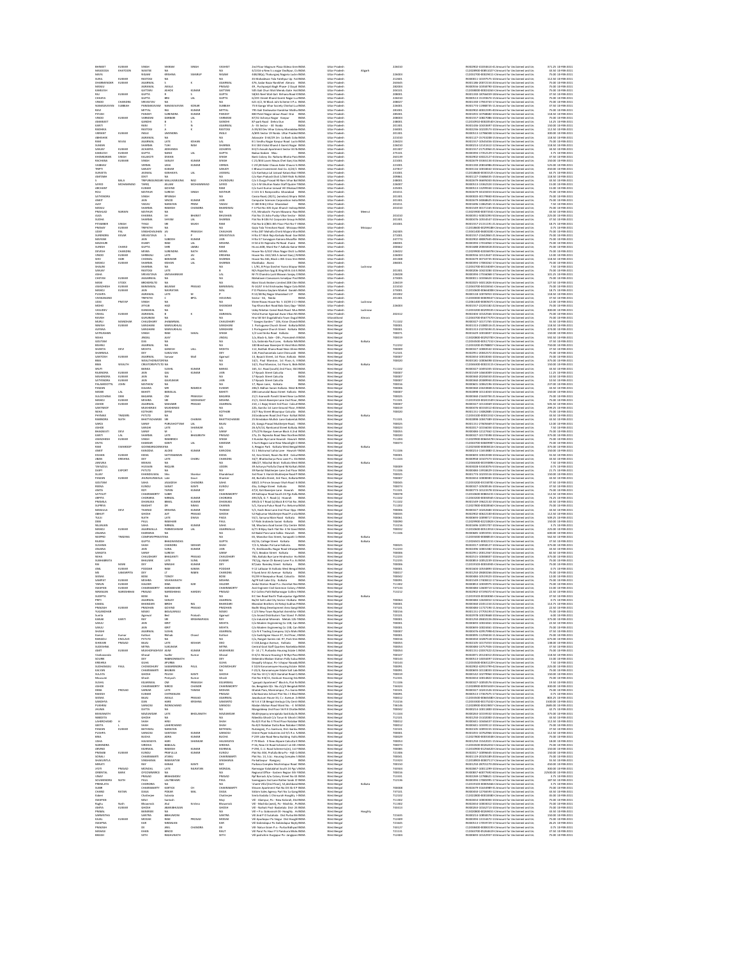| BHINEET<br>KUMAR                                             | SINGH                                 | VIKRAM                             | SINGH                              | VASHIST                                   | 2nd Floor Magnum Plaza Eldeco GreetNDIA                                                                                                                                                                                                       | Uttar Pradesh                                                           |         | 226010                                                     | IN302902-41034614-41Amount for Unclaimed and Un                                                                                                                                                                                                                       | 371.25 10-FEB-2011                                                                                                              |
|--------------------------------------------------------------|---------------------------------------|------------------------------------|------------------------------------|-------------------------------------------|-----------------------------------------------------------------------------------------------------------------------------------------------------------------------------------------------------------------------------------------------|-------------------------------------------------------------------------|---------|------------------------------------------------------------|-----------------------------------------------------------------------------------------------------------------------------------------------------------------------------------------------------------------------------------------------------------------------|---------------------------------------------------------------------------------------------------------------------------------|
| MASOODA<br>MAYA<br>KHATOOM                                   | WASTEE<br>NIGAM<br>NASTOGI            | NA<br>KRISHNA                      | <b>SWARL</b>                       | NA<br>NA<br>NISAM                         | 4/1316 a New S.s.nagar Dodhpur, ChiNDIA<br>448/48(a), Thakurganj Nagaria LuckniNDIA<br>45 Mahadevan Tola Fatehpur Up FaniNDIA                                                                                                                 | Uttar Pradesh<br>Uttar Pradesh                                          | Aligart | 226003                                                     | =12023900-00851027-0Amount for Unclaimed and Un<br>C12038900-00851027-0Amount for Unclaimed and Un<br>R100011-10197575-10Amount for Unclaimed and Un                                                                                                                  | 48.50 10-FEB-2011<br>75.00 10-FEB-2011<br>112.50 10-FEB-2011                                                                    |
| SUNIL<br>KUMA<br>DHAMMENDER<br>KUMAR                         | AGARWA                                | NA                                 | ĸ                                  | NA<br><b>AGARWAL</b>                      | 476, Sadar Bazar Ranikhet Almora INDIA                                                                                                                                                                                                        | <b>Uttar Pradesh</b><br><b>Uttar Pradesh</b>                            |         | 212601<br>263645                                           | IN301186-20072154-20 Amount for Unclaimed and Un                                                                                                                                                                                                                      | 75.00 10 FEB-2011                                                                                                               |
| MANJU<br>KAMLESH                                             | AGRAWA<br>GATTANI                     | <b>JWALA</b><br>ASHOK              | KUMAR                              | PRASAD<br>GATTANI                         | 49, Pushpanjali Bagh Phase- 2 Dayal INDIA<br>505 Gali Churi Wali Mendu Gate HatlINDIA                                                                                                                                                         | <b>Uttar Pradesh</b><br>Uttar Pradesh                                   |         | 282004<br>204101                                           | IN300556-10358790-10 Amount for Unclaimed and Un<br>C12038000-00024263-0Amount for Unclaimed and Un                                                                                                                                                                   | 75.00 10 FEB-2011<br>75.00 10-FEB-2011                                                                                          |
| RAJ<br>CHHAYA<br><b>CIMA</b>                                 | .<br>SUPTA                            | .<br>Katu                          | ĩц                                 | GUPTA<br>GUPTA                            | 58/65 Neel Wall Gall Birbana Road KINDIA<br>6/235 Vineet Khand Gomti Nager LucINDIA<br>621 A/2, W Block Juhi Scheme II P.o. INDIA<br>75 B Ganga Vihar Society Chinhat LucINDIA                                                                | Uttar Pradesh<br>Uttar Pradesh                                          |         | 208001<br>226010                                           | EXPOSITION CONTROL IS Amount for Unclaimed and Unit<br>R101330-13766459-18 Amount for Unclaimed and Unit<br>R100513-15193674-15 Amount for Unclaimed and Unit<br>R101330-17943743-11 Amount for Unclaimed and Unit                                                    | 37.50 10-FEB-2011<br>75.00 10-FEB-2011                                                                                          |
| CHANDRA<br>VINOD<br>NAMASI<br>SUBBIAH                        | SRIVASTAV<br>PARAMASI                 | NA<br><b>NAMASIVA</b>              | KONA                               | NA<br>SUBBIAH                             |                                                                                                                                                                                                                                               | <b>Uttar Pradesh</b><br>Uttar Pradesh                                   |         | 208027<br>226001                                           |                                                                                                                                                                                                                                                                       | 75.00 10-FEB-2011<br>37.50 10-FEB-2013                                                                                          |
| RAVI<br>PIYUSH                                               | MITTAL<br>PANDEY                      | RAI<br>SURENDRA                    | KUMAR<br>KUMAR                     | MITTAL<br>PANDEY                          | 795 Gali Dashavatar Kanskhar MathulNDIA<br>800 Panel Nasse Jalane Road, Oral<br>INDM                                                                                                                                                          | Uttar Pradesh<br>Uttar Pradesh                                          |         | 281001<br>285001                                           | IN302902-40022395-40 Amount for Unclaimed and Un<br>IN301055-10768682-10 Amount for Unclaimed and Un                                                                                                                                                                  | 75.00 10 FEB-2011<br>118.50.10.FFR.2011                                                                                         |
| VINCO<br>KUMAR<br>AMARJEET                                   | VARMAN<br>n<br>GANDHI                 | DARBAR                             | LAL                                | VARMAN                                    | 87/32 Acharya Nagar Kanpur<br>87-park Road Dehra Dun<br>INDIA<br>INDIA                                                                                                                                                                        | Uttar Pradesh<br><b>Uttar Pradesh</b>                                   |         | 208003<br>248001                                           | IN301557-10827086-10Amount for Unclaimed and Un                                                                                                                                                                                                                       | 75.00.10.6FR.2011<br>14.25 10 FEB-2011                                                                                          |
| KANTI<br>RADHIKA                                             | RANI<br>RASTOGI                       |                                    |                                    | GANDHI<br>AGARWAI<br>RASTOGI              | A - 55 Sector - 30 Noida<br>A 39/40 Dev Vihar Colony Moradabı                                                                                                                                                                                 | Uttar Pradesh<br>Uttar Pradesh                                          |         | 201301<br>244001                                           | IN301352-1082-1085-10-Amount for Unclaimed and Unit<br>C12010910-00020540-00mount for Unclaimed and Unit<br>IN301436-10433697-10-Amount for Unclaimed and Unit                                                                                                        | 150.00 10-FEB-2011<br>112.50 10-FEB-2011                                                                                        |
| VIKRANT<br>KUMAR<br>ABHISHER                                 | INGLE<br>AGRAWA                       | <b>UMENDRA</b>                     |                                    | INGLE                                     | A/695 Sector 19 Noida Uttar PradesHNDIA                                                                                                                                                                                                       | Uttar Pradesh<br>Uttar Pradesh                                          |         | 201301<br>221010                                           | IN300513-12786048-12 Amount for Unclaimed and Un<br>IN301127-15743208-15 Amount for Unclaimed and Un                                                                                                                                                                  | 300.00 10-FEB-2011<br>118.50 10-FEB-2011                                                                                        |
| <b>RAM</b><br>NIVAS<br><b>SEBAAN</b>                         | <b>AGARWAI</b><br>GLABAA              | LATE                               | KISHAN<br>RAM                      | NA<br>LAL                                 | Advocate D 64/29 2m 1a Bank ColorNDIA<br>8.1 Sindhu Nagar Kanpur Road LuckrINDIA<br>8.4 184 Vishal Khand 4 Gomti Nagar INDIA                                                                                                                  | Uttar Pradesh<br>Uttar Pradesh                                          |         | 226023<br>226010                                           | IN301557-10545456-10 Amount for Unclaimed and Un<br>IN300214-12141612-12 Amount for Unclaimed and Un                                                                                                                                                                  | 75.00 10 FEB 2011<br>118.50 10-FEB-2011                                                                                         |
| SANJAY<br>KAMLESH<br>KUMAR<br>KUMAR                          | <b>ACHARY</b><br><b>GUPTA</b>         | ADIXAND.<br>NAND                   | w                                  | SHARMA<br>ACHARYA<br>GUPTA                | 8-3/5 Aravali Apartment Sector-34 NdNDM<br>Badua Godam Mau MDM                                                                                                                                                                                | Uttar Pradesh<br>Uttar Pradesh                                          |         | 20130<br>275101                                            | IN301557-21753964-21 Amount for Unclaimed and Un<br>IN300394-17352129-17 Amount for Unclaimed and Un                                                                                                                                                                  | 34.50 10-FEB-2011<br>3.75 10-FEB-2011                                                                                           |
| KHEMKARAN<br>SINGH<br>RACHANA<br>KUMAR                       | KALAKOTI<br>SINGH                     | DIWAN<br>SANJAY                    | KUMAR                              | SINGH<br>SINGH                            | Bank Colony Do Naharia Bhotia ParadNDIA<br>C 21/834 Laxmi Niwas Chet Gani VaraNDIA                                                                                                                                                            | <b>Uttar Pradesh</b><br><b>Uttar Pradesh</b>                            |         | 263139<br>221001                                           | IN302902-43022127-43 Amount for Unclaimed and Un<br>IN302679-33365134-33 Amount for Unclaimed and Un                                                                                                                                                                  | 37.50 10-FEB-2011<br>150.00 10-FEB-2011                                                                                         |
| VAIBHAV<br>mon                                               | VERMA                                 | UDAI<br>CIBAN                      | KUMAR                              | VERMA                                     | C 23128 Kabir Chaura Kabir Chaura VANDIA                                                                                                                                                                                                      | Uttar Pradesh                                                           |         | 221001                                                     | IN301330-20816986-20 Amount for Unclaimed and Un                                                                                                                                                                                                                      | 525.00 10-FEB-2011                                                                                                              |
| SUNEETA<br>AMITABH                                           | SANJOY<br>IAISWA<br>DOIT              |                                    | w                                  | SANJOY<br>IAISWAL<br>NA                   | Cas par nash Create nash Create Virtuos<br>CBhasat Investment And Co. A/24/1 INDIA<br>C/o Ram Prakash Dixit 1/569 Rishi NaINDIA<br>C/o Ram Prakash Dixit 1/569 Rishi NaINDIA                                                                  | Uttar Pradesh<br>Uttar Pradesh<br><b>Uttar Pradesh</b>                  |         | 227817<br>231001<br>209861                                 | insurance and concessors communities in the international control of the INSUS116-10018442-10 Amount for Unclaimed and Unit<br>C12018600-00301525-0 Amount for Unclaimed and Unit<br>IN301127-15686435-15 Amount for Unclaimed and U                                  | 450.00 10-FEB-2011<br>63.75 10-FEB-2011<br>118.50 10-FEB-2011                                                                   |
| BALA<br>SAYED<br>MOHAMMAD                                    | TRIPURAS<br><b>TARIQ</b>              | 11 MALLIKARJUNA<br>ASLAM           | RAD<br>MOHAMMEAD                   | CHUNDURU<br>SAYED                         | C/o S Durga Prasad 90 Ram Vihar BallNDIA<br>C/o S M Ghufran Nadvi Staff Quater NNDIA                                                                                                                                                          | Uttar Pradesh<br><b>Uttar Pradesh</b>                                   |         | 248001<br>226007                                           | IN302679-36695043-36 Amount for Unclaimed and Un<br>IN300513-13362324-13 Amount for Unclaimed and Un                                                                                                                                                                  | 43.50 10-FEB-2011<br>15.00 10 FEB-2011                                                                                          |
| ARCHANT                                                      | KUMAR                                 | GOVIND                             | SINGH                              | RAM                                       | C/o Sunil Kumar Jaiswal VIII DhakauliiNDIA                                                                                                                                                                                                    | Uttar Pradesh                                                           |         | 225001                                                     | INTOOS13.13200344.13 Amount for Unriaimed and Un                                                                                                                                                                                                                      | 15.00 10-FEB-2011                                                                                                               |
| ROLI<br>SATYENDRA                                            | MATHUF<br>SINGH                       | SURESH<br>KPSINGI<br>VINCO         |                                    | MATHUR<br>NA                              | C-115 G-1 Ramprastha Ghaziabad INDIA<br>Cassia Road, (30/1), (windsor) Shipra INDIA                                                                                                                                                           | Uttar Pradesh<br>Uttar Pradesh                                          |         | 201011<br>201301<br>201301                                 | =1002579-34103453-34 Amount for Unclaimed and Unit<br>R302579-34103453-34 Amount for Unclaimed and Unit<br>R302579-34103453-30 Amount for Unclaimed and Unit<br>R302579-34058625-34 Amount for Unclaimed and Unit                                                     | -<br>75.00 10-FEB-2011<br>75.00 10-FEB-2011<br>75.00 10-FEB-2011                                                                |
| ANKIT<br>AJAY<br>MANJU                                       | JAIN<br>YADAV<br>SHARMA               | NARAYAN<br>RAMESH                  | klimar<br>Prem<br>CHANDRA          | JAIN<br>YADAV<br><b>BHARDWAI</b>          | Computer Sciences Corporation India INDM<br>D 180 B Brij Vihar Ghaziabad INDM<br>F 4 Plot No 305 Oyan Khand I IndirapINDIA                                                                                                                    | <b>Uttar Pradesh</b><br>Uttar Pradesh<br><b>Uttar Pradesh</b>           |         | 201011<br>201010                                           | IN301549-30171165-30 Amount for Unclaimed and Un                                                                                                                                                                                                                      | 7.50 10-FEB-2011<br>75.00 10-FEB-2011                                                                                           |
| PRAHLAD<br>NARAIN<br>ALKA                                    | MATHUR<br>KHANNA                      | NA<br>SH                           | BHARAT                             | NA.<br>BHUSHAN                            | F/4, Minakashi, Puram Mawana, RoadNDIA<br>Flat No. 15 Asha Dushe Vibar Sector - INDIA                                                                                                                                                         | Uttar Pradesh<br>Uttar Pradesh                                          |         | 201010                                                     | C13025900-00073341-0Amount for Unclaimed and Un<br>IN300351-50001093-50 Amount for Unclaimed and Un                                                                                                                                                                   | 43.50 10 FEB-2011<br>225.00 10-FEB-2011                                                                                         |
| SUDHA                                                        | SHARM                                 | SHYAM                              | LAL<br>MUKH                        | SHARMA                                    | File No 5-106 Fd Corporate Group HdNDIA<br>File No-5-2/801 8th Floor Plot No-7 NNDIA<br>Gajia Tola Trimohani Road . Miszapur INDIA<br>Gajia Tola Trimohani Road . Miszapur INDIA                                                              | <b>Uttar Pradesh</b>                                                    |         | 20130<br>201001                                            | =100131-00524547-10 <i>Amount</i> for Unclaimed and Unit<br>N300476-10554547-10 <i>Amount</i> for Unclaimed and Unit<br>N301557-21151191-21 <i>Amount</i> for Unclaimed and Unit                                                                                      | 37.50 10 FEB-2011                                                                                                               |
| PITAMBEI<br>PRANAY<br>singh<br>Kumar<br>UDAY<br>PAL          | TYAGI<br>TRIPATHI<br>SINGHCHAUHAN JAI | <b>SR</b>                          | PRAKASH                            | ilam<br>Na<br>CHAUHAN                     | H No 287 Mohalla Chinti Majara WarlNDIA                                                                                                                                                                                                       | Uttar Pradesh<br>Uttar Pradesh<br>Uttar Pradesh                         |         | 262405                                                     | C13041400-06003281-0Amount for Unclaimed and Un                                                                                                                                                                                                                       | 18.75 10-FEB-2011<br>0.75 10-FEB-2011<br>75.00 10 FEB-2011                                                                      |
| <b>SURENDRA</b><br>KESAR<br>MAYANK                           | SRIVASTAVA<br><b>JAIN</b>             | <b>SUBODE</b>                      | KUMAR                              | SRIVASTAVA<br><b>JAIN</b>                 | rı vo zav rensun unım neyara vermesinde<br>H No 37 Saregyan Kairana Musaffar INDIA<br>H No 37 Saregyan Kairana Musaffar INDIA<br>H S6-d'Dr Najendra Pd Road J Hamil - INDIA<br>House No 4/410 Vikas Nagar Dist LuiNDIA<br>House No 4/410 Vika | Uttar Pradesh<br>Uttar Pradesh                                          |         | 271001<br>247774                                           | IN301557-21642863-21 Amount for Unclaimed and Un<br>IN302902-48087645-48 Amount for Unclaimed and Un                                                                                                                                                                  | 75.00 10 FEB-2011<br>75.00 10 FEB 2011                                                                                          |
| MADHUI                                                       | .<br>DUBEY                            | RAM                                |                                    | MISHRA                                    |                                                                                                                                                                                                                                               | <b>Uttar Pradesh</b>                                                    |         | 284001                                                     | =1020304-17016964-17Aenount for Unclaimed and Unit<br>=10101588-20055818-20Aenount for Unclaimed and Unit<br>=101029900-02036978-0Aenount for Unclaimed and Unit                                                                                                      | 75.00 10 FEB-2011                                                                                                               |
| CHAND<br>CHANDRA<br><b>SURES</b><br>DEVESH<br>VINOD<br>KUMAR | GUPTA<br>MISRA<br>SHRIMAL             | SHRI<br>SURENDR<br>LATE            | LBABL<br>NATH                      | RAM<br>MISRA<br>KRISHNA                   | House No. 442/183 A Jamail Ganj ( NINDIA                                                                                                                                                                                                      | Uttar Pradesh<br>Uttar Pradesh<br><b>Uttar Pradesh</b>                  |         | 200662<br>226022<br>226003                                 | IN300556-10112647-10 Amount for Unclaimed and Un                                                                                                                                                                                                                      | 75.00 10-FEB-2011<br>75.00 10-FEB-2011<br>12.00 10 FEB-2011                                                                     |
| SHIV<br>HARL<br>MANOJ<br>KUMAR                               | CHOMAL<br>SHARMA                      | BANWARI<br>KISHAN                  | 1AI<br>LAL<br><b>LAL</b>           | SHARMA<br>SHARMA                          | House No.346, Block-c 8th Cross StreeNDIA<br>Khatibaba Jhansi<br>INDIA                                                                                                                                                                        | <b>Uttar Pradesh</b><br>Uttar Pradesh                                   |         | 201308<br>284001                                           | IN302679-30710735-30 Amount for Unclaimed and Un<br>IN300394-17083262-17 Amount for Unclaimed and Un                                                                                                                                                                  | 118.50 10-FEB-2011<br>75.00 10 FEB-2011                                                                                         |
| .<br>Sanjay                                                  | GLABAA<br>ustod                       | NA<br>LATE                         |                                    | NA                                        |                                                                                                                                                                                                                                               | Uttar Pradesh<br>Uttar Pradesh                                          |         | 201301                                                     |                                                                                                                                                                                                                                                                       |                                                                                                                                 |
| ASHA                                                         | SRIVASTAVA                            | UMSAHANKAI                         |                                    | LAL                                       | L. 1/91, B. Priya Darshni Yozna Shapur INDIA<br>M/s Rajasthan Spg & Wvg Mills Ltd A INDIA<br>M-73 Chandra Jyoti Bhawan Sanjay GINDIA                                                                                                          | <b>Uttar Pradesh</b>                                                    |         | 226028                                                     | =12032700-00134049-04mount for Unclaimed and Un<br>IN300205-10423284-10.4mount for Unclaimed and Un<br>IN300394-17556068-17.4mount for Unclaimed and Un                                                                                                               | 7.50 10-FEB-2011<br>75.00 10-FEB-2011<br>101.25 10-FEB-2011                                                                     |
| CHETAN<br>KUMAR<br>MANI<br><b>STOCK</b>                      | <b>AGGARWAL</b><br><b>BROKERSLTD</b>  | NA<br>NA                           |                                    | NA<br>NA                                  | Mahalaxmi Carvassers Ismailpur PostINDIA<br>Mani Stock Brokers Limited 208 ChinfNDIA                                                                                                                                                          | Uttar Pradesh<br><b>Uttar Pradesh</b>                                   |         | 273005<br>226019                                           | IN300011-10336624-10 Amount for Unclaimed and Un<br>IN302025-34011826-34 Amount for Unclaimed and Un                                                                                                                                                                  | 75.00 10-FEB-2011<br>127.50 10-FEB-2011                                                                                         |
| <b>AWADHESH</b><br>KUMAR<br>MANOJ<br><b>CUMA</b>             | BARANWAL<br>iain<br>Agrawai           | BALRAM<br>NAVRATAR<br>LATE         | PRASAD                             | BARANWAL<br>MAL                           | N-14/67 A-5d Krishnadeo Nagar ColorNDIA                                                                                                                                                                                                       | Uttar Pradesh<br>Uttar Pradesh<br>Uttar Pradesh                         |         | 221010<br>273001<br>201001                                 | C12044700-04326561-0Amount for Unclaimed and Un                                                                                                                                                                                                                       | 75.00 10 FEB-2011<br>18.75 10-FEB-2011<br>118.50 10-FEB-2011                                                                    |
| VIVEKANAA                                                    | TRIPATHI                              | c<br>NA                            | EPCL                               | HOUSING                                   | 1920 Francisco Antonio Market GorakhyNDIA<br>R 12/48 Raj Nagar Ghaziabad U P - INDIA<br>Sector - 56, Noida<br>Shree Niwas House No 5 10/49 2 C HNDIA                                                                                          | <b>Uttar Pradesh</b>                                                    |         | 201301                                                     | C12010600-00564008-0Amount for Unclaimed and United States (12010600-00564008-0Amount for Unclaimed and United States (12010600-0000593-1.0Amount for Unclaimed and United States (12010600-00005071-0Amount for Unclaimed and                                        | 37.50 10-FEB-2011                                                                                                               |
| PRATAL<br>UDAI<br>MOHD                                       | SINGH<br>AYYUB                        | HAZI                               |                                    | NA<br>SIXANDAF                            | Top Khana Bari Road Bala Gani Opp- VNDIA                                                                                                                                                                                                      | Uttar Pradesh<br><b>Uttar Pradesh</b>                                   | Lucknow | 226003                                                     | IN301557-22245182-22 Amount for Unclaimed and Un                                                                                                                                                                                                                      | 12.00 10-FEB-2011<br>75.00 10-FEB-2011                                                                                          |
| VASUDEV<br>VISHAL<br>KUMAR                                   | DANGWA<br>AGRAWAL<br><b>GIBLIBAN</b>  | NA                                 |                                    | NA.<br>AGRAWAL                            | Udey Niketan Camal Back Road MustNDIA<br>Vishal Kumar Agarwal Awas Vikas MalNDIA                                                                                                                                                              | Uttar Pradesh<br>Uttar Pradesh                                          | Lucknow | 202412                                                     | C12033200-00299335-0Amount for Unclaimed and Un<br>IN302404-10142566-10 Amount for Unclaimed and Un                                                                                                                                                                   | 800.00 10-FEB-2011<br>25.00.10.658.2011                                                                                         |
| RAVISE<br>MURLI<br>MANOHAI                                   |                                       | JHABARMAL<br>MANSUKHLAI            |                                    | NA.<br>CHAUDHAR                           | vinne Kumer Agerwei Awes vikes MunculA<br>Hro SB Strt Dugalakhola Town DugaliNDIA<br>" Ganges Garden " 106, Kiran ChandriNDIA<br>1 Portuguese Church Street KolkataiNDIA                                                                      | Uttarakhand<br>West Bengal<br>West Bengal                               |         | 711102                                                     | =12044700-05677370-04mount for Unclaimed and Un<br>=12044700-05677370-04mount for Unclaimed and Un<br>=N300327-10171765-104mount for Unclaimed and Un<br>=N301313-21080516-214mount for Unclaimed and Un                                                              | 75.00 10-FEB-2011                                                                                                               |
| NIMISH<br>KUMAR<br>ALPANA                                    | CHAUDHARY<br>SANGHANI<br>SANGHANI     | MANSUKHLAL                         |                                    | SANGHAN<br>SANGHAN                        | 1 Portuguese Church Street Kolkata INDIA                                                                                                                                                                                                      | West Bengal                                                             |         | 700001<br>700001                                           | IN301313-21076594-21 Amount for Unclaimed and Un                                                                                                                                                                                                                      | 55.50 10-FEB-2011<br>118.50 10-FEB-2011<br>474.00 10-FEB-2011                                                                   |
| SATRUGHAN<br><b>NIGHA</b>                                    | SINGH<br><b>JINDAL</b>                | <b>BAM</b><br><b>AIAY</b>          | SAKAL                              | SINGH<br><b>INDAL</b>                     | 1/2 Lord Sinha Road Kolkata INDIA<br>1/a, Block-b, Side - Oth., Pramatesh BINDIA                                                                                                                                                              | West Bengal<br>West Bengal                                              |         | 700071<br>700019                                           | IN301629-10018407-10Amount for Unclaimed and Un<br>C13020800-00292700-0Amount for Unclaimed and Un                                                                                                                                                                    | 150.00 10-FEB-2011<br>592.50.10.FFR.2011                                                                                        |
| GOUTAM                                                       | DAS                                   | NA                                 |                                    | .<br>NA                                   | .<br>I/a, Gobinda Paul Lane, Kolkata WbINDIA                                                                                                                                                                                                  | West Bengal                                                             | Kolkata | 712232                                                     | C12034500-00517152-0Amount for Unclaimed and Un                                                                                                                                                                                                                       | 37.50 10-FEB-2011                                                                                                               |
| BISHNU<br>SHANTA<br>DEVI<br>SHARMILA                         | AGARWAI<br>MOHTA<br>DEY               | <b>SUKALYAN</b>                    | LALL                               | NA<br>MOHTA<br>DEY                        | 100 Bireshwar Banerjee St Hind MotoINDIA<br>112, Baithak Khana Road Near AhmedNDIA<br>118. Panchanantala Lane Chinsurah INDIA                                                                                                                 | West Bengal<br>West Bengal<br>West Bengal                               |         | 712101                                                     | C12033200-05788857-0Amount for Unclaimed and Un<br>IN300327-10083542-10Amount for Unclaimed and Un<br>IN302951-20042372-20 Amount for Unclaimed and Un                                                                                                                | 750.00 10-FEB-2011<br>37.50 10-FEB-2011<br>75.00 10-FEB-2011                                                                    |
| SANTOSH<br>KUMAR<br><b>BMA</b>                               | AGARWA<br>WEALTHCREATORINA            | Sarrw                              | Mall                               | Agarwal<br>NA                             | 13, Bysack Street, 1st Floor, Kolkata INDIA<br>14/1. Paul Mansion, 1st Floor, 6. BINDIA                                                                                                                                                       | West Bengal<br>West Benita                                              |         | 700007<br>700020                                           | IN302654-10010044-10Amount for Unclaimed and Un<br>IN303181-10006498-10Amount for Unclaimed and Un                                                                                                                                                                    | 75.00 10 FEB-2011<br>375.00 10-FEB-2011                                                                                         |
| BMA<br>SRUTI<br>WEALTH                                       | CREATORSPVTLTD N                      |                                    | KLIMAN                             | <br>BANKA                                 | 14/1, Paul Mansien, 1st Floor, 6, Bishshill<br>165, G.t. Road (south) 2nd Floor, Shilshill<br>17 Bysack Street Calcutta INDIA                                                                                                                 | West Bengal<br>West Bengal<br>West Bengal                               | Kolkata | 711102                                                     | =12046300-00023115-0Amount for Unclaimed and Un<br>IN300327-10491035-10Amount for Unclaimed and Un<br>IN300327-10491035-10Amount for Unclaimed and Un                                                                                                                 | 150.00 10-FEB-2011<br>43.50 10-FEB-2011<br>11.25 10-FEB-2011                                                                    |
| RAJENDRA<br>KUMA<br>MAHENDRA<br>KUMAR                        | JAIN<br>JAIN                          | GAI<br>NA                          | KUMAR                              | <b>JAIN</b><br>NA.                        | 17 Bysack Street Calcutta<br>INDM                                                                                                                                                                                                             | West Bengal                                                             |         | 700007<br>700003                                           | IN300360-20246550-20 Amount for Unclaimed and Un                                                                                                                                                                                                                      | 10.50 10 FEB-2011                                                                                                               |
| SATYENDRA<br>KUMAR<br>PALAMOOTTIL<br>JOHN                    | <b>JAIN</b><br>MATHEW                 | GAIKUMAR<br>NA                     |                                    | <b>JAIN</b><br>NA.                        | 17 Bysack Street Calcutta<br>INDIA<br>17. Ripon Lane. Kolkata<br><b>INDIA</b>                                                                                                                                                                 | West Bengal<br>West Bengal                                              |         | 700003<br>700016                                           | IN300360-20389944-20 Amount for Unclaimed and Un<br>IN300601-10062196-10 Amount for Unclaimed and Un                                                                                                                                                                  | 10.50 10 FEB-2011<br>237.00 10-FEB-2011                                                                                         |
| PAWAN<br>MANIK                                               | DALMIA<br>BAHETI                      | MR<br>BANSILAL                     | <b>BAMESH</b>                      | KUMAR<br>BAHETI                           |                                                                                                                                                                                                                                               | West Bengal<br>West Bengal                                              |         | ,<br>,,,,,,,,                                              |                                                                                                                                                                                                                                                                       | 43.50 10-FEB-2011<br>150.00 10-FEB-2011                                                                                         |
| SULOCHANA<br>DEBI                                            | BAGARIA<br>MISHRA                     | OM<br>SRI                          | PRAKASH                            | BAGARIA<br>MISHRA                         | 27, 1986<br>2015 - Jacob Karani Kalkata West BrNDIA<br>2015 - Jacob Kalkata Street Kolkata INDIA<br>21/1, Girish Banerjee Lane 2nd Floor, INDIA<br>21/1, Girish Banerjee Lane 2nd Floor, INDIA                                                | West Bengal<br>West Bengal                                              |         | 700025<br>711101                                           | =1000360-22633848-22Amount for Unclaimed and Unit<br>R300360-22633848-22Amount for Unclaimed and Unit<br>R300360-21630704-21Amount for Unclaimed and Unit<br>C12019105-00241549-0Amount for Unclaimed and Unit                                                        | 75.00 10-FEB-2011                                                                                                               |
| KUMA<br>MANOJ<br><b>ASHOK</b><br>KUMAR                       | AGARWA                                | MAHABIR                            | SIDDHANA'<br>PRASAD                | <b>AGARWAL</b>                            | 210, J.I. Bajaj Street 3rd Floor CalcuttNDIA                                                                                                                                                                                                  | West Bengal                                                             |         | 700003                                                     | IN300327-10110469-10 Amount for Unclaimed and Un                                                                                                                                                                                                                      | 75.00 10-FEB-2011<br>505.50 10-FEB-2011                                                                                         |
| SANTIMOV<br>NEHA                                             | MUKHERJEE<br>KOTHAR                   | MUKHERJER<br><b>DPAK</b>           |                                    | NA.<br>KOTHAN                             | .<br>22b, Garcha 1st Lane Ground Floor, BINDIA<br>23/7 Ray Street Bhaunipur Calcutta INDIA                                                                                                                                                    | West Benga<br>West Benga                                                |         | 700019<br>700020                                           | IN300476-40150312-40 Amount for Unclaimed and Un<br>IN301151-13082885-13 Amount for Unclaimed and Un                                                                                                                                                                  | 299.25 10-FEB-2011<br>75.00 10 FEB 2011                                                                                         |
| PHYMAL<br>TRADER<br>NATH<br>RABINDRA                         | pyrtro                                | <b>SR</b>                          | CHARAN                             | BHATTACHARJEE                             | 247 http://www.unitediper.com/unitediper.com/unitediper.com<br>25 Brindaban Mullick Lane KadamtalaNDIA<br>25, Ganga Prasad Mukherjee Road, NNDIA                                                                                              | West Bengal<br>West Bengal                                              | Kolkat  | 711101                                                     | <b>Exposure - Exposure - Exposure Inc.</b><br>C12034100-00031552-0Amount for Unclaimed and Un<br>IN302898-10047389-10Amount for Unclaimed and Un<br>IN301151-27605669-27Amount for Unclaimed and Un                                                                   | 43.50 10-FEB-2011                                                                                                               |
| SAROJ<br><b>ASHOK</b>                                        | ehattachariee<br>Saraf<br>SANGHI      | PURLISHOTTAN<br>LATE               | LAL<br>SHANKAR                     | <b>BAJAJ</b><br>LAL                       | 26 A/h/14, Ramkamal Street Kolkata JNDIA                                                                                                                                                                                                      | West Bengal<br>West Bengal                                              |         | 700025<br>700023                                           | IN302017-10156034-10 Amount for Unclaimed and Un                                                                                                                                                                                                                      | 43.50 10-FEB-2011<br>12.00 10-FEB-2011<br>7.50 10-FEB-2011                                                                      |
| BHAGWATI<br>DEVI<br>KANTI<br>LAI                             | SARAF<br>SHARMA                       | LATE                               | BHAGIRATH                          | SARAF<br>PRASAD                           | .<br>275/276 Bangur Avenue Block A 2nd INDIA<br>27a, Dr. Rajendra Road Near NorthersNDIA                                                                                                                                                      | West Bengal<br>West Bengal                                              |         | 700055<br>700020                                           | IN300484-12127462-12 Amount for Unclaimed and Un<br>IN300327-10174598-10 Amount for Unclaimed and Un                                                                                                                                                                  | 75.00 10 FEB-2011<br>375.00 10-FEB-2011                                                                                         |
| KUMAR<br>AWADH                                               | ина<br>ЧNGН<br>KAMDA                  | <b>BAMBRICH</b><br>KANTI           | w                                  | SINGH<br>KAMDAR<br>NA                     | 3 Kundan Bye Lane Howrah Howrah INDIA                                                                                                                                                                                                         | West Bengal                                                             |         | 71120<br>700073                                            | =12023900-00605478-0Amount for Unclaimed and Unit<br>C12029900-00665478-0Amount for Unclaimed and Unit<br>C12034700-04849987-0Amount for Unclaimed and Unit                                                                                                           | 75.00 10-FEB-2011                                                                                                               |
| DIVYA<br>RAM<br>SWARDO<br>ANKIT                              | GOENKA<br>KANOCIA                     | w٨<br>ALO <sub>12</sub>            | KUMAR                              | KANODIA                                   | 3 Surti Bagan Lane Near Moonlight CINDIA<br>3, Reagon Park - Kolkata West BengaliNDIA<br>31 1 Motrumal Lohia Lane Howrah VNDIA                                                                                                                | West Bengal<br>West Bengal<br>West Bengal                               | Kolkata | 711106                                                     | IN300214-11653880-11 Amount for Unclaimed and Un                                                                                                                                                                                                                      | 75.00 10-FEB-2011<br>375.00 10-FEB-2011<br>150.00 10-FEB-2011                                                                   |
| KISHAN<br>KUMAR<br>JIBAN<br>KRISHNA                          | KEDIA<br>DEY                          | SATYANARAIN<br>LATE                | CHARLE                             | KEDIA<br>CHANDRA                          | 32, Ezra Street, Room No 810 CalcutINDIA<br>34/7, Bhattacharya Para Lane P.s. ShilNDIA                                                                                                                                                        | West Bengal<br>West Benita                                              |         | 700001<br>711104                                           | IN300693-10022038-10 Amount for Unclaimed and Un<br>IN300958-10107373-10 Amount for Unclaimed and Un                                                                                                                                                                  | 55.50 10-FEB-2011<br>43.50 10 FEB-2011                                                                                          |
| <b>MARIN</b>                                                 | BISWAS<br>HUSSAIN                     |                                    |                                    | NA<br>NA<br>UDDIN                         |                                                                                                                                                                                                                                               |                                                                         | Kolkata |                                                            |                                                                                                                                                                                                                                                                       |                                                                                                                                 |
| TAFAZZL<br>EXPORT<br>DAIFY                                   | PVTLTD                                | NA                                 |                                    | NA                                        | 39/27, Nilachal Birati Kokata West INDIA<br>38/27, Nilachal Birati Kokata West INDIA<br>39 Ramlal Mukherjee Lane 2nd Floor INDIA                                                                                                              | West Bengal<br>West Bengal<br>West Bengal                               |         | 700005<br>711106                                           | =12046300-00133396-04mount for Unclaimed and Un<br>IN103028-53343076-53 Amount for Unclaimed and Un<br>IN103028-53343076-53 Amount for Unclaimed and Un                                                                                                               | 7.50 10-FEB-2011<br>0.75 10-FEB-2011<br>21.75 10-FEB-2011                                                                       |
| SUJAY<br>PAWAN<br>KUMAR                                      | KHANDELWAL<br>JHUNJHUNWALA Late       | Shiv                               | Shankar<br>Gouri                   | Khandelwal<br>Shanker                     | 3rd Floor 5 Harish Mukherjee Road PdNDIA<br>40, Burtolla Street, 3rd Floor, KolkataINDIA                                                                                                                                                      | West Bengal<br>West Bengal                                              |         | 700025<br>700003                                           | IN301774-10235516-10 Amount for Unclaimed and Un<br>IN302654-10008383-10 Amount for Unclaimed and Un                                                                                                                                                                  | 150.00 10-FEB-2011<br>43.50 10 FEB-2011                                                                                         |
| GOUTAM                                                       | SAHA                                  | JAGADISH                           | CHANDRA                            | <b>SAHA</b>                               | 400/1 A Prince Anowar Shah Road KrNDIA                                                                                                                                                                                                        | West Bengal                                                             |         | 700045                                                     | C12033200-03158781-0Amount for Unclaimed and Un                                                                                                                                                                                                                       | 37.50 10 FEB-2011                                                                                                               |
| REENA<br>ANITA<br>SATYAIT                                    | KUNDU<br>ROY<br>CHAKR                 | SANAT<br>TAPAN<br>SUBIR            | KANTI<br>KUMAR                     | KUNDU<br>ROY                              | Total Asia, College Street Kolkata<br>47/4, Kali Banerjee Lane Howrah HNDIA<br>49 Kalikapur Road South 24 Pgs KolkaNDIA<br>493/3/b, G. T. Road (s) Howrah HNDIA                                                                               | West Bengal<br>West Bengal                                              |         | 700071<br>711101                                           | EXECUTE TO ANNOUNCE IN A UNITED AND RELEASE IN A UNITED AND CONTRACT TO A UNITED A UNITED AND CONTRACT IN A UNITED AND CONTRACT ON A UNITED AND CONTRACT ON A UNITED AND CONTRACT ON A UNITED AND CONTRACT ON A UNITED AND CON                                        | 37.50 10-FEB-2011<br>75.00 10-FEB-2011                                                                                          |
| ARPITA                                                       | CHORARIA<br>DHANUKA                   | NIRMA<br><b>BIMAL</b>              | KUMAR<br>KUMAR                     | CHAKRABORTY<br>CHORARIA<br>DHANUKA        | 493/b G T Road (s) Block B K Flat No 2NDIA                                                                                                                                                                                                    | West Bengal<br>West Bengal<br>West Bengal                               |         | 700078<br>711102<br>711102                                 | IN301549-19622132-19 Amount for Unclaimed and Un                                                                                                                                                                                                                      | 112.50 10-FEB-2011<br>74.25 10-FEB-2011<br>43.50 10-FEB-2011                                                                    |
|                                                              |                                       | DR                                 | NIMAL<br>KUMAR                     | CHARAN<br>THARAD                          | 5/1. Kanuna Pukur Road P.o. BelunmatNDIA<br>5/1. Kashi Bose Lane 2nd Floor Opp. KNDIA                                                                                                                                                         | West Bengal<br>West Bengal                                              |         | 711202<br>700006                                           | C12027800-00028560-0Amount for Unclaimed and Un<br>IN100327-10242684-10 Amount for Unclaimed and Un                                                                                                                                                                   | 75.00 10 FEB-2011<br>43.50 10 FEB 2011                                                                                          |
| PRAMILA<br><b>SUPRIYA</b>                                    | <b>BAKSHIT</b>                        |                                    |                                    | SHOSH<br>PADA                             | 574, Kalim salah satu satu root Cypr. Interve<br>52 Rajkumar Mukherjee Road P.o alatNDIA<br>55/1, Sarsuna Main Road - Kolkata - INDIA<br>57 Rishi Arabindo Sarani - Kolkata - INDIA                                                           | West Bengal                                                             |         |                                                            |                                                                                                                                                                                                                                                                       |                                                                                                                                 |
| MANJULA<br>peyr<br>ABHUT                                     | THARAC<br>GHOSH                       | KRISHNA                            | PRASAD                             |                                           |                                                                                                                                                                                                                                               |                                                                         |         | 700035                                                     |                                                                                                                                                                                                                                                                       |                                                                                                                                 |
| TULSI<br>DEBI                                                | NATH<br>PALIL                         | AIT<br>LATE<br>RAMHAR              | DWUA                               | PAUL                                      |                                                                                                                                                                                                                                               | West Bengal<br>West Bengal                                              |         | 700051<br>70009                                            | 8100502-40622100-40 Amount for Unclaimed and Unit<br>18302902-40622100-40 Amount for Unclaimed and Unit<br>18300693-10098717-10 Amount for Unclaimed and Unit                                                                                                         | 112.50 10-FEB-2011<br>509.25 10-FEB-2011<br>150.00 10-FEB-2011                                                                  |
| NILANJAN<br>KUMAR<br>MANOJ                                   | SAHA<br>AGARWALLA                     | NIRMAL<br>PARMESHWAF               | KUMAR<br>LAL.                      | SAHA<br>AGARWALLA                         | 58, Moulana Azad Sarani City Centre INDIA                                                                                                                                                                                                     | West Bengal                                                             |         | 713216<br>700032                                           | IN301696-10391707-10 Amount for Unclaimed and Un<br>C12010600-00513914-0Amount for Unclaimed and Un                                                                                                                                                                   | 3.75 10 FEB-2011<br>225.00 10-FEB-2011                                                                                          |
| ANJANA<br>NEEPRO<br>TRADING                                  | KAKRANIA<br>muse                      |                                    |                                    | NÄ                                        | 6/71 B Bijoy Garh Flat No- 4 Nr GandiNDIA<br>62 Badal Para Lane Salkia Howrah - INDIA                                                                                                                                                         | West Bengal<br>West Bengal<br>West Bengal                               | Kelkung | 711106                                                     | IN300685-10055931-10 Amount for Unclaimed and Un<br>C12035000-00088533-0Amount for Unclaimed and Un                                                                                                                                                                   | 00.00.10.658.2011<br>562.50 10 FEB-2011                                                                                         |
| RAJESH<br><b>SUSHM</b>                                       | <b>GUPTA</b><br>SHAH                  | EHAC<br>CHANDRA                    | SEKHAR                             | NA<br><b>GUPTA</b><br>SHAH                | 65, Manchar Das Street, Sonapatti 1s/NDIA<br>65/1b, College Street Kolkata<br>7/2 A, Madan Pal Lane Kolkata.<br>INDM                                                                                                                          | West Bengal<br>West Bengal                                              | Kolkata | 70002                                                      |                                                                                                                                                                                                                                                                       | 37.50 10-FEB-2011<br>375.00 10-FEB-2011                                                                                         |
| ANJANA<br>SANGITA                                            | <b>JAIN</b><br>SARAE                  | <b>SUNIL</b><br>SURESH             | KUMAR                              | <b>JAIN</b><br>SARAF                      | 75. Deshbandhu Nasar Road UttarpartNDIA<br>75/1, Beadon Street Kolkata<br>INDM                                                                                                                                                                | West Bengal<br>West Bengal                                              |         | 712233<br>700006                                           | C12026501-00022151-0Amount for Unclaimed and Univ IN302017-10058127-10Amount for Unclaimed and Uni<br>IN302496-10001382-10 Amount for Unclaimed and Un<br>IN302951-20012367-20Amount for Unclaimed and Un                                                             | 43.50 10-FEB-2011<br>82.50 10-FEB-2011                                                                                          |
| NEHA                                                         | CHAUDHARY<br>BHAUMIN                  | BHAGAWT                            | PRASAD                             | CHAUDHAR                                  | 76b, Battala Dye Lane Hindmotor HolNDIA                                                                                                                                                                                                       | West Benita                                                             |         | 712233                                                     | IN302515-10048407-10Amount for Unclaimed and Un                                                                                                                                                                                                                       | 175.00.10.658.2011                                                                                                              |
| MAN                                                          |                                       | LATÉ<br>MRASHI                     | sunil<br>Kumar                     |                                           |                                                                                                                                                                                                                                               | West Benga<br>West Benga                                                |         | 712235<br>700006                                           |                                                                                                                                                                                                                                                                       |                                                                                                                                 |
| RAI<br>ANIL<br>KUMAR<br>MS<br>SAMARPITA<br>SEEMA             | PODDAF<br>DEY<br>BOSE                 | RAM<br>LT.<br>TONOY                | KARAN<br>RABIN                     | KUMAR<br>DEY<br>PODDAR<br>CHANDRA<br>BOSE | 707, uses or of Banery Lane P.o. KolNDIA<br>87, bala Ramdey Street Kolkata NDIA<br>9 12 Labazar St Kolkata West Bengal INDIA<br>9 Syed Amir Ali Avenue Kolkata<br>91/39 H Bosepulour Road, Calcutta<br><b>INDIA</b>                           | West Bengal<br>West Bengal<br>West Bengal                               |         | 700001<br>700017<br>700042                                 | IN300853-10052239-10Amount for Unclaimed and Unit<br>IN300853-10052239-10Amount for Unclaimed and Unit<br>C12019103-00034945-0Amount for Unclaimed and Unit<br>IN301250-28483266-28 Amount for Unclaimed and Un<br>IN300484-10519323-10 Amount for Unclaimed and Un   | 75.00 10-FEB-2011<br>75.00 10-FEB-2011<br>0.75 10-FEB-2011<br>75.00 10-FEB-2011<br>12.00 10-FEB-2011                            |
| SAMPAT<br>KUMAR                                              | MISHRA                                | VISHWANATH                         |                                    | MISHRA                                    | Ag79 Salt Lake City Kolkata<br>INDIA                                                                                                                                                                                                          | West Benita                                                             |         | 700091                                                     | IN301549-17400412-17 Amount for Unclaimed and Un                                                                                                                                                                                                                      | 75.00 10 FEB-2011                                                                                                               |
| TARUN<br>SWAPAT<br><b>CUMA</b><br>NARESHBHA                  | PRASAD                                | DIBA<br>NARESHBHA                  | <b>HARDEY</b>                      |                                           | <b>Indul Station Road P.o. Jho</b><br>Valt Ensineer Civil Gammon                                                                                                                                                                              | Wes.<br>West Bengal<br>West Bengal                                      |         | 713212                                                     | IN300853-10030975-10 Amount for Unclair<br>IN300884-12600713-12 Amount for Unclair                                                                                                                                                                                    | 75.00 10-FEB-2011<br>15.00 10-FEB-2011                                                                                          |
| NIRANJAN<br>SUDIPTA<br>PRITI                                 | BOSE<br>AGARWA                        | SANJAY                             |                                    | PRASAD<br>NA<br><b>AGA/IWA)</b>           | B 2 Collins Path Bidhannagar Collins PINDIA<br>B C Sen Road North Thakurpukur AgaINDIA<br>Ba/32 Salt Lake City Sector   Kolkata   NDIA                                                                                                        | West Bengal<br>West Bengal<br>West Bengal                               |         | 700064                                                     | IN302902-47195072-47 Amount for Unclaimed and Un<br>C12019103-00183065-0Amount for Unclaimed and Un<br>IN300484-12630452-12 Amount for Unclaimed and Un                                                                                                               | 22.50 10-FEB-2011<br>37.50 10-FEB-2011<br>0.75 10 FEB-2011                                                                      |
| KAMAL<br>PRAKASH<br>KUMAR                                    | BHANDARI<br>PRADHAN                   | <b>BIRDH</b><br>GOVING             | PRASAD                             | <b>BHANDAR</b><br>PRADHAN                 | <b>Bhandari Brothers 16 Netail Subhas RINDIA</b><br>Bodhi Mare Development Area GanetINDIA                                                                                                                                                    | West Bengal<br>West Bengal                                              |         | 700001<br>737101                                           | IN300360-22451154-22 Amount for Unclaimed and Un<br>IN300484-11727194-11 Amount for Unclaimed and Un                                                                                                                                                                  | 114 75 10 FFR.2011<br>22.50 10 FEB 2011                                                                                         |
| <b>YUGAND</b>                                                | MASKI                                 | BASALIAE                           |                                    | MASKI                                     | Town Rajarhat Animikha HNDIA<br>C 2/3 New                                                                                                                                                                                                     | West Bengal                                                             |         | 700151                                                     | N301151-27705193-27 Amount for Unclaimed and Un                                                                                                                                                                                                                       | 75.00 10-FEB-2011                                                                                                               |
| Sunita<br>KANAK<br>KANTI                                     | Agarwal<br>RAY                        | Bed<br>SR                          | KRISHNAPAC                         | Agarwal<br>RAY                            | C/2/3 NW - Lowin Ingerial Pitation C/0<br>Anand Distributors Taxi Stand PulNDIA<br>C/o Industrial Minerals Metals 12b NNDIA                                                                                                                   | West Bengal<br>West Bengal                                              |         | 723101<br>700001                                           | IN302978-10019668-10 Amount for Unclaimed and Un<br>IN301250-28402226-28 Amount for Unclaimed and Un                                                                                                                                                                  | 6.00 10-FEB-2011<br>375.00 10-FEB-2011                                                                                          |
| SANJU<br>SANJU                                               | JAIN<br><b>JAIN</b>                   | KIRIT<br>KIRT                      |                                    | MEHTA<br>MEHTA                            | C/o Modern Engineering Co 138, CandNDIA                                                                                                                                                                                                       | West Bengal                                                             |         | 700001                                                     | IN300693-10024461-10 Amount for Unclaimed and Un<br>IN300693-10024461-104mmmf for Unriaimed and Un                                                                                                                                                                    | 22.50 10-FEB-2011<br>75.00 10 FEB-2011<br>3750 10-FFR-2011                                                                      |
| SHASH                                                        | <b>AGARWAI</b><br>Kothari             | SUSHIL<br><b>Rikhat</b>            | Chand                              | AGARWAL<br>Kothari                        |                                                                                                                                                                                                                                               | West Bengal<br>West Bengal<br>West Benga                                |         | 700001<br>700007<br>700001                                 | IN300476-42957998-42 Amount for Unclaimed and Un                                                                                                                                                                                                                      | 75.00 10-FEB-2011                                                                                                               |
| Kamal<br>RANGOLI<br>ENCLAVE<br>ISHWAR                        | PVTLTD<br>BAJAJ                       | NA<br>LATE                         | KESHAI                             | NA<br>DEO                                 | Lyo Modern Engineering Co 118, CarelNDIA<br>C/O N K Trading Company 14/a MahalNDIA<br>C/O N K Trading Company 14/a MahalNDIA<br>C/O Switchgear House 37, 3rd Floor, BNDIA<br>C-118, bangoi Sareers Ltd. 97, Park StreeNDIA<br>C-118, bangoi A | West Bengal<br>West Bengal                                              |         | 700016<br>700055                                           | IN30005-31294434-11Amount for Unclaimed and Unit<br>IN30005-31294434-11Amount for Unclaimed and Unit<br>IN300450-10287518-10Amount for Unclaimed and Unit                                                                                                             | 675.00 10-FEB-2011<br>138.00 10-FEB-2011                                                                                        |
| SUDESHINA<br>AMIT<br>KUMAR                                   | MITRA<br>MUKHOP/                      | <b>SUKUMAR</b><br>ASIM             | KUMAR                              | MITRA<br>MUKHERJEE                        | Central Govt Staff Quarters Narkeldar/NDIA<br>D - 14 / 7. Purbasha Housing Estate 16NDIA                                                                                                                                                      | West Bengal<br>West Bengal                                              |         | 700054<br>700054                                           | IN300484-13757926-13 Amount for Unclaimed and Un<br>IN301151-22037422-22 Amount for Unclaimed and Un                                                                                                                                                                  | 37.50 10-FEB-2011<br>75.00 10-FEB-2011                                                                                          |
| Vivekanand                                                   | Ghosal                                | Sudhin<br>easwo                    |                                    | Ghosal                                    | D-4/11 Niravra Housing E M Bye PassINDIA                                                                                                                                                                                                      | West Beneal                                                             |         | 700107                                                     | IN302821-20124012-20 Amount for Unriaimed and Un                                                                                                                                                                                                                      | 118.50.10.FFR.2011                                                                                                              |
| SOURIK<br>KRISHNA<br><b>SUDHANGS</b><br>PALIL                | DEY<br>GUMA<br>CHOWDHUR               | SAMARENDE                          | PAUL                               | DEY<br>GUHA<br>CHOWDHUR                   | Debendra Bhaban Station Pally SubudNDIA<br>Depaily Ichapur, Po-Ichapur Nawab/NDIA<br>E 10/6 Karunamoyee Housing Estate SNDIA                                                                                                                  | West Bengal<br>West Bengal<br>West Bengal                               |         | 700091                                                     | 8100513-14034497-144 Amount for Unclaimed and University 8200513-14034497-144 Amount for Unclaimed and University 8200-00631229-0Amount for Unclaimed and University 8200202-42915799-42 Amount for Unclaimed and University                                          | 15.00 10-FEB-2011<br>7.50 10-FEB-2011<br>225.00 10 FEB-2011                                                                     |
| KALYAN<br><b>SULATA</b>                                      | CHAKRABARTI<br>GHOSH                  | BHUBAN<br>PUUSH                    | KANTI                              | NA.<br>GHOSH                              | F-22/4, Karunamoyee Estate Salt LakeNDIA<br>Flat No 10 C/1 18/3 Gariahat Road CaNDIA                                                                                                                                                          | West Bengal<br>West Bengal                                              |         | 700091<br>700019                                           | IN300693-10118033-10 Amount for Unclaimed and Un<br>IN300142-10279964-10 Amount for Unclaimed and Un                                                                                                                                                                  | 75.00 10-FEB-2011<br>150.00 10-FEB-2011                                                                                         |
| Mousur                                                       | Ghosh                                 | Protyush                           |                                    | Ghosh                                     | Flat No.H.R/11 Dankuni Housine FerdNDIA                                                                                                                                                                                                       | West Bengal                                                             |         | 712331                                                     | IN302654-10014822-10Amount for Unclaimed and Un                                                                                                                                                                                                                       | 75.00 10-FEB-2011                                                                                                               |
| SUSHIL<br>ASHOK<br>PROSAD                                    | KÉJARIWA<br>CHAKIMIK<br>SARKAR        | .<br>koo<br>LATE                   | <b>PRAKASH</b><br>CHANDR<br>TARANI | KEJARIWAL<br>CHAXIMBORTY                  | "anpati Apartment" Block-b, Flat NoNDIA<br>"garpati Apartment" Block-b, Flat NoNDIA<br>Ge, Bengdubi Qtr. No.c5/j/4 BengdubiNDIA                                                                                                               | West Bengal<br>West Bengal                                              |         |                                                            | IN302054-10014822-10Affronti no sinstema and at<br>IN300327-10050576-10Amount for Unclaimed and Un<br>C12028900-00591659-0Amount for Unclaimed and Un                                                                                                                 | 19.50 10-FEB-2011<br>00.00 10-FEB-2011<br>75.00 10-FEB-2011                                                                     |
| DEBA<br>RAKESH                                               | KUMAR                                 | CHITRAN                            |                                    | MOHAN<br>PRASAD                           | Ghatak Para, Manirampur, P.o. barradNDIA<br>Icfai Business School Plot No J 3 BlockNDIA                                                                                                                                                       | West Bengal<br>West Bengal                                              |         | 711106<br>734424<br>743101<br>700091                       | IN300327-10241526-10 Amount for Unclaimed and Un<br>IN300513-17367675-17 Amount for Unclaimed and Un                                                                                                                                                                  | 0.75 10-FEB-2011                                                                                                                |
| SEEMA<br>SANDHYA<br>PUKHRAJ                                  | BAJAJ<br>DAN<br>SARAOGI               | <b>JWALA</b><br>HARE<br>INDRACHAND | PRASAD<br>KRISHNA                  | <b>AGARWAL</b><br>SAMANTO<br>SARADGE      | Jawakusum House 34, C.r. Avenue, 2r/NDIA                                                                                                                                                                                                      | West Bengal                                                             |         | 700012<br>713216<br>736146                                 | C12034500-00665480-0Amount for Unclaimed and Un<br>C12033300-00175242-0Amount for Unclaimed and Un<br>C12028900.00419857.04mount for Unclaimed and Un                                                                                                                 | 803.25 10-FEB-2011<br>1500.00 10-FEB-2011<br>2685.00.10.FFR.2011                                                                |
| HUMA                                                         | DATTA                                 |                                    |                                    | NA.                                       | M S A V 18 Bengal Ambuja City CentriNDIA<br>Madan Mohan Road Ward No. - 4 MINDIA<br>Mangaldeep 2nd Floor 56 R K ChatterNDM                                                                                                                    | West Bengal<br>West Bengal<br>West Bengal                               |         | 700042                                                     |                                                                                                                                                                                                                                                                       | 42.75 10-FEB-2011                                                                                                               |
| BISWANATH<br>NIBEDITA                                        | MAZUME<br>GHOSH                       | LATE<br>NA                         | BHOLANATH                          | MAZUMDA<br>NA                             | Mukhrjepara,ramrajatala Sastitala,th <i>il</i> NDIA<br>Nibedita Ghosh C/o Tarun Kr Ghosh DINDIA                                                                                                                                               | West Bengal<br>West Bengal                                              |         | 711104<br>712101                                           | EXECUTIVE DESIGNATION CONTINUES IN AN ARTICLE IN 1992 14-10011800-10 Amount for Unclaimed and Unit<br>IN100263-10159332-10 Amount for Unclaimed and Unit                                                                                                              | 375.00 10-FEB-2011<br>43.50 10-FEB-2011                                                                                         |
| LAHERCHAND<br>GEETA                                          | SHAH<br>SHAH                          | HINI<br>LAHERCHAND                 |                                    | SHAH<br>SHAH                              | No 8/3 Flat No 3 Third Floor Natabar INDIA<br>No 8/3 Natabar Dutta Row Natabar DNDIA                                                                                                                                                          | West Bengal                                                             |         | 700012<br>700012                                           | IN300441-10446437-10 Amount for Unclaimed and Un<br>IN300441-10339112-10 Amount for Unclaimed and Un                                                                                                                                                                  | 112.50 10-FEB-2011<br>75.00 10 FEB-2011                                                                                         |
| PAWAN<br>KUMA<br>PUSHPA                                      | <b>BATHWAL</b><br>CARAOGI             | NARAYAN                            | KIMAR                              | <b>BATHWAL</b><br>SARADGE                 |                                                                                                                                                                                                                                               | West Bengal<br>West Bengal<br>West Bengal                               |         | 722101<br>700001                                           | IN302105-10093155-10 Amount for Unclaimed and Un<br>N301055-10762966-10 Amount for Unclaimed and Un                                                                                                                                                                   | 37.50 10 FEB-2011<br>112.50 10-FEB-2011                                                                                         |
| BINA<br>USHA                                                 | BUCHA<br><b>HALWASIY</b>              | SANTOSH<br>ADRA<br>HARI            | KUMAR<br>SHANKAR                   | BUCHA<br>HALWASIYA                        | No aya Natasar Duta Markum, Dist.-bankurNDIA<br>Distring Paper Industries Ltd 9/1 R.n. MNDIA<br>Drient Paper Industries Ltd 9/1 R.n. MNDIA<br>P 239 Lake Road Renu Building Kolka/NDIA<br>P 79 Block E New Alipore Calcutta KrNDIA            | West Bengal<br>West Bengal                                              |         | 700029<br>700053                                           | C12027800-00033448-0Amount for Unclaimed and Un<br>IN301250-15542021-15 Amount for Unclaimed and Un                                                                                                                                                                   | 75.00 10-FEB-2011<br>18.00 10-FEB-2011                                                                                          |
| NARENDRA<br>ARVINO                                           | SIROHIA<br>KEJRIWAL                   | <b>BABULAL</b><br>RAMESH           | KUMAR                              | SIROHIA<br><b>KEIRIWAL</b>                | P-16, New Cit Road Scheme-I-vii 4th RNDIA<br>P-294, C.i.t. Road Scheme-Iv[m], 1st FINDIA                                                                                                                                                      | West Bengal<br>West Bengal                                              |         | 700073<br>700085                                           | C12034500-00262452-0Amount for Unclaimed and Un<br>C12010900-01256420-0Amount for Unclaimed and Un                                                                                                                                                                    | 75.00 10-FEB-2011<br>150.00 10-FEB-2011                                                                                         |
| PRANAB<br>KUMAR                                              | KUNDU                                 | PRAFULLA                           | KUMAR                              | KUNDU                                     | Plot No 304, Prafulla Bina Po - Hilli CoNDIA                                                                                                                                                                                                  | West Beneal                                                             |         | 721306                                                     | IN302017-10096645-10Amount for Unclaimed and Un                                                                                                                                                                                                                       | 150.00 10-FEB-2011                                                                                                              |
| riga<br>Sonali<br>Shakuntla<br>MINATI                        | CHAKRABARTI<br>SINGHANIA<br>RAY       | .<br>Namu<br>Namawtai              |                                    | .<br>Singhamia<br>RAY                     |                                                                                                                                                                                                                                               |                                                                         |         | 700041<br>713321                                           |                                                                                                                                                                                                                                                                       |                                                                                                                                 |
| <b>JYOTI</b><br>PRASAD<br>ORENTAL<br><b>BANK</b>             | MONDAL<br>OFCOMMERCE                  | KANAK<br>LATE<br>NA                | KANTI<br>NILRATAN                  | MONDAL<br>NA.                             | Plot No. 13, S.b.i. Housing Complex SINDIA<br>Po-ballaypur Raniganj – INDIA<br>Purbasa Complex Nischintapur Road SNDIA<br>Ramnagar Kalatalahat South 24 Pgs VINDIA<br>Regional Office - Eastern Region 5th FINDIA                             | West Bengal<br>West Bengal<br>West Bengal<br>West Bengal<br>West Bengal |         | 700150<br>743504<br>700016                                 | IN301119-20105189-20 Amount for Unclaimed and Unit<br>IN301119-20105189-20 Amount for Unclaimed and Unit<br>C12018905-00007117-0Amount for Unclaimed and Unit<br>IN302847-10011299-10 Amount for Unclaimed and Un<br>IN300837-60077692-60 Amount for Unclaimed and Un | 75.00 10-FEB-2011<br>55.50 10-FEB-2011<br>450.00 10-FEB-2011<br>00:00 10-FEB-2011<br>300.00 10-FEB-2011<br>22500.00 10-FEB-2011 |
| VINAY                                                        | PRASAD                                | <b>BRAHAMOEV</b>                   |                                    | PRASAD                                    | Rof Barrack A/w Colory Street No 43 INDIA                                                                                                                                                                                                     | West Bengal                                                             |         | 713331                                                     | IN302269-12788621-12 Amount for Unclaimed and Un                                                                                                                                                                                                                      | 3.75 10 FEB-2011                                                                                                                |
| SOUMENDR<br>PREMLATA<br>NATH                                 | PALIL<br>CHORORIA                     | LALITBÉHAR<br>V.a                  |                                    | PAUL<br>NA                                | Sarengpara 2nd Lane Rather Sarak ChiNDIA<br>Sarengpara 2nd Lane Rather Sarak ChiNDIA<br>Shanti Villa'(2nd Floor), 52,deshbandiNDIA                                                                                                            | West Bengal<br>West Bengal                                              | Kolkata | 712136                                                     | IN300394-17085995-17Amount for Unclaimed and U<br>C12019103-00005466-0Amount for Unclaimed and U                                                                                                                                                                      | 187.50 10-FEB-2011<br>3.75 10-FEB-2011                                                                                          |
| SUBIR<br>CHAND<br>RATAN                                      | CHAKRABART<br>DAGA                    | KARTICI<br>POKAR                   | CH<br>MAL                          | CHAKRABARTY<br>DAGA                       | Shivam Apartment Flat No D3 3b K P INDIA<br>Sildcim Sales Agency Part No 1a GangINDM                                                                                                                                                          | West Bengal<br>West Bengal                                              |         | 700008<br>737101                                           | IN302679-31634989-31 Amount for Unclaimed and Un<br>IN300450-12746593-12 Amount for Unclaimed and Un                                                                                                                                                                  | 75.00 10-FEB-2011<br>43.50 10-FEB-2011                                                                                          |
| Kaberi<br><b>SWAPAN</b>                                      | Chatterjee<br>MAIL                    | Subrata<br>Santosh                 |                                    | Chatterjee                                | Simla Kodalia 1 Chinsurah Hooghly HINDIA                                                                                                                                                                                                      | West Bengal                                                             |         | 712102<br>711302                                           | C12022800-00018380-0Amount for Unclaimed and Un<br>IN302654-10003004-10Amount for Unclaimed and Un                                                                                                                                                                    | 45.00 10 FEB-2011<br>75.00 10 FEB-2011                                                                                          |
| Raghu<br>AMIYA<br>Nath<br>KUMA                               | mid                                   | Atul<br><br>ABANIBHUSAI            | Krishna                            | Maji<br>Bhowmick                          | Vill - Alampur, Po - New Kolorah, DistINDIA<br>Vill - Mashila (west), Po - Mashila , PsINDIA                                                                                                                                                  | West Bengal<br>West Bengal                                              |         | 711302                                                     | IN302654-10003012-10Amount for Unclaimed and Un                                                                                                                                                                                                                       | 75.00 10 FEB 2011<br>75.00 10-FEB-2011                                                                                          |
| PRABAL<br>SARMISTHA                                          | GHOSH<br>BANERJEE                     | NA<br><b>BIBHUMON</b>              |                                    | SHOSH                                     |                                                                                                                                                                                                                                               | West Bengal                                                             | Hooghly | 743413                                                     |                                                                                                                                                                                                                                                                       |                                                                                                                                 |
| KAIAL<br>KUMAR                                               | SANTRA<br><b>MODAK</b>                | RAM                                | PROSAD                             | na<br>Santra<br><b>MODAK</b>              | VII - Nahati Post-Badartala Dist-24 INDIA<br>VII - P.o. Goborarah Dt-Hooghly - NdNDIA<br>VII And P O Sutahata - Dist Purba MeINDIA<br>Vill Apurbapur Po Singur Dist HooghINDIA                                                                | West Bengal<br>West Bengal<br>West Bengal                               |         | 721635<br>712409                                           | 81002563-10162713-10Amount for Unclaimed and University 000263-10162713-10Amount for Unclaimed and University 00269451-0Amount for Unclaimed and University 002114-10858376-10Amount for Unclaimed and University<br>IN300394-13154472-13 Amount for Unclaimed and Un | 43.50 10-FEB-2011<br>150.00 10-FEB-2011<br>75.00 10 FEB-2011                                                                    |
| <b>SWAPNA</b><br>PRAKASH<br>MANAS                            | KAR<br>DΕ<br>XHAN                     | NIRANJAN<br>ANIL<br>uwor           | CHANDRA                            | KAR<br>DE<br>RAUT<br>SETH                 | VIII Gobindapur Po Gobindapur BajitpINDIA<br>VIII- Natun Gram P.o.- Purba BidhyadINDIA<br>VII Parul Po Haur P S Panskura MidnaNDIA                                                                                                            | West Bengal<br>West Bengal<br>West Benga                                |         | <b>721645</b><br>743127<br>, , , , , , , , , , , , , , , , | IN300513-17059729-17Amount for Unclaimed and Un<br>C12038400-00083193-0Amount for Unclaimed and Un<br>CLEAR WAS CONSULTED TO CHOIR THE UNITED TO CLEAR THE UNITED STATES IN THE UNITED STATES IN THE UNITED STATES                                                    | 26.25 10 FEB-2011<br>0.75 10 FEB-2011<br>37.50 10-FEB-2011                                                                      |